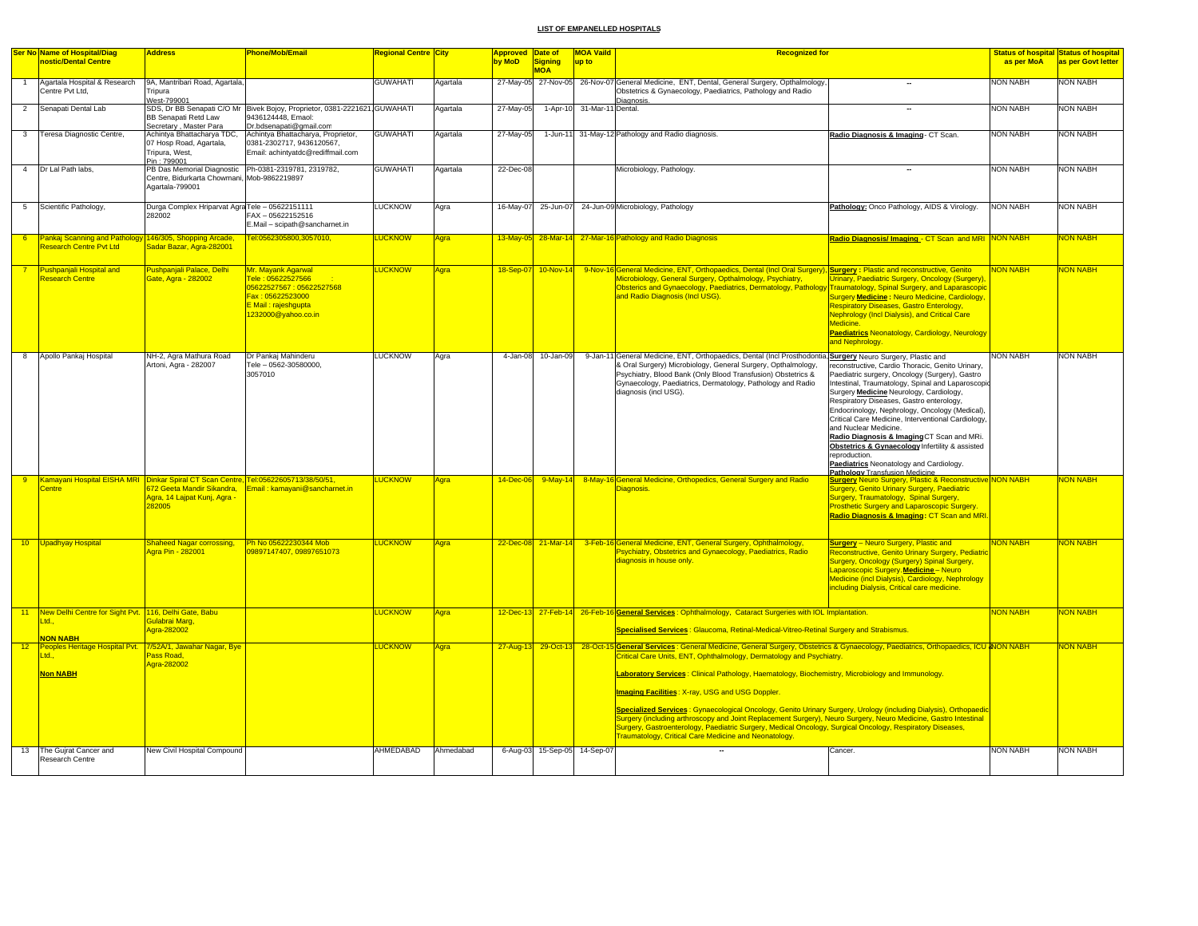|                | Ser No Name of Hospital/Diag                                                                  | <b>Address</b>                                                                                                         | <b>Phone/Mob/Email</b>                                                                                                                | <b>Regional Centre City</b> |           | <b>Approved Date of</b> |                              | <b>MOA Vaild</b><br><b>Recognized for</b>                                                                                                                                                                                                                                                                                                                                                                                                                                                                                                                                                                                                                                                                                                                                                                                                                                                                                                          | <b>Status of hospital Status of hospital</b> |
|----------------|-----------------------------------------------------------------------------------------------|------------------------------------------------------------------------------------------------------------------------|---------------------------------------------------------------------------------------------------------------------------------------|-----------------------------|-----------|-------------------------|------------------------------|----------------------------------------------------------------------------------------------------------------------------------------------------------------------------------------------------------------------------------------------------------------------------------------------------------------------------------------------------------------------------------------------------------------------------------------------------------------------------------------------------------------------------------------------------------------------------------------------------------------------------------------------------------------------------------------------------------------------------------------------------------------------------------------------------------------------------------------------------------------------------------------------------------------------------------------------------|----------------------------------------------|
|                | nostic/Dental Centre                                                                          |                                                                                                                        |                                                                                                                                       |                             |           | by MoD                  | <b>Signing</b><br><b>MOA</b> | up to<br>as per MoA                                                                                                                                                                                                                                                                                                                                                                                                                                                                                                                                                                                                                                                                                                                                                                                                                                                                                                                                | as per Govt letter                           |
|                | Agartala Hospital & Research<br>Centre Pvt Ltd.                                               | 9A, Mantribari Road, Agartala,<br>Tripura<br>West-799001                                                               |                                                                                                                                       | <b>GUWAHATI</b>             | Agartala  |                         | 27-May-05 27-Nov-05          | NON NABH<br>26-Nov-07 General Medicine, ENT, Dental, General Surgery, Opthalmology,<br>Obstetrics & Gynaecology, Paediatrics, Pathology and Radio<br>Diagnosis                                                                                                                                                                                                                                                                                                                                                                                                                                                                                                                                                                                                                                                                                                                                                                                     | NON NABH                                     |
| $\overline{2}$ | Senapati Dental Lab                                                                           | <b>BB Senapati Retd Law</b><br>Secretary, Master Para                                                                  | SDS, Dr BB Senapati C/O Mr Bivek Bojoy, Proprietor, 0381-2221621. GUWAHATI<br>9436124448. Emaol:<br>Dr.bdsenapati@gmail.com           |                             | Agartala  | 27-May-05               | $1-Apr-10$                   | 31-Mar-11<br><b>NON NABH</b><br>Dental.<br>$\overline{\phantom{a}}$                                                                                                                                                                                                                                                                                                                                                                                                                                                                                                                                                                                                                                                                                                                                                                                                                                                                                | NON NABH                                     |
| $\mathbf{3}$   | Teresa Diagnostic Centre,                                                                     | Achintya Bhattacharya TDC,<br>07 Hosp Road, Agartala,<br>Tripura, West.<br>Pin: 799001                                 | Achintya Bhattacharya, Proprietor,<br>0381-2302717, 9436120567,<br>Email: achintvatdc@rediffmail.com                                  | <b>GUWAHATI</b>             | Agartala  | 27-May-05               | $1 - Jun - 11$               | 31-May-12 Pathology and Radio diagnosis.<br>Radio Diagnosis & Imaging - CT Scan.<br><b>NON NABH</b>                                                                                                                                                                                                                                                                                                                                                                                                                                                                                                                                                                                                                                                                                                                                                                                                                                                | <b>NON NABH</b>                              |
| $\overline{4}$ | Dr Lal Path labs.                                                                             | PB Das Memorial Diagnostic Ph-0381-2319781, 2319782,<br>Centre, Bidurkarta Chowmani, Mob-9862219897<br>Agartala-799001 |                                                                                                                                       | <b>GUWAHATI</b>             | Agartala  | 22-Dec-08               |                              | <b>NON NABH</b><br>Microbiology, Pathology                                                                                                                                                                                                                                                                                                                                                                                                                                                                                                                                                                                                                                                                                                                                                                                                                                                                                                         | <b>NON NABH</b>                              |
| 5 <sup>5</sup> | Scientific Pathology,                                                                         | Durga Complex Hriparvat Agra Tele - 05622151111<br>282002                                                              | FAX-05622152516<br>E.Mail - scipath@sancharnet.in                                                                                     | <b>LUCKNOW</b>              | Agra      | 16-May-07               | 25-Jun-07                    | <b>NON NABH</b><br>24-Jun-09 Microbiology, Pathology<br>Pathology: Onco Pathology, AIDS & Virology.                                                                                                                                                                                                                                                                                                                                                                                                                                                                                                                                                                                                                                                                                                                                                                                                                                                | <b>NON NABH</b>                              |
| -6             | Pankaj Scanning and Pathology 146/305, Shopping Arcade,<br>Research Centre Pyt Ltd            | Sadar Bazar, Agra-282001                                                                                               | Tel:0562305800,3057010,                                                                                                               | <b>LUCKNOW</b>              | Agra      |                         |                              | Radio Diagnosis/Imaging - CT Scan and MRI NON NABH<br>13-May-05 28-Mar-14 27-Mar-16 Pathology and Radio Diagnosis                                                                                                                                                                                                                                                                                                                                                                                                                                                                                                                                                                                                                                                                                                                                                                                                                                  | <b>VON NABH</b>                              |
|                | Pushpanjali Hospital and<br>Research Centre                                                   | Pushpanjali Palace, Delhi<br>Gate, Agra - 282002                                                                       | Mr. Mayank Agarwal<br>Tele: 05622527566<br>05622527567:05622527568<br>Fax: 05622523000<br>E Mail : rajeshqupta<br>1232000@yahoo.co.in | <b>LUCKNOW</b>              | Agra      | 18-Sep-07               | $10-Nov-14$                  | 9-Nov-16 General Medicine, ENT, Orthopaedics, Dental (Incl Oral Surgery), Surgery : Plastic and reconstructive, Genito<br><b>NON NABH</b><br>Microbiology, General Surgery, Opthalmology, Psychiatry,<br>Urinary, Paediatric Surgery, Oncology (Surgery),<br>Obsterics and Gynaecology, Paediatrics, Dermatology, Pathology Traumatology, Spinal Surgery, and Laparascopio<br>and Radio Diagnosis (Incl USG).<br>Surgery Medicine : Neuro Medicine, Cardiology,<br>Respiratory Diseases, Gastro Enterology,<br>Nephrology (Incl Dialysis), and Critical Care<br>Medicine<br><b>Paediatrics Neonatology, Cardiology, Neurology</b><br>and Nephrology.                                                                                                                                                                                                                                                                                               | NON NABH                                     |
| 8              | Apollo Pankaj Hospital                                                                        | NH-2, Agra Mathura Road<br>Artoni, Agra - 282007                                                                       | Dr Pankaj Mahinderu<br>Tele - 0562-30580000,<br>3057010                                                                               | <b>LUCKNOW</b>              | Agra      | 4-Jan-08                | 10-Jan-09                    | General Medicine, ENT, Orthopaedics, Dental (Incl Prosthodontia, Surgery Neuro Surgery, Plastic and<br><b>NON NABH</b><br>9-Jan-11<br>& Oral Surgery) Microbiology, General Surgery, Opthalmology,<br>reconstructive, Cardio Thoracic, Genito Urinary,<br>Psychiatry, Blood Bank (Only Blood Transfusion) Obstetrics &<br>Paediatric surgery, Oncology (Surgery), Gastro<br>Gynaecology, Paediatrics, Dermatology, Pathology and Radio<br>Intestinal, Traumatology, Spinal and Laparoscopie<br>diagnosis (incl USG).<br>Surgery <b>Medicine</b> Neurology, Cardiology,<br>Respiratory Diseases, Gastro enterology,<br>Endocrinology, Nephrology, Oncology (Medical),<br>Critical Care Medicine, Interventional Cardiology,<br>and Nuclear Medicine.<br>Radio Diagnosis & Imaging CT Scan and MRi.<br>Obstetrics & Gynaecology Infertility & assisted<br>reproduction.<br>Paediatrics Neonatology and Cardiology.<br>Pathology Transfusion Medicine | <b>NON NABH</b>                              |
| -9             | Kamayani Hospital EISHA MRI Dinkar Spiral CT Scan Centre, Tel:05622605713/38/50/51,<br>Centre | 672 Geeta Mandir Sikandra,<br>Agra, 14 Lajpat Kunj, Agra -<br>282005                                                   | Email: kamayani@sancharnet.in                                                                                                         | <b>LUCKNOW</b>              | Agra      | 14-Dec-06               | $9-May-14$                   | 8-May-16 General Medicine, Orthopedics, General Surgery and Radio<br><b>Surgery Neuro Surgery, Plastic &amp; Reconstructive NON NABH</b><br>Diagnosis.<br><b>Surgery, Genito Urinary Surgery, Paediatric</b><br>Surgery, Traumatology, Spinal Surgery,<br><b>Prosthetic Surgery and Laparoscopic Surgery</b><br>Radio Diagnosis & Imaging: CT Scan and MRI.                                                                                                                                                                                                                                                                                                                                                                                                                                                                                                                                                                                        | <b>NON NABH</b>                              |
|                | 10 Upadhyay Hospital                                                                          | <b>Shaheed Nagar corrossing,</b><br>Agra Pin - 282001                                                                  | Ph No 05622230344 Mob<br>09897147407, 09897651073                                                                                     | <b>LUCKNOW</b>              | Agra      | 22-Dec-08 21-Mar-14     |                              | 3-Feb-16 General Medicine, ENT, General Surgery, Ophthalmology,<br><b>Surgery</b> - Neuro Surgery, Plastic and<br><b>NON NABH</b><br><b>Psychiatry, Obstetrics and Gynaecology, Paediatrics, Radio</b><br>Reconstructive, Genito Urinary Surgery, Pediatric<br>Surgery, Oncology (Surgery) Spinal Surgery,<br>diagnosis in house only.<br>Laparoscopic Surgery. Medicine – Neuro<br>Medicine (incl Dialysis), Cardiology, Nephrology<br>including Dialysis, Critical care medicine.                                                                                                                                                                                                                                                                                                                                                                                                                                                                | <b>NON NABH</b>                              |
|                | 11 New Delhi Centre for Sight Pvt. 116, Delhi Gate, Babu<br>Ltd.                              | Gulabrai Maro.                                                                                                         |                                                                                                                                       | <b>LUCKNOW</b>              | Agra      |                         |                              | <b>NON NABH</b><br>12-Dec-13 27-Feb-14 26-Feb-16 General Services: Ophthalmology, Cataract Surgeries with IOL Implantation.                                                                                                                                                                                                                                                                                                                                                                                                                                                                                                                                                                                                                                                                                                                                                                                                                        | <b>NON NABH</b>                              |
|                | <b>NON NABH</b>                                                                               | Agra-282002                                                                                                            |                                                                                                                                       |                             |           |                         |                              | Specialised Services: Glaucoma, Retinal-Medical-Vitreo-Retinal Surgery and Strabismus.                                                                                                                                                                                                                                                                                                                                                                                                                                                                                                                                                                                                                                                                                                                                                                                                                                                             |                                              |
| 12             | Peoples Heritage Hospital Pyt.<br>td.<br><b>Non NABH</b>                                      | 7/52A/1, Jawahar Nagar, Bye<br>Pass Road,<br>Agra-282002                                                               |                                                                                                                                       | <b>LUCKNOW</b>              | Agra      | 27-Aug-13               | 29-Oct-1                     | General Services : General Medicine, General Surgery, Obstetrics & Gynaecology, Paediatrics, Orthopaedics, ICU NON NABH<br>28-Oct-15<br>Critical Care Units, ENT, Ophthalmology, Dermatology and Psychiatry.<br>Laboratory Services: Clinical Pathology, Haematology, Biochemistry, Microbiology and Immunology.<br>Imaging Facilities: X-ray, USG and USG Doppler.<br>Specialized Services: Gynaecological Oncology, Genito Urinary Surgery, Urology (including Dialysis), Orthopaedic<br>Surgery (including arthroscopy and Joint Replacement Surgery), Neuro Surgery, Neuro Medicine, Gastro Intestinal<br>Surgery, Gastroenterology, Paediatric Surgery, Medical Oncology, Surgical Oncology, Respiratory Diseases,<br><b>Fraumatology, Critical Care Medicine and Neonatology.</b>                                                                                                                                                            | <b>VON NABH</b>                              |
| 13             | The Gujrat Cancer and<br>Research Centre                                                      | New Civil Hospital Compound                                                                                            |                                                                                                                                       | AHMEDABAD                   | Ahmedabad |                         | 6-Aug-03 15-Sep-05           | <b>NON NABH</b><br>14-Sep-07<br>Cancer                                                                                                                                                                                                                                                                                                                                                                                                                                                                                                                                                                                                                                                                                                                                                                                                                                                                                                             | <b>NON NABH</b>                              |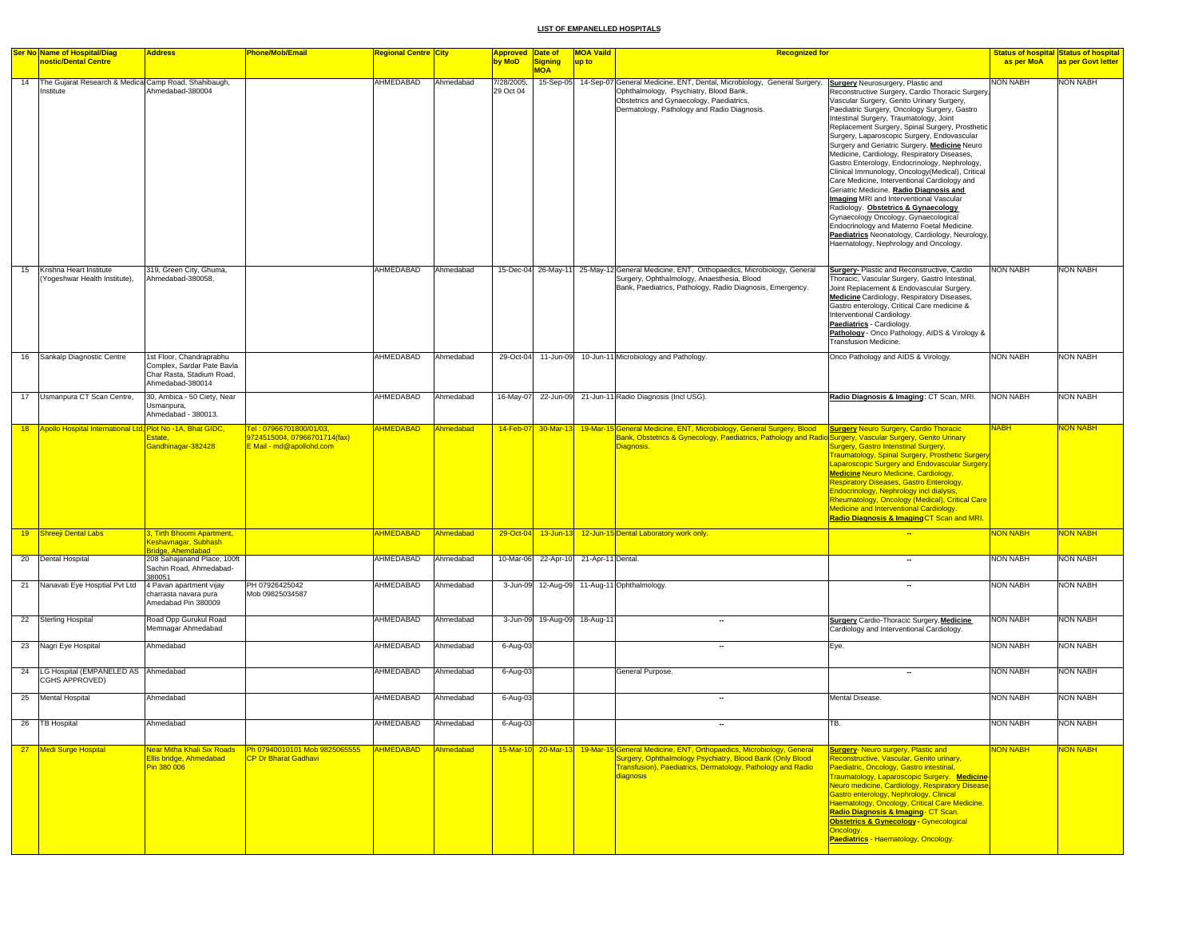|    | <b>Ser No Name of Hospital/Diag</b><br>nostic/Dental Centre          | <b>Address</b>                                                                                          | Phone/Mob/Email                                                                     | Regional Centre <mark>City</mark> |           | Approved Date of<br>by MoD | Signing<br><b>MOA</b>                 | <b>MOA Vaild</b><br>up to | <b>Recognized for</b>                                                                                                                                                                                                                                       |                                                                                                                                                                                                                                                                                                                                                                                                                                                                                                                                                                                                                                                                                                                                                                                                                                                                                                            | <b>Status of hospital Status of hospital</b><br>as per MoA | as per Govt letter |
|----|----------------------------------------------------------------------|---------------------------------------------------------------------------------------------------------|-------------------------------------------------------------------------------------|-----------------------------------|-----------|----------------------------|---------------------------------------|---------------------------|-------------------------------------------------------------------------------------------------------------------------------------------------------------------------------------------------------------------------------------------------------------|------------------------------------------------------------------------------------------------------------------------------------------------------------------------------------------------------------------------------------------------------------------------------------------------------------------------------------------------------------------------------------------------------------------------------------------------------------------------------------------------------------------------------------------------------------------------------------------------------------------------------------------------------------------------------------------------------------------------------------------------------------------------------------------------------------------------------------------------------------------------------------------------------------|------------------------------------------------------------|--------------------|
|    | 14 The Gujarat Research & Medical Camp Road, Shahibaugh,<br>nstitute | Ahmedabad-380004                                                                                        |                                                                                     | AHMEDABAD                         | Ahmedabad | 7/28/2005,<br>29 Oct 04    |                                       |                           | 15-Sep-05 14-Sep-07 General Medicine, ENT, Dental, Microbiology, General Surgery,<br>Ophthalmology, Psychiatry, Blood Bank,<br>Obstetrics and Gynaecology, Paediatrics,<br>Dermatology, Pathology and Radio Diagnosis.                                      | <b>Surgery</b> Neurosurgery, Plastic and<br>Reconstructive Surgery, Cardio Thoracic Surgery,<br>Vascular Surgery, Genito Urinary Surgery,<br>Paediatric Surgery, Oncology Surgery, Gastro<br>Intestinal Surgery, Traumatology, Joint<br>Replacement Surgery, Spinal Surgery, Prosthetic<br>Surgery, Laparoscopic Surgery, Endovascular<br>Surgery and Geriatric Surgery. Medicine Neuro<br>Medicine, Cardiology, Respiratory Diseases,<br>Gastro Enterology, Endocrinology, Nephrology,<br>Clinical Immunology, Oncology(Medical), Critical<br>Care Medicine, Interventional Cardiology and<br>Geriatric Medicine. Radio Diagnosis and<br>Imaging MRI and Interventional Vascular<br>Radiology. Obstetrics & Gynaecology<br>Gynaecology Oncology, Gynaecological<br>Endocrinology and Materno Foetal Medicine.<br>Paediatrics Neonatology, Cardiology, Neurology,<br>Haematology, Nephrology and Oncology. | <b>NON NABH</b>                                            | <b>NON NABH</b>    |
| 15 | Krishna Heart Institute<br>(Yogeshwar Health Institute),             | 319, Green City, Ghuma,<br>Ahmedabad-380058,                                                            |                                                                                     | AHMEDABAD                         | Ahmedabad |                            |                                       |                           | 15-Dec-04 26-May-11 25-May-12 General Medicine, ENT, Orthopaedics, Microbiology, General<br>Surgery, Ophthalmology, Anaesthesia, Blood<br>Bank, Paediatrics, Pathology, Radio Diagnosis, Emergency.                                                         | <b>Surgery-Plastic and Reconstructive, Cardio</b><br>Thoracic, Vascular Surgery, Gastro Intestinal,<br>Joint Replacement & Endovascular Surgery.<br>Medicine Cardiology, Respiratory Diseases,<br>Gastro enterology, Critical Care medicine &<br>Interventional Cardiology.<br>Paediatrics - Cardiology.<br>Pathology - Onco Pathology, AIDS & Virology &<br>Transfusion Medicine.                                                                                                                                                                                                                                                                                                                                                                                                                                                                                                                         | <b>NON NABH</b>                                            | <b>NON NABH</b>    |
| 16 | Sankalp Diagnostic Centre                                            | 1st Floor, Chandraprabhu<br>Complex, Sardar Pate Bavla<br>Char Rasta, Stadium Road.<br>Ahmedabad-380014 |                                                                                     | AHMEDABAD                         | Ahmedabad |                            |                                       |                           | 29-Oct-04 11-Jun-09 10-Jun-11 Microbiology and Pathology.                                                                                                                                                                                                   | Onco Pathology and AIDS & Virology.                                                                                                                                                                                                                                                                                                                                                                                                                                                                                                                                                                                                                                                                                                                                                                                                                                                                        | <b>NON NABH</b>                                            | <b>NON NABH</b>    |
|    | 17 Usmanpura CT Scan Centre,                                         | 30, Ambica - 50 Ciety, Near<br>Usmanpura,<br>Ahmedabad - 380013.                                        |                                                                                     | AHMEDABAD                         | Ahmedabad | 16-May-07                  |                                       |                           | 22-Jun-09 21-Jun-11 Radio Diagnosis (Incl USG).                                                                                                                                                                                                             | Radio Diagnosis & Imaging: CT Scan, MRI.                                                                                                                                                                                                                                                                                                                                                                                                                                                                                                                                                                                                                                                                                                                                                                                                                                                                   | <b>NON NABH</b>                                            | <b>NON NABH</b>    |
| 18 | Apollo Hospital International Ltd, Plot No -1A, Bhat GIDC,           | Estate,<br>Gandhinagar-382428                                                                           | Tel: 07966701800/01/03.<br>9724515004, 07966701714(fax)<br>E Mail - md@apollohd.com | <b>AHMEDABAD</b>                  | Ahmedabad |                            |                                       |                           | 14-Feb-07 30-Mar-13 19-Mar-15 General Medicine, ENT, Microbiology, General Surgery, Blood Surgery Neuro Surgery, Cardio Thoracic<br>Bank, Obstetrics & Gynecology, Paediatrics, Pathology and Radio Surgery, Vascular Surgery, Genito Urinary<br>Diagnosis. | <b>Surgery, Gastro Intenstinal Surgery,</b><br><b>Fraumatology, Spinal Surgery, Prosthetic Surgery</b><br>Laparoscopic Surgery and Endovascular Surgery<br><b>Medicine Neuro Medicine, Cardiology,</b><br><b>Respiratory Diseases, Gastro Enterology,</b><br>Endocrinology, Nephrology incl dialysis,<br>Rheumatology, Oncology (Medical), Critical Care<br><b>Medicine and Interventional Cardiology.</b><br>Radio Diagnosis & Imaging CT Scan and MRI.                                                                                                                                                                                                                                                                                                                                                                                                                                                   | <b>NABH</b>                                                | <b>VON NABH</b>    |
|    | 19 Shreeji Dental Labs                                               | 3, Tirth Bhoomi Apartment,<br>Keshavnagar, Subhash<br><b>ridge, Ahemdabad</b>                           |                                                                                     | <b>AHMEDABAD</b>                  | Ahmedabad |                            |                                       |                           | 29-Oct-04 13-Jun-13 12-Jun-15 Dental Laboratory work only                                                                                                                                                                                                   |                                                                                                                                                                                                                                                                                                                                                                                                                                                                                                                                                                                                                                                                                                                                                                                                                                                                                                            | <b>NON NABH</b>                                            | <b>VON NABH</b>    |
|    | 20 Dental Hospital                                                   | 208 Sahajanand Place, 100ft<br>Sachin Road, Ahmedabad-<br>380051                                        |                                                                                     | AHMEDABAD                         | Ahmedabad |                            | 10-Mar-06 22-Apr-10 21-Apr-11 Dental. |                           |                                                                                                                                                                                                                                                             |                                                                                                                                                                                                                                                                                                                                                                                                                                                                                                                                                                                                                                                                                                                                                                                                                                                                                                            | <b>NON NABH</b>                                            | <b>NON NABH</b>    |
|    | 21 Nanavati Eye Hosptial Pvt Ltd                                     | 4 Pavan apartment vijay<br>charrasta navara pura<br>Amedabad Pin 380009                                 | PH 07926425042<br>Mob 09825034587                                                   | AHMEDABAD                         | Ahmedabad |                            |                                       |                           | 3-Jun-09 12-Aug-09 11-Aug-11 Ophthalmology.                                                                                                                                                                                                                 | $\overline{\phantom{a}}$                                                                                                                                                                                                                                                                                                                                                                                                                                                                                                                                                                                                                                                                                                                                                                                                                                                                                   | <b>NON NABH</b>                                            | <b>NON NABH</b>    |
|    | 22 Sterling Hospital                                                 | Road Opp Gurukul Road<br>Memnagar Ahmedabad                                                             |                                                                                     | AHMEDABAD                         | Ahmedabad |                            | 3-Jun-09 19-Aug-09 18-Aug-11          |                           | $\overline{\phantom{a}}$                                                                                                                                                                                                                                    | <b>Surgery Cardio-Thoracic Surgery. Medicine</b><br>Cardiology and Interventional Cardiology.                                                                                                                                                                                                                                                                                                                                                                                                                                                                                                                                                                                                                                                                                                                                                                                                              | <b>NON NABH</b>                                            | <b>NON NABH</b>    |
|    | 23 Nagri Eye Hospital                                                | Ahmedabad                                                                                               |                                                                                     | AHMEDABAD                         | Ahmedabad | 6-Aug-03                   |                                       |                           | -                                                                                                                                                                                                                                                           | Eye.                                                                                                                                                                                                                                                                                                                                                                                                                                                                                                                                                                                                                                                                                                                                                                                                                                                                                                       | <b>NON NABH</b>                                            | <b>NON NABH</b>    |
| 24 | LG Hospital (EMPANELED AS Ahmedabad<br>CGHS APPROVED)                |                                                                                                         |                                                                                     | AHMEDABAD                         | Ahmedabad | 6-Aug-03                   |                                       |                           | General Purpose.                                                                                                                                                                                                                                            | $\overline{\phantom{a}}$                                                                                                                                                                                                                                                                                                                                                                                                                                                                                                                                                                                                                                                                                                                                                                                                                                                                                   | <b>NON NABH</b>                                            | <b>NON NABH</b>    |
|    | 25 Mental Hospital                                                   | Ahmedabad                                                                                               |                                                                                     | AHMEDABAD                         | Ahmedabad | 6-Aug-03                   |                                       |                           |                                                                                                                                                                                                                                                             | Mental Disease.                                                                                                                                                                                                                                                                                                                                                                                                                                                                                                                                                                                                                                                                                                                                                                                                                                                                                            | <b>NON NABH</b>                                            | <b>NON NABH</b>    |
|    | 26 TB Hospital                                                       | Ahmedabad                                                                                               |                                                                                     | AHMEDABAD                         | Ahmedabad | 6-Aug-03                   |                                       |                           |                                                                                                                                                                                                                                                             | TB.                                                                                                                                                                                                                                                                                                                                                                                                                                                                                                                                                                                                                                                                                                                                                                                                                                                                                                        | <b>NON NABH</b>                                            | <b>NON NABH</b>    |
|    | 27 Medi Surge Hospital                                               | Near Mitha Khali Six Roads<br>Ellis bridge, Ahmedabad<br>Pin 380 006                                    | Ph 07940010101 Mob 9825065555<br><b>CP Dr Bharat Gadhavi</b>                        | AHMEDABAD                         | Ahmedabad |                            |                                       |                           | 15-Mar-10 20-Mar-13 19-Mar-15 General Medicine, ENT, Orthopaedics, Microbiology, General<br>Surgery, Ophthalmology Psychiatry, Blood Bank (Only Blood<br>Transfusion), Paediatrics, Dermatology, Pathology and Radio<br>diagnosis                           | <b>Surgery- Neuro surgery, Plastic and</b><br>Reconstructive, Vascular, Genito urinary,<br>Paediatric, Oncology, Gastro intestinal,<br><b>Traumatology, Laparoscopic Surgery. Medicine-</b><br>Neuro medicine, Cardiology, Respiratory Disease<br>Gastro enterology, Nephrology, Clinical<br>Haematology, Oncology, Critical Care Medicine.<br>Radio Diagnosis & Imaging - CT Scan.<br>Obstetrics & Gynecology - Gynecological<br>Oncology.<br>Paediatrics - Haematology, Oncology.                                                                                                                                                                                                                                                                                                                                                                                                                        | <b>NON NABH</b>                                            | <b>VON NABH</b>    |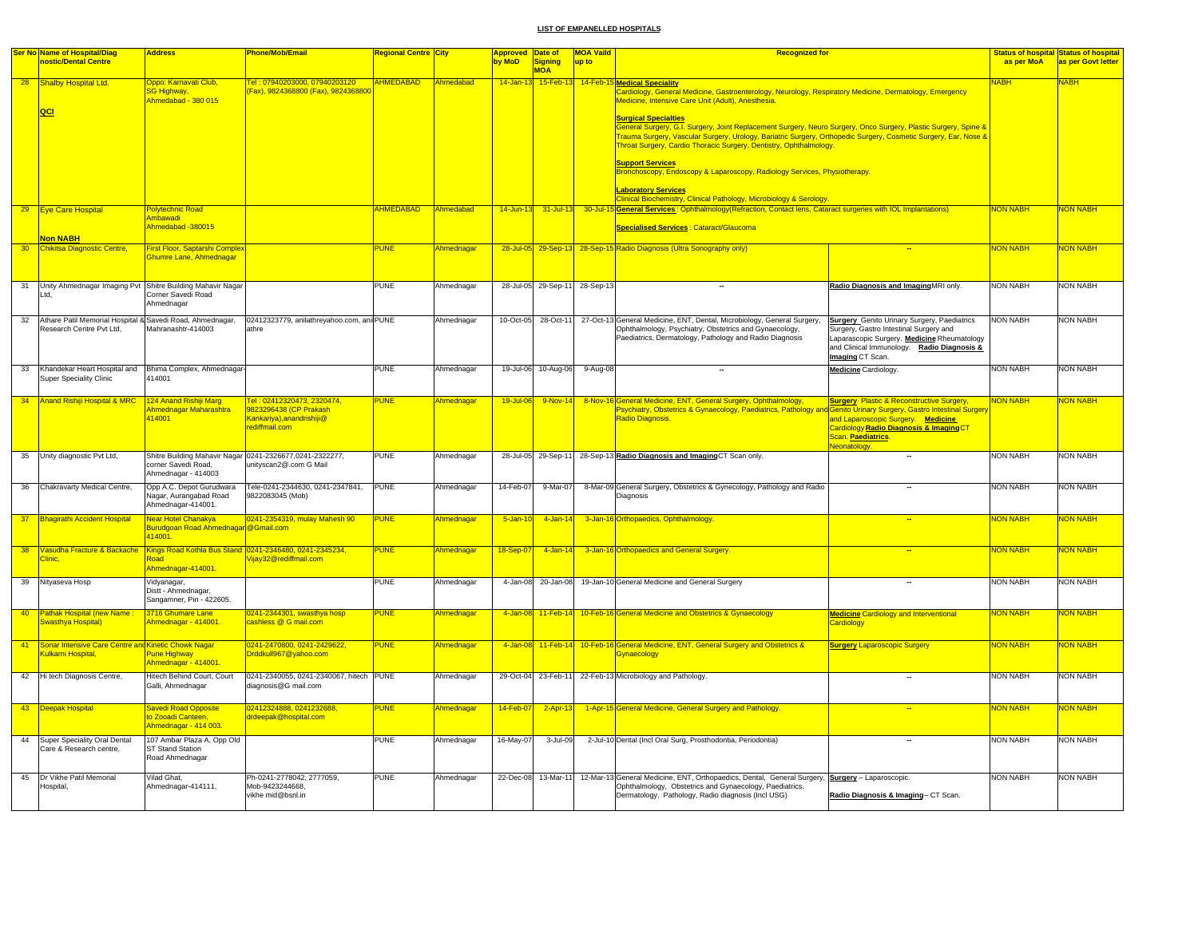|                 | Ser No Name of Hospital/Diag                                                             | <b>Address</b>                                                           | Phone/Mob/Email                                                                                     | <mark>Regional Centre City</mark> |                         | Approved Date of   |                               | <b>MOA Vaild</b> | <b>Recognized for</b>                                                                                                                                                                                                                                                                                                                                                                                                                                                                                                                                                                                                                                                                                                                              |                                                                                                                                                                                                               |                 | <b>Status of hospital Status of hospital</b> |
|-----------------|------------------------------------------------------------------------------------------|--------------------------------------------------------------------------|-----------------------------------------------------------------------------------------------------|-----------------------------------|-------------------------|--------------------|-------------------------------|------------------|----------------------------------------------------------------------------------------------------------------------------------------------------------------------------------------------------------------------------------------------------------------------------------------------------------------------------------------------------------------------------------------------------------------------------------------------------------------------------------------------------------------------------------------------------------------------------------------------------------------------------------------------------------------------------------------------------------------------------------------------------|---------------------------------------------------------------------------------------------------------------------------------------------------------------------------------------------------------------|-----------------|----------------------------------------------|
|                 | nostic/Dental Centre                                                                     |                                                                          |                                                                                                     |                                   |                         | by MoD             | Signing<br><b>MOA</b>         | up to            |                                                                                                                                                                                                                                                                                                                                                                                                                                                                                                                                                                                                                                                                                                                                                    |                                                                                                                                                                                                               | as per MoA      | as per Govt letter                           |
|                 | 28 Shalby Hospital Ltd.<br>QCI                                                           | Oppo: Karnavati Club,<br><b>SG Highway</b> ,<br>Ahmedabad - 380 015      | Fel: 07940203000, 07940203120<br>Fax), 9824368800 (Fax), 9824368800                                 | <b>AHMEDABAD</b>                  | Ahmedabad               |                    | 14-Jan-13 15-Feb-13 14-Feb-1  |                  | <b>Medical Speciality</b><br>Cardiology, General Medicine, Gastroenterology, Neurology, Respiratory Medicine, Dermatology, Emergency<br>Medicine, Intensive Care Unit (Adult), Anesthesia.<br><b>Surgical Specialties</b><br>General Surgery, G.I. Surgery, Joint Replacement Surgery, Neuro Surgery, Onco Surgery, Plastic Surgery, Spine &<br>Trauma Surgery, Vascular Surgery, Urology, Bariatric Surgery, Orthopedic Surgery, Cosmetic Surgery, Ear, Nose &<br>Throat Surgery, Cardio Thoracic Surgery, Dentistry, Ophthalmology.<br><b>Support Services</b><br>Bronchoscopy, Endoscopy & Laparoscopy, Radiology Services, Physiotherapy.<br><b>Laboratory Services</b><br>Clinical Biochemistry, Clinical Pathology, Microbiology & Serology. |                                                                                                                                                                                                               | <b>NABH</b>     | <b>NABH</b>                                  |
|                 | 29 Eye Care Hospital                                                                     | <b>Polytechnic Road</b><br>Ambawadi                                      |                                                                                                     | <b>AHMEDABAD</b>                  | Ahmedabad               | $14$ -Jun-13       | $31$ -Jul-13                  |                  | 30-Jul-15 General Services: Ophthalmology (Refraction, Contact lens, Cataract surgeries with IOL Implantations)                                                                                                                                                                                                                                                                                                                                                                                                                                                                                                                                                                                                                                    |                                                                                                                                                                                                               | <b>NON NABH</b> | <b>NON NABH</b>                              |
|                 | <b>Non NABH</b>                                                                          | Ahmedabad -380015                                                        |                                                                                                     |                                   |                         |                    |                               |                  | <b>Specialised Services: Cataract/Glaucoma</b>                                                                                                                                                                                                                                                                                                                                                                                                                                                                                                                                                                                                                                                                                                     |                                                                                                                                                                                                               |                 |                                              |
| 30 <sub>o</sub> | Chikitsa Diagnostic Centre,                                                              | First Floor, Saptarshi Complex<br>Shumre Lane, Ahmednagar                |                                                                                                     | <b>PUNE</b>                       | Ahmednagar              |                    |                               |                  | 28-Jul-05 29-Sep-13 28-Sep-15 Radio Diagnosis (Ultra Sonography only)                                                                                                                                                                                                                                                                                                                                                                                                                                                                                                                                                                                                                                                                              |                                                                                                                                                                                                               | <b>NON NABH</b> | <b>NON NABH</b>                              |
|                 |                                                                                          |                                                                          |                                                                                                     |                                   |                         |                    |                               |                  |                                                                                                                                                                                                                                                                                                                                                                                                                                                                                                                                                                                                                                                                                                                                                    |                                                                                                                                                                                                               |                 |                                              |
| 31              | Unity Ahmednagar Imaging Pvt Shitre Building Mahavir Nagar<br>td,                        | Corner Savedi Road<br>Ahmednagar                                         |                                                                                                     | <b>PUNE</b>                       | Ahmednagar              |                    | 28-Jul-05 29-Sep-11 28-Sep-13 |                  | $\overline{\phantom{a}}$                                                                                                                                                                                                                                                                                                                                                                                                                                                                                                                                                                                                                                                                                                                           | Radio Diagnosis and ImagingMRI only.                                                                                                                                                                          | <b>NON NABH</b> | <b>NON NABH</b>                              |
| 32              | Athare Patil Memorial Hospital & Savedi Road, Ahmednagar,<br>Research Centre Pvt Ltd,    | Mahranashtr-414003                                                       | 02412323779, anilathreyahoo.com, ani PUNE<br>athre                                                  |                                   | Ahmednagar              |                    | 10-Oct-05 28-Oct-11           |                  | 27-Oct-13 General Medicine, ENT, Dental, Microbiology, General Surgery,<br>Ophthalmology, Psychiatry, Obstetrics and Gynaecology,<br>Paediatrics, Dermatology, Pathology and Radio Diagnosis                                                                                                                                                                                                                                                                                                                                                                                                                                                                                                                                                       | <b>Surgery</b> Genito Urinary Surgery, Paediatrics<br>Surgery, Gastro Intestinal Surgery and<br>Laparascopic Surgery. Medicine Rheumatology<br>and Clinical Immunology. Radio Diagnosis &<br>Imaging CT Scan. | <b>NON NABH</b> | <b>NON NABH</b>                              |
| 33              | Khandekar Heart Hospital and Bhima Complex, Ahmednagar<br><b>Super Speciality Clinic</b> | 414001                                                                   |                                                                                                     | <b>PUNE</b>                       | Ahmednagar              |                    | 19-Jul-06 10-Aug-06           | 9-Aug-08         | $\overline{\phantom{a}}$                                                                                                                                                                                                                                                                                                                                                                                                                                                                                                                                                                                                                                                                                                                           | <b>Medicine</b> Cardiology.                                                                                                                                                                                   | NON NABH        | <b>NON NABH</b>                              |
| 34              | Anand Rishiji Hospital & MRC                                                             | 124 Anand Rishiji Marg<br><b>Ihmednagar Maharashtra</b><br>414001        | Tel: 02412320473, 2320474,<br>9823296438 (CP Prakash<br>Kankariya), anandrishiji@<br>rediffmail.com | <b>PUNE</b>                       | Ahmednagar              | 19-Jul-06          | 9-Nov-14                      |                  | 8-Nov-16 General Medicine, ENT, General Surgery, Ophthalmology,<br>Psychiatry, Obstetrics & Gynaecology, Paediatrics, Pathology and Genito Urinary Surgery, Gastro Intestinal Surgery<br>Radio Diagnosis.                                                                                                                                                                                                                                                                                                                                                                                                                                                                                                                                          | <b>Surgery Plastic &amp; Reconstructive Surgery,</b><br>and Laparoscopic Surgery. Medicine<br>Cardiology Radio Diagnosis & Imaging CT<br>Scan. Paediatrics.<br>Neonatology                                    | <b>NON NABH</b> | NON NABH                                     |
|                 | 35 Unity diagnostic Pvt Ltd,                                                             | corner Savedi Road,<br>Ahmednagar - 414003                               | Shitre Building Mahavir Nagar 0241-2326677,0241-2322277,<br>unityscan2@.com G Mail                  | <b>PUNE</b>                       | Ahmednagar              | 28-Jul-05 29-Sep-1 |                               |                  | 28-Sep-13 Radio Diagnosis and Imaging CT Scan only.                                                                                                                                                                                                                                                                                                                                                                                                                                                                                                                                                                                                                                                                                                | $\overline{\phantom{a}}$                                                                                                                                                                                      | <b>NON NABH</b> | <b>NON NABH</b>                              |
|                 | 36 Chakravarty Medical Centre,                                                           | Opp A.C. Depot Gurudwara<br>Nagar, Aurangabad Road<br>Ahmednagar-414001. | Tele-0241-2344630, 0241-2347841,<br>9822083045 (Mob)                                                | <b>PUNE</b>                       | Ahmednagar              | 14-Feb-07          | 9-Mar-07                      |                  | 8-Mar-09 General Surgery, Obstetrics & Gynecology, Pathology and Radio<br>Diagnosis                                                                                                                                                                                                                                                                                                                                                                                                                                                                                                                                                                                                                                                                |                                                                                                                                                                                                               | <b>NON NABH</b> | <b>NON NABH</b>                              |
| 37 <sup>2</sup> | <b>Bhagirathi Accident Hospital</b>                                                      | Near Hotel Chanakya<br>Burudgoan Road Ahmednagar @Gmail.com<br>114001    | 0241-2354319, mulay Mahesh 90                                                                       | PUNE                              | Ahmednagar              | $5 - Jan-1$        | 4-Jan-14                      |                  | 3-Jan-16 Orthopaedics, Ophthalmology.                                                                                                                                                                                                                                                                                                                                                                                                                                                                                                                                                                                                                                                                                                              |                                                                                                                                                                                                               | NON NABH        | NON NABH                                     |
| 38              | Vasudha Fracture & Backache<br>linic.                                                    | baos<br>Ahmednagar-414001.                                               | Kings Road Kothla Bus Stand 0241-2346480, 0241-2345234,<br>ijay32@rediffmail.com                    | <b>PUNE</b>                       | Ahmednagar              | 18-Sep-07          | $4$ -Jan-14                   |                  | 3-Jan-16 Orthopaedics and General Surgery.                                                                                                                                                                                                                                                                                                                                                                                                                                                                                                                                                                                                                                                                                                         | $\overline{\phantom{a}}$                                                                                                                                                                                      | <b>NON NABH</b> | <mark>NON NABH</mark>                        |
| 39              | Nityaseva Hosp                                                                           | Vidyanagar,<br>Distt - Ahmednagar,<br>Sangamner, Pin - 422605.           |                                                                                                     | <b>PUNE</b>                       | Ahmednagar              | 4-Jan-08           | 20-Jan-08                     |                  | 19-Jan-10 General Medicine and General Surgery                                                                                                                                                                                                                                                                                                                                                                                                                                                                                                                                                                                                                                                                                                     |                                                                                                                                                                                                               | <b>NON NABH</b> | <b>NON NABH</b>                              |
| 40 <sub>2</sub> | Pathak Hospital (new Name<br>Swasthya Hospital)                                          | 3716 Ghumare Lane<br>Ahmednagar - 414001.                                | 0241-2344301, swasthya hosp<br>cashless @ G mail.com                                                | <b>PUNE</b>                       | Ahmednagar              |                    |                               |                  | 4-Jan-08 11-Feb-14 10-Feb-16 General Medicine and Obstetrics & Gynaecology                                                                                                                                                                                                                                                                                                                                                                                                                                                                                                                                                                                                                                                                         | <b>Medicine Cardiology and Interventional</b><br>Cardiology                                                                                                                                                   | <b>NON NABH</b> | NON NABH                                     |
| 41              | Sonar Intensive Care Centre and Kinetic Chowk Nagar<br>Kulkarni Hospital,                | <b>Pune Highway</b><br>Ahmednagar - 414001.                              | 0241-2470800, 0241-2429622,<br>Drddkull967@yahoo.com                                                | <b>PUNE</b>                       | <mark>\hmednagar</mark> | 4-Jan-08           |                               |                  | 11-Feb-14 10-Feb-16 General Medicine, ENT, General Surgery and Obstetrics &<br>Gynaecology                                                                                                                                                                                                                                                                                                                                                                                                                                                                                                                                                                                                                                                         | <b>Surgery Laparoscopic Surgery</b>                                                                                                                                                                           | <b>NON NABH</b> | <b>NON NABH</b>                              |
| 42              | Hi tech Diagnosis Centre,                                                                | Hitech Behind Court, Court<br>Galli, Ahmednagar                          | 0241-2340055, 0241-2340067, hitech PUNE<br>diagnosis@G mail.com                                     |                                   | Ahmednagar              | 29-Oct-04          | 23-Feb-11                     |                  | 22-Feb-13 Microbiology and Pathology.                                                                                                                                                                                                                                                                                                                                                                                                                                                                                                                                                                                                                                                                                                              |                                                                                                                                                                                                               | <b>NON NABH</b> | <b>NON NABH</b>                              |
|                 | 43 Deepak Hospital                                                                       | Savedi Road Opposite<br>o Zooadi Canteen,<br>Ahmednagar - 414 003.       | 02412324888, 0241232688,<br>drdeepak@hospital.com                                                   | <b>PUNE</b>                       | Ahmednagar              | 14-Feb-0           | $2-Apr-13$                    |                  | 1-Apr-15 General Medicine, General Surgery and Pathology.                                                                                                                                                                                                                                                                                                                                                                                                                                                                                                                                                                                                                                                                                          |                                                                                                                                                                                                               | <b>NON NABH</b> | <mark>NON NABH</mark>                        |
|                 | 44 Super Speciality Oral Dental<br>Care & Research centre,                               | 107 Ambar Plaza A, Opp Old<br>ST Stand Station<br>Road Ahmednagar        |                                                                                                     | PUNE                              | Ahmednagar              | 16-May-07          | 3-Jul-09                      |                  | 2-Jul-10 Dental (Incl Oral Surg, Prosthodontia, Periodontia)                                                                                                                                                                                                                                                                                                                                                                                                                                                                                                                                                                                                                                                                                       |                                                                                                                                                                                                               | <b>NON NABH</b> | <b>NON NABH</b>                              |
| 45              | Dr Vikhe Patil Memorial<br>Hospital,                                                     | Vilad Ghat.<br>Ahmednagar-414111,                                        | Ph-0241-2778042, 2777059,<br>Mob-9423244668.<br>vikhe mid@bsnl.in                                   | <b>PUNE</b>                       | Ahmednagar              |                    | 22-Dec-08 13-Mar-11           |                  | 12-Mar-13 General Medicine, ENT, Orthopaedics, Dental, General Surgery, Surgery - Laparoscopic.<br>Ophthalmology, Obstetrics and Gynaecology, Paediatrics,<br>Dermatology, Pathology, Radio diagnosis (Incl USG)                                                                                                                                                                                                                                                                                                                                                                                                                                                                                                                                   | Radio Diagnosis & Imaging- CT Scan.                                                                                                                                                                           | <b>NON NABH</b> | <b>NON NABH</b>                              |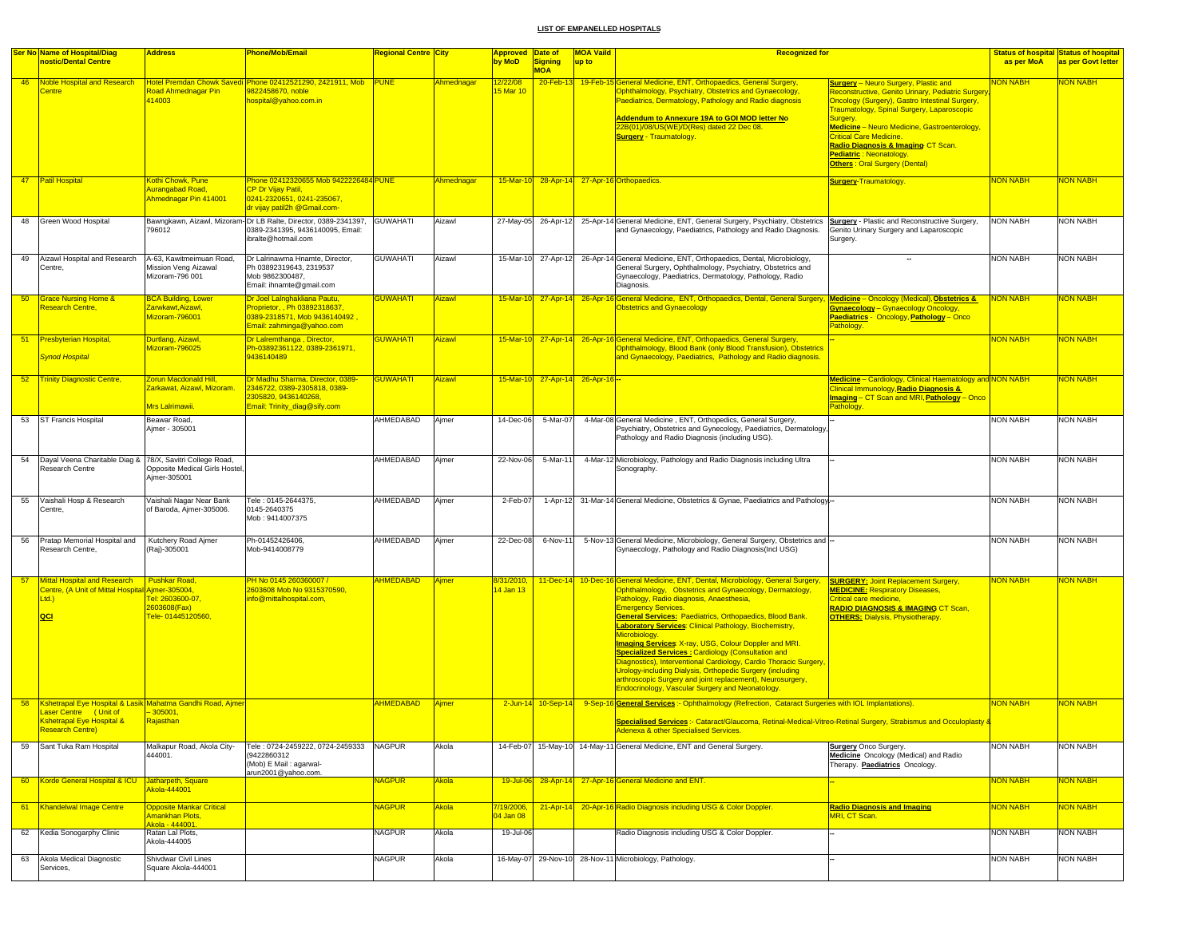|                 | Ser No Name of Hospital/Diag<br>nostic/Dental Centre                                                                                            | <b>Address</b>                                                                | Phone/Mob/Email                                                                                                            | <u> Regional Centre  City</u> |               | <b>Approved Date of</b><br>by MoD | <b>Signing</b>                  | <b>MOA Vaild</b><br>up to | <b>Recognized for</b>                                                                                                                                                                                                                                                                                                                                                                                                                                                                                                                                                                                                                                                                                                                                        |                                                                                                                                                                                                                                                                                                                                                                                                               | as per MoA      | <b>Status of hospital Status of hospital</b><br>as per Govt letter |
|-----------------|-------------------------------------------------------------------------------------------------------------------------------------------------|-------------------------------------------------------------------------------|----------------------------------------------------------------------------------------------------------------------------|-------------------------------|---------------|-----------------------------------|---------------------------------|---------------------------|--------------------------------------------------------------------------------------------------------------------------------------------------------------------------------------------------------------------------------------------------------------------------------------------------------------------------------------------------------------------------------------------------------------------------------------------------------------------------------------------------------------------------------------------------------------------------------------------------------------------------------------------------------------------------------------------------------------------------------------------------------------|---------------------------------------------------------------------------------------------------------------------------------------------------------------------------------------------------------------------------------------------------------------------------------------------------------------------------------------------------------------------------------------------------------------|-----------------|--------------------------------------------------------------------|
|                 |                                                                                                                                                 |                                                                               |                                                                                                                            |                               |               |                                   | <b>MOA</b>                      |                           |                                                                                                                                                                                                                                                                                                                                                                                                                                                                                                                                                                                                                                                                                                                                                              |                                                                                                                                                                                                                                                                                                                                                                                                               |                 |                                                                    |
| 46              | Noble Hospital and Research<br>entre?                                                                                                           | Road Ahmednagar Pin<br>414003                                                 | Hotel Premdan Chowk Savedi Phone 02412521290, 2421911, Mob PUNE<br>822458670, noble<br>hospital@yahoo.com.in               |                               | Ahmednagar    | <u>12/22/08</u><br>5 Mar 10       |                                 |                           | 20-Feb-13 19-Feb-15 General Medicine, ENT, Orthopaedics, General Surgery,<br>Ophthalmology, Psychiatry, Obstetrics and Gynaecology,<br>Paediatrics, Dermatology, Pathology and Radio diagnosis<br>Addendum to Annexure 19A to GOI MOD letter No<br>22B(01)/08/US(WE)/D(Res) dated 22 Dec 08.<br><b>Surgery - Traumatology.</b>                                                                                                                                                                                                                                                                                                                                                                                                                               | <b>Surgery</b> - Neuro Surgery, Plastic and<br>Reconstructive, Genito Urinary, Pediatric Surgery<br>Oncology (Surgery), Gastro Intestinal Surgery,<br><b>Fraumatology, Spinal Surgery, Laparoscopic</b><br>Surgery.<br>Medicine - Neuro Medicine, Gastroenterology,<br><b>Critical Care Medicine.</b><br>Radio Diagnosis & Imaging CT Scan.<br><b>Pediatric: Neonatology</b><br>Others: Oral Surgery (Dental) | <b>HAN NOI</b>  | <b>NON NABH</b>                                                    |
|                 | 47   Patil Hospital                                                                                                                             | Kothi Chowk, Pune<br>Aurangabad Road,<br>Ahmednagar Pin 414001                | Phone 02412320655 Mob 9422226484 PUNE<br>CP Dr Vijay Patil,<br>0241-2320651, 0241-235067.<br>dr vijay patil2h @Gmail.com-  |                               | Ahmednagar    |                                   |                                 |                           | 15-Mar-10 28-Apr-14 27-Apr-16 Orthopaedics.                                                                                                                                                                                                                                                                                                                                                                                                                                                                                                                                                                                                                                                                                                                  | <b>Surgery-Traumatology</b>                                                                                                                                                                                                                                                                                                                                                                                   | <b>NON NABH</b> | <b>VON NABH</b>                                                    |
|                 | 48 Green Wood Hospital                                                                                                                          | 796012                                                                        | Bawngkawn, Aizawl, Mizoram-Dr LB Ralte, Director, 0389-2341397.<br>0389-2341395, 9436140095, Email:<br>ibralte@hotmail.com | <b>GUWAHATI</b>               | Aizawl        |                                   |                                 |                           | 27-May-05 26-Apr-12 25-Apr-14 General Medicine, ENT, General Surgery, Psychiatry, Obstetrics<br>and Gynaecology, Paediatrics, Pathology and Radio Diagnosis.                                                                                                                                                                                                                                                                                                                                                                                                                                                                                                                                                                                                 | Surgery - Plastic and Reconstructive Surgery,<br>Genito Urinary Surgery and Laparoscopic<br>Surgery.                                                                                                                                                                                                                                                                                                          | <b>NON NABH</b> | <b>NON NABH</b>                                                    |
| 49              | Aizawl Hospital and Research<br>Centre,                                                                                                         | A-63, Kawitmeimuan Road,<br>Mission Veng Aizawal<br>Mizoram-796 001           | Dr Lalrinawma Hnamte, Director,<br>Ph 03892319643, 2319537<br>Mob 9862300487,<br>Email: ihnamte@gmail.com                  | <b>GUWAHATI</b>               | Aizawl        |                                   |                                 |                           | 15-Mar-10 27-Apr-12 26-Apr-14 General Medicine, ENT, Orthopaedics, Dental, Microbiology,<br>General Surgery, Ophthalmology, Psychiatry, Obstetrics and<br>Gynaecology, Paediatrics, Dermatology, Pathology, Radio<br>Diagnosis.                                                                                                                                                                                                                                                                                                                                                                                                                                                                                                                              | $\overline{\phantom{a}}$                                                                                                                                                                                                                                                                                                                                                                                      | <b>NON NABH</b> | <b>NON NABH</b>                                                    |
| 50 <sub>5</sub> | <b>Grace Nursing Home &amp;</b><br><b>Research Centre,</b>                                                                                      | <b>BCA Building, Lower</b><br>Zarwkawt,Aizawl,<br>Mizoram-796001              | Dr Joel LaInghakliana Pautu,<br>Proprietor,, Ph 03892318637,<br>0389-2318571, Mob 9436140492,<br>Email: zahminga@yahoo.com | <b>GUWAHATI</b>               | Aizawl        |                                   |                                 |                           | 15-Mar-10 27-Apr-14 26-Apr-16 General Medicine, ENT, Orthopaedics, Dental, General Surgery, Medicine - Oncology (Medical), Obstetrics &<br><b>Obstetrics and Gynaecology</b>                                                                                                                                                                                                                                                                                                                                                                                                                                                                                                                                                                                 | <b>Gynaecology</b> - Gynaecology Oncology,<br>Paediatrics - Oncology, Pathology - Onco<br>Pathology.                                                                                                                                                                                                                                                                                                          | <b>NON NABH</b> | <b>VON NABH</b>                                                    |
|                 | 51 Presbyterian Hospital,<br><b>Synod Hospital</b>                                                                                              | Durtlang, Aizawl,<br>Mizoram-796025                                           | Dr Lairemthanga, Director,<br>Ph-03892361122, 0389-2361971,<br>9436140489                                                  | <b>GUWAHATI</b>               | <b>Aizawl</b> |                                   |                                 |                           | 15-Mar-10 27-Apr-14 26-Apr-16 General Medicine, ENT, Orthopaedics, General Surgery<br>Ophthalmology, Blood Bank (only Blood Transfusion), Obstetrics<br>and Gynaecology, Paediatrics, Pathology and Radio diagnosis.                                                                                                                                                                                                                                                                                                                                                                                                                                                                                                                                         |                                                                                                                                                                                                                                                                                                                                                                                                               | <b>NON NABH</b> | NON NABH                                                           |
| 52              | <b>Trinity Diagnostic Centre,</b>                                                                                                               | Zorun Macdonald Hill,<br>Zarkawat, Aizawl, Mizoram.<br>Mrs Lalrimawii.        | Dr Madhu Sharma, Director, 0389-<br>2346722, 0389-2305818, 0389-<br>2305820, 9436140268,<br>Email: Trinity_diag@sify.com   | <b>GUWAHATI</b>               | <b>Aizawl</b> |                                   | 15-Mar-10 27-Apr-14 26-Apr-16 - |                           |                                                                                                                                                                                                                                                                                                                                                                                                                                                                                                                                                                                                                                                                                                                                                              | Medicine - Cardiology, Clinical Haematology and NON NABH<br><b>Clinical Immunology, Radio Diagnosis &amp;</b><br>Imaging - CT Scan and MRI, Pathology - Onco<br>Pathology.                                                                                                                                                                                                                                    |                 | <b>NON NABH</b>                                                    |
| 53              | <b>ST Francis Hospital</b>                                                                                                                      | Beawar Road,<br>Ajmer - 305001                                                |                                                                                                                            | AHMEDABAD                     | Ajmer         | 14-Dec-06                         | 5-Mar-07                        |                           | 4-Mar-08 General Medicine, ENT, Orthopedics, General Surgery,<br>Psychiatry, Obstetrics and Gynecology, Paediatrics, Dermatology,<br>Pathology and Radio Diagnosis (including USG).                                                                                                                                                                                                                                                                                                                                                                                                                                                                                                                                                                          |                                                                                                                                                                                                                                                                                                                                                                                                               | <b>NON NABH</b> | <b>NON NABH</b>                                                    |
| 54              | Dayal Veena Charitable Diag &<br>Research Centre                                                                                                | 78/X, Savitri College Road,<br>Opposite Medical Girls Hostel.<br>Ajmer-305001 |                                                                                                                            | AHMEDABAD                     | Ajmer         | 22-Nov-06                         | 5-Mar-11                        |                           | 4-Mar-12 Microbiology, Pathology and Radio Diagnosis including Ultra<br>Sonography.                                                                                                                                                                                                                                                                                                                                                                                                                                                                                                                                                                                                                                                                          |                                                                                                                                                                                                                                                                                                                                                                                                               | <b>NON NABH</b> | NON NABH                                                           |
| 55              | Vaishali Hosp & Research<br>Centre,                                                                                                             | Vaishali Nagar Near Bank<br>of Baroda, Ajmer-305006.                          | Tele: 0145-2644375,<br>0145-2640375<br>Mob: 9414007375                                                                     | AHMEDABAD                     | Ajmer         | 2-Feb-07                          |                                 |                           | 1-Apr-12 31-Mar-14 General Medicine, Obstetrics & Gynae, Paediatrics and Pathology-                                                                                                                                                                                                                                                                                                                                                                                                                                                                                                                                                                                                                                                                          |                                                                                                                                                                                                                                                                                                                                                                                                               | <b>NON NABH</b> | <b>NON NABH</b>                                                    |
| 56              | Pratap Memorial Hospital and<br>Research Centre,                                                                                                | Kutchery Road Ajmer<br>(Raj)-305001                                           | Ph-01452426406,<br>Mob-9414008779                                                                                          | AHMEDABAD                     | Ajmer         | 22-Dec-08                         | 6-Nov-11                        |                           | 5-Nov-13 General Medicine, Microbiology, General Surgery, Obstetrics and -<br>Gynaecology, Pathology and Radio Diagnosis(Incl USG)                                                                                                                                                                                                                                                                                                                                                                                                                                                                                                                                                                                                                           |                                                                                                                                                                                                                                                                                                                                                                                                               | <b>NON NABH</b> | <b>NON NABH</b>                                                    |
| 57              | <b>Mittal Hospital and Research</b><br>Centre, (A Unit of Mittal Hospital Ajmer-305004,<br>Ltd.<br>QCI                                          | Pushkar Road,<br>Fel: 2603600-07,<br>2603608(Fax)<br>Fele-01445120560,        | <u>PH No 0145 260360007 / </u><br>2603608 Mob No 9315370590,<br>info@mittalhospital.com,                                   | <b>AHMEDABAD</b>              | Ajmer         | 8/31/2010,<br>14 Jan 13           |                                 |                           | 11-Dec-14 10-Dec-16 General Medicine, ENT, Dental, Microbiology, General Surgery,<br>Ophthalmology, Obstetrics and Gynaecology, Dermatology,<br>Pathology, Radio diagnosis, Anaesthesia,<br><b>Emergency Services.</b><br>General Services: Paediatrics, Orthopaedics, Blood Bank.<br><b>Laboratory Services: Clinical Pathology, Biochemistry,</b><br>Microbiology.<br><b>Imaging Services:</b> X-ray, USG, Colour Doppler and MRI.<br><b>Specialized Services: Cardiology (Consultation and</b><br>Diagnostics), Interventional Cardiology, Cardio Thoracic Surgery,<br>Urology-including Dialysis, Orthopedic Surgery (including<br>arthroscopic Surgery and joint replacement), Neurosurgery,<br><b>Endocrinology, Vascular Surgery and Neonatology.</b> | <b>SURGERY: Joint Replacement Surgery,</b><br><b>MEDICINE: Respiratory Diseases,</b><br>Critical care medicine,<br><b>RADIO DIAGNOSIS &amp; IMAGING CT Scan,</b><br><b>OTHERS: Dialysis, Physiotherapy.</b>                                                                                                                                                                                                   | <b>NON NABH</b> | NON NABH                                                           |
| 58              | Kshetrapal Eye Hospital & Lasik Mahatma Gandhi Road, Ajmer<br>Laser Centre (Unit of<br><b>Kshetrapal Eye Hospital &amp;</b><br>Research Centre) | $-305001,$<br>Rajasthan                                                       |                                                                                                                            | <b>AHMEDABAD</b>              | <b>Aimer</b>  |                                   | 2-Jun-14 10-Sep-14              |                           | 9-Sep-16 General Services: - Ophthalmology (Refrection, Cataract Surgeries with IOL Implantations).<br>Specialised Services :- Cataract/Glaucoma, Retinal-Medical-Vitreo-Retinal Surgery, Strabismus and Occuloplasty &<br><u> Adenexa &amp; other Specialised Services.</u>                                                                                                                                                                                                                                                                                                                                                                                                                                                                                 |                                                                                                                                                                                                                                                                                                                                                                                                               | <b>NON NABH</b> | NON NABH                                                           |
| 59              | Sant Tuka Ram Hospital                                                                                                                          | Malkapur Road, Akola City-<br>444001.                                         | Tele: 0724-2459222, 0724-2459333<br>(9422860312)<br>(Mob) E Mail : agarwal-<br>arun2001@yahoo.com.                         | <b>NAGPUR</b>                 | Akola         |                                   |                                 |                           | 14-Feb-07 15-May-10 14-May-11 General Medicine, ENT and General Surgery.                                                                                                                                                                                                                                                                                                                                                                                                                                                                                                                                                                                                                                                                                     | <b>Surgery</b> Onco Surgery<br>Medicine Oncology (Medical) and Radio<br>Therapy. Paediatrics Oncology.                                                                                                                                                                                                                                                                                                        | <b>NON NABH</b> | <b>NON NABH</b>                                                    |
| 60              | Korde General Hospital & ICU                                                                                                                    | Jatharpeth, Square<br>kola-444001                                             |                                                                                                                            | NAGPUR                        | Akola         |                                   |                                 |                           | 19-Jul-06 28-Apr-14 27-Apr-16 General Medicine and ENT.                                                                                                                                                                                                                                                                                                                                                                                                                                                                                                                                                                                                                                                                                                      |                                                                                                                                                                                                                                                                                                                                                                                                               | <b>NON NABH</b> | <b>JON NABH</b>                                                    |
| 61              | Khandelwal Image Centre                                                                                                                         | <b>Opposite Mankar Critical</b><br>Amankhan Plots.<br>Akola - 444001.         |                                                                                                                            | <b>NAGPUR</b>                 | Akola         | 7/19/2006,<br>04 Jan 08           | $21 - Apr - 14$                 |                           | 20-Apr-16 Radio Diagnosis including USG & Color Doppler.                                                                                                                                                                                                                                                                                                                                                                                                                                                                                                                                                                                                                                                                                                     | <b>Radio Diagnosis and Imaging</b><br>MRI, CT Scan.                                                                                                                                                                                                                                                                                                                                                           | <b>NON NABH</b> | <b>NON NABH</b>                                                    |
|                 | 62 Kedia Sonogarphy Clinic                                                                                                                      | Ratan Lal Plots,<br>Akola-444005                                              |                                                                                                                            | <b>NAGPUR</b>                 | Akola         | 19-Jul-06                         |                                 |                           | Radio Diagnosis including USG & Color Doppler.                                                                                                                                                                                                                                                                                                                                                                                                                                                                                                                                                                                                                                                                                                               |                                                                                                                                                                                                                                                                                                                                                                                                               | <b>NON NABH</b> | <b>NON NABH</b>                                                    |
| 63              | Akola Medical Diagnostic<br>Services,                                                                                                           | Shivdwar Civil Lines<br>Square Akola-444001                                   |                                                                                                                            | NAGPUR                        | Akola         |                                   |                                 |                           | 16-May-07 29-Nov-10 28-Nov-11 Microbiology, Pathology.                                                                                                                                                                                                                                                                                                                                                                                                                                                                                                                                                                                                                                                                                                       |                                                                                                                                                                                                                                                                                                                                                                                                               | <b>NON NABH</b> | <b>NON NABH</b>                                                    |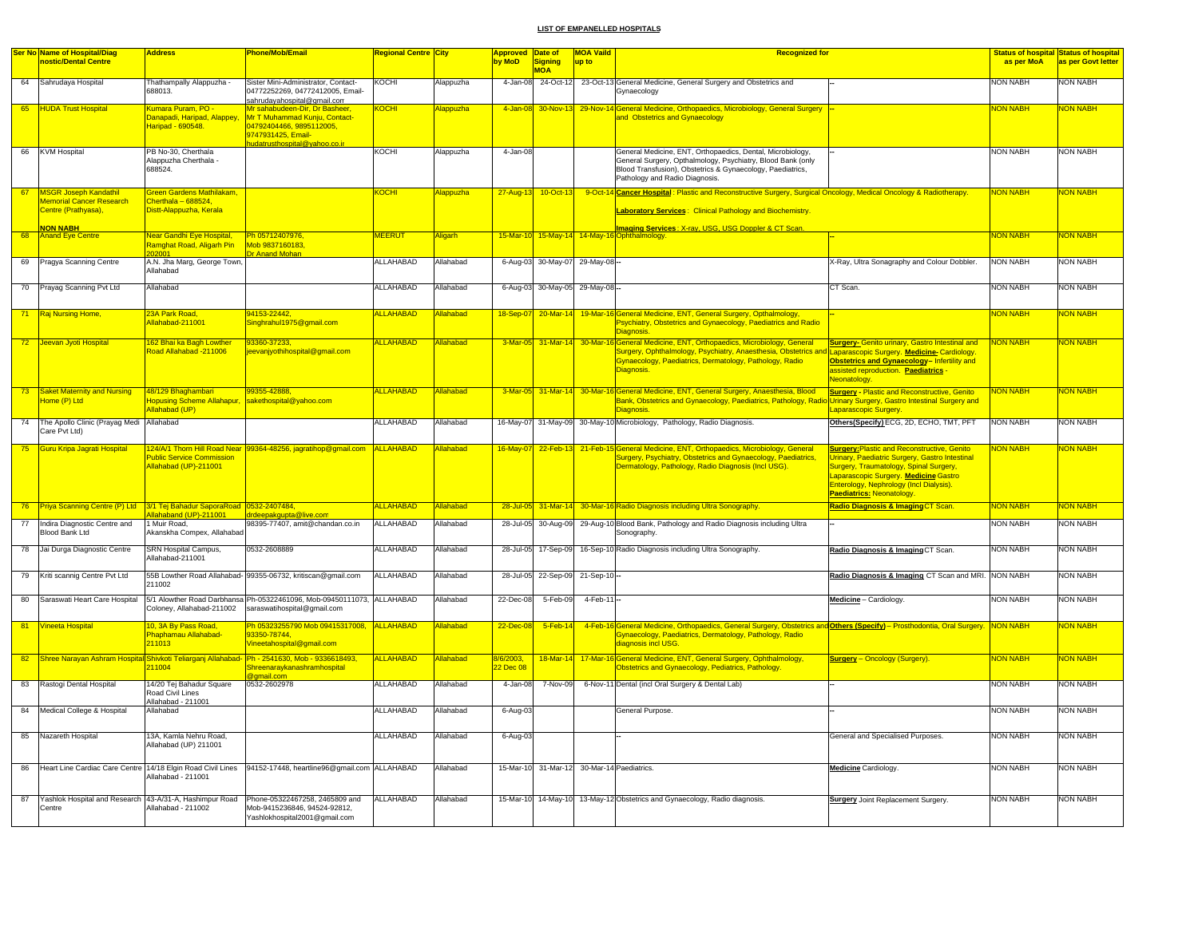|    | Ser No Name of Hospital/Diag    | <b>Address</b>                                     | Phone/Mob/Email                                                                                                        | <mark>Regional Centre City</mark> |                  | <b>Approved</b> | Date of            | <b>MOA Vaild</b>                           | <b>Recognized for</b>                                                                                                                                      |                                                                                                     |                 | <b>Status of hospital Status of hospital</b> |
|----|---------------------------------|----------------------------------------------------|------------------------------------------------------------------------------------------------------------------------|-----------------------------------|------------------|-----------------|--------------------|--------------------------------------------|------------------------------------------------------------------------------------------------------------------------------------------------------------|-----------------------------------------------------------------------------------------------------|-----------------|----------------------------------------------|
|    | nostic/Dental Centre            |                                                    |                                                                                                                        |                                   |                  | by MoD          | Signing            | up to                                      |                                                                                                                                                            |                                                                                                     | as per MoA      | as per Govt letter                           |
|    |                                 |                                                    |                                                                                                                        |                                   |                  |                 | <b>MOA</b>         |                                            |                                                                                                                                                            |                                                                                                     |                 |                                              |
| 64 | Sahrudaya Hospital              | Thathampally Alappuzha -                           | Sister Mini-Administrator, Contact-                                                                                    | KOCHI                             | Alappuzha        |                 |                    |                                            | 4-Jan-08 24-Oct-12 23-Oct-13 General Medicine, General Surgery and Obstetrics and                                                                          |                                                                                                     | <b>NON NABH</b> | <b>NON NABH</b>                              |
|    |                                 | 688013.                                            | 04772252269, 04772412005, Email-                                                                                       |                                   |                  |                 |                    |                                            | Gynaecology                                                                                                                                                |                                                                                                     |                 |                                              |
| 65 | <b>HUDA Trust Hospital</b>      | Kumara Puram, PO -                                 | sahrudayahospital@gmail.com<br>Mr sahabudeen-Dir. Dr Basheer                                                           | KOCHI                             | <b>Jappuzha</b>  | 4-Jan-08        | 30-Nov-13          |                                            | 29-Nov-14 General Medicine, Orthopaedics, Microbiology, General Surgery                                                                                    |                                                                                                     | <b>VON NABH</b> | <b>NON NABH</b>                              |
|    |                                 | Danapadi, Haripad, Alappey                         | Mr T Muhammad Kunju, Contact-                                                                                          |                                   |                  |                 |                    |                                            | and Obstetrics and Gynaecology                                                                                                                             |                                                                                                     |                 |                                              |
|    |                                 | Haripad - 690548.                                  | 04792404466, 9895112005,                                                                                               |                                   |                  |                 |                    |                                            |                                                                                                                                                            |                                                                                                     |                 |                                              |
|    |                                 |                                                    | 9747931425, Email-                                                                                                     |                                   |                  |                 |                    |                                            |                                                                                                                                                            |                                                                                                     |                 |                                              |
|    |                                 |                                                    | udatrusthospital@yahoo.co.ir                                                                                           |                                   |                  |                 |                    |                                            |                                                                                                                                                            |                                                                                                     |                 |                                              |
|    | 66 KVM Hospital                 | PB No-30, Cherthala<br>Alappuzha Cherthala -       |                                                                                                                        | KOCHI                             | Alappuzha        | 4-Jan-08        |                    |                                            | General Medicine, ENT, Orthopaedics, Dental, Microbiology,<br>General Surgery, Opthalmology, Psychiatry, Blood Bank (only                                  |                                                                                                     | <b>NON NABH</b> | <b>NON NABH</b>                              |
|    |                                 | 688524.                                            |                                                                                                                        |                                   |                  |                 |                    |                                            | Blood Transfusion), Obstetrics & Gynaecology, Paediatrics,                                                                                                 |                                                                                                     |                 |                                              |
|    |                                 |                                                    |                                                                                                                        |                                   |                  |                 |                    |                                            | Pathology and Radio Diagnosis.                                                                                                                             |                                                                                                     |                 |                                              |
| 67 | <b>MSGR Joseph Kandathil</b>    | <b>Green Gardens Mathilakam.</b>                   |                                                                                                                        | KOCH                              | dappuzha         |                 | 10-Oct-13          |                                            | 9-Oct-14 Cancer Hospital: Plastic and Reconstructive Surgery, Surgical Oncology, Medical Oncology & Radiotherapy.                                          |                                                                                                     | <b>NON NABH</b> | <b>NON NABH</b>                              |
|    | <b>Memorial Cancer Research</b> | Cherthala - 688524,                                |                                                                                                                        |                                   |                  | 27-Aug-13       |                    |                                            |                                                                                                                                                            |                                                                                                     |                 |                                              |
|    | Centre (Prathyasa),             | Distt-Alappuzha, Kerala                            |                                                                                                                        |                                   |                  |                 |                    |                                            | Laboratory Services: Clinical Pathology and Biochemistry.                                                                                                  |                                                                                                     |                 |                                              |
|    |                                 |                                                    |                                                                                                                        |                                   |                  |                 |                    |                                            |                                                                                                                                                            |                                                                                                     |                 |                                              |
|    | <b>NON NABH</b>                 | Near Gandhi Eye Hospital,                          | Ph 05712407976                                                                                                         | <b>MEERUT</b>                     |                  |                 |                    |                                            | <b>Imaging Services: X-rav. USG. USG Doppler &amp; CT Scan</b><br>15-Mar-10 15-May-14 14-May-16 Ophthalmology                                              |                                                                                                     | <b>NON NABH</b> | <b>NON NABH</b>                              |
| 68 | <b>Anand Eye Centre</b>         | <mark>Ramghat Road, Aligarh Pin</mark>             | Mob 9837160183.                                                                                                        |                                   | <b>Aligarh</b>   |                 |                    |                                            |                                                                                                                                                            |                                                                                                     |                 |                                              |
|    |                                 |                                                    | <b>Dr Anand Mohan</b>                                                                                                  |                                   |                  |                 |                    |                                            |                                                                                                                                                            |                                                                                                     |                 |                                              |
| 69 | Pragya Scanning Centre          | A.N. Jha Marg, George Town,                        |                                                                                                                        | <b>ALLAHABAD</b>                  | Allahabad        |                 |                    | 6-Aug-03 30-May-07 29-May-08 --            |                                                                                                                                                            | X-Ray, Ultra Sonagraphy and Colour Dobbler.                                                         | <b>NON NABH</b> | <b>NON NABH</b>                              |
|    |                                 | Allahabad                                          |                                                                                                                        |                                   |                  |                 |                    |                                            |                                                                                                                                                            |                                                                                                     |                 |                                              |
|    | 70 Prayag Scanning Pvt Ltd      | Allahabad                                          |                                                                                                                        | <b>ALLAHABAD</b>                  | Allahabad        |                 |                    | 6-Aug-03 30-May-05 29-May-08 --            |                                                                                                                                                            | CT Scan.                                                                                            | <b>NON NABH</b> | <b>NON NABH</b>                              |
|    |                                 |                                                    |                                                                                                                        |                                   |                  |                 |                    |                                            |                                                                                                                                                            |                                                                                                     |                 |                                              |
|    |                                 |                                                    |                                                                                                                        |                                   |                  |                 |                    |                                            |                                                                                                                                                            |                                                                                                     |                 |                                              |
| 71 | Raj Nursing Home,               | 23A Park Road,                                     | 94153-22442,                                                                                                           | <b>ALLAHABAD</b>                  | <b>Ilahabad</b>  |                 |                    |                                            | 18-Sep-07 20-Mar-14 19-Mar-16 General Medicine, ENT, General Surgery, Opthalmology,                                                                        |                                                                                                     | <b>NON NABH</b> | <b>NON NABH</b>                              |
|    |                                 | Allahabad-211001                                   | Singhrahul1975@gmail.com                                                                                               |                                   |                  |                 |                    |                                            | Psychiatry, Obstetrics and Gynaecology, Paediatrics and Radio                                                                                              |                                                                                                     |                 |                                              |
|    |                                 |                                                    |                                                                                                                        |                                   |                  |                 |                    |                                            | <b>Diagnosis</b>                                                                                                                                           |                                                                                                     |                 |                                              |
|    | 72 Jeevan Jyoti Hospital        | 162 Bhai ka Bagh Lowther<br>Road Allahabad -211006 | 93360-37233,<br>jeevanjyothihospital@gmail.com                                                                         | <b>ALLAHABAD</b>                  | <b>Ilahabad</b>  |                 |                    |                                            | 3-Mar-05 31-Mar-14 30-Mar-16 General Medicine, ENT, Orthopaedics, Microbiology, General<br>Surgery, Ophthalmology, Psychiatry, Anaesthesia, Obstetrics and | <b>Surgery- Genito urinary, Gastro Intestinal and</b><br>Laparascopic Surgery. Medicine-Cardiology. | <b>VON NABH</b> | <b>NON NABH</b>                              |
|    |                                 |                                                    |                                                                                                                        |                                   |                  |                 |                    |                                            | Gynaecology, Paediatrics, Dermatology, Pathology, Radio                                                                                                    | Obstetrics and Gynaecology- Infertility and                                                         |                 |                                              |
|    |                                 |                                                    |                                                                                                                        |                                   |                  |                 |                    |                                            | Diagnosis.                                                                                                                                                 | assisted reproduction. Paediatrics -                                                                |                 |                                              |
|    |                                 |                                                    |                                                                                                                        |                                   |                  |                 |                    |                                            |                                                                                                                                                            | <b>Jeonatology.</b>                                                                                 |                 |                                              |
| 73 | Saket Maternity and Nursing     | 48/129 Bhaghambari                                 | 99355-42888.                                                                                                           | <b>ALLAHABAD</b>                  | <b>Allahabad</b> |                 | 3-Mar-05 31-Mar-14 |                                            | 30-Mar-16 General Medicine, ENT, General Surgery, Anaesthesia, Blood                                                                                       | <b>Surgery - Plastic and Reconstructive, Genito</b>                                                 | <b>NON NABH</b> | <b>NON NABH</b>                              |
|    | Home (P) Ltd                    | <b>Hopusing Scheme Allahapur,</b>                  | sakethospital@yahoo.com                                                                                                |                                   |                  |                 |                    |                                            | Bank, Obstetrics and Gynaecology, Paediatrics, Pathology, Radio                                                                                            | <b>Jrinary Surgery, Gastro Intestinal Surgery and</b>                                               |                 |                                              |
|    |                                 | Allahabad (UP)                                     |                                                                                                                        |                                   |                  |                 |                    |                                            | Diagnosis                                                                                                                                                  | aparascopic Surgery.                                                                                |                 |                                              |
| 74 | The Apollo Clinic (Prayag Medi  | Allahabad                                          |                                                                                                                        | ALLAHABAD                         | Allahabad        |                 |                    |                                            | 16-May-07 31-May-09 30-May-10 Microbiology, Pathology, Radio Diagnosis.                                                                                    | Others(Specify) ECG, 2D, ECHO, TMT, PFT                                                             | <b>NON NABH</b> | <b>NON NABH</b>                              |
|    | Care Pvt Ltd)                   |                                                    |                                                                                                                        |                                   |                  |                 |                    |                                            |                                                                                                                                                            |                                                                                                     |                 |                                              |
| 75 | Guru Kripa Jagrati Hospital     |                                                    | 124/A/1 Thorn Hill Road Near 99364-48256, jagratihop@gmail.com ALLAHABAD                                               |                                   | <b>Ilahabad</b>  | 16-May-07       | 22-Feb-13          |                                            | 21-Feb-15 General Medicine, ENT, Orthopaedics, Microbiology, General                                                                                       | <b>Surgery: Plastic and Reconstructive, Genito</b>                                                  | <b>NON NABH</b> | <b>NON NABH</b>                              |
|    |                                 | Public Service Commission                          |                                                                                                                        |                                   |                  |                 |                    |                                            | Surgery, Psychiatry, Obstetrics and Gynaecology, Paediatrics,                                                                                              | <b>Jrinary, Paediatric Surgery, Gastro Intestinal</b>                                               |                 |                                              |
|    |                                 | Allahabad (UP)-211001                              |                                                                                                                        |                                   |                  |                 |                    |                                            | Dermatology, Pathology, Radio Diagnosis (Incl USG).                                                                                                        | Surgery, Traumatology, Spinal Surgery,                                                              |                 |                                              |
|    |                                 |                                                    |                                                                                                                        |                                   |                  |                 |                    |                                            |                                                                                                                                                            | Laparascopic Surgery. Medicine Gastro                                                               |                 |                                              |
|    |                                 |                                                    |                                                                                                                        |                                   |                  |                 |                    |                                            |                                                                                                                                                            | Enterology, Nephrology (Incl Dialysis).                                                             |                 |                                              |
|    |                                 |                                                    |                                                                                                                        |                                   |                  |                 |                    |                                            |                                                                                                                                                            | Paediatrics: Neonatology.                                                                           |                 |                                              |
| 76 | Priya Scanning Centre (P) Ltd   | 3/1 Tej Bahadur SaporaRoad 0532-2407484,           |                                                                                                                        | <b>ALLAHABAD</b>                  | Allahabad        |                 |                    |                                            | 28-Jul-05 31-Mar-14 30-Mar-16 Radio Diagnosis including Ultra Sonography.                                                                                  | Radio Diagnosis & Imaging CT Scan.                                                                  | <b>NON NABH</b> | <b>NON NABH</b>                              |
| 77 | Indira Diagnostic Centre and    | lahaband (UP)-211001<br>1 Muir Road.               | drdeepakgupta@live.com<br>98395-77407, amit@chandan.co.in                                                              | ALLAHABAD                         | Allahabad        |                 |                    |                                            | 28-Jul-05 30-Aug-09 29-Aug-10 Blood Bank, Pathology and Radio Diagnosis including Ultra                                                                    |                                                                                                     | <b>NON NABH</b> | <b>NON NABH</b>                              |
|    | Blood Bank Ltd                  | Akanskha Compex, Allahabad                         |                                                                                                                        |                                   |                  |                 |                    |                                            | Sonography.                                                                                                                                                |                                                                                                     |                 |                                              |
|    |                                 |                                                    |                                                                                                                        |                                   |                  |                 |                    |                                            |                                                                                                                                                            |                                                                                                     |                 |                                              |
|    | 78 Jai Durga Diagnostic Centre  | SRN Hospital Campus,<br>Allahabad-211001           | 0532-2608889                                                                                                           | ALLAHABAD                         | Allahabad        |                 |                    |                                            | 28-Jul-05 17-Sep-09 16-Sep-10 Radio Diagnosis including Ultra Sonography.                                                                                  | Radio Diagnosis & Imaging CT Scan.                                                                  | <b>NON NABH</b> | NON NABH                                     |
|    |                                 |                                                    |                                                                                                                        |                                   |                  |                 |                    |                                            |                                                                                                                                                            |                                                                                                     |                 |                                              |
| 79 | Kriti scannig Centre Pvt Ltd    |                                                    | 55B Lowther Road Allahabad- 99355-06732, kritiscan@gmail.com                                                           | ALLAHABAD                         | Allahabad        |                 |                    | 28-Jul-05 22-Sep-09 21-Sep-10 -            |                                                                                                                                                            | Radio Diagnosis & Imaging CT Scan and MRI. NON NABH                                                 |                 | <b>NON NABH</b>                              |
|    |                                 | 211002                                             |                                                                                                                        |                                   |                  |                 |                    |                                            |                                                                                                                                                            |                                                                                                     |                 |                                              |
| 80 | Saraswati Heart Care Hospital   |                                                    | 5/1 Alowther Road Darbhansa Ph-05322461096, Mob-09450111073, ALLAHABAD                                                 |                                   | Allahabad        | 22-Dec-08       | 5-Feb-09           | 4-Feb-11 -                                 |                                                                                                                                                            | Medicine - Cardiology.                                                                              | <b>NON NABH</b> | <b>NON NABH</b>                              |
|    |                                 | Coloney, Allahabad-211002                          | saraswatihospital@gmail.com                                                                                            |                                   |                  |                 |                    |                                            |                                                                                                                                                            |                                                                                                     |                 |                                              |
|    |                                 |                                                    |                                                                                                                        |                                   |                  |                 |                    |                                            |                                                                                                                                                            |                                                                                                     |                 |                                              |
| 81 | <b>Vineeta Hospital</b>         | 10, 3A By Pass Road,<br>Phaphamau Allahabad-       | Ph 05323255790 Mob 09415317008, ALLAHABAD<br>93350-78744.                                                              |                                   | <b>Ilahabad</b>  | 22-Dec-         | $5$ -Feb-14        |                                            | 4-Feb-16 General Medicine, Orthopaedics, General Surgery, Obstetrics and Others (Specify) - Prosthodontia, Oral Surgery. NON NABH                          |                                                                                                     |                 | <b>NON NABH</b>                              |
|    |                                 | 211013                                             | Vineetahospital@gmail.com                                                                                              |                                   |                  |                 |                    |                                            | Gynaecology, Paediatrics, Dermatology, Pathology, Radio<br>diagnosis incl USG.                                                                             |                                                                                                     |                 |                                              |
|    |                                 |                                                    |                                                                                                                        |                                   |                  |                 |                    |                                            |                                                                                                                                                            |                                                                                                     |                 |                                              |
|    |                                 |                                                    | 82 Shree Narayan Ashram Hospital Shivkoti Teliarganj Allahabad- Ph - 2541630, Mob - 9336618493,                        | ALLAHABAD                         | Allahabad        | 8/6/2003.       |                    |                                            | 18-Mar-14 17-Mar-16 General Medicine, ENT, General Surgery, Ophthalmology,                                                                                 | <b>Surgery</b> - Oncology (Surgery).                                                                | <b>NON NABH</b> | <b>NON NABH</b>                              |
|    |                                 | 211004                                             | Shreenaraykanashramhospital<br>2 amail.com                                                                             |                                   |                  | 2 Dec 08        |                    |                                            | Obstetrics and Gynaecology, Pediatrics, Pathology.                                                                                                         |                                                                                                     |                 |                                              |
|    | 83 Rastogi Dental Hospital      | 14/20 Tej Bahadur Square                           | 0532-2602978                                                                                                           | ALLAHABAD                         | Allahabad        | 4-Jan-08        | 7-Nov-09           |                                            | 6-Nov-11 Dental (incl Oral Surgery & Dental Lab)                                                                                                           |                                                                                                     | <b>NON NABH</b> | <b>NON NABH</b>                              |
|    |                                 | Road Civil Lines                                   |                                                                                                                        |                                   |                  |                 |                    |                                            |                                                                                                                                                            |                                                                                                     |                 |                                              |
|    |                                 | Allahabad - 211001                                 |                                                                                                                        |                                   |                  |                 |                    |                                            |                                                                                                                                                            |                                                                                                     |                 |                                              |
|    | 84 Medical College & Hospital   | Allahabad                                          |                                                                                                                        | <b>ALLAHABAD</b>                  | Allahabad        | 6-Aug-03        |                    |                                            | General Purpose.                                                                                                                                           |                                                                                                     | <b>NON NABH</b> | <b>NON NABH</b>                              |
|    |                                 |                                                    |                                                                                                                        |                                   |                  |                 |                    |                                            |                                                                                                                                                            |                                                                                                     |                 |                                              |
| 85 | Nazareth Hospital               | 13A, Kamla Nehru Road,                             |                                                                                                                        | ALLAHABAD                         | Allahabad        | 6-Aug-03        |                    |                                            |                                                                                                                                                            | General and Specialised Purposes.                                                                   | <b>NON NABH</b> | <b>NON NABH</b>                              |
|    |                                 | Allahabad (UP) 211001                              |                                                                                                                        |                                   |                  |                 |                    |                                            |                                                                                                                                                            |                                                                                                     |                 |                                              |
|    |                                 |                                                    |                                                                                                                        |                                   |                  |                 |                    |                                            |                                                                                                                                                            |                                                                                                     |                 |                                              |
| 86 |                                 |                                                    | Heart Line Cardiac Care Centre 14/18 Elgin Road Civil Lines 94152-17448, heartline96@gmail.com ALLAHABAD               |                                   | Allahabad        |                 |                    | 15-Mar-10 31-Mar-12 30-Mar-14 Paediatrics. |                                                                                                                                                            | <b>Medicine</b> Cardiology.                                                                         | <b>NON NABH</b> | <b>NON NABH</b>                              |
|    |                                 | Allahabad - 211001                                 |                                                                                                                        |                                   |                  |                 |                    |                                            |                                                                                                                                                            |                                                                                                     |                 |                                              |
|    |                                 |                                                    |                                                                                                                        |                                   |                  |                 |                    |                                            |                                                                                                                                                            |                                                                                                     |                 |                                              |
| 87 |                                 | Allahabad - 211002                                 | Yashlok Hospital and Research 43-A/31-A, Hashimpur Road Phone-05322467258, 2465809 and<br>Mob-9415236846, 94524-92812, | ALLAHABAD                         | Allahabad        |                 |                    |                                            | 15-Mar-10 14-May-10 13-May-12 Obstetrics and Gynaecology, Radio diagnosis.                                                                                 | <b>Surgery</b> Joint Replacement Surgery.                                                           | <b>NON NABH</b> | NON NABH                                     |
|    | Centre                          |                                                    | Yashlokhospital2001@gmail.com                                                                                          |                                   |                  |                 |                    |                                            |                                                                                                                                                            |                                                                                                     |                 |                                              |
|    |                                 |                                                    |                                                                                                                        |                                   |                  |                 |                    |                                            |                                                                                                                                                            |                                                                                                     |                 |                                              |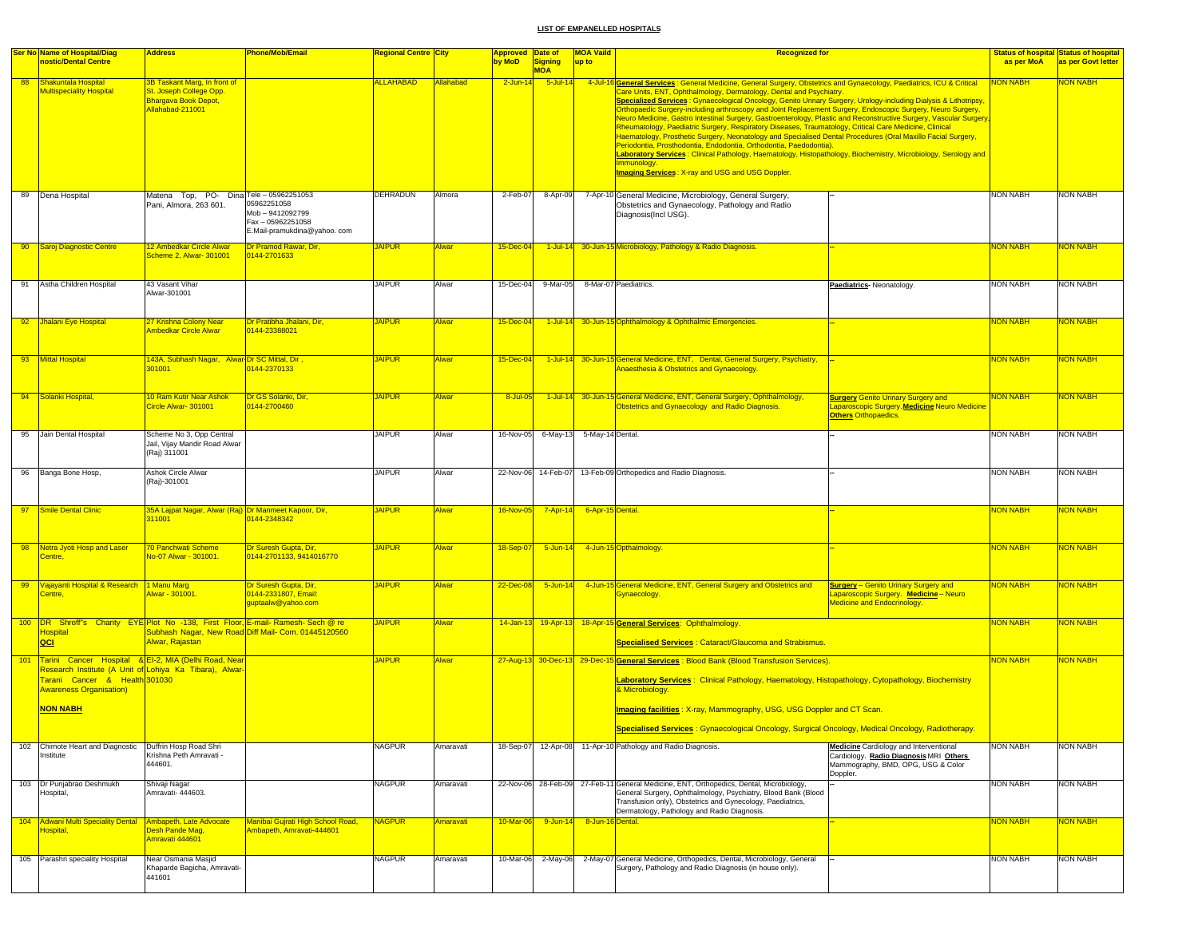|                 | <b>Ser No Name of Hospital/Diag</b><br>nostic/Dental Centre                                                                                                                                                     | <b>Address</b>                                                                                      | <b>Phone/Mob/Email</b>                                                              | Regional Centre City |              | Approved Date of<br>by MoD | <b>Signing</b>            | <b>MOA Vaild</b><br>up to | <b>Recognized for</b>                                                                                                                                                                                                                                                                                                                                                                                                                                                                                                                                                                                                                                                                                                                                                                                                                                                                                                                                                                                                                             |                                                                                                                                           | as per MoA      | <b>Status of hospital Status of hospital</b><br>as per Govt letter |
|-----------------|-----------------------------------------------------------------------------------------------------------------------------------------------------------------------------------------------------------------|-----------------------------------------------------------------------------------------------------|-------------------------------------------------------------------------------------|----------------------|--------------|----------------------------|---------------------------|---------------------------|---------------------------------------------------------------------------------------------------------------------------------------------------------------------------------------------------------------------------------------------------------------------------------------------------------------------------------------------------------------------------------------------------------------------------------------------------------------------------------------------------------------------------------------------------------------------------------------------------------------------------------------------------------------------------------------------------------------------------------------------------------------------------------------------------------------------------------------------------------------------------------------------------------------------------------------------------------------------------------------------------------------------------------------------------|-------------------------------------------------------------------------------------------------------------------------------------------|-----------------|--------------------------------------------------------------------|
| 88              | Shakuntala Hospital<br><b>Multispeciality Hospital</b>                                                                                                                                                          | 3B Taskant Marg, In front of<br>St. Joseph College Opp.<br>Bhargava Book Depot,<br>Allahabad-211001 |                                                                                     | <b>ALLAHABAD</b>     | Allahabad    | $2$ -Jun-1                 | <b>MOA</b><br>$5$ -Jul-14 |                           | 4-Jul-16 General Services : General Medicine, General Surgery, Obstetrics and Gynaecology, Paediatrics, ICU & Critical<br>Care Units, ENT, Ophthalmology, Dermatology, Dental and Psychiatry.<br>Specialized Services: Gynaecological Oncology, Genito Urinary Surgery, Urology-including Dialysis & Lithotripsy,<br>Orthopaedic Surgery-including arthroscopy and Joint Replacement Surgery, Endoscopic Surgery, Neuro Surgery,<br>Neuro Medicine, Gastro Intestinal Surgery, Gastroenterology, Plastic and Reconstructive Surgery, Vascular Surgery<br>Rheumatology, Paediatric Surgery, Respiratory Diseases, Traumatology, Critical Care Medicine, Clinical<br>Haematology, Prosthetic Surgery, Neonatology and Specialised Dental Procedures (Oral Maxillo Facial Surgery,<br>Periodontia, Prosthodontia, Endodontia, Orthodontia, Paedodontia).<br>Laboratory Services: Clinical Pathology, Haematology, Histopathology, Biochemistry, Microbiology, Serology and<br>Immunology.<br><b>Imaging Services: X-ray and USG and USG Doppler.</b> |                                                                                                                                           | <b>JON NABH</b> | <b>VON NABH</b>                                                    |
|                 | 89 Dena Hospital                                                                                                                                                                                                | Matena Top, PO- Dina Tele - 05962251053<br>Pani, Almora, 263 601.                                   | 05962251058<br>Mob - 9412092799<br>Fax - 05962251058<br>E.Mail-pramukdina@yahoo.com | DEHRADUN             | Almora       | 2-Feb-07                   | 8-Apr-09                  |                           | 7-Apr-10 General Medicine, Microbiology, General Surgery,<br>Obstetrics and Gynaecology, Pathology and Radio<br>Diagnosis(Incl USG).                                                                                                                                                                                                                                                                                                                                                                                                                                                                                                                                                                                                                                                                                                                                                                                                                                                                                                              |                                                                                                                                           | <b>NON NABH</b> | NON NABH                                                           |
| 90 <sub>o</sub> | Saroj Diagnostic Centre                                                                                                                                                                                         | <u>12 Ambedkar Circle Alwar</u><br>Scheme 2, Alwar- 301001                                          | Dr Pramod Rawar, Dir,<br>0144-2701633                                               | <b>IAIPUR</b>        | Alwar        | 15-Dec-04                  |                           |                           | 1-Jul-14 30-Jun-15 Microbiology, Pathology & Radio Diagnosis.                                                                                                                                                                                                                                                                                                                                                                                                                                                                                                                                                                                                                                                                                                                                                                                                                                                                                                                                                                                     |                                                                                                                                           | <b>NON NABH</b> | ION NABI                                                           |
|                 | 91 Astha Children Hospital                                                                                                                                                                                      | 43 Vasant Vihar<br>Alwar-301001                                                                     |                                                                                     | <b>JAIPUR</b>        | Alwar        | 15-Dec-04                  | 9-Mar-05                  |                           | 8-Mar-07 Paediatrics.                                                                                                                                                                                                                                                                                                                                                                                                                                                                                                                                                                                                                                                                                                                                                                                                                                                                                                                                                                                                                             | Paediatrics-Neonatology.                                                                                                                  | <b>NON NABH</b> | <b>NON NABH</b>                                                    |
|                 | 92 Jhalani Eye Hospital                                                                                                                                                                                         | 27 Krishna Colony Near<br>Ambedkar Circle Alwar                                                     | Dr Pratibha Jhalani, Dir,<br>0144-23388021                                          | <b>JAIPUR</b>        | Alwar        | 15-Dec-04                  | $1$ -Jul-14               |                           | 30-Jun-15 Ophthalmology & Ophthalmic Emergencies.                                                                                                                                                                                                                                                                                                                                                                                                                                                                                                                                                                                                                                                                                                                                                                                                                                                                                                                                                                                                 |                                                                                                                                           | <b>NON NABH</b> | <b>VON NABH</b>                                                    |
|                 | 93 Mittal Hospital                                                                                                                                                                                              | , 143A, Subhash Nagar, Alwar Dr SC Mittal, Dir<br>301001                                            | 0144-2370133                                                                        | <b>JAIPUR</b>        | <b>Alwar</b> | 15-Dec-04                  | $1$ -Jul-14               |                           | 30-Jun-15 General Medicine, ENT, Dental, General Surgery, Psychiatry,<br>Anaesthesia & Obstetrics and Gynaecology.                                                                                                                                                                                                                                                                                                                                                                                                                                                                                                                                                                                                                                                                                                                                                                                                                                                                                                                                |                                                                                                                                           | <b>NON NABH</b> | <b>NON NABH</b>                                                    |
|                 | 94 Solanki Hospital                                                                                                                                                                                             | 10 Ram Kutir Near Ashok<br>Circle Alwar- 301001                                                     | Dr GS Solanki, Dir.<br>0144-2700460                                                 | <b>JAIPUR</b>        | <b>Alwar</b> | 8-Jul-0                    | $1$ -Jul-14               |                           | 30-Jun-15 General Medicine, ENT, General Surgery, Ophthalmology,<br>Obstetrics and Gynaecology and Radio Diagnosis.                                                                                                                                                                                                                                                                                                                                                                                                                                                                                                                                                                                                                                                                                                                                                                                                                                                                                                                               | <b>Surgery Genito Urinary Surgery and</b><br>Laparoscopic Surgery. Medicine Neuro Medicine<br><b>Others Orthopaedics.</b>                 | <b>NON NABH</b> | NON NABH                                                           |
|                 | 95 Jain Dental Hospital                                                                                                                                                                                         | Scheme No 3, Opp Central<br>Jail, Vijay Mandir Road Alwar<br>(Raj) 311001                           |                                                                                     | <b>JAIPUR</b>        | Alwar        | 16-Nov-05                  | 6-May-13                  | 5-May-14 Dental.          |                                                                                                                                                                                                                                                                                                                                                                                                                                                                                                                                                                                                                                                                                                                                                                                                                                                                                                                                                                                                                                                   |                                                                                                                                           | <b>NON NABH</b> | <b>NON NABH</b>                                                    |
| 96              | Banga Bone Hosp,                                                                                                                                                                                                | Ashok Circle Alwar<br>(Raj)-301001                                                                  |                                                                                     | <b>JAIPUR</b>        | Alwar        | 22-Nov-06                  | 14-Feb-07                 |                           | 13-Feb-09 Orthopedics and Radio Diagnosis.                                                                                                                                                                                                                                                                                                                                                                                                                                                                                                                                                                                                                                                                                                                                                                                                                                                                                                                                                                                                        |                                                                                                                                           | <b>NON NABH</b> | <b>NON NABH</b>                                                    |
| 97              | Smile Dental Clinic                                                                                                                                                                                             | 35A Lajpat Nagar, Alwar (Raj) Dr Manmeet Kapoor, Dir,<br>311001                                     | 0144-2348342                                                                        | <b>AIPUR</b>         | Alwar        | 16-Nov-05                  | $7 - Apr-14$              | 6-Apr-15 Dental.          |                                                                                                                                                                                                                                                                                                                                                                                                                                                                                                                                                                                                                                                                                                                                                                                                                                                                                                                                                                                                                                                   |                                                                                                                                           | NON NABH        | <b>JON NABH</b>                                                    |
| 98              | Netra Jyoti Hosp and Laser<br>Centre,                                                                                                                                                                           | 70 Panchwati Scheme<br>Vo-07 Alwar - 301001.                                                        | Dr Suresh Gupta, Dir,<br>0144-2701133, 9414016770                                   | <b>JAIPUR</b>        | <b>Alwar</b> | 18-Sep-07                  | $5 - Jun - 14$            |                           | 4-Jun-15 Opthalmology                                                                                                                                                                                                                                                                                                                                                                                                                                                                                                                                                                                                                                                                                                                                                                                                                                                                                                                                                                                                                             |                                                                                                                                           | <b>NON NABH</b> | <mark>NON NABH</mark>                                              |
|                 | 99 Vajayanti Hospital & Research 1 Manu Marg<br>Centre,                                                                                                                                                         | Alwar - 301001.                                                                                     | Dr Suresh Gupta, Dir,<br>0144-2331807, Email:<br>guptaalw@yahoo.com                 | <b>JAIPUR</b>        | <b>Alwar</b> | $22$ -Dec-08               |                           |                           | 5-Jun-14 4-Jun-15 General Medicine, ENT, General Surgery and Obstetrics and<br>Gynaecology.                                                                                                                                                                                                                                                                                                                                                                                                                                                                                                                                                                                                                                                                                                                                                                                                                                                                                                                                                       | <b>Surgery</b> - Genito Urinary Surgery and<br>Laparoscopic Surgery. Medicine - Neuro<br>Medicine and Endocrinology.                      | <b>NON NABH</b> | <b>NON NABH</b>                                                    |
|                 | 100 DR Shroff's Charity EYE Plot No -138, First Floor, E-mail- Ramesh- Sech @ re<br><b>Hospital</b><br>QCI                                                                                                      | Alwar, Rajastan                                                                                     | Subhash Nagar, New Road Diff Mail- Com. 01445120560                                 | <b>JAIPUR</b>        | <b>Alwar</b> |                            |                           |                           | 14-Jan-13 19-Apr-13 18-Apr-15 General Services: Ophthalmology.<br><b>Specialised Services: Cataract/Glaucoma and Strabismus.</b>                                                                                                                                                                                                                                                                                                                                                                                                                                                                                                                                                                                                                                                                                                                                                                                                                                                                                                                  |                                                                                                                                           | <b>NON NABH</b> | <b>NON NABH</b>                                                    |
|                 | 101 Tarini Cancer Hospital & EI-2, MIA (Delhi Road, Near<br>Research Institute (A Unit of Lohiya Ka Tibara), Alwar-<br>Farani Cancer & Health 301030<br><b>Awareness Organisation)</b><br><mark>NON NABH</mark> |                                                                                                     |                                                                                     | <b>AIPUR</b>         | <b>Alwar</b> |                            |                           |                           | 27-Aug-13 30-Dec-13 29-Dec-15 General Services: Blood Bank (Blood Transfusion Services).<br>Laboratory Services: Clinical Pathology, Haematology, Histopathology, Cytopathology, Biochemistry<br>& Microbiology.<br>Imaging facilities: X-ray, Mammography, USG, USG Doppler and CT Scan.<br>Specialised Services : Gynaecological Oncology, Surgical Oncology, Medical Oncology, Radiotherapy.                                                                                                                                                                                                                                                                                                                                                                                                                                                                                                                                                                                                                                                   |                                                                                                                                           | <b>NON NABH</b> | NON NABH                                                           |
|                 | 102 Chimote Heart and Diagnostic<br>Institute                                                                                                                                                                   | Duffrin Hosp Road Shri<br>Krishna Peth Amravati -<br>444601.                                        |                                                                                     | NAGPUR               | Amaravati    | 18-Sep-07                  | 12-Apr-08                 |                           | 11-Apr-10 Pathology and Radio Diagnosis.                                                                                                                                                                                                                                                                                                                                                                                                                                                                                                                                                                                                                                                                                                                                                                                                                                                                                                                                                                                                          | <b>Medicine</b> Cardiology and Interventional<br>Cardiology. Radio Diagnosis MRI Others<br>Mammography, BMD, OPG, USG & Color<br>Doppler. | <b>NON NABH</b> | <b>NON NABH</b>                                                    |
|                 | 103 Dr Punjabrao Deshmukh<br>lospital,                                                                                                                                                                          | Shivaji Nagar<br>Amravati- 444603.                                                                  |                                                                                     | <b>NAGPUR</b>        | Amaravati    |                            | 22-Nov-06 28-Feb-09       |                           | 27-Feb-11 General Medicine, ENT, Orthopedics, Dental, Microbiology,<br>General Surgery, Ophthalmology, Psychiatry, Blood Bank (Blood<br>Transfusion only), Obstetrics and Gynecology, Paediatrics,<br>Dermatology, Pathology and Radio Diagnosis.                                                                                                                                                                                                                                                                                                                                                                                                                                                                                                                                                                                                                                                                                                                                                                                                 |                                                                                                                                           | <b>NON NABH</b> | <b>NON NABH</b>                                                    |
|                 | 104 Adwani Multi Speciality Dental<br>lospital,                                                                                                                                                                 | Ambapeth, Late Advocate<br>Desh Pande Mag.<br>Amravati 444601                                       | Manibai Gujrati High School Road,<br>Ambapeth, Amravati-444601                      | <b>NAGPUR</b>        | Amaravati    | 10-Mar-06                  | $9 - Jun-14$              | 8-Jun-16 Dental.          |                                                                                                                                                                                                                                                                                                                                                                                                                                                                                                                                                                                                                                                                                                                                                                                                                                                                                                                                                                                                                                                   |                                                                                                                                           | <b>NON NABH</b> | <b>VON NABH</b>                                                    |
|                 | 105 Parashri speciality Hospital                                                                                                                                                                                | Near Osmania Masjid<br>Khaparde Bagicha, Amravati-<br>441601                                        |                                                                                     | <b>NAGPUR</b>        | Amaravati    | 10-Mar-06                  | 2-May-06                  |                           | 2-May-07 General Medicine, Orthopedics, Dental, Microbiology, General<br>Surgery, Pathology and Radio Diagnosis (in house only).                                                                                                                                                                                                                                                                                                                                                                                                                                                                                                                                                                                                                                                                                                                                                                                                                                                                                                                  |                                                                                                                                           | <b>NON NABH</b> | <b>NON NABH</b>                                                    |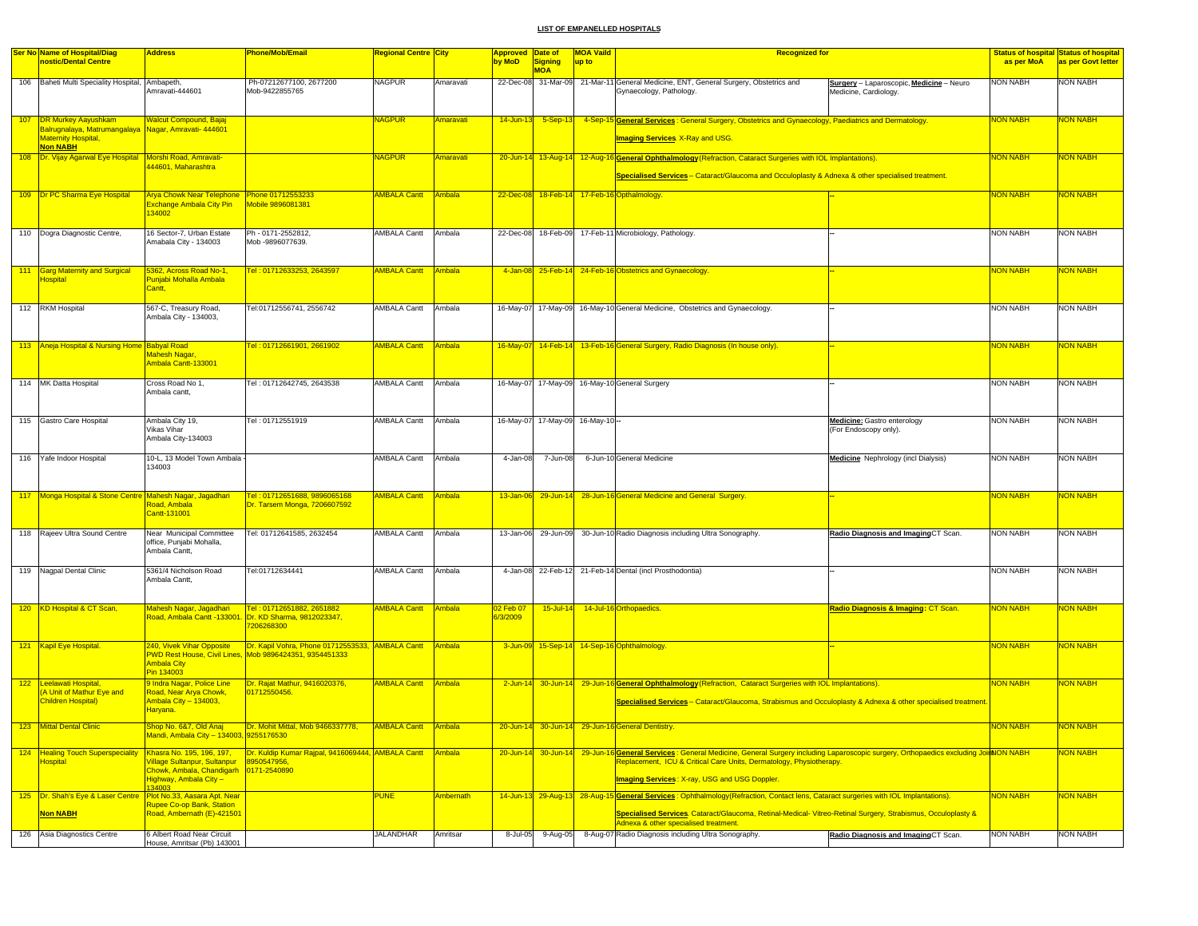|     | <b>Ser No Name of Hospital/Diag</b>                                                                    | <b>Address</b>                                                                           | <b>Phone/Mob/Email</b>                                                                                             | Regional Centre <mark>City</mark> |                  | Approved Date of |                                  | <b>MOA Vaild</b> | <b>Recognized for</b>                                                                                                                                                                                                                                                                |                                                                   |                 | <b>Status of hospital Status of hospital</b> |
|-----|--------------------------------------------------------------------------------------------------------|------------------------------------------------------------------------------------------|--------------------------------------------------------------------------------------------------------------------|-----------------------------------|------------------|------------------|----------------------------------|------------------|--------------------------------------------------------------------------------------------------------------------------------------------------------------------------------------------------------------------------------------------------------------------------------------|-------------------------------------------------------------------|-----------------|----------------------------------------------|
|     | nostic/Dental Centre                                                                                   |                                                                                          |                                                                                                                    |                                   |                  | by MoD           | <b>Signing</b>                   | up to            |                                                                                                                                                                                                                                                                                      |                                                                   | as per MoA      | as per Govt letter                           |
|     | 106 Baheti Multi Speciality Hospital,                                                                  | Ambapeth.<br>Amravati-444601                                                             | Ph-07212677100, 2677200<br>Mob-9422855765                                                                          | <b>NAGPUR</b>                     | Amaravati        |                  | <b>MOA</b>                       |                  | 22-Dec-08 31-Mar-09 21-Mar-11 General Medicine, ENT, General Surgery, Obstetrics and<br>Gynaecology, Pathology.                                                                                                                                                                      | Surgery - Laparoscopic, Medicine - Neuro<br>Medicine, Cardiology. | <b>NON NABH</b> | NON NABH                                     |
|     |                                                                                                        |                                                                                          |                                                                                                                    |                                   |                  |                  |                                  |                  |                                                                                                                                                                                                                                                                                      |                                                                   |                 |                                              |
| 107 | <b>DR Murkey Aayushkam</b>                                                                             | <b>Nalcut Compound, Bajaj</b>                                                            |                                                                                                                    | <b>VAGPUR</b>                     | <b>Imaravati</b> | $14$ -Jun-13     | $5-Sep-13$                       |                  | 4-Sep-15 General Services: General Surgery, Obstetrics and Gynaecology, Paediatrics and Dermatology.                                                                                                                                                                                 |                                                                   | <b>NON NABH</b> | <b>VON NABH</b>                              |
|     | Balrugnalaya, Matrumangalaya Kagar, Amravati- 444601<br><b>Maternity Hospital</b> ,<br><b>Non NABH</b> |                                                                                          |                                                                                                                    |                                   |                  |                  |                                  |                  | <b>Imaging Services</b> X-Ray and USG.                                                                                                                                                                                                                                               |                                                                   |                 |                                              |
|     | 108 Dr. Vijay Agarwal Eye Hospital Morshi Road, Amravati-                                              |                                                                                          |                                                                                                                    | <b>NAGPUR</b>                     | <b>Amaravati</b> |                  |                                  |                  | 20-Jun-14 13-Aug-14 12-Aug-16 General Ophthalmology (Refraction, Cataract Surgeries with IOL Implantations).                                                                                                                                                                         |                                                                   | <b>NON NABH</b> | <mark>NON NABH</mark>                        |
|     |                                                                                                        | 144601, Maharashtra                                                                      |                                                                                                                    |                                   |                  |                  |                                  |                  | Specialised Services - Cataract/Glaucoma and Occuloplasty & Adnexa & other specialised treatment.                                                                                                                                                                                    |                                                                   |                 |                                              |
|     | 109 Dr PC Sharma Eye Hospital                                                                          | Arya Chowk Near Telephone Phone 01712553233<br><b>Exchange Ambala City Pin</b><br>134002 | Mobile 9896081381                                                                                                  | <b>AMBALA Cantt Ambala</b>        |                  |                  |                                  |                  | 22-Dec-08 18-Feb-14 17-Feb-16 Opthalmology.                                                                                                                                                                                                                                          |                                                                   | <b>NON NABH</b> | <b>NON NABH</b>                              |
|     | 110 Dogra Diagnostic Centre,                                                                           | 16 Sector-7, Urban Estate<br>Amabala City - 134003                                       | Ph - 0171-2552812,<br>Mob -9896077639.                                                                             | AMBALA Cantt                      | Ambala           |                  |                                  |                  | 22-Dec-08 18-Feb-09 17-Feb-11 Microbiology, Pathology                                                                                                                                                                                                                                |                                                                   | <b>NON NABH</b> | <b>NON NABH</b>                              |
|     | 111 Garg Maternity and Surgical                                                                        | 5362, Across Road No-1,                                                                  | Tel: 01712633253, 2643597                                                                                          | <b>AMBALA Cantt</b>               | Ambala           |                  |                                  |                  | 4-Jan-08 25-Feb-14 24-Feb-16 Obstetrics and Gynaecology.                                                                                                                                                                                                                             |                                                                   | <b>NON NABH</b> | NON NABH                                     |
|     | <b>lospital</b>                                                                                        | Punjabi Mohalla Ambala<br>Cantt,                                                         |                                                                                                                    |                                   |                  |                  |                                  |                  |                                                                                                                                                                                                                                                                                      |                                                                   |                 |                                              |
|     | 112 RKM Hospital                                                                                       | 567-C, Treasury Road,                                                                    | Tel:01712556741, 2556742                                                                                           | <b>AMBALA Cantt</b>               | Ambala           |                  |                                  |                  | 16-May-07 17-May-09 16-May-10 General Medicine, Obstetrics and Gynaecology.                                                                                                                                                                                                          |                                                                   | NON NABH        | <b>NON NABH</b>                              |
|     |                                                                                                        | Ambala City - 134003,                                                                    |                                                                                                                    |                                   |                  |                  |                                  |                  |                                                                                                                                                                                                                                                                                      |                                                                   |                 |                                              |
|     | 113 Aneja Hospital & Nursing Home Babyal Road                                                          |                                                                                          | Tel: 01712661901, 2661902                                                                                          | <b>AMBALA Cantt</b>               | Ambala           |                  |                                  |                  | 16-May-07 14-Feb-14 13-Feb-16 General Surgery, Radio Diagnosis (In house only).                                                                                                                                                                                                      |                                                                   | <b>NON NABH</b> | <mark>NON NABH</mark>                        |
|     |                                                                                                        | Mahesh Nagar,<br>Ambala Cantt-133001                                                     |                                                                                                                    |                                   |                  |                  |                                  |                  |                                                                                                                                                                                                                                                                                      |                                                                   |                 |                                              |
|     | 114 MK Datta Hospital                                                                                  | Cross Road No 1,<br>Ambala cantt,                                                        | Tel: 01712642745, 2643538                                                                                          | AMBALA Cantt                      | Ambala           |                  |                                  |                  | 16-May-07 17-May-09 16-May-10 General Surgery                                                                                                                                                                                                                                        |                                                                   | NON NABH        | <b>NON NABH</b>                              |
|     | 115 Gastro Care Hospital                                                                               | Ambala City 19,                                                                          | Tel: 01712551919                                                                                                   | AMBALA Cantt                      | Ambala           |                  | 16-May-07 17-May-09 16-May-10 -- |                  |                                                                                                                                                                                                                                                                                      | <b>Medicine:</b> Gastro enterology                                | <b>NON NABH</b> | <b>NON NABH</b>                              |
|     |                                                                                                        | Vikas Vihar<br>Ambala City-134003                                                        |                                                                                                                    |                                   |                  |                  |                                  |                  |                                                                                                                                                                                                                                                                                      | (For Endoscopy only).                                             |                 |                                              |
|     | 116 Yafe Indoor Hospital                                                                               | 10-L, 13 Model Town Ambala<br>134003                                                     |                                                                                                                    | AMBALA Cantt                      | Ambala           | 4-Jan-08         | 7-Jun-08                         |                  | 6-Jun-10 General Medicine                                                                                                                                                                                                                                                            | <b>Medicine</b> Nephrology (incl Dialysis)                        | <b>NON NABH</b> | <b>NON NABH</b>                              |
|     |                                                                                                        |                                                                                          |                                                                                                                    |                                   |                  |                  |                                  |                  |                                                                                                                                                                                                                                                                                      |                                                                   |                 |                                              |
|     | 117 Monga Hospital & Stone Centre Mahesh Nagar, Jagadhari                                              | Road, Ambala<br>Cantt-131001                                                             | Tel: 01712651688, 9896065168<br>Dr. Tarsem Monga, 7206607592                                                       | <b>AMBALA Cantt</b>               | <b>Ambala</b>    |                  |                                  |                  | 13-Jan-06 29-Jun-14 28-Jun-16 General Medicine and General Surgery.                                                                                                                                                                                                                  |                                                                   | <b>NON NABH</b> | <mark>NON NABH</mark>                        |
|     | 118 Rajeev Ultra Sound Centre                                                                          | Near Municipal Committee<br>office, Punjabi Mohalla,<br>Ambala Cantt,                    | Tel: 01712641585, 2632454                                                                                          | AMBALA Cantt                      | Ambala           |                  |                                  |                  | 13-Jan-06 29-Jun-09 30-Jun-10 Radio Diagnosis including Ultra Sonography.                                                                                                                                                                                                            | Radio Diagnosis and ImagingCT Scan.                               | <b>NON NABH</b> | <b>NON NABH</b>                              |
|     | 119 Nagpal Dental Clinic                                                                               | 5361/4 Nicholson Road                                                                    | Tel:01712634441                                                                                                    | AMBALA Cantt Ambala               |                  |                  |                                  |                  | 4-Jan-08 22-Feb-12 21-Feb-14 Dental (incl Prosthodontia)                                                                                                                                                                                                                             |                                                                   | NON NABH        | <b>NON NABH</b>                              |
|     |                                                                                                        | Ambala Cantt,                                                                            |                                                                                                                    |                                   |                  |                  |                                  |                  |                                                                                                                                                                                                                                                                                      |                                                                   |                 |                                              |
|     | 120 KD Hospital & CT Scan,                                                                             | Mahesh Nagar, Jagadhari                                                                  | Tel: 01712651882, 2651882                                                                                          | <b>AMBALA Cantt</b>               | Ambala           | 02 Feb 07        | $15$ -Jul-14                     |                  | 14-Jul-16 Orthopaedics.                                                                                                                                                                                                                                                              | Radio Diagnosis & Imaging: CT Scan.                               | <b>NON NABH</b> | NON NABH                                     |
|     |                                                                                                        | Road, Ambala Cantt -133001                                                               | Dr. KD Sharma, 9812023347,<br>7206268300                                                                           |                                   |                  | <b>3/2009</b>    |                                  |                  |                                                                                                                                                                                                                                                                                      |                                                                   |                 |                                              |
|     | 121 Kapil Eye Hospital.                                                                                | <b>240, Vivek Vihar Opposite</b><br><b>Ambala City</b><br>Pin 134003                     | Dr. Kapil Vohra, Phone 01712553533, AMBALA Cantt Ambala<br>PWD Rest House, Civil Lines, Mob 9896424351, 9354451333 |                                   |                  |                  |                                  |                  | 3-Jun-09 15-Sep-14 14-Sep-16 Ophthalmology.                                                                                                                                                                                                                                          |                                                                   | <b>NON NABH</b> | NON NABH                                     |
|     | 122 Leelawati Hospital,                                                                                | 9 Indra Nagar, Police Line                                                               | Dr. Rajat Mathur, 9416020376,                                                                                      | <b>AMBALA Cantt</b>               | Ambala           |                  |                                  |                  | 2-Jun-14 30-Jun-14 29-Jun-16 General Ophthalmology (Refraction, Cataract Surgeries with IOL Implantations).                                                                                                                                                                          |                                                                   | <b>NON NABH</b> | NON NABH                                     |
|     | A Unit of Mathur Eye and<br>Children Hospital)                                                         | Road, Near Arya Chowk,<br>Ambala City - 134003,<br>Haryana.                              | 01712550456                                                                                                        |                                   |                  |                  |                                  |                  | Specialised Services – Cataract/Glaucoma, Strabismus and Occuloplasty & Adnexa & other specialised treatment.                                                                                                                                                                        |                                                                   |                 |                                              |
|     |                                                                                                        |                                                                                          |                                                                                                                    |                                   |                  |                  |                                  |                  |                                                                                                                                                                                                                                                                                      |                                                                   |                 |                                              |
|     | 123   Mittal Dental Clinic                                                                             | <u>5hop No. 6&amp;7, Old Anaj -</u><br>Mandi, Ambala City - 134003, 9255176530           | <b>IDr. Mohit Mittal, Mob 9466337778,</b>                                                                          | <b>AMBALA Cantt</b>               | Ambala           |                  |                                  |                  | 20-Jun-14 30-Jun-14 29-Jun-16 General Dentistry                                                                                                                                                                                                                                      |                                                                   | <u>NON NABH</u> | <u>NON NABH</u>                              |
|     | 124 Healing Touch Superspeciality<br><b>lospital</b>                                                   | <b>Village Sultanpur, Sultanpur</b><br>Highway, Ambala City -<br>34003                   | Khasra No. 195, 196, 197, Dr. Kuldip Kumar Rajpal, 9416069444, AMBALA Cantt Ambala<br>8950547956,                  |                                   |                  |                  |                                  |                  | 20-Jun-14 30-Jun-14 29-Jun-16 General Services: General Medicine, General Surgery including Laparoscopic surgery, Orthopaedics excluding JoinNON NABH<br>Replacement, ICU & Critical Care Units, Dermatology, Physiotherapy.<br><b>Imaging Services: X-ray, USG and USG Doppler.</b> |                                                                   |                 | NON NABH                                     |
|     | 125   Dr. Shah's Eye & Laser Centre   Plot No.33, Aasara Apt. Near                                     |                                                                                          |                                                                                                                    | <b>PUNE</b>                       | Ambernath        |                  |                                  |                  | 14-Jun-13 29-Aug-13 28-Aug-15 General Services: Ophthalmology (Refraction, Contact lens, Cataract surgeries with IOL Implantations).                                                                                                                                                 |                                                                   | <b>NON NABH</b> | <b>NON NABH</b>                              |
|     | <b>Non NABH</b>                                                                                        | <b>Rupee Co-op Bank, Station</b><br>Road, Ambernath (E)-421501                           |                                                                                                                    |                                   |                  |                  |                                  |                  | Specialised Services. Cataract/Glaucoma, Retinal-Medical- Vitreo-Retinal Surgery, Strabismus, Occuloplasty &<br>Adnexa & other specialised treatment.                                                                                                                                |                                                                   |                 |                                              |
|     | 126 Asia Diagnostics Centre                                                                            | 6 Albert Road Near Circuit                                                               |                                                                                                                    | <b>JALANDHAR</b>                  | Amritsar         | 8-Jul-05         |                                  |                  | 9-Aug-05 8-Aug-07 Radio Diagnosis including Ultra Sonography.                                                                                                                                                                                                                        | Radio Diagnosis and ImagingCT Scan.                               | <b>NON NABH</b> | <b>NON NABH</b>                              |
|     |                                                                                                        | House, Amritsar (Pb) 143001                                                              |                                                                                                                    |                                   |                  |                  |                                  |                  |                                                                                                                                                                                                                                                                                      |                                                                   |                 |                                              |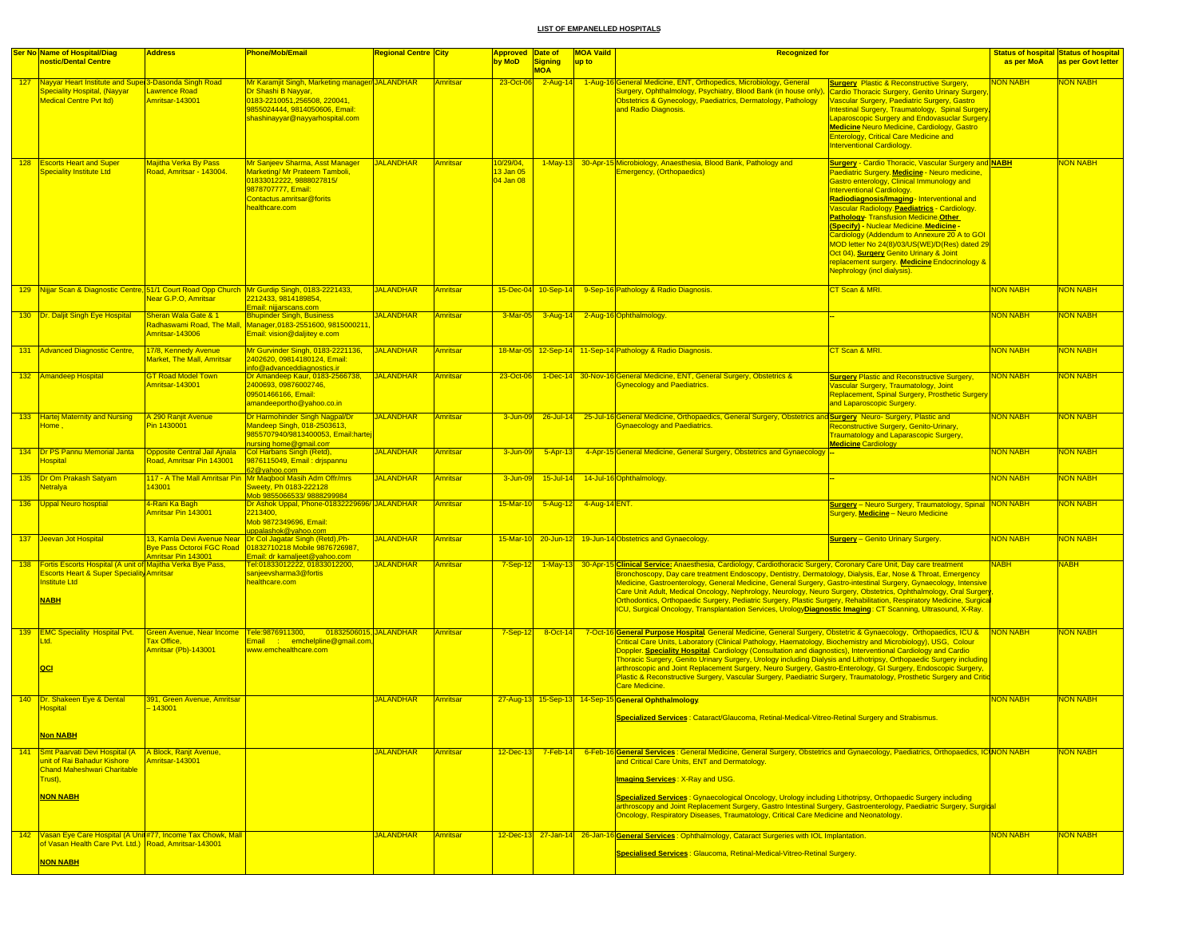|     | <b>Ser No Name of Hospital/Diag</b>                                                                                                                           | <b>Address</b>                                                                    | <b>Phone/Mob/Email</b>                                                                                                                                                     | <b>Regional Centre City</b> |                 |                                    | <b>MOA Vaild</b><br><b>Approved Date of</b><br><b>Recognized for</b> |                                                                                                                                                                                                                                                                                                                                                                                                                                                                                                                                                                                                                                                                                                                                              |                                                                                                                                                                                                                                                                                                                                                                                                                                                                                                                                                                                                         |                 | <b>Status of hospital Status of hospital</b> |
|-----|---------------------------------------------------------------------------------------------------------------------------------------------------------------|-----------------------------------------------------------------------------------|----------------------------------------------------------------------------------------------------------------------------------------------------------------------------|-----------------------------|-----------------|------------------------------------|----------------------------------------------------------------------|----------------------------------------------------------------------------------------------------------------------------------------------------------------------------------------------------------------------------------------------------------------------------------------------------------------------------------------------------------------------------------------------------------------------------------------------------------------------------------------------------------------------------------------------------------------------------------------------------------------------------------------------------------------------------------------------------------------------------------------------|---------------------------------------------------------------------------------------------------------------------------------------------------------------------------------------------------------------------------------------------------------------------------------------------------------------------------------------------------------------------------------------------------------------------------------------------------------------------------------------------------------------------------------------------------------------------------------------------------------|-----------------|----------------------------------------------|
|     | nostic/Dental Centre                                                                                                                                          |                                                                                   |                                                                                                                                                                            |                             |                 | by MoD                             | <b>Signing</b><br><b>MOA</b>                                         | up to                                                                                                                                                                                                                                                                                                                                                                                                                                                                                                                                                                                                                                                                                                                                        |                                                                                                                                                                                                                                                                                                                                                                                                                                                                                                                                                                                                         | as per MoA      | as per Govt letter                           |
|     | 127 Nayyar Heart Institute and Super 3-Dasonda Singh Road<br>Speciality Hospital, (Nayyar<br><b>Medical Centre Pvt Itd)</b>                                   | Lawrence Road<br>Amritsar-143001                                                  | Mr Karamjit Singh, Marketing manager/JALANDHAR<br>Dr Shashi B Nayyar,<br>0183-2210051,256508, 220041,<br>9855024444, 9814050606, Email:<br>shashinayyar@nayyarhospital.com |                             | Amritsar        | 23-Oct-06                          | $2-Aug-14$                                                           | 1-Aug-16 General Medicine, ENT, Orthopedics, Microbiology, General<br>Surgery, Ophthalmology, Psychiatry, Blood Bank (in house only),<br>Obstetrics & Gynecology, Paediatrics, Dermatology, Pathology<br>and Radio Diagnosis.                                                                                                                                                                                                                                                                                                                                                                                                                                                                                                                | <b>Surgery Plastic &amp; Reconstructive Surgery</b><br>Cardio Thoracic Surgery, Genito Urinary Surgery<br>Vascular Surgery, Paediatric Surgery, Gastro<br>ntestinal Surgery, Traumatology, Spinal Surgery<br>Laparoscopic Surgery and Endovasuclar Surgery.<br>Medicine Neuro Medicine, Cardiology, Gastro<br><b>Enterology, Critical Care Medicine and</b><br><b>Interventional Cardiology.</b>                                                                                                                                                                                                        | <b>JON NABH</b> | <b>JON NABH</b>                              |
|     | 128 Escorts Heart and Super<br><b>Speciality Institute Ltd</b>                                                                                                | <b>Majitha Verka By Pass</b><br>Road, Amritsar - 143004.                          | Mr Sanjeev Sharma, Asst Manager<br>Marketing/ Mr Prateem Tamboli,<br>01833012222, 9888027815/<br>9878707777, Email:<br>Contactus.amritsar@forits<br>nealthcare.com         | <b>JALANDHAR</b>            | Amritsar        | 0/29/04,<br>13 Jan 05<br>04 Jan 08 | $1-May-13$                                                           | 30-Apr-15 Microbiology, Anaesthesia, Blood Bank, Pathology and<br><b>Emergency, (Orthopaedics)</b>                                                                                                                                                                                                                                                                                                                                                                                                                                                                                                                                                                                                                                           | <b>Surgery - Cardio Thoracic, Vascular Surgery and NABH</b><br>Paediatric Surgery. Medicine - Neuro medicine,<br>Gastro enterology, Clinical Immunology and<br>nterventional Cardiology.<br>Radiodiagnosis/Imaging-Interventional and<br>Vascular Radiology. Paediatrics - Cardiology.<br>Pathology- Transfusion Medicine.Other<br>(Specify) - Nuclear Medicine. Medicine -<br>Cardiology (Addendum to Annexure 20 A to GOI<br>MOD letter No 24(8)/03/US(WE)/D(Res) dated 29<br>Oct 04), Surgery Genito Urinary & Joint<br>replacement surgery. Medicine Endocrinology &<br>Nephrology (incl dialysis). |                 | <b>VON NABH</b>                              |
|     |                                                                                                                                                               | Near G.P.O, Amritsar                                                              | 129 Nijjar Scan & Diagnostic Centre, 51/1 Court Road Opp Church Mr Gurdip Singh, 0183-2221433,<br>2212433, 9814189854,<br>Email: nijjarscans.com                           | <b>JALANDHAR</b>            | Amritsar        |                                    | 15-Dec-04 10-Sep-14                                                  | 9-Sep-16 Pathology & Radio Diagnosis.                                                                                                                                                                                                                                                                                                                                                                                                                                                                                                                                                                                                                                                                                                        | CT Scan & MRI.                                                                                                                                                                                                                                                                                                                                                                                                                                                                                                                                                                                          | <b>NON NABH</b> | <b>VON NABH</b>                              |
|     | 130 <b>Dr. Daljit Singh Eye Hospital</b>                                                                                                                      | Sheran Wala Gate & 1<br>Radhaswami Road, The Mall,<br>Amritsar-143006             | <b>Bhupinder Singh, Business</b><br>Manager, 0183-2551600, 9815000211<br>Email: vision@daljitey e.com                                                                      | <b>JALANDHAR</b>            | Amritsar        | 3-Mar-05                           | $3 - Aug-14$                                                         | 2-Aug-16 Ophthalmology.                                                                                                                                                                                                                                                                                                                                                                                                                                                                                                                                                                                                                                                                                                                      |                                                                                                                                                                                                                                                                                                                                                                                                                                                                                                                                                                                                         | <b>NON NABH</b> | NON NABH                                     |
|     | 131 Advanced Diagnostic Centre,                                                                                                                               | 17/8, Kennedy Avenue<br>Market, The Mall, Amritsar                                | Mr Gurvinder Singh, 0183-2221136,<br>2402620, 09814180124, Email:<br>info@advanceddiagnostics.ir                                                                           | <b>JALANDHAR</b>            | Amritsar        |                                    |                                                                      | 18-Mar-05 12-Sep-14 11-Sep-14 Pathology & Radio Diagnosis.                                                                                                                                                                                                                                                                                                                                                                                                                                                                                                                                                                                                                                                                                   | CT Scan & MRI.                                                                                                                                                                                                                                                                                                                                                                                                                                                                                                                                                                                          | <b>NON NABH</b> | <b>VON NABH</b>                              |
|     | 132 Amandeep Hospital                                                                                                                                         | <b>GT Road Model Town</b><br>Amritsar-143001                                      | Dr Amandeep Kaur, 0183-2566738,<br>2400693, 09876002746,<br>09501466166, Email:<br>amandeeportho@yahoo.co.in                                                               | <b>JALANDHAR</b>            | Amritsar        | 23-Oct-06                          |                                                                      | 1-Dec-14 30-Nov-16 General Medicine, ENT, General Surgery, Obstetrics &<br><b>Gynecology and Paediatrics.</b>                                                                                                                                                                                                                                                                                                                                                                                                                                                                                                                                                                                                                                | <b>Surgery Plastic and Reconstructive Surgery,</b><br>Vascular Surgery, Traumatology, Joint<br>Replacement, Spinal Surgery, Prosthetic Surgery<br>and Laparoscopic Surgery.                                                                                                                                                                                                                                                                                                                                                                                                                             | <b>NON NABH</b> | <b>VON NABH</b>                              |
|     | 133 Hartej Maternity and Nursing<br>Home,                                                                                                                     | A 290 Ranjit Avenue<br>Pin 1430001                                                | Dr Harmohinder Singh Nagpal/Dr<br>Mandeep Singh, 018-2503613,<br>9855707940/9813400053, Email:harte<br>nursing home@gmail.com                                              | <b>JALANDHAR</b>            | Amritsar        | 3-Jun-09                           | $26$ -Jul-14                                                         | 25-Jul-16 General Medicine, Orthopaedics, General Surgery, Obstetrics and Surgery Neuro- Surgery, Plastic and<br><b>Gynaecology and Paediatrics.</b>                                                                                                                                                                                                                                                                                                                                                                                                                                                                                                                                                                                         | Reconstructive Surgery, Genito-Urinary,<br><b>Fraumatology and Laparascopic Surgery,</b><br><b>Medicine Cardiology</b>                                                                                                                                                                                                                                                                                                                                                                                                                                                                                  | <b>NON NABH</b> | <b>VON NABH</b>                              |
|     | 134   Dr PS Pannu Memorial Janta<br><u>lospital</u>                                                                                                           | <b>Opposite Central Jail Ajnala</b><br>Road, Amritsar Pin 143001                  | Col Harbans Singh (Retd),<br>9876115049, Email: drjspannu<br>62@yahoo.com                                                                                                  | <b>JALANDHAR</b>            | <b>Amritsar</b> | 3-Jun-09                           | $5 - Apr-13$                                                         | 4-Apr-15 General Medicine, General Surgery, Obstetrics and Gynaecology -                                                                                                                                                                                                                                                                                                                                                                                                                                                                                                                                                                                                                                                                     |                                                                                                                                                                                                                                                                                                                                                                                                                                                                                                                                                                                                         | NON NABH        | <b>VON NABH</b>                              |
|     | 135 Dr Om Prakash Satyam<br><b>letralya</b>                                                                                                                   | 43001                                                                             | 117 - A The Mall Amritsar Pin Mr Magbool Masih Adm Offr/mrs<br>Sweety, Ph 0183-222128<br>Mob 9855066533/9888299984                                                         | <b>JALANDHAR</b>            | Amritsar        | 3-Jun-09                           | $15$ -Jul-14                                                         | 14-Jul-16 Ophthalmology                                                                                                                                                                                                                                                                                                                                                                                                                                                                                                                                                                                                                                                                                                                      |                                                                                                                                                                                                                                                                                                                                                                                                                                                                                                                                                                                                         | <b>NON NABH</b> | <b>NON NABH</b>                              |
|     | 136 Uppal Neuro hosptial                                                                                                                                      | 4-Rani Ka Bagh<br>Amritsar Pin 143001                                             | Dr Ashok Uppal, Phone-01832229696/ JALANDHAR<br>2213400,<br>Mob 9872349696, Email:<br>uppalashok@yahoo.com                                                                 |                             | Amritsar        | 15-Mar-10                          | $5 - Aug-12$                                                         | 4-Aug-14 ENT.                                                                                                                                                                                                                                                                                                                                                                                                                                                                                                                                                                                                                                                                                                                                | <b>Surgery</b> - Neuro Surgery, Traumatology, Spinal NON NABH<br>Surgery, Medicine - Neuro Medicine                                                                                                                                                                                                                                                                                                                                                                                                                                                                                                     |                 | NON NABH                                     |
|     | 137 Jeevan Jot Hospital                                                                                                                                       | <b>Bye Pass Octoroi FGC Road</b><br>Amritsar Pin 143001                           | 13, Kamla Devi Avenue Near Dr Col Jagatar Singh (Retd), Ph-<br>01832710218 Mobile 9876726987<br>Email: dr kamaljeet@yahoo.com                                              | <b>JALANDHAR</b>            | Amritsar        |                                    |                                                                      | 15-Mar-10 20-Jun-12 19-Jun-14 Obstetrics and Gynaecology.                                                                                                                                                                                                                                                                                                                                                                                                                                                                                                                                                                                                                                                                                    | <b>Surgery - Genito Urinary Surgery.</b>                                                                                                                                                                                                                                                                                                                                                                                                                                                                                                                                                                | <b>NON NABH</b> | NON NABH                                     |
|     | 138 Fortis Escorts Hospital (A unit of Majitha Verka Bye Pass,<br><b>Escorts Heart &amp; Super Speciality Amritsar</b><br><b>Institute Ltd</b><br><b>NABH</b> |                                                                                   | Tel:01833012222, 01833012200,<br>sanjeevsharma3@fortis<br>healthcare.com                                                                                                   | <b>JALANDHAR</b>            | Amritsar        | $7-Sep-12$                         |                                                                      | 1-May-13 30-Apr-15 Clinical Service: Anaesthesia, Cardiology, Cardiothoracic Surgery, Coronary Care Unit, Day care treatment<br>Bronchoscopy, Day care treatment Endoscopy, Dentistry, Dermatology, Dialysis, Ear, Nose & Throat, Emergency<br>Medicine, Gastroenterology, General Medicine, General Surgery, Gastro-intestinal Surgery, Gynaecology, Intensive<br>Care Unit Adult, Medical Oncology, Nephrology, Neurology, Neuro Surgery, Obstetrics, Ophthalmology, Oral Surgery<br>Orthodontics, Orthopaedic Surgery, Pediatric Surgery, Plastic Surgery, Rehabilitation, Respiratory Medicine, Surgica<br>ICU, Surgical Oncology, Transplantation Services, UrologyDiagnostic Imaging: CT Scanning, Ultrasound, X-Ray.                  |                                                                                                                                                                                                                                                                                                                                                                                                                                                                                                                                                                                                         | <b>NABH</b>     | <b>NABH</b>                                  |
|     | 139 EMC Speciality Hospital Pvt.<br>Ltd.<br> QCI                                                                                                              | Green Avenue, Near Income Tele:9876911300,<br>Tax Office.<br>Amritsar (Pb)-143001 | 01832506015. JALANDHAR<br>Email : emchelpline@gmail.com<br>www.emchealthcare.com                                                                                           |                             | Amritsar        | $7-Sep-12$                         | 8-Oct-14                                                             | SCIE General Purpose Hospital General Medicine, General Surgery, Obstetric & Gynaecology, Orthopaedics, ICU &<br>7-Oct-16<br>Critical Care Units, Laboratory (Clinical Pathology, Haematology, Biochemistry and Microbiology), USG, Colour<br>Doppler. Speciality Hospital. Cardiology (Consultation and diagnostics), Interventional Cardiology and Cardio<br>Thoracic Surgery, Genito Urinary Surgery, Urology including Dialysis and Lithotripsy, Orthopaedic Surgery including<br>arthroscopic and Joint Replacement Surgery, Neuro Surgery, Gastro-Enterology, GI Surgery, Endoscopic Surgery,<br>Plastic & Reconstructive Surgery, Vascular Surgery, Paediatric Surgery, Traumatology, Prosthetic Surgery and Critic<br>Care Medicine. |                                                                                                                                                                                                                                                                                                                                                                                                                                                                                                                                                                                                         | <b>NON NABH</b> | <b>NON NABH</b>                              |
|     | 140 Dr. Shakeen Eye & Dental<br><b>Hospital</b><br><b>Non NABH</b>                                                                                            | 391, Green Avenue, Amritsar<br>$-143001$                                          |                                                                                                                                                                            | <b>JALANDHAR</b>            | Amritsar        |                                    |                                                                      | 27-Aug-13 15-Sep-13 14-Sep-15 General Ophthalmology.<br>Specialized Services : Cataract/Glaucoma, Retinal-Medical-Vitreo-Retinal Surgery and Strabismus.                                                                                                                                                                                                                                                                                                                                                                                                                                                                                                                                                                                     |                                                                                                                                                                                                                                                                                                                                                                                                                                                                                                                                                                                                         | <b>NON NABH</b> | <b>JON NABH</b>                              |
| 141 | Smt Paarvati Devi Hospital (A   A Block, Ranjt Avenue,<br>unit of Rai Bahadur Kishore<br><b>Chand Maheshwari Charitable</b><br>Trust),<br><b>NON NABH</b>     | Amritsar-143001                                                                   |                                                                                                                                                                            | <b>JALANDHAR</b>            | Amritsar        | $12$ -Dec-13                       | $7-Feb-14$                                                           | 6-Feb-16 General Services: General Medicine, General Surgery, Obstetrics and Gynaecology, Paediatrics, Orthopaedics, ICINON NABH<br>and Critical Care Units, ENT and Dermatology.<br>Imaging Services: X-Ray and USG.<br>Specialized Services : Gynaecological Oncology, Urology including Lithotripsy, Orthopaedic Surgery including<br>arthroscopy and Joint Replacement Surgery, Gastro Intestinal Surgery, Gastroenterology, Paediatric Surgery, Surgical<br>Oncology, Respiratory Diseases, Traumatology, Critical Care Medicine and Neonatology.                                                                                                                                                                                       |                                                                                                                                                                                                                                                                                                                                                                                                                                                                                                                                                                                                         |                 | <b>VON NABH</b>                              |
|     | 142 Vasan Eye Care Hospital (A Unit #77, Income Tax Chowk, Mall<br>of Vasan Health Care Pvt. Ltd.) Road, Amritsar-143001<br><b>NON NABH</b>                   |                                                                                   |                                                                                                                                                                            | <b>JALANDHAR</b>            | Amritsar        |                                    |                                                                      | 12-Dec-13 27-Jan-14 26-Jan-16 General Services: Ophthalmology, Cataract Surgeries with IOL Implantation.<br>Specialised Services : Glaucoma, Retinal-Medical-Vitreo-Retinal Surgery.                                                                                                                                                                                                                                                                                                                                                                                                                                                                                                                                                         |                                                                                                                                                                                                                                                                                                                                                                                                                                                                                                                                                                                                         | NON NABH        | NON NABH                                     |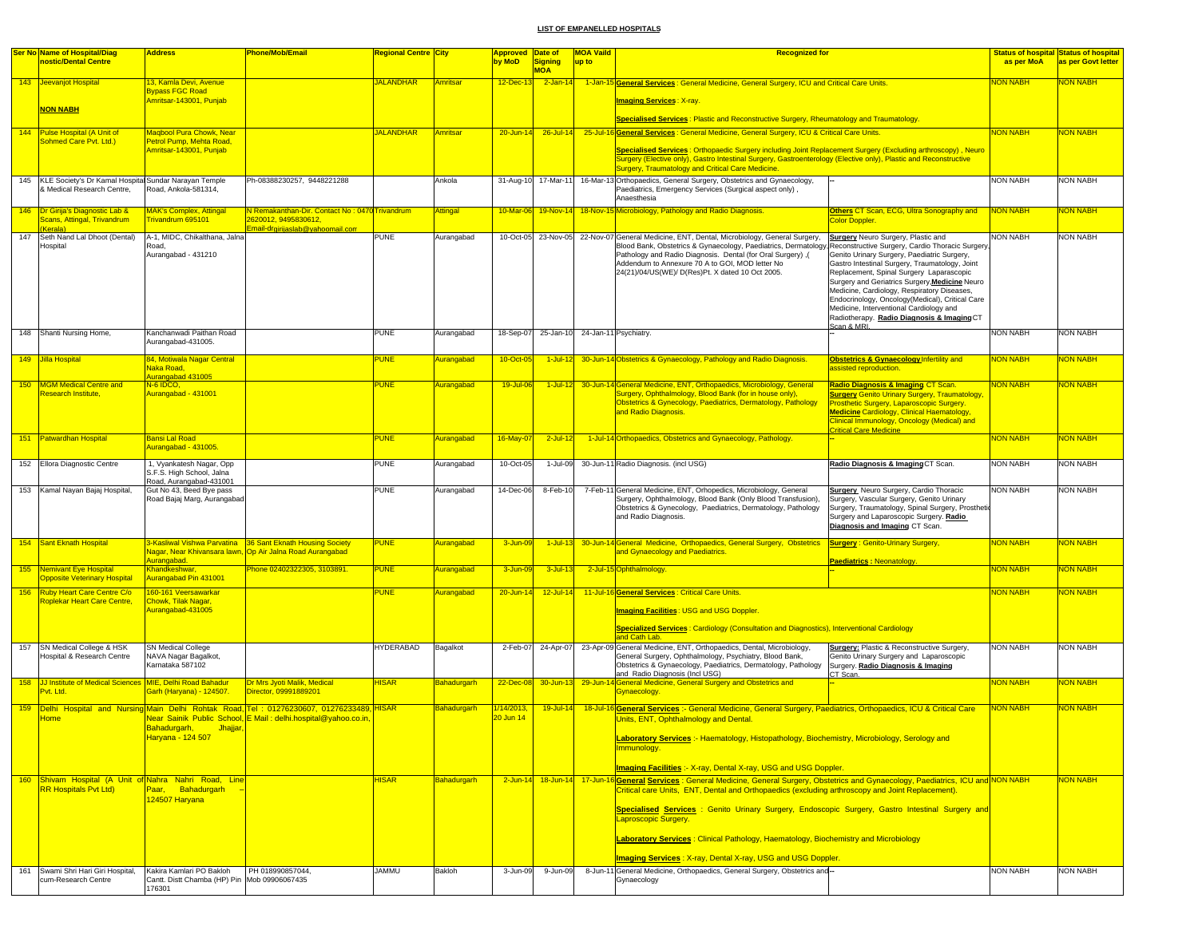|     | <b>Ser No Name of Hospital/Diag</b><br>nostic/Dental Centre                                                                 | <b>Address</b>                                                                   | <b>Phone/Mob/Email</b>                                                                                                                                  | <mark>Regional Centre City</mark> |                              | <mark>Approved Date of</mark><br>by MoD | <b>Signing</b><br><b>MOA</b>              | <b>MOA Vaild</b><br>up to | <b>Recognized for</b>                                                                                                                                                                                                                                                                                                                                                                                                                                                                                                                                                                     |                                                                                                                                                                                                                                                                                                                                                                                                                                      | as per MoA      | <b>Status of hospital Status of hospital</b><br>as per Govt letter |
|-----|-----------------------------------------------------------------------------------------------------------------------------|----------------------------------------------------------------------------------|---------------------------------------------------------------------------------------------------------------------------------------------------------|-----------------------------------|------------------------------|-----------------------------------------|-------------------------------------------|---------------------------|-------------------------------------------------------------------------------------------------------------------------------------------------------------------------------------------------------------------------------------------------------------------------------------------------------------------------------------------------------------------------------------------------------------------------------------------------------------------------------------------------------------------------------------------------------------------------------------------|--------------------------------------------------------------------------------------------------------------------------------------------------------------------------------------------------------------------------------------------------------------------------------------------------------------------------------------------------------------------------------------------------------------------------------------|-----------------|--------------------------------------------------------------------|
|     | 143 Jeevanjot Hospital                                                                                                      | 13, Kamla Devi, Avenue<br><b>Bypass FGC Road</b>                                 |                                                                                                                                                         | <b>JALANDHAR</b>                  | Amritsar                     | 12-Dec-13                               | $2$ -Jan-14                               |                           | 1-Jan-15 General Services : General Medicine, General Surgery, ICU and Critical Care Units.                                                                                                                                                                                                                                                                                                                                                                                                                                                                                               |                                                                                                                                                                                                                                                                                                                                                                                                                                      | <b>NON NABH</b> | <b>NON NABH</b>                                                    |
|     | <b>NON NABH</b>                                                                                                             | Amritsar-143001, Punjab                                                          |                                                                                                                                                         |                                   |                              |                                         |                                           |                           | <u> Imaging Services : X-ray.</u><br>Specialised Services: Plastic and Reconstructive Surgery, Rheumatology and Traumatology                                                                                                                                                                                                                                                                                                                                                                                                                                                              |                                                                                                                                                                                                                                                                                                                                                                                                                                      |                 |                                                                    |
|     | 144 Pulse Hospital (A Unit of<br>Sohmed Care Pvt. Ltd.)                                                                     | <b>Magbool Pura Chowk, Near</b><br>Petrol Pump, Mehta Road,                      |                                                                                                                                                         | <b>JALANDHAR</b>                  | Amritsar                     | $20 - Jun-14$                           | $26$ -Jul-14                              |                           | 25-Jul-16 General Services : General Medicine, General Surgery, ICU & Critical Care Units                                                                                                                                                                                                                                                                                                                                                                                                                                                                                                 |                                                                                                                                                                                                                                                                                                                                                                                                                                      | <b>NON NABH</b> | <b>NON NABH</b>                                                    |
|     |                                                                                                                             | Amritsar-143001, Punjab                                                          |                                                                                                                                                         |                                   |                              |                                         |                                           |                           | Specialised Services: Orthopaedic Surgery including Joint Replacement Surgery (Excluding arthroscopy), Neuro<br>Surgery (Elective only), Gastro Intestinal Surgery, Gastroenterology (Elective only), Plastic and Reconstructive<br><b>Surgery, Traumatology and Critical Care Medicine.</b>                                                                                                                                                                                                                                                                                              |                                                                                                                                                                                                                                                                                                                                                                                                                                      |                 |                                                                    |
| 145 | KLE Society's Dr Kamal Hospital Sundar Narayan Temple<br>& Medical Research Centre,                                         | Road, Ankola-581314,                                                             | Ph-08388230257, 9448221288                                                                                                                              |                                   | Ankola                       |                                         | 31-Aug-10 17-Mar-11                       |                           | 16-Mar-13 Orthopaedics, General Surgery, Obstetrics and Gynaecology,<br>Paediatrics, Emergency Services (Surgical aspect only),<br>Anaesthesia                                                                                                                                                                                                                                                                                                                                                                                                                                            |                                                                                                                                                                                                                                                                                                                                                                                                                                      | <b>NON NABH</b> | NON NABH                                                           |
|     | 146 Dr Girija's Diagnostic Lab &<br>Scans, Attingal, Trivandrum<br>Kerala)                                                  | <b>MAK's Complex, Attingal</b><br>Frivandrum 695101                              | N Remakanthan-Dir, Contact No: 0470 Trivandrum<br>2620012, 9495830612,<br>Email-drgirijaslab@yahoomail.com                                              |                                   | Attingal                     | 10-Mar-06                               |                                           |                           | 19-Nov-14 18-Nov-15 Microbiology, Pathology and Radio Diagnosis.<br>Color Doppler                                                                                                                                                                                                                                                                                                                                                                                                                                                                                                         | Others CT Scan, ECG, Ultra Sonography and                                                                                                                                                                                                                                                                                                                                                                                            | <b>NON NABH</b> | <b>VON NABH</b>                                                    |
| 147 | Seth Nand Lal Dhoot (Dental)<br>Hospital                                                                                    | A-1, MIDC, Chikalthana, Jalna<br>Road.<br>Aurangabad - 431210                    |                                                                                                                                                         | <b>PUNE</b>                       | Aurangabad                   |                                         |                                           |                           | 10-Oct-05 23-Nov-05 22-Nov-07 General Medicine, ENT, Dental, Microbiology, General Surgery,<br>Blood Bank, Obstetrics & Gynaecology, Paediatrics, Dermatology, Reconstructive Surgery, Cardio Thoracic Surgery,<br>Pathology and Radio Diagnosis. Dental (for Oral Surgery), (<br>Addendum to Annexure 70 A to GOI, MOD letter No<br>24(21)/04/US(WE)/ D(Res)Pt. X dated 10 Oct 2005.<br>Scan & MRI                                                                                                                                                                                       | <b>Surgery</b> Neuro Surgery, Plastic and<br>Genito Urinary Surgery, Paediatric Surgery,<br>Gastro Intestinal Surgery, Traumatology, Joint<br>Replacement, Spinal Surgery Laparascopic<br>Surgery and Geriatrics Surgery, Medicine Neuro<br>Medicine, Cardiology, Respiratory Diseases,<br>Endocrinology, Oncology (Medical), Critical Care<br>Medicine, Interventional Cardiology and<br>Radiotherapy. Radio Diagnosis & Imaging CT | <b>NON NABH</b> | NON NABH                                                           |
|     | 148 Shanti Nursing Home,                                                                                                    | Kanchanwadi Paithan Road<br>Aurangabad-431005                                    |                                                                                                                                                         | PUNE                              | Aurangabad                   |                                         | 18-Sep-07 25-Jan-10 24-Jan-11 Psychiatry. |                           |                                                                                                                                                                                                                                                                                                                                                                                                                                                                                                                                                                                           |                                                                                                                                                                                                                                                                                                                                                                                                                                      | <b>NON NABH</b> | NON NABH                                                           |
|     | 149 Jilla Hospital                                                                                                          | 84, Motiwala Nagar Central<br>Naka Road.<br>Aurangabad 431005                    |                                                                                                                                                         | <b>PUNE</b>                       | <b>Aurangabad</b>            | 10-Oct-0                                |                                           |                           | 1-Jul-12 30-Jun-14 Obstetrics & Gynaecology, Pathology and Radio Diagnosis.                                                                                                                                                                                                                                                                                                                                                                                                                                                                                                               | <b>Obstetrics &amp; Gynaecology Infertility and</b><br>assisted reproduction.                                                                                                                                                                                                                                                                                                                                                        | <b>VON NABH</b> | <b>JON NABH</b>                                                    |
|     | 150 MGM Medical Centre and<br><b>Research Institute</b>                                                                     | N-6 IDCO,<br>Aurangabad - 431001                                                 |                                                                                                                                                         | <b>PUNE</b>                       | Aurangabad                   | 19-Jul-06                               |                                           |                           | 1-Jul-12 30-Jun-14 General Medicine, ENT, Orthopaedics, Microbiology, General<br>Surgery, Ophthalmology, Blood Bank (for in house only),<br>Obstetrics & Gynecology, Paediatrics, Dermatology, Pathology<br>and Radio Diagnosis.                                                                                                                                                                                                                                                                                                                                                          | Radio Diagnosis & Imaging CT Scan.<br><b>Surgery Genito Urinary Surgery, Traumatology</b><br><b>rosthetic Surgery, Laparoscopic Surgery.</b><br><b>Medicine Cardiology, Clinical Haematology,</b><br>Clinical Immunology, Oncology (Medical) and<br><b>Critical Care Medicine</b>                                                                                                                                                    | <b>NON NABH</b> | <b>VON NABH</b>                                                    |
|     | 151 Patwardhan Hospital                                                                                                     | Bansi Lal Road<br>Aurangabad - 431005                                            |                                                                                                                                                         | <b>PUNE</b>                       | Aurangabad                   | 16-May-07                               | $2$ -Jul-12                               |                           | 1-Jul-14 Orthopaedics, Obstetrics and Gynaecology, Pathology.                                                                                                                                                                                                                                                                                                                                                                                                                                                                                                                             |                                                                                                                                                                                                                                                                                                                                                                                                                                      | <b>NON NABH</b> | <b>NON NABH</b>                                                    |
|     | 152 Ellora Diagnostic Centre                                                                                                | 1, Vyankatesh Nagar, Opp<br>S.F.S. High School, Jalna<br>Road, Aurangabad-431001 |                                                                                                                                                         | <b>PUNE</b>                       | Aurangabad                   | 10-Oct-05                               | 1-Jul-09                                  |                           | 30-Jun-11 Radio Diagnosis. (incl USG)                                                                                                                                                                                                                                                                                                                                                                                                                                                                                                                                                     | Radio Diagnosis & Imaging CT Scan.                                                                                                                                                                                                                                                                                                                                                                                                   | <b>NON NABH</b> | NON NABH                                                           |
|     | 153 Kamal Nayan Bajaj Hospital,                                                                                             | Gut No 43, Beed Bye pass<br>Road Bajaj Marg, Aurangabad                          |                                                                                                                                                         | <b>PUNE</b>                       | Aurangabad                   | 14-Dec-06                               | 8-Feb-10                                  |                           | 7-Feb-11 General Medicine, ENT, Orhopedics, Microbiology, General<br>Surgery, Ophthalmology, Blood Bank (Only Blood Transfusion),<br>Obstetrics & Gynecology, Paediatrics, Dermatology, Pathology<br>and Radio Diagnosis.                                                                                                                                                                                                                                                                                                                                                                 | <b>Surgery</b> Neuro Surgery, Cardio Thoracic<br>Surgery, Vascular Surgery, Genito Urinary<br>Surgery, Traumatology, Spinal Surgery, Prosthetic<br>Surgery and Laparoscopic Surgery. Radio<br>Diagnosis and Imaging CT Scan.                                                                                                                                                                                                         | <b>NON NABH</b> | NON NABH                                                           |
|     | 154 Sant Eknath Hospital                                                                                                    | Aurangabad.                                                                      | 3-Kasliwal Vishwa Parvatina   36 Sant Eknath Housing Society<br>Nagar, Near Khivansara lawn, Op Air Jalna Road Aurangabad                               | <b>PUNE</b>                       | Aurangabad                   | 3-Jun-0                                 | $1$ -Jul-13                               |                           | 30-Jun-14 General Medicine, Orthopaedics, General Surgery, Obstetrics<br>and Gynaecology and Paediatrics.                                                                                                                                                                                                                                                                                                                                                                                                                                                                                 | <b>Surgery: Genito-Urinary Surgery,</b><br><b>Paediatrics: Neonatology</b>                                                                                                                                                                                                                                                                                                                                                           | <b>NON NABH</b> | <b>VON NABH</b>                                                    |
|     | 155 Nemivant Eye Hospital<br><b>Opposite Veterinary Hospital</b>                                                            | Khandkeshwar,<br>Aurangabad Pin 431001                                           | Phone 02402322305, 3103891.                                                                                                                             | <b>PUNE</b>                       | Aurangabad                   | 3-Jun-09                                | $3$ -Jul-13                               |                           | 2-Jul-15 Ophthalmology.                                                                                                                                                                                                                                                                                                                                                                                                                                                                                                                                                                   |                                                                                                                                                                                                                                                                                                                                                                                                                                      | <b>NON NABH</b> | NON NABH                                                           |
| 156 | <b>Ruby Heart Care Centre C/o</b><br><b>Roplekar Heart Care Centre,</b>                                                     | 60-161 Veersawarkar<br>Chowk, Tilak Nagar<br>Aurangabad-431005                   |                                                                                                                                                         | <b>PUNE</b>                       | Aurangabad                   | $20 - Jun - 1$                          | 12-Jul-14                                 |                           | 11-Jul-16 General Services : Critical Care Units.<br><b>Imaging Facilities: USG and USG Doppler.</b><br>Specialized Services : Cardiology (Consultation and Diagnostics), Interventional Cardiology<br>and Cath Lab.                                                                                                                                                                                                                                                                                                                                                                      |                                                                                                                                                                                                                                                                                                                                                                                                                                      | <b>VON NABH</b> | <b>VON NABH</b>                                                    |
| 157 | SN Medical College & HSK<br>Hospital & Research Centre                                                                      | SN Medical College<br>NAVA Nagar Bagalkot,<br>Karnataka 587102                   |                                                                                                                                                         | <b>HYDERABAD</b>                  | Bagalkot                     | 2-Feb-07                                | 24-Apr-07                                 |                           | 23-Apr-09 General Medicine, ENT, Orthopaedics, Dental, Microbiology,<br>General Surgery, Ophthalmology, Psychiatry, Blood Bank,<br>Obstetrics & Gynaecology, Paediatrics, Dermatology, Pathology<br>and Radio Diagnosis (Incl USG)<br>CT Scan.                                                                                                                                                                                                                                                                                                                                            | <b>Surgery:</b> Plastic & Reconstructive Surgery,<br>Genito Urinary Surgery and Laparoscopic<br>Surgery. Radio Diagnosis & Imaging                                                                                                                                                                                                                                                                                                   | <b>NON NABH</b> | NON NABH                                                           |
|     | 158 JJ Institute of Medical Sciences MIE, Delhi Road Bahadur<br>vt. Ltd.                                                    | <mark>3arh (Haryana) - 124507.</mark>                                            | Dr Mrs Jyoti Malik, Medical<br>Director, 09991889201                                                                                                    | <b>HISAR</b>                      | Bahadurgarh                  | 22-Dec-08                               | $30 - Jun - 13$                           |                           | 29-Jun-14 General Medicine, General Surgery and Obstetrics and<br><b>Bynaecology</b>                                                                                                                                                                                                                                                                                                                                                                                                                                                                                                      |                                                                                                                                                                                                                                                                                                                                                                                                                                      | <b>NON NABH</b> | <b>VON NABH</b>                                                    |
| 159 | Home                                                                                                                        | Bahadurgarh,<br>Jhajjar<br>Haryana - 124 507                                     | Delhi Hospital and Nursing Main Delhi Rohtak Road Tel: 01276230607, 01276233489 HISAR<br>Near Sainik Public School, E Mail: delhi.hospital@yahoo.co.in, |                                   | Bahadurgarh                  | 1/14/2013,<br>20 Jun 14                 | 19-Jul-14                                 |                           | 18-Jul-16 General Services :- General Medicine, General Surgery, Paediatrics, Orthopaedics, ICU & Critical Care<br>Units, ENT, Ophthalmology and Dental.<br>Laboratory Services :- Haematology, Histopathology, Biochemistry, Microbiology, Serology and<br>Immunology.<br>Imaging Facilities :- X-ray, Dental X-ray, USG and USG Doppler.                                                                                                                                                                                                                                                |                                                                                                                                                                                                                                                                                                                                                                                                                                      | <b>NON NABH</b> | <b>NON NABH</b>                                                    |
|     | 160 Shiyam Hospital (A Unit of Nahra Nahri Road, Line<br><b>RR Hospitals Pvt Ltd)</b><br>161 Swami Shri Hari Giri Hospital, | Paar, Bahadurgarh<br>124507 Haryana<br>Kakira Kamlari PO Bakloh                  | PH 018990857044.                                                                                                                                        | <b>HISAR</b><br><b>JAMMU</b>      | <b>Bahadurgarh</b><br>Bakloh | 3-Jun-09                                | 2-Jun-14 18-Jun-14 17-Jun-1<br>9-Jun-09   |                           | General Services : General Medicine, General Surgery, Obstetrics and Gynaecology, Paediatrics, ICU and NON NABH<br>Critical care Units, ENT, Dental and Orthopaedics (excluding arthroscopy and Joint Replacement).<br>Specialised Services : Genito Urinary Surgery, Endoscopic Surgery, Gastro Intestinal Surgery and<br>Laproscopic Surgery.<br>Laboratory Services: Clinical Pathology, Haematology, Biochemistry and Microbiology<br><b>Imaging Services: X-ray, Dental X-ray, USG and USG Doppler.</b><br>8-Jun-11 General Medicine, Orthopaedics, General Surgery, Obstetrics and- |                                                                                                                                                                                                                                                                                                                                                                                                                                      | <b>NON NABH</b> | NON NABH<br>NON NABH                                               |
|     | cum-Research Centre                                                                                                         | Cantt. Distt Chamba (HP) Pin<br>176301                                           | Mob 09906067435                                                                                                                                         |                                   |                              |                                         |                                           |                           | Gynaecology                                                                                                                                                                                                                                                                                                                                                                                                                                                                                                                                                                               |                                                                                                                                                                                                                                                                                                                                                                                                                                      |                 |                                                                    |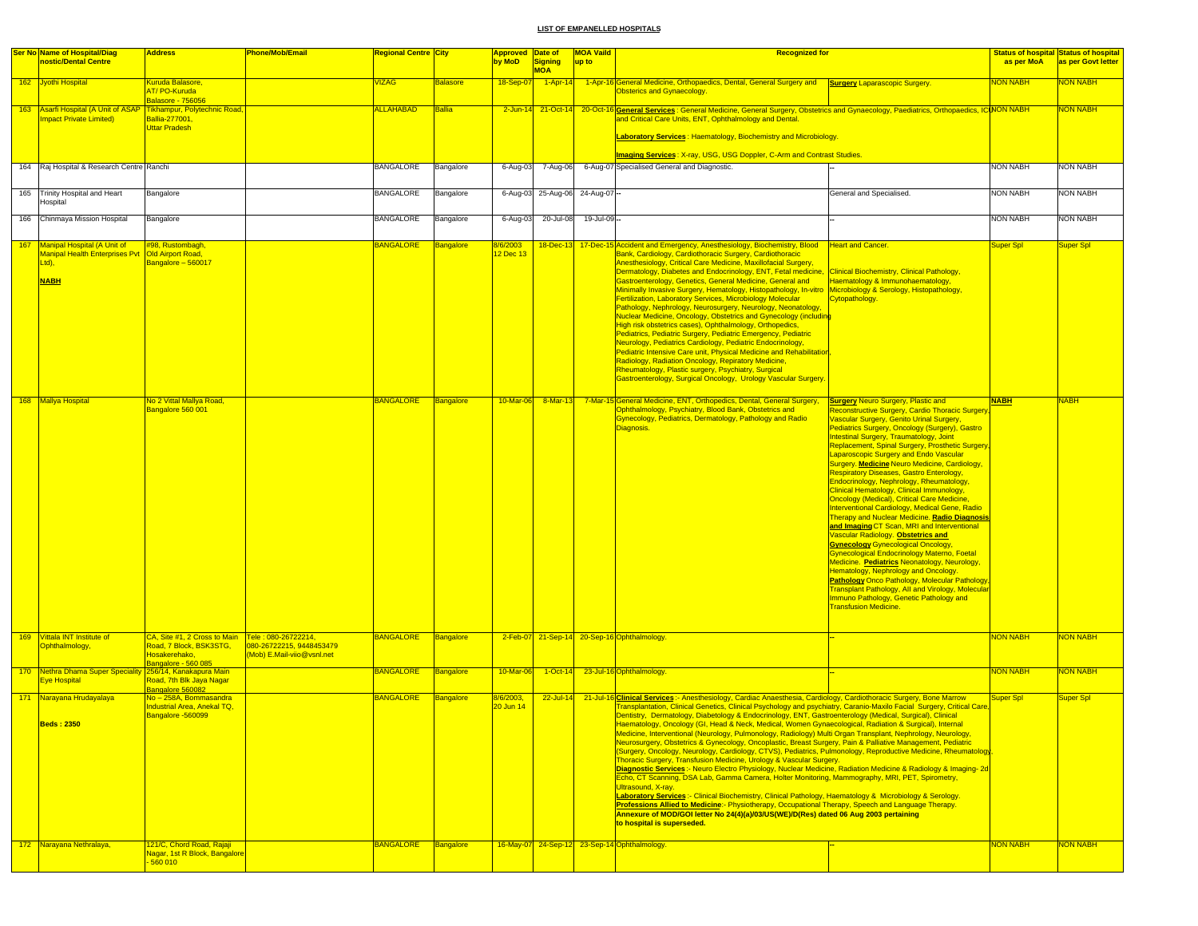| <b>Ser No Name of Hospital/Diag</b><br>nostic/Dental Centre                                                   | <b>Address</b>                                                                                                        | <b>Phone/Mob/Email</b>                                | <mark>Regional Centre City</mark> |                  | <b>Approved Date of</b><br>by MoD | <b>Signing</b>               | <b>MOA Vaild</b><br>up to | <b>Recognized for</b>                                                                                                                                                                                                                                                                                                                                                                                                                                                                                                                                                                                                                                                                                                                                                                                                                                                                                                                                                                                                                                                                                                                                                                                                                                                                                                                                                                                                                                                                     |                                                                                                                                                                                                                                                                                                                                                                                                                                                                                                                                                                                                                                                                                                                                                                                                                                                                                                                                                                                                                                                                                                                                                                                 | as per MoA      | <b>Status of hospital Status of hospital</b><br>as per Govt letter |
|---------------------------------------------------------------------------------------------------------------|-----------------------------------------------------------------------------------------------------------------------|-------------------------------------------------------|-----------------------------------|------------------|-----------------------------------|------------------------------|---------------------------|-------------------------------------------------------------------------------------------------------------------------------------------------------------------------------------------------------------------------------------------------------------------------------------------------------------------------------------------------------------------------------------------------------------------------------------------------------------------------------------------------------------------------------------------------------------------------------------------------------------------------------------------------------------------------------------------------------------------------------------------------------------------------------------------------------------------------------------------------------------------------------------------------------------------------------------------------------------------------------------------------------------------------------------------------------------------------------------------------------------------------------------------------------------------------------------------------------------------------------------------------------------------------------------------------------------------------------------------------------------------------------------------------------------------------------------------------------------------------------------------|---------------------------------------------------------------------------------------------------------------------------------------------------------------------------------------------------------------------------------------------------------------------------------------------------------------------------------------------------------------------------------------------------------------------------------------------------------------------------------------------------------------------------------------------------------------------------------------------------------------------------------------------------------------------------------------------------------------------------------------------------------------------------------------------------------------------------------------------------------------------------------------------------------------------------------------------------------------------------------------------------------------------------------------------------------------------------------------------------------------------------------------------------------------------------------|-----------------|--------------------------------------------------------------------|
|                                                                                                               |                                                                                                                       |                                                       |                                   |                  |                                   | <b>MOA</b>                   |                           |                                                                                                                                                                                                                                                                                                                                                                                                                                                                                                                                                                                                                                                                                                                                                                                                                                                                                                                                                                                                                                                                                                                                                                                                                                                                                                                                                                                                                                                                                           |                                                                                                                                                                                                                                                                                                                                                                                                                                                                                                                                                                                                                                                                                                                                                                                                                                                                                                                                                                                                                                                                                                                                                                                 |                 |                                                                    |
| 162 Jyothi Hospital                                                                                           | Kuruda Balasore,<br>AT/PO-Kuruda<br><b>Balasore - 756056</b>                                                          |                                                       | /IZAG                             | <b>Balasore</b>  | 18-Sep-0                          | $1 -$ Apr-14                 |                           | 1-Apr-16 General Medicine, Orthopaedics, Dental, General Surgery and  Surgery Laparascopic Surgery.<br><b>Obsterics and Gynaecology.</b>                                                                                                                                                                                                                                                                                                                                                                                                                                                                                                                                                                                                                                                                                                                                                                                                                                                                                                                                                                                                                                                                                                                                                                                                                                                                                                                                                  |                                                                                                                                                                                                                                                                                                                                                                                                                                                                                                                                                                                                                                                                                                                                                                                                                                                                                                                                                                                                                                                                                                                                                                                 | <b>NON NABH</b> | <b>JON NABH</b>                                                    |
| 163 Asarfi Hospital (A Unit of ASAP<br><b>mpact Private Limited)</b>                                          | <b>Tikhampur, Polytechnic Road</b><br>Ballia-277001,<br><b>Uttar Pradesh</b>                                          |                                                       | <b>ALLAHABAD</b>                  | <b>Ballia</b>    |                                   |                              |                           | 2-Jun-14 21-Oct-14 20-Oct-16 General Services: General Medicine, General Surgery, Obstetrics and Gynaecology, Paediatrics, Orthopaedics, ICUNON NABH<br>and Critical Care Units, ENT, Ophthalmology and Dental.                                                                                                                                                                                                                                                                                                                                                                                                                                                                                                                                                                                                                                                                                                                                                                                                                                                                                                                                                                                                                                                                                                                                                                                                                                                                           |                                                                                                                                                                                                                                                                                                                                                                                                                                                                                                                                                                                                                                                                                                                                                                                                                                                                                                                                                                                                                                                                                                                                                                                 |                 | <b>VON NABH</b>                                                    |
|                                                                                                               |                                                                                                                       |                                                       |                                   |                  |                                   |                              |                           | Laboratory Services: Haematology, Biochemistry and Microbiology.                                                                                                                                                                                                                                                                                                                                                                                                                                                                                                                                                                                                                                                                                                                                                                                                                                                                                                                                                                                                                                                                                                                                                                                                                                                                                                                                                                                                                          |                                                                                                                                                                                                                                                                                                                                                                                                                                                                                                                                                                                                                                                                                                                                                                                                                                                                                                                                                                                                                                                                                                                                                                                 |                 |                                                                    |
|                                                                                                               |                                                                                                                       |                                                       |                                   |                  |                                   |                              |                           | Imaging Services: X-ray, USG, USG Doppler, C-Arm and Contrast Studies.                                                                                                                                                                                                                                                                                                                                                                                                                                                                                                                                                                                                                                                                                                                                                                                                                                                                                                                                                                                                                                                                                                                                                                                                                                                                                                                                                                                                                    |                                                                                                                                                                                                                                                                                                                                                                                                                                                                                                                                                                                                                                                                                                                                                                                                                                                                                                                                                                                                                                                                                                                                                                                 |                 |                                                                    |
| 164 Raj Hospital & Research Centre Ranchi                                                                     |                                                                                                                       |                                                       | <b>BANGALORE</b>                  | Bangalore        | 6-Aug-03                          | 7-Aug-06                     |                           | 6-Aug-07 Specialised General and Diagnostic.                                                                                                                                                                                                                                                                                                                                                                                                                                                                                                                                                                                                                                                                                                                                                                                                                                                                                                                                                                                                                                                                                                                                                                                                                                                                                                                                                                                                                                              |                                                                                                                                                                                                                                                                                                                                                                                                                                                                                                                                                                                                                                                                                                                                                                                                                                                                                                                                                                                                                                                                                                                                                                                 | <b>NON NABH</b> | <b>NON NABH</b>                                                    |
| 165 Trinity Hospital and Heart<br><b>Hospital</b>                                                             | Bangalore                                                                                                             |                                                       | <b>BANGALORE</b>                  | Bangalore        |                                   | 6-Aug-03 25-Aug-06 24-Aug-07 |                           |                                                                                                                                                                                                                                                                                                                                                                                                                                                                                                                                                                                                                                                                                                                                                                                                                                                                                                                                                                                                                                                                                                                                                                                                                                                                                                                                                                                                                                                                                           | General and Specialised.                                                                                                                                                                                                                                                                                                                                                                                                                                                                                                                                                                                                                                                                                                                                                                                                                                                                                                                                                                                                                                                                                                                                                        | <b>NON NABH</b> | NON NABH                                                           |
| 166 Chinmaya Mission Hospital                                                                                 | Bangalore                                                                                                             |                                                       | <b>BANGALORE</b>                  | Bangalore        | $6 - Aug-03$                      | 20-Jul-08                    | 19-Jul-09-                |                                                                                                                                                                                                                                                                                                                                                                                                                                                                                                                                                                                                                                                                                                                                                                                                                                                                                                                                                                                                                                                                                                                                                                                                                                                                                                                                                                                                                                                                                           |                                                                                                                                                                                                                                                                                                                                                                                                                                                                                                                                                                                                                                                                                                                                                                                                                                                                                                                                                                                                                                                                                                                                                                                 | <b>NON NABH</b> | NON NABH                                                           |
| 167 Manipal Hospital (A Unit of<br>Manipal Health Enterprises Pvt   Old Airport Road,<br>Ltd),<br><b>NABH</b> | #98, Rustombagh,<br>Bangalore - 560017                                                                                |                                                       | <b>BANGALORE</b>                  | <b>Bangalore</b> | /6/2003<br>12 Dec 13              |                              |                           | 18-Dec-13 17-Dec-15 Accident and Emergency, Anesthesiology, Biochemistry, Blood<br>Bank, Cardiology, Cardiothoracic Surgery, Cardiothoracic<br>Anesthesiology, Critical Care Medicine, Maxillofacial Surgery,<br>Dermatology, Diabetes and Endocrinology, ENT, Fetal medicine, Clinical Biochemistry, Clinical Pathology,<br>Gastroenterology, Genetics, General Medicine, General and<br>Minimally Invasive Surgery, Hematology, Histopathology, In-vitro<br>Fertilization, Laboratory Services, Microbiology Molecular<br>Pathology, Nephrology, Neurosurgery, Neurology, Neonatology,<br>Nuclear Medicine, Oncology, Obstetrics and Gynecology (including<br>High risk obstetrics cases), Ophthalmology, Orthopedics,<br>Pediatrics, Pediatric Surgery, Pediatric Emergency, Pediatric<br>Neurology, Pediatrics Cardiology, Pediatric Endocrinology,<br>Pediatric Intensive Care unit, Physical Medicine and Rehabilitatio<br>Radiology, Radiation Oncology, Repiratory Medicine,<br>Rheumatology, Plastic surgery, Psychiatry, Surgical<br>Gastroenterology, Surgical Oncology, Urology Vascular Surgery.                                                                                                                                                                                                                                                                                                                                                                             | <b>Heart and Cancer.</b><br>Haematology & Immunohaematology,<br>Microbiology & Serology, Histopathology,<br><b>Cytopathology.</b>                                                                                                                                                                                                                                                                                                                                                                                                                                                                                                                                                                                                                                                                                                                                                                                                                                                                                                                                                                                                                                               | Super Spl       | Super Spl                                                          |
| 168 Mallya Hospital                                                                                           | No 2 Vittal Mallya Road,<br>Bangalore 560 001                                                                         |                                                       | <b>BANGALORE</b>                  | Bangalore        | 10-Mar-06                         | $8 - $ Mar-13                |                           | 7-Mar-15 General Medicine, ENT, Orthopedics, Dental, General Surgery,<br>Ophthalmology, Psychiatry, Blood Bank, Obstetrics and<br>Gynecology, Pediatrics, Dermatology, Pathology and Radio<br>Diagnosis.                                                                                                                                                                                                                                                                                                                                                                                                                                                                                                                                                                                                                                                                                                                                                                                                                                                                                                                                                                                                                                                                                                                                                                                                                                                                                  | <b>Surgery Neuro Surgery, Plastic and</b><br>Reconstructive Surgery, Cardio Thoracic Surgery<br><b>Jascular Surgery, Genito Urinal Surgery</b> ,<br>Pediatrics Surgery, Oncology (Surgery), Gastro<br>Intestinal Surgery, Traumatology, Joint<br>Replacement, Spinal Surgery, Prosthetic Surgery<br><b>Laparoscopic Surgery and Endo Vascular</b><br>Surgery. Medicine Neuro Medicine, Cardiology,<br><b>Respiratory Diseases, Gastro Enterology,</b><br>Endocrinology, Nephrology, Rheumatology,<br>Clinical Hematology, Clinical Immunology,<br><b>Oncology (Medical), Critical Care Medicine,</b><br>Interventional Cardiology, Medical Gene, Radio<br>Therapy and Nuclear Medicine. Radio Diagnosis<br>and Imaging CT Scan, MRI and Interventional<br>Vascular Radiology. Obstetrics and<br><b>Gynecology Gynecological Oncology,</b><br>Gynecological Endocrinology Materno, Foetal<br>Medicine. Pediatrics Neonatology, Neurology,<br>Hematology, Nephrology and Oncology.<br><b>Pathology Onco Pathology, Molecular Pathology</b><br><b>Fransplant Pathology, All and Virology, Molecular</b><br>Immuno Pathology, Genetic Pathology and<br><b>Fransfusion Medicine.</b> | <b>NABH</b>     | <b>NABH</b>                                                        |
| 169 Vittala INT Institute of<br><b>Ophthalmology</b> ,                                                        | CA, Site #1, 2 Cross to Main   Tele: 080-26722214,<br>Road, 7 Block, BSK3STG,<br>Hosakerehako.<br>Bangalore - 560 085 | 080-26722215, 9448453479<br>Mob) E.Mail-viio@vsnl.net | <b>BANGALORE</b>                  | Bangalore        |                                   |                              |                           | 2-Feb-07 21-Sep-14 20-Sep-16 Ophthalmology.                                                                                                                                                                                                                                                                                                                                                                                                                                                                                                                                                                                                                                                                                                                                                                                                                                                                                                                                                                                                                                                                                                                                                                                                                                                                                                                                                                                                                                               |                                                                                                                                                                                                                                                                                                                                                                                                                                                                                                                                                                                                                                                                                                                                                                                                                                                                                                                                                                                                                                                                                                                                                                                 | <b>NON NABH</b> | NON NABH                                                           |
| 170 Nethra Dhama Super Speciality 256/14, Kanakapura Main<br><b>Eye Hospital</b>                              | Road, 7th Blk Jaya Nagar<br>Bangalore 560082                                                                          |                                                       | <b>BANGALORE</b>                  | Bangalore        | 10-Mar-06                         |                              |                           | 1-Oct-14 23-Jul-16 Ophthalmology.                                                                                                                                                                                                                                                                                                                                                                                                                                                                                                                                                                                                                                                                                                                                                                                                                                                                                                                                                                                                                                                                                                                                                                                                                                                                                                                                                                                                                                                         |                                                                                                                                                                                                                                                                                                                                                                                                                                                                                                                                                                                                                                                                                                                                                                                                                                                                                                                                                                                                                                                                                                                                                                                 | <b>NON NABH</b> | <b>VON NABH</b>                                                    |
| 171 Narayana Hrudayalaya<br>Beds : 2350                                                                       | No - 258A, Bommasandra<br>Industrial Area, Anekal TQ,<br>Bangalore -560099                                            |                                                       | <b>BANGALORE</b>                  | Bangalore        | 8/6/2003,<br>20 Jun 14            | $22$ -Jul-14                 |                           | 21-Jul-16 Clinical Services :- Anesthesiology, Cardiac Anaesthesia, Cardiology, Cardiothoracic Surgery, Bone Marrow<br>Transplantation, Clinical Genetics, Clinical Psychology and psychiatry, Caranio-Maxilo Facial Surgery, Critical Care,<br>Dentistry, Dermatology, Diabetology & Endocrinology, ENT, Gastroenterology (Medical, Surgical), Clinical<br><u>aematology, Oncology (GI, Head &amp; Neck, Medical, Women Gynaecological, Radiation &amp; Surgical), Internal</u><br>Medicine, Interventional (Neurology, Pulmonology, Radiology) Multi Organ Transplant, Nephrology, Neurology,<br>Neurosurgery, Obstetrics & Gynecology, Oncoplastic, Breast Surgery, Pain & Palliative Management, Pediatric<br>(Surgery, Oncology, Neurology, Cardiology, CTVS), Pediatrics, Pulmonology, Reproductive Medicine, Rheumatology<br>Thoracic Surgery, Transfusion Medicine, Urology & Vascular Surgery.<br>Diagnostic Services:- Neuro Electro Physiology, Nuclear Medicine, Radiation Medicine & Radiology & Imaging-2d<br>Echo, CT Scanning, DSA Lab, Gamma Camera, Holter Monitoring, Mammography, MRI, PET, Spirometry,<br>Ultrasound, X-ray.<br>Laboratory Services :- Clinical Biochemistry, Clinical Pathology, Haematology & Microbiology & Serology.<br>Professions Allied to Medicine:- Physiotherapy, Occupational Therapy, Speech and Language Therapy.<br>Annexure of MOD/GOI letter No 24(4)(a)/03/US(WE)/D(Res) dated 06 Aug 2003 pertaining<br>to hospital is superseded. |                                                                                                                                                                                                                                                                                                                                                                                                                                                                                                                                                                                                                                                                                                                                                                                                                                                                                                                                                                                                                                                                                                                                                                                 | Super Spl       | Super Spl                                                          |
| 172 Narayana Nethralaya,                                                                                      | 121/C, Chord Road, Rajaji<br>Nagar, 1st R Block, Bangalore<br>560 010                                                 |                                                       | <b>BANGALORE</b>                  | Bangalore        |                                   |                              |                           | 16-May-07 24-Sep-12 23-Sep-14 Ophthalmology.                                                                                                                                                                                                                                                                                                                                                                                                                                                                                                                                                                                                                                                                                                                                                                                                                                                                                                                                                                                                                                                                                                                                                                                                                                                                                                                                                                                                                                              |                                                                                                                                                                                                                                                                                                                                                                                                                                                                                                                                                                                                                                                                                                                                                                                                                                                                                                                                                                                                                                                                                                                                                                                 | <b>NON NABH</b> | <b>NON NABH</b>                                                    |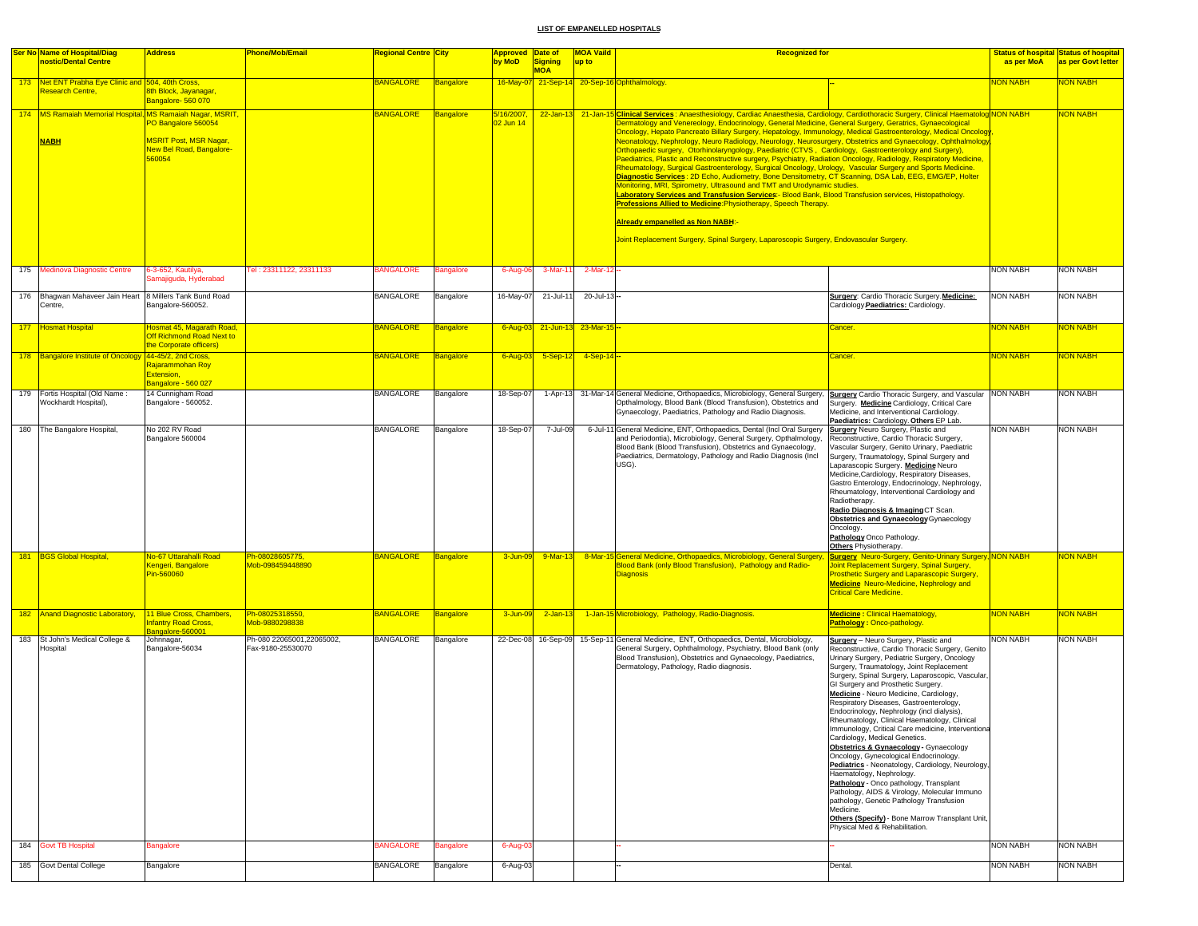|     | Ser No Name of Hospital/Diag<br>nostic/Dental Centre                        | <b>Address</b>                                                                             | Phone/Mob/Email                                | Regional Centre City |                  | Approved Date of<br>by MoD | Signing    | <b>MOA Vaild</b><br>up to | <b>Recognized for</b>                                                                                                                                                                                                                                                                                                                                                                                                                                                                                                                                                                                                                                                                                                                                                                                                                                                                                                                                                                                                                                                                                                                                                                                                                                                                                                                                     |                                                                                                                                                                                                                                                                                                                                                                                                                                                                                                                                                                                                                                                                                                                                                                                                                                                                                                                                                                           | as per MoA      | <b>Status of hospital Status of hospital</b><br>as per Govt letter |
|-----|-----------------------------------------------------------------------------|--------------------------------------------------------------------------------------------|------------------------------------------------|----------------------|------------------|----------------------------|------------|---------------------------|-----------------------------------------------------------------------------------------------------------------------------------------------------------------------------------------------------------------------------------------------------------------------------------------------------------------------------------------------------------------------------------------------------------------------------------------------------------------------------------------------------------------------------------------------------------------------------------------------------------------------------------------------------------------------------------------------------------------------------------------------------------------------------------------------------------------------------------------------------------------------------------------------------------------------------------------------------------------------------------------------------------------------------------------------------------------------------------------------------------------------------------------------------------------------------------------------------------------------------------------------------------------------------------------------------------------------------------------------------------|---------------------------------------------------------------------------------------------------------------------------------------------------------------------------------------------------------------------------------------------------------------------------------------------------------------------------------------------------------------------------------------------------------------------------------------------------------------------------------------------------------------------------------------------------------------------------------------------------------------------------------------------------------------------------------------------------------------------------------------------------------------------------------------------------------------------------------------------------------------------------------------------------------------------------------------------------------------------------|-----------------|--------------------------------------------------------------------|
|     | 173 Net ENT Prabha Eye Clinic and 504, 40th Cross,<br>Research Centre,      | 8th Block, Jayanagar,<br>Bangalore- 560 070                                                |                                                | <b>BANGALORE</b>     | <b>Bangalore</b> |                            | <b>MOA</b> |                           | 16-May-07 21-Sep-14 20-Sep-16 Ophthalmology.                                                                                                                                                                                                                                                                                                                                                                                                                                                                                                                                                                                                                                                                                                                                                                                                                                                                                                                                                                                                                                                                                                                                                                                                                                                                                                              |                                                                                                                                                                                                                                                                                                                                                                                                                                                                                                                                                                                                                                                                                                                                                                                                                                                                                                                                                                           | NON NABH        | <b>VON NABH</b>                                                    |
|     | 174   MS Ramaiah Memorial Hospital, MS Ramaiah Nagar, MSRIT,<br><b>NABH</b> | PO Bangalore 560054<br><b>MSRIT Post, MSR Nagar,</b><br>New Bel Road, Bangalore-<br>560054 |                                                | <b>BANGALORE</b>     | <b>Bangalore</b> | 5/16/2007,<br>02 Jun 14    |            |                           | 22-Jan-13 21-Jan-15 Clinical Services: Anaesthesiology, Cardiac Anaesthesia, Cardiology, Cardiothoracic Surgery, Clinical Haematolog NON NABH<br>Dermatology and Venereology, Endocrinology, General Medicine, General Surgery, Geratrics, Gynaecological<br>Oncology, Hepato Pancreato Billary Surgery, Hepatology, Immunology, Medical Gastroenterology, Medical Oncology<br>Neonatology, Nephrology, Neuro Radiology, Neurology, Neurosurgery, Obstetrics and Gynaecology, Ophthalmology<br>Orthopaedic surgery, Otorhinolaryngology, Paediatric (CTVS, Cardiology, Gastroenterology and Surgery),<br>Paediatrics, Plastic and Reconstructive surgery, Psychiatry, Radiation Oncology, Radiology, Respiratory Medicine,<br>Rheumatology, Surgical Gastroenterology, Surgical Oncology, Urology, Vascular Surgery and Sports Medicine.<br>Diagnostic Services: 2D Echo, Audiometry, Bone Densitometry, CT Scanning, DSA Lab, EEG, EMG/EP, Holter<br>Monitoring, MRI, Spirometry, Ultrasound and TMT and Urodynamic studies.<br><mark>Laboratory Services and Transfusion Services:</mark> - Blood Bank, Blood Transfusion services, Histopathology.<br>Professions Allied to Medicine:Physiotherapy, Speech Therapy<br><b>Aiready empanelled as Non NABH:</b><br>Joint Replacement Surgery, Spinal Surgery, Laparoscopic Surgery, Endovascular Surgery. |                                                                                                                                                                                                                                                                                                                                                                                                                                                                                                                                                                                                                                                                                                                                                                                                                                                                                                                                                                           |                 | <b>NON NABH</b>                                                    |
| 175 | Medinova Diagnostic Centre                                                  | 6-3-652, Kautilya<br>amajiguda, Hyderabad                                                  | Fel: 23311122, 23311133                        | <b>BANGALORE</b>     | <b>Bangalore</b> | 6-Aug-06                   | $3-Mar-1$  | 2-Mar-12-                 |                                                                                                                                                                                                                                                                                                                                                                                                                                                                                                                                                                                                                                                                                                                                                                                                                                                                                                                                                                                                                                                                                                                                                                                                                                                                                                                                                           |                                                                                                                                                                                                                                                                                                                                                                                                                                                                                                                                                                                                                                                                                                                                                                                                                                                                                                                                                                           | <b>NON NABH</b> | <b>NON NABH</b>                                                    |
|     | 176 Bhagwan Mahaveer Jain Heart<br>Centre,                                  | 8 Millers Tank Bund Road<br>Bangalore-560052.                                              |                                                | <b>BANGALORE</b>     | Bangalore        | 16-May-07                  | 21-Jul-11  | 20-Jul-13-                |                                                                                                                                                                                                                                                                                                                                                                                                                                                                                                                                                                                                                                                                                                                                                                                                                                                                                                                                                                                                                                                                                                                                                                                                                                                                                                                                                           | Surgery: Cardio Thoracic Surgery. Medicine:<br>Cardiology.Paediatrics: Cardiology.                                                                                                                                                                                                                                                                                                                                                                                                                                                                                                                                                                                                                                                                                                                                                                                                                                                                                        | <b>NON NABH</b> | <b>NON NABH</b>                                                    |
|     | 177 Hosmat Hospital                                                         | losmat 45, Magarath Road,<br>Off Richmond Road Next to                                     |                                                | <b>BANGALORE</b>     | <b>Bangalore</b> | 6-Aug-03                   |            | 21-Jun-13 23-Mar-15 --    |                                                                                                                                                                                                                                                                                                                                                                                                                                                                                                                                                                                                                                                                                                                                                                                                                                                                                                                                                                                                                                                                                                                                                                                                                                                                                                                                                           | Cancer                                                                                                                                                                                                                                                                                                                                                                                                                                                                                                                                                                                                                                                                                                                                                                                                                                                                                                                                                                    | <b>NON NABH</b> | <b>VON NABH</b>                                                    |
|     | 178 Bangalore Institute of Oncology 44-45/2, 2nd Cross,                     | the Corporate officers)<br>Rajarammohan Roy                                                |                                                | <b>BANGALORE</b>     | <b>Bangalore</b> | 6-Aug-03                   | $5-Sep-12$ | $-4 -$ Sep-14 $-$         |                                                                                                                                                                                                                                                                                                                                                                                                                                                                                                                                                                                                                                                                                                                                                                                                                                                                                                                                                                                                                                                                                                                                                                                                                                                                                                                                                           | Cancer.                                                                                                                                                                                                                                                                                                                                                                                                                                                                                                                                                                                                                                                                                                                                                                                                                                                                                                                                                                   | <b>NON NABH</b> | NON NABH                                                           |
|     |                                                                             | Extension,<br>Bangalore - 560 027                                                          |                                                |                      |                  |                            |            |                           |                                                                                                                                                                                                                                                                                                                                                                                                                                                                                                                                                                                                                                                                                                                                                                                                                                                                                                                                                                                                                                                                                                                                                                                                                                                                                                                                                           |                                                                                                                                                                                                                                                                                                                                                                                                                                                                                                                                                                                                                                                                                                                                                                                                                                                                                                                                                                           |                 |                                                                    |
|     | 179 Fortis Hospital (Old Name:<br><b>Nockhardt Hospital)</b>                | 14 Cunnigham Road<br>Bangalore - 560052.                                                   |                                                | <b>BANGALORE</b>     | Bangalore        | 18-Sep-07                  |            |                           | 1-Apr-13 31-Mar-14 General Medicine, Orthopaedics, Microbiology, General Surgery,<br>Opthalmology, Blood Bank (Blood Transfusion), Obstetrics and<br>Gynaecology, Paediatrics, Pathology and Radio Diagnosis.                                                                                                                                                                                                                                                                                                                                                                                                                                                                                                                                                                                                                                                                                                                                                                                                                                                                                                                                                                                                                                                                                                                                             | <b>Surgery</b> Cardio Thoracic Surgery, and Vascular NON NABH<br>Surgery. Medicine Cardiology, Critical Care<br>Medicine, and Interventional Cardiology.<br>Paediatrics: Cardiology. Others EP Lab.                                                                                                                                                                                                                                                                                                                                                                                                                                                                                                                                                                                                                                                                                                                                                                       |                 | <b>NON NABH</b>                                                    |
|     | 180 The Bangalore Hospital,                                                 | No 202 RV Road<br>Bangalore 560004                                                         |                                                | <b>BANGALORE</b>     | Bangalore        | 18-Sep-07                  | 7-Jul-09   |                           | 6-Jul-11 General Medicine, ENT, Orthopaedics, Dental (Incl Oral Surgery<br>and Periodontia), Microbiology, General Surgery, Opthalmology,<br>Blood Bank (Blood Transfusion), Obstetrics and Gynaecology,<br>Paediatrics, Dermatology, Pathology and Radio Diagnosis (Incl.<br>USG).                                                                                                                                                                                                                                                                                                                                                                                                                                                                                                                                                                                                                                                                                                                                                                                                                                                                                                                                                                                                                                                                       | <b>Surgery</b> Neuro Surgery, Plastic and<br>Reconstructive, Cardio Thoracic Surgery,<br>Vascular Surgery, Genito Urinary, Paediatric<br>Surgery, Traumatology, Spinal Surgery and<br>Laparascopic Surgery. Medicine Neuro<br>Medicine, Cardiology, Respiratory Diseases,<br>Gastro Enterology, Endocrinology, Nephrology,<br>Rheumatology, Interventional Cardiology and<br>Radiotherapy.<br>Radio Diagnosis & Imaging CT Scan.<br>Obstetrics and Gynaecology Gynaecology<br>Oncology.<br>Pathology Onco Pathology.<br>Others Physiotherapy.                                                                                                                                                                                                                                                                                                                                                                                                                             | <b>NON NABH</b> | <b>NON NABH</b>                                                    |
|     | 181 BGS Global Hospital,                                                    | No-67 Uttarahalli Road<br>Kengeri, Bangalore<br>Pin-560060                                 | Ph-08028605775,<br>Mob-098459448890            | <b>BANGALORE</b>     | <b>Bangalore</b> | 3-Jun-09                   | 9-Mar-13   |                           | 8-Mar-15 General Medicine, Orthopaedics, Microbiology, General Surgery, Surgery Neuro-Surgery, Genito-Urinary Surgery, NON NABH<br>Blood Bank (only Blood Transfusion), Pathology and Radio-<br><b>Diagnosis</b>                                                                                                                                                                                                                                                                                                                                                                                                                                                                                                                                                                                                                                                                                                                                                                                                                                                                                                                                                                                                                                                                                                                                          | Joint Replacement Surgery, Spinal Surgery,<br><b>Prosthetic Surgery and Laparascopic Surgery</b><br><b>Medicine</b> Neuro-Medicine, Nephrology and<br><b>Critical Care Medicine.</b>                                                                                                                                                                                                                                                                                                                                                                                                                                                                                                                                                                                                                                                                                                                                                                                      |                 | <mark>NON NABH</mark>                                              |
|     | 182 Anand Diagnostic Laboratory,                                            | 11 Blue Cross, Chambers,<br>nfantry Road Cross,                                            | Ph-08025318550,<br>Mob-9880298838              | <b>BANGALORE</b>     | <b>Bangalore</b> | 3-Jun-09                   | $2-Jan-13$ |                           | 1-Jan-15 Microbiology, Pathology, Radio-Diagnosis.                                                                                                                                                                                                                                                                                                                                                                                                                                                                                                                                                                                                                                                                                                                                                                                                                                                                                                                                                                                                                                                                                                                                                                                                                                                                                                        | <b>Medicine: Clinical Haematology,</b><br>Pathology: Onco-pathology.                                                                                                                                                                                                                                                                                                                                                                                                                                                                                                                                                                                                                                                                                                                                                                                                                                                                                                      | <b>NON NABH</b> | <b>NON NABH</b>                                                    |
| 183 | St John's Medical College &<br><b>Hospital</b>                              | Bangalore-560001<br>Johnnagar,<br>Bangalore-56034                                          | Ph-080 22065001.22065002.<br>Fax-9180-25530070 | <b>BANGALORE</b>     | Bangalore        | 22-Dec-08                  | 16-Sep-09  |                           | 15-Sep-11 General Medicine, ENT, Orthopaedics, Dental, Microbiology,<br>General Surgery, Ophthalmology, Psychiatry, Blood Bank (only<br>Blood Transfusion), Obstetrics and Gynaecology, Paediatrics,<br>Dermatology, Pathology, Radio diagnosis.                                                                                                                                                                                                                                                                                                                                                                                                                                                                                                                                                                                                                                                                                                                                                                                                                                                                                                                                                                                                                                                                                                          | <b>Surgery</b> - Neuro Surgery, Plastic and<br>Reconstructive, Cardio Thoracic Surgery, Genito<br>Urinary Surgery, Pediatric Surgery, Oncology<br>Surgery, Traumatology, Joint Replacement<br>Surgery, Spinal Surgery, Laparoscopic, Vascular,<br>GI Surgery and Prosthetic Surgery.<br>Medicine - Neuro Medicine, Cardiology,<br>Respiratory Diseases, Gastroenterology,<br>Endocrinology, Nephrology (incl dialysis),<br>Rheumatology, Clinical Haematology, Clinical<br>Immunology, Critical Care medicine, Interventiona<br>Cardiology, Medical Genetics.<br>Obstetrics & Gynaecology - Gynaecology<br>Oncology, Gynecological Endocrinology.<br>Pediatrics - Neonatology, Cardiology, Neurology,<br>Haematology, Nephrology.<br>Pathology - Onco pathology, Transplant<br>Pathology, AIDS & Virology, Molecular Immuno<br>pathology, Genetic Pathology Transfusion<br>Medicine.<br>Others (Specify) - Bone Marrow Transplant Unit,<br>Physical Med & Rehabilitation. | <b>NON NABH</b> | <b>NON NABH</b>                                                    |
| 184 | <b>Govt TB Hospital</b>                                                     | <b>Bangalore</b>                                                                           |                                                | <b>BANGALORE</b>     | <b>Bangalore</b> | 6-Aug-03                   |            |                           |                                                                                                                                                                                                                                                                                                                                                                                                                                                                                                                                                                                                                                                                                                                                                                                                                                                                                                                                                                                                                                                                                                                                                                                                                                                                                                                                                           |                                                                                                                                                                                                                                                                                                                                                                                                                                                                                                                                                                                                                                                                                                                                                                                                                                                                                                                                                                           | NON NABH        | NON NABH                                                           |
|     | 185 Govt Dental College                                                     | Bangalore                                                                                  |                                                | <b>BANGALORE</b>     | Bangalore        | 6-Aug-03                   |            |                           |                                                                                                                                                                                                                                                                                                                                                                                                                                                                                                                                                                                                                                                                                                                                                                                                                                                                                                                                                                                                                                                                                                                                                                                                                                                                                                                                                           | Dental.                                                                                                                                                                                                                                                                                                                                                                                                                                                                                                                                                                                                                                                                                                                                                                                                                                                                                                                                                                   | <b>NON NABH</b> | <b>NON NABH</b>                                                    |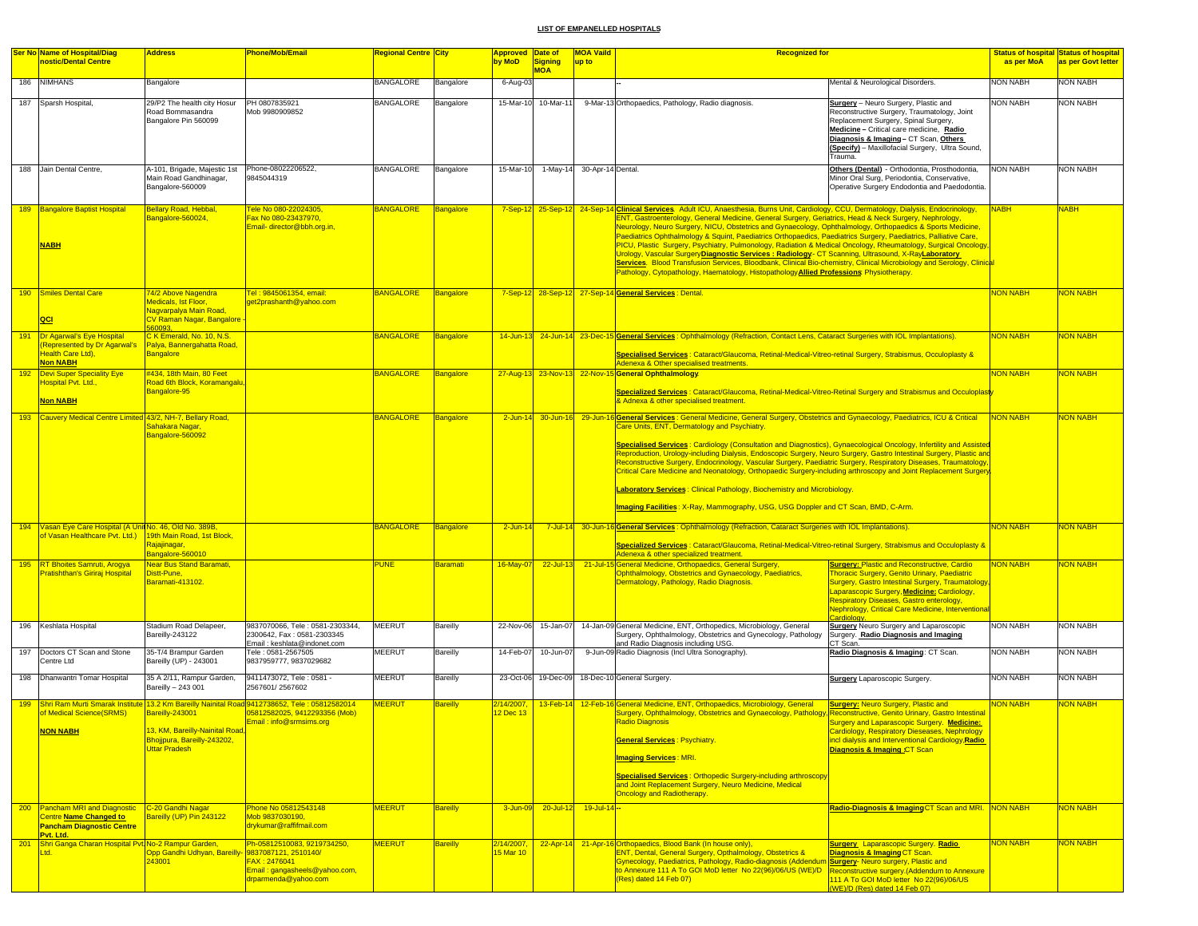|     | <b>Ser No Name of Hospital/Diag</b>                                                                       | <b>Address</b>                                                                                     | <b>Phone/Mob/Email</b>                                                                                                         | <b>Regional Centre City</b> |                 | <b>Approved Date of</b> |                       | <b>MOA Vaild</b>           | <u>Recognized for</u>                                                                                                                                                                                                                                                                                                                                                                                                                                                                                                                                                                                                                                                                                                                                                                                                                                                                                                                     |                                                                                                                                                                                                                                                                                                                       |                 | <b>Status of hospital Status of hospital</b> |
|-----|-----------------------------------------------------------------------------------------------------------|----------------------------------------------------------------------------------------------------|--------------------------------------------------------------------------------------------------------------------------------|-----------------------------|-----------------|-------------------------|-----------------------|----------------------------|-------------------------------------------------------------------------------------------------------------------------------------------------------------------------------------------------------------------------------------------------------------------------------------------------------------------------------------------------------------------------------------------------------------------------------------------------------------------------------------------------------------------------------------------------------------------------------------------------------------------------------------------------------------------------------------------------------------------------------------------------------------------------------------------------------------------------------------------------------------------------------------------------------------------------------------------|-----------------------------------------------------------------------------------------------------------------------------------------------------------------------------------------------------------------------------------------------------------------------------------------------------------------------|-----------------|----------------------------------------------|
|     | nostic/Dental Centre                                                                                      |                                                                                                    |                                                                                                                                |                             |                 | by MoD                  | Signing<br><b>MOA</b> | up to                      |                                                                                                                                                                                                                                                                                                                                                                                                                                                                                                                                                                                                                                                                                                                                                                                                                                                                                                                                           |                                                                                                                                                                                                                                                                                                                       | as per MoA      | as per Govt letter                           |
|     | 186 NIMHANS                                                                                               | Bangalore                                                                                          |                                                                                                                                | <b>BANGALORE</b>            | Bangalore       | 6-Aug-03                |                       |                            |                                                                                                                                                                                                                                                                                                                                                                                                                                                                                                                                                                                                                                                                                                                                                                                                                                                                                                                                           | Mental & Neurological Disorders.                                                                                                                                                                                                                                                                                      | <b>NON NABH</b> | <b>NON NABH</b>                              |
|     | 187 Sparsh Hospital,                                                                                      | 29/P2 The health city Hosur<br>Road Bommasandra<br>Bangalore Pin 560099                            | PH 0807835921<br>Mob 9980909852                                                                                                | <b>BANGALORE</b>            | Bangalore       |                         | 15-Mar-10 10-Mar-11   |                            | 9-Mar-13 Orthopaedics, Pathology, Radio diagnosis.                                                                                                                                                                                                                                                                                                                                                                                                                                                                                                                                                                                                                                                                                                                                                                                                                                                                                        | Surgery - Neuro Surgery, Plastic and<br>Reconstructive Surgery, Traumatology, Joint<br>Replacement Surgery, Spinal Surgery,<br>Medicine - Critical care medicine, Radio<br>Diagnosis & Imaging-CT Scan, Others<br>(Specify) - Maxillofacial Surgery, Ultra Sound,<br>Trauma.                                          | <b>NON NABH</b> | NON NABH                                     |
|     | 188 Jain Dental Centre,                                                                                   | A-101, Brigade, Majestic 1st<br>Main Road Gandhinagar,<br>Bangalore-560009                         | Phone-08022206522.<br>9845044319                                                                                               | <b>BANGALORE</b>            | Bangalore       | 15-Mar-10               |                       | 1-May-14 30-Apr-14 Dental. |                                                                                                                                                                                                                                                                                                                                                                                                                                                                                                                                                                                                                                                                                                                                                                                                                                                                                                                                           | Others (Dental) - Orthodontia, Prosthodontia,<br>Minor Oral Surg, Periodontia, Conservative,<br>Operative Surgery Endodontia and Paedodontia.                                                                                                                                                                         | <b>NON NABH</b> | <b>NON NABH</b>                              |
|     | 189 Bangalore Baptist Hospital<br><b>NABH</b>                                                             | Bellary Road, Hebbal,<br>Bangalore-560024,                                                         | Fele No 080-22024305,<br>Fax No 080-23437970,<br>Email- director@bbh.org.in,                                                   | <b>BANGALORE</b>            | Bangalore       |                         |                       |                            | 7-Sep-12 25-Sep-12 24-Sep-14 Clinical Services Adult ICU, Anaesthesia, Burns Unit, Cardiology, CCU, Dermatology, Dialysis, Endocrinology,<br>ENT, Gastroenterology, General Medicine, General Surgery, Geriatrics, Head & Neck Surgery, Nephrology,<br>Neurology, Neuro Surgery, NICU, Obstetrics and Gynaecology, Ophthalmology, Orthopaedics & Sports Medicine,<br>Paediatrics Ophthalmology & Squint, Paediatrics Orthopaedics, Paediatrics Surgery, Paediatrics, Palliative Care,<br>PICU, Plastic Surgery, Psychiatry, Pulmonology, Radiation & Medical Oncology, Rheumatology, Surgical Oncology<br>Urology, Vascular SurgeryDiagnostic Services : Radiology - CT Scanning, Ultrasound, X-RayLaboratory<br>Services. Blood Transfusion Services, Bloodbank, Clinical Bio-chemistry, Clinical Microbiology and Serology, Clinica<br>Pathology, Cytopathology, Haematology, Histopathology <b>Allied Professions</b> : Physiotherapy. |                                                                                                                                                                                                                                                                                                                       | <b>NABH</b>     | <b>JABH</b>                                  |
|     | 190 Smiles Dental Care<br> QCI                                                                            | 74/2 Above Nagendra<br>Medicals, Ist Floor,<br>Nagvarpalya Main Road,<br>CV Raman Nagar, Bangalore | <u> Tel : 9845061354, email:</u><br>get2prashanth@yahoo.com                                                                    | <b>BANGALORE</b>            | Bangalore       |                         |                       |                            | 7-Sep-12 28-Sep-12 27-Sep-14 General Services : Dental.                                                                                                                                                                                                                                                                                                                                                                                                                                                                                                                                                                                                                                                                                                                                                                                                                                                                                   |                                                                                                                                                                                                                                                                                                                       | <b>NON NABH</b> | <b>NON NABH</b>                              |
| 191 | <b>Dr Agarwal's Eye Hospital</b><br><b>Represented by Dr Agarwal's</b>                                    | C K Emerald, No. 10, N.S.<br>Palya, Bannergahatta Road,                                            |                                                                                                                                | <b>BANGALORE</b>            | Bangalore       |                         |                       |                            | 14-Jun-13 24-Jun-14 23-Dec-15 General Services: Ophthalmology (Refraction, Contact Lens, Cataract Surgeries with IOL Implantations).                                                                                                                                                                                                                                                                                                                                                                                                                                                                                                                                                                                                                                                                                                                                                                                                      |                                                                                                                                                                                                                                                                                                                       | <b>NON NABH</b> | <b>NON NABH</b>                              |
|     | Health Care Ltd),<br><b>Non NABH</b>                                                                      | <b>Bangalore</b>                                                                                   |                                                                                                                                |                             |                 |                         |                       |                            | Specialised Services : Cataract/Glaucoma, Retinal-Medical-Vitreo-retinal Surgery, Strabismus, Occuloplasty &<br>Adenexa & Other specialised treatments.                                                                                                                                                                                                                                                                                                                                                                                                                                                                                                                                                                                                                                                                                                                                                                                   |                                                                                                                                                                                                                                                                                                                       |                 |                                              |
|     | 192 Devi Super Speciality Eye<br>Hospital Pvt. Ltd.,<br>Non NABH                                          | #434, 18th Main, 80 Feet<br>Road 6th Block, Koramangalu<br>Bangalore-95                            |                                                                                                                                | <b>BANGALORE</b>            | Bangalore       |                         |                       |                            | 27-Aug-13 23-Nov-13 22-Nov-15 General Ophthalmology.<br><u> Specialized Services : Cataract/Glaucoma, Retinal-Medical-Vitreo-Retinal Surgery and Strabismus and Occuloplasty</u><br>& Adnexa & other specialised treatment.                                                                                                                                                                                                                                                                                                                                                                                                                                                                                                                                                                                                                                                                                                               |                                                                                                                                                                                                                                                                                                                       | <b>NON NABH</b> | NON NABH                                     |
| 193 | Cauvery Medical Centre Limited 43/2, NH-7, Bellary Road,                                                  | Sahakara Nagar,<br>Bangalore-560092                                                                |                                                                                                                                | <b>BANGALORE</b>            | Bangalore       |                         |                       |                            | 2-Jun-14 30-Jun-16 29-Jun-16 General Services: General Medicine, General Surgery, Obstetrics and Gynaecology, Paediatrics, ICU & Critical<br>Care Units, ENT, Dermatology and Psychiatry.<br>Specialised Services: Cardiology (Consultation and Diagnostics), Gynaecological Oncology, Infertility and Assisted<br>Reproduction, Urology-including Dialysis, Endoscopic Surgery, Neuro Surgery, Gastro Intestinal Surgery, Plastic and<br>Reconstructive Surgery, Endocrinology, Vascular Surgery, Paediatric Surgery, Respiratory Diseases, Traumatology,<br>Critical Care Medicine and Neonatology, Orthopaedic Surgery-including arthroscopy and Joint Replacement Surgery<br>Laboratory Services: Clinical Pathology, Biochemistry and Microbiology.<br>Imaging Facilities: X-Ray, Mammography, USG, USG Doppler and CT Scan, BMD, C-Arm.                                                                                             |                                                                                                                                                                                                                                                                                                                       | <b>NON NABH</b> | NON NABH                                     |
|     | 194 Vasan Eye Care Hospital (A Unit No. 46, Old No. 389B,<br>of Vasan Healthcare Pvt. Ltd.)               | 19th Main Road, 1st Block.<br>Rajajinagar,<br>Bangalore-560010                                     |                                                                                                                                | <b>BANGALORE</b>            | Bangalore       | $2$ -Jun-14             |                       |                            | 7-Jul-14 30-Jun-16 General Services: Ophthalmology (Refraction, Cataract Surgeries with IOL Implantations).<br>Specialized Services : Cataract/Glaucoma, Retinal-Medical-Vitreo-retinal Surgery, Strabismus and Occuloplasty &<br>Adenexa & other specialized treatment.                                                                                                                                                                                                                                                                                                                                                                                                                                                                                                                                                                                                                                                                  |                                                                                                                                                                                                                                                                                                                       | <b>VON NABH</b> | <b>JON NABH</b>                              |
|     | 195 RT Bhoites Samruti, Arogya<br>Pratishthan's Giriraj Hospital                                          | <b>Near Bus Stand Baramati,</b><br>Distt-Pune.<br>Baramati-413102                                  |                                                                                                                                | <b>PUNE</b>                 | <b>Baramati</b> | 16-May-07               | $22 -$ Jul-13         |                            | 21-Jul-15 General Medicine, Orthopaedics, General Surgery<br>Ophthalmology, Obstetrics and Gynaecology, Paediatrics,<br>Dermatology, Pathology, Radio Diagnosis.                                                                                                                                                                                                                                                                                                                                                                                                                                                                                                                                                                                                                                                                                                                                                                          | <b>Surgery: Plastic and Reconstructive, Cardio</b><br>Thoracic Surgery, Genito Urinary, Paediatric<br>Surgery, Gastro Intestinal Surgery, Traumatology,<br>Laparascopic Surgery, Medicine: Cardiology,<br><b>Respiratory Diseases, Gastro enterology,</b><br><b>Nephrology, Critical Care Medicine, Interventiona</b> | <b>NON NABH</b> | <mark>NON NABH</mark>                        |
|     | 196 Keshlata Hospital                                                                                     | Stadium Road Delapeer,<br>Bareilly-243122                                                          | 9837070066, Tele: 0581-2303344,<br>2300642, Fax: 0581-2303345<br>Email: keshlata@indonet.com                                   | <b>MEERUT</b>               | <b>Bareilly</b> | 22-Nov-06               | 15-Jan-07             |                            | 14-Jan-09 General Medicine, ENT, Orthopedics, Microbiology, General<br>Surgery, Ophthalmology, Obstetrics and Gynecology, Pathology<br>and Radio Diagnosis including USG.                                                                                                                                                                                                                                                                                                                                                                                                                                                                                                                                                                                                                                                                                                                                                                 | <b>Surgery</b> Neuro Surgery and Laparoscopic<br>Surgery. Radio Diagnosis and Imaging                                                                                                                                                                                                                                 | <b>NON NABH</b> | NON NABH                                     |
| 197 | Doctors CT Scan and Stone<br>Centre Ltd                                                                   | 35-T/4 Brampur Garden<br>Bareilly (UP) - 243001                                                    | Tele: 0581-2567505<br>9837959777, 9837029682                                                                                   | <b>MEERUT</b>               | Bareilly        | 14-Feb-07               | 10-Jun-07             |                            | 9-Jun-09 Radio Diagnosis (Incl Ultra Sonography).                                                                                                                                                                                                                                                                                                                                                                                                                                                                                                                                                                                                                                                                                                                                                                                                                                                                                         | CT Scan.<br>Radio Diagnosis & Imaging: CT Scan.                                                                                                                                                                                                                                                                       | <b>NON NABH</b> | NON NABH                                     |
|     | 198 Dhanwantri Tomar Hospital                                                                             | 35 A 2/11, Rampur Garden,<br>Bareilly - 243 001                                                    | 9411473072, Tele: 0581 -<br>2567601/2567602                                                                                    | <b>MEERUT</b>               | Bareilly        |                         |                       |                            | 23-Oct-06 19-Dec-09 18-Dec-10 General Surgery.                                                                                                                                                                                                                                                                                                                                                                                                                                                                                                                                                                                                                                                                                                                                                                                                                                                                                            | <b>Surgery Laparoscopic Surgery.</b>                                                                                                                                                                                                                                                                                  | <b>NON NABH</b> | NON NABH                                     |
| 199 |                                                                                                           | Bareilly-243001                                                                                    | Shri Ram Murti Smarak Institute 13.2 Km Bareilly Nainital Road 9412738652, Tele : 05812582014<br>05812582025, 9412293356 (Mob) | <b>MEERUT</b>               | <b>Bareilly</b> | 2/14/2007,              |                       |                            | 13-Feb-14 12-Feb-16 General Medicine, ENT, Orthopaedics, Microbiology, General                                                                                                                                                                                                                                                                                                                                                                                                                                                                                                                                                                                                                                                                                                                                                                                                                                                            | <b>Surgery: Neuro Surgery, Plastic and</b>                                                                                                                                                                                                                                                                            | <b>NON NABH</b> | <b>VON NABH</b>                              |
|     | of Medical Science(SRMS)<br><b>NON NABH</b>                                                               | 3, KM, Bareilly-Nainital Road,<br>Bhojjpura, Bareilly-243202,<br><b>Uttar Pradesh</b>              | Email: info@srmsims.org                                                                                                        |                             |                 | 12 Dec 13               |                       |                            | Surgery, Ophthalmology, Obstetrics and Gynaecology, Pathology, Reconstructive, Genito Urinary, Gastro Intestinal<br><b>Radio Diagnosis</b><br><b>General Services: Psychiatry.</b><br><b>Imaging Services: MRI.</b><br><b>Specialised Services: Orthopedic Surgery-including arthroscopy</b>                                                                                                                                                                                                                                                                                                                                                                                                                                                                                                                                                                                                                                              | Surgery and Laparascopic Surgery. Medicine:<br>Cardiology, Respiratory Dieseases, Nephrology<br>ncl dialysis and Interventional Cardiology, Radio<br>Diagnosis & Imaging CT Scan                                                                                                                                      |                 |                                              |
|     |                                                                                                           |                                                                                                    |                                                                                                                                |                             |                 |                         |                       |                            | and Joint Replacement Surgery, Neuro Medicine, Medical<br><b>Oncology and Radiotherapy.</b>                                                                                                                                                                                                                                                                                                                                                                                                                                                                                                                                                                                                                                                                                                                                                                                                                                               |                                                                                                                                                                                                                                                                                                                       |                 |                                              |
|     | 200 Pancham MRI and Diagnostic<br>Centre Name Changed to<br><b>Pancham Diagnostic Centre</b><br>Pvt. Ltd. | C-20 Gandhi Nagar<br>areilly (UP) Pin 243122                                                       | Phone No 05812543148<br>Mob 9837030190,<br>drykumar@raffifmail.com                                                             | <b>MEERUT</b>               | <b>Bareilly</b> |                         | 3-Jun-09 20-Jul-12    | $19 -$ Jul-14 -            |                                                                                                                                                                                                                                                                                                                                                                                                                                                                                                                                                                                                                                                                                                                                                                                                                                                                                                                                           | Radio-Diagnosis & Imaging CT Scan and MRI. NON NABH                                                                                                                                                                                                                                                                   |                 | NON NABH                                     |
| 201 | Shri Ganga Charan Hospital Pvt. No-2 Rampur Garden,<br>Ltd.                                               | Opp Gandhi Udhyan, Bareill<br>243001                                                               | Ph-05812510083, 9219734250,<br>9837087121, 2510140/<br>FAX: 2476041<br>Email: gangasheels@yahoo.com,<br>drparmenda@yahoo.com   | <b>MEERUT</b>               | <b>Bareilly</b> | 2/14/2007,<br>5 Mar 10  |                       |                            | 22-Apr-14 21-Apr-16 Orthopaedics, Blood Bank (In house only),<br>ENT, Dental, General Surgery, Opthalmology, Obstetrics &<br>Gynecology, Paediatrics, Pathology, Radio-diagnosis (Addendum Surgery-Neuro surgery, Plastic and<br>to Annexure 111 A To GOI MoD letter No 22(96)/06/US (WE)/D<br>(Res) dated 14 Feb 07)                                                                                                                                                                                                                                                                                                                                                                                                                                                                                                                                                                                                                     | <b>Surgery</b> Laparascopic Surgery. Radio<br><b>Diagnosis &amp; Imaging CT Scan.</b><br>Reconstructive surgery (Addendum to Annexure<br>111 A To GOI MoD letter No 22(96)/06/US<br>WE)/D (Res) dated 14 Feb 07)                                                                                                      | <b>NON NABH</b> | <b>VON NABH</b>                              |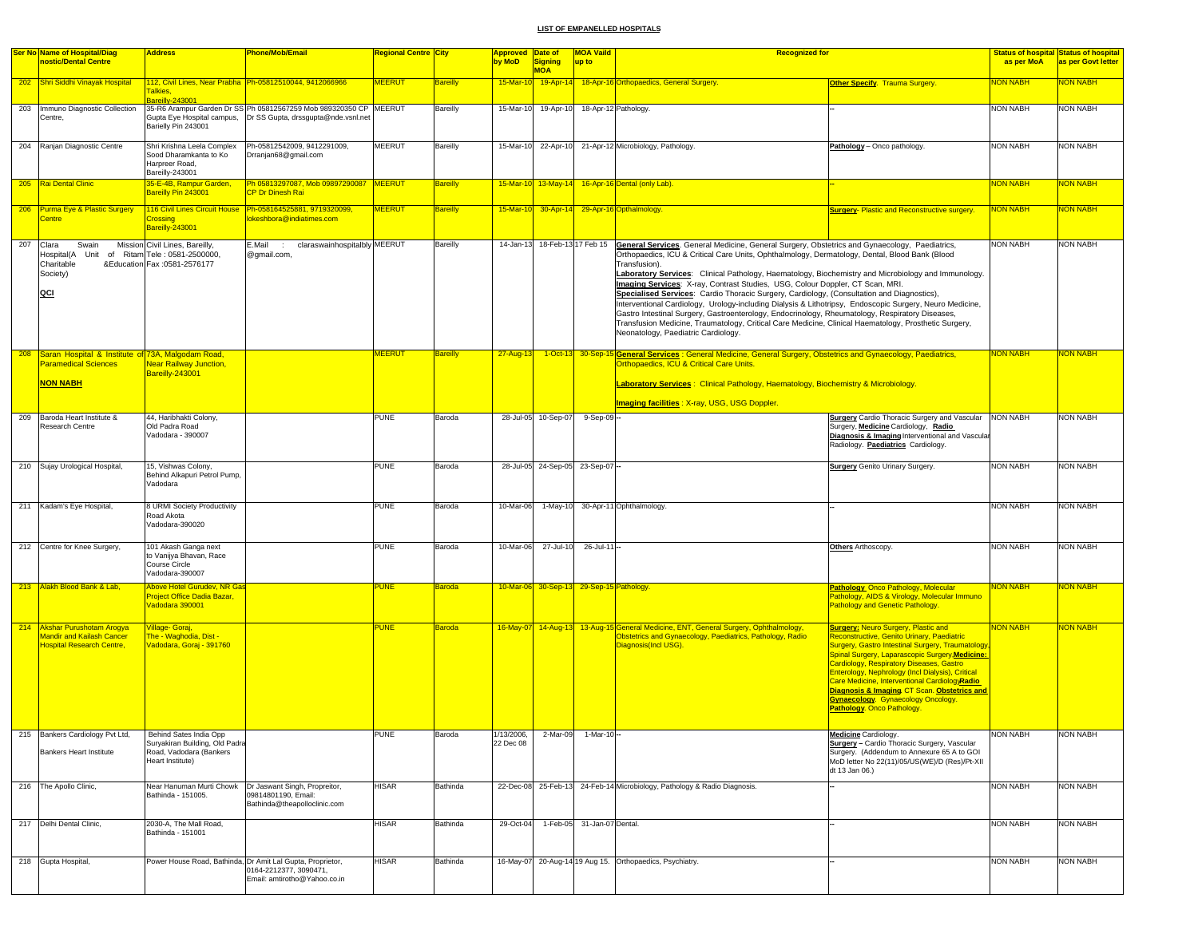|     | <b>Ser No Name of Hospital/Diag</b>                                                           | <b>Address</b>                                                                                 | <b>Phone/Mob/Email</b>                                                                                               | Regional Centre <mark> City</mark> |                 | <b>Approved Date of</b> |                                          | <b>MOA Vaild</b>           | <b>Recognized for</b>                                                                                                                                                                                                                                                                                                                                                                                                                                                                                                                                                                                                                                                                                                                                                                                                                                                 |                                                                                                                                                                                                                                                                                                                                                                                                                                                                                          |                 | <b>Status of hospital Status of hospital</b> |
|-----|-----------------------------------------------------------------------------------------------|------------------------------------------------------------------------------------------------|----------------------------------------------------------------------------------------------------------------------|------------------------------------|-----------------|-------------------------|------------------------------------------|----------------------------|-----------------------------------------------------------------------------------------------------------------------------------------------------------------------------------------------------------------------------------------------------------------------------------------------------------------------------------------------------------------------------------------------------------------------------------------------------------------------------------------------------------------------------------------------------------------------------------------------------------------------------------------------------------------------------------------------------------------------------------------------------------------------------------------------------------------------------------------------------------------------|------------------------------------------------------------------------------------------------------------------------------------------------------------------------------------------------------------------------------------------------------------------------------------------------------------------------------------------------------------------------------------------------------------------------------------------------------------------------------------------|-----------------|----------------------------------------------|
|     | nostic/Dental Centre                                                                          |                                                                                                |                                                                                                                      |                                    |                 | by MoD                  | <b>Signing</b><br><b>MOA</b>             | up to                      |                                                                                                                                                                                                                                                                                                                                                                                                                                                                                                                                                                                                                                                                                                                                                                                                                                                                       |                                                                                                                                                                                                                                                                                                                                                                                                                                                                                          | as per MoA      | as per Govt letter                           |
|     | 202 Shri Siddhi Vinayak Hospital                                                              | <b>Falkies,</b>                                                                                | 112, Civil Lines, Near Prabha   Ph-05812510044, 9412066966                                                           | <b>MEERUT</b>                      | <b>Bareilly</b> | 15-Mar-10               |                                          |                            | 19-Apr-14 18-Apr-16 Orthopaedics, General Surgery.                                                                                                                                                                                                                                                                                                                                                                                                                                                                                                                                                                                                                                                                                                                                                                                                                    | <b>Other Specify. Trauma Surgery.</b>                                                                                                                                                                                                                                                                                                                                                                                                                                                    | <b>NON NABH</b> | <b>NON NABH</b>                              |
|     | 203 Immuno Diagnostic Collection                                                              | Bareilly-24300                                                                                 | 35-R6 Arampur Garden Dr SS Ph 05812567259 Mob 989320350 CP MEERUT                                                    |                                    | Bareilly        | 15-Mar-10               | 19-Apr-10                                |                            | 18-Apr-12 Pathology.                                                                                                                                                                                                                                                                                                                                                                                                                                                                                                                                                                                                                                                                                                                                                                                                                                                  |                                                                                                                                                                                                                                                                                                                                                                                                                                                                                          | <b>NON NABH</b> | <b>NON NABH</b>                              |
|     | Centre,                                                                                       | Barielly Pin 243001                                                                            |                                                                                                                      |                                    |                 |                         |                                          |                            |                                                                                                                                                                                                                                                                                                                                                                                                                                                                                                                                                                                                                                                                                                                                                                                                                                                                       |                                                                                                                                                                                                                                                                                                                                                                                                                                                                                          |                 |                                              |
|     | 204 Ranjan Diagnostic Centre                                                                  | Shri Krishna Leela Complex                                                                     | Ph-05812542009, 9412291009,                                                                                          | <b>MEERUT</b>                      | Bareilly        |                         |                                          |                            | 15-Mar-10 22-Apr-10 21-Apr-12 Microbiology, Pathology.                                                                                                                                                                                                                                                                                                                                                                                                                                                                                                                                                                                                                                                                                                                                                                                                                | Pathology - Onco pathology.                                                                                                                                                                                                                                                                                                                                                                                                                                                              | <b>NON NABH</b> | <b>NON NABH</b>                              |
|     |                                                                                               | Sood Dharamkanta to Ko                                                                         | Drranjan68@gmail.com                                                                                                 |                                    |                 |                         |                                          |                            |                                                                                                                                                                                                                                                                                                                                                                                                                                                                                                                                                                                                                                                                                                                                                                                                                                                                       |                                                                                                                                                                                                                                                                                                                                                                                                                                                                                          |                 |                                              |
|     |                                                                                               | Harpreer Road,<br>Bareilly-243001                                                              |                                                                                                                      |                                    |                 |                         |                                          |                            |                                                                                                                                                                                                                                                                                                                                                                                                                                                                                                                                                                                                                                                                                                                                                                                                                                                                       |                                                                                                                                                                                                                                                                                                                                                                                                                                                                                          |                 |                                              |
|     | 205 Rai Dental Clinic                                                                         | 35-E-4B, Rampur Garden,                                                                        | Ph 05813297087, Mob 09897290087 MEERUT                                                                               |                                    | <b>Bareilly</b> |                         |                                          |                            | 15-Mar-10 13-May-14 16-Apr-16 Dental (only Lab).                                                                                                                                                                                                                                                                                                                                                                                                                                                                                                                                                                                                                                                                                                                                                                                                                      |                                                                                                                                                                                                                                                                                                                                                                                                                                                                                          | <b>NON NABH</b> | NON NABH                                     |
|     |                                                                                               | Bareilly Pin 243001                                                                            | <b>CP Dr Dinesh Rai</b>                                                                                              |                                    |                 |                         |                                          |                            |                                                                                                                                                                                                                                                                                                                                                                                                                                                                                                                                                                                                                                                                                                                                                                                                                                                                       |                                                                                                                                                                                                                                                                                                                                                                                                                                                                                          |                 |                                              |
|     | 206 Purma Eye & Plastic Surgery                                                               |                                                                                                | 116 Civil Lines Circuit House Ph-058164525881, 9719320099,                                                           | <b>MEERUT</b>                      | <b>Bareilly</b> |                         |                                          |                            | 15-Mar-10 30-Apr-14 29-Apr-16 Opthalmology.                                                                                                                                                                                                                                                                                                                                                                                                                                                                                                                                                                                                                                                                                                                                                                                                                           | <b>Surgery-Plastic and Reconstructive surgery.</b>                                                                                                                                                                                                                                                                                                                                                                                                                                       | <b>NON NABH</b> | <b>NON NABH</b>                              |
|     | <b>Centre</b>                                                                                 | cossing<br>Bareilly-243001                                                                     | okeshbora@indiatimes.com                                                                                             |                                    |                 |                         |                                          |                            |                                                                                                                                                                                                                                                                                                                                                                                                                                                                                                                                                                                                                                                                                                                                                                                                                                                                       |                                                                                                                                                                                                                                                                                                                                                                                                                                                                                          |                 |                                              |
| 207 | Clara<br>Swain<br>Unit<br>Hospital(A<br>Charitable<br>Society)<br>QCI                         | Mission Civil Lines, Bareilly,<br>of Ritam Tele: 0581-2500000,<br>&Education Fax :0581-2576177 | E.Mail<br>claraswainhospitalbly MEERUT<br>$\sim$<br>@gmail.com,                                                      |                                    | Bareilly        |                         | 14-Jan-13 18-Feb-13 17 Feb 15            |                            | General Services. General Medicine, General Surgery, Obstetrics and Gynaecology, Paediatrics,<br>Orthopaedics, ICU & Critical Care Units, Ophthalmology, Dermatology, Dental, Blood Bank (Blood<br>Transfusion).<br>Laboratory Services: Clinical Pathology, Haematology, Biochemistry and Microbiology and Immunology.<br>Imaging Services: X-ray, Contrast Studies, USG, Colour Doppler, CT Scan, MRI.<br>Specialised Services: Cardio Thoracic Surgery, Cardiology, (Consultation and Diagnostics),<br>Interventional Cardiology, Urology-including Dialysis & Lithotripsy, Endoscopic Surgery, Neuro Medicine,<br>Gastro Intestinal Surgery, Gastroenterology, Endocrinology, Rheumatology, Respiratory Diseases,<br>Transfusion Medicine, Traumatology, Critical Care Medicine, Clinical Haematology, Prosthetic Surgery,<br>Neonatology, Paediatric Cardiology. |                                                                                                                                                                                                                                                                                                                                                                                                                                                                                          | <b>NON NABH</b> | <b>NON NABH</b>                              |
| 208 | Saran Hospital & Institute of 73A, Malgodam Road,                                             |                                                                                                |                                                                                                                      | <b>MEERUT</b>                      | <b>Bareilly</b> | 27-Aug-13               |                                          |                            | 1-Oct-13 30-Sep-15 General Services: General Medicine, General Surgery, Obstetrics and Gynaecology, Paediatrics,                                                                                                                                                                                                                                                                                                                                                                                                                                                                                                                                                                                                                                                                                                                                                      |                                                                                                                                                                                                                                                                                                                                                                                                                                                                                          | <b>NON NABH</b> | <mark>NON NABH</mark>                        |
|     | <b>Paramedical Sciences</b>                                                                   | <b>Near Railway Junction,</b>                                                                  |                                                                                                                      |                                    |                 |                         |                                          |                            | Orthopaedics, ICU & Critical Care Units.                                                                                                                                                                                                                                                                                                                                                                                                                                                                                                                                                                                                                                                                                                                                                                                                                              |                                                                                                                                                                                                                                                                                                                                                                                                                                                                                          |                 |                                              |
|     |                                                                                               | Bareilly-243001                                                                                |                                                                                                                      |                                    |                 |                         |                                          |                            |                                                                                                                                                                                                                                                                                                                                                                                                                                                                                                                                                                                                                                                                                                                                                                                                                                                                       |                                                                                                                                                                                                                                                                                                                                                                                                                                                                                          |                 |                                              |
|     | <b>NON NABH</b>                                                                               |                                                                                                |                                                                                                                      |                                    |                 |                         |                                          |                            | <b>Laboratory Services: Clinical Pathology, Haematology, Biochemistry &amp; Microbiology.</b>                                                                                                                                                                                                                                                                                                                                                                                                                                                                                                                                                                                                                                                                                                                                                                         |                                                                                                                                                                                                                                                                                                                                                                                                                                                                                          |                 |                                              |
|     |                                                                                               |                                                                                                |                                                                                                                      |                                    |                 |                         |                                          |                            | Imaging facilities : X-ray, USG, USG Doppler.                                                                                                                                                                                                                                                                                                                                                                                                                                                                                                                                                                                                                                                                                                                                                                                                                         |                                                                                                                                                                                                                                                                                                                                                                                                                                                                                          |                 |                                              |
| 209 | Baroda Heart Institute &<br>Research Centre                                                   | 44, Haribhakti Colony,<br>Old Padra Road<br>Vadodara - 390007                                  |                                                                                                                      | <b>PUNE</b>                        | Baroda          |                         | 28-Jul-05 10-Sep-07                      | 9-Sep-09-                  |                                                                                                                                                                                                                                                                                                                                                                                                                                                                                                                                                                                                                                                                                                                                                                                                                                                                       | <b>Surgery</b> Cardio Thoracic Surgery and Vascular NON NABH<br>Surgery, Medicine Cardiology, Radio<br>Diagnosis & Imaging Interventional and Vascular<br>Radiology. Paediatrics Cardiology.                                                                                                                                                                                                                                                                                             |                 | <b>NON NABH</b>                              |
|     | 210 Sujay Urological Hospital,                                                                | 15, Vishwas Colony,<br>Behind Alkapuri Petrol Pump,                                            |                                                                                                                      | <b>PUNE</b>                        | Baroda          |                         | 28-Jul-05 24-Sep-05 23-Sep-07 -          |                            |                                                                                                                                                                                                                                                                                                                                                                                                                                                                                                                                                                                                                                                                                                                                                                                                                                                                       | <b>Surgery</b> Genito Urinary Surgery.                                                                                                                                                                                                                                                                                                                                                                                                                                                   | <b>NON NABH</b> | <b>NON NABH</b>                              |
|     |                                                                                               | Vadodara                                                                                       |                                                                                                                      |                                    |                 |                         |                                          |                            |                                                                                                                                                                                                                                                                                                                                                                                                                                                                                                                                                                                                                                                                                                                                                                                                                                                                       |                                                                                                                                                                                                                                                                                                                                                                                                                                                                                          |                 |                                              |
|     |                                                                                               |                                                                                                |                                                                                                                      |                                    |                 |                         |                                          |                            |                                                                                                                                                                                                                                                                                                                                                                                                                                                                                                                                                                                                                                                                                                                                                                                                                                                                       |                                                                                                                                                                                                                                                                                                                                                                                                                                                                                          |                 |                                              |
|     | 211 Kadam's Eye Hospital,                                                                     | 8 URMI Society Productivity<br>Road Akota                                                      |                                                                                                                      | <b>PUNE</b>                        | Baroda          | 10-Mar-06               |                                          |                            | 1-May-10 30-Apr-11 Ophthalmology.                                                                                                                                                                                                                                                                                                                                                                                                                                                                                                                                                                                                                                                                                                                                                                                                                                     |                                                                                                                                                                                                                                                                                                                                                                                                                                                                                          | <b>NON NABH</b> | <b>NON NABH</b>                              |
|     |                                                                                               | Vadodara-390020                                                                                |                                                                                                                      |                                    |                 |                         |                                          |                            |                                                                                                                                                                                                                                                                                                                                                                                                                                                                                                                                                                                                                                                                                                                                                                                                                                                                       |                                                                                                                                                                                                                                                                                                                                                                                                                                                                                          |                 |                                              |
|     |                                                                                               |                                                                                                |                                                                                                                      |                                    |                 |                         |                                          |                            |                                                                                                                                                                                                                                                                                                                                                                                                                                                                                                                                                                                                                                                                                                                                                                                                                                                                       |                                                                                                                                                                                                                                                                                                                                                                                                                                                                                          |                 |                                              |
|     | 212 Centre for Knee Surgery,                                                                  | 101 Akash Ganga next<br>to Vanijya Bhavan, Race<br>Course Circle<br>Vadodara-390007            |                                                                                                                      | <b>PUNE</b>                        | Baroda          | 10-Mar-06               | 27-Jul-10                                | 26-Jul-11-                 |                                                                                                                                                                                                                                                                                                                                                                                                                                                                                                                                                                                                                                                                                                                                                                                                                                                                       | Others Arthoscopy.                                                                                                                                                                                                                                                                                                                                                                                                                                                                       | <b>NON NABH</b> | <b>NON NABH</b>                              |
|     | 213 Alakh Blood Bank & Lab,                                                                   | Above Hotel Gurudev, NR Gas                                                                    |                                                                                                                      | <b>PUNE</b>                        | Baroda          |                         | 10-Mar-06 30-Sep-13 29-Sep-15 Pathology. |                            |                                                                                                                                                                                                                                                                                                                                                                                                                                                                                                                                                                                                                                                                                                                                                                                                                                                                       | Pathology Onco Pathology, Molecular                                                                                                                                                                                                                                                                                                                                                                                                                                                      | <b>NON NABH</b> | <mark>NON NABH</mark>                        |
|     |                                                                                               | <b>Project Office Dadia Bazar,</b><br>Vadodara 390001                                          |                                                                                                                      |                                    |                 |                         |                                          |                            |                                                                                                                                                                                                                                                                                                                                                                                                                                                                                                                                                                                                                                                                                                                                                                                                                                                                       | Pathology, AIDS & Virology, Molecular Immuno<br><b>Pathology and Genetic Pathology.</b>                                                                                                                                                                                                                                                                                                                                                                                                  |                 |                                              |
|     | 214 Akshar Purushotam Arogya<br>Mandir and Kailash Cancer<br><b>Hospital Research Centre,</b> | Village- Goraj,<br>The - Waghodia, Dist -<br>Vadodara, Goraj - 391760                          |                                                                                                                      | <b>PUNE</b>                        | <b>Baroda</b>   |                         |                                          |                            | 16-May-07 14-Aug-13 13-Aug-15 General Medicine, ENT, General Surgery, Ophthalmology,<br>Obstetrics and Gynaecology, Paediatrics, Pathology, Radio<br>Diagnosis(Incl USG).                                                                                                                                                                                                                                                                                                                                                                                                                                                                                                                                                                                                                                                                                             | <b>Surgery: Neuro Surgery, Plastic and</b><br>Reconstructive, Genito Urinary, Paediatric<br><b>Surgery, Gastro Intestinal Surgery, Traumatology</b><br>Spinal Surgery, Laparascopic Surgery, Medicine:<br>Cardiology, Respiratory Diseases, Gastro<br>Enterology, Nephrology (Incl Dialysis), Critical<br>Care Medicine, Interventional CardiologyRadio<br>Diagnosis & Imaging CT Scan. Obstetrics and<br><b>Gynaecology.</b> Gynaecology Oncology.<br><b>Pathology. Onco Pathology.</b> | <b>NON NABH</b> | <b>NON NABH</b>                              |
|     | 215 Bankers Cardiology Pvt Ltd,                                                               | Behind Sates India Opp                                                                         |                                                                                                                      | PUNE                               | Baroda          | 1/13/2006,              | 2-Mar-09                                 | 1-Mar-10-                  |                                                                                                                                                                                                                                                                                                                                                                                                                                                                                                                                                                                                                                                                                                                                                                                                                                                                       | <b>Medicine</b> Cardiology.                                                                                                                                                                                                                                                                                                                                                                                                                                                              | <b>NON NABH</b> | <b>NON NABH</b>                              |
|     | <b>Bankers Heart Institute</b>                                                                | Suryakiran Building, Old Padra<br>Road, Vadodara (Bankers<br>Heart Institute)                  |                                                                                                                      |                                    |                 | 22 Dec 08               |                                          |                            |                                                                                                                                                                                                                                                                                                                                                                                                                                                                                                                                                                                                                                                                                                                                                                                                                                                                       | Surgery - Cardio Thoracic Surgery, Vascular<br>Surgery. (Addendum to Annexure 65 A to GOI<br>MoD letter No 22(11)/05/US(WE)/D (Res)/Pt-XII<br>dt 13 Jan 06.)                                                                                                                                                                                                                                                                                                                             |                 |                                              |
|     | 216 The Apollo Clinic,                                                                        | Near Hanuman Murti Chowk<br>Bathinda - 151005.                                                 | Dr Jaswant Singh, Propreitor,<br>09814801190, Email:<br>Bathinda@theapolloclinic.com                                 | <b>HISAR</b>                       | Bathinda        |                         |                                          |                            | 22-Dec-08 25-Feb-13 24-Feb-14 Microbiology, Pathology & Radio Diagnosis.                                                                                                                                                                                                                                                                                                                                                                                                                                                                                                                                                                                                                                                                                                                                                                                              |                                                                                                                                                                                                                                                                                                                                                                                                                                                                                          | <b>NON NABH</b> | <b>NON NABH</b>                              |
|     | 217 Delhi Dental Clinic,                                                                      | 2030-A, The Mall Road,                                                                         |                                                                                                                      | <b>HISAR</b>                       | Bathinda        | 29-Oct-04               |                                          | 1-Feb-05 31-Jan-07 Dental. |                                                                                                                                                                                                                                                                                                                                                                                                                                                                                                                                                                                                                                                                                                                                                                                                                                                                       |                                                                                                                                                                                                                                                                                                                                                                                                                                                                                          | <b>NON NABH</b> | <b>NON NABH</b>                              |
|     |                                                                                               | Bathinda - 151001                                                                              |                                                                                                                      |                                    |                 |                         |                                          |                            |                                                                                                                                                                                                                                                                                                                                                                                                                                                                                                                                                                                                                                                                                                                                                                                                                                                                       |                                                                                                                                                                                                                                                                                                                                                                                                                                                                                          |                 |                                              |
|     | 218 Gupta Hospital,                                                                           |                                                                                                | Power House Road, Bathinda, Dr Amit Lal Gupta, Proprietor,<br>0164-2212377, 3090471,<br>Email: amtirotho@Yahoo.co.in | <b>HISAR</b>                       | Bathinda        |                         |                                          |                            | 16-May-07 20-Aug-14 19 Aug 15. Orthopaedics, Psychiatry.                                                                                                                                                                                                                                                                                                                                                                                                                                                                                                                                                                                                                                                                                                                                                                                                              |                                                                                                                                                                                                                                                                                                                                                                                                                                                                                          | NON NABH        | <b>NON NABH</b>                              |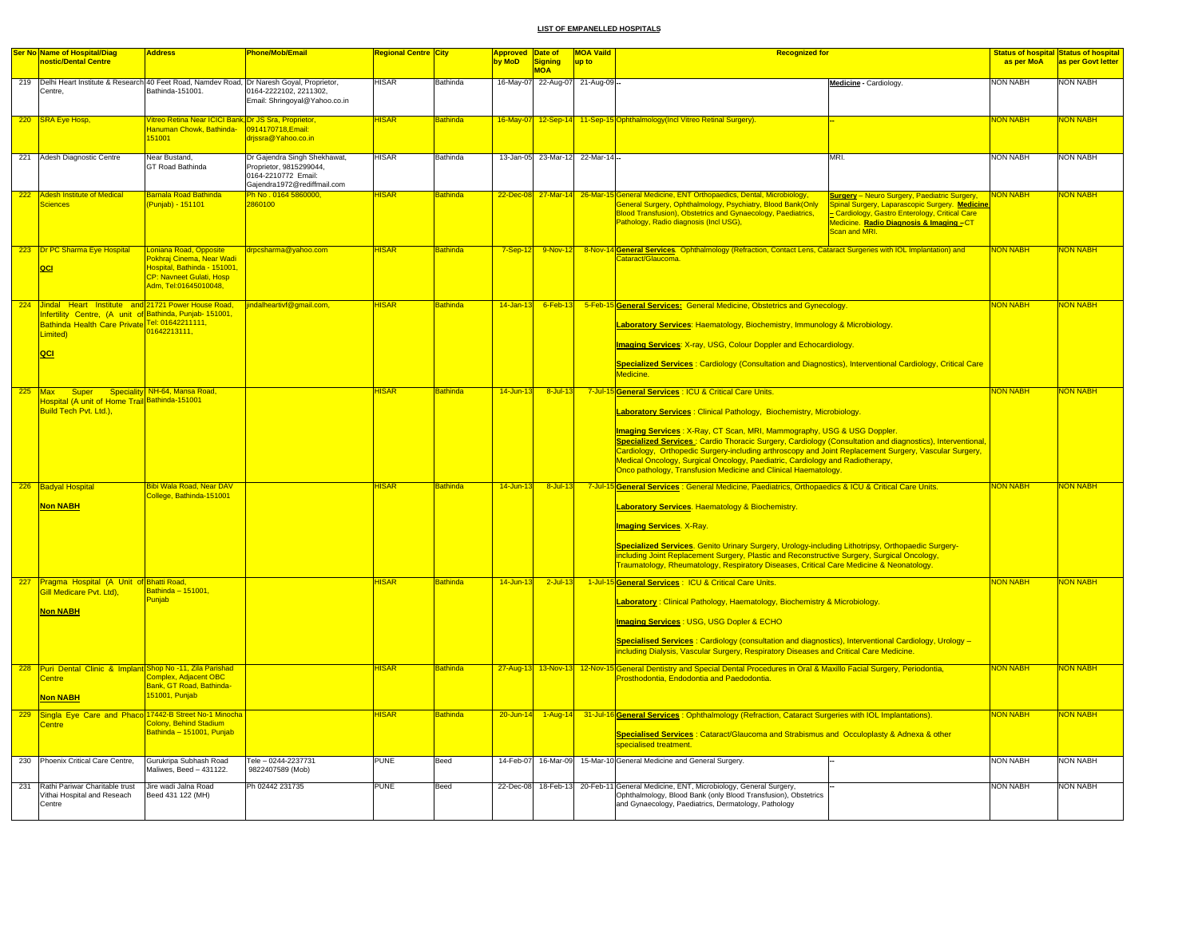|     | <b>Ser No Name of Hospital/Diag</b>                                                                                                                                                    | <b>Address</b>                                                                                                                                 | Phone/Mob/Email                                                                                               | <mark>Regional Centre City</mark> |                 | <b>Approved Date of</b> |                                 | <b>MOA Vaild</b> | <b>Recognized for</b>                                                                                                                                                                                                                                                                                                                                                                                                                                                                                                                                                             |                 | Status of hospital Status of hospital |
|-----|----------------------------------------------------------------------------------------------------------------------------------------------------------------------------------------|------------------------------------------------------------------------------------------------------------------------------------------------|---------------------------------------------------------------------------------------------------------------|-----------------------------------|-----------------|-------------------------|---------------------------------|------------------|-----------------------------------------------------------------------------------------------------------------------------------------------------------------------------------------------------------------------------------------------------------------------------------------------------------------------------------------------------------------------------------------------------------------------------------------------------------------------------------------------------------------------------------------------------------------------------------|-----------------|---------------------------------------|
|     | nostic/Dental Centre                                                                                                                                                                   |                                                                                                                                                |                                                                                                               |                                   |                 | by MoD                  | Signing<br><b>MOA</b>           | up to            |                                                                                                                                                                                                                                                                                                                                                                                                                                                                                                                                                                                   | as per MoA      | as per Govt letter                    |
|     | 219 Delhi Heart Institute & Research 40 Feet Road, Namdev Road, Dr Naresh Goyal, Proprietor,<br>Centre.                                                                                | Bathinda-151001.                                                                                                                               | 0164-2222102, 2211302,<br>Email: Shringoyal@Yahoo.co.in                                                       | <b>HISAR</b>                      | Bathinda        |                         | 16-May-07 22-Aug-07             | 21-Aug-09        | Medicine - Cardiology.                                                                                                                                                                                                                                                                                                                                                                                                                                                                                                                                                            | NON NABH        | NON NABH                              |
|     | 220 SRA Eye Hosp,                                                                                                                                                                      | Vitreo Retina Near ICICI Bank, Dr JS Sra, Proprietor,<br><b>Hanuman Chowk, Bathinda-</b><br>151001                                             | 0914170718, Email:<br>drissra@Yahoo.co.in                                                                     | <b>HISAR</b>                      | <b>Bathinda</b> | 16-May-07               |                                 |                  | 12-Sep-14 11-Sep-15 Ophthalmology (Incl Vitreo Retinal Surgery).                                                                                                                                                                                                                                                                                                                                                                                                                                                                                                                  | <b>NON NABH</b> | NON NABH                              |
|     | 221 Adesh Diagnostic Centre                                                                                                                                                            | Near Bustand,<br>GT Road Bathinda                                                                                                              | Dr Gajendra Singh Shekhawat,<br>Proprietor, 9815299044,<br>0164-2210772 Email:<br>Gajendra1972@rediffmail.com | <b>HISAR</b>                      | Bathinda        |                         | 13-Jan-05 23-Mar-12 22-Mar-14 - |                  | MRI.                                                                                                                                                                                                                                                                                                                                                                                                                                                                                                                                                                              | <b>NON NABH</b> | <b>NON NABH</b>                       |
| 222 | <b>Adesh Institute of Medical</b><br><b>Sciences</b>                                                                                                                                   | Barnala Road Bathinda<br>Punjab) - 151101                                                                                                      | <mark>Ph No . 0164 5860000,</mark><br>2860100                                                                 | <b>HISAR</b>                      | <b>Bathinda</b> |                         |                                 |                  | 22-Dec-08 27-Mar-14 26-Mar-15 General Medicine, ENT Orthopaedics, Dental, Microbiology,<br><b>Surgery</b> - Neuro Surgery, Paediatric Surgery,<br>General Surgery, Ophthalmology, Psychiatry, Blood Bank(Only<br>Spinal Surgery, Laparascopic Surgery. Medicine<br>Blood Transfusion), Obstetrics and Gynaecology, Paediatrics,<br>Cardiology, Gastro Enterology, Critical Care<br>Pathology, Radio diagnosis (Incl USG),<br>Medicine. <mark>Radio Diagnosis &amp; Imaging –</mark> CT<br>Scan and MRI.                                                                           | NON NABH        | NON NABH                              |
|     | 223 Dr PC Sharma Eye Hospital<br> QCI                                                                                                                                                  | Loniana Road, Opposite<br>Pokhrai Cinema. Near Wadi<br>Hospital, Bathinda - 151001<br><b>CP: Navneet Gulati, Hosp</b><br>Adm, Tel:01645010048, | drpcsharma@yahoo.com                                                                                          | <b>HISAR</b>                      | <b>Bathinda</b> | $7-Sep-12$              | 9-Nov-12                        |                  | 8-Nov-14 General Services. Ophthalmology (Refraction, Contact Lens, Cataract Surgeries with IOL Implantation) and<br><b>Cataract/Glaucoma</b>                                                                                                                                                                                                                                                                                                                                                                                                                                     | <b>NON NABH</b> | <b>NON NABH</b>                       |
|     | 224 Jindal Heart Institute and 21721 Power House Road,<br>Infertility Centre, (A unit of Bathinda, Punjab-151001,<br>Bathinda Health Care Private Tel: 01642211111,<br>Limited)<br>QCI | 01642213111,                                                                                                                                   | jindalheartivf@gmail.com,                                                                                     | <b>HISAR</b>                      | <b>Bathinda</b> | $14$ -Jan-13            | $6$ -Feb-13                     |                  | 5-Feb-15 General Services: General Medicine, Obstetrics and Gynecology.<br>Laboratory Services: Haematology, Biochemistry, Immunology & Microbiology.<br><b>Imaging Services: X-ray, USG, Colour Doppler and Echocardiology.</b><br>Specialized Services: Cardiology (Consultation and Diagnostics), Interventional Cardiology, Critical Care<br><b>Aedicine</b>                                                                                                                                                                                                                  | <b>NON NABH</b> | <b>NON NABH</b>                       |
| 225 | Max<br><b>Super</b><br>Hospital (A unit of Home Trail Bathinda-151001<br>Build Tech Pvt. Ltd.),                                                                                        | Speciality NH-64, Mansa Road,                                                                                                                  |                                                                                                               | <b>HISAR</b>                      | <b>Bathinda</b> | 14-Jun-13               | $8 -$ Jul-13                    |                  | 7-Jul-15 General Services : ICU & Critical Care Units.<br>Laboratory Services: Clinical Pathology, Biochemistry, Microbiology.<br>Imaging Services: X-Ray, CT Scan, MRI, Mammography, USG & USG Doppler.<br>Specialized Services: Cardio Thoracic Surgery, Cardiology (Consultation and diagnostics), Interventional,<br>Cardiology, Orthopedic Surgery-including arthroscopy and Joint Replacement Surgery, Vascular Surgery,<br>Medical Oncology, Surgical Oncology, Paediatric, Cardiology and Radiotherapy,<br>Onco pathology, Transfusion Medicine and Clinical Haematology. | <b>NON NABH</b> | NON NABH                              |
|     | 226 Badyal Hospital<br><b>Non NABH</b>                                                                                                                                                 | <b>Bibi Wala Road, Near DAV</b><br>College, Bathinda-151001                                                                                    |                                                                                                               | <b>HISAR</b>                      | <b>Bathinda</b> | 14-Jun-13               | 8-Jul-13                        |                  | 7-Jul-15 General Services : General Medicine, Paediatrics, Orthopaedics & ICU & Critical Care Units.<br>Laboratory Services. Haematology & Biochemistry.<br><mark>Imaging Services</mark> . X-Ray.<br>Specialized Services. Genito Urinary Surgery, Urology-including Lithotripsy, Orthopaedic Surgery-<br>including Joint Replacement Surgery, Plastic and Reconstructive Surgery, Surgical Oncology,<br>Traumatology, Rheumatology, Respiratory Diseases, Critical Care Medicine & Neonatology.                                                                                 | <b>NON NABH</b> | NON NABH                              |
| 227 | Pragma Hospital (A Unit of Bhatti Road,<br>Gill Medicare Pvt. Ltd),<br><b>Non NABH</b>                                                                                                 | Bathinda - 151001,<br>Puniab                                                                                                                   |                                                                                                               | <b>IISAR</b>                      | <b>Bathinda</b> | 14-Jun-13               | $2$ -Jul-13                     |                  | 1-Jul-15 General Services : ICU & Critical Care Units.<br>Laboratory: Clinical Pathology, Haematology, Biochemistry & Microbiology.<br><b>Imaging Services: USG, USG Dopler &amp; ECHO</b><br>Specialised Services: Cardiology (consultation and diagnostics), Interventional Cardiology, Urology -<br>including Dialysis, Vascular Surgery, Respiratory Diseases and Critical Care Medicine.                                                                                                                                                                                     | <b>NON NABH</b> | <b>VON NABH</b>                       |
|     | 228 Puri Dental Clinic & Implant Shop No -11, Zila Parishad<br><b>Centre</b><br><b>Non NABH</b>                                                                                        | Complex, Adjacent OBC<br>Bank, GT Road, Bathinda-<br>51001, Punjab                                                                             |                                                                                                               | <b>HISAR</b>                      | Bathinda        |                         |                                 |                  | 27-Aug-13 13-Nov-13 12-Nov-15 General Dentistry and Special Dental Procedures in Oral & Maxillo Facial Surgery, Periodontia,<br>Prosthodontia, Endodontia and Paedodontia.                                                                                                                                                                                                                                                                                                                                                                                                        | <b>NON NABH</b> | <b>NON NABH</b>                       |
| 229 | Singla Eye Care and Phaco 17442-B Street No-1 Minocha<br>Centre                                                                                                                        | Colony, Behind Stadium<br>Bathinda - 151001, Punjab                                                                                            |                                                                                                               | <b>HISAR</b>                      | Bathinda        | $20 - Jun-14$           | $1-Aug-14$                      |                  | 31-Jul-16 General Services: Ophthalmology (Refraction, Cataract Surgeries with IOL Implantations).<br>Specialised Services : Cataract/Glaucoma and Strabismus and Occuloplasty & Adnexa & other<br>specialised treatment.                                                                                                                                                                                                                                                                                                                                                         | <b>NON NABH</b> | NON NABH                              |
|     | 230 Phoenix Critical Care Centre,                                                                                                                                                      | Gurukripa Subhash Road<br>Maliwes, Beed - 431122.                                                                                              | Tele - 0244-2237731<br>9822407589 (Mob)                                                                       | <b>PUNE</b>                       | Beed            | 14-Feb-07               |                                 |                  | 16-Mar-09 15-Mar-10 General Medicine and General Surgery.                                                                                                                                                                                                                                                                                                                                                                                                                                                                                                                         | <b>NON NABH</b> | NON NABH                              |
| 231 | Rathi Pariwar Charitable trust<br>Vithai Hospital and Reseach<br>Centre                                                                                                                | Jire wadi Jalna Road<br>Beed 431 122 (MH)                                                                                                      | Ph 02442 231735                                                                                               | <b>PUNE</b>                       | Beed            |                         |                                 |                  | 22-Dec-08 18-Feb-13 20-Feb-11 General Medicine, ENT, Microbiology, General Surgery,<br>Ophthalmology, Blood Bank (only Blood Transfusion), Obstetrics<br>and Gynaecology, Paediatrics, Dermatology, Pathology                                                                                                                                                                                                                                                                                                                                                                     | <b>NON NABH</b> | NON NABH                              |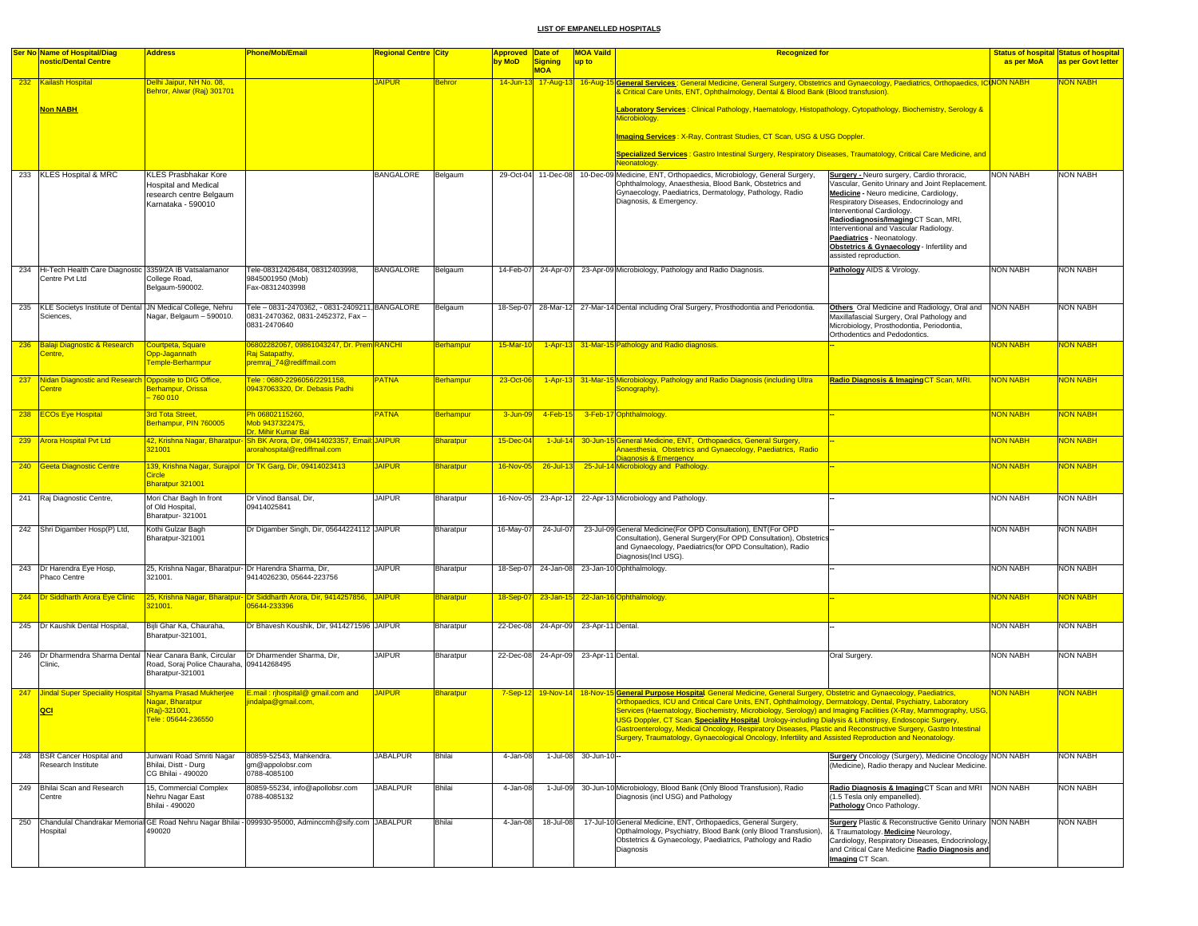|     | <b>Ser No Name of Hospital/Diag</b>                                        | <b>Address</b>                                                                 | <b>Phone/Mob/Email</b>                                                                                     | Regional Centre  City |                  | <b>Approved Date of</b> |                                       | <b>MOA Vaild</b>    | <b>Recognized for</b>                                                                                                                                                                                                                                                                                                                                                                                                                                                                                                                                                |                                                                                                                                                                                                                                                                                                                                 |                       | <b>Status of hospital Status of hospital</b> |
|-----|----------------------------------------------------------------------------|--------------------------------------------------------------------------------|------------------------------------------------------------------------------------------------------------|-----------------------|------------------|-------------------------|---------------------------------------|---------------------|----------------------------------------------------------------------------------------------------------------------------------------------------------------------------------------------------------------------------------------------------------------------------------------------------------------------------------------------------------------------------------------------------------------------------------------------------------------------------------------------------------------------------------------------------------------------|---------------------------------------------------------------------------------------------------------------------------------------------------------------------------------------------------------------------------------------------------------------------------------------------------------------------------------|-----------------------|----------------------------------------------|
|     | nostic/Dental Centre                                                       |                                                                                |                                                                                                            |                       |                  | by MoD                  | <b>Signing</b><br><b>MOA</b>          | up to               |                                                                                                                                                                                                                                                                                                                                                                                                                                                                                                                                                                      |                                                                                                                                                                                                                                                                                                                                 | as per MoA            | as per Govt letter                           |
|     | 232 Kailash Hospital                                                       | Delhi Jaipur, NH No. 08,<br>Behror, Alwar (Raj) 301701                         |                                                                                                            | <b>JAIPUR</b>         | <b>Behror</b>    |                         |                                       |                     | 14-Jun-13 17-Aug-13 16-Aug-15 General Services: General Medicine, General Surgery, Obstetrics and Gynaecology, Paediatrics, Orthopaedics, ICINON NABH<br>Critical Care Units, ENT, Ophthalmology, Dental & Blood Bank (Blood transfusion)                                                                                                                                                                                                                                                                                                                            |                                                                                                                                                                                                                                                                                                                                 |                       | NON NABH                                     |
|     | <b>Non NABH</b>                                                            |                                                                                |                                                                                                            |                       |                  |                         |                                       |                     | Laboratory Services: Clinical Pathology, Haematology, Histopathology, Cytopathology, Biochemistry, Serology &<br><b>Microbiology</b>                                                                                                                                                                                                                                                                                                                                                                                                                                 |                                                                                                                                                                                                                                                                                                                                 |                       |                                              |
|     |                                                                            |                                                                                |                                                                                                            |                       |                  |                         |                                       |                     | Imaging Services: X-Ray, Contrast Studies, CT Scan, USG & USG Doppler.                                                                                                                                                                                                                                                                                                                                                                                                                                                                                               |                                                                                                                                                                                                                                                                                                                                 |                       |                                              |
|     |                                                                            |                                                                                |                                                                                                            |                       |                  |                         |                                       |                     | Specialized Services : Gastro Intestinal Surgery, Respiratory Diseases, Traumatology, Critical Care Medicine, and<br>Neonatology                                                                                                                                                                                                                                                                                                                                                                                                                                     |                                                                                                                                                                                                                                                                                                                                 |                       |                                              |
|     | 233 KLES Hospital & MRC                                                    | KLES Prasbhakar Kore                                                           |                                                                                                            | <b>BANGALORE</b>      | Belgaum          |                         | 29-Oct-04 11-Dec-08                   |                     | 10-Dec-09 Medicine, ENT, Orthopaedics, Microbiology, General Surgery,                                                                                                                                                                                                                                                                                                                                                                                                                                                                                                | Surgery - Neuro surgery, Cardio throracic,                                                                                                                                                                                                                                                                                      | <b>NON NABH</b>       | <b>NON NABH</b>                              |
|     |                                                                            | <b>Hospital and Medical</b><br>research centre Belgaum<br>Karnataka - 590010   |                                                                                                            |                       |                  |                         |                                       |                     | Ophthalmology, Anaesthesia, Blood Bank, Obstetrics and<br>Gynaecology, Paediatrics, Dermatology, Pathology, Radio<br>Diagnosis, & Emergency.                                                                                                                                                                                                                                                                                                                                                                                                                         | Vascular, Genito Urinary and Joint Replacement.<br>Medicine - Neuro medicine, Cardiology,<br>Respiratory Diseases, Endocrinology and<br>nterventional Cardiology.<br>Radiodiagnosis/Imaging CT Scan, MRI,<br>Interventional and Vascular Radiology.<br>Paediatrics - Neonatology.<br>Obstetrics & Gynaecology - Infertility and |                       |                                              |
|     |                                                                            |                                                                                |                                                                                                            |                       |                  |                         |                                       |                     |                                                                                                                                                                                                                                                                                                                                                                                                                                                                                                                                                                      | assisted reproduction.                                                                                                                                                                                                                                                                                                          |                       |                                              |
| 234 | Hi-Tech Health Care Diagnostic 3359/2A IB Vatsalamanor<br>Centre Pvt Ltd   | College Road,<br>Belgaum-590002.                                               | Tele-08312426484, 08312403998,<br>9845001950 (Mob)<br>Fax-08312403998                                      | <b>BANGALORE</b>      | Belgaum          | 14-Feb-07               | 24-Apr-07                             |                     | 23-Apr-09 Microbiology, Pathology and Radio Diagnosis.                                                                                                                                                                                                                                                                                                                                                                                                                                                                                                               | Pathology AIDS & Virology.                                                                                                                                                                                                                                                                                                      | <b>NON NABH</b>       | <b>NON NABH</b>                              |
| 235 | KLE Societys Institute of Dental JN Medical College, Nehru                 |                                                                                | Tele - 0831-2470362, - 0831-2409211, BANGALORE                                                             |                       | Belgaum          | 18-Sep-07               |                                       |                     | 28-Mar-12 27-Mar-14 Dental including Oral Surgery, Prosthodontia and Periodontia.                                                                                                                                                                                                                                                                                                                                                                                                                                                                                    | Others. Oral Medicine and Radiology, Oral and                                                                                                                                                                                                                                                                                   | <b>NON NABH</b>       | <b>NON NABH</b>                              |
|     | Sciences,                                                                  | Nagar, Belgaum - 590010.                                                       | 0831-2470362, 0831-2452372, Fax-<br>0831-2470640                                                           |                       |                  |                         |                                       |                     |                                                                                                                                                                                                                                                                                                                                                                                                                                                                                                                                                                      | Maxillafascial Surgery, Oral Pathology and<br>Microbiology, Prosthodontia, Periodontia,<br>Orthodentics and Pedodontics.                                                                                                                                                                                                        |                       |                                              |
| 236 | <b>Balaji Diagnostic &amp; Research</b>                                    | Courtpeta, Square                                                              | 06802282067, 09861043247, Dr. Prem RANCHI                                                                  |                       | Berhampur        | 15-Mar-10               |                                       |                     | 1-Apr-13 31-Mar-15 Pathology and Radio diagnosis.                                                                                                                                                                                                                                                                                                                                                                                                                                                                                                                    |                                                                                                                                                                                                                                                                                                                                 | NON NABH              | <b>JON NABH</b>                              |
|     | Centre.                                                                    | <b>Opp-Jagannath</b><br>emple-Berharmpur                                       | Raj Satapathy,<br>premraj_74@rediffmail.com                                                                |                       |                  |                         |                                       |                     |                                                                                                                                                                                                                                                                                                                                                                                                                                                                                                                                                                      |                                                                                                                                                                                                                                                                                                                                 |                       |                                              |
|     | 237 Nidan Diagnostic and Research Opposite to DIG Office.<br><b>Centre</b> | Berhampur, Orissa<br>$-760010$                                                 | Tele: 0680-2296056/2291158,<br>09437063320, Dr. Debasis Padhi                                              | <b>PATNA</b>          | Berhampur        | 23-Oct-06               |                                       |                     | 1-Apr-13 31-Mar-15 Microbiology, Pathology and Radio Diagnosis (including Ultra<br>Sonography).                                                                                                                                                                                                                                                                                                                                                                                                                                                                      | Radio Diagnosis & Imaging CT Scan, MRI.                                                                                                                                                                                                                                                                                         | <b>NON NABH</b>       | <b>NON NABH</b>                              |
|     | 238 ECOs Eye Hospital                                                      | 3rd Tota Street,<br>Berhampur, PIN 760005                                      | Ph 06802115260,<br>vob 9437322475,<br>Dr. Mihir Kumar Ba                                                   | <b>PATNA</b>          | Berhampur        | 3-Jun-0                 | 4-Feb-15                              |                     | 3-Feb-17 Ophthalmology                                                                                                                                                                                                                                                                                                                                                                                                                                                                                                                                               |                                                                                                                                                                                                                                                                                                                                 | <mark>NON NABH</mark> | <mark>NON NABH</mark>                        |
|     | 239 Arora Hospital Pvt Ltd                                                 | 321001                                                                         | 42, Krishna Nagar, Bharatpur- Sh BK Arora, Dir, 09414023357, Email: JAIPUR<br>arorahospital@rediffmail.com |                       | Bharatpur        | $15 - Dec - 0$          | $1$ -Jul-14                           |                     | 30-Jun-15 General Medicine, ENT, Orthopaedics, General Surgery,<br>Anaesthesia, Obstetrics and Gynaecology, Paediatrics, Radio                                                                                                                                                                                                                                                                                                                                                                                                                                       |                                                                                                                                                                                                                                                                                                                                 | <b>NON NABH</b>       | <b>JON NABH</b>                              |
|     | 240 Geeta Diagnostic Centre                                                | <b>Circle</b>                                                                  | 139, Krishna Nagar, Surajpol Dr TK Garg, Dir, 09414023413                                                  | <b>JAIPUR</b>         | <b>Bharatpur</b> | 16-Nov-05               | 26-Jul-13                             |                     | Diagnosis & Emergency<br>25-Jul-14 Microbiology and Pathology                                                                                                                                                                                                                                                                                                                                                                                                                                                                                                        |                                                                                                                                                                                                                                                                                                                                 | <b>NON NABH</b>       | <b>VON NABH</b>                              |
|     |                                                                            | Bharatpur 321001                                                               |                                                                                                            |                       |                  |                         |                                       |                     |                                                                                                                                                                                                                                                                                                                                                                                                                                                                                                                                                                      |                                                                                                                                                                                                                                                                                                                                 |                       |                                              |
|     | 241 Raj Diagnostic Centre,                                                 | Mori Char Bagh In front<br>of Old Hospital<br>Bharatpur-321001                 | Dr Vinod Bansal, Dir,<br>09414025841                                                                       | <b>JAIPUR</b>         | Bharatpur        | 16-Nov-05               | 23-Apr-12                             |                     | 22-Apr-13 Microbiology and Pathology.                                                                                                                                                                                                                                                                                                                                                                                                                                                                                                                                |                                                                                                                                                                                                                                                                                                                                 | <b>NON NABH</b>       | <b>NON NABH</b>                              |
|     | 242 Shri Digamber Hosp(P) Ltd,                                             | Kothi Gulzar Bagh                                                              | Dr Digamber Singh, Dir, 05644224112 JAIPUR                                                                 |                       | Bharatpur        | 16-May-07               | 24-Jul-07                             |                     | 23-Jul-09 General Medicine(For OPD Consultation), ENT(For OPD                                                                                                                                                                                                                                                                                                                                                                                                                                                                                                        |                                                                                                                                                                                                                                                                                                                                 | <b>NON NABH</b>       | <b>NON NABH</b>                              |
|     |                                                                            | Bharatpur-321001                                                               |                                                                                                            |                       |                  |                         |                                       |                     | Consultation), General Surgery(For OPD Consultation), Obstetrics<br>and Gynaecology, Paediatrics(for OPD Consultation), Radio<br>Diagnosis(Incl USG).                                                                                                                                                                                                                                                                                                                                                                                                                |                                                                                                                                                                                                                                                                                                                                 |                       |                                              |
|     | 243 Dr Harendra Eye Hosp,<br>Phaco Centre                                  | 25, Krishna Nagar, Bharatpur- Dr Harendra Sharma, Dir,<br>321001.              | 9414026230, 05644-223756                                                                                   | <b>JAIPUR</b>         | Bharatpur        |                         |                                       |                     | 18-Sep-07 24-Jan-08 23-Jan-10 Ophthalmology.                                                                                                                                                                                                                                                                                                                                                                                                                                                                                                                         |                                                                                                                                                                                                                                                                                                                                 | <b>NON NABH</b>       | <b>NON NABH</b>                              |
|     | 244 Dr Siddharth Arora Eye Clinic                                          | 321001.                                                                        | 25, Krishna Nagar, Bharatpur- Dr Siddharth Arora, Dir, 9414257856, JAIPUR<br>05644-233396                  |                       | Bharatpur        | 18-Sep-07               |                                       |                     | 23-Jan-15 22-Jan-16 Ophthalmology.                                                                                                                                                                                                                                                                                                                                                                                                                                                                                                                                   |                                                                                                                                                                                                                                                                                                                                 | <b>NON NABH</b>       | <b>VON NABH</b>                              |
|     |                                                                            |                                                                                |                                                                                                            |                       |                  |                         |                                       |                     |                                                                                                                                                                                                                                                                                                                                                                                                                                                                                                                                                                      |                                                                                                                                                                                                                                                                                                                                 |                       |                                              |
|     | 245 Dr Kaushik Dental Hospital,                                            | Bijli Ghar Ka, Chauraha,<br>Bharatpur-321001,                                  | Dr Bhavesh Koushik, Dir, 9414271596 JAIPUR                                                                 |                       | Bharatpur        |                         | 22-Dec-08 24-Apr-09 23-Apr-11 Dental. |                     |                                                                                                                                                                                                                                                                                                                                                                                                                                                                                                                                                                      |                                                                                                                                                                                                                                                                                                                                 | <b>NON NABH</b>       | <b>NON NABH</b>                              |
| 246 | Dr Dharmendra Sharma Dental<br>Clinic,                                     | Near Canara Bank, Circular<br>Road, Soraj Police Chauraha,<br>Bharatpur-321001 | Dr Dharmender Sharma, Dir,<br>09414268495                                                                  | <b>JAIPUR</b>         | Bharatpur        |                         | 22-Dec-08 24-Apr-09                   | 23-Apr-11 Dental.   |                                                                                                                                                                                                                                                                                                                                                                                                                                                                                                                                                                      | Oral Surgery                                                                                                                                                                                                                                                                                                                    | <b>NON NABH</b>       | <b>NON NABH</b>                              |
|     | 247 Jindal Super Speciality Hospital Shyama Prasad Mukherjee               |                                                                                | E.mail: rihospital@ gmail.com and                                                                          | <b>JAIPUR</b>         | Bharatpur        |                         |                                       |                     | 7-Sep-12 19-Nov-14 18-Nov-15 General Purpose Hospital General Medicine, General Surgery, Obstetric and Gynaecology, Paediatrics,                                                                                                                                                                                                                                                                                                                                                                                                                                     |                                                                                                                                                                                                                                                                                                                                 | NON NABH              | <b>VON NABH</b>                              |
|     | <b>QCI</b>                                                                 | <b>Vagar, Bharatpur</b><br>(Raj)-321001,<br>Tele: 05644-236550                 | indalpa@gmail.com,                                                                                         |                       |                  |                         |                                       |                     | Orthopaedics, ICU and Critical Care Units, ENT, Ophthalmology, Dermatology, Dental, Psychiatry, Laboratory<br>Services (Haematology, Biochemistry, Microbiology, Serology) and Imaging Facilities (X-Ray, Mammography, USG,<br>USG Doppler, CT Scan. <b>Speciality Hospital</b> . Urology-including Dialysis & Lithotripsy, Endoscopic Surgery,<br>Bastroenterology, Medical Oncology, Respiratory Diseases, Plastic and Reconstructive Surgery, Gastro II<br>Surgery, Traumatology, Gynaecological Oncology, Infertility and Assisted Reproduction and Neonatology. |                                                                                                                                                                                                                                                                                                                                 |                       |                                              |
|     | 248 BSR Cancer Hospital and<br>Research Institute                          | Junwani Road Smriti Nagar<br>Bhilai, Distt - Durg<br>CG Bhilai - 490020        | 80859-52543, Mahkendra.<br>gm@appolobsr.com<br>0788-4085100                                                | <b>JABALPUR</b>       | Bhilai           | 4-Jan-08                |                                       | 1-Jul-08 30-Jun-10- |                                                                                                                                                                                                                                                                                                                                                                                                                                                                                                                                                                      | Surgery Oncology (Surgery), Medicine Oncology NON NABH<br>(Medicine), Radio therapy and Nuclear Medicine.                                                                                                                                                                                                                       |                       | <b>NON NABH</b>                              |
|     | 249 Bhilai Scan and Research<br>Centre                                     | 15, Commercial Complex<br>Nehru Nagar East<br>Bhilai - 490020                  | 80859-55234, info@apollobsr.com<br>0788-4085132                                                            | <b>JABALPUR</b>       | Bhilai           | 4-Jan-08                | 1-Jul-09                              |                     | 30-Jun-10 Microbiology, Blood Bank (Only Blood Transfusion), Radio<br>Diagnosis (incl USG) and Pathology                                                                                                                                                                                                                                                                                                                                                                                                                                                             | Radio Diagnosis & Imaging CT Scan and MRI NON NABH<br>(1.5 Tesla only empanelled).<br>Pathology Onco Pathology.                                                                                                                                                                                                                 |                       | <b>NON NABH</b>                              |
| 250 |                                                                            |                                                                                | Chandulal Chandrakar Memorial GE Road Nehru Nagar Bhilai - 099930-95000, Adminccmh@sify.com JABALPUR       |                       | <b>Bhilai</b>    | 4-Jan-08                | 18-Jul-08                             |                     | 17-Jul-10 General Medicine, ENT, Orthopaedics, General Surgery,                                                                                                                                                                                                                                                                                                                                                                                                                                                                                                      | <b>Surgery Plastic &amp; Reconstructive Genito Urinary NON NABH</b>                                                                                                                                                                                                                                                             |                       | <b>NON NABH</b>                              |
|     | lospital                                                                   | 490020                                                                         |                                                                                                            |                       |                  |                         |                                       |                     | Opthalmology, Psychiatry, Blood Bank (only Blood Transfusion),<br>Obstetrics & Gynaecology, Paediatrics, Pathology and Radio<br>Diagnosis                                                                                                                                                                                                                                                                                                                                                                                                                            | Traumatology. Medicine Neurology,<br>Cardiology, Respiratory Diseases, Endocrinology,<br>and Critical Care Medicine Radio Diagnosis and<br>Imaging CT Scan.                                                                                                                                                                     |                       |                                              |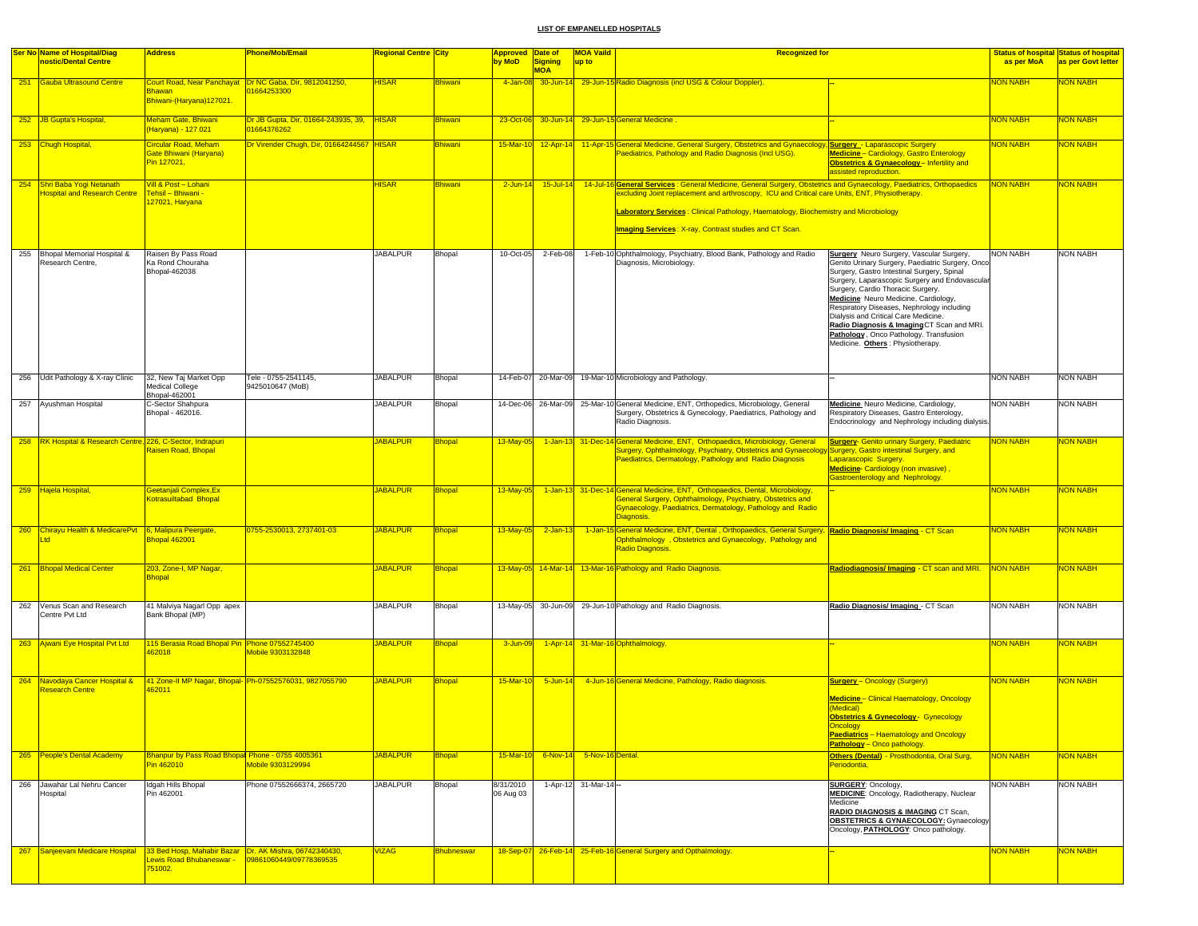|     | <b>Ser No Name of Hospital/Diag</b>                                 | <b>Address</b>                                                                                | Phone/Mob/Email                                                       | Regional Centre City |                   | <b>Approved</b>        | Date of                      | <b>MOA Vaild</b>          | <b>Recognized for</b>                                                                                                                                                                                                  |                                                                                                                                                                                                                                                                                                                                                                                                                                                                                                   |                 | <b>Status of hospital Status of hospital</b> |
|-----|---------------------------------------------------------------------|-----------------------------------------------------------------------------------------------|-----------------------------------------------------------------------|----------------------|-------------------|------------------------|------------------------------|---------------------------|------------------------------------------------------------------------------------------------------------------------------------------------------------------------------------------------------------------------|---------------------------------------------------------------------------------------------------------------------------------------------------------------------------------------------------------------------------------------------------------------------------------------------------------------------------------------------------------------------------------------------------------------------------------------------------------------------------------------------------|-----------------|----------------------------------------------|
|     | nostic/Dental Centre                                                |                                                                                               |                                                                       |                      |                   | by MoD                 | <b>Signing</b><br><b>MOA</b> | up to                     |                                                                                                                                                                                                                        |                                                                                                                                                                                                                                                                                                                                                                                                                                                                                                   | as per MoA      | as per Govt letter                           |
|     | 251 Gauba Ultrasound Centre                                         | <b>Bhawan</b><br>Bhiwani-(Haryana)127021.                                                     | Court Road, Near Panchayat Dr NC Gaba, Dir, 9812041250,<br>1664253300 | <b>HISAR</b>         | <b>Bhiwani</b>    | 4-Jan-08               |                              |                           | 30-Jun-14 29-Jun-15 Radio Diagnosis (incl USG & Colour Doppler).                                                                                                                                                       |                                                                                                                                                                                                                                                                                                                                                                                                                                                                                                   | <b>VON NABH</b> | <b>VON NABH</b>                              |
|     | 252 JB Gupta's Hospital,                                            | Meham Gate, Bhiwani<br>Haryana) - 127 021                                                     | Dr JB Gupta, Dir, 01664-243935, 39, HISAR<br>01664376262              |                      | <b>Bhiwani</b>    |                        |                              |                           | 23-Oct-06 30-Jun-14 29-Jun-15 General Medicine                                                                                                                                                                         |                                                                                                                                                                                                                                                                                                                                                                                                                                                                                                   | <b>NON NABH</b> | <b>VON NABH</b>                              |
|     | 253 Chugh Hospital,                                                 | Circular Road, Meham<br><b>Gate Bhiwani (Haryana)</b><br>Pin 127021,                          | Dr Virender Chugh, Dir, 01664244567 HISAR                             |                      | Bhiwani           |                        |                              |                           | 15-Mar-10 12-Apr-14 11-Apr-15 General Medicine, General Surgery, Obstetrics and Gynaecology, Surgery - Laparascopic Surgery<br>Paediatrics, Pathology and Radio Diagnosis (Incl USG).                                  | Medicine - Cardiology, Gastro Enterology<br>Obstetrics & Gynaecology-Infertility and<br>assisted reproduction.                                                                                                                                                                                                                                                                                                                                                                                    | <b>NON NABH</b> | <b>NON NABH</b>                              |
|     | 254 Shri Baba Yogi Netanath<br><b>Hospital and Research Centre</b>  | Vill & Post - Lohani<br>Tehsil – Bhiwani -<br>127021, Haryana                                 |                                                                       | <b>HISAR</b>         | <b>Bhiwani</b>    | $2$ -Jun-14            | $15$ -Jul-14                 |                           | 14-Jul-16 General Services : General Medicine, General Surgery, Obstetrics and Gynaecology, Paediatrics, Orthopaedics<br>excluding Joint replacement and arthroscopy, ICU and Critical care Units, ENT, Physiotherapy. |                                                                                                                                                                                                                                                                                                                                                                                                                                                                                                   | <b>NON NABH</b> | <b>NON NABH</b>                              |
|     |                                                                     |                                                                                               |                                                                       |                      |                   |                        |                              |                           | Laboratory Services: Clinical Pathology, Haematology, Biochemistry and Microbiology                                                                                                                                    |                                                                                                                                                                                                                                                                                                                                                                                                                                                                                                   |                 |                                              |
|     |                                                                     |                                                                                               |                                                                       |                      |                   |                        |                              |                           | <b>Imaging Services: X-ray, Contrast studies and CT Scan.</b>                                                                                                                                                          |                                                                                                                                                                                                                                                                                                                                                                                                                                                                                                   |                 |                                              |
| 255 | Bhopal Memorial Hospital &<br>Research Centre,                      | Raisen By Pass Road<br>Ka Rond Chouraha<br>Bhopal-462038                                      |                                                                       | <b>JABALPUR</b>      | Bhopal            | 10-Oct-05              | 2-Feb-08                     |                           | 1-Feb-10 Ophthalmology, Psychiatry, Blood Bank, Pathology and Radio<br>Diagnosis, Microbiology.                                                                                                                        | <b>Surgery</b> Neuro Surgery, Vascular Surgery,<br>Genito Urinary Surgery, Paediatric Surgery, Onco<br>Surgery, Gastro Intestinal Surgery, Spinal<br>Surgery, Laparascopic Surgery and Endovascula<br>Surgery, Cardio Thoracic Surgery.<br>Medicine Neuro Medicine, Cardiology,<br>Respiratory Diseases, Nephrology including<br>Dialysis and Critical Care Medicine.<br>Radio Diagnosis & Imaging CT Scan and MRI.<br>Pathology, Onco Pathology. Transfusion<br>Medicine. Others: Physiotherapy. | <b>NON NABH</b> | <b>NON NABH</b>                              |
|     | 256 Udit Pathology & X-ray Clinic                                   | 32, New Taj Market Opp<br>Medical College<br>Bhopal-462001                                    | Tele - 0755-2541145,<br>9425010647 (MoB)                              | <b>JABALPUR</b>      | Bhopal            |                        |                              |                           | 14-Feb-07 20-Mar-09 19-Mar-10 Microbiology and Pathology.                                                                                                                                                              |                                                                                                                                                                                                                                                                                                                                                                                                                                                                                                   | <b>NON NABH</b> | <b>NON NABH</b>                              |
|     | 257 Ayushman Hospital                                               | C-Sector Shahpura<br>Bhopal - 462016.                                                         |                                                                       | <b>JABALPUR</b>      | Bhopal            |                        |                              |                           | 14-Dec-06 26-Mar-09 25-Mar-10 General Medicine, ENT, Orthopedics, Microbiology, General<br>Surgery, Obstetrics & Gynecology, Paediatrics, Pathology and<br>Radio Diagnosis.                                            | Medicine Neuro Medicine, Cardiology,<br>Respiratory Diseases, Gastro Enterology,<br>Endocrinology and Nephrology including dialysis.                                                                                                                                                                                                                                                                                                                                                              | <b>NON NABH</b> | <b>NON NABH</b>                              |
|     | 258 RK Hospital & Research Centre, 226, C-Sector, Indrapuri         | Raisen Road, Bhopal                                                                           |                                                                       | <b>JABALPUR</b>      | <b>Bhopal</b>     | 13-May-05              |                              |                           | 1-Jan-13 31-Dec-14 General Medicine, ENT, Orthopaedics, Microbiology, General<br>Surgery, Ophthalmology, Psychiatry, Obstetrics and Gynaecoloc<br>Paediatrics, Dermatology, Pathology and Radio Diagnosis              | <b>Surgery- Genito urinary Surgery, Paediatric</b><br>Surgery, Gastro intestinal Surgery, and<br>Laparascopic Surgery.<br>Medicine-Cardiology (non invasive),<br>Gastroenterology and Nephrology.                                                                                                                                                                                                                                                                                                 | <b>NON NABH</b> | <b>VON NABH</b>                              |
|     | 259 Hajela Hospital,                                                | Geetanjali Complex, Ex<br><b>Kotrasuiltabad Bhopal</b>                                        |                                                                       | <b>JABALPUR</b>      | <b>Bhopal</b>     | 13-May-05              | $1 - Jan-13$                 |                           | 31-Dec-14 General Medicine, ENT, Orthopaedics, Dental, Microbiology,<br>General Surgery, Ophthalmology, Psychiatry, Obstetrics and<br>Gynaecology, Paediatrics, Dermatology, Pathology and Radio<br>Diagnosis.         |                                                                                                                                                                                                                                                                                                                                                                                                                                                                                                   | <b>VON NABH</b> | <b>VON NABH</b>                              |
|     | 260 Chirayu Health & MedicarePvt 6, Malipura Peergate,<br><b>ht</b> | Bhopal 462001                                                                                 | 0755-2530013, 2737401-03                                              | <b>JABALPUR</b>      | <b>Bhopal</b>     |                        | $13$ -May-05 $2$ -Jan-13     |                           | 1-Jan-15 General Medicine, ENT, Dental , Orthopaedics, General Surgery, Radio Diagnosis/ Imaging - CT Scan<br>Ophthalmology, Obstetrics and Gynaecology, Pathology and<br>Radio Diagnosis.                             |                                                                                                                                                                                                                                                                                                                                                                                                                                                                                                   | <b>NON NABH</b> | <b>NON NABH</b>                              |
|     | 261 Bhopal Medical Center                                           | 203, Zone-I, MP Nagar,<br><b>Bhopal</b>                                                       |                                                                       | <b>JABALPUR</b>      | <b>Bhopal</b>     |                        |                              |                           | 13-May-05 14-Mar-14 13-Mar-16 Pathology and Radio Diagnosis.                                                                                                                                                           | Radiodiagnosis/Imaging - CT scan and MRI.                                                                                                                                                                                                                                                                                                                                                                                                                                                         | <b>NON NABH</b> | <b>NON NABH</b>                              |
|     | 262 Venus Scan and Research<br>Centre Pvt Ltd                       | 41 Malviya Nagarl Opp apex<br>Bank Bhopal (MP)                                                |                                                                       | <b>JABALPUR</b>      | Bhopal            |                        |                              |                           | 13-May-05 30-Jun-09 29-Jun-10 Pathology and Radio Diagnosis.                                                                                                                                                           | Radio Diagnosis/ Imaging - CT Scan                                                                                                                                                                                                                                                                                                                                                                                                                                                                | <b>NON NABH</b> | NON NABH                                     |
|     | 263 Ajwani Eye Hospital Pvt Ltd                                     | 115 Berasia Road Bhopal Pin Phone 07552745400<br>162018                                       | Mobile 9303132848                                                     | <b>JABALPUR</b>      | <b>Bhopal</b>     | 3-Jun-09               |                              |                           | 1-Apr-14 31-Mar-16 Ophthalmology.                                                                                                                                                                                      |                                                                                                                                                                                                                                                                                                                                                                                                                                                                                                   | <b>NON NABH</b> | <b>NON NABH</b>                              |
| 264 | Navodaya Cancer Hospital &<br>Research Centre                       | 162011                                                                                        | 41 Zone-II MP Nagar, Bhopal- Ph-07552576031, 9827055790               | <b>JABALPUR</b>      | <b>Bhopal</b>     | 15-Mar-10              | $5 - Jun - 14$               |                           | 4-Jun-16 General Medicine, Pathology, Radio diagnosis.                                                                                                                                                                 | <b>Surgery</b> - Oncology (Surgery)<br>Medicine - Clinical Haematology, Oncology<br>(Medical)<br><b>Obstetrics &amp; Gynecology</b> - Gynecology<br><mark>Jncology</mark><br>Paediatrics - Haematology and Oncology<br>Pathology - Onco pathology.                                                                                                                                                                                                                                                | <b>VON NABH</b> | <b>VON NABH</b>                              |
|     | 265 People's Dental Academy                                         | Bhanpur by Pass Road Bhopal Phone - 0755 4005361<br>Pin 462010                                | Mobile 9303129994                                                     | <b>JABALPUR</b>      | <b>Bhopal</b>     | 15-Mar-10              | 6-Nov-14 5-Nov-16 Dental.    |                           |                                                                                                                                                                                                                        | Others (Dental) - Prosthodontia, Oral Surg,<br>Periodontia,                                                                                                                                                                                                                                                                                                                                                                                                                                       | <b>NON NABH</b> | <b>VON NABH</b>                              |
|     | 266 Jawahar Lal Nehru Cancer<br>Hospital                            | Idgah Hills Bhopal<br>Pin 462001                                                              | Phone 07552666374, 2665720                                            | <b>JABALPUR</b>      | Bhopal            | 8/31/2010<br>06 Aug 03 |                              | $1 -$ Apr-12 31-Mar-14 -- |                                                                                                                                                                                                                        | <b>SURGERY: Oncology,</b><br><b>MEDICINE:</b> Oncology, Radiotherapy, Nuclear<br>Medicine<br>RADIO DIAGNOSIS & IMAGING CT Scan,<br><b>OBSTETRICS &amp; GYNAECOLOGY: Gynaecology</b><br>Oncology, PATHOLOGY: Onco pathology.                                                                                                                                                                                                                                                                       | <b>NON NABH</b> | NON NABH                                     |
| 267 | Sanjeevani Medicare Hospital                                        | 33 Bed Hosp, Mahabir Bazar Dr. AK Mishra, 06742340430.<br>Lewis Road Bhubaneswar -<br>751002. | 09861060449/09778369535                                               | <b>VIZAG</b>         | <b>Bhubneswar</b> |                        |                              |                           | 18-Sep-07 26-Feb-14 25-Feb-16 General Surgery and Opthalmology.                                                                                                                                                        |                                                                                                                                                                                                                                                                                                                                                                                                                                                                                                   | <b>NON NABH</b> | <b>VON NABH</b>                              |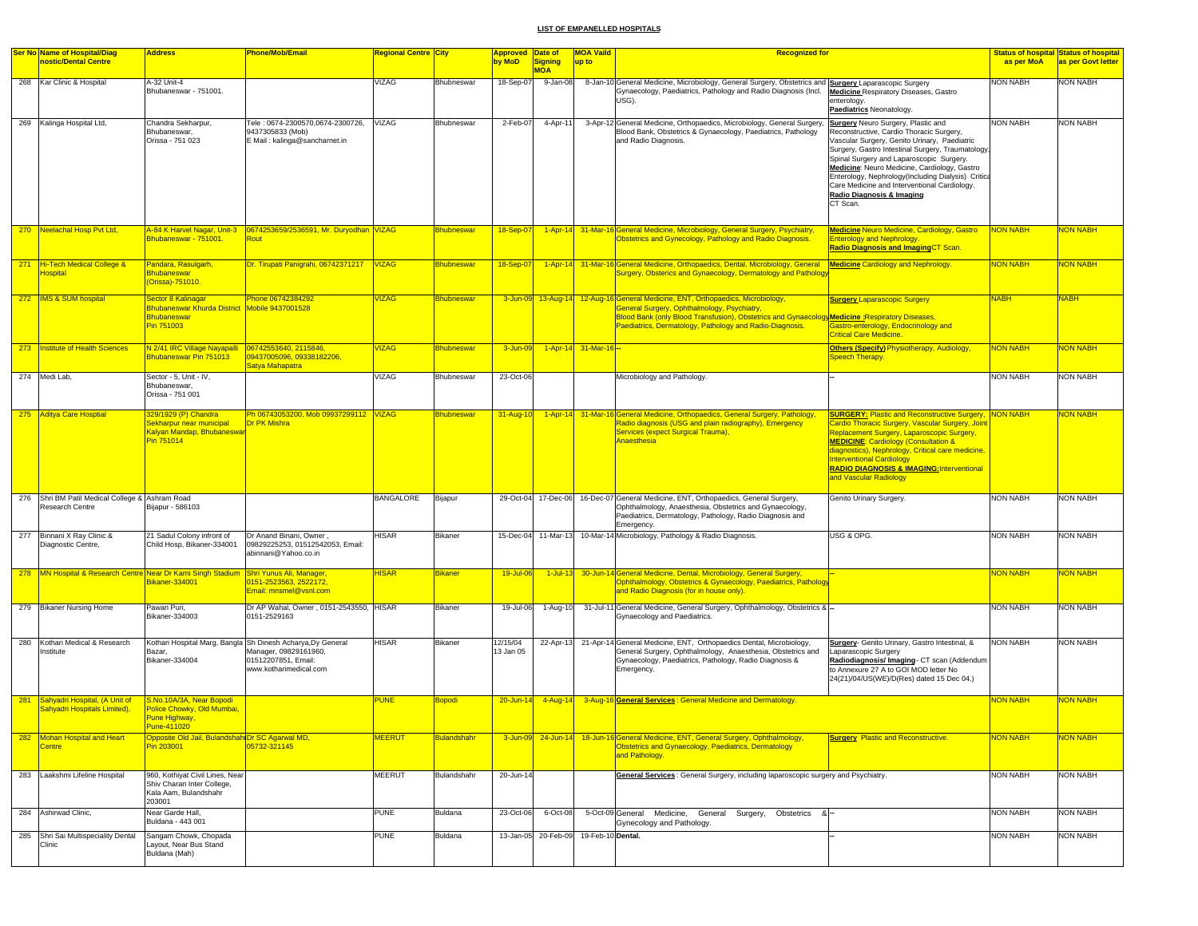|     | <b>Ser No Name of Hospital/Diag</b>                                                        | <b>Address</b>                                                                                          | <b>Phone/Mob/Email</b>                                                                                                                | Regional Centre <mark>City</mark> |                    | Approved Date of      |                     | <b>MOA Vaild</b>     | <b>Recognized for</b>                                                                                                                                                                                                                                                                         |                                                                                                                                                                                                                                                                                                                                                                                          |                 | <b>Status of hospital Status of hospital</b> |
|-----|--------------------------------------------------------------------------------------------|---------------------------------------------------------------------------------------------------------|---------------------------------------------------------------------------------------------------------------------------------------|-----------------------------------|--------------------|-----------------------|---------------------|----------------------|-----------------------------------------------------------------------------------------------------------------------------------------------------------------------------------------------------------------------------------------------------------------------------------------------|------------------------------------------------------------------------------------------------------------------------------------------------------------------------------------------------------------------------------------------------------------------------------------------------------------------------------------------------------------------------------------------|-----------------|----------------------------------------------|
|     | nostic/Dental Centre                                                                       |                                                                                                         |                                                                                                                                       |                                   |                    | by MoD                | <b>Signing</b>      | up to                |                                                                                                                                                                                                                                                                                               |                                                                                                                                                                                                                                                                                                                                                                                          | as per MoA      | as per Govt letter                           |
|     |                                                                                            |                                                                                                         |                                                                                                                                       |                                   |                    |                       | <b>MOA</b>          |                      |                                                                                                                                                                                                                                                                                               |                                                                                                                                                                                                                                                                                                                                                                                          |                 |                                              |
|     | 268 Kar Clinic & Hospital                                                                  | A-32 Unit-4<br>Bhubaneswar - 751001.                                                                    |                                                                                                                                       | VIZAG                             | Bhubneswar         | 18-Sep-07             | 9-Jan-08            |                      | 8-Jan-10 General Medicine, Microbiology, General Surgery, Obstetrics and Surgery Laparascopic Surgery<br>Gynaecology, Paediatrics, Pathology and Radio Diagnosis (Incl.<br>USG).                                                                                                              | <b>Medicine</b> Respiratory Diseases, Gastro<br>enterology.<br>Paediatrics Neonatology.                                                                                                                                                                                                                                                                                                  | <b>NON NABH</b> | <b>NON NABH</b>                              |
|     | 269 Kalinga Hospital Ltd,                                                                  | Chandra Sekharpur.                                                                                      | Tele: 0674-2300570.0674-2300726.                                                                                                      | <b>VIZAG</b>                      | Bhubneswar         | 2-Feb-07              | 4-Apr-11            |                      | 3-Apr-12 General Medicine, Orthopaedics, Microbiology, General Surgery,                                                                                                                                                                                                                       | <b>Surgery</b> Neuro Surgery, Plastic and                                                                                                                                                                                                                                                                                                                                                | <b>NON NABH</b> | <b>NON NABH</b>                              |
|     |                                                                                            | Bhubaneswar,<br>Orissa - 751 023                                                                        | 9437305833 (Mob)<br>E Mail: kalinga@sancharnet.in                                                                                     |                                   |                    |                       |                     |                      | Blood Bank, Obstetrics & Gynaecology, Paediatrics, Pathology<br>and Radio Diagnosis.                                                                                                                                                                                                          | Reconstructive, Cardio Thoracic Surgery,<br>Vascular Surgery, Genito Urinary, Paediatric<br>Surgery, Gastro Intestinal Surgery, Traumatology,<br>Spinal Surgery and Laparoscopic Surgery.<br>Medicine: Neuro Medicine, Cardiology, Gastro<br>Enterology, Nephrology(Including Dialysis) Critica<br>Care Medicine and Interventional Cardiology.<br>Radio Diagnosis & Imaging<br>CT Scan. |                 |                                              |
|     | 270 Neelachal Hosp Pvt Ltd,                                                                | Bhubaneswar - 751001.                                                                                   | Rout                                                                                                                                  |                                   | Bhubneswar         | 18-Sep-07             |                     |                      | 1-Apr-14 31-Mar-16 General Medicine, Microbiology, General Surgery, Psychiatry,<br>Obstetrics and Gynecology, Pathology and Radio Diagnosis.                                                                                                                                                  | <b>Medicine Neuro Medicine, Cardiology, Gastro</b><br><b>Enterology and Nephrology.</b><br><b>Radio Diagnosis and ImagingCT Scan.</b>                                                                                                                                                                                                                                                    | <b>NON NABH</b> | NON NABH                                     |
|     | 271 Hi-Tech Medical College &<br><b>lospital</b>                                           | Pandara, Rasulgarh,<br><b>Bhubaneswar</b><br>(Orissa)-751010.                                           | Dr. Tirupati Panigrahi, 06742371217                                                                                                   | <b>VIZAG</b>                      | <b>Bhubneswar</b>  | 18-Sep-07             |                     |                      | 1-Apr-14 31-Mar-16 General Medicine, Orthopaedics, Dental, Microbiology, General Medicine Cardiology and Nephrology.<br>Surgery, Obsterics and Gynaecology, Dermatology and Pathology                                                                                                         |                                                                                                                                                                                                                                                                                                                                                                                          | <b>NON NABH</b> | <mark>NON NABH</mark>                        |
|     | 272  IMS & SUM hospital                                                                    | Sector 8 Kalinagar<br>Bhubaneswar Khurda District Mobile 9437001528<br><b>Bhubaneswar</b><br>Pin 751003 | Phone 06742384292                                                                                                                     | <b>/IZAG</b>                      | <b>Bhubneswar</b>  |                       |                     |                      | 3-Jun-09 13-Aug-14 12-Aug-16 General Medicine, ENT, Orthopaedics, Microbiology,<br>General Surgery, Ophthalmology, Psychiatry,<br>Blood Bank (only Blood Transfusion), Obstetrics and Gynaecology Medicine: Respiratory Diseases,<br>Paediatrics, Dermatology, Pathology and Radio-Diagnosis. | <b>Surgery Laparascopic Surgery</b><br><b>Bastro-enterology, Endocrinology and</b><br><b>Critical Care Medicine</b>                                                                                                                                                                                                                                                                      | <b>NABH</b>     | <b>NABH</b>                                  |
|     | 273   Institute of Health Sciences                                                         | N 2/41 IRC Village Nayapalli   06742553640, 2115846,<br>Bhubaneswar Pin 751013                          | 09437005096, 09338182206,<br>Satya Mahapatra                                                                                          | <b>VIZAG</b>                      | <b>Bhubneswar</b>  | 3-Jun-09              |                     | 1-Apr-14 31-Mar-16 - |                                                                                                                                                                                                                                                                                               | <b>Others (Specify) Physiotherapy, Audiology,</b><br>Speech Therapy.                                                                                                                                                                                                                                                                                                                     | <b>NON NABH</b> | NON NABH                                     |
|     | 274 Medi Lab,                                                                              | Sector - 5, Unit - IV.<br>Bhubaneswar,<br>Orissa - 751 001                                              |                                                                                                                                       | <b>VIZAG</b>                      | Bhubneswar         | 23-Oct-06             |                     |                      | Microbiology and Pathology.                                                                                                                                                                                                                                                                   |                                                                                                                                                                                                                                                                                                                                                                                          | <b>NON NABH</b> | <b>NON NABH</b>                              |
|     | 275 Aditya Care Hosptial                                                                   | 329/1929 (P) Chandra                                                                                    | Ph 06743053200, Mob 09937299112 VIZAG                                                                                                 |                                   | Bhubneswar         | 31-Aug-10             |                     |                      | 1-Apr-14 31-Mar-16 General Medicine, Orthopaedics, General Surgery, Pathology                                                                                                                                                                                                                 | <b>SURGERY: Plastic and Reconstructive Surgery, NON NABH</b>                                                                                                                                                                                                                                                                                                                             |                 | NON NABH                                     |
|     |                                                                                            | Sekharpur near municipal<br>Kalyan Mandap, Bhubaneswar<br>Pin 751014                                    | Dr PK Mishra                                                                                                                          |                                   |                    |                       |                     |                      | Radio diagnosis (USG and plain radiography), Emergency<br>Services (expect Surgical Trauma),<br><b>Anaesthesia</b>                                                                                                                                                                            | <b>Cardio Thoracic Surgery, Vascular Surgery, Joint</b><br>Replacement Surgery, Laparoscopic Surgery,<br><b>MEDICINE: Cardiology (Consultation &amp;</b><br>diagnostics), Nephrology, Critical care medicine.<br><b>Interventional Cardiology</b><br>RADIO DIAGNOSIS & IMAGING: Interventional<br>and Vascular Radiology                                                                 |                 |                                              |
|     | 276 Shri BM Patil Medical College & Ashram Road<br>Research Centre                         | Bijapur - 586103                                                                                        |                                                                                                                                       | <b>BANGALORE</b>                  | Bijapur            |                       |                     |                      | 29-Oct-04 17-Dec-06 16-Dec-07 General Medicine, ENT, Orthopaedics, General Surgery,<br>Ophthalmology, Anaesthesia, Obstetrics and Gynaecology<br>Paediatrics, Dermatology, Pathology, Radio Diagnosis and<br>Emergency.                                                                       | Genito Urinary Surgery.                                                                                                                                                                                                                                                                                                                                                                  | <b>NON NABH</b> | <b>NON NABH</b>                              |
|     | 277 Binnani X Ray Clinic &<br>Diagnostic Centre,                                           | 21 Sadul Colony infront of<br>Child Hosp, Bikaner-334001                                                | Dr Anand Binani, Owner,<br>09829225253, 01512542053, Email:<br>abinnani@Yahoo.co.in                                                   | HISAR                             | Bikaner            |                       |                     |                      | 15-Dec-04 11-Mar-13 10-Mar-14 Microbiology, Pathology & Radio Diagnosis.                                                                                                                                                                                                                      | USG & OPG.                                                                                                                                                                                                                                                                                                                                                                               | <b>NON NABH</b> | <b>NON NABH</b>                              |
|     | 278   MN Hospital & Research Centre Near Dr Karni Singh Stadium   Shri Yunus Ali, Manager, | Bikaner-334001                                                                                          | 0151-2523563, 2522172,<br>Email: mnsmel@vsnl.com                                                                                      | <b>IISAR</b>                      | <b>Bikaner</b>     | 19-Jul-06             | $1$ -Jul-13         |                      | 30-Jun-14 General Medicine, Dental, Microbiology, General Surgery<br>Ophthalmology, Obstetrics & Gynaecology, Paediatrics, Pathology<br>and Radio Diagnosis (for in house only).                                                                                                              |                                                                                                                                                                                                                                                                                                                                                                                          | <b>NON NABH</b> | <mark>NON NABH</mark>                        |
|     | 279 Bikaner Nursing Home                                                                   | Pawan Puri,<br>Bikaner-334003                                                                           | Dr AP Wahal, Owner, 0151-2543550, HISAR<br>0151-2529163                                                                               |                                   | Bikaner            | 19-Jul-06             | 1-Aug-10            |                      | 31-Jul-11 General Medicine, General Surgery, Ophthalmology, Obstetrics & -<br>Gynaecology and Paediatrics.                                                                                                                                                                                    |                                                                                                                                                                                                                                                                                                                                                                                          | <b>NON NABH</b> | <b>NON NABH</b>                              |
|     | 280 Kothari Medical & Research<br>Institute                                                | Bazar,<br>Bikaner-334004                                                                                | Kothari Hospital Marg, Bangla Sh Dinesh Acharya, Dy General<br>Manager, 09829161960,<br>01512207851, Email:<br>www.kotharimedical.com | HISAR                             | Bikaner            | 12/15/04<br>13 Jan 05 | 22-Apr-13           |                      | 21-Apr-14 General Medicine, ENT, Orthopaedics Dental, Microbiology,<br>General Surgery, Ophthalmology, Anaesthesia, Obstetrics and<br>Gynaecology, Paediatrics, Pathology, Radio Diagnosis &<br>Emergency.                                                                                    | Surgery- Genito Urinary, Gastro Intestinal, &<br>Laparascopic Surgery<br>Radiodiagnosis/ Imaging- CT scan (Addendum<br>to Annexure 27 A to GOI MOD letter No<br>24(21)/04/US(WE)/D(Res) dated 15 Dec 04.)                                                                                                                                                                                | <b>NON NABH</b> | NON NABH                                     |
|     | 281 Sahyadri Hospital, (A Unit of                                                          | S.No.10A/3A, Near Bopodi                                                                                |                                                                                                                                       | <b>UNE</b>                        | <b>Sopodi</b>      | $20 - Jun-14$         |                     |                      | 4-Aug-14 3-Aug-16 General Services: General Medicine and Dermatology.                                                                                                                                                                                                                         |                                                                                                                                                                                                                                                                                                                                                                                          | <b>NON NABH</b> | <b>VON NABH</b>                              |
|     | Sahyadri Hospitals Limited),                                                               | Police Chowky, Old Mumbai,<br>Pune Highway,<br><u>Pune-411020</u>                                       |                                                                                                                                       |                                   |                    |                       |                     |                      |                                                                                                                                                                                                                                                                                               |                                                                                                                                                                                                                                                                                                                                                                                          |                 |                                              |
| 282 | Mohan Hospital and Heart<br><b>Centre</b>                                                  | Opposite Old Jail, Bulandshah Dr SC Agarwal MD,<br>Pin 203001                                           | 05732-321145                                                                                                                          | <b>MEERUT</b>                     | <b>Bulandshahr</b> |                       |                     |                      | 3-Jun-09 24-Jun-14 18-Jun-16 General Medicine, ENT, General Surgery, Ophthalmology,<br>Obstetrics and Gynaecology, Paediatrics, Dermatology<br>and Pathology.                                                                                                                                 | <b>Surgery Plastic and Reconstructive.</b>                                                                                                                                                                                                                                                                                                                                               | <b>NON NABH</b> | <mark>NON NABH</mark>                        |
|     | 283 Laakshmi Lifeline Hospital                                                             | 960, Kothiyat Civil Lines, Near<br>Shiv Charan Inter College,<br>Kala Aam, Bulandshahr<br>203001        |                                                                                                                                       | <b>MEERUT</b>                     | Bulandshahr        | 20-Jun-14             |                     |                      | General Services : General Surgery, including laparoscopic surgery and Psychiatry.                                                                                                                                                                                                            |                                                                                                                                                                                                                                                                                                                                                                                          | <b>NON NABH</b> | <b>NON NABH</b>                              |
|     | 284 Ashirwad Clinic,                                                                       | Near Garde Hall,<br>Buldana - 443 001                                                                   |                                                                                                                                       | <b>PUNE</b>                       | Buldana            | 23-Oct-06             | 6-Oct-08            |                      | 5-Oct-09 General Medicine, General<br>Surgery, Obstetrics &-<br>Gynecology and Pathology.                                                                                                                                                                                                     |                                                                                                                                                                                                                                                                                                                                                                                          | <b>NON NABH</b> | <b>NON NABH</b>                              |
|     | 285 Shri Sai Multispeciality Dental<br>Clinic                                              | Sangam Chowk, Chopada<br>Layout, Near Bus Stand<br>Buldana (Mah)                                        |                                                                                                                                       | PUNE                              | Buldana            |                       | 13-Jan-05 20-Feb-09 | 19-Feb-10 Dental.    |                                                                                                                                                                                                                                                                                               |                                                                                                                                                                                                                                                                                                                                                                                          | <b>NON NABH</b> | <b>NON NABH</b>                              |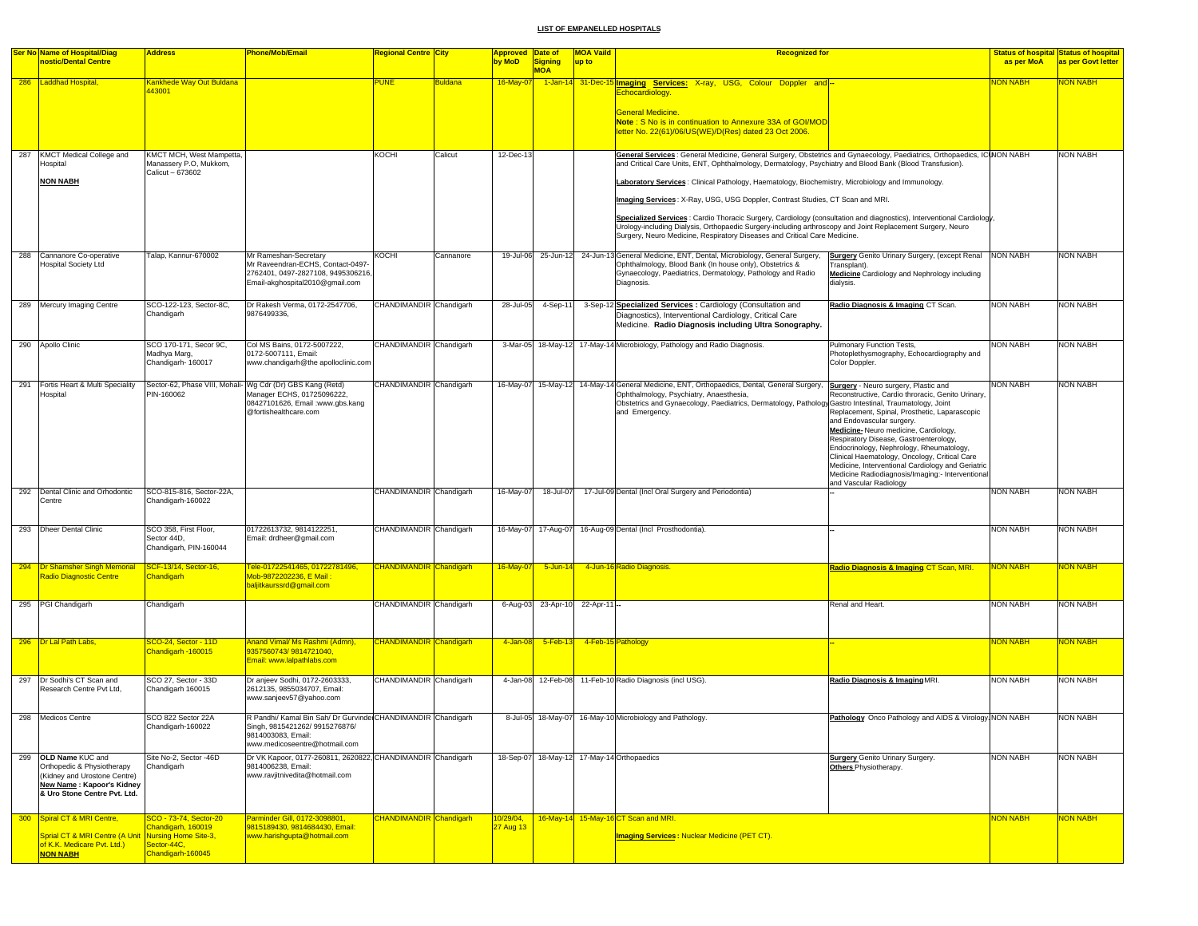|     | <b>Ser No Name of Hospital/Diag</b><br>nostic/Dental Centre                                                                                     | <b>Address</b>                                                         | <b>Phone/Mob/Email</b>                                                                                                                                 | Regional Centre <mark>City</mark> |                | <b>Approved</b><br>by MoD | Date of<br><b>Signing</b><br><b>MOA</b> | <b>MOA Vaild</b><br>up to | <b>Recognized for</b>                                                                                                                                                                                                                                                                                                                                                                                                                                                                                                                                                                                                                                                                                                                         |                                                                                                                                                                                                                                                                                                                                                                                                                                                   | as per MoA      | <b>Status of hospital Status of hospital</b><br>as per Govt letter |
|-----|-------------------------------------------------------------------------------------------------------------------------------------------------|------------------------------------------------------------------------|--------------------------------------------------------------------------------------------------------------------------------------------------------|-----------------------------------|----------------|---------------------------|-----------------------------------------|---------------------------|-----------------------------------------------------------------------------------------------------------------------------------------------------------------------------------------------------------------------------------------------------------------------------------------------------------------------------------------------------------------------------------------------------------------------------------------------------------------------------------------------------------------------------------------------------------------------------------------------------------------------------------------------------------------------------------------------------------------------------------------------|---------------------------------------------------------------------------------------------------------------------------------------------------------------------------------------------------------------------------------------------------------------------------------------------------------------------------------------------------------------------------------------------------------------------------------------------------|-----------------|--------------------------------------------------------------------|
|     | 286 Laddhad Hospital,                                                                                                                           | Cankhede Way Out Buldana<br>43001                                      |                                                                                                                                                        | <b>PUNE</b>                       | <b>Buldana</b> | 16-May-07                 |                                         | 1-Jan-14 31-Dec-15        | <b>Imaging Services:</b> X-ray, USG, Colour Doppler and<br><b>Echocardiology</b><br><b>General Medicine.</b><br>Note: S No is in continuation to Annexure 33A of GOI/MOD<br>letter No. 22(61)/06/US(WE)/D(Res) dated 23 Oct 2006.                                                                                                                                                                                                                                                                                                                                                                                                                                                                                                             |                                                                                                                                                                                                                                                                                                                                                                                                                                                   | <b>ON NABH</b>  | <b>JON NABH</b>                                                    |
| 287 | KMCT Medical College and<br><b>Hospital</b><br><b>NON NABH</b>                                                                                  | KMCT MCH, West Mampetta,<br>Manassery P.O, Mukkom,<br>Calicut - 673602 |                                                                                                                                                        | KOCHI                             | Calicut        | 12-Dec-13                 |                                         |                           | General Services : General Medicine, General Surgery, Obstetrics and Gynaecology, Paediatrics, Orthopaedics, ICINON NABH<br>and Critical Care Units, ENT, Ophthalmology, Dermatology, Psychiatry and Blood Bank (Blood Transfusion).<br>Laboratory Services: Clinical Pathology, Haematology, Biochemistry, Microbiology and Immunology.<br>Imaging Services: X-Ray, USG, USG Doppler, Contrast Studies, CT Scan and MRI.<br>Specialized Services : Cardio Thoracic Surgery, Cardiology (consultation and diagnostics), Interventional Cardiology,<br>Urology-including Dialysis, Orthopaedic Surgery-including arthroscopy and Joint Replacement Surgery, Neuro<br>Surgery, Neuro Medicine, Respiratory Diseases and Critical Care Medicine. |                                                                                                                                                                                                                                                                                                                                                                                                                                                   |                 | NON NABH                                                           |
|     | 288 Cannanore Co-operative<br><b>Hospital Society Ltd</b>                                                                                       | Talap, Kannur-670002                                                   | Mr Rameshan-Secretary<br>Mr Raveendran-ECHS, Contact-0497-<br>2762401, 0497-2827108, 9495306216,<br>Email-akghospital2010@gmail.com                    | <b>KOCHI</b>                      | Cannanore      |                           |                                         |                           | 19-Jul-06 25-Jun-12 24-Jun-13 General Medicine, ENT, Dental, Microbiology, General Surgery,<br>Ophthalmology, Blood Bank (In house only), Obstetrics &<br>Gynaecology, Paediatrics, Dermatology, Pathology and Radio<br>Diagnosis.                                                                                                                                                                                                                                                                                                                                                                                                                                                                                                            | <b>Surgery</b> Genito Urinary Surgery, (except Renal<br>Fransplant).<br>Medicine Cardiology and Nephrology including<br>dialysis.                                                                                                                                                                                                                                                                                                                 | <b>NON NABH</b> | <b>NON NABH</b>                                                    |
|     | 289 Mercury Imaging Centre                                                                                                                      | SCO-122-123, Sector-8C,<br>Chandigarh                                  | Dr Rakesh Verma, 0172-2547706,<br>9876499336.                                                                                                          | CHANDIMANDIR Chandigarh           |                | 28-Jul-05                 | 4-Sep-11                                |                           | 3-Sep-12 Specialized Services : Cardiology (Consultation and<br>Diagnostics), Interventional Cardiology, Critical Care<br>Medicine. Radio Diagnosis including Ultra Sonography.                                                                                                                                                                                                                                                                                                                                                                                                                                                                                                                                                               | Radio Diagnosis & Imaging CT Scan.                                                                                                                                                                                                                                                                                                                                                                                                                | <b>NON NABH</b> | NON NABH                                                           |
|     | 290 Apollo Clinic                                                                                                                               | SCO 170-171, Secor 9C,<br>Madhya Marg<br>Chandigarh-160017             | Col MS Bains, 0172-5007222,<br>0172-5007111, Email:<br>www.chandigarh@the apolloclinic.com                                                             | CHANDIMANDIR Chandigarh           |                |                           |                                         |                           | 3-Mar-05 18-May-12 17-May-14 Microbiology, Pathology and Radio Diagnosis.                                                                                                                                                                                                                                                                                                                                                                                                                                                                                                                                                                                                                                                                     | Pulmonary Function Tests,<br>Photoplethysmography, Echocardiography and<br>Color Doppler.                                                                                                                                                                                                                                                                                                                                                         | <b>NON NABH</b> | NON NABH                                                           |
|     | 291 Fortis Heart & Multi Speciality<br>Hospital                                                                                                 | PIN-160062                                                             | Sector-62, Phase VIII, Mohali- Wg Cdr (Dr) GBS Kang (Retd)<br>Manager ECHS, 01725096222,<br>08427101626, Email :www.gbs.kang<br>@fortishealthcare.com  | CHANDIMANDIR Chandigarh           |                |                           |                                         |                           | 16-May-07 15-May-12 14-May-14 General Medicine, ENT, Orthopaedics, Dental, General Surgery, Surgery - Neuro surgery, Plastic and<br>Ophthalmology, Psychiatry, Anaesthesia,<br>Obstetrics and Gynaecology, Paediatrics, Dermatology, Pathology Gastro Intestinal, Traumatology, Joint<br>and Emergency.                                                                                                                                                                                                                                                                                                                                                                                                                                       | Reconstructive, Cardio throracic, Genito Urinary,<br>Replacement, Spinal, Prosthetic, Laparascopic<br>and Endovascular surgery.<br>Medicine-Neuro medicine, Cardiology,<br>Respiratory Disease, Gastroenterology,<br>Endocrinology, Nephrology, Rheumatology,<br>Clinical Haematology, Oncology, Critical Care<br>Medicine, Interventional Cardiology and Geriatric<br>Medicine Radiodiagnosis/Imaging:- Interventional<br>and Vascular Radiology | <b>NON NABH</b> | NON NABH                                                           |
|     | 292 Dental Clinic and Orhodontic<br>Centre                                                                                                      | SCO-815-816, Sector-22A,<br>Chandigarh-160022                          |                                                                                                                                                        | CHANDIMANDIR Chandigarh           |                | 16-May-07                 | 18-Jul-07                               |                           | 17-Jul-09 Dental (Incl Oral Surgery and Periodontia)                                                                                                                                                                                                                                                                                                                                                                                                                                                                                                                                                                                                                                                                                          |                                                                                                                                                                                                                                                                                                                                                                                                                                                   | <b>NON NABH</b> | NON NABH                                                           |
|     | 293 Dheer Dental Clinic                                                                                                                         | SCO 358, First Floor,<br>Sector 44D.<br>Chandigarh, PIN-160044         | 01722613732, 9814122251,<br>Email: drdheer@gmail.com                                                                                                   | CHANDIMANDIR Chandigarh           |                |                           | 16-May-07 17-Aug-07                     |                           | 16-Aug-09 Dental (Incl Prosthodontia).                                                                                                                                                                                                                                                                                                                                                                                                                                                                                                                                                                                                                                                                                                        |                                                                                                                                                                                                                                                                                                                                                                                                                                                   | <b>NON NABH</b> | <b>NON NABH</b>                                                    |
|     | 294   Dr Shamsher Singh Memorial<br>Radio Diagnostic Centre                                                                                     | CF-13/14, Sector-16,<br><b>Chandigarh</b>                              | Fele-01722541465, 01722781496,<br>Mob-9872202236, E Mail:<br>baljitkaurssrd@gmail.com                                                                  | <b>CHANDIMANDIR</b> Chandigarh    |                | 16-May-07                 | 5-Jun-14                                |                           | 4-Jun-16 Radio Diagnosis.                                                                                                                                                                                                                                                                                                                                                                                                                                                                                                                                                                                                                                                                                                                     | Radio Diagnosis & Imaging CT Scan, MRI.                                                                                                                                                                                                                                                                                                                                                                                                           | <b>NON NABH</b> | <b>JON NABH</b>                                                    |
|     | 295 PGI Chandigarh                                                                                                                              | Chandigarh                                                             |                                                                                                                                                        | CHANDIMANDIR Chandigarh           |                | 6-Aug-03                  |                                         | 23-Apr-10 22-Apr-11       |                                                                                                                                                                                                                                                                                                                                                                                                                                                                                                                                                                                                                                                                                                                                               | Renal and Heart                                                                                                                                                                                                                                                                                                                                                                                                                                   | <b>NON NABH</b> | NON NABH                                                           |
|     | 296   Dr Lal Path Labs,                                                                                                                         | SCO-24, Sector - 11D<br>Chandigarh -160015                             | Anand Vimal/ Ms Rashmi (Admn),<br>9357560743/9814721040,<br>Email: www.lalpathlabs.com                                                                 | CHANDIMANDIR Chandigarh           |                | 4-Jan-08                  | $5-Feb-13$                              |                           | 4-Feb-15 Pathology                                                                                                                                                                                                                                                                                                                                                                                                                                                                                                                                                                                                                                                                                                                            |                                                                                                                                                                                                                                                                                                                                                                                                                                                   | <b>NON NABH</b> | <b>VON NABH</b>                                                    |
|     | 297 Dr Sodhi's CT Scan and<br>Research Centre Pvt Ltd,                                                                                          | SCO 27, Sector - 33D<br>Chandigarh 160015                              | Dr anjeev Sodhi, 0172-2603333,<br>2612135, 9855034707, Email:<br>www.sanjeev57@yahoo.com                                                               | CHANDIMANDIR Chandigarh           |                |                           |                                         |                           | 4-Jan-08 12-Feb-08 11-Feb-10 Radio Diagnosis (incl USG).                                                                                                                                                                                                                                                                                                                                                                                                                                                                                                                                                                                                                                                                                      | Radio Diagnosis & Imaging MRI.                                                                                                                                                                                                                                                                                                                                                                                                                    | <b>NON NABH</b> | <b>NON NABH</b>                                                    |
|     | 298 Medicos Centre                                                                                                                              | SCO 822 Sector 22A<br>Chandigarn-160022                                | R Pandhi/ Kamal Bin Sah/ Dr Gurvindel CHANDIMANDIR Chandigarh<br>Singh, 9815421262/ 9915276876/<br>9814003083, Email:<br>www.medicoseentre@hotmail.com |                                   |                |                           |                                         |                           | 8-Jul-05 18-May-07 16-May-10 Microbiology and Pathology.                                                                                                                                                                                                                                                                                                                                                                                                                                                                                                                                                                                                                                                                                      | Pathology Onco Pathology and AIDS & Virology. NON NABH                                                                                                                                                                                                                                                                                                                                                                                            |                 | NON NABH                                                           |
|     | 299 OLD Name KUC and<br>Orthopedic & Physiotherapy<br>(Kidney and Urostone Centre)<br>New Name: Kapoor's Kidney<br>& Uro Stone Centre Pvt. Ltd. | Site No-2, Sector -46D<br>Chandigarh                                   | Dr VK Kapoor, 0177-260811, 2620822, CHANDIMANDIR Chandigarh<br>9814006238, Email:<br>www.ravjitnivedita@hotmail.com                                    |                                   |                |                           |                                         |                           | 18-Sep-07 18-May-12 17-May-14 Orthopaedics                                                                                                                                                                                                                                                                                                                                                                                                                                                                                                                                                                                                                                                                                                    | <b>Surgery Genito Urinary Surgery.</b><br><b>Others Physiotherapy</b>                                                                                                                                                                                                                                                                                                                                                                             | <b>NON NABH</b> | NON NABH                                                           |
|     | 300 Spiral CT & MRI Centre.                                                                                                                     | SCO - 73-74, Sector-20<br>handigarh, 160019                            | Parminder Gill, 0172-3098801,<br>9815189430, 9814684430, Email:                                                                                        | <b>CHANDIMANDIR</b> Chandigarh    |                | 10/29/04,<br>27 Aug 13    |                                         |                           | 16-May-14 15-May-16 CT Scan and MRI.                                                                                                                                                                                                                                                                                                                                                                                                                                                                                                                                                                                                                                                                                                          |                                                                                                                                                                                                                                                                                                                                                                                                                                                   | <b>NON NABH</b> | <b>VON NABH</b>                                                    |
|     | Sprial CT & MRI Centre (A Unit Nursing Home Site-3,<br>of K.K. Medicare Pvt. Ltd.)<br><b>NON NABH</b>                                           | Sector-44C,<br>handigarh-160045                                        | www.harishqupta@hotmail.com                                                                                                                            |                                   |                |                           |                                         |                           | <b>Imaging Services: Nuclear Medicine (PET CT).</b>                                                                                                                                                                                                                                                                                                                                                                                                                                                                                                                                                                                                                                                                                           |                                                                                                                                                                                                                                                                                                                                                                                                                                                   |                 |                                                                    |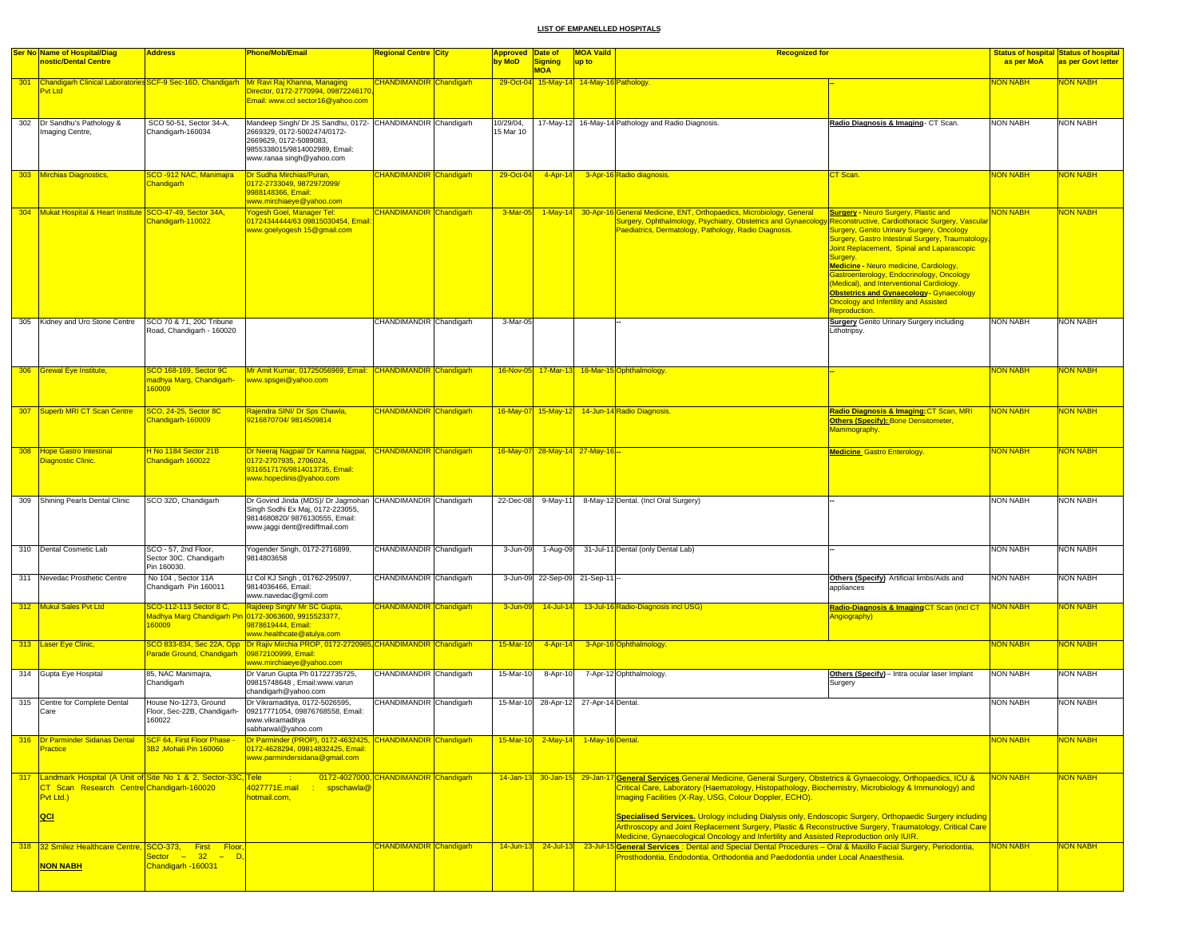| <b>Ser No Name of Hospital/Diag</b>                                                                                               | <b>Address</b>                                                 | <b>Phone/Mob/Email</b>                                                                                                                                                            | <b>Regional Centre City</b>           | Approved Date of       |                                          | <b>MOA Vaild</b>          | <b>Recognized for</b>                                                                                                                                                                                                                                                                                                                                                                                                                                                                                                                                                                                               |                                                                                                                                                                                                                                                                                                                                                                                                                                                                             |                       | <b>Status of hospital Status of hospital</b> |
|-----------------------------------------------------------------------------------------------------------------------------------|----------------------------------------------------------------|-----------------------------------------------------------------------------------------------------------------------------------------------------------------------------------|---------------------------------------|------------------------|------------------------------------------|---------------------------|---------------------------------------------------------------------------------------------------------------------------------------------------------------------------------------------------------------------------------------------------------------------------------------------------------------------------------------------------------------------------------------------------------------------------------------------------------------------------------------------------------------------------------------------------------------------------------------------------------------------|-----------------------------------------------------------------------------------------------------------------------------------------------------------------------------------------------------------------------------------------------------------------------------------------------------------------------------------------------------------------------------------------------------------------------------------------------------------------------------|-----------------------|----------------------------------------------|
| nostic/Dental Centre                                                                                                              |                                                                |                                                                                                                                                                                   |                                       | by MoD                 | <b>Signing</b><br><b>MOA</b>             | up to                     |                                                                                                                                                                                                                                                                                                                                                                                                                                                                                                                                                                                                                     |                                                                                                                                                                                                                                                                                                                                                                                                                                                                             | as per MoA            | as per Govt letter                           |
| <b>Pyt Ltd</b>                                                                                                                    |                                                                | 301 Chandigarh Clinical Laboratories SCF-9 Sec-16D, Chandigarh Mr Ravi Raj Khanna, Managing<br>Director, 0172-2770994, 09872246170<br>Email: www.ccl sector16@yahoo.com           | <b>CHANDIMANDIR Chandigarh</b>        |                        | 29-Oct-04 15-May-14 14-May-16 Pathology. |                           |                                                                                                                                                                                                                                                                                                                                                                                                                                                                                                                                                                                                                     |                                                                                                                                                                                                                                                                                                                                                                                                                                                                             | NON NABH              | <b>NON NABH</b>                              |
| 302 Dr Sandhu's Pathology &<br>Imaging Centre,                                                                                    | SCO 50-51, Sector 34-A.<br>Chandigarh-160034                   | Mandeep Singh/ Dr JS Sandhu, 0172- CHANDIMANDIR Chandigarh<br>2669329, 0172-5002474/0172-<br>2669629, 0172-5089083,<br>9855338015/9814002989, Email:<br>www.ranaa singh@yahoo.com |                                       | 10/29/04,<br>15 Mar 10 |                                          |                           | 17-May-12 16-May-14 Pathology and Radio Diagnosis.                                                                                                                                                                                                                                                                                                                                                                                                                                                                                                                                                                  | Radio Diagnosis & Imaging - CT Scan.                                                                                                                                                                                                                                                                                                                                                                                                                                        | <b>NON NABH</b>       | <b>NON NABH</b>                              |
| 303 Mirchias Diagnostics,                                                                                                         | SCO -912 NAC, Manimajra<br>Chandigarh                          | Dr Sudha Mirchias/Puran,<br>0172-2733049, 9872972099/<br>9988148366, Email:<br>www.mirchiaeye@yahoo.com                                                                           | <b>CHANDIMANDIR</b> Chandigarh        | 29-Oct-04              | $4 - Apr - 14$                           |                           | 3-Apr-16 Radio diagnosis.                                                                                                                                                                                                                                                                                                                                                                                                                                                                                                                                                                                           | <b>CT Scan</b>                                                                                                                                                                                                                                                                                                                                                                                                                                                              | NON NABH              | <mark>NON NABH</mark>                        |
| 304 Mukat Hospital & Heart Institute SCO-47-49, Sector 34A,                                                                       | Chandigarh-110022                                              | Yogesh Goel, Manager Tel:<br>01724344444/63 09815030454, Email<br>www.goelyogesh 15@gmail.com                                                                                     | <b>CHANDIMANDIR</b> Chandigarh        | 3-Mar-05               |                                          |                           | 1-May-14 30-Apr-16 General Medicine, ENT, Orthopaedics, Microbiology, General<br>Surgery, Ophthalmology, Psychiatry, Obstetrics and Gynaecology Reconstructive, Cardiothoracic Surgery, Vascular<br>Paediatrics, Dermatology, Pathology, Radio Diagnosis.                                                                                                                                                                                                                                                                                                                                                           | <b>Surgery - Neuro Surgery, Plastic and</b><br><b>Surgery, Genito Urinary Surgery, Oncology</b><br>Surgery, Gastro Intestinal Surgery, Traumatology<br>Joint Replacement, Spinal and Laparascopic<br>Surgery.<br><b>Medicine - Neuro medicine, Cardiology,</b><br>Gastroenterology, Endocrinology, Oncology<br>(Medical), and Interventional Cardiology.<br><b>Obstetrics and Gynaecology- Gynaecology</b><br>Oncology and Infertility and Assisted<br><b>Reproduction.</b> | <b>NON NABH</b>       | <b>NON NABH</b>                              |
| 305 Kidney and Uro Stone Centre                                                                                                   | SCO 70 & 71, 20C Tribune<br>Road, Chandigarh - 160020          |                                                                                                                                                                                   | CHANDIMANDIR Chandigarh               | 3-Mar-05               |                                          |                           |                                                                                                                                                                                                                                                                                                                                                                                                                                                                                                                                                                                                                     | <b>Surgery</b> Genito Urinary Surgery including<br>Lithotripsy.                                                                                                                                                                                                                                                                                                                                                                                                             | <b>NON NABH</b>       | <b>NON NABH</b>                              |
| 306 Grewal Eye Institute,                                                                                                         | SCO 168-169, Sector 9C<br>madhya Marg, Chandigarh-<br>160009   | Mr Amit Kumar, 01725056969, Email: CHANDIMANDIR Chandigarh<br>www.spsgei@yahoo.com                                                                                                |                                       |                        |                                          |                           | 16-Nov-05 17-Mar-13 16-Mar-15 Ophthalmology.                                                                                                                                                                                                                                                                                                                                                                                                                                                                                                                                                                        |                                                                                                                                                                                                                                                                                                                                                                                                                                                                             | <b>NON NABH</b>       | <b>NON NABH</b>                              |
| 307 Superb MRI CT Scan Centre                                                                                                     | SCO, 24-25, Sector 8C<br>Chandigarh-160009                     | Rajendra SINI/ Dr Sps Chawla,<br>9216870704/9814509814                                                                                                                            | <b>CHANDIMANDIR</b> Chandigarh        |                        |                                          |                           | 16-May-07 15-May-12 14-Jun-14 Radio Diagnosis.                                                                                                                                                                                                                                                                                                                                                                                                                                                                                                                                                                      | Radio Diagnosis & Imaging: CT Scan, MRI<br>Others (Specify): Bone Densitometer,<br>Mammography.                                                                                                                                                                                                                                                                                                                                                                             | <b>NON NABH</b>       | <b>NON NABH</b>                              |
| 308 Hope Gastro Intestinal<br><b>Diagnostic Clinic.</b>                                                                           | H No 1184 Sector 21B<br>Chandigarh 160022                      | Dr Neeraj Nagpal/ Dr Kamna Nagpal, CHANDIMANDIR Chandigarh<br>0172-2707935, 2706024,<br>9316517176/9814013735, Email:<br>www.hopeclinis@yahoo.com                                 |                                       |                        | 16-May-07 28-May-14 27-May-16 -          |                           |                                                                                                                                                                                                                                                                                                                                                                                                                                                                                                                                                                                                                     | <b>Medicine</b> Gastro Enterology                                                                                                                                                                                                                                                                                                                                                                                                                                           | <b>NON NABH</b>       | <b>NON NABH</b>                              |
| 309 Shining Pearls Dental Clinic                                                                                                  | SCO 32D, Chandigarh                                            | Dr Govind Jinda (MDS)/ Dr Jagmohan CHANDIMANDIR Chandigarh<br>Singh Sodhi Ex Maj, 0172-223055,<br>9814680820/9876130555, Email:<br>www.jaggi dent@rediffmail.com                  |                                       | 22-Dec-08              | 9-May-11                                 |                           | 8-May-12 Dental. (Incl Oral Surgery)                                                                                                                                                                                                                                                                                                                                                                                                                                                                                                                                                                                |                                                                                                                                                                                                                                                                                                                                                                                                                                                                             | <b>NON NABH</b>       | <b>NON NABH</b>                              |
| 310 Dental Cosmetic Lab                                                                                                           | SCO - 57, 2nd Floor,<br>Sector 30C. Chandigarh<br>Pin 160030.  | Yogender Singh, 0172-2716899,<br>9814803658                                                                                                                                       | CHANDIMANDIR Chandigarh               | 3-Jun-09               | 1-Aug-09                                 |                           | 31-Jul-11 Dental (only Dental Lab)                                                                                                                                                                                                                                                                                                                                                                                                                                                                                                                                                                                  |                                                                                                                                                                                                                                                                                                                                                                                                                                                                             | <b>NON NABH</b>       | NON NABH                                     |
| 311 Nevedac Prosthetic Centre                                                                                                     | No 104, Sector 11A<br>Chandigarh Pin 160011                    | Lt Col KJ Singh, 01762-295097,<br>9814036466, Email:<br>www.navedac@gmil.com                                                                                                      | CHANDIMANDIR Chandigarh               |                        | 3-Jun-09 22-Sep-09 21-Sep-11             |                           |                                                                                                                                                                                                                                                                                                                                                                                                                                                                                                                                                                                                                     | Others (Specify) Artificial limbs/Aids and<br>appliances                                                                                                                                                                                                                                                                                                                                                                                                                    | <b>NON NABH</b>       | <b>NON NABH</b>                              |
| 312 Mukul Sales Pvt Ltd                                                                                                           | SCO-112-113 Sector 8 C,<br>160009                              | Rajdeep Singh/ Mr SC Gupta,<br>Madhya Marg Chandigarh Pin 0172-3063600, 9915523377,<br>9878619444, Email:<br>www.healthcate@atulya.com                                            | <b>CHANDIMANDIR</b> Chandigarh        | 3-Jun-09               | 14-Jul-14                                |                           | 13-Jul-16 Radio-Diagnosis incl USG)                                                                                                                                                                                                                                                                                                                                                                                                                                                                                                                                                                                 | Radio-Diagnosis & Imaging CT Scan (incl CT<br>Angiography)                                                                                                                                                                                                                                                                                                                                                                                                                  | NON NABH              | <b>NON NABH</b>                              |
| 313 Laser Eye Clinic,                                                                                                             | Parade Ground, Chandigarh                                      | SCO 833-834, Sec 22A, Opp <mark>IDr Rajiv Mirchia PROP, 0172-2720965,</mark> CHANDIMANDIR <mark>Chandigarh</mark><br>09872100999, Email:<br>www.mirchiaeye@yahoo.com              |                                       | 15-Mar-10              | 4-Apr-14                                 |                           | 3-Apr-16 Ophthalmology                                                                                                                                                                                                                                                                                                                                                                                                                                                                                                                                                                                              |                                                                                                                                                                                                                                                                                                                                                                                                                                                                             | NON NABH              | <b>NON NABH</b>                              |
| 314 Gupta Eye Hospital                                                                                                            | 85, NAC Manimajra,<br>Chandigarh                               | Dr Varun Gupta Ph 01722735725,<br>09815748648, Email:www.varun<br>chandigarh@yahoo.com                                                                                            | CHANDIMANDIR Chandigarh               | 15-Mar-10              | 8-Apr-10                                 |                           | 7-Apr-12 Ophthalmology.                                                                                                                                                                                                                                                                                                                                                                                                                                                                                                                                                                                             | Others (Specify) - Intra ocular laser Implant<br>Surgery                                                                                                                                                                                                                                                                                                                                                                                                                    | <b>NON NABH</b>       | <b>NON NABH</b>                              |
| 315 Centre for Complete Dental<br>Care                                                                                            | House No-1273, Ground<br>Floor, Sec-22B, Chandigarh-<br>160022 | Dr Vikramaditya, 0172-5026595,<br>09217771054, 09876768558, Email:<br>www.vikramaditya<br>sabharwal@yahoo.com                                                                     | CHANDIMANDIR Chandigarh               |                        | 15-Mar-10 28-Apr-12 27-Apr-14 Dental.    |                           |                                                                                                                                                                                                                                                                                                                                                                                                                                                                                                                                                                                                                     |                                                                                                                                                                                                                                                                                                                                                                                                                                                                             | <b>NON NABH</b>       | <b>NON NABH</b>                              |
| 316 Dr Parminder Sidanas Dental<br>Practice                                                                                       | SCF 64, First Floor Phase -<br>3B2, Mohali Pin 160060          | Dr Parminder (PROP), 0172-4632425, CHANDIMANDIR Chandigarh<br>0172-4628294, 09814832425, Email:<br>www.parmindersidana@gmail.com                                                  |                                       | $15-Mar-10$            |                                          | 2-May-14 1-May-16 Dental. |                                                                                                                                                                                                                                                                                                                                                                                                                                                                                                                                                                                                                     |                                                                                                                                                                                                                                                                                                                                                                                                                                                                             | <mark>NON NABH</mark> | NON NABH                                     |
| 317 Landmark Hospital (A Unit of Site No 1 & 2, Sector-33C, Tele<br>CT Scan Research Centre Chandigarh-160020<br>Pvt Ltd.)<br>QCI |                                                                | 4027771E.mail<br>spschawla@<br>hotmail.com,                                                                                                                                       | 0172-4027000. CHANDIMANDIR Chandigarh |                        |                                          |                           | 14-Jan-13 30-Jan-15 29-Jan-17 General Services.General Medicine, General Surgery, Obstetrics & Gynaecology, Orthopaedics, ICU &<br>Critical Care, Laboratory (Haematology, Histopathology, Biochemistry, Microbiology & Immunology) and<br>Imaging Facilities (X-Ray, USG, Colour Doppler, ECHO).<br>Specialised Services. Urology including Dialysis only, Endoscopic Surgery, Orthopaedic Surgery including<br>Arthroscopy and Joint Replacement Surgery, Plastic & Reconstructive Surgery, Traumatology, Critical Care<br>Medicine, Gynaecological Oncology and Infertility and Assisted Reproduction only IUIR. |                                                                                                                                                                                                                                                                                                                                                                                                                                                                             | <b>NON NABH</b>       | <b>NON NABH</b>                              |
| 318 32 Smilez Healthcare Centre, SCO-373, First Floor,<br>NON NABH                                                                | Sector – 32 – D.<br>Chandigarh -160031                         |                                                                                                                                                                                   | <b>CHANDIMANDIR</b> Chandigarh        | $14$ -Jun-13           | $24$ -Jul-13                             |                           | 23-Jul-15 General Services : Dental and Special Dental Procedures - Oral & Maxillo Facial Surgery, Periodontia,<br>Prosthodontia, Endodontia, Orthodontia and Paedodontia under Local Anaesthesia.                                                                                                                                                                                                                                                                                                                                                                                                                  |                                                                                                                                                                                                                                                                                                                                                                                                                                                                             | <b>NON NABH</b>       | <b>NON NABH</b>                              |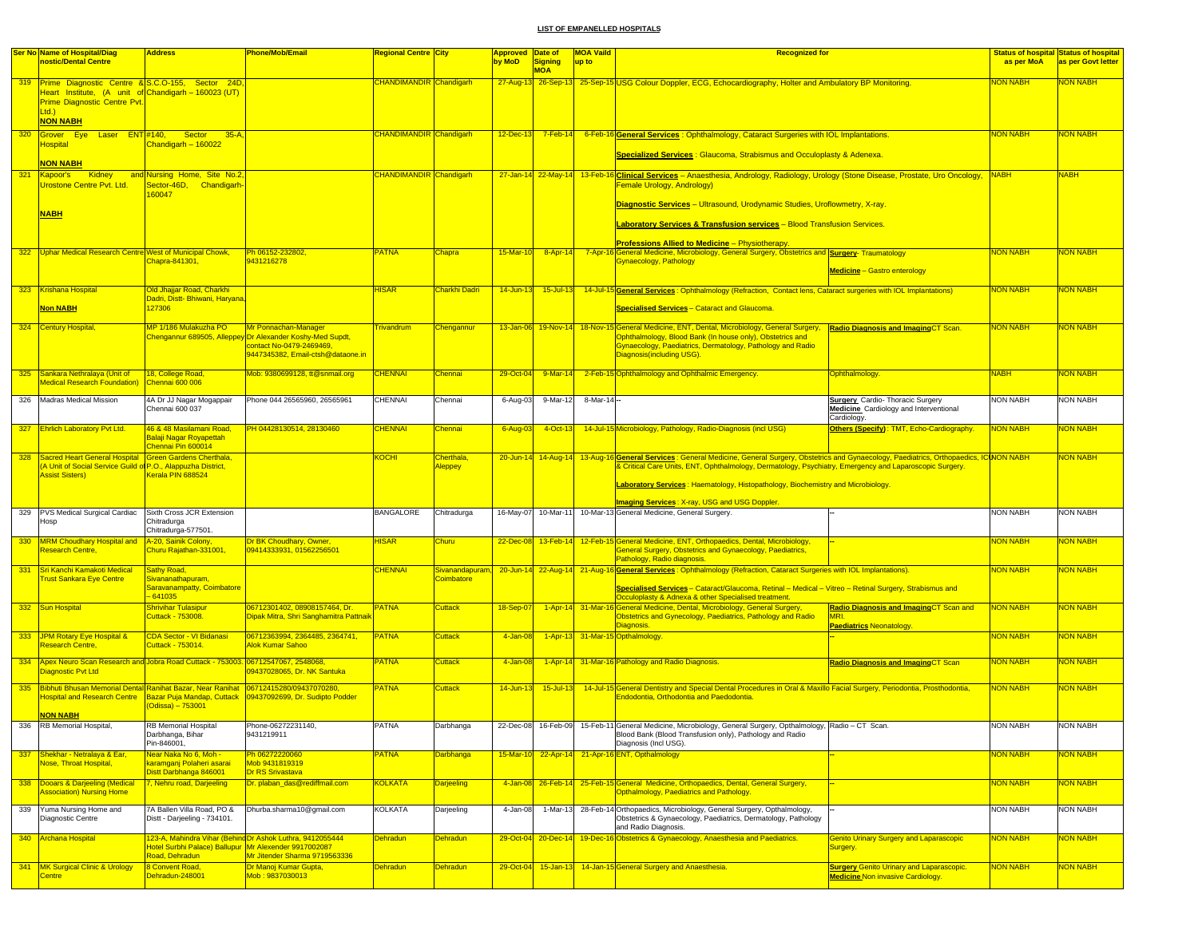|     | <b>Ser No Name of Hospital/Diag</b><br>nostic/Dental Centre                                                                                          | <b>Address</b>                                                            | Phone/Mob/Email                                                                                                         | Regional Centre <mark>City</mark> |                                      | Approved Date of<br>by MoD | Signing             | <b>MOA Vaild</b><br>up to | <b>Recognized for</b>                                                                                                                                                                                                                                                                    |                                                                                                         | as per MoA      | <b>Status of hospital Status of hospital</b><br>as per Govt letter |
|-----|------------------------------------------------------------------------------------------------------------------------------------------------------|---------------------------------------------------------------------------|-------------------------------------------------------------------------------------------------------------------------|-----------------------------------|--------------------------------------|----------------------------|---------------------|---------------------------|------------------------------------------------------------------------------------------------------------------------------------------------------------------------------------------------------------------------------------------------------------------------------------------|---------------------------------------------------------------------------------------------------------|-----------------|--------------------------------------------------------------------|
|     |                                                                                                                                                      |                                                                           |                                                                                                                         |                                   |                                      |                            | <b>MOA</b>          |                           |                                                                                                                                                                                                                                                                                          |                                                                                                         |                 |                                                                    |
|     | 319 Prime Diagnostic Centre & S.C.O-155, Sector 24D,<br>Heart Institute, (A unit of Chandigarh - 160023 (UT)<br>Prime Diagnostic Centre Pvt.<br>Ltd. |                                                                           |                                                                                                                         | <b>CHANDIMANDIR Chandigarh</b>    |                                      |                            |                     |                           | 27-Aug-13 26-Sep-13 25-Sep-15 USG Colour Doppler, ECG, Echocardiography, Holter and Ambulatory BP Monitoring.                                                                                                                                                                            |                                                                                                         | <b>NON NABH</b> | NON NABH                                                           |
| 320 | <b>NON NABH</b><br>Grover Eye Laser ENT #140, Sector 35-A,                                                                                           |                                                                           |                                                                                                                         | CHANDIMANDIR Chandigarh           |                                      | $12 - Dec-13$              | $7-Feb-14$          |                           | 6-Feb-16 General Services: Ophthalmology, Cataract Surgeries with IOL Implantations.                                                                                                                                                                                                     |                                                                                                         | <b>NON NABH</b> | <b>NON NABH</b>                                                    |
|     | <b>Hospital</b>                                                                                                                                      | Chandigarh - 160022                                                       |                                                                                                                         |                                   |                                      |                            |                     |                           | <b>Specialized Services: Glaucoma, Strabismus and Occuloplasty &amp; Adenexa.</b>                                                                                                                                                                                                        |                                                                                                         |                 |                                                                    |
| 321 | <b>NON NABH</b><br>Kidney<br>Kapoor's                                                                                                                | and Nursing Home, Site No.2,                                              |                                                                                                                         | <b>CHANDIMANDIR</b> Chandigarh    |                                      |                            |                     |                           | 27-Jan-14 22-May-14 13-Feb-16 Clinical Services - Anaesthesia, Andrology, Radiology, Urology (Stone Disease, Prostate, Uro Oncology, NABH                                                                                                                                                |                                                                                                         |                 | <b>NABH</b>                                                        |
|     | Urostone Centre Pvt. Ltd.                                                                                                                            | Sector-46D, Chandigarh-<br>60047                                          |                                                                                                                         |                                   |                                      |                            |                     |                           | Female Urology, Andrology)                                                                                                                                                                                                                                                               |                                                                                                         |                 |                                                                    |
|     | <b>NABH</b>                                                                                                                                          |                                                                           |                                                                                                                         |                                   |                                      |                            |                     |                           | Diagnostic Services - Ultrasound, Urodynamic Studies, Uroflowmetry, X-ray.<br>Laboratory Services & Transfusion services - Blood Transfusion Services.                                                                                                                                   |                                                                                                         |                 |                                                                    |
|     |                                                                                                                                                      |                                                                           |                                                                                                                         |                                   |                                      |                            |                     |                           | <b>Professions Allied to Medicine - Physiotherapy.</b>                                                                                                                                                                                                                                   |                                                                                                         |                 |                                                                    |
|     | 322 Uphar Medical Research Centre West of Municipal Chowk,                                                                                           | Chapra-841301,                                                            | Ph 06152-232802,                                                                                                        | <b>PATNA</b>                      | Chapra                               | $15-Mar-10$                | $8 -$ Apr-14        |                           | 7-Apr-16 General Medicine, Microbiology, General Surgery, Obstetrics and Surgery-Traumatology<br>Gynaecology, Pathology                                                                                                                                                                  |                                                                                                         | <b>NON NABH</b> | <b>NON NABH</b>                                                    |
|     |                                                                                                                                                      |                                                                           | 9431216278                                                                                                              |                                   |                                      |                            |                     |                           |                                                                                                                                                                                                                                                                                          | <b>Medicine</b> - Gastro enterology                                                                     |                 |                                                                    |
|     | 323 Krishana Hospital                                                                                                                                | Old Jhajjar Road, Charkhi<br>Dadri, Distt- Bhiwani, Haryana               |                                                                                                                         | <b>HISAR</b>                      | Charkhi Dadri                        | 14-Jun-13                  | $15$ -Jul-13        |                           | 14-Jul-15 General Services: Ophthalmology (Refraction, Contact lens, Cataract surgeries with IOL Implantations)                                                                                                                                                                          |                                                                                                         | <b>NON NABH</b> | NON NABH                                                           |
|     | <b>Non NABH</b>                                                                                                                                      | 127306                                                                    |                                                                                                                         |                                   |                                      |                            |                     |                           | <b>Specialised Services - Cataract and Glaucoma.</b>                                                                                                                                                                                                                                     |                                                                                                         |                 |                                                                    |
|     | 324 Century Hospital,                                                                                                                                | MP 1/186 Mulakuzha PO<br><b>Chengannur 689505, Alleppe</b>                | Mr Ponnachan-Manager<br>yOr Alexander Koshy-Med Supdt,<br>contact No-0479-2469469.<br>9447345382, Email-ctsh@dataone.in | <b>Trivandrum</b>                 | <b>Chengannur</b>                    |                            |                     |                           | 13-Jan-06 19-Nov-14 18-Nov-15 General Medicine, ENT, Dental, Microbiology, General Surgery, Radio Diagnosis and Imaging CT Scan.<br>Ophthalmology, Blood Bank (In house only), Obstetrics and<br>Gynaecology, Paediatrics, Dermatology, Pathology and Radio<br>Diagnosis(including USG). |                                                                                                         | <b>NON NABH</b> | NON NABH                                                           |
|     | 325 Sankara Nethralaya (Unit of<br><b>Medical Research Foundation)</b>                                                                               | 18, College Road,<br>hennai 600 006                                       | Mob: 9380699128, tt@snmail.org                                                                                          | <b>CHENNAI</b>                    | Chennai                              | 29-Oct-04                  | $9-Mar-14$          |                           | 2-Feb-15 Ophthalmology and Ophthalmic Emergency.                                                                                                                                                                                                                                         | Ophthalmology.                                                                                          | <b>NABH</b>     | <b>NON NABH</b>                                                    |
| 326 | Madras Medical Mission                                                                                                                               | 4A Dr JJ Nagar Mogappair<br>Chennai 600 037                               | Phone 044 26565960, 26565961                                                                                            | <b>CHENNAI</b>                    | Chennai                              | 6-Aug-03                   | 9-Mar-12            | 8-Mar-14 --               |                                                                                                                                                                                                                                                                                          | <b>Surgery</b> Cardio- Thoracic Surgery<br><b>Medicine</b> Cardiology and Interventional<br>Cardiology. | <b>NON NABH</b> | <b>NON NABH</b>                                                    |
|     | 327 Ehrlich Laboratory Pvt Ltd.                                                                                                                      | 46 & 48 Masilamani Road,<br>Balaji Nagar Royapettah<br>Chennai Pin 600014 | PH 04428130514, 28130460                                                                                                | <b>CHENNAI</b>                    | <b>Chennai</b>                       | 6-Aug-03                   | $4$ -Oct-13         |                           | 14-Jul-15 Microbiology, Pathology, Radio-Diagnosis (incl USG)                                                                                                                                                                                                                            | Others (Specify): TMT, Echo-Cardiography.                                                               | <b>NON NABH</b> | NON NABH                                                           |
|     | 328 Sacred Heart General Hospital Green Gardens Cherthala,                                                                                           |                                                                           |                                                                                                                         | <b>KOCHI</b>                      | Cherthala.                           |                            |                     |                           | 20-Jun-14 14-Aug-14 13-Aug-16 General Services: General Medicine, General Surgery, Obstetrics and Gynaecology, Paediatrics, Orthopaedics, ICINON NABH                                                                                                                                    |                                                                                                         |                 | NON NABH                                                           |
|     | A Unit of Social Service Guild of P.O., Alappuzha District.<br><b>Assist Sisters)</b>                                                                | Kerala PIN 688524                                                         |                                                                                                                         |                                   | <b>Aleppey</b>                       |                            |                     |                           | & Critical Care Units, ENT, Ophthalmology, Dermatology, Psychiatry, Emergency and Laparoscopic Surgery.                                                                                                                                                                                  |                                                                                                         |                 |                                                                    |
|     |                                                                                                                                                      |                                                                           |                                                                                                                         |                                   |                                      |                            |                     |                           | Laboratory Services: Haematology, Histopathology, Biochemistry and Microbiology                                                                                                                                                                                                          |                                                                                                         |                 |                                                                    |
|     | 329 PVS Medical Surgical Cardiac                                                                                                                     | Sixth Cross JCR Extension                                                 |                                                                                                                         | <b>BANGALORE</b>                  | Chitradurga                          |                            | 16-May-07 10-Mar-11 |                           | Imaging Services: X-ray, USG and USG Doppler.<br>10-Mar-13 General Medicine, General Surgery.                                                                                                                                                                                            |                                                                                                         | <b>NON NABH</b> | <b>NON NABH</b>                                                    |
|     | Hosp                                                                                                                                                 | Chitradurga<br>Chitradurga-577501.                                        |                                                                                                                         |                                   |                                      |                            |                     |                           |                                                                                                                                                                                                                                                                                          |                                                                                                         |                 |                                                                    |
|     | 330 MRM Choudhary Hospital and<br>Research Centre,                                                                                                   | A-20, Sainik Colony,<br>Churu Rajathan-331001,                            | Dr BK Choudhary, Owner,<br>09414333931, 01562256501                                                                     | <b>HISAR</b>                      | Churu                                |                            |                     |                           | 22-Dec-08 13-Feb-14 12-Feb-15 General Medicine, ENT, Orthopaedics, Dental, Microbiology,<br>General Surgery, Obstetrics and Gynaecology, Paediatrics,<br>Pathology, Radio diagnosis.                                                                                                     |                                                                                                         | <b>NON NABH</b> | NON NABH                                                           |
| 331 | Sri Kanchi Kamakoti Medical<br><b>Trust Sankara Eye Centre</b>                                                                                       | Sathy Road,<br>Sivananathapuram,                                          |                                                                                                                         | <b>CHENNAI</b>                    | Sivanandapuram,<br><b>Coimbatore</b> |                            |                     |                           | 20-Jun-14 22-Aug-14 21-Aug-16 General Services: Ophthalmology (Refraction, Cataract Surgeries with IOL Implantations).                                                                                                                                                                   |                                                                                                         | <b>NON NABH</b> | <b>NON NABH</b>                                                    |
|     |                                                                                                                                                      | Saravanampatty, Coimbatore<br>$-641035$                                   |                                                                                                                         |                                   |                                      |                            |                     |                           | Specialised Services - Cataract/Glaucoma, Retinal - Medical - Vitreo - Retinal Surgery, Strabismus and<br>Occuloplasty & Adnexa & other Specialised treatment.                                                                                                                           |                                                                                                         |                 |                                                                    |
|     | 332 Sun Hospital                                                                                                                                     | Shrivihar Tulasipur<br>Cuttack - 753008.                                  | 06712301402, 08908157464, Dr.<br>Dipak Mitra, Shri Sanghamitra Pattnail                                                 | <b>PATNA</b>                      | <b>Cuttack</b>                       | 18-Sep-07                  |                     |                           | 1-Apr-14 31-Mar-16 General Medicine, Dental, Microbiology, General Surgery,<br>Obstetrics and Gynecology, Paediatrics, Pathology and Radio<br>Diagnosis.                                                                                                                                 | Radio Diagnosis and ImagingCT Scan and<br><b>Paediatrics Neonatology.</b>                               | <b>NON NABH</b> | NON NABH                                                           |
|     | 333 JPM Rotary Eye Hospital &                                                                                                                        | CDA Sector - VI Bidanasi                                                  | 06712363994, 2364485, 2364741,                                                                                          | <b>PATNA</b>                      | <b>Cuttack</b>                       | 4-Jan-08                   |                     |                           | 1-Apr-13 31-Mar-15 Opthalmology.                                                                                                                                                                                                                                                         |                                                                                                         | <b>NON NABH</b> | <b>NON NABH</b>                                                    |
|     | <b>Research Centre.</b>                                                                                                                              | Cuttack - 753014.                                                         | Alok Kumar Sahoo                                                                                                        |                                   |                                      |                            |                     |                           |                                                                                                                                                                                                                                                                                          |                                                                                                         |                 |                                                                    |
|     | 334 Apex Neuro Scan Research and Jobra Road Cuttack - 753003<br>Diagnostic Pyt Ltd                                                                   |                                                                           | 06712547067.2548068.<br>09437028065, Dr. NK Santuka                                                                     | <b>PATNA</b>                      | <b>Cuttack</b>                       | 4-Jan-08                   |                     |                           | 1-Apr-14 31-Mar-16 Pathology and Radio Diagnosis.                                                                                                                                                                                                                                        | <b>Radio Diagnosis and Imaging CT Scan</b>                                                              | <b>NON NABH</b> | <mark>NON NABH</mark>                                              |
| 335 | Bibhuti Bhusan Memorial Dental Ranihat Bazar, Near Ranihat 06712415280/09437070280,<br><b>NON NABH</b>                                               | (Odissa) - 753001                                                         | Hospital and Research Centre Bazar Puja Mandap, Cuttack 109437092699, Dr. Sudipto Podder                                | <b>PATNA</b>                      | <b>Cuttack</b>                       | 14-Jun-13                  | $15$ -Jul-13        |                           | 14-Jul-15 General Dentistry and Special Dental Procedures in Oral & Maxillo Facial Surgery, Periodontia, Prosthodontia,<br>Endodontia, Orthodontia and Paedodontia.                                                                                                                      |                                                                                                         | <b>NON NABH</b> | NON NABH                                                           |
|     | 336 RB Memorial Hospital                                                                                                                             | <b>RB Memorial Hospital</b>                                               | Phone-06272231140,                                                                                                      |                                   | Darhhanna                            |                            |                     |                           | 22-Dec-08 16-Feb-09 15-Feb-11 General Medicine, Microbiology, General Surgery, Opthalmology, Radio - CT Scan.                                                                                                                                                                            |                                                                                                         | NON NABH        | <b>NON NABH</b>                                                    |
| 337 | Shekhar - Netralaya & Ear,                                                                                                                           | Darbhanga, Bihar<br>Pin-846001,<br>Vear Naka No 6, Moh -                  | 9431219911                                                                                                              | <b>PATNA</b>                      | Darbhanga                            |                            |                     |                           | Blood Bank (Blood Transfusion only), Pathology and Radio<br>Diagnosis (Incl USG).<br>15-Mar-10 22-Apr-14 21-Apr-16 ENT, Opthalmology                                                                                                                                                     |                                                                                                         | <b>NON NABH</b> | NON NABH                                                           |
|     | <b>Vose, Throat Hospital,</b>                                                                                                                        | aramganj Polaheri asarai<br>Distt Darbhanga 846001                        | Ph 06272220060<br>Mob 9431819319<br>Dr RS Srivastava                                                                    |                                   |                                      |                            |                     |                           |                                                                                                                                                                                                                                                                                          |                                                                                                         |                 |                                                                    |
|     | 338 Dooars & Darjeeling (Medical<br><b>Association) Nursing Home</b>                                                                                 | , Nehru road, Darjeeling                                                  | Dr. plaban_das@rediffmail.com                                                                                           | <b>KOLKATA</b>                    | Darjeeling                           |                            |                     |                           | 4-Jan-08 26-Feb-14 25-Feb-15 General Medicine, Orthopaedics, Dental, General Surgery,<br>Opthalmology, Paediatrics and Pathology.                                                                                                                                                        |                                                                                                         | <b>NON NABH</b> | <b>NON NABH</b>                                                    |
|     | 339 Yuma Nursing Home and<br>Diagnostic Centre                                                                                                       | 7A Ballen Villa Road, PO &<br>Distt - Darjeeling - 734101.                | Dhurba.sharma10@gmail.com                                                                                               | <b>KOLKATA</b>                    | Darjeeling                           | 4-Jan-08                   | 1-Mar-13            |                           | 28-Feb-14 Orthopaedics, Microbiology, General Surgery, Opthalmology,<br>Obstetrics & Gynaecology, Paediatrics, Dermatology, Pathology<br>and Radio Diagnosis.                                                                                                                            |                                                                                                         | NON NABH        | <b>NON NABH</b>                                                    |
|     | 340 Archana Hospital                                                                                                                                 | Hotel Surbhi Palace) Ballupur Mr Alexender 9917002087                     | 123-A, Mahindra Vihar (Behind Dr Ashok Luthra, 9412055444                                                               | <b>Dehradun</b>                   | <b>Dehradun</b>                      |                            | 29-Oct-04 20-Dec-14 |                           | 19-Dec-16 Obstetrics & Gynaecology, Anaesthesia and Paediatrics.                                                                                                                                                                                                                         | <b>Senito Urinary Surgery and Laparascopic</b><br>Surgery.                                              | <b>NON NABH</b> | <b>VON NABH</b>                                                    |
|     |                                                                                                                                                      | Road, Dehradun                                                            | Mr Jitender Sharma 9719563336                                                                                           |                                   |                                      |                            |                     |                           |                                                                                                                                                                                                                                                                                          |                                                                                                         |                 |                                                                    |
|     | 341 MK Surgical Clinic & Urology<br><b>Centre</b>                                                                                                    | 8 Convent Road,<br>Dehradun-248001                                        | Dr Manoj Kumar Gupta,<br>Mob: 9837030013                                                                                | <b>Dehradun</b>                   | <b>Dehradun</b>                      |                            |                     |                           | 29-Oct-04 15-Jan-13 14-Jan-15 General Surgery and Anaesthesia.                                                                                                                                                                                                                           | <b>Surgery Genito Urinary and Laparascopic.</b><br><b>Medicine Non invasive Cardiology.</b>             | <b>NON NABH</b> | <b>NON NABH</b>                                                    |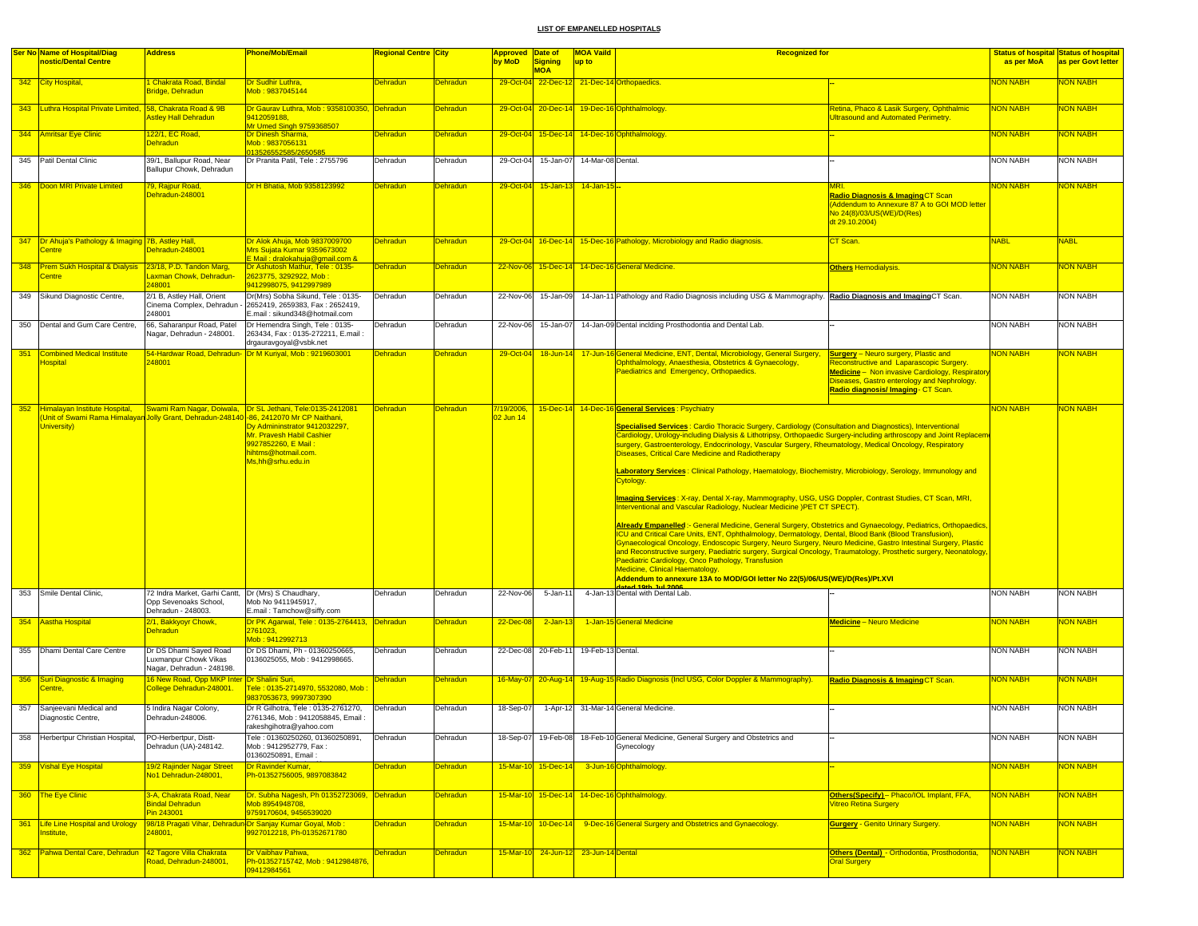|     | <b>Ser No Name of Hospital/Diag</b>                                                                   | <b>Address</b>                                                               | Phone/Mob/Email                                                                                                                                                                                                               | <b>Regional Centre City</b> |                 | <b>Approved</b>        | Date of                              | <b>MOA Vaild</b>  | <b>Recognized for</b>                                                                                                                                                                                                                                                                                                                                                                                                                                                                                                                                                                                                                                                                                                                                                                                                                                                                                                                                                                                                                                                                                                                                                                                                                                                                                                                                                                                                                           |                                                                                                                                                                                                                                               |                 | <b>Status of hospital Status of hospital</b> |
|-----|-------------------------------------------------------------------------------------------------------|------------------------------------------------------------------------------|-------------------------------------------------------------------------------------------------------------------------------------------------------------------------------------------------------------------------------|-----------------------------|-----------------|------------------------|--------------------------------------|-------------------|-------------------------------------------------------------------------------------------------------------------------------------------------------------------------------------------------------------------------------------------------------------------------------------------------------------------------------------------------------------------------------------------------------------------------------------------------------------------------------------------------------------------------------------------------------------------------------------------------------------------------------------------------------------------------------------------------------------------------------------------------------------------------------------------------------------------------------------------------------------------------------------------------------------------------------------------------------------------------------------------------------------------------------------------------------------------------------------------------------------------------------------------------------------------------------------------------------------------------------------------------------------------------------------------------------------------------------------------------------------------------------------------------------------------------------------------------|-----------------------------------------------------------------------------------------------------------------------------------------------------------------------------------------------------------------------------------------------|-----------------|----------------------------------------------|
|     | nostic/Dental Centre                                                                                  |                                                                              |                                                                                                                                                                                                                               |                             |                 | by MoD                 | <b>Signing</b><br><b>MOA</b>         | up to             |                                                                                                                                                                                                                                                                                                                                                                                                                                                                                                                                                                                                                                                                                                                                                                                                                                                                                                                                                                                                                                                                                                                                                                                                                                                                                                                                                                                                                                                 |                                                                                                                                                                                                                                               | as per MoA      | as per Govt letter                           |
|     | 342 City Hospital,                                                                                    | Chakrata Road, Bindal<br>Bridge, Dehradun                                    | Dr Sudhir Luthra,<br>Mob: 9837045144                                                                                                                                                                                          | <b>Dehradun</b>             | <b>Dehradun</b> | $29-Oct-04$            |                                      |                   | 22-Dec-12 21-Dec-14 Orthopaedics.                                                                                                                                                                                                                                                                                                                                                                                                                                                                                                                                                                                                                                                                                                                                                                                                                                                                                                                                                                                                                                                                                                                                                                                                                                                                                                                                                                                                               |                                                                                                                                                                                                                                               | <b>NON NABH</b> | <b>VON NABH</b>                              |
|     | 343 Luthra Hospital Private Limited, 58, Chakrata Road & 9B                                           | stley Hall Dehradun                                                          | Dr Gaurav Luthra, Mob: 9358100350, Dehradun<br>9412059188.<br>Mr Umed Singh 9759368507                                                                                                                                        |                             | <b>Dehradun</b> | 29-Oct-04              | $20 - Dec - 14$                      |                   | 19-Dec-16 Ophthalmology.                                                                                                                                                                                                                                                                                                                                                                                                                                                                                                                                                                                                                                                                                                                                                                                                                                                                                                                                                                                                                                                                                                                                                                                                                                                                                                                                                                                                                        | Retina, Phaco & Lasik Surgery, Ophthalmic<br><b>Iltrasound and Automated Perimetry.</b>                                                                                                                                                       | <b>NON NABH</b> | <b>NON NABH</b>                              |
|     | 344 Amritsar Eye Clinic                                                                               | 122/1, EC Road,<br>Dehradun                                                  | Dr Dinesh Sharma,<br>Mob: 9837056131<br>13526552585/2650585                                                                                                                                                                   | <b>Dehradun</b>             | <b>Dehradun</b> |                        |                                      |                   | 29-Oct-04 15-Dec-14 14-Dec-16 Ophthalmology                                                                                                                                                                                                                                                                                                                                                                                                                                                                                                                                                                                                                                                                                                                                                                                                                                                                                                                                                                                                                                                                                                                                                                                                                                                                                                                                                                                                     |                                                                                                                                                                                                                                               | <b>NON NABH</b> | <mark>NON NABH</mark>                        |
|     | 345 Patil Dental Clinic                                                                               | 39/1, Ballupur Road, Near<br>Ballupur Chowk, Dehradun                        | Dr Pranita Patil, Tele: 2755796                                                                                                                                                                                               | Dehradun                    | Dehradun        | 29-Oct-04              | 15-Jan-07                            | 14-Mar-08 Dental. |                                                                                                                                                                                                                                                                                                                                                                                                                                                                                                                                                                                                                                                                                                                                                                                                                                                                                                                                                                                                                                                                                                                                                                                                                                                                                                                                                                                                                                                 |                                                                                                                                                                                                                                               | <b>NON NABH</b> | <b>NON NABH</b>                              |
|     | 346 Doon MRI Private Limited                                                                          | <sup>79</sup> , Rajpur Road,<br>Dehradun-248001                              | Dr H Bhatia, Mob 9358123992                                                                                                                                                                                                   | Dehradun                    | <b>Dehradun</b> | 29-Oct-04              | $15 - Jan - 13$                      | $14 - Jan - 15$   |                                                                                                                                                                                                                                                                                                                                                                                                                                                                                                                                                                                                                                                                                                                                                                                                                                                                                                                                                                                                                                                                                                                                                                                                                                                                                                                                                                                                                                                 | Radio Diagnosis & Imaging CT Scan<br>Addendum to Annexure 87 A to GOI MOD letter<br>No 24(8)/03/US(WE)/D(Res)<br>dt 29.10.2004)                                                                                                               | <b>NON NABH</b> | <b>VON NABH</b>                              |
|     | 347 <b>Dr Ahuja's Pathology &amp; Imaging 7B, Astley Hall,</b><br>Centre                              | ehradun-248001                                                               | Dr Alok Ahuia, Mob 9837009700<br>Mrs Sujata Kumar 9359673002<br><u> E Mail : dralokahuja@gmail.com &amp;</u>                                                                                                                  | <b>Dehradun</b>             | <b>Dehradun</b> |                        |                                      |                   | 29-Oct-04 16-Dec-14 15-Dec-16 Pathology, Microbiology and Radio diagnosis.                                                                                                                                                                                                                                                                                                                                                                                                                                                                                                                                                                                                                                                                                                                                                                                                                                                                                                                                                                                                                                                                                                                                                                                                                                                                                                                                                                      | CT Scan.                                                                                                                                                                                                                                      | <b>NABL</b>     | <b>NABL</b>                                  |
|     | 348 Prem Sukh Hospital & Dialysis 23/18, P.D. Tandon Marg,<br>Centre                                  | axman Chowk, Dehradun-<br>248001                                             | Dr Ashutosh Mathur, Tele: 0135-<br>2623775, 3292922, Mob :<br>9412998075, 9412997989                                                                                                                                          | <b>Dehradun</b>             | <b>Dehradun</b> |                        |                                      |                   | 22-Nov-06 15-Dec-14 14-Dec-16 General Medicine.                                                                                                                                                                                                                                                                                                                                                                                                                                                                                                                                                                                                                                                                                                                                                                                                                                                                                                                                                                                                                                                                                                                                                                                                                                                                                                                                                                                                 | <b>Others Hemodialysis.</b>                                                                                                                                                                                                                   | <b>NON NABH</b> | NON NABH                                     |
|     | 349 Sikund Diagnostic Centre,                                                                         | 2/1 B, Astley Hall, Orient<br>Cinema Complex, Dehradun<br>248001             | Dr(Mrs) Sobha Sikund, Tele: 0135-<br>2652419, 2659383, Fax: 2652419,<br>E.mail: sikund348@hotmail.com                                                                                                                         | Dehradun                    | Dehradun        | 22-Nov-06              | 15-Jan-09                            |                   | 14-Jan-11 Pathology and Radio Diagnosis including USG & Mammography. Radio Diagnosis and Imaging CT Scan.                                                                                                                                                                                                                                                                                                                                                                                                                                                                                                                                                                                                                                                                                                                                                                                                                                                                                                                                                                                                                                                                                                                                                                                                                                                                                                                                       |                                                                                                                                                                                                                                               | <b>NON NABH</b> | <b>NON NABH</b>                              |
|     | 350 Dental and Gum Care Centre,                                                                       | 66, Saharanpur Road, Patel<br>Nagar, Dehradun - 248001.                      | Dr Hemendra Singh, Tele: 0135-<br>263434, Fax: 0135-272211, E.mail:<br>drgauravgoyal@vsbk.net                                                                                                                                 | Dehradun                    | Dehradun        | 22-Nov-06              | 15-Jan-07                            |                   | 14-Jan-09 Dental inclding Prosthodontia and Dental Lab.                                                                                                                                                                                                                                                                                                                                                                                                                                                                                                                                                                                                                                                                                                                                                                                                                                                                                                                                                                                                                                                                                                                                                                                                                                                                                                                                                                                         |                                                                                                                                                                                                                                               | <b>NON NABH</b> | <b>NON NABH</b>                              |
|     | 351 Combined Medical Institute<br><b>Hospital</b>                                                     | 48001                                                                        | 54-Hardwar Road, Dehradun- Dr M Kuriyal, Mob : 9219603001                                                                                                                                                                     | <b>Dehradun</b>             | <b>Dehradun</b> | 29-Oct-04              | 18-Jun-14                            |                   | 17-Jun-16 General Medicine, ENT, Dental, Microbiology, General Surgery,<br>Dphthalmology, Anaesthesia, Obstetrics & Gynaecology,<br>Paediatrics and Emergency, Orthopaedics.                                                                                                                                                                                                                                                                                                                                                                                                                                                                                                                                                                                                                                                                                                                                                                                                                                                                                                                                                                                                                                                                                                                                                                                                                                                                    | <b>Surgery</b> - Neuro surgery, Plastic and<br><b>Reconstructive and Laparascopic Surgery.</b><br><b>Medicine</b> - Non invasive Cardiology, Respiratory<br>Diseases, Gastro enterology and Nephrology.<br>Radio diagnosis/ Imaging- CT Scan. | <b>NON NABH</b> | <b>VON NABH</b>                              |
|     | Unit of Swami Rama Himalayan Jolly Grant, Dehradun-248140 -86, 2412070 Mr CP Naithani,<br>University) |                                                                              | 352 Himalayan Institute Hospital, Swami Ram Nagar, Doiwala, Dr SL Jethani, Tele:0135-2412081<br>Dy Admininstrator 9412032297,<br>Mr. Pravesh Habil Cashier<br>9927852260, E Mail :<br>nihtms@hotmail.com<br>Ms,hh@srhu.edu.in | Dehradun                    | <b>Dehradun</b> | 7/19/2006,<br>2 Jun 14 |                                      |                   | 15-Dec-14 14-Dec-16 General Services : Psychiatry<br>Specialised Services: Cardio Thoracic Surgery, Cardiology (Consultation and Diagnostics), Interventional<br>Cardiology, Urology-including Dialysis & Lithotripsy, Orthopaedic Surgery-including arthroscopy and Joint Replacem<br>surgery, Gastroenterology, Endocrinology, Vascular Surgery, Rheumatology, Medical Oncology, Respiratory<br>Diseases, Critical Care Medicine and Radiotherapy<br>Laboratory Services: Clinical Pathology, Haematology, Biochemistry, Microbiology, Serology, Immunology and<br><mark>Cytology.</mark><br>Imaging Services: X-ray, Dental X-ray, Mammography, USG, USG Doppler, Contrast Studies, CT Scan, MRI,<br>Interventional and Vascular Radiology, Nuclear Medicine )PET CT SPECT).<br>Already Empanelled :- General Medicine, General Surgery, Obstetrics and Gynaecology, Pediatrics, Orthopaedics,<br>ICU and Critical Care Units, ENT, Ophthalmology, Dermatology, Dental, Blood Bank (Blood Transfusion),<br>Gynaecological Oncology, Endoscopic Surgery, Neuro Surgery, Neuro Medicine, Gastro Intestinal Surgery, Plastic<br>and Reconstructive surgery, Paediatric surgery, Surgical Oncology, Traumatology, Prosthetic surgery, Neonatology,<br>Paediatric Cardiology, Onco Pathology, Transfusion<br>Medicine, Clinical Haematology.<br>Addendum to annexure 13A to MOD/GOI letter No 22(5)/06/US(WE)/D(Res)/Pt.XVI<br>atod 19th Jul 2006 |                                                                                                                                                                                                                                               | <b>NON NABH</b> | <b>NON NABH</b>                              |
|     | 353 Smile Dental Clinic,                                                                              | 72 Indra Market, Garhi Cantt, Dr (Mrs) S Chaudhary,<br>Opp Sevenoaks School, | Mob No 9411945917,                                                                                                                                                                                                            | Dehradun                    | Dehradun        | 22-Nov-06              | 5-Jan-1                              |                   | 4-Jan-13 Dental with Dental Lab.                                                                                                                                                                                                                                                                                                                                                                                                                                                                                                                                                                                                                                                                                                                                                                                                                                                                                                                                                                                                                                                                                                                                                                                                                                                                                                                                                                                                                |                                                                                                                                                                                                                                               | <b>NON NABH</b> | <b>NON NABH</b>                              |
|     | 354 Aastha Hospital                                                                                   | Dehradun - 248003.<br>2/1, Bakkyoyr Chowk,<br><b>Dehradun</b>                | E.mail: Tamchow@siffy.com<br>Dr PK Agarwal, Tele: 0135-2764413, Dehradun<br>2761023,<br>Mob: 9412992713                                                                                                                       |                             | <b>Dehradun</b> | 22-Dec-08              | $2-Jan-1$                            |                   | 1-Jan-15 General Medicine                                                                                                                                                                                                                                                                                                                                                                                                                                                                                                                                                                                                                                                                                                                                                                                                                                                                                                                                                                                                                                                                                                                                                                                                                                                                                                                                                                                                                       | Medicine - Neuro Medicine                                                                                                                                                                                                                     | <b>NON NABH</b> | <b>VON NABH</b>                              |
|     | 355 Dhami Dental Care Centre                                                                          | Dr DS Dhami Sayed Road<br>Luxmanpur Chowk Vikas<br>Nagar, Dehradun - 248198. | Dr DS Dhami, Ph - 01360250665.<br>0136025055, Mob: 9412998665.                                                                                                                                                                | Dehradun                    | Dehradun        | 22-Dec-08              | 20-Feb-11                            | 19-Feb-13 Dental. |                                                                                                                                                                                                                                                                                                                                                                                                                                                                                                                                                                                                                                                                                                                                                                                                                                                                                                                                                                                                                                                                                                                                                                                                                                                                                                                                                                                                                                                 |                                                                                                                                                                                                                                               | <b>NON NABH</b> | <b>NON NABH</b>                              |
|     | 356 Suri Diagnostic & Imaging<br>entre                                                                | 6 New Road, Opp MKP Inter Dr Shalini Suri,<br>college Dehradun-248001.       | <mark>Tele : 0135-2714970, 5532080, Mob :</mark>                                                                                                                                                                              | <b>Dehradun</b>             | <b>Dehradun</b> | 16-May-07              | $20 - Aug-14$                        |                   | 19-Aug-15 Radio Diagnosis (Incl USG, Color Doppler & Mammography).                                                                                                                                                                                                                                                                                                                                                                                                                                                                                                                                                                                                                                                                                                                                                                                                                                                                                                                                                                                                                                                                                                                                                                                                                                                                                                                                                                              | Radio Diagnosis & Imaging CT Scan.                                                                                                                                                                                                            | <b>NON NABH</b> | NON NABH                                     |
|     | 357 Sanjeevani Medical and<br>Diagnostic Centre,                                                      | 5 Indira Nagar Colony,<br>Dehradun-248006.                                   | 837053673, 9997307390<br>Dr R Gilhotra, Tele: 0135-2761270,<br>2761346. Mob : 9412058845. Email<br>rakeshgihotra@yahoo.com                                                                                                    | Dehradun                    | Dehradun        | 18-Sep-07              |                                      |                   | 1-Apr-12 31-Mar-14 General Medicine.                                                                                                                                                                                                                                                                                                                                                                                                                                                                                                                                                                                                                                                                                                                                                                                                                                                                                                                                                                                                                                                                                                                                                                                                                                                                                                                                                                                                            |                                                                                                                                                                                                                                               | <b>NON NABH</b> | <b>NON NABH</b>                              |
| 358 | Herbertpur Christian Hospital,                                                                        | PO-Herbertpur, Distt-<br>Dehradun (UA)-248142.                               | Tele: 01360250260. 01360250891.<br>Mob: 9412952779. Fax:<br>01360250891, Email:                                                                                                                                               | Dehradun                    | Dehradun        | 18-Sep-07              | 19-Feb-08                            |                   | 18-Feb-10 General Medicine, General Surgery and Obstetrics and<br>Gynecology                                                                                                                                                                                                                                                                                                                                                                                                                                                                                                                                                                                                                                                                                                                                                                                                                                                                                                                                                                                                                                                                                                                                                                                                                                                                                                                                                                    |                                                                                                                                                                                                                                               | <b>NON NABH</b> | <b>NON NABH</b>                              |
|     | 359 Vishal Eye Hospital                                                                               | 19/2 Rajinder Nagar Street<br>No1 Dehradun-248001,                           | Dr Ravinder Kumar,<br>Ph-01352756005, 9897083842                                                                                                                                                                              | <b>Dehradun</b>             | Dehradun        |                        | 15-Mar-10 15-Dec-14                  |                   | 3-Jun-16 Ophthalmology.                                                                                                                                                                                                                                                                                                                                                                                                                                                                                                                                                                                                                                                                                                                                                                                                                                                                                                                                                                                                                                                                                                                                                                                                                                                                                                                                                                                                                         |                                                                                                                                                                                                                                               | <b>NON NABH</b> | <b>VON NABH</b>                              |
|     | 360 The Eye Clinic                                                                                    | 3-A, Chakrata Road, Near<br><b>Bindal Dehradun</b><br>Pin 243001             | Dr. Subha Nagesh, Ph 01352723069, Dehradun<br>Mob 8954948708,<br>9759170604, 9456539020                                                                                                                                       |                             | <b>Dehradun</b> |                        |                                      |                   | 15-Mar-10 15-Dec-14 14-Dec-16 Ophthalmology.                                                                                                                                                                                                                                                                                                                                                                                                                                                                                                                                                                                                                                                                                                                                                                                                                                                                                                                                                                                                                                                                                                                                                                                                                                                                                                                                                                                                    | Others(Specify) - Phaco/IOL Implant, FFA,<br><b>Vitreo Retina Surgery</b>                                                                                                                                                                     | <b>NON NABH</b> | <b>NON NABH</b>                              |
|     | 361 Life Line Hospital and Urology<br>nstitute,                                                       | 248001,                                                                      | 98/18 Pragati Vihar, Dehradun-Dr Sanjay Kumar Goyal, Mob :<br>9927012218, Ph-01352671780                                                                                                                                      | Dehradun                    | <b>Dehradun</b> |                        | 15-Mar-10 10-Dec-1                   |                   | 9-Dec-16 General Surgery and Obstetrics and Gynaecology.                                                                                                                                                                                                                                                                                                                                                                                                                                                                                                                                                                                                                                                                                                                                                                                                                                                                                                                                                                                                                                                                                                                                                                                                                                                                                                                                                                                        | <b>Gurgery - Genito Urinary Surgery.</b>                                                                                                                                                                                                      | <b>NON NABH</b> | <b>NON NABH</b>                              |
|     | 362 Pahwa Dental Care, Dehradun 42 Tagore Villa Chakrata                                              | oad, Dehradun-248001,                                                        | Dr Vaibhav Pahwa,<br>Ph-01352715742, Mob: 9412984876<br>09412984561                                                                                                                                                           | <b>Dehradun</b>             | <b>Dehradun</b> |                        | 15-Mar-10 24-Jun-12 23-Jun-14 Dental |                   |                                                                                                                                                                                                                                                                                                                                                                                                                                                                                                                                                                                                                                                                                                                                                                                                                                                                                                                                                                                                                                                                                                                                                                                                                                                                                                                                                                                                                                                 | Others (Dental) - Orthodontia, Prosthodontia,<br><b>Oral Surgery</b>                                                                                                                                                                          | NON NABH        | <b>NON NABH</b>                              |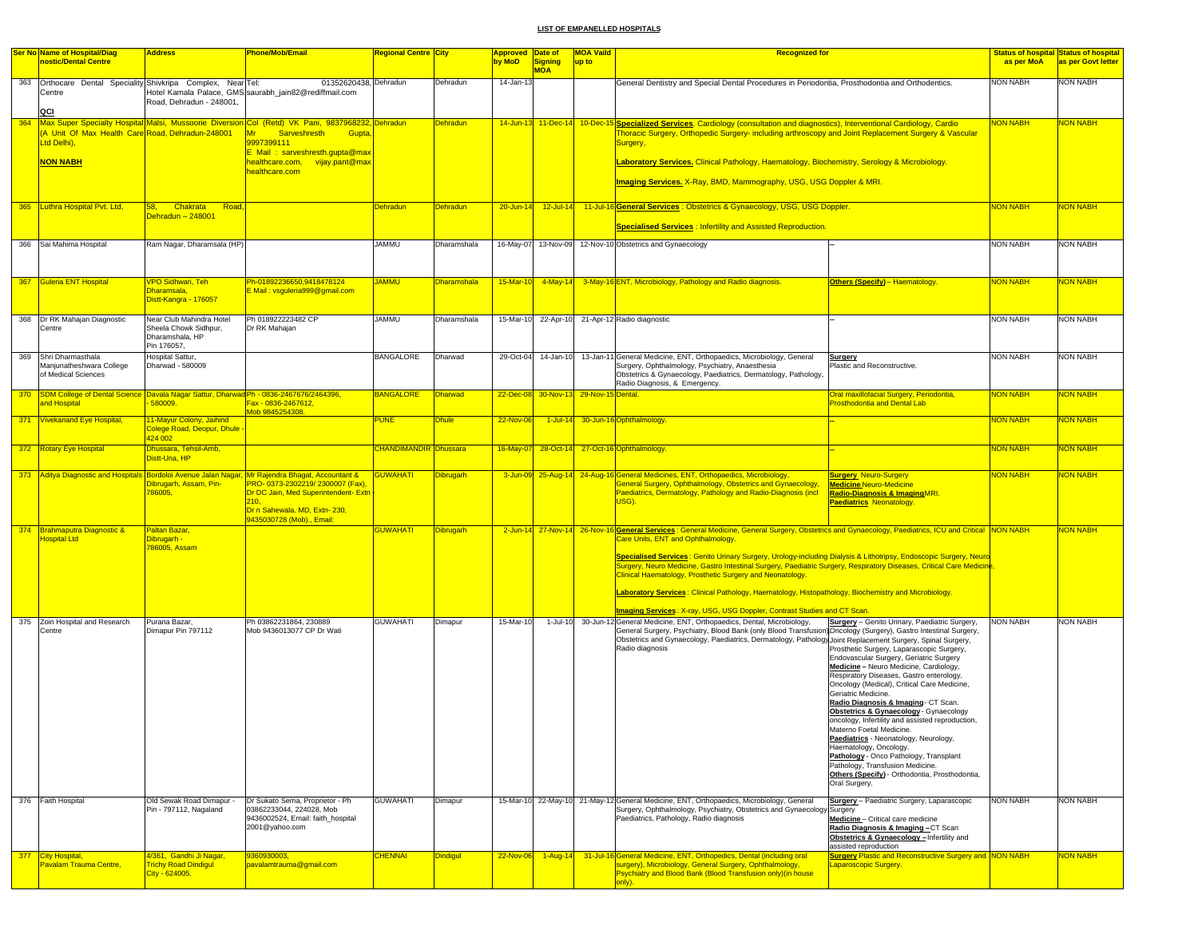|     | <b>Ser No Name of Hospital/Diag</b>                                                       | <b>Address</b>                                    | <b>Phone/Mob/Email</b>                                                                            | <b>Regional Centre City</b>  |                  | Approved Date of |                     | <b>MOA Vaild</b>                     | <b>Recognized for</b>                                                                                                                                                                                                         |                                                                                         |                 | Status of hospital Status of hospital |
|-----|-------------------------------------------------------------------------------------------|---------------------------------------------------|---------------------------------------------------------------------------------------------------|------------------------------|------------------|------------------|---------------------|--------------------------------------|-------------------------------------------------------------------------------------------------------------------------------------------------------------------------------------------------------------------------------|-----------------------------------------------------------------------------------------|-----------------|---------------------------------------|
|     | nostic/Dental Centre                                                                      |                                                   |                                                                                                   |                              |                  | by MoD           | Signing             | up to                                |                                                                                                                                                                                                                               |                                                                                         | as per MoA      | as per Govt letter                    |
|     |                                                                                           |                                                   |                                                                                                   |                              |                  |                  | <b>MOA</b>          |                                      |                                                                                                                                                                                                                               |                                                                                         |                 |                                       |
| 363 | Orthocare Dental Speciality Shivkripa Complex, Near Tel:                                  |                                                   | 01352620438, Dehradun                                                                             |                              | Dehradun         | 14-Jan-13        |                     |                                      | General Dentistry and Special Dental Procedures in Periodontia, Prosthodontia and Orthodentics.                                                                                                                               |                                                                                         | <b>NON NABH</b> | NON NABH                              |
|     | Centre                                                                                    | Road, Dehradun - 248001.                          | Hotel Kamala Palace, GMS saurabh_jain82@rediffmail.com                                            |                              |                  |                  |                     |                                      |                                                                                                                                                                                                                               |                                                                                         |                 |                                       |
|     | QCI                                                                                       |                                                   |                                                                                                   |                              |                  |                  |                     |                                      |                                                                                                                                                                                                                               |                                                                                         |                 |                                       |
| 364 |                                                                                           |                                                   | Max Super Specialty Hospital Malsi, Mussoorie Diversion Col (Retd) VK Pani, 9837968232, Dehradun  |                              | <b>Dehradun</b>  |                  | 14-Jun-13 11-Dec-14 | $10 - Dec-1$                         | <b>Specialized Services.</b> Cardiology (consultation and diagnostics), Interventional Cardiology, Cardio                                                                                                                     |                                                                                         | <b>NON NABH</b> | <b>VON NABH</b>                       |
|     | (A Unit Of Max Health Care Road, Dehradun-248001                                          |                                                   | <b>Mr</b><br>Sarveshresth<br><b>Gupta</b>                                                         |                              |                  |                  |                     |                                      | Thoracic Surgery, Orthopedic Surgery- including arthroscopy and Joint Replacement Surgery & Vascular                                                                                                                          |                                                                                         |                 |                                       |
|     | Ltd Delhi),                                                                               |                                                   | 9997399111                                                                                        |                              |                  |                  |                     |                                      | Surgery,                                                                                                                                                                                                                      |                                                                                         |                 |                                       |
|     |                                                                                           |                                                   | E Mail: sarveshresth.qupta@max                                                                    |                              |                  |                  |                     |                                      |                                                                                                                                                                                                                               |                                                                                         |                 |                                       |
|     | <b>NON NABH</b>                                                                           |                                                   | healthcare.com, vijay.pant@max<br>healthcare.com                                                  |                              |                  |                  |                     |                                      | Laboratory Services. Clinical Pathology, Haematology, Biochemistry, Serology & Microbiology.                                                                                                                                  |                                                                                         |                 |                                       |
|     |                                                                                           |                                                   |                                                                                                   |                              |                  |                  |                     |                                      | Imaging Services, X-Ray, BMD, Mammography, USG, USG Doppler & MRI.                                                                                                                                                            |                                                                                         |                 |                                       |
|     |                                                                                           |                                                   |                                                                                                   |                              |                  |                  |                     |                                      |                                                                                                                                                                                                                               |                                                                                         |                 |                                       |
|     |                                                                                           |                                                   |                                                                                                   |                              |                  |                  |                     |                                      |                                                                                                                                                                                                                               |                                                                                         |                 |                                       |
|     | 365 Luthra Hospital Pvt. Ltd.                                                             | 58,<br>Chakrata<br>Road<br>Dehradun – 248001      |                                                                                                   | <b>Dehradun</b>              | <b>Dehradun</b>  | $20 - Jun-14$    | $12$ -Jul-14        |                                      | 11-Jul-16 General Services : Obstetrics & Gynaecology, USG, USG Doppler.                                                                                                                                                      |                                                                                         | <b>NON NABH</b> | <b>NON NABH</b>                       |
|     |                                                                                           |                                                   |                                                                                                   |                              |                  |                  |                     |                                      | <b>Specialised Services: Infertility and Assisted Reproduction.</b>                                                                                                                                                           |                                                                                         |                 |                                       |
|     |                                                                                           |                                                   |                                                                                                   |                              |                  |                  |                     |                                      |                                                                                                                                                                                                                               |                                                                                         |                 |                                       |
|     | 366 Sai Mahima Hospital                                                                   | Ram Nagar, Dharamsala (HP)                        |                                                                                                   | <b>JAMMU</b>                 | Dharamshala      | 16-May-07        |                     |                                      | 13-Nov-09 12-Nov-10 Obstetrics and Gynaecology                                                                                                                                                                                |                                                                                         | <b>NON NABH</b> | <b>NON NABH</b>                       |
|     |                                                                                           |                                                   |                                                                                                   |                              |                  |                  |                     |                                      |                                                                                                                                                                                                                               |                                                                                         |                 |                                       |
|     |                                                                                           |                                                   |                                                                                                   |                              |                  |                  |                     |                                      |                                                                                                                                                                                                                               |                                                                                         |                 |                                       |
| 367 | Guleria ENT Hospital                                                                      | <b>/PO Sidhwari, Teh</b>                          | Ph-01892236650,9418478124                                                                         | Jammu                        | Dharamshala      | 15-Mar-10        | 4-May-14            |                                      | 3-May-16 ENT, Microbiology, Pathology and Radio diagnosis.                                                                                                                                                                    | <b>Others (Specify) - Haematology.</b>                                                  | <b>JON NABH</b> | <b>VON NABH</b>                       |
|     |                                                                                           | Dharamsala,                                       | E Mail: vsguleria999@gmail.com                                                                    |                              |                  |                  |                     |                                      |                                                                                                                                                                                                                               |                                                                                         |                 |                                       |
|     |                                                                                           | Distt-Kangra - 176057                             |                                                                                                   |                              |                  |                  |                     |                                      |                                                                                                                                                                                                                               |                                                                                         |                 |                                       |
|     |                                                                                           |                                                   |                                                                                                   | <b>JAMMU</b>                 |                  |                  |                     |                                      |                                                                                                                                                                                                                               |                                                                                         | NON NABH        | <b>NON NABH</b>                       |
| 368 | Dr RK Mahajan Diagnostic<br>Centre                                                        | Near Club Mahindra Hotel<br>Sheela Chowk Sidhpur, | Ph 018922223482 CP<br>Dr RK Mahajan                                                               |                              | Dharamshala      |                  |                     |                                      | 15-Mar-10 22-Apr-10 21-Apr-12 Radio diagnostic                                                                                                                                                                                |                                                                                         |                 |                                       |
|     |                                                                                           | Dharamshala, HP                                   |                                                                                                   |                              |                  |                  |                     |                                      |                                                                                                                                                                                                                               |                                                                                         |                 |                                       |
|     |                                                                                           | Pin 176057,                                       |                                                                                                   |                              |                  |                  |                     |                                      |                                                                                                                                                                                                                               |                                                                                         |                 |                                       |
| 369 | Shri Dharmasthala                                                                         | Hospital Sattur,                                  |                                                                                                   | <b>BANGALORE</b>             | Dharwad          |                  | 29-Oct-04 14-Jan-10 |                                      | 13-Jan-11 General Medicine, ENT, Orthopaedics, Microbiology, General                                                                                                                                                          | Surgery                                                                                 | NON NABH        | <b>NON NABH</b>                       |
|     | Manjunatheshwara College<br>of Medical Sciences                                           | Dharwad - 580009                                  |                                                                                                   |                              |                  |                  |                     |                                      | Surgery, Ophthalmology, Psychiatry, Anaesthesia<br>Obstetrics & Gynaecology, Paediatrics, Dermatology, Pathology,                                                                                                             | Plastic and Reconstructive.                                                             |                 |                                       |
|     |                                                                                           |                                                   |                                                                                                   |                              |                  |                  |                     |                                      | Radio Diagnosis, & Emergency.                                                                                                                                                                                                 |                                                                                         |                 |                                       |
|     | 370 SDM College of Dental Science Davala Nagar Sattur, Dharwad Ph - 0836-2467676/2464396, |                                                   |                                                                                                   | <b>BANGALORE</b>             | Dharwad          |                  |                     | 22-Dec-08 30-Nov-13 29-Nov-15 Dental |                                                                                                                                                                                                                               | Oral maxillofacial Surgery, Periodontia,                                                | <b>NON NABH</b> | <b>VON NABH</b>                       |
|     | and Hospital                                                                              | 580009.                                           | <mark>-ax - 0836-2467612,</mark>                                                                  |                              |                  |                  |                     |                                      |                                                                                                                                                                                                                               | <b>Prosthodontia and Dental Lab</b>                                                     |                 |                                       |
|     | 371 Vivekanand Eye Hospital,                                                              | 11-Mayur Colony, Jaihind                          | 10b 9845254308                                                                                    | <b>PUNE</b>                  | <b>Dhule</b>     | 22-Nov-06        |                     |                                      | 1-Jul-14 30-Jun-16 Ophthalmology.                                                                                                                                                                                             |                                                                                         | <b>NON NABH</b> | NON NABH                              |
|     |                                                                                           | Colege Road, Deopur, Dhule                        |                                                                                                   |                              |                  |                  |                     |                                      |                                                                                                                                                                                                                               |                                                                                         |                 |                                       |
|     |                                                                                           | 424 002                                           |                                                                                                   |                              |                  |                  |                     |                                      |                                                                                                                                                                                                                               |                                                                                         |                 |                                       |
|     | 372 Rotary Eye Hospital                                                                   | Dhussara, Tehsil-Amb,                             |                                                                                                   | <b>CHANDIMANDIR Dhussara</b> |                  |                  |                     |                                      | 16-May-07 28-Oct-14 27-Oct-16 Ophthalmology.                                                                                                                                                                                  |                                                                                         | <b>NON NABH</b> | <b>NON NABH</b>                       |
|     |                                                                                           | Distt-Una, HP                                     |                                                                                                   |                              |                  |                  |                     |                                      |                                                                                                                                                                                                                               |                                                                                         |                 |                                       |
|     |                                                                                           |                                                   | 373 Aditya Diagnostic and Hospitals Bordoloi Avenue Jalan Nagar, Mr Rajendra Bhagat, Accountant & | <b>GUWAHATI</b>              | <b>Dibrugarh</b> |                  |                     |                                      | 3-Jun-09 25-Aug-14 24-Aug-16 General Medicines, ENT, Orthopaedics, Microbiology,                                                                                                                                              | <b>Surgery Neuro-Surgery</b>                                                            | <b>NON NABH</b> | <b>NON NABH</b>                       |
|     |                                                                                           | Dibrugarh, Assam, Pin-                            | PRO-0373-2302219/2300007 (Fax),                                                                   |                              |                  |                  |                     |                                      | General Surgery, Ophthalmology, Obstetrics and Gynaecology,                                                                                                                                                                   | Medicine Neuro-Medicine                                                                 |                 |                                       |
|     |                                                                                           | 786005,                                           | Dr DC Jain, Med Superintendent- Extn                                                              |                              |                  |                  |                     |                                      | Paediatrics, Dermatology, Pathology and Radio-Diagnosis (incl                                                                                                                                                                 | Radio-Diagnosis & Imaging MRI.                                                          |                 |                                       |
|     |                                                                                           |                                                   | 210.<br>Dr n Sahewala. MD, Extn- 230,                                                             |                              |                  |                  |                     |                                      | USG).                                                                                                                                                                                                                         | <b>Paediatrics Neonatology.</b>                                                         |                 |                                       |
|     |                                                                                           |                                                   | 9435030728 (Mob)., Email:                                                                         |                              |                  |                  |                     |                                      |                                                                                                                                                                                                                               |                                                                                         |                 |                                       |
|     | 374 Brahmaputra Diagnostic &                                                              | Paltan Bazar,                                     |                                                                                                   | <b>GUWAHATI</b>              | <b>Dibrugarh</b> |                  |                     |                                      | 2-Jun-14 27-Nov-14 26-Nov-16 General Services: General Medicine, General Surgery, Obstetrics and Gynaecology, Paediatrics, ICU and Critical NON NABH                                                                          |                                                                                         |                 | <b>NON NABH</b>                       |
|     | <b>Hospital Ltd</b>                                                                       | Dibrugarh -<br>786005, Assam                      |                                                                                                   |                              |                  |                  |                     |                                      | Care Units, ENT and Ophthalmology.                                                                                                                                                                                            |                                                                                         |                 |                                       |
|     |                                                                                           |                                                   |                                                                                                   |                              |                  |                  |                     |                                      | Specialised Services : Genito Urinary Surgery, Urology-including Dialysis & Lithotripsy, Endoscopic Surgery, Neuro                                                                                                            |                                                                                         |                 |                                       |
|     |                                                                                           |                                                   |                                                                                                   |                              |                  |                  |                     |                                      | Surgery, Neuro Medicine, Gastro Intestinal Surgery, Paediatric Surgery, Respiratory Diseases, Critical Care Medicine                                                                                                          |                                                                                         |                 |                                       |
|     |                                                                                           |                                                   |                                                                                                   |                              |                  |                  |                     |                                      | Clinical Haematology, Prosthetic Surgery and Neonatology.                                                                                                                                                                     |                                                                                         |                 |                                       |
|     |                                                                                           |                                                   |                                                                                                   |                              |                  |                  |                     |                                      | Laboratory Services: Clinical Pathology, Haematology, Histopathology, Biochemistry and Microbiology.                                                                                                                          |                                                                                         |                 |                                       |
|     |                                                                                           |                                                   |                                                                                                   |                              |                  |                  |                     |                                      |                                                                                                                                                                                                                               |                                                                                         |                 |                                       |
|     |                                                                                           |                                                   |                                                                                                   |                              |                  |                  |                     |                                      | Imaging Services: X-ray, USG, USG Doppler, Contrast Studies and CT Scan.                                                                                                                                                      |                                                                                         |                 |                                       |
| 375 | Zoin Hospital and Research                                                                | Purana Bazar.                                     | Ph 03862231864, 230889                                                                            | <b>GUWAHATI</b>              | Dimapur          | 15-Mar-10        |                     |                                      | 1-Jul-10 30-Jun-12 General Medicine, ENT, Orthopaedics, Dental, Microbiology,                                                                                                                                                 | <b>Surgery</b> - Genito Urinary, Paediatric Surgery,                                    | <b>NON NABH</b> | <b>NON NABH</b>                       |
|     | Centre                                                                                    | Dimapur Pin 797112                                | Mob 9436013077 CP Dr Wati                                                                         |                              |                  |                  |                     |                                      | General Surgery, Psychiatry, Blood Bank (only Blood Transfusion) Oncology (Surgery), Gastro Intestinal Surgery,<br>Obstetrics and Gynaecology, Paediatrics, Dermatology, Pathology Joint Replacement Surgery, Spinal Surgery, |                                                                                         |                 |                                       |
|     |                                                                                           |                                                   |                                                                                                   |                              |                  |                  |                     |                                      | Radio diagnosis                                                                                                                                                                                                               | Prosthetic Surgery, Laparascopic Surgery,                                               |                 |                                       |
|     |                                                                                           |                                                   |                                                                                                   |                              |                  |                  |                     |                                      |                                                                                                                                                                                                                               | Endovascular Surgery, Geriatric Surgery                                                 |                 |                                       |
|     |                                                                                           |                                                   |                                                                                                   |                              |                  |                  |                     |                                      |                                                                                                                                                                                                                               | Medicine - Neuro Medicine, Cardiology,                                                  |                 |                                       |
|     |                                                                                           |                                                   |                                                                                                   |                              |                  |                  |                     |                                      |                                                                                                                                                                                                                               | Respiratory Diseases, Gastro enterology,<br>Oncology (Medical), Critical Care Medicine, |                 |                                       |
|     |                                                                                           |                                                   |                                                                                                   |                              |                  |                  |                     |                                      |                                                                                                                                                                                                                               | Geriatric Medicine.                                                                     |                 |                                       |
|     |                                                                                           |                                                   |                                                                                                   |                              |                  |                  |                     |                                      |                                                                                                                                                                                                                               | Radio Diagnosis & Imaging - CT Scan.                                                    |                 |                                       |
|     |                                                                                           |                                                   |                                                                                                   |                              |                  |                  |                     |                                      |                                                                                                                                                                                                                               | Obstetrics & Gynaecology - Gynaecology                                                  |                 |                                       |
|     |                                                                                           |                                                   |                                                                                                   |                              |                  |                  |                     |                                      |                                                                                                                                                                                                                               | oncology, Infertility and assisted reproduction,<br>Materno Foetal Medicine.            |                 |                                       |
|     |                                                                                           |                                                   |                                                                                                   |                              |                  |                  |                     |                                      |                                                                                                                                                                                                                               | Paediatrics - Neonatology, Neurology,                                                   |                 |                                       |
|     |                                                                                           |                                                   |                                                                                                   |                              |                  |                  |                     |                                      |                                                                                                                                                                                                                               | Haematology, Oncology.                                                                  |                 |                                       |
|     |                                                                                           |                                                   |                                                                                                   |                              |                  |                  |                     |                                      |                                                                                                                                                                                                                               | Pathology - Onco Pathology, Transplant<br>Pathology, Transfusion Medicine.              |                 |                                       |
|     |                                                                                           |                                                   |                                                                                                   |                              |                  |                  |                     |                                      |                                                                                                                                                                                                                               | Others (Specify) - Orthodontia, Prosthodontia,                                          |                 |                                       |
|     |                                                                                           |                                                   |                                                                                                   |                              |                  |                  |                     |                                      |                                                                                                                                                                                                                               | Oral Surgery.                                                                           |                 |                                       |
|     |                                                                                           |                                                   |                                                                                                   |                              |                  |                  |                     |                                      |                                                                                                                                                                                                                               |                                                                                         |                 |                                       |
|     | 376 Faith Hospital                                                                        | Old Sewak Road Dimapur<br>Pin - 797112, Nagaland  | Dr Sukato Sema, Proprietor - Ph<br>03862233044, 224028, Mob                                       | <b>GUWAHATI</b>              | Dimapur          |                  |                     |                                      | 15-Mar-10 22-May-10 21-May-12 General Medicine, ENT, Orthopaedics, Microbiology, General<br>Surgery, Ophthalmology, Psychiatry, Obstetrics and Gynaecology Surgery                                                            | Surgery - Paediatric Surgery, Laparascopic                                              | NON NABH        | <b>NON NABH</b>                       |
|     |                                                                                           |                                                   | 9436002524. Email: faith hospital                                                                 |                              |                  |                  |                     |                                      | Paediatrics, Pathology, Radio diagnosis                                                                                                                                                                                       | Medicine- Critical care medicine                                                        |                 |                                       |
|     |                                                                                           |                                                   | 2001@yahoo.com                                                                                    |                              |                  |                  |                     |                                      |                                                                                                                                                                                                                               | Radio Diagnosis & Imaging - CT Scan                                                     |                 |                                       |
|     |                                                                                           |                                                   |                                                                                                   |                              |                  |                  |                     |                                      |                                                                                                                                                                                                                               | Obstetrics & Gynaecology - Infertility and<br>assisted reproduction                     |                 |                                       |
|     | 377 City Hospital,                                                                        | 4/361, Gandhi Ji Nagar,                           | 9360930003,                                                                                       | <b>CHENNAI</b>               | Dindigul         | 22-Nov-06        | $1-Aug-14$          |                                      | 31-Jul-16 General Medicine, ENT, Orthopedics, Dental (including oral                                                                                                                                                          | <b>Surgery Plastic and Reconstructive Surgery and NON NABH</b>                          |                 | <b>VON NABH</b>                       |
|     | Pavalam Trauma Centre,                                                                    | <b>Trichy Road Dindigul</b>                       | pavalamtrauma@gmail.com                                                                           |                              |                  |                  |                     |                                      | surgery), Microbiology, General Surgery, Ophthalmology,                                                                                                                                                                       | aparoscopic Surgery.                                                                    |                 |                                       |
|     |                                                                                           | City - 624005.                                    |                                                                                                   |                              |                  |                  |                     |                                      | Psychiatry and Blood Bank (Blood Transfusion only)(in house                                                                                                                                                                   |                                                                                         |                 |                                       |
|     |                                                                                           |                                                   |                                                                                                   |                              |                  |                  |                     |                                      | only).                                                                                                                                                                                                                        |                                                                                         |                 |                                       |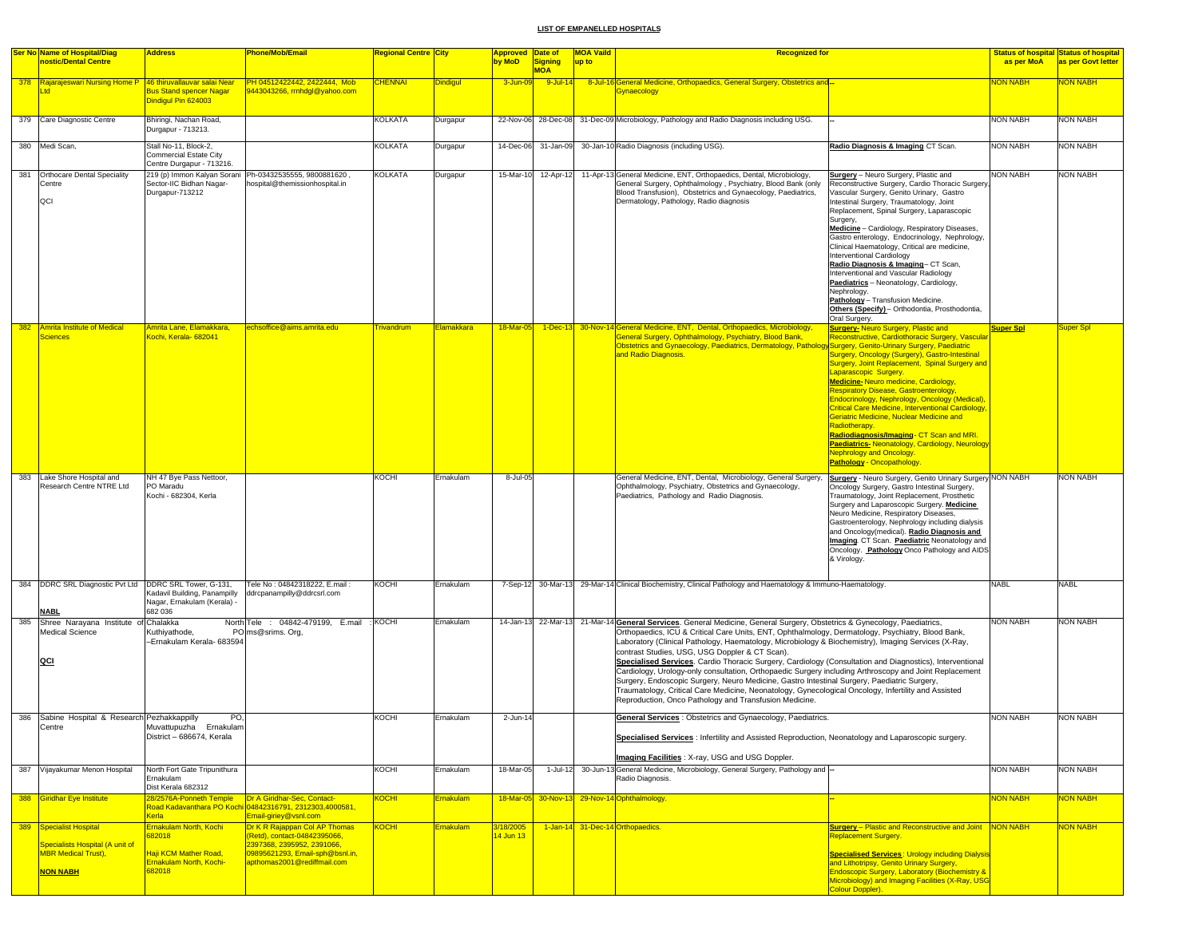|     | <b>Ser No Name of Hospital/Diag</b>                           | <b>Address</b>                                              | <b>Phone/Mob/Email</b>                                                                    | Regional Centre City |                   | <b>Approved Date of</b> |                              | <b>MOA Vaild</b><br><b>Recognized for</b>                                                                                                                                                                |                                                                                                         |                  | <b>Status of hospital Status of hospital</b> |
|-----|---------------------------------------------------------------|-------------------------------------------------------------|-------------------------------------------------------------------------------------------|----------------------|-------------------|-------------------------|------------------------------|----------------------------------------------------------------------------------------------------------------------------------------------------------------------------------------------------------|---------------------------------------------------------------------------------------------------------|------------------|----------------------------------------------|
|     | nostic/Dental Centre                                          |                                                             |                                                                                           |                      |                   | by MoD                  | <b>Signing</b><br><b>MOA</b> | up to                                                                                                                                                                                                    |                                                                                                         | as per MoA       | as per Govt letter                           |
|     | 378 Rajarajeswari Nursing Home P 46 thiruvallauvar salai Near |                                                             | PH 04512422442, 2422444, Mob                                                              | <b>CHENNAI</b>       | <b>Dindigul</b>   | 3-Jun-09                | 9-Jul-14                     | 8-Jul-16 General Medicine, Orthopaedics, General Surgery, Obstetrics and --                                                                                                                              |                                                                                                         | <b>HAAN MON</b>  | NON NABH                                     |
|     |                                                               | <b>Bus Stand spencer Nagar</b>                              | 9443043266, rrnhdgl@yahoo.com                                                             |                      |                   |                         |                              | <b>Gynaecology</b>                                                                                                                                                                                       |                                                                                                         |                  |                                              |
|     |                                                               | Dindigul Pin 624003                                         |                                                                                           |                      |                   |                         |                              |                                                                                                                                                                                                          |                                                                                                         |                  |                                              |
| 379 | Care Diagnostic Centre                                        | Bhiringi, Nachan Road,                                      |                                                                                           | <b>KOLKATA</b>       | Durgapur          |                         | 22-Nov-06 28-Dec-08          | 31-Dec-09 Microbiology, Pathology and Radio Diagnosis including USG.                                                                                                                                     |                                                                                                         | <b>NON NABH</b>  | <b>NON NABH</b>                              |
|     |                                                               | Durgapur - 713213.                                          |                                                                                           |                      |                   |                         |                              |                                                                                                                                                                                                          |                                                                                                         |                  |                                              |
|     | 380 Medi Scan,                                                | Stall No-11, Block-2,                                       |                                                                                           | KOLKATA              | Durgapur          | 14-Dec-06               | 31-Jan-09                    | 30-Jan-10 Radio Diagnosis (including USG).                                                                                                                                                               | Radio Diagnosis & Imaging CT Scan.                                                                      | NON NABH         | <b>NON NABH</b>                              |
|     |                                                               | <b>Commercial Estate City</b>                               |                                                                                           |                      |                   |                         |                              |                                                                                                                                                                                                          |                                                                                                         |                  |                                              |
|     |                                                               | Centre Durgapur - 713216.                                   |                                                                                           | <b>KOLKATA</b>       |                   |                         |                              |                                                                                                                                                                                                          |                                                                                                         | <b>NON NABH</b>  |                                              |
| 381 | <b>Orthocare Dental Speciality</b><br>Centre                  | Sector-IIC Bidhan Nagar-                                    | 219 (p) Immon Kalyan Sorani Ph-03432535555, 9800881620,<br>hospital@themissionhospital.in |                      | Durgapur          | 15-Mar-10               | 12-Apr-12                    | 11-Apr-13 General Medicine, ENT, Orthopaedics, Dental, Microbiology,<br>General Surgery, Ophthalmology, Psychiatry, Blood Bank (only                                                                     | <b>Surgery</b> - Neuro Surgery, Plastic and<br>Reconstructive Surgery, Cardio Thoracic Surgery,         |                  | <b>NON NABH</b>                              |
|     |                                                               | Durgapur-713212                                             |                                                                                           |                      |                   |                         |                              | Blood Transfusion), Obstetrics and Gynaecology, Paediatrics,                                                                                                                                             | Vascular Surgery, Genito Urinary, Gastro                                                                |                  |                                              |
|     | QCI                                                           |                                                             |                                                                                           |                      |                   |                         |                              | Dermatology, Pathology, Radio diagnosis                                                                                                                                                                  | Intestinal Surgery, Traumatology, Joint<br>Replacement, Spinal Surgery, Laparascopic                    |                  |                                              |
|     |                                                               |                                                             |                                                                                           |                      |                   |                         |                              |                                                                                                                                                                                                          | Surgery,                                                                                                |                  |                                              |
|     |                                                               |                                                             |                                                                                           |                      |                   |                         |                              |                                                                                                                                                                                                          | Medicine - Cardiology, Respiratory Diseases,<br>Gastro enterology, Endocrinology, Nephrology,           |                  |                                              |
|     |                                                               |                                                             |                                                                                           |                      |                   |                         |                              |                                                                                                                                                                                                          | Clinical Haematology, Critical are medicine,                                                            |                  |                                              |
|     |                                                               |                                                             |                                                                                           |                      |                   |                         |                              |                                                                                                                                                                                                          | Interventional Cardiology                                                                               |                  |                                              |
|     |                                                               |                                                             |                                                                                           |                      |                   |                         |                              |                                                                                                                                                                                                          | Radio Diagnosis & Imaging- CT Scan,<br>Interventional and Vascular Radiology                            |                  |                                              |
|     |                                                               |                                                             |                                                                                           |                      |                   |                         |                              |                                                                                                                                                                                                          | Paediatrics - Neonatology, Cardiology,                                                                  |                  |                                              |
|     |                                                               |                                                             |                                                                                           |                      |                   |                         |                              |                                                                                                                                                                                                          | Nephrology.<br>Pathology - Transfusion Medicine.                                                        |                  |                                              |
|     |                                                               |                                                             |                                                                                           |                      |                   |                         |                              |                                                                                                                                                                                                          | Others (Specify) - Orthodontia, Prosthodontia,                                                          |                  |                                              |
|     |                                                               |                                                             |                                                                                           |                      |                   |                         |                              |                                                                                                                                                                                                          | Oral Surgery.                                                                                           |                  |                                              |
| 382 | Amrita Institute of Medical<br><b>Sciences</b>                | Amrita Lane, Elamakkara,<br>Kochi, Kerala- 682041           | echsoffice@aims.amrita.edu                                                                | <b>Frivandrum</b>    | <b>Elamakkara</b> | 18-Mar-05               |                              | 1-Dec-13 30-Nov-14 General Medicine, ENT, Dental, Orthopaedics, Microbiology,<br>General Surgery, Ophthalmology, Psychiatry, Blood Bank,                                                                 | <b>Surgery- Neuro Surgery, Plastic and</b><br>Reconstructive, Cardiothoracic Surgery, Vascular          | <b>Super Spl</b> | Super Spl                                    |
|     |                                                               |                                                             |                                                                                           |                      |                   |                         |                              | Obstetrics and Gynaecology, Paediatrics, Dermatology, Pathology Surgery, Genito-Urinary Surgery, Paediatric                                                                                              |                                                                                                         |                  |                                              |
|     |                                                               |                                                             |                                                                                           |                      |                   |                         |                              | and Radio Diagnosis.                                                                                                                                                                                     | Surgery, Oncology (Surgery), Gastro-Intestinal<br><b>Surgery, Joint Replacement, Spinal Surgery and</b> |                  |                                              |
|     |                                                               |                                                             |                                                                                           |                      |                   |                         |                              |                                                                                                                                                                                                          | Laparascopic Surgery.                                                                                   |                  |                                              |
|     |                                                               |                                                             |                                                                                           |                      |                   |                         |                              |                                                                                                                                                                                                          | Medicine-Neuro medicine, Cardiology,                                                                    |                  |                                              |
|     |                                                               |                                                             |                                                                                           |                      |                   |                         |                              |                                                                                                                                                                                                          | <b>Respiratory Disease, Gastroenterology,</b><br>Endocrinology, Nephrology, Oncology (Medical),         |                  |                                              |
|     |                                                               |                                                             |                                                                                           |                      |                   |                         |                              |                                                                                                                                                                                                          | <b>Critical Care Medicine, Interventional Cardiology,</b>                                               |                  |                                              |
|     |                                                               |                                                             |                                                                                           |                      |                   |                         |                              |                                                                                                                                                                                                          | Geriatric Medicine, Nuclear Medicine and<br>Radiotherapy.                                               |                  |                                              |
|     |                                                               |                                                             |                                                                                           |                      |                   |                         |                              |                                                                                                                                                                                                          | Radiodiagnosis/Imaging- CT Scan and MRI.                                                                |                  |                                              |
|     |                                                               |                                                             |                                                                                           |                      |                   |                         |                              |                                                                                                                                                                                                          | <b>Paediatrics-</b> Neonatology, Cardiology, Neurology                                                  |                  |                                              |
|     |                                                               |                                                             |                                                                                           |                      |                   |                         |                              |                                                                                                                                                                                                          | <b>Nephrology and Oncology.</b><br><b>Pathology - Oncopathology</b>                                     |                  |                                              |
| 383 | Lake Shore Hospital and                                       | NH 47 Bye Pass Nettoor,                                     |                                                                                           | KOCHI                | Ernakulam         | 8-Jul-05                |                              | General Medicine, ENT, Dental, Microbiology, General Surgery,                                                                                                                                            | <b>Surgery</b> - Neuro Surgery, Genito Urinary Surgery NON NABH                                         |                  | <b>NON NABH</b>                              |
|     | Research Centre NTRE Ltd                                      | PO Maradu                                                   |                                                                                           |                      |                   |                         |                              | Ophthalmology, Psychiatry, Obstetrics and Gynaecology,                                                                                                                                                   | Oncology Surgery, Gastro Intestinal Surgery,                                                            |                  |                                              |
|     |                                                               | Kochi - 682304, Kerla                                       |                                                                                           |                      |                   |                         |                              | Paediatrics, Pathology and Radio Diagnosis.                                                                                                                                                              | Traumatology, Joint Replacement, Prosthetic                                                             |                  |                                              |
|     |                                                               |                                                             |                                                                                           |                      |                   |                         |                              |                                                                                                                                                                                                          | Surgery and Laparoscopic Surgery. Medicine<br>Neuro Medicine, Respiratory Diseases,                     |                  |                                              |
|     |                                                               |                                                             |                                                                                           |                      |                   |                         |                              |                                                                                                                                                                                                          | Gastroenterology, Nephrology including dialysis                                                         |                  |                                              |
|     |                                                               |                                                             |                                                                                           |                      |                   |                         |                              |                                                                                                                                                                                                          | and Oncology(medical). Radio Diagnosis and<br>Imaging. CT Scan. Paediatric Neonatology and              |                  |                                              |
|     |                                                               |                                                             |                                                                                           |                      |                   |                         |                              |                                                                                                                                                                                                          | Oncology. Pathology Onco Pathology and AIDS                                                             |                  |                                              |
|     |                                                               |                                                             |                                                                                           |                      |                   |                         |                              |                                                                                                                                                                                                          | & Virology.                                                                                             |                  |                                              |
|     |                                                               |                                                             |                                                                                           |                      |                   |                         |                              |                                                                                                                                                                                                          |                                                                                                         |                  |                                              |
|     | 384 DDRC SRL Diagnostic Pvt Ltd DDRC SRL Tower, G-131,        |                                                             | Tele No: 04842318222, E.mail:                                                             | KOCHI                | Ernakulam         |                         |                              | 7-Sep-12 30-Mar-13 29-Mar-14 Clinical Biochemistry, Clinical Pathology and Haematology & Immuno-Haematology.                                                                                             |                                                                                                         | <b>NABL</b>      | <b>NABL</b>                                  |
|     |                                                               | Kadavil Building, Panampilly<br>Nagar, Ernakulam (Kerala) - | ddrcpanampilly@ddrcsrl.com                                                                |                      |                   |                         |                              |                                                                                                                                                                                                          |                                                                                                         |                  |                                              |
|     | <b>NABL</b>                                                   | 682 036                                                     |                                                                                           |                      |                   |                         |                              |                                                                                                                                                                                                          |                                                                                                         |                  |                                              |
|     | 385 Shree Narayana Institute of Chalakka                      |                                                             | North Tele : 04842-479199, E.mail                                                         | : KOCHI              | Ernakulam         |                         |                              | 14-Jan-13 22-Mar-13 21-Mar-14 General Services. General Medicine, General Surgery, Obstetrics & Gynecology, Paediatrics,                                                                                 |                                                                                                         | <b>NON NABH</b>  | <b>NON NABH</b>                              |
|     | <b>Medical Science</b>                                        | Kuthiyathode,<br>-Ernakulam Kerala- 683594                  | PO ms@srims. Org,                                                                         |                      |                   |                         |                              | Orthopaedics, ICU & Critical Care Units, ENT, Ophthalmology, Dermatology, Psychiatry, Blood Bank,<br>Laboratory (Clinical Pathology, Haematology, Microbiology & Biochemistry), Imaging Services (X-Ray, |                                                                                                         |                  |                                              |
|     |                                                               |                                                             |                                                                                           |                      |                   |                         |                              | contrast Studies, USG, USG Doppler & CT Scan).                                                                                                                                                           |                                                                                                         |                  |                                              |
|     | QCI                                                           |                                                             |                                                                                           |                      |                   |                         |                              | Specialised Services. Cardio Thoracic Surgery, Cardiology (Consultation and Diagnostics), Interventional                                                                                                 |                                                                                                         |                  |                                              |
|     |                                                               |                                                             |                                                                                           |                      |                   |                         |                              | Cardiology, Urology-only consultation, Orthopaedic Surgery including Arthroscopy and Joint Replacement                                                                                                   |                                                                                                         |                  |                                              |
|     |                                                               |                                                             |                                                                                           |                      |                   |                         |                              | Surgery, Endoscopic Surgery, Neuro Medicine, Gastro Intestinal Surgery, Paediatric Surgery,<br>Traumatology, Critical Care Medicine, Neonatology, Gynecological Oncology, Infertility and Assisted       |                                                                                                         |                  |                                              |
|     |                                                               |                                                             |                                                                                           |                      |                   |                         |                              | Reproduction, Onco Pathology and Transfusion Medicine.                                                                                                                                                   |                                                                                                         |                  |                                              |
| 386 | Sabine Hospital & Research Pezhakkappilly                     | PO,                                                         |                                                                                           | KOCHI                | Ernakulam         | 2-Jun-14                |                              | General Services : Obstetrics and Gynaecology, Paediatrics.                                                                                                                                              |                                                                                                         | <b>NON NABH</b>  | NON NABH                                     |
|     | Centre                                                        | Muvattupuzha Ernakulam                                      |                                                                                           |                      |                   |                         |                              |                                                                                                                                                                                                          |                                                                                                         |                  |                                              |
|     |                                                               | District - 686674, Kerala                                   |                                                                                           |                      |                   |                         |                              | Specialised Services : Infertility and Assisted Reproduction, Neonatology and Laparoscopic surgery.                                                                                                      |                                                                                                         |                  |                                              |
|     |                                                               |                                                             |                                                                                           |                      |                   |                         |                              | Imaging Facilities : X-ray, USG and USG Doppler.                                                                                                                                                         |                                                                                                         |                  |                                              |
|     | 387 Vijayakumar Menon Hospital                                | North Fort Gate Tripunithura                                |                                                                                           | KOCHI                | Ernakulam         | 18-Mar-05               | 1-Jul-12                     | 30-Jun-13 General Medicine, Microbiology, General Surgery, Pathology and -                                                                                                                               |                                                                                                         | <b>NON NABH</b>  | <b>NON NABH</b>                              |
|     |                                                               | Ernakulam                                                   |                                                                                           |                      |                   |                         |                              | Radio Diagnosis.                                                                                                                                                                                         |                                                                                                         |                  |                                              |
|     |                                                               | Dist Kerala 682312                                          |                                                                                           |                      |                   |                         |                              |                                                                                                                                                                                                          |                                                                                                         |                  |                                              |
|     | 388 Giridhar Eye Institute                                    | 28/2576A-Ponneth Temple  Dr A Giridhar-Sec, Contact-        | Road Kadavanthara PO Kochi 04842316791, 2312303,4000581,                                  | <b>KOCHI</b>         | Ernakulam         |                         |                              | 18-Mar-05 30-Nov-13 29-Nov-14 Ophthalmology.                                                                                                                                                             |                                                                                                         | <b>NON NABH</b>  | <b>NON NABH</b>                              |
|     |                                                               | Kerla                                                       | Email-giriey@vsnl.com                                                                     |                      |                   |                         |                              |                                                                                                                                                                                                          |                                                                                                         |                  |                                              |
|     | 389 Specialist Hospital                                       | Ernakulam North, Kochi                                      | Dr K R Rajappan Col AP Thomas                                                             | <u>косні</u>         | Ernakulam         | /18/2005                |                              | 1-Jan-14 31-Dec-14 Orthopaedics.                                                                                                                                                                         | <b>Surgery</b> - Plastic and Reconstructive and Joint                                                   | <b>VON NABH</b>  | <b>VON NABH</b>                              |
|     | Specialists Hospital (A unit of                               | 682018                                                      | (Retd), contact-04842395066,<br>2397368, 2395952, 2391066,                                |                      |                   | 4 Jun 13                |                              |                                                                                                                                                                                                          | Replacement Surgery.                                                                                    |                  |                                              |
|     | <b>MBR Medical Trust),</b>                                    | Haji KCM Mather Road,                                       | 09895621293, Email-sph@bsnl.in,                                                           |                      |                   |                         |                              |                                                                                                                                                                                                          | <b>Specialised Services: Urology including Dialysis</b>                                                 |                  |                                              |
|     | <b>NON NABH</b>                                               | <b>Ernakulam North, Kochi-</b><br>682018                    | apthomas2001@rediffmail.com                                                               |                      |                   |                         |                              |                                                                                                                                                                                                          | and Lithotripsy, Genito Urinary Surgery,<br>Endoscopic Surgery, Laboratory (Biochemistry &              |                  |                                              |
|     |                                                               |                                                             |                                                                                           |                      |                   |                         |                              |                                                                                                                                                                                                          | Microbiology) and Imaging Facilities (X-Ray, USG                                                        |                  |                                              |
|     |                                                               |                                                             |                                                                                           |                      |                   |                         |                              |                                                                                                                                                                                                          | Colour Doppler).                                                                                        |                  |                                              |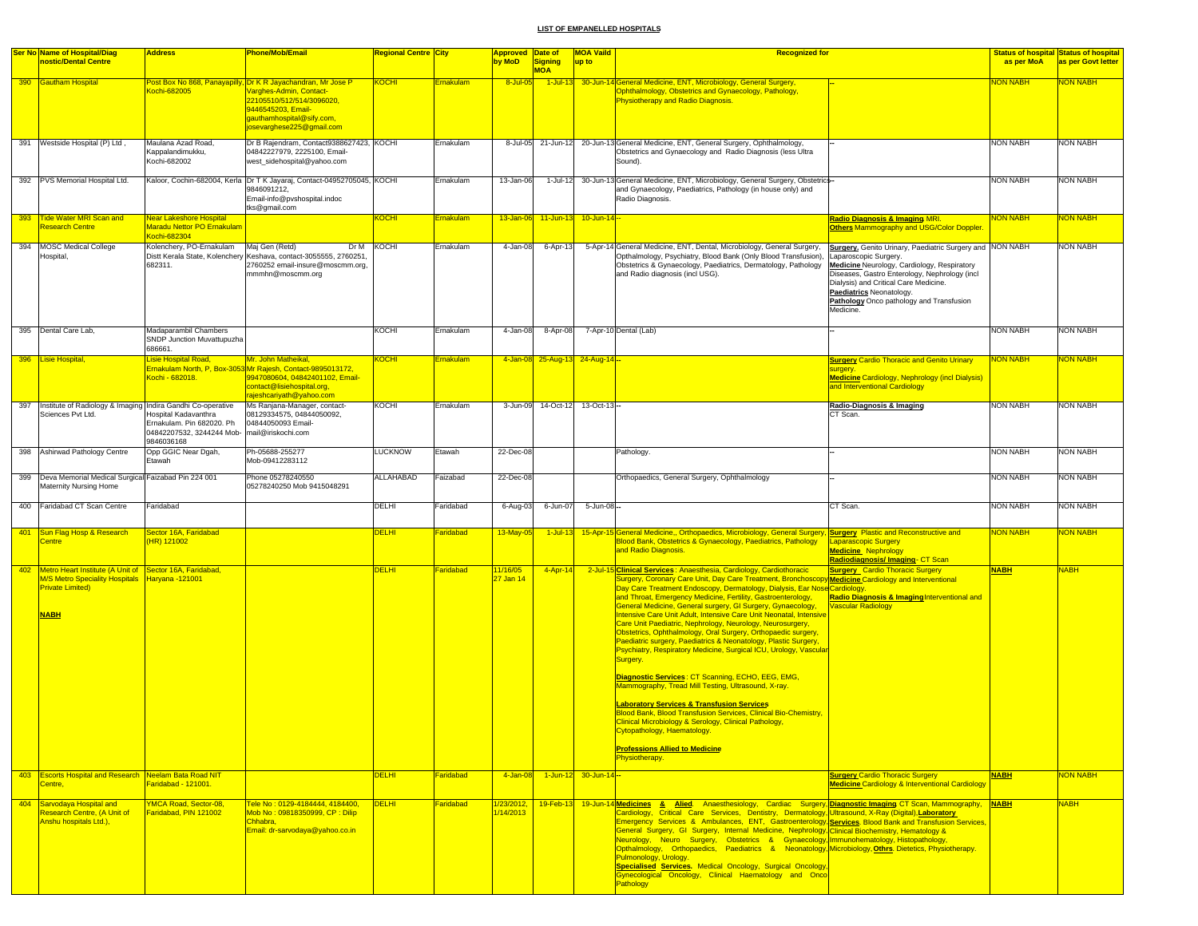|     | <b>Ser No Name of Hospital/Diag</b>                                                                                                        | <b>Address</b>                                                                               | Phone/Mob/Email                                                                                                                                                                                      | Regional Centre <mark>City</mark> |           | <b>Approved Date of</b>            |                              | <b>MOA Vaild</b><br><b>Recognized for</b>                                                                                                                                                                                                                                                                                                                                                                                                                                                                                                                                                                                                                                                                                                                                                                                                                                                                                                                                                                                                                                                                                                   |                                                                                                                                                                                                                                                                                                                 |                 | <b>Status of hospital Status of hospital</b> |
|-----|--------------------------------------------------------------------------------------------------------------------------------------------|----------------------------------------------------------------------------------------------|------------------------------------------------------------------------------------------------------------------------------------------------------------------------------------------------------|-----------------------------------|-----------|------------------------------------|------------------------------|---------------------------------------------------------------------------------------------------------------------------------------------------------------------------------------------------------------------------------------------------------------------------------------------------------------------------------------------------------------------------------------------------------------------------------------------------------------------------------------------------------------------------------------------------------------------------------------------------------------------------------------------------------------------------------------------------------------------------------------------------------------------------------------------------------------------------------------------------------------------------------------------------------------------------------------------------------------------------------------------------------------------------------------------------------------------------------------------------------------------------------------------|-----------------------------------------------------------------------------------------------------------------------------------------------------------------------------------------------------------------------------------------------------------------------------------------------------------------|-----------------|----------------------------------------------|
|     | nostic/Dental Centre                                                                                                                       |                                                                                              |                                                                                                                                                                                                      |                                   |           | by MoD                             | <b>Signing</b><br><b>MOA</b> | up to                                                                                                                                                                                                                                                                                                                                                                                                                                                                                                                                                                                                                                                                                                                                                                                                                                                                                                                                                                                                                                                                                                                                       |                                                                                                                                                                                                                                                                                                                 | as per MoA      | as per Govt letter                           |
|     | 390 Gautham Hospital                                                                                                                       | Cochi-682005                                                                                 | Post Box No 868, Panayapilly, Dr K R Jayachandran, Mr Jose P<br>Varghes-Admin, Contact-<br>22105510/512/514/3096020,<br>9446545203, Email-<br>gauthamhospital@sify.com,<br>josevarghese225@gmail.com | KOCHI                             | Ernakulam | 8-Jul-05                           | $1$ -Jul-13                  | 30-Jun-14 General Medicine, ENT, Microbiology, General Surgery,<br>Ophthalmology, Obstetrics and Gynaecology, Pathology,<br>Physiotherapy and Radio Diagnosis.                                                                                                                                                                                                                                                                                                                                                                                                                                                                                                                                                                                                                                                                                                                                                                                                                                                                                                                                                                              |                                                                                                                                                                                                                                                                                                                 | <b>HAAN MON</b> | <b>NON NABH</b>                              |
| 391 | Westside Hospital (P) Ltd                                                                                                                  | Maulana Azad Road,<br>Kappalandimukku,<br>Kochi-682002                                       | Dr B Rajendram, Contact9388627423, KOCHI<br>04842227979, 2225100, Email-<br>west_sidehospital@yahoo.com                                                                                              |                                   | Ernakulam | 8-Jul-05                           | 21-Jun-12                    | 20-Jun-13 General Medicine, ENT, General Surgery, Ophthalmology,<br>Obstetrics and Gynaecology and Radio Diagnosis (less Ultra<br>Sound).                                                                                                                                                                                                                                                                                                                                                                                                                                                                                                                                                                                                                                                                                                                                                                                                                                                                                                                                                                                                   |                                                                                                                                                                                                                                                                                                                 | <b>NON NABH</b> | <b>NON NABH</b>                              |
|     | 392 PVS Memorial Hospital Ltd.                                                                                                             |                                                                                              | Kaloor, Cochin-682004, Kerla Dr T K Jayaraj, Contact-04952705045, KOCHI<br>9846091212,<br>Email-info@pvshospital.indoc<br>tks@gmail.com                                                              |                                   | Ernakulam | 13-Jan-06                          | 1-Jul-12                     | 30-Jun-13 General Medicine, ENT, Microbiology, General Surgery, Obstetrics-<br>and Gynaecology, Paediatrics, Pathology (in house only) and<br>Radio Diagnosis.                                                                                                                                                                                                                                                                                                                                                                                                                                                                                                                                                                                                                                                                                                                                                                                                                                                                                                                                                                              |                                                                                                                                                                                                                                                                                                                 | NON NABH        | <b>NON NABH</b>                              |
| 393 | Tide Water MRI Scan and<br>Research Centre                                                                                                 | <b>Near Lakeshore Hospital</b><br>Maradu Nettor PO Ernakulam<br>Kochi-682304                 |                                                                                                                                                                                                      | KOCHI                             | Ernakulam | $13 - Jan-06$                      | $11$ -Jun-13                 | $10 -$ Jun-14 $-$                                                                                                                                                                                                                                                                                                                                                                                                                                                                                                                                                                                                                                                                                                                                                                                                                                                                                                                                                                                                                                                                                                                           | Radio Diagnosis & Imaging MRI.<br><b>Others Mammography and USG/Color Doppler</b>                                                                                                                                                                                                                               | <b>NON NABH</b> | <b>VON NABH</b>                              |
|     | 394 MOSC Medical College<br>Hospital,                                                                                                      | Kolenchery, PO-Ernakulam<br>682311.                                                          | Maj Gen (Retd)<br>Distt Kerala State, Kolenchery Keshava, contact-3055555, 2760251<br>2760252 email-insure@moscmm.org,<br>mmmhn@moscmm.org                                                           | Dr M KOCHI                        | Ernakulam | 4-Jan-08                           | 6-Apr-13                     | 5-Apr-14 General Medicine, ENT, Dental, Microbiology, General Surgery,<br>Opthalmology, Psychiatry, Blood Bank (Only Blood Transfusion),<br>Obstetrics & Gynaecology, Paediatrics, Dermatology, Pathology<br>and Radio diagnosis (incl USG).                                                                                                                                                                                                                                                                                                                                                                                                                                                                                                                                                                                                                                                                                                                                                                                                                                                                                                | Surgery. Genito Urinary, Paediatric Surgery and NON NABH<br>Laparoscopic Surgery.<br>Medicine Neurology, Cardiology, Respiratory<br>Diseases, Gastro Enterology, Nephrology (incl<br>Dialysis) and Critical Care Medicine.<br>Paediatrics Neonatology.<br>Pathology Onco pathology and Transfusion<br>Medicine. |                 | <b>NON NABH</b>                              |
|     | 395 Dental Care Lab,                                                                                                                       | Madaparambil Chambers<br>SNDP Junction Muvattupuzha<br>686661                                |                                                                                                                                                                                                      | KOCHI                             | Ernakulam | 4-Jan-08                           | 8-Apr-08                     | 7-Apr-10 Dental (Lab)                                                                                                                                                                                                                                                                                                                                                                                                                                                                                                                                                                                                                                                                                                                                                                                                                                                                                                                                                                                                                                                                                                                       |                                                                                                                                                                                                                                                                                                                 | <b>NON NABH</b> | <b>NON NABH</b>                              |
|     | 396 Lisie Hospital                                                                                                                         | Lisie Hospital Road,<br>Kochi - 682018.                                                      | Mr. John Matheikal,<br>Ernakulam North, P. Box-3053 Mr Rajesh, Contact-9895013172,<br>9947080604, 04842401102, Email-<br>contact@lisiehospital.org,<br>rajeshcariyath@yahoo.com                      | <b>KOCHI</b>                      | Ernakulam |                                    |                              | 4-Jan-08 25-Aug-13 24-Aug-14 -                                                                                                                                                                                                                                                                                                                                                                                                                                                                                                                                                                                                                                                                                                                                                                                                                                                                                                                                                                                                                                                                                                              | <b>Surgery Cardio Thoracic and Genito Urinary</b><br>surgery.<br><b>Medicine Cardiology, Nephrology (incl Dialysis)</b><br>and Interventional Cardiology                                                                                                                                                        | <b>NON NABH</b> | <b>VON NABH</b>                              |
| 397 | Institute of Radiology & Imaging Indira Gandhi Co-operative<br>Sciences Pvt Ltd.                                                           | Hospital Kadavanthra<br>Ernakulam. Pin 682020. Ph<br>04842207532, 3244244 Mob-<br>9846036168 | Ms Ranjana-Manager, contact-<br>08129334575, 04844050092,<br>04844050093 Email-<br>mail@iriskochi.com                                                                                                | <b>KOCHI</b>                      | Ernakulam | 3-Jun-09                           | 14-Oct-12                    | 13-Oct-13                                                                                                                                                                                                                                                                                                                                                                                                                                                                                                                                                                                                                                                                                                                                                                                                                                                                                                                                                                                                                                                                                                                                   | Radio-Diagnosis & Imaging<br>CT Scan.                                                                                                                                                                                                                                                                           | <b>NON NABH</b> | <b>NON NABH</b>                              |
| 398 | Ashirwad Pathology Centre                                                                                                                  | Opp GGIC Near Dgah,<br>Etawah                                                                | Ph-05688-255277<br>Mob-09412283112                                                                                                                                                                   | <b>LUCKNOW</b>                    | Etawah    | 22-Dec-08                          |                              | Pathology.                                                                                                                                                                                                                                                                                                                                                                                                                                                                                                                                                                                                                                                                                                                                                                                                                                                                                                                                                                                                                                                                                                                                  |                                                                                                                                                                                                                                                                                                                 | <b>NON NABH</b> | <b>NON NABH</b>                              |
| 399 | Deva Memorial Medical Surgical Faizabad Pin 224 001<br>Maternity Nursing Home                                                              |                                                                                              | Phone 05278240550<br>05278240250 Mob 9415048291                                                                                                                                                      | <b>ALLAHABAD</b>                  | Faizabad  | 22-Dec-08                          |                              | Orthopaedics, General Surgery, Ophthalmology                                                                                                                                                                                                                                                                                                                                                                                                                                                                                                                                                                                                                                                                                                                                                                                                                                                                                                                                                                                                                                                                                                |                                                                                                                                                                                                                                                                                                                 | <b>NON NABH</b> | <b>NON NABH</b>                              |
|     | 400 Faridabad CT Scan Centre                                                                                                               | Faridabad                                                                                    |                                                                                                                                                                                                      | <b>DELHI</b>                      | Faridabad | 6-Aug-03                           | 6-Jun-07                     | 5-Jun-08 -                                                                                                                                                                                                                                                                                                                                                                                                                                                                                                                                                                                                                                                                                                                                                                                                                                                                                                                                                                                                                                                                                                                                  | CT Scan.                                                                                                                                                                                                                                                                                                        | <b>NON NABH</b> | <b>NON NABH</b>                              |
| 401 | Sun Flag Hosp & Research<br>Centre                                                                                                         | Sector 16A, Faridabad<br>(HR) 121002                                                         |                                                                                                                                                                                                      | <b>DELHI</b>                      | Faridabad | 13-May-05                          | $1$ -Jul-1                   | 15-Apr-15 General Medicine,, Orthopaedics, Microbiology, General Surgery, Surgery Plastic and Reconstructive and<br>Blood Bank, Obstetrics & Gynaecology, Paediatrics, Pathology<br>and Radio Diagnosis.                                                                                                                                                                                                                                                                                                                                                                                                                                                                                                                                                                                                                                                                                                                                                                                                                                                                                                                                    | <b>Laparascopic Surgery</b><br><b>Medicine Nephrology</b><br>Radiodiagnosis/Imaging-CT Scan                                                                                                                                                                                                                     | <b>NON NABH</b> | <b>VON NABH</b>                              |
| 402 | Metro Heart Institute (A Unit of Sector 16A, Faridabad,<br><b>M/S Metro Speciality Hospitals</b><br><b>Private Limited)</b><br><b>NABH</b> | Haryana - 121001                                                                             |                                                                                                                                                                                                      | <b>DELHI</b>                      | Faridabad | 11/16/05<br><mark>27 Jan 14</mark> | 4-Apr-14                     | 2-Jul-15 Clinical Services: Anaesthesia, Cardiology, Cardiothoracic<br>Surgery, Coronary Care Unit, Day Care Treatment, Bronchoscopy Medicine Cardiology and Interventional<br>Day Care Treatment Endoscopy, Dermatology, Dialysis, Ear Nose Cardiology.<br>and Throat, Emergency Medicine, Fertility, Gastroenterology,<br>General Medicine, General surgery, GI Surgery, Gynaecology,<br>Intensive Care Unit Adult, Intensive Care Unit Neonatal, Intensive<br>Care Unit Paediatric, Nephrology, Neurology, Neurosurgery,<br>Obstetrics, Ophthalmology, Oral Surgery, Orthopaedic surgery,<br>Paediatric surgery, Paediatrics & Neonatology, Plastic Surgery,<br>Psychiatry, Respiratory Medicine, Surgical ICU, Urology, Vascular<br>Surgery.<br>Diagnostic Services: CT Scanning, ECHO, EEG, EMG,<br>Mammography, Tread Mill Testing, Ultrasound, X-ray.<br><b>Laboratory Services &amp; Transfusion Services</b><br>Blood Bank, Blood Transfusion Services, Clinical Bio-Chemistry,<br>Clinical Microbiology & Serology, Clinical Pathology,<br>Cytopathology, Haematology.<br><b>Professions Allied to Medicine</b><br>Physiotherapy. | <b>Surgery</b> Cardio Thoracic Surgery<br>Radio Diagnosis & Imaging Interventional and<br><b>Vascular Radiology</b>                                                                                                                                                                                             | <b>NABH</b>     | <b>NABH</b>                                  |
|     | 403 Escorts Hospital and Research Neelam Bata Road NIT<br>Centre,                                                                          | Faridabad - 121001.                                                                          |                                                                                                                                                                                                      | <b>DELHI</b>                      | Faridabad | $4 - Jan-08$                       |                              | 1-Jun-12 30-Jun-14-                                                                                                                                                                                                                                                                                                                                                                                                                                                                                                                                                                                                                                                                                                                                                                                                                                                                                                                                                                                                                                                                                                                         | <b>Surgery Cardio Thoracic Surgery</b><br><b>Medicine Cardiology &amp; Interventional Cardiology</b>                                                                                                                                                                                                            | <b>NABH</b>     | <b>NON NABH</b>                              |
|     | 404 Sarvodaya Hospital and<br>Research Centre, (A Unit of<br>Anshu hospitals Ltd.),                                                        | YMCA Road, Sector-08.<br>Faridabad, PIN 121002                                               | Tele No : 0129-4184444, 4184400.<br>Mob No: 09818350999, CP: Dilip<br>Chhabra,<br>Email: dr-sarvodaya@yahoo.co.in                                                                                    | <b>DELHI</b>                      | Faridabad | /23/2012,<br>/14/2013              | $19$ -Feb-13                 | 19-Jun-14 Medicines & Alied. Anaesthesiology, Cardiac Surgery, Diagnostic Imaging CT Scan, Mammography, NABH<br>Cardiology, Critical Care Services, Dentistry, Dermatology, Ultrasound, X-Ray (Digital), Laboratory<br>Emergency Services & Ambulances, ENT, Gastroenterology Services Blood Bank and Transfusion Services,<br>General Surgery, GI Surgery, Internal Medicine, Nephrology, Clinical Biochemistry, Hematology &<br>Neurology, Neuro Surgery, Obstetrics & Gynaecology, Immunohematology, Histopathology,<br>Opthalmology, Orthopaedics, Paediatrics & Neonatology, Microbiology, Othrs Dietetics, Physiotherapy.<br>Pulmonology, Urology.<br>Specialised Services. Medical Oncology, Surgical Oncology,<br>Gynecological Oncology, Clinical Haematology and Onco<br>Pathology                                                                                                                                                                                                                                                                                                                                                |                                                                                                                                                                                                                                                                                                                 |                 | VABH                                         |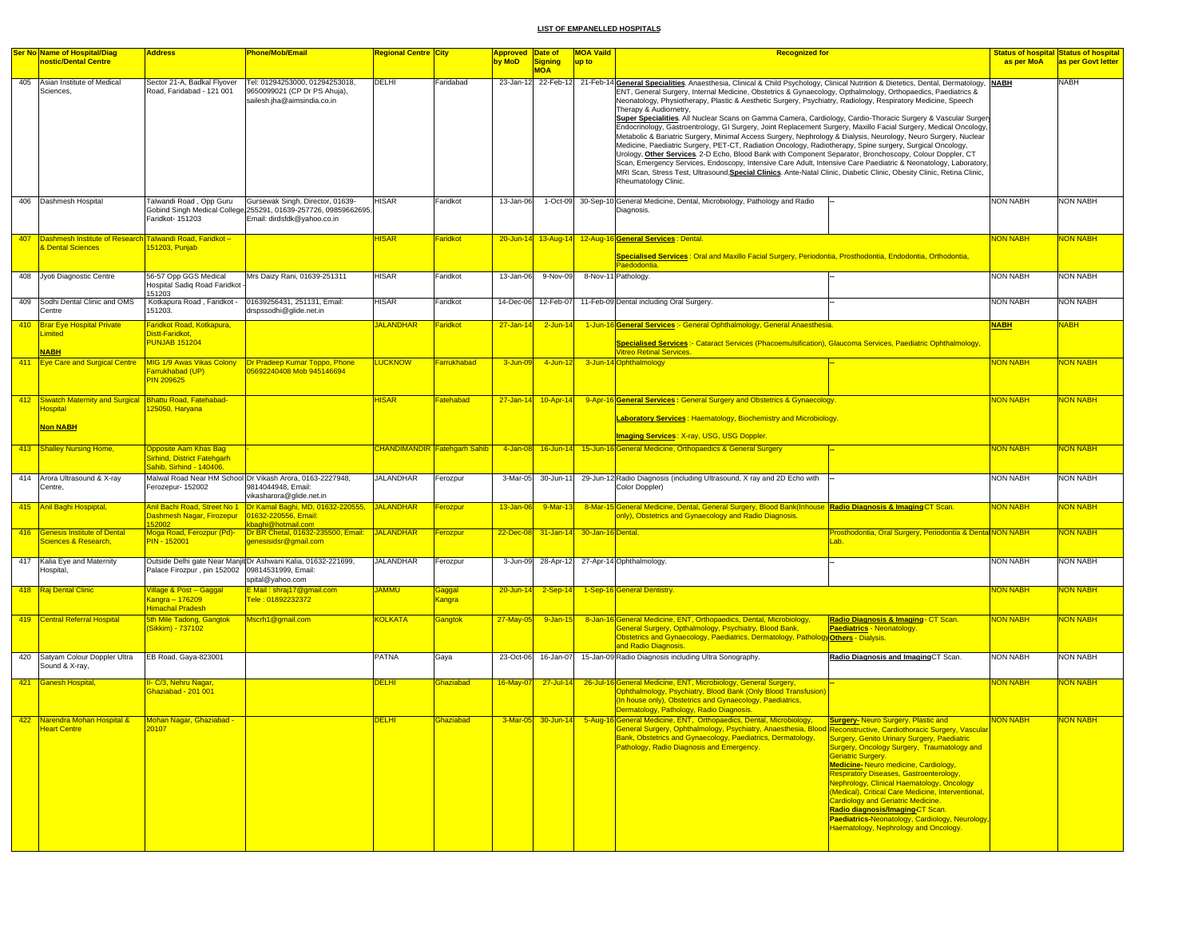|     | <b>Ser No Name of Hospital/Diag</b>                                           | <b>Address</b>                                                                   | <b>Phone/Mob/Email</b>                                                                                                             | <b>Regional Centre City</b> |                                     | Approved Date of |                                       | <b>MOA Vaild</b> | <b>Recognized for</b>                                                                                                                                                                                                                                                                                                                                                                                                                                                                                                                                                                                                                                                                                                                                                                                                                                                                                                                                                                                                                                                                                                                                                                                                              |                 | <b>Status of hospital Status of hospital</b> |
|-----|-------------------------------------------------------------------------------|----------------------------------------------------------------------------------|------------------------------------------------------------------------------------------------------------------------------------|-----------------------------|-------------------------------------|------------------|---------------------------------------|------------------|------------------------------------------------------------------------------------------------------------------------------------------------------------------------------------------------------------------------------------------------------------------------------------------------------------------------------------------------------------------------------------------------------------------------------------------------------------------------------------------------------------------------------------------------------------------------------------------------------------------------------------------------------------------------------------------------------------------------------------------------------------------------------------------------------------------------------------------------------------------------------------------------------------------------------------------------------------------------------------------------------------------------------------------------------------------------------------------------------------------------------------------------------------------------------------------------------------------------------------|-----------------|----------------------------------------------|
|     | nostic/Dental Centre                                                          |                                                                                  |                                                                                                                                    |                             |                                     | by MoD           | Signing                               | up to            |                                                                                                                                                                                                                                                                                                                                                                                                                                                                                                                                                                                                                                                                                                                                                                                                                                                                                                                                                                                                                                                                                                                                                                                                                                    | as per MoA      | as per Govt letter                           |
| 405 | Asian Institute of Medical<br>Sciences,                                       | Sector 21-A, Badkal Flyover<br>Road, Faridabad - 121 001                         | Tel: 01294253000, 01294253018,<br>9650099021 (CP Dr PS Ahuja).<br>sailesh.jha@aimsindia.co.in                                      | DELHI                       | Faridabad                           | 23-Jan-12        | <b>MOA</b>                            |                  | 22-Feb-12 21-Feb-14 General Specialities Anaesthesia, Clinical & Child Psychology, Clinical Nutrition & Dietetics, Dental, Dermatology, NABH<br>ENT, General Surgery, Internal Medicine, Obstetrics & Gynaecology, Opthalmology, Orthopaedics, Paediatrics &<br>Neonatology, Physiotherapy, Plastic & Aesthetic Surgery, Psychiatry, Radiology, Respiratory Medicine, Speech<br>Therapy & Audiometry,<br>Super Specialities. All Nuclear Scans on Gamma Camera, Cardiology, Cardio-Thoracic Surgery & Vascular Surger<br>Endocrinology, Gastroentrology, GI Surgery, Joint Replacement Surgery, Maxillo Facial Surgery, Medical Oncology,<br>Metabolic & Bariatric Surgery, Minimal Access Surgery, Nephrology & Dialysis, Neurology, Neuro Surgery, Nuclear<br>Medicine, Paediatric Surgery, PET-CT, Radiation Oncology, Radiotherapy, Spine surgery, Surgical Oncology,<br>Urology, Other Services, 2-D Echo, Blood Bank with Component Separator, Bronchoscopy, Colour Doppler, CT<br>Scan, Emergency Services, Endoscopy, Intensive Care Adult, Intensive Care Paediatric & Neonatology, Laboratory,<br>MRI Scan, Stress Test, Ultrasound, Special Clinics. Ante-Natal Clinic, Diabetic Clinic, Obesity Clinic, Retina Clinic, |                 | <b>NABH</b>                                  |
|     | 406 Dashmesh Hospital                                                         | Talwandi Road , Opp Guru<br>Faridkot- 151203                                     | Gursewak Singh, Director, 01639-<br>Gobind Singh Medical College 255291, 01639-257726, 09859662695,<br>Email: dirdsfdk@yahoo.co.in | HISAR                       | Faridkot                            | 13-Jan-06        |                                       |                  | Rheumatology Clinic.<br>1-Oct-09 30-Sep-10 General Medicine, Dental, Microbiology, Pathology and Radio<br>Diagnosis.                                                                                                                                                                                                                                                                                                                                                                                                                                                                                                                                                                                                                                                                                                                                                                                                                                                                                                                                                                                                                                                                                                               | <b>NON NABH</b> | <b>NON NABH</b>                              |
| 407 | Dashmesh Institute of Research Talwandi Road, Faridkot -                      |                                                                                  |                                                                                                                                    | <b>HISAR</b>                | Faridkot                            |                  |                                       |                  |                                                                                                                                                                                                                                                                                                                                                                                                                                                                                                                                                                                                                                                                                                                                                                                                                                                                                                                                                                                                                                                                                                                                                                                                                                    | <b>NON NABH</b> | <mark>NON NABH</mark>                        |
|     | & Dental Sciences                                                             | 151203, Punjab                                                                   |                                                                                                                                    |                             |                                     |                  |                                       |                  | 20-Jun-14 13-Aug-14 12-Aug-16 General Services : Dental.                                                                                                                                                                                                                                                                                                                                                                                                                                                                                                                                                                                                                                                                                                                                                                                                                                                                                                                                                                                                                                                                                                                                                                           |                 |                                              |
|     |                                                                               |                                                                                  |                                                                                                                                    |                             |                                     |                  |                                       |                  | Specialised Services : Oral and Maxillo Facial Surgery, Periodontia, Prosthodontia, Endodontia, Orthodontia,                                                                                                                                                                                                                                                                                                                                                                                                                                                                                                                                                                                                                                                                                                                                                                                                                                                                                                                                                                                                                                                                                                                       |                 |                                              |
|     | 408 Jyoti Diagnostic Centre                                                   | 56-57 Opp GGS Medical                                                            | Mrs Daizy Rani, 01639-251311                                                                                                       | HISAR                       | Faridkot                            | 13-Jan-06        | 9-Nov-09                              |                  | Paedodontia.<br>8-Nov-11 Pathology.                                                                                                                                                                                                                                                                                                                                                                                                                                                                                                                                                                                                                                                                                                                                                                                                                                                                                                                                                                                                                                                                                                                                                                                                | NON NABH        | <b>NON NABH</b>                              |
|     |                                                                               | Hospital Sadiq Road Faridkot                                                     |                                                                                                                                    |                             |                                     |                  |                                       |                  |                                                                                                                                                                                                                                                                                                                                                                                                                                                                                                                                                                                                                                                                                                                                                                                                                                                                                                                                                                                                                                                                                                                                                                                                                                    |                 |                                              |
|     | 409 Sodhi Dental Clinic and OMS<br>Centre                                     | 151203<br>151203.                                                                | Kotkapura Road, Faridkot - 01639256431, 251131, Email:<br>drspssodhi@glide.net.in                                                  | HISAR                       | Faridkot                            | 14-Dec-06        | 12-Feb-07                             |                  | 11-Feb-09 Dental including Oral Surgery.                                                                                                                                                                                                                                                                                                                                                                                                                                                                                                                                                                                                                                                                                                                                                                                                                                                                                                                                                                                                                                                                                                                                                                                           | NON NABH        | <b>NON NABH</b>                              |
|     | 410 Brar Eye Hospital Private                                                 | Faridkot Road, Kotkapura,                                                        |                                                                                                                                    | <b>JALANDHAR</b>            | Faridkot                            | $27 - Jan-1$     | $2$ -Jun-14                           |                  | 1-Jun-16 General Services :- General Ophthalmology, General Anaesthesia.                                                                                                                                                                                                                                                                                                                                                                                                                                                                                                                                                                                                                                                                                                                                                                                                                                                                                                                                                                                                                                                                                                                                                           | <b>NABH</b>     | <b>NABH</b>                                  |
|     | imited<br><b>NABH</b>                                                         | Distt-Faridkot.<br><b>PUNJAB 151204</b>                                          |                                                                                                                                    |                             |                                     |                  |                                       |                  | Specialised Services :- Cataract Services (Phacoemulsification), Glaucoma Services, Paediatric Ophthalmology<br><b>Vitreo Retinal Services.</b>                                                                                                                                                                                                                                                                                                                                                                                                                                                                                                                                                                                                                                                                                                                                                                                                                                                                                                                                                                                                                                                                                    |                 |                                              |
| 411 | <b>Eye Care and Surgical Centre</b> MIG 1/9 Awas Vikas Colony                 |                                                                                  | Dr Pradeep Kumar Toppo, Phone                                                                                                      | <b>LUCKNOW</b>              | Farrukhabad                         | 3-Jun-09         | $4$ -Jun-12                           |                  | 3-Jun-14 Ophthalmology                                                                                                                                                                                                                                                                                                                                                                                                                                                                                                                                                                                                                                                                                                                                                                                                                                                                                                                                                                                                                                                                                                                                                                                                             | <b>NON NABH</b> | <b>NON NABH</b>                              |
|     |                                                                               | Farrukhabad (UP)<br><b>PIN 209625</b>                                            | 5692240408 Mob 945146694                                                                                                           |                             |                                     |                  |                                       |                  |                                                                                                                                                                                                                                                                                                                                                                                                                                                                                                                                                                                                                                                                                                                                                                                                                                                                                                                                                                                                                                                                                                                                                                                                                                    |                 |                                              |
|     | 412 Siwatch Maternity and Surgical Bhattu Road, Fatehabad-<br><b>lospital</b> | 125050, Haryana                                                                  |                                                                                                                                    | <b>HISAR</b>                | Fatehabad                           |                  | $27 - Jan - 14$ 10-Apr-14             |                  | 9-Apr-16 General Services: General Surgery and Obstetrics & Gynaecology.<br>Laboratory Services: Haematology, Biochemistry and Microbiology.                                                                                                                                                                                                                                                                                                                                                                                                                                                                                                                                                                                                                                                                                                                                                                                                                                                                                                                                                                                                                                                                                       | <b>NON NABH</b> | <b>NON NABH</b>                              |
|     | <mark>Non NABH</mark>                                                         |                                                                                  |                                                                                                                                    |                             |                                     |                  |                                       |                  | Imaging Services: X-ray, USG, USG Doppler.                                                                                                                                                                                                                                                                                                                                                                                                                                                                                                                                                                                                                                                                                                                                                                                                                                                                                                                                                                                                                                                                                                                                                                                         |                 |                                              |
|     | 413 Shalley Nursing Home,                                                     | Opposite Aam Khas Bag<br>Sirhind, District Fatehgarh<br>Sahib, Sirhind - 140406. |                                                                                                                                    |                             | <b>CHANDIMANDIR Fatehgarh Sahib</b> |                  |                                       |                  | 4-Jan-08 16-Jun-14 15-Jun-16 General Medicine, Orthopaedics & General Surgery                                                                                                                                                                                                                                                                                                                                                                                                                                                                                                                                                                                                                                                                                                                                                                                                                                                                                                                                                                                                                                                                                                                                                      | <b>NON NABH</b> | <b>NON NABH</b>                              |
|     | 414 Arora Ultrasound & X-ray<br>Centre.                                       | Ferozepur- 152002                                                                | Malwal Road Near HM School Dr Vikash Arora, 0163-2227948,<br>9814044948, Email:<br>vikasharora@glide.net.in                        | <b>JALANDHAR</b>            | Ferozpur                            |                  | 3-Mar-05 30-Jun-11                    |                  | 29-Jun-12 Radio Diagnosis (including Ultrasound, X ray and 2D Echo with<br>Color Doppler)                                                                                                                                                                                                                                                                                                                                                                                                                                                                                                                                                                                                                                                                                                                                                                                                                                                                                                                                                                                                                                                                                                                                          | <b>NON NABH</b> | <b>NON NABH</b>                              |
|     | 415 Anil Baghi Hospiptal,                                                     | Dashmesh Nagar, Firozepur                                                        | Anil Bachi Road, Street No 1   Dr Kamal Baghi, MD, 01632-220555,<br>01632-220556, Email:                                           | JALANDHAR                   | Ferozpur                            | 13-Jan-06        | 9-Mar-13                              |                  | 8-Mar-15 General Medicine, Dental, General Surgery, Blood Bank(Inhouse Radio Diagnosis & Imaging CT Scan.<br>only), Obstetrics and Gynaecology and Radio Diagnosis.                                                                                                                                                                                                                                                                                                                                                                                                                                                                                                                                                                                                                                                                                                                                                                                                                                                                                                                                                                                                                                                                | <b>NON NABH</b> | <b>NON NABH</b>                              |
|     |                                                                               | 152002                                                                           | <b>baghi@hotmail.com</b>                                                                                                           |                             |                                     |                  |                                       |                  |                                                                                                                                                                                                                                                                                                                                                                                                                                                                                                                                                                                                                                                                                                                                                                                                                                                                                                                                                                                                                                                                                                                                                                                                                                    |                 |                                              |
|     | 416 Genesis Institute of Dental<br>Sciences & Research,                       | Moga Road, Ferozpur (Pd)-<br><b>PIN - 152001</b>                                 | Dr BR Chetal, 01632-235500, Email: JALANDHAR<br>genesisidsr@gmail.com                                                              |                             | Ferozpur                            |                  | 22-Dec-08 31-Jan-14 30-Jan-16 Dental. |                  | Prosthodontia, Oral Surgery, Periodontia & Denta NON NABH<br>.ab.                                                                                                                                                                                                                                                                                                                                                                                                                                                                                                                                                                                                                                                                                                                                                                                                                                                                                                                                                                                                                                                                                                                                                                  |                 | NON NABH                                     |
|     | 417 Kalia Eye and Maternity<br>Hospital,                                      | Palace Firozpur, pin 152002 09814531999, Email:                                  | Outside Delhi gate Near Manjit Dr Ashwani Kalia, 01632-221699,<br>spital@yahoo.com                                                 | JALANDHAR                   | Ferozpur                            | 3-Jun-09         |                                       |                  | 28-Apr-12 27-Apr-14 Ophthalmology.                                                                                                                                                                                                                                                                                                                                                                                                                                                                                                                                                                                                                                                                                                                                                                                                                                                                                                                                                                                                                                                                                                                                                                                                 | <b>NON NABH</b> | <b>NON NABH</b>                              |
|     | 418 Raj Dental Clinic                                                         | Village & Post – Gaggal                                                          | E Mail: shraj17@gmail.com                                                                                                          | <b>UMMAL</b>                | <mark>Gaggal</mark>                 | 20-Jun-14        | $2-Sep-14$                            |                  | 1-Sep-16 General Dentistry.                                                                                                                                                                                                                                                                                                                                                                                                                                                                                                                                                                                                                                                                                                                                                                                                                                                                                                                                                                                                                                                                                                                                                                                                        | <b>NON NABH</b> | NON NABH                                     |
|     |                                                                               | Kangra – 176209<br>Himachal Pradesh                                              | Tele: 01892232372                                                                                                                  |                             | Kangra                              |                  |                                       |                  |                                                                                                                                                                                                                                                                                                                                                                                                                                                                                                                                                                                                                                                                                                                                                                                                                                                                                                                                                                                                                                                                                                                                                                                                                                    |                 |                                              |
|     | 419 Central Referral Hospital                                                 | 5th Mile Tadong, Gangtok<br>Sikkim) - 737102                                     | Mscrh1@gmail.com                                                                                                                   | <b>KOLKATA</b>              | Gangtok                             | 27-May-05        | 9-Jan-15                              |                  | 8-Jan-16 General Medicine, ENT, Orthopaedics, Dental, Microbiology,<br>Radio Diagnosis & Imaging - CT Scan.<br>General Surgery, Opthalmology, Psychiatry, Blood Bank,<br><b>Paediatrics - Neonatology.</b><br>Obstetrics and Gynaecology, Paediatrics, Dermatology, Pathology Others - Dialysis.<br>and Radio Diagnosis.                                                                                                                                                                                                                                                                                                                                                                                                                                                                                                                                                                                                                                                                                                                                                                                                                                                                                                           | <b>NON NABH</b> | NON NABH                                     |
|     | 420 Satyam Colour Doppler Ultra<br>Sound & X-ray,                             | EB Road, Gaya-823001                                                             |                                                                                                                                    | PATNA                       | Gaya                                |                  | 23-Oct-06 16-Jan-07                   |                  | 15-Jan-09 Radio Diagnosis including Ultra Sonography.<br>Radio Diagnosis and ImagingCT Scan.                                                                                                                                                                                                                                                                                                                                                                                                                                                                                                                                                                                                                                                                                                                                                                                                                                                                                                                                                                                                                                                                                                                                       | <b>NON NABH</b> | <b>NON NABH</b>                              |
|     | 421 Ganesh Hospital,                                                          | II- C/3, Nehru Nagar.<br>Ghaziabad - 201 001                                     |                                                                                                                                    | <b>DELHI</b>                | Ghaziabad                           | 16-May-07        | $27 -$ Jul-14                         |                  | 26-Jul-16 General Medicine, ENT, Microbiology, General Surgery,<br>Ophthalmology, Psychiatry, Blood Bank (Only Blood Transfusion)<br>(In house only), Obstetrics and Gynaecology, Paediatrics,<br>Dermatology, Pathology, Radio Diagnosis.                                                                                                                                                                                                                                                                                                                                                                                                                                                                                                                                                                                                                                                                                                                                                                                                                                                                                                                                                                                         | NON NABH        | NON NABH                                     |
|     | 422 Narendra Mohan Hospital &<br>Heart Centre                                 | Mohan Nagar, Ghaziabad -<br><b>20107</b>                                         |                                                                                                                                    | <b>DELHI</b>                | Ghaziabad                           |                  |                                       |                  | 3-Mar-05 30-Jun-14 5-Aug-16 General Medicine, ENT, Orthopaedics, Dental, Microbiology,<br><b>Surgery- Neuro Surgery, Plastic and</b><br><u>General Surgery, Ophthalmology, Psychiatry, Anaesthesia, Blood Reconstructive, Cardiothoracic Surgery, Vascular</u><br>Bank, Obstetrics and Gynaecology, Paediatrics, Dermatology,<br>Surgery, Genito Urinary Surgery, Paediatric<br>Pathology, Radio Diagnosis and Emergency.<br>Surgery, Oncology Surgery, Traumatology and<br><u>Geriatric Surgery.</u><br>Medicine-Neuro medicine, Cardiology,<br>Respiratory Diseases, Gastroenterology,<br>Nephrology, Clinical Haematology, Oncology<br>(Medical), Critical Care Medicine, Interventional,<br><b>Cardiology and Geriatric Medicine.</b><br>Radio diagnosis/Imaging-CT Scan.<br>Paediatrics-Neonatology, Cardiology, Neurology,<br>Haematology, Nephrology and Oncology.                                                                                                                                                                                                                                                                                                                                                          | <b>NON NABH</b> | <b>NON NABH</b>                              |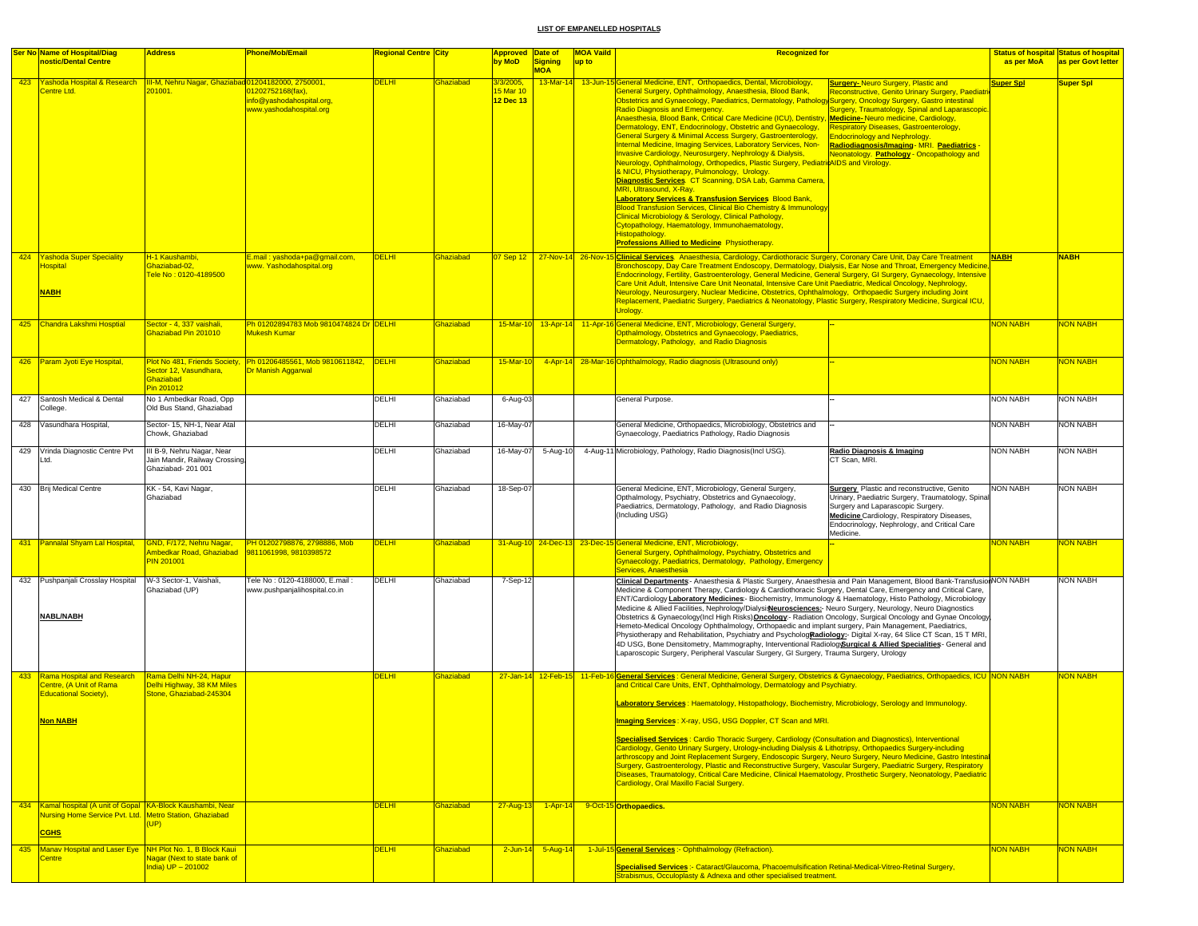|     | <b>Ser No Name of Hospital/Diag</b><br>nostic/Dental Centre                                                                            | Address                                                                           | Phone/Mob/Email                                                                           | Regional Centre City |           | Approved Date of<br>by MoD         | <b>Signing</b>          | <b>MOA Vaild</b><br>up to | <b>Recognized for</b>                                                                                                                                                                                                                                                                                                                                                                                                                                                                                                                                                                                                                                                                                                                                                                                                                                                                                                                                                                                                                                                                                                                                                                                                                                    |                                                                                                                                                                                                                                                                                                                                             | as per MoA       | <b>Status of hospital Status of hospital</b><br>as per Govt letter |
|-----|----------------------------------------------------------------------------------------------------------------------------------------|-----------------------------------------------------------------------------------|-------------------------------------------------------------------------------------------|----------------------|-----------|------------------------------------|-------------------------|---------------------------|----------------------------------------------------------------------------------------------------------------------------------------------------------------------------------------------------------------------------------------------------------------------------------------------------------------------------------------------------------------------------------------------------------------------------------------------------------------------------------------------------------------------------------------------------------------------------------------------------------------------------------------------------------------------------------------------------------------------------------------------------------------------------------------------------------------------------------------------------------------------------------------------------------------------------------------------------------------------------------------------------------------------------------------------------------------------------------------------------------------------------------------------------------------------------------------------------------------------------------------------------------|---------------------------------------------------------------------------------------------------------------------------------------------------------------------------------------------------------------------------------------------------------------------------------------------------------------------------------------------|------------------|--------------------------------------------------------------------|
|     | 423 Yashoda Hospital & Research<br>Centre Ltd.                                                                                         | III-M, Nehru Nagar, Ghaziabad 01204182000, 2750001,<br>201001.                    | 01202752168(fax),<br>nfo@vashodahospital.org.<br>www.yashodahospital.org                  | <b>DELHI</b>         | Ghaziabad | 3/3/2005,<br>5 Mar 10<br>12 Dec 13 | <b>MOA</b><br>13-Mar-14 |                           | 13-Jun-15 General Medicine, ENT, Orthopaedics, Dental, Microbiology,<br>General Surgery, Ophthalmology, Anaesthesia, Blood Bank,<br>Obstetrics and Gynaecology, Paediatrics, Dermatology, Pathology Surgery, Oncology Surgery, Gastro intestinal<br><b>Radio Diagnosis and Emergency</b><br>Anaesthesia, Blood Bank, Critical Care Medicine (ICU), Dentistry, Medicine-Neuro medicine, Cardiology,<br>Dermatology, ENT, Endocrinology, Obstetric and Gynaecology,<br>General Surgery & Minimal Access Surgery, Gastroenterology,<br>Internal Medicine, Imaging Services, Laboratory Services, Non-<br><b>Invasive Cardiology, Neurosurgery, Nephrology &amp; Dialysis,</b><br>Neurology, Ophthalmology, Orthopedics, Plastic Surgery, PediatricAIDS and Virology.<br>& NICU, Physiotherapy, Pulmonology, Urology.<br><b>Diagnostic Services. CT Scanning, DSA Lab, Gamma Camera,</b><br>MRI, Ultrasound, X-Ray.<br><b>Laboratory Services &amp; Transfusion Services Blood Bank,</b><br><b>Blood Transfusion Services, Clinical Bio Chemistry &amp; Immunology</b><br>Clinical Microbiology & Serology, Clinical Pathology,<br>Cytopathology, Haematology, Immunohaematology,<br>Histopathology.<br><b>Professions Allied to Medicine Physiotherapy.</b> | <b>Surgery-Neuro Surgery, Plastic and</b><br>Reconstructive, Genito Urinary Surgery, Paediatr<br><b>Surgery, Traumatology, Spinal and Laparascopic</b><br><b>Respiratory Diseases, Gastroenterology,</b><br><b>Endocrinology and Nephrology.</b><br>Radiodiagnosis/Imaging-MRI. Paediatrics -<br>Neonatology. Pathology - Oncopathology and | <b>Super Spl</b> | Super Spl                                                          |
|     | 424 Yashoda Super Speciality<br><b>Hospital</b><br><b>NABH</b>                                                                         | H-1 Kaushambi,<br><b>Shaziabad-02,</b><br>Tele No : 0120-4189500                  | E.mail: yashoda+pa@gmail.com,<br>www. Yashodahospital.org                                 | <b>DELHI</b>         | Ghaziabad |                                    |                         |                           | 07 Sep 12 27-Nov-14 26-Nov-15 Clinical Services. Anaesthesia, Cardiology, Cardiothoracic Surgery, Coronary Care Unit, Day Care Treatment<br>Bronchoscopy, Day Care Treatment Endoscopy, Dermatology, Dialysis, Ear Nose and Throat, Emergency Medicine,<br>Endocrinology, Fertility, Gastroenterology, General Medicine, General Surgery, GI Surgery, Gynaecology, Intensive<br>Care Unit Adult, Intensive Care Unit Neonatal, Intensive Care Unit Paediatric, Medical Oncology, Nephrology,<br>Neurology, Neurosurgery, Nuclear Medicine, Obstetrics, Ophthalmology, Orthopaedic Surgery including Joint<br>Replacement, Paediatric Surgery, Paediatrics & Neonatology, Plastic Surgery, Respiratory Medicine, Surgical ICU,<br>Uroloav.                                                                                                                                                                                                                                                                                                                                                                                                                                                                                                                |                                                                                                                                                                                                                                                                                                                                             | <b>NABH</b>      | <b>NABH</b>                                                        |
|     | 425 Chandra Lakshmi Hosptial                                                                                                           | Sector - 4, 337 vaishali,<br>Ghaziabad Pin 201010                                 | Ph 01202894783 Mob 9810474824 Dr DELHI<br><b>Mukesh Kumar</b>                             |                      | Ghaziabad | $15-Mar-10$                        |                         |                           | 13-Apr-14 11-Apr-16 General Medicine, ENT, Microbiology, General Surgery,<br>Opthalmology, Obstetrics and Gynaecology, Paediatrics,<br>Dermatology, Pathology, and Radio Diagnosis                                                                                                                                                                                                                                                                                                                                                                                                                                                                                                                                                                                                                                                                                                                                                                                                                                                                                                                                                                                                                                                                       |                                                                                                                                                                                                                                                                                                                                             | <b>NON NABH</b>  | NON NABH                                                           |
|     | 426 Param Jyoti Eye Hospital,                                                                                                          | Sector 12, Vasundhara,<br>Ghaziabad<br>Pin 201012                                 | Plot No 481, Friends Society, Ph 01206485561, Mob 9810611842, DELHI<br>Dr Manish Aggarwal |                      | Ghaziabad | 15-Mar-10                          |                         |                           | 4-Apr-14 28-Mar-16 Ophthalmology, Radio diagnosis (Ultrasound only)                                                                                                                                                                                                                                                                                                                                                                                                                                                                                                                                                                                                                                                                                                                                                                                                                                                                                                                                                                                                                                                                                                                                                                                      |                                                                                                                                                                                                                                                                                                                                             | <b>NON NABH</b>  | NON NABH                                                           |
|     | 427 Santosh Medical & Dental<br>College.                                                                                               | No 1 Ambedkar Road, Opp<br>Old Bus Stand, Ghaziabad                               |                                                                                           | DELHI                | Ghaziabad | 6-Aug-03                           |                         |                           | General Purpose.                                                                                                                                                                                                                                                                                                                                                                                                                                                                                                                                                                                                                                                                                                                                                                                                                                                                                                                                                                                                                                                                                                                                                                                                                                         |                                                                                                                                                                                                                                                                                                                                             | <b>NON NABH</b>  | <b>NON NABH</b>                                                    |
|     | 428 Vasundhara Hospital,                                                                                                               | Sector- 15, NH-1, Near Atal<br>Chowk, Ghaziabad                                   |                                                                                           | DELHI                | Ghaziabad | 16-May-07                          |                         |                           | General Medicine, Orthopaedics, Microbiology, Obstetrics and<br>Gynaecology, Paediatrics Pathology, Radio Diagnosis                                                                                                                                                                                                                                                                                                                                                                                                                                                                                                                                                                                                                                                                                                                                                                                                                                                                                                                                                                                                                                                                                                                                      |                                                                                                                                                                                                                                                                                                                                             | <b>NON NABH</b>  | <b>NON NABH</b>                                                    |
|     | 429 Vrinda Diagnostic Centre Pvt<br>Ltd.                                                                                               | III B-9, Nehru Nagar, Near<br>Jain Mandir, Railway Crossing,<br>Ghaziabad-201 001 |                                                                                           | DELHI                | Ghaziabad | 16-May-07                          | 5-Aug-10                |                           | 4-Aug-11 Microbiology, Pathology, Radio Diagnosis(Incl USG).                                                                                                                                                                                                                                                                                                                                                                                                                                                                                                                                                                                                                                                                                                                                                                                                                                                                                                                                                                                                                                                                                                                                                                                             | Radio Diagnosis & Imaging<br>CT Scan, MRI.                                                                                                                                                                                                                                                                                                  | <b>NON NABH</b>  | <b>NON NABH</b>                                                    |
|     | 430 Brij Medical Centre                                                                                                                | KK - 54, Kavi Nagar,<br>Ghaziabad                                                 |                                                                                           | DELHI                | Ghaziabad | 18-Sep-07                          |                         |                           | General Medicine, ENT, Microbiology, General Surgery,<br>Opthalmology, Psychiatry, Obstetrics and Gynaecology,<br>Paediatrics, Dermatology, Pathology, and Radio Diagnosis<br>(Including USG)                                                                                                                                                                                                                                                                                                                                                                                                                                                                                                                                                                                                                                                                                                                                                                                                                                                                                                                                                                                                                                                            | <b>Surgery</b> Plastic and reconstructive, Genito<br>Urinary, Paediatric Surgery, Traumatology, Spinal<br>Surgery and Laparascopic Surgery.<br>Medicine Cardiology, Respiratory Diseases,<br>Endocrinology, Nephrology, and Critical Care<br>Medicine.                                                                                      | <b>NON NABH</b>  | NON NABH                                                           |
|     | 431 Pannalal Shyam Lal Hospital,                                                                                                       | GND, F/172, Nehru Nagar,<br>Ambedkar Road, Ghaziabad<br><b>PIN 201001</b>         | PH 01202798876, 2798886, Mob<br>9811061998, 9810398572                                    | <b>DELHI</b>         | Ghaziabad |                                    |                         |                           | 31-Aug-10 24-Dec-13 23-Dec-15 General Medicine, ENT, Microbiology,<br>General Surgery, Ophthalmology, Psychiatry, Obstetrics and<br>Gynaecology, Paediatrics, Dermatology, Pathology, Emergency<br>Services, Anaesthesia                                                                                                                                                                                                                                                                                                                                                                                                                                                                                                                                                                                                                                                                                                                                                                                                                                                                                                                                                                                                                                 |                                                                                                                                                                                                                                                                                                                                             | <b>NON NABH</b>  | <mark>NON NABH</mark>                                              |
|     | 432 Pushpanjali Crosslay Hospital<br><b>NABL/NABH</b>                                                                                  | W-3 Sector-1, Vaishali,<br>Ghaziabad (UP)                                         | Tele No: 0120-4188000, E.mail:<br>www.pushpanjalihospital.co.in                           | DELHI                | Ghaziabad | 7-Sep-12                           |                         |                           | Clinical Departments - Anaesthesia & Plastic Surgery, Anaesthesia and Pain Management, Blood Bank-Transfusion NON NABH<br>Medicine & Component Therapy, Cardiology & Cardiothoracic Surgery, Dental Care, Emergency and Critical Care,<br>ENT/Cardiology Laboratory Medicines - Biochemistry, Immunology & Haematology, Histo Pathology, Microbiology<br>Medicine & Allied Facilities, Nephrology/Dialysisleurosciences:- Neuro Surgery, Neurology, Neuro Diagnostics<br>Obstetrics & Gynaecology (Incl High Risks) Oncology:- Radiation Oncology, Surgical Oncology and Gynae Oncology<br>Hemeto-Medical Oncology Ophthalmology, Orthopaedic and implant surgery, Pain Management, Paediatrics,<br>Physiotherapy and Rehabilitation, Psychiatry and PsychologRadiology:- Digital X-ray, 64 Slice CT Scan, 15 T MRI,<br>4D USG, Bone Densitometry, Mammography, Interventional Radiolog Surgical & Allied Specialities- General and<br>Laparoscopic Surgery, Peripheral Vascular Surgery, GI Surgery, Trauma Surgery, Urology                                                                                                                                                                                                                            |                                                                                                                                                                                                                                                                                                                                             |                  | <b>NON NABH</b>                                                    |
|     | 433 Rama Hospital and Research<br>Centre, (A Unit of Rama<br><b>Educational Society),</b><br><b>Non NABH</b>                           | Rama Delhi NH-24, Hapur<br>Delhi Highway, 38 KM Miles<br>Stone, Ghaziabad-245304  |                                                                                           | <b>DELHI</b>         | Ghaziabad |                                    |                         |                           | 27-Jan-14 12-Feb-15 11-Feb-16 General Services: General Medicine, General Surgery, Obstetrics & Gynaecology, Paediatrics, Orthopaedics, ICU NON NABH<br>and Critical Care Units, ENT, Ophthalmology, Dermatology and Psychiatry.<br>Laboratory Services: Haematology, Histopathology, Biochemistry, Microbiology, Serology and Immunology.<br>Imaging Services: X-ray, USG, USG Doppler, CT Scan and MRI.<br>Specialised Services : Cardio Thoracic Surgery, Cardiology (Consultation and Diagnostics), Interventional<br>Cardiology, Genito Urinary Surgery, Urology-including Dialysis & Lithotripsy, Orthopaedics Surgery-including<br>arthroscopy and Joint Replacement Surgery, Endoscopic Surgery, Neuro Surgery, Neuro Medicine, Gastro Intestinal<br>Surgery, Gastroenterology, Plastic and Reconstructive Surgery, Vascular Surgery, Paediatric Surgery, Respiratory<br>Diseases, Traumatology, Critical Care Medicine, Clinical Haematology, Prosthetic Surgery, Neonatology, Paediatric<br>Cardiology, Oral Maxillo Facial Surgery.                                                                                                                                                                                                           |                                                                                                                                                                                                                                                                                                                                             |                  | <b>NON NABH</b>                                                    |
|     | 434 Kamal hospital (A unit of Gopal KA-Block Kaushambi, Near<br>Nursing Home Service Pvt. Ltd. Metro Station, Ghaziabad<br><b>CGHS</b> | (UP)                                                                              |                                                                                           | <b>DELHI</b>         | Ghaziabad | 27-Aug-13                          | $1 - Apr-14$            |                           | 9-Oct-15 Orthopaedics.                                                                                                                                                                                                                                                                                                                                                                                                                                                                                                                                                                                                                                                                                                                                                                                                                                                                                                                                                                                                                                                                                                                                                                                                                                   |                                                                                                                                                                                                                                                                                                                                             | <b>NON NABH</b>  | <b>NON NABH</b>                                                    |
| 435 | Manav Hospital and Laser Eye  NH Plot No. 1, B Block Kaui<br><b>Centre</b>                                                             | Nagar (Next to state bank of<br>India) UP - 201002                                |                                                                                           | <b>DELHI</b>         | Ghaziabad | $2$ -Jun-14                        | $5 - Aug-14$            |                           | 1-Jul-15 General Services :- Ophthalmology (Refraction).<br>Specialised Services :- Cataract/Glaucoma, Phacoemulsification Retinal-Medical-Vitreo-Retinal Surgery,<br>Strabismus, Occuloplasty & Adnexa and other specialised treatment.                                                                                                                                                                                                                                                                                                                                                                                                                                                                                                                                                                                                                                                                                                                                                                                                                                                                                                                                                                                                                 |                                                                                                                                                                                                                                                                                                                                             | <b>NON NABH</b>  | NON NABH                                                           |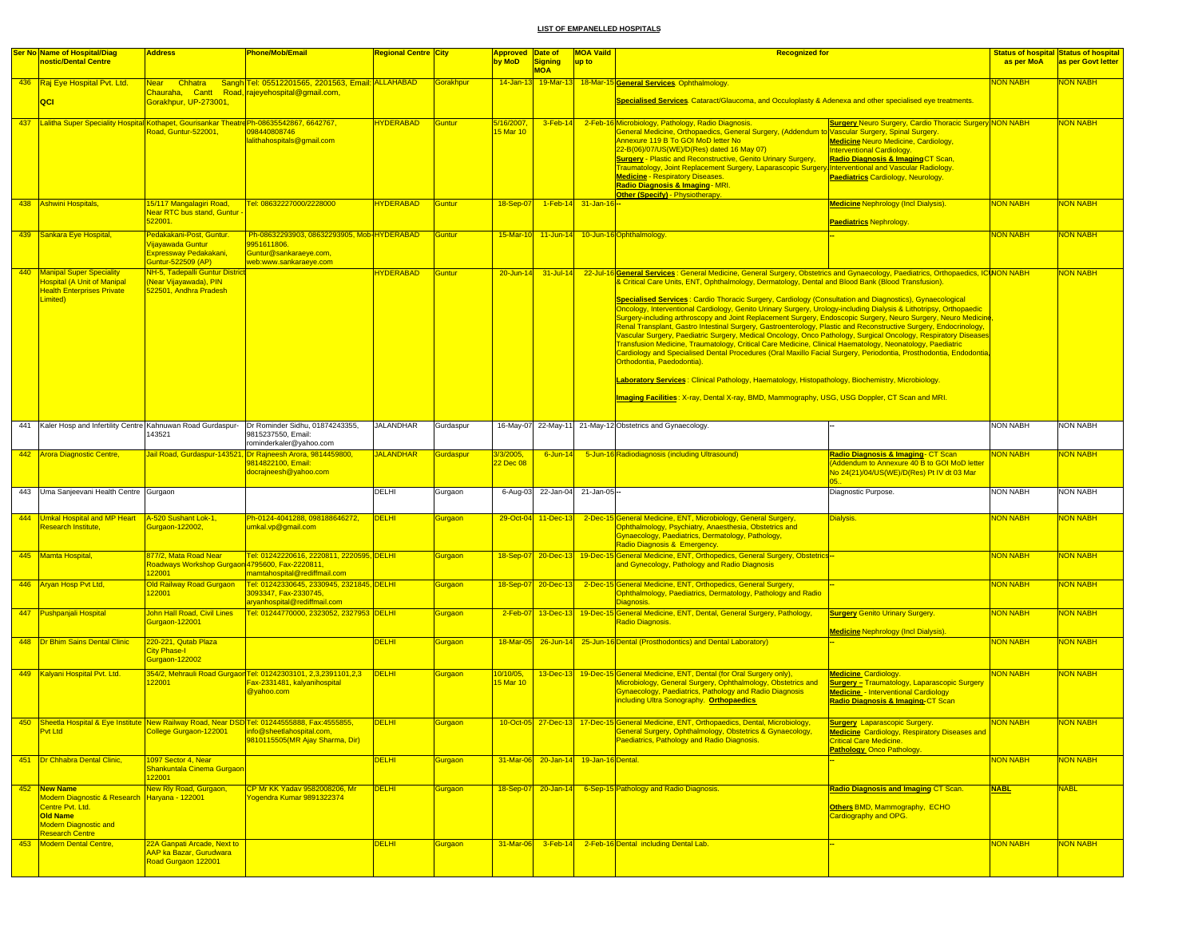|     | Ser No Name of Hospital/Diag<br>nostic/Dental Centre                                                                        | <b>Address</b>                                                                                             | Phone/Mob/Email                                                                                                                                                | <b>Regional Centre City</b> |                      | Approved Date of<br>by MoD | Signing                               | <b>MOA Vaild</b><br>up to | <b>Recognized for</b>                                                                                                                                                                                                                                                                                                                                                                                                                                                                                                                                                                                                                                                                                                        |                                                                                                                                                                                                                                        | <b>Status of hospital Status of hospital</b><br>as per MoA | as per Govt letter |
|-----|-----------------------------------------------------------------------------------------------------------------------------|------------------------------------------------------------------------------------------------------------|----------------------------------------------------------------------------------------------------------------------------------------------------------------|-----------------------------|----------------------|----------------------------|---------------------------------------|---------------------------|------------------------------------------------------------------------------------------------------------------------------------------------------------------------------------------------------------------------------------------------------------------------------------------------------------------------------------------------------------------------------------------------------------------------------------------------------------------------------------------------------------------------------------------------------------------------------------------------------------------------------------------------------------------------------------------------------------------------------|----------------------------------------------------------------------------------------------------------------------------------------------------------------------------------------------------------------------------------------|------------------------------------------------------------|--------------------|
|     |                                                                                                                             |                                                                                                            |                                                                                                                                                                |                             |                      |                            | <b>MOA</b>                            |                           |                                                                                                                                                                                                                                                                                                                                                                                                                                                                                                                                                                                                                                                                                                                              |                                                                                                                                                                                                                                        |                                                            |                    |
|     | 436 Raj Eye Hospital Pvt. Ltd.                                                                                              | Near Chhatra                                                                                               | Sangh Tel: 05512201565, 2201563, Email: ALLAHABAD<br>Chauraha, Cantt Road, rajeyehospital@gmail.com,                                                           |                             | <b>Gorakhpur</b>     | $14 - Jan - 13$            |                                       |                           | 19-Mar-13 18-Mar-15 General Services. Ophthalmology.                                                                                                                                                                                                                                                                                                                                                                                                                                                                                                                                                                                                                                                                         |                                                                                                                                                                                                                                        | <b>VON NABH</b>                                            | <b>VON NABH</b>    |
|     | QCI                                                                                                                         | Gorakhpur, UP-273001,                                                                                      |                                                                                                                                                                |                             |                      |                            |                                       |                           | Specialised Services. Cataract/Glaucoma, and Occuloplasty & Adenexa and other specialised eye treatments.                                                                                                                                                                                                                                                                                                                                                                                                                                                                                                                                                                                                                    |                                                                                                                                                                                                                                        |                                                            |                    |
|     | 437 Lalitha Super Speciality Hospital Kothapet, Gourisankar Theatre Ph-08635542867, 6642767,                                | Road, Guntur-522001.                                                                                       | 098440808746<br>alithahospitals@gmail.com                                                                                                                      | <b>HYDERABAD</b>            | Guntur               | 5/16/2007,<br>15 Mar 10    |                                       |                           | 3-Feb-14 2-Feb-16 Microbiology, Pathology, Radio Diagnosis.<br>General Medicine, Orthopaedics, General Surgery, (Addendum to Vascular Surgery, Spinal Surgery.<br>Annexure 119 B To GOI MoD letter No<br>22-B(06)/07/US(WE)/D(Res) dated 16 May 07)<br><b>Surgery - Plastic and Reconstructive, Genito Urinary Surgery,</b><br>Traumatology, Joint Replacement Surgery, Laparascopic Surgery Interventional and Vascular Radiology.<br><b>Medicine - Respiratory Diseases.</b><br>Radio Diagnosis & Imaging - MRI.<br>Other (Specify) - Physiotherapy.                                                                                                                                                                       | <b>Surgery Neuro Surgery, Cardio Thoracic Surgery NON NABH</b><br><b>Medicine Neuro Medicine, Cardiology,</b><br>nterventional Cardiology<br><mark>Radio Diagnosis &amp; Imaging</mark> CT Scan,<br>Paediatrics Cardiology, Neurology. |                                                            | <b>NON NABH</b>    |
|     | 438 Ashwini Hospitals,                                                                                                      | 15/117 Mangalagiri Road,<br><b>Near RTC bus stand, Guntur</b><br>522001.                                   | Tel: 08632227000/2228000                                                                                                                                       | <b>HYDERABAD</b>            | <b>Guntur</b>        | 18-Sep-07                  |                                       | 1-Feb-14 31-Jan-16 -      |                                                                                                                                                                                                                                                                                                                                                                                                                                                                                                                                                                                                                                                                                                                              | <b>Medicine Nephrology (Incl Dialysis).</b><br><b>Paediatrics Nephrology</b>                                                                                                                                                           | <b>NON NABH</b>                                            | <b>NON NABH</b>    |
|     | 439 Sankara Eye Hospital,                                                                                                   | Pedakakani-Post, Guntur.<br><mark>/ijayawada Guntur</mark><br>Expressway Pedakakani,<br>Guntur-522509 (AP) | Ph-08632293903, 08632293905, Mob-HYDERABAD<br>9951611806.<br>Guntur@sankaraeye.com,<br>web:www.sankaraeye.com                                                  |                             | <b>Guntur</b>        | 15-Mar-10                  |                                       |                           | 11-Jun-14 10-Jun-16 Ophthalmology.                                                                                                                                                                                                                                                                                                                                                                                                                                                                                                                                                                                                                                                                                           |                                                                                                                                                                                                                                        | NON NABH                                                   | <b>NON NABH</b>    |
|     | 440 Manipal Super Speciality<br>Hospital (A Unit of Manipal<br><b>Health Enterprises Private</b><br>Limited)                | <b>NH-5, Tadepalli Guntur District</b><br>Near Vijayawada), PIN<br>522501, Andhra Pradesh                  |                                                                                                                                                                | <b>HYDERABAD</b>            | Guntur               | $20 - Jun-14$              | 31-Jul-14                             |                           | 22-Jul-16 General Services : General Medicine, General Surgery, Obstetrics and Gynaecology, Paediatrics, Orthopaedics, ICINON NABH<br>& Critical Care Units, ENT, Ophthalmology, Dermatology, Dental and Blood Bank (Blood Transfusion).<br>Specialised Services : Cardio Thoracic Surgery, Cardiology (Consultation and Diagnostics), Gynaecological<br>Oncology, Interventional Cardiology, Genito Urinary Surgery, Urology-including Dialysis & Lithotripsy, Orthopaedic                                                                                                                                                                                                                                                  |                                                                                                                                                                                                                                        |                                                            | <b>NON NABH</b>    |
|     |                                                                                                                             |                                                                                                            |                                                                                                                                                                |                             |                      |                            |                                       |                           | Surgery-including arthroscopy and Joint Replacement Surgery, Endoscopic Surgery, Neuro Surgery, Neuro Medicine<br>Renal Transplant, Gastro Intestinal Surgery, Gastroenterology, Plastic and Reconstructive Surgery, Endocrinology,<br>Vascular Surgery, Paediatric Surgery, Medical Oncology, Onco Pathology, Surgical Oncology, Respiratory Diseases<br>Transfusion Medicine, Traumatology, Critical Care Medicine, Clinical Haematology, Neonatology, Paediatric<br>Cardiology and Specialised Dental Procedures (Oral Maxillo Facial Surgery, Periodontia, Prosthodontia, Endodontia,<br>Orthodontia, Paedodontia).<br>Laboratory Services: Clinical Pathology, Haematology, Histopathology, Biochemistry, Microbiology. |                                                                                                                                                                                                                                        |                                                            |                    |
|     |                                                                                                                             |                                                                                                            |                                                                                                                                                                |                             |                      |                            |                                       |                           | Imaging Facilities: X-ray, Dental X-ray, BMD, Mammography, USG, USG Doppler, CT Scan and MRI.                                                                                                                                                                                                                                                                                                                                                                                                                                                                                                                                                                                                                                |                                                                                                                                                                                                                                        |                                                            |                    |
|     |                                                                                                                             | 43521                                                                                                      | 441 Kaler Hosp and Infertility Centre Kahnuwan Road Gurdaspur- Dr Rominder Sidhu, 01874243355,<br>9815237550, Email:<br>rominderkaler@yahoo.com                | <b>JALANDHAR</b>            | Gurdaspur            |                            |                                       |                           | 16-May-07 22-May-11 21-May-12 Obstetrics and Gynaecology.                                                                                                                                                                                                                                                                                                                                                                                                                                                                                                                                                                                                                                                                    |                                                                                                                                                                                                                                        | <b>NON NABH</b>                                            | <b>NON NABH</b>    |
|     | 442 Arora Diagnostic Centre,                                                                                                |                                                                                                            | Jail Road, Gurdaspur-143521, Dr Rajneesh Arora, 9814459800,<br>9814822100, Email:<br>docrajneesh@yahoo.com                                                     | <b>JALANDHAR</b>            | <b>Surdaspur</b>     | 3/3/2005,<br>22 Dec 08     | $6$ -Jun-14                           |                           | 5-Jun-16 Radiodiagnosis (including Ultrasound)                                                                                                                                                                                                                                                                                                                                                                                                                                                                                                                                                                                                                                                                               | Radio Diagnosis & Imaging- CT Scan<br>Addendum to Annexure 40 B to GOI MoD letter<br>Vo 24(21)/04/US(WE)/D(Res) Pt IV dt 03 Mar                                                                                                        | NON NABH                                                   | <b>VON NABH</b>    |
|     | 443 Uma Sanjeevani Health Centre Gurgaon                                                                                    |                                                                                                            |                                                                                                                                                                | <b>DELHI</b>                | Gurgaon              |                            | 6-Aug-03 22-Jan-04 21-Jan-05 -        |                           |                                                                                                                                                                                                                                                                                                                                                                                                                                                                                                                                                                                                                                                                                                                              | Diagnostic Purpose.                                                                                                                                                                                                                    | <b>NON NABH</b>                                            | <b>NON NABH</b>    |
| 444 | Umkal Hospital and MP Heart<br>Research Institute,                                                                          | A-520 Sushant Lok-1,<br>Gurgaon-122002,                                                                    | Ph-0124-4041288, 098188646272,<br>umkal.vp@gmail.com                                                                                                           | <b>DELHI</b>                | <b>Surgaon</b>       |                            | 29-Oct-04 11-Dec-13                   |                           | 2-Dec-15 General Medicine, ENT, Microbiology, General Surgery,<br>Ophthalmology, Psychiatry, Anaesthesia, Obstetrics and<br>Gynaecology, Paediatrics, Dermatology, Pathology,<br>Radio Diagnosis & Emergency.                                                                                                                                                                                                                                                                                                                                                                                                                                                                                                                | Dialysis.                                                                                                                                                                                                                              | <b>NON NABH</b>                                            | <b>VON NABH</b>    |
|     | 445 Mamta Hospital,                                                                                                         | 877/2, Mata Road Near<br>Roadways Workshop Gurga<br>22001                                                  | <u> Tel: 01242220616, 2220811, 2220595, DELHI</u><br>4795600, Fax-2220811,<br>mamtahospital@rediffmail.com                                                     |                             | <b>Surgaon</b>       |                            |                                       |                           | 18-Sep-07 20-Dec-13 19-Dec-15 General Medicine, ENT, Orthopedics, General Surgery, Obstetrics-<br>and Gynecology, Pathology and Radio Diagnosis                                                                                                                                                                                                                                                                                                                                                                                                                                                                                                                                                                              |                                                                                                                                                                                                                                        | <b>NON NABH</b>                                            | <b>NON NABH</b>    |
|     | 446 Aryan Hosp Pvt Ltd,                                                                                                     | Old Railway Road Gurgaon<br>22001                                                                          | Tel: 01242330645, 2330945, 2321845, DELHI<br>3093347, Fax-2330745,<br>aryanhospital@rediffmail.com                                                             |                             | <b>Gurgaon</b>       |                            | 18-Sep-07 20-Dec-13                   |                           | 2-Dec-15 General Medicine, ENT, Orthopedics, General Surgery,<br>Ophthalmology, Paediatrics, Dermatology, Pathology and Radio<br><b>Diagnosis</b>                                                                                                                                                                                                                                                                                                                                                                                                                                                                                                                                                                            |                                                                                                                                                                                                                                        | NON NABH                                                   | <b>VON NABH</b>    |
|     | 447 Pushpanjali Hospital                                                                                                    | John Hall Road, Civil Lines<br>Gurgaon-122001                                                              | <u> Tel: 01244770000, 2323052, 2327953 DELHI</u>                                                                                                               |                             | <mark>Gurgaon</mark> | $2$ -Feb-07                |                                       |                           | 13-Dec-13 19-Dec-15 General Medicine, ENT, Dental, General Surgery, Pathology,<br>Radio Diagnosis.                                                                                                                                                                                                                                                                                                                                                                                                                                                                                                                                                                                                                           | <b>Surgery Genito Urinary Surgery</b><br><b>Medicine Nephrology (Incl Dialysis).</b>                                                                                                                                                   | NON NABH                                                   | NON NABH           |
|     | 448 <b>Dr Bhim Sains Dental Clinic</b>                                                                                      | 220-221, Qutab Plaza<br>City Phase-I<br>Gurgaon-122002                                                     |                                                                                                                                                                | <b>DELHI</b>                | Gurgaon              |                            |                                       |                           | 18-Mar-05 26-Jun-14 25-Jun-16 Dental (Prosthodontics) and Dental Laboratory)                                                                                                                                                                                                                                                                                                                                                                                                                                                                                                                                                                                                                                                 |                                                                                                                                                                                                                                        | NON NABH                                                   | <b>NON NABH</b>    |
|     | 449 Kalyani Hospital Pvt. Ltd.                                                                                              | 22001                                                                                                      | 354/2, Mehrauli Road Gurgaon Tel: 01242303101, 2,3,2391101,2,3<br>Fax-2331481, kalyanihospital<br>@yahoo.com                                                   | DELHI                       | <b>Gurgaon</b>       | 10/10/05,<br>15 Mar 10     |                                       |                           | 13-Dec-13 19-Dec-15 General Medicine, ENT, Dental (for Oral Surgery only),<br>Microbiology, General Surgery, Ophthalmology, Obstetrics and<br>Gynaecology, Paediatrics, Pathology and Radio Diagnosis<br>including Ultra Sonography. Orthopaedics                                                                                                                                                                                                                                                                                                                                                                                                                                                                            | <b>Medicine Cardiology.</b><br><b><u> Surgery – Traumatology, Laparascopic Surgery</u></b><br>Medicine - Interventional Cardiology<br>Radio Diagnosis & Imaging-CT Scan                                                                | <b>NON NABH</b>                                            | <b>NON NABH</b>    |
|     | <b>Pvt Ltd</b>                                                                                                              | College Gurgaon-122001                                                                                     | 450 Sheetla Hospital & Eye Institute New Railway Road, Near DSD Tel: 01244555888, Fax:4555855.<br>info@sheetlahospital.com,<br>9810115505(MR Ajay Sharma, Dir) | <b>DELHI</b>                | Gurgaon              |                            |                                       |                           | 10-Oct-05 27-Dec-13 17-Dec-15 General Medicine, ENT, Orthopaedics, Dental, Microbiology,<br>General Surgery, Ophthalmology, Obstetrics & Gynaecology,<br>Paediatrics, Pathology and Radio Diagnosis.                                                                                                                                                                                                                                                                                                                                                                                                                                                                                                                         | <b>Surgery Laparascopic Surgery.</b><br><b>Medicine</b> Cardiology, Respiratory Diseases and<br><b>Critical Care Medicine.</b><br><b>Pathology</b> Onco Pathology.                                                                     | <b>NON NABH</b>                                            | <b>NON NABH</b>    |
|     | 451   Dr Chhabra Dental Clinic,                                                                                             | 1097 Sector 4, Near<br>Shankuntala Cinema Gurgaon<br>122001                                                |                                                                                                                                                                | <b>DELHI</b>                | Gurgaon              |                            | 31-Mar-06 20-Jan-14 19-Jan-16 Dental. |                           |                                                                                                                                                                                                                                                                                                                                                                                                                                                                                                                                                                                                                                                                                                                              |                                                                                                                                                                                                                                        | <b>NON NABH</b>                                            | <b>NON NABH</b>    |
| 452 | New Name<br>Modern Diagnostic & Research<br>Centre Pvt. Ltd.<br>Old Name<br><b>Modern Diagnostic and</b><br>Research Centre | New Rly Road, Gurgaon,<br>Haryana - 122001                                                                 | CP Mr KK Yadav 9582008206, Mr<br>ogendra Kumar 9891322374                                                                                                      | <b>DELHI</b>                | <b>Gurgaon</b>       | 18-Sep-07                  | $20 - Jan - 14$                       |                           | 6-Sep-15 Pathology and Radio Diagnosis.                                                                                                                                                                                                                                                                                                                                                                                                                                                                                                                                                                                                                                                                                      | <b>Radio Diagnosis and Imaging CT Scan.</b><br>Others BMD, Mammography, ECHO<br>Cardiography and OPG.                                                                                                                                  | <b>NABL</b>                                                | <b>NABL</b>        |
| 453 | Modern Dental Centre.                                                                                                       | 22A Ganpati Arcade, Next to<br>AAP ka Bazar, Gurudwara<br>Road Gurgaon 122001                              |                                                                                                                                                                | <b>DELHI</b>                | Gurgaon              | 31-Mar-06                  |                                       |                           | 3-Feb-14 2-Feb-16 Dental including Dental Lab.                                                                                                                                                                                                                                                                                                                                                                                                                                                                                                                                                                                                                                                                               |                                                                                                                                                                                                                                        | <b>NON NABH</b>                                            | <b>NON NABH</b>    |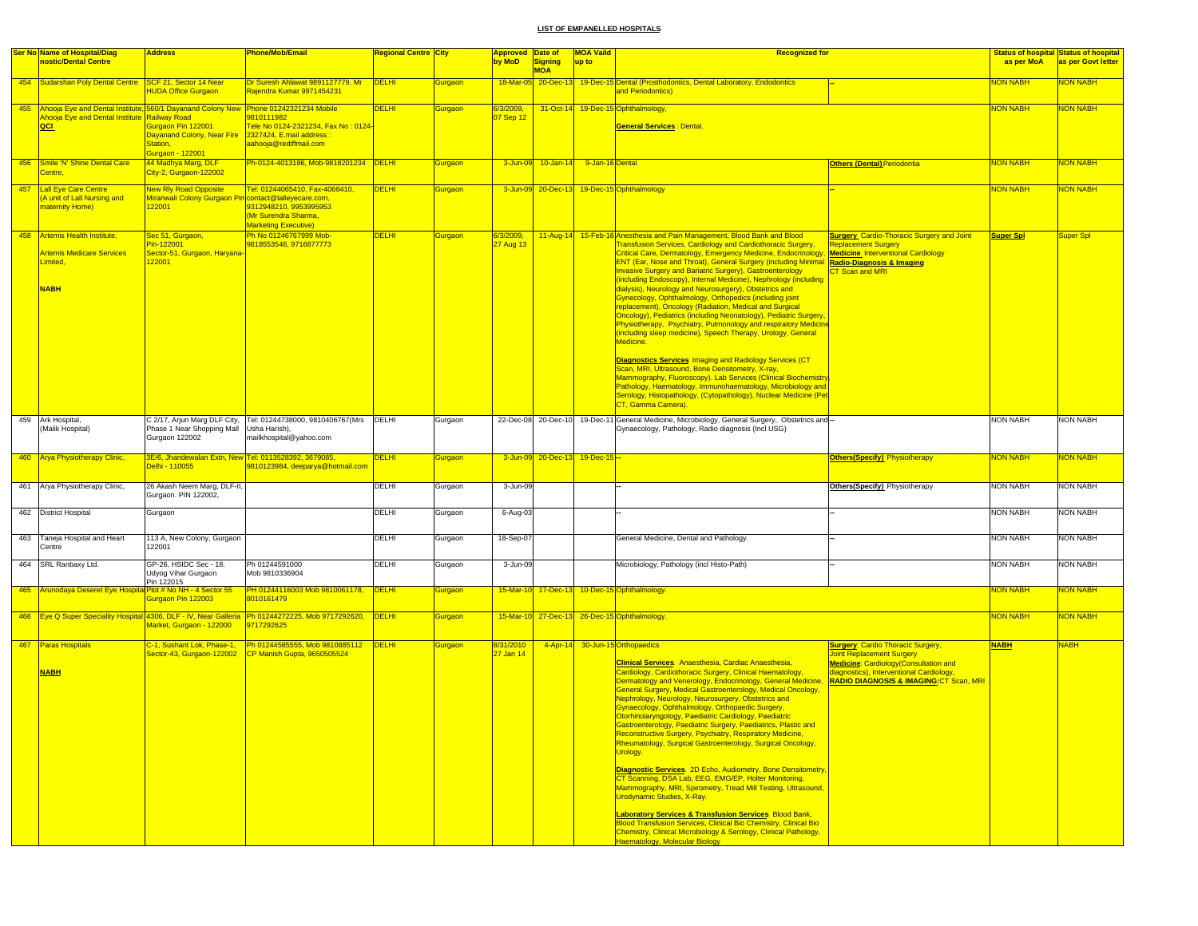|     | <b>Ser No Name of Hospital/Diag</b>                                                                                                                         | <b>Address</b>                                                                   | Phone/Mob/Email                                                                                                                             | <b>Regional Centre City</b> |                | <b>Approved Date of</b> |                              | <b>MOA Vaild</b>              | <b>Recognized for</b>                                                                                                                                                                                                                                                                                                                                                                                                                                                                                                                                                                                                                                                                                                                                                                                                                                                                                                                                                                                                                                                                                                                                                                                                                          |                                                                                                                                                                                                               |                  | <b>Status of hospital Status of hospital</b> |
|-----|-------------------------------------------------------------------------------------------------------------------------------------------------------------|----------------------------------------------------------------------------------|---------------------------------------------------------------------------------------------------------------------------------------------|-----------------------------|----------------|-------------------------|------------------------------|-------------------------------|------------------------------------------------------------------------------------------------------------------------------------------------------------------------------------------------------------------------------------------------------------------------------------------------------------------------------------------------------------------------------------------------------------------------------------------------------------------------------------------------------------------------------------------------------------------------------------------------------------------------------------------------------------------------------------------------------------------------------------------------------------------------------------------------------------------------------------------------------------------------------------------------------------------------------------------------------------------------------------------------------------------------------------------------------------------------------------------------------------------------------------------------------------------------------------------------------------------------------------------------|---------------------------------------------------------------------------------------------------------------------------------------------------------------------------------------------------------------|------------------|----------------------------------------------|
|     | nostic/Dental Centre                                                                                                                                        |                                                                                  |                                                                                                                                             |                             |                | by MoD                  | <b>Signing</b><br><b>MOA</b> | up to                         |                                                                                                                                                                                                                                                                                                                                                                                                                                                                                                                                                                                                                                                                                                                                                                                                                                                                                                                                                                                                                                                                                                                                                                                                                                                |                                                                                                                                                                                                               | as per MoA       | as per Govt letter                           |
|     | 454   Sudarshan Poly Dental Centre   SCF 21, Sector 14 Near                                                                                                 | <b>HUDA Office Gurgaon</b>                                                       | Dr Suresh Ahlawat 9891127779, Mr<br>Rajendra Kumar 9971454231                                                                               | DELHI                       | <b>Surgaon</b> |                         | 18-Mar-05 20-Dec-13          |                               | 19-Dec-15 Dental (Prosthodontics, Dental Laboratory, Endodontics<br>and Periodontics)                                                                                                                                                                                                                                                                                                                                                                                                                                                                                                                                                                                                                                                                                                                                                                                                                                                                                                                                                                                                                                                                                                                                                          |                                                                                                                                                                                                               | <b>NON NABH</b>  | NON NABH                                     |
|     | 455 Ahooja Eye and Dental Institute, 560/1 Dayanand Colony New Phone 01242321234 Mobile<br><mark>Ahooja Eye and Dental Institute Railway Road</mark><br>QCI | Gurgaon Pin 122001<br>Dayanand Colony, Near Fire<br>Station,<br>Gurgaon - 122001 | 9810111982<br>Tele No 0124-2321234, Fax No : 0124<br>2327424, E.mail address :<br>aahooja@rediffmail.com                                    | <b>DELHI</b>                | <b>Gurgaon</b> | 6/3/2009,<br>07 Sep 12  | 31-Oct-14                    |                               | 19-Dec-15 Ophthalmology,<br><b>General Services: Dental.</b>                                                                                                                                                                                                                                                                                                                                                                                                                                                                                                                                                                                                                                                                                                                                                                                                                                                                                                                                                                                                                                                                                                                                                                                   |                                                                                                                                                                                                               | <b>NON NABH</b>  | <b>NON NABH</b>                              |
|     | 456 Smile 'N' Shine Dental Care<br>Centre,                                                                                                                  | 44 Madhya Marg, DLF<br>City-2, Gurgaon-122002                                    | Ph-0124-4013186, Mob-9818201234 DELHI                                                                                                       |                             | Gurgaon        | 3-Jun-09                | $10 - Jan - 14$              | 9-Jan-16 Dental               |                                                                                                                                                                                                                                                                                                                                                                                                                                                                                                                                                                                                                                                                                                                                                                                                                                                                                                                                                                                                                                                                                                                                                                                                                                                | <b>Others (Dental) Periodontia</b>                                                                                                                                                                            | <b>NON NABH</b>  | <b>NON NABH</b>                              |
| 457 | <b>Lall Eye Care Centre</b><br>A unit of Lall Nursing and<br>maternity Home)                                                                                | <b>New Rly Road Opposite</b><br>Miranwali Colony Gurgaon F<br>122001             | Tel: 01244065410, Fax-4068410,<br>contact@lalleyecare.com,<br>9312948210, 9953995953<br>(Mr Surendra Sharma,<br><b>Marketing Executive)</b> | <b>DELHI</b>                | <b>Gurgaon</b> |                         | 3-Jun-09 20-Dec-13           |                               | 19-Dec-15 Ophthalmology                                                                                                                                                                                                                                                                                                                                                                                                                                                                                                                                                                                                                                                                                                                                                                                                                                                                                                                                                                                                                                                                                                                                                                                                                        |                                                                                                                                                                                                               | <b>NON NABH</b>  | <b>NON NABH</b>                              |
|     | 458 Artemis Health Institute,<br><b>Artemis Medicare Services</b><br>imited,<br><b>NABH</b>                                                                 | Sec 51, Gurgaon,<br>Pin-122001<br>Sector-51, Gurgaon, Haryana<br>22001           | Ph No 01246767999 Mob-<br>9818553546, 9716877773                                                                                            | <b>DELHI</b>                | Gurgaon        | 6/3/2009,<br>27 Aug 13  |                              |                               | 11-Aug-14 15-Feb-16 Anesthesia and Pain Management, Blood Bank and Blood<br><b>Transfusion Services, Cardiology and Cardiothoracic Surgery,</b><br>Critical Care, Dermatology, Emergency Medicine, Endocrinology, <b>Medicine</b> Interventional Cardiology<br>ENT (Ear, Nose and Throat), General Surgery (including Minimal Radio-Diagnosis & Imaging<br><b>Invasive Surgery and Bariatric Surgery), Gastroenterology</b><br>(including Endoscopy), Internal Medicine), Nephrology (including<br>dialysis), Neurology and Neurosurgery), Obstetrics and<br>Gynecology, Ophthalmology, Orthopedics (including joint<br>replacement), Oncology (Radiation, Medical and Surgical<br>Oncology), Pediatrics (including Neonatology), Pediatric Surgery,<br>Physiotherapy, Psychiatry, Pulmonology and respiratory Medicine<br>(including sleep medicine), Speech Therapy, Urology, General<br>Medicine.<br>Diagnostics Services Imaging and Radiology Services (CT<br>Scan, MRI, Ultrasound, Bone Densitometry, X-ray,<br>Mammography, Fluoroscopy). Lab Services (Clinical Biochemistry<br>Pathology, Haematology, Immunohaematology, Microbiology and<br>Serology, Histopathology, (Cytopathology), Nuclear Medicine (Pet<br>CT, Gamma Camera). | <b>Surgery</b> Cardio-Thoracic Surgery and Joint<br><b>Replacement Surgery</b><br>T Scan and MRI                                                                                                              | <b>Super Spl</b> | Super Spl                                    |
|     | 459 Ark Hospital,<br>(Malik Hospital)                                                                                                                       | Phase 1 Near Shopping Mall   Usha Harish),<br>Gurgaon 122002                     | C 2/17, Arjun Marg DLF City, Tel: 01244738000, 9810406767(Mrs DELHI<br>mailkhospital@yahoo.com                                              |                             | Gurgaon        |                         |                              |                               | 22-Dec-08 20-Dec-10 19-Dec-11 General Medicine, Microbiology, General Surgery, Obstetrics and-<br>Gynaecology, Pathology, Radio diagnosis (Incl USG)                                                                                                                                                                                                                                                                                                                                                                                                                                                                                                                                                                                                                                                                                                                                                                                                                                                                                                                                                                                                                                                                                           |                                                                                                                                                                                                               | <b>NON NABH</b>  | <b>NON NABH</b>                              |
|     | 460 Arya Physiotherapy Clinic,                                                                                                                              | Delhi - 110055                                                                   | 3E/6, Jhandewalan Extn, New Tel: 0113528392, 3679085,<br>9810123984, deeparya@hotmail.com                                                   | <b>DELHI</b>                | Gurgaon        |                         |                              | 3-Jun-09 20-Dec-13 19-Dec-15- |                                                                                                                                                                                                                                                                                                                                                                                                                                                                                                                                                                                                                                                                                                                                                                                                                                                                                                                                                                                                                                                                                                                                                                                                                                                | <b>Others (Specify)</b> Physiotherapy                                                                                                                                                                         | <b>NON NABH</b>  | NON NABH                                     |
|     | 461 Arya Physiotherapy Clinic,                                                                                                                              | 26 Akash Neem Marg, DLF-II,<br>Gurgaon. PIN 122002,                              |                                                                                                                                             | DELHI                       | Gurgaon        | 3-Jun-09                |                              |                               |                                                                                                                                                                                                                                                                                                                                                                                                                                                                                                                                                                                                                                                                                                                                                                                                                                                                                                                                                                                                                                                                                                                                                                                                                                                | <b>Others(Specify)</b> Physiotherapy                                                                                                                                                                          | <b>NON NABH</b>  | <b>NON NABH</b>                              |
|     | 462 District Hospital                                                                                                                                       | Gurgaon                                                                          |                                                                                                                                             | DELHI                       | Gurgaon        | 6-Aug-03                |                              |                               |                                                                                                                                                                                                                                                                                                                                                                                                                                                                                                                                                                                                                                                                                                                                                                                                                                                                                                                                                                                                                                                                                                                                                                                                                                                |                                                                                                                                                                                                               | <b>NON NABH</b>  | <b>NON NABH</b>                              |
|     | 463 Taneja Hospital and Heart<br>Centre                                                                                                                     | 113 A, New Colony, Gurgaon<br>122001                                             |                                                                                                                                             | <b>DELHI</b>                | Gurgaon        | 18-Sep-07               |                              |                               | General Medicine, Dental and Pathology.                                                                                                                                                                                                                                                                                                                                                                                                                                                                                                                                                                                                                                                                                                                                                                                                                                                                                                                                                                                                                                                                                                                                                                                                        |                                                                                                                                                                                                               | <b>NON NABH</b>  | <b>NON NABH</b>                              |
|     | 464 SRL Ranbaxy Ltd.                                                                                                                                        | GP-26, HSIDC Sec - 18.<br>Udyog Vihar Gurgaon<br>Pin 122015                      | Ph 01244591000<br>Mob 9810336904                                                                                                            | DELHI                       | Gurgaon        | 3-Jun-09                |                              |                               | Microbiology, Pathology (incl Histo-Path)                                                                                                                                                                                                                                                                                                                                                                                                                                                                                                                                                                                                                                                                                                                                                                                                                                                                                                                                                                                                                                                                                                                                                                                                      |                                                                                                                                                                                                               | NON NABH         | <b>NON NABH</b>                              |
|     | 465 Arunodaya Deseret Eye Hospital Plot # No NH - 4 Sector 55                                                                                               | Gurgaon Pin 122003                                                               | PH 01244116003 Mob 9810061178,<br>8010161479                                                                                                | <b>DELHI</b>                | <b>Gurgaon</b> |                         |                              |                               | 15-Mar-10 17-Dec-13 10-Dec-15 Ophthalmology.                                                                                                                                                                                                                                                                                                                                                                                                                                                                                                                                                                                                                                                                                                                                                                                                                                                                                                                                                                                                                                                                                                                                                                                                   |                                                                                                                                                                                                               | <b>NON NABH</b>  | NON NABH                                     |
|     |                                                                                                                                                             | Market, Gurgaon - 122000                                                         | 466   Eye Q Super Speciality Hospital 4306, DLF - IV, Near Galleria   Ph 01244272225, Mob 9717292620,   DELHI<br>717292625                  |                             | Gurgaon        |                         |                              |                               | 15-Mar-10 27-Dec-13 26-Dec-15 Ophthalmology.                                                                                                                                                                                                                                                                                                                                                                                                                                                                                                                                                                                                                                                                                                                                                                                                                                                                                                                                                                                                                                                                                                                                                                                                   |                                                                                                                                                                                                               | <b>NON NABH</b>  | <b>NON NABH</b>                              |
|     | 467 Paras Hospitals<br><b>NABH</b>                                                                                                                          | C-1, Sushant Lok, Phase-1,<br>Sector-43, Gurgaon-122002                          | Ph 01244585555, Mob 9810885112   DELHI<br>CP Manish Gupta, 9650505524                                                                       |                             | <b>Gurgaon</b> | 3/31/2010<br>27 Jan 14  |                              |                               | 4-Apr-14 30-Jun-15 Orthopaedics<br><b>Clinical Services</b> . Anaesthesia, Cardiac Anaesthesia,<br>Cardiology, Cardiothoracic Surgery, Clinical Haematology,<br>Dermatology and Venerology, Endocrinology, General Medicine,<br>General Surgery, Medical Gastroenterology, Medical Oncology,<br>Nephrology, Neurology, Neurosurgery, Obstetrics and<br>Gynaecology, Ophthalmology, Orthopaedic Surgery,<br>Otorhinolaryngology, Paediatric Cardiology, Paediatric<br>astroenterology, Paediatric Surgery, Paediatrics. Plastic and<br>Reconstructive Surgery, Psychiatry, Respiratory Medicine,<br>Rheumatology, Surgical Gastroenterology, Surgical Oncology,<br>Urology.<br>Diagnostic Services. 2D Echo, Audiometry, Bone Densitometry,<br>CT Scanning, DSA Lab, EEG, EMG/EP, Holter Monitoring,<br>Mammography, MRI, Spirometry, Tread Mill Testing, Ultrasound,<br>Urodynamic Studies, X-Ray.<br><b>Laboratory Services &amp; Transfusion Services Blood Bank,</b><br>Blood Transfusion Services, Clinical Bio Chemistry, Clinical Bio<br>Chemistry, Clinical Microbiology & Serology, Clinical Pathology,<br>Haematology, Molecular Biology                                                                                              | <b>Surgery: Cardio Thoracic Surgery,</b><br>Joint Replacement Surgery<br><b>Medicine: Cardiology (Consultation and</b><br>diagnostics), Interventional Cardiology,<br>RADIO DIAGNOSIS & IMAGING: CT Scan, MRI | <b>NABH</b>      | NABH                                         |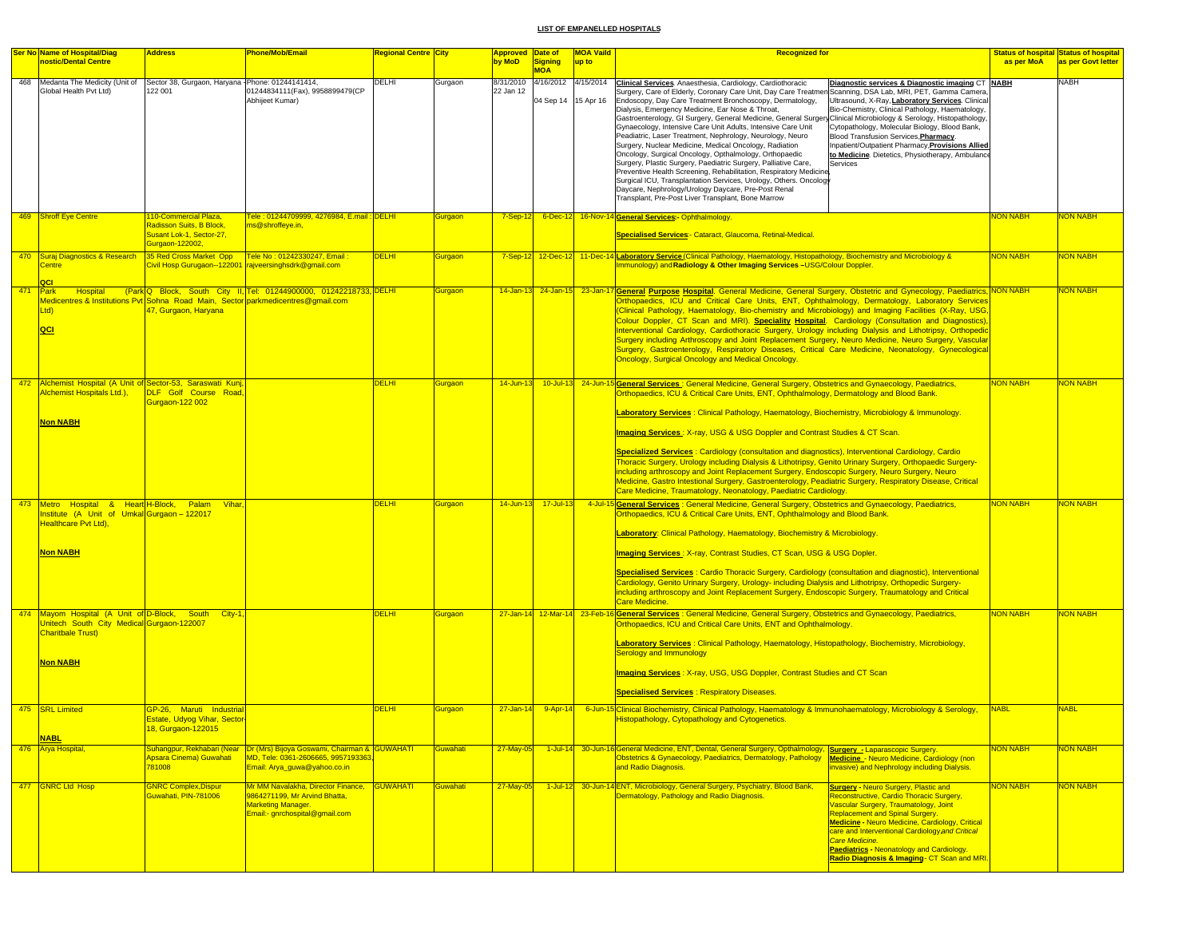| Ser No Name of Hospital/Diag                                                                                                                                | <b>Address</b>                                                                | Phone/Mob/Email                                                                                                                                        | <b>Regional Centre City</b>  |                                  | <b>Approved Date of</b> |                                             | <b>MOA Vaild</b> | <b>Recognized for</b>                                                                                                                                                                                                                                                                                                                                                                                                                                                                                                                                                                                                                                                                                                                                                                                                                                                                                                                                                                                                                                                                                                                                                                                                                                                                                                                                                    |                                | <b>Status of hospital Status of hospital</b> |
|-------------------------------------------------------------------------------------------------------------------------------------------------------------|-------------------------------------------------------------------------------|--------------------------------------------------------------------------------------------------------------------------------------------------------|------------------------------|----------------------------------|-------------------------|---------------------------------------------|------------------|--------------------------------------------------------------------------------------------------------------------------------------------------------------------------------------------------------------------------------------------------------------------------------------------------------------------------------------------------------------------------------------------------------------------------------------------------------------------------------------------------------------------------------------------------------------------------------------------------------------------------------------------------------------------------------------------------------------------------------------------------------------------------------------------------------------------------------------------------------------------------------------------------------------------------------------------------------------------------------------------------------------------------------------------------------------------------------------------------------------------------------------------------------------------------------------------------------------------------------------------------------------------------------------------------------------------------------------------------------------------------|--------------------------------|----------------------------------------------|
| nostic/Dental Centre                                                                                                                                        |                                                                               |                                                                                                                                                        |                              |                                  | by MoD                  | Signing<br><b>MOA</b>                       | up to            |                                                                                                                                                                                                                                                                                                                                                                                                                                                                                                                                                                                                                                                                                                                                                                                                                                                                                                                                                                                                                                                                                                                                                                                                                                                                                                                                                                          | as per MoA                     | as per Govt letter                           |
| 468 Medanta The Medicity (Unit of<br>Global Health Pvt Ltd)                                                                                                 | Sector 38, Gurgaon, Haryana - Phone: 01244141414,<br>122 001                  | 01244834111(Fax), 9958899479(CP<br>Abhijeet Kumar)                                                                                                     | DELHI                        | Gurgaon                          | 8/31/2010<br>22 Jan 12  | 4/16/2012 4/15/2014<br>04 Sep 14 15 Apr 16  |                  | <b>Clinical Services</b> . Anaesthesia, Cardiology, Cardiothoracic<br>Diagnostic services & Diagnostic imaging CT NABH<br>Surgery, Care of Elderly, Coronary Care Unit, Day Care Treatmen Scanning, DSA Lab, MRI, PET, Gamma Camera.<br>Endoscopy, Day Care Treatment Bronchoscopy, Dermatology,<br>Ultrasound, X-Ray, Laboratory Services. Clinical<br>Dialysis, Emergency Medicine, Ear Nose & Throat,<br>Bio-Chemistry, Clinical Pathology, Haematology,<br>Gastroenterology, GI Surgery, General Medicine, General Surgery Clinical Microbiology & Serology, Histopathology,<br>Gynaecology, Intensive Care Unit Adults, Intensive Care Unit<br>Cytopathology, Molecular Biology, Blood Bank,<br>Peadiatric, Laser Treatment, Nephrology, Neurology, Neuro<br>Blood Transfusion Services, Pharmacy.<br>Surgery, Nuclear Medicine, Medical Oncology, Radiation<br>Inpatient/Outpatient Pharmacy, Provisions Allied<br>Oncology, Surgical Oncology, Opthalmology, Orthopaedic<br>to Medicine. Dietetics, Physiotherapy, Ambulance<br>Surgery, Plastic Surgery, Paediatric Surgery, Palliative Care,<br>Services<br>Preventive Health Screening, Rehabilitation, Respiratory Medicine<br>Surgical ICU, Transplantation Services, Urology, Others. Oncology<br>Daycare, Nephrology/Urology Daycare, Pre-Post Renal<br>Transplant, Pre-Post Liver Transplant, Bone Marrow |                                | NABH                                         |
| 469 Shroff Eye Centre                                                                                                                                       | 110-Commercial Plaza,<br>Radisson Suits, B Block,<br>Susant Lok-1, Sector-27, | ele : 01244709999, 4276984, E.mail : DELHI<br>ms@shroffeye.in,                                                                                         |                              | <b>Gurgaon</b>                   | $7-Sep-12$              |                                             |                  | 6-Dec-12 16-Nov-14 General Services: - Ophthalmology.<br>Specialised Services:- Cataract, Glaucoma, Retinal-Medical.                                                                                                                                                                                                                                                                                                                                                                                                                                                                                                                                                                                                                                                                                                                                                                                                                                                                                                                                                                                                                                                                                                                                                                                                                                                     | <b>VON NABH</b>                | <b>JON NABH</b>                              |
| 470 Suraj Diagnostics & Research<br><b>Centre</b>                                                                                                           | Gurgaon-122002,<br>35 Red Cross Market Opp                                    | Fele No : 01242330247, Email :<br>Civil Hosp Gurugaon--122001 rajveersinghsdrk@gmail.com                                                               | DELHI                        | <b>Gurgaon</b>                   |                         |                                             |                  | 7-Sep-12 12-Dec-12 11-Dec-14 Laboratory Service (Clinical Pathology, Haematology, Histopathology, Biochemistry and Microbiology &<br>Immunology) and Radiology & Other Imaging Services -USG/Colour Doppler.                                                                                                                                                                                                                                                                                                                                                                                                                                                                                                                                                                                                                                                                                                                                                                                                                                                                                                                                                                                                                                                                                                                                                             | <b>NON NABH</b>                | <b>JON NABH</b>                              |
| 471 Park<br>Hospital<br>Ltd<br>QCI                                                                                                                          | 47, Gurgaon, Haryana                                                          | (Park Q Block, South City II, Tel: 01244900000, 01242218733, DELHI<br>Medicentres & Institutions Pvt Sohna Road Main, Sector parkmedicentres@gmail.com |                              | <b>Gurgaon</b>                   |                         |                                             |                  | 14-Jan-13 24-Jan-15 23-Jan-17 General Purpose Hospital. General Medicine, General Surgery, Obstetric and Gynecology, Paediatrics, NON NABH<br>Orthopaedics, ICU and Critical Care Units, ENT, Ophthalmology, Dermatology, Laboratory Services<br>(Clinical Pathology, Haematology, Bio-chemistry and Microbiology) and Imaging Facilities (X-Ray, USG,<br>Colour Doppler, CT Scan and MRI). Speciality Hospital. Cardiology (Consultation and Diagnostics),<br>Interventional Cardiology, Cardiothoracic Surgery, Urology including Dialysis and Lithotripsy, Orthopedic<br>Surgery including Arthroscopy and Joint Replacement Surgery, Neuro Medicine, Neuro Surgery, Vascular<br>Surgery, Gastroenterology, Respiratory Diseases, Critical Care Medicine, Neonatology, Gynecological<br>Oncology, Surgical Oncology and Medical Oncology.                                                                                                                                                                                                                                                                                                                                                                                                                                                                                                                             |                                | <b>VON NABH</b>                              |
| 472 Alchemist Hospital (A Unit of Sector-53, Saraswati Kunj<br>Alchemist Hospitals Ltd.),<br><b>Non NABH</b>                                                | DLF Golf Course Road.<br><b>Gurgaon-122 002</b>                               |                                                                                                                                                        | <b>DELHI</b>                 | <b>Gurgaon</b>                   | $14$ -Jun-13            |                                             |                  | 10-Jul-13 24-Jun-15 General Services: General Medicine, General Surgery, Obstetrics and Gynaecology, Paediatrics,<br>Orthopaedics, ICU & Critical Care Units, ENT, Ophthalmology, Dermatology and Blood Bank.<br>Laboratory Services: Clinical Pathology, Haematology, Biochemistry, Microbiology & Immunology.<br><b>Imaging Services: X-ray, USG &amp; USG Doppler and Contrast Studies &amp; CT Scan.</b><br>Specialized Services: Cardiology (consultation and diagnostics), Interventional Cardiology, Cardio<br>Thoracic Surgery, Urology including Dialysis & Lithotripsy, Genito Urinary Surgery, Orthopaedic Surgery-<br>including arthroscopy and Joint Replacement Surgery, Endoscopic Surgery, Neuro Surgery, Neuro<br>Medicine, Gastro Intestional Surgery, Gastroenterology, Peadiatric Surgery, Respiratory Disease, Critical<br>Care Medicine, Traumatology, Neonatology, Paediatric Cardiology.                                                                                                                                                                                                                                                                                                                                                                                                                                                         | <b>NON NABH</b>                | <b>NON NABH</b>                              |
| 473 Metro Hospital & Heart H-Block, Palam<br>nstitute (A Unit of Umkal Gurgaon - 122017<br>Healthcare Pvt Ltd),<br><b>Non NABH</b>                          | <b>Vihar</b>                                                                  |                                                                                                                                                        | <b>DELHI</b>                 | <b>Gurgaon</b>                   | $14$ -Jun-13            | $17 -$ Jul-13                               |                  | 4-Jul-15 General Services : General Medicine, General Surgery, Obstetrics and Gynaecology, Paediatrics,<br>Orthopaedics, ICU & Critical Care Units, ENT, Ophthalmology and Blood Bank.<br><b>Laboratory: Clinical Pathology, Haematology, Biochemistry &amp; Microbiology.</b><br>Imaging Services : X-ray, Contrast Studies, CT Scan, USG & USG Dopler.<br><b>Specialised Services: Cardio Thoracic Surgery, Cardiology (consultation and diagnostic), Interventional</b><br>Cardiology, Genito Urinary Surgery, Urology- including Dialysis and Lithotripsy, Orthopedic Surgery-<br>including arthroscopy and Joint Replacement Surgery, Endoscopic Surgery, Traumatology and Critical<br><b>Care Medicine.</b>                                                                                                                                                                                                                                                                                                                                                                                                                                                                                                                                                                                                                                                        | <b>NON NABH</b>                | NON NABH                                     |
| 474 Mayom Hospital (A Unit of D-Block, South<br>Jnitech South City Medical Gurgaon-122007<br><b>Charitbale Trust)</b><br><b>Non NABH</b><br>475 SRL Limited | City-1<br>GP-26, Maruti Industrial                                            |                                                                                                                                                        | <b>DELHI</b><br><b>DELHI</b> | <b>Gurgaon</b><br><b>Gurgaon</b> | $27 - Jan - 14$         | 27-Jan-14 12-Mar-14 23-Feb-<br>$9 -$ Apr-14 |                  | General Services : General Medicine, General Surgery, Obstetrics and Gynaecology, Paediatrics,<br>Orthopaedics, ICU and Critical Care Units, ENT and Ophthalmology.<br><b>Laboratory Services: Clinical Pathology, Haematology, Histopathology, Biochemistry, Microbiology,</b><br><b>Serology and Immunology</b><br>Imaging Services: X-ray, USG, USG Doppler, Contrast Studies and CT Scan<br><b>Specialised Services: Respiratory Diseases.</b><br>6-Jun-15 Clinical Biochemistry, Clinical Pathology, Haematology & Immunohaematology, Microbiology & Serology,                                                                                                                                                                                                                                                                                                                                                                                                                                                                                                                                                                                                                                                                                                                                                                                                      | <b>NON NABH</b><br><b>NABL</b> | <b>NON NABH</b><br><b>NABL</b>               |
| <b>NABL</b>                                                                                                                                                 | Estate, Udyog Vihar, Sector<br>18, Gurgaon-122015                             |                                                                                                                                                        |                              |                                  |                         |                                             |                  | Histopathology, Cytopathology and Cytogenetics.                                                                                                                                                                                                                                                                                                                                                                                                                                                                                                                                                                                                                                                                                                                                                                                                                                                                                                                                                                                                                                                                                                                                                                                                                                                                                                                          |                                |                                              |
| 476 Arva Hospital.                                                                                                                                          | Apsara Cinema) Guwahati<br>781008                                             | Suhangpur, Rekhabari (Near   Dr (Mrs) Bijoya Goswami, Chairman & GUWAHATI  <br>MD. Tele: 0361-2606665, 9957193363<br>Email: Arya_quwa@yahoo.co.in      |                              | Guwahati                         | $27$ -May-05            |                                             |                  | 1-Jul-14 30-Jun-16 General Medicine, ENT, Dental, General Surgery, Opthalmology, Surgery - Laparascopic Surgery.<br>Obstetrics & Gynaecology, Paediatrics, Dermatology, Pathology<br><b>Medicine - Neuro Medicine, Cardiology (non</b><br>and Radio Diagnosis.<br>nvasive) and Nephrology including Dialysis.                                                                                                                                                                                                                                                                                                                                                                                                                                                                                                                                                                                                                                                                                                                                                                                                                                                                                                                                                                                                                                                            | <b>NON NABH</b>                | <b>HANDINO</b>                               |
| 477 GNRC Ltd Hosp                                                                                                                                           | <b>GNRC Complex, Dispur</b><br>Guwahati, PIN-781006                           | Mr MM Navalakha, Director Finance, GUWAHATI<br>9864271199, Mr Arvind Bhatta,<br>Marketing Manager.<br>Email:- gnrchospital@gmail.com                   |                              | Guwahati                         | 27-May-05               |                                             |                  | 1-Jul-12 30-Jun-14 ENT, Microbiology, General Surgery, Psychiatry, Blood Bank,<br><b>Surgery - Neuro Surgery, Plastic and</b><br>Dermatology, Pathology and Radio Diagnosis.<br>Reconstructive, Cardio Thoracic Surgery,<br>Vascular Surgery, Traumatology, Joint<br><b>Replacement and Spinal Surgery.</b><br>Medicine - Neuro Medicine, Cardiology, Critical<br>care and Interventional Cardiology and Critical<br>Care Medicine.<br><b>Paediatrics - Neonatology and Cardiology.</b><br>Radio Diagnosis & Imaging - CT Scan and MRI.                                                                                                                                                                                                                                                                                                                                                                                                                                                                                                                                                                                                                                                                                                                                                                                                                                  | <b>NON NABH</b>                | <b>NON NABH</b>                              |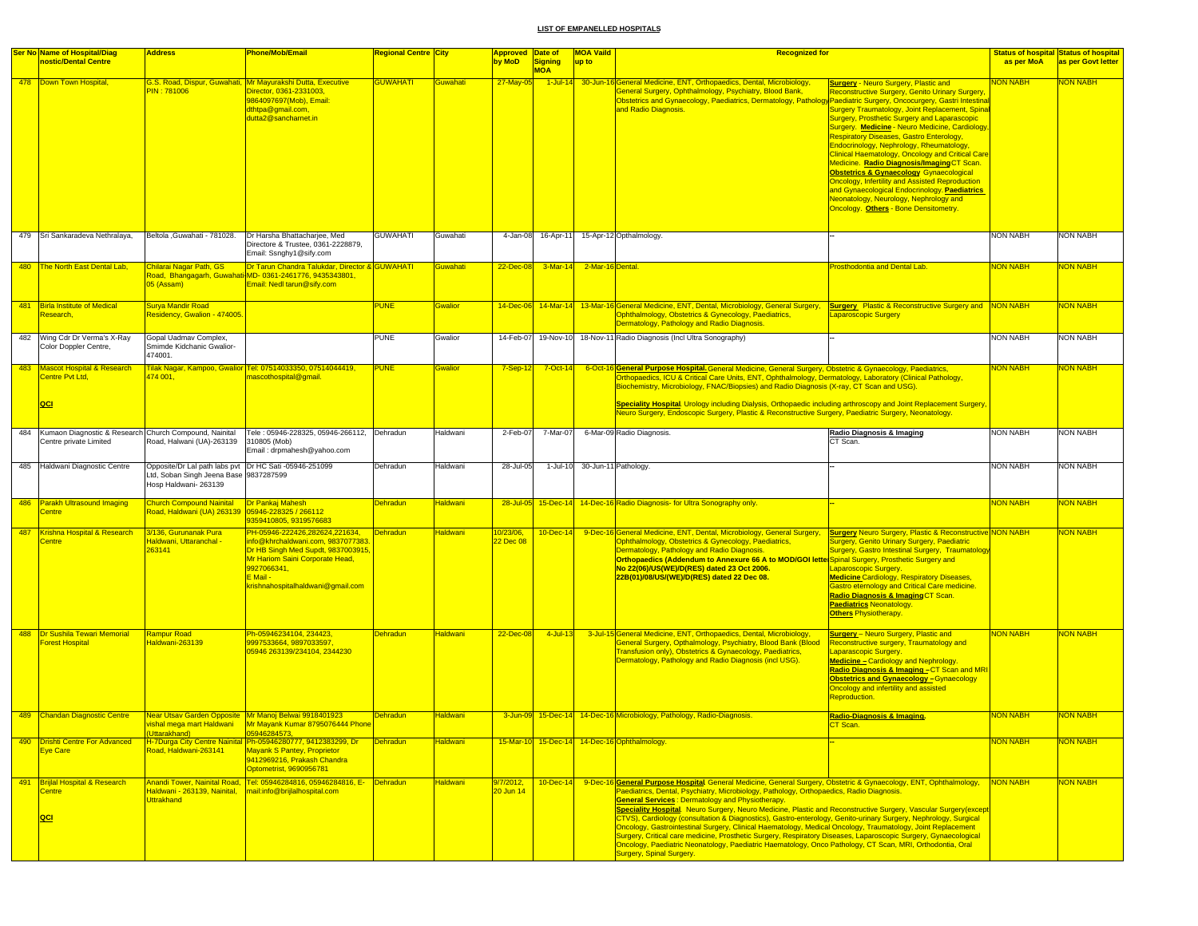| <b>Ser No Name of Hospital/Diag</b>                                                  | <b>Address</b>                                                                                                            | <b>Phone/Mob/Email</b>                                                                                                                                                                                      | Regional Centre City |                 | Approved Date of       |                              | <b>MOA Vaild</b> | <b>Recognized for</b>                                                                                                                                                                                                                                                                                                                                                                                                                                                                                                                                                                                                                                                                                                                                                                                                                                                                            |                                                                                                                                                                                                                                                                                                                                                                                                                                                                                                                                                                                                                                                                                                                 |                 | <b>Status of hospital Status of hospital</b> |
|--------------------------------------------------------------------------------------|---------------------------------------------------------------------------------------------------------------------------|-------------------------------------------------------------------------------------------------------------------------------------------------------------------------------------------------------------|----------------------|-----------------|------------------------|------------------------------|------------------|--------------------------------------------------------------------------------------------------------------------------------------------------------------------------------------------------------------------------------------------------------------------------------------------------------------------------------------------------------------------------------------------------------------------------------------------------------------------------------------------------------------------------------------------------------------------------------------------------------------------------------------------------------------------------------------------------------------------------------------------------------------------------------------------------------------------------------------------------------------------------------------------------|-----------------------------------------------------------------------------------------------------------------------------------------------------------------------------------------------------------------------------------------------------------------------------------------------------------------------------------------------------------------------------------------------------------------------------------------------------------------------------------------------------------------------------------------------------------------------------------------------------------------------------------------------------------------------------------------------------------------|-----------------|----------------------------------------------|
| nostic/Dental Centre                                                                 |                                                                                                                           |                                                                                                                                                                                                             |                      |                 | by MoD                 | <b>Signing</b><br><b>MOA</b> | up to            |                                                                                                                                                                                                                                                                                                                                                                                                                                                                                                                                                                                                                                                                                                                                                                                                                                                                                                  |                                                                                                                                                                                                                                                                                                                                                                                                                                                                                                                                                                                                                                                                                                                 | as per MoA      | as per Govt letter                           |
| 478 Down Town Hospital,                                                              | PIN: 781006                                                                                                               | G.S. Road, Dispur, Guwahati, Mr Mayurakshi Dutta, Executive<br>Director, 0361-2331003,<br>9864097697(Mob), Email:<br>dthtpa@gmail.com,<br>dutta2@sancharnet.in                                              | <b>GUWAHATI</b>      | Guwahati        | 27-May-0               | $1$ -Jul-14                  |                  | 30-Jun-16 General Medicine, ENT, Orthopaedics, Dental, Microbiology,<br>General Surgery, Ophthalmology, Psychiatry, Blood Bank,<br>Obstetrics and Gynaecology, Paediatrics, Dermatology, Pathology Paediatric Surgery, Oncocurgery, Gastri Intestinal<br>and Radio Diagnosis.                                                                                                                                                                                                                                                                                                                                                                                                                                                                                                                                                                                                                    | <b>Surgery - Neuro Surgery, Plastic and</b><br>Reconstructive Surgery, Genito Urinary Surgery,<br>Surgery Traumatology, Joint Replacement, Spinal<br>Surgery, Prosthetic Surgery and Laparascopic<br>Surgery. Medicine - Neuro Medicine, Cardiology<br><b>Respiratory Diseases, Gastro Enterology,</b><br>Endocrinology, Nephrology, Rheumatology,<br><b>Clinical Haematology, Oncology and Critical Care</b><br>Medicine. Radio Diagnosis/Imaging CT Scan.<br><b>Obstetrics &amp; Gynaecology Gynaecological</b><br><b>Oncology, Infertility and Assisted Reproduction</b><br>and Gynaecological Endocrinology. Paediatrics<br>Neonatology, Neurology, Nephrology and<br>Oncology. Others - Bone Densitometry. | <b>ION NABH</b> | <b>VON NABH</b>                              |
| 479 Sri Sankaradeva Nethralaya,                                                      | Beltola , Guwahati - 781028.                                                                                              | Dr Harsha Bhattacharjee, Med<br>Directore & Trustee, 0361-2228879,<br>Email: Ssnghy1@sify.com                                                                                                               | GUWAHATI             | Guwahati        | 4-Jan-08               | 16-Apr-11                    |                  | 15-Apr-12 Opthalmology.                                                                                                                                                                                                                                                                                                                                                                                                                                                                                                                                                                                                                                                                                                                                                                                                                                                                          |                                                                                                                                                                                                                                                                                                                                                                                                                                                                                                                                                                                                                                                                                                                 | NON NABH        | <b>NON NABH</b>                              |
| 480 The North East Dental Lab,                                                       | Chilarai Nagar Path, GS<br>05 (Assam)                                                                                     | Dr Tarun Chandra Talukdar, Director & GUWAHATI<br>Road, Bhangagarh, Guwahati-MD-0361-2461776, 9435343801,<br>Email: Nedl tarun@sify.com                                                                     |                      | Guwahati        | 22-Dec-08              | $3-Mar-14$                   | 2-Mar-16 Dental. |                                                                                                                                                                                                                                                                                                                                                                                                                                                                                                                                                                                                                                                                                                                                                                                                                                                                                                  | Prosthodontia and Dental Lab.                                                                                                                                                                                                                                                                                                                                                                                                                                                                                                                                                                                                                                                                                   | <b>NON NABH</b> | <b>NON NABH</b>                              |
| 481 Birla Institute of Medical<br>Research,                                          | Surya Mandir Road<br>Residency, Gwalion - 474005.                                                                         |                                                                                                                                                                                                             | <b>PUNE</b>          | <b>Gwalior</b>  | 14-Dec-06              |                              |                  | 14-Mar-14 13-Mar-16 General Medicine, ENT, Dental, Microbiology, General Surgery, Surgery Plastic & Reconstructive Surgery and NON NABH<br>Ophthalmology, Obstetrics & Gynecology, Paediatrics,<br>Dermatology, Pathology and Radio Diagnosis.                                                                                                                                                                                                                                                                                                                                                                                                                                                                                                                                                                                                                                                   | aparoscopic Surgery                                                                                                                                                                                                                                                                                                                                                                                                                                                                                                                                                                                                                                                                                             |                 | <b>NON NABH</b>                              |
| 482 Wing Cdr Dr Verma's X-Ray<br>Color Doppler Centre,                               | Gopal Uadmav Complex,<br>Smimde Kidchanic Gwalior-<br>474001.                                                             |                                                                                                                                                                                                             | PUNE                 | Gwalior         | 14-Feb-07              | 19-Nov-10                    |                  | 18-Nov-11 Radio Diagnosis (Incl Ultra Sonography)                                                                                                                                                                                                                                                                                                                                                                                                                                                                                                                                                                                                                                                                                                                                                                                                                                                |                                                                                                                                                                                                                                                                                                                                                                                                                                                                                                                                                                                                                                                                                                                 | <b>NON NABH</b> | <b>NON NABH</b>                              |
| 483 Mascot Hospital & Research<br>Centre Pvt Ltd,<br> QCI                            | 474 001,                                                                                                                  | <u> Filak Nagar, Kampoo, Gwalior Tel: 07514033350, 07514044419,</u><br>mascothospital@gmail.                                                                                                                | PUNE                 | <b>Gwalior</b>  | $7-Sep-12$             | 7-Oct-14                     | 6-Oct-1          | 6 <mark>General Purpose Hospital.</mark> General Medicine, General Surgery, Obstetric & Gynaecology, Paediatrics,<br>Orthopaedics, ICU & Critical Care Units, ENT, Ophthalmology, Dermatology, Laboratory (Clinical Pathology,<br>Biochemistry, Microbiology, FNAC/Biopsies) and Radio Diagnosis (X-ray, CT Scan and USG).<br>Speciality Hospital. Urology including Dialysis, Orthopaedic including arthroscopy and Joint Replacement Surgery,<br>Neuro Surgery, Endoscopic Surgery, Plastic & Reconstructive Surgery, Paediatric Surgery, Neonatology.                                                                                                                                                                                                                                                                                                                                         |                                                                                                                                                                                                                                                                                                                                                                                                                                                                                                                                                                                                                                                                                                                 | <b>NON NABH</b> | NON NABH                                     |
|                                                                                      |                                                                                                                           |                                                                                                                                                                                                             |                      |                 |                        |                              |                  |                                                                                                                                                                                                                                                                                                                                                                                                                                                                                                                                                                                                                                                                                                                                                                                                                                                                                                  |                                                                                                                                                                                                                                                                                                                                                                                                                                                                                                                                                                                                                                                                                                                 |                 |                                              |
| 484 Kumaon Diagnostic & Research Church Compound, Nainital<br>Centre private Limited | Road, Halwani (UA)-263139                                                                                                 | Tele: 05946-228325, 05946-266112, Dehradun<br>310805 (Mob)<br>Email: drpmahesh@yahoo.com                                                                                                                    |                      | Haldwani        | 2-Feb-07               | 7-Mar-07                     |                  | 6-Mar-09 Radio Diagnosis.                                                                                                                                                                                                                                                                                                                                                                                                                                                                                                                                                                                                                                                                                                                                                                                                                                                                        | Radio Diagnosis & Imaging<br>CT Scan.                                                                                                                                                                                                                                                                                                                                                                                                                                                                                                                                                                                                                                                                           | <b>NON NABH</b> | <b>NON NABH</b>                              |
| 485 Haldwani Diagnostic Centre                                                       | Opposite/Dr Lal path labs pvt Dr HC Sati -05946-251099<br>Ltd, Soban Singh Jeena Base 9837287599<br>Hosp Haldwani- 263139 |                                                                                                                                                                                                             | Dehradun             | Haldwani        | 28-Jul-05              | 1-Jul-10                     |                  | 30-Jun-11 Pathology.                                                                                                                                                                                                                                                                                                                                                                                                                                                                                                                                                                                                                                                                                                                                                                                                                                                                             |                                                                                                                                                                                                                                                                                                                                                                                                                                                                                                                                                                                                                                                                                                                 | <b>NON NABH</b> | <b>NON NABH</b>                              |
| 486 Parakh Ultrasound Imaging<br>Centre                                              | <b>Church Compound Nainital</b>                                                                                           | Dr Pankaj Mahesh<br>9359410805, 9319576683                                                                                                                                                                  | <b>Dehradun</b>      | Haldwani        |                        |                              |                  | 28-Jul-05 15-Dec-14 14-Dec-16 Radio Diagnosis- for Ultra Sonography only.                                                                                                                                                                                                                                                                                                                                                                                                                                                                                                                                                                                                                                                                                                                                                                                                                        |                                                                                                                                                                                                                                                                                                                                                                                                                                                                                                                                                                                                                                                                                                                 | NON NABH        | <b>VON NABH</b>                              |
| 487 Krishna Hospital & Research<br>Centre                                            | 3/136, Gurunanak Pura<br>Haldwani, Uttaranchal -<br>263141                                                                | PH-05946-222426,282624,221634,<br>info@khrchaldwani.com, 9837077383<br>Dr HB Singh Med Supdt, 9837003915<br>Mr Hariom Saini Corporate Head,<br>9927066341,<br>E Mail -<br>krishnahospitalhaldwani@gmail.com | <b>Dehradun</b>      | Haldwani        | 0/23/06,<br>22 Dec 08  | $10 - Dec - 14$              |                  | 9-Dec-16 General Medicine, ENT, Dental, Microbiology, General Surgery,<br>Ophthalmology, Obstetrics & Gynecology, Paediatrics,<br>Dermatology, Pathology and Radio Diagnosis.<br>Orthopaedics (Addendum to Annexure 66 A to MOD/GOI lette Spinal Surgery, Prosthetic Surgery and<br>No 22(06)/US(WE)/D(RES) dated 23 Oct 2006.<br>22B(01)/08/US/(WE)/D(RES) dated 22 Dec 08.                                                                                                                                                                                                                                                                                                                                                                                                                                                                                                                     | <b>Surgery Neuro Surgery, Plastic &amp; Reconstructive NON NABH</b><br>Surgery, Genito Urinary Surgery, Paediatric<br>Surgery, Gastro Intestinal Surgery, Traumatology<br>Laparoscopic Surgery.<br><b>Medicine Cardiology, Respiratory Diseases,</b><br>Gastro eternology and Critical Care medicine.<br>Radio Diagnosis & Imaging CT Scan.<br>Paediatrics Neonatology.<br><b>Others Physiotherapy.</b>                                                                                                                                                                                                                                                                                                         |                 | <b>NON NABH</b>                              |
| 488 <b>Dr Sushila Tewari Memorial</b><br>orest Hospital                              | <b>Rampur Road</b><br>laldwani-263139                                                                                     | Ph-05946234104, 234423,<br>9997533664, 9897033597<br>05946 263139/234104, 2344230                                                                                                                           | <b>Dehradun</b>      | <b>Haldwani</b> | 22-Dec-08              | 4-Jul-13                     |                  | 3-Jul-15 General Medicine, ENT, Orthopaedics, Dental, Microbiology,<br>General Surgery, Opthalmology, Psychiatry, Blood Bank (Blood<br>Transfusion only), Obstetrics & Gynaecology, Paediatrics,<br>Dermatology, Pathology and Radio Diagnosis (incl USG).                                                                                                                                                                                                                                                                                                                                                                                                                                                                                                                                                                                                                                       | <b>Surgery</b> - Neuro Surgery, Plastic and<br>Reconstructive surgery, Traumatology and<br><mark>Laparascopic Surgery.</mark><br>Medicine - Cardiology and Nephrology.<br>Radio Diagnosis & Imaging -CT Scan and MRI<br><b>Obstetrics and Gynaecology-Gynaecology</b><br>Oncology and infertility and assisted<br><b>Reproduction.</b>                                                                                                                                                                                                                                                                                                                                                                          | <b>NON NABH</b> | <b>NON NABH</b>                              |
| 489 Chandan Diagnostic Centre                                                        | shal mega mart Haldwani l<br>Uttarakhand)                                                                                 | Near Utsav Garden Opposite Mr Manoj Belwai 9918401923<br>Mr Mayank Kumar 8795076444<br>05946284573,                                                                                                         | Dehradun             | <b>Haldwani</b> |                        |                              |                  | 3-Jun-09 15-Dec-14 14-Dec-16 Microbiology, Pathology, Radio-Diagnosis.                                                                                                                                                                                                                                                                                                                                                                                                                                                                                                                                                                                                                                                                                                                                                                                                                           | Radio-Diagnosis & Imaging.                                                                                                                                                                                                                                                                                                                                                                                                                                                                                                                                                                                                                                                                                      | <b>NON NABH</b> | <b>NON NABH</b>                              |
| 490 Drishti Centre For Advanced<br><b>Eye Care</b>                                   | Road, Haldwani-263141                                                                                                     | H-7Durga City Centre Nainital Ph-05946280777, 9412383299, Dr<br>Mayank S Pantey, Proprietor<br>9412969216, Prakash Chandra<br>Optometrist, 9690956781                                                       | <b>Dehradun</b>      | Haldwani        |                        |                              |                  | 15-Mar-10 15-Dec-14 14-Dec-16 Ophthalmology.                                                                                                                                                                                                                                                                                                                                                                                                                                                                                                                                                                                                                                                                                                                                                                                                                                                     |                                                                                                                                                                                                                                                                                                                                                                                                                                                                                                                                                                                                                                                                                                                 | NON NABH        | <b>NON NABH</b>                              |
| 491 Brijlal Hospital & Research<br><b>Centre</b><br>QCI                              | <b>Uttrakhand</b>                                                                                                         | Anandi Tower, Nainital Road, Tel: 05946284816, 05946284816, E- Dehradun<br>Haldwani - 263139, Nainital, Imail:info@brijlalhospital.com                                                                      |                      | Haldwani        | 3/7/2012,<br>20 Jun 14 | $10 - Dec - 14$              |                  | 9-Dec-16 General Purpose Hospital General Medicine, General Surgery, Obstetric & Gynaecology, ENT, Ophthalmology,<br>Paediatrics, Dental, Psychiatry, Microbiology, Pathology, Orthopaedics, Radio Diagnosis.<br><b>General Services: Dermatology and Physiotherapy.</b><br>Speciality Hospital. Neuro Surgery, Neuro Medicine, Plastic and Reconstructive Surgery, Vascular Surgery(except<br>CTVS), Cardiology (consultation & Diagnostics), Gastro-enterology, Genito-urinary Surgery, Nephrology, Surgical<br>Oncology, Gastrointestinal Surgery, Clinical Haematology, Medical Oncology, Traumatology, Joint Replacement<br>Surgery, Critical care medicine, Prosthetic Surgery, Respiratory Diseases, Laparoscopic Surgery, Gynaecological<br>Oncology, Paediatric Neonatology, Paediatric Haematology, Onco Pathology, CT Scan, MRI, Orthodontia, Oral<br><b>Surgery, Spinal Surgery.</b> |                                                                                                                                                                                                                                                                                                                                                                                                                                                                                                                                                                                                                                                                                                                 | <b>NON NABH</b> | NON NABH                                     |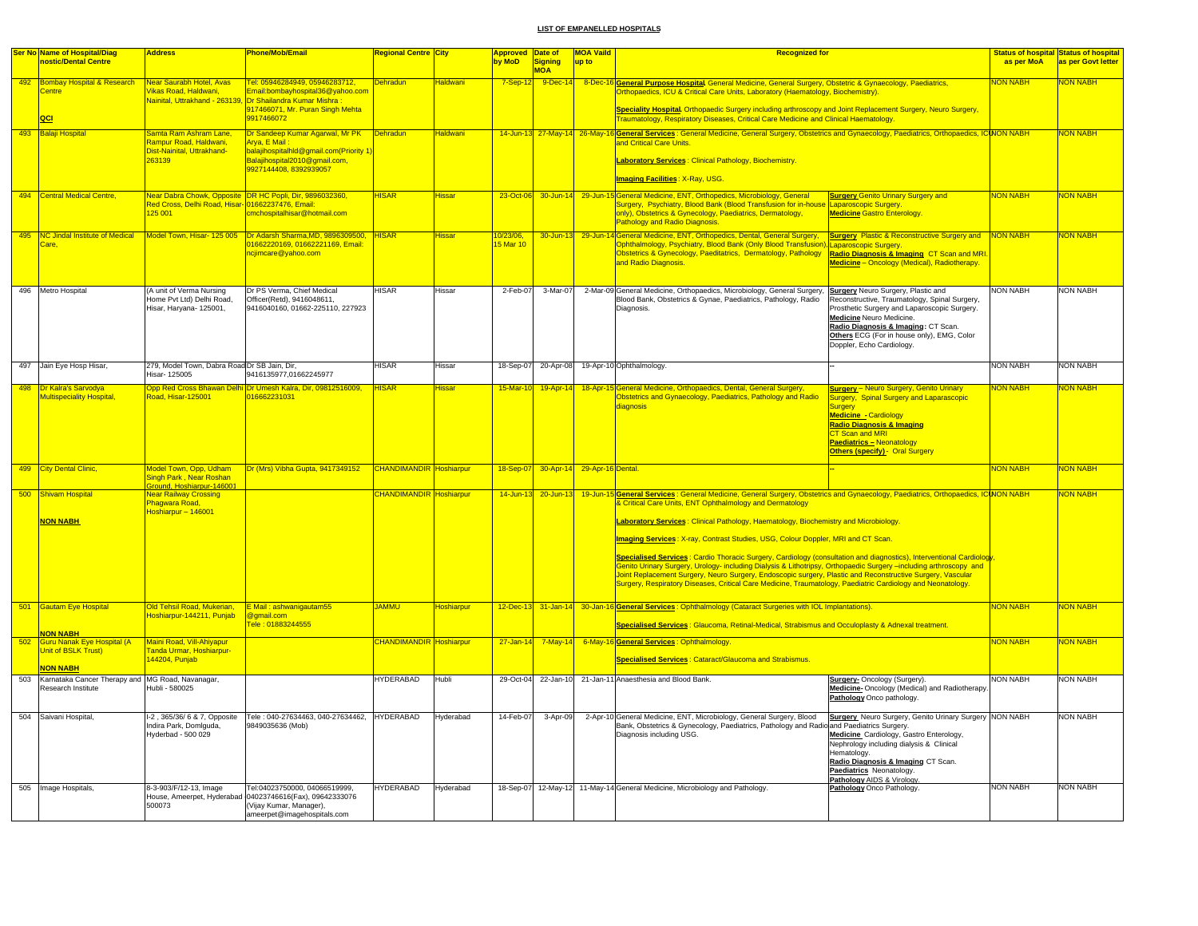|     | Ser No Name of Hospital/Diag                                                            | <b>Address</b>                                                                        | Phone/Mob/Email                                                                                                                                                                     | Regional Centre City           |                        | <b>Approved Date of</b> |                       | <b>MOA Vaild</b>  | <b>Recognized for</b>                                                                                                                                                                                                                                                                                                                                                                                                                                                                                                                                                                                                                                                                                                                                                                                                                                                                      |                                                                                                                                                                                                                                                                                              |                 | <b>Status of hospital Status of hospital</b> |
|-----|-----------------------------------------------------------------------------------------|---------------------------------------------------------------------------------------|-------------------------------------------------------------------------------------------------------------------------------------------------------------------------------------|--------------------------------|------------------------|-------------------------|-----------------------|-------------------|--------------------------------------------------------------------------------------------------------------------------------------------------------------------------------------------------------------------------------------------------------------------------------------------------------------------------------------------------------------------------------------------------------------------------------------------------------------------------------------------------------------------------------------------------------------------------------------------------------------------------------------------------------------------------------------------------------------------------------------------------------------------------------------------------------------------------------------------------------------------------------------------|----------------------------------------------------------------------------------------------------------------------------------------------------------------------------------------------------------------------------------------------------------------------------------------------|-----------------|----------------------------------------------|
|     | nostic/Dental Centre                                                                    |                                                                                       |                                                                                                                                                                                     |                                |                        | by MoD                  | Signing<br><b>MOA</b> | up to             |                                                                                                                                                                                                                                                                                                                                                                                                                                                                                                                                                                                                                                                                                                                                                                                                                                                                                            |                                                                                                                                                                                                                                                                                              | as per MoA      | as per Govt letter                           |
|     | 492 Bombay Hospital & Research<br>Centre<br> QCI                                        | Near Saurabh Hotel, Avas<br>Vikas Road, Haldwani,                                     | Tel: 05946284949, 05946283712,<br>Email:bombayhospital36@yahoo.com<br>Nainital, Uttrakhand - 263139, Dr Shailandra Kumar Mishra :<br>917466071, Mr. Puran Singh Mehta<br>9917466072 | <b>Dehradun</b>                | <u>Haldwani</u>        | $7-Sep-12$              |                       |                   | 9-Dec-14 8-Dec-16 General Purpose Hospital General Medicine, General Surgery, Obstetric & Gynaecology, Paediatrics,<br>Orthopaedics, ICU & Critical Care Units, Laboratory (Haematology, Biochemistry).<br>Speciality Hospital. Orthopaedic Surgery including arthroscopy and Joint Replacement Surgery, Neuro Surgery,<br><b>Fraumatology, Respiratory Diseases, Critical Care Medicine and Clinical Haematology</b>                                                                                                                                                                                                                                                                                                                                                                                                                                                                      |                                                                                                                                                                                                                                                                                              | <b>NON NABH</b> | NON NABH                                     |
| 493 | <b>Balaji Hospital</b>                                                                  | Samta Ram Ashram Lane,                                                                | Dr Sandeep Kumar Agarwal, Mr PK                                                                                                                                                     | <b>Dehradun</b>                | <mark>-laldwani</mark> |                         |                       |                   | 14-Jun-13 27-May-14 26-May-16 General Services : General Medicine, General Surgery, Obstetrics and Gynaecology, Paediatrics, Orthopaedics, ICINON NABH                                                                                                                                                                                                                                                                                                                                                                                                                                                                                                                                                                                                                                                                                                                                     |                                                                                                                                                                                                                                                                                              |                 | NON NABH                                     |
|     |                                                                                         | Rampur Road, Haldwani,<br>Dist-Nainital, Uttrakhand-<br>263139                        | Arya, E Mail<br>balajihospitalhId@gmail.com(Priority 1<br>Balajihospital2010@gmail.com,<br>9927144408.8392939057                                                                    |                                |                        |                         |                       |                   | and Critical Care Units<br>Laboratory Services: Clinical Pathology, Biochemistry.                                                                                                                                                                                                                                                                                                                                                                                                                                                                                                                                                                                                                                                                                                                                                                                                          |                                                                                                                                                                                                                                                                                              |                 |                                              |
|     |                                                                                         |                                                                                       |                                                                                                                                                                                     |                                |                        |                         |                       |                   | I <mark>maging Facilities</mark> : X-Ray, USG.                                                                                                                                                                                                                                                                                                                                                                                                                                                                                                                                                                                                                                                                                                                                                                                                                                             |                                                                                                                                                                                                                                                                                              |                 |                                              |
|     | 494 Central Medical Centre.                                                             | Red Cross, Delhi Road, Hisar- 01662237476, Email:<br>125 001                          | Near Dabra Chowk, Opposite DR HC Popli, Dir, 9896032360,<br>cmchospitalhisar@hotmail.com                                                                                            | <b>HISAR</b>                   | <del>l</del> issar     | 23-Oct-06               |                       |                   | 30-Jun-14 29-Jun-15 General Medicine, ENT, Orthopedics, Microbiology, General<br>Surgery, Psychiatry, Blood Bank (Blood Transfusion for in-house<br>only), Obstetrics & Gynecology, Paediatrics, Dermatology,<br>Pathology and Radio Diagnosis.                                                                                                                                                                                                                                                                                                                                                                                                                                                                                                                                                                                                                                            | <b>Surgery Genito Urinary Surgery and</b><br>Laparoscopic Surgery.<br><b>Medicine Gastro Enterology.</b>                                                                                                                                                                                     | <b>NON NABH</b> | NON NABH                                     |
| 495 | <b>NC Jindal Institute of Medical</b><br>Care.                                          | Model Town, Hisar- 125 005                                                            | Dr Adarsh Sharma, MD, 98963<br>19500<br>1662220169, 01662221169, Email:<br>ncjimcare@yahoo.com                                                                                      | <b>IISAR</b>                   | lissai                 | 0/23/06,<br>15 Mar 10   | 30-Jun-13             |                   | 29-Jun-14 General Medicine, ENT, Orthopedics, Dental, General Surgery,<br>Ophthalmology, Psychiatry, Blood Bank (Only Blood Transfusion), Laparoscopic Surgery<br>Obstetrics & Gynecology, Paeditatrics, Dermatology, Pathology<br>and Radio Diagnosis.                                                                                                                                                                                                                                                                                                                                                                                                                                                                                                                                                                                                                                    | <b>Surgery Plastic &amp; Reconstructive Surgery and</b><br>Radio Diagnosis & Imaging CT Scan and MRI.<br>Medicine - Oncology (Medical), Radiotherapy.                                                                                                                                        | <b>NON NABH</b> | <b>JON NABH</b>                              |
|     | 496 Metro Hospital                                                                      | (A unit of Verma Nursing<br>Home Pvt Ltd) Delhi Road,<br>Hisar, Haryana- 125001,      | Dr PS Verma, Chief Medical<br>Officer(Retd), 9416048611,<br>9416040160, 01662-225110, 227923                                                                                        | <b>HISAR</b>                   | Hissar                 | 2-Feb-07                | 3-Mar-07              |                   | 2-Mar-09 General Medicine, Orthopaedics, Microbiology, General Surgery, Surgery Neuro Surgery, Plastic and<br>Blood Bank, Obstetrics & Gynae, Paediatrics, Pathology, Radio<br>Diagnosis.                                                                                                                                                                                                                                                                                                                                                                                                                                                                                                                                                                                                                                                                                                  | Reconstructive, Traumatology, Spinal Surgery,<br>Prosthetic Surgery and Laparoscopic Surgery.<br>Medicine Neuro Medicine.<br>Radio Diagnosis & Imaging: CT Scan.<br>Others ECG (For in house only), EMG, Color<br>Doppler, Echo Cardiology.                                                  | <b>NON NABH</b> | <b>NON NABH</b>                              |
|     | 497 Jain Eye Hosp Hisar,                                                                | 279. Model Town, Dabra Road Dr SB Jain, Dir.<br>Hisar- 125005                         | 9416135977,01662245977                                                                                                                                                              | <b>HISAR</b>                   | Hissar                 | 18-Sep-07               | 20-Apr-08             |                   | 19-Apr-10 Ophthalmology.                                                                                                                                                                                                                                                                                                                                                                                                                                                                                                                                                                                                                                                                                                                                                                                                                                                                   |                                                                                                                                                                                                                                                                                              | <b>NON NABH</b> | <b>NON NABH</b>                              |
|     | 498 Dr Kalra's Sarvodya<br><b>Multispeciality Hospital</b>                              | Road, Hisar-125001                                                                    | Opp Red Cross Bhawan Delhi Dr Umesh Kalra, Dir, 09812516009,<br>016662231031                                                                                                        | <b>HISAR</b>                   | Hissar                 | 15-Mar-10               | 19-Apr-14             |                   | 18-Apr-15 General Medicine, Orthopaedics, Dental, General Surgery,<br>Obstetrics and Gynaecology, Paediatrics, Pathology and Radio<br>diagnosis                                                                                                                                                                                                                                                                                                                                                                                                                                                                                                                                                                                                                                                                                                                                            | <b>Surgery</b> - Neuro Surgery, Genito Urinary<br>Surgery, Spinal Surgery and Laparascopic<br><b>Surgery</b><br><b>Medicine - Cardiology</b><br><b>Radio Diagnosis &amp; Imaging</b><br><b>CT Scan and MRI</b><br><b>Paediatrics - Neonatology</b><br><b>Others (specify) - Oral Surgery</b> | <b>NON NABH</b> | <b>VON NABH</b>                              |
| 499 | <b>City Dental Clinic,</b>                                                              | <b>Aodel Town, Opp, Udham</b><br>Singh Park , Near Roshan<br>round, Hoshiarpur-146001 | Dr (Mrs) Vibha Gupta, 9417349152                                                                                                                                                    | CHANDIMANDIR Hoshiarpur        |                        | 18-Sep-07               | 30-Apr-14             | 29-Apr-16 Dental. |                                                                                                                                                                                                                                                                                                                                                                                                                                                                                                                                                                                                                                                                                                                                                                                                                                                                                            |                                                                                                                                                                                                                                                                                              | <b>NON NABH</b> | <b>VON NABH</b>                              |
|     | 500 Shivam Hospital<br><b>NON NABH</b>                                                  | <b>Vear Railway Crossing</b><br>Phagwara Road.<br>Hoshiarpur - 146001                 |                                                                                                                                                                                     | <b>HANDIMANDIR</b> Hoshiarpur  |                        | 14-Jun-13               | $20 - Jun - 13$       |                   | 19-Jun-15 General Services : General Medicine, General Surgery, Obstetrics and Gynaecology, Paediatrics, Orthopaedics, ICINON NABH<br><b>&amp; Critical Care Units, ENT Ophthalmology and Dermatology</b><br>Laboratory Services: Clinical Pathology, Haematology, Biochemistry and Microbiology.<br>Imaging Services: X-ray, Contrast Studies, USG, Colour Doppler, MRI and CT Scan.<br><mark>Specialised Services</mark> : Cardio Thoracic Surgery, Cardiology (consultation and diagnostics), Interventional Cardiolog <mark>y</mark><br>Genito Urinary Surgery, Urology- including Dialysis & Lithotripsy, Orthopaedic Surgery -including arthroscopy and<br>Joint Replacement Surgery, Neuro Surgery, Endoscopic surgery, Plastic and Reconstructive Surgery, Vascular<br>Surgery, Respiratory Diseases, Critical Care Medicine, Traumatology, Paediatric Cardiology and Neonatology. |                                                                                                                                                                                                                                                                                              |                 | <b>JON NABH</b>                              |
|     | 501 Gautam Eye Hospital                                                                 | Old Tehsil Road, Mukerian,<br>Hoshiarpur-144211, Punjab                               | E Mail: ashwanigautam55<br>@gmail.com<br>Fele: 01883244555                                                                                                                          | <b>JAMMU</b>                   | Hoshiarpur             |                         |                       |                   | 12-Dec-13 31-Jan-14 30-Jan-16 General Services: Ophthalmology (Cataract Surgeries with IOL Implantations).<br>Specialised Services : Glaucoma, Retinal-Medical, Strabismus and Occuloplasty & Adnexal treatment.                                                                                                                                                                                                                                                                                                                                                                                                                                                                                                                                                                                                                                                                           |                                                                                                                                                                                                                                                                                              | <b>NON NABH</b> | NON NABH                                     |
| 502 | <b>NON NABH</b><br>Guru Nanak Eye Hospital (A<br>Unit of BSLK Trust)<br><b>NON NABH</b> | Maini Road, Vill-Ahiyapur<br>Fanda Urmar, Hoshiarour-<br>44204, Punjab                |                                                                                                                                                                                     | <b>CHANDIMANDIR</b> Hoshiarpur |                        | $27 - Jan - 14$         | $7$ -May-14           |                   | 6-May-16 General Services : Ophthalmology<br><b>Specialised Services: Cataract/Glaucoma and Strabismus.</b>                                                                                                                                                                                                                                                                                                                                                                                                                                                                                                                                                                                                                                                                                                                                                                                |                                                                                                                                                                                                                                                                                              | <b>NON NABH</b> | NON NABH                                     |
| 503 | Karnataka Cancer Therapy and MG Road, Navanagar,<br>Research Institute                  | Hubli - 580025                                                                        |                                                                                                                                                                                     | <b>HYDERABAD</b>               | Hubli                  |                         |                       |                   | 29-Oct-04 22-Jan-10 21-Jan-11 Anaesthesia and Blood Bank.                                                                                                                                                                                                                                                                                                                                                                                                                                                                                                                                                                                                                                                                                                                                                                                                                                  | Surgery- Oncology (Surgery).<br>Medicine-Oncology (Medical) and Radiotherapy.<br>Pathology Onco pathology.                                                                                                                                                                                   | <b>NON NABH</b> | <b>NON NABH</b>                              |
| 504 | Saivani Hospital,                                                                       | I-2, 365/36/6 & 7, Opposite<br>Indira Park, Domlouda,<br>Hyderbad - 500 029           | Tele: 040-27634463, 040-27634462, HYDERABAD<br>9849035636 (Mob)                                                                                                                     |                                | Hyderabad              | 14-Feb-07               | 3-Apr-09              |                   | 2-Apr-10 General Medicine, ENT, Microbiology, General Surgery, Blood<br>Bank, Obstetrics & Gynecology, Paediatrics, Pathology and Radio and Paediatrics Surgery<br>Diagnosis including USG.                                                                                                                                                                                                                                                                                                                                                                                                                                                                                                                                                                                                                                                                                                | Surgery Neuro Surgery, Genito Urinary Surgery NON NABH<br>Medicine Cardiology, Gastro Enterology,<br>Nephrology including dialysis & Clinical<br>Hematology.<br>Radio Diagnosis & Imaging CT Scan.<br>Paediatrics Neonatology.<br>Pathology AIDS & Virology.                                 |                 | <b>NON NABH</b>                              |
|     | 505 Image Hospitals,                                                                    | 8-3-903/F/12-13, Image<br>500073                                                      | Tel:04023750000, 04066519999,<br>House, Ameerpet, Hyderabad 04023746616(Fax), 09642333076<br>(Vijay Kumar, Manager),<br>ameerpet@imagehospitals.com                                 | <b>HYDERABAD</b>               | Hyderabad              |                         |                       |                   | 18-Sep-07 12-May-12 11-May-14 General Medicine, Microbiology and Pathology.                                                                                                                                                                                                                                                                                                                                                                                                                                                                                                                                                                                                                                                                                                                                                                                                                | Pathology Onco Pathology.                                                                                                                                                                                                                                                                    | <b>NON NABH</b> | <b>NON NABH</b>                              |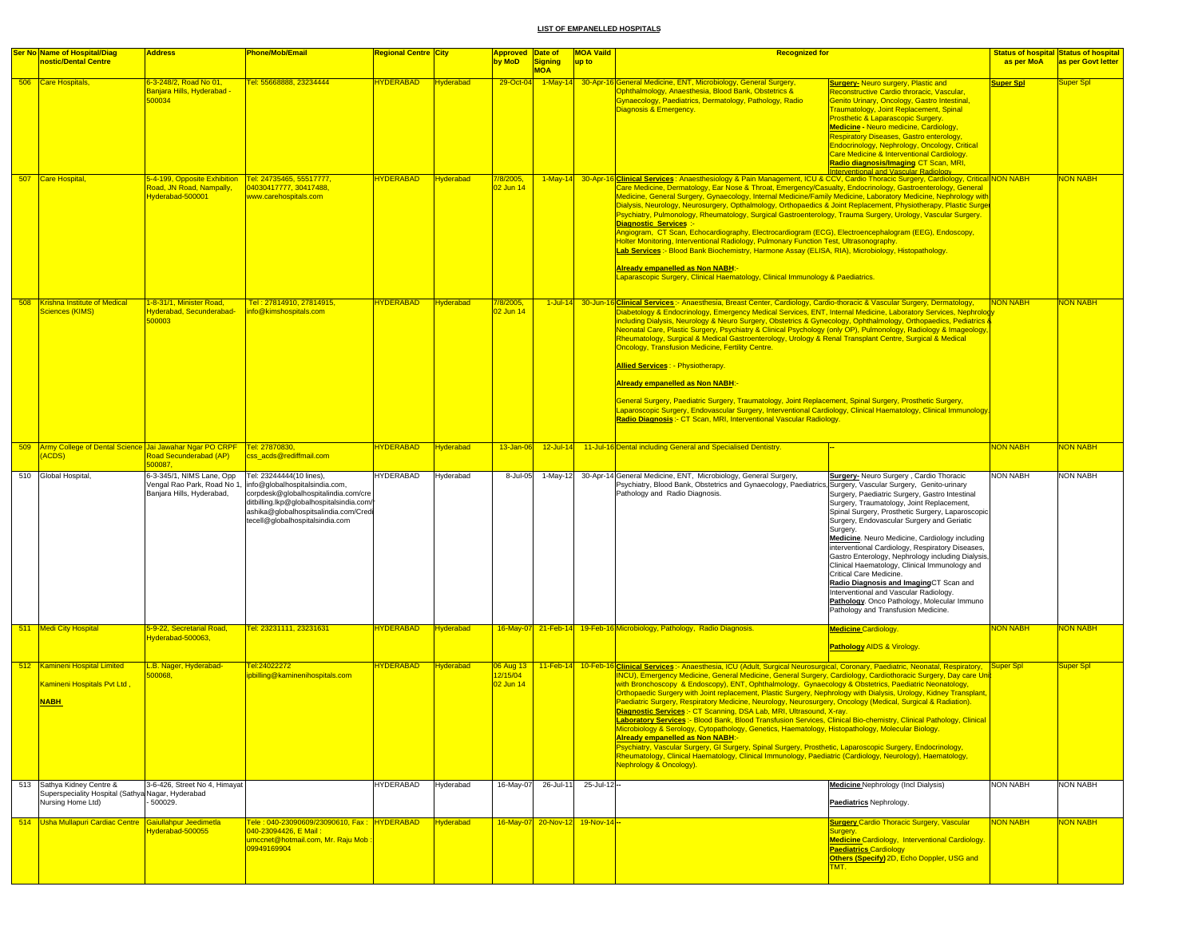| <b>Ser No Name of Hospital/Diag</b><br>nostic/Dental Centre                                          | <b>Address</b>                                                                                               | <b>Phone/Mob/Email</b>                                                                                                                                                                                                                                | Regional Centre City |                  | <mark>Approved  Date of</mark><br>by MoD | <b>Signing</b> | <b>MOA Vaild</b><br>up to        | <b>Recognized for</b>                                                                                                                                                                                                                                                                                                                                                                                                                                                                                                                                                                                                                                                                                                                                                                                                                                                                                                                                                                                                                                                                                                                                                                               |                                                                                                                                                                                                                                                                                                                                                                                                                                                                                                                                                                                                                                                                       | as per MoA       | <b>Status of hospital Status of hospital</b><br>as per Govt letter |
|------------------------------------------------------------------------------------------------------|--------------------------------------------------------------------------------------------------------------|-------------------------------------------------------------------------------------------------------------------------------------------------------------------------------------------------------------------------------------------------------|----------------------|------------------|------------------------------------------|----------------|----------------------------------|-----------------------------------------------------------------------------------------------------------------------------------------------------------------------------------------------------------------------------------------------------------------------------------------------------------------------------------------------------------------------------------------------------------------------------------------------------------------------------------------------------------------------------------------------------------------------------------------------------------------------------------------------------------------------------------------------------------------------------------------------------------------------------------------------------------------------------------------------------------------------------------------------------------------------------------------------------------------------------------------------------------------------------------------------------------------------------------------------------------------------------------------------------------------------------------------------------|-----------------------------------------------------------------------------------------------------------------------------------------------------------------------------------------------------------------------------------------------------------------------------------------------------------------------------------------------------------------------------------------------------------------------------------------------------------------------------------------------------------------------------------------------------------------------------------------------------------------------------------------------------------------------|------------------|--------------------------------------------------------------------|
| 506 Care Hospitals,                                                                                  | 6-3-248/2, Road No 01,<br><mark>Banjara Hills, Hyderabad ·</mark><br>500034                                  | Fel: 55668888, 23234444                                                                                                                                                                                                                               | <b>HYDERABAD</b>     | <b>Hyderabad</b> | 29-Oct-04                                | <b>MOA</b>     |                                  | 1-May-14 30-Apr-16 General Medicine, ENT, Microbiology, General Surgery,<br>Ophthalmology, Anaesthesia, Blood Bank, Obstetrics &<br>Gynaecology, Paediatrics, Dermatology, Pathology, Radio<br>Diagnosis & Emergency.                                                                                                                                                                                                                                                                                                                                                                                                                                                                                                                                                                                                                                                                                                                                                                                                                                                                                                                                                                               | <b>Surgery-</b> Neuro surgery, Plastic and<br>Reconstructive Cardio throracic, Vascular,<br><b>Genito Urinary, Oncology, Gastro Intestinal,</b><br><b>Fraumatology, Joint Replacement, Spinal</b><br>Prosthetic & Laparascopic Surgery.<br><b>Medicine - Neuro medicine, Cardiology,</b><br>Respiratory Diseases, Gastro enterology,<br>Endocrinology, Nephrology, Oncology, Critical<br>Care Medicine & Interventional Cardiology.<br><mark>Radio diagnosis/Imaging</mark> CT Scan, MRI,<br><b>Iterventional and Vascular Radiology</b>                                                                                                                              | <b>Super Spl</b> | uper Spl                                                           |
| 507 Care Hospital,                                                                                   | 5-4-199, Opposite Exhibition Tel: 24735465, 55517777,<br>Road, JN Road, Nampally,<br><b>lyderabad-500001</b> | 04030417777, 30417488,<br>www.carehospitals.com                                                                                                                                                                                                       | <b>HYDERABAD</b>     | Hyderabad        | 7/8/2005,<br>2 Jun 14                    | $1-May-14$     |                                  | 30-Apr-16 Clinical Services: Anaesthesiology & Pain Management, ICU & CCV, Cardio Thoracic Surgery, Cardiology, Critical NON NABH<br>Care Medicine, Dermatology, Ear Nose & Throat, Emergency/Casualty, Endocrinology, Gastroenterology, General<br>Medicine, General Surgery, Gynaecology, Internal Medicine/Family Medicine, Laboratory Medicine, Nephrology with<br>Dialysis, Neurology, Neurosurgery, Opthalmology, Orthopaedics & Joint Replacement, Physiotherapy, Plastic Surger<br>Psychiatry, Pulmonology, Rheumatology, Surgical Gastroenterology, Trauma Surgery, Urology, Vascular Surgery.<br>Diagnostic Services :-<br>Angiogram, CT Scan, Echocardiography, Electrocardiogram (ECG), Electroencephalogram (EEG), Endoscopy,<br>Holter Monitoring, Interventional Radiology, Pulmonary Function Test, Ultrasonography.<br>Lab Services :- Blood Bank Biochemistry, Harmone Assay (ELISA, RIA), Microbiology, Histopathology.<br><b>Already empanelled as Non NABH:-</b><br>Laparascopic Surgery, Clinical Haematology, Clinical Immunology & Paediatrics.                                                                                                                             |                                                                                                                                                                                                                                                                                                                                                                                                                                                                                                                                                                                                                                                                       |                  | NON NABH                                                           |
| 508 Krishna Institute of Medical<br>Sciences (KIMS)                                                  | 1-8-31/1, Minister Road,<br><b>Hyderabad, Secunderabad</b><br>500003                                         | Tel: 27814910, 27814915,<br>nfo@kimshospitals.com                                                                                                                                                                                                     | <b>HYDERABAD</b>     | <b>Hyderabad</b> | 7/8/2005,<br>2 Jun 14                    |                |                                  | 1-Jul-14 30-Jun-16 Clinical Services :- Anaesthesia, Breast Center, Cardiology, Cardio-thoracic & Vascular Surgery, Dermatology,<br>Diabetology & Endocrinology, Emergency Medical Services, ENT, Internal Medicine, Laboratory Services, Nephrolog<br>including Dialysis, Neurology & Neuro Surgery, Obstetrics & Gynecology, Ophthalmology, Orthopaedics, Pediatrics &<br>Neonatal Care, Plastic Surgery, Psychiatry & Clinical Psychology (only OP), Pulmonology, Radiology & Imageology,<br>Rheumatology, Surgical & Medical Gastroenterology, Urology & Renal Transplant Centre, Surgical & Medical<br><b>Oncology, Transfusion Medicine, Fertility Centre.</b><br><b>Allied Services: - Physiotherapy.</b><br><b>Aiready empanelled as Non NABH:</b><br>General Surgery, Paediatric Surgery, Traumatology, Joint Replacement, Spinal Surgery, Prosthetic Surgery,<br>Laparoscopic Surgery, Endovascular Surgery, Interventional Cardiology, Clinical Haematology, Clinical Immunology.<br>Radio Diagnosis: CT Scan, MRI, Interventional Vascular Radiology.                                                                                                                                   |                                                                                                                                                                                                                                                                                                                                                                                                                                                                                                                                                                                                                                                                       | NON NABH         | <b>VON NABH</b>                                                    |
| 509 Army College of Dental Science Jai Jawahar Ngar PO CRPF<br>ACDS)                                 | Road Secunderabad (AP)<br>500087                                                                             | Tel: 27870830,<br>css_acds@rediffmail.com                                                                                                                                                                                                             | <b>HYDERABAD</b>     | <b>Hyderabad</b> | 13-Jan-06                                | $12$ -Jul-14   |                                  | 11-Jul-16 Dental including General and Specialised Dentistry.                                                                                                                                                                                                                                                                                                                                                                                                                                                                                                                                                                                                                                                                                                                                                                                                                                                                                                                                                                                                                                                                                                                                       |                                                                                                                                                                                                                                                                                                                                                                                                                                                                                                                                                                                                                                                                       | <b>NON NABH</b>  | <mark>NON NABH</mark>                                              |
| 510 Global Hospital,                                                                                 | 6-3-345/1, NIMS Lane, Opp<br>Banjara Hills, Hyderabad,                                                       | Tel: 23244444(10 lines).<br>Vengal Rao Park, Road No 1, info@globalhospitalsindia.com,<br>corpdesk@globalhospitalindia.com/cre<br>ditbilling.lkp@globalhospitalsindia.com/<br>ashika@qlobalhospitsalindia.com/Cred<br>tecell@globalhospitalsindia.com | <b>HYDERABAD</b>     | Hyderabad        | 8-Jul-05                                 | 1-May-12       |                                  | 30-Apr-14 General Medicine, ENT, Microbiology, General Surgery,<br>Psychiatry, Blood Bank, Obstetrics and Gynaecology, Paediatrics, Surgery, Vascular Surgery, Genito-urinary<br>Pathology and Radio Diagnosis.                                                                                                                                                                                                                                                                                                                                                                                                                                                                                                                                                                                                                                                                                                                                                                                                                                                                                                                                                                                     | Surgery- Neuro Surgery, Cardio Thoracic<br>Surgery, Paediatric Surgery, Gastro Intestinal<br>Surgery, Traumatology, Joint Replacement,<br>Spinal Surgery, Prosthetic Surgery, Laparoscopic<br>Surgery, Endovascular Surgery and Geriatic<br>Surgery.<br>Medicine. Neuro Medicine, Cardiology including<br>interventional Cardiology, Respiratory Diseases,<br>Gastro Enterology, Nephrology including Dialysis,<br>Clinical Haematology, Clinical Immunology and<br>Critical Care Medicine.<br>Radio Diagnosis and ImagingCT Scan and<br>Interventional and Vascular Radiology.<br>Pathology. Onco Pathology, Molecular Immuno<br>Pathology and Transfusion Medicine. | <b>NON NABH</b>  | NON NABH                                                           |
| 511 Medi City Hospital                                                                               | 5-9-22, Secretarial Road,<br>Vderabad-500063                                                                 | Tel: 23231111, 23231631                                                                                                                                                                                                                               | <b>IYDERABAD</b>     | <b>Hyderabad</b> |                                          |                |                                  | 16-May-07 21-Feb-14 19-Feb-16 Microbiology, Pathology, Radio Diagnosis.                                                                                                                                                                                                                                                                                                                                                                                                                                                                                                                                                                                                                                                                                                                                                                                                                                                                                                                                                                                                                                                                                                                             | <b>Medicine Cardiology.</b><br><b>Pathology AIDS &amp; Virology</b>                                                                                                                                                                                                                                                                                                                                                                                                                                                                                                                                                                                                   | <b>NON NABH</b>  | <b>JON NABH</b>                                                    |
| 512 Kamineni Hospital Limited<br>Kamineni Hospitals Pvt Ltd.<br><b>NABH</b>                          | L.B. Nager, Hyderabad-<br>00068                                                                              | Tel:24022272<br>ipbilling@kaminenihospitals.com                                                                                                                                                                                                       | <b>HYDERABAD</b>     | <b>Hyderabad</b> | 06 Aug 13<br>2/15/04<br>02 Jun 14        | 11-Feb-14      |                                  | 10-Feb-16 Clinical Services:- Anaesthesia, ICU (Adult, Surgical Neurosurgical, Coronary, Paediatric, Neonatal, Respiratory, Super Spl<br>INCU), Emergency Medicine, General Medicine, General Surgery, Cardiology, Cardiothoracic Surgery, Day care Uni<br>with Bronchoscopy & Endoscopy), ENT, Ophthalmology, Gynaecology & Obstetrics, Paediatric Neonatology,<br>Orthopaedic Surgery with Joint replacement, Plastic Surgery, Nephrology with Dialysis, Urology, Kidney Transplant,<br>Paediatric Surgery, Respiratory Medicine, Neurology, Neurosurgery, Oncology (Medical, Surgical & Radiation).<br>Diagnostic Services :- CT Scanning, DSA Lab, MRI, Ultrasound, X-ray.<br>Laboratory Services :- Blood Bank, Blood Transfusion Services, Clinical Bio-chemistry, Clinical Pathology, Clinical<br>Microbiology & Serology, Cytopathology, Genetics, Haematology, Histopathology, Molecular Biology.<br>Already empanelled as Non NABH:<br>Psychiatry, Vascular Surgery, GI Surgery, Spinal Surgery, Prosthetic, Laparoscopic Surgery, Endocrinology,<br>Rheumatology, Clinical Haematology, Clinical Immunology, Paediatric (Cardiology, Neurology), Haematology,<br>Nephrology & Oncology). |                                                                                                                                                                                                                                                                                                                                                                                                                                                                                                                                                                                                                                                                       |                  | Super Spl                                                          |
| 513 Sathya Kidney Centre &<br>Superspeciality Hospital (Sathya Nagar, Hyderabad<br>Nursing Home Ltd) | 3-6-426, Street No 4, Himayat<br>500029.                                                                     |                                                                                                                                                                                                                                                       | <b>HYDERABAD</b>     | Hyderabad        | 16-May-07                                | 26-Jul-11      | $25 -$ Jul-12 $-$                |                                                                                                                                                                                                                                                                                                                                                                                                                                                                                                                                                                                                                                                                                                                                                                                                                                                                                                                                                                                                                                                                                                                                                                                                     | Medicine Nephrology (Incl Dialysis)<br>Paediatrics Nephrology.                                                                                                                                                                                                                                                                                                                                                                                                                                                                                                                                                                                                        | <b>NON NABH</b>  | NON NABH                                                           |
| 514 Usha Mullapuri Cardiac Centre Gaiullahpur Jeedimetla                                             | lyderabad-500055                                                                                             | Tele: 040-23090609/23090610, Fax: HYDERABAD<br>040-23094426. E Mail :<br>umccnet@hotmail.com, Mr. Raju Mob<br>09949169904                                                                                                                             |                      | <b>Hyderabad</b> |                                          |                | 16-May-07 20-Nov-12 19-Nov-14 -- |                                                                                                                                                                                                                                                                                                                                                                                                                                                                                                                                                                                                                                                                                                                                                                                                                                                                                                                                                                                                                                                                                                                                                                                                     | <b>Surgery Cardio Thoracic Surgery, Vascular</b><br>Surgery.<br><b>Medicine Cardiology, Interventional Cardiology.</b><br><b>Paediatrics Cardiology</b><br>Others (Specify) 2D, Echo Doppler, USG and<br>TMT.                                                                                                                                                                                                                                                                                                                                                                                                                                                         | <b>NON NABH</b>  | <b>NON NABH</b>                                                    |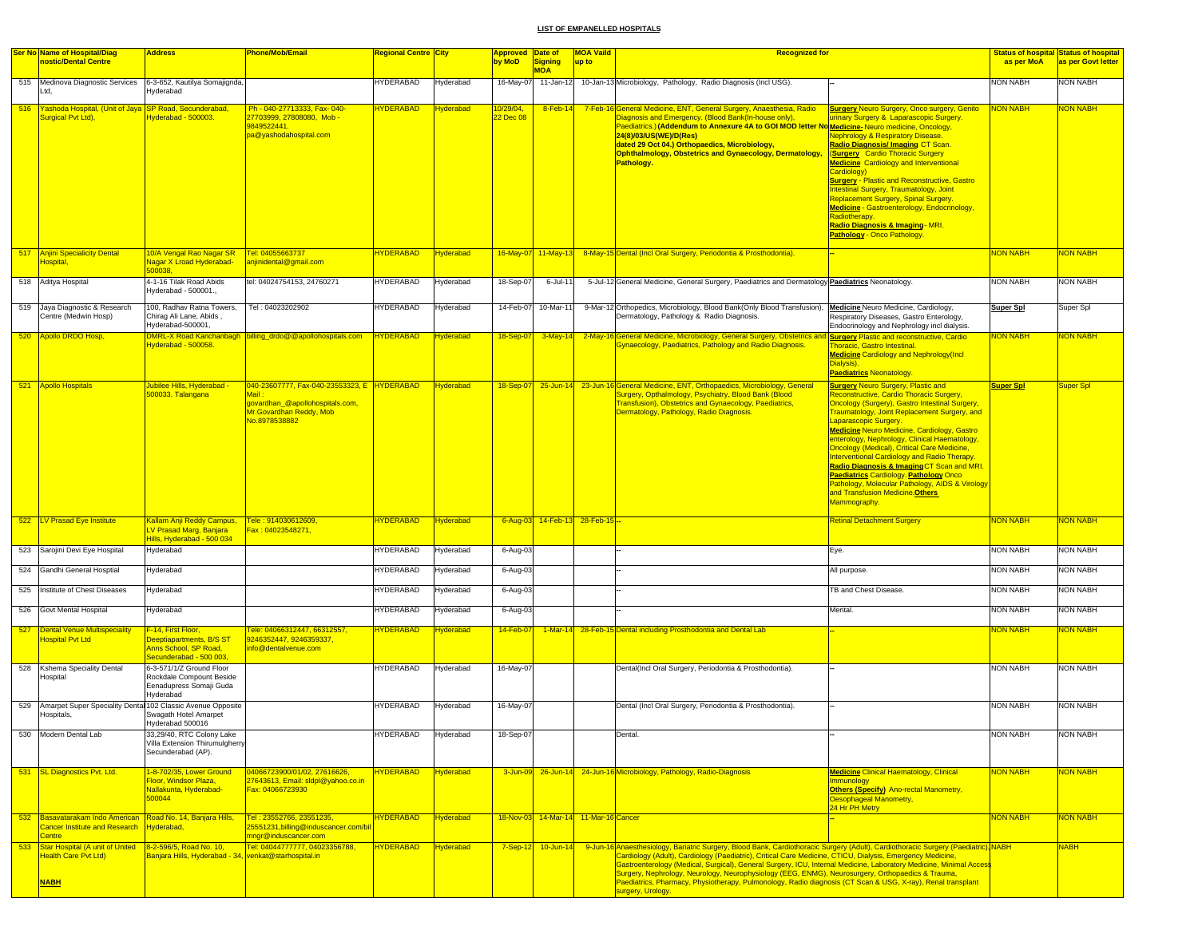|     | <b>Ser No Name of Hospital/Diag</b><br>nostic/Dental Centre                                                                | <b>Address</b>                                                                                     | Phone/Mob/Email                                                                                                                     | Regional Centre  City |                  | <b>Approved Date of</b><br>by MoD |                                      | <b>MOA Vaild</b> | <b>Recognized for</b>                                                                                                                                                                                                                                                                                                                                                                                                                                                                                                                                                                                          |                                                                                                                                                                                                                                                                                                                                                                                                                                                                                                                                                                                                                                     | as per MoA       | <b>Status of hospital Status of hospital</b> |
|-----|----------------------------------------------------------------------------------------------------------------------------|----------------------------------------------------------------------------------------------------|-------------------------------------------------------------------------------------------------------------------------------------|-----------------------|------------------|-----------------------------------|--------------------------------------|------------------|----------------------------------------------------------------------------------------------------------------------------------------------------------------------------------------------------------------------------------------------------------------------------------------------------------------------------------------------------------------------------------------------------------------------------------------------------------------------------------------------------------------------------------------------------------------------------------------------------------------|-------------------------------------------------------------------------------------------------------------------------------------------------------------------------------------------------------------------------------------------------------------------------------------------------------------------------------------------------------------------------------------------------------------------------------------------------------------------------------------------------------------------------------------------------------------------------------------------------------------------------------------|------------------|----------------------------------------------|
|     |                                                                                                                            |                                                                                                    |                                                                                                                                     |                       |                  |                                   | Signing<br><b>MOA</b>                | up to            |                                                                                                                                                                                                                                                                                                                                                                                                                                                                                                                                                                                                                |                                                                                                                                                                                                                                                                                                                                                                                                                                                                                                                                                                                                                                     |                  | as per Govt letter                           |
|     | 515 Medinova Diagnostic Services<br>Ltd.                                                                                   | 6-3-652, Kautilya Somajignda,<br><b>Hyderabad</b>                                                  |                                                                                                                                     | <b>HYDERABAD</b>      | Hyderabad        | 16-May-07                         | 11-Jan-12                            |                  | 10-Jan-13 Microbiology, Pathology, Radio Diagnosis (Incl USG).                                                                                                                                                                                                                                                                                                                                                                                                                                                                                                                                                 |                                                                                                                                                                                                                                                                                                                                                                                                                                                                                                                                                                                                                                     | NON NABH         | NON NABH                                     |
|     | 516 Yashoda Hospital, (Unit of Jaya SP Road, Secunderabad,<br>Surgical Pvt Ltd),                                           | Hyderabad - 500003.                                                                                | Ph - 040-27713333, Fax- 040-<br>27703999, 27808080, Mob -<br>9849522441.<br>pa@yashodahospital.com                                  | <b>HYDERABAD</b>      | <b>Hyderabad</b> | 10/29/04,<br>22 Dec 08            | 8-Feb-14                             |                  | 7-Feb-16 General Medicine, ENT, General Surgery, Anaesthesia, Radio<br>Diagnosis and Emergency. (Blood Bank(In-house only),<br>Paediatrics.) (Addendum to Annexure 4A to GOI MOD letter No Medicine-Neuro medicine, Oncology,<br>24(8)/03/US(WE)/D(Res)<br>dated 29 Oct 04.) Orthopaedics, Microbiology,<br><b>Ophthalmology, Obstetrics and Gynaecology, Dermatology,</b><br>Pathology.                                                                                                                                                                                                                       | <b>Surgery Neuro Surgery, Onco surgery, Genito</b><br>urinary Surgery & Laparascopic Surgery.<br><b>Nephrology &amp; Respiratory Disease.</b><br>Radio Diagnosis/ Imaging CT Scan.<br>(Surgery Cardio Thoracic Surgery<br><b>Medicine</b> Cardiology and Interventional<br>Cardiology)<br><b>Surgery - Plastic and Reconstructive, Gastro</b><br>Intestinal Surgery, Traumatology, Joint<br>Replacement Surgery, Spinal Surgery.<br>Medicine - Gastroenterology, Endocrinology,<br>Radiotherapy.<br>Radio Diagnosis & Imaging - MRI.<br><b>Pathology - Onco Pathology</b>                                                           | <b>NON NABH</b>  | <b>VON NABH</b>                              |
|     | 517 Anjini Specialicity Dental<br>Hospital,                                                                                | 10/A Vengal Rao Nagar SR<br>Nagar X Lroad Hyderabad-<br>500038,                                    | Tel: 04055663737<br>anjinidental@gmail.com                                                                                          | <b>HYDERABAD</b>      | <b>Hyderabad</b> |                                   | 16-May-07 11-May-13                  |                  | 8-May-15 Dental (Incl Oral Surgery, Periodontia & Prosthodontia).                                                                                                                                                                                                                                                                                                                                                                                                                                                                                                                                              |                                                                                                                                                                                                                                                                                                                                                                                                                                                                                                                                                                                                                                     | <b>NON NABH</b>  | <b>VON NABH</b>                              |
|     | 518 Aditya Hospital                                                                                                        | 4-1-16 Tilak Road Abids<br>Hyderabad - 500001.,                                                    | tel: 04024754153, 24760271                                                                                                          | <b>HYDERABAD</b>      | Hyderabad        | 18-Sep-07                         | 6-Jul-11                             |                  | 5-Jul-12 General Medicine, General Surgery, Paediatrics and Dermatology Paediatrics Neonatology.                                                                                                                                                                                                                                                                                                                                                                                                                                                                                                               |                                                                                                                                                                                                                                                                                                                                                                                                                                                                                                                                                                                                                                     | <b>NON NABH</b>  | NON NABH                                     |
|     | 519 Jaya Diagnostic & Research<br>Centre (Medwin Hosp)                                                                     | 100, Radhav Ratna Towers,<br>Chirag Ali Lane, Abids,<br>Hyderabad-500001,                          | Tel: 04023202902                                                                                                                    | <b>HYDERABAD</b>      | Hyderabad        | 14-Feb-07                         | 10-Mar-11                            |                  | 9-Mar-12 Orthopedics, Microbiology, Blood Bank(Only Blood Transfusion), Medicine Neuro Medicine, Cardiology,<br>Dermatology, Pathology & Radio Diagnosis.                                                                                                                                                                                                                                                                                                                                                                                                                                                      | Respiratory Diseases, Gastro Enterology,<br>Endocrinology and Nephrology incl dialysis.                                                                                                                                                                                                                                                                                                                                                                                                                                                                                                                                             | <b>Super Spl</b> | Super Spl                                    |
| 520 | Apollo DRDO Hosp,                                                                                                          | Hyderabad - 500058.                                                                                | <b>MRL-X Road Kanchanbagh billing_drdo@@apollohospitals.com</b>                                                                     | <b>HYDERABAD</b>      | <b>Hyderabad</b> | 18-Sep-07                         | $3-May-14$                           |                  | 2-May-16 General Medicine, Microbiology, General Surgery, Obstetrics and Surgery Plastic and reconstructive, Cardio<br><b>Synaecology, Paediatrics, Pathology and Radio Diagnosis.</b>                                                                                                                                                                                                                                                                                                                                                                                                                         | Thoracic, Gastro Intestinal.<br><b>Medicine Cardiology and Nephrology (Incl.</b><br>Dialysis)<br><b>Paediatrics Neonatology</b>                                                                                                                                                                                                                                                                                                                                                                                                                                                                                                     | <b>NON NABH</b>  | <b>JON NABH</b>                              |
|     | 521 Apollo Hospitals                                                                                                       | Jubilee Hills, Hyderabad -<br>500033. Talangana                                                    | 040-23607777, Fax-040-23553323, E HYDERABAD<br>Mail:<br>govardhan_@apollohospitals.com,<br>Mr.Govardhan Reddy, Mob<br>No.8978538882 |                       | <b>Hyderabad</b> |                                   |                                      |                  | 18-Sep-07 25-Jun-14 23-Jun-16 General Medicine, ENT, Orthopaedics, Microbiology, General<br>Surgery, Opthalmology, Psychiatry, Blood Bank (Blood<br>Transfusion), Obstetrics and Gynaecology, Paediatrics,<br>Dermatology, Pathology, Radio Diagnosis.                                                                                                                                                                                                                                                                                                                                                         | <b>Surgery Neuro Surgery, Plastic and</b><br>Reconstructive, Cardio Thoracic Surgery,<br>Oncology (Surgery), Gastro Intestinal Surgery.<br><b>Traumatology, Joint Replacement Surgery, and</b><br>Laparascopic Surgery.<br>Medicine Neuro Medicine, Cardiology, Gastro<br>enterology, Nephrology, Clinical Haematology,<br><b>Oncology (Medical), Critical Care Medicine,</b><br><b>Interventional Cardiology and Radio Therapy.</b><br>Radio Diagnosis & Imaging CT Scan and MRI.<br>Paediatrics Cardiology. Pathology Onco<br>Pathology, Molecular Pathology, AIDS & Virology<br>and Transfusion Medicine. Others<br>Mammography. | <b>Super Spl</b> | Super Spl                                    |
|     | 522 LV Prasad Eye Institute                                                                                                | <b>Kallam Anji Reddy Campus,</b><br>LV Prasad Marg, Banjara<br>Hills, Hyderabad - 500 034          | Tele: 914030612609,<br>Fax: 04023548271,                                                                                            | <b>HYDERABAD</b>      | Hyderabad        | $6 - Aug-03$                      | 14-Feb-13 28-Feb-15 --               |                  |                                                                                                                                                                                                                                                                                                                                                                                                                                                                                                                                                                                                                | <b>Retinal Detachment Surgery</b>                                                                                                                                                                                                                                                                                                                                                                                                                                                                                                                                                                                                   | <b>NON NABH</b>  | <b>NON NABH</b>                              |
|     | 523 Sarojini Devi Eye Hospital                                                                                             | Hyderabad                                                                                          |                                                                                                                                     | HYDERABAD             | Hyderabad        | 6-Aug-03                          |                                      |                  |                                                                                                                                                                                                                                                                                                                                                                                                                                                                                                                                                                                                                | Eye.                                                                                                                                                                                                                                                                                                                                                                                                                                                                                                                                                                                                                                | <b>NON NABH</b>  | <b>NON NABH</b>                              |
|     | 524 Gandhi General Hosptial                                                                                                | Hyderabad                                                                                          |                                                                                                                                     | <b>HYDERABAD</b>      | Hyderabad        | 6-Aug-03                          |                                      |                  |                                                                                                                                                                                                                                                                                                                                                                                                                                                                                                                                                                                                                | All purpose.                                                                                                                                                                                                                                                                                                                                                                                                                                                                                                                                                                                                                        | <b>NON NABH</b>  | NON NABH                                     |
|     | 525 Institute of Chest Diseases                                                                                            | Hyderabad                                                                                          |                                                                                                                                     | <b>HYDERABAD</b>      | Hyderabad        | 6-Aug-03                          |                                      |                  |                                                                                                                                                                                                                                                                                                                                                                                                                                                                                                                                                                                                                | <b>TB and Chest Disease</b>                                                                                                                                                                                                                                                                                                                                                                                                                                                                                                                                                                                                         | <b>NON NABH</b>  | NON NABH                                     |
|     | 526 Govt Mental Hospital                                                                                                   | Hyderabad                                                                                          |                                                                                                                                     | <b>HYDERABAD</b>      | Hyderabad        | 6-Aug-03                          |                                      |                  |                                                                                                                                                                                                                                                                                                                                                                                                                                                                                                                                                                                                                | Mental.                                                                                                                                                                                                                                                                                                                                                                                                                                                                                                                                                                                                                             | <b>NON NABH</b>  | NON NABH                                     |
|     | 527 Dental Venue Multispeciality<br><b>Hospital Pvt Ltd</b>                                                                | F-14, First Floor,<br>Deeptiapartments, B/S ST<br>Anns School, SP Road,<br>Secunderabad - 500 003, | Fele: 04066312447, 66312557,<br>9246352447, 9246359337,<br>info@dentalvenue.com                                                     | <b>TYDERABAD</b>      | <b>Hyderabad</b> | 14-Feb-07                         |                                      |                  | 1-Mar-14 28-Feb-15 Dental including Prosthodontia and Dental Lab                                                                                                                                                                                                                                                                                                                                                                                                                                                                                                                                               |                                                                                                                                                                                                                                                                                                                                                                                                                                                                                                                                                                                                                                     | NON NABH         | <b>ION NABH</b>                              |
|     | 528 Kshema Speciality Dental<br>Hospital                                                                                   | 6-3-571/1/Z Ground Floor<br>Rockdale Compount Beside<br>Eenadupress Somaji Guda<br>Hyderabad       |                                                                                                                                     | <b>HYDERABAD</b>      | Hyderabad        | 16-May-07                         |                                      |                  | Dental(Incl Oral Surgery, Periodontia & Prosthodontia).                                                                                                                                                                                                                                                                                                                                                                                                                                                                                                                                                        |                                                                                                                                                                                                                                                                                                                                                                                                                                                                                                                                                                                                                                     | <b>NON NABH</b>  | NON NABH                                     |
|     | 529 Amarpet Super Speciality Dental 102 Classic Avenue Opposite<br>Hospitals,                                              | Swagath Hotel Amarpet<br>Hyderabad 500016                                                          |                                                                                                                                     | <b>HYDERABAD</b>      | Hyderabad        | 16-May-07                         |                                      |                  | Dental (Incl Oral Surgery, Periodontia & Prosthodontia).                                                                                                                                                                                                                                                                                                                                                                                                                                                                                                                                                       |                                                                                                                                                                                                                                                                                                                                                                                                                                                                                                                                                                                                                                     | <b>NON NABH</b>  | NON NABH                                     |
| 530 | Modern Dental Lab                                                                                                          | 33,29/40, RTC Colony Lake<br>Villa Extension Thirumulgherry<br>Secunderabad (AP).                  |                                                                                                                                     | HYDERABAD             | Hyderabad        | 18-Sep-07                         |                                      |                  | Dental.                                                                                                                                                                                                                                                                                                                                                                                                                                                                                                                                                                                                        |                                                                                                                                                                                                                                                                                                                                                                                                                                                                                                                                                                                                                                     | <b>NON NABH</b>  | NON NABH                                     |
| 531 | <b>SL Diagnostics Pvt. Ltd.</b>                                                                                            | 1-8-702/35, Lower Ground<br>Floor, Windsor Plaza,<br>Nallakunta, Hyderabad-<br>500044              | 04066723900/01/02, 27616626,<br>27643613, Email: sldpl@yahoo.co.in<br>Fax: 04066723930                                              | <b>HYDERABAD</b>      | <b>Hyderabad</b> |                                   |                                      |                  | 3-Jun-09 26-Jun-14 24-Jun-16 Microbiology, Pathology, Radio-Diagnosis                                                                                                                                                                                                                                                                                                                                                                                                                                                                                                                                          | <b>Medicine Clinical Haematology, Clinical</b><br><b>Immunology</b><br><b>Others (Specify)</b> Ano-rectal Manometry,<br>Oesophageal Manometry,<br>24 Hr PH Metry                                                                                                                                                                                                                                                                                                                                                                                                                                                                    | <b>NON NABH</b>  | <b>VON NABH</b>                              |
| 532 | Basavatarakam Indo American<br>Cancer Institute and Research                                                               | Road No. 14, Banjara Hills,<br><b>lyderabad</b> ,                                                  | Tel: 23552766, 23551235,<br>25551231, billing@induscancer.com/bi                                                                    | <b>HYDERABAD</b>      | <b>Hyderabad</b> |                                   | 18-Nov-03 14-Mar-14 11-Mar-16 Cancer |                  |                                                                                                                                                                                                                                                                                                                                                                                                                                                                                                                                                                                                                |                                                                                                                                                                                                                                                                                                                                                                                                                                                                                                                                                                                                                                     | <b>NON NABH</b>  | <b>VON NABH</b>                              |
|     | <b>Centre</b><br>533 Star Hospital (A unit of United 8-2-596/5, Road No. 10,<br><b>Health Care Pvt Ltd)</b><br><b>NABH</b> | Banjara Hills, Hyderabad - 34, venkat@starhospital.in                                              | mngr@induscancer.com<br>Tel: 04044777777, 04023356788,                                                                              | <b>HYDERABAD</b>      | <b>Hyderabad</b> | $7-Sep-12$                        | $10 - Jun - 14$                      |                  | 9-Jun-16 Anaesthesiology, Bariatric Surgery, Blood Bank, Cardiothoracic Surgery (Adult), Cardiothoracic Surgery (Paediatric), NABH<br>Cardiology (Adult), Cardiology (Paediatric), Critical Care Medicine, CTICU, Dialysis, Emergency Medicine,<br>Gastroenterology (Medical, Surgical), General Surgery, ICU, Internal Medicine, Laboratory Medicine, Minimal Access<br>Surgery, Nephrology, Neurology, Neurophysiology (EEG, ENMG), Neurosurgery, Orthopaedics & Trauma,<br>Paediatrics, Pharmacy, Physiotherapy, Pulmonology, Radio diagnosis (CT Scan & USG, X-ray), Renal transplant<br>surgery, Urology. |                                                                                                                                                                                                                                                                                                                                                                                                                                                                                                                                                                                                                                     |                  | <b>NABH</b>                                  |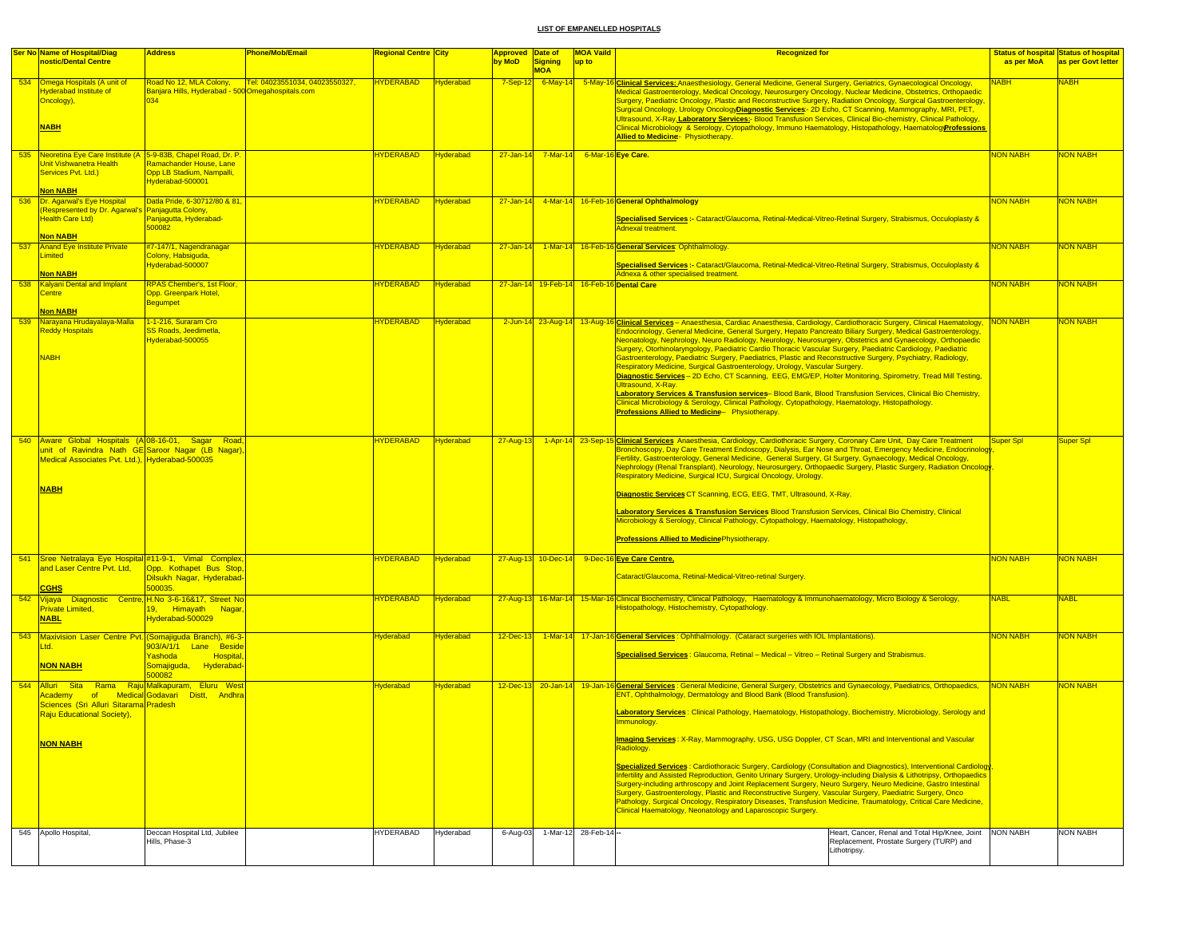|     | <b>Ser No Name of Hospital/Diag</b>                                                                                                                                       | <b>Address</b>                                                                      | <b>Phone/Mob/Email</b>         | Regional Centre <mark> City</mark> |                  | <b>Approved Date of</b> |                          | <b>MOA Vaild</b> | <b>Recognized for</b>                                                                                                                                                                                                                                                                                                                                                                                                                                                                                                                                                                                                                                                                                                                                                                                                                                                                                                                                                                                                                                                                        |                 | <b>Status of hospital Status of hospital</b> |
|-----|---------------------------------------------------------------------------------------------------------------------------------------------------------------------------|-------------------------------------------------------------------------------------|--------------------------------|------------------------------------|------------------|-------------------------|--------------------------|------------------|----------------------------------------------------------------------------------------------------------------------------------------------------------------------------------------------------------------------------------------------------------------------------------------------------------------------------------------------------------------------------------------------------------------------------------------------------------------------------------------------------------------------------------------------------------------------------------------------------------------------------------------------------------------------------------------------------------------------------------------------------------------------------------------------------------------------------------------------------------------------------------------------------------------------------------------------------------------------------------------------------------------------------------------------------------------------------------------------|-----------------|----------------------------------------------|
|     | nostic/Dental Centre                                                                                                                                                      |                                                                                     |                                |                                    |                  | by MoD                  | <b>Signing</b>           | up to            |                                                                                                                                                                                                                                                                                                                                                                                                                                                                                                                                                                                                                                                                                                                                                                                                                                                                                                                                                                                                                                                                                              | as per MoA      | as per Govt letter                           |
|     | 534 Omega Hospitals (A unit of<br><b>Hyderabad Institute of</b><br>Oncology),<br><b>NABH</b>                                                                              | Road No 12, MLA Colony,<br>Banjara Hills, Hyderabad - 500 Omegahospitals.com<br>034 | Tel: 04023551034, 04023550327, | <b>HYDERABAD</b>                   | <b>Hyderabad</b> | $7-Sep-12$              | <b>MOA</b>               |                  | 6-May-14 5-May-16 Clinical Services: Anaesthesiology, General Medicine, General Surgery, Geriatrics, Gynaecological Oncology,<br>Vedical Gastroenterology, Medical Oncology, Neurosurgery Oncology, Nuclear Medicine, Obstetrics, Orthopaedic<br>Surgery, Paediatric Oncology, Plastic and Reconstructive Surgery, Radiation Oncology, Surgical Gastroenterology,<br>Surgical Oncology, Urology OncologyDiagnostic Services - 2D Echo, CT Scanning, Mammography, MRI, PET,<br>Ultrasound, X-Ray.Laboratory Services:- Blood Transfusion Services, Clinical Bio-chemistry, Clinical Pathology,<br>Clinical Microbiology & Serology, Cytopathology, Immuno Haematology, Histopathology, HaematologyProfessions<br>Allied to Medicine - Physiotherapy.                                                                                                                                                                                                                                                                                                                                          | <b>NABH</b>     | <b>NABH</b>                                  |
|     |                                                                                                                                                                           |                                                                                     |                                |                                    |                  |                         |                          |                  |                                                                                                                                                                                                                                                                                                                                                                                                                                                                                                                                                                                                                                                                                                                                                                                                                                                                                                                                                                                                                                                                                              |                 |                                              |
|     | 535 Neoretina Eye Care Institute (A 5-9-83B, Chapel Road, Dr. P.<br>Unit Vishwanetra Health<br>Services Pvt. Ltd.)<br><b>Non NABH</b>                                     | Ramachander House, Lane<br>Opp LB Stadium, Nampalli,<br>Hyderabad-500001            |                                | <b>HYDERABAD</b>                   | Hyderabad        |                         | $27 - Jan - 14$ 7-Mar-14 |                  | 6-Mar-16 Eye Care.                                                                                                                                                                                                                                                                                                                                                                                                                                                                                                                                                                                                                                                                                                                                                                                                                                                                                                                                                                                                                                                                           | <b>NON NABH</b> | <b>NON NABH</b>                              |
|     | 536 Dr. Agarwal's Eye Hospital                                                                                                                                            | Datla Pride, 6-30712/80 & 81,                                                       |                                | <b>HYDERABAD</b>                   | Hyderabad        |                         | $27 - Jan - 14$ 4-Mar-14 |                  | 16-Feb-16 General Ophthalmology                                                                                                                                                                                                                                                                                                                                                                                                                                                                                                                                                                                                                                                                                                                                                                                                                                                                                                                                                                                                                                                              | <b>NON NABH</b> | <b>NON NABH</b>                              |
|     | (Respresented by Dr. Agarwal's Panjagutta Colony,<br><b>Health Care Ltd)</b><br><b>Non NABH</b>                                                                           | Panjagutta, Hyderabad-<br>500082                                                    |                                |                                    |                  |                         |                          |                  | Specialised Services :- Cataract/Glaucoma, Retinal-Medical-Vitreo-Retinal Surgery, Strabismus, Occuloplasty &<br>Adnexal treatment.                                                                                                                                                                                                                                                                                                                                                                                                                                                                                                                                                                                                                                                                                                                                                                                                                                                                                                                                                          |                 |                                              |
| 537 | <b>Anand Eye Institute Private</b>                                                                                                                                        | #7-147/1, Nagendranagar                                                             |                                | <b>HYDERABAD</b>                   | <b>Hyderabad</b> | $27 - Jan - 14$         | $1-Mar-1$                |                  | 16-Feb-16 General Services: Ophthalmology.                                                                                                                                                                                                                                                                                                                                                                                                                                                                                                                                                                                                                                                                                                                                                                                                                                                                                                                                                                                                                                                   | <b>NON NABH</b> | <b>NON NABH</b>                              |
|     | Limited<br><b>Non NABH</b>                                                                                                                                                | Colony, Habsiguda,<br>Hyderabad-500007                                              |                                |                                    |                  |                         |                          |                  | Specialised Services :- Cataract/Glaucoma, Retinal-Medical-Vitreo-Retinal Surgery, Strabismus, Occuloplasty &<br>Adnexa & other specialised treatment.                                                                                                                                                                                                                                                                                                                                                                                                                                                                                                                                                                                                                                                                                                                                                                                                                                                                                                                                       |                 |                                              |
| 538 | <b>Kalyani Dental and Implant</b>                                                                                                                                         | RPAS Chember's, 1st Floor,                                                          |                                | <b>HYDERABAD</b>                   | Hyderabad        |                         | 27-Jan-14 19-Feb-14      |                  | 16-Feb-16 Dental Care                                                                                                                                                                                                                                                                                                                                                                                                                                                                                                                                                                                                                                                                                                                                                                                                                                                                                                                                                                                                                                                                        | <b>NON NABH</b> | <b>NON NABH</b>                              |
|     | Centre<br><b>Non NABH</b>                                                                                                                                                 | Opp. Greenpark Hotel,<br>Begumpet                                                   |                                |                                    |                  |                         |                          |                  |                                                                                                                                                                                                                                                                                                                                                                                                                                                                                                                                                                                                                                                                                                                                                                                                                                                                                                                                                                                                                                                                                              |                 |                                              |
|     | 539 Narayana Hrudayalaya-Malla<br><b>Reddy Hospitals</b><br><b>NABH</b>                                                                                                   | 1-1-216, Suraram Cro<br>SS Roads, Jeedimetla,<br>Hyderabad-500055                   |                                | <b>HYDERABAD</b>                   | Hyderabad        |                         | 2-Jun-14 23-Aug-14       |                  | 13-Aug-16 Clinical Services - Anaesthesia, Cardiac Anaesthesia, Cardiology, Cardiothoracic Surgery, Clinical Haematology, NON NABH<br>Endocrinology, General Medicine, General Surgery, Hepato Pancreato Biliary Surgery, Medical Gastroenterology,<br>Neonatology, Nephrology, Neuro Radiology, Neurology, Neurosurgery, Obstetrics and Gynaecology, Orthopaedic<br>Surgery, Otorhinolaryngology, Paediatric Cardio Thoracic Vascular Surgery, Paediatric Cardiology, Paediatric<br>Gastroenterology, Paediatric Surgery, Paediatrics, Plastic and Reconstructive Surgery, Psychiatry, Radiology,<br>Respiratory Medicine, Surgical Gastroenterology, Urology, Vascular Surgery.<br>Diagnostic Services - 2D Echo, CT Scanning, EEG, EMG/EP, Holter Monitoring, Spirometry, Tread Mill Testing,<br>Ultrasound, X-Rav.<br>Laboratory Services & Transfusion services- Blood Bank, Blood Transfusion Services, Clinical Bio Chemistry.<br>Clinical Microbiology & Serology, Clinical Pathology, Cytopathology, Haematology, Histopathology.<br>Professions Allied to Medicine- Physiotherapy. |                 | <b>NON NABH</b>                              |
|     | 540 Aware Global Hospitals (A 08-16-01, Sagar Road<br>unit of Ravindra Nath GE Saroor Nagar (LB Nagar),<br>Medical Associates Pvt. Ltd.), Hyderabad-500035<br><b>NABH</b> |                                                                                     |                                | <b>HYDERABAD</b>                   | Hyderabad        | 27-Aug-13               |                          |                  | 1-Apr-14 23-Sep-15 Clinical Services Anaesthesia, Cardiology, Cardiothoracic Surgery, Coronary Care Unit, Day Care Treatment<br>Bronchoscopy, Day Care Treatment Endoscopy, Dialysis, Ear Nose and Throat, Emergency Medicine, Endocrinology<br>Fertility, Gastroenterology, General Medicine, General Surgery, GI Surgery, Gynaecology, Medical Oncology,<br>Nephrology (Renal Transplant), Neurology, Neurosurgery, Orthopaedic Surgery, Plastic Surgery, Radiation Oncology<br>Respiratory Medicine, Surgical ICU, Surgical Oncology, Urology.<br>Diagnostic Services CT Scanning, ECG, EEG, TMT, Ultrasound, X-Ray.<br>Laboratory Services & Transfusion Services Blood Transfusion Services, Clinical Bio Chemistry, Clinical<br>Microbiology & Serology, Clinical Pathology, Cytopathology, Haematology, Histopathology,<br><b>Professions Allied to MedicinePhysiotherapy.</b>                                                                                                                                                                                                        | Super Spl       | Super Spl                                    |
| 541 | Sree Netralaya Eye Hospital #11-9-1, Vimal Complex,<br>and Laser Centre Pvt. Ltd,                                                                                         | Opp. Kothapet Bus Stop,                                                             |                                | <b>HYDERABAD</b>                   | Hyderabad        |                         | 27-Aug-13 10-Dec-14      |                  | 9-Dec-16 Eye Care Centre,                                                                                                                                                                                                                                                                                                                                                                                                                                                                                                                                                                                                                                                                                                                                                                                                                                                                                                                                                                                                                                                                    | <b>NON NABH</b> | <b>NON NABH</b>                              |
|     |                                                                                                                                                                           | Dilsukh Nagar, Hyderabad-                                                           |                                |                                    |                  |                         |                          |                  | Cataract/Glaucoma, Retinal-Medical-Vitreo-retinal Surgery.                                                                                                                                                                                                                                                                                                                                                                                                                                                                                                                                                                                                                                                                                                                                                                                                                                                                                                                                                                                                                                   |                 |                                              |
|     | <b>CGHS</b>                                                                                                                                                               | 500035.                                                                             |                                |                                    |                  |                         |                          |                  |                                                                                                                                                                                                                                                                                                                                                                                                                                                                                                                                                                                                                                                                                                                                                                                                                                                                                                                                                                                                                                                                                              |                 |                                              |
|     | 542 Vijaya Diagnostic Centre, H.No 3-6-16&17, Street No<br><b>Private Limited,</b><br><b>NABL</b>                                                                         | 19, Himayath Nagar.<br>Hyderabad-500029                                             |                                | <b>HYDERABAD</b>                   | <b>Hyderabad</b> | 27-Aug-13               | $16$ -Mar-14             |                  | 15-Mar-16 Clinical Biochemistry, Clinical Pathology, Haematology & Immunohaematology, Micro Biology & Serology,<br>Histopathology, Histochemistry, Cytopathology.                                                                                                                                                                                                                                                                                                                                                                                                                                                                                                                                                                                                                                                                                                                                                                                                                                                                                                                            | <b>NABL</b>     | <b>NABL</b>                                  |
| 543 | Maxivision Laser Centre Pvt. (Somajiguda Branch), #6-3-                                                                                                                   |                                                                                     |                                | Hyderabad                          | Hyderabad        | 12-Dec-13               |                          |                  | 1-Mar-14 17-Jan-16 General Services: Ophthalmology. (Cataract surgeries with IOL Implantations).                                                                                                                                                                                                                                                                                                                                                                                                                                                                                                                                                                                                                                                                                                                                                                                                                                                                                                                                                                                             | <b>NON NABH</b> | <b>NON NABH</b>                              |
|     | Ltd.<br><b>NON NABH</b>                                                                                                                                                   | 903/A/1/1 Lane Beside<br>rashoda<br>Hospital<br>Somajiguda, Hyderabad-<br>500082    |                                |                                    |                  |                         |                          |                  | Specialised Services: Glaucoma, Retinal - Medical - Vitreo - Retinal Surgery and Strabismus.                                                                                                                                                                                                                                                                                                                                                                                                                                                                                                                                                                                                                                                                                                                                                                                                                                                                                                                                                                                                 |                 |                                              |
|     | 544 Alluri Sita Rama Raju Malkapuram, Eluru West                                                                                                                          |                                                                                     |                                | Hyderabad                          | <b>Hyderabad</b> |                         | $12$ -Dec-13 20-Jan-14   |                  | 19-Jan-16 General Services: General Medicine, General Surgery, Obstetrics and Gynaecology, Paediatrics, Orthopaedics,<br>ENT, Ophthalmology, Dermatology and Blood Bank (Blood Transfusion).                                                                                                                                                                                                                                                                                                                                                                                                                                                                                                                                                                                                                                                                                                                                                                                                                                                                                                 | <b>NON NABH</b> | <b>NON NABH</b>                              |
|     | Academy of Medical Godavari Distt, Andhra<br>Sciences (Sri Alluri Sitarama Pradesh<br><b>Raju Educational Society),</b>                                                   |                                                                                     |                                |                                    |                  |                         |                          |                  | Laboratory Services: Clinical Pathology, Haematology, Histopathology, Biochemistry, Microbiology, Serology and                                                                                                                                                                                                                                                                                                                                                                                                                                                                                                                                                                                                                                                                                                                                                                                                                                                                                                                                                                               |                 |                                              |
|     | NON NABH                                                                                                                                                                  |                                                                                     |                                |                                    |                  |                         |                          |                  | maging Services: X-Ray, Mammography, USG, USG Doppler, CT Scan, MRI and Interventional and Vascular<br>Radiology.                                                                                                                                                                                                                                                                                                                                                                                                                                                                                                                                                                                                                                                                                                                                                                                                                                                                                                                                                                            |                 |                                              |
|     |                                                                                                                                                                           |                                                                                     |                                |                                    |                  |                         |                          |                  | <b>Specialized Services: Cardiothoracic Surgery, Cardiology (Consultation and Diagnostics), Interventional Cardiology</b><br>nfertility and Assisted Reproduction, Genito Urinary Surgery, Urology-including Dialysis & Lithotripsy, Orthopaedics<br>Surgery-including arthroscopy and Joint Replacement Surgery, Neuro Surgery, Neuro Medicine, Gastro Intestinal<br>Surgery, Gastroenterology, Plastic and Reconstructive Surgery, Vascular Surgery, Paediatric Surgery, Onco<br>Pathology, Surgical Oncology, Respiratory Diseases, Transfusion Medicine, Traumatology, Critical Care Medicine,<br>Clinical Haematology, Neonatology and Laparoscopic Surgery.                                                                                                                                                                                                                                                                                                                                                                                                                            |                 |                                              |
|     | 545 Apollo Hospital,                                                                                                                                                      | Deccan Hospital Ltd, Jubilee<br>Hills, Phase-3                                      |                                | <b>HYDERABAD</b>                   | Hyderabad        | 6-Aug-03                | 1-Mar-12 28-Feb-14 -     |                  | Heart, Cancer, Renal and Total Hip/Knee, Joint NON NABH<br>Replacement, Prostate Surgery (TURP) and<br>Lithotripsy.                                                                                                                                                                                                                                                                                                                                                                                                                                                                                                                                                                                                                                                                                                                                                                                                                                                                                                                                                                          |                 | <b>NON NABH</b>                              |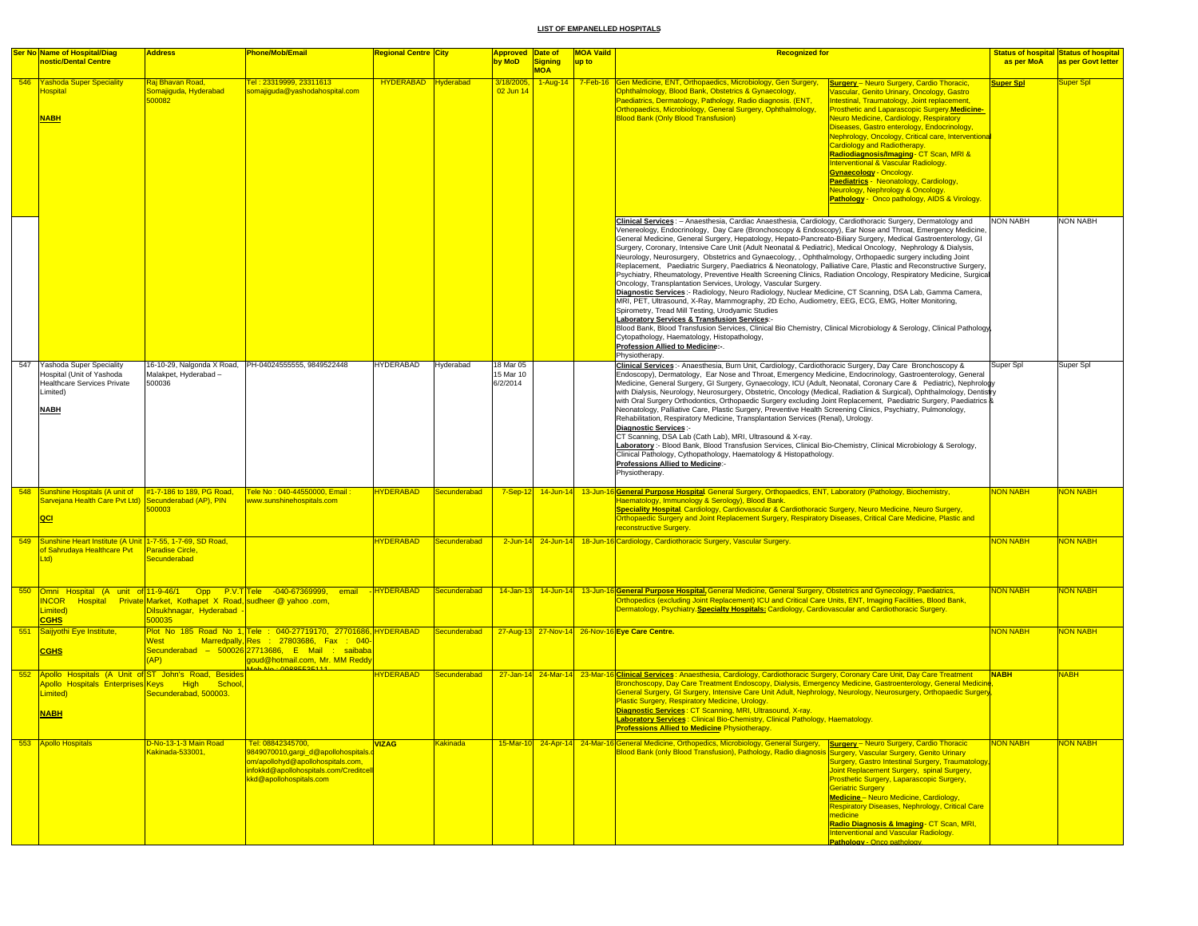|     | <b>Ser No Name of Hospital/Diag</b>                                                                                                  | <b>Address</b>                                                   | <b>Phone/Mob/Email</b>                                                                                                                                                                           | <mark>Regional Centre ∣City</mark> |              | <b>Approved Date of</b>            |                              | <b>MOA Vaild</b><br><b>Recognized for</b><br><b>Status of hospital Status of hospital</b>                                                                                                                                                                                                                                                                                                                                                                                                                                                                                                                                                                                                                                                                                                                                                                                                                                                                                                                                                                                                                                                                                                                                                                                                                                                                                                                                                             |                       |
|-----|--------------------------------------------------------------------------------------------------------------------------------------|------------------------------------------------------------------|--------------------------------------------------------------------------------------------------------------------------------------------------------------------------------------------------|------------------------------------|--------------|------------------------------------|------------------------------|-------------------------------------------------------------------------------------------------------------------------------------------------------------------------------------------------------------------------------------------------------------------------------------------------------------------------------------------------------------------------------------------------------------------------------------------------------------------------------------------------------------------------------------------------------------------------------------------------------------------------------------------------------------------------------------------------------------------------------------------------------------------------------------------------------------------------------------------------------------------------------------------------------------------------------------------------------------------------------------------------------------------------------------------------------------------------------------------------------------------------------------------------------------------------------------------------------------------------------------------------------------------------------------------------------------------------------------------------------------------------------------------------------------------------------------------------------|-----------------------|
|     | nostic/Dental Centre                                                                                                                 |                                                                  |                                                                                                                                                                                                  |                                    |              | by MoD                             | <b>Signing</b><br><b>MOA</b> | as per MoA<br>up to                                                                                                                                                                                                                                                                                                                                                                                                                                                                                                                                                                                                                                                                                                                                                                                                                                                                                                                                                                                                                                                                                                                                                                                                                                                                                                                                                                                                                                   | as per Govt letter    |
|     | 546 Yashoda Super Speciality<br><b>lospital</b><br><b>NABH</b>                                                                       | <mark>Raj Bhavan Road,</mark><br>Somajiguda, Hyderabad<br>500082 | <u> Tel : 23319999, 23311613 </u><br>omajiguda@yashodahospital.com                                                                                                                               | HYDERABAD Hyderabad                |              | 3/18/2005<br>02 Jun 14             |                              | 1-Aug-14 7-Feb-16 Gen Medicine, ENT, Orthopaedics, Microbiology, Gen Surgery,<br><b>Surgery</b> - Neuro Surgery, Cardio Thoracic,<br><b>Super Spl</b><br>Ophthalmology, Blood Bank, Obstetrics & Gynaecology,<br>ascular, Genito Urinary, Oncology, Gastro<br>Paediatrics, Dermatology, Pathology, Radio diagnosis. (ENT,<br>ntestinal, Traumatology, Joint replacement,<br>Orthopaedics, Microbiology, General Surgery, Ophthalmology,<br>rosthetic and Laparascopic Surgery.Medicine-<br><b>Blood Bank (Only Blood Transfusion)</b><br><b>Jeuro Medicine, Cardiology, Respiratory</b><br>Diseases, Gastro enterology, Endocrinology,<br><b>Nephrology, Oncology, Critical care, Interventiona</b><br>Cardiology and Radiotherapy.<br>Radiodiagnosis/Imaging- CT Scan, MRI &<br>Interventional & Vascular Radiology.<br><b>Gynaecology - Oncology.</b><br>Paediatrics - Neonatology, Cardiology,<br>Neurology, Nephrology & Oncology.<br>Pathology - Onco pathology, AIDS & Virology                                                                                                                                                                                                                                                                                                                                                                                                                                                                 | Super Spl             |
|     |                                                                                                                                      |                                                                  |                                                                                                                                                                                                  |                                    |              |                                    |                              | Clinical Services: - Anaesthesia, Cardiac Anaesthesia, Cardiology, Cardiothoracic Surgery, Dermatology and<br><b>NON NABH</b><br>Venereology, Endocrinology, Day Care (Bronchoscopy & Endoscopy), Ear Nose and Throat, Emergency Medicine,<br>General Medicine, General Surgery, Hepatology, Hepato-Pancreato-Biliary Surgery, Medical Gastroenterology, GI<br>Surgery, Coronary, Intensive Care Unit (Adult Neonatal & Pediatric), Medical Oncology, Nephrology & Dialysis,<br>Neurology, Neurosurgery, Obstetrics and Gynaecology, , Ophthalmology, Orthopaedic surgery including Joint<br>Replacement, Paediatric Surgery, Paediatrics & Neonatology, Palliative Care, Plastic and Reconstructive Surgery,<br>Psychiatry, Rheumatology, Preventive Health Screening Clinics, Radiation Oncology, Respiratory Medicine, Surgical<br>Oncology, Transplantation Services, Urology, Vascular Surgery.<br>Diagnostic Services:- Radiology, Neuro Radiology, Nuclear Medicine, CT Scanning, DSA Lab, Gamma Camera,<br>MRI, PET, Ultrasound, X-Ray, Mammography, 2D Echo, Audiometry, EEG, ECG, EMG, Holter Monitoring,<br>Spirometry, Tread Mill Testing, Urodyamic Studies<br>Laboratory Services & Transfusion Services:-<br>Blood Bank, Blood Transfusion Services, Clinical Bio Chemistry, Clinical Microbiology & Serology, Clinical Pathology<br>Cytopathology, Haematology, Histopathology,<br>Profession Allied to Medicine:-.<br>Physiotherapy. | <b>NON NABH</b>       |
| 547 | <b>Yashoda Super Speciality</b><br>Hospital (Unit of Yashoda<br><b>Healthcare Services Private</b><br>Limited)<br><b>NABH</b>        | Malakpet, Hyderabad -<br>500036                                  | 16-10-29, Nalgonda X Road, PH-04024555555, 9849522448                                                                                                                                            | <b>HYDERABAD</b>                   | Hyderabad    | 18 Mar 05<br>15 Mar 10<br>6/2/2014 |                              | Clinical Services :- Anaesthesia, Burn Unit, Cardiology, Cardiothoracic Surgery, Day Care Bronchoscopy &<br>Super Spl<br>Endoscopy), Dermatology, Ear Nose and Throat, Emergency Medicine, Endocrinology, Gastroenterology, General<br>Medicine, General Surgery, GI Surgery, Gynaecology, ICU (Adult, Neonatal, Coronary Care & Pediatric), Nephrology<br>with Dialysis, Neurology, Neurosurgery, Obstetric, Oncology (Medical, Radiation & Surgical), Ophthalmology, Dentistry<br>with Oral Surgery Orthodontics, Orthopaedic Surgery excluding Joint Replacement, Paediatric Surgery, Paediatrics &<br>Neonatology, Palliative Care, Plastic Surgery, Preventive Health Screening Clinics, Psychiatry, Pulmonology,<br>Rehabilitation, Respiratory Medicine, Transplantation Services (Renal), Urology.<br>Diagnostic Services :-<br>CT Scanning, DSA Lab (Cath Lab), MRI, Ultrasound & X-ray.<br>Laboratory :- Blood Bank, Blood Transfusion Services, Clinical Bio-Chemistry, Clinical Microbiology & Serology,<br>Clinical Pathology, Cythopathology, Haematology & Histopathology.<br>Professions Allied to Medicine:-<br>Physiotherapy.                                                                                                                                                                                                                                                                                                       | Super Spl             |
|     | 548 Sunshine Hospitals (A unit of #1-7-186 to 189, PG Road,                                                                          |                                                                  | Tele No: 040-44550000, Email:                                                                                                                                                                    | <b>IYDERABAD</b>                   | Secunderabad |                                    |                              | 7-Sep-12 14-Jun-14 13-Jun-16 General Purpose Hospital General Surgery, Orthopaedics, ENT, Laboratory (Pathology, Biochemistry,<br><b>NON NABH</b>                                                                                                                                                                                                                                                                                                                                                                                                                                                                                                                                                                                                                                                                                                                                                                                                                                                                                                                                                                                                                                                                                                                                                                                                                                                                                                     | <b>VON NABH</b>       |
|     | Sarvejana Health Care Pvt Ltd) Secunderabad (AP), PIN<br>QCI                                                                         | 500003                                                           | www.sunshinehospitals.com                                                                                                                                                                        |                                    |              |                                    |                              | Haematology, Immunology & Serology), Blood Bank.<br>Speciality Hospital. Cardiology, Cardiovascular & Cardiothoracic Surgery, Neuro Medicine, Neuro Surgery,<br>Orthopaedic Surgery and Joint Replacement Surgery, Respiratory Diseases, Critical Care Medicine, Plastic and<br>reconstructive Surgery.                                                                                                                                                                                                                                                                                                                                                                                                                                                                                                                                                                                                                                                                                                                                                                                                                                                                                                                                                                                                                                                                                                                                               |                       |
| 549 | Sunshine Heart Institute (A Unit 1-7-55, 1-7-69, SD Road,<br>of Sahrudaya Healthcare Pvt<br>Ltd)                                     | <b>Paradise Circle</b><br>Secunderabad                           |                                                                                                                                                                                                  | <b>IYDERABAD</b>                   | Secunderabad |                                    |                              | 2-Jun-14 24-Jun-14 18-Jun-16 Cardiology, Cardiothoracic Surgery, Vascular Surgery<br><b>NON NABH</b>                                                                                                                                                                                                                                                                                                                                                                                                                                                                                                                                                                                                                                                                                                                                                                                                                                                                                                                                                                                                                                                                                                                                                                                                                                                                                                                                                  | <mark>NON NABH</mark> |
|     | NCOR Hospital Private Market, Kothapet X Road, sudheer @ yahoo .com,<br>Limited)<br><b>CGHS</b>                                      | Dilsukhnagar, Hyderabad -<br>500035                              | 550 Omni Hospital (A unit of 11-9-46/1 Opp P.V.T Tele -040-67369999, email                                                                                                                       | -HYDERABAD                         | Secunderabad |                                    |                              | 14-Jan-13 14-Jun-14 13-Jun-16 General Purpose Hospital, General Medicine, General Surgery, Obstetrics and Gynecology, Paediatrics,<br><b>NON NABH</b><br>Orthopedics (excluding Joint Replacement) ICU and Critical Care Units, ENT, Imaging Facilities, Blood Bank,<br>Dermatology, Psychiatry. Specialty Hospitals: Cardiology, Cardiovascular and Cardiothoracic Surgery.                                                                                                                                                                                                                                                                                                                                                                                                                                                                                                                                                                                                                                                                                                                                                                                                                                                                                                                                                                                                                                                                          | <b>NON NABH</b>       |
|     | 551 Saijyothi Eye Institute,<br><b>CGHS</b>                                                                                          | West<br>(AP)                                                     | Plot No 185 Road No 1, Tele : 040-27719170, 27701686, HYDERABAD<br>Marredpally, Res : 27803686, Fax : 040-<br>Secunderabad - 500026 27713686, E Mail : saibaba<br>goud@hotmail.com, Mr. MM Reddy |                                    | Secunderabad |                                    |                              | 27-Aug-13 27-Nov-14 26-Nov-16 Eye Care Centre.<br><b>NON NABH</b>                                                                                                                                                                                                                                                                                                                                                                                                                                                                                                                                                                                                                                                                                                                                                                                                                                                                                                                                                                                                                                                                                                                                                                                                                                                                                                                                                                                     | <mark>NON NABH</mark> |
|     | 552 Apollo Hospitals (A Unit of ST John's Road, Besides<br>Apollo Hospitals Enterprises Keys High School,<br>Limited)<br><b>NABH</b> | Secunderabad, 500003.                                            |                                                                                                                                                                                                  | <b>IYDERABAD</b>                   | Secunderabad |                                    |                              | 27-Jan-14 24-Mar-14 23-Mar-16 Clinical Services: Anaesthesia, Cardiology, Cardiothoracic Surgery, Coronary Care Unit, Day Care Treatment<br><b>NABH</b><br>Bronchoscopy, Day Care Treatment Endoscopy, Dialysis, Emergency Medicine, Gastroenterology, General Medicine<br>General Surgery, GI Surgery, Intensive Care Unit Adult, Nephrology, Neurology, Neurosurgery, Orthopaedic Surgery<br>Plastic Surgery, Respiratory Medicine, Urology.<br>Diagnostic Services: CT Scanning, MRI, Ultrasound, X-ray.<br><b>Laboratory Services: Clinical Bio-Chemistry, Clinical Pathology, Haematology</b><br><mark>Professions Allied to Medicine</mark> Physiotherapy                                                                                                                                                                                                                                                                                                                                                                                                                                                                                                                                                                                                                                                                                                                                                                                       | <b>NABH</b>           |
|     | 553 Apollo Hospitals                                                                                                                 | D-No-13-1-3 Main Road<br>Kakinada-533001,                        | Tel: 08842345700,<br>9849070010,gargi_d@apollohospitals<br>om/apollohyd@apollohospitals.com,<br>infokkd@apollohospitals.com/Creditcell<br>kkd@apollohospitals.com                                | <b>VIZAG</b>                       | Kakinada     |                                    |                              | 15-Mar-10 24-Apr-14 24-Mar-16 General Medicine, Orthopedics, Microbiology, General Surgery, Surgery - Neuro Surgery, Cardio Thoracic<br><b>NON NABH</b><br>Blood Bank (only Blood Transfusion), Pathology, Radio diagnosis Surgery, Vascular Surgery, Genito Urinary<br>Surgery, Gastro Intestinal Surgery, Traumatology,<br>Joint Replacement Surgery, spinal Surgery,<br>Prosthetic Surgery, Laparascopic Surgery,<br><b>Geriatric Surgery</b><br><b>Medicine</b> - Neuro Medicine, Cardiology,<br>Respiratory Diseases, Nephrology, Critical Care<br>medicine<br>Radio Diagnosis & Imaging- CT Scan, MRI,<br>Interventional and Vascular Radiology.<br>Pathology - Onco pathology.                                                                                                                                                                                                                                                                                                                                                                                                                                                                                                                                                                                                                                                                                                                                                                 | <b>NON NABH</b>       |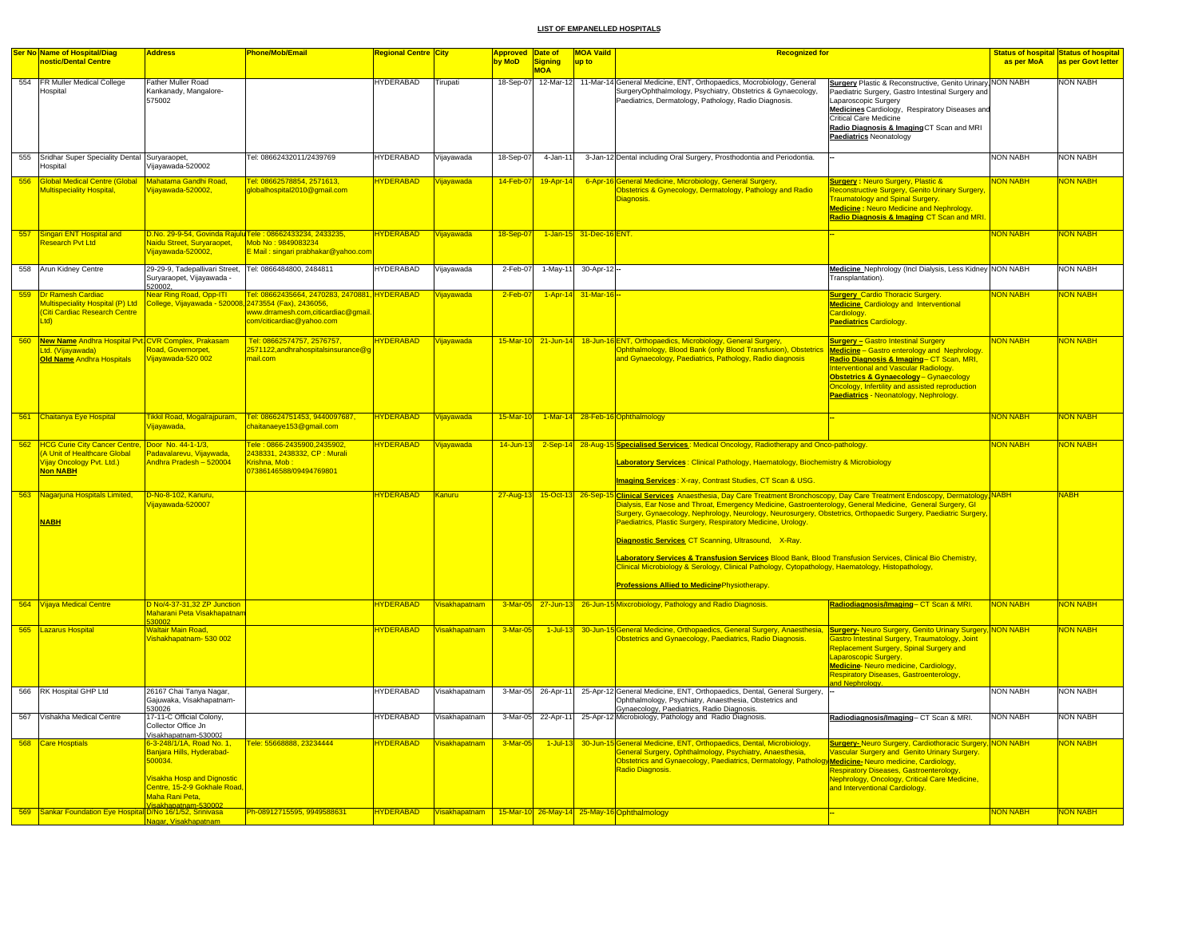|     | Ser No Name of Hospital/Diag                                                                                 | <b>Address</b>                                                                                                                                                                   | Phone/Mob/Email                                                                                                           | Regional Centre <mark>City</mark>    |                                                                                     | Approved Date of |                              | <b>MOA Vaild</b>        | <b>Recognized for</b>                                                                                                                                                                                                                                                                                                                                                                                                                                                                                                                                                                                                                                                                                                                                |                                                                                                                                                                                                                                                                                                                               |                 | <mark>Status of hospital Status of hospital</mark> |
|-----|--------------------------------------------------------------------------------------------------------------|----------------------------------------------------------------------------------------------------------------------------------------------------------------------------------|---------------------------------------------------------------------------------------------------------------------------|--------------------------------------|-------------------------------------------------------------------------------------|------------------|------------------------------|-------------------------|------------------------------------------------------------------------------------------------------------------------------------------------------------------------------------------------------------------------------------------------------------------------------------------------------------------------------------------------------------------------------------------------------------------------------------------------------------------------------------------------------------------------------------------------------------------------------------------------------------------------------------------------------------------------------------------------------------------------------------------------------|-------------------------------------------------------------------------------------------------------------------------------------------------------------------------------------------------------------------------------------------------------------------------------------------------------------------------------|-----------------|----------------------------------------------------|
|     | nostic/Dental Centre                                                                                         |                                                                                                                                                                                  |                                                                                                                           |                                      |                                                                                     | by MoD           | <b>Signing</b><br><b>MOA</b> | up to                   |                                                                                                                                                                                                                                                                                                                                                                                                                                                                                                                                                                                                                                                                                                                                                      |                                                                                                                                                                                                                                                                                                                               | as per MoA      | as per Govt letter                                 |
|     | 554 FR Muller Medical College<br>Hospital                                                                    | Father Muller Road<br>Kankanady, Mangalore-<br>575002                                                                                                                            |                                                                                                                           | HYDERABAD                            | Tirupati                                                                            |                  |                              |                         | 18-Sep-07 12-Mar-12 11-Mar-14 General Medicine, ENT, Orthopaedics, Mocrobiology, General<br>SurgeryOphthalmology, Psychiatry, Obstetrics & Gynaecology,<br>Paediatrics, Dermatology, Pathology, Radio Diagnosis.                                                                                                                                                                                                                                                                                                                                                                                                                                                                                                                                     | <b>Surgery Plastic &amp; Reconstructive, Genito Urinary, NON NABH</b><br>Paediatric Surgery, Gastro Intestinal Surgery and<br>Laparoscopic Surgery<br>Medicines Cardiology, Respiratory Diseases and<br>Critical Care Medicine<br>Radio Diagnosis & Imaging CT Scan and MRI<br><b>Paediatrics Neonatology</b>                 |                 | <b>NON NABH</b>                                    |
| 555 | Sridhar Super Speciality Dental Survaraopet,<br>lospital                                                     | /ijayawada-520002                                                                                                                                                                | Tel: 08662432011/2439769                                                                                                  | HYDERABAD                            | Vijayawada                                                                          | 18-Sep-07        | $4 - Jan-11$                 |                         | 3-Jan-12 Dental including Oral Surgery, Prosthodontia and Periodontia.                                                                                                                                                                                                                                                                                                                                                                                                                                                                                                                                                                                                                                                                               |                                                                                                                                                                                                                                                                                                                               | <b>NON NABH</b> | NON NABH                                           |
| 556 | Global Medical Centre (Global<br><b>Aultispeciality Hospital</b> ,                                           | Mahatama Gandhi Road,<br>ijayawada-520002,                                                                                                                                       | Tel: 08662578854, 2571613,<br>dobalhospital2010@gmail.com                                                                 | <b>HYDERABAD</b>                     | Vijayawada                                                                          | 14-Feb-07        | 19-Apr-14                    |                         | 6-Apr-16 General Medicine, Microbiology, General Surgery,<br>Obstetrics & Gynecology, Dermatology, Pathology and Radio<br>Diagnosis.                                                                                                                                                                                                                                                                                                                                                                                                                                                                                                                                                                                                                 | <b>Surgery: Neuro Surgery, Plastic &amp;</b><br>Reconstructive Surgery, Genito Urinary Surgery<br><b>Traumatology and Spinal Surgery.</b><br><b>Medicine: Neuro Medicine and Nephrology</b><br>Radio Diagnosis & Imaging CT Scan and MRI.                                                                                     | <b>VON NABH</b> | <b>VON NABH</b>                                    |
| 557 | Singari ENT Hospital and<br><b>Research Pvt Ltd</b>                                                          | Naidu Street, Survaraopet,<br>Vijayawada-520002,                                                                                                                                 | D.No. 29-9-54, Govinda Rajulu Tele : 08662433234, 2433235,<br>Moh No · 9849083234<br>E Mail : singari prabhakar@yahoo.con | <b>HYDERABAD</b>                     | Vijayawada                                                                          | 18-Sep-07        |                              | 1-Jan-15 31-Dec-16 ENT. |                                                                                                                                                                                                                                                                                                                                                                                                                                                                                                                                                                                                                                                                                                                                                      |                                                                                                                                                                                                                                                                                                                               | <b>NON NABH</b> | <b>VON NABH</b>                                    |
|     | 558 Arun Kidney Centre                                                                                       | 29-29-9, Tadepallivari Street, Tel: 0866484800, 2484811<br>Suryaraopet, Vijayawada -<br>520002.                                                                                  |                                                                                                                           | <b>HYDERABAD</b>                     | Vijayawada                                                                          | 2-Feb-07         |                              | 1-May-11 30-Apr-12 -    |                                                                                                                                                                                                                                                                                                                                                                                                                                                                                                                                                                                                                                                                                                                                                      | Medicine Nephrology (Incl Dialysis, Less Kidney NON NABH<br>Transplantation).                                                                                                                                                                                                                                                 |                 | <b>NON NABH</b>                                    |
|     | Dr Ramesh Cardiac<br>Multispeciality Hospital (P) Ltd<br>Citi Cardiac Research Centre<br>td)                 | <mark>Near Ring Road, Opp-ITI</mark><br>College, Vijayawada - 520008, 2473554 (Fax), 2436056,                                                                                    | Tel: 08662435664, 2470283, 2470881, HYDERABAD<br>www.drramesh.com,citicardiac@gmail<br>com/citicardiac@yahoo.com          |                                      | Vijayawada                                                                          | $2-Feb-0$        |                              | 1-Apr-14 31-Mar-16      |                                                                                                                                                                                                                                                                                                                                                                                                                                                                                                                                                                                                                                                                                                                                                      | <b>Surgery_Cardio Thoracic Surgery.</b><br><b>Medicine</b> Cardiology and Interventional<br><b>Cardiology</b><br><b>Paediatrics Cardiology.</b>                                                                                                                                                                               | <b>VON NABH</b> | <b>JON NABH</b>                                    |
| 560 | New Name Andhra Hospital Pvt. CVR Complex, Prakasam<br>Ltd. (Vijayawada)<br><b>Old Name Andhra Hospitals</b> | Road, Governorpet,<br>'ijayawada-520 002                                                                                                                                         | Tel: 08662574757, 2576757,<br>2571122,andhrahospitalsinsurance@g<br>nail.com                                              | <b>HYDERABAD</b>                     | Vijayawada                                                                          |                  | 15-Mar-10 21-Jun-14          |                         | 18-Jun-16 ENT, Orthopaedics, Microbiology, General Surgery,<br>Ophthalmology, Blood Bank (only Blood Transfusion), Obstetrics<br>and Gynaecology, Paediatrics, Pathology, Radio diagnosis                                                                                                                                                                                                                                                                                                                                                                                                                                                                                                                                                            | <b>Surgery - Gastro Intestinal Surgery</b><br><b>Medicine</b> - Gastro enterology and Nephrology<br>Radio Diagnosis & Imaging- CT Scan, MRI,<br>Interventional and Vascular Radiology.<br>Obstetrics & Gynaecology - Gynaecology<br>Oncology, Infertility and assisted reproduction<br>Paediatrics - Neonatology, Nephrology. | <b>VON NABH</b> | <b>VON NABH</b>                                    |
|     | 561 Chaitanya Eye Hospital                                                                                   | ikkil Road, Mogalrajpuram,<br>'iiavawada.                                                                                                                                        | Tel: 086624751453, 9440097687,<br>chaitanaeye153@gmail.com                                                                | <b>HYDERABAD</b>                     | Vijavawada                                                                          | $15-Mar-10$      |                              |                         | 1-Mar-14 28-Feb-16 Ophthalmology                                                                                                                                                                                                                                                                                                                                                                                                                                                                                                                                                                                                                                                                                                                     |                                                                                                                                                                                                                                                                                                                               | <b>NON NABH</b> | NON NABH                                           |
| 562 | <b>HCG Curie City Cancer Centre,</b><br>A Unit of Healthcare Global<br>ijay Oncology Pvt. Ltd.)<br>Non NABH  | Door No. 44-1-1/3,<br>Padavalarevu, Vijaywada,<br>Indhra Pradesh - 520004                                                                                                        | Fele: 0866-2435900.2435902.<br>2438331, 2438332, CP: Murali<br><mark>(rishna, Mob :</mark><br>07386146588/09494769801     | <b>HYDERABAD</b>                     | Vijayawada                                                                          | $14$ -Jun-13     |                              | 2-Sep-14 28-Aug-1       | <b>Specialised Services:</b> Medical Oncology, Radiotherapy and Onco-pathology<br>Laboratory Services: Clinical Pathology, Haematology, Biochemistry & Microbiology<br>Imaging Services: X-ray, Contrast Studies, CT Scan & USG.                                                                                                                                                                                                                                                                                                                                                                                                                                                                                                                     |                                                                                                                                                                                                                                                                                                                               | <b>VON NABH</b> | <b>JON NABH</b>                                    |
|     | 563 Nagarjuna Hospitals Limited,<br><b>NABH</b>                                                              | D-No-8-102, Kanuru,<br>ijayawada-520007                                                                                                                                          |                                                                                                                           | <b>HYDERABAD</b>                     | Kanuru                                                                              |                  | 27-Aug-13 15-Oct-13 26-Sep-1 |                         | i Clinical Services Anaesthesia, Day Care Treatment Bronchoscopy, Day Care Treatment Endoscopy, Dermatology, NABH<br>Dialysis, Ear Nose and Throat, Emergency Medicine, Gastroenterology, General Medicine, General Surgery, Gl<br>Surgery, Gynaecology, Nephrology, Neurology, Neurosurgery, Obstetrics, Orthopaedic Surgery, Paediatric Surgery,<br>Paediatrics, Plastic Surgery, Respiratory Medicine, Urology.<br>Diagnostic Services CT Scanning, Ultrasound, X-Ray.<br>Laboratory Services & Transfusion Services Blood Bank, Blood Transfusion Services, Clinical Bio Chemistry,<br>Clinical Microbiology & Serology, Clinical Pathology, Cytopathology, Haematology, Histopathology,<br><b>Professions Allied to Medicine Physiotherapy.</b> |                                                                                                                                                                                                                                                                                                                               |                 | <b>NABH</b>                                        |
|     | <b>564 Vijaya Medical Centre</b>                                                                             | D No/4-37-31,32 ZP Junction<br>Maharani Peta Visakhapatnar<br>30002                                                                                                              |                                                                                                                           | <b>HYDERABAD</b>                     | Visakhapatnam                                                                       |                  |                              |                         | 3-Mar-05 27-Jun-13 26-Jun-15 Mixcrobiology, Pathology and Radio Diagnosis.                                                                                                                                                                                                                                                                                                                                                                                                                                                                                                                                                                                                                                                                           | Radiodiagnosis/Imaging-CT Scan & MRI.                                                                                                                                                                                                                                                                                         | <b>NON NABH</b> | <b>VON NABH</b>                                    |
|     | 565  Lazarus Hospital                                                                                        | Valtair Main Road,<br>'ishakhapatnam- 530 002                                                                                                                                    |                                                                                                                           | <b>HYDERABAD</b>                     | Visakhapatnam                                                                       | 3-Mar-05         | $1 -$ Jul-13                 |                         | 30-Jun-15 General Medicine, Orthopaedics, General Surgery, Anaesthesia, Surgery-Neuro Surgery, Genito Urinary Surgery, NON NABH<br>Obstetrics and Gynaecology, Paediatrics, Radio Diagnosis.                                                                                                                                                                                                                                                                                                                                                                                                                                                                                                                                                         | <b>Bastro Intestinal Surgery, Traumatology, Joint</b><br>Replacement Surgery, Spinal Surgery and<br>Laparoscopic Surgery<br><b>Medicine</b> Neuro medicine, Cardiology,<br>Respiratory Diseases, Gastroenterology,                                                                                                            |                 | <b>JON NABH</b>                                    |
| 566 | RK Hospital GHP Ltd                                                                                          | 26167 Chai Tanva Nagar.<br>Gajuwaka, Visakhapatnam-                                                                                                                              |                                                                                                                           | <b>HYDERABAD</b>                     | Visakhapatnam                                                                       | 3-Mar-05         | 26-Apr-11                    |                         | 25-Apr-12 General Medicine, ENT, Orthopaedics, Dental, General Surgery,                                                                                                                                                                                                                                                                                                                                                                                                                                                                                                                                                                                                                                                                              |                                                                                                                                                                                                                                                                                                                               | <b>NON NABH</b> | <b>NON NABH</b>                                    |
| 567 | Vishakha Medical Centre                                                                                      | 530026<br>17-11-C Official Colony,<br>Collector Office Jn                                                                                                                        |                                                                                                                           | <b>HYDERABAD</b>                     | Visakhapatnam                                                                       | 3-Mar-05         | 22-Apr-11                    |                         | Ophthalmology, Psychiatry, Anaesthesia, Obstetrics and<br>Gynaecology, Paediatrics, Radio Diagnosis.<br>25-Apr-12 Microbiology, Pathology and Radio Diagnosis.                                                                                                                                                                                                                                                                                                                                                                                                                                                                                                                                                                                       | Radiodiagnosis/Imaging-CT Scan & MRI.                                                                                                                                                                                                                                                                                         | <b>NON NABH</b> | <b>NON NABH</b>                                    |
|     |                                                                                                              | Visakhapatnam-530002                                                                                                                                                             |                                                                                                                           |                                      |                                                                                     |                  |                              |                         |                                                                                                                                                                                                                                                                                                                                                                                                                                                                                                                                                                                                                                                                                                                                                      |                                                                                                                                                                                                                                                                                                                               |                 |                                                    |
| 568 | <b>Care Hosptials</b><br>569 Sankar Foundation Eye Hospital D/No 16/1/52, Srinivasa                          | 6-3-248/1/1A, Road No. 1,<br>Banjara Hills, Hyderabad-<br>500034.<br><b>Visakha Hosp and Dignostic</b><br>Centre, 15-2-9 Gokhale Road,<br>Maha Rani Peta,<br>isakhapatnam-530002 | Fele: 55668888, 23234444<br>Ph-08912715595, 9949588631                                                                    | <b>HYDERABAD</b><br><b>HYDERABAD</b> | <b>Visakhapatnam</b><br>Visakhapatnam   15-Mar-10 26-May-14 25-May-16 Ophthalmology | 3-Mar-05         | $1$ -Jul-13                  |                         | 30-Jun-15 General Medicine, ENT, Orthopaedics, Dental, Microbiology,<br>General Surgery, Ophthalmology, Psychiatry, Anaesthesia,<br>Obstetrics and Gynaecology, Paediatrics, Dermatology, Pathology<br>Radio Diagnosis.                                                                                                                                                                                                                                                                                                                                                                                                                                                                                                                              | <b>Surgery-Neuro Surgery, Cardiothoracic Surgery, NON NABH</b><br><b>Jascular Surgery and Genito Urinary Surgery.</b><br>Medicine-Neuro medicine, Cardiology,<br><b>Respiratory Diseases, Gastroenterology,</b><br><b>Vephrology, Oncology, Critical Care Medicine,</b><br>and Interventional Cardiology.                     | <b>NON NABH</b> | <b>JON NABH</b><br><b>NON NABH</b>                 |
|     |                                                                                                              | Nagar, Visakhapatnam                                                                                                                                                             |                                                                                                                           |                                      |                                                                                     |                  |                              |                         |                                                                                                                                                                                                                                                                                                                                                                                                                                                                                                                                                                                                                                                                                                                                                      |                                                                                                                                                                                                                                                                                                                               |                 |                                                    |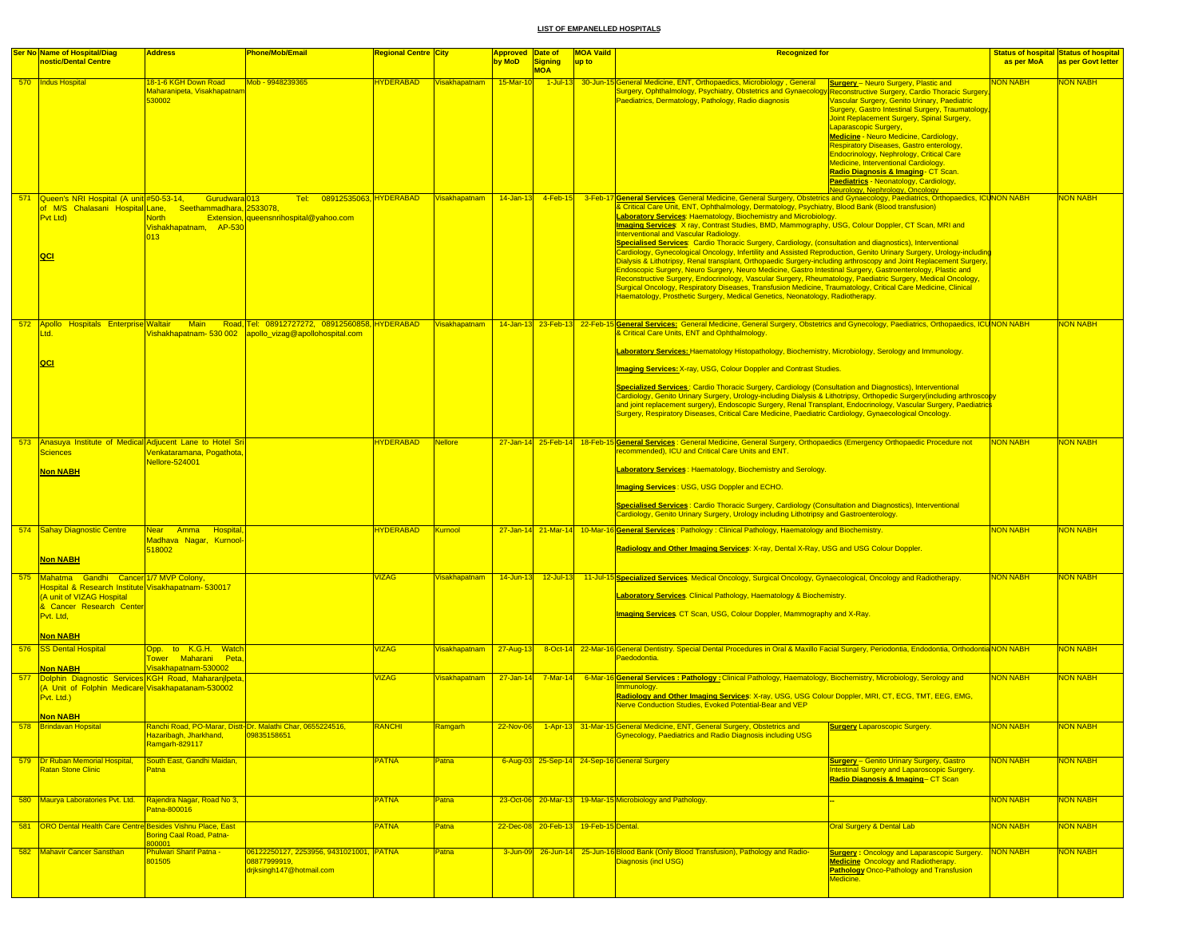|     | <b>Ser No Name of Hospital/Diag</b><br>nostic/Dental Centre                                                                                                                        | <b>Phone/Mob/Email</b><br><b>Address</b>                                                                                                                                                 | <mark>legional Centre  City</mark> |                      | <b>Approved</b><br>by MoD | Date of<br><b>Signing</b><br><b>MOA</b> | <b>MOA Vaild</b><br>up to | <b>Recognized for</b>                                                                                                                                                                                                                                                                                                                                                                                                                                                                                                                                                                                                                                                                                                                                                                                                                                                                                                                                                                                                                                                                                                                                                                                                                                      |                                                                                                                                                                                                                                                                                                                                                                                                                                                                                                                                                                                              | as per MoA       | <b>Status of hospital Status of hospital</b><br>as per Govt letter |
|-----|------------------------------------------------------------------------------------------------------------------------------------------------------------------------------------|------------------------------------------------------------------------------------------------------------------------------------------------------------------------------------------|------------------------------------|----------------------|---------------------------|-----------------------------------------|---------------------------|------------------------------------------------------------------------------------------------------------------------------------------------------------------------------------------------------------------------------------------------------------------------------------------------------------------------------------------------------------------------------------------------------------------------------------------------------------------------------------------------------------------------------------------------------------------------------------------------------------------------------------------------------------------------------------------------------------------------------------------------------------------------------------------------------------------------------------------------------------------------------------------------------------------------------------------------------------------------------------------------------------------------------------------------------------------------------------------------------------------------------------------------------------------------------------------------------------------------------------------------------------|----------------------------------------------------------------------------------------------------------------------------------------------------------------------------------------------------------------------------------------------------------------------------------------------------------------------------------------------------------------------------------------------------------------------------------------------------------------------------------------------------------------------------------------------------------------------------------------------|------------------|--------------------------------------------------------------------|
|     | 570   Indus Hospital                                                                                                                                                               | 8-1-6 KGH Down Road<br>Mob - 9948239365<br>Maharanipeta. Visakhapatnan<br>530002                                                                                                         | <b>HYDERABAD</b>                   | <b>Visakhapatnam</b> | 15-Mar-10                 |                                         |                           | 1-Jul-13 30-Jun-15 General Medicine, ENT, Orthopaedics, Microbiology, General<br>Surgery, Ophthalmology, Psychiatry, Obstetrics and Gynaecology,<br>Paediatrics, Dermatology, Pathology, Radio diagnosis                                                                                                                                                                                                                                                                                                                                                                                                                                                                                                                                                                                                                                                                                                                                                                                                                                                                                                                                                                                                                                                   | <b>Surgery</b> - Neuro Surgery, Plastic and<br>Reconstructive Surgery, Cardio Thoracic Surgery<br>Vascular Surgery, Genito Urinary, Paediatric<br><b>Surgery, Gastro Intestinal Surgery, Traumatology</b><br>Joint Replacement Surgery, Spinal Surgery,<br>Laparascopic Surgery,<br><b>Medicine - Neuro Medicine, Cardiology,</b><br>Respiratory Diseases, Gastro enterology,<br><b>Endocrinology, Nephrology, Critical Care</b><br>Medicine, Interventional Cardiology.<br>Radio Diagnosis & Imaging- CT Scan.<br>Paediatrics - Neonatology, Cardiology,<br>Neurology, Nephrology, Oncology | <b>NON NABH</b>  | <b>VON NABH</b>                                                    |
|     | 571 Queen's NRI Hospital (A unit #50-53-14,<br>Pvt Ltd)<br>QCI                                                                                                                     | Gurudwara <sup>1013</sup><br>Tel:<br>of M/S Chalasani Hospital Lane, Seethammadhara, 2533078,<br><b>North</b><br>Extension, queensnrihospital@yahoo.com<br>Vishakhapatnam. AP-530<br>013 | 08912535063, HYDERABAD             | Visakhapatnam        | $14$ -Jan-13              | $4$ -Feb-15                             | 3-Feb-17                  | General Services. General Medicine, General Surgery, Obstetrics and Gynaecology, Paediatrics, Orthopaedics, ICUNON NABH<br>& Critical Care Unit, ENT, Ophthalmology, Dermatology, Psychiatry, Blood Bank (Blood transfusion)<br><b>Laboratory Services: Haematology, Biochemistry and Microbiology.</b><br>Imaging Services: X ray, Contrast Studies, BMD, Mammography, USG, Colour Doppler, CT Scan, MRI and<br><b>Interventional and Vascular Radiology.</b><br>Specialised Services: Cardio Thoracic Surgery, Cardiology, (consultation and diagnostics), Interventional<br>Cardiology, Gynecological Oncology, Infertility and Assisted Reproduction, Genito Urinary Surgery, Urology-including<br>Dialysis & Lithotripsy, Renal transplant, Orthopaedic Surgery-including arthroscopy and Joint Replacement Surgery,<br>Endoscopic Surgery, Neuro Surgery, Neuro Medicine, Gastro Intestinal Surgery, Gastroenterology, Plastic and<br>Reconstructive Surgery, Endocrinology, Vascular Surgery, Rheumatology, Paediatric Surgery, Medical Oncology,<br>Surgical Oncology, Respiratory Diseases, Transfusion Medicine, Traumatology, Critical Care Medicine, Clinical<br>Haematology, Prosthetic Surgery, Medical Genetics, Neonatology, Radiotherapy. |                                                                                                                                                                                                                                                                                                                                                                                                                                                                                                                                                                                              |                  | <b>NON NABH</b>                                                    |
|     | 572 Apollo Hospitals Enterprise Waltair<br>Ltd.                                                                                                                                    | Road, Tel: 08912727272, 08912560858, HYDERABAD<br><b>Main</b><br>ishakhapatnam- 530 002<br>apollo_vizag@apollohospital.com                                                               |                                    | Visakhapatnam        |                           | 14-Jan-13 23-Feb-13 22-Feb-15           |                           | General Services: General Medicine, General Surgery, Obstetrics and Gynecology, Paediatrics, Orthopaedics, ICUNON NABH<br>& Critical Care Units, ENT and Ophthalmology.                                                                                                                                                                                                                                                                                                                                                                                                                                                                                                                                                                                                                                                                                                                                                                                                                                                                                                                                                                                                                                                                                    |                                                                                                                                                                                                                                                                                                                                                                                                                                                                                                                                                                                              |                  | <b>NON NABH</b>                                                    |
|     | QCI                                                                                                                                                                                |                                                                                                                                                                                          |                                    |                      |                           |                                         |                           | Laboratory Services: Haematology Histopathology, Biochemistry, Microbiology, Serology and Immunology.<br><b>Imaging Services: X-ray, USG, Colour Doppler and Contrast Studies.</b><br>Specialized Services : Cardio Thoracic Surgery, Cardiology (Consultation and Diagnostics), Interventional<br>Cardiology, Genito Urinary Surgery, Urology-including Dialysis & Lithotripsy, Orthopedic Surgery(including arthroscopy<br>and joint replacement surgery), Endoscopic Surgery, Renal Transplant, Endocrinology, Vascular Surgery, Paediatrics<br>Surgery, Respiratory Diseases, Critical Care Medicine, Paediatric Cardiology, Gynaecological Oncology.                                                                                                                                                                                                                                                                                                                                                                                                                                                                                                                                                                                                  |                                                                                                                                                                                                                                                                                                                                                                                                                                                                                                                                                                                              |                  |                                                                    |
|     | 573 Anasuva Institute of Medical Adiucent Lane to Hotel Sri<br><b>Sciences</b>                                                                                                     | /enkataramana, Pogathota,                                                                                                                                                                | <b>HYDERABAD</b>                   | <b>Nellore</b>       |                           |                                         |                           | 27-Jan-14 25-Feb-14 18-Feb-15 General Services: General Medicine, General Surgery, Orthopaedics (Emergency Orthopaedic Procedure not<br>recommended). ICU and Critical Care Units and ENT.                                                                                                                                                                                                                                                                                                                                                                                                                                                                                                                                                                                                                                                                                                                                                                                                                                                                                                                                                                                                                                                                 |                                                                                                                                                                                                                                                                                                                                                                                                                                                                                                                                                                                              | <b>NON NABH</b>  | <b>NON NABH</b>                                                    |
|     | <b>Non NABH</b>                                                                                                                                                                    | Nellore-524001                                                                                                                                                                           |                                    |                      |                           |                                         |                           | <b>aboratory Services: Haematology, Biochemistry and Serology.</b><br>Imaging Services: USG, USG Doppler and ECHO.<br>Specialised Services: Cardio Thoracic Surgery, Cardiology (Consultation and Diagnostics), Interventional<br>Cardiology, Genito Urinary Surgery, Urology including Lithotripsy and Gastroenterology.                                                                                                                                                                                                                                                                                                                                                                                                                                                                                                                                                                                                                                                                                                                                                                                                                                                                                                                                  |                                                                                                                                                                                                                                                                                                                                                                                                                                                                                                                                                                                              |                  |                                                                    |
|     | 574 Sahay Diagnostic Centre<br><b>Non NABH</b>                                                                                                                                     | Near Amma Hospital<br>Madhava Nagar, Kurnool-<br>518002                                                                                                                                  | <b>HYDERABAD</b>                   | Kumool               |                           |                                         |                           | 27-Jan-14 21-Mar-14 10-Mar-16 General Services: Pathology: Clinical Pathology, Haematology and Biochemistry.<br>Radiology and Other Imaging Services: X-ray, Dental X-Ray, USG and USG Colour Doppler.                                                                                                                                                                                                                                                                                                                                                                                                                                                                                                                                                                                                                                                                                                                                                                                                                                                                                                                                                                                                                                                     |                                                                                                                                                                                                                                                                                                                                                                                                                                                                                                                                                                                              | <b>NON NABH</b>  | <b>NON NABH</b>                                                    |
|     | 575 Mahatma Gandhi Cancer 1/7 MVP Colony,<br>Hospital & Research Institute Visakhapatnam- 530017<br>(A unit of VIZAG Hospital<br>& Cancer Research Center<br>Pvt. Ltd,<br>Non NABH |                                                                                                                                                                                          | <b>/IZAG</b>                       | Visakhapatnam        | $14$ -Jun-13              | $12$ -Jul-13                            |                           | 11-Jul-15 Specialized Services. Medical Oncology, Surgical Oncology, Gynaecological, Oncology and Radiotherapy.<br><b>aboratory Services</b> . Clinical Pathology, Haematology & Biochemistry.<br>Imaging Services CT Scan, USG, Colour Doppler, Mammography and X-Ray.                                                                                                                                                                                                                                                                                                                                                                                                                                                                                                                                                                                                                                                                                                                                                                                                                                                                                                                                                                                    |                                                                                                                                                                                                                                                                                                                                                                                                                                                                                                                                                                                              | <b>NON NABH</b>  | <b>NON NABH</b>                                                    |
|     | 576 SS Dental Hospital                                                                                                                                                             | Opp. to K.G.H. Watch<br>Tower Maharani Peta,                                                                                                                                             | <b>/IZAG</b>                       | Visakhapatnam        | 27-Aug-13                 |                                         |                           | 8-Oct-14 22-Mar-16 General Dentistry. Special Dental Procedures in Oral & Maxillo Facial Surgery, Periodontia, Endodontia, Orthodontia NON NABH<br>Paedodontia                                                                                                                                                                                                                                                                                                                                                                                                                                                                                                                                                                                                                                                                                                                                                                                                                                                                                                                                                                                                                                                                                             |                                                                                                                                                                                                                                                                                                                                                                                                                                                                                                                                                                                              |                  | <b>NON NABH</b>                                                    |
|     | <b>Non NABH</b><br>577 Dolphin Diagnostic Services KGH Road, Maharanjipeta,<br>(A Unit of Folphin Medicare Visakhapatanam-530002<br>Pvt. Ltd.)<br><b>Non NABH</b>                  | Visakhapatnam-530002                                                                                                                                                                     | <b>/IZAG</b>                       | <b>Visakhapatnam</b> | 27-Jan-14                 | <mark>7-Mar-14</mark>                   |                           | 6-Mar-16 General Services : Pathology : Clinical Pathology, Haematology, Biochemistry, Microbiology, Serology and<br>Immunology.<br>Radiology and Other Imaging Services: X-ray, USG, USG Colour Doppler, MRI, CT, ECG, TMT, EEG, EMG,<br>Nerve Conduction Studies, Evoked Potential-Bear and VEP                                                                                                                                                                                                                                                                                                                                                                                                                                                                                                                                                                                                                                                                                                                                                                                                                                                                                                                                                          |                                                                                                                                                                                                                                                                                                                                                                                                                                                                                                                                                                                              | <b>NON NABH</b>  | <b>NON NABH</b>                                                    |
| 5/8 | <b>Brindavan Hopsita</b>                                                                                                                                                           | kanchi Road, PO-Marar, Distt-Dr. Malathi Chai<br>Hazaribagh, Jharkhand,<br>09835158651<br>Ramgarh-829117                                                                                 | <u>(ANCHI</u>                      |                      | <b>ZZ-NOV-U6</b>          |                                         |                           | General Medicine, ENT, General Surgery, Obstetrics and<br><b>Gynecology, Paediatrics and Radio Diagnosis including USG</b>                                                                                                                                                                                                                                                                                                                                                                                                                                                                                                                                                                                                                                                                                                                                                                                                                                                                                                                                                                                                                                                                                                                                 | <u>Surgery Laparoscopic Surgery</u>                                                                                                                                                                                                                                                                                                                                                                                                                                                                                                                                                          | <u> IUN NABH</u> | NUN NABF                                                           |
|     | 579 Dr Ruban Memorial Hospital,<br>Ratan Stone Clinic                                                                                                                              | South East, Gandhi Maidan,<br>Patna                                                                                                                                                      | <b>PATNA</b>                       | Patna                |                           |                                         |                           | 6-Aug-03 25-Sep-14 24-Sep-16 General Surgery                                                                                                                                                                                                                                                                                                                                                                                                                                                                                                                                                                                                                                                                                                                                                                                                                                                                                                                                                                                                                                                                                                                                                                                                               | <b>Surgery</b> - Genito Urinary Surgery, Gastro<br>Intestinal Surgery and Laparoscopic Surgery.<br>Radio Diagnosis & Imaging- CT Scan                                                                                                                                                                                                                                                                                                                                                                                                                                                        | <b>NON NABH</b>  | <b>NON NABH</b>                                                    |
|     | 580 Maurya Laboratories Pvt. Ltd.                                                                                                                                                  | Rajendra Nagar, Road No 3,<br>Patna-800016                                                                                                                                               | <b>PATNA</b>                       | Patna                |                           |                                         |                           | 23-Oct-06 20-Mar-13 19-Mar-15 Microbiology and Pathology.                                                                                                                                                                                                                                                                                                                                                                                                                                                                                                                                                                                                                                                                                                                                                                                                                                                                                                                                                                                                                                                                                                                                                                                                  |                                                                                                                                                                                                                                                                                                                                                                                                                                                                                                                                                                                              | <b>NON NABH</b>  | <b>NON NABH</b>                                                    |
|     | 581 ORO Dental Health Care Centre Besides Vishnu Place, East                                                                                                                       | Boring Caal Road, Patna-<br>800001                                                                                                                                                       | PATNA                              | Patna                |                           | 22-Dec-08 20-Feb-13 19-Feb-15 Dental.   |                           |                                                                                                                                                                                                                                                                                                                                                                                                                                                                                                                                                                                                                                                                                                                                                                                                                                                                                                                                                                                                                                                                                                                                                                                                                                                            | Oral Surgery & Dental Lab                                                                                                                                                                                                                                                                                                                                                                                                                                                                                                                                                                    | NON NABH         | <b>NON NABH</b>                                                    |
|     | 582 Mahavir Cancer Sansthan                                                                                                                                                        | Phulwari Sharif Patna -<br>06122250127, 2253956, 9431021001, PATNA<br>801505<br>08877999919,<br>drjksingh147@hotmail.com                                                                 |                                    | <b>Patna</b>         |                           |                                         |                           | 3-Jun-09 26-Jun-14 25-Jun-16 Blood Bank (Only Blood Transfusion), Pathology and Radio-<br>Diagnosis (incl USG)                                                                                                                                                                                                                                                                                                                                                                                                                                                                                                                                                                                                                                                                                                                                                                                                                                                                                                                                                                                                                                                                                                                                             | <b>Surgery: Oncology and Laparascopic Surgery.</b><br><b>Medicine</b> Oncology and Radiotherapy.<br><b>Pathology Onco-Pathology and Transfusion</b><br>Medicine.                                                                                                                                                                                                                                                                                                                                                                                                                             | NON NABH         | <b>NON NABH</b>                                                    |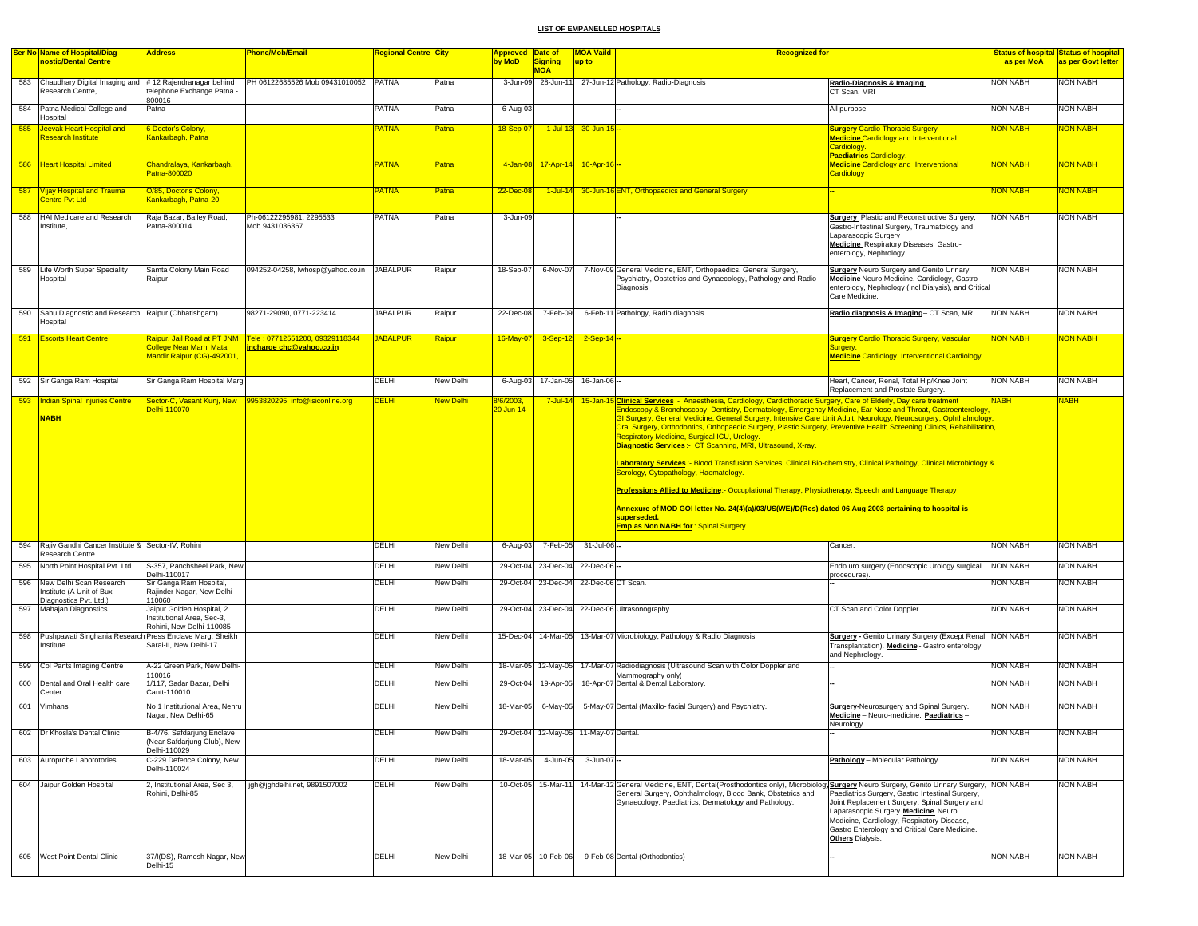|            | <b>Ser No Name of Hospital/Diag</b>                                     | <b>Address</b>                                                                       | Phone/Mob/Email                                            | Regional Centre City |                        | Approved Date of       |                                       | <b>MOA Vaild</b>                            | <b>Recognized for</b>                                                                                                                                                                                                                                                                                                                                                                                                                                                                                                                                                                                                                                                                                                                                                                                                                                                                                                        |                                                                                                                                                                                                                                                             |                                    | <b>Status of hospital Status of hospital</b> |
|------------|-------------------------------------------------------------------------|--------------------------------------------------------------------------------------|------------------------------------------------------------|----------------------|------------------------|------------------------|---------------------------------------|---------------------------------------------|------------------------------------------------------------------------------------------------------------------------------------------------------------------------------------------------------------------------------------------------------------------------------------------------------------------------------------------------------------------------------------------------------------------------------------------------------------------------------------------------------------------------------------------------------------------------------------------------------------------------------------------------------------------------------------------------------------------------------------------------------------------------------------------------------------------------------------------------------------------------------------------------------------------------------|-------------------------------------------------------------------------------------------------------------------------------------------------------------------------------------------------------------------------------------------------------------|------------------------------------|----------------------------------------------|
|            | nostic/Dental Centre                                                    |                                                                                      |                                                            |                      |                        | by MoD                 | <b>Signing</b><br><b>MOA</b>          | up to                                       |                                                                                                                                                                                                                                                                                                                                                                                                                                                                                                                                                                                                                                                                                                                                                                                                                                                                                                                              |                                                                                                                                                                                                                                                             | as per MoA                         | as per Govt letter                           |
| 583        | Chaudhary Digital Imaging and<br>Research Centre,                       | #12 Rajendranagar behind<br>telephone Exchange Patna -                               | PH 06122685526 Mob 09431010052 PATNA                       |                      | Patna                  | 3-Jun-09               | 28-Jun-11                             |                                             | 27-Jun-12 Pathology, Radio-Diagnosis                                                                                                                                                                                                                                                                                                                                                                                                                                                                                                                                                                                                                                                                                                                                                                                                                                                                                         | Radio-Diagnosis & Imaging<br>CT Scan, MRI                                                                                                                                                                                                                   | NON NABH                           | <b>NON NABH</b>                              |
|            | 584 Patna Medical College and<br><b>Hospital</b>                        | 300016<br>Patna                                                                      |                                                            | PATNA                | Patna                  | 6-Aug-03               |                                       |                                             |                                                                                                                                                                                                                                                                                                                                                                                                                                                                                                                                                                                                                                                                                                                                                                                                                                                                                                                              | All purpose.                                                                                                                                                                                                                                                | <b>NON NABH</b>                    | <b>NON NABH</b>                              |
| 585        | Jeevak Heart Hospital and<br><b>Research Institute</b>                  | <b>Doctor's Colony,</b><br>Kankarbagh, Patna                                         |                                                            | PATNA                | Patna                  | 18-Sep-0               | $1$ -Jul-13                           | 30-Jun-15 --                                |                                                                                                                                                                                                                                                                                                                                                                                                                                                                                                                                                                                                                                                                                                                                                                                                                                                                                                                              | <b>Surgery Cardio Thoracic Surgery</b><br><b>Medicine Cardiology and Interventional</b><br>Cardiology.                                                                                                                                                      | NON NABH                           | <b>NON NABH</b>                              |
|            | 586 Heart Hospital Limited                                              | Chandralaya, Kankarbagh,<br>Patna-800020                                             |                                                            | PATNA                | Patna                  | 4-Jan-08               | $17 - Apr - 14$                       | $16 -$ Apr-16 $-$                           |                                                                                                                                                                                                                                                                                                                                                                                                                                                                                                                                                                                                                                                                                                                                                                                                                                                                                                                              | Paediatrics Cardiology<br><b>Medicine Cardiology and Interventional</b><br><b>Cardiology</b>                                                                                                                                                                | <b>NON NABH</b>                    | <b>VON NABH</b>                              |
| 587        | Vijay Hospital and Trauma<br><b>Centre Pvt Ltd</b>                      | O/85, Doctor's Colony,<br>Kankarbagh, Patna-20                                       |                                                            | PATNA                | Patna                  | 22-Dec-08              | $1$ -Jul-14                           |                                             | 30-Jun-16 ENT, Orthopaedics and General Surgery                                                                                                                                                                                                                                                                                                                                                                                                                                                                                                                                                                                                                                                                                                                                                                                                                                                                              |                                                                                                                                                                                                                                                             | <b>NON NABH</b>                    | <b>VON NABH</b>                              |
| 588        | <b>HAI Medicare and Research</b><br>nstitute,                           | Raja Bazar, Bailey Road,<br>Patna-800014                                             | Ph-06122295981, 2295533<br>Mob 9431036367                  | <b>PATNA</b>         | Patna                  | 3-Jun-09               |                                       |                                             |                                                                                                                                                                                                                                                                                                                                                                                                                                                                                                                                                                                                                                                                                                                                                                                                                                                                                                                              | <b>Surgery</b> Plastic and Reconstructive Surgery,<br>Gastro-Intestinal Surgery, Traumatology and<br>Laparascopic Surgery<br>Medicine Respiratory Diseases, Gastro-<br>enterology, Nephrology.                                                              | <b>NON NABH</b>                    | <b>NON NABH</b>                              |
| 589        | Life Worth Super Speciality<br>Hospital                                 | Samta Colony Main Road<br>Raipur                                                     | 094252-04258, Iwhosp@yahoo.co.in                           | <b>JABALPUR</b>      | Raipur                 | 18-Sep-07              | 6-Nov-07                              |                                             | 7-Nov-09 General Medicine, ENT, Orthopaedics, General Surgery,<br>Psychiatry, Obstetrics and Gynaecology, Pathology and Radio<br>Diagnosis.                                                                                                                                                                                                                                                                                                                                                                                                                                                                                                                                                                                                                                                                                                                                                                                  | <b>Surgery</b> Neuro Surgery and Genito Urinary.<br>Medicine Neuro Medicine, Cardiology, Gastro<br>enterology, Nephrology (Incl Dialysis), and Critical<br>Care Medicine.                                                                                   | <b>NON NABH</b>                    | <b>NON NABH</b>                              |
| 590        | Sahu Diagnostic and Research   Raipur (Chhatishgarh)<br><b>Hospital</b> |                                                                                      | 98271-29090, 0771-223414                                   | <b>JABALPUR</b>      | Raipur                 | 22-Dec-08              | 7-Feb-09                              |                                             | 6-Feb-11 Pathology, Radio diagnosis                                                                                                                                                                                                                                                                                                                                                                                                                                                                                                                                                                                                                                                                                                                                                                                                                                                                                          | Radio diagnosis & Imaging- CT Scan, MRI.                                                                                                                                                                                                                    | <b>NON NABH</b>                    | NON NABH                                     |
| 591        | <b>Escorts Heart Centre</b>                                             | Raipur, Jail Road at PT JNM<br>College Near Marhi Mata<br>Mandir Raipur (CG)-492001. | Tele: 07712551200, 09329118344<br>incharge chc@yahoo.co.in | <b>JABALPUR</b>      | Raipur                 | 16-May-07              | $3-Sep-12$                            | $2-Sep-14$ -                                |                                                                                                                                                                                                                                                                                                                                                                                                                                                                                                                                                                                                                                                                                                                                                                                                                                                                                                                              | <b>Surgery Cardio Thoracic Surgery, Vascular</b><br>Suraerv<br><b>Medicine Cardiology, Interventional Cardiology</b>                                                                                                                                        | <b>NON NABH</b>                    | <b>JON NABH</b>                              |
|            | 592 Sir Ganga Ram Hospital                                              | Sir Ganga Ram Hospital Marg<br>Sector-C, Vasant Kunj, New                            |                                                            | DELHI                | New Delhi              | 6-Aug-03               | 17-Jan-05                             | 16-Jan-06-                                  |                                                                                                                                                                                                                                                                                                                                                                                                                                                                                                                                                                                                                                                                                                                                                                                                                                                                                                                              | Heart, Cancer, Renal, Total Hip/Knee Joint<br>Replacement and Prostate Surgery.                                                                                                                                                                             | <b>NON NABH</b>                    | <b>NON NABH</b>                              |
|            | <b>NABH</b>                                                             | Delhi-110070                                                                         |                                                            |                      |                        | 20 Jun 14              |                                       |                                             | Endoscopy & Bronchoscopy, Dentistry, Dermatology, Emergency Medicine, Ear Nose and Throat, Gastroenterology,<br>GI Surgery, General Medicine, General Surgery, Intensive Care Unit Adult, Neurology, Neurosurgery, Ophthalmology<br>Oral Surgery, Orthodontics, Orthopaedic Surgery, Plastic Surgery, Preventive Health Screening Clinics, Rehabilitation<br><b>Respiratory Medicine, Surgical ICU, Urology</b><br>Diagnostic Services:- CT Scanning, MRI, Ultrasound, X-ray.<br>Laboratory Services :- Blood Transfusion Services, Clinical Bio-chemistry, Clinical Pathology, Clinical Microbiology B<br>Serology, Cytopathology, Haematology.<br>Professions Allied to Medicine:- Occuplational Therapy, Physiotherapy, Speech and Language Therapy<br>Annexure of MOD GOI letter No. 24(4)(a)/03/US(WE)/D(Res) dated 06 Aug 2003 pertaining to hospital is<br>superseded.<br><b>Emp as Non NABH for: Spinal Surgery.</b> |                                                                                                                                                                                                                                                             |                                    |                                              |
| 594        | Rajiv Gandhi Cancer Institute & Sector-IV, Rohini<br>Research Centre    |                                                                                      |                                                            | DELHI                | New Delhi              | 6-Aug-03               | 7-Feb-05                              | 31-Jul-06-                                  |                                                                                                                                                                                                                                                                                                                                                                                                                                                                                                                                                                                                                                                                                                                                                                                                                                                                                                                              | Cancer.                                                                                                                                                                                                                                                     | <b>NON NABH</b>                    | <b>NON NABH</b>                              |
| 595<br>596 | North Point Hospital Pvt. Ltd.<br>New Delhi Scan Research               | S-357, Panchsheel Park, New<br>Delhi-110017<br>Sir Ganga Ram Hospital,               |                                                            | DELHI<br>DELHI       | New Delhi<br>New Delhi | 29-Oct-04<br>29-Oct-04 | 23-Dec-04                             | 23-Dec-04 22-Dec-06 -<br>22-Dec-06 CT Scan. |                                                                                                                                                                                                                                                                                                                                                                                                                                                                                                                                                                                                                                                                                                                                                                                                                                                                                                                              | Endo uro surgery (Endoscopic Urology surgical<br>procedures)                                                                                                                                                                                                | <b>NON NABH</b><br><b>NON NABH</b> | <b>NON NABH</b><br><b>NON NABH</b>           |
|            | Institute (A Unit of Buxi<br>Diagnostics Pvt. Ltd.)                     | Rajinder Nagar, New Delhi-<br>110060                                                 |                                                            |                      |                        |                        |                                       |                                             |                                                                                                                                                                                                                                                                                                                                                                                                                                                                                                                                                                                                                                                                                                                                                                                                                                                                                                                              |                                                                                                                                                                                                                                                             |                                    |                                              |
| 597        | Mahajan Diagnostics                                                     | Jaipur Golden Hospital, 2<br>Institutional Area, Sec-3,<br>Rohini, New Delhi-110085  |                                                            | DELHI                | New Delhi              |                        | 29-Oct-04 23-Dec-04                   |                                             | 22-Dec-06 Ultrasonography                                                                                                                                                                                                                                                                                                                                                                                                                                                                                                                                                                                                                                                                                                                                                                                                                                                                                                    | CT Scan and Color Doppler.                                                                                                                                                                                                                                  | <b>NON NABH</b>                    | <b>NON NABH</b>                              |
| 598        | Pushpawati Singhania Research Press Enclave Marg, Sheikh<br>Institute   | Sarai-II, New Delhi-17                                                               |                                                            | DELHI                | New Delhi              |                        |                                       |                                             | 15-Dec-04 14-Mar-05 13-Mar-07 Microbiology, Pathology & Radio Diagnosis.                                                                                                                                                                                                                                                                                                                                                                                                                                                                                                                                                                                                                                                                                                                                                                                                                                                     | <b>Surgery - Genito Urinary Surgery (Except Renal NON NABH</b><br>Transplantation). Medicine - Gastro enterology<br>and Nephrology.                                                                                                                         |                                    | <b>NON NABH</b>                              |
| 599        | Col Pants Imaging Centre                                                | A-22 Green Park, New Delhi-<br>10016                                                 |                                                            | DELHI                | New Delhi              | 18-Mar-05              | $12$ -May-05                          |                                             | 17-Mar-07 Radiodiagnosis (Ultrasound Scan with Color Doppler and<br>Mammography only)                                                                                                                                                                                                                                                                                                                                                                                                                                                                                                                                                                                                                                                                                                                                                                                                                                        |                                                                                                                                                                                                                                                             | <b>NON NABH</b>                    | <b>NON NABH</b>                              |
| 600        | Dental and Oral Health care<br>Center                                   | 1/117, Sadar Bazar, Delhi<br>Cantt-110010                                            |                                                            | DELHI                | New Delhi              | 29-Oct-04              | 19-Apr-05                             |                                             | 18-Apr-07 Dental & Dental Laboratory.                                                                                                                                                                                                                                                                                                                                                                                                                                                                                                                                                                                                                                                                                                                                                                                                                                                                                        |                                                                                                                                                                                                                                                             | <b>NON NABH</b>                    | <b>NON NABH</b>                              |
| 601        | Vimhans                                                                 | No 1 Institutional Area, Nehru<br>Nagar, New Delhi-65                                |                                                            | DELHI                | New Delhi              | 18-Mar-05              | 6-May-05                              |                                             | 5-May-07 Dental (Maxillo- facial Surgery) and Psychiatry.                                                                                                                                                                                                                                                                                                                                                                                                                                                                                                                                                                                                                                                                                                                                                                                                                                                                    | <b>Surgery-Neurosurgery and Spinal Surgery.</b><br>Medicine - Neuro-medicine. Paediatrics -                                                                                                                                                                 | <b>NON NABH</b>                    | <b>NON NABH</b>                              |
| 602        | Dr Khosla's Dental Clinic                                               | B-4/76, Safdarjung Enclave<br>(Near Safdarjung Club), New<br>Delhi-110029            |                                                            | DELHI                | New Delhi              |                        | 29-Oct-04 12-May-05 11-May-07 Dental. |                                             |                                                                                                                                                                                                                                                                                                                                                                                                                                                                                                                                                                                                                                                                                                                                                                                                                                                                                                                              |                                                                                                                                                                                                                                                             | <b>NON NABH</b>                    | <b>NON NABH</b>                              |
| 603        | Auroprobe Laborotories                                                  | C-229 Defence Colony, New<br>Delhi-110024                                            |                                                            | DELHI                | New Delhi              | 18-Mar-05              | 4-Jun-05                              | 3-Jun-07 --                                 |                                                                                                                                                                                                                                                                                                                                                                                                                                                                                                                                                                                                                                                                                                                                                                                                                                                                                                                              | Pathology - Molecular Pathology.                                                                                                                                                                                                                            | <b>NON NABH</b>                    | <b>NON NABH</b>                              |
|            | 604 Jaipur Golden Hospital                                              | 2, Institutional Area, Sec 3,<br>Rohini, Delhi-85                                    | jgh@jghdelhi.net, 9891507002                               | DELHI                | New Delhi              |                        | 10-Oct-05 15-Mar-11                   |                                             | 14-Mar-12 General Medicine, ENT, Dental(Prosthodontics only), Microbiology Surgery Neuro Surgery, Genito Urinary Surgery, NON NABH<br>General Surgery, Ophthalmology, Blood Bank, Obstetrics and<br>Gynaecology, Paediatrics, Dermatology and Pathology.                                                                                                                                                                                                                                                                                                                                                                                                                                                                                                                                                                                                                                                                     | Paediatrics Surgery, Gastro Intestinal Surgery,<br>Joint Replacement Surgery, Spinal Surgery and<br>Laparascopic Surgery. Medicine Neuro<br>Medicine, Cardiology, Respiratory Disease,<br>Gastro Enterology and Critical Care Medicine.<br>Others Dialysis. |                                    | NON NABH                                     |
|            | 605 West Point Dental Clinic                                            | 37/I(DS), Ramesh Nagar, New<br>Delhi-15                                              |                                                            | DELHI                | New Delhi              |                        | 18-Mar-05 10-Feb-06                   |                                             | 9-Feb-08 Dental (Orthodontics)                                                                                                                                                                                                                                                                                                                                                                                                                                                                                                                                                                                                                                                                                                                                                                                                                                                                                               |                                                                                                                                                                                                                                                             | <b>NON NABH</b>                    | <b>NON NABH</b>                              |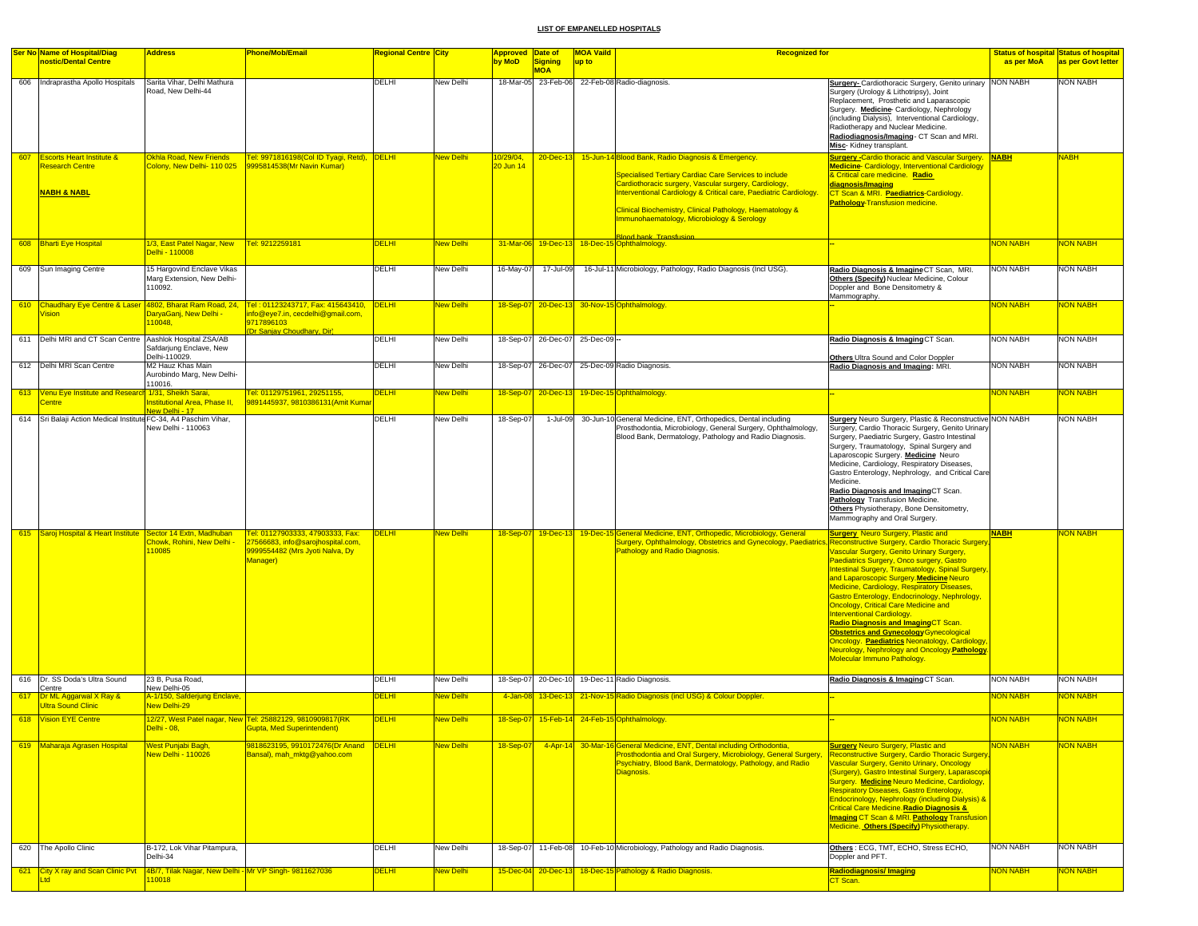|     | <b>Ser No Name of Hospital/Diag</b>                                               | <b>Address</b>                                                              | <b>Phone/Mob/Email</b>                                                                                               | Regional Centre <mark>City</mark> |                  | <b>Approved Date of</b> |                                 | <b>MOA Vaild</b> | <b>Recognized for</b>                                                                                                                                                                                                                                                                                                                                                |                                                                                                                                                                                                                                                                                                                                                                                                                                                                                                                                                                                                                                                                                                                            |                 | <b>Status of hospital Status of hospital</b> |
|-----|-----------------------------------------------------------------------------------|-----------------------------------------------------------------------------|----------------------------------------------------------------------------------------------------------------------|-----------------------------------|------------------|-------------------------|---------------------------------|------------------|----------------------------------------------------------------------------------------------------------------------------------------------------------------------------------------------------------------------------------------------------------------------------------------------------------------------------------------------------------------------|----------------------------------------------------------------------------------------------------------------------------------------------------------------------------------------------------------------------------------------------------------------------------------------------------------------------------------------------------------------------------------------------------------------------------------------------------------------------------------------------------------------------------------------------------------------------------------------------------------------------------------------------------------------------------------------------------------------------------|-----------------|----------------------------------------------|
|     | nostic/Dental Centre                                                              |                                                                             |                                                                                                                      |                                   |                  | by MoD                  | <b>Signing</b>                  | up to            |                                                                                                                                                                                                                                                                                                                                                                      |                                                                                                                                                                                                                                                                                                                                                                                                                                                                                                                                                                                                                                                                                                                            | as per MoA      | as per Govt letter                           |
|     | 606 Indraprastha Apollo Hospitals                                                 | Sarita Vihar, Delhi Mathura<br>Road, New Delhi-44                           |                                                                                                                      | DELHI                             | New Delhi        |                         | <b>MOA</b>                      |                  | 18-Mar-05 23-Feb-06 22-Feb-08 Radio-diagnosis.                                                                                                                                                                                                                                                                                                                       | Surgery- Cardiothoracic Surgery, Genito urinary NON NABH<br>Surgery (Urology & Lithotripsy), Joint<br>Replacement, Prosthetic and Laparascopic<br>Surgery. Medicine- Cardiology, Nephrology<br>(including Dialysis), Interventional Cardiology,<br>Radiotherapy and Nuclear Medicine.<br>Radiodiagnosis/Imaging- CT Scan and MRI.<br>Misc-Kidney transplant.                                                                                                                                                                                                                                                                                                                                                               |                 | <b>NON NABH</b>                              |
| 607 | <b>Escorts Heart Institute &amp;</b><br>Research Centre<br><b>NABH &amp; NABL</b> | Okhla Road, New Friends<br>Colony, New Delhi- 110 025                       | Tel: 9971816198(Col ID Tyagi, Retd), DELHI<br>9995814538 (Mr Navin Kumar)                                            |                                   | New Delhi        | 10/29/04,<br>20 Jun 14  |                                 |                  | 20-Dec-13 15-Jun-14 Blood Bank, Radio Diagnosis & Emergency.<br><b>Specialised Tertiary Cardiac Care Services to include</b><br>Cardiothoracic surgery, Vascular surgery, Cardiology,<br>Interventional Cardiology & Critical care, Paediatric Cardiology.<br>Clinical Biochemistry, Clinical Pathology, Haematology &<br>Immunohaematology, Microbiology & Serology | Surgery -Cardio thoracic and Vascular Surgery. NABH<br>Medicine-Cardiology, Interventional Cardiology<br>& Critical care medicine. Radio<br>diagnosis/Imaging<br>CT Scan & MRI. Paediatrics-Cardiology.<br>Pathology-Transfusion medicine.                                                                                                                                                                                                                                                                                                                                                                                                                                                                                 |                 | <b>NABH</b>                                  |
|     | 608 Bharti Eye Hospital                                                           | 1/3, East Patel Nagar, New<br>Delhi - 110008                                | Tel: 9212259181                                                                                                      | <b>DELHI</b>                      | New Delhi        |                         |                                 |                  |                                                                                                                                                                                                                                                                                                                                                                      |                                                                                                                                                                                                                                                                                                                                                                                                                                                                                                                                                                                                                                                                                                                            | <b>NON NABH</b> | NON NABH                                     |
|     | 609 Sun Imaging Centre                                                            | 15 Hargovind Enclave Vikas<br>Marg Extension, New Delhi-<br>110092.         |                                                                                                                      | DELHI                             | New Delhi        | 16-May-07               | 17-Jul-09                       |                  | 16-Jul-11 Microbiology, Pathology, Radio Diagnosis (Incl USG).                                                                                                                                                                                                                                                                                                       | Radio Diagnosis & Imagine CT Scan, MRI.<br>Others (Specify) Nuclear Medicine, Colour<br>Doppler and Bone Densitometry &<br>Mammography.                                                                                                                                                                                                                                                                                                                                                                                                                                                                                                                                                                                    | <b>NON NABH</b> | <b>NON NABH</b>                              |
|     | 610 Chaudhary Eye Centre & Laser 4802, Bharat Ram Road, 24,<br>/ision             | DaryaGanj, New Delhi -<br>10048,                                            | Tel: 01123243717, Fax: 415643410,<br>info@eye7.in, cecdelhi@gmail.com,<br>9717896103<br>(Dr Sanjay Choudhary, Dir)   | <b>DELHI</b>                      | New Delhi        |                         |                                 |                  | 18-Sep-07 20-Dec-13 30-Nov-15 Ophthalmology.                                                                                                                                                                                                                                                                                                                         |                                                                                                                                                                                                                                                                                                                                                                                                                                                                                                                                                                                                                                                                                                                            | <b>NON NABH</b> | NON NABH                                     |
|     | 611 Delhi MRI and CT Scan Centre Aashlok Hospital ZSA/AB                          | Safdarjung Enclave, New                                                     |                                                                                                                      | <b>DELHI</b>                      | New Delhi        |                         | 18-Sep-07 26-Dec-07 25-Dec-09 - |                  |                                                                                                                                                                                                                                                                                                                                                                      | Radio Diagnosis & Imaging CT Scan.                                                                                                                                                                                                                                                                                                                                                                                                                                                                                                                                                                                                                                                                                         | <b>NON NABH</b> | <b>NON NABH</b>                              |
|     | 612 Delhi MRI Scan Centre                                                         | Delhi-110029.<br>M2 Hauz Khas Main<br>Aurobindo Marg, New Delhi-<br>110016. |                                                                                                                      | DELHI                             | New Delhi        |                         |                                 |                  | 18-Sep-07 26-Dec-07 25-Dec-09 Radio Diagnosis.                                                                                                                                                                                                                                                                                                                       | Others Ultra Sound and Color Doppler<br>Radio Diagnosis and Imaging: MRI.                                                                                                                                                                                                                                                                                                                                                                                                                                                                                                                                                                                                                                                  | <b>NON NABH</b> | <b>NON NABH</b>                              |
|     | 613 Venu Eye Institute and Research 1/31, Sheikh Sarai,<br>entre                  | Institutional Area, Phase II,<br>Vew Delhi - 17                             | Tel: 01129751961, 29251155,<br>9891445937, 9810386131 (Amit Kuma                                                     | <b>DELHI</b>                      | <b>Vew Delhi</b> |                         |                                 |                  | 18-Sep-07 20-Dec-13 19-Dec-15 Ophthalmology.                                                                                                                                                                                                                                                                                                                         |                                                                                                                                                                                                                                                                                                                                                                                                                                                                                                                                                                                                                                                                                                                            | <b>NON NABH</b> | NON NABH                                     |
|     | 614 Sri Balaji Action Medical Institute FC-34, A4 Paschim Vihar,                  | New Delhi - 110063                                                          |                                                                                                                      | DELHI                             | New Delhi        | 18-Sep-07               |                                 |                  | 1-Jul-09 30-Jun-10 General Medicine, ENT, Orthopedics, Dental including<br>Prosthodontia, Microbiology, General Surgery, Ophthalmology,<br>Blood Bank, Dermatology, Pathology and Radio Diagnosis.                                                                                                                                                                   | Surgery Neuro Surgery, Plastic & Reconstructive NON NABH<br>Surgery, Cardio Thoracic Surgery, Genito Urinary<br>Surgery, Paediatric Surgery, Gastro Intestinal<br>Surgery, Traumatology, Spinal Surgery and<br>Laparoscopic Surgery. Medicine Neuro<br>Medicine, Cardiology, Respiratory Diseases,<br>Gastro Enterology, Nephrology, and Critical Care<br>Medicine.<br>Radio Diagnosis and ImagingCT Scan.<br>Pathology Transfusion Medicine.<br>Others Physiotherapy, Bone Densitometry,<br>Mammography and Oral Surgery.                                                                                                                                                                                                 |                 | <b>NON NABH</b>                              |
|     | 615 Saroj Hospital & Heart Institute Sector 14 Extn, Madhuban                     | <b>Chowk, Rohini, New Delhi</b><br>10085                                    | Tel: 01127903333, 47903333, Fax:<br>27566683, info@sarojhospital.com,<br>9999554482 (Mrs Jyoti Nalva, Dy<br>Manager) | <b>DELHI</b>                      | New Delhi        |                         |                                 |                  | 18-Sep-07 19-Dec-13 19-Dec-15 General Medicine, ENT, Orthopedic, Microbiology, General<br>Surgery, Ophthalmology, Obstetrics and Gynecology, Paediatri<br>Pathology and Radio Diagnosis.                                                                                                                                                                             | <b>Surgery</b> Neuro Surgery, Plastic and<br>Reconstructive Surgery, Cardio Thoracic Surgery<br>Vascular Surgery, Genito Urinary Surgery,<br>Paediatrics Surgery, Onco surgery, Gastro<br>Intestinal Surgery, Traumatology, Spinal Surgery,<br>and Laparoscopic Surgery. Medicine Neuro<br><b>Medicine, Cardiology, Respiratory Diseases,</b><br>Gastro Enterology, Endocrinology, Nephrology,<br><b>Oncology, Critical Care Medicine and</b><br><b>Interventional Cardiology.</b><br><mark>Radio Diagnosis and ImagingCT Scan.</mark><br><b>Obstetrics and Gynecology Gynecological</b><br>Oncology. Paediatrics Neonatology, Cardiology,<br>Neurology, Nephrology and Oncology Pathology.<br>Molecular Immuno Pathology. | <b>NABH</b>     | NON NABH                                     |
|     | 616 Dr. SS Doda's Ultra Sound<br>Centre                                           | 23 B, Pusa Road,<br>New Delhi-05                                            |                                                                                                                      | DELHI                             | New Delhi        |                         |                                 |                  | 18-Sep-07 20-Dec-10 19-Dec-11 Radio Diagnosis.                                                                                                                                                                                                                                                                                                                       | Radio Diagnosis & Imaging CT Scan.                                                                                                                                                                                                                                                                                                                                                                                                                                                                                                                                                                                                                                                                                         | <b>NON NABH</b> | <b>NON NABH</b>                              |
| 617 | Dr ML Aggarwal X Ray &<br><b>Ultra Sound Clinic</b>                               | A-1/150, Safderjung Enclave,<br><b>Vew Delhi-29</b>                         |                                                                                                                      | <b>DELHI</b>                      | <b>lew Delhi</b> | 4-Jan-08                |                                 |                  | 13-Dec-13 21-Nov-15 Radio Diagnosis (incl USG) & Colour Doppler                                                                                                                                                                                                                                                                                                      |                                                                                                                                                                                                                                                                                                                                                                                                                                                                                                                                                                                                                                                                                                                            | <b>NON NABH</b> | <mark>NON NABH</mark>                        |
|     | 618 Vision EYE Centre                                                             | <mark>Delhi - 08,</mark>                                                    | 12/27, West Patel nagar, New Tel: 25882129, 9810909817(RK<br>Gupta, Med Superintendent)                              | <b>DELHI</b>                      | <b>New Delhi</b> |                         |                                 |                  | 18-Sep-07 15-Feb-14 24-Feb-15 Ophthalmology.                                                                                                                                                                                                                                                                                                                         |                                                                                                                                                                                                                                                                                                                                                                                                                                                                                                                                                                                                                                                                                                                            | <b>NON NABH</b> | <b>NON NABH</b>                              |
|     | 619 Maharaja Agrasen Hospital                                                     | <mark>Nest Punjabi Bagh,</mark><br><b>Vew Delhi - 110026</b>                | 9818623195, 9910172476(Dr Anand DELHI<br>Bansal), mah mktg@yahoo.com                                                 |                                   | <b>Vew Delhi</b> | $18-Sep-07$             |                                 |                  | 4-Apr-14 30-Mar-16 General Medicine, ENT, Dental including Orthodontia,<br>Prosthodontia and Oral Surgery, Microbiology, General Surgery,<br>Psychiatry, Blood Bank, Dermatology, Pathology, and Radio<br>Diagnosis.                                                                                                                                                 | <b>Surgery Neuro Surgery, Plastic and</b><br><b>Reconstructive Surgery, Cardio Thoracic Surgery</b><br><b>ascular Surgery, Genito Urinary, Oncology</b><br>Surgery), Gastro Intestinal Surgery, Laparascopi<br>Surgery. Medicine Neuro Medicine, Cardiology,<br><b>Respiratory Diseases, Gastro Enterology,</b><br>Endocrinology, Nephrology (including Dialysis) &<br>Critical Care Medicine Radio Diagnosis &<br>I <mark>maging CT Scan &amp; MRI. <u>Pathology</u> Transfusion</mark><br>Medicine. Others (Specify) Physiotherapy.                                                                                                                                                                                      | <b>NON NABH</b> | <b>VON NABH</b>                              |
|     | 620 The Apollo Clinic                                                             | B-172, Lok Vihar Pitampura,<br>Delhi-34                                     |                                                                                                                      | DELHI                             | New Delhi        |                         |                                 |                  | 18-Sep-07 11-Feb-08 10-Feb-10 Microbiology, Pathology and Radio Diagnosis.                                                                                                                                                                                                                                                                                           | Others: ECG, TMT, ECHO, Stress ECHO,<br>Doppler and PFT.                                                                                                                                                                                                                                                                                                                                                                                                                                                                                                                                                                                                                                                                   | <b>NON NABH</b> | <b>NON NABH</b>                              |
| 621 | <b>City X ray and Scan Clinic Pvt</b>                                             | 4B/7, Tilak Nagar, New Delhi - Mr VP Singh- 9811627036<br>10018             |                                                                                                                      | <b>DELHI</b>                      | <b>Jew Delhi</b> |                         |                                 |                  | 15-Dec-04 20-Dec-13 18-Dec-15 Pathology & Radio Diagnosis.                                                                                                                                                                                                                                                                                                           | <mark>Radiodiagnosis/ Imaging</mark><br>CT Scan.                                                                                                                                                                                                                                                                                                                                                                                                                                                                                                                                                                                                                                                                           | <b>NON NABH</b> | <b>VON NABH</b>                              |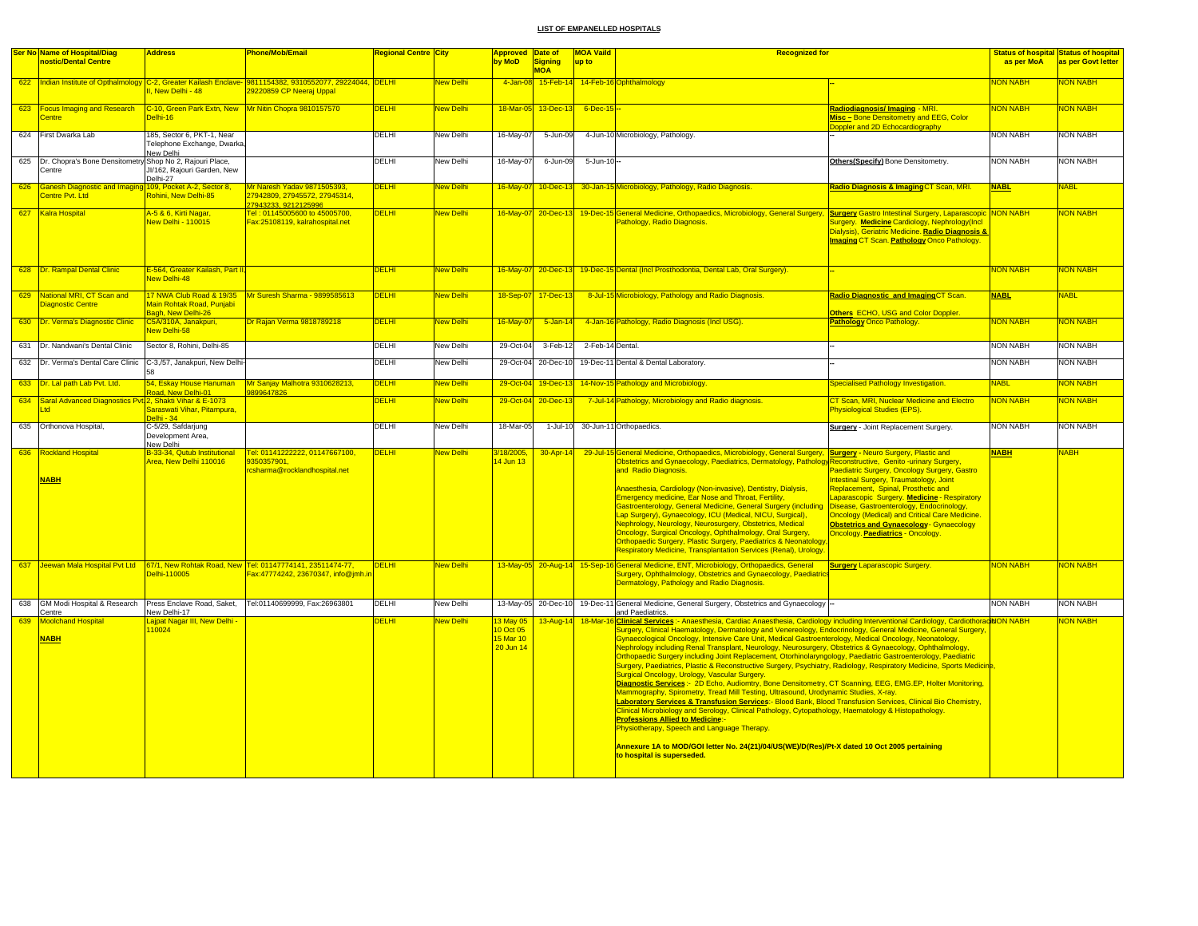|     | <b>Ser No Name of Hospital/Diag</b>                                    | <b>Address</b>                                                              | Phone/Mob/Email                                                                                                                        | <mark>Regional Centre City</mark> |                  | <b>Approved Date of</b>      |                                | <b>MOA Vaild</b> | <b>Recognized for</b>                                                                                                                                                                                                                                                                                                                                                                                                                                                                                                                                                                                                                                                                                                                                                           |                                                                                                                                                                                                                                                                                                                                                                                                |                 | <b>Status of hospital Status of hospital</b> |
|-----|------------------------------------------------------------------------|-----------------------------------------------------------------------------|----------------------------------------------------------------------------------------------------------------------------------------|-----------------------------------|------------------|------------------------------|--------------------------------|------------------|---------------------------------------------------------------------------------------------------------------------------------------------------------------------------------------------------------------------------------------------------------------------------------------------------------------------------------------------------------------------------------------------------------------------------------------------------------------------------------------------------------------------------------------------------------------------------------------------------------------------------------------------------------------------------------------------------------------------------------------------------------------------------------|------------------------------------------------------------------------------------------------------------------------------------------------------------------------------------------------------------------------------------------------------------------------------------------------------------------------------------------------------------------------------------------------|-----------------|----------------------------------------------|
|     | nostic/Dental Centre                                                   |                                                                             |                                                                                                                                        |                                   |                  | by MoD                       | Signing                        | up to            |                                                                                                                                                                                                                                                                                                                                                                                                                                                                                                                                                                                                                                                                                                                                                                                 |                                                                                                                                                                                                                                                                                                                                                                                                | as per MoA      | as per Govt letter                           |
|     |                                                                        |                                                                             |                                                                                                                                        |                                   |                  |                              | <b>MOA</b>                     |                  |                                                                                                                                                                                                                                                                                                                                                                                                                                                                                                                                                                                                                                                                                                                                                                                 |                                                                                                                                                                                                                                                                                                                                                                                                |                 |                                              |
|     |                                                                        | New Delhi - 48                                                              | 622 Indian Institute of Opthalmology C-2, Greater Kailash Enclave- 9811154382, 9310552077, 29224044, DELHI<br>29220859 CP Neeraj Uppal |                                   | <b>New Delhi</b> | 4-Jan-08                     |                                |                  | 15-Feb-14 14-Feb-16 Ophthalmology                                                                                                                                                                                                                                                                                                                                                                                                                                                                                                                                                                                                                                                                                                                                               |                                                                                                                                                                                                                                                                                                                                                                                                | <b>NON NABH</b> | <b>NON NABH</b>                              |
|     | 623 Focus Imaging and Research<br><b>Centre</b>                        | C-10, Green Park Extn, New Mr Nitin Chopra 9810157570<br>Delhi-16           |                                                                                                                                        | <b>DELHI</b>                      | <b>New Delhi</b> |                              | 18-Mar-05 13-Dec-13 6-Dec-15 - |                  |                                                                                                                                                                                                                                                                                                                                                                                                                                                                                                                                                                                                                                                                                                                                                                                 | Radiodiagnosis/Imaging - MRI.<br>Misc - Bone Densitometry and EEG, Color<br>Doppler and 2D Echocardiography                                                                                                                                                                                                                                                                                    | <b>NON NABH</b> | <b>NON NABH</b>                              |
|     | 624 First Dwarka Lab                                                   | 185, Sector 6, PKT-1, Near<br>Telephone Exchange, Dwarka,<br>New Delhi      |                                                                                                                                        | DELHI                             | New Delhi        | 16-May-07                    | 5-Jun-09                       |                  | 4-Jun-10 Microbiology, Pathology.                                                                                                                                                                                                                                                                                                                                                                                                                                                                                                                                                                                                                                                                                                                                               |                                                                                                                                                                                                                                                                                                                                                                                                | <b>NON NABH</b> | <b>NON NABH</b>                              |
|     | 625 Dr. Chopra's Bone Densitometry Shop No 2, Rajouri Place,<br>Centre | JI/162, Rajouri Garden, New<br>Delhi-27                                     |                                                                                                                                        | DELHI                             | <b>New Delhi</b> | 16-May-07                    | 6-Jun-09                       | $5 - Jun - 10 -$ |                                                                                                                                                                                                                                                                                                                                                                                                                                                                                                                                                                                                                                                                                                                                                                                 | Others(Specify) Bone Densitometry.                                                                                                                                                                                                                                                                                                                                                             | <b>NON NABH</b> | <b>NON NABH</b>                              |
| 626 | Ganesh Diagnostic and Imaging<br><b>Centre Pvt. Ltd</b>                | 09, Pocket A-2, Sector 8,<br>Rohini, New Delhi-85                           | Mr Naresh Yadav 9871505393.<br>27942809, 27945572, 27945314,<br>27943233, 9212125996                                                   | <b>DELHI</b>                      | <b>Vew Delhi</b> | 16-May-07                    | $10 - Dec - 13$                |                  | 30-Jan-15 Microbiology, Pathology, Radio Diagnosis.                                                                                                                                                                                                                                                                                                                                                                                                                                                                                                                                                                                                                                                                                                                             | Radio Diagnosis & Imaging CT Scan, MRI.                                                                                                                                                                                                                                                                                                                                                        | <b>NABL</b>     | VABL                                         |
|     | 627 Kalra Hospital                                                     | <mark>A-5 &amp; 6, Kirti Nagar,</mark><br><b>New Delhi - 110015</b>         | Tel: 01145005600 to 45005700,<br>Fax:25108119, kalrahospital.net                                                                       | <b>DELHI</b>                      | New Delhi        |                              |                                |                  | 16-May-07 20-Dec-13 19-Dec-15 General Medicine, Orthopaedics, Microbiology, General Surgery, Surgery Gastro Intestinal Surgery, Laparascopic NON NABH<br>Pathology, Radio Diagnosis.                                                                                                                                                                                                                                                                                                                                                                                                                                                                                                                                                                                            | Surgery. Medicine Cardiology, Nephrology(Incl<br>Dialysis), Geriatric Medicine. Radio Diagnosis &<br><b>Imaging CT Scan. Pathology Onco Pathology</b>                                                                                                                                                                                                                                          |                 | NON NABH                                     |
|     | 628 Dr. Rampal Dental Clinic                                           | E-564, Greater Kailash, Part II,<br><b>Jew Delhi-48</b>                     |                                                                                                                                        | <b>DELHI</b>                      | <b>New Delhi</b> |                              |                                |                  | 16-May-07 20-Dec-13 19-Dec-15 Dental (Incl Prosthodontia, Dental Lab, Oral Surgery).                                                                                                                                                                                                                                                                                                                                                                                                                                                                                                                                                                                                                                                                                            |                                                                                                                                                                                                                                                                                                                                                                                                | <b>NON NABH</b> | <b>NON NABH</b>                              |
| 629 | National MRI, CT Scan and<br>Diagnostic Centre                         | 17 NWA Club Road & 19/35<br>Main Rohtak Road, Punjabi<br>Bagh, New Delhi-26 | Mr Suresh Sharma - 9899585613                                                                                                          | <b>DELHI</b>                      | <b>New Delhi</b> |                              | 18-Sep-07 17-Dec-13            |                  | 8-Jul-15 Microbiology, Pathology and Radio Diagnosis.                                                                                                                                                                                                                                                                                                                                                                                                                                                                                                                                                                                                                                                                                                                           | Radio Diagnostic and ImagingCT Scan.<br>Others ECHO, USG and Color Doppler.                                                                                                                                                                                                                                                                                                                    | <b>NABL</b>     | VABL                                         |
|     | 630 Dr. Verma's Diagnostic Clinic                                      | C5A/310A, Janakpuri,<br><b>New Delhi-58</b>                                 | Dr Rajan Verma 9818789218                                                                                                              | <b>DELHI</b>                      | New Delhi        | $16$ -May-0                  | $5 - Jan - 14$                 |                  | 4-Jan-16 Pathology, Radio Diagnosis (Incl USG).                                                                                                                                                                                                                                                                                                                                                                                                                                                                                                                                                                                                                                                                                                                                 | <b>Pathology Onco Pathology.</b>                                                                                                                                                                                                                                                                                                                                                               | NON NABH        | <b>NON NABH</b>                              |
|     | 631 Dr. Nandwani's Dental Clinic                                       | Sector 8, Rohini, Delhi-85                                                  |                                                                                                                                        | <b>DELHI</b>                      | <b>New Delhi</b> | 29-Oct-04                    | 3-Feb-12                       | 2-Feb-14 Dental. |                                                                                                                                                                                                                                                                                                                                                                                                                                                                                                                                                                                                                                                                                                                                                                                 |                                                                                                                                                                                                                                                                                                                                                                                                | <b>NON NABH</b> | <b>NON NABH</b>                              |
| 632 | Dr. Verma's Dental Care Clinic                                         | C-3,/57, Janakpuri, New Delhi-                                              |                                                                                                                                        | DELHI                             | New Delhi        |                              | 29-Oct-04 20-Dec-10            |                  | 19-Dec-11 Dental & Dental Laboratory.                                                                                                                                                                                                                                                                                                                                                                                                                                                                                                                                                                                                                                                                                                                                           |                                                                                                                                                                                                                                                                                                                                                                                                | <b>NON NABH</b> | NON NABH                                     |
| 633 | Dr. Lal path Lab Pvt. Ltd.                                             | 54, Eskay House Hanuman<br>oad, New Delhi-01                                | Mr Sanjay Malhotra 9310628213,<br>3899647826                                                                                           | <b>DELHI</b>                      | New Delhi        | 29-Oct-04                    | 19-Dec-13                      |                  | 14-Nov-15 Pathology and Microbiology.                                                                                                                                                                                                                                                                                                                                                                                                                                                                                                                                                                                                                                                                                                                                           | <b>Specialised Pathology Investigation.</b>                                                                                                                                                                                                                                                                                                                                                    | <b>NABL</b>     | <b>NON NABH</b>                              |
|     | 634 Saral Advanced Diagnostics Pvt 2, Shakti Vihar & E-1073            | Saraswati Vihar, Pitampura,<br>$P0$ lhi - 34                                |                                                                                                                                        | <b>DELHI</b>                      | New Delhi        | 29-Oct-04                    | 20-Dec-13                      |                  | 7-Jul-14 Pathology, Microbiology and Radio diagnosis.                                                                                                                                                                                                                                                                                                                                                                                                                                                                                                                                                                                                                                                                                                                           | CT Scan, MRI, Nuclear Medicine and Electro<br>Physiological Studies (EPS).                                                                                                                                                                                                                                                                                                                     | <b>NON NABH</b> | <b>NON NABH</b>                              |
|     | 635 Orthonova Hospital,                                                | C-5/29, Safdarjung<br>Development Area,                                     |                                                                                                                                        | <b>DELHI</b>                      | New Delhi        | 18-Mar-05                    |                                |                  | 1-Jul-10 30-Jun-11 Orthopaedics.                                                                                                                                                                                                                                                                                                                                                                                                                                                                                                                                                                                                                                                                                                                                                | <b>Surgery</b> - Joint Replacement Surgery.                                                                                                                                                                                                                                                                                                                                                    | <b>NON NABH</b> | <b>NON NABH</b>                              |
|     | 636 Rockland Hospital<br><b>NABH</b>                                   | New Delhi<br>B-33-34, Qutub Institutional<br>Area, New Delhi 110016         | Tel: 01141222222, 01147667100,<br>9350357901.<br>csharma@rocklandhospital.net                                                          | <b>DELHI</b>                      | New Delhi        | /18/2005,<br>4 Jun 13        | $30 - Apr - 14$                |                  | 29-Jul-15 General Medicine, Orthopaedics, Microbiology, General Surgery, Surgery - Neuro Surgery, Plastic and<br>Obstetrics and Gynaecology, Paediatrics, Dermatology, Pathology Reconstructive, Genito -urinary Surgery,<br>and Radio Diagnosis.<br>Anaesthesia, Cardiology (Non-invasive), Dentistry, Dialysis,<br><b>Emergency medicine, Ear Nose and Throat, Fertility,</b><br>Gastroenterology, General Medicine, General Surgery (including<br>Lap Surgery), Gynaecology, ICU (Medical, NICU, Surgical),<br>Nephrology, Neurology, Neurosurgery, Obstetrics, Medical<br>Oncology, Surgical Oncology, Ophthalmology, Oral Surgery,<br>Orthopaedic Surgery, Plastic Surgery, Paediatrics & Neonatology,<br>Respiratory Medicine, Transplantation Services (Renal), Urology. | Paediatric Surgery, Oncology Surgery, Gastro<br>Intestinal Surgery, Traumatology, Joint<br>Replacement, Spinal, Prosthetic and<br>aparascopic Surgery. Medicine - Respiratory<br>Disease, Gastroenterology, Endocrinology,<br><b>Incology (Medical) and Critical Care Medicine.</b><br><b>Obstetrics and Gynaecology- Gynaecology</b><br><mark>Dncology. <u>Paediatrics</u> - Oncology.</mark> | <b>NABH</b>     | <b>HAR</b>                                   |
|     |                                                                        | Delhi-110005                                                                | 637 Jeewan Mala Hospital Pvt Ltd 67/1, New Rohtak Road, New Tel: 01147774141, 23511474-77,<br>Fax:47774242, 23670347, info@jmh.in      | <b>DELHI</b>                      | <b>New Delhi</b> |                              |                                |                  | 13-May-05 20-Aug-14 15-Sep-16 General Medicine, ENT, Microbiology, Orthopaedics, General<br>Surgery, Ophthalmology, Obstetrics and Gynaecology, Paediatric<br>Dermatology, Pathology and Radio Diagnosis.                                                                                                                                                                                                                                                                                                                                                                                                                                                                                                                                                                       | <b>Surgery Laparascopic Surgery.</b>                                                                                                                                                                                                                                                                                                                                                           | <b>NON NABH</b> | <b>NON NABH</b>                              |
| 638 | GM Modi Hospital & Research                                            | Press Enclave Road, Saket,                                                  | Tel:01140699999, Fax:26963801                                                                                                          | DELHI                             | New Delhi        |                              | 13-May-05 20-Dec-10            |                  | 19-Dec-11 General Medicine, General Surgery, Obstetrics and Gynaecology                                                                                                                                                                                                                                                                                                                                                                                                                                                                                                                                                                                                                                                                                                         |                                                                                                                                                                                                                                                                                                                                                                                                | NON NABH        | <b>NON NABH</b>                              |
|     | Centre                                                                 | New Delhi-17                                                                |                                                                                                                                        |                                   |                  |                              |                                |                  | and Paediatrics.                                                                                                                                                                                                                                                                                                                                                                                                                                                                                                                                                                                                                                                                                                                                                                |                                                                                                                                                                                                                                                                                                                                                                                                |                 |                                              |
| 639 | <b>Moolchand Hospital</b>                                              | ajpat Nagar III, New Delhi<br>110024                                        |                                                                                                                                        | <b>DELHI</b>                      | New Delhi        | <b>13 May 05</b><br>0 Oct 05 | 13-Aug-14                      | 18-Mar-1         | Clinical Services :- Anaesthesia, Cardiac Anaesthesia, Cardiology including Interventional Cardiology, CardiothoracidON NABH<br>Surgery, Clinical Haematology, Dermatology and Venereology, Endocrinology, General Medicine, General Surgery,                                                                                                                                                                                                                                                                                                                                                                                                                                                                                                                                   |                                                                                                                                                                                                                                                                                                                                                                                                |                 | <b>NON NABH</b>                              |
|     | <b>NABH</b>                                                            |                                                                             |                                                                                                                                        |                                   |                  | 15 Mar 10                    |                                |                  | Gynaecological Oncology, Intensive Care Unit, Medical Gastroenterology, Medical Oncology, Neonatology,                                                                                                                                                                                                                                                                                                                                                                                                                                                                                                                                                                                                                                                                          |                                                                                                                                                                                                                                                                                                                                                                                                |                 |                                              |
|     |                                                                        |                                                                             |                                                                                                                                        |                                   |                  | 20 Jun 14                    |                                |                  | Nephrology including Renal Transplant, Neurology, Neurosurgery, Obstetrics & Gynaecology, Ophthalmology,                                                                                                                                                                                                                                                                                                                                                                                                                                                                                                                                                                                                                                                                        |                                                                                                                                                                                                                                                                                                                                                                                                |                 |                                              |
|     |                                                                        |                                                                             |                                                                                                                                        |                                   |                  |                              |                                |                  | Orthopaedic Surgery including Joint Replacement, Otorhinolaryngology, Paediatric Gastroenterology, Paediatric                                                                                                                                                                                                                                                                                                                                                                                                                                                                                                                                                                                                                                                                   |                                                                                                                                                                                                                                                                                                                                                                                                |                 |                                              |
|     |                                                                        |                                                                             |                                                                                                                                        |                                   |                  |                              |                                |                  | Surgery, Paediatrics, Plastic & Reconstructive Surgery, Psychiatry, Radiology, Respiratory Medicine, Sports Medicine,                                                                                                                                                                                                                                                                                                                                                                                                                                                                                                                                                                                                                                                           |                                                                                                                                                                                                                                                                                                                                                                                                |                 |                                              |
|     |                                                                        |                                                                             |                                                                                                                                        |                                   |                  |                              |                                |                  | Surgical Oncology, Urology, Vascular Surgery,                                                                                                                                                                                                                                                                                                                                                                                                                                                                                                                                                                                                                                                                                                                                   |                                                                                                                                                                                                                                                                                                                                                                                                |                 |                                              |
|     |                                                                        |                                                                             |                                                                                                                                        |                                   |                  |                              |                                |                  | Diagnostic Services:- 2D Echo, Audiomtry, Bone Densitometry, CT Scanning, EEG, EMG.EP, Holter Monitoring,                                                                                                                                                                                                                                                                                                                                                                                                                                                                                                                                                                                                                                                                       |                                                                                                                                                                                                                                                                                                                                                                                                |                 |                                              |
|     |                                                                        |                                                                             |                                                                                                                                        |                                   |                  |                              |                                |                  | Mammography, Spirometry, Tread Mill Testing, Ultrasound, Urodynamic Studies, X-ray.                                                                                                                                                                                                                                                                                                                                                                                                                                                                                                                                                                                                                                                                                             |                                                                                                                                                                                                                                                                                                                                                                                                |                 |                                              |
|     |                                                                        |                                                                             |                                                                                                                                        |                                   |                  |                              |                                |                  | Laboratory Services & Transfusion Services:- Blood Bank, Blood Transfusion Services, Clinical Bio Chemistry,                                                                                                                                                                                                                                                                                                                                                                                                                                                                                                                                                                                                                                                                    |                                                                                                                                                                                                                                                                                                                                                                                                |                 |                                              |
|     |                                                                        |                                                                             |                                                                                                                                        |                                   |                  |                              |                                |                  | Clinical Microbiology and Serology, Clinical Pathology, Cytopathology, Haematology & Histopathology.                                                                                                                                                                                                                                                                                                                                                                                                                                                                                                                                                                                                                                                                            |                                                                                                                                                                                                                                                                                                                                                                                                |                 |                                              |
|     |                                                                        |                                                                             |                                                                                                                                        |                                   |                  |                              |                                |                  | <b>Professions Allied to Medicine:</b>                                                                                                                                                                                                                                                                                                                                                                                                                                                                                                                                                                                                                                                                                                                                          |                                                                                                                                                                                                                                                                                                                                                                                                |                 |                                              |
|     |                                                                        |                                                                             |                                                                                                                                        |                                   |                  |                              |                                |                  | Physiotherapy, Speech and Language Therapy.                                                                                                                                                                                                                                                                                                                                                                                                                                                                                                                                                                                                                                                                                                                                     |                                                                                                                                                                                                                                                                                                                                                                                                |                 |                                              |
|     |                                                                        |                                                                             |                                                                                                                                        |                                   |                  |                              |                                |                  | Annexure 1A to MOD/GOI letter No. 24(21)/04/US(WE)/D(Res)/Pt-X dated 10 Oct 2005 pertaining<br>to hospital is superseded.                                                                                                                                                                                                                                                                                                                                                                                                                                                                                                                                                                                                                                                       |                                                                                                                                                                                                                                                                                                                                                                                                |                 |                                              |
|     |                                                                        |                                                                             |                                                                                                                                        |                                   |                  |                              |                                |                  |                                                                                                                                                                                                                                                                                                                                                                                                                                                                                                                                                                                                                                                                                                                                                                                 |                                                                                                                                                                                                                                                                                                                                                                                                |                 |                                              |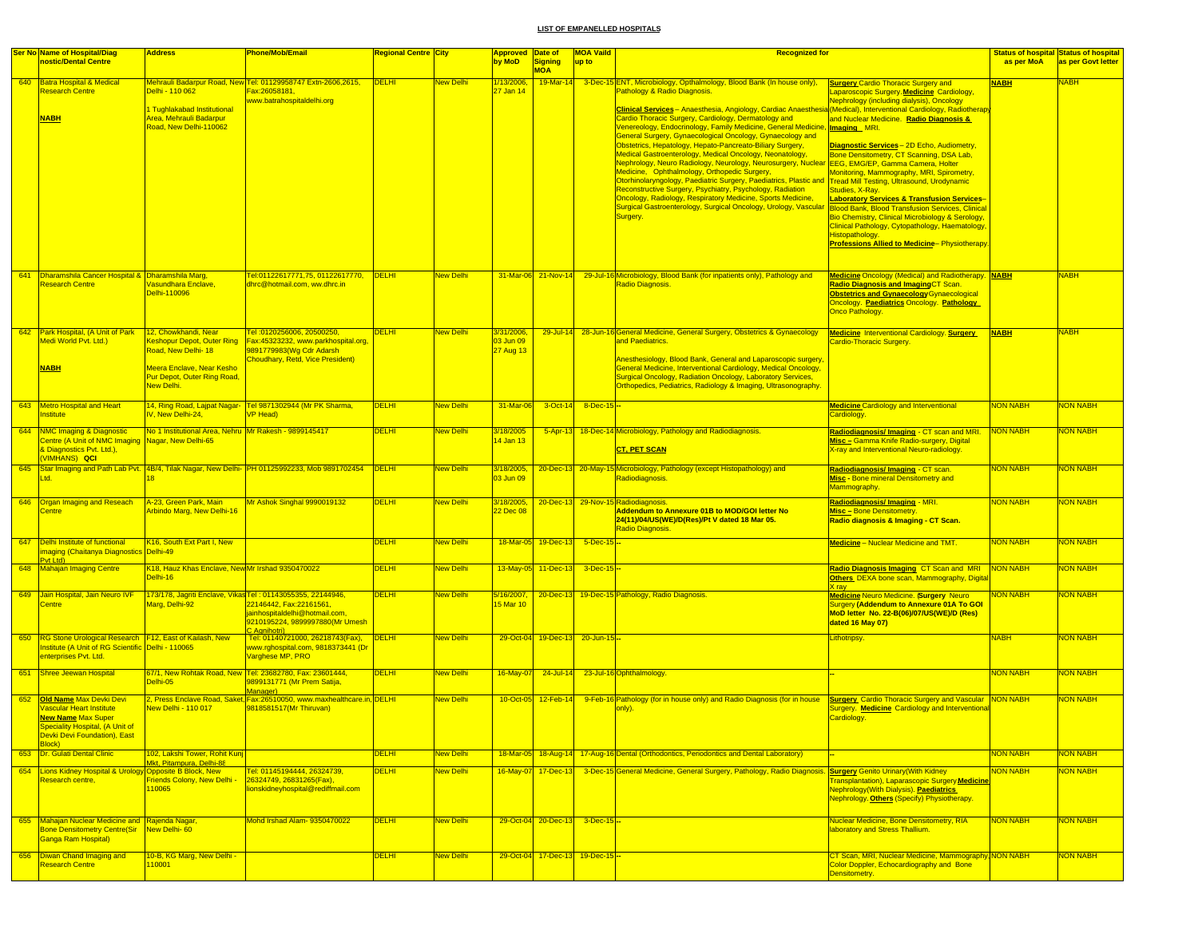|     | <b>Ser No Name of Hospital/Diag</b>                                                                             | <b>Address</b>                                               | Phone/Mob/Email                                                                                       | Regional Centre City |                  | Approved Date of        |                                  | <b>MOA Vaild</b>      | <b>Recognized for</b>                                                                                                                                                                    |                                                                                                                                                   |                 | <b>Status of hospital Status of hospital</b> |
|-----|-----------------------------------------------------------------------------------------------------------------|--------------------------------------------------------------|-------------------------------------------------------------------------------------------------------|----------------------|------------------|-------------------------|----------------------------------|-----------------------|------------------------------------------------------------------------------------------------------------------------------------------------------------------------------------------|---------------------------------------------------------------------------------------------------------------------------------------------------|-----------------|----------------------------------------------|
|     | nostic/Dental Centre                                                                                            |                                                              |                                                                                                       |                      |                  | by MoD                  | <b>Signing</b><br><b>MOM</b>     | up to                 |                                                                                                                                                                                          |                                                                                                                                                   | as per MoA      | as per Govt letter                           |
|     | 640 Batra Hospital & Medical<br><b>Research Centre</b>                                                          | Delhi - 110 062                                              | Mehrauli Badarpur Road, New Tel: 01129958747 Extn-2606,2615,<br>Fax:26058181,                         | <b>DELHI</b>         | New Delhi        | 1/13/2006,<br>27 Jan 14 | 19-Mar-14                        |                       | 3-Dec-15 ENT, Microbiology, Opthalmology, Blood Bank (In house only),<br>Pathology & Radio Diagnosis.                                                                                    | <b>Surgery Cardio Thoracic Surgery and</b><br>aparoscopic Surgery. Medicine Cardiology,                                                           | <b>NABH</b>     | VABH                                         |
|     | <b>NABH</b>                                                                                                     | Tughlakabad Institutional<br>Area, Mehrauli Badarpur         | www.batrahospitaldelhi.org                                                                            |                      |                  |                         |                                  |                       | Clinical Services - Anaesthesia, Angiology, Cardiac Anaesthesia<br>Cardio Thoracic Surgery, Cardiology, Dermatology and                                                                  | <b>Nephrology (including dialysis), Oncology</b><br>(Medical), Interventional Cardiology, Radiotherapy<br>and Nuclear Medicine. Radio Diagnosis & |                 |                                              |
|     |                                                                                                                 | Road, New Delhi-110062                                       |                                                                                                       |                      |                  |                         |                                  |                       | Venereology, Endocrinology, Family Medicine, General Medicine,<br>General Surgery, Gynaecological Oncology, Gynaecology and<br>Obstetrics, Hepatology, Hepato-Pancreato-Biliary Surgery, | Imaging MRI.                                                                                                                                      |                 |                                              |
|     |                                                                                                                 |                                                              |                                                                                                       |                      |                  |                         |                                  |                       | Medical Gastroenterology, Medical Oncology, Neonatology,                                                                                                                                 | Diagnostic Services - 2D Echo, Audiometry,<br>Bone Densitometry, CT Scanning, DSA Lab,                                                            |                 |                                              |
|     |                                                                                                                 |                                                              |                                                                                                       |                      |                  |                         |                                  |                       | Nephrology, Neuro Radiology, Neurology, Neurosurgery, Nuclear<br>Medicine, Ophthalmology, Orthopedic Surgery,                                                                            | EEG, EMG/EP, Gamma Camera, Holter<br><b>Monitoring, Mammography, MRI, Spirometry,</b>                                                             |                 |                                              |
|     |                                                                                                                 |                                                              |                                                                                                       |                      |                  |                         |                                  |                       | Otorhinolaryngology, Paediatric Surgery, Paediatrics, Plastic and<br>Reconstructive Surgery, Psychiatry, Psychology, Radiation                                                           | Tread Mill Testing, Ultrasound, Urodynamic<br>Studies, X-Ray.                                                                                     |                 |                                              |
|     |                                                                                                                 |                                                              |                                                                                                       |                      |                  |                         |                                  |                       | Oncology, Radiology, Respiratory Medicine, Sports Medicine,<br>Surgical Gastroenterology, Surgical Oncology, Urology, Vascular                                                           | <b>aboratory Services &amp; Transfusion Services-</b><br><b>Blood Bank, Blood Transfusion Services, Clinical</b>                                  |                 |                                              |
|     |                                                                                                                 |                                                              |                                                                                                       |                      |                  |                         |                                  |                       | Surgery.                                                                                                                                                                                 | Bio Chemistry, Clinical Microbiology & Serology,<br>Clinical Pathology, Cytopathology, Haematology                                                |                 |                                              |
|     |                                                                                                                 |                                                              |                                                                                                       |                      |                  |                         |                                  |                       |                                                                                                                                                                                          | Histopathology.<br><b>Professions Allied to Medicine-Physiotherapy.</b>                                                                           |                 |                                              |
|     |                                                                                                                 |                                                              |                                                                                                       |                      |                  |                         |                                  |                       |                                                                                                                                                                                          |                                                                                                                                                   |                 |                                              |
|     | 641 Dharamshila Cancer Hospital & Dharamshila Marq.<br><b>Research Centre</b>                                   | <b>Jasundhara Enclave,</b>                                   | Tel:01122617771,75, 01122617770,<br>dhrc@hotmail.com, ww.dhrc.in                                      | DELHI                | <b>New Delhi</b> |                         |                                  |                       | 31-Mar-06 21-Nov-14 29-Jul-16 Microbiology, Blood Bank (for inpatients only), Pathology and                                                                                              | <b>Medicine Oncology (Medical) and Radiotherapy.</b> NABH                                                                                         |                 | <b>NABH</b>                                  |
|     |                                                                                                                 | Delhi-110096                                                 |                                                                                                       |                      |                  |                         |                                  |                       | <b>Radio Diagnosis</b>                                                                                                                                                                   | Radio Diagnosis and ImagingCT Scan.<br><b>Obstetrics and Gynaecology</b> Gynaecological                                                           |                 |                                              |
|     |                                                                                                                 |                                                              |                                                                                                       |                      |                  |                         |                                  |                       |                                                                                                                                                                                          | Oncology. Paediatrics Oncology. Pathology<br>Onco Pathology.                                                                                      |                 |                                              |
|     | 642 Park Hospital, (A Unit of Park                                                                              | 12, Chowkhandi, Near                                         | Tel: 0120256006, 20500250,                                                                            | <b>DELHI</b>         | <b>New Delhi</b> | 3/31/2006,              |                                  |                       | 29-Jul-14 28-Jun-16 General Medicine, General Surgery, Obstetrics & Gynaecology                                                                                                          | Medicine Interventional Cardiology. Surgery                                                                                                       | <b>NABH</b>     | <b>NABH</b>                                  |
|     | Medi World Pvt. Ltd.)                                                                                           | <b>Keshopur Depot, Outer Ring</b><br>Road, New Delhi- 18     | Fax:45323232, www.parkhospital.org,<br>9891779983(Wg Cdr Adarsh                                       |                      |                  | 03 Jun 09<br>27 Aug 13  |                                  |                       | and Paediatrics.                                                                                                                                                                         | Cardio-Thoracic Surgery.                                                                                                                          |                 |                                              |
|     | <b>NABH</b>                                                                                                     | Meera Enclave, Near Kesho                                    | Choudhary, Retd, Vice President)                                                                      |                      |                  |                         |                                  |                       | Anesthesiology, Blood Bank, General and Laparoscopic surgery,<br>General Medicine, Interventional Cardiology, Medical Oncology,                                                          |                                                                                                                                                   |                 |                                              |
|     |                                                                                                                 | Pur Depot, Outer Ring Road,<br>New Delhi.                    |                                                                                                       |                      |                  |                         |                                  |                       | <b>Surgical Oncology, Radiation Oncology, Laboratory Services,</b><br>Orthopedics, Pediatrics, Radiology & Imaging, Ultrasonography.                                                     |                                                                                                                                                   |                 |                                              |
|     | 643 Metro Hospital and Heart                                                                                    |                                                              | 14, Ring Road, Lajpat Nagar- Tel 9871302944 (Mr PK Sharma,                                            | <b>DELHI</b>         | New Delhi        | 31-Mar-06               |                                  | $3-Oct-14$ 8-Dec-15 - |                                                                                                                                                                                          | <b>Medicine Cardiology and Interventional</b>                                                                                                     | <b>NON NABH</b> | <b>NON NABH</b>                              |
|     | Institute                                                                                                       | IV. New Delhi-24.                                            | <b>VP Head)</b>                                                                                       |                      |                  |                         |                                  |                       |                                                                                                                                                                                          | Cardiology.                                                                                                                                       |                 |                                              |
|     | 644 NMC Imaging & Diagnostic<br>Centre (A Unit of NMC Imaging Nagar, New Delhi-65                               | No 1 Institutional Area. Nehru Mr Rakesh - 9899145417        |                                                                                                       | <b>DELHI</b>         | New Delhi        | 3/18/2005<br>4 Jan 13   |                                  |                       | 5-Apr-13 18-Dec-14 Microbiology, Pathology and Radiodiagnosis.                                                                                                                           | Radiodiagnosis/Imaging - CT scan and MRI.<br>Misc - Gamma Knife Radio-surgery, Digital                                                            | <b>NON NABH</b> | <b>VON NABH</b>                              |
|     | & Diagnostics Pvt. Ltd.),<br>(VIMHANS) QCI                                                                      |                                                              |                                                                                                       |                      |                  |                         |                                  |                       | <b>CT, PET SCAN</b>                                                                                                                                                                      | X-ray and Interventional Neuro-radiology.                                                                                                         |                 |                                              |
|     | Ltd.                                                                                                            |                                                              | 645 Star Imaging and Path Lab Pvt. 4B/4, Tilak Nagar, New Delhi- PH 01125992233, Mob 9891702454 DELHI |                      | New Delhi        | 3/18/2005,<br>03 Jun 09 |                                  |                       | 20-Dec-13 20-May-15 Microbiology, Pathology (except Histopathology) and<br>Radiodiagnosis.                                                                                               | Radiodiagnosis/Imaging - CT scan.<br><b>Misc - Bone mineral Densitometry and</b>                                                                  | <b>NON NABH</b> | <mark>NON NABH</mark>                        |
|     |                                                                                                                 |                                                              |                                                                                                       |                      |                  |                         |                                  |                       |                                                                                                                                                                                          | Mammography.                                                                                                                                      |                 |                                              |
|     | 646 Organ Imaging and Reseach<br><b>Centre</b>                                                                  | A-23, Green Park, Main<br>Arbindo Marg, New Delhi-16         | Mr Ashok Singhal 9990019132                                                                           | <b>DELHI</b>         | New Delhi        | 3/18/2005,<br>22 Dec 08 |                                  |                       | 20-Dec-13 29-Nov-15 Radiodiagnosis<br>Addendum to Annexure 01B to MOD/GOI letter No                                                                                                      | Radiodiagnosis/Imaging - MRI.<br><b>Misc-Bone Densitometry.</b>                                                                                   | <b>NON NABH</b> | <b>VON NABH</b>                              |
|     |                                                                                                                 |                                                              |                                                                                                       |                      |                  |                         |                                  |                       | 24(11)/04/US(WE)/D(Res)/Pt V dated 18 Mar 05.<br><b>Radio Diagnosis</b>                                                                                                                  | Radio diagnosis & Imaging - CT Scan.                                                                                                              |                 |                                              |
| 647 | Delhi Institute of functional<br>imaging (Chaitanya Diagnos<br>Pvt Ltd)                                         | K16, South Ext Part I, New<br>Delhi-49                       |                                                                                                       | <b>DELHI</b>         | New Delhi        |                         | 18-Mar-05 19-Dec-13              | $5$ -Dec-15 $-$       |                                                                                                                                                                                          | <b>Medicine</b> - Nuclear Medicine and TMT.                                                                                                       | <b>NON NABH</b> | <b>VON NABH</b>                              |
|     | 648 Mahajan Imaging Centre                                                                                      | K18, Hauz Khas Enclave, New Mr Irshad 9350470022<br>Delhi-16 |                                                                                                       | DELHI                | New Delhi        |                         | 13-May-05 11-Dec-13 3-Dec-15 -   |                       |                                                                                                                                                                                          | Radio Diagnosis Imaging CT Scan and MRI NON NABH<br>Others_DEXA bone scan, Mammography, Digital                                                   |                 | <b>VON NABH</b>                              |
|     | 649 Jain Hospital, Jain Neuro IVF                                                                               |                                                              | 173/178, Jagriti Enclave, Vikas Tel: 01143055355, 22144946,                                           | <b>DELHI</b>         | New Delhi        | 5/16/2007,              |                                  |                       | 20-Dec-13 19-Dec-15 Pathology, Radio Diagnosis.                                                                                                                                          | K ray<br><b>Medicine Neuro Medicine. Surgery Neuro</b>                                                                                            | <b>NON NABH</b> | <b>VON NABH</b>                              |
|     | <b>Centre</b>                                                                                                   | Marg, Delhi-92                                               | 22146442, Fax:22161561,<br>jainhospitaldelhi@hotmail.com,                                             |                      |                  | 5 Mar 10                |                                  |                       |                                                                                                                                                                                          | Surgery (Addendum to Annexure 01A To GOI<br>MoD letter No. 22-B(06)/07/US(WE)/D (Res)                                                             |                 |                                              |
|     |                                                                                                                 |                                                              | 9210195224, 9899997880(Mr Umesh<br><b>Agnihotri</b> )                                                 |                      |                  |                         |                                  |                       |                                                                                                                                                                                          | dated 16 May 07)                                                                                                                                  |                 |                                              |
|     | 650 RG Stone Urological Research F12, East of Kailash, New<br>Institute (A Unit of RG Scientific Delhi - 110065 |                                                              | Tel: 01140721000, 26218743(Fax), DELHI<br>www.rghospital.com, 9818373441 (Dr                          |                      | <b>New Delhi</b> |                         | 29-Oct-04 19-Dec-13 20-Jun-15 -  |                       |                                                                                                                                                                                          | Lithotripsy.                                                                                                                                      | <b>NABH</b>     | <b>NON NABH</b>                              |
|     | enterprises Pvt. Ltd.                                                                                           |                                                              | <b>/arghese MP, PRO</b>                                                                               |                      |                  |                         |                                  |                       |                                                                                                                                                                                          |                                                                                                                                                   |                 |                                              |
|     | 651 Shree Jeewan Hospital                                                                                       | Delhi-05                                                     | 67/1, New Rohtak Road, New Tel: 23682780, Fax: 23601444,<br>9899131771 (Mr Prem Satija,               | <b>DELHI</b>         | New Delhi        | 16-May-07               | $24$ -Jul-14                     |                       | 23-Jul-16 Ophthalmology.                                                                                                                                                                 |                                                                                                                                                   | <b>NON NABH</b> | <mark>NON NABH</mark>                        |
|     | 652 Old Name Max Devki Devi<br><b>Vascular Heart Institute</b>                                                  | <b>Vew Delhi - 110 017</b>                                   | Manager)<br>2, Press Enclave Road, Saket, Fax:26510050, www.maxhealthcare.in, DELHI                   |                      | New Delhi        | 10-Oct-05               | $12$ -Feb-14                     |                       | 9-Feb-16 Pathology (for in house only) and Radio Diagnosis (for in house                                                                                                                 | <b>Surgery</b> Cardio Thoracic Surgery and Vascular NON NABH<br>Surgery. Medicine Cardiology and Interventional                                   |                 | <b>VON NABH</b>                              |
|     | <b>New Name Max Super</b>                                                                                       |                                                              | 9818581517(Mr Thiruvan)                                                                               |                      |                  |                         |                                  |                       | only).                                                                                                                                                                                   | Cardiology.                                                                                                                                       |                 |                                              |
|     | <u>eciality Hospital, (A Unit o</u><br>Devki Devi Foundation), East                                             |                                                              |                                                                                                       |                      |                  |                         |                                  |                       |                                                                                                                                                                                          |                                                                                                                                                   |                 |                                              |
|     | <b>Block</b> )<br>653 Dr. Gulati Dental Clinic                                                                  | 102, Lakshi Tower, Rohit Kunj                                |                                                                                                       | <b>DELHI</b>         | New Delhi        |                         |                                  |                       | 18-Mar-05 18-Aug-14 17-Aug-16 Dental (Orthodontics, Periodontics and Dental Laboratory)                                                                                                  |                                                                                                                                                   | <b>NON NABH</b> | <b>VON NABH</b>                              |
|     | 654 Lions Kidney Hospital & Urology Opposite B Block, New                                                       | Mkt, Pitampura, Delhi-88                                     | Tel: 01145194444, 26324739,                                                                           | <b>DELHI</b>         | New Delhi        |                         |                                  |                       | 16-May-07 17-Dec-13 3-Dec-15 General Medicine, General Surgery, Pathology, Radio Diagnosis. Surgery Genito Urinary (With Kidney                                                          |                                                                                                                                                   | NON NABH        | <b>NON NABH</b>                              |
|     | Research centre,                                                                                                | <b>Friends Colony, New Delhi</b><br>10065                    | 26324749, 26831265(Fax),<br>onskidneyhospital@rediffmail.com                                          |                      |                  |                         |                                  |                       |                                                                                                                                                                                          | <b>Fransplantation), Laparascopic Surgery Medicine</b><br>Nephrology (With Dialysis). Paediatrics                                                 |                 |                                              |
|     |                                                                                                                 |                                                              |                                                                                                       |                      |                  |                         |                                  |                       |                                                                                                                                                                                          | Nephrology. Others (Specify) Physiotherapy.                                                                                                       |                 |                                              |
|     | 655 Mahajan Nuclear Medicine and Rajenda Nagar,<br><b>Bone Densitometry Centre(Sir</b>                          | New Delhi-60                                                 | Mohd Irshad Alam- 9350470022                                                                          | <b>DELHI</b>         | <b>New Delhi</b> |                         | $29-Oct-04$ 20-Dec-13 3-Dec-15 - |                       |                                                                                                                                                                                          | <b>Nuclear Medicine, Bone Densitometry, RIA</b><br>laboratory and Stress Thallium.                                                                | NON NABH        | <b>NON NABH</b>                              |
|     | <b>Ganga Ram Hospital)</b>                                                                                      |                                                              |                                                                                                       |                      |                  |                         |                                  |                       |                                                                                                                                                                                          |                                                                                                                                                   |                 |                                              |
|     | 656 Diwan Chand Imaging and<br>Research Centre                                                                  | 10-B, KG Marg, New Delhi -<br>10001                          |                                                                                                       | <b>DELHI</b>         | <b>New Delhi</b> |                         | 29-Oct-04 17-Dec-13 19-Dec-15-   |                       |                                                                                                                                                                                          | CT Scan, MRI, Nuclear Medicine, Mammography, NON NABH<br>Color Doppler, Echocardiography and Bone                                                 |                 | <b>NON NABH</b>                              |
|     |                                                                                                                 |                                                              |                                                                                                       |                      |                  |                         |                                  |                       |                                                                                                                                                                                          | Densitometry.                                                                                                                                     |                 |                                              |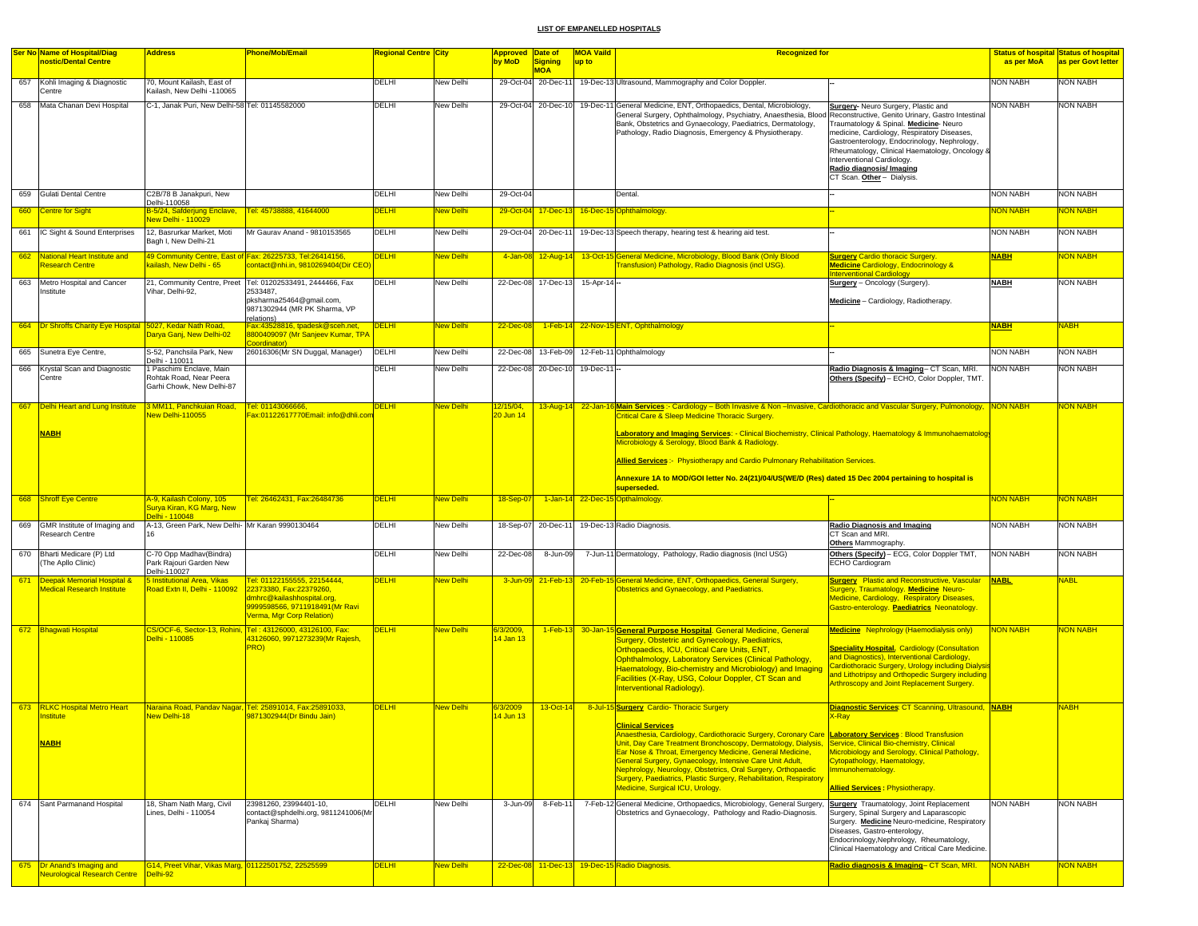|     | <b>Ser No Name of Hospital/Diag</b>                        | <b>Address</b>                                                    | <b>Phone/Mob/Email</b>                                                                         | Regional Centre City |                  | Approved Date of       |                     | <b>MOA Vaild</b>  | <b>Recognized for</b>                                                                                                                                                                    |                                                                                                |                 | <b>Status of hospital Status of hospital</b> |
|-----|------------------------------------------------------------|-------------------------------------------------------------------|------------------------------------------------------------------------------------------------|----------------------|------------------|------------------------|---------------------|-------------------|------------------------------------------------------------------------------------------------------------------------------------------------------------------------------------------|------------------------------------------------------------------------------------------------|-----------------|----------------------------------------------|
|     | nostic/Dental Centre                                       |                                                                   |                                                                                                |                      |                  | by MoD                 | <b>Signing</b>      | up to             |                                                                                                                                                                                          |                                                                                                | as per MoA      | as per Govt letter                           |
|     |                                                            |                                                                   |                                                                                                |                      |                  |                        | <b>MOA</b>          |                   |                                                                                                                                                                                          |                                                                                                |                 |                                              |
| 657 | Kohli Imaging & Diagnostic<br>Centre                       | 70, Mount Kailash, East of<br>Kailash, New Delhi -110065          |                                                                                                | DELHI                | New Delhi        | 29-Oct-04              | 20-Dec-11           |                   | 19-Dec-13 Ultrasound, Mammography and Color Doppler.                                                                                                                                     |                                                                                                | <b>NON NABH</b> | NON NABH                                     |
|     |                                                            |                                                                   |                                                                                                |                      |                  |                        |                     |                   |                                                                                                                                                                                          |                                                                                                |                 |                                              |
|     | 658 Mata Chanan Devi Hospital                              | C-1, Janak Puri, New Delhi-58 Tel: 01145582000                    |                                                                                                | DELHI                | New Delhi        |                        | 29-Oct-04 20-Dec-10 |                   | 19-Dec-11 General Medicine, ENT, Orthopaedics, Dental, Microbiology,<br>General Surgery, Ophthalmology, Psychiatry, Anaesthesia, Blood Reconstructive, Genito Urinary, Gastro Intestinal | Surgery- Neuro Surgery, Plastic and                                                            | <b>NON NABH</b> | <b>NON NABH</b>                              |
|     |                                                            |                                                                   |                                                                                                |                      |                  |                        |                     |                   | Bank, Obstetrics and Gynaecology, Paediatrics, Dermatology,                                                                                                                              | Traumatology & Spinal. Medicine-Neuro                                                          |                 |                                              |
|     |                                                            |                                                                   |                                                                                                |                      |                  |                        |                     |                   | Pathology, Radio Diagnosis, Emergency & Physiotherapy.                                                                                                                                   | medicine, Cardiology, Respiratory Diseases,                                                    |                 |                                              |
|     |                                                            |                                                                   |                                                                                                |                      |                  |                        |                     |                   |                                                                                                                                                                                          | Gastroenterology, Endocrinology, Nephrology,                                                   |                 |                                              |
|     |                                                            |                                                                   |                                                                                                |                      |                  |                        |                     |                   |                                                                                                                                                                                          | Rheumatology, Clinical Haematology, Oncology &<br>Interventional Cardiology.                   |                 |                                              |
|     |                                                            |                                                                   |                                                                                                |                      |                  |                        |                     |                   |                                                                                                                                                                                          | Radio diagnosis/ Imaging                                                                       |                 |                                              |
|     |                                                            |                                                                   |                                                                                                |                      |                  |                        |                     |                   |                                                                                                                                                                                          | CT Scan. Other - Dialysis.                                                                     |                 |                                              |
|     |                                                            |                                                                   |                                                                                                |                      |                  |                        |                     |                   |                                                                                                                                                                                          |                                                                                                |                 |                                              |
|     | 659 Gulati Dental Centre                                   | C2B/78 B Janakpuri, New<br>Delhi-110058                           |                                                                                                | DELHI                | New Delhi        | 29-Oct-04              |                     |                   | Dental.                                                                                                                                                                                  |                                                                                                | <b>NON NABH</b> | <b>NON NABH</b>                              |
|     | 660 Centre for Sight                                       | B-5/24, Safderjung Enclave,                                       | Tel: 45738888, 41644000                                                                        | <b>DELHI</b>         | New Delhi        | 29-Oct-04              |                     |                   | 17-Dec-13 16-Dec-15 Ophthalmology.                                                                                                                                                       |                                                                                                | <b>NON NABH</b> | <mark>NON NABH</mark>                        |
|     |                                                            | New Delhi - 110029                                                |                                                                                                |                      |                  |                        |                     |                   |                                                                                                                                                                                          |                                                                                                |                 |                                              |
|     | 661 IC Sight & Sound Enterprises                           | 12, Basrurkar Market, Moti                                        | Mr Gauray Anand - 9810153565                                                                   | DELHI                | New Delhi        |                        | 29-Oct-04 20-Dec-11 |                   | 19-Dec-13 Speech therapy, hearing test & hearing aid test.                                                                                                                               |                                                                                                | <b>NON NABH</b> | <b>NON NABH</b>                              |
|     |                                                            | Bagh I, New Delhi-21                                              |                                                                                                |                      |                  |                        |                     |                   |                                                                                                                                                                                          |                                                                                                |                 |                                              |
| 662 | National Heart Institute and                               |                                                                   | 49 Community Centre, East of Fax: 26225733, Tel:26414156,                                      | <b>DELHI</b>         | <b>Jew Delhi</b> |                        | 4-Jan-08 12-Aug-14  |                   | 13-Oct-15 General Medicine, Microbiology, Blood Bank (Only Blood                                                                                                                         | <b>Surgery Cardio thoracic Surgery.</b>                                                        | <b>NABH</b>     | <mark>NON NABH</mark>                        |
|     | <b>Research Centre</b>                                     | kailash, New Delhi - 65                                           | contact@nhi.in, 9810269404(Dir CEO                                                             |                      |                  |                        |                     |                   | Transfusion) Pathology, Radio Diagnosis (incl USG).                                                                                                                                      | Medicine Cardiology, Endocrinology &                                                           |                 |                                              |
|     | 663 Metro Hospital and Cancer                              |                                                                   | 21, Community Centre, Preet   Tel: 01202533491, 2444466, Fax                                   | DELHI                | New Delhi        |                        | 22-Dec-08 17-Dec-13 | $15 -$ Apr-14 $-$ |                                                                                                                                                                                          | <b>Interventional Cardiology</b><br>Surgery - Oncology (Surgery).                              | <b>NABH</b>     | <b>NON NABH</b>                              |
|     | Institute                                                  | Vihar, Delhi-92,                                                  | 2533487,                                                                                       |                      |                  |                        |                     |                   |                                                                                                                                                                                          |                                                                                                |                 |                                              |
|     |                                                            |                                                                   | pksharma25464@gmail.com,                                                                       |                      |                  |                        |                     |                   |                                                                                                                                                                                          | Medicine - Cardiology, Radiotherapy.                                                           |                 |                                              |
|     |                                                            |                                                                   | 9871302944 (MR PK Sharma, VP                                                                   |                      |                  |                        |                     |                   |                                                                                                                                                                                          |                                                                                                |                 |                                              |
|     | 664 Dr Shroffs Charity Eye Hospital 5027, Kedar Nath Road, |                                                                   | relations)<br>Fax:43528816, tpadesk@sceh.net,                                                  | <b>DELHI</b>         | <b>New Delhi</b> | 22-Dec-08              |                     |                   | 1-Feb-14 22-Nov-15 ENT, Ophthalmology                                                                                                                                                    |                                                                                                | <b>NABH</b>     | <b>NABH</b>                                  |
|     |                                                            | Darya Ganj, New Delhi-02                                          | 8800409097 (Mr Sanjeev Kumar, TPA                                                              |                      |                  |                        |                     |                   |                                                                                                                                                                                          |                                                                                                |                 |                                              |
|     | 665 Sunetra Eye Centre,                                    | S-52, Panchsila Park, New                                         | oordinator)<br>26016306(Mr SN Duggal, Manager)                                                 | <b>DELHI</b>         | New Delhi        | 22-Dec-08              | 13-Feb-09           |                   | 12-Feb-11 Ophthalmology                                                                                                                                                                  |                                                                                                | <b>NON NABH</b> | <b>NON NABH</b>                              |
|     |                                                            | Delhi - 110011                                                    |                                                                                                |                      |                  |                        |                     |                   |                                                                                                                                                                                          |                                                                                                |                 |                                              |
| 666 | Krystal Scan and Diagnostic                                | 1 Paschimi Enclave, Main                                          |                                                                                                | DELHI                | New Delhi        |                        | 22-Dec-08 20-Dec-10 | 19-Dec-11         |                                                                                                                                                                                          | Radio Diagnosis & Imaging- CT Scan, MRI.                                                       | <b>NON NABH</b> | <b>NON NABH</b>                              |
|     | Centre                                                     | Rohtak Road, Near Peera                                           |                                                                                                |                      |                  |                        |                     |                   |                                                                                                                                                                                          | Others (Specify) - ECHO, Color Doppler, TMT.                                                   |                 |                                              |
|     |                                                            | Garhi Chowk, New Delhi-87                                         |                                                                                                |                      |                  |                        |                     |                   |                                                                                                                                                                                          |                                                                                                |                 |                                              |
|     | 667 Delhi Heart and Lung Institute                         | 3 MM11, Panchkuian Road,                                          | Tel: 01143066666                                                                               | <b>DELHI</b>         | <b>New Delhi</b> | 12/15/04,              |                     |                   | 13-Aug-14 22-Jan-16 Main Services :- Cardiology - Both Invasive & Non -Invasive, Cardiothoracic and Vascular Surgery, Pulmonology, NON NABH                                              |                                                                                                |                 | <mark>NON NABH</mark>                        |
|     |                                                            | New Delhi-110055                                                  | Fax:01122617770Email: info@dhli.cor                                                            |                      |                  | 20 Jun 14              |                     |                   | Critical Care & Sleep Medicine Thoracic Surgery.                                                                                                                                         |                                                                                                |                 |                                              |
|     |                                                            |                                                                   |                                                                                                |                      |                  |                        |                     |                   |                                                                                                                                                                                          |                                                                                                |                 |                                              |
|     | <b>NABH</b>                                                |                                                                   |                                                                                                |                      |                  |                        |                     |                   | Laboratory and Imaging Services: - Clinical Biochemistry, Clinical Pathology, Haematology & Immunohaematology<br>Microbiology & Serology, Blood Bank & Radiology.                        |                                                                                                |                 |                                              |
|     |                                                            |                                                                   |                                                                                                |                      |                  |                        |                     |                   |                                                                                                                                                                                          |                                                                                                |                 |                                              |
|     |                                                            |                                                                   |                                                                                                |                      |                  |                        |                     |                   | Allied Services: Physiotherapy and Cardio Pulmonary Rehabilitation Services.                                                                                                             |                                                                                                |                 |                                              |
|     |                                                            |                                                                   |                                                                                                |                      |                  |                        |                     |                   |                                                                                                                                                                                          |                                                                                                |                 |                                              |
|     |                                                            |                                                                   |                                                                                                |                      |                  |                        |                     |                   | Annexure 1A to MOD/GOI letter No. 24(21)/04/US(WE/D (Res) dated 15 Dec 2004 pertaining to hospital is<br>superseded.                                                                     |                                                                                                |                 |                                              |
|     | 668 Shroff Eye Centre                                      | 4-9, Kailash Colony, 105                                          | Tel: 26462431, Fax:26484736                                                                    | <b>DELHI</b>         | <b>New Delhi</b> | 18-Sep-07              |                     |                   | 1-Jan-14 22-Dec-15 Opthalmology.                                                                                                                                                         |                                                                                                | <b>NON NABH</b> | NON NABH                                     |
|     |                                                            | Surya Kiran, KG Marg, New                                         |                                                                                                |                      |                  |                        |                     |                   |                                                                                                                                                                                          |                                                                                                |                 |                                              |
|     |                                                            | elhi - 110048<br>A-13, Green Park, New Delhi- Mr Karan 9990130464 |                                                                                                | DELHI                |                  |                        | 20-Dec-11           |                   | 19-Dec-13 Radio Diagnosis.                                                                                                                                                               | <b>Radio Diagnosis and Imaging</b>                                                             | <b>NON NABH</b> | <b>NON NABH</b>                              |
| 669 | GMR Institute of Imaging and<br>Research Centre            |                                                                   |                                                                                                |                      | New Delhi        | 18-Sep-07              |                     |                   |                                                                                                                                                                                          | CT Scan and MRI.                                                                               |                 |                                              |
|     |                                                            |                                                                   |                                                                                                |                      |                  |                        |                     |                   |                                                                                                                                                                                          | Others Mammography.                                                                            |                 |                                              |
|     | 670 Bharti Medicare (P) Ltd                                | C-70 Opp Madhav(Bindra)                                           |                                                                                                | DELHI                | New Delhi        | 22-Dec-08              | 8-Jun-09            |                   | 7-Jun-11 Dermatology, Pathology, Radio diagnosis (Incl USG)                                                                                                                              | Others (Specify) - ECG, Color Doppler TMT,                                                     | <b>NON NABH</b> | <b>NON NABH</b>                              |
|     | (The Aplio Clinic)                                         | Park Rajouri Garden New                                           |                                                                                                |                      |                  |                        |                     |                   |                                                                                                                                                                                          | <b>ECHO Cardiogram</b>                                                                         |                 |                                              |
| 671 | Deepak Memorial Hospital &                                 | Delhi-110027<br>5 Institutional Area, Vikas                       | Tel: 01122155555, 22154444,                                                                    | <b>DELHI</b>         | New Delhi        |                        | 3-Jun-09 21-Feb-13  |                   | 20-Feb-15 General Medicine, ENT, Orthopaedics, General Surgery,                                                                                                                          | <b>Surgery</b> Plastic and Reconstructive, Vascular                                            | <b>NABL</b>     | <b>NABL</b>                                  |
|     | <b>Medical Research Institute</b>                          | Road Extn II, Delhi - 110092                                      | 22373380, Fax:22379260,                                                                        |                      |                  |                        |                     |                   | <b>Obstetrics and Gynaecology, and Paediatrics.</b>                                                                                                                                      | Surgery, Traumatology. Medicine Neuro-                                                         |                 |                                              |
|     |                                                            |                                                                   | dmhrc@kailashhospital.org,                                                                     |                      |                  |                        |                     |                   |                                                                                                                                                                                          | <b>Medicine, Cardiology, Respiratory Diseases,</b>                                             |                 |                                              |
|     |                                                            |                                                                   | 9999598566, 9711918491(Mr Ravi                                                                 |                      |                  |                        |                     |                   |                                                                                                                                                                                          | Gastro-enterology. Paediatrics Neonatology                                                     |                 |                                              |
|     |                                                            |                                                                   | Verma, Mgr Corp Relation)                                                                      |                      |                  |                        |                     |                   |                                                                                                                                                                                          |                                                                                                |                 |                                              |
|     | 672 Bhagwati Hospital                                      | Delhi - 110085                                                    | CS/OCF-6, Sector-13, Rohini, Tel : 43126000, 43126100, Fax:<br>43126060, 9971273239(Mr Rajesh, | <b>DELHI</b>         | <b>New Delhi</b> | 3/3/2009,<br>14 Jan 13 |                     |                   | 1-Feb-13 30-Jan-15 General Purpose Hospital. General Medicine, General                                                                                                                   | <b>Medicine</b> Nephrology (Haemodialysis only)                                                | <b>NON NABH</b> | NON NABH                                     |
|     |                                                            |                                                                   | PRO)                                                                                           |                      |                  |                        |                     |                   | Surgery, Obstetric and Gynecology, Paediatrics,<br>Orthopaedics, ICU, Critical Care Units, ENT,                                                                                          | <b>Speciality Hospital, Cardiology (Consultation</b>                                           |                 |                                              |
|     |                                                            |                                                                   |                                                                                                |                      |                  |                        |                     |                   | Ophthalmology, Laboratory Services (Clinical Pathology,                                                                                                                                  | and Diagnostics), Interventional Cardiology,                                                   |                 |                                              |
|     |                                                            |                                                                   |                                                                                                |                      |                  |                        |                     |                   | Haematology, Bio-chemistry and Microbiology) and Imaging                                                                                                                                 | Cardiothoracic Surgery, Urology including Dialysis                                             |                 |                                              |
|     |                                                            |                                                                   |                                                                                                |                      |                  |                        |                     |                   | Facilities (X-Ray, USG, Colour Doppler, CT Scan and                                                                                                                                      | and Lithotripsy and Orthopedic Surgery including<br>Arthroscopy and Joint Replacement Surgery. |                 |                                              |
|     |                                                            |                                                                   |                                                                                                |                      |                  |                        |                     |                   | <b>Interventional Radiology).</b>                                                                                                                                                        |                                                                                                |                 |                                              |
|     |                                                            |                                                                   |                                                                                                |                      |                  |                        |                     |                   |                                                                                                                                                                                          | Diagnostic Services: CT Scanning, Ultrasound, NABH                                             |                 |                                              |
| 673 | <b>RLKC Hospital Metro Heart</b><br>nstitute               | New Delhi-18                                                      | Naraina Road, Pandav Nagar, Tel: 25891014, Fax:25891033,<br>9871302944(Dr Bindu Jain)          | <b>DELHI</b>         | <b>New Delhi</b> | 6/3/2009<br>14 Jun 13  | 13-Oct-14           |                   | 8-Jul-15 Surgery Cardio- Thoracic Surgery                                                                                                                                                | X-Ray                                                                                          |                 | <b>NABH</b>                                  |
|     |                                                            |                                                                   |                                                                                                |                      |                  |                        |                     |                   |                                                                                                                                                                                          |                                                                                                |                 |                                              |
|     |                                                            |                                                                   |                                                                                                |                      |                  |                        |                     |                   | Anaesthesia, Cardiology, Cardiothoracic Surgery, Coronary Care Laboratory Services: Blood Transfusion                                                                                    |                                                                                                |                 |                                              |
|     | <b>NABH</b>                                                |                                                                   |                                                                                                |                      |                  |                        |                     |                   | Unit, Day Care Treatment Bronchoscopy, Dermatology, Dialysis, Service, Clinical Bio-chemistry, Clinical<br>Ear Nose & Throat, Emergency Medicine, General Medicine,                      | Microbiology and Serology, Clinical Pathology,                                                 |                 |                                              |
|     |                                                            |                                                                   |                                                                                                |                      |                  |                        |                     |                   | General Surgery, Gynaecology, Intensive Care Unit Adult,                                                                                                                                 | Cytopathology, Haematology,                                                                    |                 |                                              |
|     |                                                            |                                                                   |                                                                                                |                      |                  |                        |                     |                   | Nephrology, Neurology, Obstetrics, Oral Surgery, Orthopaedic                                                                                                                             | mmunohematology.                                                                               |                 |                                              |
|     |                                                            |                                                                   |                                                                                                |                      |                  |                        |                     |                   | Surgery, Paediatrics, Plastic Surgery, Rehabilitation, Respiratory                                                                                                                       |                                                                                                |                 |                                              |
|     |                                                            |                                                                   |                                                                                                |                      |                  |                        |                     |                   | Medicine, Surgical ICU, Urology.                                                                                                                                                         | <b>Allied Services: Physiotherapy.</b>                                                         |                 |                                              |
|     | 674 Sant Parmanand Hospital                                | 18, Sham Nath Marg, Civil                                         | 23981260, 23994401-10,                                                                         | DELHI                | New Delhi        | $3 - Jun-09$           | 8-Feb-11            |                   | 7-Feb-12 General Medicine, Orthopaedics, Microbiology, General Surgery,                                                                                                                  | <b>Surgery</b> Traumatology, Joint Replacement                                                 | <b>NON NABH</b> | NON NABH                                     |
|     |                                                            | Lines, Delhi - 110054                                             | contact@sphdelhi.org, 9811241006(Mr                                                            |                      |                  |                        |                     |                   | Obstetrics and Gynaecology, Pathology and Radio-Diagnosis.                                                                                                                               | Surgery, Spinal Surgery and Laparascopic                                                       |                 |                                              |
|     |                                                            |                                                                   | Pankaj Sharma)                                                                                 |                      |                  |                        |                     |                   |                                                                                                                                                                                          | Surgery. Medicine Neuro-medicine, Respiratory<br>Diseases, Gastro-enterology,                  |                 |                                              |
|     |                                                            |                                                                   |                                                                                                |                      |                  |                        |                     |                   |                                                                                                                                                                                          | Endocrinology, Nephrology, Rheumatology,                                                       |                 |                                              |
|     |                                                            |                                                                   |                                                                                                |                      |                  |                        |                     |                   |                                                                                                                                                                                          | Clinical Haematology and Critical Care Medicine                                                |                 |                                              |
|     | 675 <b>Dr Anand's Imaging and</b>                          | G14, Preet Vihar, Vikas Marg, 01122501752, 22525599               |                                                                                                | <b>DELHI</b>         | <b>New Delhi</b> |                        |                     |                   | 22-Dec-08 11-Dec-13 19-Dec-15 Radio Diagnosis.                                                                                                                                           | Radio diagnosis & Imaging- CT Scan, MRI.                                                       | <b>NON NABH</b> | <b>NON NABH</b>                              |
|     | <b>Neurological Research Centre</b>                        | Delhi-92                                                          |                                                                                                |                      |                  |                        |                     |                   |                                                                                                                                                                                          |                                                                                                |                 |                                              |
|     |                                                            |                                                                   |                                                                                                |                      |                  |                        |                     |                   |                                                                                                                                                                                          |                                                                                                |                 |                                              |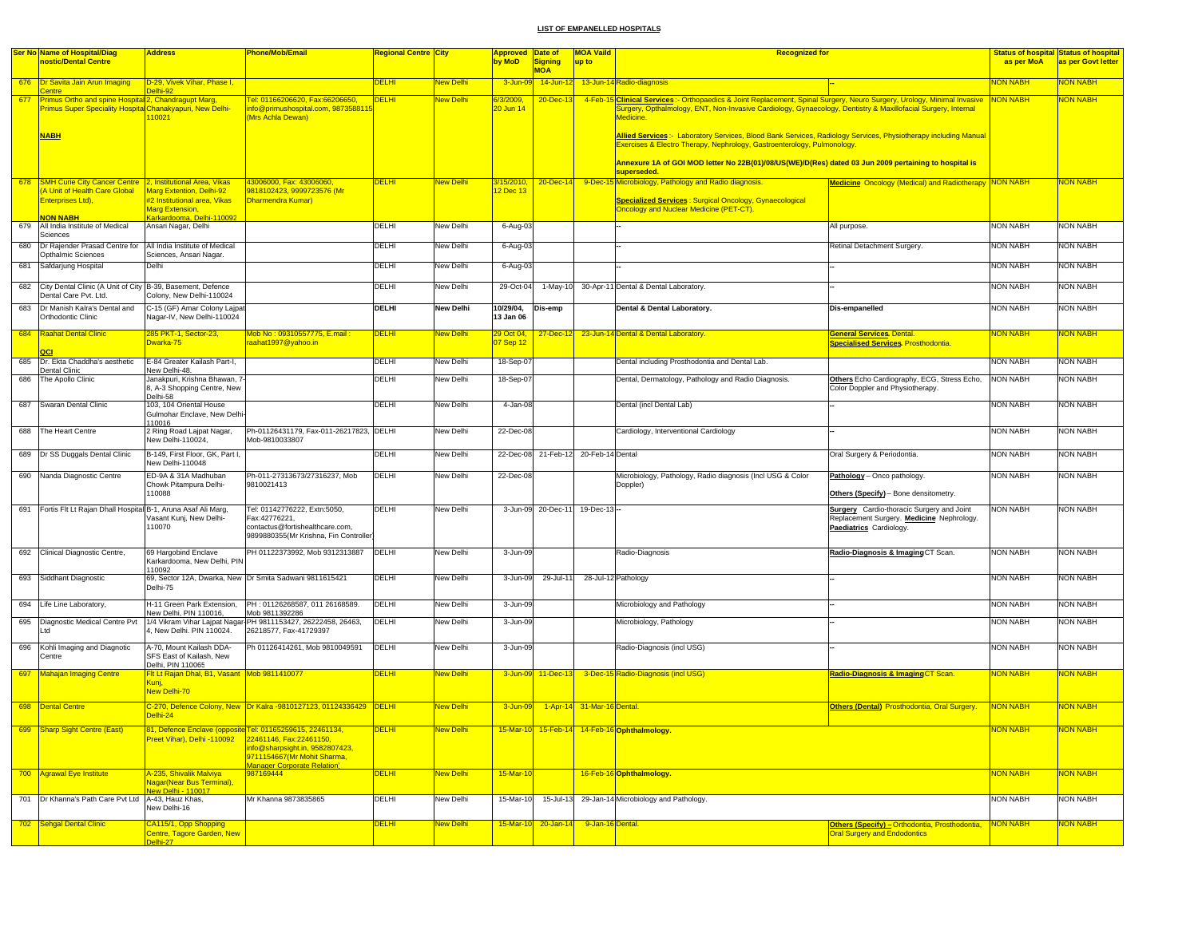|     | <b>Ser No Name of Hospital/Diag</b>                                                                                      | <b>Address</b>                                                                                                  | Phone/Mob/Email                                                                                                           | <mark>Regional Centre City</mark> |                  | <mark>Approved Date of</mark> |                              | <b>MOA Vaild</b>           | <b>Recognized for</b>                                                                                                                                                                                                                                 |                                                                                                                          |                 | <b>Status of hospital Status of hospital</b> |
|-----|--------------------------------------------------------------------------------------------------------------------------|-----------------------------------------------------------------------------------------------------------------|---------------------------------------------------------------------------------------------------------------------------|-----------------------------------|------------------|-------------------------------|------------------------------|----------------------------|-------------------------------------------------------------------------------------------------------------------------------------------------------------------------------------------------------------------------------------------------------|--------------------------------------------------------------------------------------------------------------------------|-----------------|----------------------------------------------|
|     | nostic/Dental Centre                                                                                                     |                                                                                                                 |                                                                                                                           |                                   |                  | by MoD                        | <b>Signing</b><br><b>MOA</b> | up to                      |                                                                                                                                                                                                                                                       |                                                                                                                          | as per MoA      | as per Govt letter                           |
|     | 676 <b>Dr Savita Jain Arun Imaging</b>                                                                                   | D-29, Vivek Vihar, Phase I,                                                                                     |                                                                                                                           | <b>DELHI</b>                      | <b>New Delhi</b> | 3-Jun-09                      | 14-Jun-12                    |                            | 13-Jun-14 Radio-diagnosis                                                                                                                                                                                                                             |                                                                                                                          | <b>NON NABH</b> | <b>NON NABH</b>                              |
|     | Centre                                                                                                                   | <b>Palhi-92</b>                                                                                                 |                                                                                                                           |                                   |                  |                               |                              |                            |                                                                                                                                                                                                                                                       |                                                                                                                          |                 |                                              |
| 677 | Primus Ortho and spine Hospital 2, Chandragupt Marg,<br><b>Primus Super Speciality Hospital Chanakyapuri, New Delhi-</b> | 110021                                                                                                          | Tel: 01166206620, Fax:66206650,<br>info@primushospital.com, 987358811<br>(Mrs Achla Dewan)                                | <b>DELHI</b>                      | New Delhi        | 6/3/2009<br>20 Jun 14         | 20-Dec-1                     | 4-Feb-15                   | Clinical Services:- Orthopaedics & Joint Replacement, Spinal Surgery, Neuro Surgery, Urology, Minimal Invasive NON NABH<br>Surgery, Opthalmology, ENT, Non-Invasive Cardiology, Gynaecology, Dentistry & Maxillofacial Surgery, Internal<br>Medicine. |                                                                                                                          |                 | <b>NON NABH</b>                              |
|     | <b>NABH</b>                                                                                                              |                                                                                                                 |                                                                                                                           |                                   |                  |                               |                              |                            | Allied Services:- Laboratory Services, Blood Bank Services, Radiology Services, Physiotherapy including Manual<br>Exercises & Electro Therapy, Nephrology, Gastroenterology, Pulmonology.                                                             |                                                                                                                          |                 |                                              |
|     |                                                                                                                          |                                                                                                                 |                                                                                                                           |                                   |                  |                               |                              |                            | Annexure 1A of GOI MOD letter No 22B(01)/08/US(WE)/D(Res) dated 03 Jun 2009 pertaining to hospital is<br>superseded.                                                                                                                                  |                                                                                                                          |                 |                                              |
| 678 | SMH Curie City Cancer Centre   2, Institutional Area, Vikas                                                              |                                                                                                                 | 43006000, Fax: 43006060,                                                                                                  | <b>DELHI</b>                      | New Delhi        | 3/15/2010,                    | 20-Dec-14                    |                            | 9-Dec-15 Microbiology, Pathology and Radio diagnosis.                                                                                                                                                                                                 | <b>Medicine</b> Oncology (Medical) and Radiotherapy NON NABH                                                             |                 | NON NABH                                     |
|     | (A Unit of Health Care Global<br>Enterprises Ltd).<br><b>NON NABH</b>                                                    | Marg Extention, Delhi-92<br>#2 Institutional area. Vikas<br><b>Marg Extension,</b><br>Karkardooma, Delhi-110092 | 9818102423, 9999723576 (Mr<br>Dharmendra Kumar)                                                                           |                                   |                  | 2 Dec 13                      |                              |                            | <b>Specialized Services: Surgical Oncology, Gynaecological</b><br>Oncology and Nuclear Medicine (PET-CT).                                                                                                                                             |                                                                                                                          |                 |                                              |
| 679 | All India Institute of Medical                                                                                           | Ansari Nagar, Delhi                                                                                             |                                                                                                                           | DELHI                             | New Delhi        | 6-Aug-03                      |                              |                            |                                                                                                                                                                                                                                                       | All purpose.                                                                                                             | <b>NON NABH</b> | <b>NON NABH</b>                              |
| 680 | Sciences<br>Dr Rajender Prasad Centre for   All India Institute of Medical<br>Opthalmic Sciences                         | Sciences, Ansari Nagar.                                                                                         |                                                                                                                           | DELHI                             | New Delhi        | 6-Aug-03                      |                              |                            |                                                                                                                                                                                                                                                       | Retinal Detachment Surgery.                                                                                              | <b>NON NABH</b> | <b>NON NABH</b>                              |
| 681 | Safdarjung Hospital                                                                                                      | Delhi                                                                                                           |                                                                                                                           | DELHI                             | New Delhi        | 6-Aug-03                      |                              |                            |                                                                                                                                                                                                                                                       |                                                                                                                          | <b>NON NABH</b> | <b>NON NABH</b>                              |
|     | 682 City Dental Clinic (A Unit of City B-39, Basement, Defence<br>Dental Care Pvt. Ltd.                                  | Colony, New Delhi-110024                                                                                        |                                                                                                                           | DELHI                             | New Delhi        | 29-Oct-04                     | 1-May-10                     |                            | 30-Apr-11 Dental & Dental Laboratory.                                                                                                                                                                                                                 |                                                                                                                          | <b>NON NABH</b> | <b>NON NABH</b>                              |
|     | 683 Dr Manish Kalra's Dental and<br>Orthodontic Clinic                                                                   | C-15 (GF) Amar Colony Lajpat<br>Nagar-IV, New Delhi-110024                                                      |                                                                                                                           | DELHI                             | New Delhi        | 10/29/04,<br>13 Jan 06        | Dis-emp                      |                            | Dental & Dental Laboratory.                                                                                                                                                                                                                           | Dis-empanelled                                                                                                           | <b>NON NABH</b> | <b>NON NABH</b>                              |
| 684 | <b>Raahat Dental Clinic</b>                                                                                              | 285 PKT-1, Sector-23,<br>Dwarka-75                                                                              | Mob No: 09310557775, E.mail<br>raahat1997@yahoo.in                                                                        | <b>DELHI</b>                      | New Delhi        | 29 Oct 04,<br>7 Sep 12        | 27-Dec-1                     |                            | 23-Jun-14 Dental & Dental Laboratory.                                                                                                                                                                                                                 | <b>General Services</b> Dental.<br><b>Specialised Services. Prosthodontia.</b>                                           | <b>NON NABH</b> | <mark>NON NABH</mark>                        |
| 685 | Dr. Ekta Chaddha's aesthetic<br>Dental Clinic                                                                            | E-84 Greater Kailash Part-I,<br>New Delhi-48.                                                                   |                                                                                                                           | DELHI                             | New Delhi        | 18-Sep-07                     |                              |                            | Dental including Prosthodontia and Dental Lab.                                                                                                                                                                                                        |                                                                                                                          | <b>NON NABH</b> | <b>NON NABH</b>                              |
|     | 686 The Apollo Clinic                                                                                                    | Janakpuri, Krishna Bhawan, 7-<br>8, A-3 Shopping Centre, New<br>Delhi-58                                        |                                                                                                                           | DELHI                             | New Delhi        | 18-Sep-07                     |                              |                            | Dental, Dermatology, Pathology and Radio Diagnosis.                                                                                                                                                                                                   | Others Echo Cardiography, ECG, Stress Echo,<br>Color Doppler and Physiotherapy.                                          | <b>NON NABH</b> | <b>NON NABH</b>                              |
|     | 687 Swaran Dental Clinic                                                                                                 | 103, 104 Oriental House<br>Gulmohar Enclave, New Delhi                                                          |                                                                                                                           | DELHI                             | New Delhi        | 4-Jan-08                      |                              |                            | Dental (incl Dental Lab)                                                                                                                                                                                                                              |                                                                                                                          | <b>NON NABH</b> | <b>NON NABH</b>                              |
|     | 688 The Heart Centre                                                                                                     | 110016<br>2 Ring Road Lajpat Nagar,<br>New Delhi-110024,                                                        | Ph-01126431179, Fax-011-26217823, DELHI<br>Mob-9810033807                                                                 |                                   | New Delhi        | 22-Dec-08                     |                              |                            | Cardiology, Interventional Cardiology                                                                                                                                                                                                                 |                                                                                                                          | <b>NON NABH</b> | <b>NON NABH</b>                              |
|     | 689   Dr SS Duggals Dental Clinic                                                                                        | B-149, First Floor, GK, Part I.<br>New Delhi-110048                                                             |                                                                                                                           | DELHI                             | New Delhi        | 22-Dec-08                     | 21-Feb-12                    | 20-Feb-14 Dental           |                                                                                                                                                                                                                                                       | Oral Surgery & Periodontia                                                                                               | <b>NON NABH</b> | <b>NON NABH</b>                              |
|     | 690 Nanda Diagnostic Centre                                                                                              | ED-9A & 31A Madhuban<br>Chowk Pitampura Delhi-<br>110088                                                        | Ph-011-27313673/27316237, Mob<br>9810021413                                                                               | DELHI                             | New Delhi        | 22-Dec-08                     |                              |                            | Microbiology, Pathology, Radio diagnosis (Incl USG & Color<br>Doppler)                                                                                                                                                                                | Pathology - Onco pathology.<br>Others (Specify) - Bone densitometry.                                                     | NON NABH        | <b>NON NABH</b>                              |
|     |                                                                                                                          |                                                                                                                 |                                                                                                                           |                                   |                  |                               |                              |                            |                                                                                                                                                                                                                                                       |                                                                                                                          |                 |                                              |
|     | 691 Fortis Fit Lt Rajan Dhall Hospital B-1, Aruna Asaf Ali Marg,                                                         | Vasant Kunj, New Delhi-<br>110070                                                                               | Tel: 01142776222, Extn:5050,<br>Fax:42776221,<br>contactus@fortishealthcare.com,<br>9899880355(Mr Krishna, Fin Controller | DELHI                             | New Delhi        |                               | 3-Jun-09 20-Dec-11           | 19-Dec-13-                 |                                                                                                                                                                                                                                                       | <b>Surgery</b> Cardio-thoracic Surgery and Joint<br>Replacement Surgery. Medicine Nephrology.<br>Paediatrics Cardiology. | NON NABH        | <b>NON NABH</b>                              |
|     | 692 Clinical Diagnostic Centre,                                                                                          | 69 Hargobind Enclave<br>Karkardooma, New Delhi, PIN<br>110092                                                   | PH 01122373992, Mob 9312313887                                                                                            | DELHI                             | New Delhi        | 3-Jun-09                      |                              |                            | Radio-Diagnosis                                                                                                                                                                                                                                       | Radio-Diagnosis & Imaging CT Scan.                                                                                       | <b>NON NABH</b> | <b>NON NABH</b>                              |
|     | 693 Siddhant Diagnostic                                                                                                  | Delhi-75                                                                                                        | 69, Sector 12A, Dwarka, New Dr Smita Sadwani 9811615421                                                                   | DELHI                             | New Delhi        | 3-Jun-09                      | 29-Jul-11                    |                            | 28-Jul-12 Pathology                                                                                                                                                                                                                                   |                                                                                                                          | <b>NON NABH</b> | <b>NON NABH</b>                              |
|     | 694 Life Line Laboratory,                                                                                                | H-11 Green Park Extension,                                                                                      | PH: 01126268587, 011 26168589.                                                                                            | DELHI                             | New Delhi        | 3-Jun-09                      |                              |                            | Microbiology and Pathology                                                                                                                                                                                                                            |                                                                                                                          | <b>NON NABH</b> | <b>NON NABH</b>                              |
|     | 695 Diagnostic Medical Centre Pvt                                                                                        | New Delhi, PIN 110016,                                                                                          | Mob 9811392286<br>1/4 Vikram Vihar Lajpat Nagar-PH 9811153427, 26222458, 26463,                                           | DELHI                             | New Delhi        | 3-Jun-09                      |                              |                            | Microbiology, Pathology                                                                                                                                                                                                                               |                                                                                                                          | <b>NON NABH</b> | <b>NON NABH</b>                              |
|     | I td                                                                                                                     | 4, New Delhi. PIN 110024.                                                                                       | 26218577, Fax-41729397                                                                                                    |                                   |                  |                               |                              |                            |                                                                                                                                                                                                                                                       |                                                                                                                          |                 |                                              |
|     | 696 Kohli Imaging and Diagnotic<br>Centre                                                                                | A-70, Mount Kailash DDA-<br>SFS East of Kailash, New<br>Delhi, PIN 110065                                       | Ph 01126414261, Mob 9810049591                                                                                            | DELHI                             | New Delhi        | 3-Jun-09                      |                              |                            | Radio-Diagnosis (incl USG)                                                                                                                                                                                                                            |                                                                                                                          | <b>NON NABH</b> | <b>NON NABH</b>                              |
| 697 | Mahajan Imaging Centre                                                                                                   | Fit Lt Rajan Dhal, B1, Vasant Mob 9811410077<br>Kunj,<br>New Delhi-70                                           |                                                                                                                           | <b>DELHI</b>                      | New Delhi        | 3-Jun-09                      | $11 - Dec-13$                |                            | 3-Dec-15 Radio-Diagnosis (incl USG)                                                                                                                                                                                                                   | Radio-Diagnosis & Imaging CT Scan.                                                                                       | <b>NON NABH</b> | NON NABH                                     |
|     | 698 Dental Centre                                                                                                        | Delhi-24                                                                                                        | C-270, Defence Colony, New Dr Kalra -9810127123, 01124336429 DELHI                                                        |                                   | <b>New Delhi</b> | 3-Jun-09                      |                              | 1-Apr-14 31-Mar-16 Dental. |                                                                                                                                                                                                                                                       | Others (Dental) Prosthodontia, Oral Surgery.                                                                             | <b>NON NABH</b> | <b>NON NABH</b>                              |
|     | 699 Sharp Sight Centre (East)                                                                                            | Preet Vihar), Delhi -110092                                                                                     | 81, Defence Enclave (opposite Tel: 01165259615, 22461134,<br>22461146, Fax:22461150,                                      | <u>DELHI</u>                      | <u>New Delhi</u> |                               |                              |                            | 15-Mar-10 15-Feb-14 14-Feb-16 Ophthalmology.                                                                                                                                                                                                          |                                                                                                                          | <b>NON NABH</b> | <mark>NON NABH</mark>                        |
|     |                                                                                                                          |                                                                                                                 | info@sharpsight.in, 9582807423,<br>9711154667(Mr Mohit Sharma,<br><b>Manager Corporate Relation</b>                       |                                   |                  |                               |                              |                            |                                                                                                                                                                                                                                                       |                                                                                                                          |                 |                                              |
|     | 700 Agrawal Eye Institute                                                                                                | A-235, Shivalik Malviya<br>Nagar(Near Bus Terminal),<br>New Delhi - 110017                                      | 987169444                                                                                                                 | <b>DELHI</b>                      | New Delhi        | 15-Mar-10                     |                              |                            | 16-Feb-16 Ophthalmology.                                                                                                                                                                                                                              |                                                                                                                          | <b>NON NABH</b> | <b>NON NABH</b>                              |
|     | 701 Dr Khanna's Path Care Pvt Ltd A-43, Hauz Khas,                                                                       | New Delhi-16                                                                                                    | Mr Khanna 9873835865                                                                                                      | <b>DELHI</b>                      | New Delhi        | 15-Mar-10                     | 15-Jul-13                    |                            | 29-Jan-14 Microbiology and Pathology.                                                                                                                                                                                                                 |                                                                                                                          | <b>NON NABH</b> | <b>NON NABH</b>                              |
|     | 702 Sehgal Dental Clinic                                                                                                 | CA115/1, Opp Shopping<br>Centre, Tagore Garden, New<br>Delhi-27                                                 |                                                                                                                           | <b>DELHI</b>                      | New Delhi        | 15-Mar-10                     | $20 - Jan - 14$              | 9-Jan-16 Dental.           |                                                                                                                                                                                                                                                       | Others (Specify) - Orthodontia, Prosthodontia,<br><b>Oral Surgery and Endodontics</b>                                    | NON NABH        | <b>NON NABH</b>                              |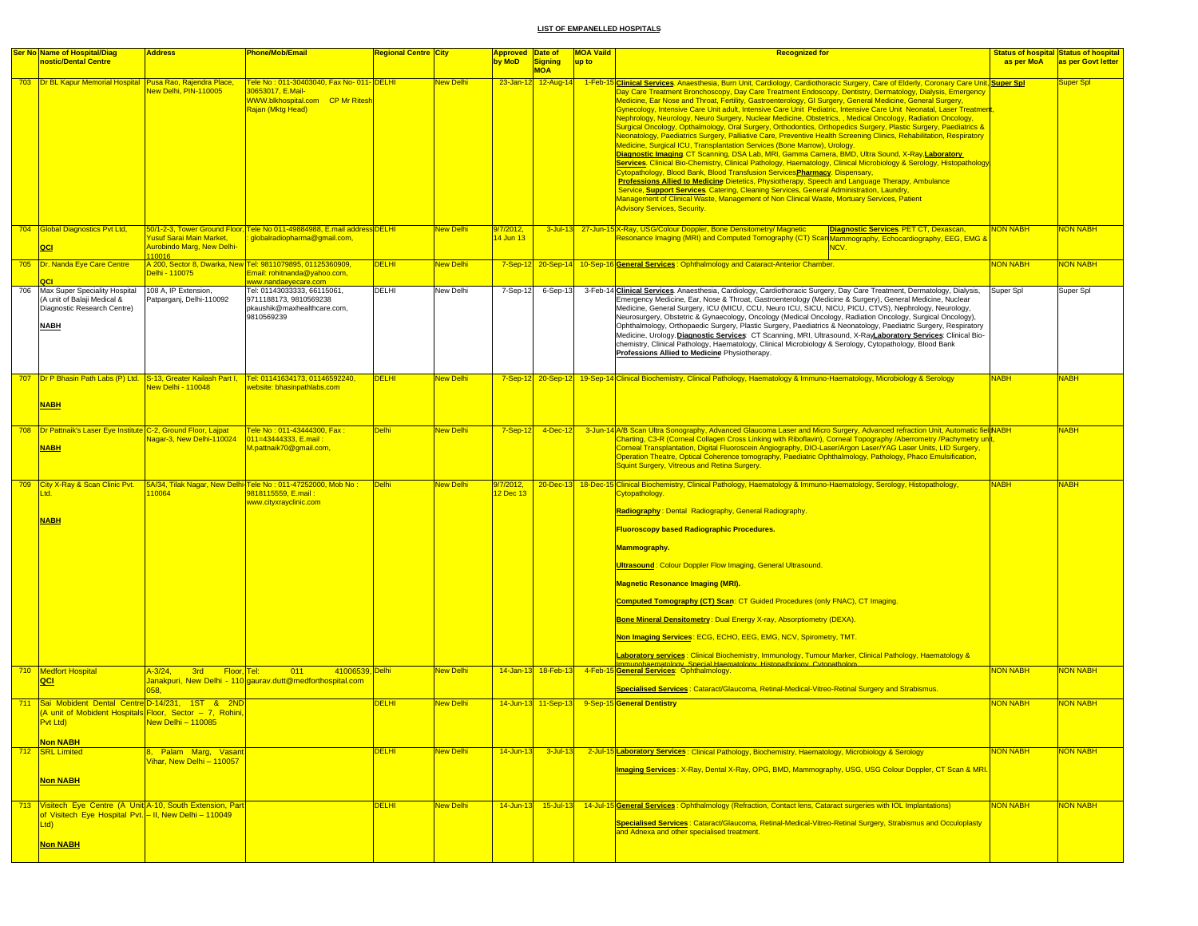|     | <b>Ser No Name of Hospital/Diag</b><br>nostic/Dental Centre                                                                                                                                                                              | <b>Address</b>                                                          | <b>Phone/Mob/Email</b>                                                                                                             | <b>Regional Centre City</b> |                  | Approved Date of<br>by MoD | Signing                           | <b>MOA Vaild</b><br>up to | <b>Recognized for</b>                                                                                                                                                                                                                                                                                                                                                                                                                                                                                                                                                                                                                                                                                                                                                                                                                                                                                                                                                                                                                                                                                                                                                                                                                                                                                                                                                                                                                                                                                                                                                      | as per MoA      | <b>Status of hospital Status of hospital</b><br>as per Govt letter |
|-----|------------------------------------------------------------------------------------------------------------------------------------------------------------------------------------------------------------------------------------------|-------------------------------------------------------------------------|------------------------------------------------------------------------------------------------------------------------------------|-----------------------------|------------------|----------------------------|-----------------------------------|---------------------------|----------------------------------------------------------------------------------------------------------------------------------------------------------------------------------------------------------------------------------------------------------------------------------------------------------------------------------------------------------------------------------------------------------------------------------------------------------------------------------------------------------------------------------------------------------------------------------------------------------------------------------------------------------------------------------------------------------------------------------------------------------------------------------------------------------------------------------------------------------------------------------------------------------------------------------------------------------------------------------------------------------------------------------------------------------------------------------------------------------------------------------------------------------------------------------------------------------------------------------------------------------------------------------------------------------------------------------------------------------------------------------------------------------------------------------------------------------------------------------------------------------------------------------------------------------------------------|-----------------|--------------------------------------------------------------------|
|     | 703 Dr BL Kapur Memorial Hospital Pusa Rao, Rajendra Place,                                                                                                                                                                              | New Delhi, PIN-110005                                                   | <u>Tele No: 011-30403040, Fax No- 011- DELHI</u><br>30653017, E.Mail-<br>WWW.blkhospital.com CP Mr Ritesh<br>Rajan (Mktg Head)     |                             | New Delhi        |                            | <b>MOA</b><br>23-Jan-12 12-Aug-14 |                           | 1-Feb-15 Clinical Services. Anaesthesia, Burn Unit, Cardiology, Cardiothoracic Surgery, Care of Elderly, Coronary Care Unit, Super Spl<br>Day Care Treatment Bronchoscopy, Day Care Treatment Endoscopy, Dentistry, Dermatology, Dialysis, Emergency<br>Medicine, Ear Nose and Throat, Fertility, Gastroenterology, GI Surgery, General Medicine, General Surgery,<br>Gynecology, Intensive Care Unit adult, Intensive Care Unit Pediatric, Intensive Care Unit Neonatal, Laser Treatmen<br>Nephrology, Neurology, Neuro Surgery, Nuclear Medicine, Obstetrics, , Medical Oncology, Radiation Oncology,<br>Surgical Oncology, Opthalmology, Oral Surgery, Orthodontics, Orthopedics Surgery, Plastic Surgery, Paediatrics &<br>Neonatology, Paediatrics Surgery, Palliative Care, Preventive Health Screening Clinics, Rehabilitation, Respiratory<br>Medicine, Surgical ICU, Transplantation Services (Bone Marrow), Urology.<br>Diagnostic Imaging CT Scanning, DSA Lab, MRI, Gamma Camera, BMD, Ultra Sound, X-Ray,Laboratory<br>Services. Clinical Bio-Chemistry, Clinical Pathology, Haematology, Clinical Microbiology & Serology, Histopathology<br>Cytopathology, Blood Bank, Blood Transfusion Services Pharmacy. Dispensary,<br>Professions Allied to Medicine Dietetics, Physiotherapy, Speech and Language Therapy, Ambulance<br>Service, Support Services. Catering, Cleaning Services, General Administration, Laundry,<br>Management of Clinical Waste, Management of Non Clinical Waste, Mortuary Services, Patient<br><b>Advisory Services, Security.</b> |                 | Super Spl                                                          |
|     | 704 Global Diagnostics Pvt Ltd,<br>QCI                                                                                                                                                                                                   | Yusuf Sarai Main Market,<br><b>Aurobindo Marg, New Delhi-</b><br>110016 | 50/1-2-3. Tower Ground Floor. Tele No 011-49884988. E.mail address DELHI<br>globalradiopharma@gmail.com,                           |                             | New Delhi        | 9/7/2012,<br>14 Jun 13     |                                   |                           | 3-Jul-13 27-Jun-15 X-Ray, USG/Colour Doppler, Bone Densitometry/ Magnetic<br>Diagnostic Services PET CT, Dexascan,<br>& Resonance Imaging (MRI) and Computed Tomography (CT) Scan Mammography, Echocardiography, EEG, EMG<br>NCV.                                                                                                                                                                                                                                                                                                                                                                                                                                                                                                                                                                                                                                                                                                                                                                                                                                                                                                                                                                                                                                                                                                                                                                                                                                                                                                                                          | <b>NON NABH</b> | <b>NON NABH</b>                                                    |
|     | 705 Dr. Nanda Eye Care Centre                                                                                                                                                                                                            | Delhi - 110075                                                          | A 200, Sector 8, Dwarka, New Tel: 9811079895, 01125360909,<br>Email: rohitnanda@yahoo.com,                                         | <b>DELHI</b>                | New Delhi        |                            |                                   |                           | 7-Sep-12 20-Sep-14 10-Sep-16 General Services: Ophthalmology and Cataract-Anterior Chamber.                                                                                                                                                                                                                                                                                                                                                                                                                                                                                                                                                                                                                                                                                                                                                                                                                                                                                                                                                                                                                                                                                                                                                                                                                                                                                                                                                                                                                                                                                | <b>NON NABH</b> | <b>NON NABH</b>                                                    |
| 706 | Max Super Speciality Hospital<br>(A unit of Balaji Medical &<br>Diagnostic Research Centre)<br><b>NABH</b>                                                                                                                               | 108 A, IP Extension,<br>Patparganj, Delhi-110092                        | www.nandaeyecare.com<br>Tel: 01143033333, 66115061,<br>9711188173, 9810569238<br>pkaushik@maxhealthcare.com,<br>9810569239         | DELHI                       | New Delhi        | 7-Sep-12                   | 6-Sep-13                          |                           | 3-Feb-14 Clinical Services. Anaesthesia, Cardiology, Cardiothoracic Surgery, Day Care Treatment, Dermatology, Dialysis,<br>Emergency Medicine, Ear, Nose & Throat, Gastroenterology (Medicine & Surgery), General Medicine, Nuclear<br>Medicine, General Surgery, ICU (MICU, CCU, Neuro ICU, SICU, NICU, PICU, CTVS), Nephrology, Neurology,<br>Neurosurgery, Obstetric & Gynaecology, Oncology (Medical Oncology, Radiation Oncology, Surgical Oncology),<br>Ophthalmology, Orthopaedic Surgery, Plastic Surgery, Paediatrics & Neonatology, Paediatric Surgery, Respiratory<br>Medicine, Urology. Diagnostic Services: CT Scanning, MRI, Ultrasound, X-RayLaboratory Services: Clinical Bio-<br>chemistry, Clinical Pathology, Haematology, Clinical Microbiology & Serology, Cytopathology, Blood Bank<br>Professions Allied to Medicine Physiotherapy.                                                                                                                                                                                                                                                                                                                                                                                                                                                                                                                                                                                                                                                                                                                 | Super Spl       | Super Spl                                                          |
|     | <b>NABH</b>                                                                                                                                                                                                                              | New Delhi - 110048                                                      | 707   Dr P Bhasin Path Labs (P) Ltd. S-13, Greater Kailash Part I,   Tel: 01141634173, 01146592240,<br>website: bhasinpathlabs.com | <b>DELHI</b>                | New Delhi        |                            |                                   |                           | 7-Sep-12 20-Sep-12 19-Sep-14 Clinical Biochemistry, Clinical Pathology, Haematology & Immuno-Haematology, Microbiology & Serology                                                                                                                                                                                                                                                                                                                                                                                                                                                                                                                                                                                                                                                                                                                                                                                                                                                                                                                                                                                                                                                                                                                                                                                                                                                                                                                                                                                                                                          | <b>NABH</b>     | <b>NABH</b>                                                        |
|     | 708   Dr Pattnaik's Laser Eye Institute C-2, Ground Floor, Lajpat<br><b>NABH</b>                                                                                                                                                         | Nagar-3, New Delhi-110024                                               | <u> Fele No : 011-43444300, Fax : </u><br>011=43444333, E.mail:<br>M.pattnaik70@gmail.com,                                         | <b>Delhi</b>                | <b>New Delhi</b> | $7-Sep-12$                 | $4$ -Dec-12                       |                           | 3-Jun-14 A/B Scan Ultra Sonography, Advanced Glaucoma Laser and Micro Surgery, Advanced refraction Unit, Automatic field ABH<br>Charting, C3-R (Corneal Collagen Cross Linking with Riboflavin), Corneal Topography /Aberrometry /Pachymetry unit<br>Corneal Transplantation, Digital Fluoroscein Angiography, DIO-Laser/Argon Laser/YAG Laser Units, LID Surgery,<br>Operation Theatre, Optical Coherence tomography, Paediatric Ophthalmology, Pathology, Phaco Emulsification,<br><b>Squint Surgery, Vitreous and Retina Surgery.</b>                                                                                                                                                                                                                                                                                                                                                                                                                                                                                                                                                                                                                                                                                                                                                                                                                                                                                                                                                                                                                                   |                 | <b>NABH</b>                                                        |
|     | 709 City X-Ray & Scan Clinic Pvt.<br>td.<br><b>NABH</b>                                                                                                                                                                                  | 10064                                                                   | 5A/34, Tilak Nagar, New Delhi-Tele No: 011-47252000, Mob No:<br>9818115559, E.mail:<br>www.cityxrayclinic.com                      | Delhi                       | <b>New Delhi</b> | 9/7/2012,<br>12 Dec 13     |                                   |                           | 20-Dec-13 18-Dec-15 Clinical Biochemistry, Clinical Pathology, Haematology & Immuno-Haematology, Serology, Histopathology,<br><b>Cytopathology</b><br>Radiography: Dental Radiography, General Radiography.<br><b>Fluoroscopy based Radiographic Procedures.</b><br><b>Mammography.</b><br><b>Ultrasound: Colour Doppler Flow Imaging, General Ultrasound.</b><br><b>Magnetic Resonance Imaging (MRI).</b><br><b>Computed Tomography (CT) Scan: CT Guided Procedures (only FNAC), CT Imaging.</b><br>Bone Mineral Densitometry: Dual Energy X-ray, Absorptiometry (DEXA).<br>Non Imaging Services: ECG, ECHO, EEG, EMG, NCV, Spirometry, TMT.<br>Laboratory services: Clinical Biochemistry, Immunology, Tumour Marker, Clinical Pathology, Haematology &                                                                                                                                                                                                                                                                                                                                                                                                                                                                                                                                                                                                                                                                                                                                                                                                                  | <b>NABH</b>     | <b>NABH</b>                                                        |
|     | 710 Medfort Hospital<br>QCI                                                                                                                                                                                                              | $A - 3/24$ ,<br>3rd Floor, Tel:<br><b>058</b>                           | 41006539, Delhi<br>$-011$<br>Janakpuri, New Delhi - 110 gaurav.dutt@medforthospital.com                                            |                             | New Delhi        |                            | 14-Jan-13 18-Feb-13               |                           | Immunohaematology. Special Haematology. Histopathology. Cytopathology<br>4-Feb-15 General Services: Ophthalmology.<br>Specialised Services : Cataract/Glaucoma, Retinal-Medical-Vitreo-Retinal Surgery and Strabismus.                                                                                                                                                                                                                                                                                                                                                                                                                                                                                                                                                                                                                                                                                                                                                                                                                                                                                                                                                                                                                                                                                                                                                                                                                                                                                                                                                     | <b>NON NABH</b> | <b>NON NABH</b>                                                    |
| 711 | Sai Mobident Dental Centre D-14/231, 1ST & 2ND<br>(A unit of Mobident Hospitals Floor, Sector - 7, Rohini,<br>Pvt Ltd)<br>and the state of the state of the state of the state of the state of the state of the state of the state of th | $New$ Delhi - 110085                                                    |                                                                                                                                    | <b>DELHI</b>                | New Delhi        |                            |                                   |                           | 14-Jun-13 11-Sep-13 9-Sep-15 General Dentistry                                                                                                                                                                                                                                                                                                                                                                                                                                                                                                                                                                                                                                                                                                                                                                                                                                                                                                                                                                                                                                                                                                                                                                                                                                                                                                                                                                                                                                                                                                                             | <b>NON NABH</b> | <b>NON NABH</b>                                                    |
|     | <b>Non NABH</b><br>712 SRL Limited                                                                                                                                                                                                       | 8, Palam Marg, Vasan<br>Vihar, New Delhi - 110057                       |                                                                                                                                    | <b>DELHI</b>                | <b>New Delhi</b> | 14-Jun-13                  | $3$ -Jul-13                       |                           | 2-Jul-15 Laboratory Services: Clinical Pathology, Biochemistry, Haematology, Microbiology & Serology                                                                                                                                                                                                                                                                                                                                                                                                                                                                                                                                                                                                                                                                                                                                                                                                                                                                                                                                                                                                                                                                                                                                                                                                                                                                                                                                                                                                                                                                       | <b>NON NABH</b> | <b>NON NABH</b>                                                    |
|     | Non NABH                                                                                                                                                                                                                                 |                                                                         |                                                                                                                                    |                             |                  |                            |                                   |                           | Imaging Services: X-Ray, Dental X-Ray, OPG, BMD, Mammography, USG, USG Colour Doppler, CT Scan & MRI.                                                                                                                                                                                                                                                                                                                                                                                                                                                                                                                                                                                                                                                                                                                                                                                                                                                                                                                                                                                                                                                                                                                                                                                                                                                                                                                                                                                                                                                                      |                 |                                                                    |
|     | 713 Visitech Eye Centre (A Unit A-10, South Extension, Part<br>of Visitech Eye Hospital Pvt. - II, New Delhi - 110049<br>Ltd)                                                                                                            |                                                                         |                                                                                                                                    | <b>DELHI</b>                | <b>New Delhi</b> | 14-Jun-13                  | $15$ -Jul-13                      |                           | 14-Jul-15 General Services : Ophthalmology (Refraction, Contact lens, Cataract surgeries with IOL Implantations)<br>Specialised Services: Cataract/Glaucoma, Retinal-Medical-Vitreo-Retinal Surgery, Strabismus and Occuloplasty<br>and Adnexa and other specialised treatment.                                                                                                                                                                                                                                                                                                                                                                                                                                                                                                                                                                                                                                                                                                                                                                                                                                                                                                                                                                                                                                                                                                                                                                                                                                                                                            | <b>NON NABH</b> | <b>NON NABH</b>                                                    |
|     | <b>Non NABH</b>                                                                                                                                                                                                                          |                                                                         |                                                                                                                                    |                             |                  |                            |                                   |                           |                                                                                                                                                                                                                                                                                                                                                                                                                                                                                                                                                                                                                                                                                                                                                                                                                                                                                                                                                                                                                                                                                                                                                                                                                                                                                                                                                                                                                                                                                                                                                                            |                 |                                                                    |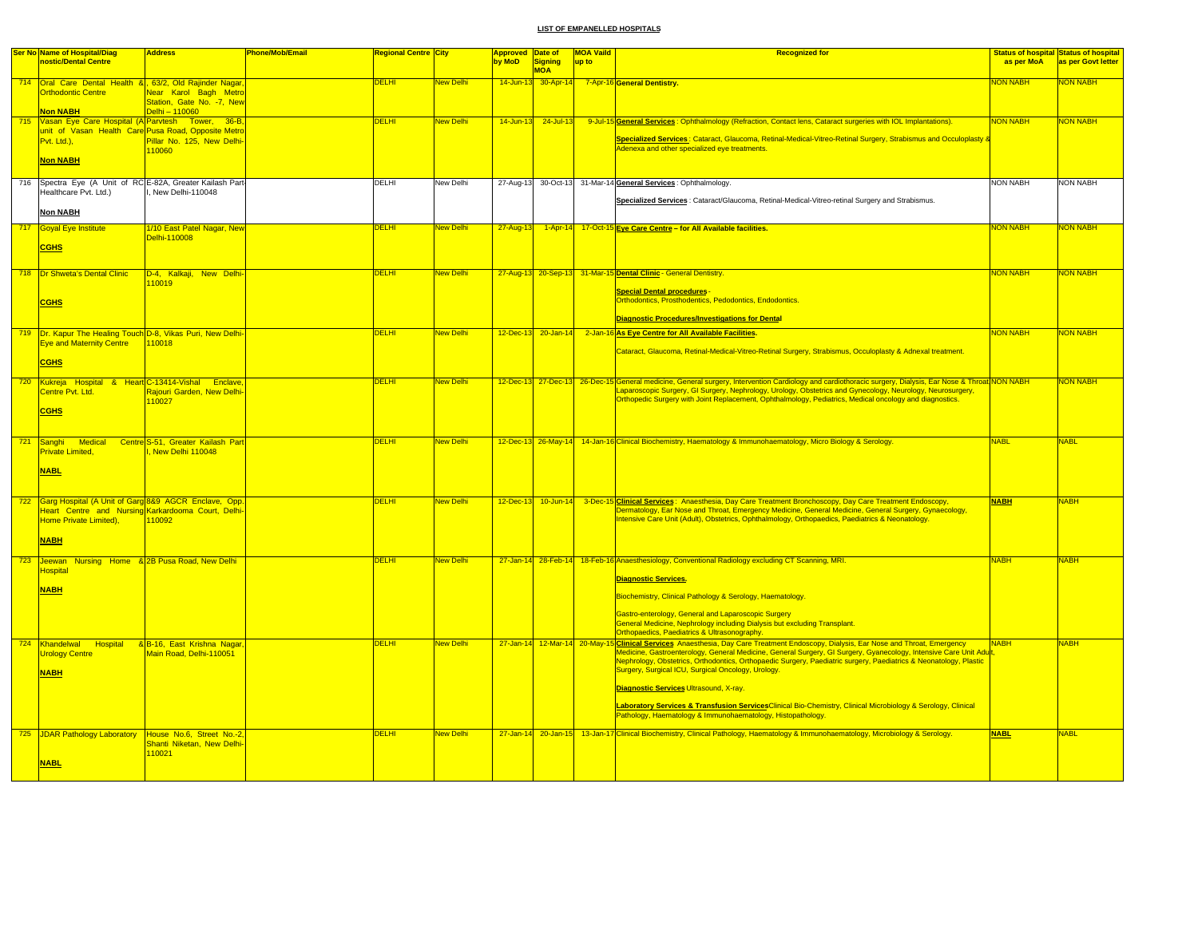| <b>Ser No Name of Hospital/Diag</b>                         | <b>Address</b>             | <b>Phone/Mob/Email</b> | <b>Regional Centre City</b> |                  | <b>Approved</b> | Date of             | <b>MOA Vaild</b> | <b>Recognized for</b>                                                                                                                                     |                 | <b>Status of hospital Status of hospital</b> |
|-------------------------------------------------------------|----------------------------|------------------------|-----------------------------|------------------|-----------------|---------------------|------------------|-----------------------------------------------------------------------------------------------------------------------------------------------------------|-----------------|----------------------------------------------|
| nostic/Dental Centre                                        |                            |                        |                             |                  | by MoD          | Signing             | up to            |                                                                                                                                                           | as per MoA      | as per Govt letter                           |
|                                                             |                            |                        |                             |                  |                 | <b>MOA</b>          |                  |                                                                                                                                                           |                 |                                              |
| 714 Oral Care Dental Health & 63/2, Old Rajinder Nagar      |                            |                        | <b>DELHI</b>                | New Delhi        |                 | 14-Jun-13 30-Apr-14 |                  | 7-Apr-16 General Dentistry.                                                                                                                               | <b>NON NABH</b> | NON NABH                                     |
| <b>Orthodontic Centre</b>                                   | Near Karol Bagh Metro      |                        |                             |                  |                 |                     |                  |                                                                                                                                                           |                 |                                              |
|                                                             | Station. Gate No. - 7. New |                        |                             |                  |                 |                     |                  |                                                                                                                                                           |                 |                                              |
| <b>Non NABH</b>                                             | Delhi - 110060             |                        |                             |                  |                 |                     |                  |                                                                                                                                                           |                 |                                              |
| 715 Vasan Eye Care Hospital (A Parvtesh Tower, 36-B,        |                            |                        | <b>DELHI</b>                | New Delhi        | $14$ -Jun-13    | $24$ -Jul-13        |                  | 9-Jul-15 General Services: Ophthalmology (Refraction, Contact lens, Cataract surgeries with IOL Implantations).                                           | <b>NON NABH</b> | <b>NON NABH</b>                              |
| unit of Vasan Health Care Pusa Road, Opposite Metro         |                            |                        |                             |                  |                 |                     |                  |                                                                                                                                                           |                 |                                              |
| Pvt. Ltd.),                                                 | Pillar No. 125, New Delhi- |                        |                             |                  |                 |                     |                  | Specialized Services: Cataract, Glaucoma, Retinal-Medical-Vitreo-Retinal Surgery, Strabismus and Occuloplasty &                                           |                 |                                              |
|                                                             | 110060                     |                        |                             |                  |                 |                     |                  | Adenexa and other specialized eye treatments.                                                                                                             |                 |                                              |
| <b>Non NABH</b>                                             |                            |                        |                             |                  |                 |                     |                  |                                                                                                                                                           |                 |                                              |
|                                                             |                            |                        |                             |                  |                 |                     |                  |                                                                                                                                                           |                 |                                              |
| 716 Spectra Eye (A Unit of RC E-82A, Greater Kailash Part-  |                            |                        | DELHI                       | New Delhi        |                 |                     |                  | 27-Aug-13 30-Oct-13 31-Mar-14 General Services : Ophthalmology.                                                                                           | <b>NON NABH</b> | <b>NON NABH</b>                              |
| Healthcare Pvt. Ltd.)                                       | New Delhi-110048           |                        |                             |                  |                 |                     |                  |                                                                                                                                                           |                 |                                              |
|                                                             |                            |                        |                             |                  |                 |                     |                  | Specialized Services : Cataract/Glaucoma, Retinal-Medical-Vitreo-retinal Surgery and Strabismus.                                                          |                 |                                              |
| <b>Non NABH</b>                                             |                            |                        |                             |                  |                 |                     |                  |                                                                                                                                                           |                 |                                              |
|                                                             |                            |                        |                             |                  |                 |                     |                  |                                                                                                                                                           |                 |                                              |
| 717 Goyal Eye Institute                                     | 1/10 East Patel Nagar, New |                        | <b>DELHI</b>                | New Delhi        | 27-Aug-13       |                     |                  | 1-Apr-14 17-Oct-15 Eye Care Centre - for All Available facilities.                                                                                        | <b>NON NABH</b> | <mark>NON NABH</mark>                        |
|                                                             | Delhi-110008               |                        |                             |                  |                 |                     |                  |                                                                                                                                                           |                 |                                              |
| <b>CGHS</b>                                                 |                            |                        |                             |                  |                 |                     |                  |                                                                                                                                                           |                 |                                              |
|                                                             |                            |                        |                             |                  |                 |                     |                  |                                                                                                                                                           |                 |                                              |
|                                                             |                            |                        |                             |                  |                 |                     |                  |                                                                                                                                                           |                 |                                              |
| 718   Dr Shweta's Dental Clinic                             | D-4, Kalkaji, New Delhi-   |                        | <b>DELHI</b>                | <b>New Delhi</b> |                 |                     |                  | 27-Aug-13 20-Sep-13 31-Mar-15 Dental Clinic - General Dentistry.                                                                                          | <b>NON NABH</b> | <b>NON NABH</b>                              |
|                                                             | 110019                     |                        |                             |                  |                 |                     |                  |                                                                                                                                                           |                 |                                              |
|                                                             |                            |                        |                             |                  |                 |                     |                  | <b>Special Dental procedures</b><br>Orthodontics, Prosthodentics, Pedodontics, Endodontics.                                                               |                 |                                              |
| <b>CGHS</b>                                                 |                            |                        |                             |                  |                 |                     |                  |                                                                                                                                                           |                 |                                              |
|                                                             |                            |                        |                             |                  |                 |                     |                  | Diagnostic Procedures/Investigations for Dental                                                                                                           |                 |                                              |
|                                                             |                            |                        |                             |                  |                 |                     |                  |                                                                                                                                                           |                 |                                              |
| 719 Dr. Kapur The Healing Touch D-8, Vikas Puri, New Delhi- |                            |                        | <b>DELHI</b>                | <b>New Delhi</b> |                 |                     |                  | 12-Dec-13 20-Jan-14 2-Jan-16 As Eye Centre for All Available Facilities.                                                                                  | <b>NON NABH</b> | <b>NON NABH</b>                              |
| <b>Eye and Maternity Centre</b>                             | 110018                     |                        |                             |                  |                 |                     |                  |                                                                                                                                                           |                 |                                              |
|                                                             |                            |                        |                             |                  |                 |                     |                  | Cataract, Glaucoma, Retinal-Medical-Vitreo-Retinal Surgery, Strabismus, Occuloplasty & Adnexal treatment.                                                 |                 |                                              |
| <b>CGHS</b>                                                 |                            |                        |                             |                  |                 |                     |                  |                                                                                                                                                           |                 |                                              |
|                                                             |                            |                        |                             |                  |                 |                     |                  |                                                                                                                                                           |                 |                                              |
| 720 Kukreja Hospital & Heart C-13414-Vishal Enclave         |                            |                        | <b>DELHI</b>                | <b>New Delhi</b> |                 |                     |                  | 12-Dec-13 27-Dec-13 26-Dec-15 General medicine, General surgery, Intervention Cardiology and cardiothoracic surgery, Dialysis, Ear Nose & Throat NON NABH |                 | <b>NON NABH</b>                              |
| Centre Pvt. Ltd.                                            | Rajouri Garden, New Delhi- |                        |                             |                  |                 |                     |                  | Laparoscopic Surgery, GI Surgery, Nephrology, Urology, Obstetrics and Gynecology, Neurology, Neurosurgery,                                                |                 |                                              |
|                                                             | 110027                     |                        |                             |                  |                 |                     |                  | Orthopedic Surgery with Joint Replacement, Ophthalmology, Pediatrics, Medical oncology and diagnostics.                                                   |                 |                                              |
| <b>CGHS</b>                                                 |                            |                        |                             |                  |                 |                     |                  |                                                                                                                                                           |                 |                                              |
|                                                             |                            |                        |                             |                  |                 |                     |                  |                                                                                                                                                           |                 |                                              |
|                                                             |                            |                        |                             |                  |                 |                     |                  |                                                                                                                                                           |                 |                                              |
| 721 Sanghi Medical Centre S-51, Greater Kailash Part        |                            |                        | DELHI                       | New Delhi        |                 |                     |                  | 12-Dec-13 26-May-14 14-Jan-16 Clinical Biochemistry, Haematology & Immunohaematology, Micro Biology & Serology.                                           | <b>NABL</b>     | <b>NABL</b>                                  |
| <b>Private Limited.</b>                                     | I. New Delhi 110048        |                        |                             |                  |                 |                     |                  |                                                                                                                                                           |                 |                                              |
|                                                             |                            |                        |                             |                  |                 |                     |                  |                                                                                                                                                           |                 |                                              |
| <b>NABL</b>                                                 |                            |                        |                             |                  |                 |                     |                  |                                                                                                                                                           |                 |                                              |
|                                                             |                            |                        |                             |                  |                 |                     |                  |                                                                                                                                                           |                 |                                              |
|                                                             |                            |                        |                             |                  |                 |                     |                  |                                                                                                                                                           |                 |                                              |
| 722 Garg Hospital (A Unit of Garg 8&9 AGCR Enclave, Opp.    |                            |                        | DELHI                       | New Delhi        |                 | 12-Dec-13 10-Jun-14 |                  | 3-Dec-15 Clinical Services: Anaesthesia, Day Care Treatment Bronchoscopy, Day Care Treatment Endoscopy,                                                   | <b>NABH</b>     | <b>VABH</b>                                  |
| Heart Centre and Nursing Karkardooma Court, Delhi-          |                            |                        |                             |                  |                 |                     |                  | Dermatology, Ear Nose and Throat, Emergency Medicine, General Medicine, General Surgery, Gynaecology,                                                     |                 |                                              |
| Home Private Limited),                                      | 110092                     |                        |                             |                  |                 |                     |                  | Intensive Care Unit (Adult), Obstetrics, Ophthalmology, Orthopaedics, Paediatrics & Neonatology.                                                          |                 |                                              |
|                                                             |                            |                        |                             |                  |                 |                     |                  |                                                                                                                                                           |                 |                                              |
| <b>NABH</b>                                                 |                            |                        |                             |                  |                 |                     |                  |                                                                                                                                                           |                 |                                              |
|                                                             |                            |                        |                             |                  |                 |                     |                  |                                                                                                                                                           |                 |                                              |
|                                                             |                            |                        |                             | <b>New Delhi</b> |                 |                     |                  | 27-Jan-14 28-Feb-14 18-Feb-16 Anaesthesiology, Conventional Radiology excluding CT Scanning, MRI.                                                         | <b>NABH</b>     | <b>NABH</b>                                  |
| 723 Jeewan Nursing Home & 2B Pusa Road, New Delhi           |                            |                        | <b>DELHI</b>                |                  |                 |                     |                  |                                                                                                                                                           |                 |                                              |
| <b>Hospital</b>                                             |                            |                        |                             |                  |                 |                     |                  | Diagnostic Services.                                                                                                                                      |                 |                                              |
| <b>NABH</b>                                                 |                            |                        |                             |                  |                 |                     |                  |                                                                                                                                                           |                 |                                              |
|                                                             |                            |                        |                             |                  |                 |                     |                  | Biochemistry, Clinical Pathology & Serology, Haematology.                                                                                                 |                 |                                              |
|                                                             |                            |                        |                             |                  |                 |                     |                  |                                                                                                                                                           |                 |                                              |
|                                                             |                            |                        |                             |                  |                 |                     |                  | Gastro-enterology, General and Laparoscopic Surgery                                                                                                       |                 |                                              |
|                                                             |                            |                        |                             |                  |                 |                     |                  | General Medicine, Nephrology including Dialysis but excluding Transplant.                                                                                 |                 |                                              |
|                                                             |                            |                        |                             |                  |                 |                     |                  | Orthopaedics, Paediatrics & Ultrasonography.                                                                                                              |                 |                                              |
| Hospital<br>724 Khandelwal                                  | & B-16, East Krishna Nagar |                        | <b>DELHI</b>                | New Delhi        |                 |                     |                  | 27-Jan-14 12-Mar-14 20-May-15 Clinical Services Anaesthesia, Day Care Treatment Endoscopy, Dialysis, Ear Nose and Throat, Emergency                       | <b>NABH</b>     | <b>NABH</b>                                  |
| <b>Urology Centre</b>                                       | Main Road, Delhi-110051    |                        |                             |                  |                 |                     |                  | Medicine, Gastroenterology, General Medicine, General Surgery, GI Surgery, Gyanecology, Intensive Care Unit Adult                                         |                 |                                              |
|                                                             |                            |                        |                             |                  |                 |                     |                  | Nephrology, Obstetrics, Orthodontics, Orthopaedic Surgery, Paediatric surgery, Paediatrics & Neonatology, Plastic                                         |                 |                                              |
| <b>NABH</b>                                                 |                            |                        |                             |                  |                 |                     |                  | Surgery, Surgical ICU, Surgical Oncology, Urology.                                                                                                        |                 |                                              |
|                                                             |                            |                        |                             |                  |                 |                     |                  |                                                                                                                                                           |                 |                                              |
|                                                             |                            |                        |                             |                  |                 |                     |                  | Diagnostic Services Ultrasound, X-ray.                                                                                                                    |                 |                                              |
|                                                             |                            |                        |                             |                  |                 |                     |                  | Laboratory Services & Transfusion ServicesClinical Bio-Chemistry, Clinical Microbiology & Serology, Clinical                                              |                 |                                              |
|                                                             |                            |                        |                             |                  |                 |                     |                  | Pathology, Haematology & Immunohaematology, Histopathology.                                                                                               |                 |                                              |
|                                                             |                            |                        |                             |                  |                 |                     |                  |                                                                                                                                                           |                 |                                              |
| 725 JDAR Pathology Laboratory House No.6, Street No.-2,     |                            |                        | <b>DELHI</b>                | New Delhi        |                 |                     |                  | 27-Jan-14 20-Jan-15 13-Jan-17 Clinical Biochemistry, Clinical Pathology, Haematology & Immunohaematology, Microbiology & Serology.                        | <b>NABL</b>     | <b>NABL</b>                                  |
|                                                             | Shanti Niketan, New Delhi- |                        |                             |                  |                 |                     |                  |                                                                                                                                                           |                 |                                              |
|                                                             | 110021                     |                        |                             |                  |                 |                     |                  |                                                                                                                                                           |                 |                                              |
| <b>NABL</b>                                                 |                            |                        |                             |                  |                 |                     |                  |                                                                                                                                                           |                 |                                              |
|                                                             |                            |                        |                             |                  |                 |                     |                  |                                                                                                                                                           |                 |                                              |
|                                                             |                            |                        |                             |                  |                 |                     |                  |                                                                                                                                                           |                 |                                              |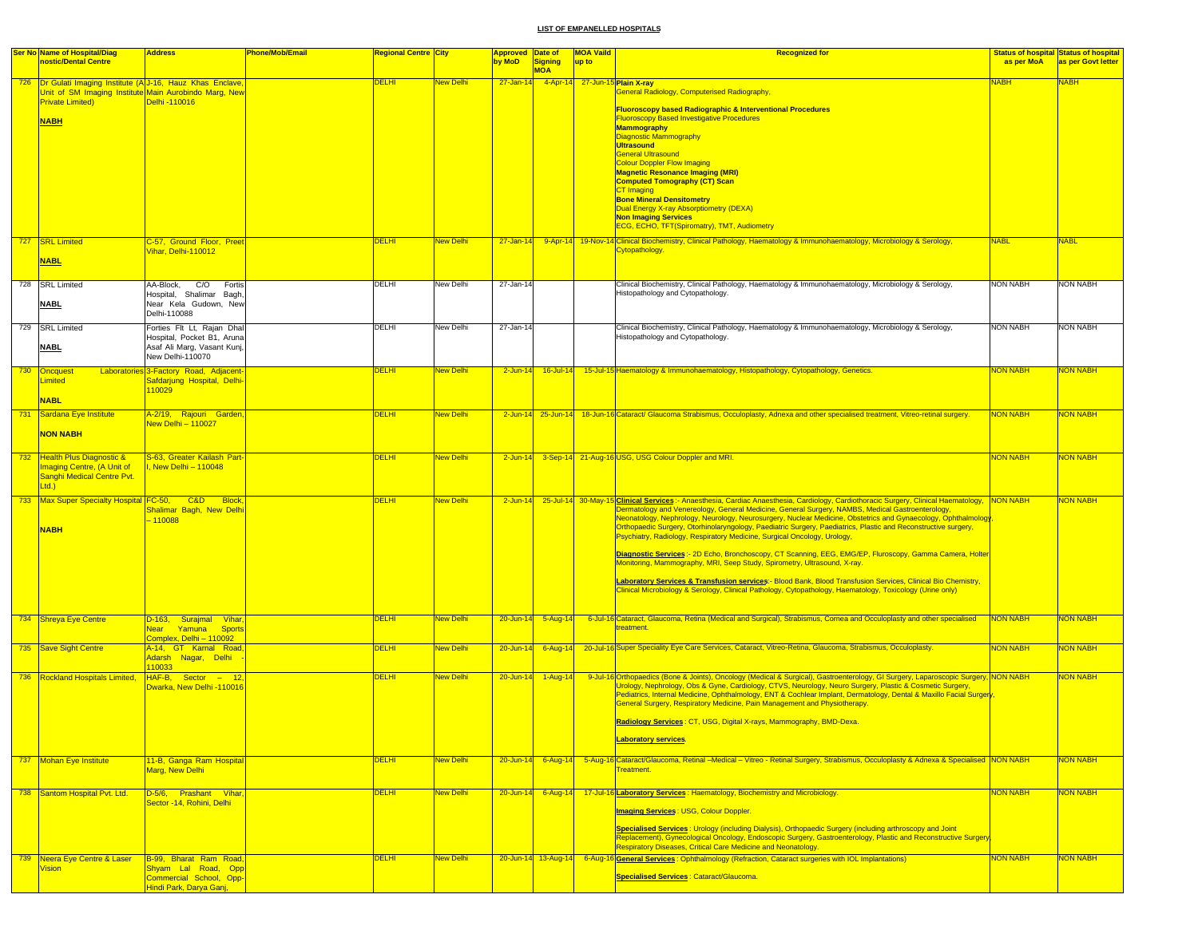| <b>Ser No Name of Hospital/Diag</b>                                              | <b>Address</b>                                            | Phone/Mob/Email | Regional Centre <mark>City</mark> |                        | <b>Approved Date of</b> |                              | <b>MOA Vaild</b>               | <b>Recognized for</b>                                                                                                                                                                                                         |                 | <b>Status of hospital Status of hospital</b> |
|----------------------------------------------------------------------------------|-----------------------------------------------------------|-----------------|-----------------------------------|------------------------|-------------------------|------------------------------|--------------------------------|-------------------------------------------------------------------------------------------------------------------------------------------------------------------------------------------------------------------------------|-----------------|----------------------------------------------|
| nostic/Dental Centre                                                             |                                                           |                 |                                   |                        | by MoD                  | <b>Signing</b><br><b>MOA</b> | up to                          |                                                                                                                                                                                                                               | as per MoA      | as per Govt letter                           |
| 726 Dr Gulati Imaging Institute (A J-16, Hauz Khas Enclave,                      |                                                           |                 | <b>DELHI</b>                      | <mark>New Delhi</mark> | 27-Jan-14               |                              | 4-Apr-14 27-Jun-15 Plain X-ray |                                                                                                                                                                                                                               | <u>NABH</u>     | <b>NABH</b>                                  |
| Unit of SM Imaging Institute Main Aurobindo Marg, New<br><b>Private Limited)</b> | Delhi -110016                                             |                 |                                   |                        |                         |                              |                                | General Radiology, Computerised Radiography,                                                                                                                                                                                  |                 |                                              |
|                                                                                  |                                                           |                 |                                   |                        |                         |                              |                                | <b>Fluoroscopy based Radiographic &amp; Interventional Procedures</b>                                                                                                                                                         |                 |                                              |
| <b>NABH</b>                                                                      |                                                           |                 |                                   |                        |                         |                              |                                | <b>Fluoroscopy Based Investigative Procedures</b><br><b>Mammography</b>                                                                                                                                                       |                 |                                              |
|                                                                                  |                                                           |                 |                                   |                        |                         |                              |                                | <b>Diagnostic Mammography</b><br><b>Ultrasound</b>                                                                                                                                                                            |                 |                                              |
|                                                                                  |                                                           |                 |                                   |                        |                         |                              |                                | <b>General Ultrasound</b>                                                                                                                                                                                                     |                 |                                              |
|                                                                                  |                                                           |                 |                                   |                        |                         |                              |                                | <b>Colour Doppler Flow Imaging</b><br><b>Magnetic Resonance Imaging (MRI)</b>                                                                                                                                                 |                 |                                              |
|                                                                                  |                                                           |                 |                                   |                        |                         |                              |                                | <b>Computed Tomography (CT) Scan</b>                                                                                                                                                                                          |                 |                                              |
|                                                                                  |                                                           |                 |                                   |                        |                         |                              |                                | CT Imaging<br><b>Bone Mineral Densitometry</b>                                                                                                                                                                                |                 |                                              |
|                                                                                  |                                                           |                 |                                   |                        |                         |                              |                                | <b>Dual Energy X-ray Absorptiometry (DEXA)</b><br><b>Non Imaging Services</b>                                                                                                                                                 |                 |                                              |
|                                                                                  |                                                           |                 |                                   |                        |                         |                              |                                | ECG, ECHO, TFT(Spiromatry), TMT, Audiometry                                                                                                                                                                                   |                 |                                              |
| 727 SRL Limited                                                                  | C-57, Ground Floor, Preet                                 |                 | <b>DELHI</b>                      | New Delhi              |                         |                              |                                | 27-Jan-14 9-Apr-14 19-Nov-14 Clinical Biochemistry, Clinical Pathology, Haematology & Immunohaematology, Microbiology & Serology,                                                                                             | <b>NABL</b>     | <b>NABL</b>                                  |
| <b>NABL</b>                                                                      | Vihar, Delhi-110012                                       |                 |                                   |                        |                         |                              |                                | Cytopathology.                                                                                                                                                                                                                |                 |                                              |
|                                                                                  |                                                           |                 |                                   |                        |                         |                              |                                |                                                                                                                                                                                                                               |                 |                                              |
| 728 SRL Limited                                                                  | AA-Block, C/O Fortis                                      |                 | DELHI                             | New Delhi              | 27-Jan-14               |                              |                                | Clinical Biochemistry, Clinical Pathology, Haematology & Immunohaematology, Microbiology & Serology,                                                                                                                          | NON NABH        | <b>NON NABH</b>                              |
| <b>NABL</b>                                                                      | Hospital, Shalimar Bagh<br>Near Kela Gudown, New          |                 |                                   |                        |                         |                              |                                | Histopathology and Cytopathology.                                                                                                                                                                                             |                 |                                              |
|                                                                                  | Delhi-110088                                              |                 |                                   |                        |                         |                              |                                |                                                                                                                                                                                                                               |                 |                                              |
| 729 SRL Limited                                                                  | Forties Flt Lt, Rajan Dhal                                |                 | DELHI                             | New Delhi              | 27-Jan-14               |                              |                                | Clinical Biochemistry, Clinical Pathology, Haematology & Immunohaematology, Microbiology & Serology,                                                                                                                          | <b>NON NABH</b> | <b>NON NABH</b>                              |
| <b>NABL</b>                                                                      | Hospital, Pocket B1, Aruna<br>Asaf Ali Marg, Vasant Kunj, |                 |                                   |                        |                         |                              |                                | Histopathology and Cytopathology.                                                                                                                                                                                             |                 |                                              |
|                                                                                  | New Delhi-110070                                          |                 |                                   |                        |                         |                              |                                |                                                                                                                                                                                                                               |                 |                                              |
| 730 Oncquest                                                                     | Laboratories 3-Factory Road, Adjacent                     |                 | <b>DELHI</b>                      | New Delhi              |                         | 2-Jun-14 16-Jul-14           |                                | 15-Jul-15 Haematology & Immunohaematology, Histopathology, Cytopathology, Genetics.                                                                                                                                           | <b>NON NABH</b> | <mark>NON NABH</mark>                        |
| <b>Limited</b>                                                                   | Safdarjung Hospital, Delhi-<br>110029                     |                 |                                   |                        |                         |                              |                                |                                                                                                                                                                                                                               |                 |                                              |
| <b>NABL</b>                                                                      |                                                           |                 |                                   |                        |                         |                              |                                |                                                                                                                                                                                                                               |                 |                                              |
| 731 Sardana Eye Institute                                                        | A-2/19, Rajouri Garden                                    |                 | <b>DELHI</b>                      | <b>New Delhi</b>       |                         |                              |                                | 2-Jun-14 25-Jun-14 18-Jun-16 Cataract/ Glaucoma Strabismus, Occuloplasty, Adnexa and other specialised treatment, Vitreo-retinal surgery                                                                                      | <b>NON NABH</b> | <b>NON NABH</b>                              |
| <b>NON NABH</b>                                                                  | <b>Vew Delhi - 110027</b>                                 |                 |                                   |                        |                         |                              |                                |                                                                                                                                                                                                                               |                 |                                              |
|                                                                                  |                                                           |                 |                                   |                        |                         |                              |                                |                                                                                                                                                                                                                               |                 |                                              |
| 732 Health Plus Diagnostic &                                                     | S-63, Greater Kailash Part-                               |                 | <b>DELHI</b>                      | New Delhi              |                         |                              |                                | 2-Jun-14 3-Sep-14 21-Aug-16 USG, USG Colour Doppler and MRI.                                                                                                                                                                  | <b>NON NABH</b> | <b>NON NABH</b>                              |
| Imaging Centre, (A Unit of<br>Sanghi Medical Centre Pvt.                         | , New Delhi - 110048                                      |                 |                                   |                        |                         |                              |                                |                                                                                                                                                                                                                               |                 |                                              |
| Ltd.                                                                             |                                                           |                 |                                   |                        |                         |                              |                                |                                                                                                                                                                                                                               |                 |                                              |
| 733 Max Super Specialty Hospital FC-50, C&D Block                                |                                                           |                 | <b>DELHI</b>                      | <b>New Delhi</b>       |                         |                              |                                | 2-Jun-14 25-Jul-14 30-May-15 Clinical Services :- Anaesthesia, Cardiac Anaesthesia, Cardiology, Cardiothoracic Surgery, Clinical Haematology, NON NABH                                                                        |                 | <b>NON NABH</b>                              |
|                                                                                  | Shalimar Bagh, New Delhi<br>$-110088$                     |                 |                                   |                        |                         |                              |                                | Dermatology and Venereology, General Medicine, General Surgery, NAMBS, Medical Gastroenterology,<br>Neonatology, Nephrology, Neurology, Neurosurgery, Nuclear Medicine, Obstetrics and Gynaecology, Ophthalmology             |                 |                                              |
| <b>NABH</b>                                                                      |                                                           |                 |                                   |                        |                         |                              |                                | Orthopaedic Surgery, Otorhinolaryngology, Paediatric Surgery, Paediatrics, Plastic and Reconstructive surgery,<br>Psychiatry, Radiology, Respiratory Medicine, Surgical Oncology, Urology,                                    |                 |                                              |
|                                                                                  |                                                           |                 |                                   |                        |                         |                              |                                |                                                                                                                                                                                                                               |                 |                                              |
|                                                                                  |                                                           |                 |                                   |                        |                         |                              |                                | Diagnostic Services:- 2D Echo, Bronchoscopy, CT Scanning, EEG, EMG/EP, Fluroscopy, Gamma Camera, Holter<br>Monitoring, Mammography, MRI, Seep Study, Spirometry, Ultrasound, X-ray.                                           |                 |                                              |
|                                                                                  |                                                           |                 |                                   |                        |                         |                              |                                | Laboratory Services & Transfusion services:- Blood Bank, Blood Transfusion Services, Clinical Bio Chemistry,                                                                                                                  |                 |                                              |
|                                                                                  |                                                           |                 |                                   |                        |                         |                              |                                | Clinical Microbiology & Serology, Clinical Pathology, Cytopathology, Haematology, Toxicology (Urine only)                                                                                                                     |                 |                                              |
|                                                                                  |                                                           |                 |                                   |                        |                         |                              |                                |                                                                                                                                                                                                                               |                 |                                              |
| 734 Shreya Eye Centre                                                            | D-163, Surajmal Vihar                                     |                 | <b>DELHI</b>                      | New Delhi              | $20 - Jun-14$           | $5 - Aug-14$                 |                                | 6-Jul-16 Cataract, Glaucoma, Retina (Medical and Surgical), Strabismus, Cornea and Occuloplasty and other specialised                                                                                                         | <b>NON NABH</b> | <b>NON NABH</b>                              |
|                                                                                  | Near Yamuna Sports<br>Complex, Delhi - 110092             |                 |                                   |                        |                         |                              |                                | treatment.                                                                                                                                                                                                                    |                 |                                              |
| 735 Save Sight Centre                                                            | A-14, GT Karnal Road                                      |                 | <b>DELHI</b>                      | New Delhi              |                         | $20$ -Jun-14 6-Aug-14        |                                | 20-Jul-16 Super Speciality Eye Care Services, Cataract, Vitreo-Retina, Glaucoma, Strabismus, Occuloplasty.                                                                                                                    | <b>NON NABH</b> | <b>NON NABH</b>                              |
|                                                                                  | Adarsh Nagar, Delhi<br>110033                             |                 |                                   |                        |                         |                              |                                |                                                                                                                                                                                                                               |                 |                                              |
| 736 Rockland Hospitals Limited.                                                  | HAF-B, Sector - 12                                        |                 | <b>DELHI</b>                      | New Delhi              |                         | 20-Jun-14 1-Aug-14           |                                | 9-Jul-16 Orthopaedics (Bone & Joints), Oncology (Medical & Surgical), Gastroenterology, GI Surgery, Laparoscopic Surgery, NON NABH                                                                                            |                 | <b>NON NABH</b>                              |
|                                                                                  | Dwarka, New Delhi -110016                                 |                 |                                   |                        |                         |                              |                                | Urology, Nephrology, Obs & Gyne, Cardiology, CTVS, Neurology, Neuro Surgery, Plastic & Cosmetic Surgery,<br>Pediatrics, Internal Medicine, Ophthalmology, ENT & Cochlear Implant, Dermatology, Dental & Maxillo Facial Surger |                 |                                              |
|                                                                                  |                                                           |                 |                                   |                        |                         |                              |                                | General Surgery, Respiratory Medicine, Pain Management and Physiotherapy.                                                                                                                                                     |                 |                                              |
|                                                                                  |                                                           |                 |                                   |                        |                         |                              |                                | Radiology Services: CT, USG, Digital X-rays, Mammography, BMD-Dexa.                                                                                                                                                           |                 |                                              |
|                                                                                  |                                                           |                 |                                   |                        |                         |                              |                                | aboratory services.                                                                                                                                                                                                           |                 |                                              |
|                                                                                  |                                                           |                 |                                   |                        |                         |                              |                                |                                                                                                                                                                                                                               |                 |                                              |
| 737 Mohan Eye Institute                                                          | 11-B, Ganga Ram Hospital<br>Marg, New Delhi               |                 | <b>DELHI</b>                      | New Delhi              |                         |                              |                                | 20-Jun-14 6-Aug-14 5-Aug-16 Cataract/Glaucoma, Retinal -Medical - Vitreo - Retinal Surgery, Strabismus, Occuloplasty & Adnexa & Specialised NON NABH<br>Treatment.                                                            |                 | <b>NON NABH</b>                              |
|                                                                                  |                                                           |                 |                                   |                        |                         |                              |                                |                                                                                                                                                                                                                               |                 |                                              |
| 738 Santom Hospital Pvt. Ltd.                                                    | D-5/6, Prashant Vihar,                                    |                 | <b>DELHI</b>                      | New Delhi              |                         |                              |                                | 20-Jun-14 6-Aug-14 17-Jul-16 Laboratory Services: Haematology, Biochemistry and Microbiology.                                                                                                                                 | <b>NON NABH</b> | <b>NON NABH</b>                              |
|                                                                                  | Sector -14, Rohini, Delhi                                 |                 |                                   |                        |                         |                              |                                | <b>Imaging Services: USG, Colour Doppler.</b>                                                                                                                                                                                 |                 |                                              |
|                                                                                  |                                                           |                 |                                   |                        |                         |                              |                                | Specialised Services: Urology (including Dialysis), Orthopaedic Surgery (including arthroscopy and Joint                                                                                                                      |                 |                                              |
|                                                                                  |                                                           |                 |                                   |                        |                         |                              |                                | Replacement), Gynecological Oncology, Endoscopic Surgery, Gastroenterology, Plastic and Reconstructive Surgery                                                                                                                |                 |                                              |
|                                                                                  |                                                           |                 |                                   |                        |                         |                              |                                | <b>Respiratory Diseases, Critical Care Medicine and Neonatology.</b>                                                                                                                                                          |                 |                                              |
| 739 Neera Eve Centre & Laser<br><b>Vision</b>                                    | B-99, Bharat Ram Road<br>Shyam Lal Road, Opp              |                 | <b>DELHI</b>                      | <b>New Delhi</b>       |                         | 20-Jun-14 13-Aug-14          |                                | 6-Aug-16 General Services: Ophthalmology (Refraction, Cataract surgeries with IOL Implantations)                                                                                                                              | <b>NON NABH</b> | <b>NON NABH</b>                              |
|                                                                                  | Commercial School, Opp-<br>Hindi Park, Darya Ganj,        |                 |                                   |                        |                         |                              |                                | Specialised Services : Cataract/Glaucoma.                                                                                                                                                                                     |                 |                                              |
|                                                                                  |                                                           |                 |                                   |                        |                         |                              |                                |                                                                                                                                                                                                                               |                 |                                              |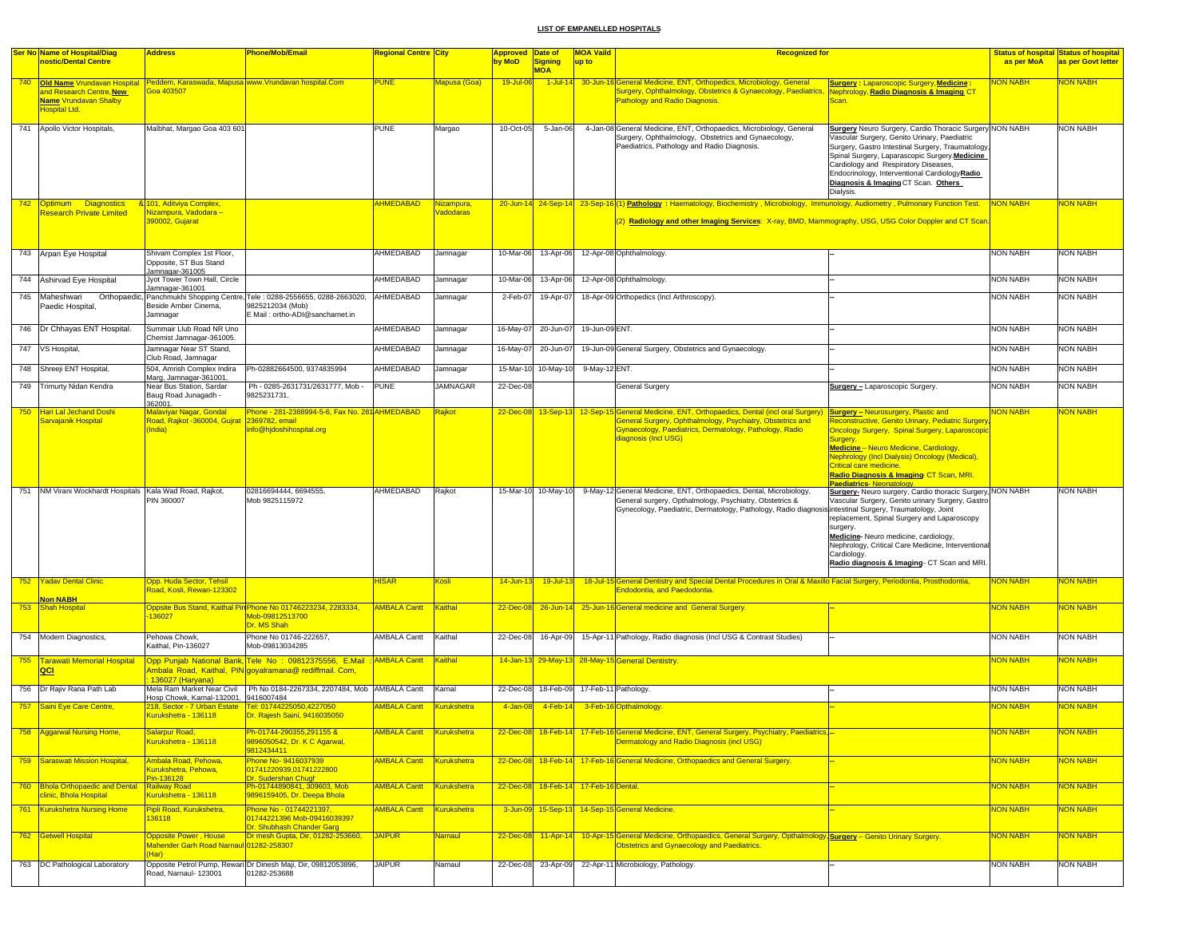|     | Ser No Name of Hospital/Diag<br>nostic/Dental Centre                                                         | <u>Address</u>                                                         | <b>Phone/Mob/Email</b>                                                                                                             | <mark>Regional Centre City</mark> |                         | Approved Date of<br>by MoD | <b>Signing</b>                        | <b>MOA Vaild</b><br>up to | <b>Recognized for</b>                                                                                                                                                                                                                     |                                                                                                                                                                                                                                                                                                                                                            | as per MoA            | <b>Status of hospital Status of hospital</b><br>as per Govt letter |
|-----|--------------------------------------------------------------------------------------------------------------|------------------------------------------------------------------------|------------------------------------------------------------------------------------------------------------------------------------|-----------------------------------|-------------------------|----------------------------|---------------------------------------|---------------------------|-------------------------------------------------------------------------------------------------------------------------------------------------------------------------------------------------------------------------------------------|------------------------------------------------------------------------------------------------------------------------------------------------------------------------------------------------------------------------------------------------------------------------------------------------------------------------------------------------------------|-----------------------|--------------------------------------------------------------------|
|     |                                                                                                              |                                                                        |                                                                                                                                    |                                   |                         |                            | <b>MOA</b>                            |                           |                                                                                                                                                                                                                                           |                                                                                                                                                                                                                                                                                                                                                            |                       |                                                                    |
|     | 740 Old Name Vrundavan Hospital<br>and Research Centre, New<br><b>Name Vrundavan Shalby</b><br>Hospital Ltd. | <b>Soa 403507</b>                                                      | Peddem, Karaswada, Mapusa www.Vrundavan hospital.Com                                                                               | <b>PUNE</b>                       | Mapusa (Goa)            | 19-Jul-06                  |                                       |                           | 1-Jul-14 30-Jun-16 General Medicine, ENT, Orthopedics, Microbiology, General<br>Surgery, Ophthalmology, Obstetrics & Gynaecology, Paediatrics,<br>Pathology and Radio Diagnosis.                                                          | <b>Surgery: Laparoscopic Surgery, Medicine:</b><br>Nephrology, Radio Diagnosis & Imaging C1<br>Scan.                                                                                                                                                                                                                                                       | <b>ION NABH</b>       | <b>VON NABH</b>                                                    |
|     | 741 Apollo Victor Hospitals,                                                                                 | Malbhat, Margao Goa 403 601                                            |                                                                                                                                    | <b>PUNE</b>                       | Margao                  | 10-Oct-05                  | 5-Jan-06                              |                           | 4-Jan-08 General Medicine, ENT, Orthopaedics, Microbiology, General<br>Surgery, Ophthalmology, Obstetrics and Gynaecology,<br>Paediatrics, Pathology and Radio Diagnosis.                                                                 | Surgery Neuro Surgery, Cardio Thoracic Surgery NON NABH<br>Vascular Surgery, Genito Urinary, Paediatric<br>Surgery, Gastro Intestinal Surgery, Traumatology,<br>Spinal Surgery, Laparascopic Surgery.Medicine<br>Cardiology and Respiratory Diseases,<br>Endocrinology, Interventional CardiologyRadio<br>Diagnosis & Imaging CT Scan. Others<br>Dialysis. |                       | <b>NON NABH</b>                                                    |
|     | 742 Optimum Diagnostics<br><b>Research Private Limited</b>                                                   | 8 101, Aditviya Complex,<br><mark>Nizampura, Vadodara –</mark>         |                                                                                                                                    | <b>AHMEDABAD</b>                  | Nizampura.<br>Vadodaras |                            |                                       |                           | 20-Jun-14 24-Sep-14 23-Sep-16 (1) Pathology: Haematology, Biochemistry, Microbiology, Immunology, Audiometry, Pulmonary Function Test.                                                                                                    |                                                                                                                                                                                                                                                                                                                                                            | <b>NON NABH</b>       | <b>JON NABH</b>                                                    |
|     |                                                                                                              | <b>890002, Gujarat</b>                                                 |                                                                                                                                    |                                   |                         |                            |                                       |                           | (2) Radiology and other Imaging Services: X-ray, BMD, Mammography, USG, USG Color Doppler and CT Scan                                                                                                                                     |                                                                                                                                                                                                                                                                                                                                                            |                       |                                                                    |
|     | 743 Arpan Eye Hospital                                                                                       | Shivam Complex 1st Floor.<br>Opposite, ST Bus Stand<br>Jamnagar-361005 |                                                                                                                                    | AHMEDABAD                         | Jamnagar                | 10-Mar-06                  | 13-Apr-06                             |                           | 12-Apr-08 Ophthalmology.                                                                                                                                                                                                                  |                                                                                                                                                                                                                                                                                                                                                            | <b>NON NABH</b>       | <b>NON NABH</b>                                                    |
|     | 744 Ashirvad Eye Hospital                                                                                    | Jyot Tower Town Hall, Circle<br>amnagar-361001                         |                                                                                                                                    | AHMEDABAD                         | Jamnagar                | 10-Mar-06                  | 13-Apr-06                             |                           | 12-Apr-08 Ophthalmology.                                                                                                                                                                                                                  |                                                                                                                                                                                                                                                                                                                                                            | <b>NON NABH</b>       | <b>NON NABH</b>                                                    |
| 745 | Maheshwari<br>Paedic Hospital,                                                                               | Beside Amber Cinema,<br>Jamnagar                                       | Orthopaedic, Panchmukhi Shopping Centre, Tele: 0288-2556655, 0288-2663020,<br>9825212034 (Mob)<br>E Mail : ortho-ADI@sancharnet.in | AHMEDABAD                         | Jamnagar                | 2-Feb-07                   | 19-Apr-07                             |                           | 18-Apr-09 Orthopedics (Incl Arthroscopy)                                                                                                                                                                                                  |                                                                                                                                                                                                                                                                                                                                                            | <b>NON NABH</b>       | NON NABH                                                           |
|     | 746   Dr Chhayas ENT Hospital.                                                                               | Summair Llub Road NR Uno<br>Chemist Jamnagar-361005.                   |                                                                                                                                    | AHMEDABAD                         | Jamnagar                |                            | 16-May-07 20-Jun-07                   | 19-Jun-09 ENT.            |                                                                                                                                                                                                                                           |                                                                                                                                                                                                                                                                                                                                                            | <b>NON NABH</b>       | <b>NON NABH</b>                                                    |
| 747 | VS Hospital,                                                                                                 | Jamnagar Near ST Stand,<br>Club Road, Jamnagar                         |                                                                                                                                    | AHMEDABAD                         | Jamnagar                | 16-May-07                  | 20-Jun-07                             |                           | 19-Jun-09 General Surgery, Obstetrics and Gynaecology.                                                                                                                                                                                    |                                                                                                                                                                                                                                                                                                                                                            | <b>NON NABH</b>       | NON NABH                                                           |
|     | 748 Shreeji ENT Hospital,                                                                                    | 504, Amrish Complex Indira<br>Marg, Jamnagar-361001,                   | Ph-02882664500, 9374835994                                                                                                         | AHMEDABAD                         | Jamnagar                |                            | 15-Mar-10 10-May-10                   | 9-May-12 ENT.             |                                                                                                                                                                                                                                           |                                                                                                                                                                                                                                                                                                                                                            | <b>NON NABH</b>       | <b>NON NABH</b>                                                    |
|     | 749 Trimurty Nidan Kendra                                                                                    | Near Bus Station, Sardar<br>Baug Road Junagadh -<br>362001.            | Ph - 0285-2631731/2631777, Mob -<br>9825231731.                                                                                    | <b>PUNE</b>                       | <b>JAMNAGAR</b>         | 22-Dec-08                  |                                       |                           | General Surgery                                                                                                                                                                                                                           | <b>Surgery - Laparoscopic Surgery.</b>                                                                                                                                                                                                                                                                                                                     | <b>NON NABH</b>       | <b>NON NABH</b>                                                    |
| 750 | <b>Hari Lal Jechand Doshi</b>                                                                                | Malavivar Nagar, Gondal                                                | Phone - 281-2388994-5-6, Fax No. 281 AHMEDABAD                                                                                     |                                   | Rajkot                  |                            |                                       |                           | 22-Dec-08 13-Sep-13 12-Sep-15 General Medicine, ENT, Orthopaedics, Dental (incl oral Surgery)                                                                                                                                             | <b>Surgery - Neurosurgery, Plastic and</b>                                                                                                                                                                                                                                                                                                                 | <b>NON NABH</b>       | <b>JON NABH</b>                                                    |
|     | Sarvaianik Hospital                                                                                          | Road, Rajkot -360004, Gujrat<br>India)                                 | 2369782, email<br>info@hjdoshihospital.org                                                                                         |                                   |                         |                            |                                       |                           | General Surgery, Ophthalmology, Psychiatry, Obstetrics and<br>Gynaecology, Paediatrics, Dermatology, Pathology, Radio<br>diagnosis (Incl USG)                                                                                             | Reconstructive, Genito Urinary, Pediatric Surgery<br><b>Oncology Surgery, Spinal Surgery, Laparoscopic</b><br>Surgery.<br>Medicine - Neuro Medicine, Cardiology,<br>Nephrology (Incl Dialysis) Oncology (Medical),<br>Critical care medicine.<br>Radio Diagnosis & Imaging CT Scan, MRI.<br>Paediatrics-Neonatology.                                       |                       |                                                                    |
|     | 751 NM Virani Wockhardt Hospitals Kala Wad Road, Rajkot,                                                     | PIN 360007                                                             | 02816694444, 6694555,<br>Mob 9825115972                                                                                            | AHMEDABAD                         | Rajkot                  |                            | 15-Mar-10 10-May-10                   |                           | 9-May-12 General Medicine, ENT, Orthopaedics, Dental, Microbiology,<br>General surgery, Opthalmology, Psychiatry, Obstetrics &<br>Gynecology, Paediatric, Dermatology, Pathology, Radio diagnosis intestinal Surgery, Traumatology, Joint | Surgery- Neuro surgery, Cardio thoracic Surgery, NON NABH<br>Vascular Surgery, Genito urinary Surgery, Gastro<br>replacement, Spinal Surgery and Laparoscopy<br>surgery.<br>Medicine-Neuro medicine, cardiology,<br>Nephrology, Critical Care Medicine, Interventional<br>Cardiology.<br>Radio diagnosis & Imaging- CT Scan and MRI.                       |                       | NON NABH                                                           |
|     | 752 Yadav Dental Clinic<br><b>Non NABH</b>                                                                   | Opp. Huda Sector, Tehsil<br>Road, Kosli, Rewari-123302                 |                                                                                                                                    | <b>HISAR</b>                      | Kosli                   | $14$ -Jun-13               | $19 -$ Jul-13                         |                           | 18-Jul-15 General Dentistry and Special Dental Procedures in Oral & Maxillo Facial Surgery, Periodontia, Prosthodontia,<br>Endodontia, and Paedodontia.                                                                                   |                                                                                                                                                                                                                                                                                                                                                            | <b>NON NABH</b>       | NON NABH                                                           |
|     | 753 Shah Hospital                                                                                            | 136027                                                                 | Oppsite Bus Stand, Kaithal Pin Phone No 01746223234, 2283334,<br>Mob-09812513700<br>Dr. MS Shah                                    | <b>AMBALA Cantt</b> Kaithal       |                         |                            |                                       |                           | 22-Dec-08 26-Jun-14 25-Jun-16 General medicine and General Surgery                                                                                                                                                                        |                                                                                                                                                                                                                                                                                                                                                            | <b>NON NABH</b>       | NON NABH                                                           |
|     | 754 Modern Diagnostics,                                                                                      | Pehowa Chowk.<br>Kaithal, Pin-136027                                   | Phone No 01746-222657,<br>Mob-09813034285                                                                                          | AMBALA Cantt                      | Kaithal                 | 22-Dec-08                  | 16-Apr-09                             |                           | 15-Apr-11 Pathology, Radio diagnosis (Incl USG & Contrast Studies)                                                                                                                                                                        |                                                                                                                                                                                                                                                                                                                                                            | <b>NON NABH</b>       | <b>NON NABH</b>                                                    |
| 755 | <b>Tarawati Memorial Hospital</b><br>QCI                                                                     | 136027 (Haryana)                                                       | Opp Punjab National Bank, Tele No: 09812375556, E.Mail<br>Ambala Road, Kaithal, PIN qovalramana@ rediffmail, Com.                  | <b>AMBALA Cantt</b>               | Kaithal                 |                            |                                       |                           | 14-Jan-13 29-May-13 28-May-15 General Dentistry.                                                                                                                                                                                          |                                                                                                                                                                                                                                                                                                                                                            | <b>NON NABH</b>       | <b>VON NABH</b>                                                    |
|     | 756 Dr Rajiv Rana Path Lab                                                                                   | Hosp Chowk, Karnal-132001, 9416007484                                  | Mela Ram Market Near Civil   Ph No 0184-2267334, 2207484, Mob   AMBALA Cantt                                                       |                                   | Kamal                   | 22-Dec-08                  | 18-Feb-09                             |                           | 17-Feb-11 Pathology.                                                                                                                                                                                                                      |                                                                                                                                                                                                                                                                                                                                                            | <b>NON NABH</b>       | <b>NON NABH</b>                                                    |
|     | 757 Saini Eye Care Centre,                                                                                   | 218, Sector - 7 Urban Estate<br>Kurukshetra - 136118                   | Tel: 01744225050,4227050<br>Dr. Rajesh Saini, 9416035050                                                                           | <b>AMBALA Cantt</b>               | <b>Kurukshetra</b>      | 4-Jan-08                   | $4$ -Feb-14                           |                           | 3-Feb-16 Opthalmology.                                                                                                                                                                                                                    |                                                                                                                                                                                                                                                                                                                                                            | <b>NON NABH</b>       | <b>JON NABH</b>                                                    |
|     | 758 Aggarwal Nursing Home,                                                                                   | Salarpur Road,<br>Kurukshetra - 136118                                 | Ph-01744-290355,291155 &<br>9896050542, Dr. K C Agarwal,<br>9812434411                                                             | AMBALA Cantt Kurukshetra          |                         |                            |                                       |                           | 22-Dec-08 18-Feb-14 17-Feb-16 General Medicine, ENT, General Surgery, Psychiatry, Paediatrics,-<br>Dermatology and Radio Diagnosis (incl USG)                                                                                             |                                                                                                                                                                                                                                                                                                                                                            | <mark>NON NABH</mark> | <b>JON NABH</b>                                                    |
|     | 759 Saraswati Mission Hospital,                                                                              | Ambala Road, Pehowa,<br>Kurukshetra, Pehowa,<br>Pin-136128             | Phone No- 9416037939<br>01741220939,01741222800<br>Dr. Sudershan Chugh                                                             | AMBALA Cantt Kurukshetra          |                         |                            |                                       |                           | 22-Dec-08 18-Feb-14 17-Feb-16 General Medicine, Orthopaedics and General Surgery.                                                                                                                                                         |                                                                                                                                                                                                                                                                                                                                                            | <b>NON NABH</b>       | <b>NON NABH</b>                                                    |
|     | 760 Bhola Orthopaedic and Dental Railway Road<br>clinic, Bhola Hospital                                      | Curukshetra - 136118                                                   | Ph-01744890841, 309603, Mob<br>9896159405, Dr. Deepa Bhola                                                                         | <b>AMBALA Cantt</b> Kurukshetra   |                         |                            | 22-Dec-08 18-Feb-14 17-Feb-16 Dental. |                           |                                                                                                                                                                                                                                           |                                                                                                                                                                                                                                                                                                                                                            | <b>NON NABH</b>       | <b>NON NABH</b>                                                    |
|     | 761 Kurukshetra Nursing Home                                                                                 | Pipli Road, Kurukshetra,<br>136118                                     | Phone No - 01744221397,<br>01744221396 Mob-09416039397<br>Dr. Shubhash Chander Garg                                                | <b>AMBALA Cantt</b> Kurukshetra   |                         |                            |                                       |                           | 3-Jun-09 15-Sep-13 14-Sep-15 General Medicine.                                                                                                                                                                                            |                                                                                                                                                                                                                                                                                                                                                            | NON NABH              | <b>NON NABH</b>                                                    |
|     | 762 Getwell Hospital                                                                                         | <b>Opposite Power, House</b><br>Aahender Garh Road Narnai              | Dr mesh Gupta, Dir. 01282-253660.<br>01282-258307                                                                                  | <b>JAIPUR</b>                     | <b>Namaul</b>           |                            |                                       |                           | 22-Dec-08 11-Apr-14 10-Apr-15 General Medicine, Orthopaedics, General Surgery, Opthalmology, Surgery - Genito Urinary Surgery.<br><b>Obstetrics and Gynaecology and Paediatrics.</b>                                                      |                                                                                                                                                                                                                                                                                                                                                            | <b>NON NABH</b>       | <b>NON NABH</b>                                                    |
|     | 763 DC Pathological Laboratory                                                                               | Road, Narnaul- 123001                                                  | Opposite Petrol Pump, Rewari Dr Dinesh Maji, Dir, 09812053896,<br>01282-253688                                                     | <b>JAIPUR</b>                     | Namaul                  |                            | 22-Dec-08 23-Apr-09                   |                           | 22-Apr-11 Microbiology, Pathology.                                                                                                                                                                                                        |                                                                                                                                                                                                                                                                                                                                                            | <b>NON NABH</b>       | <b>NON NABH</b>                                                    |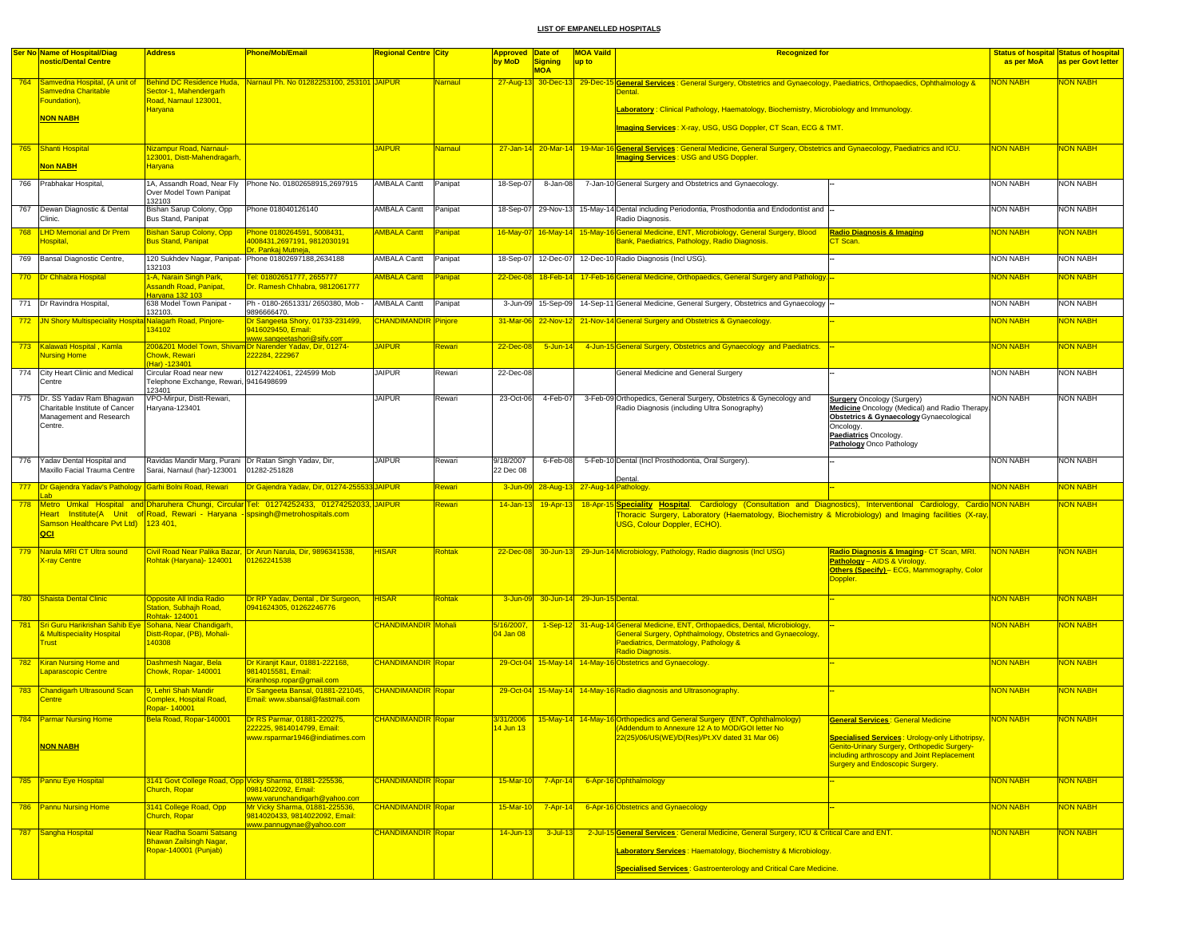|     | <b>Ser No Name of Hospital/Diag</b>                           | <b>Address</b>                                                                        | Phone/Mob/Email                                                                                   | <mark>Regional Centre City</mark> |                | Approved Date of       |                       | <b>MOA Vaild</b>               | <b>Recognized for</b>                                                                                                                                                                  |                                                                                                                                      |                 | <b>Status of hospital Status of hospital</b> |
|-----|---------------------------------------------------------------|---------------------------------------------------------------------------------------|---------------------------------------------------------------------------------------------------|-----------------------------------|----------------|------------------------|-----------------------|--------------------------------|----------------------------------------------------------------------------------------------------------------------------------------------------------------------------------------|--------------------------------------------------------------------------------------------------------------------------------------|-----------------|----------------------------------------------|
|     | nostic/Dental Centre                                          |                                                                                       |                                                                                                   |                                   |                | by MoD                 | Signing<br><b>MOA</b> | up to                          |                                                                                                                                                                                        |                                                                                                                                      | as per MoA      | as per Govt letter                           |
| 764 | Samvedna Hospital, (A unit of<br>Samvedna Charitable          | Sector-1, Mahendergarh                                                                | Behind DC Residence Huda, Narnaul Ph. No 01282253100, 253101 JAIPUR                               |                                   | Namaul         |                        |                       |                                | 27-Aug-13 30-Dec-13 29-Dec-15 General Services: General Surgery, Obstetrics and Gynaecology, Paediatrics, Orthopaedics, Ophthalmology &                                                |                                                                                                                                      | <u>NON NABH</u> | <b>NON NABH</b>                              |
|     | Foundation),                                                  | Road, Narnaul 123001,<br><b>Haryana</b>                                               |                                                                                                   |                                   |                |                        |                       |                                | Laboratory : Clinical Pathology, Haematology, Biochemistry, Microbiology and Immunology.                                                                                               |                                                                                                                                      |                 |                                              |
|     | <b>NON NABH</b>                                               |                                                                                       |                                                                                                   |                                   |                |                        |                       |                                | Imaging Services: X-ray, USG, USG Doppler, CT Scan, ECG & TMT.                                                                                                                         |                                                                                                                                      |                 |                                              |
|     | 765 Shanti Hospital                                           | Nizampur Road, Narnaul-<br>123001, Distt-Mahendragarh                                 |                                                                                                   | <b>JAIPUR</b>                     | <b>Namaul</b>  |                        |                       |                                | 27-Jan-14 20-Mar-14 19-Mar-16 General Services: General Medicine, General Surgery, Obstetrics and Gynaecology, Paediatrics and ICU.<br><b>Imaging Services: USG and USG Doppler.</b>   |                                                                                                                                      | <b>NON NABH</b> | <b>NON NABH</b>                              |
|     | <b>Non NABH</b>                                               | <b>Haryana</b>                                                                        |                                                                                                   |                                   |                |                        |                       |                                |                                                                                                                                                                                        |                                                                                                                                      |                 |                                              |
| 766 | Prabhakar Hospital,                                           | 1A, Assandh Road, Near Fly<br>Over Model Town Panipat<br>132103                       | Phone No. 01802658915,2697915                                                                     | AMBALA Cantt                      | Panipat        | 18-Sep-07              | 8-Jan-08              |                                | 7-Jan-10 General Surgery and Obstetrics and Gynaecology.                                                                                                                               |                                                                                                                                      | <b>NON NABH</b> | <b>NON NABH</b>                              |
| 767 | Dewan Diagnostic & Dental<br>Clinic.                          | Bishan Sarup Colony, Opp<br>Bus Stand, Panipat                                        | Phone 018040126140                                                                                | <b>AMBALA Cantt</b>               | Panipat        | 18-Sep-07              |                       |                                | 29-Nov-13 15-May-14 Dental including Periodontia, Prosthodontia and Endodontist and<br>Radio Diagnosis.                                                                                |                                                                                                                                      | <b>NON NABH</b> | <b>NON NABH</b>                              |
| 768 | <b>LHD Memorial and Dr Prem</b><br><del>l</del> ospital,      | <b>Bishan Sarup Colony, Opp</b><br><b>Bus Stand, Panipat</b>                          | Phone 0180264591, 5008431,<br>4008431,2697191, 9812030191                                         | <b>AMBALA Cantt</b>               | <b>Panipat</b> | 16-May-07              | $16$ -May-14          |                                | 15-May-16 General Medicine, ENT, Microbiology, General Surgery, Blood<br>Bank, Paediatrics, Pathology, Radio Diagnosis.                                                                | <b>Radio Diagnosis &amp; Imaging</b><br>CT Scan.                                                                                     | <b>NON NABH</b> | <mark>NON NABH</mark>                        |
| 769 | Bansal Diagnostic Centre,                                     | 132103                                                                                | Dr. Pankaj Mutneja,<br>120 Sukhdev Nagar, Panipat- Phone 01802697188,2634188                      | <b>AMBALA Cantt</b>               | Panipat        | 18-Sep-07              | 12-Dec-07             |                                | 12-Dec-10 Radio Diagnosis (Incl USG).                                                                                                                                                  |                                                                                                                                      | <b>NON NABH</b> | <b>NON NABH</b>                              |
|     | 770   Dr Chhabra Hospital                                     | 1-A, Narain Singh Park,<br>Assandh Road, Panipat                                      | Fel: 01802651777, 2655777<br>Dr. Ramesh Chhabra, 9812061777                                       | <b>AMBALA Cantt</b>               | Panipat        | 22-Dec-08              |                       |                                | 18-Feb-14 17-Feb-16 General Medicine, Orthopaedics, General Surgery and Pathology.                                                                                                     |                                                                                                                                      | <b>NON NABH</b> | <mark>NON NABH</mark>                        |
|     | 771 Dr Ravindra Hospital,                                     | Haryana 132 103<br>638 Model Town Panipat -                                           | Ph - 0180-2651331/2650380, Mob -                                                                  | AMBALA Cantt                      | Panipat        | 3-Jun-09               | 15-Sep-09             |                                | 14-Sep-11 General Medicine, General Surgery, Obstetrics and Gynaecology                                                                                                                |                                                                                                                                      | <b>NON NABH</b> | <b>NON NABH</b>                              |
|     | 772 JN Shory Multispeciality Hospital Nalagarh Road, Pinjore- | 132103.<br>134102                                                                     | 9896666470<br>Dr Sangeeta Shory, 01733-231499,<br>9416029450, Email:                              | <b>CHANDIMANDIR</b>               | <b>Pinjore</b> | 31-Mar-06              |                       |                                | 22-Nov-12 21-Nov-14 General Surgery and Obstetrics & Gynaecology.                                                                                                                      |                                                                                                                                      | <b>NON NABH</b> | <mark>NON NABH</mark>                        |
|     | 773 Kalawati Hospital, Kamla                                  |                                                                                       | www.sangeetashori@sify.com<br>200&201 Model Town, Shivam Dr Narender Yadav, Dir, 01274-           | <b>JAIPUR</b>                     | Rewari         | 22-Dec-08              | $5 - Jun-14$          |                                | 4-Jun-15 General Surgery, Obstetrics and Gynaecology and Paediatrics.                                                                                                                  |                                                                                                                                      | <b>NON NABH</b> | <mark>NON NABH</mark>                        |
| 774 | <b>Nursing Home</b><br>City Heart Clinic and Medical          | <b>Chowk, Rewari</b><br>Har) -123401<br>Circular Road near new                        | 222284, 222967<br>01274224061, 224599 Mob                                                         | <b>JAIPUR</b>                     | Rewari         | 22-Dec-08              |                       |                                | General Medicine and General Surgery                                                                                                                                                   |                                                                                                                                      | <b>NON NABH</b> | <b>NON NABH</b>                              |
|     | Centre                                                        | Telephone Exchange, Rewari,<br>123401                                                 | 9416498699                                                                                        |                                   |                |                        |                       |                                |                                                                                                                                                                                        |                                                                                                                                      |                 |                                              |
| 775 | Dr. SS Yaday Ram Bhagwan<br>Charitable Institute of Cancer    | VPO-Mirpur, Distt-Rewari,<br>Haryana-123401                                           |                                                                                                   | <b>JAIPUR</b>                     | Rewari         | 23-Oct-06              | 4-Feb-07              |                                | 3-Feb-09 Orthopedics, General Surgery, Obstetrics & Gynecology and<br>Radio Diagnosis (including Ultra Sonography)                                                                     | <b>Surgery</b> Oncology (Surgery)<br>Medicine Oncology (Medical) and Radio Therapy.                                                  | <b>NON NABH</b> | <b>NON NABH</b>                              |
|     | Management and Research<br>Centre.                            |                                                                                       |                                                                                                   |                                   |                |                        |                       |                                |                                                                                                                                                                                        | Obstetrics & Gynaecology Gynaecological<br>Oncology.                                                                                 |                 |                                              |
|     |                                                               |                                                                                       |                                                                                                   |                                   |                |                        |                       |                                |                                                                                                                                                                                        | Paediatrics Oncology.<br>Pathology Onco Pathology                                                                                    |                 |                                              |
| 776 | Yadav Dental Hospital and<br>Maxillo Facial Trauma Centre     | Ravidas Mandir Marg, Purani Dr Ratan Singh Yadav, Dir,<br>Sarai, Narnaul (har)-123001 | 01282-251828                                                                                      | <b>JAIPUR</b>                     | Rewari         | 9/18/2007<br>22 Dec 08 | 6-Feb-08              |                                | 5-Feb-10 Dental (Incl Prosthodontia, Oral Surgery).<br>Dental                                                                                                                          |                                                                                                                                      | <b>NON NABH</b> | <b>NON NABH</b>                              |
|     | 777 Dr Gajendra Yadav's Pathology Garhi Bolni Road, Rewari    |                                                                                       | Dr Gajendra Yadav, Dir, 01274-255533 JAIPUR                                                       |                                   | Rewari         | 3-Jun-09               |                       | 28-Aug-13 27-Aug-14 Pathology. |                                                                                                                                                                                        |                                                                                                                                      | <b>NON NABH</b> | <mark>NON NABH</mark>                        |
| 778 |                                                               |                                                                                       | Metro Umkal Hospital and Dharuhera Chungi, Circular Tel: 01274252433, 01274252033, JAIPUR         |                                   | Rewari         | 14-Jan-13              | 19-Apr-13             |                                | 18-Apr-15 Speciality Hospital. Cardiology (Consultation and Diagnostics), Interventional Cardiology, Cardio NON NABH                                                                   |                                                                                                                                      |                 | <mark>NON NABH</mark>                        |
|     | Samson Healthcare Pvt Ltd) 123 401,<br>QCI                    |                                                                                       | Heart Institute(A Unit of Road, Rewari - Haryana - spsingh@metrohospitals.com                     |                                   |                |                        |                       |                                | Thoracic Surgery, Laboratory (Haematology, Biochemistry & Microbiology) and Imaging facilities (X-ray<br>USG, Colour Doppler, ECHO).                                                   |                                                                                                                                      |                 |                                              |
| 779 | Narula MRI CT Ultra sound<br><b>K-ray Centre</b>              | Rohtak (Haryana)- 124001                                                              | Civil Road Near Palika Bazar, Dr Arun Narula, Dir, 9896341538,<br>01262241538                     | <b>HISAR</b>                      | <b>Rohtak</b>  |                        |                       |                                | 22-Dec-08 30-Jun-13 29-Jun-14 Microbiology, Pathology, Radio diagnosis (Incl USG)                                                                                                      | Radio Diagnosis & Imaging- CT Scan, MRI.<br>Pathology - AIDS & Virology.                                                             | NON NABH        | <b>NON NABH</b>                              |
|     |                                                               |                                                                                       |                                                                                                   |                                   |                |                        |                       |                                |                                                                                                                                                                                        | Others (Specify) - ECG, Mammography, Color<br>Doppler.                                                                               |                 |                                              |
| 780 | Shaista Dental Clinic                                         | Opposite All India Radio<br>Station, Subhajh Road,                                    | Dr RP Yadav, Dental, Dir Surgeon,<br>0941624305, 01262246776                                      | <b>HISAR</b>                      | Rohtak         | 3-Jun-09               |                       | 30-Jun-14 29-Jun-15 Dental.    |                                                                                                                                                                                        |                                                                                                                                      | <b>NON NABH</b> | <mark>NON NABH</mark>                        |
| 781 | Sri Guru Harikrishan Sahib Eye Sohana, Near Chandigarh,       | <b>chtak-124001</b>                                                                   |                                                                                                   | <b>CHANDIMANDIR</b> Mohali        |                | 5/16/2007,             |                       |                                | 1-Sep-12 31-Aug-14 General Medicine, ENT, Orthopaedics, Dental, Microbiology,                                                                                                          |                                                                                                                                      | <b>NON NABH</b> | NON NABH                                     |
|     | <b>Multispeciality Hospital</b><br><b>Frust</b>               | Distt-Ropar, (PB), Mohali-<br>140308                                                  |                                                                                                   |                                   |                | 04 Jan 08              |                       |                                | General Surgery, Ophthalmology, Obstetrics and Gynaecology<br>Paediatrics, Dermatology, Pathology &<br>Radio Diagnosis.                                                                |                                                                                                                                      |                 |                                              |
|     | 782 Kiran Nursing Home and<br>Laparascopic Centre             | Dashmesh Nagar, Bela<br>Chowk, Ropar- 140001                                          | Dr Kiraniit Kaur, 01881-222168.<br>9814015581, Email:                                             | <b>CHANDIMANDIR Ropar</b>         |                | 29-Oct-04              |                       |                                | 15-May-14 14-May-16 Obstetrics and Gynaecology.                                                                                                                                        |                                                                                                                                      | <b>NON NABH</b> | NON NABH                                     |
|     | 783 Chandigarh Ultrasound Scan                                | 9. Lehri Shah Mandir                                                                  | Kiranhosp.ropar@gmail.com<br>Dr Sangeeta Bansal, 01881-221045,                                    | <b>CHANDIMANDIR Ropar</b>         |                |                        |                       |                                | 29-Oct-04 15-May-14 14-May-16 Radio diagnosis and Ultrasonography                                                                                                                      |                                                                                                                                      | <b>NON NABH</b> | <mark>NON NABH</mark>                        |
|     | <b>Centre</b>                                                 | Complex, Hospital Road,<br>Ropar-140001                                               | Email: www.sbansal@fastmail.com                                                                   |                                   |                |                        |                       |                                |                                                                                                                                                                                        |                                                                                                                                      |                 |                                              |
|     | 784 Parmar Nursing Home                                       | Bela Road, Ropar-140001                                                               | Dr RS Parmar, 01881-220275,<br>222225, 9814014799, Email:<br>www.rsparmar1946@indiatimes.com      | CHANDIMANDIR Ropar                |                | 14 Jun 13              |                       |                                | 3/31/2006 15-May-14 14-May-16 Orthopedics and General Surgery (ENT, Ophthalmology)<br>Addendum to Annexure 12 A to MOD/GOI letter No<br>22(25)/06/US(WE)/D(Res)/Pt.XV dated 31 Mar 06) | <b>General Services: General Medicine</b><br><b>Specialised Services: Urology-only Lithotripsy,</b>                                  | <b>NON NABH</b> | NON NABH                                     |
|     | <b>NON NABH</b>                                               |                                                                                       |                                                                                                   |                                   |                |                        |                       |                                |                                                                                                                                                                                        | <b>Genito-Urinary Surgery, Orthopedic Surgery-</b><br>including arthroscopy and Joint Replacement<br>Surgery and Endoscopic Surgery. |                 |                                              |
|     | 785 Pannu Eye Hospital                                        | Church, Ropar                                                                         | 3141 Govt College Road, Opp Vicky Sharma, 01881-225536,<br>09814022092, Email:                    | <b>CHANDIMANDIR Ropar</b>         |                | 15-Mar-10              | $7 - Apr - 14$        |                                | 6-Apr-16 Ophthalmology                                                                                                                                                                 |                                                                                                                                      | <b>NON NABH</b> | <b>NON NABH</b>                              |
|     | 786 Pannu Nursing Home                                        | 3141 College Road, Opp<br>Church, Ropar                                               | www.varunchandigarh@yahoo.com<br>Mr Vicky Sharma, 01881-225536,<br>9814020433, 9814022092, Email: | <b>CHANDIMANDIR Ropar</b>         |                | 15-Mar-10              | $7 - Apr - 14$        |                                | 6-Apr-16 Obstetrics and Gynaecology                                                                                                                                                    |                                                                                                                                      | NON NABH        | <b>NON NABH</b>                              |
|     | 787 Sangha Hospital                                           | Near Radha Soami Satsang                                                              | www.pannugynae@yahoo.com                                                                          | <b>CHANDIMANDIR</b> Ropar         |                | $14$ -Jun-13           | $3$ -Jul-13           |                                | 2-Jul-15 General Services : General Medicine, General Surgery, ICU & Critical Care and ENT.                                                                                            |                                                                                                                                      | <b>NON NABH</b> | <b>NON NABH</b>                              |
|     |                                                               | Bhawan Zailsingh Nagar,<br>Ropar-140001 (Punjab)                                      |                                                                                                   |                                   |                |                        |                       |                                | Laboratory Services: Haematology, Biochemistry & Microbiology.                                                                                                                         |                                                                                                                                      |                 |                                              |
|     |                                                               |                                                                                       |                                                                                                   |                                   |                |                        |                       |                                | <b>Specialised Services: Gastroenterology and Critical Care Medicine.</b>                                                                                                              |                                                                                                                                      |                 |                                              |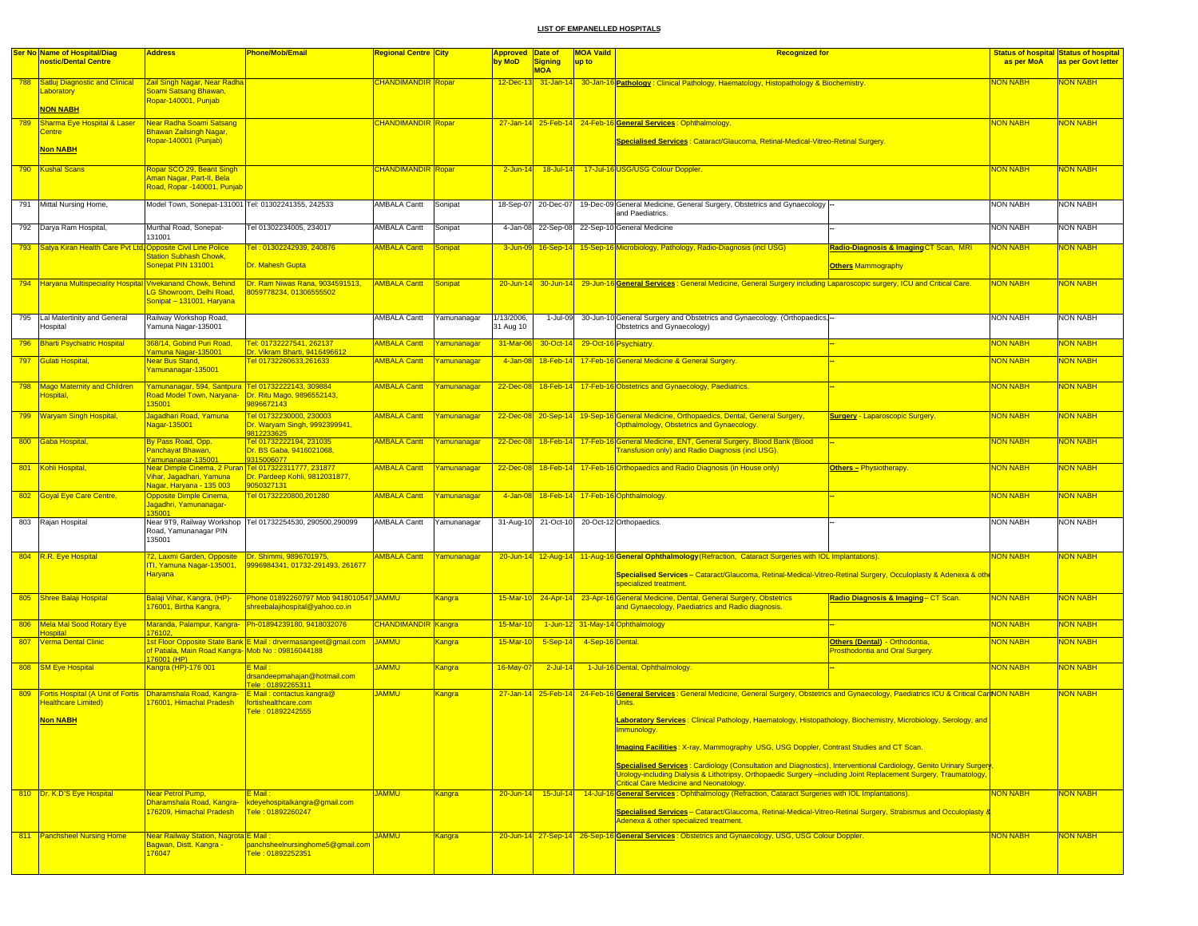|     | <b>Ser No Name of Hospital/Diag</b>                                                                              | <b>Address</b>                                                                                               | <b>Phone/Mob/Email</b>                                                    | Regional Centre City            |                    | Approved Date of        |                       | <b>MOA Vaild</b>                | <b>Recognized for</b>                                                                                                                                                                                                                                                                      |                                                                          |                 | <b>Status of hospital Status of hospital</b> |
|-----|------------------------------------------------------------------------------------------------------------------|--------------------------------------------------------------------------------------------------------------|---------------------------------------------------------------------------|---------------------------------|--------------------|-------------------------|-----------------------|---------------------------------|--------------------------------------------------------------------------------------------------------------------------------------------------------------------------------------------------------------------------------------------------------------------------------------------|--------------------------------------------------------------------------|-----------------|----------------------------------------------|
|     | nostic/Dental Centre                                                                                             |                                                                                                              |                                                                           |                                 |                    | by MoD                  | Signing<br><b>MOA</b> | up to                           |                                                                                                                                                                                                                                                                                            |                                                                          | as per MoA      | as per Govt letter                           |
|     | 788 Satluj Diagnostic and Clinical<br>Laboratory                                                                 | Zail Singh Nagar, Near Radha<br>Soami Satsang Bhawan,                                                        |                                                                           | <mark>CHANDIMANDIR Ropar</mark> |                    |                         |                       |                                 | 12-Dec-13 31-Jan-14 30-Jan-16 Pathology : Clinical Pathology, Haematology, Histopathology & Biochemistry                                                                                                                                                                                   |                                                                          | <u>NON NABH</u> | NON NABH                                     |
|     | <b>NON NABH</b>                                                                                                  | Ropar-140001, Punjab                                                                                         |                                                                           |                                 |                    |                         |                       |                                 |                                                                                                                                                                                                                                                                                            |                                                                          |                 |                                              |
| 789 | Sharma Eye Hospital & Laser                                                                                      | Near Radha Soami Satsang                                                                                     |                                                                           | <b>CHANDIMANDIR Ropar</b>       |                    |                         |                       |                                 | 27-Jan-14 25-Feb-14 24-Feb-16 General Services : Ophthalmology.                                                                                                                                                                                                                            |                                                                          | <b>NON NABH</b> | NON NABH                                     |
|     | Centre<br><b>Non NABH</b>                                                                                        | Bhawan Zailsingh Nagar,<br>Ropar-140001 (Punjab)                                                             |                                                                           |                                 |                    |                         |                       |                                 | Specialised Services : Cataract/Glaucoma, Retinal-Medical-Vitreo-Retinal Surgery.                                                                                                                                                                                                          |                                                                          |                 |                                              |
|     | 790 Kushal Scans                                                                                                 | Ropar SCO 29, Beant Singh<br>Aman Nagar, Part-II, Bela<br>Road, Ropar -140001, Punjab                        |                                                                           | <b>CHANDIMANDIR Ropar</b>       |                    | $2$ -Jun-14             |                       |                                 | 18-Jul-14 17-Jul-16 USG/USG Colour Doppler                                                                                                                                                                                                                                                 |                                                                          | <b>NON NABH</b> | <mark>NON NABH</mark>                        |
| 791 | Mittal Nursing Home,                                                                                             | Model Town, Sonepat-131001 Tel: 01302241355, 242533                                                          |                                                                           | AMBALA Cantt                    | Sonipat            | 18-Sep-07               | 20-Dec-07             |                                 | 19-Dec-09 General Medicine, General Surgery, Obstetrics and Gynaecology<br>and Paediatrics.                                                                                                                                                                                                |                                                                          | <b>NON NABH</b> | <b>NON NABH</b>                              |
|     | 792 Darya Ram Hospital,                                                                                          | Murthal Road, Sonepat-<br>131001                                                                             | Tel 01302234005, 234017                                                   | AMBALA Cantt                    | Sonipat            |                         | 4-Jan-08 22-Sep-08    |                                 | 22-Sep-10 General Medicine                                                                                                                                                                                                                                                                 |                                                                          | <b>NON NABH</b> | <b>NON NABH</b>                              |
|     | 793 Satya Kiran Health Care Pvt Ltd, Opposite Civil Line Police                                                  |                                                                                                              | <u> Fel : 01302242939, 240876</u>                                         | <b>AMBALA Cantt</b>             | <b>Sonipat</b>     |                         |                       |                                 | 3-Jun-09 16-Sep-14 15-Sep-16 Microbiology, Pathology, Radio-Diagnosis (incl USG)                                                                                                                                                                                                           | Radio-Diagnosis & Imaging CT Scan, MRI                                   | <b>NON NABH</b> | <mark>NON NABH</mark>                        |
|     |                                                                                                                  | <b>Station Subhash Chowk,</b><br>Sonepat PIN 131001                                                          | Dr. Mahesh Gupta                                                          |                                 |                    |                         |                       |                                 |                                                                                                                                                                                                                                                                                            | <b>Others Mammography</b>                                                |                 |                                              |
|     | 794 Haryana Multispeciality Hospital Vivekanand Chowk, Behind                                                    | LG Showroom, Delhi Road,<br>Sonipat - 131001, Haryana                                                        | Dr. Ram Niwas Rana, 9034591513,<br>8059778234, 01306555502                | <b>AMBALA Cantt</b>             | Sonipat            |                         |                       |                                 | 29-Jun-14 30-Jun-14 29-Jun-16 General Services: General Medicine, General Surgery including Laparoscopic surgery, ICU and Critical Care.                                                                                                                                                   |                                                                          | <b>NON NABH</b> | <mark>NON NABH</mark>                        |
|     | 795 Lal Matertinity and General<br><b>Hospital</b>                                                               | Railway Workshop Road,<br>Yamuna Nagar-135001                                                                |                                                                           | <b>AMBALA Cantt</b>             | Yamunanagar        | 1/13/2006,<br>31 Aug 10 | 1-Jul-09              |                                 | 30-Jun-10 General Surgery and Obstetrics and Gynaecology. (Orthopaedics,<br>Obstetrics and Gynaecology)                                                                                                                                                                                    |                                                                          | <b>NON NABH</b> | <b>NON NABH</b>                              |
|     | 796 Bharti Psychiatric Hospital                                                                                  | 368/14, Gobind Puri Road,<br>Yamuna Nagar-135001                                                             | Tel: 01732227541, 262137<br>Dr. Vikram Bharti, 9416496612                 | <b>AMBALA Cantt</b>             | Yamunanagar        | 31-Mar-06               |                       | 30-Oct-14 29-Oct-16 Psychiatry. |                                                                                                                                                                                                                                                                                            |                                                                          | <b>NON NABH</b> | <b>NON NABH</b>                              |
|     | 797 Gulati Hospital,                                                                                             | <b>Near Bus Stand,</b><br>Yamunanagar-135001                                                                 | Tel 01732260633,261633                                                    | <b>AMBALA Cantt</b>             | Yamunanagar        | 4-Jan-08                |                       |                                 | 18-Feb-14 17-Feb-16 General Medicine & General Surgery.                                                                                                                                                                                                                                    |                                                                          | <b>NON NABH</b> | NON NABH                                     |
|     | 798 Mago Maternity and Children<br>Hospital,                                                                     | Yamunanagar, 594, Santpura Tel 01732222143, 309884<br>Road Model Town, Naryana-<br>135001                    | Dr. Ritu Mago, 9896552143,<br>9896672143                                  | <b>AMBALA Cantt</b>             | <u>Yamunanagar</u> | $22$ -Dec-08            |                       |                                 | 18-Feb-14 17-Feb-16 Obstetrics and Gynaecology, Paediatrics.                                                                                                                                                                                                                               |                                                                          | <b>NON NABH</b> | <mark>NON NABH</mark>                        |
|     | 799 Waryam Singh Hospital,                                                                                       | Jagadhari Road, Yamuna<br>Nagar-135001                                                                       | Tel 01732230000, 230003<br>Dr. Waryam Singh, 9992399941,<br>9812233625    | <b>AMBALA Cantt</b>             | Yamunanagar        |                         |                       |                                 | 22-Dec-08 20-Sep-14 19-Sep-16 General Medicine, Orthopaedics, Dental, General Surgery,<br>Opthalmology, Obstetrics and Gynaecology.                                                                                                                                                        | <b>Surgery - Laparoscopic Surgery.</b>                                   | <b>NON NABH</b> | <b>NON NABH</b>                              |
|     | 800 Gaba Hospital                                                                                                | By Pass Road, Opp.<br>Panchayat Bhawan,<br>Yamunanagar-135001                                                | Tel 01732222194, 231035<br>Dr. BS Gaba, 9416021068,<br>9315006077         | <b>AMBALA Cantt</b>             | Yamunanagar        |                         |                       |                                 | 22-Dec-08 18-Feb-14 17-Feb-16 General Medicine, ENT, General Surgery, Blood Bank (Blood<br>Transfusion only) and Radio Diagnosis (incl USG).                                                                                                                                               |                                                                          | <b>NON NABH</b> | <mark>NON NABH</mark>                        |
|     | 801 Kohli Hospital,                                                                                              | Near Dimple Cinema, 2 Puran Tel 017322311777, 231877<br>vihar, Jagadhari, Yamuna<br>Nagar, Haryana - 135 003 | Dr. Pardeep Kohli, 9812031877,<br>9050327131                              | <b>AMBALA Cantt</b>             | Yamunanagar        | 22-Dec-08               |                       |                                 | 18-Feb-14 17-Feb-16 Orthopaedics and Radio Diagnosis (in House only)                                                                                                                                                                                                                       | <b>Others - Physiotherapy</b>                                            | <b>NON NABH</b> | <b>NON NABH</b>                              |
|     | 802 Goyal Eye Care Centre,                                                                                       | <b>Opposite Dimple Cinema,</b><br>Jagadhri, Yamunanagar-<br>35001                                            | el 01732220800,201280                                                     | <b>AMBALA Cantt</b>             | Yamunanagar        |                         |                       |                                 | 4-Jan-08 18-Feb-14 17-Feb-16 Ophthalmology                                                                                                                                                                                                                                                 |                                                                          | <b>NON NABH</b> | NON NABH                                     |
|     | 803 Rajan Hospital                                                                                               | Near 9T9, Railway Workshop<br>Road, Yamunanagar PIN<br>135001                                                | Tel 01732254530, 290500,290099                                            | AMBALA Cantt                    | Yamunanagar        |                         | 31-Aug-10 21-Oct-10   |                                 | 20-Oct-12 Orthopaedics                                                                                                                                                                                                                                                                     |                                                                          | <b>NON NABH</b> | <b>NON NABH</b>                              |
|     |                                                                                                                  |                                                                                                              |                                                                           | <b>AMBALA Cantt</b>             |                    |                         |                       |                                 |                                                                                                                                                                                                                                                                                            |                                                                          | <b>NON NABH</b> | <mark>NON NABH</mark>                        |
|     | 804 R.R. Eye Hospital                                                                                            | 72, Laxmi Garden, Opposite<br>ITI, Yamuna Nagar-135001,<br><b>Haryana</b>                                    | Dr. Shimmi, 9896701975,<br>9996984341, 01732-291493, 261677               |                                 | Yamunanagar        |                         |                       |                                 | 20-Jun-14 12-Aug-14 11-Aug-16 General Ophthalmology (Refraction, Cataract Surgeries with IOL Implantations).<br>Specialised Services - Cataract/Glaucoma, Retinal-Medical-Vitreo-Retinal Surgery, Occuloplasty & Adenexa & othe<br>specialized treatment                                   |                                                                          |                 |                                              |
|     | 805 Shree Balaji Hospital                                                                                        | Balaji Vihar, Kangra, (HP)-<br>76001, Birtha Kangra                                                          | Phone 01892260797 Mob 9418010547 JAMMU<br>shreebalajihospital@yahoo.co.ir |                                 | Kangra             | 15-Mar-10               | $24 - Apr - 14$       |                                 | 23-Apr-16 General Medicine, Dental, General Surgery, Obstetrics<br>and Gynaecology, Paediatrics and Radio diagnosis.                                                                                                                                                                       | Radio Diagnosis & Imaging-CT Scan.                                       | <b>NON NABH</b> | NON NABH                                     |
| 806 | Mela Mal Sood Rotary Eye<br><b>lospital</b>                                                                      | 76102                                                                                                        | Maranda, Palampur, Kangra- Ph-01894239180, 9418032076                     | <b>CHANDIMANDIR Kangra</b>      |                    | 15-Mar-10               |                       |                                 | 1-Jun-12 31-May-14 Ophthalmology                                                                                                                                                                                                                                                           |                                                                          | <b>NON NABH</b> | <mark>NON NABH</mark>                        |
|     | 807 Verma Dental Clinic                                                                                          | of Patiala, Main Road Kangra- Mob No: 09816044188                                                            | Ist Floor Opposite State Bank E Mail : drvermasangeet@gmail.com JAMMU     |                                 | Kangra             | 15-Mar-10               | $5-Sep-14$            | 4-Sep-16 Dental.                |                                                                                                                                                                                                                                                                                            | Others (Dental) - Orthodontia,<br><b>Prosthodontia and Oral Surgery.</b> | <b>NON NABH</b> | <b>NON NABH</b>                              |
|     | 808 SM Eye Hospital                                                                                              | 176001 (HP)<br>Kangra (HP)-176 001                                                                           | E Mail:<br>drsandeepmahajan@hotmail.com<br>ele: 01892265311               | <b>JAMMU</b>                    | <b>Kangra</b>      | 16-May-07               | $2$ -Jul-14           |                                 | 1-Jul-16 Dental, Ophthalmology.                                                                                                                                                                                                                                                            |                                                                          | <b>NON NABH</b> | <b>NON NABH</b>                              |
| 809 | Fortis Hospital (A Unit of Fortis   Dharamshala Road, Kangra-   E Mail: contactus.kangra@<br>Healthcare Limited) | 76001. Himachal Pradesh                                                                                      | fortishealthcare.com                                                      | <b>JAMMU</b>                    | Kangra             |                         |                       |                                 | 27-Jan-14 25-Feb-14 24-Feb-16 General Services: General Medicine, General Surgery, Obstetrics and Gynaecology, Paediatrics ICU & Critical CareNON NABH<br>Units                                                                                                                            |                                                                          |                 | <b>NON NABH</b>                              |
|     | <b>Non NABH</b>                                                                                                  |                                                                                                              | Fele: 01892242555                                                         |                                 |                    |                         |                       |                                 | Laboratory Services : Clinical Pathology, Haematology, Histopathology, Biochemistry, Microbiology, Serology, and<br>Immunology.                                                                                                                                                            |                                                                          |                 |                                              |
|     |                                                                                                                  |                                                                                                              |                                                                           |                                 |                    |                         |                       |                                 | Imaging Facilities: X-ray, Mammography USG, USG Doppler, Contrast Studies and CT Scan.                                                                                                                                                                                                     |                                                                          |                 |                                              |
|     |                                                                                                                  |                                                                                                              |                                                                           |                                 |                    |                         |                       |                                 | Specialised Services : Cardiology (Consultation and Diagnostics), Interventional Cardiology, Genito Urinary Surgery<br>Urology-including Dialysis & Lithotripsy, Orthopaedic Surgery -including Joint Replacement Surgery, Traumatology,<br><b>Critical Care Medicine and Neonatology.</b> |                                                                          |                 |                                              |
|     | 810 Dr. K.D'S Eye Hospital                                                                                       | Near Petrol Pump,                                                                                            | $E$ Mail:                                                                 | <b>JAMMU</b>                    | Kangra             |                         |                       |                                 | 20-Jun-14 15-Jul-14 14-Jul-16 General Services: Ophthalmology (Refraction, Cataract Surgeries with IOL Implantations).                                                                                                                                                                     |                                                                          | <b>NON NABH</b> | <b>NON NABH</b>                              |
|     |                                                                                                                  | Dharamshala Road, Kangra-<br>176209, Himachal Pradesh                                                        | kdeyehospitalkangra@gmail.com<br>Tele: 01892260247                        |                                 |                    |                         |                       |                                 | Specialised Services – Cataract/Glaucoma, Retinal-Medical-Vitreo-Retinal Surgery, Strabismus and Occuloplasty &<br>Adenexa & other specialized treatment.                                                                                                                                  |                                                                          |                 |                                              |
|     | 811 Panchsheel Nursing Home                                                                                      | Near Railway Station, Nagrota E Mail :<br><mark>Bagwan, Distt. Kangra -</mark><br>176047                     | panchsheelnursinghome5@gmail.com<br>Fele: 01892252351                     | <b>UMMAL</b>                    | Kangra             |                         |                       |                                 | 20-Jun-14 27-Sep-14 26-Sep-16 General Services: Obstetrics and Gynaecology, USG, USG Colour Doppler.                                                                                                                                                                                       |                                                                          | <b>NON NABH</b> | <b>NON NABH</b>                              |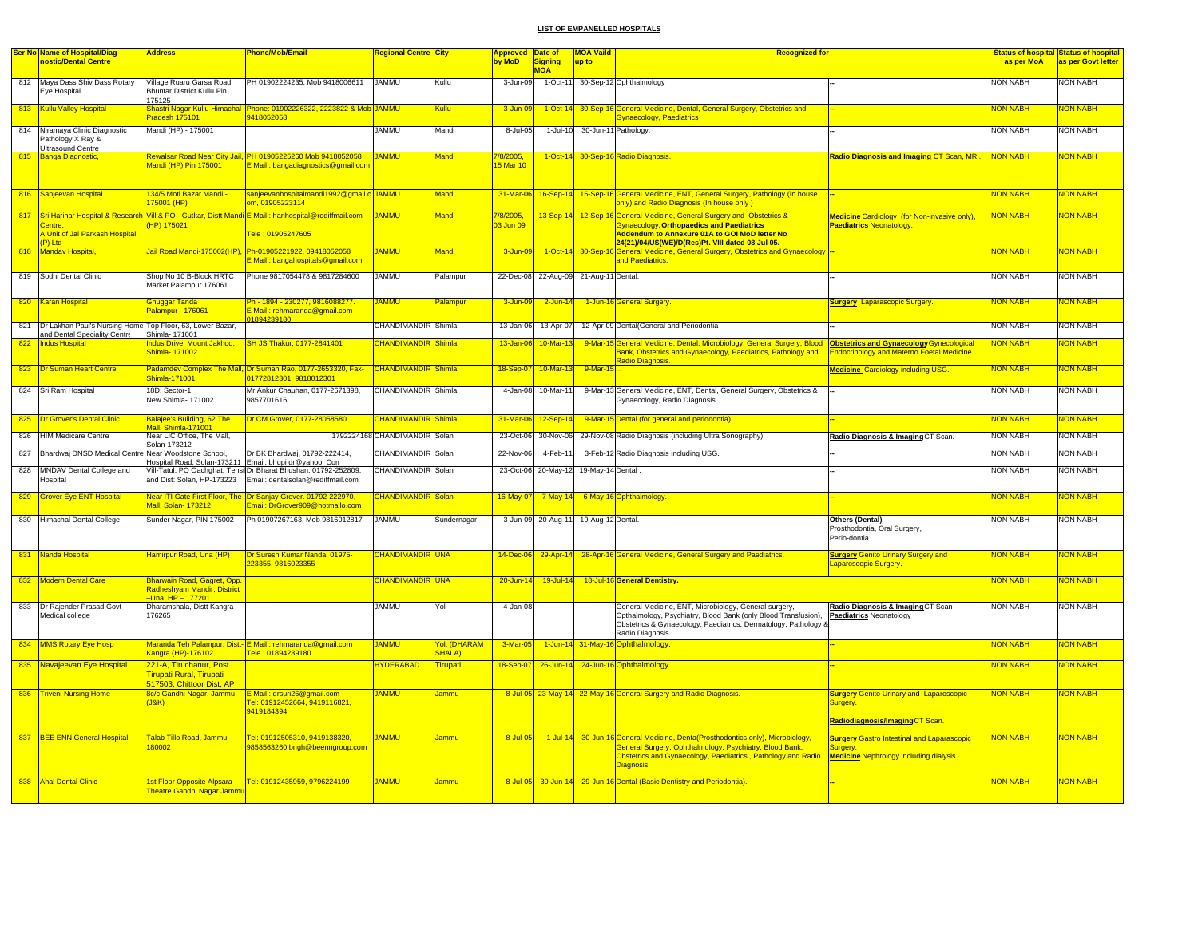|     | Ser No Name of Hospital/Diag                                             | <b>Address</b>                                                                 | Phone/Mob/Email                                                                                                                                                | <mark>Regional Centre City</mark> |                                            | <b>Approved</b>        | Date of                               | <b>MOA Vaild</b>              | <b>Recognized for</b>                                                                                                                                                                                                           |                                                                                        |                 | <b>Status of hospital Status of hospital</b> |
|-----|--------------------------------------------------------------------------|--------------------------------------------------------------------------------|----------------------------------------------------------------------------------------------------------------------------------------------------------------|-----------------------------------|--------------------------------------------|------------------------|---------------------------------------|-------------------------------|---------------------------------------------------------------------------------------------------------------------------------------------------------------------------------------------------------------------------------|----------------------------------------------------------------------------------------|-----------------|----------------------------------------------|
|     | nostic/Dental Centre                                                     |                                                                                |                                                                                                                                                                |                                   |                                            | by MoD                 | <b>Signing</b><br><b>MOA</b>          | up to                         |                                                                                                                                                                                                                                 |                                                                                        | as per MoA      | as per Govt letter                           |
|     | 812 Maya Dass Shiv Dass Rotary<br>Eye Hospital.                          | Village Ruaru Garsa Road<br><b>Bhuntar District Kullu Pin</b>                  | PH 01902224235, Mob 9418006611                                                                                                                                 | <b>JAMMU</b>                      | Kullu                                      | 3-Jun-09               |                                       |                               | 1-Oct-11 30-Sep-12 Ophthalmology                                                                                                                                                                                                |                                                                                        | NON NABH        | NON NABH                                     |
|     |                                                                          | 175125                                                                         |                                                                                                                                                                |                                   |                                            |                        |                                       |                               |                                                                                                                                                                                                                                 |                                                                                        |                 |                                              |
|     | 813 Kullu Valley Hospital                                                | Shastri Nagar Kullu Himachal<br>Pradesh 175101                                 | Phone: 01902226322, 2223822 & Mob JAMMU<br>9418052058                                                                                                          |                                   | Kullu                                      | $3 - Jun - 0$          |                                       |                               | 1-Oct-14 30-Sep-16 General Medicine, Dental, General Surgery, Obstetrics and<br><b>Gynaecology, Paediatrics</b>                                                                                                                 |                                                                                        | <b>NON NABH</b> | <mark>NON NABH</mark>                        |
|     | 814 Niramaya Clinic Diagnostic<br>Pathology X Ray &<br>Ultrasound Centre | Mandi (HP) - 175001                                                            |                                                                                                                                                                | <b>JAMMU</b>                      | Mandi                                      | 8-Jul-05               |                                       | 1-Jul-10 30-Jun-11 Pathology. |                                                                                                                                                                                                                                 |                                                                                        | <b>NON NABH</b> | <b>NON NABH</b>                              |
| 815 | <b>Banga Diagnostic</b>                                                  | Mandi (HP) Pin 175001                                                          | Rewalsar Road Near City Jail, PH 01905225260 Mob 9418052058<br>Mail: bangadiagnostics@gmail.com                                                                | <b>JAMMU</b>                      | Mandi                                      | /8/2005,<br>15 Mar 10  |                                       |                               | 1-Oct-14 30-Sep-16 Radio Diagnosis.                                                                                                                                                                                             | Radio Diagnosis and Imaging CT Scan, MRI.                                              | NON NABH        | <b>NON NABH</b>                              |
|     | 816 Sanjeevan Hospital                                                   | 134/5 Moti Bazar Mandi -<br>175001 (HP)                                        | sanjeevanhospitalmandi1992@gmail.c JAMMU<br>om, 01905223114                                                                                                    |                                   | Mandi                                      |                        |                                       |                               | 31-Mar-06 16-Sep-14 15-Sep-16 General Medicine, ENT, General Surgery, Pathology (In house<br>only) and Radio Diagnosis (In house only)                                                                                          |                                                                                        | <b>NON NABH</b> | <b>NON NABH</b>                              |
| 817 | Centre.<br>A Unit of Jai Parkash Hospital<br>P) Ltd                      | HP) 175021                                                                     | Sri Harihar Hospital & Research Vill & PO - Gutkar, Distt Mandi E Mail: harihospital@rediffmail.com<br>Tele: 01905247605                                       | <b>JAMMU</b>                      | Mandi                                      | 7/8/2005,<br>03 Jun 09 |                                       |                               | 13-Sep-14 12-Sep-16 General Medicine, General Surgery and Obstetrics &<br><b>Gynaecology, Orthopaedics and Paediatrics</b><br>Addendum to Annexure 01A to GOI MoD letter No<br>24(21)/04/US(WE)/D(Res)Pt. VIII dated 08 Jul 05. | <b>Medicine Cardiology (for Non-invasive only),</b><br><b>Paediatrics Neonatology</b>  | <b>NON NABH</b> | <b>NON NABH</b>                              |
| 818 | Mandav Hospital,                                                         | Jail Road Mandi-175002(HP),                                                    | Ph-01905221922, 09418052058<br>E Mail: bangahospitals@gmail.com                                                                                                | <b>JAMMU</b>                      | Mandi                                      | 3-Jun-09               |                                       |                               | 1-Oct-14 30-Sep-16 General Medicine, General Surgery, Obstetrics and Gynaecology<br>and Paediatrics.                                                                                                                            |                                                                                        | <b>NON NABH</b> | NON NABH                                     |
|     | 819 Sodhi Dental Clinic                                                  | Shop No 10 B-Block HRTC<br>Market Palampur 176061                              | Phone 9817054478 & 9817284600                                                                                                                                  | <b>JAMMU</b>                      | Palampur                                   |                        | 22-Dec-08 22-Aug-09 21-Aug-11 Dental. |                               |                                                                                                                                                                                                                                 |                                                                                        | <b>NON NABH</b> | <b>NON NABH</b>                              |
|     | 820 Karan Hospital                                                       | <b>Ghuggar Tanda</b><br>Palampur - 176061                                      | <mark>Ph - 1894 - 230277, 9816088277.</mark><br>E Mail : rehmaranda@gmail.com<br>1804230180                                                                    | <b>JAMMU</b>                      | Palampur                                   | 3-Jun-09               | $2$ -Jun-14                           |                               | 1-Jun-16 General Surgery                                                                                                                                                                                                        | <b>Surgery</b> Laparascopic Surgery.                                                   | <b>NON NABH</b> | <mark>NON NABH</mark>                        |
| 821 | Dr Lakhan Paul's Nursing Home Top Floor, 63, Lower Bazar,                |                                                                                |                                                                                                                                                                | CHANDIMANDIR Shimla               |                                            | 13-Jan-06              | 13-Apr-07                             |                               | 12-Apr-09 Dental(General and Periodontia                                                                                                                                                                                        |                                                                                        | <b>NON NABH</b> | <b>NON NABH</b>                              |
| 822 | and Dental Speciality Centre<br><b>Indus Hospita</b>                     | Shimla-171001<br>ndus Drive, Mount Jakhoo,<br>Shimla- 171002                   | SH JS Thakur, 0177-2841401                                                                                                                                     | <b>CHANDIMANDIR</b>               | Shimla                                     | $13 - Jan-06$          | $10$ -Mar-13                          |                               | 9-Mar-15 General Medicine, Dental, Microbiology, General Surgery, Blood<br>Bank, Obstetrics and Gynaecology, Paediatrics, Pathology and<br><b>Radio Diagnosis</b>                                                               | Obstetrics and Gynaecology Gynecological<br>Endocrinology and Materno Foetal Medicine. | <b>NON NABH</b> | <b>VON NABH</b>                              |
|     | 823 Dr Suman Heart Centre                                                | Shimla-171001                                                                  | Padamdev Complex The Mall, Dr Suman Rao, 0177-2653320, Fax-<br>01772812301, 9818012301                                                                         | <b>CHANDIMANDIR</b> Shimla        |                                            | 18-Sep-07              | $10$ -Mar-13                          | 9-Mar-15 --                   |                                                                                                                                                                                                                                 | <b>Medicine</b> Cardiology including USG.                                              | <b>NON NABH</b> | <b>NON NABH</b>                              |
|     | 824 Sri Ram Hospital                                                     | 18D, Sector-1,<br>New Shimla- 171002                                           | Mr Ankur Chauhan, 0177-2671398,<br>9857701616                                                                                                                  | CHANDIMANDIR Shimla               |                                            |                        | 4-Jan-08 10-Mar-11                    |                               | 9-Mar-13 General Medicine, ENT, Dental, General Surgery, Obstetrics &<br>Gynaecology, Radio Diagnosis                                                                                                                           |                                                                                        | <b>NON NABH</b> | <b>NON NABH</b>                              |
|     | 825   Dr Grover's Dental Clinic                                          | Balajee's Building, 62 The<br>Mall, Shimla-171001                              | Dr CM Grover, 0177-28058580                                                                                                                                    | <b>CHANDIMANDIR</b>               | Shimla                                     | 31-Mar-06              | $12-Sep-14$                           |                               | 9-Mar-15 Dental (for general and periodontia)                                                                                                                                                                                   |                                                                                        | <b>NON NABH</b> | <b>VON NABH</b>                              |
| 826 | <b>HIM Medicare Centre</b>                                               | Near LIC Office, The Mall,                                                     |                                                                                                                                                                | 1792224168 CHANDIMANDIR Solan     |                                            | 23-Oct-06              | 30-Nov-06                             |                               | 29-Nov-08 Radio Diagnosis (including Ultra Sonography)                                                                                                                                                                          | Radio Diagnosis & Imaging CT Scan.                                                     | <b>NON NABH</b> | <b>NON NABH</b>                              |
| 827 | Bhardwaj DNSD Medical Centre Near Woodstone School,                      | Solan-173212                                                                   | Dr BK Bhardwaj, 01792-222414,                                                                                                                                  | CHANDIMANDIR Solan                |                                            | 22-Nov-06              | 4-Feb-11                              |                               | 3-Feb-12 Radio Diagnosis including USG.                                                                                                                                                                                         |                                                                                        | <b>NON NABH</b> | <b>NON NABH</b>                              |
|     | 828 MNDAV Dental College and<br>Hospital                                 | and Dist: Solan, HP-173223                                                     | Hospital Road, Solan-173211 Email: bhupi dr@yahoo. Com<br>Vill-Tatul, PO Oachghat, Tehsi Dr Bharat Bhushan, 01792-252809,<br>Email: dentalsolan@rediffmail.com | CHANDIMANDIR Solan                |                                            |                        | 23-Oct-06 20-May-12 19-May-14 Dental  |                               |                                                                                                                                                                                                                                 |                                                                                        | <b>NON NABH</b> | <b>NON NABH</b>                              |
|     | 829 Grover Eye ENT Hospital                                              | Mall, Solan- 173212                                                            | Near ITI Gate First Floor, The Dr Sanjay Grover. 01792-222970,<br>Email: DrGrover909@hotmailo.com                                                              | <b>CHANDIMANDIR</b> Solan         |                                            | 16-May-07              | $7$ -May-14                           |                               | 6-May-16 Ophthalmology                                                                                                                                                                                                          |                                                                                        | <b>NON NABH</b> | <b>NON NABH</b>                              |
|     | 830 Himachal Dental College                                              | Sunder Nagar, PIN 175002                                                       | Ph 01907267163, Mob 9816012817                                                                                                                                 | <b>JAMMU</b>                      | Sundernagar                                |                        | 3-Jun-09 20-Aug-11 19-Aug-12 Dental.  |                               |                                                                                                                                                                                                                                 | Others (Dental)<br>Prosthodontia, Oral Surgery,<br>Perio-dontia                        | <b>NON NABH</b> | <b>NON NABH</b>                              |
| 831 | Nanda Hospital                                                           | Hamirpur Road, Una (HP)                                                        | Dr Suresh Kumar Nanda, 01975-<br>23355, 9816023355                                                                                                             | CHANDIMANDIR UNA                  |                                            |                        |                                       |                               | 14-Dec-06 29-Apr-14 28-Apr-16 General Medicine, General Surgery and Paediatrics.                                                                                                                                                | <b>Surgery Genito Urinary Surgery and</b><br>aparoscopic Surgery                       | <b>NON NABH</b> | <mark>NON NABH</mark>                        |
|     | 832 Modern Dental Care                                                   | Bharwain Road, Gagret, Opp.<br>Radheshyam Mandir, District<br>Una, HP - 177201 |                                                                                                                                                                | CHANDIMANDIR UNA                  |                                            | 20-Jun-14              | $19$ -Jul-14                          |                               | 18-Jul-16 General Dentistry.                                                                                                                                                                                                    |                                                                                        | <b>NON NABH</b> | <b>NON NABH</b>                              |
|     | 833 Dr Rajender Prasad Govt<br>Medical college                           | Dharamshala, Distt Kangra-<br>176265                                           |                                                                                                                                                                | <b>JAMMU</b>                      | Yol                                        | 4-Jan-08               |                                       |                               | General Medicine, ENT, Microbiology, General surgery,<br>Opthalmology, Psychiatry, Blood Bank (only Blood Transfusion),<br>Obstetrics & Gynaecology, Paediatrics, Dermatology, Pathology &<br>Radio Diagnosis                   | Radio Diagnosis & Imaging CT Scan<br><b>Paediatrics Neonatology</b>                    | <b>NON NABH</b> | <b>NON NABH</b>                              |
|     | 834 MMS Rotary Eye Hosp                                                  | Kangra (HP)-176102                                                             | Maranda Teh Palampur, Distt- E Mail : rehmaranda@gmail.com<br>ele: 01894239180                                                                                 | <b>JAMMU</b>                      | <mark>Yol, (DHARAM</mark><br><b>SHALA)</b> | 3-Mar-05               |                                       |                               | 1-Jun-14 31-May-16 Ophthalmology                                                                                                                                                                                                |                                                                                        | <b>NON NABH</b> | <mark>NON NABH</mark>                        |
|     | 835 Navajeevan Eye Hospital                                              | 221-A, Tiruchanur, Post<br>Tirupati Rural, Tirupati-                           |                                                                                                                                                                | <b>HYDERABAD</b>                  | <b>Tirupati</b>                            |                        |                                       |                               | 18-Sep-07 26-Jun-14 24-Jun-16 Ophthalmology                                                                                                                                                                                     |                                                                                        | <b>NON NABH</b> | <b>NON NABH</b>                              |
|     | 836 Triveni Nursing Home                                                 | 517503, Chittoor Dist, AP<br>8c/c Gandhi Nagar, Jammu                          | E Mail : drsuri26@gmail.com                                                                                                                                    | <b>JAMMU</b>                      | Jammu                                      |                        |                                       |                               | 8-Jul-05 23-May-14 22-May-16 General Surgery and Radio Diagnosis.                                                                                                                                                               | <b>Surgery Genito Urinary and Laparoscopic</b>                                         | <b>NON NABH</b> | NON NABH                                     |
|     |                                                                          | J(RK)                                                                          | Tel: 01912452664, 9419116821,<br>9419184394                                                                                                                    |                                   |                                            |                        |                                       |                               |                                                                                                                                                                                                                                 | Surgery.<br>Radiodiagnosis/ImagingCT Scan                                              |                 |                                              |
|     | 837 BEE ENN General Hospital,                                            | Talab Tillo Road, Jammu                                                        | Tel: 01912505310, 9419138320,                                                                                                                                  | <b>JAMMU</b>                      | Jammu                                      | 8-Jul-05               | $1$ -Jul-14                           |                               | 30-Jun-16 General Medicine, Denta(Prosthodontics only), Microbiology,                                                                                                                                                           | <b>Surgery Gastro Intestinal and Laparascopic</b>                                      | <b>NON NABH</b> | <b>NON NABH</b>                              |
|     |                                                                          | 180002                                                                         | 9858563260 bngh@beenngroup.com                                                                                                                                 |                                   |                                            |                        |                                       |                               | General Surgery, Ophthalmology, Psychiatry, Blood Bank,<br>Obstetrics and Gynaecology, Paediatrics, Pathology and Radio<br>Diagnosis.                                                                                           | Surgery.<br><b>Medicine Nephrology including dialysis.</b>                             |                 |                                              |
|     | 838 Ahal Dental Clinic                                                   | <b>1st Floor Opposite Alpsara</b><br><b>Theatre Gandhi Nagar Jamm</b>          | Tel: 01912435959, 9796224199                                                                                                                                   | <b>JAMMU</b>                      | Jammu                                      |                        |                                       |                               | 8-Jul-05 30-Jun-14 29-Jun-16 Dental (Basic Dentistry and Periodontia).                                                                                                                                                          |                                                                                        | <b>NON NABH</b> | <b>NON NABH</b>                              |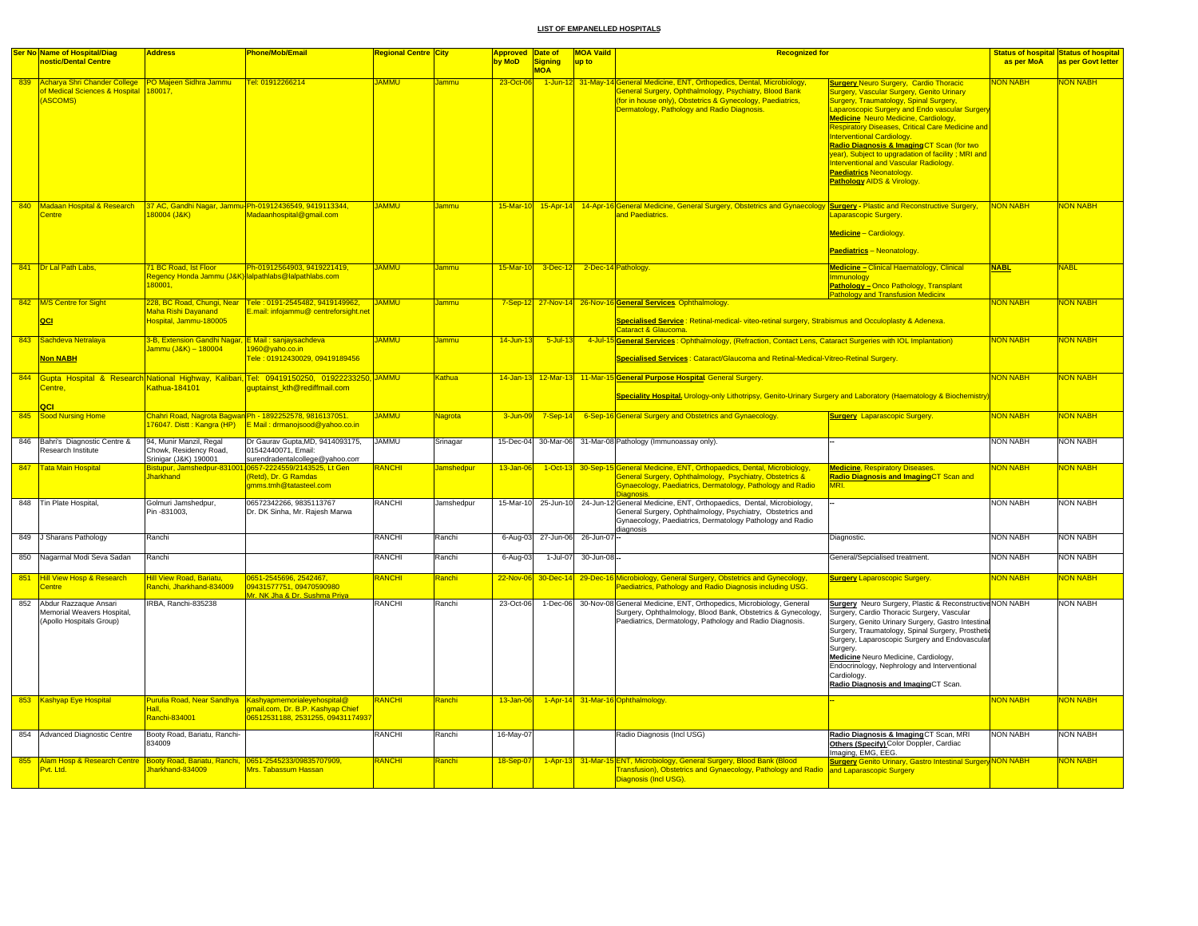|     | Ser No Name of Hospital/Diag                                                                                    | <b>Address</b>                                                               | Phone/Mob/Email                                                                                                                  | <mark>Regional Centre City</mark> |                   | Approved Date of |                              | <b>MOA Vaild</b>            | <b>Recognized for</b>                                                                                                                                                                                                            |                                                                                                                                                                                                                                                                                                                                                                                                                                                                                     |                 | <b>Status of hospital Status of hospital</b> |
|-----|-----------------------------------------------------------------------------------------------------------------|------------------------------------------------------------------------------|----------------------------------------------------------------------------------------------------------------------------------|-----------------------------------|-------------------|------------------|------------------------------|-----------------------------|----------------------------------------------------------------------------------------------------------------------------------------------------------------------------------------------------------------------------------|-------------------------------------------------------------------------------------------------------------------------------------------------------------------------------------------------------------------------------------------------------------------------------------------------------------------------------------------------------------------------------------------------------------------------------------------------------------------------------------|-----------------|----------------------------------------------|
|     | nostic/Dental Centre                                                                                            |                                                                              |                                                                                                                                  |                                   |                   | by MoD           | Signing                      | up to                       |                                                                                                                                                                                                                                  |                                                                                                                                                                                                                                                                                                                                                                                                                                                                                     | as per MoA      | as per Govt letter                           |
|     |                                                                                                                 |                                                                              |                                                                                                                                  |                                   |                   |                  | <b>MOA</b>                   |                             |                                                                                                                                                                                                                                  |                                                                                                                                                                                                                                                                                                                                                                                                                                                                                     |                 |                                              |
| 839 | Acharya Shri Chander College PO Majeen Sidhra Jammu<br>of Medical Sciences & Hospital 180017,<br><b>ASCOMS)</b> |                                                                              | Tel: 01912266214                                                                                                                 | <b>JAMMU</b>                      | Jammu             | 23-Oct-06        |                              | 1-Jun-12 31-May-            | General Medicine, ENT, Orthopedics, Dental, Microbiology,<br>General Surgery, Ophthalmology, Psychiatry, Blood Bank<br>(for in house only), Obstetrics & Gynecology, Paediatrics,<br>Dermatology, Pathology and Radio Diagnosis. | <b>Surgery Neuro Surgery, Cardio Thoracic</b><br>Surgery, Vascular Surgery, Genito Urinary<br>Surgery, Traumatology, Spinal Surgery,<br>aparoscopic Surgery and Endo vascular Surger<br>Medicine Neuro Medicine, Cardiology,<br><b>Respiratory Diseases, Critical Care Medicine and</b><br>Interventional Cardiology.<br><mark>Radio Diagnosis &amp; Imaging</mark> CT Scan (for two<br>vear). Subject to upgradation of facility: MRI and<br>nterventional and Vascular Radiology. | <b>NON NABH</b> | NON NABH                                     |
|     | 840 Madaan Hospital & Research<br>Centre                                                                        | 180004 (J&K)                                                                 | 37 AC, Gandhi Nagar, Jammu-Ph-01912436549, 9419113344,<br>Madaanhospital@gmail.com                                               | <b>JAMMU</b>                      | Jammu             |                  |                              |                             | 15-Mar-10 15-Apr-14 14-Apr-16 General Medicine, General Surgery, Obstetrics and Gynaecology Surgery - Plastic and Reconstructive Surgery,<br>and Paediatrics.                                                                    | <b>Paediatrics Neonatology.</b><br>Pathology AIDS & Virology<br>aparascopic Surgery.<br><mark>/ledicine</mark> – Cardiology<br>Paediatrics - Neonatology                                                                                                                                                                                                                                                                                                                            | <b>NON NABH</b> | <mark>NON NABH</mark>                        |
|     |                                                                                                                 |                                                                              |                                                                                                                                  |                                   |                   |                  |                              |                             |                                                                                                                                                                                                                                  |                                                                                                                                                                                                                                                                                                                                                                                                                                                                                     |                 |                                              |
|     | 841 Dr Lal Path Labs,                                                                                           | 1 BC Road, Ist Floor<br>180001.                                              | Ph-01912564903, 9419221419,<br>Regency Honda Jammu (J&K) lalpathlabs@lalpathlabs.com                                             | <b>JAMMU</b>                      | Jammu             | $15$ -Mar-10     |                              | 3-Dec-12 2-Dec-14 Pathology |                                                                                                                                                                                                                                  | Medicine - Clinical Haematology, Clinical<br>mmunology<br><b>Pathology - Onco Pathology, Transplant</b><br><b>Pathology and Transfusion Medicine</b>                                                                                                                                                                                                                                                                                                                                | <b>NABL</b>     | VABL                                         |
|     | 842 M/S Centre for Sight<br>QCI                                                                                 | Maha Rishi Dayanand<br>Hospital, Jammu-180005                                | 228, BC Road, Chungi, Near Tele: 0191-2545482, 9419149962,<br>E.mail: infojammu@ centreforsight.net                              | <b>JAMMU</b>                      | <b>Jammu</b>      |                  |                              |                             | 7-Sep-12 27-Nov-14 26-Nov-16 General Services. Ophthalmology.<br>Specialised Service: Retinal-medical- viteo-retinal surgery, Strabismus and Occuloplasty & Adenexa.<br>Cataract & Glaucoma.                                     |                                                                                                                                                                                                                                                                                                                                                                                                                                                                                     | <b>NON NABH</b> | NON NABH                                     |
|     | 843 Sachdeva Netralaya<br>Non NABH                                                                              | 3-B, Extension Gandhi Nagar, E Mail : sanjaysachdeva<br>lammu (J&K) - 180004 | 1960@vaho.co.in<br>Tele : 01912430029, 09419189456                                                                               | <b>JAMMU</b>                      | Jammu             | 14-Jun-13        | $5$ -Jul-13                  |                             | 4-Jul-15 General Services : Ophthalmology, (Refraction, Contact Lens, Cataract Surgeries with IOL Implantation)<br>Specialised Services: Cataract/Glaucoma and Retinal-Medical-Vitreo-Retinal Surgery.                           |                                                                                                                                                                                                                                                                                                                                                                                                                                                                                     | <b>NON NABH</b> | NON NABH                                     |
|     | Centre,<br>QCI                                                                                                  | Kathua-184101                                                                | 844 Gupta Hospital & Research National Highway, Kalibari, Tel: 09419150250, 01922233250, JAMMU<br>quptainst kth@rediffmail.com   |                                   | Kathua            |                  |                              |                             | 14-Jan-13 12-Mar-13 11-Mar-15 General Purpose Hospital General Surgery.<br>Speciality Hospital. Urology-only Lithotripsy, Genito-Urinary Surgery and Laboratory (Haematology & Biochemistry                                      |                                                                                                                                                                                                                                                                                                                                                                                                                                                                                     | <b>NON NABH</b> | <b>NON NABH</b>                              |
|     | 845 Sood Nursing Home                                                                                           | 76047. Distt: Kangra (HP)                                                    | <mark>Chahri Road, Nagrota Bagwan</mark> Ph - 1892252578, 9816137051.<br>E Mail: drmanojsood@yahoo.co.in                         | <b>JAMMU</b>                      | Vagrota           | $3 - Jun - 09$   |                              |                             | 7-Sep-14 6-Sep-16 General Surgery and Obstetrics and Gynaecology.                                                                                                                                                                | <b>Surgery Laparascopic Surgery.</b>                                                                                                                                                                                                                                                                                                                                                                                                                                                | <b>NON NABH</b> | <mark>NON NABH</mark>                        |
|     | 846 Bahri's Diagnostic Centre &<br>Research Institute                                                           | 94, Munir Manzil, Regal<br>Chowk, Residency Road,<br>Srinigar (J&K) 190001   | Dr Gaurav Gupta, MD, 9414093175,<br>01542440071. Email:<br>surendradentalcollege@yahoo.com                                       | <b>JAMMU</b>                      | Srinagar          |                  |                              |                             | 15-Dec-04 30-Mar-06 31-Mar-08 Pathology (Immunoassay only).                                                                                                                                                                      |                                                                                                                                                                                                                                                                                                                                                                                                                                                                                     | <b>NON NABH</b> | <b>NON NABH</b>                              |
| 847 | <b>Tata Main Hospital</b>                                                                                       | listupur, Jai<br><b>Jharkhand</b>                                            | 0657-2224559/2143525<br>(Retd), Dr. G Ramdas<br>amms.tmh@tatasteel.com                                                           | <b>ANCHI</b>                      | <b>Jamshedpur</b> | 13-Jan-06        |                              |                             | 1-Oct-13 30-Sep-15 General Medicine, ENT, Orthopaedics, Dental, Microbiology,<br>General Surgery, Ophthalmology, Psychiatry, Obstetrics &<br>Gynaecology, Paediatrics, Dermatology, Pathology and Radio<br>Diagnosis.            | <b>Medicine, Respiratory Diseases.</b><br>Radio Diagnosis and ImagingCT Scan and                                                                                                                                                                                                                                                                                                                                                                                                    | <b>NON NABH</b> | <b>JON NABH</b>                              |
|     | 848 Tin Plate Hospital,                                                                                         | Golmuri Jamshedpur,<br>Pin -831003,                                          | 06572342266, 9835113767<br>Dr. DK Sinha, Mr. Rajesh Marwa                                                                        | RANCHI                            | Jamshedpur        |                  |                              |                             | 15-Mar-10 25-Jun-10 24-Jun-12 General Medicine, ENT, Orthopaedics, Dental, Microbiology,<br>General Surgery, Ophthalmology, Psychiatry, Obstetrics and<br>Gynaecology, Paediatrics, Dermatology Pathology and Radio<br>diagnosis |                                                                                                                                                                                                                                                                                                                                                                                                                                                                                     | <b>NON NABH</b> | <b>NON NABH</b>                              |
|     | 849 J Sharans Pathology                                                                                         | Ranchi                                                                       |                                                                                                                                  | RANCHI                            | Ranchi            |                  | 6-Aug-03 27-Jun-06 26-Jun-07 |                             |                                                                                                                                                                                                                                  | Diagnostic.                                                                                                                                                                                                                                                                                                                                                                                                                                                                         | <b>NON NABH</b> | <b>NON NABH</b>                              |
|     | 850 Nagarmal Modi Seva Sadan                                                                                    | Ranchi                                                                       |                                                                                                                                  | RANCHI                            | Ranchi            | 6-Aug-03         | 1-Jul-07                     | 30-Jun-08-                  |                                                                                                                                                                                                                                  | General/Sepcialised treatment.                                                                                                                                                                                                                                                                                                                                                                                                                                                      | <b>NON NABH</b> | <b>NON NABH</b>                              |
| 851 | <b>Hill View Hosp &amp; Research</b><br>entre                                                                   | <b>Hill View Road, Bariatu,</b><br>Ranchi, Jharkhand-834009                  | 0651-2545696, 2542467,<br>09431577751, 09470590980<br>Mr. NK Jha & Dr. Sushma Priya                                              | RANCHI                            | <b>Ranchi</b>     | 22-Nov-06        |                              |                             | 30-Dec-14 29-Dec-16 Microbiology, General Surgery, Obstetrics and Gynecology,<br>Paediatrics, Pathology and Radio Diagnosis including USG.                                                                                       | <b>Surgery Laparoscopic Surgery.</b>                                                                                                                                                                                                                                                                                                                                                                                                                                                | <b>NON NABH</b> | NON NABH                                     |
| 852 | Abdur Razzaque Ansari<br>Memorial Weavers Hospital,<br>(Apollo Hospitals Group)                                 | IRBA, Ranchi-835238                                                          |                                                                                                                                  | RANCHI                            | Ranchi            | 23-Oct-06        | $1-Dec-06$                   |                             | 30-Nov-08 General Medicine, ENT, Orthopedics, Microbiology, General<br>Surgery, Ophthalmology, Blood Bank, Obstetrics & Gynecology,<br>Paediatrics, Dermatology, Pathology and Radio Diagnosis.                                  | <b>Surgery</b> Neuro Surgery, Plastic & Reconstructive NON NABH<br>Surgery, Cardio Thoracic Surgery, Vascular<br>Surgery, Genito Urinary Surgery, Gastro Intestina<br>Surgery, Traumatology, Spinal Surgery, Prosthetic<br>Surgery, Laparoscopic Surgery and Endovascular<br>Surgery.<br>Medicine Neuro Medicine, Cardiology,<br>Endocrinology, Nephrology and Interventional<br>Cardiology.<br>Radio Diagnosis and ImagingCT Scan.                                                 |                 | NON NABH                                     |
|     | 853 Kashyap Eye Hospital                                                                                        | Hall.<br>Ranchi-834001                                                       | Purulia Road, Near Sandhya Kashyapmemorialeyehospital@<br>amail.com, Dr. B.P. Kashyap Chief<br>06512531188, 2531255, 09431174937 | RANCHI                            | Ranchi            | $13 - Jan-06$    |                              |                             | 1-Apr-14 31-Mar-16 Ophthalmology.                                                                                                                                                                                                |                                                                                                                                                                                                                                                                                                                                                                                                                                                                                     | <b>NON NABH</b> | NON NABH                                     |
|     | 854 Advanced Diagnostic Centre                                                                                  | Booty Road, Bariatu, Ranchi-<br>834009                                       |                                                                                                                                  | RANCHI                            | Ranchi            | 16-May-07        |                              |                             | Radio Diagnosis (Incl USG)                                                                                                                                                                                                       | Radio Diagnosis & Imaging CT Scan, MRI<br>Others (Specify) Color Doppler, Cardiac<br>Imaging, EMG, EEG.                                                                                                                                                                                                                                                                                                                                                                             | <b>NON NABH</b> | <b>NON NABH</b>                              |
| 855 | Alam Hosp & Research Centre Booty Road, Bariatu, Ranchi, 0651-2545233/09835707909,<br>Pvt. Ltd.                 | Jharkhand-834009                                                             | Mrs. Tabassum Hassan                                                                                                             | <b>RANCHI</b>                     | <b>Ranchi</b>     | $18-Sen-0$       |                              |                             | 1-Apr-13 31-Mar-15 ENT, Microbiology, General Surgery, Blood Bank (Blood<br>Transfusion), Obstetrics and Gynaecology, Pathology and Radio and Laparascopic Surgery<br>Diagnosis (Incl USG).                                      | <b>Surgery Genito Urinary, Gastro Intestinal Surgery NON NABH</b>                                                                                                                                                                                                                                                                                                                                                                                                                   |                 | <mark>NON NABH</mark>                        |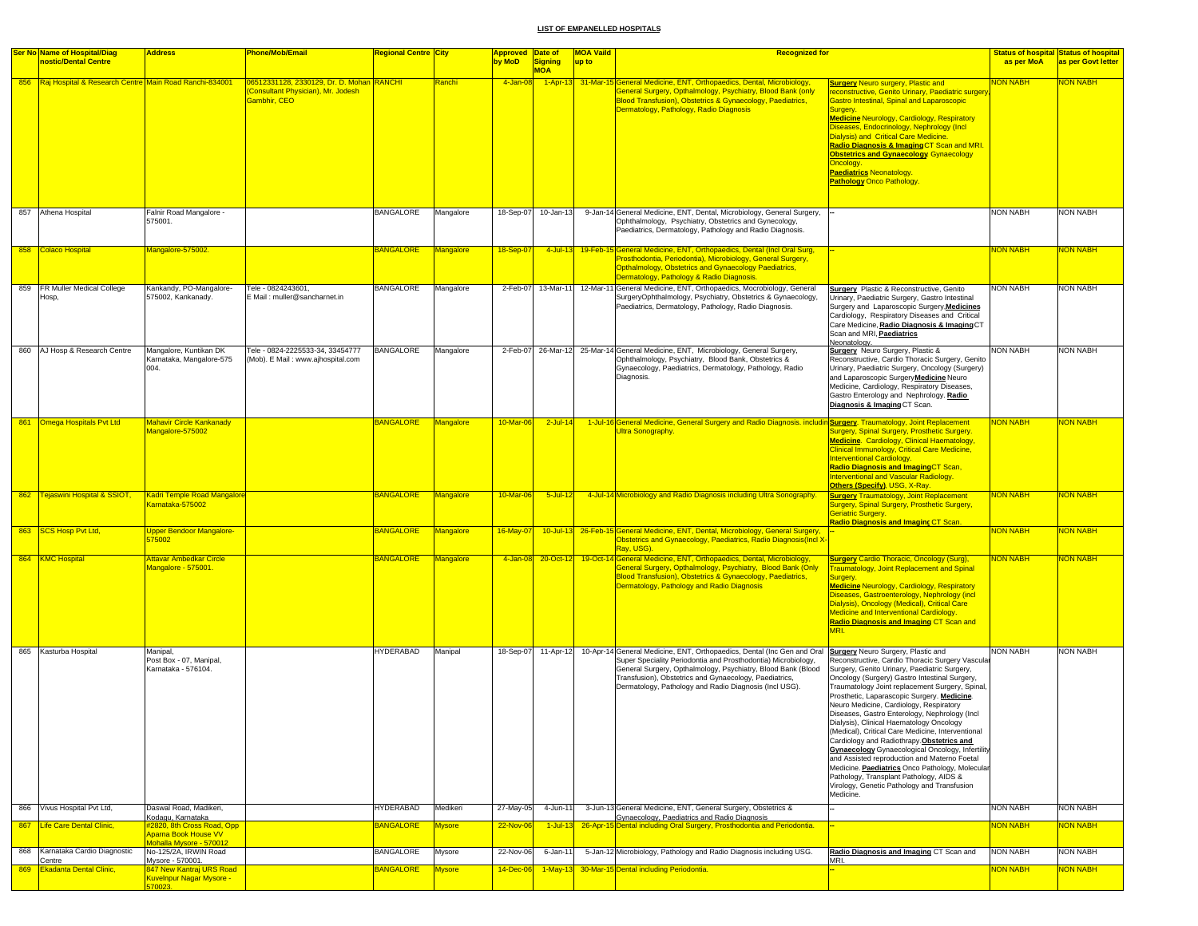|  | <b>Ser No Name of Hospital/Diag</b>                          | <b>Address</b>                                                                                    | <b>Phone/Mob/Email</b>                                                                                | Regional Centre City |               | <b>Approved Date of</b> |                | <b>MOA Vaild</b> | <b>Recognized for</b>                                                                                                                                                                                                                                                                                                                                                     |                                                                                                                                                                                                                                                                                                                                                                                                                                                                                                                                                                                                                                                                                                                                                                      |                 | <b>Status of hospital Status of hospital</b> |
|--|--------------------------------------------------------------|---------------------------------------------------------------------------------------------------|-------------------------------------------------------------------------------------------------------|----------------------|---------------|-------------------------|----------------|------------------|---------------------------------------------------------------------------------------------------------------------------------------------------------------------------------------------------------------------------------------------------------------------------------------------------------------------------------------------------------------------------|----------------------------------------------------------------------------------------------------------------------------------------------------------------------------------------------------------------------------------------------------------------------------------------------------------------------------------------------------------------------------------------------------------------------------------------------------------------------------------------------------------------------------------------------------------------------------------------------------------------------------------------------------------------------------------------------------------------------------------------------------------------------|-----------------|----------------------------------------------|
|  | nostic/Dental Centre                                         |                                                                                                   |                                                                                                       |                      |               | by MoD                  | <b>Signing</b> | up to            |                                                                                                                                                                                                                                                                                                                                                                           |                                                                                                                                                                                                                                                                                                                                                                                                                                                                                                                                                                                                                                                                                                                                                                      | as per MoA      | as per Govt letter                           |
|  | 856   Raj Hospital & Research Centre Main Road Ranchi-834001 |                                                                                                   | 06512331128, 2330129, Dr. D. Mohan RANCHI<br>Consultant Physician), Mr. Jodesh<br><b>Sambhir, CEO</b> |                      | Ranchi        | 4-Jan-08                | <b>MOA</b>     |                  | 1-Apr-13 31-Mar-15 General Medicine, ENT, Orthopaedics, Dental, Microbiology,<br>General Surgery, Opthalmology, Psychiatry, Blood Bank (only<br>Blood Transfusion), Obstetrics & Gynaecology, Paediatrics,<br>Dermatology, Pathology, Radio Diagnosis                                                                                                                     | <b>Surgery Neuro surgery, Plastic and</b><br>reconstructive, Genito Urinary, Paediatric surgery<br>Gastro Intestinal, Spinal and Laparoscopic<br>Surgery.<br><b>Medicine Neurology, Cardiology, Respiratory</b><br>Diseases, Endocrinology, Nephrology (Incl.<br>Dialysis) and Critical Care Medicine.<br><mark>Radio Diagnosis &amp; Imaging CT Scan and MRI.</mark><br><b>Obstetrics and Gynaecology Gynaecology</b><br>Oncology.<br><b>Paediatrics Neonatology.</b><br><b>Pathology Onco Pathology.</b>                                                                                                                                                                                                                                                           | <b>VON NABH</b> | <b>VON NABH</b>                              |
|  | 857 Athena Hospital                                          | Falnir Road Mangalore -<br>575001.                                                                |                                                                                                       | BANGALORE            | Mangalore     | 18-Sep-07               | 10-Jan-13      |                  | 9-Jan-14 General Medicine, ENT, Dental, Microbiology, General Surgery,<br>Ophthalmology, Psychiatry, Obstetrics and Gynecology,<br>Paediatrics, Dermatology, Pathology and Radio Diagnosis.                                                                                                                                                                               |                                                                                                                                                                                                                                                                                                                                                                                                                                                                                                                                                                                                                                                                                                                                                                      | <b>NON NABH</b> | <b>NON NABH</b>                              |
|  | 858 Colaco Hospital                                          | Mangalore-575002.                                                                                 |                                                                                                       | <b>BANGALORE</b>     | Mangalore     | 18-Sep-07               |                |                  | 4-Jul-13 19-Feb-15 General Medicine, ENT, Orthopaedics, Dental (Incl Oral Surg,<br>Prosthodontia, Periodontia), Microbiology, General Surgery,<br>Opthalmology, Obstetrics and Gynaecology Paediatrics,<br>Dermatology, Pathology & Radio Diagnosis.                                                                                                                      |                                                                                                                                                                                                                                                                                                                                                                                                                                                                                                                                                                                                                                                                                                                                                                      | NON NABH        | <b>NON NABH</b>                              |
|  | 859 FR Muller Medical College<br>Hosp,                       | Kankandy, PO-Mangalore-<br>575002, Kankanady.                                                     | Tele - 0824243601,<br>E Mail: muller@sancharnet.in                                                    | <b>BANGALORE</b>     | Mangalore     | 2-Feb-07                | 13-Mar-11      |                  | 12-Mar-11 General Medicine, ENT, Orthopaedics, Mocrobiology, General<br>SurgeryOphthalmology, Psychiatry, Obstetrics & Gynaecology,<br>Paediatrics, Dermatology, Pathology, Radio Diagnosis.                                                                                                                                                                              | <b>Surgery</b> Plastic & Reconstructive, Genito<br>Urinary, Paediatric Surgery, Gastro Intestinal<br>Surgery and Laparoscopic Surgery, Medicines<br>Cardiology, Respiratory Diseases and Critical<br>Care Medicine, Radio Diagnosis & Imaging CT<br>Scan and MRI, Paediatrics<br>Neonatology.                                                                                                                                                                                                                                                                                                                                                                                                                                                                        | NON NABH        | <b>NON NABH</b>                              |
|  | 860 AJ Hosp & Research Centre                                | Mangalore, Kuntikan DK<br>Karnataka, Mangalore-575<br>004.                                        | Tele - 0824-2225533-34, 33454777<br>(Mob). E Mail: www.ajhospital.com                                 | <b>BANGALORE</b>     | Mangalore     |                         |                |                  | 2-Feb-07 26-Mar-12 25-Mar-14 General Medicine, ENT, Microbiology, General Surgery,<br>Ophthalmology, Psychiatry, Blood Bank, Obstetrics &<br>Gynaecology, Paediatrics, Dermatology, Pathology, Radio<br>Diagnosis.                                                                                                                                                        | Surgery Neuro Surgery, Plastic &<br>Reconstructive, Cardio Thoracic Surgery, Genito<br>Urinary, Paediatric Surgery, Oncology (Surgery)<br>and Laparoscopic Surgery Medicine Neuro<br>Medicine, Cardiology, Respiratory Diseases,<br>Gastro Enterology and Nephrology. Radio<br>Diagnosis & Imaging CT Scan.                                                                                                                                                                                                                                                                                                                                                                                                                                                          | <b>NON NABH</b> | <b>NON NABH</b>                              |
|  | 861 Omega Hospitals Pvt Ltd                                  | <u> Mahavir Circle Kankanady</u><br>Mangalore-575002                                              |                                                                                                       | <b>BANGALORE</b>     | Mangalore     | 10-Mar-06               | $2$ -Jul-14    |                  | 1-Jul-16 General Medicine, General Surgery and Radio Diagnosis. includin Surgery. Traumatology, Joint Replacement<br><b>Ultra Sonography.</b>                                                                                                                                                                                                                             | Surgery, Spinal Surgery, Prosthetic Surgery.<br>Medicine. Cardiology, Clinical Haematology,<br>Clinical Immunology, Critical Care Medicine,<br><b>Interventional Cardiology.</b><br>Radio Diagnosis and ImagingCT Scan,<br>Interventional and Vascular Radiology.<br><b>Others (Specify), USG, X-Ray.</b>                                                                                                                                                                                                                                                                                                                                                                                                                                                            | <b>NON NABH</b> | NON NABH                                     |
|  | 862 Tejaswini Hospital & SSIOT,                              | <b>Kadri Temple Road Mangalore</b><br>Carnataka-575002                                            |                                                                                                       | <b>BANGALORE</b>     | Mangalore     | $10$ -Mar-06            | $5$ -Jul-12    |                  | 4-Jul-14 Microbiology and Radio Diagnosis including Ultra Sonography.                                                                                                                                                                                                                                                                                                     | <b>Surgery Traumatology, Joint Replacement</b><br>Surgery, Spinal Surgery, Prosthetic Surgery,<br><b>Geriatric Surgery.</b><br><b>Radio Diagnosis and Imaging CT Scan.</b>                                                                                                                                                                                                                                                                                                                                                                                                                                                                                                                                                                                           | <b>NON NABH</b> | <b>NON NABH</b>                              |
|  | 863 SCS Hosp Pvt Ltd,                                        | <b>Upper Bendoor Mangalore-</b><br>575002                                                         |                                                                                                       | <b>BANGALORE</b>     | Mangalore     | 16-May-07               |                |                  | 10-Jul-13 26-Feb-15 General Medicine, ENT, Dental, Microbiology, General Surgery,<br>Obstetrics and Gynaecology, Paediatrics, Radio Diagnosis(Incl X-<br>Ray, USG).                                                                                                                                                                                                       |                                                                                                                                                                                                                                                                                                                                                                                                                                                                                                                                                                                                                                                                                                                                                                      | <b>NON NABH</b> | <b>NON NABH</b>                              |
|  | 864 KMC Hospital                                             | <b>Attavar Ambedkar Circle</b><br>Mangalore - 575001.                                             |                                                                                                       | <b>BANGALORE</b>     | Mangalore     | 4-Jan-08                |                |                  | 20-Oct-12 19-Oct-14 General Medicine, ENT, Orthopaedics, Dental, Microbiology,<br>General Surgery, Opthalmology, Psychiatry, Blood Bank (Only<br>Blood Transfusion), Obstetrics & Gynaecology, Paediatrics,<br>Dermatology, Pathology and Radio Diagnosis                                                                                                                 | <b>Surgery Cardio Thoracic, Oncology (Surg),</b><br><b>Fraumatology, Joint Replacement and Spinal</b><br>Surgery.<br><b>Medicine Neurology, Cardiology, Respiratory</b><br>Diseases, Gastroenterology, Nephrology (incl.<br>Dialysis), Oncology (Medical), Critical Care<br>Medicine and Interventional Cardiology.<br>Radio Diagnosis and Imaging CT Scan and<br>MRI.                                                                                                                                                                                                                                                                                                                                                                                               | <b>NON NABH</b> | <b>NON NABH</b>                              |
|  | 865 Kasturba Hospital                                        | Manipal,<br>Post Box - 07, Manipal,<br>Karnataka - 576104.                                        |                                                                                                       | <b>HYDERABAD</b>     | Manipal       | 18-Sep-07               |                |                  | 11-Apr-12 10-Apr-14 General Medicine, ENT, Orthopaedics, Dental (Inc Gen and Oral Surgery Neuro Surgery, Plastic and<br>Super Speciality Periodontia and Prosthodontia) Microbiology,<br>General Surgery, Opthalmology, Psychiatry, Blood Bank (Blood<br>Transfusion), Obstetrics and Gynaecology, Paediatrics,<br>Dermatology, Pathology and Radio Diagnosis (Incl USG). | Reconstructive, Cardio Thoracic Surgery Vascular<br>Surgery, Genito Urinary, Paediatric Surgery,<br>Oncology (Surgery) Gastro Intestinal Surgery,<br>Traumatology Joint replacement Surgery, Spinal,<br>Prosthetic, Laparascopic Surgery. Medicine.<br>Neuro Medicine, Cardiology, Respiratory<br>Diseases, Gastro Enterology, Nephrology (Incl.<br>Dialysis), Clinical Haematology Oncology<br>(Medical), Critical Care Medicine, Interventional<br>Cardiology and Radiothrapy. Obstetrics and<br><b>Gynaecology</b> Gynaecological Oncology, Infertility<br>and Assisted reproduction and Materno Foetal<br>Medicine. Paediatrics Onco Pathology, Molecular<br>Pathology, Transplant Pathology, AIDS &<br>Virology, Genetic Pathology and Transfusion<br>Medicine. | <b>NON NABH</b> | <b>NON NABH</b>                              |
|  | 866 Vivus Hospital Pvt Ltd,                                  | Daswal Road, Madikeri,                                                                            |                                                                                                       | <b>HYDERABAD</b>     | Medikeri      | 27-May-05               | 4-Jun-11       |                  | 3-Jun-13 General Medicine, ENT, General Surgery, Obstetrics &                                                                                                                                                                                                                                                                                                             |                                                                                                                                                                                                                                                                                                                                                                                                                                                                                                                                                                                                                                                                                                                                                                      | <b>NON NABH</b> | <b>NON NABH</b>                              |
|  | 867 Life Care Dental Clinic,                                 | Kodagu, Karnataka<br>2820, 8th Cross Road, Opp<br>Aparna Book House VV<br>Mohalla Mysore - 570012 |                                                                                                       | <b>BANGALORE</b>     | <b>Mysore</b> | 22-Nov-06               | $1$ -Jul-13    |                  | Gynaecology, Paediatrics and Radio Diagnosis<br>26-Apr-15 Dental including Oral Surgery, Prosthodontia and Periodontia.                                                                                                                                                                                                                                                   |                                                                                                                                                                                                                                                                                                                                                                                                                                                                                                                                                                                                                                                                                                                                                                      | <b>VON NABH</b> | <b>VON NABH</b>                              |
|  | 868 Karnataka Cardio Diagnostic                              | No-125/2A, IRWIN Road                                                                             |                                                                                                       | <b>BANGALORE</b>     | Mysore        | 22-Nov-06               | 6-Jan-11       |                  | 5-Jan-12 Microbiology, Pathology and Radio Diagnosis including USG.                                                                                                                                                                                                                                                                                                       | Radio Diagnosis and Imaging CT Scan and                                                                                                                                                                                                                                                                                                                                                                                                                                                                                                                                                                                                                                                                                                                              | <b>NON NABH</b> | <b>NON NABH</b>                              |
|  | Centre<br>869 Ekadanta Dental Clinic,                        | Mysore - 570001.<br>847 New Kantraj URS Road<br><mark>Kuvelnpur Nagar Mysore -</mark>             |                                                                                                       | <b>BANGALORE</b>     | <b>Mysore</b> | 14-Dec-06               |                |                  | 1-May-13 30-Mar-15 Dental including Periodontia.                                                                                                                                                                                                                                                                                                                          | MRI.                                                                                                                                                                                                                                                                                                                                                                                                                                                                                                                                                                                                                                                                                                                                                                 | <b>NON NABH</b> | <b>NON NABH</b>                              |
|  |                                                              | 70023                                                                                             |                                                                                                       |                      |               |                         |                |                  |                                                                                                                                                                                                                                                                                                                                                                           |                                                                                                                                                                                                                                                                                                                                                                                                                                                                                                                                                                                                                                                                                                                                                                      |                 |                                              |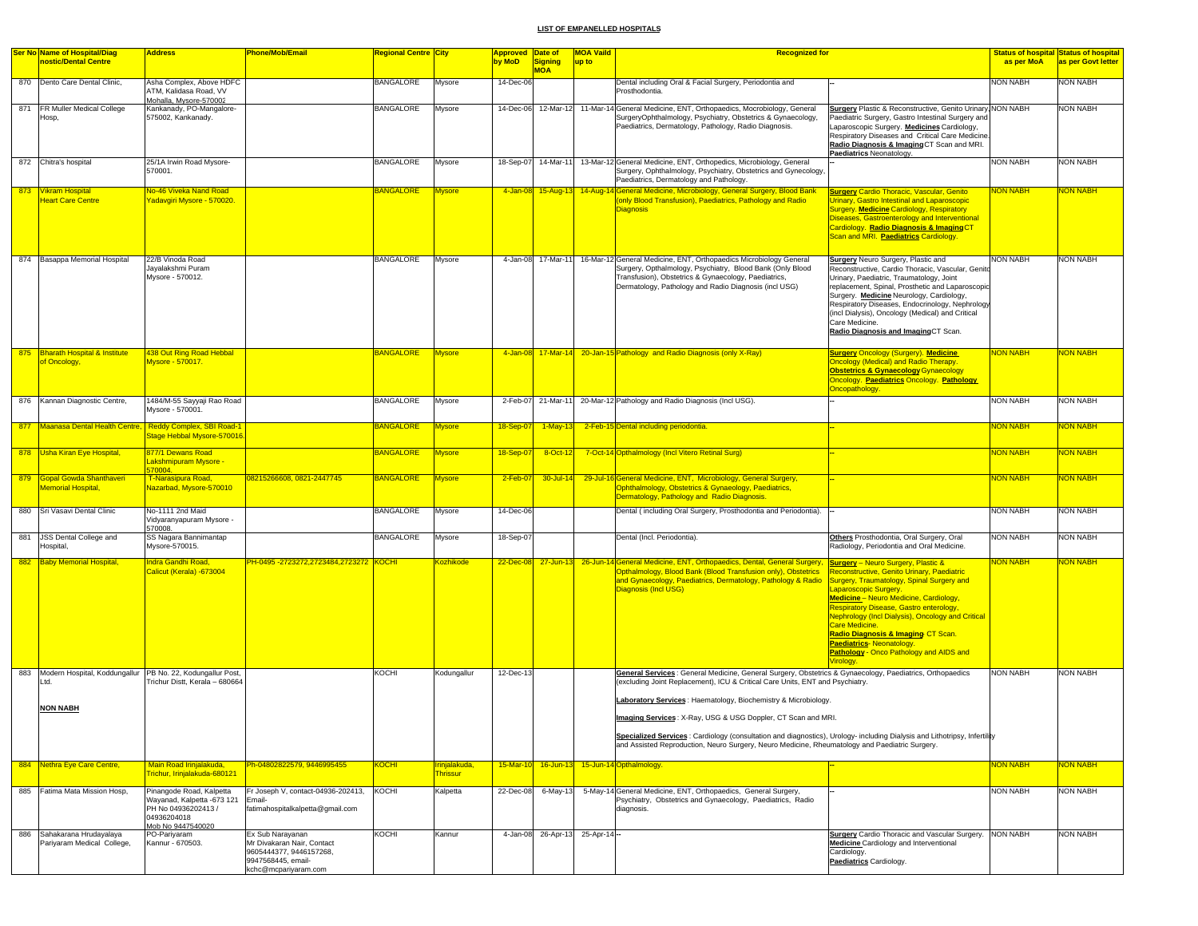|     | <b>Ser No Name of Hospital/Diag</b><br>nostic/Dental Centre                           | <b>Address</b>                                                                                                    | <b>Phone/Mob/Email</b>                                                                                                  | <mark>Regional Centre City</mark> |                                 | Approved Date of<br>by MoD | <b>Signing</b>     | <b>MOA Vaild</b><br><b>Recognized for</b><br>up to                                                                                                                                                                                                                                                                           |                                                                                                                                                                                                                                                                                                                                                                                                                                                                 | as per MoA      | <b>Status of hospital Status of hospital</b><br>as per Govt letter |
|-----|---------------------------------------------------------------------------------------|-------------------------------------------------------------------------------------------------------------------|-------------------------------------------------------------------------------------------------------------------------|-----------------------------------|---------------------------------|----------------------------|--------------------|------------------------------------------------------------------------------------------------------------------------------------------------------------------------------------------------------------------------------------------------------------------------------------------------------------------------------|-----------------------------------------------------------------------------------------------------------------------------------------------------------------------------------------------------------------------------------------------------------------------------------------------------------------------------------------------------------------------------------------------------------------------------------------------------------------|-----------------|--------------------------------------------------------------------|
|     |                                                                                       |                                                                                                                   |                                                                                                                         |                                   |                                 |                            | <b>MOA</b>         |                                                                                                                                                                                                                                                                                                                              |                                                                                                                                                                                                                                                                                                                                                                                                                                                                 |                 |                                                                    |
|     | 870 Dento Care Dental Clinic,                                                         | Asha Complex, Above HDFC<br>ATM, Kalidasa Road, VV<br>Mohalla, Mysore-570002                                      |                                                                                                                         | <b>BANGALORE</b>                  | Mysore                          | 14-Dec-06                  |                    | Dental including Oral & Facial Surgery, Periodontia and<br>Prosthodontia.                                                                                                                                                                                                                                                    |                                                                                                                                                                                                                                                                                                                                                                                                                                                                 | NON NABH        | <b>NON NABH</b>                                                    |
|     | 871   FR Muller Medical College<br>Hosp,                                              | Kankanady, PO-Mangalore-<br>575002, Kankanady.                                                                    |                                                                                                                         | <b>BANGALORE</b>                  | Mysore                          |                            |                    | 14-Dec-06 12-Mar-12 11-Mar-14 General Medicine, ENT, Orthopaedics, Mocrobiology, General<br>SurgeryOphthalmology, Psychiatry, Obstetrics & Gynaecology,<br>Paediatrics, Dermatology, Pathology, Radio Diagnosis.                                                                                                             | Surgery Plastic & Reconstructive, Genito Urinary, NON NABH<br>Paediatric Surgery, Gastro Intestinal Surgery and<br>Laparoscopic Surgery. Medicines Cardiology,<br>Respiratory Diseases and Critical Care Medicine.<br>Radio Diagnosis & Imaging CT Scan and MRI.<br>Paediatrics Neonatology                                                                                                                                                                     |                 | <b>NON NABH</b>                                                    |
|     | 872 Chitra's hospital                                                                 | 25/1A Irwin Road Mysore-<br>570001.                                                                               |                                                                                                                         | <b>BANGALORE</b>                  | Mysore                          | 18-Sep-07                  | 14-Mar-11          | 13-Mar-12 General Medicine, ENT, Orthopedics, Microbiology, General<br>Surgery, Ophthalmology, Psychiatry, Obstetrics and Gynecology,<br>Paediatrics, Dermatology and Pathology.                                                                                                                                             |                                                                                                                                                                                                                                                                                                                                                                                                                                                                 | <b>NON NABH</b> | NON NABH                                                           |
|     | 873 Vikram Hospital<br>Heart Care Centre                                              | No-46 Viveka Nand Road<br>Yadavgiri Mysore - 570020                                                               |                                                                                                                         | <b>BANGALORE</b>                  | <b>Mysore</b>                   |                            | 4-Jan-08 15-Aug-13 | 14-Aug-14 General Medicine, Microbiology, General Surgery, Blood Bank<br>(only Blood Transfusion), Paediatrics, Pathology and Radio<br><b>Diagnosis</b>                                                                                                                                                                      | <b>Surgery Cardio Thoracic, Vascular, Genito</b><br><b>Jrinary, Gastro Intestinal and Laparoscopic</b><br>Surgery. Medicine Cardiology, Respiratory<br>Diseases, Gastroenterology and Interventional<br>Cardiology. Radio Diagnosis & ImagingCT<br>Scan and MRI. Paediatrics Cardiology.                                                                                                                                                                        | <b>VON NABH</b> | <b>JON NABH</b>                                                    |
|     | 874 Basappa Memorial Hospital                                                         | 22/B Vinoda Road<br>Jayalakshmi Puram<br>Mysore - 570012.                                                         |                                                                                                                         | <b>BANGALORE</b>                  | Mysore                          | 4-Jan-08                   | 17-Mar-11          | 16-Mar-12 General Medicine, ENT, Orthopaedics Microbiology General<br>Surgery, Opthalmology, Psychiatry, Blood Bank (Only Blood<br>Transfusion), Obstetrics & Gynaecology, Paediatrics,<br>Dermatology, Pathology and Radio Diagnosis (incl USG)                                                                             | Surgery Neuro Surgery, Plastic and<br>Reconstructive, Cardio Thoracic, Vascular, Genito<br>Urinary, Paediatric, Traumatology, Joint<br>replacement, Spinal, Prosthetic and Laparoscopic<br>Surgery. Medicine Neurology, Cardiology,<br>Respiratory Diseases, Endocrinology, Nephrology<br>(incl Dialysis), Oncology (Medical) and Critical<br>Care Medicine.<br>Radio Diagnosis and ImagingCT Scan.                                                             | <b>NON NABH</b> | <b>NON NABH</b>                                                    |
|     | 875 Bharath Hospital & Institute<br>of Oncology,                                      | 438 Out Ring Road Hebbal<br>Mysore - 570017.                                                                      |                                                                                                                         | <b>BANGALORE</b>                  | <b>Mysore</b>                   |                            |                    | 4-Jan-08 17-Mar-14 20-Jan-15 Pathology and Radio Diagnosis (only X-Ray)                                                                                                                                                                                                                                                      | <b>Surgery Oncology (Surgery). Medicine</b><br><b>Oncology (Medical) and Radio Therapy.</b><br><b>Obstetrics &amp; Gynaecology Gynaecology</b><br>Oncology. Paediatrics Oncology. Pathology<br>Oncopathology.                                                                                                                                                                                                                                                   | <b>NON NABH</b> | <mark>NON NABH</mark>                                              |
|     | 876 Kannan Diagnostic Centre,                                                         | 1484/M-55 Sayyaji Rao Road<br>Mysore - 570001.                                                                    |                                                                                                                         | <b>BANGALORE</b>                  | Mysore                          |                            | 2-Feb-07 21-Mar-11 | 20-Mar-12 Pathology and Radio Diagnosis (Incl USG).                                                                                                                                                                                                                                                                          |                                                                                                                                                                                                                                                                                                                                                                                                                                                                 | <b>NON NABH</b> | <b>NON NABH</b>                                                    |
| 877 | Maanasa Dental Health Centre, Reddy Complex, SBI Road-1                               | Stage Hebbal Mysore-570016                                                                                        |                                                                                                                         | <b>BANGALORE</b>                  | <b>Mysore</b>                   | 18-Sep-0                   | $1-May-13$         | 2-Feb-15 Dental including periodontia.                                                                                                                                                                                                                                                                                       |                                                                                                                                                                                                                                                                                                                                                                                                                                                                 | <b>NON NABH</b> | <b>VON NABH</b>                                                    |
|     | 878 Usha Kiran Eye Hospital,                                                          | 877/1 Dewans Road<br>Lakshmipuram Mysore -<br>570004.                                                             |                                                                                                                         | <b>BANGALORE</b>                  | <b>Mysore</b>                   | 18-Sep-0                   | 8-Oct-12           | 7-Oct-14 Opthalmology (Incl Vitero Retinal Surg)                                                                                                                                                                                                                                                                             |                                                                                                                                                                                                                                                                                                                                                                                                                                                                 | <b>NON NABH</b> | <b>NON NABH</b>                                                    |
|     | 879 Gopal Gowda Shanthaveri<br><b>Memorial Hospital</b> ,                             | T-Narasipura Road,<br>Nazarbad, Mysore-570010                                                                     | 08215266608, 0821-2447745                                                                                               | <b>BANGALORE</b>                  | <b>Mysore</b>                   | $2-Feb-07$                 | $30 -$ Jul-14      | 29-Jul-16 General Medicine, ENT, Microbiology, General Surgery,<br>Ophthalmology, Obstetrics & Gynaeology, Paediatrics,<br>Dermatology, Pathology and Radio Diagnosis.                                                                                                                                                       |                                                                                                                                                                                                                                                                                                                                                                                                                                                                 | <b>NON NABH</b> | <b>NON NABH</b>                                                    |
|     | 880 Sri Vasavi Dental Clinic                                                          | No-1111 2nd Maid<br>Vidyaranyapuram Mysore -<br>570008.                                                           |                                                                                                                         | <b>BANGALORE</b>                  | Mysore                          | 14-Dec-06                  |                    | Dental (including Oral Surgery, Prosthodontia and Periodontia).                                                                                                                                                                                                                                                              |                                                                                                                                                                                                                                                                                                                                                                                                                                                                 | <b>NON NABH</b> | <b>NON NABH</b>                                                    |
| 881 | JSS Dental College and<br>Hospital,                                                   | SS Nagara Bannimantap<br>Mysore-570015.                                                                           |                                                                                                                         | <b>BANGALORE</b>                  | Mysore                          | 18-Sep-07                  |                    | Dental (Incl. Periodontia).                                                                                                                                                                                                                                                                                                  | Others Prosthodontia, Oral Surgery, Oral<br>Radiology, Periodontia and Oral Medicine.                                                                                                                                                                                                                                                                                                                                                                           | <b>NON NABH</b> | NON NABH                                                           |
| 882 | <b>Baby Memorial Hospital,</b>                                                        | Indra Gandhi Road,<br>Calicut (Kerala) -673004                                                                    | <mark>PH-0495 -2723272,2723484,2723272 KOCHI</mark>                                                                     |                                   | <b>Kozhikode</b>                |                            |                    | 22-Dec-08 27-Jun-13 26-Jun-14 General Medicine, ENT, Orthopaedics, Dental, General Surgery,<br>Opthalmology, Blood Bank (Blood Transfusion only), Obstetrics<br>and Gynaecology, Paediatrics, Dermatology, Pathology & Radio<br><b>Diagnosis (Incl USG)</b>                                                                  | <b>Surgery</b> - Neuro Surgery, Plastic &<br>Reconstructive, Genito Urinary, Paediatric<br>Surgery, Traumatology, Spinal Surgery and<br>aparoscopic Surgery.<br>Medicine - Neuro Medicine, Cardiology,<br>Respiratory Disease, Gastro enterology,<br>Nephrology (Incl Dialysis), Oncology and Critical<br><b>Care Medicine.</b><br>Radio Diagnosis & Imaging CT Scan.<br>Paediatrics-Neonatology.<br>Pathology - Onco Pathology and AIDS and<br><b>Virology</b> | <b>NON NABH</b> | <b>JON NABH</b>                                                    |
| 883 | Modern Hospital, Koddungallur PB No. 22, Kodungallur Post,<br>Ltd.<br><b>NON NABH</b> | Trichur Distt, Kerala - 680664                                                                                    |                                                                                                                         | KOCHI                             | Kodungallur                     | 12-Dec-13                  |                    | General Services : General Medicine, General Surgery, Obstetrics & Gynaecology, Paediatrics, Orthopaedics<br>(excluding Joint Replacement), ICU & Critical Care Units, ENT and Psychiatry.<br>Laboratory Services: Haematology, Biochemistry & Microbiology.<br>Imaging Services: X-Ray, USG & USG Doppler, CT Scan and MRI. |                                                                                                                                                                                                                                                                                                                                                                                                                                                                 | <b>NON NABH</b> | <b>NON NABH</b>                                                    |
|     |                                                                                       |                                                                                                                   |                                                                                                                         |                                   |                                 |                            |                    | Specialized Services : Cardiology (consultation and diagnostics), Urology- including Dialysis and Lithotripsy, Infertility<br>and Assisted Reproduction, Neuro Surgery, Neuro Medicine, Rheumatology and Paediatric Surgery.                                                                                                 |                                                                                                                                                                                                                                                                                                                                                                                                                                                                 |                 |                                                                    |
|     | 884 Nethra Eye Care Centre,                                                           | Main Road Irinjalakuda,<br>Trichur, Irinjalakuda-680121                                                           | Ph-04802822579, 9446995455                                                                                              | KOCHI                             | rinjalakuda.<br><b>Thrissur</b> | $15-Mar-10$                |                    | 16-Jun-13 15-Jun-14 Opthalmology.                                                                                                                                                                                                                                                                                            |                                                                                                                                                                                                                                                                                                                                                                                                                                                                 | <b>VON NABH</b> | <b>ION NABH</b>                                                    |
| 885 | Fatima Mata Mission Hosp,                                                             | Pinangode Road, Kalpetta<br>Wayanad, Kalpetta -673 121<br>PH No 04936202413 /<br>04936204018<br>Mob No 9447540020 | Fr Joseph V, contact-04936-202413,<br>Email-<br>fatimahospitalkalpetta@gmail.com                                        | <b>KOCHI</b>                      | Kalpetta                        | 22-Dec-08                  | 6-May-13           | 5-May-14 General Medicine, ENT, Orthopaedics, General Surgery,<br>Psychiatry, Obstetrics and Gynaecology, Paediatrics, Radio<br>diagnosis.                                                                                                                                                                                   |                                                                                                                                                                                                                                                                                                                                                                                                                                                                 | <b>NON NABH</b> | <b>NON NABH</b>                                                    |
|     | 886 Sahakarana Hrudayalaya<br>Pariyaram Medical College,                              | PO-Pariyaram<br>Kannur - 670503.                                                                                  | Ex Sub Narayanan<br>Mr Divakaran Nair, Contact<br>9605444377, 9446157268,<br>9947568445, email-<br>kchc@mcpariyaram.com | KOCHI                             | Kannur                          |                            |                    | 4-Jan-08 26-Apr-13 25-Apr-14 --                                                                                                                                                                                                                                                                                              | Surgery Cardio Thoracic and Vascular Surgery. NON NABH<br>Medicine Cardiology and Interventional<br>Cardiology.<br>Paediatrics Cardiology.                                                                                                                                                                                                                                                                                                                      |                 | <b>NON NABH</b>                                                    |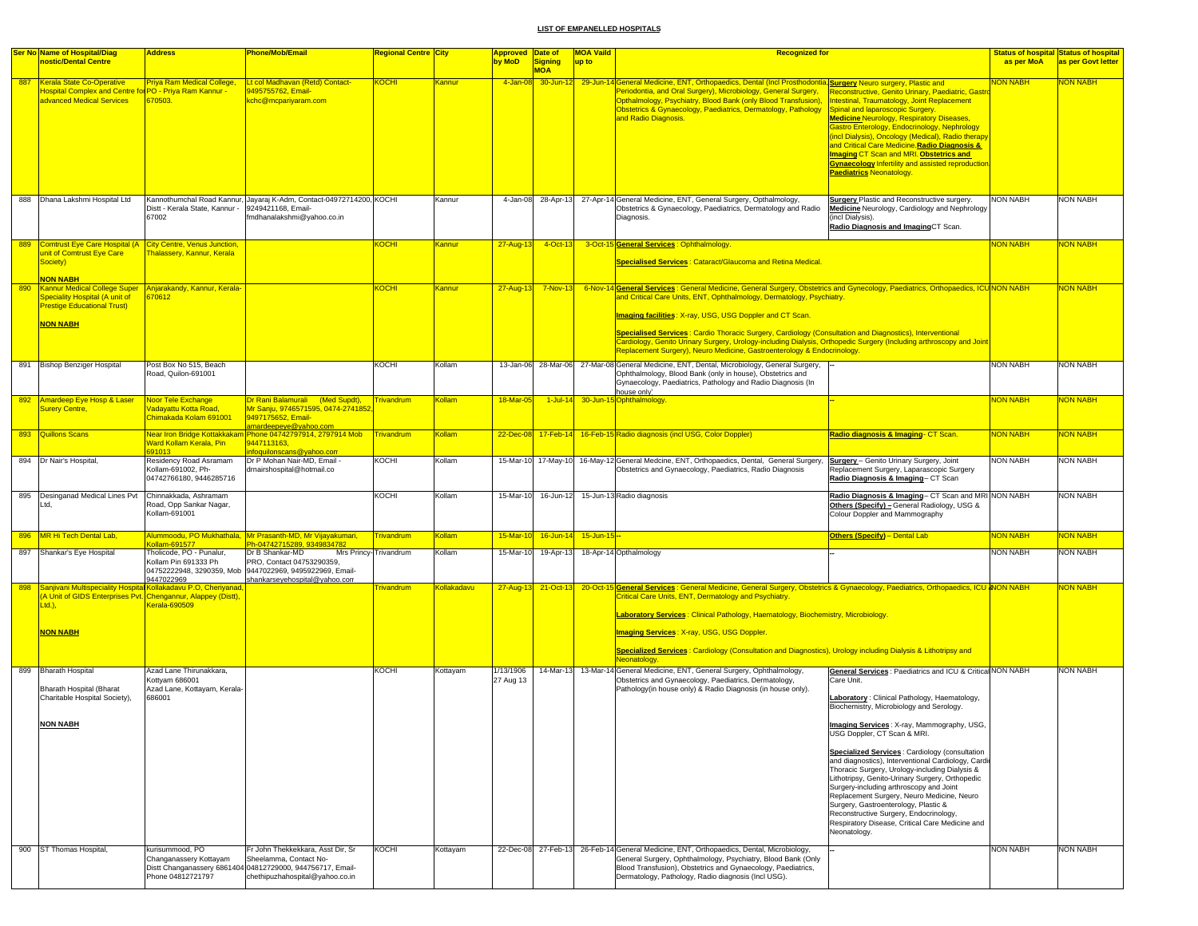|     | <b>Ser No Name of Hospital/Diag</b>                                                                                                           | <b>Address</b>                                                                     | Phone/Mob/Email                                                                                                                                                         | Regional Centre <mark>City</mark> |                    | Approved Date of       |                              | <b>MOA Vaild</b>    | <b>Recognized for</b>                                                                                                                                                                                                                                                                                                                                |                                                                                                                                                                                                                                                                                                                                                                                                                                                                                         |                 | <b>Status of hospital Status of hospital</b> |
|-----|-----------------------------------------------------------------------------------------------------------------------------------------------|------------------------------------------------------------------------------------|-------------------------------------------------------------------------------------------------------------------------------------------------------------------------|-----------------------------------|--------------------|------------------------|------------------------------|---------------------|------------------------------------------------------------------------------------------------------------------------------------------------------------------------------------------------------------------------------------------------------------------------------------------------------------------------------------------------------|-----------------------------------------------------------------------------------------------------------------------------------------------------------------------------------------------------------------------------------------------------------------------------------------------------------------------------------------------------------------------------------------------------------------------------------------------------------------------------------------|-----------------|----------------------------------------------|
|     | nostic/Dental Centre                                                                                                                          |                                                                                    |                                                                                                                                                                         |                                   |                    | by MoD                 | <b>Signing</b><br><b>MOA</b> | up to               |                                                                                                                                                                                                                                                                                                                                                      |                                                                                                                                                                                                                                                                                                                                                                                                                                                                                         | as per MoA      | as per Govt letter                           |
| 887 | Kerala State Co-Operative<br><b>Oospital Complex and Centre for PO - Priya Ram Kannur -</b><br>advanced Medical Services                      | <b>Priya Ram Medical College,</b><br>670503.                                       | Lt col Madhavan (Retd) Contact-<br>9495755762, Email-<br>kchc@mcpariyaram.com                                                                                           | <b>KOCHI</b>                      | Kannur             | $4 - Jan - 08$         |                              |                     | 30-Jun-12 29-Jun-14 General Medicine, ENT, Orthopaedics, Dental (Incl Prosthodontia, Surgery Neuro surgery, Plastic and<br>Periodontia, and Oral Surgery), Microbiology, General Surgery,<br>Opthalmology, Psychiatry, Blood Bank (only Blood Transfusion),<br>Obstetrics & Gynaecology, Paediatrics, Dermatology, Pathology<br>and Radio Diagnosis. | Reconstructive, Genito Urinary, Paediatric, Gastro<br>Intestinal, Traumatology, Joint Replacement<br>Spinal and laparoscopic Surgery.<br><b>Medicine Neurology, Respiratory Diseases,</b><br>Bastro Enterology, Endocrinology, Nephrology<br>incl Dialysis), Oncology (Medical), Radio therapy<br>and Critical Care Medicine Radio Diagnosis &<br>maging CT Scan and MRI. Obstetrics and<br><b>Gynaecology Infertility and assisted reproduction</b><br><b>Paediatrics Neonatology.</b> | <b>NON NABH</b> | <b>VON NABH</b>                              |
|     | 888 Dhana Lakshmi Hospital Ltd                                                                                                                | Distt - Kerala State, Kannur -<br>67002                                            | Kannothumchal Road Kannur, Jayaraj K-Adm, Contact-04972714200, KOCHI<br>9249421168, Email-<br>fmdhanalakshmi@vahoo.co.in                                                |                                   | Kannur             |                        |                              |                     | 4-Jan-08 28-Apr-13 27-Apr-14 General Medicine, ENT, General Surgery, Opthalmology,<br>Obstetrics & Gynaecology, Paediatrics, Dermatology and Radio<br>Diagnosis.                                                                                                                                                                                     | <b>Surgery Plastic and Reconstructive surgery.</b><br>Medicine Neurology, Cardiology and Nephrology<br>incl Dialysis).<br>Radio Diagnosis and ImagingCT Scan.                                                                                                                                                                                                                                                                                                                           | <b>NON NABH</b> | <b>NON NABH</b>                              |
| 889 | Comtrust Eye Care Hospital (A City Centre, Venus Junction,<br>unit of Comtrust Eye Care<br>Society)                                           | <b>halassery, Kannur, Kerala</b>                                                   |                                                                                                                                                                         | <b>KOCHI</b>                      | Kannur             | 27-Aug-13              | $-4$ -Oct-13                 |                     | 3-Oct-15 General Services : Ophthalmology<br>Specialised Services : Cataract/Glaucoma and Retina Medical.                                                                                                                                                                                                                                            |                                                                                                                                                                                                                                                                                                                                                                                                                                                                                         | <b>NON NABH</b> | <b>VON NABH</b>                              |
| 890 | <b>NON NABH</b><br>Kannur Medical College Super Anjarakandy, Kannur, Kerala-                                                                  |                                                                                    |                                                                                                                                                                         | <b>KOCHI</b>                      | Kannur             | 27-Aug-13              | $7-Nov-13$                   | 6-Nov-1             | I <mark>General Services :</mark> General Medicine, General Surgery, Obstetrics and Gynecology, Paediatrics, Orthopaedics, ICU <mark>INON NABH</mark>                                                                                                                                                                                                |                                                                                                                                                                                                                                                                                                                                                                                                                                                                                         |                 | NON NABH                                     |
|     | <b>Speciality Hospital (A unit of</b><br><b>Prestige Educational Trust)</b>                                                                   | 670612                                                                             |                                                                                                                                                                         |                                   |                    |                        |                              |                     | and Critical Care Units, ENT, Ophthalmology, Dermatology, Psychiatry.<br>Imaging facilities: X-ray, USG, USG Doppler and CT Scan.                                                                                                                                                                                                                    |                                                                                                                                                                                                                                                                                                                                                                                                                                                                                         |                 |                                              |
|     | <b>NON NABH</b>                                                                                                                               |                                                                                    |                                                                                                                                                                         |                                   |                    |                        |                              |                     | Specialised Services : Cardio Thoracic Surgery, Cardiology (Consultation and Diagnostics), Interventional<br>Cardiology, Genito Urinary Surgery, Urology-including Dialysis, Orthopedic Surgery (Including arthroscopy and Joint<br>Replacement Surgery), Neuro Medicine, Gastroenterology & Endocrinology.                                          |                                                                                                                                                                                                                                                                                                                                                                                                                                                                                         |                 |                                              |
|     | 891 Bishop Benziger Hospital                                                                                                                  | Post Box No 515, Beach<br>Road, Quilon-691001                                      |                                                                                                                                                                         | KOCHI                             | Kollam             |                        |                              |                     | 13-Jan-06 28-Mar-06 27-Mar-08 General Medicine, ENT, Dental, Microbiology, General Surgery,<br>Ophthalmology, Blood Bank (only in house), Obstetrics and<br>Gynaecology, Paediatrics, Pathology and Radio Diagnosis (In<br>house only)                                                                                                               |                                                                                                                                                                                                                                                                                                                                                                                                                                                                                         | <b>NON NABH</b> | <b>NON NABH</b>                              |
|     | 892 Amardeep Eye Hosp & Laser<br><b>Surery Centre,</b>                                                                                        | Noor Tele Exchange<br><mark>√adayattu Kotta Road,</mark><br>Chimakada Kolam 691001 | Dr Rani Balamurali (Med Supdt),<br>Mr Sanju, 9746571595, 0474-2741852<br>9497175652, Email-<br>amardeepeye@yahoo.com                                                    | <b>Trivandrum</b>                 | Kollam             | 18-Mar-05              | $1$ -Jul-14                  |                     | 30-Jun-15 Ophthalmology.                                                                                                                                                                                                                                                                                                                             |                                                                                                                                                                                                                                                                                                                                                                                                                                                                                         | <b>NON NABH</b> | <mark>NON NABH</mark>                        |
|     | 893 Quillons Scans                                                                                                                            | Ward Kollam Kerala, Pin<br>391013                                                  | Near Iron Bridge Kottakkakam Phone 04742797914, 2797914 Mob<br>9447113163,<br>nfoquilonscans@yahoo.com                                                                  | Trivandrum                        | Kollam             |                        |                              |                     | 22-Dec-08 17-Feb-14 16-Feb-15 Radio diagnosis (incl USG, Color Doppler)                                                                                                                                                                                                                                                                              | Radio diagnosis & Imaging- CT Scan.                                                                                                                                                                                                                                                                                                                                                                                                                                                     | NON NABH        | NON NABH                                     |
|     | 894 Dr Nair's Hospital                                                                                                                        | Residency Road Asramam<br>Kollam-691002, Ph-<br>04742766180, 9446285716            | Dr P Mohan Nair-MD, Email<br>drnairshospital@hotmail.co                                                                                                                 | KOCHI                             | Kollam             |                        |                              |                     | 15-Mar-10 17-May-10 16-May-12 General Medcine, ENT, Orthopaedics, Dental, General Surgery,<br>Obstetrics and Gynaecology, Paediatrics, Radio Diagnosis                                                                                                                                                                                               | <b>Surgery</b> - Genito Urinary Surgery, Joint<br>Replacement Surgery, Laparascopic Surgery<br>Radio Diagnosis & Imaging- CT Scan                                                                                                                                                                                                                                                                                                                                                       | <b>NON NABH</b> | <b>NON NABH</b>                              |
|     | 895 Desinganad Medical Lines Pvt<br>Ltd,                                                                                                      | Chinnakkada, Ashramam<br>Road, Opp Sankar Nagar,<br>Kollam-691001                  |                                                                                                                                                                         | KOCHI                             | Kollam             |                        |                              |                     | 15-Mar-10 16-Jun-12 15-Jun-13 Radio diagnosis                                                                                                                                                                                                                                                                                                        | Radio Diagnosis & Imaging- CT Scan and MRI NON NABH<br>Others (Specify) - General Radiology, USG &<br>Colour Doppler and Mammography                                                                                                                                                                                                                                                                                                                                                    |                 | <b>NON NABH</b>                              |
|     | 896 MR Hi Tech Dental Lab,                                                                                                                    |                                                                                    | Alummoodu, PO Mukhathala, <i>Mr Prasanth-MD, Mr Vijayakumari,</i>                                                                                                       | <b>Frivandrum</b>                 | Kollam             | 15-Mar-10              |                              | 16-Jun-14 15-Jun-15 |                                                                                                                                                                                                                                                                                                                                                      | <b>Others (Specify)</b> - Dental Lab                                                                                                                                                                                                                                                                                                                                                                                                                                                    | <b>NON NABH</b> | <b>VON NABH</b>                              |
|     | 897 Shankar's Eye Hospital                                                                                                                    | Collam-691577<br>Fholicode, PO - Punalur,<br>Kollam Pin 691333 Ph<br>9447022969    | Ph-04742715289, 9349834782<br>Dr B Shankar-MD<br>PRO, Contact 04753290359,<br>04752222948, 3290359, Mob 9447022969, 9495922969, Email-<br>shankarseyehospital@yahoo.con | Mrs Princy-Trivandrum             | Kollam             |                        | 15-Mar-10 19-Apr-13          |                     | 18-Apr-14 Opthalmology                                                                                                                                                                                                                                                                                                                               |                                                                                                                                                                                                                                                                                                                                                                                                                                                                                         | NON NABH        | <b>NON NABH</b>                              |
| 898 | Sanjivani Multispeciality Hospital Kollakadavu P.O, Cheriyanad,<br>(A Unit of GIDS Enterprises Pvt. Chengannur, Alappey (Distt),<br>$Ltd.$ ). | Cerala-690509                                                                      |                                                                                                                                                                         | <b>Trivandrum</b>                 | <b>Kollakadavu</b> |                        |                              |                     | 27-Aug-13 21-Oct-13 20-Oct-15 General Services : General Medicine, General Surgery, Obstetrics & Gynaecology, Paediatrics, Orthopaedics, ICU & NON NABH<br>Critical Care Units, ENT, Dermatology and Psychiatry.                                                                                                                                     |                                                                                                                                                                                                                                                                                                                                                                                                                                                                                         |                 | <mark>NON NABH</mark>                        |
|     |                                                                                                                                               |                                                                                    |                                                                                                                                                                         |                                   |                    |                        |                              |                     | Laboratory Services: Clinical Pathology, Haematology, Biochemistry, Microbiology.                                                                                                                                                                                                                                                                    |                                                                                                                                                                                                                                                                                                                                                                                                                                                                                         |                 |                                              |
|     | <b>NON NABH</b>                                                                                                                               |                                                                                    |                                                                                                                                                                         |                                   |                    |                        |                              |                     | <b>Imaging Services: X-ray, USG, USG Doppler.</b>                                                                                                                                                                                                                                                                                                    |                                                                                                                                                                                                                                                                                                                                                                                                                                                                                         |                 |                                              |
|     |                                                                                                                                               |                                                                                    |                                                                                                                                                                         |                                   |                    |                        |                              |                     | Specialized Services : Cardiology (Consultation and Diagnostics), Urology including Dialysis & Lithotripsy and                                                                                                                                                                                                                                       |                                                                                                                                                                                                                                                                                                                                                                                                                                                                                         |                 |                                              |
|     |                                                                                                                                               |                                                                                    |                                                                                                                                                                         |                                   |                    |                        |                              |                     | Neonatology.                                                                                                                                                                                                                                                                                                                                         |                                                                                                                                                                                                                                                                                                                                                                                                                                                                                         |                 |                                              |
|     | 899 Bharath Hospital<br>Bharath Hospital (Bharat                                                                                              | Azad Lane Thirunakkara.<br>Kottyam 686001<br>Azad Lane, Kottayam, Kerala-          |                                                                                                                                                                         | KOCHI                             | Kottayam           | 1/13/1906<br>27 Aug 13 |                              |                     | 14-Mar-13 13-Mar-14 General Medicine, ENT, General Surgery, Ophthalmology,<br>Obstetrics and Gynaecology, Paediatrics, Dermatology,<br>Pathology(in house only) & Radio Diagnosis (in house only).                                                                                                                                                   | General Services: Paediatrics and ICU & Critical NON NABH<br>Care Unit.                                                                                                                                                                                                                                                                                                                                                                                                                 |                 | <b>NON NABH</b>                              |
|     | Charitable Hospital Society),                                                                                                                 | 686001                                                                             |                                                                                                                                                                         |                                   |                    |                        |                              |                     |                                                                                                                                                                                                                                                                                                                                                      | aboratory: Clinical Pathology, Haematology,<br>Biochemistry, Microbiology and Serology.                                                                                                                                                                                                                                                                                                                                                                                                 |                 |                                              |
|     | <b>NON NABH</b>                                                                                                                               |                                                                                    |                                                                                                                                                                         |                                   |                    |                        |                              |                     |                                                                                                                                                                                                                                                                                                                                                      | naging Services: X-ray, Mammography, USG,<br>USG Doppler, CT Scan & MRI.                                                                                                                                                                                                                                                                                                                                                                                                                |                 |                                              |
|     |                                                                                                                                               |                                                                                    |                                                                                                                                                                         |                                   |                    |                        |                              |                     |                                                                                                                                                                                                                                                                                                                                                      | Specialized Services : Cardiology (consultation<br>and diagnostics), Interventional Cardiology, Cardio<br>Thoracic Surgery, Urology-including Dialysis &<br>Lithotripsy, Genito-Urinary Surgery, Orthopedic<br>Surgery-including arthroscopy and Joint<br>Replacement Surgery, Neuro Medicine, Neuro<br>Surgery, Gastroenterology, Plastic &<br>Reconstructive Surgery, Endocrinology,<br>Respiratory Disease, Critical Care Medicine and<br>Neonatology.                               |                 |                                              |
|     | 900 ST Thomas Hospital,                                                                                                                       | kurisummood, PO<br>Changanassery Kottayam                                          | Fr John Thekkekkara, Asst Dir, Sr<br>Sheelamma, Contact No-                                                                                                             | KOCHI                             | Kottayam           |                        |                              |                     | 22-Dec-08 27-Feb-13 26-Feb-14 General Medicine, ENT, Orthopaedics, Dental, Microbiology,<br>General Surgery, Ophthalmology, Psychiatry, Blood Bank (Only                                                                                                                                                                                             |                                                                                                                                                                                                                                                                                                                                                                                                                                                                                         | <b>NON NABH</b> | <b>NON NABH</b>                              |
|     |                                                                                                                                               | Phone 04812721797                                                                  | Distt Changanassery 6861404 04812729000, 944756717, Email-<br>chethipuzhahospital@yahoo.co.in                                                                           |                                   |                    |                        |                              |                     | Blood Transfusion), Obstetrics and Gynaecology, Paediatrics,<br>Dermatology, Pathology, Radio diagnosis (Incl USG).                                                                                                                                                                                                                                  |                                                                                                                                                                                                                                                                                                                                                                                                                                                                                         |                 |                                              |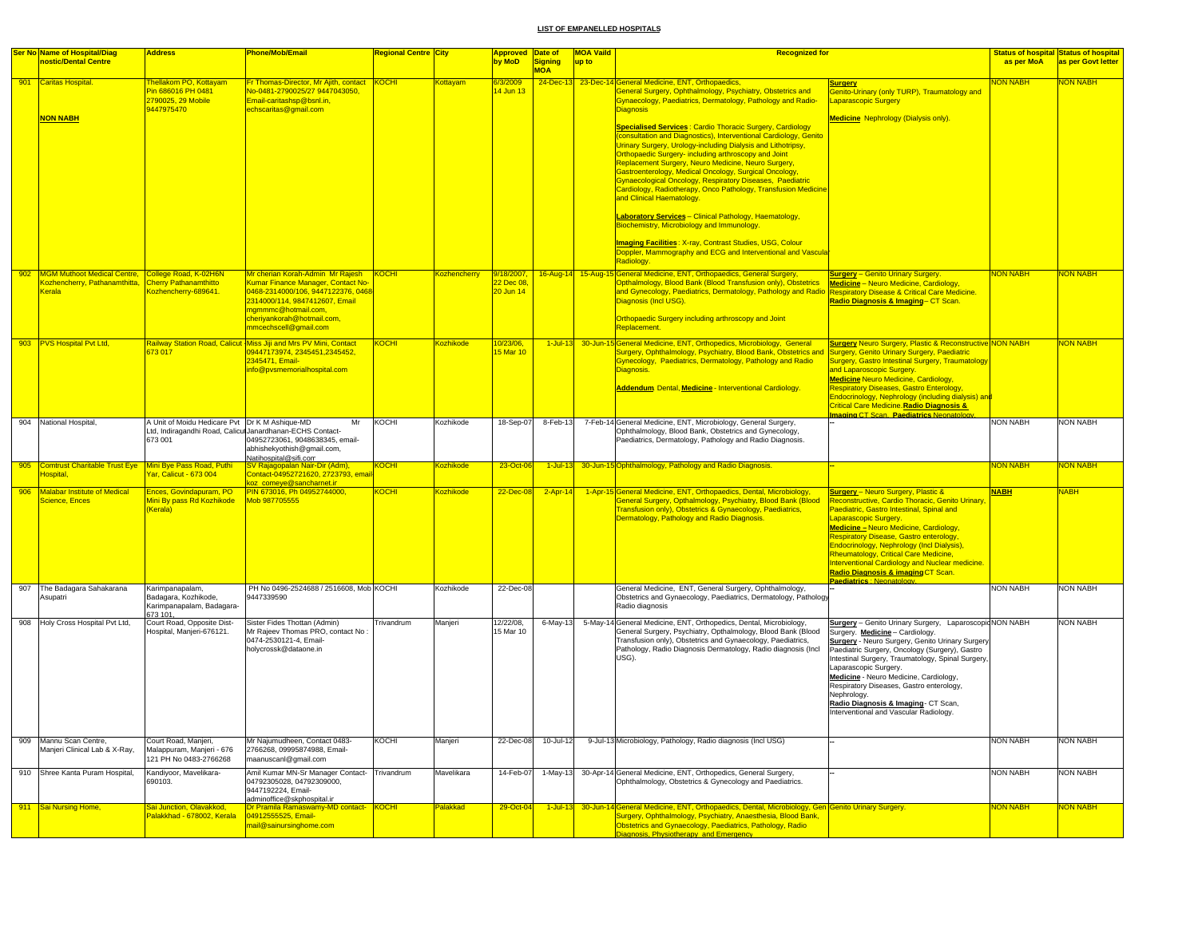|     | Ser No Name of Hospital/Diag<br>nostic/Dental Centre                       | <b>Address</b>                                                                  | <b>Phone/Mob/Email</b>                                                                                                                                                                                                      | Regional Centre <mark>City</mark> |                     | Approved Date of<br>by MoD           | Signing     | <b>MOA Vaild</b><br>up to | <b>Recognized for</b>                                                                                                                                                                                                                                                                                                                                                                                                                                                                                                                                                                                                                                                                                                                                                                                                                                                                                                                                                                                           |                                                                                                                                                                                                                                                                                                                                                                                                                                                                         | as per MoA      | <b>Status of hospital Status of hospital</b><br>as per Govt letter |
|-----|----------------------------------------------------------------------------|---------------------------------------------------------------------------------|-----------------------------------------------------------------------------------------------------------------------------------------------------------------------------------------------------------------------------|-----------------------------------|---------------------|--------------------------------------|-------------|---------------------------|-----------------------------------------------------------------------------------------------------------------------------------------------------------------------------------------------------------------------------------------------------------------------------------------------------------------------------------------------------------------------------------------------------------------------------------------------------------------------------------------------------------------------------------------------------------------------------------------------------------------------------------------------------------------------------------------------------------------------------------------------------------------------------------------------------------------------------------------------------------------------------------------------------------------------------------------------------------------------------------------------------------------|-------------------------------------------------------------------------------------------------------------------------------------------------------------------------------------------------------------------------------------------------------------------------------------------------------------------------------------------------------------------------------------------------------------------------------------------------------------------------|-----------------|--------------------------------------------------------------------|
|     |                                                                            |                                                                                 |                                                                                                                                                                                                                             |                                   |                     |                                      | <b>MOA</b>  |                           |                                                                                                                                                                                                                                                                                                                                                                                                                                                                                                                                                                                                                                                                                                                                                                                                                                                                                                                                                                                                                 |                                                                                                                                                                                                                                                                                                                                                                                                                                                                         |                 |                                                                    |
| 901 | Caritas Hospital.<br><b>NON NABH</b>                                       | hellakom PO, Kottayam<br>Pin 686016 PH 0481<br>2790025, 29 Mobile<br>9447975470 | Fr Thomas-Director, Mr Ajith, contact<br>No-0481-2790025/27 9447043050,<br>Email-caritashsp@bsnl.in,<br>echscaritas@gmail.com                                                                                               | <b>KOCHI</b>                      | ottavam             | 14 Jun 13                            |             |                           | 24-Dec-13 23-Dec-14 General Medicine, ENT, Orthopaedics,<br>General Surgery, Ophthalmology, Psychiatry, Obstetrics and<br>Gynaecology, Paediatrics, Dermatology, Pathology and Radio-<br><b>Diagnosis</b><br><b>Specialised Services: Cardio Thoracic Surgery, Cardiology</b><br>(consultation and Diagnostics), Interventional Cardiology, Genito<br>Urinary Surgery, Urology-including Dialysis and Lithotripsy,<br>Orthopaedic Surgery- including arthroscopy and Joint<br>Replacement Surgery, Neuro Medicine, Neuro Surgery,<br>Gastroenterology, Medical Oncology, Surgical Oncology,<br>Gynaecological Oncology, Respiratory Diseases, Paediatric<br>Cardiology, Radiotherapy, Onco Pathology, Transfusion Medicine<br>and Clinical Haematology.<br>Laboratory Services - Clinical Pathology, Haematology,<br>Biochemistry, Microbiology and Immunology.<br><b>Imaging Facilities: X-ray, Contrast Studies, USG, Colour</b><br>Doppler, Mammography and ECG and Interventional and Vascula<br>Radiology. | <b>Surgery</b><br><b>Senito-Urinary (only TURP), Traumatology and</b><br>aparascopic Surgery<br><b><u> Medicine</u> N</b> ephrology (Dialysis only).                                                                                                                                                                                                                                                                                                                    | <b>ON NABH</b>  | <b>VON NABH</b>                                                    |
|     | 902 MGM Muthoot Medical Centre,<br>Kozhencherry, Pathanamthitta,<br>Kerala | College Road, K-02H6N<br><b>Cherry Pathanamthitto</b><br>ozhencherry-689641.    | Mr cherian Korah-Admin Mr Raiesh<br>Kumar Finance Manager, Contact No-<br>0468-2314000/106, 9447122376, 0468<br>2314000/114, 9847412607, Email<br>ngmmmc@hotmail.com,<br>cheriyankorah@hotmail.com<br>mmcechscell@gmail.com | KOCHI                             | <b>Kozhencherry</b> | 9/18/2007,<br>22 Dec 08<br>20 Jun 14 |             |                           | 16-Aug-14 15-Aug-15 General Medicine, ENT, Orthopaedics, General Surgery,<br>Opthalmology, Blood Bank (Blood Transfusion only), Obstetrics<br>and Gynecology, Paediatrics, Dermatology, Pathology and Radio Respiratory Disease & Critical Care Medicine<br>Diagnosis (Incl USG).<br>Orthopaedic Surgery including arthroscopy and Joint<br>Replacement.                                                                                                                                                                                                                                                                                                                                                                                                                                                                                                                                                                                                                                                        | <b>Surgery</b> - Genito Urinary Surgery.<br><b>Medicine</b> - Neuro Medicine, Cardiology,<br>Radio Diagnosis & Imaging-CT Scan.                                                                                                                                                                                                                                                                                                                                         | <b>NON NABH</b> | NON NABH                                                           |
|     | 903 PVS Hospital Pvt Ltd.                                                  | 73 017                                                                          | Railway Station Road, Calicut Miss Jiji and Mrs PV Mini, Contact<br>09447173974, 2345451, 2345452,<br>2345471, Email-<br>info@pvsmemorialhospital.com                                                                       | <b>KOCHI</b>                      | Kozhikode           | 10/23/06<br>15 Mar 10                | $1$ -Jul-13 |                           | 30-Jun-15 General Medicine, ENT, Orthopedics, Microbiology, General<br>Surgery, Ophthalmology, Psychiatry, Blood Bank, Obstetrics and<br><b>Gynecology, Paediatrics, Dermatology, Pathology and Radio</b><br>Diagnosis.<br>Addendum Dental, Medicine - Interventional Cardiology.                                                                                                                                                                                                                                                                                                                                                                                                                                                                                                                                                                                                                                                                                                                               | <b><u>Surgery</u> Neuro Surgery, Plastic &amp; Reconstructive NON NABH</b><br>urgery, Genito Urinary Surgery, Paediatric<br>Surgery, Gastro Intestinal Surgery, Traumatology<br>and Laparoscopic Surgery.<br><b>Medicine Neuro Medicine, Cardiology,</b><br>Respiratory Diseases, Gastro Enterology,<br>Endocrinology, Nephrology (including dialysis) and<br><u> Critical Care Medicine Radio Diagnosis &amp;</u><br>maging CT Scan. Paediatrics Neonatology           |                 | <b>JON NABH</b>                                                    |
|     | 904 National Hospital,                                                     | A Unit of Moidu Hedicare Pvt Dr K M Ashique-MD<br>673 001                       | Mr<br>Ltd, Indiragandhi Road, Calicu Janardhanan-ECHS Contact-<br>04952723061, 9048638345, email-<br>abhishekyothish@gmail.com,<br>Natihospital@sifi.com                                                                    | KOCHI                             | Kozhikode           | 18-Sep-07                            | 8-Feb-13    |                           | 7-Feb-14 General Medicine, ENT, Microbiology, General Surgery,<br>Ophthalmology, Blood Bank, Obstetrics and Gynecology,<br>Paediatrics, Dermatology, Pathology and Radio Diagnosis.                                                                                                                                                                                                                                                                                                                                                                                                                                                                                                                                                                                                                                                                                                                                                                                                                             |                                                                                                                                                                                                                                                                                                                                                                                                                                                                         | <b>NON NABH</b> | NON NABH                                                           |
|     | 905 Comtrust Charitable Trust Eye<br>Hospital.                             | Mini Bye Pass Road, Puthi<br>ar. Calicut - 673 004                              | SV Rajagopalan Nair-Dir (Adm)<br>Contact-04952721620, 2723793, ema<br>koz, comeve@sancharnet.ir                                                                                                                             | KOCHI                             | <b>Kozhikode</b>    | 23-Oct-06                            |             |                           | 1-Jul-13 30-Jun-15 Ophthalmology, Pathology and Radio Diagnosis.                                                                                                                                                                                                                                                                                                                                                                                                                                                                                                                                                                                                                                                                                                                                                                                                                                                                                                                                                |                                                                                                                                                                                                                                                                                                                                                                                                                                                                         | <b>NON NABH</b> | <b>VON NABH</b>                                                    |
| 906 | Malabar Institute of Medical<br><b>Science, Ences</b>                      | Ences, Govindapuram, PO<br>Mini By pass Rd Kozhikode<br>Kerala)                 | PIN 673016, Ph 04952744000,<br>Mob 987705555                                                                                                                                                                                | KOCHI                             | <b>Kozhikode</b>    | 22-Dec-08                            | $2-Apr-14$  |                           | 1-Apr-15 General Medicine, ENT, Orthopaedics, Dental, Microbiology,<br>General Surgery, Opthalmology, Psychiatry, Blood Bank (Blood<br>Transfusion only), Obstetrics & Gynaecology, Paediatrics,<br>Dermatology, Pathology and Radio Diagnosis.                                                                                                                                                                                                                                                                                                                                                                                                                                                                                                                                                                                                                                                                                                                                                                 | <b>Surgery</b> - Neuro Surgery, Plastic &<br>Reconstructive, Cardio Thoracic, Genito Urinary,<br>Paediatric, Gastro Intestinal, Spinal and<br>aparascopic Surgery.<br>Medicine - Neuro Medicine, Cardiology,<br>Respiratory Disease, Gastro enterology,<br>Endocrinology, Nephrology (Incl Dialysis),<br>Rheumatology, Critical Care Medicine,<br>nterventional Cardiology and Nuclear medicine<br>Radio Diagnosis & imaging CT Scan.<br>Paediatrics : Neonatology      | <b>NABH</b>     | <b>NABH</b>                                                        |
|     | 907 The Badagara Sahakarana<br>Asupatri                                    | Karimpanapalam,<br>Badagara, Kozhikode,<br>Karimpanapalam, Badagara<br>673 101. | PH No 0496-2524688 / 2516608, Mob KOCHI<br>9447339590                                                                                                                                                                       |                                   | Kozhikode           | 22-Dec-08                            |             |                           | General Medicine, ENT, General Surgery, Ophthalmology,<br>Obstetrics and Gynaecology, Paediatrics, Dermatology, Pathology<br>Radio diagnosis                                                                                                                                                                                                                                                                                                                                                                                                                                                                                                                                                                                                                                                                                                                                                                                                                                                                    |                                                                                                                                                                                                                                                                                                                                                                                                                                                                         | <b>NON NABH</b> | <b>NON NABH</b>                                                    |
|     | 908 Holy Cross Hospital Pvt Ltd,                                           | Court Road, Opposite Dist-<br>lospital, Manjeri-676121.                         | Sister Fides Thottan (Admin)<br>Mr Rajeev Thomas PRO, contact No<br>0474-2530121-4, Email-<br>holycrossk@dataone.in                                                                                                         | Trivandrum                        | Manjeri             | 12/22/08.<br>15 Mar 10               | 6-May-13    |                           | 5-May-14 General Medicine, ENT, Orthopedics, Dental, Microbiology,<br>General Surgery, Psychiatry, Opthalmology, Blood Bank (Blood<br>Transfusion only), Obstetrics and Gynaecology, Paediatrics,<br>Pathology, Radio Diagnosis Dermatology, Radio diagnosis (Incl<br>USG).                                                                                                                                                                                                                                                                                                                                                                                                                                                                                                                                                                                                                                                                                                                                     | Surgery - Genito Urinary Surgery, Laparoscopic NON NABH<br>Surgery. Medicine - Cardiology.<br><b>Surgery</b> - Neuro Surgery, Genito Urinary Surgery<br>Paediatric Surgery, Oncology (Surgery), Gastro<br>ntestinal Surgery, Traumatology, Spinal Surgery<br>Laparascopic Surgery.<br>Medicine - Neuro Medicine, Cardiology,<br>Respiratory Diseases, Gastro enterology,<br>Nephrology.<br>Radio Diagnosis & Imaging- CT Scan,<br>nterventional and Vascular Radiology. |                 | <b>NON NABH</b>                                                    |
|     | 909 Mannu Scan Centre,<br>Manjeri Clinical Lab & X-Ray,                    | Court Road, Manjeri,<br>Malappuram, Manjeri - 676<br>121 PH No 0483-2766268     | Mr Najumudheen, Contact 0483-<br>2766268, 09995874988, Email-<br>maanuscanl@gmail.com                                                                                                                                       | <b>KOCHI</b>                      | Manjeri             | 22-Dec-08                            | 10-Jul-12   |                           | 9-Jul-13 Microbiology, Pathology, Radio diagnosis (Incl USG)                                                                                                                                                                                                                                                                                                                                                                                                                                                                                                                                                                                                                                                                                                                                                                                                                                                                                                                                                    |                                                                                                                                                                                                                                                                                                                                                                                                                                                                         | <b>NON NABH</b> | <b>NON NABH</b>                                                    |
|     | 910 Shree Kanta Puram Hospital,                                            | Kandiyoor, Mavelikara-<br>690103.                                               | Amil Kumar MN-Sr Manager Contact- Trivandrum<br>04792305028, 04792309000,<br>9447192224, Email-<br>adminoffice@skphospital.ir                                                                                               |                                   | Mavelikara          | 14-Feb-07                            | 1-May-13    |                           | 30-Apr-14 General Medicine, ENT, Orthopedics, General Surgery,<br>Ophthalmology, Obstetrics & Gynecology and Paediatrics.                                                                                                                                                                                                                                                                                                                                                                                                                                                                                                                                                                                                                                                                                                                                                                                                                                                                                       |                                                                                                                                                                                                                                                                                                                                                                                                                                                                         | <b>NON NABH</b> | <b>NON NABH</b>                                                    |
|     | 911 Sai Nursing Home,                                                      | Sai Junction, Olavakkod,<br>alakkhad - 678002, Kerala <sup>,</sup>              | Dr Pramila Ramaswamy-MD contact- KOCHI<br>04912555525, Email-<br>mail@sainursinghome.com                                                                                                                                    |                                   | Palakkad            | 29-Oct-0                             | $1$ -Jul-13 |                           | 30-Jun-14 General Medicine, ENT, Orthopaedics, Dental, Microbiology, Gen Genito Urinary Surgery.<br>Surgery, Ophthalmology, Psychiatry, Anaesthesia, Blood Bank,<br>Obstetrics and Gynaecology, Paediatrics, Pathology, Radio<br>Diagnosis, Physiotherapy and Emergency                                                                                                                                                                                                                                                                                                                                                                                                                                                                                                                                                                                                                                                                                                                                         |                                                                                                                                                                                                                                                                                                                                                                                                                                                                         | NON NABH        | <b>JON NABH</b>                                                    |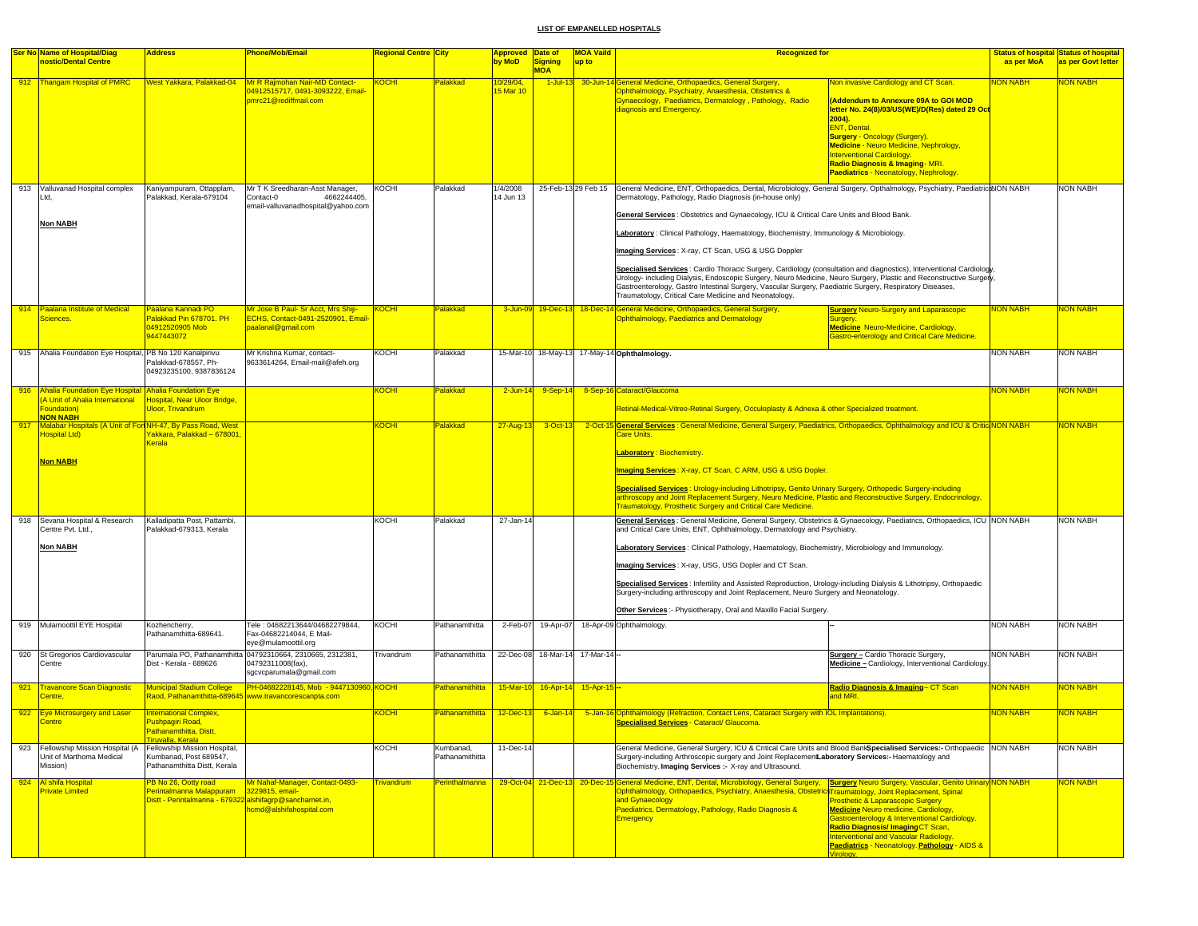|     | <b>Ser No Name of Hospital/Diag</b>                                    | <b>Address</b>                                                                                              | <b>Phone/Mob/Email</b>                                                                                     | Regional Centre  City |                              | <b>Approved Date of</b> |                | <b>MOA Vaild</b>       | <b>Recognized for</b>                                                                                                                                                                                                                                                                                                                                                                                                                                                                                                                                                                                                                                                                                                                                                                                                                                |                                                                                                                                                                                                                                                                                                                                                              |                 | <b>Status of hospital Status of hospital</b> |
|-----|------------------------------------------------------------------------|-------------------------------------------------------------------------------------------------------------|------------------------------------------------------------------------------------------------------------|-----------------------|------------------------------|-------------------------|----------------|------------------------|------------------------------------------------------------------------------------------------------------------------------------------------------------------------------------------------------------------------------------------------------------------------------------------------------------------------------------------------------------------------------------------------------------------------------------------------------------------------------------------------------------------------------------------------------------------------------------------------------------------------------------------------------------------------------------------------------------------------------------------------------------------------------------------------------------------------------------------------------|--------------------------------------------------------------------------------------------------------------------------------------------------------------------------------------------------------------------------------------------------------------------------------------------------------------------------------------------------------------|-----------------|----------------------------------------------|
|     | nostic/Dental Centre                                                   |                                                                                                             |                                                                                                            |                       |                              | by MoD                  | <b>Signing</b> | up to                  |                                                                                                                                                                                                                                                                                                                                                                                                                                                                                                                                                                                                                                                                                                                                                                                                                                                      |                                                                                                                                                                                                                                                                                                                                                              | as per MoA      | as per Govt letter                           |
|     |                                                                        |                                                                                                             |                                                                                                            |                       |                              |                         | <b>MOA</b>     |                        |                                                                                                                                                                                                                                                                                                                                                                                                                                                                                                                                                                                                                                                                                                                                                                                                                                                      |                                                                                                                                                                                                                                                                                                                                                              |                 |                                              |
|     | 912 Thangam Hospital of PMRC                                           | West Yakkara, Palakkad-04                                                                                   | Mr R Rajmohan Nair-MD Contact-<br>04912515717, 0491-3093222, Email-<br>pmrc21@rediffmail.com               | <b>KOCHI</b>          | Palakkad                     | 0/29/04<br>5 Mar 10     |                |                        | 1-Jul-13 30-Jun-14 General Medicine, Orthopaedics, General Surgery,<br>Ophthalmology, Psychiatry, Anaesthesia, Obstetrics &<br>Gynaecology, Paediatrics, Dermatology, Pathology, Radio<br>diagnosis and Emergency.                                                                                                                                                                                                                                                                                                                                                                                                                                                                                                                                                                                                                                   | Non invasive Cardiology and CT Scan.<br>Addendum to Annexure 09A to GOI MOD<br>letter No. 24(8)/03/US(WE)/D(Res) dated 29 Oct<br>$2004$ ).<br><b>ENT, Dental.</b><br><b>Surgery - Oncology (Surgery).</b><br>Medicine - Neuro Medicine, Nephrology,<br>Interventional Cardiology.<br>Radio Diagnosis & Imaging-MRI.<br>Paediatrics - Neonatology, Nephrology | NON NABH        | <b>NON NABH</b>                              |
|     |                                                                        |                                                                                                             |                                                                                                            |                       |                              |                         |                |                        |                                                                                                                                                                                                                                                                                                                                                                                                                                                                                                                                                                                                                                                                                                                                                                                                                                                      |                                                                                                                                                                                                                                                                                                                                                              |                 |                                              |
|     | 913 Valluvanad Hospital complex<br>Ltd,<br><b>Non NABH</b>             | Kaniyampuram, Ottapplam,<br>Palakkad, Kerala-679104                                                         | Mr T K Sreedharan-Asst Manager,<br>4662244405,<br>Contact-0<br>email-valluvanadhospital@yahoo.com          | KOCHI                 | Palakkad                     | 1/4/2008<br>14 Jun 13   |                | 25-Feb-13 29 Feb 15    | General Medicine, ENT, Orthopaedics, Dental, Microbiology, General Surgery, Opthalmology, Psychiatry, PaediatricsNON NABH<br>Dermatology, Pathology, Radio Diagnosis (in-house only)<br>General Services : Obstetrics and Gynaecology, ICU & Critical Care Units and Blood Bank.<br>Laboratory: Clinical Pathology, Haematology, Biochemistry, Immunology & Microbiology.<br>Imaging Services: X-ray, CT Scan, USG & USG Doppler<br>Specialised Services : Cardio Thoracic Surgery, Cardiology (consultation and diagnostics), Interventional Cardiology<br>Urology- including Dialysis, Endoscopic Surgery, Neuro Medicine, Neuro Surgery, Plastic and Reconstructive Surgery,<br>Gastroenterology, Gastro Intestinal Surgery, Vascular Surgery, Paediatric Surgery, Respiratory Diseases,<br>Traumatology, Critical Care Medicine and Neonatology. |                                                                                                                                                                                                                                                                                                                                                              |                 | <b>NON NABH</b>                              |
|     | 914 Paalana Institute of Medical                                       | Paalana Kannadi PO                                                                                          | Mr Jose B Paul- Sr Acct, Mrs Shiji-                                                                        | <b>KOCHI</b>          | <b>alakkad</b>               |                         |                |                        | 3-Jun-09 19-Dec-13 18-Dec-14 General Medicine, Orthopaedics, General Surgery,                                                                                                                                                                                                                                                                                                                                                                                                                                                                                                                                                                                                                                                                                                                                                                        | <b>Surgery Neuro-Surgery and Laparascopic</b>                                                                                                                                                                                                                                                                                                                | <b>NON NABH</b> | <b>VON NABH</b>                              |
|     | Sciences.                                                              | Palakkad Pin 678701. PH<br>04912520905 Mob<br>9447443072                                                    | ECHS, Contact-0491-2520901, Email-<br>paalanal@gmail.com                                                   |                       |                              |                         |                |                        | <b>Ophthalmology, Paediatrics and Dermatology</b>                                                                                                                                                                                                                                                                                                                                                                                                                                                                                                                                                                                                                                                                                                                                                                                                    | surgery.<br><b>Medicine Neuro-Medicine, Cardiology,</b><br>Gastro-enterology and Critical Care Medicine.                                                                                                                                                                                                                                                     |                 |                                              |
|     | 915 Ahalia Foundation Eye Hospital, PB No 120 Kanalpirivu              | Palakkad-678557, Ph-<br>04923235100.9387836124                                                              | Mr Krishna Kumar, contact-<br>9633614264, Email-mail@afeh.org                                              | KOCHI                 | Palakkad                     |                         |                |                        | 15-Mar-10 18-May-13 17-May-14 Ophthalmology.                                                                                                                                                                                                                                                                                                                                                                                                                                                                                                                                                                                                                                                                                                                                                                                                         |                                                                                                                                                                                                                                                                                                                                                              | <b>NON NABH</b> | NON NABH                                     |
|     | 916 Ahalia Foundation Eye Hospital Ahalia Foundation Eye               |                                                                                                             |                                                                                                            | <b>OCHI</b>           | Palakkad                     | $2$ -Jun-14             | 9-Sep-14       |                        | 8-Sep-16 Cataract/Glaucoma                                                                                                                                                                                                                                                                                                                                                                                                                                                                                                                                                                                                                                                                                                                                                                                                                           |                                                                                                                                                                                                                                                                                                                                                              | <b>NON NABH</b> | <b>VON NABH</b>                              |
|     | (A Unit of Ahalia International<br>Foundation)<br>NON NABH             | Hospital, Near Uloor Bridge,<br><b>Uloor, Trivandrum</b>                                                    |                                                                                                            |                       |                              |                         |                |                        | Retinal-Medical-Vitreo-Retinal Surgery, Occuloplasty & Adnexa & other Specialized treatment.                                                                                                                                                                                                                                                                                                                                                                                                                                                                                                                                                                                                                                                                                                                                                         |                                                                                                                                                                                                                                                                                                                                                              |                 |                                              |
|     | 917 Malabar Hospitals (A Unit of For NH-47, By Pass Road, West         | Yakkara, Palakkad - 678001                                                                                  |                                                                                                            | <b>KOCHI</b>          | Palakkad                     | 27-Aug-13               | $3-Oct-13$     |                        | 2-Oct-15 General Services : General Medicine, General Surgery, Paediatrics, Orthopaedics, Ophthalmology and ICU & Critic NON NABH                                                                                                                                                                                                                                                                                                                                                                                                                                                                                                                                                                                                                                                                                                                    |                                                                                                                                                                                                                                                                                                                                                              |                 | <b>VON NABH</b>                              |
|     | <b>Non NABH</b>                                                        | Kerala                                                                                                      |                                                                                                            |                       |                              |                         |                |                        | Care Units.<br><b>Laboratory: Biochemistry.</b><br>Imaging Services: X-ray, CT Scan, C ARM, USG & USG Dopler.<br>Specialised Services : Urology-including Lithotripsy, Genito Urinary Surgery, Orthopedic Surgery-including<br>arthroscopy and Joint Replacement Surgery, Neuro Medicine, Plastic and Reconstructive Surgery, Endocrinology,<br><b>Traumatology, Prosthetic Surgery and Critical Care Medicine.</b>                                                                                                                                                                                                                                                                                                                                                                                                                                  |                                                                                                                                                                                                                                                                                                                                                              |                 |                                              |
|     | 918 Sevana Hospital & Research<br>Centre Pvt. Ltd.,<br><b>Non NABH</b> | Kalladipatta Post, Pattambi,<br>Palakkad-679313, Kerala                                                     |                                                                                                            | KOCHI                 | Palakkad                     | 27-Jan-14               |                |                        | General Services : General Medicine, General Surgery, Obstetrics & Gynaecology, Paediatrics, Orthopaedics, ICU NON NABH<br>and Critical Care Units, ENT, Ophthalmology, Dermatology and Psychiatry.<br>Laboratory Services: Clinical Pathology, Haematology, Biochemistry, Microbiology and Immunology.<br>Imaging Services: X-ray, USG, USG Dopler and CT Scan.<br>Specialised Services: Infertility and Assisted Reproduction, Urology-including Dialysis & Lithotripsy, Orthopaedic<br>Surgery-including arthroscopy and Joint Replacement, Neuro Surgery and Neonatology.<br>Other Services :- Physiotherapy, Oral and Maxillo Facial Surgery.                                                                                                                                                                                                   |                                                                                                                                                                                                                                                                                                                                                              |                 | <b>NON NABH</b>                              |
|     | 919 Mulamoottil EYE Hospital                                           | Kozhencherry,<br>Pathanamthitta-689641.                                                                     | Tele: 04682213644/04682279844,<br>Fax-04682214044, E Mail-<br>eye@mulamoottil.org                          | KOCHI                 | Pathanamthitta               | 2-Feb-07                | 19-Apr-07      |                        | 18-Apr-09 Ophthalmology.                                                                                                                                                                                                                                                                                                                                                                                                                                                                                                                                                                                                                                                                                                                                                                                                                             |                                                                                                                                                                                                                                                                                                                                                              | <b>NON NABH</b> | <b>NON NABH</b>                              |
|     | 920 St Gregorios Cardiovascular<br>Centre                              | Dist - Kerala - 689626                                                                                      | Parumala PO, Pathanamthitta 04792310664, 2310665, 2312381,<br>04792311008(fax),<br>sgcvcparumala@gmail.com | Trivandrum            | Pathanamithitta              | 22-Dec-08               |                | 18-Mar-14 17-Mar-14 -- |                                                                                                                                                                                                                                                                                                                                                                                                                                                                                                                                                                                                                                                                                                                                                                                                                                                      | Surgery - Cardio Thoracic Surgery,<br>Medicine - Cardiology, Interventional Cardiology.                                                                                                                                                                                                                                                                      | <b>NON NABH</b> | NON NABH                                     |
| 921 | <b>Travancore Scan Diagnostic</b><br>Centre.                           | <b>Municipal Stadium College</b>                                                                            | <b>PH-04682228145, Mob - 9447130960, KOCHI</b><br>Raod, Pathanamthitta-689645 www.travancorescanpta.com    |                       | Pathanamithitta              | $15-Mar-1$              |                | 16-Apr-14 15-Apr-15    |                                                                                                                                                                                                                                                                                                                                                                                                                                                                                                                                                                                                                                                                                                                                                                                                                                                      | Radio Diagnosis & Imaging- CT Scan<br>and MRI.                                                                                                                                                                                                                                                                                                               | <b>NON NABH</b> | <mark>NON NABH</mark>                        |
|     | 922 Eye Microsurgery and Laser                                         | <b>International Complex,</b><br>Pushpagiri Road.<br>Pathanamthitta, Distt.                                 |                                                                                                            | <b>KOCHI</b>          | Pathanamithitta              | $12$ -Dec-13            | $6 - Jan - 14$ |                        | 5-Jan-16 Ophthalmology (Refraction, Contact Lens, Cataract Surgery with IOL Implantations).<br><b>Specialised Services - Cataract/ Glaucoma.</b>                                                                                                                                                                                                                                                                                                                                                                                                                                                                                                                                                                                                                                                                                                     |                                                                                                                                                                                                                                                                                                                                                              | <b>NON NABH</b> | <b>NON NABH</b>                              |
| 923 | Fellowship Mission Hospital (A<br>Unit of Marthoma Medical<br>Mission) | Tiruvalla, Kerala<br>Fellowship Mission Hospital.<br>Kumbanad, Post 689547,<br>Pathanamthitta Distt, Kerala |                                                                                                            | KOCHI                 | Kumbanad,<br>Pathanamithitta | 11-Dec-14               |                |                        | General Medicine, General Surgery, ICU & Critical Care Units and Blood BankSpecialised Services:- Orthopaedic NON NABH<br>Surgery-including Arthroscopic surgery and Joint ReplacementLaboratory Services:- Haematology and<br>Biochemistry. Imaging Services :- X-ray and Ultrasound.                                                                                                                                                                                                                                                                                                                                                                                                                                                                                                                                                               |                                                                                                                                                                                                                                                                                                                                                              |                 | <b>NON NABH</b>                              |
|     | 924 Al shifa Hospital                                                  | PB No 26, Ootty road                                                                                        | Mr Nahaf-Manager, Contact-0493-                                                                            | <b>Trivandrum</b>     | <b>Perinthalmanna</b>        |                         |                |                        | 29-Oct-04 21-Dec-13 20-Dec-15 General Medicine, ENT, Dental, Microbiology, General Surgery, Surgery Neuro Surgery, Vascular, Genito Urinary NON NABH                                                                                                                                                                                                                                                                                                                                                                                                                                                                                                                                                                                                                                                                                                 |                                                                                                                                                                                                                                                                                                                                                              |                 | <b>NON NABH</b>                              |
|     | <b>Private Limited</b>                                                 | Perintalmanna Malappuram<br>Distt - Perintalmanna - 679322 alshifagrp@sancharnet.in,                        | 3229815, email-<br>hcmd@alshifahospital.com                                                                |                       |                              |                         |                |                        | Ophthalmology, Orthopaedics, Psychiatry, Anaesthesia, ObstetricsTraumatology, Joint Replacement, Spinal<br>and Gynaecology<br>Paediatrics, Dermatology, Pathology, Radio Diagnosis &<br>Emergency                                                                                                                                                                                                                                                                                                                                                                                                                                                                                                                                                                                                                                                    | <b>Prosthetic &amp; Laparascopic Surgery</b><br><b>Medicine Neuro medicine, Cardiology,</b><br>Gastroenterology & Interventional Cardiology.<br>Radio Diagnosis/ImagingCT Scan,<br>Interventional and Vascular Radiology.<br>Paediatrics - Neonatology. Pathology - AIDS &<br>irology                                                                        |                 |                                              |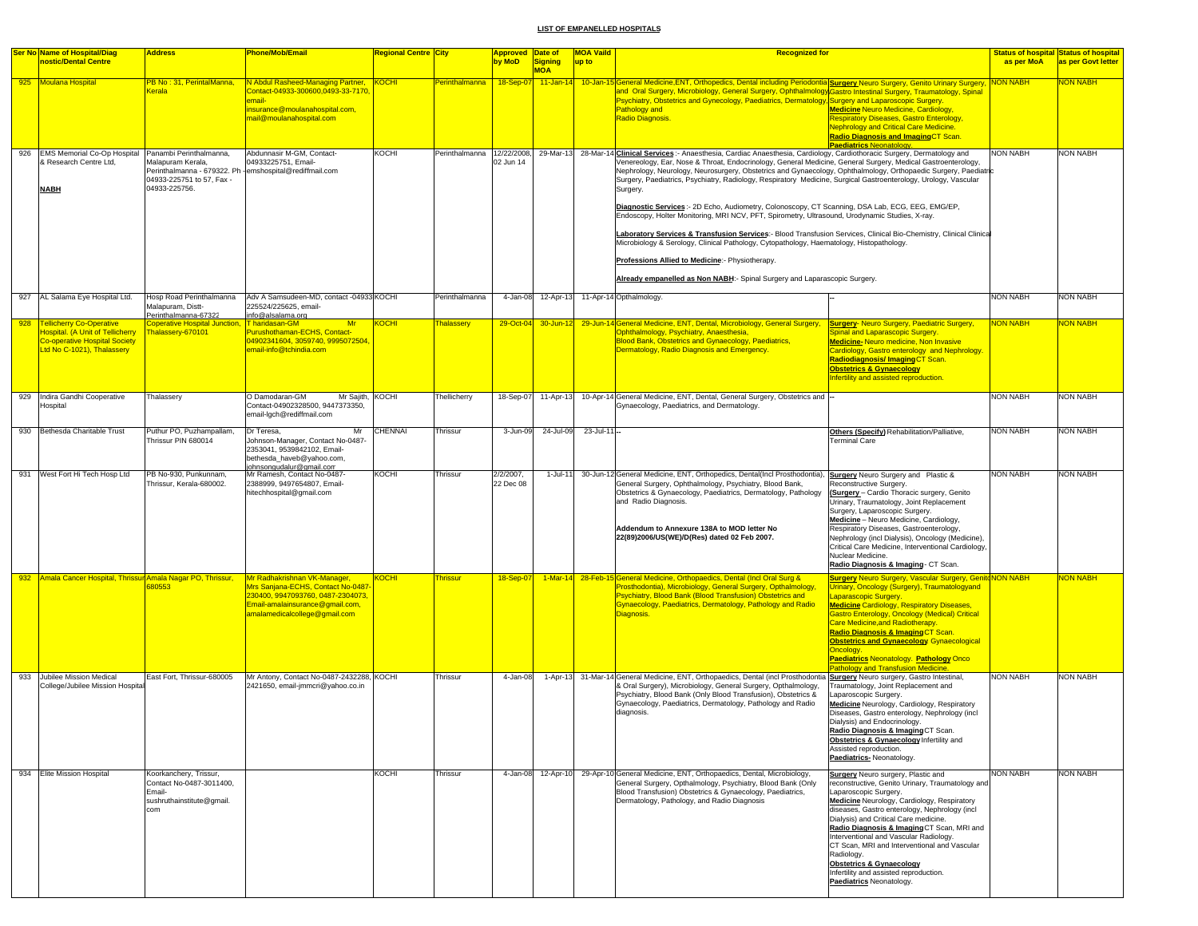|     | <b>Ser No Name of Hospital/Diag</b>                                                                                                           | <b>Address</b>                                                                                                          | <b>Phone/Mob/Email</b>                                                                                                                                                      | <b>Regional Centre City</b> |                   | <b>Approved Date of</b>  |                              | <b>MOA Vaild</b> | <b>Recognized for</b>                                                                                                                                                                                                                                                                                                                                                                                                                                                                                                                                                                                                                                                                                                                                                                                                                                                                                                                                                                                                                                   |                 | <b>Status of hospital Status of hospital</b> |
|-----|-----------------------------------------------------------------------------------------------------------------------------------------------|-------------------------------------------------------------------------------------------------------------------------|-----------------------------------------------------------------------------------------------------------------------------------------------------------------------------|-----------------------------|-------------------|--------------------------|------------------------------|------------------|---------------------------------------------------------------------------------------------------------------------------------------------------------------------------------------------------------------------------------------------------------------------------------------------------------------------------------------------------------------------------------------------------------------------------------------------------------------------------------------------------------------------------------------------------------------------------------------------------------------------------------------------------------------------------------------------------------------------------------------------------------------------------------------------------------------------------------------------------------------------------------------------------------------------------------------------------------------------------------------------------------------------------------------------------------|-----------------|----------------------------------------------|
|     | nostic/Dental Centre                                                                                                                          |                                                                                                                         |                                                                                                                                                                             |                             |                   | by MoD                   | <b>Signing</b><br><b>MOA</b> | up to            |                                                                                                                                                                                                                                                                                                                                                                                                                                                                                                                                                                                                                                                                                                                                                                                                                                                                                                                                                                                                                                                         | as per MoA      | as per Govt letter                           |
|     | 925 Moulana Hospital                                                                                                                          | <b>PB No: 31, PerintalManna</b><br><b>Cerala</b>                                                                        | N Abdul Rasheed-Managing Partner,<br>Contact-04933-300600,0493-33-7170<br>mail-<br>nsurance@moulanahospital.com,<br>nail@moulanahospital.com                                | KOCHI                       | Perinthalmanna    | 18-Sep-0                 |                              |                  | 11-Jan-14 10-Jan-15 General Medicine, ENT, Orthopedics, Dental including Periodontia Surgery Neuro Surgery, Genito Urinary Surgery<br>and Oral Surgery, Microbiology, General Surgery, Ophthalmology Gastro Intestinal Surgery, Traumatology, Spinal<br>Psychiatry, Obstetrics and Gynecology, Paediatrics, Dermatology, Surgery and Laparoscopic Surgery.<br>Pathology and<br><b>Medicine Neuro Medicine, Cardiology,</b><br>Radio Diagnosis.<br><b>Respiratory Diseases, Gastro Enterology,</b><br><b>Nephrology and Critical Care Medicine.</b><br>Radio Diagnosis and ImagingCT Scan.<br>Paediatrics Neonatology.                                                                                                                                                                                                                                                                                                                                                                                                                                   | <b>NON NABH</b> | <b>VON NABH</b>                              |
| 926 | <b>EMS Memorial Co-Op Hospital</b><br>& Research Centre Ltd,<br><b>NABH</b>                                                                   | Panambi Perinthalmanna.<br>Malapuram Kerala,<br>Perinthalmanna - 679322. Ph<br>04933-225751 to 57, Fax<br>04933-225756. | Abdunnasir M-GM, Contact-<br>04933225751, Email-<br>emshospital@rediffmail.com                                                                                              | KOCHI                       | Perinthalmanna    | 12/22/2008,<br>02 Jun 14 |                              |                  | 29-Mar-13 28-Mar-14 Clinical Services :- Anaesthesia, Cardiac Anaesthesia, Cardiology, Cardiothoracic Surgery, Dermatology and<br>Venereology, Ear, Nose & Throat, Endocrinology, General Medicine, General Surgery, Medical Gastroenterology,<br>Nephrology, Neurology, Neurosurgery, Obstetrics and Gynaecology, Ophthalmology, Orthopaedic Surgery, Paediatric<br>Surgery, Paediatrics, Psychiatry, Radiology, Respiratory Medicine, Surgical Gastroenterology, Urology, Vascular<br>Surgery.<br>Diagnostic Services: - 2D Echo, Audiometry, Colonoscopy, CT Scanning, DSA Lab, ECG, EEG, EMG/EP,<br>Endoscopy, Holter Monitoring, MRI NCV, PFT, Spirometry, Ultrasound, Urodynamic Studies, X-ray.<br>Laboratory Services & Transfusion Services:- Blood Transfusion Services, Clinical Bio-Chemistry, Clinical Clinica<br>Microbiology & Serology, Clinical Pathology, Cytopathology, Haematology, Histopathology.<br>Professions Allied to Medicine:- Physiotherapy.<br>Already empanelled as Non NABH:- Spinal Surgery and Laparascopic Surgery. | <b>NON NABH</b> | <b>NON NABH</b>                              |
|     | 927 AL Salama Eye Hospital Ltd.                                                                                                               | Hosp Road Perinthalmanna<br>Malapuram, Distt-<br>Perinthalmanna-67322                                                   | Adv A Samsudeen-MD, contact -04933 KOCHI<br>225524/225625, email-<br>info@alsalama.org                                                                                      |                             | Perinthalmanna    | 4-Jan-08                 |                              |                  | 12-Apr-13 11-Apr-14 Opthalmology.                                                                                                                                                                                                                                                                                                                                                                                                                                                                                                                                                                                                                                                                                                                                                                                                                                                                                                                                                                                                                       | <b>NON NABH</b> | <b>NON NABH</b>                              |
|     | 928 <b>Tellicherry Co-Operative</b><br>Hospital. (A Unit of Tellicherry<br><b>Co-operative Hospital Society</b><br>Ltd No C-1021), Thalassery | <b>Coperative Hospital Junction</b><br>Thalassery-670101                                                                | T haridasan-GM<br>Mr<br>Purushothaman-ECHS, Contact-<br>04902341604, 3059740, 9995072504,<br>email-info@tchindia.com                                                        | <b>KOCHI</b>                | <b>Thalassery</b> | 29-Oct-04                | 30-Jun-12                    |                  | 29-Jun-14 General Medicine, ENT, Dental, Microbiology, General Surgery,<br><b>Surgery- Neuro Surgery, Paediatric Surgery,</b><br>Ophthalmology, Psychiatry, Anaesthesia,<br>Spinal and Laparascopic Surgery.<br>Blood Bank, Obstetrics and Gynaecology, Paediatrics,<br>Medicine-Neuro medicine, Non Invasive<br>Dermatology, Radio Diagnosis and Emergency.<br>Cardiology, Gastro enterology and Nephrology.<br>Radiodiagnosis/ImagingCT Scan.<br><b>Obstetrics &amp; Gynaecology</b><br>Infertility and assisted reproduction.                                                                                                                                                                                                                                                                                                                                                                                                                                                                                                                        | <b>NON NABH</b> | NON NABH                                     |
| 929 | Indira Gandhi Cooperative<br>Hospital                                                                                                         | Thalassery                                                                                                              | O Damodaran-GM<br>Mr Sajith, KOCHI<br>Contact-04902328500, 9447373350,<br>email-loch@rediffmail.com                                                                         |                             | Thellicherry      | 18-Sep-07                | 11-Apr-13                    |                  | 10-Apr-14 General Medicine, ENT, Dental, General Surgery, Obstetrics and -<br>Gynaecology, Paediatrics, and Dermatology.                                                                                                                                                                                                                                                                                                                                                                                                                                                                                                                                                                                                                                                                                                                                                                                                                                                                                                                                | <b>NON NABH</b> | <b>NON NABH</b>                              |
| 930 | Bethesda Charitable Trust                                                                                                                     | Puthur PO, Puzhampallam,<br>Thrissur PIN 680014                                                                         | Dr Teresa,<br>Mr<br>Johnson-Manager, Contact No-0487-<br>2353041, 9539842102, Email-<br>bethesda_haveb@yahoo.com,<br>johnsongudalur@gmail.com                               | <b>CHENNAI</b>              | Thrissur          | 3-Jun-09                 | 24-Jul-09                    | 23-Jul-11-       | Others (Specify) Rehabilitation/Palliative,<br><b>Terminal Care</b>                                                                                                                                                                                                                                                                                                                                                                                                                                                                                                                                                                                                                                                                                                                                                                                                                                                                                                                                                                                     | <b>NON NABH</b> | <b>NON NABH</b>                              |
|     | 931 West Fort Hi Tech Hosp Ltd                                                                                                                | PB No-930, Punkunnam,<br>Thrissur, Kerala-680002.                                                                       | Mr Ramesh, Contact No-0487-<br>2388999, 9497654807, Email-<br>hitechhospital@gmail.com                                                                                      | KOCHI                       | Thrissur          | 2/2/2007,<br>22 Dec 08   | 1-Jul-11                     |                  | 30-Jun-12 General Medicine, ENT, Orthopedics, Dental(Incl Prosthodontia),<br>Surgery Neuro Surgery and Plastic &<br>General Surgery, Ophthalmology, Psychiatry, Blood Bank,<br>Reconstructive Surgery.<br>Obstetrics & Gynaecology, Paediatrics, Dermatology, Pathology<br>(Surgery - Cardio Thoracic surgery, Genito<br>and Radio Diagnosis.<br>Urinary, Traumatology, Joint Replacement<br>Surgery, Laparoscopic Surgery.<br>Medicine - Neuro Medicine, Cardiology,<br>Addendum to Annexure 138A to MOD letter No<br>Respiratory Diseases, Gastroenterology,<br>22(89)2006/US(WE)/D(Res) dated 02 Feb 2007.<br>Nephrology (incl Dialysis), Oncology (Medicine),<br>Critical Care Medicine, Interventional Cardiology,<br>Nuclear Medicine.<br>Radio Diagnosis & Imaging - CT Scan.                                                                                                                                                                                                                                                                    | <b>NON NABH</b> | <b>NON NABH</b>                              |
|     | 932 Amala Cancer Hospital, Thrissur Amala Nagar PO, Thrissur,                                                                                 | 80553                                                                                                                   | Mr Radhakrishnan VK-Manager,<br>Mrs Sanjana-ECHS, Contact No-0487-<br>230400, 9947093760, 0487-2304073,<br>Email-amalainsurance@gmail.com,<br>amalamedicalcollege@gmail.com | KOCHI                       | <b>Thrissur</b>   | 18-Sep-07                |                              |                  | 1-Mar-14 28-Feb-15 General Medicine, Orthopaedics, Dental (Incl Oral Surg &<br>Surgery Neuro Surgery, Vascular Surgery, GenitdNON NABH<br>Prosthodontia), Microbiology, General Surgery, Opthalmology<br>Urinary, Oncology (Surgery), Traumatologyand<br>Psychiatry, Blood Bank (Blood Transfusion) Obstetrics and<br>aparascopic Surgery.<br>Gynaecology, Paediatrics, Dermatology, Pathology and Radio<br><b>Medicine Cardiology, Respiratory Diseases,</b><br>Diagnosis.<br>Gastro Enterology, Oncology (Medical) Critical<br>Care Medicine, and Radiotherapy.<br>Radio Diagnosis & Imaging CT Scan.<br><b>Obstetrics and Gynaecology Gynaecological</b><br>Oncology.<br><b>Paediatrics Neonatology. Pathology Onco</b><br>Pathology and Transfusion Medicine.                                                                                                                                                                                                                                                                                       |                 | <b>NON NABH</b>                              |
|     | 933 Jubilee Mission Medical<br>College/Jubilee Mission Hospita                                                                                | East Fort, Thrissur-680005                                                                                              | Mr Antony, Contact No-0487-2432288, KOCHI<br>2421650, email-jmmcri@yahoo.co.in                                                                                              |                             | Thrissur          | 4-Jan-08                 |                              |                  | 1-Apr-13 31-Mar-14 General Medicine, ENT, Orthopaedics, Dental (incl Prosthodontia Surgery Neuro surgery, Gastro Intestinal,<br>& Oral Surgery), Microbiology, General Surgery, Opthalmology,<br>Traumatology, Joint Replacement and<br>Psychiatry, Blood Bank (Only Blood Transfusion), Obstetrics &<br>aparoscopic Surgery.<br>Gynaecology, Paediatrics, Dermatology, Pathology and Radio<br>Medicine Neurology, Cardiology, Respiratory<br>diagnosis.<br>Diseases, Gastro enterology, Nephrology (incl<br>Dialysis) and Endocrinology.<br>Radio Diagnosis & Imaging CT Scan.<br>Obstetrics & Gynaecology Infertility and<br>Assisted reproduction.<br>Paediatrics-Neonatology.                                                                                                                                                                                                                                                                                                                                                                       | <b>NON NABH</b> | <b>NON NABH</b>                              |
|     | 934 Elite Mission Hospital                                                                                                                    | Koorkanchery, Trissur,<br>Contact No-0487-3011400,<br>Email-<br>sushruthainstitute@gmail.<br>com                        |                                                                                                                                                                             | <b>KOCHI</b>                | Thrissur          |                          |                              |                  | 4-Jan-08 12-Apr-10 29-Apr-10 General Medicine, ENT, Orthopaedics, Dental, Microbiology,<br>Surgery Neuro surgery, Plastic and<br>General Surgery, Opthalmology, Psychiatry, Blood Bank (Only<br>reconstructive, Genito Urinary, Traumatology and<br>Blood Transfusion) Obstetrics & Gynaecology, Paediatrics,<br>Laparoscopic Surgery.<br>Dermatology, Pathology, and Radio Diagnosis<br>Medicine Neurology, Cardiology, Respiratory<br>diseases, Gastro enterology, Nephrology (incl<br>Dialysis) and Critical Care medicine.<br>Radio Diagnosis & Imaging CT Scan, MRI and<br>Interventional and Vascular Radiology.<br>CT Scan, MRI and Interventional and Vascular<br>Radiology.<br><b>Obstetrics &amp; Gynaecology</b><br>Infertility and assisted reproduction.<br>Paediatrics Neonatology.                                                                                                                                                                                                                                                       | <b>NON NABH</b> | <b>NON NABH</b>                              |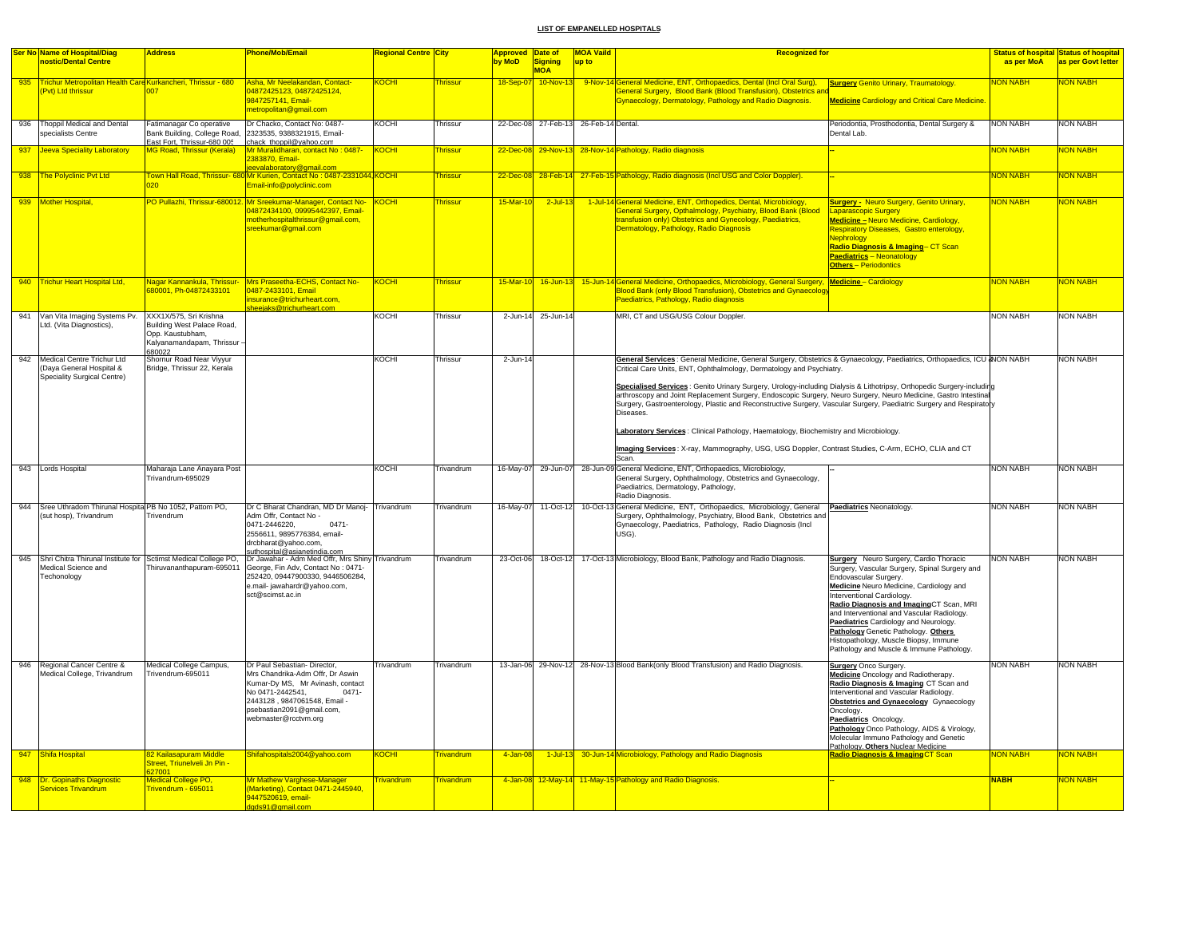|     | <b>Ser No Name of Hospital/Diag</b>                                                                      | <b>Address</b>                                                                                                  | Phone/Mob/Email                                                                                                                                                                                                           | <mark>Regional Centre City</mark> |                   | Approved Date of |                                       | <b>MOA Vaild</b> | <b>Recognized for</b>                                                                                                                                                                                                                                                                                                                                                       |                                                                                                                                                                                                                                                                                                                                                                                                                                                                |                 | <b>Status of hospital Status of hospital</b> |
|-----|----------------------------------------------------------------------------------------------------------|-----------------------------------------------------------------------------------------------------------------|---------------------------------------------------------------------------------------------------------------------------------------------------------------------------------------------------------------------------|-----------------------------------|-------------------|------------------|---------------------------------------|------------------|-----------------------------------------------------------------------------------------------------------------------------------------------------------------------------------------------------------------------------------------------------------------------------------------------------------------------------------------------------------------------------|----------------------------------------------------------------------------------------------------------------------------------------------------------------------------------------------------------------------------------------------------------------------------------------------------------------------------------------------------------------------------------------------------------------------------------------------------------------|-----------------|----------------------------------------------|
|     | nostic/Dental Centre                                                                                     |                                                                                                                 |                                                                                                                                                                                                                           |                                   |                   | by MoD           | Signing                               | up to            |                                                                                                                                                                                                                                                                                                                                                                             |                                                                                                                                                                                                                                                                                                                                                                                                                                                                | as per MoA      | as per Govt letter                           |
|     |                                                                                                          |                                                                                                                 |                                                                                                                                                                                                                           |                                   |                   |                  | <b>MOA</b>                            |                  |                                                                                                                                                                                                                                                                                                                                                                             |                                                                                                                                                                                                                                                                                                                                                                                                                                                                |                 |                                              |
| 935 | Trichur Metropolitan Health Care Kurkancheri, Thrissur - 680                                             |                                                                                                                 | Asha, Mr Neelakandan, Contact-                                                                                                                                                                                            | <b>KOCHI</b>                      | <b>Thrissur</b>   |                  |                                       |                  | 18-Sep-07 10-Nov-13 9-Nov-14 General Medicine, ENT, Orthopaedics, Dental (Incl Oral Surg),                                                                                                                                                                                                                                                                                  | <b>Surgery Genito Urinary, Traumatology.</b>                                                                                                                                                                                                                                                                                                                                                                                                                   | <b>NON NABH</b> | <b>NON NABH</b>                              |
|     | Pvt) Ltd thrissur                                                                                        | 007                                                                                                             | 04872425123, 04872425124,                                                                                                                                                                                                 |                                   |                   |                  |                                       |                  | General Surgery, Blood Bank (Blood Transfusion), Obstetrics and                                                                                                                                                                                                                                                                                                             |                                                                                                                                                                                                                                                                                                                                                                                                                                                                |                 |                                              |
|     |                                                                                                          |                                                                                                                 | 9847257141, Email-<br>metropolitan@gmail.com                                                                                                                                                                              |                                   |                   |                  |                                       |                  | <b>Gynaecology, Dermatology, Pathology and Radio Diagnosis.</b>                                                                                                                                                                                                                                                                                                             | <b>Medicine Cardiology and Critical Care Medicine</b>                                                                                                                                                                                                                                                                                                                                                                                                          |                 |                                              |
|     |                                                                                                          |                                                                                                                 |                                                                                                                                                                                                                           |                                   |                   |                  |                                       |                  |                                                                                                                                                                                                                                                                                                                                                                             |                                                                                                                                                                                                                                                                                                                                                                                                                                                                |                 |                                              |
| 936 | Thoppil Medical and Dental<br>specialists Centre                                                         | Fatimanagar Co operative<br>Bank Building, College Road,<br>East Fort, Thrissur-680 005                         | Dr Chacko, Contact No: 0487-<br>2323535, 9388321915, Email-<br>chack thoppil@yahoo.com                                                                                                                                    | <b>KOCHI</b>                      | Thrissur          |                  | 22-Dec-08 27-Feb-13 26-Feb-14 Dental. |                  |                                                                                                                                                                                                                                                                                                                                                                             | Periodontia, Prosthodontia, Dental Surgery &<br>Dental Lab.                                                                                                                                                                                                                                                                                                                                                                                                    | <b>NON NABH</b> | <b>NON NABH</b>                              |
| 937 | <b>Jeeva Speciality Laboratory</b>                                                                       | MG Road, Thrissur (Kerala)                                                                                      | Mr Muralidharan, contact No: 0487-                                                                                                                                                                                        | <b>KOCHI</b>                      | <b>hrissur</b>    | 22-Dec-0         |                                       |                  | 29-Nov-13 28-Nov-14 Pathology, Radio diagnosis                                                                                                                                                                                                                                                                                                                              |                                                                                                                                                                                                                                                                                                                                                                                                                                                                | <b>VON NABH</b> | <b>VON NABH</b>                              |
|     |                                                                                                          |                                                                                                                 | 2383870, Email-<br>eevalaboratory@gmail.com                                                                                                                                                                               |                                   |                   |                  |                                       |                  |                                                                                                                                                                                                                                                                                                                                                                             |                                                                                                                                                                                                                                                                                                                                                                                                                                                                |                 |                                              |
|     | 938 The Polyclinic Pvt Ltd                                                                               |                                                                                                                 | Town Hall Road, Thrissur- 680 Mr Kurien, Contact No : 0487-2331044 KOCHI<br>Email-info@polyclinic.com                                                                                                                     |                                   | <b>Thrissur</b>   | $22 - Dec - 08$  |                                       |                  | 28-Feb-14 27-Feb-15 Pathology, Radio diagnosis (Incl USG and Color Doppler).                                                                                                                                                                                                                                                                                                |                                                                                                                                                                                                                                                                                                                                                                                                                                                                | <b>NON NABH</b> | <b>NON NABH</b>                              |
|     | 939 Mother Hospital                                                                                      |                                                                                                                 | PO Pullazhi, Thrissur-680012. Mr Sreekumar-Manager, Contact No- KOCHI<br>04872434100, 09995442397, Email-<br>notherhospitalthrissur@gmail.com,<br>reekumar@gmail.com                                                      |                                   | <b>Thrissur</b>   | 15-Mar-10        | $2$ -Jul-13                           |                  | 1-Jul-14 General Medicine, ENT, Orthopedics, Dental, Microbiology,<br>General Surgery, Opthalmology, Psychiatry, Blood Bank (Blood<br>transfusion only) Obstetrics and Gynecology, Paediatrics,<br>Dermatology, Pathology, Radio Diagnosis                                                                                                                                  | <b>Surgery -</b> Neuro Surgery, Genito Urinary,<br><b>Laparascopic Surgery</b><br>Medicine - Neuro Medicine, Cardiology,<br>Respiratory Diseases, Gastro enterology,<br>Nephroloav<br>Radio Diagnosis & Imaging- CT Scan<br><b>Paediatrics - Neonatology</b><br><b>Others-Periodontics</b>                                                                                                                                                                     | <b>NON NABH</b> | NON NABH                                     |
|     | 940 Trichur Heart Hospital Ltd,                                                                          | Nagar Kannankula, Thrissur-<br>80001, Ph-04872433101                                                            | Mrs Praseetha-ECHS, Contact No-<br>0487-2433101, Email<br>nsurance@trichurheart.com.                                                                                                                                      | <u>KOCHI</u>                      | <b>Thrissur</b>   | $15-Mar-10$      | $16$ -Jun-13                          |                  | 15-Jun-14 General Medicine, Orthopaedics, Microbiology, General Surgery, Medicine - Cardiology<br><b>Blood Bank (only Blood Transfusion), Obstetrics and Gynaecology</b><br>Paediatrics, Pathology, Radio diagnosis                                                                                                                                                         |                                                                                                                                                                                                                                                                                                                                                                                                                                                                | <b>NON NABH</b> | <b>NON NABH</b>                              |
|     |                                                                                                          |                                                                                                                 | sheejaks@trichurheart.com                                                                                                                                                                                                 |                                   |                   |                  |                                       |                  |                                                                                                                                                                                                                                                                                                                                                                             |                                                                                                                                                                                                                                                                                                                                                                                                                                                                |                 |                                              |
|     | 941 Van Vita Imaging Systems Pv.<br>Ltd. (Vita Diagnostics),                                             | XXX1X/575, Sri Krishna<br>Building West Palace Road,<br>Opp. Kaustubham,<br>Kalyanamandapam, Thrissur<br>680022 |                                                                                                                                                                                                                           | KOCHI                             | Thrissur          |                  | 2-Jun-14 25-Jun-14                    |                  | MRI, CT and USG/USG Colour Doppler.                                                                                                                                                                                                                                                                                                                                         |                                                                                                                                                                                                                                                                                                                                                                                                                                                                | <b>NON NABH</b> | <b>NON NABH</b>                              |
| 942 | Medical Centre Trichur Ltd                                                                               | Shornur Road Near Viyyur                                                                                        |                                                                                                                                                                                                                           | KOCHI                             | Thrissur          | $2 - Jun-14$     |                                       |                  | General Services : General Medicine, General Surgery, Obstetrics & Gynaecology, Paediatrics, Orthopaedics, ICU & NON NABH                                                                                                                                                                                                                                                   |                                                                                                                                                                                                                                                                                                                                                                                                                                                                |                 | <b>NON NABH</b>                              |
|     | (Daya General Hospital &<br>Speciality Surgical Centre)                                                  | Bridge, Thrissur 22, Kerala                                                                                     |                                                                                                                                                                                                                           |                                   |                   |                  |                                       |                  | Critical Care Units, ENT, Ophthalmology, Dermatology and Psychiatry.                                                                                                                                                                                                                                                                                                        |                                                                                                                                                                                                                                                                                                                                                                                                                                                                |                 |                                              |
|     |                                                                                                          |                                                                                                                 |                                                                                                                                                                                                                           |                                   |                   |                  |                                       |                  | Specialised Services : Genito Urinary Surgery, Urology-including Dialysis & Lithotripsy, Orthopedic Surgery-including<br>arthroscopy and Joint Replacement Surgery, Endoscopic Surgery, Neuro Surgery, Neuro Medicine, Gastro Intestinal<br>Surgery, Gastroenterology, Plastic and Reconstructive Surgery, Vascular Surgery, Paediatric Surgery and Respiratory<br>Diseases |                                                                                                                                                                                                                                                                                                                                                                                                                                                                |                 |                                              |
|     |                                                                                                          |                                                                                                                 |                                                                                                                                                                                                                           |                                   |                   |                  |                                       |                  | Laboratory Services: Clinical Pathology, Haematology, Biochemistry and Microbiology.                                                                                                                                                                                                                                                                                        |                                                                                                                                                                                                                                                                                                                                                                                                                                                                |                 |                                              |
|     |                                                                                                          |                                                                                                                 |                                                                                                                                                                                                                           |                                   |                   |                  |                                       |                  | Imaging Services: X-ray, Mammography, USG, USG Doppler, Contrast Studies, C-Arm, ECHO, CLIA and CT<br>Scan.                                                                                                                                                                                                                                                                 |                                                                                                                                                                                                                                                                                                                                                                                                                                                                |                 |                                              |
|     | 943 Lords Hospital                                                                                       | Maharaja Lane Anayara Post                                                                                      |                                                                                                                                                                                                                           | KOCHI                             | <b>Trivandrum</b> |                  |                                       |                  | 16-May-07 29-Jun-07 28-Jun-09 General Medicine, ENT, Orthopaedics, Microbiology,                                                                                                                                                                                                                                                                                            |                                                                                                                                                                                                                                                                                                                                                                                                                                                                | <b>NON NABH</b> | <b>NON NABH</b>                              |
|     |                                                                                                          | Trivandrum-695029                                                                                               |                                                                                                                                                                                                                           |                                   |                   |                  |                                       |                  | General Surgery, Ophthalmology, Obstetrics and Gynaecology,<br>Paediatrics, Dermatology, Pathology,<br>Radio Diagnosis.                                                                                                                                                                                                                                                     |                                                                                                                                                                                                                                                                                                                                                                                                                                                                |                 |                                              |
|     | 944 Sree Uthradom Thirunal Hospita PB No 1052, Pattom PO,<br>(sut hosp), Trivandrum                      | Trivendrum                                                                                                      | Dr C Bharat Chandran, MD Dr Manoj- Trivandrum<br>Adm Offr, Contact No -<br>0471-2446220,<br>$0471 -$<br>2556611, 9895776384, email-<br>drcbharat@yahoo.com,<br>suthospital@asianetindia.com                               |                                   | Trivandrum        |                  | 16-May-07 11-Oct-12                   |                  | 10-Oct-13 General Medicine, ENT, Orthopaedics, Microbiology, General<br>Surgery, Ophthalmology, Psychiatry, Blood Bank, Obstetrics and<br>Gynaecology, Paediatrics, Pathology, Radio Diagnosis (Incl<br>USG).                                                                                                                                                               | Paediatrics Neonatology.                                                                                                                                                                                                                                                                                                                                                                                                                                       | <b>NON NABH</b> | <b>NON NABH</b>                              |
|     | 945 Shri Chitra Thirunal Institute for Sctimst Medical College PO.<br>Medical Science and<br>Techonology | Thiruvananthapuram-695011                                                                                       | Dr Jawahar - Adm Med Offr, Mrs Shiny Trivandrum<br>George, Fin Adv, Contact No: 0471-<br>252420, 09447900330, 9446506284,<br>e.mail- jawahardr@yahoo.com,<br>sct@scimst.ac.in                                             |                                   | Trivandrum        |                  | 23-Oct-06 18-Oct-12                   |                  | 17-Oct-13 Microbiology, Blood Bank, Pathology and Radio Diagnosis.                                                                                                                                                                                                                                                                                                          | <b>Surgery</b> Neuro Surgery, Cardio Thoracic<br>Surgery, Vascular Surgery, Spinal Surgery and<br>Endovascular Surgery.<br>Medicine Neuro Medicine, Cardiology and<br>Interventional Cardiology.<br>Radio Diagnosis and ImagingCT Scan, MRI<br>and Interventional and Vascular Radiology.<br>Paediatrics Cardiology and Neurology.<br>Pathology Genetic Pathology. Others<br>Histopathology, Muscle Biopsy, Immune<br>Pathology and Muscle & Immune Pathology. | <b>NON NABH</b> | <b>NON NABH</b>                              |
| 946 | Regional Cancer Centre &<br>Medical College, Trivandrum                                                  | Medical College Campus,<br>Trivendrum-695011                                                                    | Dr Paul Sebastian- Director,<br>Mrs Chandrika-Adm Offr, Dr Aswin<br>Kumar-Dy MS, Mr Avinash, contact<br>No 0471-2442541.<br>$0471 -$<br>2443128, 9847061548, Email -<br>psebastian2091@gmail.com,<br>webmaster@rcctvm.org | Trivandrum                        | Trivandrum        |                  |                                       |                  | 13-Jan-06 29-Nov-12 28-Nov-13 Blood Bank(only Blood Transfusion) and Radio Diagnosis.                                                                                                                                                                                                                                                                                       | <b>Surgery</b> Onco Surgery.<br>Medicine Oncology and Radiotherapy.<br>Radio Diagnosis & Imaging CT Scan and<br>Interventional and Vascular Radiology.<br>Obstetrics and Gynaecology Gynaecology<br>Oncology.<br>Paediatrics Oncology.<br>Pathology Onco Pathology, AIDS & Virology,<br>Molecular Immuno Pathology and Genetic<br>Pathology, Others Nuclear Medicine.                                                                                          | <b>NON NABH</b> | <b>NON NABH</b>                              |
| 947 | Shifa Hospital                                                                                           | 82 Kailasapuram Middle<br>Street, Triunelveli Jn Pin -                                                          | Shifahospitals2004@yahoo.com                                                                                                                                                                                              | <b>KOCHI</b>                      | <b>Trivandrum</b> | $4 - Jan-08$     |                                       |                  | 1-Jul-13 30-Jun-14 Microbiology, Pathology and Radio Diagnosis                                                                                                                                                                                                                                                                                                              | <b>Radio Diagnosis &amp; Imaging CT Scan</b>                                                                                                                                                                                                                                                                                                                                                                                                                   | NON NABH        | <mark>NON NABH</mark>                        |
|     |                                                                                                          | 327001                                                                                                          |                                                                                                                                                                                                                           |                                   |                   |                  |                                       |                  |                                                                                                                                                                                                                                                                                                                                                                             |                                                                                                                                                                                                                                                                                                                                                                                                                                                                |                 |                                              |
|     | 948 Dr. Gopinaths Diagnostic<br>Services Trivandrum                                                      | Medical College PO,<br>Trivendrum - 695011                                                                      | Mr Mathew Varghese-Manager<br>(Marketing), Contact 0471-2445940,<br>9447520619, email-<br>dgds91@gmail.com                                                                                                                | <b>Trivandrum</b>                 | <b>Trivandrum</b> |                  |                                       |                  | 4-Jan-08 12-May-14 11-May-15 Pathology and Radio Diagnosis.                                                                                                                                                                                                                                                                                                                 |                                                                                                                                                                                                                                                                                                                                                                                                                                                                | <b>NABH</b>     | <b>NON NABH</b>                              |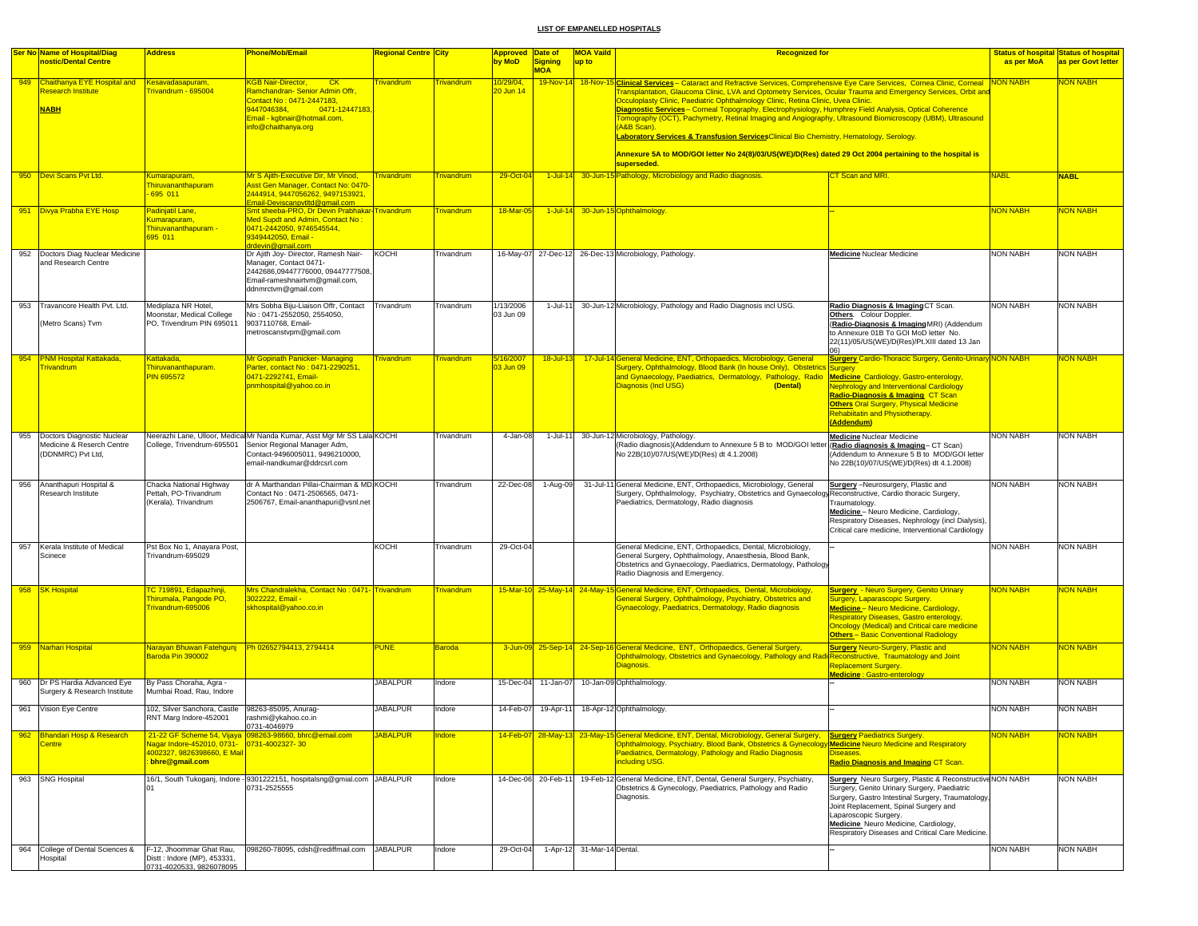|     | <b>Ser No Name of Hospital/Diag</b>                                          | <b>Address</b>                                                                              | <b>Phone/Mob/Email</b>                                                                                                                                                                  | <b>Regional Centre City</b> |                    | <b>Approved Date of</b> |                     | <b>MOA Vaild</b><br><b>Recognized for</b>                                                                                                                                                                                                                                                                                                                                                                                                                                                                                                                                                                                                                                                                                                                                                                   |                 | <b>Status of hospital Status of hospital</b> |
|-----|------------------------------------------------------------------------------|---------------------------------------------------------------------------------------------|-----------------------------------------------------------------------------------------------------------------------------------------------------------------------------------------|-----------------------------|--------------------|-------------------------|---------------------|-------------------------------------------------------------------------------------------------------------------------------------------------------------------------------------------------------------------------------------------------------------------------------------------------------------------------------------------------------------------------------------------------------------------------------------------------------------------------------------------------------------------------------------------------------------------------------------------------------------------------------------------------------------------------------------------------------------------------------------------------------------------------------------------------------------|-----------------|----------------------------------------------|
|     | nostic/Dental Centre                                                         |                                                                                             |                                                                                                                                                                                         |                             |                    | by MoD                  | <b>Signing</b>      | up to                                                                                                                                                                                                                                                                                                                                                                                                                                                                                                                                                                                                                                                                                                                                                                                                       | as per MoA      | as per Govt letter                           |
|     | 949 Chaithanya EYE Hospital and<br><b>Research Institute</b><br><b>NABH</b>  | Kesavadasapuram,<br>Frivandrum - 695004                                                     | <b>KGB Nair-Director,</b><br>CK<br>Ramchandran- Senior Admin Offr.<br>Contact No: 0471-2447183,<br>0471-12447183,<br>9447046384.<br>Email - kgbnair@hotmail.com,<br>info@chaithanya.org | rivandrum                   | <b>Frivandrum</b>  | 0/29/04<br>0 Jun 14     | <b>MOA</b>          | 19-Nov-14 18-Nov-15 Clinical Services - Cataract and Refractive Services, Comprehensive Eye Care Services, Cornea Clinic, Corneal NON NABH<br>Transplantation, Glaucoma Clinic, LVA and Optometry Services, Ocular Trauma and Emergency Services, Orbit and<br>Occuloplasty Clinic, Paediatric Ophthalmology Clinic, Retina Clinic, Uvea Clinic.<br>Diagnostic Services - Corneal Topography, Electrophysiology, Humphrey Field Analysis, Optical Coherence<br>Tomography (OCT), Pachymetry, Retinal Imaging and Angiography, Ultrasound Biomicroscopy (UBM), Ultrasound<br>(A&B Scan).<br>Laboratory Services & Transfusion ServicesClinical Bio Chemistry, Hematology, Serology<br>Annexure 5A to MOD/GOI letter No 24(8)/03/US(WE)/D(Res) dated 29 Oct 2004 pertaining to the hospital is<br>superseded. |                 | <b>JON NABH</b>                              |
|     | 950 Devi Scans Pvt Ltd.                                                      | Kumarapuram,                                                                                | Mr S Ajith-Executive Dir, Mr Vinod,                                                                                                                                                     | Trivandrum                  | <b>Frivandrum</b>  | 29-Oct-04               |                     | 1-Jul-14 30-Jun-15 Pathology, Microbiology and Radio diagnosis.<br>CT Scan and MRI.                                                                                                                                                                                                                                                                                                                                                                                                                                                                                                                                                                                                                                                                                                                         | <b>NABL</b>     | <b>NABL</b>                                  |
|     |                                                                              | <b>Thiruvananthapuram</b><br>695 011                                                        | Asst Gen Manager, Contact No: 0470<br>2444914, 9447056262, 9497153921,<br>Email-Deviscanpvtltd@gmail.com                                                                                |                             |                    |                         |                     |                                                                                                                                                                                                                                                                                                                                                                                                                                                                                                                                                                                                                                                                                                                                                                                                             |                 |                                              |
|     | 951 Divya Prabha EYE Hosp                                                    | <mark>Padinjatil Lane,</mark><br>Kumarapuram,<br>Thiruvananthapuram -<br>695 011            | Smt sheeba-PRO, Dr Devin Prabhakar-Trivandrum<br>Med Supdt and Admin, Contact No:<br>0471-2442050.9746545544.<br>9349442050, Email -                                                    |                             | <b>Trivandrum</b>  | 18-Mar-05               |                     | 1-Jul-14 30-Jun-15 Ophthalmology                                                                                                                                                                                                                                                                                                                                                                                                                                                                                                                                                                                                                                                                                                                                                                            | NON NABH        | <b>VON NABH</b>                              |
|     | 952 Doctors Diag Nuclear Medicine<br>and Research Centre                     |                                                                                             | Irdevin@gmail.com<br>Dr Ajith Joy- Director, Ramesh Nair-<br>Manager, Contact 0471-<br>2442686,09447776000, 09447777508,<br>Email-rameshnairtvm@gmail.com,<br>ddnmrctvm@gmail.com       | KOCHI                       | <b>Trivandrum</b>  |                         |                     | 16-May-07 27-Dec-12 26-Dec-13 Microbiology, Pathology.<br><b>Medicine Nuclear Medicine</b>                                                                                                                                                                                                                                                                                                                                                                                                                                                                                                                                                                                                                                                                                                                  | <b>NON NABH</b> | NON NABH                                     |
| 953 | Travancore Health Pvt. Ltd.<br>(Metro Scans) Tvm                             | Mediplaza NR Hotel,<br>Moonstar, Medical College<br>PO, Trivendrum PIN 695011               | Mrs Sobha Biju-Liaison Offr, Contact<br>No: 0471-2552050, 2554050.<br>9037110768, Email-<br>metroscanstvpm@gmail.com                                                                    | Trivandrum                  | Trivandrum         | 1/13/2006<br>03 Jun 09  | $1 -$ Jul-11        | 30-Jun-12 Microbiology, Pathology and Radio Diagnosis incl USG.<br>Radio Diagnosis & Imaging CT Scan.<br>Others. Colour Doppler.<br>(Radio-Diagnosis & ImagingMRI) (Addendum<br>to Annexure 01B To GOI MoD letter No.<br>22(11)/05/US(WE)/D(Res)/Pt.XIII dated 13 Jan                                                                                                                                                                                                                                                                                                                                                                                                                                                                                                                                       | <b>NON NABH</b> | <b>NON NABH</b>                              |
|     | 954 PNM Hospital Kattakada,                                                  | Kattakada,                                                                                  | Mr Gopinath Panicker- Managing                                                                                                                                                          | rivandrum <sup>-</sup>      | <b>Frivandrum</b>  | <mark>16/2007</mark> \  | $18 -$ Jul-13       | 17-Jul-14 General Medicine, ENT, Orthopaedics, Microbiology, General<br><b>Surgery Cardio-Thoracic Surgery, Genito-Urinary NON NABH</b>                                                                                                                                                                                                                                                                                                                                                                                                                                                                                                                                                                                                                                                                     |                 | <b>JON NABH</b>                              |
|     | <b>Trivandrum</b>                                                            | Thiruvananthapuram.<br><b>PIN 695572</b>                                                    | Parter, contact No: 0471-2290251<br>0471-2292741, Email-<br>pnmhospital@yahoo.co.in                                                                                                     |                             |                    | 3 Jun 09                |                     | Surgery, Ophthalmology, Blood Bank (In house Only), Obstetrics Surgery<br>and Gynaecology, Paediatrics, Dermatology, Pathology, Radio<br><b>Medicine</b> Cardiology, Gastro-enterology,<br><b>Diagnosis (Incl USG)</b><br>(Dental)<br><b>Nephrology and Interventional Cardiology</b><br>Radio-Diagnosis & Imaging CT Scan<br><b>Others Oral Surgery, Physical Medicine</b><br><b>Rehabiltatin and Physiotherapy.</b><br>(Addendum)                                                                                                                                                                                                                                                                                                                                                                         |                 |                                              |
| 955 | Doctors Diagnostic Nuclear<br>Medicine & Reserch Centre<br>(DDNMRC) Pvt Ltd, | College, Trivendrum-695501                                                                  | Neerazhi Lane, Ulloor, Medical Mr Nanda Kumar, Asst Mgr Mr SS Lala KOCHI<br>Senior Regional Manager Adm,<br>Contact-9496005011, 9496210000,<br>email-nandkumar@ddrcsrl.com              |                             | <b>Trivandrum</b>  | 4-Jan-08                | 1-Jul-11            | 30-Jun-12 Microbiology, Pathology.<br>Medicine Nuclear Medicine<br>(Radio diagnosis & Imaging-CT Scan)<br>(Radio diagnosis)(Addendum to Annexure 5 B to MOD/GOI letter<br>No 22B(10)/07/US(WE)/D(Res) dt 4.1.2008)<br>(Addendum to Annexure 5 B to MOD/GOI letter<br>No 22B(10)/07/US(WE)/D(Res) dt 4.1.2008)                                                                                                                                                                                                                                                                                                                                                                                                                                                                                               | <b>NON NABH</b> | NON NABH                                     |
| 956 | Ananthapuri Hospital &<br>Research Institute                                 | Chacka National Highway<br>Pettah, PO-Trivandrum<br>(Kerala), Trivandrum                    | dr A Marthandan Pillai-Chairman & MD KOCHI<br>Contact No: 0471-2506565, 0471-<br>2506767, Email-ananthapuri@vsnl.net                                                                    |                             | <b>Trivandrum</b>  | 22-Dec-08               | 1-Aug-09            | 31-Jul-11 General Medicine, ENT, Orthopaedics, Microbiology, General<br>Surgery -Neurosurgery, Plastic and<br>Surgery, Ophthalmology, Psychiatry, Obstetrics and Gynaecology Reconstructive, Cardio thoracic Surgery,<br>Paediatrics, Dermatology, Radio diagnosis<br>Traumatology.<br>Medicine - Neuro Medicine, Cardiology,<br>Respiratory Diseases, Nephrology (incl Dialysis),<br>Critical care medicine, Interventional Cardiology                                                                                                                                                                                                                                                                                                                                                                     | <b>NON NABH</b> | <b>NON NABH</b>                              |
| 957 | Kerala Institute of Medical<br>Scinece                                       | Pst Box No 1, Anayara Post,<br>Trivandrum-695029                                            |                                                                                                                                                                                         | KOCHI                       | Trivandrum         | 29-Oct-04               |                     | General Medicine, ENT, Orthopaedics, Dental, Microbiology,<br>General Surgery, Ophthalmology, Anaesthesia, Blood Bank,<br>Obstetrics and Gynaecology, Paediatrics, Dermatology, Pathology<br>Radio Diagnosis and Emergency.                                                                                                                                                                                                                                                                                                                                                                                                                                                                                                                                                                                 | <b>NON NABH</b> | <b>NON NABH</b>                              |
| 958 | <b>SK Hospital</b>                                                           | TC 719891, Edapazhinji,<br>Thirumala, Pangode PO,<br>Trivandrum-695006                      | Mrs Chandralekha, Contact No: 0471-Trivandrum<br>3022222, Email -<br>skhospital@yahoo.co.in                                                                                             |                             | <u> Frivandrum</u> |                         |                     | 15-Mar-10 25-May-14 24-May-15 General Medicine, ENT, Orthopaedics, Dental, Microbiology<br><b>Surgery - Neuro Surgery, Genito Urinary</b><br>General Surgery, Ophthalmology, Psychiatry, Obstetrics and<br>Surgery, Laparascopic Surgery.<br>Gynaecology, Paediatrics, Dermatology, Radio diagnosis<br>Medicine - Neuro Medicine, Cardiology,<br>Respiratory Diseases, Gastro enterology,<br><b>Oncology (Medical) and Critical care medicine</b><br><b>Others-Basic Conventional Radiology</b>                                                                                                                                                                                                                                                                                                             | <b>VON NABH</b> | ION NABH                                     |
|     | 959 Narhari Hospital                                                         | Narayan Bhuwan Fatehgunj Ph 02652794413, 2794414<br>Baroda Pin 390002                       |                                                                                                                                                                                         | <b>PUNE</b>                 | <b>Baroda</b>      |                         |                     | 3-Jun-09 25-Sep-14 24-Sep-16 General Medicine, ENT, Orthopaedics, General Surgery,<br><b>Surgery Neuro-Surgery, Plastic and</b><br>Ophthalmology, Obstetrics and Gynaecology, Pathology and Radi Reconstructive, Traumatology and Joint<br>Diagnosis.<br>Replacement Surgery.<br>Medicine : Gastro-enterology                                                                                                                                                                                                                                                                                                                                                                                                                                                                                               | <b>NON NABH</b> | <mark>NON NABH</mark>                        |
| 960 | Dr PS Hardia Advanced Eye<br>Surgery & Research Institute                    | By Pass Choraha, Agra -<br>Mumbai Road, Rau, Indore                                         |                                                                                                                                                                                         | <b>JABALPUR</b>             | Indore             | 15-Dec-04               | 11-Jan-07           | 10-Jan-09 Ophthalmology.                                                                                                                                                                                                                                                                                                                                                                                                                                                                                                                                                                                                                                                                                                                                                                                    | <b>NON NABH</b> | <b>NON NABH</b>                              |
| 961 | Vision Eye Centre                                                            | 102, Silver Sanchora, Castle 98263-85095, Anuraq-<br>RNT Marg Indore-452001                 | rashmi@ykahoo.co.in<br>0731-4046979                                                                                                                                                     | <b>JABALPUR</b>             | Indore             | 14-Feb-07               | 19-Apr-11           | 18-Apr-12 Ophthalmology.                                                                                                                                                                                                                                                                                                                                                                                                                                                                                                                                                                                                                                                                                                                                                                                    | <b>NON NABH</b> | <b>NON NABH</b>                              |
|     | 962 Bhandari Hosp & Research<br>Centre                                       | Nagar Indore-452010, 0731- 0731-4002327-30<br>4002327, 9826398660, E Mail<br>bhre@gmail.com | 21-22 GF Scheme 54, Vijaya 098263-98660, bhrc@email.com                                                                                                                                 | <b>JABALPUR</b>             | ndore              |                         |                     | 14-Feb-07 28-May-13 23-May-15 General Medicine, ENT, Dental, Microbiology, General Surgery,<br><b>Surgery Paediatrics Surgery.</b><br>Ophthalmology, Psychiatry, Blood Bank, Obstetrics & Gynecology Medicine Neuro Medicine and Respiratory<br>Paediatrics, Dermatology, Pathology and Radio Diagnosis<br>Diseases.<br>including USG.<br><b>Radio Diagnosis and Imaging CT Scan.</b>                                                                                                                                                                                                                                                                                                                                                                                                                       | <b>NON NABH</b> | <b>JON NABH</b>                              |
|     | 963 SNG Hospital                                                             |                                                                                             | 16/1, South Tukoganj, Indore - 9301222151, hospitalsng@gmial.com JABALPUR<br>0731-2525555                                                                                               |                             | Indore             |                         | 14-Dec-06 20-Feb-11 | 19-Feb-12 General Medicine, ENT, Dental, General Surgery, Psychiatry,<br>Surgery Neuro Surgery, Plastic & Reconstructive NON NABH<br>Obstetrics & Gynecology, Paediatrics, Pathology and Radio<br>Surgery, Genito Urinary Surgery, Paediatric<br>Surgery, Gastro Intestinal Surgery, Traumatology,<br>Diagnosis.<br>Joint Replacement, Spinal Surgery and<br>Laparoscopic Surgery.<br>Medicine Neuro Medicine, Cardiology,<br>Respiratory Diseases and Critical Care Medicine.                                                                                                                                                                                                                                                                                                                              |                 | <b>NON NABH</b>                              |
|     | 964 College of Dental Sciences &<br>Hospital                                 | F-12, Jhoommar Ghat Rau,<br>Distt : Indore (MP), 453331,<br>0731-4020533, 9826078095        | 098260-78095, cdsh@rediffmail.com JABALPUR                                                                                                                                              |                             | Indore             | 29-Oct-04               |                     | 1-Apr-12 31-Mar-14 Dental.                                                                                                                                                                                                                                                                                                                                                                                                                                                                                                                                                                                                                                                                                                                                                                                  | <b>NON NABH</b> | <b>NON NABH</b>                              |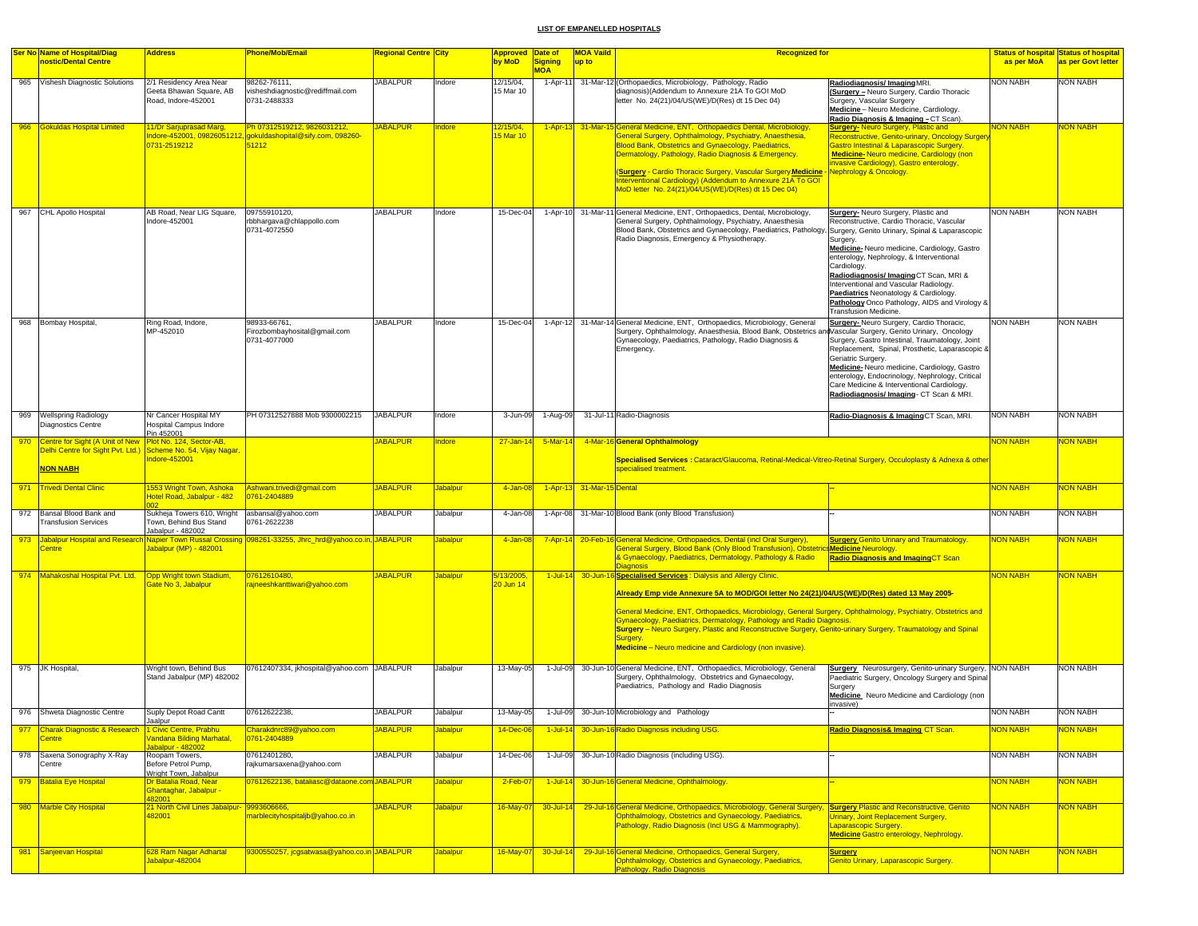|     | <b>Ser No Name of Hospital/Diag</b>                                              | <b>Address</b>                                                                     | <b>Phone/Mob/Email</b>                                                                               | Regional Centre  City |                 | <b>Approved Date of</b>              |                              | <b>MOA Vaild</b>          | <b>Recognized for</b>                                                                                                                                                                                                                                                                                                                                                                                                                                                                                                                                                |                                                                                                                                                                                                                                                                                                                                                                                                             |                 | <b>Status of hospital Status of hospital</b> |
|-----|----------------------------------------------------------------------------------|------------------------------------------------------------------------------------|------------------------------------------------------------------------------------------------------|-----------------------|-----------------|--------------------------------------|------------------------------|---------------------------|----------------------------------------------------------------------------------------------------------------------------------------------------------------------------------------------------------------------------------------------------------------------------------------------------------------------------------------------------------------------------------------------------------------------------------------------------------------------------------------------------------------------------------------------------------------------|-------------------------------------------------------------------------------------------------------------------------------------------------------------------------------------------------------------------------------------------------------------------------------------------------------------------------------------------------------------------------------------------------------------|-----------------|----------------------------------------------|
|     | nostic/Dental Centre                                                             |                                                                                    |                                                                                                      |                       |                 | by MoD                               | <b>Signing</b><br><b>MOA</b> | up to                     |                                                                                                                                                                                                                                                                                                                                                                                                                                                                                                                                                                      |                                                                                                                                                                                                                                                                                                                                                                                                             | as per MoA      | as per Govt letter                           |
|     | 965 Vishesh Diagnostic Solutions                                                 | 2/1 Residency Area Near<br>Geeta Bhawan Square, AB<br>Road, Indore-452001          | 98262-76111,<br>visheshdiagnostic@rediffmail.com<br>0731-2488333                                     | <b>JABALPUR</b>       | Indore          | 12/15/04,<br>15 Mar 10               | 1-Apr-11                     |                           | 31-Mar-12 (Orthopaedics, Microbiology, Pathology, Radio<br>diagnosis)(Addendum to Annexure 21A To GOI MoD<br>letter No. 24(21)/04/US(WE)/D(Res) dt 15 Dec 04)                                                                                                                                                                                                                                                                                                                                                                                                        | Radiodiagnosis/ImagingMRI.<br>(Surgery - Neuro Surgery, Cardio Thoracic<br>Surgery, Vascular Surgery<br>Medicine - Neuro Medicine, Cardiology.<br>Radio Diagnosis & Imaging - CT Scan).                                                                                                                                                                                                                     | <b>VON NABH</b> | <b>NON NABH</b>                              |
|     | 966 Gokuldas Hospital Limited                                                    | 11/Dr Sarjuprasad Marg,<br>0731-2519212                                            | Ph 07312519212, 9826031212,<br>ndore-452001, 09826051212, gokuldashopital@sify.com, 098260-<br>51212 | <b>JABALPUR</b>       | Indore          | <u> 2/15/04,</u><br>5 Mar 10         |                              |                           | 1-Apr-13 31-Mar-15 General Medicine, ENT, Orthopaedics Dental, Microbiology,<br>General Surgery, Ophthalmology, Psychiatry, Anaesthesia,<br>Blood Bank, Obstetrics and Gynaecology, Paediatrics,<br>Dermatology, Pathology, Radio Diagnosis & Emergency.<br>(Surgery - Cardio Thoracic Surgery, Vascular Surgery Medicine<br>Interventional Cardiology) (Addendum to Annexure 21A To GOI<br>MoD letter No. 24(21)/04/US(WE)/D(Res) dt 15 Dec 04)                                                                                                                     | <b>Surgery-Neuro Surgery, Plastic and</b><br>Reconstructive, Genito-urinary, Oncology Surger<br><b>Gastro Intestinal &amp; Laparascopic Surgery.</b><br>Medicine-Neuro medicine, Cardiology (non<br>ivasive Cardiology), Gastro enterology,<br><b>Nephrology &amp; Oncology.</b>                                                                                                                            | <b>VON NABH</b> | <b>JON NABH</b>                              |
|     | 967 CHL Apollo Hospital                                                          | AB Road, Near LIG Square,<br>Indore-452001                                         | 09755910120.<br>rbbhargava@chlappollo.com<br>0731-4072550                                            | <b>JABALPUR</b>       | Indore          | 15-Dec-04                            | $1-Apr-10$                   |                           | 31-Mar-11 General Medicine, ENT, Orthopaedics, Dental, Microbiology,<br>General Surgery, Ophthalmology, Psychiatry, Anaesthesia<br>Blood Bank, Obstetrics and Gynaecology, Paediatrics, Pathology, Surgery, Genito Urinary, Spinal & Laparascopic<br>Radio Diagnosis, Emergency & Physiotherapy.                                                                                                                                                                                                                                                                     | Surgery- Neuro Surgery, Plastic and<br>Reconstructive, Cardio Thoracic, Vascular<br>Surgery.<br>Medicine-Neuro medicine, Cardiology, Gastro<br>enterology, Nephrology, & Interventional<br>Cardiology.<br>Radiodiagnosis/ImagingCT Scan, MRI &<br>Interventional and Vascular Radiology.<br>Paediatrics Neonatology & Cardiology.<br>Pathology Onco Pathology, AIDS and Virology 8<br>Transfusion Medicine. | NON NABH        | <b>NON NABH</b>                              |
|     | 968 Bombay Hospital                                                              | Ring Road, Indore,<br>MP-452010                                                    | 98933-66761,<br>Firozbombayhosital@gmail.com<br>0731-4077000                                         | <b>JABALPUR</b>       | Indore          | 15-Dec-04                            |                              |                           | 1-Apr-12 31-Mar-14 General Medicine, ENT, Orthopaedics, Microbiology, General<br>Surgery, Ophthalmology, Anaesthesia, Blood Bank, Obstetrics andVascular Surgery, Genito Urinary, Oncology<br>Gynaecology, Paediatrics, Pathology, Radio Diagnosis &<br>Emergency.                                                                                                                                                                                                                                                                                                   | Surgery-Neuro Surgery, Cardio Thoracic,<br>Surgery, Gastro Intestinal, Traumatology, Joint<br>Replacement, Spinal, Prosthetic, Laparascopic &<br>Geriatric Surgery.<br>Medicine-Neuro medicine, Cardiology, Gastro<br>enterology, Endocrinology, Nephrology, Critical<br>Care Medicine & Interventional Cardiology.<br>Radiodiagnosis/ Imaging- CT Scan & MRI.                                              | NON NABH        | <b>NON NABH</b>                              |
|     | 969 Wellspring Radiology<br>Diagnostics Centre                                   | Nr Cancer Hospital MY<br>Hospital Campus Indore<br>Pin 452001                      | PH 07312527888 Mob 9300002215                                                                        | <b>JABALPUR</b>       | Indore          | 3-Jun-09                             | 1-Aug-09                     |                           | 31-Jul-11 Radio-Diagnosis                                                                                                                                                                                                                                                                                                                                                                                                                                                                                                                                            | Radio-Diagnosis & Imaging CT Scan, MRI.                                                                                                                                                                                                                                                                                                                                                                     | <b>NON NABH</b> | <b>NON NABH</b>                              |
|     | 970 Centre for Sight (A Unit of New                                              | Plot No. 124, Sector-AB,                                                           |                                                                                                      | <b>JABALPUR</b>       | ndore           | $27 - Jan - 14$                      | $5-Mar-14$                   |                           | 4-Mar-16 General Ophthalmology                                                                                                                                                                                                                                                                                                                                                                                                                                                                                                                                       |                                                                                                                                                                                                                                                                                                                                                                                                             | <b>VON NABH</b> | <b>JON NABH</b>                              |
|     | Delhi Centre for Sight Pvt. Ltd.) Scheme No. 54, Vijay Nagar,<br><b>NON NABH</b> | Indore-452001                                                                      |                                                                                                      |                       |                 |                                      |                              |                           | Specialised Services : Cataract/Glaucoma, Retinal-Medical-Vitreo-Retinal Surgery, Occuloplasty & Adnexa & other<br>specialised treatment.                                                                                                                                                                                                                                                                                                                                                                                                                            |                                                                                                                                                                                                                                                                                                                                                                                                             |                 |                                              |
| 971 | <b>Trivedi Dental Clinic</b>                                                     | 1553 Wright Town, Ashoka<br>Hotel Road, Jabalpur - 482                             | Ashwani.trivedi@gmail.com<br>0761-2404889                                                            | <b>JABALPUR</b>       | <b>Jabalpur</b> | 4-Jan-08                             |                              | 1-Apr-13 31-Mar-15 Dental |                                                                                                                                                                                                                                                                                                                                                                                                                                                                                                                                                                      |                                                                                                                                                                                                                                                                                                                                                                                                             | NON NABH        | <b>NON NABH</b>                              |
|     | 972 Bansal Blood Bank and<br><b>Transfusion Services</b>                         | Sukheja Towers 610, Wright<br>Town, Behind Bus Stand<br>Jabalpur - 482002          | asbansal@yahoo.com<br>0761-2622238                                                                   | <b>JABALPUR</b>       | Jabalpur        | 4-Jan-08                             |                              |                           | 1-Apr-08 31-Mar-10 Blood Bank (only Blood Transfusion)                                                                                                                                                                                                                                                                                                                                                                                                                                                                                                               |                                                                                                                                                                                                                                                                                                                                                                                                             | NON NABH        | <b>NON NABH</b>                              |
|     | 973 Jabalpur Hospital and Research<br><b>Centre</b>                              | Jabalpur (MP) - 482001                                                             | Napier Town Russal Crossing 098261-33255, Jhrc_hrd@yahoo.co.in, JABALPUR                             |                       | <b>Jabalpur</b> | 4-Jan-08                             | $7 - Apr - 14$               |                           | 20-Feb-16 General Medicine, Orthopaedics, Dental (incl Oral Surgery),<br>General Surgery, Blood Bank (Only Blood Transfusion), Obstetrics Medicine Neurology.<br>& Gynaecology, Paediatrics, Dermatology, Pathology & Radio<br><b>Diagnosis</b>                                                                                                                                                                                                                                                                                                                      | <b>Surgery Genito Urinary and Traumatology.</b><br><b>Radio Diagnosis and ImagingCT Scan</b>                                                                                                                                                                                                                                                                                                                | <b>VON NABH</b> | <b>VON NABH</b>                              |
|     | 974 Mahakoshal Hospital Pvt. Ltd.                                                | Opp Wright town Stadium<br>ate No 3, Jabalpur                                      | 07612610480.<br>ajneeshkanttiwari@yahoo.com                                                          | <b>JABALPUR</b>       | <b>Jabalpur</b> | <mark>5/13/2005,</mark><br>20 Jun 14 |                              |                           | 1-Jul-14 30-Jun-16 Specialised Services: Dialysis and Allergy Clinic.<br>Already Emp vide Annexure 5A to MOD/GOI letter No 24(21)/04/US(WE)/D(Res) dated 13 May 2005-<br>General Medicine, ENT, Orthopaedics, Microbiology, General Surgery, Ophthalmology, Psychiatry, Obstetrics and<br>Gynaecology, Paediatrics, Dermatology, Pathology and Radio Diagnosis.<br>Surgery - Neuro Surgery, Plastic and Reconstructive Surgery, Genito-urinary Surgery, Traumatology and Spinal<br><b>Surgery</b><br><b>Medicine</b> - Neuro medicine and Cardiology (non invasive). |                                                                                                                                                                                                                                                                                                                                                                                                             | <b>VON NABH</b> | <b>JON NABH</b>                              |
|     | 975 JK Hospital,                                                                 | Wright town, Behind Bus<br>Stand Jabalpur (MP) 482002                              | 07612407334, jkhospital@yahoo.com JABALPUR                                                           |                       | Jabalpur        | 13-May-05                            | 1-Jul-09                     |                           | 30-Jun-10 General Medicine, ENT, Orthopaedics, Microbiology, General<br>Surgery, Ophthalmology, Obstetrics and Gynaecology,<br>Paediatrics, Pathology and Radio Diagnosis                                                                                                                                                                                                                                                                                                                                                                                            | Surgery Neurosurgery, Genito-urinary Surgery, NON NABH<br>Paediatric Surgery, Oncology Surgery and Spinal<br>Surgery<br>Medicine Neuro Medicine and Cardiology (non<br>invasive)                                                                                                                                                                                                                            |                 | <b>NON NABH</b>                              |
|     | 976 Shweta Diagnostic Centre                                                     | Suply Depot Road Cantt<br>Jaalpur                                                  | 07612622238.                                                                                         | <b>JABALPUR</b>       | Jabalpur        | 13-May-05                            | 1-Jul-09                     |                           | 30-Jun-10 Microbiology and Pathology                                                                                                                                                                                                                                                                                                                                                                                                                                                                                                                                 |                                                                                                                                                                                                                                                                                                                                                                                                             | <b>NON NABH</b> | <b>NON NABH</b>                              |
|     | 977 Charak Diagnostic & Research 1 Civic Centre, Prabhu<br><b>Centre</b>         | <b>Jandana Bilding Marhatal,</b>                                                   | Charakdnrc89@yahoo.com<br>0761-2404889                                                               | <b>JABALPUR</b>       | <b>Jabalpur</b> | 14-Dec-06                            |                              |                           | 1-Jul-14 30-Jun-16 Radio Diagnosis including USG.                                                                                                                                                                                                                                                                                                                                                                                                                                                                                                                    | Radio Diagnosis& Imaging CT Scan.                                                                                                                                                                                                                                                                                                                                                                           | <b>NON NABH</b> | <b>JON NABH</b>                              |
|     | 978 Saxena Sonography X-Ray<br>Centre                                            | Jabalpur - 482002<br>Roopam Towers,<br>Before Petrol Pump,                         | 07612401280,<br>rajkumarsaxena@yahoo.com                                                             | <b>JABALPUR</b>       | Jabalpur        | 14-Dec-06                            |                              |                           | 1-Jul-09 30-Jun-10 Radio Diagnosis (including USG).                                                                                                                                                                                                                                                                                                                                                                                                                                                                                                                  |                                                                                                                                                                                                                                                                                                                                                                                                             | <b>NON NABH</b> | <b>NON NABH</b>                              |
|     | 979 Batalia Eye Hospital                                                         | Wright Town, Jabalpur<br>Dr Batalia Road, Near<br>Ghantaghar, Jabalpur -<br>482001 | 07612622136, bataliasc@dataone.com JABALPUR                                                          |                       | <b>Jabalpur</b> | $2-Feb-0$                            | $1$ -Jul-14                  |                           | 30-Jun-16 General Medicine, Ophthalmology.                                                                                                                                                                                                                                                                                                                                                                                                                                                                                                                           |                                                                                                                                                                                                                                                                                                                                                                                                             | <b>NON NABH</b> | <b>VON NABH</b>                              |
|     | 980 Marble City Hospital                                                         | 21 North Civil Lines Jabalpur- 9993606666,<br>182001                               | narblecityhospitaljb@yahoo.co.in                                                                     | <b>JABALPUR</b>       | Jabalpur        | 16-May-07                            | 30-Jul-14                    |                           | 29-Jul-16 General Medicine, Orthopaedics, Microbiology, General Surgery, Surgery Plastic and Reconstructive, Genito<br>Ophthalmology, Obstetrics and Gynaecology, Paediatrics,<br>Pathology, Radio Diagnosis (Incl USG & Mammography).                                                                                                                                                                                                                                                                                                                               | Urinary, Joint Replacement Surgery,<br>Laparascopic Surgery.<br><b>Medicine Gastro enterology, Nephrology.</b>                                                                                                                                                                                                                                                                                              | <b>VON NABH</b> | <b>NON NABH</b>                              |
|     | 981 Sanjeevan Hospital                                                           | 628 Ram Nagar Adhartal<br>Jabalpur-482004                                          | 9300550257, jcgsatwasa@yahoo.co.in JABALPUR_                                                         |                       | <b>Jabalpur</b> | 16-May-07                            | 30-Jul-14                    |                           | 29-Jul-16 General Medicine, Orthopaedics, General Surgery,<br>Ophthalmology, Obstetrics and Gynaecology, Paediatrics,<br>Pathology, Radio Diagnosis                                                                                                                                                                                                                                                                                                                                                                                                                  | <b>Surgery</b><br><b>Genito Urinary, Laparascopic Surgery.</b>                                                                                                                                                                                                                                                                                                                                              | NON NABH        | <b>NON NABH</b>                              |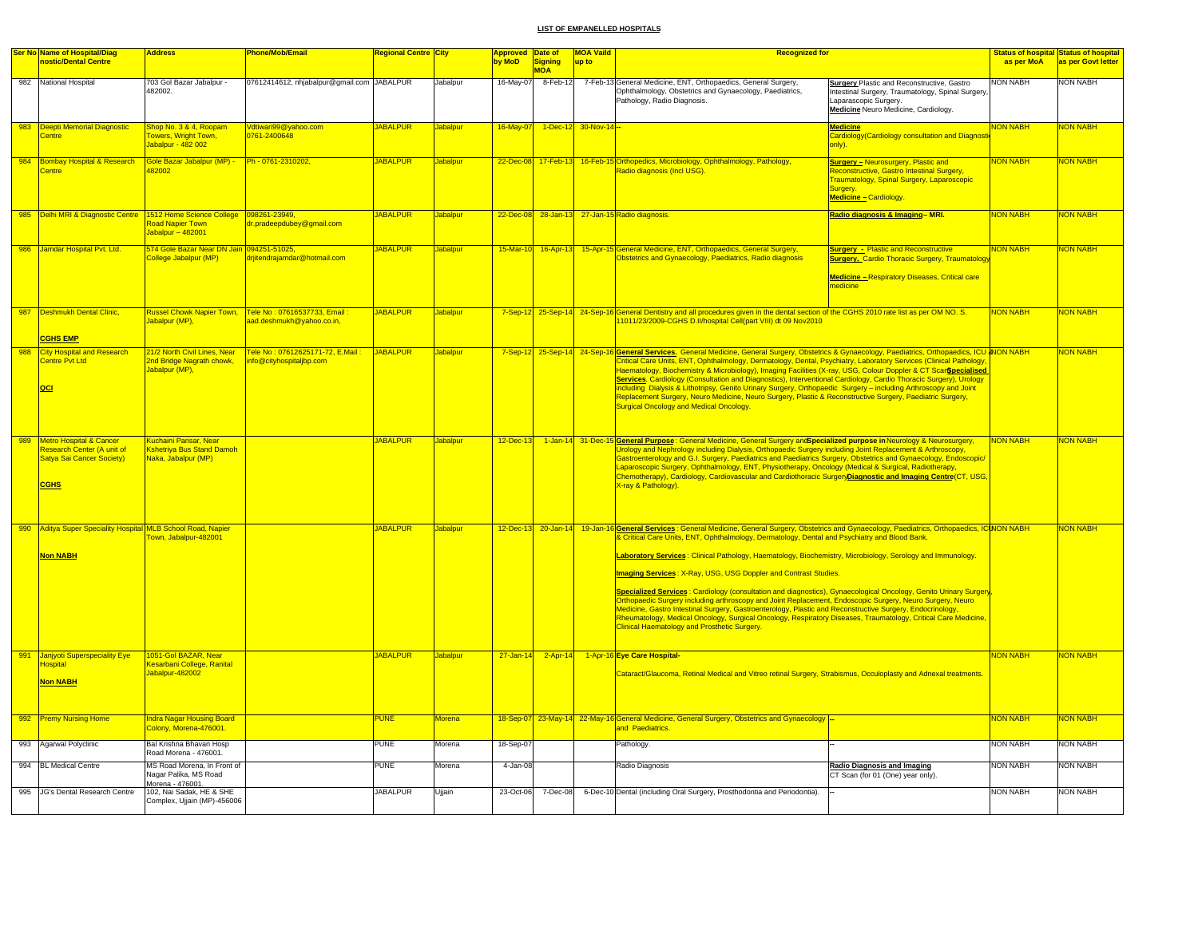|     | Ser No Name of Hospital/Diag                                                                                        | <b>Address</b>                                                                            | <b>Phone/Mob/Email</b>                                      | <b>Regional Centre City</b> |                 | <b>Approved</b> Date of |                       | <b>MOA Vaild</b>   | <b>Recognized for</b>                                                                                                                                                                                                                                                                                                                                                                                                                                                                                                                                                                                                                                                                                                                                                                                                                                                                                                                             |                                                                                                                                                                              |                 | <b>Status of hospital Status of hospital</b> |
|-----|---------------------------------------------------------------------------------------------------------------------|-------------------------------------------------------------------------------------------|-------------------------------------------------------------|-----------------------------|-----------------|-------------------------|-----------------------|--------------------|---------------------------------------------------------------------------------------------------------------------------------------------------------------------------------------------------------------------------------------------------------------------------------------------------------------------------------------------------------------------------------------------------------------------------------------------------------------------------------------------------------------------------------------------------------------------------------------------------------------------------------------------------------------------------------------------------------------------------------------------------------------------------------------------------------------------------------------------------------------------------------------------------------------------------------------------------|------------------------------------------------------------------------------------------------------------------------------------------------------------------------------|-----------------|----------------------------------------------|
|     | nostic/Dental Centre                                                                                                |                                                                                           |                                                             |                             |                 | by MoD                  | Signing<br><b>MOA</b> | up to              |                                                                                                                                                                                                                                                                                                                                                                                                                                                                                                                                                                                                                                                                                                                                                                                                                                                                                                                                                   |                                                                                                                                                                              | as per MoA      | as per Govt letter                           |
|     | 982 National Hospital                                                                                               | 703 Gol Bazar Jabalpur -<br>482002.                                                       | 07612414612, nhjabalpur@gmail.com JABALPUR                  |                             | Jabalpur        |                         |                       |                    | 16-May-07 8-Feb-12 7-Feb-13 General Medicine, ENT, Orthopaedics, General Surgery,<br>Ophthalmology, Obstetrics and Gynaecology, Paediatrics,<br>Pathology, Radio Diagnosis.                                                                                                                                                                                                                                                                                                                                                                                                                                                                                                                                                                                                                                                                                                                                                                       | <b>Surgery Plastic and Reconstructive, Gastro</b><br>Intestinal Surgery, Traumatology, Spinal Surgery<br>Laparascopic Surgery.<br>Medicine Neuro Medicine, Cardiology.       | NON NABH        | NON NABH                                     |
| 983 | Deepti Memorial Diagnostic<br><b>Centre</b>                                                                         | Shop No. 3 & 4, Roopam<br>owers, Wright Town,<br>Jabalpur - 482 002                       | Vdtiwari99@yahoo.com<br>0761-2400648                        | <b>JABALPUR</b>             | abalpui         | 16-May-07               |                       | 1-Dec-12 30-Nov-14 |                                                                                                                                                                                                                                                                                                                                                                                                                                                                                                                                                                                                                                                                                                                                                                                                                                                                                                                                                   | <b>Medicine</b><br>Cardiology(Cardiology consultation and Diagnosti<br>only).                                                                                                | <b>VON NABH</b> | <b>ION NABH</b>                              |
|     | 984 Bombay Hospital & Research<br><b>Centre</b>                                                                     | Gole Bazar Jabalpur (MP) -<br>182002                                                      | Ph - 0761-2310202,                                          | <b>JABALPUR</b>             | <b>Jabalpur</b> |                         |                       |                    | 22-Dec-08 17-Feb-13 16-Feb-15 Orthopedics, Microbiology, Ophthalmology, Pathology,<br>Radio diagnosis (Incl USG).                                                                                                                                                                                                                                                                                                                                                                                                                                                                                                                                                                                                                                                                                                                                                                                                                                 | <b>Surgery - Neurosurgery, Plastic and</b><br>Reconstructive, Gastro Intestinal Surgery,<br>Traumatology, Spinal Surgery, Laparoscopic<br>Surgery.<br>Medicine - Cardiology. | <b>NON NABH</b> | NON NABH                                     |
|     | 985 <b>Delhi MRI &amp; Diagnostic Centre</b>                                                                        | 1512 Home Science College   098261-23949,<br><b>Road Napier Town</b><br>Jabalpur - 482001 | dr.pradeepdubey@gmail.com                                   | <b>JABALPUR</b>             | <b>Jabalpur</b> |                         |                       |                    | 22-Dec-08 28-Jan-13 27-Jan-15 Radio diagnosis.                                                                                                                                                                                                                                                                                                                                                                                                                                                                                                                                                                                                                                                                                                                                                                                                                                                                                                    | Radio diagnosis & Imaging-MRI.                                                                                                                                               | <b>NON NABH</b> | <b>VON NABH</b>                              |
| 986 | Jamdar Hospital Pvt. Ltd.                                                                                           | 574 Gole Bazar Near DN Jain <mark>094251-51025,</mark><br>ollege Jabalpur (MP)            | drjitendrajamdar@hotmail.com                                | <b>JABALPUR</b>             | Jabalpur        |                         |                       |                    | 15-Mar-10 16-Apr-13 15-Apr-15 General Medicine, ENT, Orthopaedics, General Surgery,<br>Obstetrics and Gynaecology, Paediatrics, Radio diagnosis                                                                                                                                                                                                                                                                                                                                                                                                                                                                                                                                                                                                                                                                                                                                                                                                   | <b>Surgery - Plastic and Reconstructive</b><br><b>Surgery, Cardio Thoracic Surgery, Traumatolog</b><br>Medicine - Respiratory Diseases, Critical care<br>medicine            | <b>NON NABH</b> | <b>JON NABH</b>                              |
| 987 | <b>Deshmukh Dental Clinic,</b><br><b>CGHS EMP</b>                                                                   | <b>Russel Chowk Napier Town,</b><br><mark>Jabalpur (MP),</mark>                           | Tele No: 07616537733, Email:<br>aad.deshmukh@yahoo.co.in,   | <b>JABALPUR</b>             | <b>Jabalpur</b> |                         |                       |                    | 7-Sep-12 25-Sep-14 24-Sep-16 General Dentistry and all procedures given in the dental section of the CGHS 2010 rate list as per OM NO. S.<br>11011/23/2009-CGHS D.II/hospital Cell(part VIII) dt 09 Nov2010                                                                                                                                                                                                                                                                                                                                                                                                                                                                                                                                                                                                                                                                                                                                       |                                                                                                                                                                              | <b>NON NABH</b> | <b>NON NABH</b>                              |
| 988 | <b>City Hospital and Research</b><br>Centre Pvt Ltd<br>QCI                                                          | 21/2 North Civil Lines, Near<br>2nd Bridge Nagrath chowk,<br>Jabalpur (MP),               | Tele No: 07612625171-72, E.Mail:<br>nfo@cityhospitaljbp.com | JABALPUR                    | <b>Jabalpur</b> |                         |                       |                    | 7-Sep-12 25-Sep-14 24-Sep-16 General Services. General Medicine, General Surgery, Obstetrics & Gynaecology, Paediatrics, Orthopaedics, ICU & NON NABH<br>Critical Care Units, ENT, Ophthalmology, Dermatology, Dental, Psychiatry, Laboratory Services (Clinical Pathology,<br>Haematology, Biochemistry & Microbiology), Imaging Facilities (X-ray, USG, Colour Doppler & CT Scar <b>\$pecialised</b><br>Services. Cardiology (Consultation and Diagnostics), Interventional Cardiology, Cardio Thoracic Surgery), Urology<br>including Dialysis & Lithotripsy, Genito Urinary Surgery, Orthopaedic Surgery – including Arthroscopy and Joint<br>Replacement Surgery, Neuro Medicine, Neuro Surgery, Plastic & Reconstructive Surgery, Paediatric Surgery,<br><b>Surgical Oncology and Medical Oncology.</b>                                                                                                                                     |                                                                                                                                                                              |                 | NON NABH                                     |
| 989 | <b>Metro Hospital &amp; Cancer</b><br>Research Center (A unit of<br><b>Satya Sai Cancer Society)</b><br><b>CGHS</b> | <b>Kshetriva Bus Stand Damoh</b><br>Naka, Jabalpur (MP)                                   |                                                             | <b>JABALPUR</b>             | abalpur         | $12$ -Dec-13            |                       | 1-Jan-14 31-Dec-15 | 5 General Purpose : General Medicine, General Surgery and Specialized purpose in Neurology & Neurosurgery,<br>Urology and Nephrology including Dialysis, Orthopaedic Surgery including Joint Replacement & Arthroscopy,<br>Gastroenterology and G.I. Surgery, Paediatrics and Paediatrics Surgery, Obstetrics and Gynaecology, Endoscopic/<br>Laparoscopic Surgery, Ophthalmology, ENT, Physiotherapy, Oncology (Medical & Surgical, Radiotherapy,<br>Chemotherapy), Cardiology, Cardiovascular and Cardiothoracic SurgeryDiagnostic and Imaging Centre(CT, USG,<br>X-ray & Pathology).                                                                                                                                                                                                                                                                                                                                                           |                                                                                                                                                                              | <b>NON NABH</b> | <b>NON NABH</b>                              |
| 990 | Aditya Super Speciality Hospital MLB School Road, Napier<br><b>Non NABH</b>                                         | own, Jabalpur-482001                                                                      |                                                             | <b>JABALPUR</b>             | Jabalour        |                         | 12-Dec-13 20-Jan-14   |                    | 19-Jan-16 General Services : General Medicine, General Surgery, Obstetrics and Gynaecology, Paediatrics, Orthopaedics, ICINON NABH<br>Critical Care Units, ENT, Ophthalmology, Dermatology, Dental and Psychiatry and Blood Bank.<br>Laboratory Services: Clinical Pathology, Haematology, Biochemistry, Microbiology, Serology and Immunology.<br><b>Imaging Services: X-Ray, USG, USG Doppler and Contrast Studies.</b><br>Specialized Services : Cardiology (consultation and diagnostics), Gynaecological Oncology, Genito Urinary Surgery<br>Orthopaedic Surgery including arthroscopy and Joint Replacement, Endoscopic Surgery, Neuro Surgery, Neuro<br>Medicine, Gastro Intestinal Surgery, Gastroenterology, Plastic and Reconstructive Surgery, Endocrinology,<br>Rheumatology, Medical Oncology, Surgical Oncology, Respiratory Diseases, Traumatology, Critical Care Medicine,<br><b>Clinical Haematology and Prosthetic Surgery.</b> |                                                                                                                                                                              |                 | <b>NON NABH</b>                              |
|     | 991 Janjyoti Superspeciality Eye<br><b>lospital</b><br>Non NABH                                                     | 1051-Gol BAZAR, Near<br>Cesarbani College, Ranital<br>Jabalpur-482002                     |                                                             | <b>JABALPUR</b>             | Jabalpur        |                         |                       |                    | 27-Jan-14 2-Apr-14 1-Apr-16 Eye Care Hospital-<br>Cataract/Glaucoma, Retinal Medical and Vitreo retinal Surgery, Strabismus, Occuloplasty and Adnexal treatments.                                                                                                                                                                                                                                                                                                                                                                                                                                                                                                                                                                                                                                                                                                                                                                                 |                                                                                                                                                                              | <b>NON NABH</b> | <b>NON NABH</b>                              |
|     | 992 Premy Nursing Home                                                                                              | <b>Indra Nagar Housing Board</b><br>Colony, Morena-476001.                                |                                                             | <b>PUNE</b>                 | <b>Morena</b>   |                         |                       |                    | 18-Sep-07 23-May-14 22-May-16 General Medicine, General Surgery, Obstetrics and Gynaecology<br>and Paediatrics.                                                                                                                                                                                                                                                                                                                                                                                                                                                                                                                                                                                                                                                                                                                                                                                                                                   |                                                                                                                                                                              | <b>NON NABH</b> | <b>NON NABH</b>                              |
| 993 | Agarwal Polyclinic                                                                                                  | Bal Krishna Bhavan Hosp<br>Road Morena - 476001.                                          |                                                             | PUNE                        | Aorena          | 18-Sep-07               |                       |                    | Pathology                                                                                                                                                                                                                                                                                                                                                                                                                                                                                                                                                                                                                                                                                                                                                                                                                                                                                                                                         |                                                                                                                                                                              | <b>NON NABH</b> | NON NABH                                     |
|     | 994 BL Medical Centre                                                                                               | MS Road Morena, In Front of<br>Nagar Palika, MS Road                                      |                                                             | <b>PUNE</b>                 | Morena          | 4-Jan-08                |                       |                    | Radio Diagnosis                                                                                                                                                                                                                                                                                                                                                                                                                                                                                                                                                                                                                                                                                                                                                                                                                                                                                                                                   | <b>Radio Diagnosis and Imaging</b><br>CT Scan (for 01 (One) year only).                                                                                                      | <b>NON NABH</b> | <b>NON NABH</b>                              |
|     | 995 JG's Dental Research Centre                                                                                     | Morena - 476001.<br>102, Nai Sadak, HE & SHE<br>Complex, Ujjain (MP)-456006               |                                                             | <b>JABALPUR</b>             | Ujjain          | 23-Oct-06               | 7-Dec-08              |                    | 6-Dec-10 Dental (including Oral Surgery, Prosthodontia and Periodontia).                                                                                                                                                                                                                                                                                                                                                                                                                                                                                                                                                                                                                                                                                                                                                                                                                                                                          |                                                                                                                                                                              | <b>NON NABH</b> | <b>NON NABH</b>                              |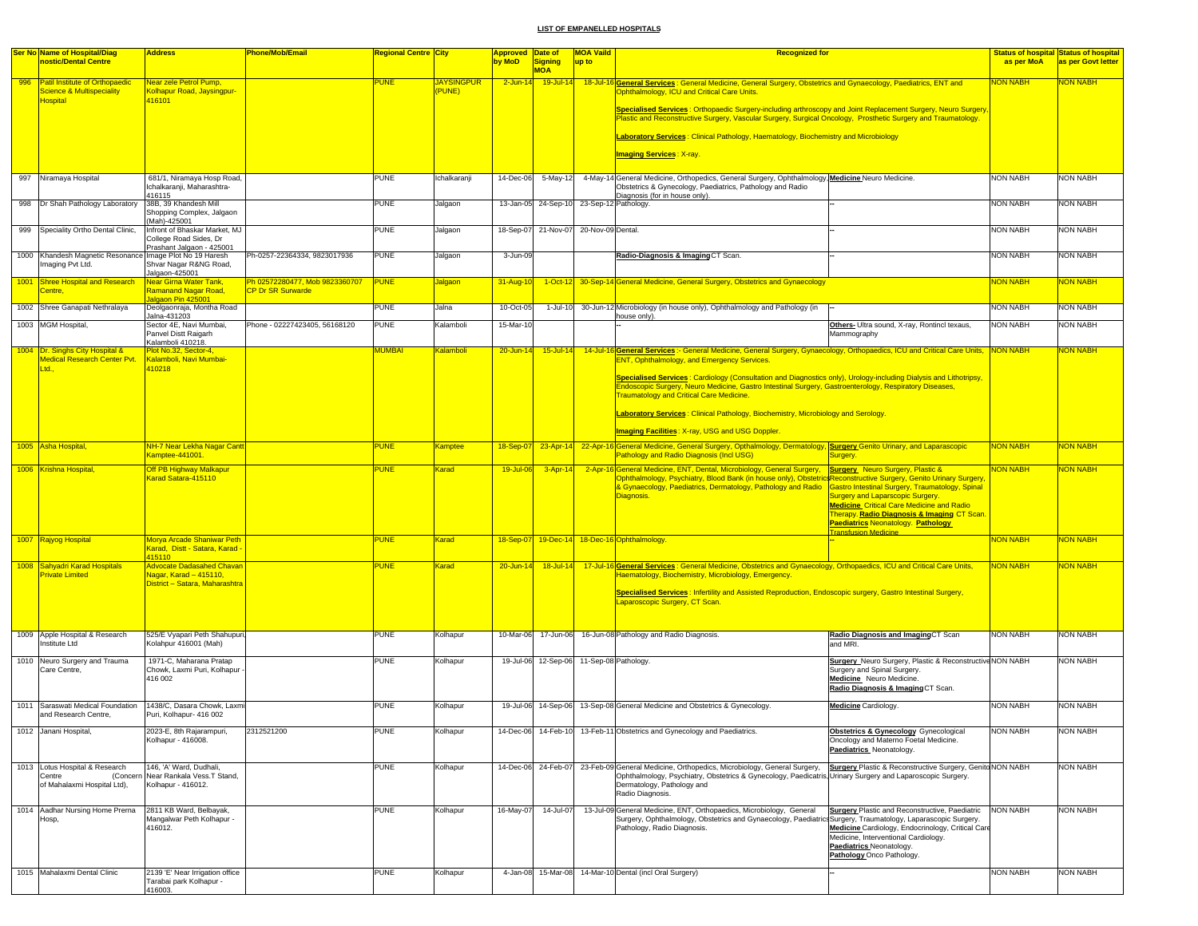|      | <b>Ser No Name of Hospital/Diag</b><br>nostic/Dental Centre                                      | <b>Address</b>                                                                               | Phone/Mob/Email                                            | <mark>Regional Centre City</mark> |                            | <b>Approved Date of</b><br>by MoD | Signing<br><b>MOA</b>                    | <b>MOA Vaild</b><br>up to | <b>Recognized for</b>                                                                                                                                                                                                                                                                                                                                                                                                          |                                                                                                                                                                                                                 | as per MoA      | <b>Status of hospital Status of hospital</b><br>as per Govt letter |
|------|--------------------------------------------------------------------------------------------------|----------------------------------------------------------------------------------------------|------------------------------------------------------------|-----------------------------------|----------------------------|-----------------------------------|------------------------------------------|---------------------------|--------------------------------------------------------------------------------------------------------------------------------------------------------------------------------------------------------------------------------------------------------------------------------------------------------------------------------------------------------------------------------------------------------------------------------|-----------------------------------------------------------------------------------------------------------------------------------------------------------------------------------------------------------------|-----------------|--------------------------------------------------------------------|
| 996  | <b>Patil Institute of Orthopaedic</b><br><b>Science &amp; Multispeciality</b><br><b>lospital</b> | Near zele Petrol Pump,<br>Kolhapur Road, Jaysingpur<br>116101                                |                                                            | <b>UNE</b>                        | <b>JAYSINGPUR</b><br>PUNE) | $2$ -Jun-14                       | $19$ -Jul-14                             |                           | 18-Jul-16 General Services: General Medicine, General Surgery, Obstetrics and Gynaecology, Paediatrics, ENT and<br><b>Ophthalmology, ICU and Critical Care Units.</b><br>Specialised Services : Orthopaedic Surgery-including arthroscopy and Joint Replacement Surgery, Neuro Surgery<br>Plastic and Reconstructive Surgery, Vascular Surgery, Surgical Oncology, Prosthetic Surgery and Traumatology.                        |                                                                                                                                                                                                                 | <b>NON NABH</b> | <b>NON NABH</b>                                                    |
|      |                                                                                                  |                                                                                              |                                                            |                                   |                            |                                   |                                          |                           | Laboratory Services: Clinical Pathology, Haematology, Biochemistry and Microbiology                                                                                                                                                                                                                                                                                                                                            |                                                                                                                                                                                                                 |                 |                                                                    |
|      |                                                                                                  |                                                                                              |                                                            |                                   |                            |                                   |                                          |                           | <b>Imaging Services: X-ray.</b>                                                                                                                                                                                                                                                                                                                                                                                                |                                                                                                                                                                                                                 |                 |                                                                    |
| 997  | Niramaya Hospital                                                                                | 681/1, Niramaya Hosp Road,<br>Ichalkaranji, Maharashtra-<br>416115                           |                                                            | PUNE                              | Ichalkaranj                | 14-Dec-06                         | 5-May-12                                 |                           | 4-May-14 General Medicine, Orthopedics, General Surgery, Ophthalmology, Medicine Neuro Medicine.<br>Obstetrics & Gynecology, Paediatrics, Pathology and Radio<br>Diagnosis (for in house only).                                                                                                                                                                                                                                |                                                                                                                                                                                                                 | <b>NON NABH</b> | <b>NON NABH</b>                                                    |
|      | 998 Dr Shah Pathology Laboratory 38B, 39 Khandesh Mill                                           | Shopping Complex, Jalgaon<br>(Mah)-425001                                                    |                                                            | <b>PUNE</b>                       | Jalgaon                    |                                   | 13-Jan-05 24-Sep-10 23-Sep-12 Pathology. |                           |                                                                                                                                                                                                                                                                                                                                                                                                                                |                                                                                                                                                                                                                 | <b>NON NABH</b> | <b>NON NABH</b>                                                    |
| 999  | Speciality Ortho Dental Clinic,                                                                  | Infront of Bhaskar Market, MJ<br>College Road Sides, Dr<br>Prashant Jalgaon - 425001         |                                                            | <b>PUNE</b>                       | Jalgaon                    | 18-Sep-07                         | 21-Nov-07                                | 20-Nov-09 Dental          |                                                                                                                                                                                                                                                                                                                                                                                                                                |                                                                                                                                                                                                                 | <b>NON NABH</b> | <b>NON NABH</b>                                                    |
|      | 1000 Khandesh Magnetic Resonance Image Plot No 19 Haresh<br>maging Pvt Ltd.                      | Shvar Nagar R&NG Road,<br>Jalgaon-425001                                                     | Ph-0257-22364334, 9823017936                               | <b>PUNE</b>                       | Jalgaon                    | 3-Jun-09                          |                                          |                           | Radio-Diagnosis & Imaging CT Scan.                                                                                                                                                                                                                                                                                                                                                                                             |                                                                                                                                                                                                                 | <b>NON NABH</b> | <b>NON NABH</b>                                                    |
| 1001 | <b>Shree Hospital and Research</b><br><b>Centre</b> ,                                            | <u> Vear Girna Water Tank,</u><br>Ramanand Nagar Road,<br>algaon Pin 425001                  | Ph 02572280477, Mob 9823360707<br><b>CP Dr SR Surwarde</b> | <b>PUNE</b>                       | lalgaon                    | 31-Aug-10                         |                                          |                           | 1-Oct-12 30-Sep-14 General Medicine, General Surgery, Obstetrics and Gynaecology                                                                                                                                                                                                                                                                                                                                               |                                                                                                                                                                                                                 | <b>NON NABH</b> | <mark>NON NABH</mark>                                              |
|      | 1002 Shree Ganapati Nethralaya                                                                   | Deolgaonraja, Montha Road<br>Jalna-431203                                                    |                                                            | <b>PUNE</b>                       | Jalna                      | 10-Oct-05                         | 1-Jul-10                                 |                           | 30-Jun-12 Microbiology (in house only), Ophthalmology and Pathology (in<br>house only).                                                                                                                                                                                                                                                                                                                                        |                                                                                                                                                                                                                 | <b>NON NABH</b> | <b>NON NABH</b>                                                    |
|      | 1003 MGM Hospital,                                                                               | Sector 4E, Navi Mumbai,<br>Panvel Distt Raigarh<br>Kalamboli 410218.                         | Phone - 02227423405, 56168120                              | <b>PUNE</b>                       | Kalamboli                  | 15-Mar-10                         |                                          |                           |                                                                                                                                                                                                                                                                                                                                                                                                                                | Others- Ultra sound, X-ray, Rontincl texaus,<br>Mammography                                                                                                                                                     | <b>NON NABH</b> | <b>NON NABH</b>                                                    |
|      | 1004   Dr. Singhs City Hospital &<br>Medical Research Center Pvt.                                | Plot No.32, Sector-4,<br>Kalamboli, Navi Mumbai-                                             |                                                            | MUMBAI                            | <b>Kalamboli</b>           | 20-Jun-14                         | $15 -$ Jul-14                            | 14-Jul-16                 | Schiffend Services :- General Medicine, General Surgery, Gynaecology, Orthopaedics, ICU and Critical Care Units, NON NABH<br><b>ENT, Ophthalmology, and Emergency Services.</b>                                                                                                                                                                                                                                                |                                                                                                                                                                                                                 |                 | NON NABH                                                           |
|      | td.                                                                                              | 410218                                                                                       |                                                            |                                   |                            |                                   |                                          |                           | Specialised Services : Cardiology (Consultation and Diagnostics only), Urology-including Dialysis and Lithotripsy,<br>Endoscopic Surgery, Neuro Medicine, Gastro Intestinal Surgery, Gastroenterology, Respiratory Diseases,<br><b>Traumatology and Critical Care Medicine.</b><br>Laboratory Services: Clinical Pathology, Biochemistry, Microbiology and Serology.<br><b>Imaging Facilities: X-ray, USG and USG Doppler.</b> |                                                                                                                                                                                                                 |                 |                                                                    |
|      | 1005 Asha Hospital,                                                                              | NH-7 Near Lekha Nagar Cant<br>Kamptee-441001.                                                |                                                            | <b>PUNE</b>                       | Kamptee                    | 18-Sep-07                         |                                          |                           | 23-Apr-14 22-Apr-16 General Medicine, General Surgery, Opthalmology, Dermatology, Surgery Genito Urinary, and Laparascopic<br><b>Pathology and Radio Diagnosis (Incl USG)</b>                                                                                                                                                                                                                                                  | Surgery.                                                                                                                                                                                                        | <b>NON NABH</b> | <b>NON NABH</b>                                                    |
|      | 1006 Krishna Hospital,                                                                           | Off PB Highway Malkapur<br>Karad Satara-415110                                               |                                                            | <b>PUNE</b>                       | Karad                      | 19-Jul-06                         | $3 - Apr - 14$                           |                           | 2-Apr-16 General Medicine, ENT, Dental, Microbiology, General Surgery, Surgery Neuro Surgery, Plastic &<br>Ophthalmology, Psychiatry, Blood Bank (in house only), ObstetricsReconstructive Surgery, Genito Urinary Surgery<br>& Gynaecology, Paediatrics, Dermatology, Pathology and Radio Castro Intestinal Surgery, Traumatology, Spinal<br>Diagnosis.                                                                       | <b>Surgery and Laparscopic Surgery.</b><br><b>Medicine Critical Care Medicine and Radio</b><br>Therapy. Radio Diagnosis & Imaging CT Scan.<br>Paediatrics Neonatology. Pathology<br><b>Transfusion Medicine</b> | <b>NON NABH</b> | <b>NON NABH</b>                                                    |
|      | 1007 Rajyog Hospital                                                                             | Morya Arcade Shaniwar Peth<br>Karad, Distt - Satara, Karad<br>415110                         |                                                            | <b>PUNE</b>                       | <b>Karad</b>               | 18-Sep-07                         |                                          |                           | 19-Dec-14 18-Dec-16 Ophthalmology.                                                                                                                                                                                                                                                                                                                                                                                             |                                                                                                                                                                                                                 | <b>NON NABH</b> | <b>NON NABH</b>                                                    |
|      | 1008 Sahyadri Karad Hospitals<br><b>Private Limited</b>                                          | <b>Advocate Dadasahed Chavan</b><br>Nagar, Karad - 415110,<br>District - Satara, Maharashtra |                                                            | <b>PUNE</b>                       | Karad                      | 20-Jun-14                         | $18$ -Jul-14                             |                           | 17-Jul-16 General Services: General Medicine, Obstetrics and Gynaecology, Orthopaedics, ICU and Critical Care Units,<br>Haematology, Biochemistry, Microbiology, Emergency.<br>Specialised Services : Infertility and Assisted Reproduction, Endoscopic surgery, Gastro Intestinal Surgery,<br>Laparoscopic Surgery, CT Scan.                                                                                                  |                                                                                                                                                                                                                 | <b>NON NABH</b> | <mark>NON NABH</mark>                                              |
|      | 1009 Apple Hospital & Research<br>nstitute Ltd                                                   | 525/E Vyapari Peth Shahupuri,<br>Kolahpur 416001 (Mah)                                       |                                                            | <b>PUNE</b>                       | Kolhapur                   | 10-Mar-06                         | 17-Jun-06                                |                           | 16-Jun-08 Pathology and Radio Diagnosis.                                                                                                                                                                                                                                                                                                                                                                                       | Radio Diagnosis and ImagingCT Scan<br>and MRI.                                                                                                                                                                  | <b>NON NABH</b> | <b>NON NABH</b>                                                    |
|      | 1010 Neuro Surgery and Trauma<br>Care Centre,                                                    | 1971-C, Maharana Pratap<br>Chowk, Laxmi Puri, Kolhapur<br>416 002                            |                                                            | <b>PUNE</b>                       | Kolhapur                   |                                   | 19-Jul-06 12-Sep-06 11-Sep-08 Pathology  |                           |                                                                                                                                                                                                                                                                                                                                                                                                                                | Surgery Neuro Surgery, Plastic & Reconstructive NON NABH<br>Surgery and Spinal Surgery.<br>Medicine Neuro Medicine.<br>Radio Diagnosis & Imaging CT Scan.                                                       |                 | <b>NON NABH</b>                                                    |
|      | 1011 Saraswati Medical Foundation<br>and Research Centre,                                        | 1438/C, Dasara Chowk, Laxmi<br>Puri, Kolhapur- 416 002                                       |                                                            | <b>PUNE</b>                       | Kolhapur                   |                                   |                                          |                           | 19-Jul-06 14-Sep-06 13-Sep-08 General Medicine and Obstetrics & Gynecology.                                                                                                                                                                                                                                                                                                                                                    | <b>Medicine</b> Cardiology.                                                                                                                                                                                     | <b>NON NABH</b> | <b>NON NABH</b>                                                    |
|      | 1012 Janani Hospital,                                                                            | 2023-E, 8th Rajarampuri,<br>Kolhapur - 416008.                                               | 2312521200                                                 | PUNE                              | Kolhapur                   |                                   |                                          |                           | 14-Dec-06 14-Feb-10 13-Feb-11 Obstetrics and Gynecology and Paediatrics.                                                                                                                                                                                                                                                                                                                                                       | <b>Obstetrics &amp; Gynecology</b> Gynecological<br>Oncology and Materno Foetal Medicine.<br>Paediatrics Neonatology.                                                                                           | <b>NON NABH</b> | NON NABH                                                           |
|      | 1013 Lotus Hospital & Research<br>Centre<br>(Concern<br>of Mahalaxmi Hospital Ltd),              | 146, 'A' Ward, Dudhali,<br>Near Rankala Vess.T Stand,<br>Kolhapur - 416012.                  |                                                            | <b>PUNE</b>                       | Kolhapur                   |                                   |                                          |                           | 14-Dec-06 24-Feb-07 23-Feb-09 General Medicine, Orthopedics, Microbiology, General Surgery,<br>Ophthalmology, Psychiatry, Obstetrics & Gynecology, Paedicatris, Urinary Surgery and Laparoscopic Surgery.<br>Dermatology, Pathology and<br>Radio Diagnosis.                                                                                                                                                                    | Surgery Plastic & Reconstructive Surgery, Genito NON NABH                                                                                                                                                       |                 | <b>NON NABH</b>                                                    |
|      | 1014 Aadhar Nursing Home Prerna<br>Hosp,                                                         | 2811 KB Ward, Belbavak.<br>Mangalwar Peth Kolhapur -<br>416012.                              |                                                            | <b>PUNE</b>                       | Kolhapur                   | 16-May-07                         | 14-Jul-07                                |                           | 13-Jul-09 General Medicine, ENT, Orthopaedics, Microbiology, General<br>Surgery, Ophthalmology, Obstetrics and Gynaecology, Paediatrics Surgery, Traumatology, Laparascopic Surgery.<br>Pathology, Radio Diagnosis.                                                                                                                                                                                                            | <b>Surgery Plastic and Reconstructive, Paediatric</b><br>Medicine Cardiology, Endocrinology, Critical Care<br>Medicine, Interventional Cardiology.<br>Paediatrics Neonatology.<br>Pathology Onco Pathology.     | <b>NON NABH</b> | <b>NON NABH</b>                                                    |
|      | 1015 Mahalaxmi Dental Clinic                                                                     | 2139 'E' Near Irrigation office<br>Tarabai park Kolhapur -<br>416003.                        |                                                            | <b>PUNE</b>                       | Kolhapur                   |                                   |                                          |                           | 4-Jan-08 15-Mar-08 14-Mar-10 Dental (incl Oral Surgery)                                                                                                                                                                                                                                                                                                                                                                        |                                                                                                                                                                                                                 | <b>NON NABH</b> | <b>NON NABH</b>                                                    |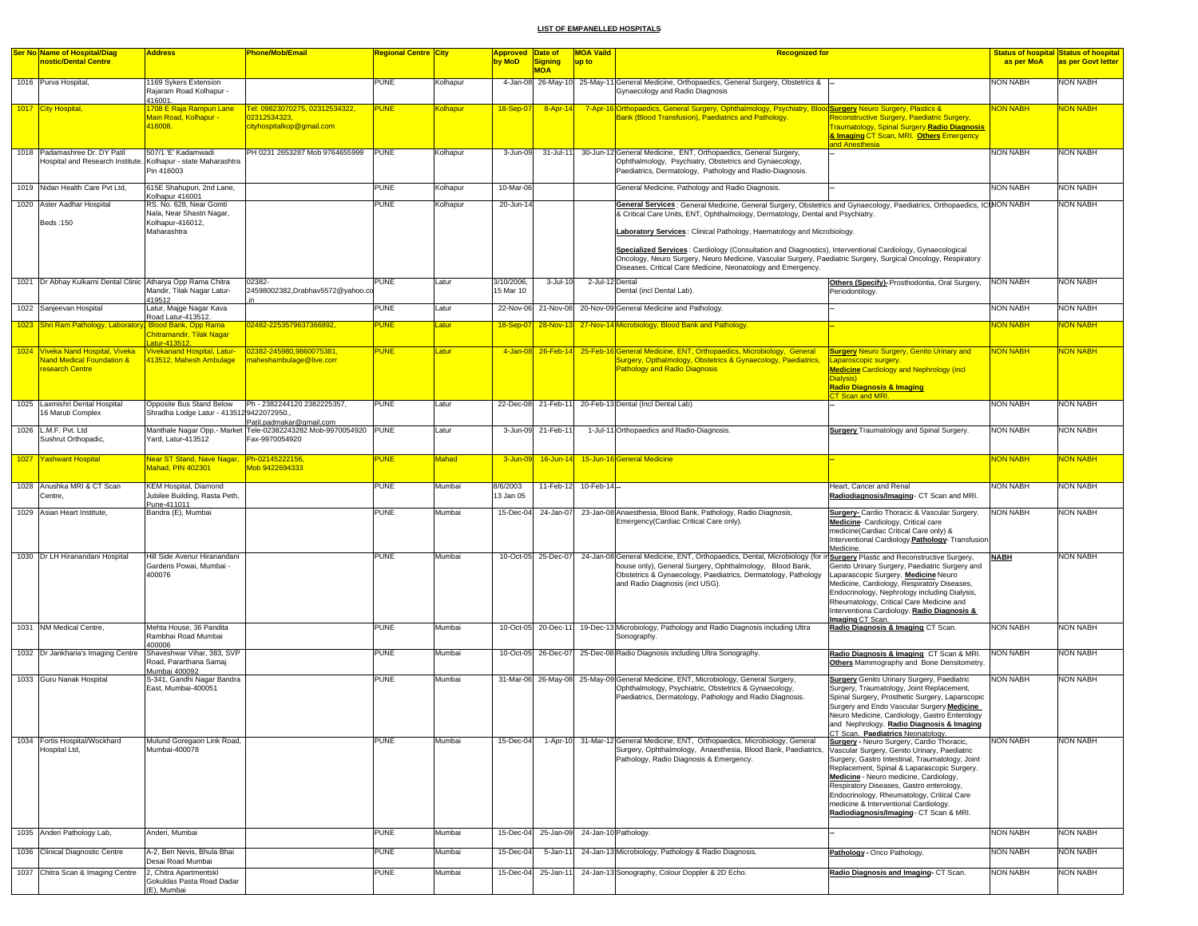| <b>Ser No Name of Hospital/Diag</b><br>nostic/Dental Centre                                                                         | <b>Address</b>                                                                                                                           | <b>Phone/Mob/Email</b>                                                             | <mark>Regional Centre  City</mark> |              | Approved Date of<br>by MoD | <b>Signing</b><br><b>MOA</b> | <b>MOA Vaild</b><br>up to | <b>Recognized for</b>                                                                                                                                                                                                                                                                       |                                                                                                                                                                                                                                                                                                                                                                                                                           | <b>Status of hospital Status of hospital</b><br>as per MoA | as per Govt letter                 |
|-------------------------------------------------------------------------------------------------------------------------------------|------------------------------------------------------------------------------------------------------------------------------------------|------------------------------------------------------------------------------------|------------------------------------|--------------|----------------------------|------------------------------|---------------------------|---------------------------------------------------------------------------------------------------------------------------------------------------------------------------------------------------------------------------------------------------------------------------------------------|---------------------------------------------------------------------------------------------------------------------------------------------------------------------------------------------------------------------------------------------------------------------------------------------------------------------------------------------------------------------------------------------------------------------------|------------------------------------------------------------|------------------------------------|
| 1016 Purva Hospital,                                                                                                                | 1169 Sykers Extension<br>Rajaram Road Kolhapur -<br>416001.                                                                              |                                                                                    | <b>PUNE</b>                        | Kolhapur     |                            |                              |                           | 4-Jan-08 26-May-10 25-May-11 General Medicine, Orthopaedics, General Surgery, Obstetrics &<br>Gynaecology and Radio Diagnosis                                                                                                                                                               |                                                                                                                                                                                                                                                                                                                                                                                                                           | NON NABH                                                   | NON NABH                           |
| 1017 City Hospital,                                                                                                                 | 1708 E Raja Rampuri Lane<br>Main Road, Kolhapur -<br>416008.                                                                             | Tel: 09823070275, 02312534322,<br>02312534323.<br>cityhospitalkop@gmail.com        | <b>PUNE</b>                        | Kolhapur     | 18-Sep-0                   | 8-Apr-14                     |                           | 7-Apr-16 Orthopaedics, General Surgery, Ophthalmology, Psychiatry, Blood Surgery Neuro Surgery, Plastics &<br>Bank (Blood Transfusion), Paediatrics and Pathology.                                                                                                                          | Reconstructive Surgery, Paediatric Surgery,<br><b>Traumatology, Spinal Surgery Radio Diagnosis</b><br>& Imaging CT Scan, MRI. Others Emergency                                                                                                                                                                                                                                                                            | <b>NON NABH</b>                                            | <b>JON NABH</b>                    |
| 1018 Padamashree Dr. DY Patil<br>Hospital and Research Institute.                                                                   | 507/1 'E' Kadamwadi<br>Kolhapur - state Maharashtra<br>Pin 416003                                                                        | PH 0231 2653287 Mob 9764655999                                                     | <b>PUNE</b>                        | Kolhapur     | 3-Jun-09                   | 31-Jul-11                    |                           | 30-Jun-12 General Medicine, ENT, Orthopaedics, General Surgery,<br>Ophthalmology, Psychiatry, Obstetrics and Gynaecology,<br>Paediatrics, Dermatology, Pathology and Radio-Diagnosis.                                                                                                       | and Anesthesia                                                                                                                                                                                                                                                                                                                                                                                                            | <b>NON NABH</b>                                            | <b>NON NABH</b>                    |
| 1019 Nidan Health Care Pvt Ltd,                                                                                                     | 615E Shahupuri, 2nd Lane,<br>Kolhapur 416001                                                                                             |                                                                                    | PUNE                               | Kolhapur     | 10-Mar-06                  |                              |                           | General Medicine, Pathology and Radio Diagnosis.                                                                                                                                                                                                                                            |                                                                                                                                                                                                                                                                                                                                                                                                                           | NON NABH                                                   | <b>NON NABH</b>                    |
| 1020 Aster Aadhar Hospital<br>Beds: 150                                                                                             | RS. No. 628. Near Gomti<br>Nala, Near Shastri Nagar.<br>Kolhapur-416012,<br>Maharashtra                                                  |                                                                                    | <b>PUNE</b>                        | Kolhapur     | 20-Jun-14                  |                              |                           | General Services : General Medicine, General Surgery, Obstetrics and Gynaecology, Paediatrics, Orthopaedics, ICINON NABH<br>& Critical Care Units, ENT, Ophthalmology, Dermatology, Dental and Psychiatry.<br>Laboratory Services: Clinical Pathology, Haematology and Microbiology.        |                                                                                                                                                                                                                                                                                                                                                                                                                           |                                                            | NON NABH                           |
|                                                                                                                                     |                                                                                                                                          |                                                                                    |                                    |              |                            |                              |                           | Specialized Services: Cardiology (Consultation and Diagnostics), Interventional Cardiology, Gynaecological<br>Oncology, Neuro Surgery, Neuro Medicine, Vascular Surgery, Paediatric Surgery, Surgical Oncology, Respiratory<br>Diseases, Critical Care Medicine, Neonatology and Emergency. |                                                                                                                                                                                                                                                                                                                                                                                                                           |                                                            |                                    |
| 1021 Dr Abhay Kulkarni Dental Clinic Atharya Opp Rama Chitra                                                                        | Mandir, Tilak Nagar Latur-<br>419512                                                                                                     | 02382-<br>24598002382, Drabhav5572@yahoo.c                                         | <b>PUNE</b>                        | Latur        | 3/10/2006,<br>15 Mar 10    | 3-Jul-10                     | 2-Jul-12 Dental           | Dental (incl Dental Lab)                                                                                                                                                                                                                                                                    | Others (Specify)- Prosthodontia, Oral Surgery,<br>Periodontilogy.                                                                                                                                                                                                                                                                                                                                                         | <b>NON NABH</b>                                            | NON NABH                           |
| 1022 Sanjeevan Hospital                                                                                                             | Latur, Majge Nagar Kava<br>Road Latur-413512.                                                                                            |                                                                                    | <b>PUNE</b>                        | Latur        | 22-Nov-06                  | 21-Nov-08                    |                           | 20-Nov-09 General Medicine and Pathology.                                                                                                                                                                                                                                                   |                                                                                                                                                                                                                                                                                                                                                                                                                           | <b>NON NABH</b>                                            | NON NABH                           |
| 1023 Shri Ram Pathology, Laboratory<br>1024 Viveka Nand Hospital, Viveka<br><b>Jand Medical Foundation &amp;</b><br>research Centre | <b>Blood Bank, Opp Rama</b><br>Chitramandir, Tilak Nagar<br>atur-41351.<br><b>livekanand Hospital, Latur-</b><br>113512, Mahesh Ambulage | 02482-2253579637366892,<br>02382-245980,9860075381<br>maheshambulage@live.corr     | <b>PUNE</b><br>PUNE                | atur<br>atur | 18-Sep-07<br>4-Jan-08      | 28-Nov-13                    |                           | 27-Nov-14 Microbiology, Blood Bank and Pathology.<br>26-Feb-14 25-Feb-16 General Medicine, ENT, Orthopaedics, Microbiology, General<br>Surgery, Opthalmology, Obstetrics & Gynaecology, Paediatrics<br><b>Pathology and Radio Diagnosis</b>                                                 | <b>Surgery Neuro Surgery, Genito Urinary and</b><br>aparoscopic surgery.<br><b>Medicine Cardiology and Nephrology (incl.</b><br>Dialysis)<br><u>Radio Diagnosis &amp; Imaging</u><br>T Scan and MRI.                                                                                                                                                                                                                      | <b>NON NABH</b><br>NON NABH                                | <b>JON NABH</b><br><b>JON NABH</b> |
| 1025 Laxmishri Dental Hospital<br>16 Maruti Complex                                                                                 | Opposite Bus Stand Below<br>Shradha Lodge Latur - 4135129422072950                                                                       | Ph - 2382244120 2382225357,<br>Patil.padmakar@gmail.com                            | <b>PUNE</b>                        | Latur        |                            | 22-Dec-08 21-Feb-11          |                           | 20-Feb-13 Dental (Incl Dental Lab)                                                                                                                                                                                                                                                          |                                                                                                                                                                                                                                                                                                                                                                                                                           | <b>NON NABH</b>                                            | NON NABH                           |
| 1026 L.M.F. Pvt. Ltd<br>Sushrut Orthopadic,                                                                                         | Yard, Latur-413512                                                                                                                       | Manthale Nagar Opp.- Market Tele-02382243282 Mob-9970054920 PUNE<br>Fax-9970054920 |                                    | Latur        |                            | 3-Jun-09 21-Feb-1            |                           | 1-Jul-11 Orthopaedics and Radio-Diagnosis.                                                                                                                                                                                                                                                  | <b>Surgery</b> Traumatology and Spinal Surgery.                                                                                                                                                                                                                                                                                                                                                                           | <b>NON NABH</b>                                            | NON NABH                           |
| 1027 Yashwant Hospital                                                                                                              | Vear ST Stand, Nave Nagar,<br>Mahad, PIN 402301                                                                                          | Ph-02145222156,<br>Mob 9422694333                                                  | PUNE                               | Mahad        | 3-Jun-09                   |                              |                           | 16-Jun-14 15-Jun-16 General Medicine                                                                                                                                                                                                                                                        |                                                                                                                                                                                                                                                                                                                                                                                                                           | <b>VON NABH</b>                                            | <u>ION NABH</u>                    |
| 1028 Anushka MRI & CT Scan<br>Centre,                                                                                               | KEM Hospital, Diamond<br>Jubilee Building, Rasta Peth,<br>Pune-411011                                                                    |                                                                                    | PUNE                               | Mumbai       | 8/6/2003<br>13 Jan 05      |                              | 11-Feb-12 10-Feb-14 --    |                                                                                                                                                                                                                                                                                             | Heart, Cancer and Renal<br>Radiodiagnosis/Imaging- CT Scan and MRI.                                                                                                                                                                                                                                                                                                                                                       | <b>NON NABH</b>                                            | NON NABH                           |
| 1029 Asian Heart Institute,                                                                                                         | Bandra (E), Mumbai                                                                                                                       |                                                                                    | <b>PUNE</b>                        | Mumbai       |                            | 15-Dec-04 24-Jan-07          |                           | 23-Jan-08 Anaesthesia, Blood Bank, Pathology, Radio Diagnosis,<br>Emergency(Cardiac Critical Care only).                                                                                                                                                                                    | Surgery- Cardio Thoracic & Vascular Surgery.<br>Medicine-Cardiology, Critical care<br>medicine(Cardiac Critical Care only) &<br>Interventional Cardiology. Pathology- Transfusion<br>Medicine.                                                                                                                                                                                                                            | <b>NON NABH</b>                                            | NON NABH                           |
| 1030 Dr LH Hiranandani Hospital                                                                                                     | Hill Side Avenur Hiranandani<br>Gardens Powai, Mumbai -<br>400076                                                                        |                                                                                    | <b>PUNE</b>                        | Mumbai       |                            | 10-Oct-05 25-Dec-07          |                           | 24-Jan-08 General Medicine, ENT, Orthopaedics, Dental, Microbiology (for in Surgery Plastic and Reconstructive Surgery,<br>house only), General Surgery, Ophthalmology, Blood Bank,<br>Obstetrics & Gynaecology, Paediatrics, Dermatology, Pathology<br>and Radio Diagnosis (incl USG).     | Genito Urinary Surgery, Paediatric Surgery and<br>Laparascopic Surgery. Medicine Neuro<br>Medicine, Cardiology, Respiratory Diseases,<br>Endocrinology, Nephrology including Dialysis,<br>Rheumatology, Critical Care Medicine and<br>Interventiona Cardiology. Radio Diagnosis &<br>Imaging CT Scan                                                                                                                      | <b>NABH</b>                                                | NON NABH                           |
| 1031 NM Medical Centre,                                                                                                             | Mehta House, 36 Pandita<br>Rambhai Road Mumbai<br>400006                                                                                 |                                                                                    | PUNE                               | Mumbai       |                            | 10-Oct-05 20-Dec-11          |                           | 19-Dec-13 Microbiology, Pathology and Radio Diagnosis including Ultra<br>Sonography.                                                                                                                                                                                                        | Radio Diagnosis & Imaging CT Scan.                                                                                                                                                                                                                                                                                                                                                                                        | <b>NON NABH</b>                                            | NON NABH                           |
| 1032 Dr Jankharia's Imaging Centre                                                                                                  | Shaveshwar Vihar, 383, SVP<br>Road, Pararthana Samai<br>Mumbai 400092                                                                    |                                                                                    | <b>PUNE</b>                        | Mumbai       |                            | 10-Oct-05 26-Dec-07          |                           | 25-Dec-08 Radio Diagnosis including Ultra Sonography.                                                                                                                                                                                                                                       | Radio Diagnosis & Imaging CT Scan & MRI.<br>Others Mammography and Bone Densitometry                                                                                                                                                                                                                                                                                                                                      | <b>NON NABH</b>                                            | <b>NON NABH</b>                    |
| 1033 Guru Nanak Hospital                                                                                                            | S-341, Gandhi Nagar Bandra<br>East, Mumbai-400051                                                                                        |                                                                                    | <b>PUNE</b>                        | Mumbai       |                            |                              |                           | 31-Mar-06 26-May-08 25-May-09 General Medicine, ENT, Microbiology, General Surgery,<br>Ophthalmology, Psychiatric, Obstetrics & Gynaecology,<br>Paediatrics, Dermatology, Pathology and Radio Diagnosis.                                                                                    | Surgery Genito Urinary Surgery, Paediatric<br>Surgery, Traumatology, Joint Replacement,<br>Spinal Surgery, Prosthetic Surgery, Laparscopic<br>Surgery and Endo Vascular Surgery.Medicine<br>Neuro Medicine, Cardiology, Gastro Enterology<br>and Nephrology. Radio Diagnosis & Imaging<br>CT Scan. Paediatrics Neonatology.                                                                                               | <b>NON NABH</b>                                            | NON NABH                           |
| 1034 Fortis Hospital/Wockhard<br>Hospital Ltd,                                                                                      | Mulund Goregaon Link Road.<br>Mumbai-400078                                                                                              |                                                                                    | PUNE                               | Mumbai       | 15-Dec-04                  |                              |                           | 1-Apr-10 31-Mar-12 General Medicine, ENT, Orthopaedics, Microbiology, General<br>Surgery, Ophthalmology, Anaesthesia, Blood Bank, Paediatrics,<br>Pathology, Radio Diagnosis & Emergency.                                                                                                   | <b>Surgery - Neuro Surgery, Cardio Thoracic,</b><br>Vascular Surgery, Genito Urinary, Paediatric<br>Surgery, Gastro Intestinal, Traumatology, Joint<br>Replacement, Spinal & Laparascopic Surgery.<br>Medicine - Neuro medicine, Cardiology,<br>Respiratory Diseases, Gastro enterology,<br>Endocrinology, Rheumatology, Critical Care<br>medicine & Interventional Cardiology.<br>Radiodiagnosis/Imaging- CT Scan & MRI. | <b>NON NABH</b>                                            | NON NABH                           |
| 1035 Anderi Pathology Lab,                                                                                                          | Anderi, Mumbai                                                                                                                           |                                                                                    | <b>PUNE</b>                        | Mumbai       | 15-Dec-04                  | 25-Jan-09                    |                           | 24-Jan-10 Pathology.                                                                                                                                                                                                                                                                        |                                                                                                                                                                                                                                                                                                                                                                                                                           | <b>NON NABH</b>                                            | <b>NON NABH</b>                    |
| 1036 Clinical Diagnostic Centre                                                                                                     | A-2, Ben Nevis, Bhula Bhai<br>Desai Road Mumbai                                                                                          |                                                                                    | PUNE                               | Mumbai       | 15-Dec-04                  | 5-Jan-1                      |                           | 24-Jan-13 Microbiology, Pathology & Radio Diagnosis.                                                                                                                                                                                                                                        | Pathology - Onco Pathology.                                                                                                                                                                                                                                                                                                                                                                                               | <b>NON NABH</b>                                            | NON NABH                           |
| 1037 Chitra Scan & Imaging Centre                                                                                                   | 2, Chitra Apartmentskl<br>Gokuldas Pasta Road Dadar<br>(E), Mumbai                                                                       |                                                                                    | <b>PUNE</b>                        | Mumbai       | 15-Dec-04                  | 25-Jan-11                    |                           | 24-Jan-13 Sonography, Colour Doppler & 2D Echo.                                                                                                                                                                                                                                             | Radio Diagnosis and Imaging- CT Scan.                                                                                                                                                                                                                                                                                                                                                                                     | <b>NON NABH</b>                                            | NON NABH                           |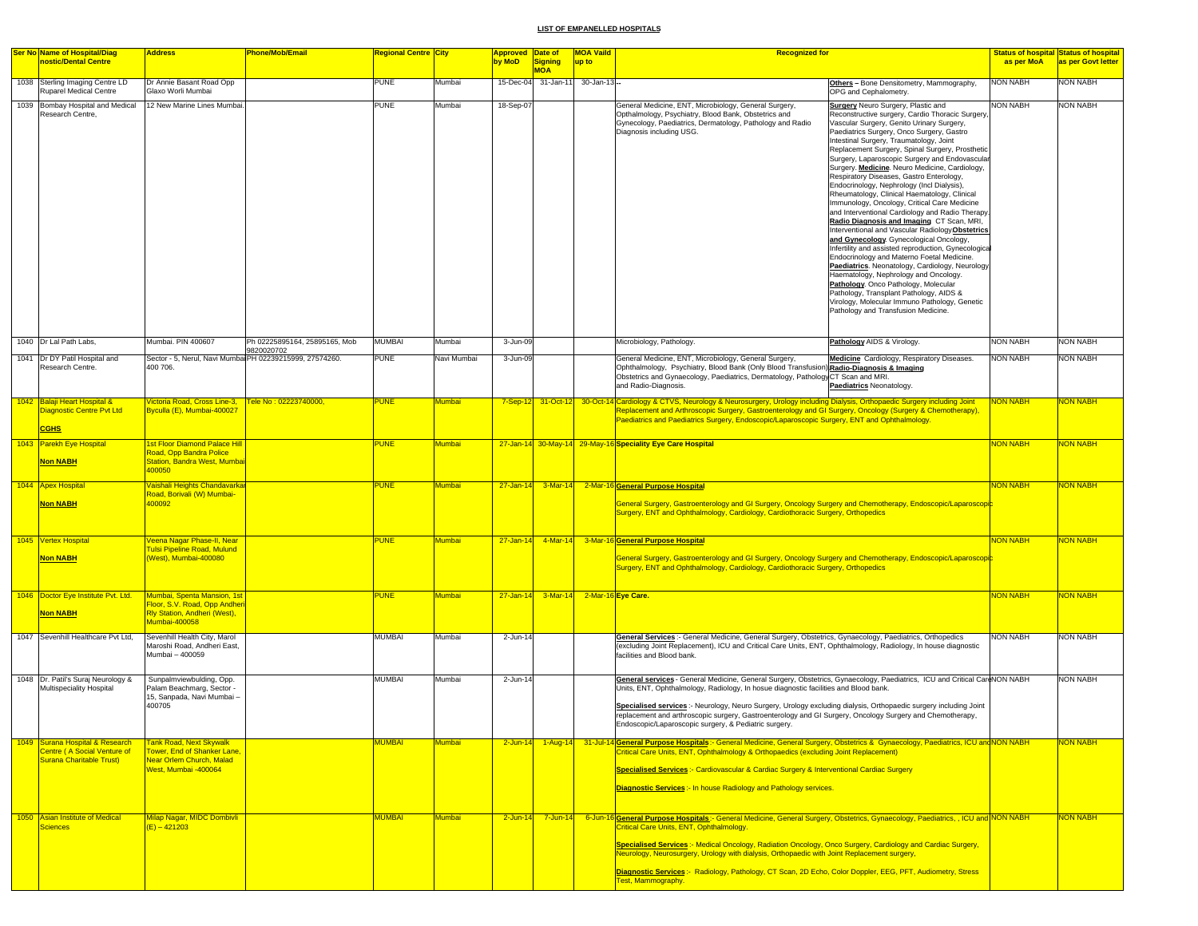|      | Ser No Name of Hospital/Diag<br>nostic/Dental Centre                                         | <b>Address</b>                                                                                                            | <b>Phone/Mob/Email</b>         | Regional Centre  City |               | Approved Date of<br>by MoD | Signing      | <b>MOA Vaild</b><br><b>Recognized for</b><br>up to |                                                                                                                                                                                                                                                                                                                                                                                                                                                                                                                                                    |                                                                                                                                                                                                                                                                                                                                                                                                                                                                                                                                                                                                                                                                                                                                                                                                                                                                                                                                                                                                                                                                                                                                                                  | as per MoA      | <b>Status of hospital Status of hospital</b><br>as per Govt letter |
|------|----------------------------------------------------------------------------------------------|---------------------------------------------------------------------------------------------------------------------------|--------------------------------|-----------------------|---------------|----------------------------|--------------|----------------------------------------------------|----------------------------------------------------------------------------------------------------------------------------------------------------------------------------------------------------------------------------------------------------------------------------------------------------------------------------------------------------------------------------------------------------------------------------------------------------------------------------------------------------------------------------------------------------|------------------------------------------------------------------------------------------------------------------------------------------------------------------------------------------------------------------------------------------------------------------------------------------------------------------------------------------------------------------------------------------------------------------------------------------------------------------------------------------------------------------------------------------------------------------------------------------------------------------------------------------------------------------------------------------------------------------------------------------------------------------------------------------------------------------------------------------------------------------------------------------------------------------------------------------------------------------------------------------------------------------------------------------------------------------------------------------------------------------------------------------------------------------|-----------------|--------------------------------------------------------------------|
|      |                                                                                              |                                                                                                                           |                                |                       |               |                            | <b>MOA</b>   |                                                    |                                                                                                                                                                                                                                                                                                                                                                                                                                                                                                                                                    |                                                                                                                                                                                                                                                                                                                                                                                                                                                                                                                                                                                                                                                                                                                                                                                                                                                                                                                                                                                                                                                                                                                                                                  |                 |                                                                    |
|      | 1038 Sterling Imaging Centre LD<br><b>Ruparel Medical Centre</b>                             | Dr Annie Basant Road Opp<br><b>Glaxo Worli Mumbai</b>                                                                     |                                | PUNE                  | Mumbai        | 15-Dec-04                  |              | 31-Jan-11 30-Jan-13-                               |                                                                                                                                                                                                                                                                                                                                                                                                                                                                                                                                                    | Others - Bone Densitometry, Mammography,<br>OPG and Cephalometry.                                                                                                                                                                                                                                                                                                                                                                                                                                                                                                                                                                                                                                                                                                                                                                                                                                                                                                                                                                                                                                                                                                | <b>NON NABH</b> | <b>NON NABH</b>                                                    |
|      | 1039 Bombay Hospital and Medical<br>Research Centre,                                         | 12 New Marine Lines Mumbai.                                                                                               |                                | <b>PUNE</b>           | Mumbai        | 18-Sep-07                  |              |                                                    | General Medicine, ENT, Microbiology, General Surgery,<br>Opthalmology, Psychiatry, Blood Bank, Obstetrics and<br>Gynecology, Paediatrics, Dermatology, Pathology and Radio<br>Diagnosis including USG.                                                                                                                                                                                                                                                                                                                                             | <b>Surgery</b> Neuro Surgery, Plastic and<br>Reconstructive surgery, Cardio Thoracic Surgery,<br>Vascular Surgery, Genito Urinary Surgery,<br>Paediatrics Surgery, Onco Surgery, Gastro<br>Intestinal Surgery, Traumatology, Joint<br>Replacement Surgery, Spinal Surgery, Prosthetic<br>Surgery, Laparoscopic Surgery and Endovascular<br>Surgery. Medicine. Neuro Medicine, Cardiology,<br>Respiratory Diseases, Gastro Enterology,<br>Endocrinology, Nephrology (Incl Dialysis),<br>Rheumatology, Clinical Haematology, Clinical<br>Immunology, Oncology, Critical Care Medicine<br>and Interventional Cardiology and Radio Therapy.<br>Radio Diagnosis and Imaging CT Scan, MRI,<br>Interventional and Vascular Radiology Obstetrics<br>and Gynecology. Gynecological Oncology,<br>Infertility and assisted reproduction, Gynecologica<br>Endocrinology and Materno Foetal Medicine.<br>Paediatrics. Neonatology, Cardiology, Neurology,<br>Haematology, Nephrology and Oncology.<br>Pathology. Onco Pathology, Molecular<br>Pathology, Transplant Pathology, AIDS &<br>Virology, Molecular Immuno Pathology, Genetic<br>Pathology and Transfusion Medicine. | <b>NON NABH</b> | <b>NON NABH</b>                                                    |
|      | 1040 Dr Lal Path Labs,                                                                       | Mumbai. PIN 400607                                                                                                        | Ph 02225895164, 25895165, Mob  | <b>MUMBAI</b>         | Mumbai        | 3-Jun-09                   |              |                                                    | Microbiology, Pathology.                                                                                                                                                                                                                                                                                                                                                                                                                                                                                                                           | Pathology AIDS & Virology.                                                                                                                                                                                                                                                                                                                                                                                                                                                                                                                                                                                                                                                                                                                                                                                                                                                                                                                                                                                                                                                                                                                                       | <b>NON NABH</b> | <b>NON NABH</b>                                                    |
|      | 1041 Dr DY Patil Hospital and<br>Research Centre.                                            | Sector - 5, Nerul, Navi Mumbai PH 02239215999, 27574260.<br>400 706.                                                      | 9820020702                     | <b>PUNE</b>           | Navi Mumbai   | 3-Jun-09                   |              |                                                    | General Medicine, ENT, Microbiology, General Surgery,<br>Ophthalmology, Psychiatry, Blood Bank (Only Blood Transfusion) Radio-Diagnosis & Imaging<br>Obstetrics and Gynaecology, Paediatrics, Dermatology, Pathology CT Scan and MRI.<br>and Radio-Diagnosis.                                                                                                                                                                                                                                                                                      | Medicine Cardiology, Respiratory Diseases.<br>Paediatrics Neonatology.                                                                                                                                                                                                                                                                                                                                                                                                                                                                                                                                                                                                                                                                                                                                                                                                                                                                                                                                                                                                                                                                                           | <b>NON NABH</b> | NON NABH                                                           |
|      | 1042 Balaji Heart Hospital &<br>Diagnostic Centre Pvt Ltd<br><b>CGHS</b>                     | <b>lictoria Road, Cross Line-3,</b><br><mark>Byculla (E), Mumbai-400027</mark>                                            | <u> Fele No : 02223740000,</u> | <b>PUNE</b>           | <b>Mumbai</b> |                            |              |                                                    | 7-Sep-12 31-Oct-12 30-Oct-14 Cardiology & CTVS, Neurology & Neurosurgery, Urology including Dialysis, Orthopaedic Surgery including Joint<br>Replacement and Arthroscopic Surgery, Gastroenterology and GI Surgery, Oncology (Surgery & Chemotherapy),<br>Paediatrics and Paediatrics Surgery, Endoscopic/Laparoscopic Surgery, ENT and Ophthalmology.                                                                                                                                                                                             |                                                                                                                                                                                                                                                                                                                                                                                                                                                                                                                                                                                                                                                                                                                                                                                                                                                                                                                                                                                                                                                                                                                                                                  | <b>NON NABH</b> | <b>VON NABH</b>                                                    |
|      | 1043 Parekh Eye Hospital<br><b>Non NABH</b>                                                  | <b>Ist Floor Diamond Palace Hill</b><br>Road, Opp Bandra Police<br><b>Station, Bandra West, Mumba</b><br>100050           |                                | <b>PUNE</b>           | Mumbai        |                            |              |                                                    | 27-Jan-14 30-May-14 29-May-16 Speciality Eye Care Hospital                                                                                                                                                                                                                                                                                                                                                                                                                                                                                         |                                                                                                                                                                                                                                                                                                                                                                                                                                                                                                                                                                                                                                                                                                                                                                                                                                                                                                                                                                                                                                                                                                                                                                  | <b>NON NABH</b> | NON NABH                                                           |
|      | 1044 Apex Hospital<br><b>Non NABH</b>                                                        | Vaishali Heights Chandavarkaı<br>Road, Borivali (W) Mumbai-<br>100092                                                     |                                | PUNE                  | Mumbai        |                            |              |                                                    | 27-Jan-14 3-Mar-14 2-Mar-16 General Purpose Hospital<br>General Surgery, Gastroenterology and GI Surgery, Oncology Surgery and Chemotherapy, Endoscopic/Laparoscopi <mark>c</mark><br>Surgery, ENT and Ophthalmology, Cardiology, Cardiothoracic Surgery, Orthopedics                                                                                                                                                                                                                                                                              |                                                                                                                                                                                                                                                                                                                                                                                                                                                                                                                                                                                                                                                                                                                                                                                                                                                                                                                                                                                                                                                                                                                                                                  | <b>NON NABH</b> | NON NABH                                                           |
|      | 1045 Vertex Hospital<br><b>Non NABH</b>                                                      | eena Nagar Phase-II, Near<br><b>Fulsi Pipeline Road, Mulund</b><br>West), Mumbai-400080                                   |                                | <b>PUNE</b>           | <b>Mumbai</b> | $27 - Jan - 14$            |              |                                                    | 4-Mar-14 3-Mar-16 General Purpose Hospital<br><u>General Surgery, Gastroenterology and GI Surgery, Oncology Surgery and Chemotherapy, Endoscopic/Laparoscopic</u><br>Surgery, ENT and Ophthalmology, Cardiology, Cardiothoracic Surgery, Orthopedics                                                                                                                                                                                                                                                                                               |                                                                                                                                                                                                                                                                                                                                                                                                                                                                                                                                                                                                                                                                                                                                                                                                                                                                                                                                                                                                                                                                                                                                                                  | <b>NON NABH</b> | <b>NON NABH</b>                                                    |
|      | 1046 Doctor Eye Institute Pvt. Ltd.<br><b>Non NABH</b>                                       | Mumbai, Spenta Mansion, 1st<br>Floor, S.V. Road, Opp Andher<br>Rly Station, Andheri (West),<br>Mumbai-400058              |                                | <b>PUNE</b>           | Mumbai        | $27 - Jan - 14$            |              | 3-Mar-14 2-Mar-16 Eye Care.                        |                                                                                                                                                                                                                                                                                                                                                                                                                                                                                                                                                    |                                                                                                                                                                                                                                                                                                                                                                                                                                                                                                                                                                                                                                                                                                                                                                                                                                                                                                                                                                                                                                                                                                                                                                  | <b>NON NABH</b> | <b>NON NABH</b>                                                    |
|      | 1047 Sevenhill Healthcare Pvt Ltd,                                                           | Sevenhill Health City, Marol<br>Maroshi Road, Andheri East,<br>Mumbai - 400059                                            |                                | <b>MUMBAI</b>         | Mumbai        | 2-Jun-14                   |              |                                                    | General Services :- General Medicine, General Surgery, Obstetrics, Gynaecology, Paediatrics, Orthopedics<br>(excluding Joint Replacement), ICU and Critical Care Units, ENT, Ophthalmology, Radiology, In house diagnostic<br>facilities and Blood bank.                                                                                                                                                                                                                                                                                           |                                                                                                                                                                                                                                                                                                                                                                                                                                                                                                                                                                                                                                                                                                                                                                                                                                                                                                                                                                                                                                                                                                                                                                  | <b>NON NABH</b> | <b>NON NABH</b>                                                    |
|      | 1048 Dr. Patil's Suraj Neurology &<br>Multispeciality Hospital                               | Sunpalmviewbulding, Opp.<br>Palam Beachmarg, Sector -<br>15, Sanpada, Navi Mumbai -<br>400705                             |                                | <b>MUMBAI</b>         | Mumbai        | 2-Jun-14                   |              |                                                    | General services - General Medicine, General Surgery, Obstetrics, Gynaecology, Paediatrics, ICU and Critical CardNON NABH<br>Units, ENT, Ophthalmology, Radiology, In hosue diagnostic facilities and Blood bank.<br>Specialised services :- Neurology, Neuro Surgery, Urology excluding dialysis, Orthopaedic surgery including Joint<br>replacement and arthroscopic surgery, Gastroenterology and GI Surgery, Oncology Surgery and Chemotherapy,<br>Endoscopic/Laparoscopic surgery, & Pediatric surgery.                                       |                                                                                                                                                                                                                                                                                                                                                                                                                                                                                                                                                                                                                                                                                                                                                                                                                                                                                                                                                                                                                                                                                                                                                                  |                 | <b>NON NABH</b>                                                    |
| 1049 | Surana Hospital & Research<br>Centre (A Social Venture of<br><b>Surana Charitable Trust)</b> | <b>Fank Road, Next Skywalk</b><br><u> Fower, End of Shanker Lane,</u><br>Near Orlem Church, Malad<br>West, Mumbai -400064 |                                | MUMBAI                | <b>Aumbai</b> | $2$ -Jun-14                | $1-Aug-14$   |                                                    | 31-Jul-14 General Purpose Hospitals: - General Medicine, General Surgery, Obstetrics & Gynaecology, Paediatrics, ICU and NON NABH<br>Critical Care Units, ENT, Ophthalmology & Orthopaedics (excluding Joint Replacement)<br>Specialised Services :- Cardiovascular & Cardiac Surgery & Interventional Cardiac Surgery<br><b>Diagnostic Services:</b> In house Radiology and Pathology services.                                                                                                                                                   |                                                                                                                                                                                                                                                                                                                                                                                                                                                                                                                                                                                                                                                                                                                                                                                                                                                                                                                                                                                                                                                                                                                                                                  |                 | <mark>NON NABH</mark>                                              |
|      | 1050 Asian Institute of Medical<br>Sciences                                                  | <b>Milap Nagar, MIDC Dombivli</b><br>$(E) - 421203$                                                                       |                                | MUMBAI                | Mumbai        | $2$ -Jun-14                | $7 - Jun-14$ |                                                    | 6-Jun-16 General Purpose Hospitals: - General Medicine, General Surgery, Obstetrics, Gynaecology, Paediatrics, , ICU and NON NABH<br><b>Critical Care Units, ENT, Ophthalmology.</b><br>Specialised Services :- Medical Oncology, Radiation Oncology, Onco Surgery, Cardiology and Cardiac Surgery,<br>Neurology, Neurosurgery, Urology with dialysis, Orthopaedic with Joint Replacement surgery,<br>Diagnostic Services:- Radiology, Pathology, CT Scan, 2D Echo, Color Doppler, EEG, PFT, Audiometry, Stress<br><mark>Test, Mammography.</mark> |                                                                                                                                                                                                                                                                                                                                                                                                                                                                                                                                                                                                                                                                                                                                                                                                                                                                                                                                                                                                                                                                                                                                                                  |                 | <b>NON NABH</b>                                                    |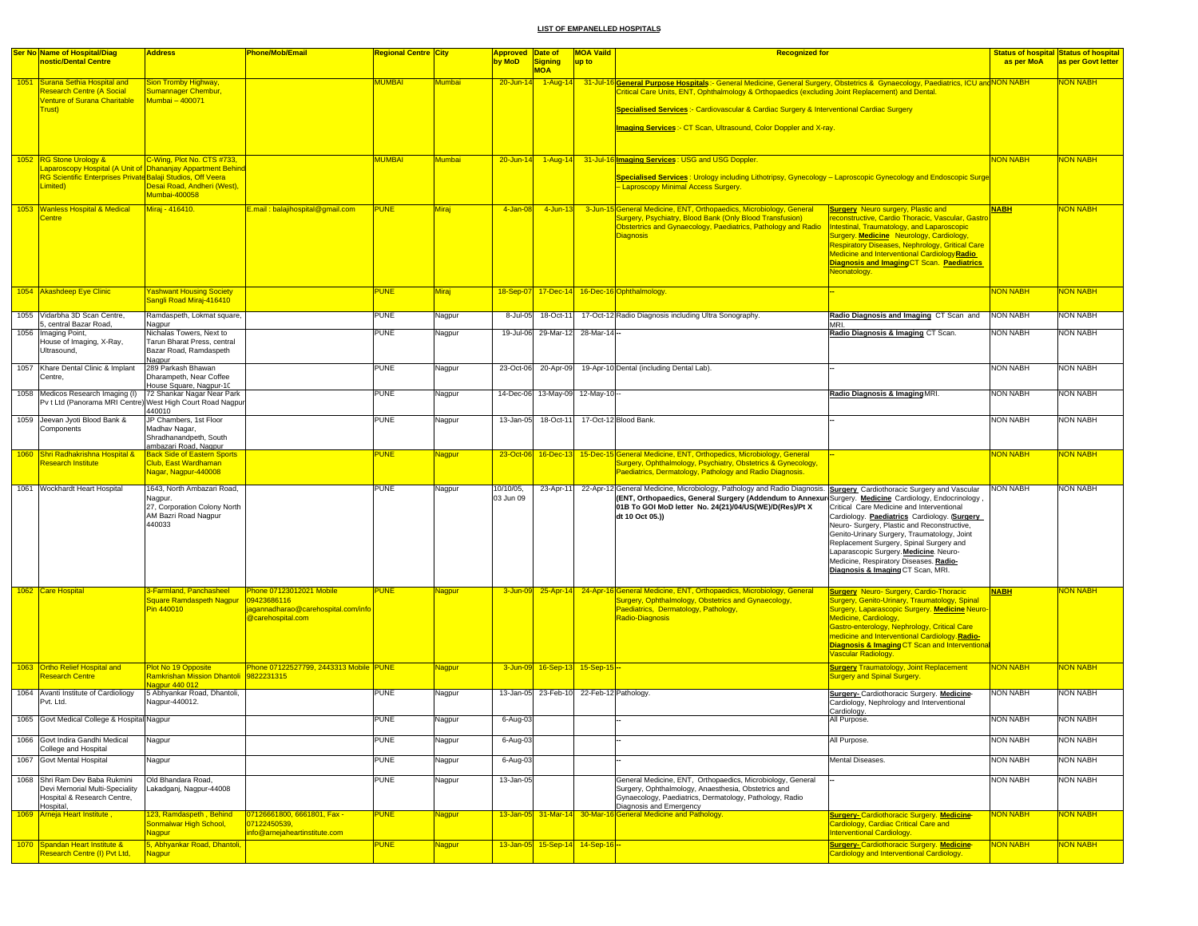| <b>Ser No Name of Hospital/Diag</b>                                                                                   | <b>Address</b>                                                                                                                           | <b>Phone/Mob/Email</b>                                                                                    | <b>Regional Centre City</b> |              | <b>Approved Date of</b> |                                 | <b>MOA Vaild</b>               | <b>Recognized for</b>                                                                                                                                                                                                                                                                                                                                                                                  |                                                                                                                                                                                                                                                                                                                                                                      |                 | <b>Status of hospital Status of hospital</b> |
|-----------------------------------------------------------------------------------------------------------------------|------------------------------------------------------------------------------------------------------------------------------------------|-----------------------------------------------------------------------------------------------------------|-----------------------------|--------------|-------------------------|---------------------------------|--------------------------------|--------------------------------------------------------------------------------------------------------------------------------------------------------------------------------------------------------------------------------------------------------------------------------------------------------------------------------------------------------------------------------------------------------|----------------------------------------------------------------------------------------------------------------------------------------------------------------------------------------------------------------------------------------------------------------------------------------------------------------------------------------------------------------------|-----------------|----------------------------------------------|
| nostic/Dental Centre                                                                                                  |                                                                                                                                          |                                                                                                           |                             |              | by MoD                  | <b>Signing</b><br><b>MOA</b>    | up to                          |                                                                                                                                                                                                                                                                                                                                                                                                        |                                                                                                                                                                                                                                                                                                                                                                      | as per MoA      | as per Govt letter                           |
| 1051 Surana Sethia Hospital and<br>Research Centre (A Social<br><b>Venture of Surana Charitable</b><br><b>Trust</b> ) | Sion Tromby Highway,<br>Sumannager Chembur,<br>1umbai - 400071                                                                           |                                                                                                           | MUMBAI                      | Mumbai       | 20-Jun-14               | $1-Aug-14$                      |                                | 31-Jul-16 General Purpose Hospitals: - General Medicine, General Surgery, Obstetrics & Gynaecology, Paediatrics, ICU and NON NABH<br>Critical Care Units, ENT, Ophthalmology & Orthopaedics (excluding Joint Replacement) and Dental.<br>Specialised Services :- Cardiovascular & Cardiac Surgery & Interventional Cardiac Surgery<br>Imaging Services: - CT Scan, Ultrasound, Color Doppler and X-ray |                                                                                                                                                                                                                                                                                                                                                                      |                 | <b>VON NABH</b>                              |
|                                                                                                                       |                                                                                                                                          |                                                                                                           |                             |              |                         |                                 |                                |                                                                                                                                                                                                                                                                                                                                                                                                        |                                                                                                                                                                                                                                                                                                                                                                      |                 |                                              |
| 1052 RG Stone Urology &<br>RG Scientific Enterprises Private Balaji Studios, Off Veera<br>Limited)                    | C-Wing, Plot No. CTS #733,<br>aparoscopy Hospital (A Unit of Dhananjay Appartment Behind<br>Desai Road, Andheri (West),<br>Mumbai-400058 |                                                                                                           | MUMBAI                      | Mumbai       | 20-Jun-14               | $1-Aug-14$                      |                                | 31-Jul-16 Imaging Services: USG and USG Doppler.<br>Specialised Services: Urology including Lithotripsy, Gynecology - Laproscopic Gynecology and Endoscopic Surge<br>- Laproscopy Minimal Access Surgery.                                                                                                                                                                                              |                                                                                                                                                                                                                                                                                                                                                                      | NON NABH        | <b>VON NABH</b>                              |
| 1053 Wanless Hospital & Medical<br><b>Centre</b>                                                                      | Miraj - 416410.                                                                                                                          | E.mail: balajihospital@gmail.com                                                                          | <b>PUNE</b>                 | <b>Miraj</b> | 4-Jan-08                | 4-Jun-13                        |                                | 3-Jun-15 General Medicine, ENT, Orthopaedics, Microbiology, General<br>Surgery, Psychiatry, Blood Bank (Only Blood Transfusion)<br>Obstertrics and Gynaecology, Paediatrics, Pathology and Radio<br>Diagnosis                                                                                                                                                                                          | <b>Surgery</b> Neuro surgery, Plastic and<br>econstructive, Cardio Thoracic, Vascular, Gastro<br>ntestinal, Traumatology, and Laparoscopic<br><b>Surgery. Medicine Neurology, Cardiology,</b><br>Respiratory Diseases, Nephrology, Gritical Care<br>Medicine and Interventional CardiologyRadio<br>Diagnosis and Imaging CT Scan. Paediatrics<br>Neonatology.        | <b>NABH</b>     | <b>NON NABH</b>                              |
| 1054 Akashdeep Eye Clinic                                                                                             | <b>Yashwant Housing Society</b><br>Sangli Road Miraj-416410                                                                              |                                                                                                           | <b>PUNE</b>                 | <b>Miraj</b> | 18-Sep-07               |                                 |                                | 17-Dec-14 16-Dec-16 Ophthalmology.                                                                                                                                                                                                                                                                                                                                                                     |                                                                                                                                                                                                                                                                                                                                                                      | <b>NON NABH</b> | <b>NON NABH</b>                              |
| 1055 Vidarbha 3D Scan Centre,                                                                                         | Ramdaspeth, Lokmat square,                                                                                                               |                                                                                                           | <b>PUNE</b>                 | Nagpur       | 8-Jul-05                | 18-Oct-11                       |                                | 17-Oct-12 Radio Diagnosis including Ultra Sonography.                                                                                                                                                                                                                                                                                                                                                  | Radio Diagnosis and Imaging CT Scan and                                                                                                                                                                                                                                                                                                                              | <b>NON NABH</b> | <b>NON NABH</b>                              |
| 5, central Bazar Road,<br>1056 Imaging Point,<br>House of Imaging, X-Ray,<br>Ultrasound,                              | Nagpur<br>Nichalas Towers, Next to<br>Tarun Bharat Press, central<br>Bazar Road, Ramdaspeth                                              |                                                                                                           | PUNE                        | Nagpur       | 19-Jul-06               | 29-Mar-12                       | 28-Mar-14 --                   |                                                                                                                                                                                                                                                                                                                                                                                                        | <b>MRI</b><br>Radio Diagnosis & Imaging CT Scan.                                                                                                                                                                                                                                                                                                                     | <b>NON NABH</b> | <b>NON NABH</b>                              |
| 1057 Khare Dental Clinic & Implant<br>Centre,                                                                         | Nagpur<br>289 Parkash Bhawan<br>Dharampeth, Near Coffee                                                                                  |                                                                                                           | <b>PUNE</b>                 | Nagpur       | 23-Oct-06               | 20-Apr-09                       |                                | 19-Apr-10 Dental (including Dental Lab).                                                                                                                                                                                                                                                                                                                                                               |                                                                                                                                                                                                                                                                                                                                                                      | <b>NON NABH</b> | <b>NON NABH</b>                              |
| 1058 Medicos Research Imaging (I)<br>Pv t Ltd (Panorama MRI Centre) West High Court Road Nagpur                       | House Square, Nagpur-10<br>72 Shankar Nagar Near Park                                                                                    |                                                                                                           | <b>PUNE</b>                 | Nagpur       | 14-Dec-06               | 13-May-09                       | 12-May-10                      |                                                                                                                                                                                                                                                                                                                                                                                                        | Radio Diagnosis & Imaging MRI.                                                                                                                                                                                                                                                                                                                                       | <b>NON NABH</b> | <b>NON NABH</b>                              |
| 1059 Jeevan Jyoti Blood Bank &                                                                                        | 440010<br>JP Chambers, 1st Floor                                                                                                         |                                                                                                           | <b>PUNE</b>                 | Nagpur       | 13-Jan-05               | 18-Oct-11                       |                                | 17-Oct-12 Blood Bank.                                                                                                                                                                                                                                                                                                                                                                                  |                                                                                                                                                                                                                                                                                                                                                                      | <b>NON NABH</b> | NON NABH                                     |
| Components                                                                                                            | Madhav Nagar,<br>Shradhanandpeth, South<br>ambazari Road, Nagpur                                                                         |                                                                                                           |                             |              |                         |                                 |                                |                                                                                                                                                                                                                                                                                                                                                                                                        |                                                                                                                                                                                                                                                                                                                                                                      |                 |                                              |
| 1060 Shri Radhakrishna Hospital &<br><b>Research Institute</b>                                                        | Back Side of Eastern Sports<br>Club, East Wardhaman<br>Nagar, Nagpur-440008                                                              |                                                                                                           | <b>PUNE</b>                 | Nagpur       |                         | 23-Oct-06 16-Dec-13             |                                | 15-Dec-15 General Medicine, ENT, Orthopedics, Microbiology, General<br>Surgery, Ophthalmology, Psychiatry, Obstetrics & Gynecology,<br>Paediatrics, Dermatology, Pathology and Radio Diagnosis.                                                                                                                                                                                                        |                                                                                                                                                                                                                                                                                                                                                                      | <b>VON NABH</b> | <b>VON NABH</b>                              |
| 1061 Wockhardt Heart Hospital                                                                                         | 1643, North Ambazari Road,<br>Nagpur.<br>27, Corporation Colony North<br>AM Bazri Road Nagpur<br>140033                                  |                                                                                                           | <b>PUNE</b>                 | Nagpur       | 10/10/05,<br>03 Jun 09  | 23-Apr-11                       |                                | 22-Apr-12 General Medicine, Microbiology, Pathology and Radio Diagnosis. Surgery Cardiothoracic Surgery and Vascular<br>(ENT, Orthopaedics, General Surgery (Addendum to Annexur Surgery. Medicine Cardiology, Endocrinology<br>01B To GOI MoD letter No. 24(21)/04/US(WE)/D(Res)/Pt X<br>dt 10 Oct 05.))                                                                                              | Critical Care Medicine and Interventional<br>Cardiology. Paediatrics Cardiology. (Surgery<br>Neuro- Surgery, Plastic and Reconstructive,<br>Genito-Urinary Surgery, Traumatology, Joint<br>Replacement Surgery, Spinal Surgery and<br>Laparascopic Surgery. Medicine. Neuro-<br>Medicine, Respiratory Diseases. Radio-<br>Diagnosis & Imaging CT Scan, MRI.          | <b>NON NABH</b> | <b>NON NABH</b>                              |
| 1062 Care Hospital                                                                                                    | 3-Farmland, Panchasheel<br>Square Ramdaspeth Nagpur<br>Pin 440010                                                                        | hone 07123012021 Mobile<br>09423686116<br>agannadharao@carehospital.com/info<br><b>D</b> carehospital.com | <b>PUNE</b>                 | Nagpur       | 3-Jun-09                |                                 |                                | 25-Apr-14 24-Apr-16 General Medicine, ENT, Orthopaedics, Microbiology, General<br>Surgery, Ophthalmology, Obstetrics and Gynaecology,<br>Paediatrics, Dermatology, Pathology,<br>Radio-Diagnosis                                                                                                                                                                                                       | <b>Surgery Neuro-Surgery, Cardio-Thoracic</b><br>Surgery, Genito-Urinary, Traumatology, Spinal<br>Surgery, Laparascopic Surgery. Medicine Neuro-<br>Medicine, Cardiology,<br>Gastro-enterology, Nephrology, Critical Care<br>medicine and Interventional Cardiology. Radio-<br><b>Diagnosis &amp; Imaging CT Scan and Interventiona</b><br><b>Jascular Radiology</b> | <b>NABH</b>     | ION NABH                                     |
| 1063 Ortho Relief Hospital and<br><b>Research Centre</b>                                                              | Plot No 19 Opposite<br>Ramkrishan Mission Dhantoli 9822231315<br>lagpur 440 012                                                          | Phone 07122527799, 2443313 Mobile PUNE                                                                    |                             | Nagpur       |                         | 3-Jun-09 16-Sep-13 15-Sep-15 -  |                                |                                                                                                                                                                                                                                                                                                                                                                                                        | <b>Surgery Traumatology, Joint Replacement</b><br><b>Surgery and Spinal Surgery</b>                                                                                                                                                                                                                                                                                  | <b>NON NABH</b> | <mark>NON NABH</mark>                        |
| 1064 Avanti Institute of Cardioliogy<br>Pvt. Ltd.                                                                     | 5 Abhyankar Road, Dhantoli,<br>Nagpur-440012.                                                                                            |                                                                                                           | <b>PUNE</b>                 | Nagpur       | 13-Jan-05               |                                 | 23-Feb-10 22-Feb-12 Pathology. |                                                                                                                                                                                                                                                                                                                                                                                                        | <b>Surgery-</b> Cardiothoracic Surgery. Medicine-<br>Cardiology, Nephrology and Interventional<br>Cardiology.                                                                                                                                                                                                                                                        | <b>NON NABH</b> | NON NABH                                     |
| 1065 Govt Medical College & Hospital Nagpur                                                                           |                                                                                                                                          |                                                                                                           | <b>PUNE</b>                 | Nagpur       | 6-Aug-03                |                                 |                                |                                                                                                                                                                                                                                                                                                                                                                                                        | All Purpose.                                                                                                                                                                                                                                                                                                                                                         | <b>NON NABH</b> | <b>NON NABH</b>                              |
| 1066 Govt Indira Gandhi Medical                                                                                       | Nagpur                                                                                                                                   |                                                                                                           | PUNE                        | Nagpur       | 6-Aug-0                 |                                 |                                |                                                                                                                                                                                                                                                                                                                                                                                                        | All Purpose.                                                                                                                                                                                                                                                                                                                                                         | <b>NON NABH</b> | <b>NON NABH</b>                              |
| College and Hospital<br>1067 Govt Mental Hospital                                                                     | Nagpur                                                                                                                                   |                                                                                                           | <b>PUNE</b>                 | Nagpur       | 6-Aug-0                 |                                 |                                |                                                                                                                                                                                                                                                                                                                                                                                                        | Mental Diseases.                                                                                                                                                                                                                                                                                                                                                     | <b>NON NABH</b> | <b>NON NABH</b>                              |
| 1068 Shri Ram Dev Baba Rukmini<br>Devi Memorial Multi-Speciality<br>Hospital & Research Centre,                       | Old Bhandara Road,<br>Lakadganj, Nagpur-44008                                                                                            |                                                                                                           | PUNE                        | Nagpur       | 13-Jan-05               |                                 |                                | General Medicine, ENT, Orthopaedics, Microbiology, General<br>Surgery, Ophthalmology, Anaesthesia, Obstetrics and<br>Gynaecology, Paediatrics, Dermatology, Pathology, Radio                                                                                                                                                                                                                           |                                                                                                                                                                                                                                                                                                                                                                      | <b>NON NABH</b> | NON NABH                                     |
| Hospital,<br>1069 Arneja Heart Institute,                                                                             | 123, Ramdaspeth, Behind<br>Sonmalwar High School,<br>Vagpur                                                                              | 07126661800, 6661801, Fax -<br>07122450539,<br>info@arnejaheartinstitute.com                              | <b>PUNE</b>                 | Nagpur       |                         |                                 |                                | Diagnosis and Emergency<br>13-Jan-05 31-Mar-14 30-Mar-16 General Medicine and Pathology.                                                                                                                                                                                                                                                                                                               | <b>Surgery-Cardiothoracic Surgery. Medicine-</b><br>Cardiology, Cardiac Critical Care and<br><b>Interventional Cardiology.</b>                                                                                                                                                                                                                                       | <b>NON NABH</b> | <b>VON NABH</b>                              |
| 1070 Spandan Heart Institute &<br><b>Research Centre (I) Pvt Ltd.</b>                                                 | i, Abhyankar Road, Dhantoli,<br>agpur                                                                                                    |                                                                                                           | PUNE                        | Nagpur       |                         | 13-Jan-05 15-Sep-14 14-Sep-16 - |                                |                                                                                                                                                                                                                                                                                                                                                                                                        | <b>Surgery- Cardiothoracic Surgery. Medicine-</b><br>Cardiology and Interventional Cardiology.                                                                                                                                                                                                                                                                       | <b>NON NABH</b> | <b>VON NABH</b>                              |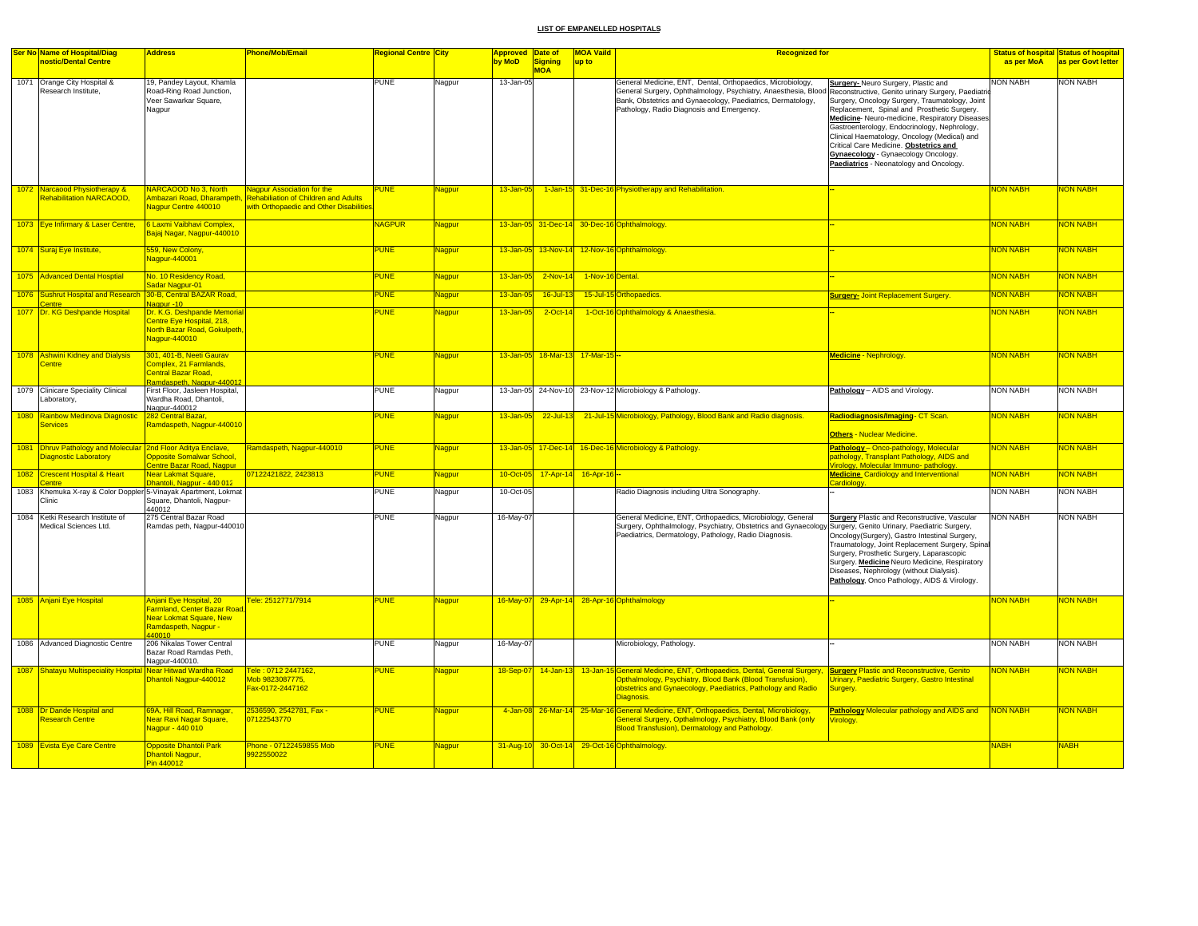| Ser No Name of Hospital/Diag                                                                 | <b>Address</b>                                                                                                            | Phone/Mob/Email                                                                                                      | <mark>Regional Centre City</mark> |               | <b>Approved Date of</b> |                                 | <b>MOA Vaild</b>    | <b>Recognized for</b>                                                                                                                                                                                                                                                                       |                                                                                                                                                                                                                                                                                                                                                                                                                    |                 | <b>Status of hospital Status of hospital</b> |
|----------------------------------------------------------------------------------------------|---------------------------------------------------------------------------------------------------------------------------|----------------------------------------------------------------------------------------------------------------------|-----------------------------------|---------------|-------------------------|---------------------------------|---------------------|---------------------------------------------------------------------------------------------------------------------------------------------------------------------------------------------------------------------------------------------------------------------------------------------|--------------------------------------------------------------------------------------------------------------------------------------------------------------------------------------------------------------------------------------------------------------------------------------------------------------------------------------------------------------------------------------------------------------------|-----------------|----------------------------------------------|
| nostic/Dental Centre                                                                         |                                                                                                                           |                                                                                                                      |                                   |               | by MoD                  | Signing<br><b>MOA</b>           | up to               |                                                                                                                                                                                                                                                                                             |                                                                                                                                                                                                                                                                                                                                                                                                                    | as per MoA      | as per Govt letter                           |
| 1071 Orange City Hospital &<br>Research Institute,                                           | 19, Pandey Layout, Khamla<br>Road-Ring Road Junction,<br>Veer Sawarkar Square,<br>Nagpur                                  |                                                                                                                      | <b>PUNE</b>                       | Nagpur        | 13-Jan-05               |                                 |                     | General Medicine, ENT, Dental, Orthopaedics, Microbiology,<br>General Surgery, Ophthalmology, Psychiatry, Anaesthesia, Blood Reconstructive, Genito urinary Surgery, Paediatric<br>Bank, Obstetrics and Gynaecology, Paediatrics, Dermatology,<br>Pathology, Radio Diagnosis and Emergency. | Surgery- Neuro Surgery, Plastic and<br>Surgery, Oncology Surgery, Traumatology, Joint<br>Replacement, Spinal and Prosthetic Surgery.<br>Medicine-Neuro-medicine, Respiratory Diseases.<br>Gastroenterology, Endocrinology, Nephrology,<br>Clinical Haematology, Oncology (Medical) and<br>Critical Care Medicine. Obstetrics and<br>Gynaecology - Gynaecology Oncology.<br>Paediatrics - Neonatology and Oncology. | <b>NON NABH</b> | <b>NON NABH</b>                              |
| 1072 Narcaood Physiotherapy &<br><b>Rehabilitation NARCAOOD</b>                              | NARCAOOD No 3, North<br>Ambazari Road, Dharampeth,<br><b>Jagpur Centre 440010</b>                                         | <b>Nagpur Association for the</b><br>Rehabiliation of Children and Adults<br>with Orthopaedic and Other Disabilities | <b>PUNE</b>                       | Nagpur        | $13 - Jan - 05$         |                                 |                     | 1-Jan-15 31-Dec-16 Physiotherapy and Rehabilitation.                                                                                                                                                                                                                                        |                                                                                                                                                                                                                                                                                                                                                                                                                    | <b>NON NABH</b> | NON NABH                                     |
| 1073 Eye Infirmary & Laser Centre,                                                           | 6 Laxmi Vaibhavi Complex,<br>Bajaj Nagar, Nagpur-440010                                                                   |                                                                                                                      | VAGPUR                            | Nagpur        |                         |                                 |                     | 13-Jan-05 31-Dec-14 30-Dec-16 Ophthalmology.                                                                                                                                                                                                                                                |                                                                                                                                                                                                                                                                                                                                                                                                                    | <b>NON NABH</b> | <b>NON NABH</b>                              |
| 1074 Suraj Eye Institute,                                                                    | 559, New Colony,<br>Nagpur-440001                                                                                         |                                                                                                                      | PUNE                              | Nagpur        |                         |                                 |                     | 13-Jan-05 13-Nov-14 12-Nov-16 Ophthalmology.                                                                                                                                                                                                                                                |                                                                                                                                                                                                                                                                                                                                                                                                                    | <b>NON NABH</b> | <b>NON NABH</b>                              |
| 1075 Advanced Dental Hosptial                                                                | No. 10 Residency Road,<br>Sadar Nagpur-01                                                                                 |                                                                                                                      | <b>PUNE</b>                       | Nagpur        | 13-Jan-05               | $2-Nov-14$                      | 1-Nov-16 Dental.    |                                                                                                                                                                                                                                                                                             |                                                                                                                                                                                                                                                                                                                                                                                                                    | <b>NON NABH</b> | NON NABH                                     |
| 1076 Sushrut Hospital and Research<br><b>Centre</b>                                          | 30-B, Central BAZAR Road,<br>Vagpur -10                                                                                   |                                                                                                                      | <b>UNE</b>                        | Nagpur        | 13-Jan-05               | 16-Jul-13                       |                     | 15-Jul-15 Orthopaedics.                                                                                                                                                                                                                                                                     | Surgery- Joint Replacement Surgery.                                                                                                                                                                                                                                                                                                                                                                                | <b>NON NABH</b> | NON NABH                                     |
| 1077 Dr. KG Deshpande Hospital                                                               | Dr. K.G. Deshpande Memoria<br>Centre Eye Hospital, 218,<br>North Bazar Road, Gokulpeth,<br>Nagpur-440010                  |                                                                                                                      | <b>PUNE</b>                       | Nagpur        | $13 - Jan - 05$         | 2-Oct-14                        |                     | 1-Oct-16 Ophthalmology & Anaesthesia.                                                                                                                                                                                                                                                       |                                                                                                                                                                                                                                                                                                                                                                                                                    | <b>NON NABH</b> | <b>NON NABH</b>                              |
| 1078 Ashwini Kidney and Dialysis<br><b>Centre</b>                                            | 301, 401-B, Neeti Gaurav<br>Complex, 21 Farmlands,<br>Central Bazar Road.<br>Ramdaspeth, Nagpur-44001                     |                                                                                                                      | <b>PUNE</b>                       | Nagpur        |                         | 13-Jan-05 18-Mar-13 17-Mar-15 - |                     |                                                                                                                                                                                                                                                                                             | <b>Medicine - Nephrology</b>                                                                                                                                                                                                                                                                                                                                                                                       | <b>NON NABH</b> | NON NABH                                     |
| 1079 Clinicare Speciality Clinical<br>Laboratory,                                            | First Floor, Jasleen Hospital,<br>Wardha Road, Dhantoli,<br>Nagpur-440012                                                 |                                                                                                                      | <b>PUNE</b>                       | Nagpur        |                         |                                 |                     | 13-Jan-05 24-Nov-10 23-Nov-12 Microbiology & Pathology.                                                                                                                                                                                                                                     | Pathology - AIDS and Virology                                                                                                                                                                                                                                                                                                                                                                                      | <b>NON NABH</b> | <b>NON NABH</b>                              |
| 1080 Rainbow Medinova Diagnostic<br><b>Services</b>                                          | 282 Central Bazar<br>Ramdaspeth, Nagpur-440010                                                                            |                                                                                                                      | <b>UNE</b>                        | Nagpur        | 13-Jan-05               | 22-Jul-13                       |                     | 21-Jul-15 Microbiology, Pathology, Blood Bank and Radio diagnosis.                                                                                                                                                                                                                          | Radiodiagnosis/Imaging- CT Scan.<br><b>Others - Nuclear Medicine.</b>                                                                                                                                                                                                                                                                                                                                              | <b>VON NABH</b> | <b>VON NABH</b>                              |
| 1081 Dhruv Pathology and Molecular 2nd Floor Aditya Enclave,<br><b>Diagnostic Laboratory</b> | <b>Opposite Somalwar School,</b><br>entre Bazar Road, Nagpur                                                              | Ramdaspeth, Nagpur-440010                                                                                            | <b>PUNE</b>                       | Nagpur        |                         |                                 |                     | 13-Jan-05 17-Dec-14 16-Dec-16 Microbiology & Pathology                                                                                                                                                                                                                                      | Pathology - Onco-pathology, Molecular<br>pathology, Transplant Pathology, AIDS and<br><b>/irology, Molecular Immuno- pathology.</b>                                                                                                                                                                                                                                                                                | <b>NON NABH</b> | <b>NON NABH</b>                              |
| 1082 Crescent Hospital & Heart                                                               | <b>Vear Lakmat Square,</b><br><mark>)hantoli, Nagpur - 440 012</mark>                                                     | 07122421822, 2423813                                                                                                 | <b>PUNE</b>                       | Nagpur        | 10-Oct-05               |                                 | 17-Apr-14 16-Apr-16 |                                                                                                                                                                                                                                                                                             | <b>Medicine</b> Cardiology and Interventional                                                                                                                                                                                                                                                                                                                                                                      | <b>NON NABH</b> | NON NABH                                     |
| 1083 Khemuka X-ray & Color Doppler 5-Vinayak Apartment, Lokmat<br>Clinic                     | Square, Dhantoli, Nagpur-<br>440012                                                                                       |                                                                                                                      | <b>PUNE</b>                       | Nagpur        | 10-Oct-05               |                                 |                     | Radio Diagnosis including Ultra Sonography.                                                                                                                                                                                                                                                 | <b>Cardiology</b>                                                                                                                                                                                                                                                                                                                                                                                                  | <b>NON NABH</b> | <b>NON NABH</b>                              |
| 1084 Ketki Research Institute of<br>Medical Sciences Ltd.                                    | 275 Central Bazar Road<br>Ramdas peth, Nagpur-440010                                                                      |                                                                                                                      | PUNE                              | Nagpur        | 16-May-07               |                                 |                     | General Medicine, ENT, Orthopaedics, Microbiology, General<br>Surgery, Ophthalmology, Psychiatry, Obstetrics and Gynaecology Surgery, Genito Urinary, Paediatric Surgery,<br>Paediatrics, Dermatology, Pathology, Radio Diagnosis.                                                          | <b>Surgery Plastic and Reconstructive, Vascular</b><br>Oncology(Surgery), Gastro Intestinal Surgery,<br>Traumatology, Joint Replacement Surgery, Spinal<br>Surgery, Prosthetic Surgery, Laparascopic<br>Surgery. Medicine Neuro Medicine, Respiratory<br>Diseases, Nephrology (without Dialysis).<br>Pathology, Onco Pathology, AIDS & Virology.                                                                   | <b>NON NABH</b> | <b>NON NABH</b>                              |
| 1085 Anjani Eye Hospital                                                                     | Anjani Eye Hospital, 20<br>Farmland, Center Bazar Road<br><b>Near Lokmat Square, New</b><br>Ramdaspeth, Nagpur -<br>40010 | Fele: 2512771/7914                                                                                                   | <b>PUNE</b>                       | Nagpur        | $16$ -May-07            |                                 |                     | 29-Apr-14 28-Apr-16 Ophthalmology                                                                                                                                                                                                                                                           |                                                                                                                                                                                                                                                                                                                                                                                                                    | <b>NON NABH</b> | <b>NON NABH</b>                              |
| 1086 Advanced Diagnostic Centre                                                              | 206 Nikalas Tower Central<br>Bazar Road Ramdas Peth,<br>Nagpur-440010.                                                    |                                                                                                                      | <b>PUNE</b>                       | Nagpur        | 16-May-07               |                                 |                     | Microbiology, Pathology.                                                                                                                                                                                                                                                                    |                                                                                                                                                                                                                                                                                                                                                                                                                    | <b>NON NABH</b> | <b>NON NABH</b>                              |
| 1087 Shatayu Multispeciality Hospital                                                        | Near Hitwad Wardha Road<br>Dhantoli Nagpur-440012                                                                         | Tele: 0712 2447162,<br>Mob 9823087775.<br>Fax-0172-2447162                                                           | <b>PUNE</b>                       | Nagpur        | 18-Sep-07               |                                 |                     | 14-Jan-13 13-Jan-15 General Medicine, ENT, Orthopaedics, Dental, General Surgery, Surgery Plastic and Reconstructive, Genito<br>Opthalmology, Psychiatry, Blood Bank (Blood Transfusion),<br>obstetrics and Gynaecology, Paediatrics, Pathology and Radio<br>Diagnosis.                     | <b>Jrinary, Paediatric Surgery, Gastro Intestinal</b><br>Surgery.                                                                                                                                                                                                                                                                                                                                                  | <b>NON NABH</b> | NON NABH                                     |
| 1088 Dr Dande Hospital and<br><b>Research Centre</b>                                         | 69A, Hill Road, Ramnagar,<br>Near Ravi Nagar Square,<br>Nagpur - 440 010                                                  | 2536590, 2542781, Fax -<br>07122543770                                                                               | <b>PUNE</b>                       | Nagpur        |                         | 4-Jan-08 26-Mar-14              |                     | 25-Mar-16 General Medicine, ENT, Orthopaedics, Dental, Microbiology,<br><b>General Surgery, Opthalmology, Psychiatry, Blood Bank (only</b><br><b>Blood Transfusion), Dermatology and Pathology.</b>                                                                                         | Pathology Molecular pathology and AIDS and<br>irology.                                                                                                                                                                                                                                                                                                                                                             | <b>NON NABH</b> | <b>NON NABH</b>                              |
| 1089 Evista Eye Care Centre                                                                  | <b>Opposite Dhantoli Park</b><br>Dhantoli Nagpur,<br>Pin 440012                                                           | Phone - 07122459855 Mob<br>9922550022                                                                                | PUNE                              | <b>Nagpur</b> |                         |                                 |                     | 31-Aug-10 30-Oct-14 29-Oct-16 Ophthalmology.                                                                                                                                                                                                                                                |                                                                                                                                                                                                                                                                                                                                                                                                                    | <b>NABH</b>     | <b>NABH</b>                                  |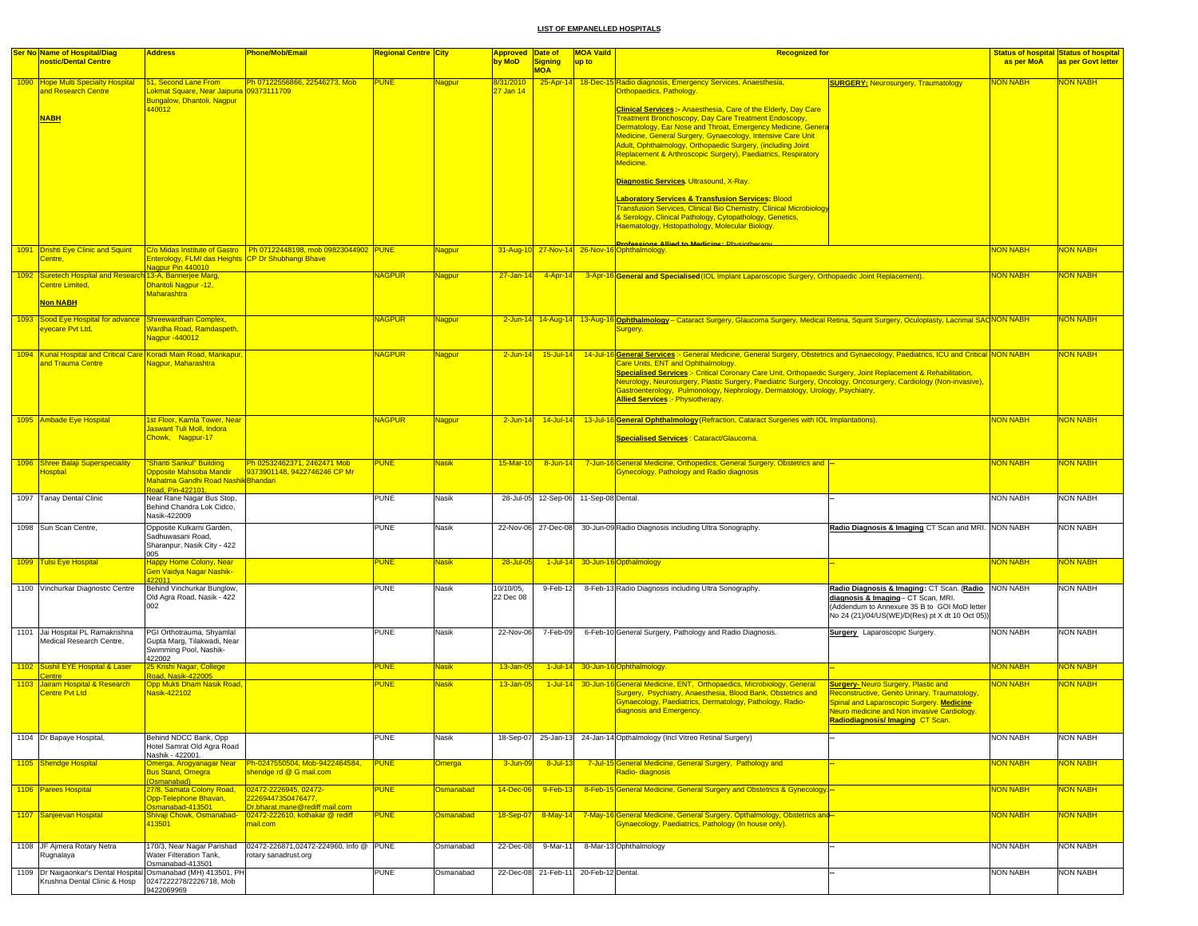| <b>Ser No Name of Hospital/Diag</b><br>nostic/Dental Centre                            | <b>Address</b>                                                                                 | <b>Phone/Mob/Email</b>                                                        | <mark>Regional Centre City</mark> |               | <b>Approved Date of</b><br>by MoD | <b>Signing</b><br><b>MOA</b> | <b>MOA Vaild</b><br>up to | <b>Recognized for</b>                                                                                                                                                                                                                                                                                                                                      |                                                                                                                                                                                                                                  | as per MoA      | <b>Status of hospital Status of hospital</b><br>as per Govt letter |
|----------------------------------------------------------------------------------------|------------------------------------------------------------------------------------------------|-------------------------------------------------------------------------------|-----------------------------------|---------------|-----------------------------------|------------------------------|---------------------------|------------------------------------------------------------------------------------------------------------------------------------------------------------------------------------------------------------------------------------------------------------------------------------------------------------------------------------------------------------|----------------------------------------------------------------------------------------------------------------------------------------------------------------------------------------------------------------------------------|-----------------|--------------------------------------------------------------------|
| 1090 Hope Multi Specialty Hospital<br>and Research Centre                              | 51, Second Lane From<br>Lokmat Square, Near Jaipuria 09373111709<br>Bungalow, Dhantoli, Nagpur | Ph 07122556866, 22546273, Mob                                                 | <b>PUNE</b>                       | <b>Nagpur</b> | 8/31/2010<br>27 Jan 14            |                              |                           | 25-Apr-14 18-Dec-15 Radio diagnosis, Emergency Services, Anaesthesia,<br>Orthopaedics, Pathology.                                                                                                                                                                                                                                                          | <b>SURGERY: Neurosurgery, Traumatology</b>                                                                                                                                                                                       | <b>NON NABH</b> | <b>NON NABH</b>                                                    |
| <b>NABH</b>                                                                            | 440012                                                                                         |                                                                               |                                   |               |                                   |                              |                           | <b>Clinical Services :- Anaesthesia, Care of the Elderly, Day Care</b><br>Treatment Bronchoscopy, Day Care Treatment Endoscopy,<br>Dermatology, Ear Nose and Throat, Emergency Medicine, Genera                                                                                                                                                            |                                                                                                                                                                                                                                  |                 |                                                                    |
|                                                                                        |                                                                                                |                                                                               |                                   |               |                                   |                              |                           | Medicine, General Surgery, Gynaecology, Intensive Care Unit<br>Adult, Ophthalmology, Orthopaedic Surgery, (including Joint<br>Replacement & Arthroscopic Surgery), Paediatrics, Respiratory<br>Medicine.                                                                                                                                                   |                                                                                                                                                                                                                                  |                 |                                                                    |
|                                                                                        |                                                                                                |                                                                               |                                   |               |                                   |                              |                           | Diagnostic Services. Ultrasound, X-Ray.                                                                                                                                                                                                                                                                                                                    |                                                                                                                                                                                                                                  |                 |                                                                    |
|                                                                                        |                                                                                                |                                                                               |                                   |               |                                   |                              |                           | <b>Laboratory Services &amp; Transfusion Services: Blood</b><br><b>Fransfusion Services, Clinical Bio Chemistry, Clinical Microbiology</b><br>& Serology, Clinical Pathology, Cytopathology, Genetics,                                                                                                                                                     |                                                                                                                                                                                                                                  |                 |                                                                    |
|                                                                                        |                                                                                                |                                                                               |                                   |               |                                   |                              |                           | Haematology, Histopathology, Molecular Biology.                                                                                                                                                                                                                                                                                                            |                                                                                                                                                                                                                                  |                 |                                                                    |
| 1091 <b>Drishti Eye Clinic and Squint</b><br>Centre,                                   | Enterology, FLMI das Heights CP Dr Shubhangi Bhave<br>Nagpur Pin 440010                        | C/o Midas Institute of Gastro   Ph 07122448198, mob 09823044902   PUNE        |                                   | Nagpur        | 31-Aug-10                         |                              |                           | Professions Allied to Medicine • Physiotheram<br>27-Nov-14 26-Nov-16 Ophthalmology                                                                                                                                                                                                                                                                         |                                                                                                                                                                                                                                  | <b>VON NABH</b> | <b>NON NABH</b>                                                    |
| 1092 Suretech Hospital and Research 13-A, Bannerjee Marg,<br><b>Centre Limited,</b>    | Dhantoli Nagpur -12,<br>Maharashtra                                                            |                                                                               | <b>NAGPUR</b>                     | Nagpur        | $27 - Jan - 14$                   | $4 - Apr - 14$               |                           | 3-Apr-16 General and Specialised (IOL Implant Laparoscopic Surgery, Orthopaedic Joint Replacement).                                                                                                                                                                                                                                                        |                                                                                                                                                                                                                                  | <b>NON NABH</b> | <b>NON NABH</b>                                                    |
| <b>Non NABH</b><br>1093 Sood Eye Hospital for advance Shreewardhan Complex,            |                                                                                                |                                                                               | <b>NAGPUR</b>                     | Nagpur        |                                   |                              |                           | 2-Jun-14 14-Aug-14 13-Aug-16 Ophthalmology - Cataract Surgery, Glaucoma Surgery, Medical Retina, Squint Surgery, Oculoplasty, Lacrimal SACNON NABH                                                                                                                                                                                                         |                                                                                                                                                                                                                                  |                 | <b>NON NABH</b>                                                    |
| eyecare Pvt Ltd,                                                                       | Nardha Road, Ramdaspeth<br>Vagpur -440012                                                      |                                                                               |                                   |               |                                   |                              |                           | Surgery.                                                                                                                                                                                                                                                                                                                                                   |                                                                                                                                                                                                                                  |                 |                                                                    |
| 1094 Kunal Hospital and Critical Care Koradi Main Road, Mankapur,<br>and Trauma Centre | Nagpur, Maharashtra                                                                            |                                                                               | <b>NAGPUR</b>                     | <b>Nagpur</b> | $2$ -Jun-14                       | 15-Jul-14                    |                           | 14-Jul-16 General Services: - General Medicine, General Surgery, Obstetrics and Gynaecology, Paediatrics, ICU and Critical NON NABH<br>Care Units, ENT and Ophthalmology.                                                                                                                                                                                  |                                                                                                                                                                                                                                  |                 | <b>NON NABH</b>                                                    |
|                                                                                        |                                                                                                |                                                                               |                                   |               |                                   |                              |                           | Specialised Services :- Critical Coronary Care Unit, Orthopaedic Surgery, Joint Replacement & Rehabilitation,<br>Neurology, Neurosurgery, Plastic Surgery, Paediatric Surgery, Oncology, Oncosurgery, Cardiology (Non-invasive),<br>Gastroenterology, Pulmonology, Nephrology, Dermatology, Urology, Psychiatry,<br><b>Allied Services:</b> Physiotherapy. |                                                                                                                                                                                                                                  |                 |                                                                    |
| 1095 Ambade Eye Hospital                                                               | 1st Floor, Kamla Tower, Near<br>Jaswant Tuli Moll, Indora                                      |                                                                               | <b>NAGPUR</b>                     | Nagpur        | $2$ -Jun-14                       | $14$ -Jul-14                 |                           | 13-Jul-16 General Ophthalmology (Refraction, Cataract Surgeries with IOL Implantations).                                                                                                                                                                                                                                                                   |                                                                                                                                                                                                                                  | NON NABH        | <b>NON NABH</b>                                                    |
|                                                                                        | Chowk, Nagpur-17                                                                               |                                                                               |                                   |               |                                   |                              |                           | Specialised Services : Cataract/Glaucoma.                                                                                                                                                                                                                                                                                                                  |                                                                                                                                                                                                                                  |                 |                                                                    |
| 1096 Shree Balaji Superspeciality<br><b>Hosptial</b>                                   | "Shanti Sankul" Building<br>Opposite Mahsoba Mandir<br>Mahatma Gandhi Road Nashik Bhandari     | Ph 02532462371, 2462471 Mob<br>9373901148, 9422746246 CP Mr                   | <b>PUNE</b>                       | <b>Nasik</b>  | 15-Mar-10                         | $8 - Jun - 1$                |                           | 7-Jun-16 General Medicine, Orthopedics, General Surgery, Obstetrics and<br>Gynecology. Pathology and Radio diagnosis                                                                                                                                                                                                                                       |                                                                                                                                                                                                                                  | <b>NON NABH</b> | <b>NON NABH</b>                                                    |
| 1097 Tanay Dental Clinic                                                               | Road, Pin-422101,<br>Near Rane Nagar Bus Stop,<br>Behind Chandra Lok Cidco,<br>Nasik-422009    |                                                                               | <b>PUNE</b>                       | Nasik         | 28-Jul-05                         | 12-Sep-06                    | 11-Sep-08 Dental.         |                                                                                                                                                                                                                                                                                                                                                            |                                                                                                                                                                                                                                  | <b>NON NABH</b> | <b>NON NABH</b>                                                    |
| 1098 Sun Scan Centre,                                                                  | Opposite Kulkarni Garden,<br>Sadhuwasani Road,<br>Sharanpur, Nasik City - 422                  |                                                                               | <b>PUNE</b>                       | Nasik         | 22-Nov-06                         | 27-Dec-08                    |                           | 30-Jun-09 Radio Diagnosis including Ultra Sonography.                                                                                                                                                                                                                                                                                                      | Radio Diagnosis & Imaging CT Scan and MRI. NON NABH                                                                                                                                                                              |                 | <b>NON NABH</b>                                                    |
| 1099 Tulsi Eye Hospital                                                                | 005<br><b>Happy Home Colony, Near</b><br>Gen Vaidya Nagar Nashik-<br>22011                     |                                                                               | <b>PUNE</b>                       | <b>Nasik</b>  | 28-Jul-05                         | $1$ -Jul-1                   |                           | 30-Jun-16 Opthalmology                                                                                                                                                                                                                                                                                                                                     |                                                                                                                                                                                                                                  | <b>NON NABH</b> | <b>NON NABH</b>                                                    |
| 1100 Vinchurkar Diagnostic Centre                                                      | Behind Vinchurkar Bunglow,<br>Old Agra Road, Nasik - 422<br>002                                |                                                                               | <b>PUNE</b>                       | Nasik         | 10/10/05,<br>22 Dec 08            | 9-Feb-12                     |                           | 8-Feb-13 Radio Diagnosis including Ultra Sonography.                                                                                                                                                                                                                                                                                                       | Radio Diagnosis & Imaging: CT Scan. (Radio NON NABH<br>diagnosis & Imaging- CT Scan, MRI.<br>(Addendum to Annexure 35 B to GOI MoD letter<br>No 24 (21)/04/US(WE)/D(Res) pt X dt 10 Oct 05))                                     |                 | <b>NON NABH</b>                                                    |
| 1101 Jai Hospital PL Ramakrishna<br>Medical Research Centre.                           | PGI Orthotrauma, Shyamlal<br>Gupta Marg, Tilakwadi, Near<br>Swimming Pool, Nashik-             |                                                                               | <b>PUNE</b>                       | Nasik         | 22-Nov-06                         | 7-Feb-09                     |                           | 6-Feb-10 General Surgery, Pathology and Radio Diagnosis.                                                                                                                                                                                                                                                                                                   | <b>Surgery</b> Laparoscopic Surgery.                                                                                                                                                                                             | <b>NON NABH</b> | <b>NON NABH</b>                                                    |
| 1102 Sushil EYE Hospital & Laser<br><b>Centre</b>                                      | 422002<br>25 Krishi Nagar, College<br>Road, Nasik-422005                                       |                                                                               | <b>PUNE</b>                       | <b>Nasik</b>  | 13-Jan-05                         | $1$ -Jul-14                  |                           | 30-Jun-16 Ophthalmology.                                                                                                                                                                                                                                                                                                                                   |                                                                                                                                                                                                                                  | NON NABH        | <b>NON NABH</b>                                                    |
| 1103 Jairam Hospital & Research<br><b>Centre Pvt Ltd</b>                               | Opp Mukti Dham Nasik Road,<br>Nasik-422102                                                     |                                                                               | <b>PUNE</b>                       | <b>Nasik</b>  | 13-Jan-05                         | $1$ -Jul-14                  |                           | 30-Jun-16 General Medicine, ENT, Orthopaedics, Microbiology, General<br>Surgery, Psychiatry, Anaesthesia, Blood Bank, Obstetrics and<br>Gynaecology, Paediatrics, Dermatology, Pathology, Radio-<br>diagnosis and Emergency.                                                                                                                               | <b>Surgery-Neuro Surgery, Plastic and</b><br>Reconstructive, Genito Urinary, Traumatology,<br>Spinal and Laparoscopic Surgery. Medicine-<br><b>Neuro medicine and Non invasive Cardiology</b><br>Radiodiagnosis/Imaging CT Scan. | NON NABH        | <b>NON NABH</b>                                                    |
| 1104 Dr Bapaye Hospital,                                                               | Behind NDCC Bank, Opp<br>Hotel Samrat Old Agra Road<br>Nashik - 422001.                        |                                                                               | <b>PUNE</b>                       | Nasik         | 18-Sep-07                         | 25-Jan-13                    |                           | 24-Jan-14 Opthalmology (Incl Vitreo Retinal Surgery)                                                                                                                                                                                                                                                                                                       |                                                                                                                                                                                                                                  | <b>NON NABH</b> | <b>NON NABH</b>                                                    |
| 1105 Shendge Hospital                                                                  | Omerga, Arogyanagar Near<br><b>Bus Stand, Omegra</b>                                           | Ph-0247550504, Mob-9422464584,<br>shendge rd @ G mail.com                     | <b>PUNE</b>                       | <b>Omerga</b> | 3-Jun-0                           | $8 -$ Jul-1                  |                           | 7-Jul-15 General Medicine, General Surgery, Pathology and<br>Radio-diagnosis                                                                                                                                                                                                                                                                               |                                                                                                                                                                                                                                  | <b>NON NABH</b> | <b>NON NABH</b>                                                    |
| 1106 Parees Hospital                                                                   | (Osmanabad)<br>27/8. Samata Colony Road.<br>Opp-Telephone Bhavan,                              | 02472-2226945, 02472-<br>22269447350476477,                                   | <b>PUNE</b>                       | Osmanabad     | 14-Dec-06                         | 9-Feb-1                      |                           | 8-Feb-15 General Medicine, General Surgery and Obstetrics & Gynecology.                                                                                                                                                                                                                                                                                    |                                                                                                                                                                                                                                  | <b>NON NABH</b> | <b>NON NABH</b>                                                    |
| 1107 Sanjeevan Hospital                                                                | Osmanabad-413501<br>Shivaji Chowk, Osmanabad-<br>413501                                        | Dr.bharat.mane@rediff mail.com<br>02472-222610, kothakar @ rediff<br>mail.com | <b>PUNE</b>                       | Osmanabad     | 18-Sep-07                         | 8-May-14                     |                           | 7-May-16 General Medicine, General Surgery, Opthalmology, Obstetrics and-<br>Gynaecology, Paediatrics, Pathology (In house only).                                                                                                                                                                                                                          |                                                                                                                                                                                                                                  | <b>NON NABH</b> | <b>NON NABH</b>                                                    |
| 1108 JF Ajmera Rotary Netra                                                            | 170/3, Near Nagar Parishad                                                                     | 02472-226871,02472-224960, Info @                                             | <b>PUNE</b>                       | Osmanabad     | 22-Dec-08                         | 9-Mar-11                     |                           | 8-Mar-13 Ophthalmology                                                                                                                                                                                                                                                                                                                                     |                                                                                                                                                                                                                                  | <b>NON NABH</b> | <b>NON NABH</b>                                                    |
| Rugnalaya<br>1109   Dr Naigaonkar's Dental Hospital Osmanabad (MH) 413501, PH          | Water Filteration Tank,<br>Osmanabad-413501                                                    | rotary sanadrust.org                                                          | PUNE                              | Osmanabad     | 22-Dec-08                         | 21-Feb-11                    | 20-Feb-12 Dental.         |                                                                                                                                                                                                                                                                                                                                                            |                                                                                                                                                                                                                                  | <b>NON NABH</b> | <b>NON NABH</b>                                                    |
| Krushna Dental Clinic & Hosp                                                           | 0247222278/2226718, Mob<br>9422069969                                                          |                                                                               |                                   |               |                                   |                              |                           |                                                                                                                                                                                                                                                                                                                                                            |                                                                                                                                                                                                                                  |                 |                                                                    |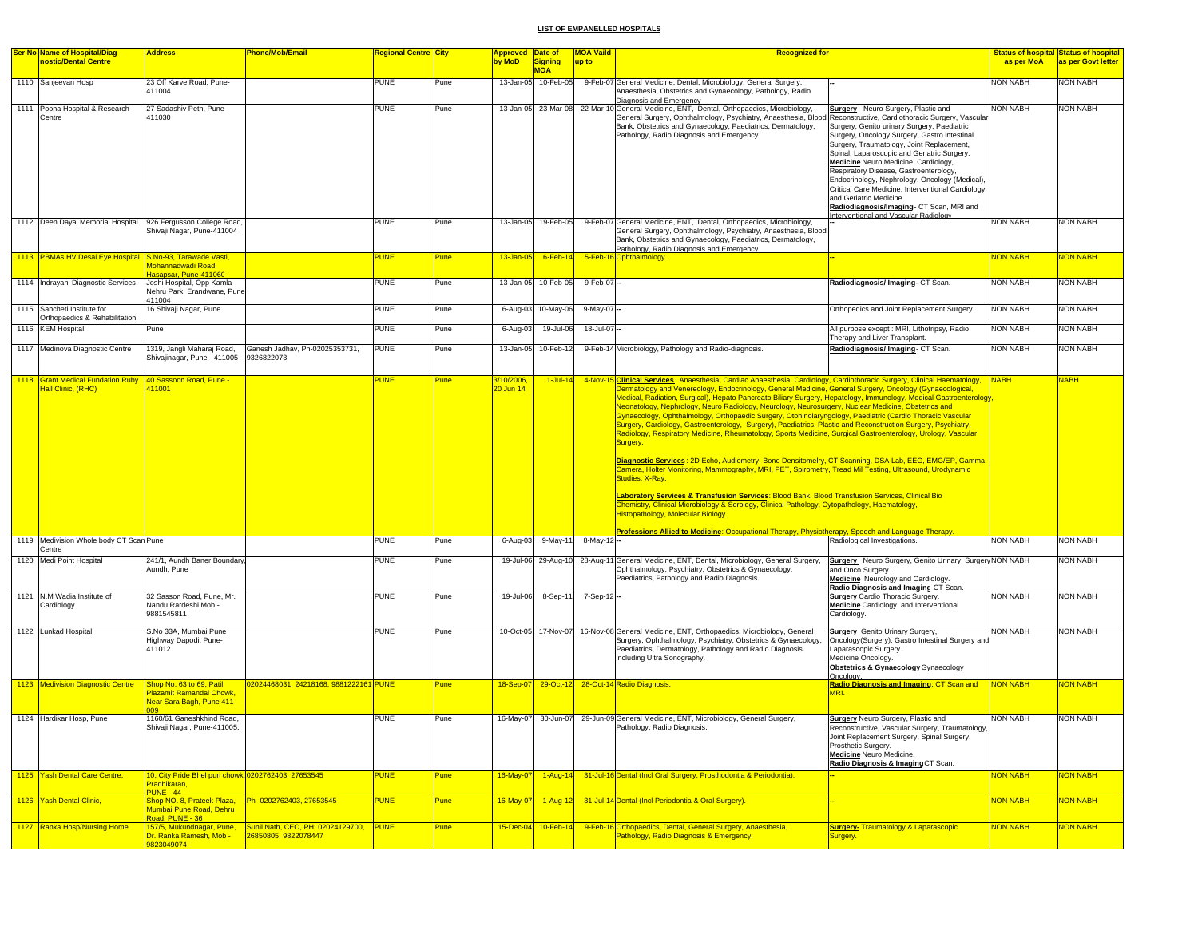| <b>Ser No Name of Hospital/Diag</b>                                             | <b>Address</b>                                                                              | <b>Phone/Mob/Email</b>                 | Regional Centre  City |             | <b>Approved Date of</b> |                       | <b>MOA Vaild</b><br><b>Recognized for</b>                                                                                                                                                                                                                                                                                                                                                                                                                                                                                                                                                                                                                                                                                                                                                                                                                                                                                                                                                                                                                                                                                                                                                                                                                                                                                                                                                                      |                                                                                                                                                                                                                                                                                                                                                                                                                                                                                                                                           |                 | <u>Status of hospital Status of hospital</u> |
|---------------------------------------------------------------------------------|---------------------------------------------------------------------------------------------|----------------------------------------|-----------------------|-------------|-------------------------|-----------------------|----------------------------------------------------------------------------------------------------------------------------------------------------------------------------------------------------------------------------------------------------------------------------------------------------------------------------------------------------------------------------------------------------------------------------------------------------------------------------------------------------------------------------------------------------------------------------------------------------------------------------------------------------------------------------------------------------------------------------------------------------------------------------------------------------------------------------------------------------------------------------------------------------------------------------------------------------------------------------------------------------------------------------------------------------------------------------------------------------------------------------------------------------------------------------------------------------------------------------------------------------------------------------------------------------------------------------------------------------------------------------------------------------------------|-------------------------------------------------------------------------------------------------------------------------------------------------------------------------------------------------------------------------------------------------------------------------------------------------------------------------------------------------------------------------------------------------------------------------------------------------------------------------------------------------------------------------------------------|-----------------|----------------------------------------------|
| nostic/Dental Centre                                                            |                                                                                             |                                        |                       |             | by MoD                  | Signing<br><b>MOA</b> | up to                                                                                                                                                                                                                                                                                                                                                                                                                                                                                                                                                                                                                                                                                                                                                                                                                                                                                                                                                                                                                                                                                                                                                                                                                                                                                                                                                                                                          |                                                                                                                                                                                                                                                                                                                                                                                                                                                                                                                                           | as per MoA      | as per Govt letter                           |
| 1110 Sanjeevan Hosp                                                             | 23 Off Karve Road, Pune-<br>411004                                                          |                                        | PUNE                  | Pune        |                         | 13-Jan-05 10-Feb-05   | 9-Feb-07 General Medicine, Dental, Microbiology, General Surgery,<br>Anaesthesia, Obstetrics and Gynaecology, Pathology, Radio                                                                                                                                                                                                                                                                                                                                                                                                                                                                                                                                                                                                                                                                                                                                                                                                                                                                                                                                                                                                                                                                                                                                                                                                                                                                                 |                                                                                                                                                                                                                                                                                                                                                                                                                                                                                                                                           | NON NABH        | <b>NON NABH</b>                              |
| 1111 Poona Hospital & Research<br>Centre                                        | 27 Sadashiv Peth, Pune-<br>411030                                                           |                                        | <b>PUNE</b>           | Pune        |                         | 13-Jan-05 23-Mar-08   | Diagnosis and Emergency<br>22-Mar-10 General Medicine, ENT, Dental, Orthopaedics, Microbiology,<br>General Surgery, Ophthalmology, Psychiatry, Anaesthesia, Blood Reconstructive, Cardiothoracic Surgery, Vascular<br>Bank, Obstetrics and Gynaecology, Paediatrics, Dermatology,<br>Pathology, Radio Diagnosis and Emergency.                                                                                                                                                                                                                                                                                                                                                                                                                                                                                                                                                                                                                                                                                                                                                                                                                                                                                                                                                                                                                                                                                 | Surgery - Neuro Surgery, Plastic and<br>Surgery, Genito urinary Surgery, Paediatric<br>Surgery, Oncology Surgery, Gastro intestinal<br>Surgery, Traumatology, Joint Replacement,<br>Spinal, Laparoscopic and Geriatric Surgery.<br>Medicine Neuro Medicine, Cardiology,<br>Respiratory Disease, Gastroenterology,<br>Endocrinology, Nephrology, Oncology (Medical),<br>Critical Care Medicine, Interventional Cardiology<br>and Geriatric Medicine.<br>Radiodiagnosis/Imaging - CT Scan, MRI and<br>Interventional and Vascular Radiology | <b>NON NABH</b> | <b>NON NABH</b>                              |
| 1112 Deen Dayal Memorial Hospital 926 Fergusson College Road,                   | Shivaji Nagar, Pune-411004                                                                  |                                        | PUNE                  | Pune        |                         | 13-Jan-05 19-Feb-05   | 9-Feb-07 General Medicine, ENT, Dental, Orthopaedics, Microbiology,<br>General Surgery, Ophthalmology, Psychiatry, Anaesthesia, Blood<br>Bank, Obstetrics and Gynaecology, Paediatrics, Dermatology,<br>Pathology, Radio Diagnosis and Emergency                                                                                                                                                                                                                                                                                                                                                                                                                                                                                                                                                                                                                                                                                                                                                                                                                                                                                                                                                                                                                                                                                                                                                               |                                                                                                                                                                                                                                                                                                                                                                                                                                                                                                                                           | <b>NON NABH</b> | <b>NON NABH</b>                              |
| 1113 PBMAs HV Desai Eye Hospital S.No-93, Tarawade Vasti,                       | Mohannadwadi Road,                                                                          |                                        | <b>PUNE</b>           | Pune        | 13-Jan-05               | $6$ -Feb-14           | 5-Feb-16 Ophthalmology.                                                                                                                                                                                                                                                                                                                                                                                                                                                                                                                                                                                                                                                                                                                                                                                                                                                                                                                                                                                                                                                                                                                                                                                                                                                                                                                                                                                        |                                                                                                                                                                                                                                                                                                                                                                                                                                                                                                                                           | <b>NON NABH</b> | <b>VON NABH</b>                              |
| 1114 Indrayani Diagnostic Services                                              | Hasapsar, Pune-411060<br>Joshi Hospital, Opp Kamla<br>Nehru Park, Erandwane, Pune<br>411004 |                                        | PUNE                  | Pune        |                         | 13-Jan-05 10-Feb-05   | 9-Feb-07-                                                                                                                                                                                                                                                                                                                                                                                                                                                                                                                                                                                                                                                                                                                                                                                                                                                                                                                                                                                                                                                                                                                                                                                                                                                                                                                                                                                                      | Radiodiagnosis/ Imaging- CT Scan.                                                                                                                                                                                                                                                                                                                                                                                                                                                                                                         | <b>NON NABH</b> | <b>NON NABH</b>                              |
| 1115 Sancheti Institute for<br>Orthopaedics & Rehabilitation                    | 16 Shivaji Nagar, Pune                                                                      |                                        | PUNE                  | Pune        |                         | 6-Aug-03 10-May-06    | 9-May-07                                                                                                                                                                                                                                                                                                                                                                                                                                                                                                                                                                                                                                                                                                                                                                                                                                                                                                                                                                                                                                                                                                                                                                                                                                                                                                                                                                                                       | Orthopedics and Joint Replacement Surgery.                                                                                                                                                                                                                                                                                                                                                                                                                                                                                                | <b>NON NABH</b> | <b>NON NABH</b>                              |
| 1116 KEM Hospital                                                               | Pune                                                                                        |                                        | <b>PUNE</b>           | Pune        | 6-Aug-03                | 19-Jul-06             | 18-Jul-07-                                                                                                                                                                                                                                                                                                                                                                                                                                                                                                                                                                                                                                                                                                                                                                                                                                                                                                                                                                                                                                                                                                                                                                                                                                                                                                                                                                                                     | All purpose except : MRI, Lithotripsy, Radio<br>Therapy and Liver Transplant.                                                                                                                                                                                                                                                                                                                                                                                                                                                             | <b>NON NABH</b> | <b>NON NABH</b>                              |
| 1117 Medinova Diagnostic Centre                                                 | 1319, Jangli Maharaj Road,<br>Shivajinagar, Pune - 411005<br>9326822073                     | Ganesh Jadhav, Ph-02025353731,         | <b>PUNE</b>           | Pune        |                         | 13-Jan-05 10-Feb-12   | 9-Feb-14 Microbiology, Pathology and Radio-diagnosis.                                                                                                                                                                                                                                                                                                                                                                                                                                                                                                                                                                                                                                                                                                                                                                                                                                                                                                                                                                                                                                                                                                                                                                                                                                                                                                                                                          | Radiodiagnosis/Imaging-CT Scan.                                                                                                                                                                                                                                                                                                                                                                                                                                                                                                           | <b>NON NABH</b> | <b>NON NABH</b>                              |
| 1118 Grant Medical Fundation Ruby 40 Sassoon Road, Pune -<br>Hall Clinic, (RHC) | 411001                                                                                      |                                        | <b>PUNE</b>           | Pune        | 3/10/2006<br>20 Jun 14  | $1$ -Jul-14           | 4-Nov-15 Clinical Services: Anaesthesia, Cardiac Anaesthesia, Cardiology, Cardiothoracic Surgery, Clinical Haematology,<br>Dermatology and Venereology, Endocrinology, General Medicine, General Surgery, Oncology (Gynaecological,<br>Medical, Radiation, Surgical), Hepato Pancreato Biliary Surgery, Hepatology, Immunology, Medical Gastroenterology<br>Neonatology, Nephrology, Neuro Radiology, Neurology, Neurosurgery, Nuclear Medicine, Obstetrics and<br>Gynaecology, Ophthalmology, Orthopaedic Surgery, Otohinolaryngology, Paediatric (Cardio Thoracic Vascular<br>Surgery, Cardiology, Gastroenterology, Surgery), Paediatrics, Plastic and Reconstruction Surgery, Psychiatry,<br>Radiology, Respiratory Medicine, Rheumatology, Sports Medicine, Surgical Gastroenterology, Urology, Vascular<br>Surgery.<br>Diagnostic Services: 2D Echo, Audiometry, Bone Densitomelry, CT Scanning, DSA Lab, EEG, EMG/EP, Gamma<br>Camera, Holter Monitoring, Mammography, MRI, PET, Spirometry, Tread Mil Testing, Ultrasound, Urodynamic<br>Studies, X-Ray.<br>Laboratory Services & Transfusion Services: Blood Bank, Blood Transfusion Services, Clinical Bio<br>Chemistry, Clinical Microbiology & Serology, Clinical Pathology, Cytopathology, Haematology,<br>Histopathology, Molecular Biology<br>Professions Allied to Medicine: Occupational Therapy, Physiotherapy, Speech and Language Therapy. |                                                                                                                                                                                                                                                                                                                                                                                                                                                                                                                                           | <b>NABH</b>     | <b>NABH</b>                                  |
| 1119 Medivision Whole body CT Scan Pune                                         |                                                                                             |                                        | PUNE                  | Pune        | 6-Aug-03                | 9-May-11              | 8-May-12 --                                                                                                                                                                                                                                                                                                                                                                                                                                                                                                                                                                                                                                                                                                                                                                                                                                                                                                                                                                                                                                                                                                                                                                                                                                                                                                                                                                                                    | Radiological Investigations.                                                                                                                                                                                                                                                                                                                                                                                                                                                                                                              | <b>NON NABH</b> | <b>NON NABH</b>                              |
| 1120 Medi Point Hospital                                                        | 241/1, Aundh Baner Boundary<br>Aundh, Pune                                                  |                                        | PUNE                  | Pune        |                         | 19-Jul-06 29-Aug-10   | 28-Aug-11 General Medicine, ENT, Dental, Microbiology, General Surgery,<br>Ophthalmology, Psychiatry, Obstetrics & Gynaecology,<br>Paediatrics, Pathology and Radio Diagnosis.                                                                                                                                                                                                                                                                                                                                                                                                                                                                                                                                                                                                                                                                                                                                                                                                                                                                                                                                                                                                                                                                                                                                                                                                                                 | Surgery Neuro Surgery, Genito Urinary Surgery NON NABH<br>and Onco Surgery.<br><b>Medicine</b> Neurology and Cardiology.<br>Radio Diagnosis and Imaging CT Scan                                                                                                                                                                                                                                                                                                                                                                           |                 | <b>NON NABH</b>                              |
| 1121 N.M Wadia Institute of<br>Cardiology                                       | 32 Sasson Road, Pune, Mr.<br>Nandu Rardeshi Mob -<br>9881545811                             |                                        | <b>PUNE</b>           | Pune        |                         | 19-Jul-06 8-Sep-11    | 7-Sep-12 --                                                                                                                                                                                                                                                                                                                                                                                                                                                                                                                                                                                                                                                                                                                                                                                                                                                                                                                                                                                                                                                                                                                                                                                                                                                                                                                                                                                                    | <b>Surgery</b> Cardio Thoracic Surgery.<br>Medicine Cardiology and Interventional<br>Cardiology.                                                                                                                                                                                                                                                                                                                                                                                                                                          | <b>NON NABH</b> | NON NABH                                     |
| 1122 Lunkad Hospital                                                            | S.No 33A, Mumbai Pune<br>Highway Dapodi, Pune-<br>411012                                    |                                        | PUNE                  | Pune        |                         | 10-Oct-05 17-Nov-07   | 16-Nov-08 General Medicine, ENT, Orthopaedics, Microbiology, General<br>Surgery, Ophthalmology, Psychiatry, Obstetrics & Gynaecology,<br>Paediatrics, Dermatology, Pathology and Radio Diagnosis<br>including Ultra Sonography.                                                                                                                                                                                                                                                                                                                                                                                                                                                                                                                                                                                                                                                                                                                                                                                                                                                                                                                                                                                                                                                                                                                                                                                | <b>Surgery</b> Genito Urinary Surgery,<br>Oncology(Surgery), Gastro Intestinal Surgery and<br>Laparascopic Surgery.<br>Medicine Oncology.<br><b>Obstetrics &amp; Gynaecology</b> Gynaecology<br>Oncology.                                                                                                                                                                                                                                                                                                                                 | <b>NON NABH</b> | <b>NON NABH</b>                              |
| 1123 Medivision Diagnostic Centre                                               | Shop No. 63 to 69, Patil<br>Plazamit Ramandal Chowk,<br>Near Sara Bagh, Pune 411            | 02024468031, 24218168, 9881222161 PUNE |                       | Pune        |                         |                       | 18-Sep-07 29-Oct-12 28-Oct-14 Radio Diagnosis.                                                                                                                                                                                                                                                                                                                                                                                                                                                                                                                                                                                                                                                                                                                                                                                                                                                                                                                                                                                                                                                                                                                                                                                                                                                                                                                                                                 | Radio Diagnosis and Imaging: CT Scan and<br>MRI.                                                                                                                                                                                                                                                                                                                                                                                                                                                                                          | NON NABH        | <b>JON NABH</b>                              |
| 1124 Hardikar Hosp, Pune                                                        | 1160/61 Ganeshkhind Road,<br>Shivaji Nagar, Pune-411005                                     |                                        | PUNE                  | Pune        | 16-May-07               | 30-Jun-07             | 29-Jun-09 General Medicine, ENT, Microbiology, General Surgery,<br>Pathology, Radio Diagnosis                                                                                                                                                                                                                                                                                                                                                                                                                                                                                                                                                                                                                                                                                                                                                                                                                                                                                                                                                                                                                                                                                                                                                                                                                                                                                                                  | <b>Surgery</b> Neuro Surgery, Plastic and<br>Reconstructive, Vascular Surgery, Traumatology<br>Joint Replacement Surgery, Spinal Surgery,<br>Prosthetic Surgery.<br>Medicine Neuro Medicine.<br>Radio Diagnosis & Imaging CT Scan.                                                                                                                                                                                                                                                                                                        | <b>NON NABH</b> | <b>NON NABH</b>                              |
| 1125 Yash Dental Care Centre,                                                   | 10, City Pride Bhel puri chowk, 0202762403, 27653545<br>Pradhikaran,                        |                                        | <b>PUNE</b>           | <b>Pune</b> | $16$ -May-07            | $1-Aug-14$            | 31-Jul-16 Dental (Incl Oral Surgery, Prosthodontia & Periodontia).                                                                                                                                                                                                                                                                                                                                                                                                                                                                                                                                                                                                                                                                                                                                                                                                                                                                                                                                                                                                                                                                                                                                                                                                                                                                                                                                             |                                                                                                                                                                                                                                                                                                                                                                                                                                                                                                                                           | <b>NON NABH</b> | <b>VON NABH</b>                              |
| 1126 Yash Dental Clinic,                                                        | <b>PUNE - 44</b><br>Shop NO. 8, Prateek Plaza,                                              | Ph- 0202762403, 27653545               | <b>PUNE</b>           | Pune        | 16-May-07               | 1-Aug-12              | 31-Jul-14 Dental (Incl Periodontia & Oral Surgery).                                                                                                                                                                                                                                                                                                                                                                                                                                                                                                                                                                                                                                                                                                                                                                                                                                                                                                                                                                                                                                                                                                                                                                                                                                                                                                                                                            |                                                                                                                                                                                                                                                                                                                                                                                                                                                                                                                                           | <b>NON NABH</b> | <b>NON NABH</b>                              |
| 1127 Ranka Hosp/Nursing Home                                                    | Mumbai Pune Road, Dehru<br>Road, PUNE - 36<br>157/5, Mukundnagar, Pune,                     | Sunil Nath, CEO, PH: 02024129700, PUNE |                       | Pune        |                         | 15-Dec-04 10-Feb-14   | 9-Feb-16 Orthopaedics, Dental, General Surgery, Anaesthesia,                                                                                                                                                                                                                                                                                                                                                                                                                                                                                                                                                                                                                                                                                                                                                                                                                                                                                                                                                                                                                                                                                                                                                                                                                                                                                                                                                   | <b>Surgery- Traumatology &amp; Laparascopic</b>                                                                                                                                                                                                                                                                                                                                                                                                                                                                                           | NON NABH        | <b>NON NABH</b>                              |
|                                                                                 | Dr. Ranka Ramesh, Mob -<br>823049074                                                        | 26850805, 9822078447                   |                       |             |                         |                       | Pathology, Radio Diagnosis & Emergency.                                                                                                                                                                                                                                                                                                                                                                                                                                                                                                                                                                                                                                                                                                                                                                                                                                                                                                                                                                                                                                                                                                                                                                                                                                                                                                                                                                        | Surgery.                                                                                                                                                                                                                                                                                                                                                                                                                                                                                                                                  |                 |                                              |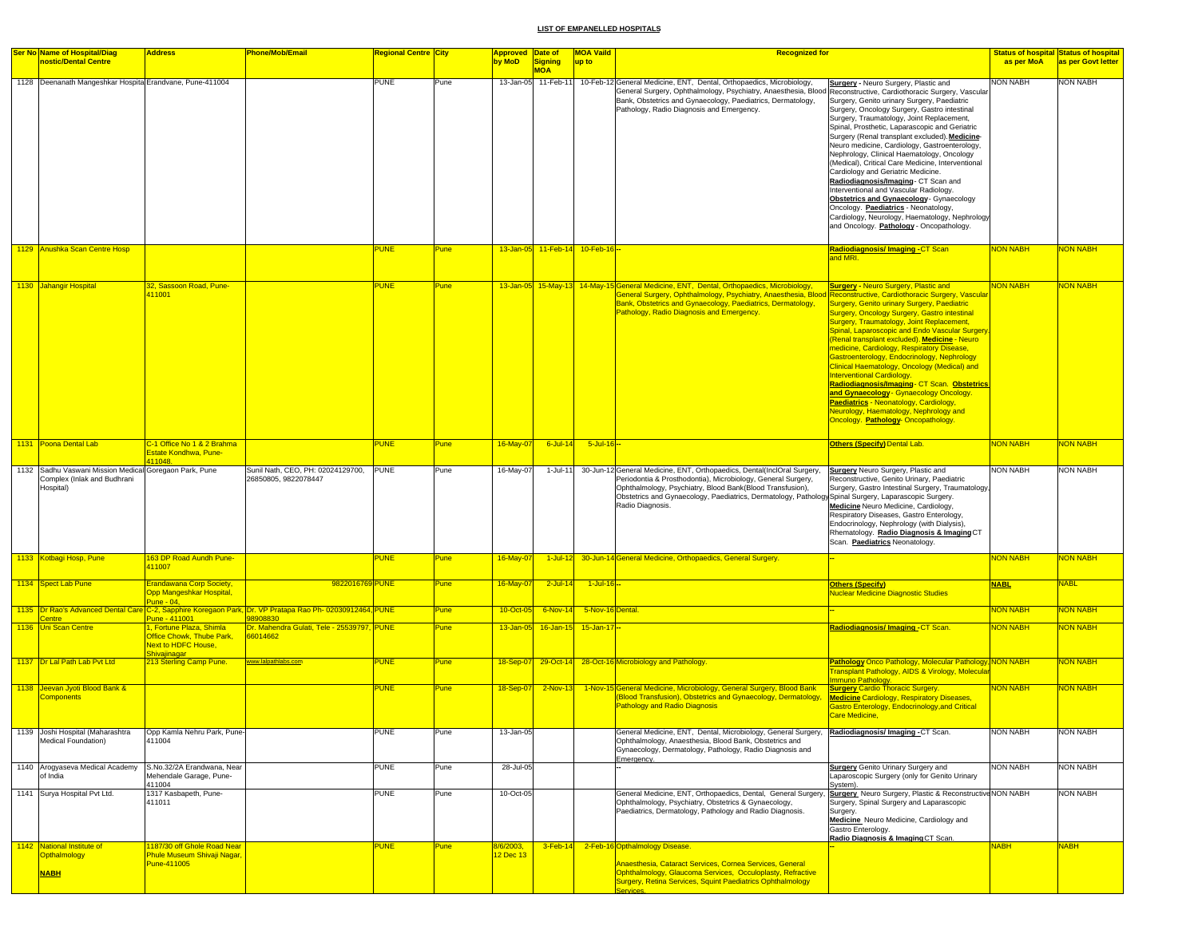| <b>Ser No Name of Hospital/Diag</b><br>nostic/Dental Centre                                        | <b>Address</b>                                                                                     | <b>Phone/Mob/Email</b>                                                | <b>Regional Centre City</b> |             | <b>Approved Date of</b><br>by MoD | Signing<br><b>MOA</b>           | <b>MOA Vaild</b><br>up to | <b>Recognized for</b>                                                                                                                                                                                                                                                                                                             |                                                                                                                                                                                                                                                                                                                                                                                                                                                                                                                                                                                                                                                                                                                                                        | as per MoA      | Status of hospital Status of hospital<br>as per Govt letter |
|----------------------------------------------------------------------------------------------------|----------------------------------------------------------------------------------------------------|-----------------------------------------------------------------------|-----------------------------|-------------|-----------------------------------|---------------------------------|---------------------------|-----------------------------------------------------------------------------------------------------------------------------------------------------------------------------------------------------------------------------------------------------------------------------------------------------------------------------------|--------------------------------------------------------------------------------------------------------------------------------------------------------------------------------------------------------------------------------------------------------------------------------------------------------------------------------------------------------------------------------------------------------------------------------------------------------------------------------------------------------------------------------------------------------------------------------------------------------------------------------------------------------------------------------------------------------------------------------------------------------|-----------------|-------------------------------------------------------------|
| 1128 Deenanath Mangeshkar Hospital Erandvane, Pune-411004                                          |                                                                                                    |                                                                       | <b>PUNE</b>                 | Pune        |                                   | 13-Jan-05 11-Feb-11             |                           | 10-Feb-12 General Medicine, ENT, Dental, Orthopaedics, Microbiology,<br>General Surgery, Ophthalmology, Psychiatry, Anaesthesia, Blood Reconstructive, Cardiothoracic Surgery, Vascular<br>Bank, Obstetrics and Gynaecology, Paediatrics, Dermatology,<br>Pathology, Radio Diagnosis and Emergency.                               | Surgery - Neuro Surgery, Plastic and<br>Surgery, Genito urinary Surgery, Paediatric<br>Surgery, Oncology Surgery, Gastro intestinal<br>Surgery, Traumatology, Joint Replacement,<br>Spinal, Prosthetic, Laparascopic and Geriatric<br>Surgery (Renal transplant excluded). Medicine-<br>Neuro medicine, Cardiology, Gastroenterology,<br>Nephrology, Clinical Haematology, Oncology<br>(Medical), Critical Care Medicine, Interventional<br>Cardiology and Geriatric Medicine.<br>Radiodiagnosis/Imaging- CT Scan and<br>Interventional and Vascular Radiology.<br>Obstetrics and Gynaecology - Gynaecology<br>Oncology. Paediatrics - Neonatology,<br>Cardiology, Neurology, Haematology, Nephrology<br>and Oncology. Pathology - Oncopathology.      | <b>NON NABH</b> | <b>NON NABH</b>                                             |
| 1129 Anushka Scan Centre Hosp                                                                      |                                                                                                    |                                                                       | <b>PUNE</b>                 | <b>Pune</b> |                                   | 13-Jan-05 11-Feb-14 10-Feb-16 - |                           |                                                                                                                                                                                                                                                                                                                                   | Radiodiagnosis/ Imaging -CT Scan<br>and MRI.                                                                                                                                                                                                                                                                                                                                                                                                                                                                                                                                                                                                                                                                                                           | <b>NON NABH</b> | <b>JON NABH</b>                                             |
| 1130 Jahangir Hospital                                                                             | 32, Sassoon Road, Pune-<br>111001                                                                  |                                                                       | <b>PUNE</b>                 | <b>Pune</b> |                                   |                                 |                           | 13-Jan-05 15-May-13 14-May-15 General Medicine, ENT, Dental, Orthopaedics, Microbiology,<br>General Surgery, Ophthalmology, Psychiatry, Anaesthesia, Blood<br>Bank, Obstetrics and Gynaecology, Paediatrics, Dermatology,<br>Pathology, Radio Diagnosis and Emergency.                                                            | <b>Surgery - Neuro Surgery, Plastic and</b><br>Reconstructive, Cardiothoracic Surgery, Vascular<br>Surgery, Genito urinary Surgery, Paediatric<br>Surgery, Oncology Surgery, Gastro intestinal<br>Surgery, Traumatology, Joint Replacement,<br>Spinal, Laparoscopic and Endo Vascular Surgery.<br>(Renal transplant excluded). Medicine - Neuro<br>medicine, Cardiology, Respiratory Disease,<br>Gastroenterology, Endocrinology, Nephrology<br>Clinical Haematology, Oncology (Medical) and<br>Interventional Cardiology.<br>Radiodiagnosis/Imaging- CT Scan. Obstetrics<br>and Gynaecology - Gynaecology Oncology.<br>Paediatrics - Neonatology, Cardiology,<br><b>Neurology, Haematology, Nephrology and</b><br>Oncology. Pathology- Oncopathology. | <b>VON NABH</b> | <b>VON NABH</b>                                             |
| 1131 Poona Dental Lab                                                                              | C-1 Office No 1 & 2 Brahma<br>Estate Kondhwa, Pune-<br>111048.                                     |                                                                       | <b>PUNE</b>                 | <b>Pune</b> | 16-May-07                         | $6$ -Jul-14                     | $5 -$ Jul-16 $-$          |                                                                                                                                                                                                                                                                                                                                   | Others (Specify) Dental Lab.                                                                                                                                                                                                                                                                                                                                                                                                                                                                                                                                                                                                                                                                                                                           | <b>NON NABH</b> | <b>NON NABH</b>                                             |
| 1132 Sadhu Vaswani Mission Medical Goregaon Park, Pune<br>Complex (Inlak and Budhrani<br>Hospital) |                                                                                                    | Sunil Nath, CEO, PH: 02024129700,<br>26850805.9822078447              | <b>PUNE</b>                 | Pune        | 16-May-07                         | $1-Jul-11$                      |                           | 30-Jun-12 General Medicine, ENT, Orthopaedics, Dental(InclOral Surgery,<br>Periodontia & Prosthodontia), Microbiology, General Surgery,<br>Ophthalmology, Psychiatry, Blood Bank(Blood Transfusion),<br>Obstetrics and Gynaecology, Paediatrics, Dermatology, Pathology Spinal Surgery, Laparascopic Surgery.<br>Radio Diagnosis. | <b>Surgery</b> Neuro Surgery, Plastic and<br>Reconstructive, Genito Urinary, Paediatric<br>Surgery, Gastro Intestinal Surgery, Traumatology,<br>Medicine Neuro Medicine, Cardiology,<br>Respiratory Diseases, Gastro Enterology,<br>Endocrinology, Nephrology (with Dialysis),<br>Rhematology. Radio Diagnosis & Imaging CT<br>Scan. Paediatrics Neonatology.                                                                                                                                                                                                                                                                                                                                                                                          | <b>NON NABH</b> | NON NABH                                                    |
| 1133 Kotbagi Hosp, Pune                                                                            | 163 DP Road Aundh Pune-<br>111007                                                                  |                                                                       | <b>PUNE</b>                 | Pune        | 16-May-07                         | $1$ -Jul-12                     |                           | 30-Jun-14 General Medicine, Orthopaedics, General Surgery.                                                                                                                                                                                                                                                                        |                                                                                                                                                                                                                                                                                                                                                                                                                                                                                                                                                                                                                                                                                                                                                        | <b>NON NABH</b> | <b>VON NABH</b>                                             |
| 1134 Spect Lab Pune                                                                                | <b>Erandawana Corp Society,</b><br>Opp Mangeshkar Hospital,<br>$2$ une - 04.                       | 9822016769 PUNE                                                       |                             | Pune        | 16-May-07                         | $2$ -Jul-14                     | 1-Jul-16 --               |                                                                                                                                                                                                                                                                                                                                   | <b>Others (Specify)</b><br><b>Nuclear Medicine Diagnostic Studies</b>                                                                                                                                                                                                                                                                                                                                                                                                                                                                                                                                                                                                                                                                                  | <b>NABL</b>     | <b>NABL</b>                                                 |
| 1135 Dr Rao's Advanced Dental Care                                                                 | une - 411001                                                                                       | 2-2, Sapphire Koregaon Park, Dr. VP Pratapa Rao Ph- 02030912464, PUNE |                             | <b>Pune</b> | 10-Oct-05                         | $6-Nov-14$                      | 5-Nov-16 Dental.          |                                                                                                                                                                                                                                                                                                                                   |                                                                                                                                                                                                                                                                                                                                                                                                                                                                                                                                                                                                                                                                                                                                                        | <b>NON NABH</b> | <b>VON NABH</b>                                             |
| 1136 Uni Scan Centre                                                                               | , Fortune Plaza, Shimla<br>Office Chowk, Thube Park,<br><b>Next to HDFC House,</b><br>Shivajinagar | Dr. Mahendra Gulati, Tele - 25539797, PUNE<br>66014662                |                             | <b>Pune</b> | 13-Jan-05                         |                                 | 16-Jan-15 15-Jan-17-      |                                                                                                                                                                                                                                                                                                                                   | Radiodiagnosis/Imaging-CT Scan.                                                                                                                                                                                                                                                                                                                                                                                                                                                                                                                                                                                                                                                                                                                        | NON NABH        | <b>VON NABH</b>                                             |
| 1137 Dr Lal Path Lab Pvt Ltd                                                                       | 213 Sterling Camp Pune.                                                                            | www.lalpathlabs.com                                                   | <b>PUNE</b>                 | <b>Pune</b> | 18-Sep-07                         |                                 |                           | 29-Oct-14 28-Oct-16 Microbiology and Pathology.                                                                                                                                                                                                                                                                                   | Pathology Onco Pathology, Molecular Pathology, NON NABH<br><b>Transplant Pathology, AIDS &amp; Virology, Molecula</b><br>mmuno Pathology.                                                                                                                                                                                                                                                                                                                                                                                                                                                                                                                                                                                                              |                 | <b>VON NABH</b>                                             |
| 1138 Jeevan Jyoti Blood Bank &<br>components                                                       |                                                                                                    |                                                                       | <b>PUNE</b>                 | <b>Pune</b> | 18-Sep-07                         | $2-Nov-13$                      |                           | 1-Nov-15 General Medicine, Microbiology, General Surgery, Blood Bank<br>(Blood Transfusion), Obstetrics and Gynaecology, Dermatology,<br><b>Pathology and Radio Diagnosis</b>                                                                                                                                                     | <b>Surgery Cardio Thoracic Surgery.</b><br><b>Medicine Cardiology, Respiratory Diseases,</b><br><b>Sastro Enterology, Endocrinology, and Critical</b><br>Care Medicine,                                                                                                                                                                                                                                                                                                                                                                                                                                                                                                                                                                                | <b>NON NABH</b> | <b>NON NABH</b>                                             |
| 1139 Joshi Hospital (Maharashtra<br>Medical Foundation)                                            | Opp Kamla Nehru Park, Pune-<br>411004                                                              |                                                                       | <b>PUNE</b>                 | Pune        | 13-Jan-05                         |                                 |                           | General Medicine, ENT, Dental, Microbiology, General Surgery, Radiodiagnosis/Imaging -CT Scan.<br>Ophthalmology, Anaesthesia, Blood Bank, Obstetrics and<br>Gynaecology, Dermatology, Pathology, Radio Diagnosis and<br>Emergency.                                                                                                |                                                                                                                                                                                                                                                                                                                                                                                                                                                                                                                                                                                                                                                                                                                                                        | <b>NON NABH</b> | NON NABH                                                    |
| 1140 Arogyaseva Medical Academy<br>of India                                                        | S.No.32/2A Erandwana, Near<br>Mehendale Garage, Pune-                                              |                                                                       | <b>PUNE</b>                 | Pune        | 28-Jul-05                         |                                 |                           |                                                                                                                                                                                                                                                                                                                                   | <b>Surgery</b> Genito Urinary Surgery and<br>Laparoscopic Surgery (only for Genito Urinary                                                                                                                                                                                                                                                                                                                                                                                                                                                                                                                                                                                                                                                             | <b>NON NABH</b> | <b>NON NABH</b>                                             |
| 1141 Surya Hospital Pvt Ltd.                                                                       | 411004<br>1317 Kasbapeth, Pune-<br>411011                                                          |                                                                       | <b>PUNE</b>                 | Pune        | 10-Oct-05                         |                                 |                           | General Medicine, ENT, Orthopaedics, Dental, General Surgery,<br>Ophthalmology, Psychiatry, Obstetrics & Gynaecology,<br>Paediatrics, Dermatology, Pathology and Radio Diagnosis.                                                                                                                                                 | System).<br>Surgery Neuro Surgery, Plastic & Reconstructive NON NABH<br>Surgery, Spinal Surgery and Laparascopic<br>Surgery.<br>Medicine, Neuro Medicine, Cardiology and<br>Gastro Enterology.<br>Radio Diagnosis & Imaging CT Scan.                                                                                                                                                                                                                                                                                                                                                                                                                                                                                                                   |                 | <b>NON NABH</b>                                             |
| 1142 National Institute of<br>Opthalmology                                                         | 1187/30 off Ghole Road Near<br>Phule Museum Shivaji Nagar,                                         |                                                                       | <b>PUNE</b>                 | <b>Pune</b> | 8/6/2003,<br>12 Dec 13            | 3-Feb-14                        |                           | 2-Feb-16 Opthalmology Disease.                                                                                                                                                                                                                                                                                                    |                                                                                                                                                                                                                                                                                                                                                                                                                                                                                                                                                                                                                                                                                                                                                        | <b>NABH</b>     | <b>NABH</b>                                                 |
| <b>NABH</b>                                                                                        | Pune-411005                                                                                        |                                                                       |                             |             |                                   |                                 |                           | Anaesthesia, Cataract Services, Cornea Services, General<br>Ophthalmology, Glaucoma Services, Occuloplasty, Refractive<br>Surgery, Retina Services, Squint Paediatrics Ophthalmology<br>anzicae                                                                                                                                   |                                                                                                                                                                                                                                                                                                                                                                                                                                                                                                                                                                                                                                                                                                                                                        |                 |                                                             |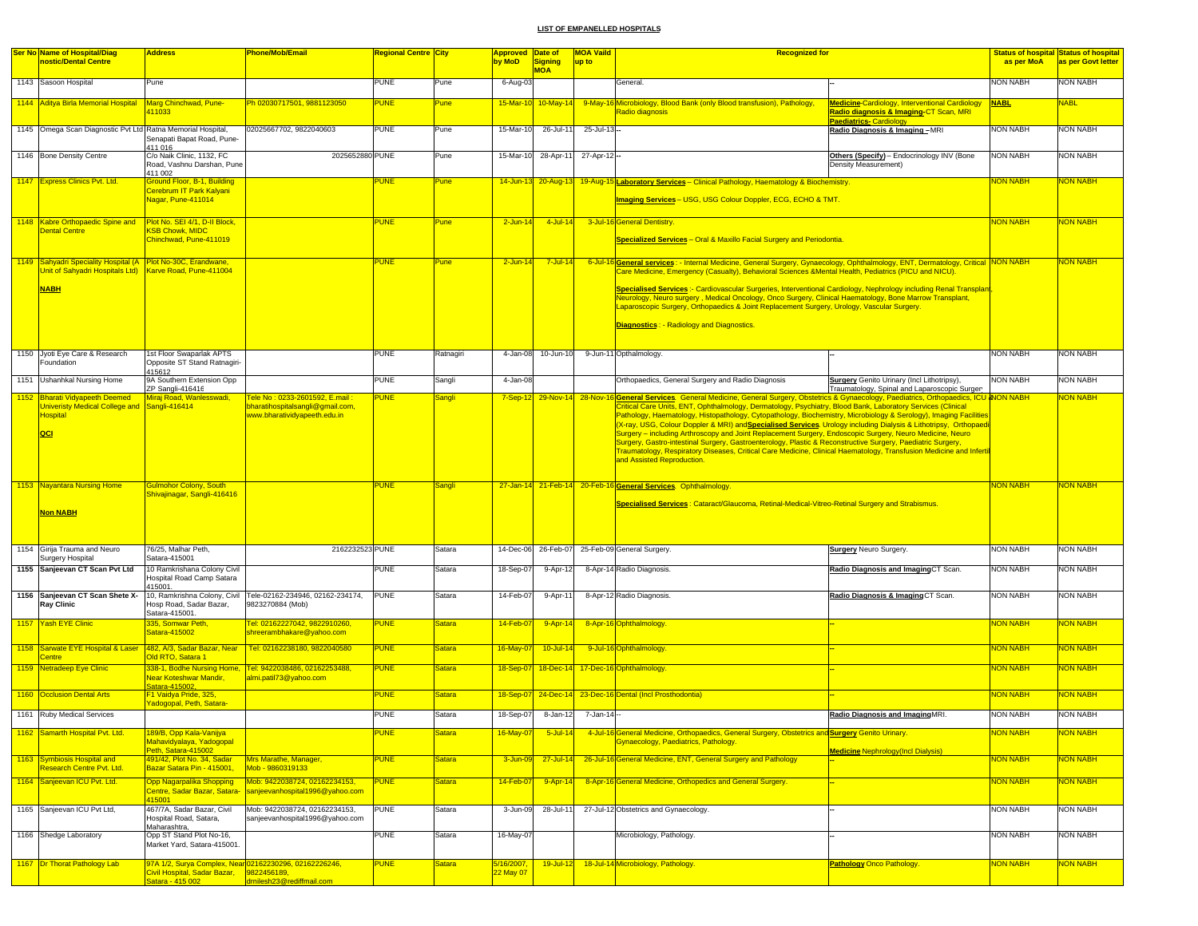| <b>Ser No Name of Hospital/Diag</b>                            | <b>Address</b>                                          | <b>Phone/Mob/Email</b>                                                                        | Regional Centre City |               | <b>Approved Date of</b> |                     | <b>MOA Vaild</b>  | <b>Recognized for</b>                                                                                                                                                                                                                                |                                                       |                 | <b>Status of hospital Status of hospital</b> |
|----------------------------------------------------------------|---------------------------------------------------------|-----------------------------------------------------------------------------------------------|----------------------|---------------|-------------------------|---------------------|-------------------|------------------------------------------------------------------------------------------------------------------------------------------------------------------------------------------------------------------------------------------------------|-------------------------------------------------------|-----------------|----------------------------------------------|
| nostic/Dental Centre                                           |                                                         |                                                                                               |                      |               | by MoD                  | <b>Signing</b>      | up to             |                                                                                                                                                                                                                                                      |                                                       | as per MoA      | as per Govt letter                           |
|                                                                |                                                         |                                                                                               |                      |               |                         | <b>MOA</b>          |                   |                                                                                                                                                                                                                                                      |                                                       |                 |                                              |
| 1143 Sasoon Hospital                                           | Pune                                                    |                                                                                               | <b>PUNE</b>          | Pune          | 6-Aug-03                |                     |                   | General.                                                                                                                                                                                                                                             |                                                       | <b>NON NABH</b> | <b>NON NABH</b>                              |
|                                                                |                                                         | Ph 02030717501, 9881123050                                                                    | <b>PUNE</b>          | Pune          |                         |                     |                   |                                                                                                                                                                                                                                                      | <b>Medicine-Cardiology, Interventional Cardiology</b> | <b>NABL</b>     | <b>NABL</b>                                  |
| 1144 Aditya Birla Memorial Hospital Marg Chinchwad, Pune-      | 11033                                                   |                                                                                               |                      |               |                         | 15-Mar-10 10-May-14 |                   | 9-May-16 Microbiology, Blood Bank (only Blood transfusion), Pathology,<br>Radio diagnosis                                                                                                                                                            | Radio diagnosis & Imaging-CT Scan, MRI                |                 |                                              |
|                                                                |                                                         |                                                                                               |                      |               |                         |                     |                   |                                                                                                                                                                                                                                                      | <b>Paediatrics-Cardiology</b>                         |                 |                                              |
| 1145 Omega Scan Diagnostic Pvt Ltd Ratna Memorial Hospital,    |                                                         | 02025667702, 9822040603                                                                       | <b>PUNE</b>          | Pune          | 15-Mar-10               | 26-Jul-11           | 25-Jul-13-        |                                                                                                                                                                                                                                                      | Radio Diagnosis & Imaging -MRI                        | <b>NON NABH</b> | <b>NON NABH</b>                              |
|                                                                | Senapati Bapat Road, Pune-<br>411 016                   |                                                                                               |                      |               |                         |                     |                   |                                                                                                                                                                                                                                                      |                                                       |                 |                                              |
| 1146 Bone Density Centre                                       | C/o Naik Clinic, 1132, FC                               | 2025652880 PUNE                                                                               |                      | Pune          |                         | 15-Mar-10 28-Apr-11 | $27 - Apr - 12 -$ |                                                                                                                                                                                                                                                      | Others (Specify) - Endocrinology INV (Bone            | <b>NON NABH</b> | <b>NON NABH</b>                              |
|                                                                | Road, Vashnu Darshan, Pune                              |                                                                                               |                      |               |                         |                     |                   |                                                                                                                                                                                                                                                      | Density Measurement)                                  |                 |                                              |
|                                                                | 411 002                                                 |                                                                                               |                      |               |                         |                     |                   |                                                                                                                                                                                                                                                      |                                                       |                 |                                              |
| 1147 Express Clinics Pvt. Ltd.                                 | Ground Floor, B-1, Building<br>Cerebrum IT Park Kalyani |                                                                                               | <b>PUNE</b>          | <b>Pune</b>   |                         | 14-Jun-13 20-Aug-13 |                   | 19-Aug-15 Laboratory Services - Clinical Pathology, Haematology & Biochemistry.                                                                                                                                                                      |                                                       | <b>NON NABH</b> | NON NABH                                     |
|                                                                | Nagar, Pune-411014                                      |                                                                                               |                      |               |                         |                     |                   | Imaging Services - USG, USG Colour Doppler, ECG, ECHO & TMT.                                                                                                                                                                                         |                                                       |                 |                                              |
|                                                                |                                                         |                                                                                               |                      |               |                         |                     |                   |                                                                                                                                                                                                                                                      |                                                       |                 |                                              |
| 1148 Kabre Orthopaedic Spine and Plot No. SEI 4/1, D-II Block, |                                                         |                                                                                               | <b>PUNE</b>          | Pune          | $2$ -Jun-14             | $4$ -Jul-14         |                   | 3-Jul-16 General Dentistry.                                                                                                                                                                                                                          |                                                       | <b>NON NABH</b> | <b>NON NABH</b>                              |
| Dental Centre                                                  | <b>KSB Chowk, MIDC</b>                                  |                                                                                               |                      |               |                         |                     |                   |                                                                                                                                                                                                                                                      |                                                       |                 |                                              |
|                                                                | Chinchwad, Pune-411019                                  |                                                                                               |                      |               |                         |                     |                   | Specialized Services - Oral & Maxillo Facial Surgery and Periodontia.                                                                                                                                                                                |                                                       |                 |                                              |
|                                                                |                                                         |                                                                                               |                      |               |                         |                     |                   |                                                                                                                                                                                                                                                      |                                                       |                 |                                              |
| 1149 Sahyadri Speciality Hospital (A   Plot No-30C, Erandwane, |                                                         |                                                                                               | <b>PUNE</b>          | <b>Pune</b>   | $2$ -Jun-14             | $7 -$ Jul-14        |                   | 6-Jul-16 General services: - Internal Medicine, General Surgery, Gynaecology, Ophthalmology, ENT, Dermatology, Critical NON NABH                                                                                                                     |                                                       |                 | <b>NON NABH</b>                              |
| Unit of Sahyadri Hospitals Ltd)   Karve Road, Pune-411004      |                                                         |                                                                                               |                      |               |                         |                     |                   | Care Medicine, Emergency (Casualty), Behavioral Sciences &Mental Health, Pediatrics (PICU and NICU).                                                                                                                                                 |                                                       |                 |                                              |
| <b>NABH</b>                                                    |                                                         |                                                                                               |                      |               |                         |                     |                   | Specialised Services :- Cardiovascular Surgeries, Interventional Cardiology, Nephrology including Renal Transplan                                                                                                                                    |                                                       |                 |                                              |
|                                                                |                                                         |                                                                                               |                      |               |                         |                     |                   | Neurology, Neuro surgery, Medical Oncology, Onco Surgery, Clinical Haematology, Bone Marrow Transplant,                                                                                                                                              |                                                       |                 |                                              |
|                                                                |                                                         |                                                                                               |                      |               |                         |                     |                   | Laparoscopic Surgery, Orthopaedics & Joint Replacement Surgery, Urology, Vascular Surgery.                                                                                                                                                           |                                                       |                 |                                              |
|                                                                |                                                         |                                                                                               |                      |               |                         |                     |                   |                                                                                                                                                                                                                                                      |                                                       |                 |                                              |
|                                                                |                                                         |                                                                                               |                      |               |                         |                     |                   | <b>Diagnostics: - Radiology and Diagnostics.</b>                                                                                                                                                                                                     |                                                       |                 |                                              |
|                                                                |                                                         |                                                                                               |                      |               |                         |                     |                   |                                                                                                                                                                                                                                                      |                                                       |                 |                                              |
| 1150 Jyoti Eye Care & Research                                 | 1st Floor Swaparlak APTS                                |                                                                                               | <b>PUNE</b>          | Ratnagiri     |                         | 4-Jan-08 10-Jun-10  |                   | 9-Jun-11 Opthalmology.                                                                                                                                                                                                                               |                                                       | <b>NON NABH</b> | <b>NON NABH</b>                              |
| Foundation                                                     | Opposite ST Stand Ratnagiri-                            |                                                                                               |                      |               |                         |                     |                   |                                                                                                                                                                                                                                                      |                                                       |                 |                                              |
| 1151 Ushanhkal Nursing Home                                    | 415612<br>9A Southern Extension Opp                     |                                                                                               | <b>PUNE</b>          | Sangli        | 4-Jan-08                |                     |                   | Orthopaedics, General Surgery and Radio Diagnosis                                                                                                                                                                                                    | Surgery Genito Urinary (Incl Lithotripsy),            | <b>NON NABH</b> | <b>NON NABH</b>                              |
|                                                                | ZP Sangli-416416                                        |                                                                                               |                      |               |                         |                     |                   |                                                                                                                                                                                                                                                      | Traumatology, Spinal and Laparoscopic Surger          |                 |                                              |
| 1152 Bharati Vidyapeeth Deemed                                 | Miraj Road, Wanlesswadi,                                | Tele No: 0233-2601592, E.mail:                                                                | <b>PUNE</b>          | Sangli        |                         |                     |                   | 7-Sep-12 29-Nov-14 28-Nov-16 General Services. General Medicine, General Surgery, Obstetrics & Gynaecology, Paediatrics, Orthopaedics, ICU & NON NABH                                                                                                |                                                       |                 | NON NABH                                     |
| Univeristy Medical College and Sangli-416414                   |                                                         | bharatihospitalsangli@gmail.com,                                                              |                      |               |                         |                     |                   | Critical Care Units, ENT, Ophthalmology, Dermatology, Psychiatry, Blood Bank, Laboratory Services (Clinical                                                                                                                                          |                                                       |                 |                                              |
| <b>Hospital</b>                                                |                                                         | www.bharatividyapeeth.edu.in                                                                  |                      |               |                         |                     |                   | Pathology, Haematology, Histopathology, Cytopathology, Biochemistry, Microbiology & Serology), Imaging Facilities<br>(X-ray, USG, Colour Doppler & MRI) and <mark>Specialised Services</mark> . Urology including Dialysis & Lithotripsy, Orthopaedi |                                                       |                 |                                              |
| QCI                                                            |                                                         |                                                                                               |                      |               |                         |                     |                   | - Surgery – including Arthroscopy and Joint Replacement Surgery, Endoscopic Surgery, Neuro Medicine, Neuro                                                                                                                                           |                                                       |                 |                                              |
|                                                                |                                                         |                                                                                               |                      |               |                         |                     |                   | Surgery, Gastro-intestinal Surgery, Gastroenterology, Plastic & Reconstructive Surgery, Paediatric Surgery,                                                                                                                                          |                                                       |                 |                                              |
|                                                                |                                                         |                                                                                               |                      |               |                         |                     |                   | Traumatology, Respiratory Diseases, Critical Care Medicine, Clinical Haematology, Transfusion Medicine and Infertil                                                                                                                                  |                                                       |                 |                                              |
|                                                                |                                                         |                                                                                               |                      |               |                         |                     |                   | and Assisted Reproduction.                                                                                                                                                                                                                           |                                                       |                 |                                              |
|                                                                |                                                         |                                                                                               |                      |               |                         |                     |                   |                                                                                                                                                                                                                                                      |                                                       |                 |                                              |
| 1153 Nayantara Nursing Home                                    | Gulmohor Colony, South                                  |                                                                                               | <b>PUNE</b>          | Sangli        |                         |                     |                   | 27-Jan-14 21-Feb-14 20-Feb-16 General Services. Ophthalmology.                                                                                                                                                                                       |                                                       | <b>NON NABH</b> | NON NABH                                     |
|                                                                | Shivajinagar, Sangli-416416                             |                                                                                               |                      |               |                         |                     |                   |                                                                                                                                                                                                                                                      |                                                       |                 |                                              |
|                                                                |                                                         |                                                                                               |                      |               |                         |                     |                   | Specialised Services: Cataract/Glaucoma, Retinal-Medical-Vitreo-Retinal Surgery and Strabismus.                                                                                                                                                      |                                                       |                 |                                              |
| Non NABH                                                       |                                                         |                                                                                               |                      |               |                         |                     |                   |                                                                                                                                                                                                                                                      |                                                       |                 |                                              |
|                                                                |                                                         |                                                                                               |                      |               |                         |                     |                   |                                                                                                                                                                                                                                                      |                                                       |                 |                                              |
|                                                                |                                                         |                                                                                               |                      |               |                         |                     |                   |                                                                                                                                                                                                                                                      |                                                       |                 |                                              |
| 1154 Girija Trauma and Neuro                                   | 76/25, Malhar Peth,                                     | 2162232523 PUNE                                                                               |                      | Satara        |                         |                     |                   | 14-Dec-06 26-Feb-07 25-Feb-09 General Surgery.                                                                                                                                                                                                       | <b>Surgery</b> Neuro Surgery.                         | <b>NON NABH</b> | <b>NON NABH</b>                              |
| <b>Surgery Hospital</b>                                        | Satara-415001                                           |                                                                                               |                      |               |                         |                     |                   |                                                                                                                                                                                                                                                      |                                                       |                 |                                              |
| 1155 Sanjeevan CT Scan Pvt Ltd                                 | 10 Ramkrishana Colony Civil                             |                                                                                               | <b>PUNE</b>          | Satara        | 18-Sep-07               | 9-Apr-12            |                   | 8-Apr-14 Radio Diagnosis.                                                                                                                                                                                                                            | Radio Diagnosis and ImagingCT Scan.                   | <b>NON NABH</b> | <b>NON NABH</b>                              |
|                                                                | Hospital Road Camp Satara<br>415001.                    |                                                                                               |                      |               |                         |                     |                   |                                                                                                                                                                                                                                                      |                                                       |                 |                                              |
| 1156 Sanjeevan CT Scan Shete X-                                |                                                         | 10, Ramkrishna Colony, Civil   Tele-02162-234946, 02162-234174,                               | <b>PUNE</b>          | Satara        | 14-Feb-07               | 9-Apr-11            |                   | 8-Apr-12 Radio Diagnosis.                                                                                                                                                                                                                            | Radio Diagnosis & Imaging CT Scan.                    | <b>NON NABH</b> | <b>NON NABH</b>                              |
| <b>Ray Clinic</b>                                              | Hosp Road, Sadar Bazar,                                 | 9823270884 (Mob)                                                                              |                      |               |                         |                     |                   |                                                                                                                                                                                                                                                      |                                                       |                 |                                              |
|                                                                | Satara-415001                                           |                                                                                               |                      |               |                         |                     |                   |                                                                                                                                                                                                                                                      |                                                       |                 |                                              |
| 1157 Yash EYE Clinic                                           | 335, Somwar Peth,<br>Satara-415002                      | Tel: 02162227042, 9822910260,<br>shreerambhakare@vahoo.com                                    | <b>PUNE</b>          | <b>Satara</b> | 14-Feb-0                | $9 - Apr - 14$      |                   | 8-Apr-16 Ophthalmology.                                                                                                                                                                                                                              |                                                       | <b>NON NABH</b> | <mark>NON NABH</mark>                        |
|                                                                |                                                         |                                                                                               |                      |               |                         |                     |                   |                                                                                                                                                                                                                                                      |                                                       |                 |                                              |
|                                                                |                                                         | 1158 Sarwate EYE Hospital & Laser  482, A/3, Sadar Bazar, Near   Tel: 02162238180, 9822040580 | <b>PUNE</b>          | <b>Satara</b> | 16-May-07               | $10 -$ Jul-14       |                   | 9-Jul-16 Ophthalmology.                                                                                                                                                                                                                              |                                                       | <b>NON NABH</b> | <mark>NON NABH</mark>                        |
| entre                                                          | Old RTO, Satara 1                                       |                                                                                               |                      |               |                         |                     |                   |                                                                                                                                                                                                                                                      |                                                       |                 |                                              |
| 1159 Netradeep Eye Clinic                                      |                                                         | 338-1, Bodhe Nursing Home, Tel: 9422038486, 02162253488,                                      | <b>PUNE</b>          | <b>Satara</b> | 18-Sep-07               |                     |                   | 18-Dec-14 17-Dec-16 Ophthalmology.                                                                                                                                                                                                                   |                                                       | <b>NON NABH</b> | NON NABH                                     |
|                                                                | Near Koteshwar Mandir,<br>Satara-415002                 | almi.patil73@yahoo.com                                                                        |                      |               |                         |                     |                   |                                                                                                                                                                                                                                                      |                                                       |                 |                                              |
| 1160 Occlusion Dental Arts                                     | 1 Vaidva Pride, 325.                                    |                                                                                               | <b>PUNE</b>          | <b>Satara</b> | 18-Sep-07               |                     |                   | 24-Dec-14 23-Dec-16 Dental (Incl Prosthodontia)                                                                                                                                                                                                      |                                                       | <b>NON NABH</b> | <mark>NON NABH</mark>                        |
|                                                                | Yadogopal, Peth, Satara-                                |                                                                                               |                      |               |                         |                     |                   |                                                                                                                                                                                                                                                      |                                                       |                 |                                              |
| 1161 Ruby Medical Services                                     |                                                         |                                                                                               | <b>PUNE</b>          | Satara        | 18-Sep-07               | 8-Jan-12            | 7-Jan-14-         |                                                                                                                                                                                                                                                      | Radio Diagnosis and ImagingMRI.                       | <b>NON NABH</b> | <b>NON NABH</b>                              |
|                                                                |                                                         |                                                                                               |                      |               |                         |                     |                   |                                                                                                                                                                                                                                                      |                                                       |                 |                                              |
| 1162 Samarth Hospital Pvt. Ltd.                                | 189/B, Opp Kala-Vanijya<br>Mahavidyalaya, Yadogopal     |                                                                                               | <b>PUNE</b>          | <b>Satara</b> | 16-May-07               | $5$ -Jul-14         |                   | 4-Jul-16 General Medicine, Orthopaedics, General Surgery, Obstetrics and Surgery Genito Urinary.<br>Gynaecology, Paediatrics, Pathology.                                                                                                             |                                                       | <b>NON NABH</b> | NON NABH                                     |
|                                                                | Peth, Satara-415002                                     |                                                                                               |                      |               |                         |                     |                   |                                                                                                                                                                                                                                                      | <b>Medicine Nephrology (Incl Dialysis)</b>            |                 |                                              |
| 1163 Symbiosis Hospital and                                    | 491/42, Plot No. 34, Sadar                              | Mrs Marathe, Manager,                                                                         | <b>PUNE</b>          | <b>Satara</b> | 3-Jun-09                | 27-Jul-14           |                   | 26-Jul-16 General Medicine, ENT, General Surgery and Pathology                                                                                                                                                                                       |                                                       | <b>NON NABH</b> | <b>NON NABH</b>                              |
| Research Centre Pvt. Ltd.                                      | Bazar Satara Pin - 415001.                              | Mob - 9860319133                                                                              |                      |               |                         |                     |                   |                                                                                                                                                                                                                                                      |                                                       |                 |                                              |
| 1164 Sanjeevan ICU Pvt. Ltd.                                   | Opp Nagarpalika Shopping                                | Mob: 9422038724, 02162234153,                                                                 | <b>PUNE</b>          | <b>Satara</b> | 14-Feb-07               | 9-Apr-14            |                   | 8-Apr-16 General Medicine, Orthopedics and General Surgery.                                                                                                                                                                                          |                                                       | <b>NON NABH</b> | <b>NON NABH</b>                              |
|                                                                | Centre, Sadar Bazar, Satara-                            | sanjeevanhospital1996@yahoo.com                                                               |                      |               |                         |                     |                   |                                                                                                                                                                                                                                                      |                                                       |                 |                                              |
|                                                                | 415001                                                  |                                                                                               |                      |               |                         |                     |                   |                                                                                                                                                                                                                                                      |                                                       |                 |                                              |
| 1165 Sanjeevan ICU Pvt Ltd,                                    | 467/7A, Sadar Bazar, Civil<br>Hospital Road, Satara,    | Mob: 9422038724, 02162234153,<br>sanjeevanhospital1996@yahoo.com                              | <b>PUNE</b>          | Satara        | 3-Jun-09                | 28-Jul-11           |                   | 27-Jul-12 Obstetrics and Gynaecology.                                                                                                                                                                                                                |                                                       | NON NABH        | <b>NON NABH</b>                              |
|                                                                | Maharashtra,                                            |                                                                                               |                      |               |                         |                     |                   |                                                                                                                                                                                                                                                      |                                                       |                 |                                              |
| 1166 Shedge Laboratory                                         | Opp ST Stand Plot No-16,                                |                                                                                               | PUNE                 | Satara        | 16-May-07               |                     |                   | Microbiology, Pathology                                                                                                                                                                                                                              |                                                       | <b>NON NABH</b> | NON NABH                                     |
|                                                                | Market Yard, Satara-415001.                             |                                                                                               |                      |               |                         |                     |                   |                                                                                                                                                                                                                                                      |                                                       |                 |                                              |
|                                                                |                                                         | 97A 1/2, Surya Complex, Near 02162230296, 02162226246,                                        |                      |               |                         |                     |                   | 18-Jul-14 Microbiology, Pathology                                                                                                                                                                                                                    |                                                       |                 |                                              |
| 1167 Dr Thorat Pathology Lab                                   | Civil Hospital, Sadar Bazar, 9822456189,                |                                                                                               | <b>PUNE</b>          | Satara        | 5/16/2007,<br>22 May 07 | 19-Jul-12           |                   |                                                                                                                                                                                                                                                      | <b>Pathology Onco Pathology.</b>                      | <b>NON NABH</b> | <b>NON NABH</b>                              |
|                                                                | Satara - 415 002                                        | drnilesh23@rediffmail.com                                                                     |                      |               |                         |                     |                   |                                                                                                                                                                                                                                                      |                                                       |                 |                                              |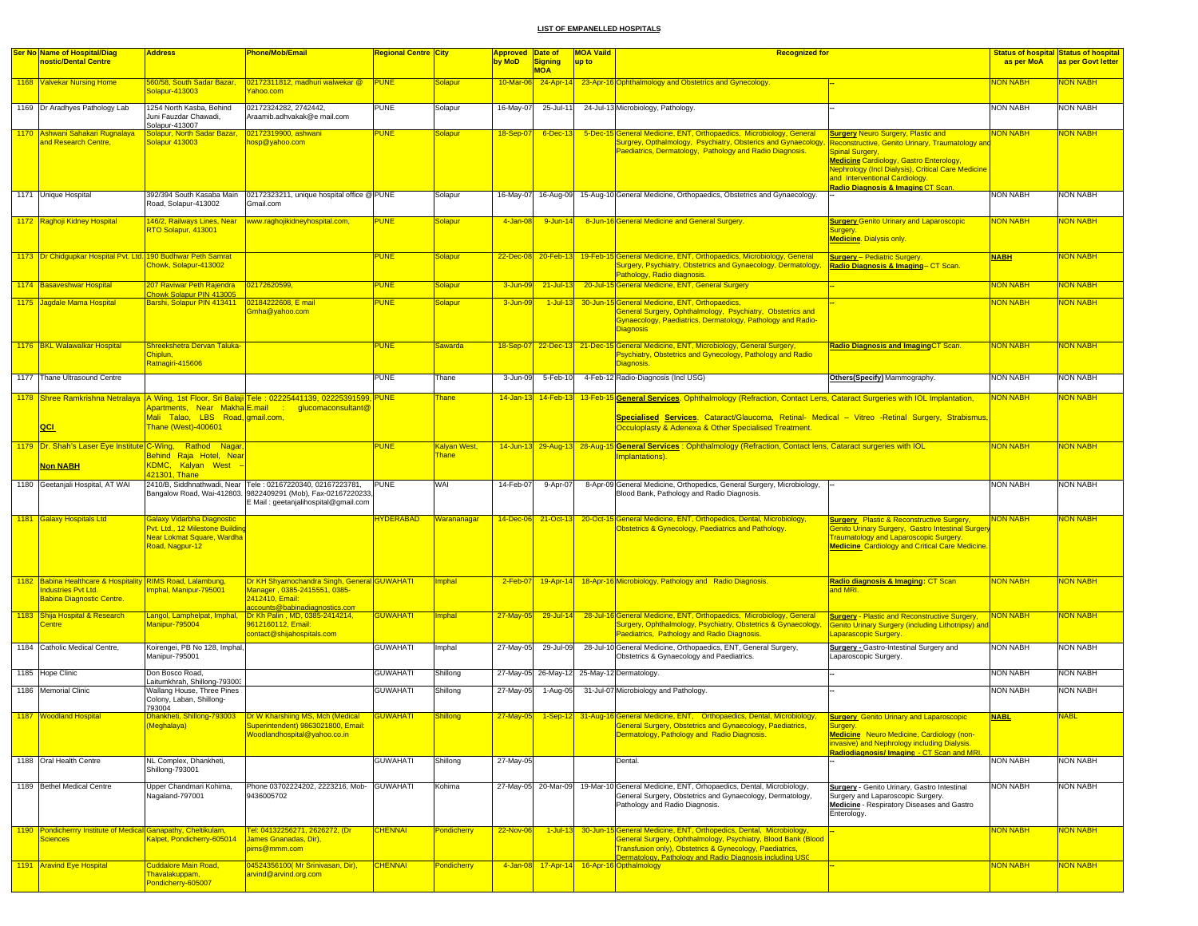| <b>Ser No Name of Hospital/Diag</b>                                              | <b>Address</b>                                                                                                      | Phone/Mob/Email                                                                                                                                                      | Regional Centre City |                           | Approved Date of |                       | <b>MOA Vaild</b> | <b>Recognized for</b>                                                                                                                                                                                                              |                                                                                                                                                                                                |                 | <b>Status of hospital Status of hospital</b> |
|----------------------------------------------------------------------------------|---------------------------------------------------------------------------------------------------------------------|----------------------------------------------------------------------------------------------------------------------------------------------------------------------|----------------------|---------------------------|------------------|-----------------------|------------------|------------------------------------------------------------------------------------------------------------------------------------------------------------------------------------------------------------------------------------|------------------------------------------------------------------------------------------------------------------------------------------------------------------------------------------------|-----------------|----------------------------------------------|
| nostic/Dental Centre                                                             |                                                                                                                     |                                                                                                                                                                      |                      |                           | by MoD           | Signing<br><b>MOA</b> | up to            |                                                                                                                                                                                                                                    |                                                                                                                                                                                                | as per MoA      | as per Govt letter                           |
| 1168 Valvekar Nursing Home                                                       | 560/58, South Sadar Bazar,<br>Solapur-413003                                                                        | 02172311812, madhuri walwekar @<br>ahoo.com                                                                                                                          | <b>PUNE</b>          | <b>Solapur</b>            | 10-Mar-06        |                       |                  | 24-Apr-14 23-Apr-16 Ophthalmology and Obstetrics and Gynecology.                                                                                                                                                                   |                                                                                                                                                                                                | <b>NON NABH</b> | <b>NON NABH</b>                              |
| 1169 Dr Aradhyes Pathology Lab                                                   | 1254 North Kasba, Behind<br>Juni Fauzdar Chawadi,<br>Solapur-413007                                                 | 02172324282, 2742442,<br>Araamib.adhvakak@e mail.com                                                                                                                 | <b>PUNE</b>          | Solapur                   | 16-May-07        | 25-Jul-11             |                  | 24-Jul-13 Microbiology, Pathology.                                                                                                                                                                                                 |                                                                                                                                                                                                | <b>NON NABH</b> | <b>NON NABH</b>                              |
| 1170 Ashwani Sahakari Rugnalaya<br>and Research Centre,                          | <mark>Solapur, North Sadar Bazar</mark><br>Solapur 413003                                                           | 02172319900, ashwani<br>nosp@yahoo.com                                                                                                                               | <b>PUNE</b>          | <b>Solapur</b>            | 18-Sep-07        | 6-Dec-13              |                  | 5-Dec-15 General Medicine, ENT, Orthopaedics, Microbiology, General<br>Surgrey, Opthalmology, Psychiatry, Obsterics and Gynaecology                                                                                                | <b>Surgery Neuro Surgery, Plastic and</b><br>Reconstructive, Genito Urinary, Traumatology an                                                                                                   | <b>NON NABH</b> | <b>VON NABH</b>                              |
|                                                                                  |                                                                                                                     |                                                                                                                                                                      |                      |                           |                  |                       |                  | Paediatrics, Dermatology, Pathology and Radio Diagnosis.                                                                                                                                                                           | Spinal Surgery,<br><b>Medicine Cardiology, Gastro Enterology,</b><br>Nephrology (Incl Dialysis), Critical Care Medicine<br>and Interventional Cardiology.<br>Radio Diagnosis & Imaging CT Scan |                 |                                              |
| 1171 Unique Hospital                                                             | 392/394 South Kasaba Main<br>Road, Solapur-413002                                                                   | 02172323211, unique hospital office @ PUNE<br>Gmail.com                                                                                                              |                      | Solapur                   |                  |                       |                  | 16-May-07 16-Aug-09 15-Aug-10 General Medicine, Orthopaedics, Obstetrics and Gynaecology.                                                                                                                                          |                                                                                                                                                                                                | <b>NON NABH</b> | <b>NON NABH</b>                              |
| 1172 Raghoji Kidney Hospital                                                     | RTO Solapur, 413001                                                                                                 | 146/2, Railways Lines, Near Nww.raghojikidneyhospital.com,                                                                                                           | <b>PUNE</b>          | Solapur                   | 4-Jan-08         | 9-Jun-14              |                  | 8-Jun-16 General Medicine and General Surgery.                                                                                                                                                                                     | <b>Surgery Genito Urinary and Laparoscopic</b><br>Surgery.<br><b>Medicine</b> Dialysis only.                                                                                                   | <b>NON NABH</b> | <mark>NON NABH</mark>                        |
| 1173 Dr Chidgupkar Hospital Pvt. Ltd. 190 Budhwar Peth Samrat                    | Chowk, Solapur-413002                                                                                               |                                                                                                                                                                      | <b>PUNE</b>          | Solapur                   |                  |                       |                  | 22-Dec-08 20-Feb-13 19-Feb-15 General Medicine, ENT, Orthopaedics, Microbiology, General<br>Surgery, Psychiatry, Obstetrics and Gynaecology, Dermatology<br>Pathology, Radio diagnosis.                                            | <b>Surgery</b> - Pediatric Surgery<br>Radio Diagnosis & Imaging-CT Scan.                                                                                                                       | <b>NABH</b>     | <b>NON NABH</b>                              |
| 1174 Basaveshwar Hospital                                                        | 207 Raviwar Peth Rajendra<br>howk Solapur PIN 413005                                                                | 02172620599                                                                                                                                                          | <b>PUNE</b>          | Solapur                   | 3-Jun-09         | $21 - July - 13$      |                  | 20-Jul-15 General Medicine, ENT, General Surgery                                                                                                                                                                                   |                                                                                                                                                                                                | <b>NON NABH</b> | <mark>NON NABH</mark>                        |
| 1175 Jagdale Mama Hospital                                                       | Barshi, Solapur PIN 413411                                                                                          | 02184222608, E mail<br>Gmha@yahoo.com                                                                                                                                | <b>PUNE</b>          | Solapur                   | 3-Jun-09         |                       |                  | 1-Jul-13 30-Jun-15 General Medicine, ENT, Orthopaedics,<br>General Surgery, Ophthalmology, Psychiatry, Obstetrics and<br>Gynaecology, Paediatrics, Dermatology, Pathology and Radio-<br><b>Diagnosis</b>                           |                                                                                                                                                                                                | <b>NON NABH</b> | <mark>NON NABH</mark>                        |
| 1176 BKL Walawalkar Hospital                                                     | Shreekshetra Dervan Taluka-<br>Chiplun,<br>Ratnagiri-415606                                                         |                                                                                                                                                                      | <b>PUNE</b>          | <u>Sawarda</u>            | 18-Sep-07        |                       |                  | 22-Dec-13 21-Dec-15 General Medicine, ENT, Microbiology, General Surgery<br>Psychiatry, Obstetrics and Gynecology, Pathology and Radio<br>Diagnosis                                                                                | <b>Radio Diagnosis and Imaging CT Scan.</b>                                                                                                                                                    | <b>NON NABH</b> | <mark>NON NABH</mark>                        |
| 1177 Thane Ultrasound Centre                                                     |                                                                                                                     |                                                                                                                                                                      | <b>PUNE</b>          | Thane                     | 3-Jun-09         | 5-Feb-10              |                  | 4-Feb-12 Radio-Diagnosis (Incl USG)                                                                                                                                                                                                | Others(Specify) Mammography                                                                                                                                                                    | <b>NON NABH</b> | <b>NON NABH</b>                              |
|                                                                                  |                                                                                                                     | 1178   Shree Ramkrishna Netralaya   A Wing, 1st Floor, Sri Balaji   Tele : 02225441139, 02225391599, PUNE                                                            |                      | <b>Thane</b>              | $14 - Jan - 13$  | $14$ -Feb-13          |                  | 13-Feb-15 General Services. Ophthalmology (Refraction, Contact Lens, Cataract Surgeries with IOL Implantation,                                                                                                                     |                                                                                                                                                                                                | <b>NON NABH</b> | <mark>NON NABH</mark>                        |
| <b>QCI</b>                                                                       | <mark>Apartments, Near Makha<sup> </sup>E.mail : </mark><br>Mali Talao, LBS Road, gmail.com,<br>Thane (West)-400601 | glucomaconsultant@                                                                                                                                                   |                      |                           |                  |                       |                  | Specialised Services. Cataract/Glaucoma, Retinal- Medical - Vitreo -Retinal Surgery, Strabismus,<br>Occuloplasty & Adenexa & Other Specialised Treatment.                                                                          |                                                                                                                                                                                                |                 |                                              |
| 1179 Dr. Shah's Laser Eye Institute C-Wing, Rathod Nagar,                        |                                                                                                                     |                                                                                                                                                                      | <b>PUNE</b>          | <mark>Kalyan West,</mark> |                  |                       |                  | 14-Jun-13 29-Aug-13 28-Aug-15 General Services: Ophthalmology (Refraction, Contact lens, Cataract surgeries with IOL                                                                                                               |                                                                                                                                                                                                | <b>NON NABH</b> | <mark>NON NABH</mark>                        |
| <b>Non NABH</b>                                                                  | Behind Raia Hotel. Near<br>KDMC, Kalyan West<br>121301, Thane                                                       |                                                                                                                                                                      |                      | Thane                     |                  |                       |                  | Implantations).                                                                                                                                                                                                                    |                                                                                                                                                                                                |                 |                                              |
| 1180 Geetanjali Hospital, AT WAI                                                 |                                                                                                                     | 2410/B, Siddhnathwadi, Near Tele: 02167220340, 02167223781,<br>Bangalow Road, Wai-412803. 9822409291 (Mob), Fax-02167220233<br>E Mail : geetanjalihospital@gmail.com | <b>PUNE</b>          | WAI                       | 14-Feb-07        | 9-Apr-07              |                  | 8-Apr-09 General Medicine, Orthopedics, General Surgery, Microbiology,<br>Blood Bank, Pathology and Radio Diagnosis.                                                                                                               |                                                                                                                                                                                                | <b>NON NABH</b> | <b>NON NABH</b>                              |
| 1181 Galaxy Hospitals Ltd                                                        | Galaxy Vidarbha Diagnostic                                                                                          |                                                                                                                                                                      | <b>HYDERABAD</b>     | Warananagar               | 14-Dec-06        | $21-Oct-13$           |                  | 20-Oct-15 General Medicine, ENT, Orthopedics, Dental, Microbiology,                                                                                                                                                                | <b>Surgery</b> Plastic & Reconstructive Surgery,                                                                                                                                               | <b>NON NABH</b> | <b>VON NABH</b>                              |
|                                                                                  | Pvt. Ltd., 12 Milestone Buildin<br>Near Lokmat Square, Wardha<br>Road, Nagpur-12                                    |                                                                                                                                                                      |                      |                           |                  |                       |                  | Obstetrics & Gynecology, Paediatrics and Pathology.                                                                                                                                                                                | <b>Genito Urinary Surgery, Gastro Intestinal Surger</b><br><b>Traumatology and Laparoscopic Surgery.</b><br><b>Medicine Cardiology and Critical Care Medicine.</b>                             |                 |                                              |
| 1182 Babina Healthcare & Hospitality RIMS Road, Lalambung,<br>ndustries Pvt Ltd. | mphal, Manipur-795001                                                                                               | Dr KH Shyamochandra Singh, General GUWAHATI<br>Manager, 0385-2415551, 0385-                                                                                          |                      | <b>Imphal</b>             | 2-Feb-07         | $19 - Apr - 14$       |                  | 18-Apr-16 Microbiology, Pathology and Radio Diagnosis.                                                                                                                                                                             | Radio diagnosis & Imaging: CT Scan<br>and MRI.                                                                                                                                                 | <b>NON NABH</b> | <mark>NON NABH</mark>                        |
| Babina Diagnostic Centre.                                                        |                                                                                                                     | 2412410, Email:                                                                                                                                                      |                      |                           |                  |                       |                  |                                                                                                                                                                                                                                    |                                                                                                                                                                                                |                 |                                              |
| 1183 Shija Hospital & Research<br>Centre                                         | Langol, Lamphelpat, Imphal,<br>Manipur-795004                                                                       | ccounts@babinadiagnostics.com<br>Dr Kh Palin, MD, 0385-2414214,<br>9612160112, Email:<br>contact@shijahospitals.com                                                  | <b>GUWAHATI</b>      | <b>Imphal</b>             | 27-May-05        | $29$ -Jul-14          |                  | 28-Jul-16 General Medicine, ENT, Orthopaedics, Microbiology, General<br>Surgery, Ophthalmology, Psychiatry, Obstetrics & Gynaecology,<br>Paediatrics, Pathology and Radio Diagnosis.                                               | <b>Surgery - Plastic and Reconstructive Surgery,</b><br>Genito Urinary Surgery (including Lithotripsy) and<br>Laparascopic Surgery.                                                            | NON NABH        | <b>NON NABH</b>                              |
| 1184 Catholic Medical Centre,                                                    | Koirengei, PB No 128, Imphal,<br>Manipur-795001                                                                     |                                                                                                                                                                      | <b>GUWAHATI</b>      | Imphal                    | 27-May-05        | 29-Jul-09             |                  | 28-Jul-10 General Medicine, Orthopaedics, ENT, General Surgery,<br>Obstetrics & Gynaecology and Paediatrics.                                                                                                                       | <b>Surgery - Gastro-Intestinal Surgery and</b><br>Laparoscopic Surgery.                                                                                                                        | NON NABH        | <b>NON NABH</b>                              |
| 1185 Hope Clinic                                                                 | Don Bosco Road,<br>aitumkhrah, Shillong-793003                                                                      |                                                                                                                                                                      | <b>GUWAHATI</b>      | Shillong                  |                  | 27-May-05 26-May-12   |                  | 25-May-12 Dermatology.                                                                                                                                                                                                             |                                                                                                                                                                                                | <b>NON NABH</b> | <b>NON NABH</b>                              |
| 1186 Memorial Clinic                                                             | Wallang House, Three Pines<br>Colony, Laban, Shillong-<br>793004                                                    |                                                                                                                                                                      | <b>GUWAHATI</b>      | Shillong                  | 27-May-05        | 1-Aug-05              |                  | 31-Jul-07 Microbiology and Pathology.                                                                                                                                                                                              |                                                                                                                                                                                                | <b>NON NABH</b> | <b>NON NABH</b>                              |
| 1187 Woodland Hospital                                                           | <mark>Meghalaya)</mark>                                                                                             | Voodlandhospital@yahoo.co.in                                                                                                                                         | <b>GUWAHATI</b>      | <b>Shillong</b>           | $27$ -May-05     |                       |                  | 1-Sep-12 31-Aug-16 General Medicine, ENT, Orthopaedics, Dental, Microbiology,<br>ieneral Surgery, Obstefrics and Gynaecology,<br>Dermatology, Pathology and Radio Diagnosis.                                                       | <b>Surgery</b> Genito Urinary and Laparoscopic<br>Medicine Neuro Medicine, Cardiology (non-<br>invasive) and Nephrology including Dialysis.<br>Radiodiagnosis/Imaging - CT Scan and MRI        | <b>NABL</b>     | <b>NABL</b>                                  |
| 1188 Oral Health Centre                                                          | NL Complex, Dhankheti,<br>Shillong-793001                                                                           |                                                                                                                                                                      | <b>GUWAHATI</b>      | Shillong                  | 27-May-05        |                       |                  | Dental.                                                                                                                                                                                                                            |                                                                                                                                                                                                | <b>NON NABH</b> | <b>NON NABH</b>                              |
| 1189 Bethel Medical Centre                                                       | Upper Chandmari Kohima,<br>Nagaland-797001                                                                          | Phone 03702224202, 2223216, Mob-<br>9436005702                                                                                                                       | <b>GUWAHATI</b>      | Kohima                    |                  | 27-May-05 20-Mar-09   |                  | 19-Mar-10 General Medicine, ENT, Orhopaedics, Dental, Microbiology,<br>General Surgery, Obstetrics and Gynaecology, Dermatology,<br>Pathology and Radio Diagnosis.                                                                 | <b>Surgery</b> - Genito Urinary, Gastro Intestinal<br>Surgery and Laparoscopic Surgery.<br>Medicine - Respiratory Diseases and Gastro<br>Enterology.                                           | <b>NON NABH</b> | <b>NON NABH</b>                              |
| 1190 Pondicherrry Institute of Medical Ganapathy, Cheltikulam,                   |                                                                                                                     | <u> Fel: 04132256271, 2626272, (Dr.</u>                                                                                                                              | <b>CHENNAI</b>       | Pondicherry               | 22-Nov-06        |                       |                  | 1-Jul-13 30-Jun-15 General Medicine, ENT, Orthopedics, Dental, Microbiology,                                                                                                                                                       |                                                                                                                                                                                                | <b>NON NABH</b> | NON NABH                                     |
| <b>Sciences</b><br>1191 Aravind Eye Hospital                                     | Kalpet, Pondicherry-605014<br><b>Cuddalore Main Road,</b>                                                           | James Gnanadas, Dir).<br>pims@mmm.com<br>04524356100(Mr Srinivasan, Dir),                                                                                            | <b>CHENNAI</b>       | Pondicherry               |                  |                       |                  | General Surgery, Ophthalmology, Psychiatry, Blood Bank (Blood<br>Transfusion only), Obstetrics & Gynecology, Paediatrics,<br>Dermatology, Pathology and Radio Diagnosis including USC<br>4-Jan-08 17-Apr-14 16-Apr-16 Opthalmology |                                                                                                                                                                                                | <b>NON NABH</b> | <b>NON NABH</b>                              |
|                                                                                  | Thavalakuppam,<br>Pondicherry-605007                                                                                | arvind@arvind.org.com                                                                                                                                                |                      |                           |                  |                       |                  |                                                                                                                                                                                                                                    |                                                                                                                                                                                                |                 |                                              |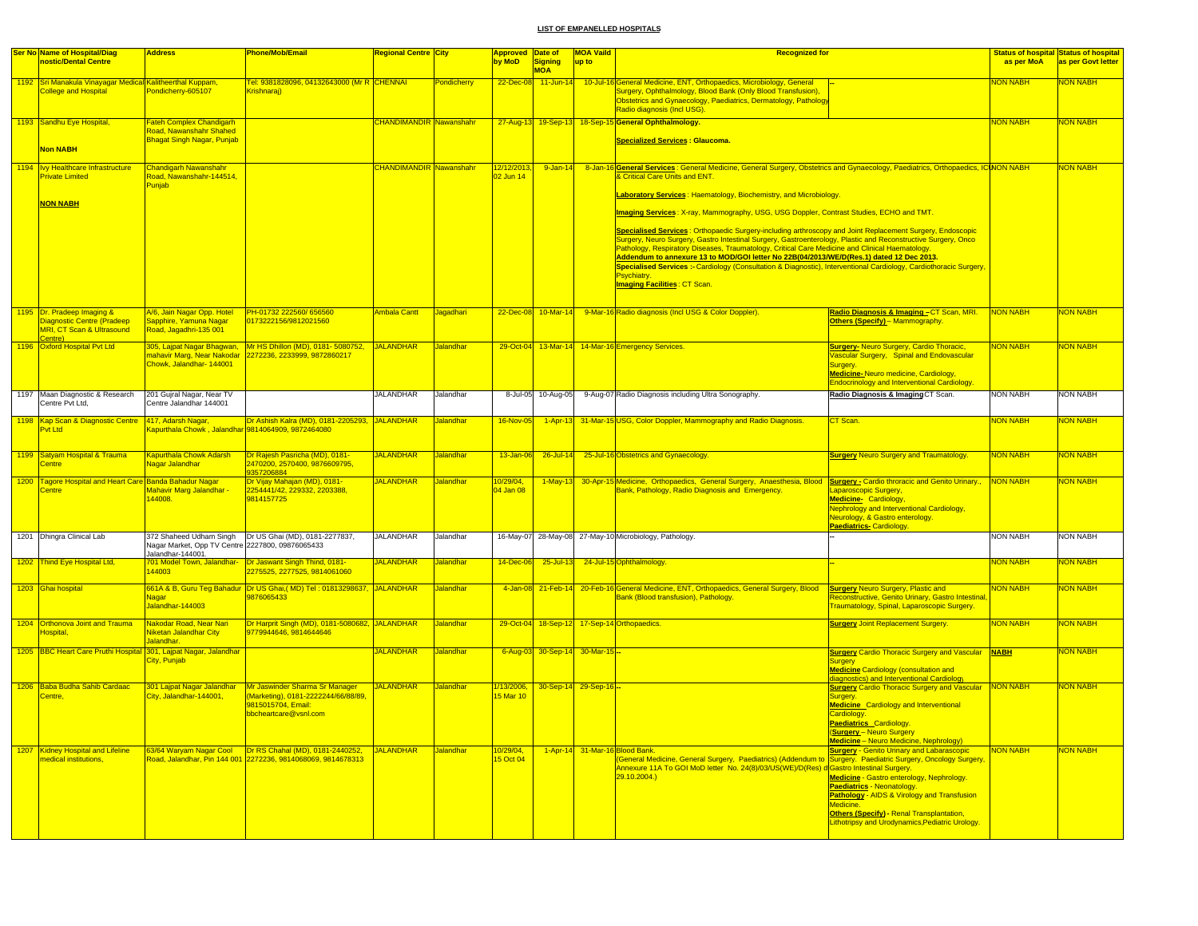|      | Ser No Name of Hospital/Diag                                                             | <b>Address</b>                                                        | <b>Phone/Mob/Email</b>                                                                           | Regional Centre City           |                  | Approved Date of       |                                | <b>MOA Vaild</b> | <b>Recognized for</b>                                                                                                                                                                                                                 |                                                                                                        |                 | <b>Status of hospital Status of hospital</b> |
|------|------------------------------------------------------------------------------------------|-----------------------------------------------------------------------|--------------------------------------------------------------------------------------------------|--------------------------------|------------------|------------------------|--------------------------------|------------------|---------------------------------------------------------------------------------------------------------------------------------------------------------------------------------------------------------------------------------------|--------------------------------------------------------------------------------------------------------|-----------------|----------------------------------------------|
|      | nostic/Dental Centre                                                                     |                                                                       |                                                                                                  |                                |                  | by MoD                 | <b>Signing</b>                 | up to            |                                                                                                                                                                                                                                       |                                                                                                        | as per MoA      | as per Govt letter                           |
|      |                                                                                          |                                                                       |                                                                                                  |                                |                  |                        | <b>MOA</b>                     |                  |                                                                                                                                                                                                                                       |                                                                                                        |                 |                                              |
|      | 1192 Sri Manakula Vinayagar Medical Kalitheerthal Kuppam,<br><b>College and Hospital</b> | Pondicherry-605107                                                    | <u> Fel: 9381828096, 04132643000 (Mr R CHENNAI</u><br>Krishnaraj)                                |                                | Pondicherry      | 22-Dec-08              | $11$ -Jun-14                   |                  | 10-Jul-16 General Medicine, ENT, Orthopaedics, Microbiology, General<br>Surgery, Ophthalmology, Blood Bank (Only Blood Transfusion),<br>Obstetrics and Gynaecology, Paediatrics, Dermatology, Pathology<br>Radio diagnosis (Incl USG) |                                                                                                        | <b>JON NABH</b> | <u> NABH</u>                                 |
|      | 1193 Sandhu Eye Hospital,                                                                | Fateh Complex Chandigarh                                              |                                                                                                  | <b>CHANDIMANDIR Nawanshahr</b> |                  |                        |                                |                  | 27-Aug-13 19-Sep-13 18-Sep-15 General Ophthalmology.                                                                                                                                                                                  |                                                                                                        | <b>NON NABH</b> | <b>VON NABH</b>                              |
|      |                                                                                          | Road, Nawanshahr Shahed                                               |                                                                                                  |                                |                  |                        |                                |                  |                                                                                                                                                                                                                                       |                                                                                                        |                 |                                              |
|      | Non NABH                                                                                 | <b>Bhagat Singh Nagar, Punjab</b>                                     |                                                                                                  |                                |                  |                        |                                |                  | <u> Specialized Services : Glaucoma.</u>                                                                                                                                                                                              |                                                                                                        |                 |                                              |
| 1194 | Ivy Healthcare Infrastructure                                                            | <b>Chandigarh Nawanshahr</b>                                          |                                                                                                  | <b>CHANDIMANDIR Nawanshahr</b> |                  | 12/12/2013             | $9 - Jan - 14$                 | $8 - Jan-16$     | 6 <mark> General Services</mark> : General Medicine, General Surgery, Obstetrics and Gynaecology, Paediatrics, Orthopaedics, IC <b>U</b> NON NABH                                                                                     |                                                                                                        |                 | <b>VON NABH</b>                              |
|      | <b>Private Limited</b>                                                                   | Road, Nawanshahr-144514,<br>Punjab                                    |                                                                                                  |                                |                  | 02 Jun 14              |                                |                  | & Critical Care Units and ENT.                                                                                                                                                                                                        |                                                                                                        |                 |                                              |
|      |                                                                                          |                                                                       |                                                                                                  |                                |                  |                        |                                |                  | Laboratory Services: Haematology, Biochemistry, and Microbiology.                                                                                                                                                                     |                                                                                                        |                 |                                              |
|      | <b>NON NABH</b>                                                                          |                                                                       |                                                                                                  |                                |                  |                        |                                |                  | Imaging Services: X-ray, Mammography, USG, USG Doppler, Contrast Studies, ECHO and TMT.                                                                                                                                               |                                                                                                        |                 |                                              |
|      |                                                                                          |                                                                       |                                                                                                  |                                |                  |                        |                                |                  | <b>Specialised Services: Orthopaedic Surgery-including arthroscopy and Joint Replacement Surgery, Endoscopic</b>                                                                                                                      |                                                                                                        |                 |                                              |
|      |                                                                                          |                                                                       |                                                                                                  |                                |                  |                        |                                |                  | Surgery, Neuro Surgery, Gastro Intestinal Surgery, Gastroenterology, Plastic and Reconstructive Surgery, Onco                                                                                                                         |                                                                                                        |                 |                                              |
|      |                                                                                          |                                                                       |                                                                                                  |                                |                  |                        |                                |                  | Pathology, Respiratory Diseases, Traumatology, Critical Care Medicine and Clinical Haematology.<br>Addendum to annexure 13 to MOD/GOI letter No 22B(04/2013/WE/D(Res.1) dated 12 Dec 2013                                             |                                                                                                        |                 |                                              |
|      |                                                                                          |                                                                       |                                                                                                  |                                |                  |                        |                                |                  | Specialised Services :- Cardiology (Consultation & Diagnostic), Interventional Cardiology, Cardiothoracic Surgery,                                                                                                                    |                                                                                                        |                 |                                              |
|      |                                                                                          |                                                                       |                                                                                                  |                                |                  |                        |                                |                  | Psvchiatrv.                                                                                                                                                                                                                           |                                                                                                        |                 |                                              |
|      |                                                                                          |                                                                       |                                                                                                  |                                |                  |                        |                                |                  | <mark>Imaging Facilities : CT Scan.</mark>                                                                                                                                                                                            |                                                                                                        |                 |                                              |
|      | 1195 Dr. Pradeep Imaging &                                                               | V6, Jain Nagar Opp. Hotel                                             | PH-01732 222560/656560                                                                           | <b>Ambala Cantt</b>            | Jagadhari        |                        |                                |                  | 22-Dec-08 10-Mar-14 9-Mar-16 Radio diagnosis (Incl USG & Color Doppler).                                                                                                                                                              | Radio Diagnosis & Imaging - CT Scan, MRI.                                                              | NON NABH        | <b>NON NABH</b>                              |
|      | Diagnostic Centre (Pradeep                                                               | Sapphire, Yamuna Nagar                                                | 0173222156/9812021560                                                                            |                                |                  |                        |                                |                  |                                                                                                                                                                                                                                       | Others (Specify) - Mammography.                                                                        |                 |                                              |
|      | <b>MRI, CT Scan &amp; Ultrasound</b><br>Centre)                                          | Road, Jagadhri-135 001                                                |                                                                                                  |                                |                  |                        |                                |                  |                                                                                                                                                                                                                                       |                                                                                                        |                 |                                              |
|      | 1196 Oxford Hospital Pvt Ltd                                                             | 305, Lajpat Nagar Bhagwan,                                            | Mr HS Dhillon (MD), 0181-5080752.                                                                | JALANDHAR                      | Jalandhar        |                        |                                |                  | 29-Oct-04 13-Mar-14 14-Mar-16 Emergency Services.                                                                                                                                                                                     | <b>Surgery-Neuro Surgery, Cardio Thoracic,</b>                                                         | <b>NON NABH</b> | <b>VON NABH</b>                              |
|      |                                                                                          | nahavir Marg, Near Nakodar<br>Chowk, Jalandhar- 144001                | 2272236, 2233999, 9872860217                                                                     |                                |                  |                        |                                |                  |                                                                                                                                                                                                                                       | Vascular Surgery, Spinal and Endovascular<br>Surgery.                                                  |                 |                                              |
|      |                                                                                          |                                                                       |                                                                                                  |                                |                  |                        |                                |                  |                                                                                                                                                                                                                                       | Medicine-Neuro medicine, Cardiology,                                                                   |                 |                                              |
|      |                                                                                          |                                                                       |                                                                                                  |                                |                  |                        |                                |                  |                                                                                                                                                                                                                                       | <b>Endocrinology and Interventional Cardiology.</b>                                                    |                 |                                              |
|      | 1197 Maan Diagnostic & Research<br>Centre Pvt Ltd,                                       | 201 Gujral Nagar, Near TV<br>Centre Jalandhar 144001                  |                                                                                                  | <b>JALANDHAR</b>               | Jalandhar        |                        | 8-Jul-05 10-Aug-05             |                  | 9-Aug-07 Radio Diagnosis including Ultra Sonography.                                                                                                                                                                                  | Radio Diagnosis & Imaging CT Scan.                                                                     | <b>NON NABH</b> | NON NABH                                     |
|      | 1198 Kap Scan & Diagnostic Centre                                                        | 417, Adarsh Nagar                                                     | Dr Ashish Kalra (MD), 0181-2205293, JALANDHAR                                                    |                                | <b>Jalandhar</b> | 16-Nov-05              |                                |                  | 1-Apr-13 31-Mar-15 USG, Color Doppler, Mammography and Radio Diagnosis.                                                                                                                                                               | CT Scan.                                                                                               | NON NABH        | <b>JON NABH</b>                              |
|      | Pvt Ltd                                                                                  | Gapurthala Chowk , Jalandhar 9814064909, 9872464080                   |                                                                                                  |                                |                  |                        |                                |                  |                                                                                                                                                                                                                                       |                                                                                                        |                 |                                              |
|      | 1199 Satyam Hospital & Trauma                                                            | <b>Kapurthala Chowk Adarsh</b>                                        | Dr Rajesh Pasricha (MD), 0181-                                                                   | <b>JALANDHAR</b>               | <b>Jalandhar</b> |                        | $26$ -Jul-14                   |                  |                                                                                                                                                                                                                                       | <b>Surgery Neuro Surgery and Traumatology.</b>                                                         | <b>NON NABH</b> | NON NABH                                     |
|      | Centre                                                                                   | Nagar Jalandhar                                                       | <mark>2470200, 2570400, 9876609795,</mark>                                                       |                                |                  | 13-Jan-06              |                                |                  | 25-Jul-16 Obstetrics and Gynaecology.                                                                                                                                                                                                 |                                                                                                        |                 |                                              |
|      | 1200 Tagore Hospital and Heart Care Banda Bahadur Nagar                                  |                                                                       | 9357206884<br>Dr Vijay Mahajan (MD), 0181-                                                       | <b>JALANDHAR</b>               | Jalandhar        | 0/29/04,               | $1-May-13$                     |                  | 30-Apr-15 Medicine, Orthopaedics, General Surgery, Anaesthesia, Blood Surgery - Cardio throracic and Genito Urinary.,                                                                                                                 |                                                                                                        | <b>NON NABH</b> | <b>VON NABH</b>                              |
|      | Centre                                                                                   | Mahavir Marg Jalandhar -                                              | 2254441/42, 229332, 2203388,                                                                     |                                |                  | 04 Jan 08              |                                |                  | Bank, Pathology, Radio Diagnosis and Emergency.                                                                                                                                                                                       | aparoscopic Surgery,                                                                                   |                 |                                              |
|      |                                                                                          | 144008.                                                               | 9814157725                                                                                       |                                |                  |                        |                                |                  |                                                                                                                                                                                                                                       | Medicine- Cardiology,                                                                                  |                 |                                              |
|      |                                                                                          |                                                                       |                                                                                                  |                                |                  |                        |                                |                  |                                                                                                                                                                                                                                       | <b>Nephrology and Interventional Cardiology,</b><br><b>Neurology, &amp; Gastro enterology.</b>         |                 |                                              |
|      |                                                                                          |                                                                       |                                                                                                  |                                |                  |                        |                                |                  |                                                                                                                                                                                                                                       | Paediatrics-Cardiology.                                                                                |                 |                                              |
|      | 1201 Dhingra Clinical Lab                                                                |                                                                       | 372 Shaheed Udham Singh   Dr US Ghai (MD), 0181-2277837,                                         | <b>JALANDHAR</b>               | Jalandhar        |                        |                                |                  | 16-May-07 28-May-08 27-May-10 Microbiology, Pathology.                                                                                                                                                                                |                                                                                                        | <b>NON NABH</b> | <b>NON NABH</b>                              |
|      |                                                                                          | Nagar Market, Opp TV Centre 2227800, 09876065433<br>Jalandhar-144001. |                                                                                                  |                                |                  |                        |                                |                  |                                                                                                                                                                                                                                       |                                                                                                        |                 |                                              |
|      | 1202 Thind Eye Hospital Ltd,                                                             | 44003                                                                 | 101 Model Town, Jalandhar- Dr Jaswant Singh Thind, 0181-<br>275525, 2277525, 9814061060          | <b>JALANDHAR</b>               | <b>Jalandhar</b> | 14-Dec-06              | $25 -$ Jul-13                  |                  | 24-Jul-15 Ophthalmology.                                                                                                                                                                                                              |                                                                                                        | NON NABH        | <b>JON NABH</b>                              |
|      |                                                                                          |                                                                       |                                                                                                  |                                |                  |                        |                                |                  |                                                                                                                                                                                                                                       |                                                                                                        |                 |                                              |
|      | 1203 Ghai hospital                                                                       | <u>Nagar</u>                                                          | 661A & B, Guru Teg Bahadur Dr US Ghai,( MD) Tel : 01813298637, JALANDHAR<br>876065433            |                                | <b>Jalandhar</b> |                        |                                |                  | 4-Jan-08 21-Feb-14 20-Feb-16 General Medicine, ENT, Orthopaedics, General Surgery, Blood<br>Bank (Blood transfusion), Pathology.                                                                                                      | <b>Surgery Neuro Surgery, Plastic and</b><br><b>Reconstructive, Genito Urinary, Gastro Intestinal,</b> | <b>NON NABH</b> | <mark>NON NABH</mark>                        |
|      |                                                                                          | Jalandhar-144003                                                      |                                                                                                  |                                |                  |                        |                                |                  |                                                                                                                                                                                                                                       | Fraumatology, Spinal, Laparoscopic Surgery.                                                            |                 |                                              |
|      | 1204 Orthonova Joint and Trauma                                                          | Nakodar Road, Near Nari                                               | Dr Harprit Singh (MD), 0181-5080682, JALANDHAR                                                   |                                | <b>Jalandhar</b> |                        |                                |                  | 29-Oct-04 18-Sep-12 17-Sep-14 Orthopaedics.                                                                                                                                                                                           | <b>Surgery Joint Replacement Surgery.</b>                                                              | <b>NON NABH</b> | NON NABH                                     |
|      | Hospital,                                                                                | Niketan Jalandhar City                                                | 9779944646, 9814644646                                                                           |                                |                  |                        |                                |                  |                                                                                                                                                                                                                                       |                                                                                                        |                 |                                              |
|      |                                                                                          | Jalandhar.                                                            |                                                                                                  |                                |                  |                        |                                |                  |                                                                                                                                                                                                                                       |                                                                                                        |                 |                                              |
|      | 1205 BBC Heart Care Pruthi Hospital 301, Lajpat Nagar, Jalandhar                         | City, Punjab                                                          |                                                                                                  | <b>JALANDHAR</b>               | Jalandhar        |                        | 6-Aug-03 30-Sep-14 30-Mar-15 - |                  |                                                                                                                                                                                                                                       | <b>Surgery Cardio Thoracic Surgery and Vascular NABH</b><br>Surgery                                    |                 | <b>NON NABH</b>                              |
|      |                                                                                          |                                                                       |                                                                                                  |                                |                  |                        |                                |                  |                                                                                                                                                                                                                                       | <b>Medicine Cardiology (consultation and</b>                                                           |                 |                                              |
|      | 1206 Baba Budha Sahib Cardaac                                                            | 301 Lajpat Nagar Jalandhar                                            | Mr Jaswinder Sharma Sr Manager                                                                   | <b>JALANDHAR</b>               | <b>Jalandhar</b> | 1/13/2006,             | 30-Sep-14 29-Sep-16 -          |                  |                                                                                                                                                                                                                                       | diagnostics) and Interventional Cardiology<br><b>Surgery Cardio Thoracic Surgery and Vascular</b>      | NON NABH        | NON NABH                                     |
|      | Centre,                                                                                  | City, Jalandhar-144001,                                               | (Marketing), 0181-2222244/66/88/89.                                                              |                                |                  | 15 Mar 10              |                                |                  |                                                                                                                                                                                                                                       | Surgery                                                                                                |                 |                                              |
|      |                                                                                          |                                                                       | 9815015704, Email:                                                                               |                                |                  |                        |                                |                  |                                                                                                                                                                                                                                       | <b>Medicine_Cardiology and Interventional</b>                                                          |                 |                                              |
|      |                                                                                          |                                                                       | bbcheartcare@vsnl.com                                                                            |                                |                  |                        |                                |                  |                                                                                                                                                                                                                                       | Cardiology.<br><b>Paediatrics Cardiology.</b>                                                          |                 |                                              |
|      |                                                                                          |                                                                       |                                                                                                  |                                |                  |                        |                                |                  |                                                                                                                                                                                                                                       | <b>Surgery</b> - Neuro Surgery                                                                         |                 |                                              |
|      |                                                                                          |                                                                       |                                                                                                  |                                |                  |                        |                                |                  |                                                                                                                                                                                                                                       | <b>Medicine</b> - Neuro Medicine, Nephrology)                                                          |                 |                                              |
|      | 1207 Kidney Hospital and Lifeline<br>medical institutions,                               | 63/64 Waryam Nagar Cool                                               | Dr RS Chahal (MD), 0181-2440252.<br>Road, Jalandhar, Pin 144 001 2272236, 9814068069, 9814678313 | JALANDHAR                      | <b>Jalandhar</b> | 10/29/04,<br>15 Oct 04 |                                |                  | 1-Apr-14 31-Mar-16 Blood Bank.<br>(General Medicine, General Surgery, Paediatrics) (Addendum to Surgery. Paediatric Surgery, Oncology Surgery,                                                                                        | <b>Surgery - Genito Urinary and Labarascopic</b>                                                       | <b>NON NABH</b> | <b>NON NABH</b>                              |
|      |                                                                                          |                                                                       |                                                                                                  |                                |                  |                        |                                |                  | Annexure 11A To GOI MoD letter No. 24(8)/03/US(WE)/D(Res) d Gastro Intestinal Surgery.                                                                                                                                                |                                                                                                        |                 |                                              |
|      |                                                                                          |                                                                       |                                                                                                  |                                |                  |                        |                                |                  | 29.10.2004.)                                                                                                                                                                                                                          | Medicine - Gastro enterology, Nephrology.                                                              |                 |                                              |
|      |                                                                                          |                                                                       |                                                                                                  |                                |                  |                        |                                |                  |                                                                                                                                                                                                                                       | Paediatrics - Neonatology.                                                                             |                 |                                              |
|      |                                                                                          |                                                                       |                                                                                                  |                                |                  |                        |                                |                  |                                                                                                                                                                                                                                       | Pathology - AIDS & Virology and Transfusion<br>Medicine.                                               |                 |                                              |
|      |                                                                                          |                                                                       |                                                                                                  |                                |                  |                        |                                |                  |                                                                                                                                                                                                                                       | Others (Specify) - Renal Transplantation.                                                              |                 |                                              |
|      |                                                                                          |                                                                       |                                                                                                  |                                |                  |                        |                                |                  |                                                                                                                                                                                                                                       | <b>Lithotripsy and Urodynamics, Pediatric Urology.</b>                                                 |                 |                                              |
|      |                                                                                          |                                                                       |                                                                                                  |                                |                  |                        |                                |                  |                                                                                                                                                                                                                                       |                                                                                                        |                 |                                              |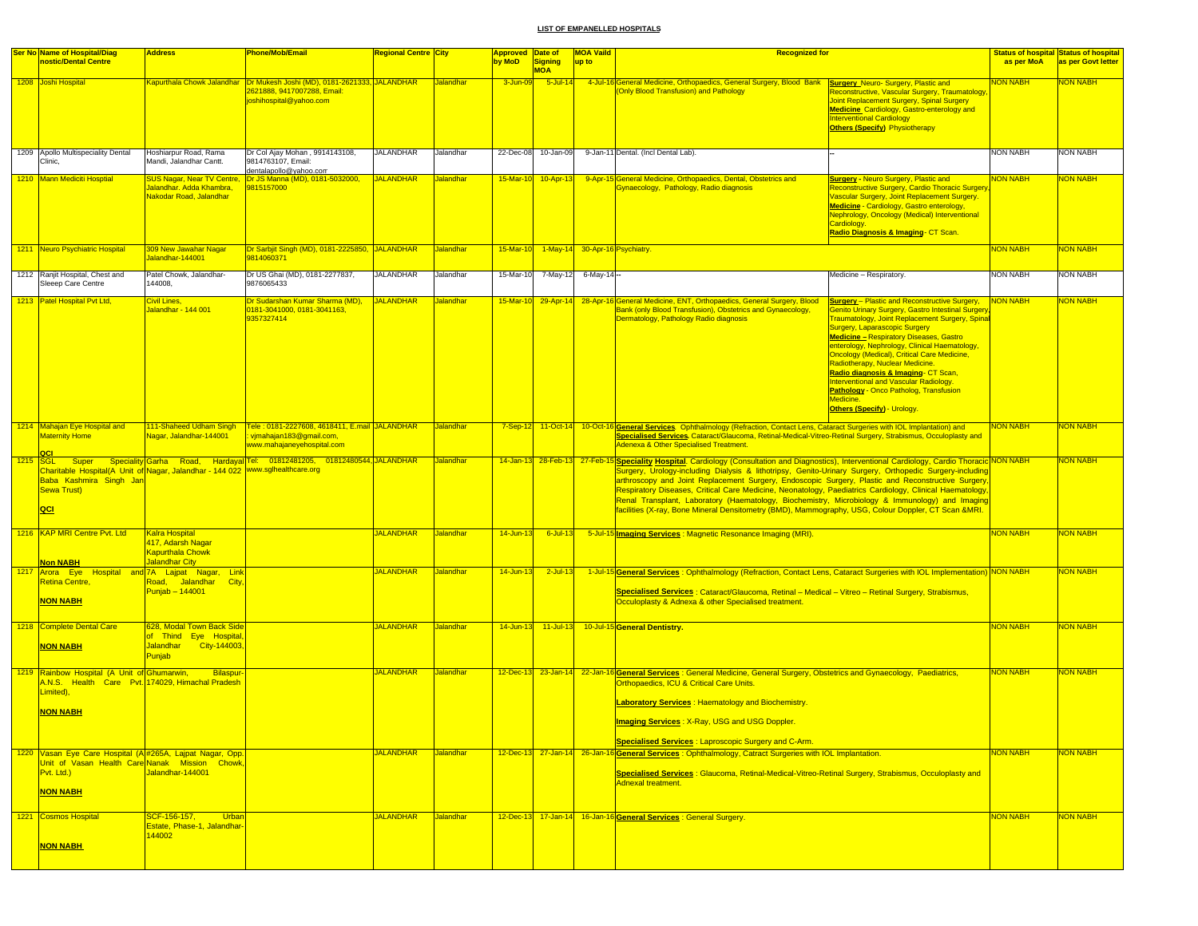| <b>Ser No Name of Hospital/Diag</b><br>nostic/Dental Centre                                                                               | <b>Address</b>                                                                                           | Phone/Mob/Email                                                                                        | <b>Regional Centre City</b> |                  | <b>Approved Date of</b> |                              | <b>MOA Vaild</b>                         | <b>Recognized for</b>                                                                                                                                                                                                                                                                                                                                                                                                                                                                                                                                                                                                                                                                    |                                                                                                                                                                                                                                                                                                                                                                                                                                                                                                                                                                         |                 | <b>Status of hospital Status of hospital</b> |
|-------------------------------------------------------------------------------------------------------------------------------------------|----------------------------------------------------------------------------------------------------------|--------------------------------------------------------------------------------------------------------|-----------------------------|------------------|-------------------------|------------------------------|------------------------------------------|------------------------------------------------------------------------------------------------------------------------------------------------------------------------------------------------------------------------------------------------------------------------------------------------------------------------------------------------------------------------------------------------------------------------------------------------------------------------------------------------------------------------------------------------------------------------------------------------------------------------------------------------------------------------------------------|-------------------------------------------------------------------------------------------------------------------------------------------------------------------------------------------------------------------------------------------------------------------------------------------------------------------------------------------------------------------------------------------------------------------------------------------------------------------------------------------------------------------------------------------------------------------------|-----------------|----------------------------------------------|
|                                                                                                                                           |                                                                                                          |                                                                                                        |                             |                  | by MoD                  | <b>Signing</b><br><b>MOA</b> | up to                                    |                                                                                                                                                                                                                                                                                                                                                                                                                                                                                                                                                                                                                                                                                          |                                                                                                                                                                                                                                                                                                                                                                                                                                                                                                                                                                         | as per MoA      | as per Govt letter                           |
| 1208 Joshi Hospital                                                                                                                       |                                                                                                          | 2621888, 9417007288, Email:<br>joshihospital@yahoo.com                                                 |                             | Jalandhar        | 3-Jun-09                | $5$ -Jul-14                  |                                          | 4-Jul-16 General Medicine, Orthopaedics, General Surgery, Blood Bank Surgery Neuro- Surgery, Plastic and<br>(Only Blood Transfusion) and Pathology                                                                                                                                                                                                                                                                                                                                                                                                                                                                                                                                       | Reconstructive, Vascular Surgery, Traumatology<br>Joint Replacement Surgery, Spinal Surgery<br><b>Medicine</b> Cardiology, Gastro-enterology and<br><b>Interventional Cardiology</b><br><b>Others (Specify) Physiotherapy</b>                                                                                                                                                                                                                                                                                                                                           | NON NABH        | <b>NON NABH</b>                              |
| 1209 Apollo Multispeciality Dental<br>Clinic,                                                                                             | Hoshiarpur Road, Rama<br>Mandi, Jalandhar Cantt.                                                         | Dr Col Ajay Mohan, 9914143108,<br>9814763107, Email:<br>dentalapollo@yahoo.com                         | <b>JALANDHAR</b>            | Jalandhar        |                         | 22-Dec-08 10-Jan-09          |                                          | 9-Jan-11 Dental. (Incl Dental Lab).                                                                                                                                                                                                                                                                                                                                                                                                                                                                                                                                                                                                                                                      |                                                                                                                                                                                                                                                                                                                                                                                                                                                                                                                                                                         | <b>NON NABH</b> | <b>NON NABH</b>                              |
| 1210 Mann Mediciti Hosptial                                                                                                               | SUS Nagar, Near TV Centre<br>Jalandhar. Adda Khambra,<br>Nakodar Road, Jalandhar                         | Dr JS Manna (MD), 0181-5032000,<br>9815157000                                                          | <b>JALANDHAR</b>            | <b>Jalandhar</b> | 15-Mar-10               | $10 - Apr - 13$              |                                          | 9-Apr-15 General Medicine, Orthopaedics, Dental, Obstetrics and<br>Gynaecology, Pathology, Radio diagnosis                                                                                                                                                                                                                                                                                                                                                                                                                                                                                                                                                                               | <b>Surgery - Neuro Surgery, Plastic and</b><br>Reconstructive Surgery, Cardio Thoracic Surgery<br>Vascular Surgery, Joint Replacement Surgery.<br>Medicine - Cardiology, Gastro enterology,<br>Nephrology, Oncology (Medical) Interventional<br>Cardiology.<br>Radio Diagnosis & Imaging- CT Scan.                                                                                                                                                                                                                                                                      | <b>NON NABH</b> | <mark>NON NABH</mark>                        |
| 1211 Neuro Psychiatric Hospital                                                                                                           | 309 New Jawahar Nagar<br>Jalandhar-144001                                                                | Dr Sarbjit Singh (MD), 0181-2225850, JALANDHAR<br>9814060371                                           |                             | Jalandhar        |                         |                              | 15-Mar-10 1-May-14 30-Apr-16 Psychiatry. |                                                                                                                                                                                                                                                                                                                                                                                                                                                                                                                                                                                                                                                                                          |                                                                                                                                                                                                                                                                                                                                                                                                                                                                                                                                                                         | <b>NON NABH</b> | <b>NON NABH</b>                              |
| 1212 Ranjit Hospital, Chest and<br>Sleeep Care Centre                                                                                     | Patel Chowk, Jalandhar-<br>144008.                                                                       | Dr US Ghai (MD), 0181-2277837,<br>9876065433                                                           | <b>JALANDHAR</b>            | Jalandhar        |                         |                              | 15-Mar-10 7-May-12 6-May-14 --           |                                                                                                                                                                                                                                                                                                                                                                                                                                                                                                                                                                                                                                                                                          | Medicine - Respiratory.                                                                                                                                                                                                                                                                                                                                                                                                                                                                                                                                                 | <b>NON NABH</b> | <b>NON NABH</b>                              |
| 1213 Patel Hospital Pvt Ltd,                                                                                                              | Civil Lines.<br>Jalandhar - 144 001                                                                      | Dr Sudarshan Kumar Sharma (MD), JALANDHAR<br>0181-3041000, 0181-3041163,<br>9357327414                 |                             | <b>Jalandhar</b> |                         |                              |                                          | 15-Mar-10 29-Apr-14 28-Apr-16 General Medicine, ENT, Orthopaedics, General Surgery, Blood<br>Bank (only Blood Transfusion), Obstetrics and Gynaecology,<br>Dermatology, Pathology Radio diagnosis                                                                                                                                                                                                                                                                                                                                                                                                                                                                                        | <b>Surgery</b> - Plastic and Reconstructive Surgery,<br><b>Senito Urinary Surgery, Gastro Intestinal Surgery</b><br>Traumatology, Joint Replacement Surgery, Spinal<br>Surgery, Laparascopic Surgery<br><b>Medicine - Respiratory Diseases, Gastro</b><br>enterology, Nephrology, Clinical Haematology,<br><b>Oncology (Medical), Critical Care Medicine,</b><br>Radiotherapy, Nuclear Medicine.<br>Radio diagnosis & Imaging- CT Scan,<br>Interventional and Vascular Radiology.<br>Pathology - Onco Patholog, Transfusion<br>Medicine.<br>Others (Specify) - Urology. | <b>NON NABH</b> | NON NABH                                     |
| 1214 Mahajan Eye Hospital and<br><b>Maternity Home</b><br>QCI                                                                             | 111-Shaheed Udham Singh<br>Jagar, Jalandhar-144001                                                       | Tele: 0181-2227608, 4618411, E.mail JALANDHAR<br>vjmahajan183@gmail.com,<br>www.mahajaneyehospital.com |                             | Jalandhar        | $7-Sep-12$              | $11-Oct-14$                  |                                          | 10-Oct-16 General Services. Ophthalmology (Refraction, Contact Lens, Cataract Surgeries with IOL Implantation) and<br>Specialised Services. Cataract/Glaucoma, Retinal-Medical-Vitreo-Retinal Surgery, Strabismus, Occuloplasty and<br><b>Adenexa &amp; Other Specialised Treatment.</b>                                                                                                                                                                                                                                                                                                                                                                                                 |                                                                                                                                                                                                                                                                                                                                                                                                                                                                                                                                                                         | <b>NON NABH</b> | <b>VON NABH</b>                              |
| Charitable Hospital(A Unit of Nagar, Jalandhar - 144 022   www.sglhealthcare.org<br>Baba Kashmira Singh Jan<br><b>Sewa Trust)</b><br> QCI |                                                                                                          | 1215 SGL Super Speciality Garha Road, Hardayal Tel: 01812481205, 01812480544 JALANDHAR                 |                             | Jalandhar        |                         |                              |                                          | 14-Jan-13 28-Feb-13 27-Feb-15 Speciality Hospital. Cardiology (Consultation and Diagnostics), Interventional Cardiology, Cardio Thoracic NON NABH<br>Surgery, Urology-including Dialysis & lithotripsy, Genito-Urinary Surgery, Orthopedic Surgery-including<br>arthroscopy and Joint Replacement Surgery, Endoscopic Surgery, Plastic and Reconstructive Surgery,<br>Respiratory Diseases, Critical Care Medicine, Neonatology, Paediatrics Cardiology, Clinical Haematology,<br>Renal Transplant, Laboratory (Haematology, Biochemistry, Microbiology & Immunology) and Imaging<br>facilities (X-ray, Bone Mineral Densitometry (BMD), Mammography, USG, Colour Doppler, CT Scan &MRI. |                                                                                                                                                                                                                                                                                                                                                                                                                                                                                                                                                                         |                 | <b>NON NABH</b>                              |
| 1216 KAP MRI Centre Pvt. Ltd<br><b>Non NABH</b>                                                                                           | <b>Kalra Hospital</b><br>417, Adarsh Nagar<br><b>Kapurthala Chowk</b><br>Jalandhar City                  |                                                                                                        | <b>JALANDHAR</b>            | Jalandhar        | $14$ -Jun-13            | $6$ -Jul-13                  |                                          | 5-Jul-15 Imaging Services: Magnetic Resonance Imaging (MRI).                                                                                                                                                                                                                                                                                                                                                                                                                                                                                                                                                                                                                             |                                                                                                                                                                                                                                                                                                                                                                                                                                                                                                                                                                         | <b>NON NABH</b> | NON NABH                                     |
| 1217 Arora Eye Hospital and 7A Lajpat Nagar, Link<br><b>Retina Centre,</b><br><b>NON NABH</b>                                             | Road, Jalandhar City,<br>Punjab - 144001                                                                 |                                                                                                        | <b>JALANDHAR</b>            | Jalandhar        | $14$ -Jun-13            | $2$ -Jul-13                  |                                          | 1-Jul-15 General Services : Ophthalmology (Refraction, Contact Lens, Cataract Surgeries with IOL Implementation) NON NABH<br>Specialised Services: Cataract/Glaucoma, Retinal - Medical - Vitreo - Retinal Surgery, Strabismus,<br>Occuloplasty & Adnexa & other Specialised treatment.                                                                                                                                                                                                                                                                                                                                                                                                  |                                                                                                                                                                                                                                                                                                                                                                                                                                                                                                                                                                         |                 | <b>NON NABH</b>                              |
| 1218 Complete Dental Care<br><b>NON NABH</b>                                                                                              | 628, Modal Town Back Side<br>of Thind Eye Hospital,<br>City-144003,<br><b>Jalandhar</b><br><b>Punjab</b> |                                                                                                        | <b>JALANDHAR</b>            | Jalandhar        |                         | 14-Jun-13 11-Jul-13          |                                          | 10-Jul-15 General Dentistry.                                                                                                                                                                                                                                                                                                                                                                                                                                                                                                                                                                                                                                                             |                                                                                                                                                                                                                                                                                                                                                                                                                                                                                                                                                                         | <b>NON NABH</b> | <b>NON NABH</b>                              |
| 1219 Rainbow Hospital (A Unit of Ghumarwin,<br>A.N.S. Health Care Pvt. 174029, Himachal Pradesh<br>Limited),                              | <b>Bilaspur</b>                                                                                          |                                                                                                        | <b>JALANDHAR</b>            | Jalandhar        |                         |                              |                                          | 12-Dec-13 23-Jan-14 22-Jan-16 General Services : General Medicine, General Surgery, Obstetrics and Gynaecology, Paediatrics,<br>Orthopaedics, ICU & Critical Care Units.<br><b>Laboratory Services: Haematology and Biochemistry.</b>                                                                                                                                                                                                                                                                                                                                                                                                                                                    |                                                                                                                                                                                                                                                                                                                                                                                                                                                                                                                                                                         | <b>NON NABH</b> | NON NABH                                     |
| NON NABH                                                                                                                                  |                                                                                                          |                                                                                                        |                             |                  |                         |                              |                                          | <b>Imaging Services: X-Ray, USG and USG Doppler.</b>                                                                                                                                                                                                                                                                                                                                                                                                                                                                                                                                                                                                                                     |                                                                                                                                                                                                                                                                                                                                                                                                                                                                                                                                                                         |                 |                                              |
| 1220 Vasan Eye Care Hospital (A #265A, Lajpat Nagar, Opp.<br>Unit of Vasan Health Care Nanak Mission Chowk,                               |                                                                                                          |                                                                                                        | <b>JALANDHAR</b>            | Jalandhar        |                         |                              |                                          | <b>Specialised Services: Laproscopic Surgery and C-Arm.</b><br>12-Dec-13 27-Jan-14 26-Jan-16 General Services : Ophthalmology, Catract Surgeries with IOL Implantation.                                                                                                                                                                                                                                                                                                                                                                                                                                                                                                                  |                                                                                                                                                                                                                                                                                                                                                                                                                                                                                                                                                                         | <b>NON NABH</b> | <b>NON NABH</b>                              |
| Pvt. Ltd.)<br><b>NON NABH</b>                                                                                                             | Jalandhar-144001                                                                                         |                                                                                                        |                             |                  |                         |                              |                                          | Specialised Services: Glaucoma, Retinal-Medical-Vitreo-Retinal Surgery, Strabismus, Occuloplasty and<br>Adnexal treatment.                                                                                                                                                                                                                                                                                                                                                                                                                                                                                                                                                               |                                                                                                                                                                                                                                                                                                                                                                                                                                                                                                                                                                         |                 |                                              |
| 1221 Cosmos Hospital                                                                                                                      | SCF-156-157,<br>Urban<br>Estate, Phase-1, Jalandhar-                                                     |                                                                                                        | <b>JALANDHAR</b>            | Jalandhar        |                         |                              |                                          | 12-Dec-13 17-Jan-14 16-Jan-16 General Services: General Surgery.                                                                                                                                                                                                                                                                                                                                                                                                                                                                                                                                                                                                                         |                                                                                                                                                                                                                                                                                                                                                                                                                                                                                                                                                                         | <b>NON NABH</b> | <b>NON NABH</b>                              |
| <b>NON NABH</b>                                                                                                                           | 144002                                                                                                   |                                                                                                        |                             |                  |                         |                              |                                          |                                                                                                                                                                                                                                                                                                                                                                                                                                                                                                                                                                                                                                                                                          |                                                                                                                                                                                                                                                                                                                                                                                                                                                                                                                                                                         |                 |                                              |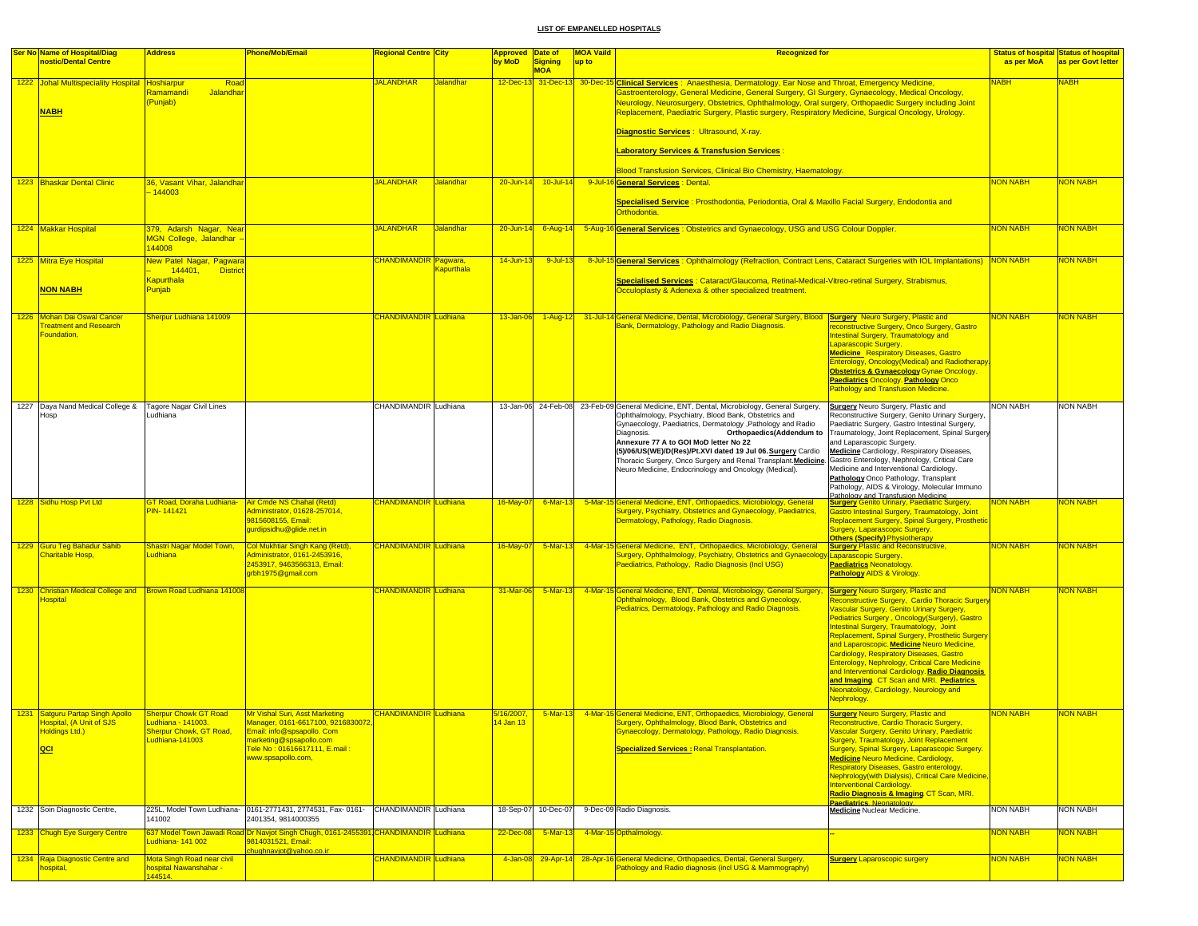| <b>Ser No Name of Hospital/Diag</b>                                                                 | <b>Address</b>                                                                           | Phone/Mob/Email                                                                                                                                                                     | <b>Regional Centre City</b>          | Approved Date of                |                              | <b>MOA Vaild</b> | <b>Recognized for</b>                                                                                                                                                                                                                                                                                                                                                                                                                                                                                                     |                                                                                                                                                                                                                                                                                                                                                                                                                                                                                                                                                    |                 | <b>Status of hospital Status of hospital</b> |
|-----------------------------------------------------------------------------------------------------|------------------------------------------------------------------------------------------|-------------------------------------------------------------------------------------------------------------------------------------------------------------------------------------|--------------------------------------|---------------------------------|------------------------------|------------------|---------------------------------------------------------------------------------------------------------------------------------------------------------------------------------------------------------------------------------------------------------------------------------------------------------------------------------------------------------------------------------------------------------------------------------------------------------------------------------------------------------------------------|----------------------------------------------------------------------------------------------------------------------------------------------------------------------------------------------------------------------------------------------------------------------------------------------------------------------------------------------------------------------------------------------------------------------------------------------------------------------------------------------------------------------------------------------------|-----------------|----------------------------------------------|
| nostic/Dental Centre                                                                                |                                                                                          |                                                                                                                                                                                     |                                      | by MoD                          | Signing<br><b>MOA</b>        | up to            |                                                                                                                                                                                                                                                                                                                                                                                                                                                                                                                           |                                                                                                                                                                                                                                                                                                                                                                                                                                                                                                                                                    | as per MoA      | as per Govt letter                           |
| 1222 Johal Multispeciality Hospital Hoshiarpur<br><b>NABH</b>                                       | Road<br>Ramamandi<br>Jalandhar<br>Punjab)                                                |                                                                                                                                                                                     | <b>JALANDHAR</b><br><b>Jalandhar</b> |                                 | 12-Dec-13 31-Dec-13 30-Dec-1 |                  | <b>Clinical Services:</b> Anaesthesia, Dermatology, Ear Nose and Throat, Emergency Medicine,<br>Gastroenterology, General Medicine, General Surgery, GI Surgery, Gynaecology, Medical Oncology,<br>Neurology, Neurosurgery, Obstetrics, Ophthalmology, Oral surgery, Orthopaedic Surgery including Joint<br>Replacement, Paediatric Surgery, Plastic surgery, Respiratory Medicine, Surgical Oncology, Urology.<br>Diagnostic Services : Ultrasound, X-ray.<br><b>Laboratory Services &amp; Transfusion Services</b>      |                                                                                                                                                                                                                                                                                                                                                                                                                                                                                                                                                    | <b>VABH</b>     | <b>NABH</b>                                  |
| 1223 Bhaskar Dental Clinic                                                                          | 36, Vasant Vihar, Jalandhar                                                              |                                                                                                                                                                                     | <b>JALANDHAR</b><br>Jalandhar        | $20 - Jun-14$                   | 10-Jul-14                    |                  | Blood Transfusion Services, Clinical Bio Chemistry, Haematology.<br>9-Jul-16 General Services : Dental.                                                                                                                                                                                                                                                                                                                                                                                                                   |                                                                                                                                                                                                                                                                                                                                                                                                                                                                                                                                                    | <b>VON NABH</b> | <b>VON NABH</b>                              |
|                                                                                                     | $-144003$                                                                                |                                                                                                                                                                                     |                                      |                                 |                              |                  | Specialised Service : Prosthodontia, Periodontia, Oral & Maxillo Facial Surgery, Endodontia and<br>Orthodontia.                                                                                                                                                                                                                                                                                                                                                                                                           |                                                                                                                                                                                                                                                                                                                                                                                                                                                                                                                                                    |                 |                                              |
| 1224 Makkar Hospital                                                                                | 379, Adarsh Nagar, Near<br>MGN College, Jalandhar -<br>144008                            |                                                                                                                                                                                     | <b>JALANDHAR</b><br>Jalandhar        | $20 - Jun-14$                   | $6 - Aug - 14$               |                  | 5-Aug-16 General Services: Obstetrics and Gynaecology, USG and USG Colour Doppler.                                                                                                                                                                                                                                                                                                                                                                                                                                        |                                                                                                                                                                                                                                                                                                                                                                                                                                                                                                                                                    | NON NABH        | <b>VON NABH</b>                              |
| 1225 Mitra Eye Hospital                                                                             | New Patel Nagar, Pagwara                                                                 |                                                                                                                                                                                     | <b>CHANDIMANDIR</b> Pagwara,         | $14$ -Jun-13                    | $9$ -Jul-13                  |                  | 8-Jul-15 General Services : Ophthalmology (Refraction, Contract Lens, Cataract Surgeries with IOL Implantations)                                                                                                                                                                                                                                                                                                                                                                                                          |                                                                                                                                                                                                                                                                                                                                                                                                                                                                                                                                                    | NON NABH        | <b>NON NABH</b>                              |
| <b>NON NABH</b>                                                                                     | 144401, District<br><b>Kapurthala</b><br>Punjab                                          |                                                                                                                                                                                     | Kapurthala                           |                                 |                              |                  | Specialised Services : Cataract/Glaucoma, Retinal-Medical-Vitreo-retinal Surgery, Strabismus,<br>Occuloplasty & Adenexa & other specialized treatment.                                                                                                                                                                                                                                                                                                                                                                    |                                                                                                                                                                                                                                                                                                                                                                                                                                                                                                                                                    |                 |                                              |
| 1226 Mohan Dai Oswal Cancer<br><b>reatment and Research</b><br>Foundation,                          | Sherpur Ludhiana 141009                                                                  |                                                                                                                                                                                     | CHANDIMANDIR Ludhiana                | 13-Jan-06                       | $1-Aug-12$                   |                  | 14 General Medicine, Dental, Microbiology, General Surgery, Blood Surgery Neuro Surgery, Plastic and<br>Bank, Dermatology, Pathology and Radio Diagnosis.                                                                                                                                                                                                                                                                                                                                                                 | econstructive Surgery, Onco Surgery, Gastro<br>ntestinal Surgery, Traumatology and<br>aparascopic Surgery.<br><b>Medicine_Respiratory Diseases, Gastro</b><br><b>Enterology, Oncology (Medical) and Radiotherapy</b><br><b>Obstetrics &amp; Gynaecology Gynae Oncology.</b><br><b>Paediatrics Oncology. Pathology Onco</b><br>Pathology and Transfusion Medicine.                                                                                                                                                                                  | NON NABH        | <b>NON NABH</b>                              |
| 1227 Daya Nand Medical College &<br>Hosp                                                            | Tagore Nagar Civil Lines<br>Ludhiana                                                     |                                                                                                                                                                                     | CHANDIMANDIR Ludhiana                |                                 | 13-Jan-06 24-Feb-08          |                  | 23-Feb-09 General Medicine, ENT, Dental, Microbiology, General Surgery,<br>Ophthalmology, Psychiatry, Blood Bank, Obstetrics and<br>Gynaecology, Paediatrics, Dermatology , Pathology and Radio<br>Orthopaedics(Addendum to<br>Diagnosis.<br>Annexure 77 A to GOI MoD letter No 22<br>(5)/06/US(WE)/D(Res)/Pt.XVI dated 19 Jul 06. Surgery Cardio<br>Thoracic Surgery, Onco Surgery and Renal Transplant. Medicine. Gastro Enterology, Nephrology, Critical Care<br>Neuro Medicine, Endocrinology and Oncology (Medical). | <b>Surgery</b> Neuro Surgery, Plastic and<br>Reconstructive Surgery, Genito Urinary Surgery,<br>Paediatric Surgery, Gastro Intestinal Surgery,<br>Traumatology, Joint Replacement, Spinal Surgery<br>and Laparascopic Surgery.<br><b>Medicine</b> Cardiology, Respiratory Diseases,<br>Medicine and Interventional Cardiology.<br>Pathology Onco Pathology, Transplant<br>Pathology, AIDS & Virology, Molecular Immuno                                                                                                                             | <b>NON NABH</b> | <b>NON NABH</b>                              |
| 1228 Sidhu Hosp Pvt Ltd                                                                             | GT Road, Doraha Ludhiana- Air Cmde NS Chahal (Retd)<br>PIN-141421                        | Administrator, 01628-257014,<br>9815608155, Email:<br>gurdipsidhu@glide.net.in                                                                                                      | <b>CHANDIMANDIR</b> Ludhiana         | 16-May-07                       | $6$ -Mar-13                  |                  | 5-Mar-15 General Medicine, ENT, Orthopaedics, Microbiology, General<br>Surgery, Psychiatry, Obstetrics and Gynaecology, Paediatrics,<br>Dermatology, Pathology, Radio Diagnosis.                                                                                                                                                                                                                                                                                                                                          | Pathology and Transfusion Medicine<br><b>Surgery Genito Urinary, Paediatric Surgery,</b><br>Gastro Intestinal Surgery, Traumatology, Joint<br>Replacement Surgery, Spinal Surgery, Prosthetic<br>Surgery, Laparascopic Surgery.                                                                                                                                                                                                                                                                                                                    | <b>NON NABH</b> | <b>VON NABH</b>                              |
| 1229 Guru Teg Bahadur Sahib<br>Charitable Hosp,                                                     | <mark>Shastri Nagar Model Town,</mark><br>udhiana                                        | Col Mukhtiar Singh Kang (Retd),<br>Administrator, 0161-2453916,<br>2453917, 9463566313, Email:<br>grbh1975@gmail.com                                                                | <b>CHANDIMANDIR Ludhiana</b>         | $16$ -May-07                    | $5-Mar-13$                   |                  | 4-Mar-15 General Medicine, ENT, Orthopaedics, Microbiology, General<br>Surgery, Ophthalmology, Psychiatry, Obstetrics and Gynaecology Laparascopic Surgery.<br>Paediatrics, Pathology, Radio Diagnosis (Incl USG)                                                                                                                                                                                                                                                                                                         | <b>Others (Specify) Physiotherapy</b><br><b>Surgery Plastic and Reconstructive,</b><br><b>Paediatrics Neonatology.</b><br><b>Pathology AIDS &amp; Virology.</b>                                                                                                                                                                                                                                                                                                                                                                                    | <b>NON NABH</b> | <b>NON NABH</b>                              |
| 1230 Christian Medical College and Brown Road Ludhiana 141008<br><b>Hospital</b>                    |                                                                                          |                                                                                                                                                                                     | <b>CHANDIMANDIR</b> Ludhiana         | 31-Mar-06                       | $5-Mar-13$                   |                  | 4-Mar-15 General Medicine, ENT, Dental, Microbiology, General Surgery, Surgery Neuro Surgery, Plastic and<br>Ophthalmology, Blood Bank, Obstetrics and Gynecology,<br>Pediatrics, Dermatology, Pathology and Radio Diagnosis.                                                                                                                                                                                                                                                                                             | Reconstructive Surgery, Cardio Thoracic Surger<br><b>Jascular Surgery, Genito Urinary Surgery,</b><br>Pediatrics Surgery, Oncology(Surgery), Gastro<br>ntestinal Surgery, Traumatology, Joint<br>Replacement, Spinal Surgery, Prosthetic Surgery<br>and Laparoscopic. Medicine Neuro Medicine,<br>Cardiology, Respiratory Diseases, Gastro<br>Enterology, Nephrology, Critical Care Medicine<br>and Interventional Cardiology. Radio Diagnosis<br>and Imaging CT Scan and MRI. Pediatrics<br>Neonatology, Cardiology, Neurology and<br>Nephrology. | <b>NON NABH</b> | <mark>NON NABH</mark>                        |
| 1231 Satguru Partap Singh Apollo<br><b>Hospital, (A Unit of SJS</b><br><b>Holdings Ltd.)</b><br>QCI | Sherpur Chowk GT Road<br>Ludhiana - 141003.<br>Sherpur Chowk, GT Road,<br>udhiana-141003 | Mr Vishal Suri, Asst Marketing<br>Manager, 0161-6617100, 92168300<br>Email: info@spsapollo. Com<br>marketing@spsapollo.com<br>Fele No : 01616617111, E.mail :<br>www.spsapollo.com, | <b>CHANDIMANDIR Ludhiana</b>         | 5/16/2007,<br><u>14 Jan 13 </u> | $-5$ -Mar-13                 |                  | 4-Mar-15 General Medicine, ENT, Orthopaedics, Microbiology, General<br>Surgery, Ophthalmology, Blood Bank, Obstetrics and<br>Gynaecology, Dermatology, Pathology, Radio Diagnosis.<br><b>Specialized Services: Renal Transplantation.</b>                                                                                                                                                                                                                                                                                 | <b>Surgery Neuro Surgery, Plastic and</b><br><b>Reconstructive, Cardio Thoracic Surgery</b><br>Vascular Surgery, Genito Urinary, Paediatric<br>Surgery, Traumatology, Joint Replacement<br>Surgery, Spinal Surgery, Laparascopic Surgery.<br>Medicine Neuro Medicine, Cardiology,<br>Respiratory Diseases, Gastro enterology,<br>Nephrology(with Dialysis), Critical Care Medicine,<br><b>Interventional Cardiology.</b><br>Radio Diagnosis & Imaging CT Scan, MRI.<br>Paediatrics, Neonatology                                                    | <b>NON NABH</b> | <b>NON NABH</b>                              |
| 1232 Soin Diagnostic Centre,                                                                        | 141002                                                                                   | 225L, Model Town Ludhiana- 0161-2771431, 2774531, Fax- 0161- CHANDIMANDIR Ludhiana<br>2401354, 9814000355                                                                           |                                      | 18-Sep-07                       | 10-Dec-07                    |                  | 9-Dec-09 Radio Diagnosis.                                                                                                                                                                                                                                                                                                                                                                                                                                                                                                 | <b>Medicine Nuclear Medicine.</b>                                                                                                                                                                                                                                                                                                                                                                                                                                                                                                                  | <b>NON NABH</b> | <b>NON NABH</b>                              |
| 1233 Chugh Eye Surgery Centre                                                                       | udhiana-141 002                                                                          | 637 Model Town Jawadi Road Dr Navjot Singh Chugh, 0161-2455391 CHANDIMANDIR Ludhiana<br>9814031521, Email:                                                                          |                                      | 22-Dec-08                       | 5-Mar-13                     |                  | 4-Mar-15 Opthalmology.                                                                                                                                                                                                                                                                                                                                                                                                                                                                                                    |                                                                                                                                                                                                                                                                                                                                                                                                                                                                                                                                                    | <b>NON NABH</b> | <b>VON NABH</b>                              |
| 1234 Raja Diagnostic Centre and                                                                     | Mota Singh Road near civil                                                               | chughnavjot@yahoo.co.ir                                                                                                                                                             | <b>CHANDIMANDIR Ludhiana</b>         | 4-Jan-08                        | $29 - Apr - 14$              |                  | 28-Apr-16 General Medicine, Orthopaedics, Dental, General Surgery,                                                                                                                                                                                                                                                                                                                                                                                                                                                        | <b>Surgery Laparoscopic surgery</b>                                                                                                                                                                                                                                                                                                                                                                                                                                                                                                                | <b>NON NABH</b> | <b>NON NABH</b>                              |
| <mark>hospital,</mark>                                                                              | ospital Nawanshahar -<br>44514.                                                          |                                                                                                                                                                                     |                                      |                                 |                              |                  | Pathology and Radio diagnosis (incl USG & Mammography)                                                                                                                                                                                                                                                                                                                                                                                                                                                                    |                                                                                                                                                                                                                                                                                                                                                                                                                                                                                                                                                    |                 |                                              |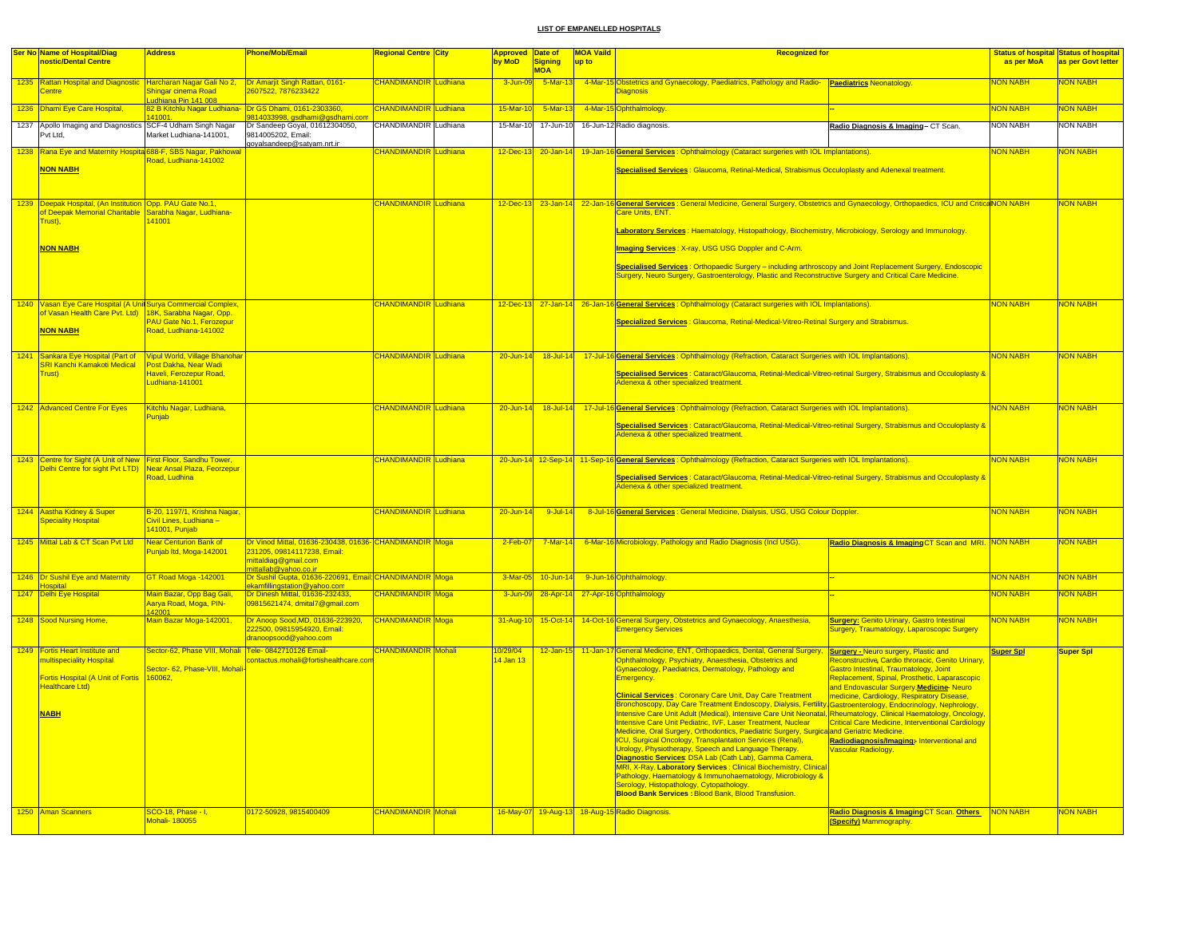|      | <b>Ser No Name of Hospital/Diag</b>                            | Address                                            | Phone/Mob/Email                                                | <mark>Regional Centre City</mark> |          | Approved Date of   |                     | <b>MOA Vaild</b> | <b>Recognized for</b>                                                                                                                               |                                                                                            |                  | <b>Status of hospital Status of hospital</b> |
|------|----------------------------------------------------------------|----------------------------------------------------|----------------------------------------------------------------|-----------------------------------|----------|--------------------|---------------------|------------------|-----------------------------------------------------------------------------------------------------------------------------------------------------|--------------------------------------------------------------------------------------------|------------------|----------------------------------------------|
|      | nostic/Dental Centre                                           |                                                    |                                                                |                                   |          | by MoD             | Signing             | up to            |                                                                                                                                                     |                                                                                            | as per MoA       | as per Govt letter                           |
|      |                                                                |                                                    |                                                                |                                   |          |                    | <b>MOA</b>          |                  |                                                                                                                                                     |                                                                                            |                  |                                              |
|      | 1235 Rattan Hospital and Diagnostic                            | Harcharan Nagar Gali No 2,                         | Dr Amarjit Singh Rattan, 0161-                                 | <b>CHANDIMANDIR Ludhiana</b>      |          | 3-Jun-09           | $5 - $ Mar-13       |                  | 4-Mar-15 Obstetrics and Gynaecology, Paediatrics, Pathology and Radio- Paediatrics Neonatology.                                                     |                                                                                            | <b>VON NABH</b>  | <b>VON NABH</b>                              |
|      | entre                                                          | Shingar cinema Road                                | 607522, 7876233422                                             |                                   |          |                    |                     |                  | <b>Diagnosis</b>                                                                                                                                    |                                                                                            |                  |                                              |
|      | 1236 Dhami Eye Care Hospital,                                  | udhiana Pin 141 008<br>2 B Kitchlu Nagar Ludhiana- | Dr GS Dhami, 0161-2303360,                                     | <b>CHANDIMANDIR</b>               | Ludhiana | 15-Mar-10          | 5-Mar-13            |                  | 4-Mar-15 Ophthalmology.                                                                                                                             |                                                                                            | <b>VON NABH</b>  | <b>VON NABH</b>                              |
|      |                                                                | 41001                                              | 814033998, gsdhami@gsdhami.com                                 |                                   |          |                    |                     |                  |                                                                                                                                                     |                                                                                            |                  |                                              |
|      | 1237 Apollo Imaging and Diagnostics SCF-4 Udham Singh Nagar    |                                                    | Dr Sandeep Goyal, 01612304050,                                 | CHANDIMANDIR Ludhiana             |          | 15-Mar-10          | 17-Jun-10           |                  | 16-Jun-12 Radio diagnosis.                                                                                                                          | Radio Diagnosis & Imaging-CT Scan.                                                         | <b>NON NABH</b>  | <b>NON NABH</b>                              |
|      | Pvt Ltd.                                                       | Market Ludhiana-141001,                            | 9814005202, Email:                                             |                                   |          |                    |                     |                  |                                                                                                                                                     |                                                                                            |                  |                                              |
|      |                                                                |                                                    | goyalsandeep@satyam.nrt.ir                                     |                                   |          |                    |                     |                  |                                                                                                                                                     |                                                                                            |                  |                                              |
|      | 1238 Rana Eye and Maternity Hospita 688-F, SBS Nagar, Pakhowa  | Road, Ludhiana-141002                              |                                                                | <b>CHANDIMANDIR Ludhiana</b>      |          | $12$ -Dec-13       | $20 - Jan - 14$     |                  | 19-Jan-16 General Services: Ophthalmology (Cataract surgeries with IOL Implantations).                                                              |                                                                                            | <b>NON NABH</b>  | <b>VON NABH</b>                              |
|      | <b>NON NABH</b>                                                |                                                    |                                                                |                                   |          |                    |                     |                  | Specialised Services : Glaucoma, Retinal-Medical, Strabismus Occuloplasty and Adenexal treatment.                                                   |                                                                                            |                  |                                              |
|      |                                                                |                                                    |                                                                |                                   |          |                    |                     |                  |                                                                                                                                                     |                                                                                            |                  |                                              |
|      |                                                                |                                                    |                                                                |                                   |          |                    |                     |                  |                                                                                                                                                     |                                                                                            |                  |                                              |
|      |                                                                |                                                    |                                                                |                                   |          |                    |                     |                  |                                                                                                                                                     |                                                                                            |                  |                                              |
|      | 1239 Deepak Hospital, (An Institution Opp. PAU Gate No.1,      |                                                    |                                                                | CHANDIMANDIR Ludhiana             |          |                    | 12-Dec-13 23-Jan-14 |                  | 22-Jan-16 General Services: General Medicine, General Surgery, Obstetrics and Gynaecology, Orthopaedics, ICU and CriticaNON NABH<br>Care Units, ENT |                                                                                            |                  | <b>NON NABH</b>                              |
|      | f Deepak Memorial Charitable<br>rust).                         | <mark>Sarabha Nagar, Ludhiana-</mark><br>41001     |                                                                |                                   |          |                    |                     |                  |                                                                                                                                                     |                                                                                            |                  |                                              |
|      |                                                                |                                                    |                                                                |                                   |          |                    |                     |                  | Laboratory Services: Haematology, Histopathology, Biochemistry, Microbiology, Serology and Immunology.                                              |                                                                                            |                  |                                              |
|      |                                                                |                                                    |                                                                |                                   |          |                    |                     |                  |                                                                                                                                                     |                                                                                            |                  |                                              |
|      | <b>NON NABH</b>                                                |                                                    |                                                                |                                   |          |                    |                     |                  | Imaging Services: X-ray, USG USG Doppler and C-Arm.                                                                                                 |                                                                                            |                  |                                              |
|      |                                                                |                                                    |                                                                |                                   |          |                    |                     |                  |                                                                                                                                                     |                                                                                            |                  |                                              |
|      |                                                                |                                                    |                                                                |                                   |          |                    |                     |                  | Specialised Services : Orthopaedic Surgery - including arthroscopy and Joint Replacement Surgery, Endoscopic                                        |                                                                                            |                  |                                              |
|      |                                                                |                                                    |                                                                |                                   |          |                    |                     |                  | Surgery, Neuro Surgery, Gastroenterology, Plastic and Reconstructive Surgery and Critical Care Medicine.                                            |                                                                                            |                  |                                              |
|      |                                                                |                                                    |                                                                |                                   |          |                    |                     |                  |                                                                                                                                                     |                                                                                            |                  |                                              |
|      | 1240 Vasan Eye Care Hospital (A Unit Surya Commercial Complex, |                                                    |                                                                | <b>CHANDIMANDIR Ludhiana</b>      |          |                    |                     |                  | 12-Dec-13 27-Jan-14 26-Jan-16 General Services : Ophthalmology (Cataract surgeries with IOL Implantations).                                         |                                                                                            | <b>NON NABH</b>  | <b>NON NABH</b>                              |
|      | of Vasan Health Care Pvt. Ltd)                                 | 18K, Sarabha Nagar, Opp.                           |                                                                |                                   |          |                    |                     |                  |                                                                                                                                                     |                                                                                            |                  |                                              |
|      |                                                                | <b>PAU Gate No.1, Ferozepur</b>                    |                                                                |                                   |          |                    |                     |                  | Specialized Services : Glaucoma, Retinal-Medical-Vitreo-Retinal Surgery and Strabismus.                                                             |                                                                                            |                  |                                              |
|      | <b>NON NABH</b>                                                | Road, Ludhiana-141002                              |                                                                |                                   |          |                    |                     |                  |                                                                                                                                                     |                                                                                            |                  |                                              |
|      |                                                                |                                                    |                                                                |                                   |          |                    |                     |                  |                                                                                                                                                     |                                                                                            |                  |                                              |
| 1241 | Sankara Eye Hospital (Part of                                  | <b>Vipul World, Village Bhanohar</b>               |                                                                | <b>HANDIMANDIR</b> Ludhiana       |          | $20 - Jun-14$      | $18 -$ Jul-14       |                  | 17-Jul-16 General Services: Ophthalmology (Refraction, Cataract Surgeries with IOL Implantations).                                                  |                                                                                            | NON NABH         | <b>NON NABH</b>                              |
|      | <b>SRI Kanchi Kamakoti Medical</b>                             | Post Dakha, Near Wadi                              |                                                                |                                   |          |                    |                     |                  |                                                                                                                                                     |                                                                                            |                  |                                              |
|      | <b>Trust</b> )                                                 | Haveli, Ferozepur Road,                            |                                                                |                                   |          |                    |                     |                  | Specialised Services : Cataract/Glaucoma, Retinal-Medical-Vitreo-retinal Surgery, Strabismus and Occuloplasty &                                     |                                                                                            |                  |                                              |
|      |                                                                | Ludhiana-141001                                    |                                                                |                                   |          |                    |                     |                  | Adenexa & other specialized treatment.                                                                                                              |                                                                                            |                  |                                              |
|      |                                                                |                                                    |                                                                |                                   |          |                    |                     |                  |                                                                                                                                                     |                                                                                            |                  |                                              |
|      | 1242 Advanced Centre For Eyes                                  | Kitchlu Nagar, Ludhiana,                           |                                                                | <b>CHANDIMANDIR Ludhiana</b>      |          |                    |                     |                  | 20-Jun-14 18-Jul-14 17-Jul-16 General Services: Ophthalmology (Refraction, Cataract Surgeries with IOL Implantations).                              |                                                                                            | <b>NON NABH</b>  | <b>NON NABH</b>                              |
|      |                                                                | Puniab                                             |                                                                |                                   |          |                    |                     |                  |                                                                                                                                                     |                                                                                            |                  |                                              |
|      |                                                                |                                                    |                                                                |                                   |          |                    |                     |                  | <mark>Specialised Services</mark> : Cataract/Glaucoma, Retinal-Medical-Vitreo-retinal Surgery, Strabismus and Occuloplasty &                        |                                                                                            |                  |                                              |
|      |                                                                |                                                    |                                                                |                                   |          |                    |                     |                  | Adenexa & other specialized treatment.                                                                                                              |                                                                                            |                  |                                              |
|      |                                                                |                                                    |                                                                |                                   |          |                    |                     |                  |                                                                                                                                                     |                                                                                            |                  |                                              |
|      | 1243 Centre for Sight (A Unit of New                           | <b>First Floor, Sandhu Tower</b>                   |                                                                | CHANDIMANDIR Ludhiana             |          |                    |                     |                  | 20-Jun-14 12-Sep-14 11-Sep-16 General Services: Ophthalmology (Refraction, Cataract Surgeries with IOL Implantations).                              |                                                                                            | <b>NON NABH</b>  | <b>NON NABH</b>                              |
|      | Delhi Centre for sight Pvt LTD)                                | Near Ansal Plaza, Feorzepur                        |                                                                |                                   |          |                    |                     |                  |                                                                                                                                                     |                                                                                            |                  |                                              |
|      |                                                                | Road, Ludhina                                      |                                                                |                                   |          |                    |                     |                  | Specialised Services : Cataract/Glaucoma, Retinal-Medical-Vitreo-retinal Surgery, Strabismus and Occuloplasty &                                     |                                                                                            |                  |                                              |
|      |                                                                |                                                    |                                                                |                                   |          |                    |                     |                  | Adenexa & other specialized treatment.                                                                                                              |                                                                                            |                  |                                              |
|      |                                                                |                                                    |                                                                |                                   |          |                    |                     |                  |                                                                                                                                                     |                                                                                            |                  |                                              |
|      | 1244 Aastha Kidney & Super                                     | B-20, 1197/1, Krishna Nagar,                       |                                                                | <b>CHANDIMANDIR Ludhiana</b>      |          | $20 - \frac{1}{2}$ | $9 - 10 - 14$       |                  | 8-Jul-16 General Services : General Medicine, Dialysis, USG, USG Colour Doppler.                                                                    |                                                                                            | <b>NON NABH</b>  | <b>NON NABH</b>                              |
|      | <b>Speciality Hospital</b>                                     | Civil Lines, Ludhiana -                            |                                                                |                                   |          |                    |                     |                  |                                                                                                                                                     |                                                                                            |                  |                                              |
|      |                                                                | 41001, Punjab                                      |                                                                |                                   |          |                    |                     |                  |                                                                                                                                                     |                                                                                            |                  |                                              |
|      | 1245 Mittal Lab & CT Scan Pvt Ltd                              | Near Centurion Bank of                             | Dr Vinod Mittal, 01636-230438, 01636- CHANDIMANDIR Moga        |                                   |          | $2-Feb-07$         | $7$ -Mar-14         |                  | 6-Mar-16 Microbiology, Pathology and Radio Diagnosis (Incl USG).                                                                                    | Radio Diagnosis & Imaging CT Scan and MRI. NON NABH                                        |                  | <b>NON NABH</b>                              |
|      |                                                                | Punjab Itd, Moga-142001                            | 231205, 09814117238, Email:                                    |                                   |          |                    |                     |                  |                                                                                                                                                     |                                                                                            |                  |                                              |
|      |                                                                |                                                    | nittaldiag@gmail.com                                           |                                   |          |                    |                     |                  |                                                                                                                                                     |                                                                                            |                  |                                              |
|      |                                                                |                                                    | hittallah@vahoo.co.in                                          |                                   |          |                    |                     |                  |                                                                                                                                                     |                                                                                            |                  |                                              |
|      | 1246 Dr Sushil Eye and Maternity<br>lospital                   | GT Road Moga -142001                               | Dr Sushil Gupta, 01636-220691, Email: CHANDIMANDIR Moga        |                                   |          | 3-Mar-05           | 10-Jun-14           |                  | 9-Jun-16 Ophthalmology.                                                                                                                             |                                                                                            | <b>NON NABH</b>  | <b>VON NABH</b>                              |
|      | 1247 Delhi Eye Hospital                                        | Main Bazar, Opp Bag Gali,                          | kamfillingstation@yahoo.com<br>Dr Dinesh Mittal, 01636-232433, | <b>CHANDIMANDIR</b> Moga          |          | 3-Jun-09           | 28-Apr-14           |                  | 27-Apr-16 Ophthalmology                                                                                                                             |                                                                                            | <b>NON NABH</b>  | <b>NON NABH</b>                              |
|      |                                                                | Aarya Road, Moga, PIN-                             | 09815621474, dmital7@gmail.com                                 |                                   |          |                    |                     |                  |                                                                                                                                                     |                                                                                            |                  |                                              |
|      |                                                                | 42001                                              |                                                                |                                   |          |                    |                     |                  |                                                                                                                                                     |                                                                                            |                  |                                              |
|      | 1248 Sood Nursing Home,                                        | Main Bazar Moga-142001,                            | Dr Anoop Sood, MD, 01636-223920,                               | CHANDIMANDIR Moga                 |          | 31-Aug-10          | 15-Oct-14           |                  | 14-Oct-16 General Surgery, Obstetrics and Gynaecology, Anaesthesia,                                                                                 | <b>Surgery: Genito Urinary, Gastro Intestinal</b>                                          | <b>NON NABH</b>  | <b>NON NABH</b>                              |
|      |                                                                |                                                    | 22500, 09815954920, Email:<br>dranoopsood@vahoo.com            |                                   |          |                    |                     |                  | <b>Emergency Services</b>                                                                                                                           | Surgery, Traumatology, Laparoscopic Surgery                                                |                  |                                              |
|      |                                                                |                                                    |                                                                |                                   |          |                    |                     |                  |                                                                                                                                                     |                                                                                            |                  |                                              |
|      | 1249 Fortis Heart Institute and                                | Sector-62, Phase VIII, Mohali                      | Tele- 0842710126 Email-                                        | <b>CHANDIMANDIR</b> Mohali        |          | 10/29/04           | $12$ -Jan-15        |                  | 11-Jan-17 General Medicine, ENT, Orthopaedics, Dental, General Surgery, Surgery - Neuro surgery, Plastic and                                        |                                                                                            | <b>Super Spl</b> | <b>Super Spl</b>                             |
|      | nultispeciality Hospital                                       | Sector- 62, Phase-VIII, Moha                       | ntactus.mohali@fortishealthcare.co                             |                                   |          | 14 Jan 13          |                     |                  | Ophthalmology, Psychiatry, Anaesthesia, Obstetrics and<br>Gynaecology, Paediatrics, Dermatology, Pathology and                                      | Reconstructive, Cardio throracic, Genito Urinary<br>Gastro Intestinal, Traumatology, Joint |                  |                                              |
|      | Fortis Hospital (A Unit of Fortis                              | 160062,                                            |                                                                |                                   |          |                    |                     |                  | Emergency.                                                                                                                                          | Replacement, Spinal, Prosthetic, Laparascopic                                              |                  |                                              |
|      | Healthcare Ltd)                                                |                                                    |                                                                |                                   |          |                    |                     |                  |                                                                                                                                                     | and Endovascular Surgery.Medicine-Neuro                                                    |                  |                                              |
|      |                                                                |                                                    |                                                                |                                   |          |                    |                     |                  | <b>Clinical Services: Coronary Care Unit, Day Care Treatment</b>                                                                                    | nedicine, Cardiology, Respiratory Disease,                                                 |                  |                                              |
|      |                                                                |                                                    |                                                                |                                   |          |                    |                     |                  | Bronchoscopy, Day Care Treatment Endoscopy, Dialysis, Fertility,                                                                                    | Gastroenterology, Endocrinology, Nephrology,                                               |                  |                                              |
|      | <b>NABH</b>                                                    |                                                    |                                                                |                                   |          |                    |                     |                  | Intensive Care Unit Adult (Medical), Intensive Care Unit Neonatal, Rheumatology, Clinical Haematology, Oncology                                     |                                                                                            |                  |                                              |
|      |                                                                |                                                    |                                                                |                                   |          |                    |                     |                  | Intensive Care Unit Pediatric, IVF, Laser Treatment, Nuclear                                                                                        | Critical Care Medicine, Interventional Cardiology                                          |                  |                                              |
|      |                                                                |                                                    |                                                                |                                   |          |                    |                     |                  | Medicine, Oral Surgery, Orthodontics, Paediatric Surgery, Surgicaland Geriatric Medicine.                                                           |                                                                                            |                  |                                              |
|      |                                                                |                                                    |                                                                |                                   |          |                    |                     |                  | ICU, Surgical Oncology, Transplantation Services (Renal),<br>Urology, Physiotherapy, Speech and Language Therapy.                                   | Radiodiagnosis/Imaging: Interventional and<br>ascular Radiology.                           |                  |                                              |
|      |                                                                |                                                    |                                                                |                                   |          |                    |                     |                  | Diagnostic Services: DSA Lab (Cath Lab), Gamma Camera,                                                                                              |                                                                                            |                  |                                              |
|      |                                                                |                                                    |                                                                |                                   |          |                    |                     |                  | MRI, X-Ray. Laboratory Services: Clinical Biochemistry, Clinical                                                                                    |                                                                                            |                  |                                              |
|      |                                                                |                                                    |                                                                |                                   |          |                    |                     |                  | Pathology, Haematology & Immunohaematology, Microbiology &                                                                                          |                                                                                            |                  |                                              |
|      |                                                                |                                                    |                                                                |                                   |          |                    |                     |                  | Serology, Histopathology, Cytopathology.                                                                                                            |                                                                                            |                  |                                              |
|      |                                                                |                                                    |                                                                |                                   |          |                    |                     |                  | <b>Blood Bank Services : Blood Bank, Blood Transfusion.</b>                                                                                         |                                                                                            |                  |                                              |
|      | 1250 Aman Scanners                                             | SCO-18, Phase - I,                                 | 0172-50928, 9815400409                                         | CHANDIMANDIR Mohali               |          |                    |                     |                  | 16-May-07 19-Aug-13 18-Aug-15 Radio Diagnosis.                                                                                                      | Radio Diagnosis & Imaging CT Scan. Others                                                  | <b>NON NABH</b>  | <b>NON NABH</b>                              |
|      |                                                                | Mohali- 180055                                     |                                                                |                                   |          |                    |                     |                  |                                                                                                                                                     | (Specify) Mammography.                                                                     |                  |                                              |
|      |                                                                |                                                    |                                                                |                                   |          |                    |                     |                  |                                                                                                                                                     |                                                                                            |                  |                                              |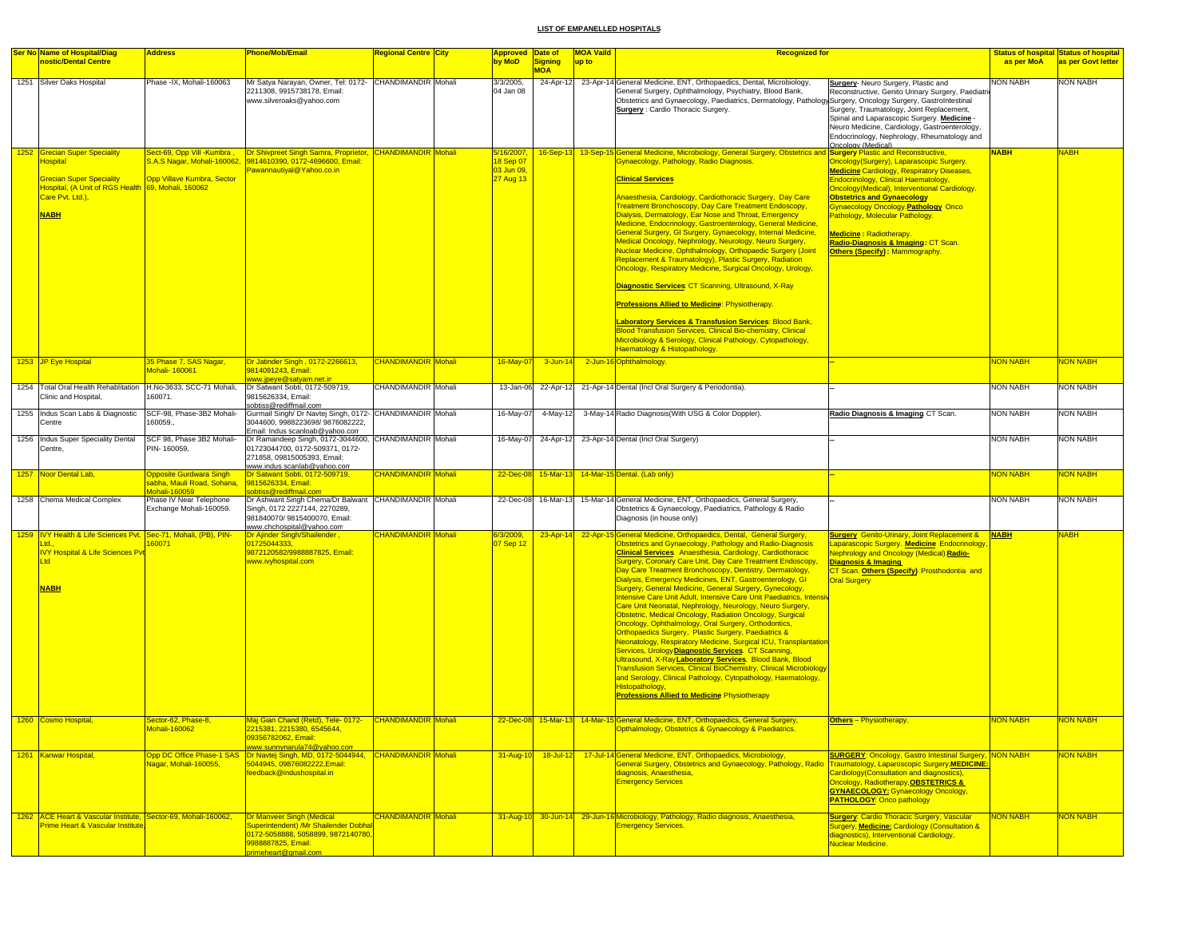| <b>Ser No Name of Hospital/Diag</b>                                                                                                                                          | <b>Address</b>                                                                | <b>Phone/Mob/Email</b>                                                                                                                                             | <b>Regional Centre City</b> | <b>Approved Date of</b>                            |                         | <b>MOA Vaild</b> | <b>Recognized for</b>                                                                                                                                                                                                                                                                                                                                                                                                                                                                                                                                                                                                                                                                                                                                                                                                                                                                                                                                                                                                                                                                                                                                                                                                                                                                       |                                                                                                                                                                                                                                                                                                                                                                                                                         |                 | <b>Status of hospital Status of hospital</b> |
|------------------------------------------------------------------------------------------------------------------------------------------------------------------------------|-------------------------------------------------------------------------------|--------------------------------------------------------------------------------------------------------------------------------------------------------------------|-----------------------------|----------------------------------------------------|-------------------------|------------------|---------------------------------------------------------------------------------------------------------------------------------------------------------------------------------------------------------------------------------------------------------------------------------------------------------------------------------------------------------------------------------------------------------------------------------------------------------------------------------------------------------------------------------------------------------------------------------------------------------------------------------------------------------------------------------------------------------------------------------------------------------------------------------------------------------------------------------------------------------------------------------------------------------------------------------------------------------------------------------------------------------------------------------------------------------------------------------------------------------------------------------------------------------------------------------------------------------------------------------------------------------------------------------------------|-------------------------------------------------------------------------------------------------------------------------------------------------------------------------------------------------------------------------------------------------------------------------------------------------------------------------------------------------------------------------------------------------------------------------|-----------------|----------------------------------------------|
| nostic/Dental Centre                                                                                                                                                         |                                                                               |                                                                                                                                                                    |                             | by MoD                                             | Signing                 | up to            |                                                                                                                                                                                                                                                                                                                                                                                                                                                                                                                                                                                                                                                                                                                                                                                                                                                                                                                                                                                                                                                                                                                                                                                                                                                                                             |                                                                                                                                                                                                                                                                                                                                                                                                                         | as per MoA      | as per Govt letter                           |
| 1251 Silver Oaks Hospital                                                                                                                                                    | Phase -IX, Mohali-160063                                                      | Mr Satya Narayan, Owner, Tel: 0172- CHANDIMANDIR Mohali<br>2211308, 9915738178, Email:<br>www.silveroaks@yahoo.com                                                 |                             | 3/3/2005,<br>04 Jan 08                             | <b>MOA</b><br>24-Apr-12 |                  | 23-Apr-14 General Medicine, ENT, Orthopaedics, Dental, Microbiology,<br>General Surgery, Ophthalmology, Psychiatry, Blood Bank,<br>Obstetrics and Gynaecology, Paediatrics, Dermatology, Pathology,Surgery, Oncology Surgery, GastroIntestinal<br><b>Surgery:</b> Cardio Thoracic Surgery.                                                                                                                                                                                                                                                                                                                                                                                                                                                                                                                                                                                                                                                                                                                                                                                                                                                                                                                                                                                                  | Surgery- Neuro Surgery, Plastic and<br>Reconstructive, Genito Urinary Surgery, Paediatrio<br>Surgery, Traumatology, Joint Replacement,<br>Spinal and Laparascopic Surgery. Medicine -<br>Neuro Medicine, Cardiology, Gastroenterology,<br>Endocrinology, Nephrology, Rheumatology and<br>Oncology (Medical)                                                                                                             | NON NABH        | NON NABH                                     |
| 1252 Grecian Super Speciality<br><b>Hospital</b><br><b>Grecian Super Speciality</b><br>Hospital, (A Unit of RGS Health 69, Mohali, 160062<br>Care Pvt. Ltd.),<br><b>NABH</b> | Sect-69, Opp Vill -Kumbra,<br>Opp Villave Kumbra, Sector                      | Dr Shivpreet Singh Samra, Proprietor, CHANDIMANDIR Mohali<br>S.A.S Nagar, Mohali-160062, 9814610390, 0172-4696600, Email:<br>awannautiyal@Yahoo.co.in              |                             | 5/16/2007,<br>18 Sep 07<br>03 Jun 09,<br>27 Aug 13 |                         |                  | 16-Sep-13 13-Sep-15 General Medicine, Microbiology, General Surgery, Obstetrics and Surgery Plastic and Reconstructive,<br>Gynaecology, Pathology, Radio Diagnosis.<br><b>Clinical Services</b><br>Anaesthesia, Cardiology, Cardiothoracic Surgery, Day Care<br><b>Treatment Bronchoscopy, Day Care Treatment Endoscopy,</b><br>Dialysis, Dermatology, Ear Nose and Throat, Emergency<br>Medicine, Endocrinology, Gastroenterology, General Medicine,<br>General Surgery, GI Surgery, Gynaecology, Internal Medicine,<br>Medical Oncology, Nephrology, Neurology, Neuro Surgery,<br>Nuclear Medicine, Ophthalmology, Orthopaedic Surgery (Joint<br>Replacement & Traumatology), Plastic Surgery, Radiation<br>Oncology, Respiratory Medicine, Surgical Oncology, Urology,<br>Diagnostic Services: CT Scanning, Ultrasound, X-Ray<br><b>Professions Allied to Medicine: Physiotherapy.</b><br><b>Laboratory Services &amp; Transfusion Services: Blood Bank,</b><br><b>Blood Transfusion Services, Clinical Bio-chemistry, Clinical</b><br>Microbiology & Serology, Clinical Pathology, Cytopathology,<br>Haematology & Histopathology.                                                                                                                                                      | Oncology(Surgery), Laparascopic Surgery.<br><b>Medicine Cardiology, Respiratory Diseases,</b><br>Endocrinology, Clinical Haematology,<br>Oncology(Medical), Interventional Cardiology<br><b>Obstetrics and Gynaecology</b><br>Gynaecology Oncology. Pathology Onco<br>Pathology, Molecular Pathology.<br><b>Medicine: Radiotherapy.</b><br>Radio-Diagnosis & Imaging: CT Scan.<br><b>Others (Specify): Mammography.</b> | <b>NABH</b>     | NABH                                         |
| 1253 JP Eye Hospital                                                                                                                                                         | 35 Phase 7, SAS Nagar,<br>lohali- 160061                                      | Dr Jatinder Singh, 0172-2266613,<br>9814091243, Email:                                                                                                             | <b>CHANDIMANDIR Mohali</b>  | 16-May-07                                          | $3 - Jun-14$            |                  | 2-Jun-16 Ophthalmology                                                                                                                                                                                                                                                                                                                                                                                                                                                                                                                                                                                                                                                                                                                                                                                                                                                                                                                                                                                                                                                                                                                                                                                                                                                                      |                                                                                                                                                                                                                                                                                                                                                                                                                         | NON NABH        | <b>NON NABH</b>                              |
| 1254 Total Oral Health Rehablitation<br>Clinic and Hospital,                                                                                                                 | H.No-3633, SCC-71 Mohali,<br>160071.                                          | <u>www.jpeye@satyam.net.in</u><br>Dr Satwant Sobti, 0172-509719,<br>9815626334, Email:                                                                             | CHANDIMANDIR Mohali         | 13-Jan-06                                          | 22-Apr-12               |                  | 21-Apr-14 Dental (Incl Oral Surgery & Periodontia)                                                                                                                                                                                                                                                                                                                                                                                                                                                                                                                                                                                                                                                                                                                                                                                                                                                                                                                                                                                                                                                                                                                                                                                                                                          |                                                                                                                                                                                                                                                                                                                                                                                                                         | <b>NON NABH</b> | <b>NON NABH</b>                              |
| 1255 Indus Scan Labs & Diagnostic<br>Centre                                                                                                                                  | SCF-98, Phase-3B2 Mohali-<br>160059.                                          | sobtiss@rediffmail.com<br>Gurmail Singh/ Dr Navtej Singh, 0172- CHANDIMANDIR Mohali<br>3044600, 9988223698/ 9876082222,<br>Email: Indus scanloab@yahoo.com         |                             | 16-May-07                                          | 4-May-12                |                  | 3-May-14 Radio Diagnosis(With USG & Color Doppler).                                                                                                                                                                                                                                                                                                                                                                                                                                                                                                                                                                                                                                                                                                                                                                                                                                                                                                                                                                                                                                                                                                                                                                                                                                         | Radio Diagnosis & Imaging CT Scan.                                                                                                                                                                                                                                                                                                                                                                                      | <b>NON NABH</b> | <b>NON NABH</b>                              |
| 1256 Indus Super Speciality Dental<br>Centre,                                                                                                                                | SCF 98, Phase 3B2 Mohali-<br>PIN-160059,                                      | Dr Ramandeep Singh, 0172-3044600, CHANDIMANDIR Mohali<br>01723044700, 0172-509371, 0172-<br>271858, 09815005393, Email:<br>www.indus scanlab@yahoo.com             |                             | 16-May-07                                          | 24-Apr-12               |                  | 23-Apr-14 Dental (Incl Oral Surgery)                                                                                                                                                                                                                                                                                                                                                                                                                                                                                                                                                                                                                                                                                                                                                                                                                                                                                                                                                                                                                                                                                                                                                                                                                                                        |                                                                                                                                                                                                                                                                                                                                                                                                                         | <b>NON NABH</b> | <b>NON NABH</b>                              |
| 1257 Noor Dental Lab,                                                                                                                                                        | <b>Opposite Gurdwara Singh</b><br>sabha, Mauli Road, Sohana,<br>Mohali-160059 | Dr Satwant Sobti, 0172-509719,<br>9815626334, Email:<br>obtiss@rediffmail.con                                                                                      | <b>CHANDIMANDIR</b> Mohali  | $22$ -Dec-08                                       |                         |                  | 15-Mar-13 14-Mar-15 Dental. (Lab only)                                                                                                                                                                                                                                                                                                                                                                                                                                                                                                                                                                                                                                                                                                                                                                                                                                                                                                                                                                                                                                                                                                                                                                                                                                                      |                                                                                                                                                                                                                                                                                                                                                                                                                         | <b>VON NABH</b> | <b>JON NABH</b>                              |
| 1258 Chema Medical Complex                                                                                                                                                   | Phase IV Near Telephone<br>Exchange Mohali-160059.                            | Dr Ashwant Singh Chema/Dr Balwant CHANDIMANDIR Mohali<br>Singh, 0172 2227144, 2270289,<br>981840070/ 9815400070, Email:<br>www.chchospital@yahoo.com               |                             | 22-Dec-08                                          | 16-Mar-13               |                  | 15-Mar-14 General Medicine, ENT, Orthopaedics, General Surgery,<br>Obstetrics & Gynaecology, Paediatrics, Pathology & Radio<br>Diagnosis (in house only)                                                                                                                                                                                                                                                                                                                                                                                                                                                                                                                                                                                                                                                                                                                                                                                                                                                                                                                                                                                                                                                                                                                                    |                                                                                                                                                                                                                                                                                                                                                                                                                         | <b>NON NABH</b> | <b>NON NABH</b>                              |
| 1259  IVY Health & Life Sciences Pvt.   Sec-71, Mohali, (PB), PIN-<br><b>IVY Hospital &amp; Life Sciences Py</b><br><b>Ltd</b><br><b>NABH</b><br>1260 Cosmo Hospital,        | 60071<br>Sector-62, Phase-8,                                                  | Dr Ajinder Singh/Shailender,<br>01725044333,<br>9872120582/9988887825, Email:<br>www.ivyhospital.com<br>Maj Gian Chand (Retd), Tele- 0172- CHANDIMANDIR Mohali     | <b>CHANDIMANDIR Mohali</b>  | 6/3/2009,<br>07 Sep 12                             | $23 -$ Apr-14           |                  | 22-Apr-15 General Medicine, Orthopaedics, Dental, General Surgery,<br>Obstetrics and Gynaecology, Pathology and Radio-Diagnosis<br><b>Clinical Services</b> Anaesthesia, Cardiology, Cardiothoracic<br><b>Surgery, Coronary Care Unit, Day Care Treatment Endoscopy,</b><br>Day Care Treatment Bronchoscopy, Dentistry, Dermatology,<br>Dialysis, Emergency Medicines, ENT, Gastroenterology, GI<br>Surgery, General Medicine, General Surgery, Gynecology,<br>Intensive Care Unit Adult, Intensive Care Unit Paediatrics, Intensi<br>Care Unit Neonatal, Nephrology, Neurology, Neuro Surgery,<br>Obstetric, Medical Oncology, Radiation Oncology, Surgical<br>Oncology, Ophthalmology, Oral Surgery, Orthodontics,<br><b>Orthopaedics Surgery, Plastic Surgery, Paediatrics &amp;</b><br>Neonatology, Respiratory Medicine, Surgical ICU, Transplantation<br>Services, Urology Diagnostic Services CT Scanning,<br>Ultrasound, X-Ray Laboratory Services. Blood Bank, Blood<br><b>Transfusion Services, Clinical BioChemistry, Clinical Microbiology</b><br>and Serology, Clinical Pathology, Cytopathology, Haematology,<br>Histopathology,<br><b>Professions Allied to Medicine Physiotherapy</b><br>22-Dec-08 15-Mar-13 14-Mar-15 General Medicine, ENT, Orthopaedics, General Surgery | <b>Surgery Genito-Urinary, Joint Replacement &amp; NABH</b><br>Laparascopic Surgery. Medicine Endocrinology<br>Nephrology and Oncology (Medical).Radio-<br><b>Diagnosis &amp; Imaging</b><br>CT Scan. Others (Specify) Prosthodontia and<br><b>Oral Surgery</b><br><b>Others</b> - Physiotherapy                                                                                                                        | NON NABH        | <b>HABH</b><br>NON NABH                      |
|                                                                                                                                                                              | Mohali-160062                                                                 | 2215381, 2215380, 6545644,<br>09356782062, Email:<br><mark>www.sunnynarula74@yahoo.com</mark>                                                                      |                             |                                                    |                         |                  | Opthalmology, Obstetrics & Gynaecology & Paediatrics.                                                                                                                                                                                                                                                                                                                                                                                                                                                                                                                                                                                                                                                                                                                                                                                                                                                                                                                                                                                                                                                                                                                                                                                                                                       |                                                                                                                                                                                                                                                                                                                                                                                                                         |                 |                                              |
| 1261 Kanwar Hospital,                                                                                                                                                        | Nagar, Mohali-160055.                                                         | Opp DC Office Phase-1 SAS Dr Navtej Singh, MD, 0172-5044944, CHANDIMANDIR Mohali<br>5044945, 09876082222, Email:<br>feedback@indushospital.in                      |                             | 31-Aug-10                                          | $18 -$ Jul-12           |                  | 17-Jul-14 General Medicine, ENT, Orthopaedics, Microbiology,<br>General Surgery, Obstetrics and Gynaecology, Pathology, Radio<br>diagnosis, Anaesthesia,<br><b>Emergency Services</b>                                                                                                                                                                                                                                                                                                                                                                                                                                                                                                                                                                                                                                                                                                                                                                                                                                                                                                                                                                                                                                                                                                       | <b>SURGERY: Oncology, Gastro Intestinal Surgery, NON NABH</b><br>Traumatology, Laparoscopic Surgery, MEDICINE:<br>Cardiology Consultation and diagnostics).<br>Oncology, Radiotherapy, OBSTETRICS &<br><b>GYNAECOLOGY: Gynaecology Oncology,</b><br><b>PATHOLOGY: Onco pathology</b>                                                                                                                                    |                 | <b>NON NABH</b>                              |
| 1262 ACE Heart & Vascular Institute, Sector-69, Mohali-160062,<br>Prime Heart & Vascular Institute                                                                           |                                                                               | <b>Dr Manveer Singh (Medical</b><br><b>Superintendent) /Mr Shailender Dobhal</b><br>0172-5058888, 5058899, 9872140780<br>9988887825. Email:<br>rimeheart@gmail.com | CHANDIMANDIR Mohali         |                                                    | 31-Aug-10 30-Jun-14     |                  | 29-Jun-16 Microbiology, Pathology, Radio diagnosis, Anaesthesia,<br><b>Emergency Services.</b>                                                                                                                                                                                                                                                                                                                                                                                                                                                                                                                                                                                                                                                                                                                                                                                                                                                                                                                                                                                                                                                                                                                                                                                              | <b>Surgery: Cardio Thoracic Surgery, Vascular</b><br>Surgery, Medicine: Cardiology (Consultation &<br>diagnostics), Interventional Cardiology,<br>Nuclear Medicine.                                                                                                                                                                                                                                                     | <b>VON NABH</b> | <b>VON NABH</b>                              |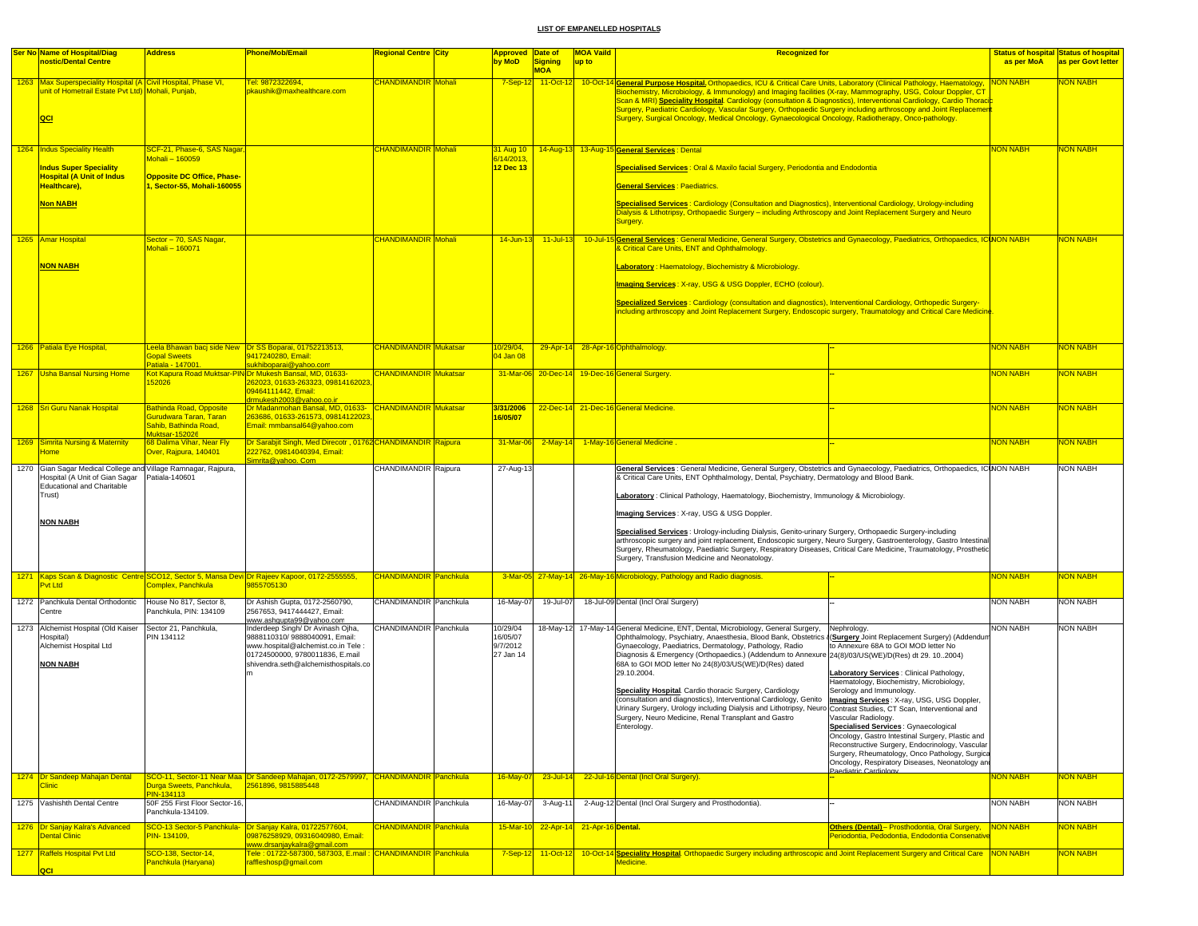| <b>Ser No Name of Hospital/Diag</b>                                                                                        | <b>Address</b>                                                                              | <u>Phone/Mob/Email</u>                                                                                                     | <b>Regional Centre City</b>   | <b>Approved Date of</b> |                              | <b>MOA Vaild</b>            | <b>Recognized for</b>                                                                                                                                                                                                                                                                                                                                                                                                                                                                                                                                                                                                                      |                                                                                                                                                      |                 | <b>Status of hospital Status of hospital</b> |
|----------------------------------------------------------------------------------------------------------------------------|---------------------------------------------------------------------------------------------|----------------------------------------------------------------------------------------------------------------------------|-------------------------------|-------------------------|------------------------------|-----------------------------|--------------------------------------------------------------------------------------------------------------------------------------------------------------------------------------------------------------------------------------------------------------------------------------------------------------------------------------------------------------------------------------------------------------------------------------------------------------------------------------------------------------------------------------------------------------------------------------------------------------------------------------------|------------------------------------------------------------------------------------------------------------------------------------------------------|-----------------|----------------------------------------------|
| nostic/Dental Centre                                                                                                       |                                                                                             |                                                                                                                            |                               | by MoD                  | <b>Signing</b><br><b>MOA</b> | up to                       |                                                                                                                                                                                                                                                                                                                                                                                                                                                                                                                                                                                                                                            |                                                                                                                                                      | as per MoA      | as per Govt letter                           |
| 1263 Max Superspeciality Hospital (A Civil Hospital, Phase VI,<br>unit of Hometrail Estate Pvt Ltd) Mohali, Punjab,<br>QCI |                                                                                             | el: 9872322694,<br>pkaushik@maxhealthcare.com                                                                              | <b>CHANDIMANDIR Mohali</b>    | $7-Sep-12$              |                              |                             | 11-Oct-12 10-Oct-14 General Purpose Hospital Orthopaedics, ICU & Critical Care Units, Laboratory (Clinical Pathology, Haematology,<br>Biochemistry, Microbiology, & Immunology) and Imaging facilities (X-ray, Mammography, USG, Colour Doppler, CT<br><u>Scan &amp; MRI) <b>Speciality Hospital</b>. Cardiology (consultation &amp; Diagnostics), Interventional Cardiology, Cardio Thoraci<mark>;</mark></u><br>Surgery, Paediatric Cardiology, Vascular Surgery, Orthopaedic Surgery including arthroscopy and Joint Replacemen<br>Surgery, Surgical Oncology, Medical Oncology, Gynaecological Oncology, Radiotherapy, Onco-pathology. |                                                                                                                                                      | <b>NON NABH</b> | NON NABH                                     |
| 1264 Indus Speciality Health                                                                                               | SCF-21, Phase-6, SAS Nagar                                                                  |                                                                                                                            | CHANDIMANDIR Mohali           |                         |                              |                             | 31 Aug 10 14-Aug-13 13-Aug-15 General Services : Dental                                                                                                                                                                                                                                                                                                                                                                                                                                                                                                                                                                                    |                                                                                                                                                      | <b>NON NABH</b> | <b>NON NABH</b>                              |
|                                                                                                                            | Mohali - 160059                                                                             |                                                                                                                            |                               | 6/14/2013.              |                              |                             |                                                                                                                                                                                                                                                                                                                                                                                                                                                                                                                                                                                                                                            |                                                                                                                                                      |                 |                                              |
| <b>Indus Super Speciality</b><br><b>Hospital (A Unit of Indus</b><br>Healthcare),                                          | <b>Opposite DC Office, Phase-</b><br>, Sector-55, Mohali-160055                             |                                                                                                                            |                               | 12 Dec 13               |                              |                             | Specialised Services : Oral & Maxilo facial Surgery, Periodontia and Endodontia<br><b>General Services: Paediatrics.</b>                                                                                                                                                                                                                                                                                                                                                                                                                                                                                                                   |                                                                                                                                                      |                 |                                              |
| <b>Non NABH</b>                                                                                                            |                                                                                             |                                                                                                                            |                               |                         |                              |                             | Specialised Services : Cardiology (Consultation and Diagnostics), Interventional Cardiology, Urology-including<br>Dialysis & Lithotripsy, Orthopaedic Surgery - including Arthroscopy and Joint Replacement Surgery and Neuro<br>Surgery.                                                                                                                                                                                                                                                                                                                                                                                                  |                                                                                                                                                      |                 |                                              |
| 1265 Amar Hospital                                                                                                         | Sector - 70, SAS Nagar,                                                                     |                                                                                                                            | <b>CHANDIMANDIR</b> Mohali    |                         |                              |                             | 14-Jun-13 11-Jul-13 10-Jul-15 General Services: General Medicine, General Surgery, Obstetrics and Gynaecology, Paediatrics, Orthopaedics, ICINON NABH                                                                                                                                                                                                                                                                                                                                                                                                                                                                                      |                                                                                                                                                      |                 | <b>NON NABH</b>                              |
|                                                                                                                            | Mohali - 160071                                                                             |                                                                                                                            |                               |                         |                              |                             | <b>&amp; Critical Care Units, ENT and Ophthalmology.</b>                                                                                                                                                                                                                                                                                                                                                                                                                                                                                                                                                                                   |                                                                                                                                                      |                 |                                              |
| <b>NON NABH</b>                                                                                                            |                                                                                             |                                                                                                                            |                               |                         |                              |                             | Laboratory: Haematology, Biochemistry & Microbiology.                                                                                                                                                                                                                                                                                                                                                                                                                                                                                                                                                                                      |                                                                                                                                                      |                 |                                              |
|                                                                                                                            |                                                                                             |                                                                                                                            |                               |                         |                              |                             | <b>Imaging Services: X-ray, USG &amp; USG Doppler, ECHO (colour).</b>                                                                                                                                                                                                                                                                                                                                                                                                                                                                                                                                                                      |                                                                                                                                                      |                 |                                              |
|                                                                                                                            |                                                                                             |                                                                                                                            |                               |                         |                              |                             |                                                                                                                                                                                                                                                                                                                                                                                                                                                                                                                                                                                                                                            |                                                                                                                                                      |                 |                                              |
|                                                                                                                            |                                                                                             |                                                                                                                            |                               |                         |                              |                             | Specialized Services: Cardiology (consultation and diagnostics), Interventional Cardiology, Orthopedic Surgery-<br>including arthroscopy and Joint Replacement Surgery, Endoscopic surgery, Traumatology and Critical Care Medicine                                                                                                                                                                                                                                                                                                                                                                                                        |                                                                                                                                                      |                 |                                              |
| 1266 Patiala Eye Hospital,                                                                                                 |                                                                                             | eela Bhawan bacj side New Dr SS Boparai, 01752213513,                                                                      | <b>CHANDIMANDIR Mukatsar</b>  | 10/29/04,               |                              |                             | 29-Apr-14 28-Apr-16 Ophthalmology.                                                                                                                                                                                                                                                                                                                                                                                                                                                                                                                                                                                                         |                                                                                                                                                      | <b>NON NABH</b> | <b>NON NABH</b>                              |
|                                                                                                                            | <b>Sopal Sweets</b>                                                                         | 9417240280, Email:                                                                                                         |                               | 04 Jan 08               |                              |                             |                                                                                                                                                                                                                                                                                                                                                                                                                                                                                                                                                                                                                                            |                                                                                                                                                      |                 |                                              |
| 1267 Usha Bansal Nursing Home                                                                                              | Patiala - 147001                                                                            | sukhiboparai@yahoo.com<br>Kot Kapura Road Muktsar-PIN Dr Mukesh Bansal, MD, 01633-                                         | <b>CHANDIMANDIR Mukatsar</b>  |                         |                              |                             | 31-Mar-06 20-Dec-14 19-Dec-16 General Surgery                                                                                                                                                                                                                                                                                                                                                                                                                                                                                                                                                                                              |                                                                                                                                                      | <b>NON NABH</b> | <b>VON NABH</b>                              |
|                                                                                                                            | 152026                                                                                      | 262023, 01633-263323, 09814162023<br>09464111442, Email:<br>drmukesh2003@yahoo.co.ir                                       |                               |                         |                              |                             |                                                                                                                                                                                                                                                                                                                                                                                                                                                                                                                                                                                                                                            |                                                                                                                                                      |                 |                                              |
| 1268 Sri Guru Nanak Hospital                                                                                               | Bathinda Road, Opposite<br>Gurudwara Taran, Taran<br>Sahib, Bathinda Road,<br>luktsar-15202 | Dr Madanmohan Bansal, MD, 01633- CHANDIMANDIR Mukatsar<br>263686, 01633-261573, 09814122023<br>Email: mmbansal64@yahoo.com |                               | 3/31/2006<br>16/05/07   |                              |                             | 22-Dec-14 21-Dec-16 General Medicine.                                                                                                                                                                                                                                                                                                                                                                                                                                                                                                                                                                                                      |                                                                                                                                                      | <b>NON NABH</b> | NON NABH                                     |
| 1269 Simrita Nursing & Maternity<br><b>lome</b>                                                                            | 68 Dalima Vihar, Near Fly<br><mark>Dver, Rajpura, 140401</mark>                             | Dr Sarabjit Singh, Med Direcotr, 01762 CHANDIMANDIR Rajpura<br>222762, 09814040394, Email:                                 |                               | 31-Mar-06               | $2$ -May-14                  |                             | 1-May-16 General Medicine                                                                                                                                                                                                                                                                                                                                                                                                                                                                                                                                                                                                                  |                                                                                                                                                      | <b>NON NABH</b> | <mark>NON NABH</mark>                        |
| 1270 Gian Sagar Medical College and Village Ramnagar, Rajpura,                                                             |                                                                                             | Simrita@yahoo. Com                                                                                                         | CHANDIMANDIR Rajpura          | 27-Aug-13               |                              |                             | General Services : General Medicine, General Surgery, Obstetrics and Gynaecology, Paediatrics, Orthopaedics, ICINON NABH                                                                                                                                                                                                                                                                                                                                                                                                                                                                                                                   |                                                                                                                                                      |                 | <b>NON NABH</b>                              |
| Hospital (A Unit of Gian Sagar<br><b>Educational and Charitable</b><br>Trust)<br><b>NON NABH</b>                           | Patiala-140601                                                                              |                                                                                                                            |                               |                         |                              |                             | & Critical Care Units, ENT Ophthalmology, Dental, Psychiatry, Dermatology and Blood Bank.<br>Laboratory: Clinical Pathology, Haematology, Biochemistry, Immunology & Microbiology.<br>Imaging Services: X-ray, USG & USG Doppler.                                                                                                                                                                                                                                                                                                                                                                                                          |                                                                                                                                                      |                 |                                              |
|                                                                                                                            |                                                                                             |                                                                                                                            |                               |                         |                              |                             | Specialised Services: Urology-including Dialysis, Genito-urinary Surgery, Orthopaedic Surgery-including<br>arthroscopic surgery and joint replacement, Endoscopic surgery, Neuro Surgery, Gastroenterology, Gastro Intestinal<br>Surgery, Rheumatology, Paediatric Surgery, Respiratory Diseases, Critical Care Medicine, Traumatology, Prosthetic<br>Surgery, Transfusion Medicine and Neonatology.                                                                                                                                                                                                                                       |                                                                                                                                                      |                 |                                              |
| Pvt Ltd                                                                                                                    | Complex, Panchkula                                                                          | 1271 Kaps Scan & Diagnostic Centre SCO12, Sector 5, Mansa Devi Dr Rajeev Kapoor, 0172-2555555,<br>9855705130               | CHANDIMANDIR Panchkula        |                         |                              |                             | 3-Mar-05 27-May-14 26-May-16 Microbiology, Pathology and Radio diagnosis.                                                                                                                                                                                                                                                                                                                                                                                                                                                                                                                                                                  |                                                                                                                                                      | <b>NON NABH</b> | NON NABH                                     |
| 1272 Panchkula Dental Orthodontic                                                                                          | House No 817, Sector 8,                                                                     | Dr Ashish Gupta, 0172-2560790,                                                                                             | CHANDIMANDIR Panchkula        | 16-May-07               | 19-Jul-07                    |                             | 18-Jul-09 Dental (Incl Oral Surgery)                                                                                                                                                                                                                                                                                                                                                                                                                                                                                                                                                                                                       |                                                                                                                                                      | <b>NON NABH</b> | <b>NON NABH</b>                              |
| Centre<br>1273 Alchemist Hospital (Old Kaiser                                                                              | Panchkula, PIN: 134109<br>Sector 21, Panchkula,                                             | 2567653, 9417444427, Email:<br>www.ashqupta99@yahoo.com<br>Inderdeep Singh/ Dr Avinash Ojha,                               | CHANDIMANDIR Panchkula        | 10/29/04                |                              |                             | 18-May-12 17-May-14 General Medicine, ENT, Dental, Microbiology, General Surgery,                                                                                                                                                                                                                                                                                                                                                                                                                                                                                                                                                          | Nephrology.                                                                                                                                          | <b>NON NABH</b> | <b>NON NABH</b>                              |
| Hospital)                                                                                                                  | PIN 134112                                                                                  | 9888110310/9888040091, Email:                                                                                              |                               | 16/05/07                |                              |                             | Ophthalmology, Psychiatry, Anaesthesia, Blood Bank, Obstetrics (Surgery Joint Replacement Surgery) (Addendum                                                                                                                                                                                                                                                                                                                                                                                                                                                                                                                               |                                                                                                                                                      |                 |                                              |
| Alchemist Hospital Ltd                                                                                                     |                                                                                             | www.hospital@alchemist.co.in Tele :<br>01724500000, 9780011836, E.mail                                                     |                               | 9/7/2012<br>27 Jan 14   |                              |                             | Gynaecology, Paediatrics, Dermatology, Pathology, Radio<br>Diagnosis & Emergency (Orthopaedics.) (Addendum to Annexure 24(8)/03/US(WE)/D(Res) dt 29. 10. 2004)                                                                                                                                                                                                                                                                                                                                                                                                                                                                             | to Annexure 68A to GOI MOD letter No                                                                                                                 |                 |                                              |
| <b>NON NABH</b>                                                                                                            |                                                                                             | shivendra.seth@alchemisthospitals.co                                                                                       |                               |                         |                              |                             | 68A to GOI MOD letter No 24(8)/03/US(WE)/D(Res) dated<br>29.10.2004.                                                                                                                                                                                                                                                                                                                                                                                                                                                                                                                                                                       |                                                                                                                                                      |                 |                                              |
|                                                                                                                            |                                                                                             |                                                                                                                            |                               |                         |                              |                             |                                                                                                                                                                                                                                                                                                                                                                                                                                                                                                                                                                                                                                            | Laboratory Services : Clinical Pathology,<br>Haematology, Biochemistry, Microbiology,                                                                |                 |                                              |
|                                                                                                                            |                                                                                             |                                                                                                                            |                               |                         |                              |                             | Speciality Hospital. Cardio thoracic Surgery, Cardiology<br>(consultation and diagnostics), Interventional Cardiology, Genito                                                                                                                                                                                                                                                                                                                                                                                                                                                                                                              | Serology and Immunology.<br>Imaging Services: X-ray, USG, USG Doppler,                                                                               |                 |                                              |
|                                                                                                                            |                                                                                             |                                                                                                                            |                               |                         |                              |                             | Urinary Surgery, Urology including Dialysis and Lithotripsy, Neuro Contrast Studies, CT Scan, Interventional and                                                                                                                                                                                                                                                                                                                                                                                                                                                                                                                           |                                                                                                                                                      |                 |                                              |
|                                                                                                                            |                                                                                             |                                                                                                                            |                               |                         |                              |                             | Surgery, Neuro Medicine, Renal Transplant and Gastro<br>Enterology.                                                                                                                                                                                                                                                                                                                                                                                                                                                                                                                                                                        | Vascular Radiology.<br>Specialised Services : Gynaecological                                                                                         |                 |                                              |
|                                                                                                                            |                                                                                             |                                                                                                                            |                               |                         |                              |                             |                                                                                                                                                                                                                                                                                                                                                                                                                                                                                                                                                                                                                                            | Oncology, Gastro Intestinal Surgery, Plastic and                                                                                                     |                 |                                              |
|                                                                                                                            |                                                                                             |                                                                                                                            |                               |                         |                              |                             |                                                                                                                                                                                                                                                                                                                                                                                                                                                                                                                                                                                                                                            | Reconstructive Surgery, Endocrinology, Vascular<br>Surgery, Rheumatology, Onco Pathology, Surgica<br>Oncology, Respiratory Diseases, Neonatology and |                 |                                              |
| 1274 Dr Sandeep Mahajan Dental                                                                                             |                                                                                             | SCO-11, Sector-11 Near Maa Dr Sandeep Mahajan, 0172-2579997, CHANDIMANDIR Panchkula                                        |                               | 16-May-07               | 23-Jul-14                    |                             | 22-Jul-16 Dental (Incl Oral Surgery).                                                                                                                                                                                                                                                                                                                                                                                                                                                                                                                                                                                                      | Poediatric Cardiology                                                                                                                                | <b>NON NABH</b> | NON NABH                                     |
| Clinic.                                                                                                                    | Durga Sweets, Panchkula,<br>PIN-134113                                                      | 2561896, 9815885448                                                                                                        |                               |                         |                              |                             |                                                                                                                                                                                                                                                                                                                                                                                                                                                                                                                                                                                                                                            |                                                                                                                                                      |                 |                                              |
| 1275 Vashishth Dental Centre                                                                                               | 50F 255 First Floor Sector-16,                                                              |                                                                                                                            | CHANDIMANDIR Panchkula        | 16-May-07               | 3-Aug-11                     |                             | 2-Aug-12 Dental (Incl Oral Surgery and Prosthodontia).                                                                                                                                                                                                                                                                                                                                                                                                                                                                                                                                                                                     |                                                                                                                                                      | <b>NON NABH</b> | <b>NON NABH</b>                              |
|                                                                                                                            | Panchkula-134109.                                                                           |                                                                                                                            |                               |                         |                              |                             |                                                                                                                                                                                                                                                                                                                                                                                                                                                                                                                                                                                                                                            |                                                                                                                                                      |                 |                                              |
| 1276 Dr Sanjay Kalra's Advanced<br><b>Dental Clinic</b>                                                                    | PIN-134109.                                                                                 | SCO-13 Sector-5 Panchkula- Dr Sanjay Kalra, 01722577604,<br>09876258929, 09316040980, Email:                               | <b>CHANDIMANDIR</b> Panchkula | 15-Mar-10               |                              | 22-Apr-14 21-Apr-16 Dental. |                                                                                                                                                                                                                                                                                                                                                                                                                                                                                                                                                                                                                                            | Others (Dental) - Prosthodontia, Oral Surgery,<br>Periodontia, Pedodontia, Endodontia Consenati                                                      | NON NABH        | <b>NON NABH</b>                              |
| 1277 Raffels Hospital Pyt Ltd                                                                                              |                                                                                             | www.drsanjaykalra@gmail.com                                                                                                |                               |                         |                              |                             |                                                                                                                                                                                                                                                                                                                                                                                                                                                                                                                                                                                                                                            |                                                                                                                                                      |                 |                                              |
| loci                                                                                                                       | SCO-138, Sector-14,<br>Panchkula (Haryana)                                                  | <u> Fele : 01722-587300, 587303, E.mail : CHANDIMANDIR Panchkula</u><br>raffleshosp@gmail.com                              |                               | $7-Sep-12$              | $11-Oct-12$                  |                             | 10-Oct-14 Speciality Hospital. Orthopaedic Surgery including arthroscopic and Joint Replacement Surgery and Critical Care NON NABH<br>Medicine.                                                                                                                                                                                                                                                                                                                                                                                                                                                                                            |                                                                                                                                                      |                 | <b>NON NABH</b>                              |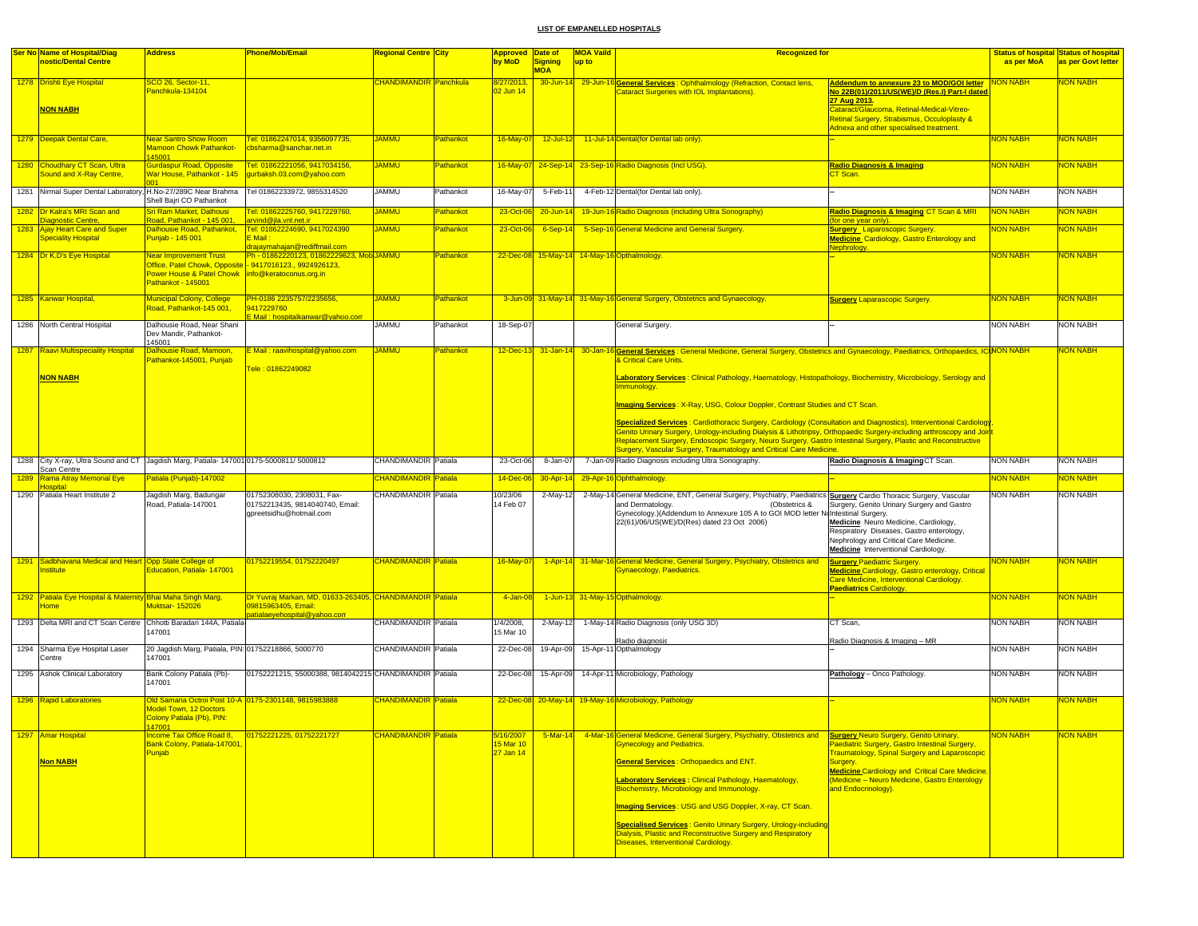|      | <b>Ser No Name of Hospital/Diag</b>                                                                 | <b>Address</b>                                                                   | <b>Phone/Mob/Email</b>                                                                                         | Regional Centre City        |           | Approved Date of       |                     | <b>MOA Vaild</b> | <b>Recognized for</b>                                                                                                                                                                                                                  |                                                                                                                                                                                                                        |                 | <b>Status of hospital Status of hospital</b> |
|------|-----------------------------------------------------------------------------------------------------|----------------------------------------------------------------------------------|----------------------------------------------------------------------------------------------------------------|-----------------------------|-----------|------------------------|---------------------|------------------|----------------------------------------------------------------------------------------------------------------------------------------------------------------------------------------------------------------------------------------|------------------------------------------------------------------------------------------------------------------------------------------------------------------------------------------------------------------------|-----------------|----------------------------------------------|
|      | nostic/Dental Centre                                                                                |                                                                                  |                                                                                                                |                             |           | by MoD                 | Signing             | up to            |                                                                                                                                                                                                                                        |                                                                                                                                                                                                                        | as per MoA      | as per Govt letter                           |
|      |                                                                                                     |                                                                                  |                                                                                                                |                             |           |                        | <b>MOA</b>          |                  |                                                                                                                                                                                                                                        |                                                                                                                                                                                                                        |                 |                                              |
|      | 1278 Drishti Eye Hospital<br><b>NON NABH</b>                                                        | CO 26, Sector-11,<br>Panchkula-134104                                            |                                                                                                                | CHANDIMANDIR Panchkula      |           | 8/27/2013<br>02 Jun 14 |                     |                  | 30-Jun-14 29-Jun-16 General Services: Ophthalmology (Refraction, Contact lens,<br><b>Cataract Surgeries with IOL Implantations).</b>                                                                                                   | Addendum to annexure 23 to MOD/GOI letter<br><u>No 22B(01)/2011/US(WE)/D (Res.I) Part-I dater</u><br>27 Aug 2013.<br>Cataract/Glaucoma, Retinal-Medical-Vitreo-                                                        | ON NABH         | <b>VON NABH</b>                              |
|      |                                                                                                     |                                                                                  |                                                                                                                |                             |           |                        |                     |                  |                                                                                                                                                                                                                                        | Retinal Surgery, Strabismus, Occuloplasty &<br>Adnexa and other specialised treatment.                                                                                                                                 |                 |                                              |
|      | 1279 Deepak Dental Care,                                                                            | <b>Near Santro Show Room</b><br><b>Mamoon Chowk Pathankot-</b><br>145001         | Fel: 01862247014, 9356097735,<br>cbsharma@sanchar.net.in                                                       | <b>JAMMU</b>                | Pathankot | 16-May-07              | $12$ -Jul-12        |                  | 11-Jul-14 Dental(for Dental lab only).                                                                                                                                                                                                 |                                                                                                                                                                                                                        | <b>NON NABH</b> | <mark>NON NABH</mark>                        |
|      | 1280 Choudhary CT Scan, Ultra<br><b>Sound and X-Ray Centre,</b>                                     | <b>Gurdaspur Road, Opposite</b><br>War House, Pathankot - 145                    | Tel: 01862221056, 9417034156,<br>gurbaksh.03.com@yahoo.com                                                     | <b>UMMAL</b>                | Pathankot |                        |                     |                  | 16-May-07 24-Sep-14 23-Sep-16 Radio Diagnosis (Incl USG).                                                                                                                                                                              | <b>Radio Diagnosis &amp; Imaging</b><br>CT Scan.                                                                                                                                                                       | <b>NON NABH</b> | <b>VON NABH</b>                              |
|      | 1281 Nirmal Super Dental Laboratory, H.No-27/289C Near Brahma                                       | Shell Bajri CO Pathankot                                                         | Tel 01862233972, 9855314520                                                                                    | <b>JAMMU</b>                | Pathankot | 16-May-07              | 5-Feb-11            |                  | 4-Feb-12 Dental(for Dental lab only).                                                                                                                                                                                                  |                                                                                                                                                                                                                        | <b>NON NABH</b> | <b>NON NABH</b>                              |
|      | 1282 Dr Kalra's MRI Scan and                                                                        | Sri Ram Market, Dalhousi                                                         | Tel: 01862225760, 9417229760,                                                                                  | <b>JAMMU</b>                | Pathankot | 23-Oct-06              | $20 - Jun-14$       |                  | 19-Jun-16 Radio Diagnosis (including Ultra Sonography)                                                                                                                                                                                 | Radio Diagnosis & Imaging CT Scan & MRI                                                                                                                                                                                | <b>NON NABH</b> | <b>VON NABH</b>                              |
|      | Diagnostic Centre,                                                                                  | Road, Pathankot - 145 001,                                                       | arvind@jla.vnl.net.ir                                                                                          |                             |           |                        |                     |                  |                                                                                                                                                                                                                                        | for one year only                                                                                                                                                                                                      |                 |                                              |
|      | 1283 Ajay Heart Care and Super<br><b>Speciality Hospital</b>                                        | Dalhousie Road, Pathankot,<br>Punjab - 145 001                                   | Tel: 01862224690, 9417024390<br>E Mail:<br>drajaymahajan@rediffmail.com                                        | <b>JAMMU</b>                | Pathankot | 23-Oct-06              | $6-Sep-14$          |                  | 5-Sep-16 General Medicine and General Surgery                                                                                                                                                                                          | <b>Surgery</b> Laparoscopic Surgery.<br><b>Medicine</b> Cardiology, Gastro Enterology and<br>Nephrology                                                                                                                | <b>NON NABH</b> | <b>VON NABH</b>                              |
|      | 1284 Dr K.D's Eye Hospital                                                                          | Near Improvement Trust                                                           | Ph - 01862220123, 01862229623, Mob JAMMU                                                                       |                             | Pathankot |                        |                     |                  | 22-Dec-08 15-May-14 14-May-16 Opthalmology                                                                                                                                                                                             |                                                                                                                                                                                                                        | <b>NON NABH</b> | <b>NON NABH</b>                              |
|      |                                                                                                     | Office, Patel Chowk, Opposite<br>Power House & Patel Chowk<br>Pathankot - 145001 | -9417016123., 9924926123,<br>info@keratoconus.org.in                                                           |                             |           |                        |                     |                  |                                                                                                                                                                                                                                        |                                                                                                                                                                                                                        |                 |                                              |
|      | 1285 Kanwar Hospital,                                                                               | <b>Municipal Colony, College</b><br>Road, Pathankot-145 001                      | PH-0186 2235757/2235656,<br>9417229760<br>E Mail : h <u>ospitalkanwar@yahoo.com</u>                            | <b>UMMAL</b>                | Pathankot |                        |                     |                  | 3-Jun-09 31-May-14 31-May-16 General Surgery, Obstetrics and Gynaecology.                                                                                                                                                              | <b>Surgery Laparascopic Surgery.</b>                                                                                                                                                                                   | <b>NON NABH</b> | NON NABH                                     |
|      | 1286 North Central Hospital                                                                         | Dalhousie Road, Near Shani<br>Dev Mandir, Pathankot-<br>145001                   |                                                                                                                | <b>JAMMU</b>                | Pathankot | 18-Sep-07              |                     |                  | General Surgery.                                                                                                                                                                                                                       |                                                                                                                                                                                                                        | <b>NON NABH</b> | <b>NON NABH</b>                              |
|      | 1287 Raavi Multispeciality Hospital                                                                 | Dalhousie Road, Mamoon.<br>Pathankot-145001, Punjab                              | E Mail: raavihospital@yahoo.com                                                                                | <b>JAMMU</b>                | Pathankot |                        | 12-Dec-13 31-Jan-14 |                  | 30-Jan-16 General Services: General Medicine, General Surgery, Obstetrics and Gynaecology, Paediatrics, Orthopaedics, ICUNON NABH<br>& Critical Care Units.                                                                            |                                                                                                                                                                                                                        |                 | <b>VON NABH</b>                              |
|      | <b>NON NABH</b>                                                                                     |                                                                                  | Tele: 01862249082                                                                                              |                             |           |                        |                     |                  | Laboratory Services: Clinical Pathology, Haematology, Histopathology, Biochemistry, Microbiology, Serology and<br>Immunology.                                                                                                          |                                                                                                                                                                                                                        |                 |                                              |
|      |                                                                                                     |                                                                                  |                                                                                                                |                             |           |                        |                     |                  | Imaging Services: X-Ray, USG, Colour Doppler, Contrast Studies and CT Scan.                                                                                                                                                            |                                                                                                                                                                                                                        |                 |                                              |
|      |                                                                                                     |                                                                                  |                                                                                                                |                             |           |                        |                     |                  | Specialized Services: Cardiothoracic Surgery, Cardiology (Consultation and Diagnostics), Interventional Cardiology                                                                                                                     |                                                                                                                                                                                                                        |                 |                                              |
|      |                                                                                                     |                                                                                  |                                                                                                                |                             |           |                        |                     |                  | Genito Urinary Surgery, Urology-including Dialysis & Lithotripsy, Orthopaedic Surgery-including arthroscopy and Joint<br>Replacement Surgery, Endoscopic Surgery, Neuro Surgery, Gastro Intestinal Surgery, Plastic and Reconstructive |                                                                                                                                                                                                                        |                 |                                              |
|      |                                                                                                     |                                                                                  |                                                                                                                |                             |           |                        |                     |                  | Surgery, Vascular Surgery, Traumatology and Critical Care Medicine.                                                                                                                                                                    |                                                                                                                                                                                                                        |                 |                                              |
|      | 1288 City X-ray, Ultra Sound and CT Jagdish Marg, Patiala-1470010175-5000811/5000812<br>Scan Centre |                                                                                  |                                                                                                                | CHANDIMANDIR Patiala        |           | 23-Oct-06              | 8-Jan-07            |                  | 7-Jan-09 Radio Diagnosis including Ultra Sonography.                                                                                                                                                                                   | Radio Diagnosis & Imaging CT Scan.                                                                                                                                                                                     | <b>NON NABH</b> | <b>NON NABH</b>                              |
| 1289 | <b>Rama Atray Memorial Eve</b>                                                                      | Patiala (Punjab)-147002                                                          |                                                                                                                | CHANDIMANDIR Patiala        |           | 14-Dec-0               | 30-Apr-14           |                  | 29-Apr-16 Ophthalmology.                                                                                                                                                                                                               |                                                                                                                                                                                                                        | <b>NON NABH</b> | <b>VON NABH</b>                              |
|      | <b>Hospital</b>                                                                                     |                                                                                  |                                                                                                                |                             |           |                        |                     |                  |                                                                                                                                                                                                                                        |                                                                                                                                                                                                                        |                 |                                              |
|      | 1290 Patiala Heart Institute 2                                                                      | Jagdish Marg, Badungar                                                           | 01752308030, 2308031, Fax-                                                                                     | CHANDIMANDIR Patiala        |           | 10/23/06               | 2-May-12            |                  | 2-May-14 General Medicine, ENT, General Surgery, Psychiatry, Paediatrics Surgery Cardio Thoracic Surgery, Vascular                                                                                                                     |                                                                                                                                                                                                                        | <b>NON NABH</b> | <b>NON NABH</b>                              |
|      |                                                                                                     | Road, Patiala-147001                                                             | 01752213435, 9814040740, Email:<br>gpreetsidhu@hotmail.com                                                     |                             |           | 14 Feb 07              |                     |                  | and Dermatology.<br>(Obstetrics &<br>Gynecology.)(Addendum to Annexure 105 A to GOI MOD letter NoIntestinal Surgery.<br>22(61)/06/US(WE)/D(Res) dated 23 Oct 2006)                                                                     | Surgery, Genito Urinary Surgery and Gastro<br>Medicine Neuro Medicine, Cardiology,<br>Respiratory Diseases, Gastro enterology,<br>Nephrology and Critical Care Medicine.<br><b>Medicine</b> Interventional Cardiology. |                 |                                              |
|      |                                                                                                     |                                                                                  |                                                                                                                |                             |           |                        |                     |                  |                                                                                                                                                                                                                                        |                                                                                                                                                                                                                        |                 |                                              |
|      | 1291 Sadbhavana Medical and Heart Opp State College of<br>nstitute                                  | Education, Patiala- 147001                                                       | 01752219554, 01752220497                                                                                       | <b>CHANDIMANDIR Patiala</b> |           | 16-May-07              |                     |                  | 1-Apr-14 31-Mar-16 General Medicine, General Surgery, Psychiatry, Obstetrics and<br>Gynaecology, Paediatrics.                                                                                                                          | <b>Surgery Paediatric Surgery.</b><br><b>Medicine Cardiology, Gastro enterology, Critical</b><br>Care Medicine, Interventional Cardiology<br><b>Paediatrics Cardiology.</b>                                            | <b>NON NABH</b> | <mark>NON NABH</mark>                        |
|      | 1292 Patiala Eye Hospital & Maternity Bhai Maha Singh Marg,<br><b>lome</b>                          | Muktsar- 152026                                                                  | Dr Yuvraj Markan, MD, 01633-263405, CHANDIMANDIR Patiala<br>09815963405, Email:<br>atialaevehospital@vahoo.com |                             |           | 4-Jan-08               |                     |                  | 1-Jun-13 31-May-15 Opthalmology.                                                                                                                                                                                                       |                                                                                                                                                                                                                        | <b>NON NABH</b> | <b>NON NABH</b>                              |
|      | 1293 Delta MRI and CT Scan Centre                                                                   | Chhotti Baradari 144A, Patiala<br>47001                                          |                                                                                                                | CHANDIMANDIR Patiala        |           | 1/4/2008,<br>15 Mar 10 | 2-May-12            |                  | 1-May-14 Radio Diagnosis (only USG 3D)<br>Radio diagnosis                                                                                                                                                                              | CT Scan,<br>Radio Diagnosis & Imaging - MR                                                                                                                                                                             | <b>NON NABH</b> | <b>NON NABH</b>                              |
|      | 1294 Sharma Eye Hospital Laser<br>Centre                                                            | 20 Jagdish Marg, Patiala, PIN: 01752218866, 5000770<br>147001                    |                                                                                                                | <b>CHANDIMANDIR Patiala</b> |           | 22-Dec-08              | 19-Apr-09           |                  | 15-Apr-11 Opthalmology                                                                                                                                                                                                                 |                                                                                                                                                                                                                        | <b>NON NABH</b> | <b>NON NABH</b>                              |
|      | 1295 Ashok Clinical Laboratory                                                                      | Bank Colony Patiala (Pb)-<br>147001                                              | 01752221215, 55000388, 9814042215 CHANDIMANDIR Patiala                                                         |                             |           |                        |                     |                  | 22-Dec-08 15-Apr-09 14-Apr-11 Microbiology, Pathology                                                                                                                                                                                  | Pathology - Onco Pathology.                                                                                                                                                                                            | <b>NON NABH</b> | <b>NON NABH</b>                              |
|      | 1296 Rapid Laboratories                                                                             | Old Samana Octroi Post 10-A 0175-2301148, 9815983888                             |                                                                                                                | <b>CHANDIMANDIR Patiala</b> |           |                        |                     |                  | 22-Dec-08 20-May-14 19-May-16 Microbiology, Pathology                                                                                                                                                                                  |                                                                                                                                                                                                                        | <b>NON NABH</b> | <b>VON NABH</b>                              |
|      |                                                                                                     | Model Town, 12 Doctors<br>Colony Patiala (Pb), PIN:                              |                                                                                                                |                             |           |                        |                     |                  |                                                                                                                                                                                                                                        |                                                                                                                                                                                                                        |                 |                                              |
| 1297 | <b>Amar Hospital</b>                                                                                | ncome Tax Office Road 8,<br>Bank Colony, Patiala-147001                          | 01752221225, 01752221727                                                                                       | <b>CHANDIMANDIR Patiala</b> |           | 5/16/2007<br>15 Mar 10 | $5-Mar-14$          |                  | 4-Mar-16 General Medicine, General Surgery, Psychiatry, Obstetrics and<br><b>Gynecology and Pediatrics.</b>                                                                                                                            | <b>Surgery Neuro Surgery, Genito Urinary,</b><br>Paediatric Surgery, Gastro Intestinal Surgery,                                                                                                                        | <b>NON NABH</b> | <b>VON NABH</b>                              |
|      | <b>Non NABH</b>                                                                                     | Punjab                                                                           |                                                                                                                |                             |           | 27 Jan 14              |                     |                  | <b>General Services: Orthopaedics and ENT.</b>                                                                                                                                                                                         | <b>Fraumatology, Spinal Surgery and Laparoscopic</b><br>Surgery.                                                                                                                                                       |                 |                                              |
|      |                                                                                                     |                                                                                  |                                                                                                                |                             |           |                        |                     |                  | <b>aboratory Services: Clinical Pathology, Haematology,</b><br>Biochemistry, Microbiology and Immunology.                                                                                                                              | <b>Medicine Cardiology and Critical Care Medicine</b><br>Medicine - Neuro Medicine, Gastro Enterology<br>and Endocrinology).                                                                                           |                 |                                              |
|      |                                                                                                     |                                                                                  |                                                                                                                |                             |           |                        |                     |                  | Imaging Services: USG and USG Doppler, X-ray, CT Scan.                                                                                                                                                                                 |                                                                                                                                                                                                                        |                 |                                              |
|      |                                                                                                     |                                                                                  |                                                                                                                |                             |           |                        |                     |                  | <b>Specialised Services: Genito Urinary Surgery, Urology-including</b><br>Dialysis, Plastic and Reconstructive Surgery and Respiratory                                                                                                 |                                                                                                                                                                                                                        |                 |                                              |
|      |                                                                                                     |                                                                                  |                                                                                                                |                             |           |                        |                     |                  | Diseases, Interventional Cardiology.                                                                                                                                                                                                   |                                                                                                                                                                                                                        |                 |                                              |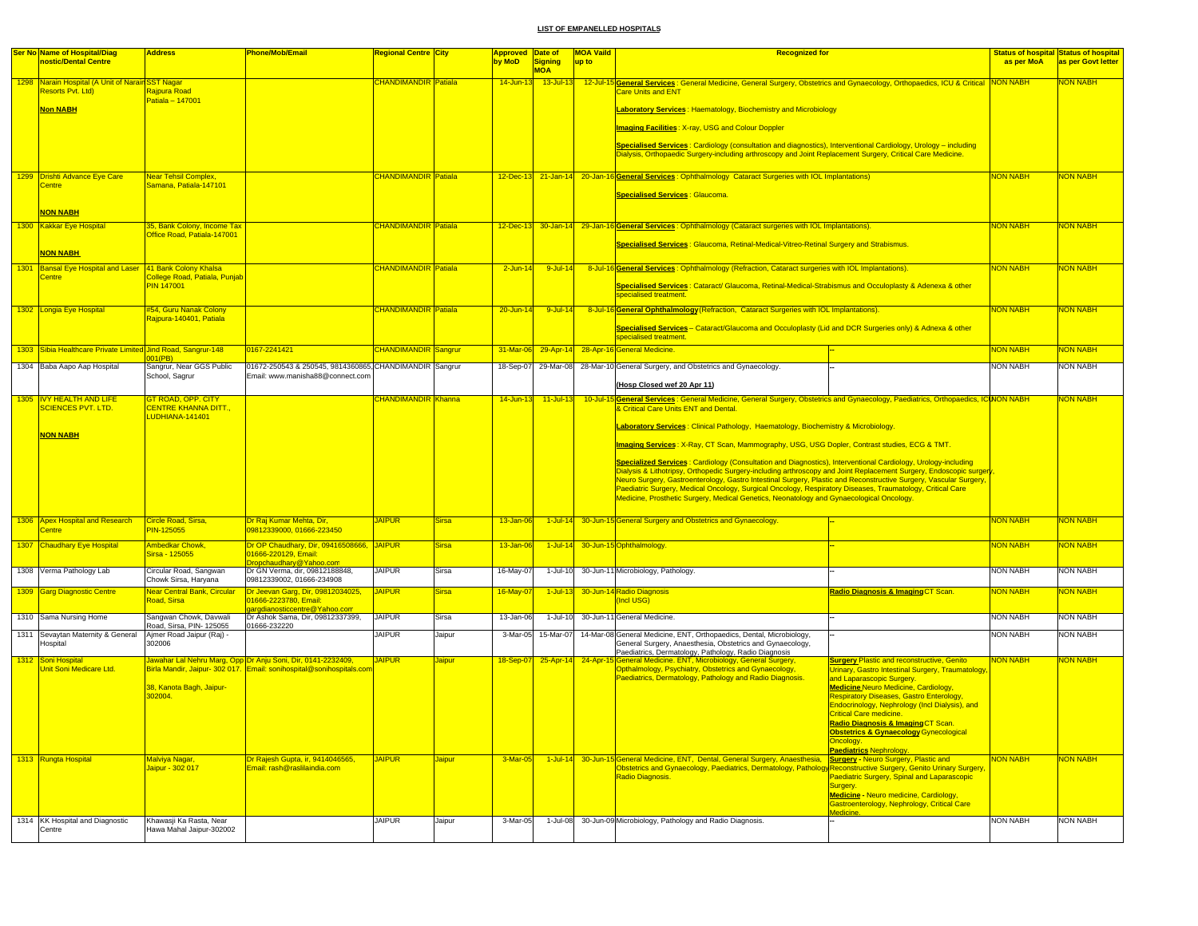|      | <b>Ser No Name of Hospital/Diag</b>                          | <b>Address</b>                                             | Phone/Mob/Email                                                                            | <b>Regional Centre City</b> |               | Approved Date of |                            | <b>MOA Vaild</b> | <b>Recognized for</b>                                                                                                                                                                                                                  |                                                                           |                 | <b>Status of hospital Status of hospital</b> |
|------|--------------------------------------------------------------|------------------------------------------------------------|--------------------------------------------------------------------------------------------|-----------------------------|---------------|------------------|----------------------------|------------------|----------------------------------------------------------------------------------------------------------------------------------------------------------------------------------------------------------------------------------------|---------------------------------------------------------------------------|-----------------|----------------------------------------------|
|      | nostic/Dental Centre                                         |                                                            |                                                                                            |                             |               | by MoD           | <b>Signing</b>             | up to            |                                                                                                                                                                                                                                        |                                                                           | as per MoA      | as per Govt letter                           |
| 1298 | Narain Hospital (A Unit of Narain SST Nagar                  |                                                            |                                                                                            | <b>CHANDIMANDIR</b>         | Patiala       | $14$ -Jun-1      | <b>MOA</b><br>$13$ -Jul-13 | $12$ -Jul-       |                                                                                                                                                                                                                                        |                                                                           |                 | <b>ION NABH</b>                              |
|      | Resorts Pvt. Ltd)                                            | Rajpura Road                                               |                                                                                            |                             |               |                  |                            |                  | General Services : General Medicine, General Surgery, Obstetrics and Gynaecology, Orthopaedics, ICU & Critical NON NABH<br><b>Care Units and ENT</b>                                                                                   |                                                                           |                 |                                              |
|      |                                                              | $Patiala = 147001$                                         |                                                                                            |                             |               |                  |                            |                  |                                                                                                                                                                                                                                        |                                                                           |                 |                                              |
|      | <b>Non NABH</b>                                              |                                                            |                                                                                            |                             |               |                  |                            |                  | Laboratory Services: Haematology, Biochemistry and Microbiology                                                                                                                                                                        |                                                                           |                 |                                              |
|      |                                                              |                                                            |                                                                                            |                             |               |                  |                            |                  | <b>Imaging Facilities: X-ray, USG and Colour Doppler</b>                                                                                                                                                                               |                                                                           |                 |                                              |
|      |                                                              |                                                            |                                                                                            |                             |               |                  |                            |                  | Specialised Services: Cardiology (consultation and diagnostics), Interventional Cardiology, Urology - including<br>Dialysis, Orthopaedic Surgery-including arthroscopy and Joint Replacement Surgery, Critical Care Medicine.          |                                                                           |                 |                                              |
|      | 1299 Drishti Advance Eye Care                                | Near Tehsil Complex,                                       |                                                                                            | <b>CHANDIMANDIR Patiala</b> |               |                  |                            |                  | 12-Dec-13 21-Jan-14 20-Jan-16 General Services: Ophthalmology Cataract Surgeries with IOL Implantations)                                                                                                                               |                                                                           | <b>NON NABH</b> | NON NABH                                     |
|      | <b>Centre</b>                                                | Samana, Patiala-147101                                     |                                                                                            |                             |               |                  |                            |                  |                                                                                                                                                                                                                                        |                                                                           |                 |                                              |
|      |                                                              |                                                            |                                                                                            |                             |               |                  |                            |                  | Specialised Services : Glaucoma.                                                                                                                                                                                                       |                                                                           |                 |                                              |
|      | <b>NON NABH</b>                                              |                                                            |                                                                                            |                             |               |                  |                            |                  |                                                                                                                                                                                                                                        |                                                                           |                 |                                              |
|      | 1300 Kakkar Eye Hospital                                     | 35, Bank Colony, Income Tax<br>Office Road, Patiala-147001 |                                                                                            | <b>CHANDIMANDIR Patiala</b> |               |                  |                            |                  | 12-Dec-13 30-Jan-14 29-Jan-16 General Services: Ophthalmology (Cataract surgeries with IOL Implantations).                                                                                                                             |                                                                           | <b>NON NABH</b> | <b>VON NABH</b>                              |
|      | <b>NON NABH</b>                                              |                                                            |                                                                                            |                             |               |                  |                            |                  | Specialised Services: Glaucoma, Retinal-Medical-Vitreo-Retinal Surgery and Strabismus.                                                                                                                                                 |                                                                           |                 |                                              |
| 1301 | <b>Bansal Eye Hospital and Laser</b>                         | 41 Bank Colony Khalsa                                      |                                                                                            | <b>CHANDIMANDIR</b> Patiala |               | $2$ -Jun-1       | $9 -$ Jul-14               |                  | 8-Jul-16 General Services: Ophthalmology (Refraction, Cataract surgeries with IOL Implantations).                                                                                                                                      |                                                                           | <b>VON NABH</b> | <b>JON NABH</b>                              |
|      | entre                                                        | College Road, Patiala, Punjab                              |                                                                                            |                             |               |                  |                            |                  |                                                                                                                                                                                                                                        |                                                                           |                 |                                              |
|      |                                                              | <b>PIN 147001</b>                                          |                                                                                            |                             |               |                  |                            |                  | Specialised Services : Cataract/ Glaucoma, Retinal-Medical-Strabismus and Occuloplasty & Adenexa & other<br>specialised treatment                                                                                                      |                                                                           |                 |                                              |
|      | 1302 Longia Eye Hospital                                     | #54, Guru Nanak Colony<br>Rajpura-140401, Patiala          |                                                                                            | <b>CHANDIMANDIR Patiala</b> |               | $20 -$ Jun-14    | $9 - 10 - 14$              |                  | 8-Jul-16 General Ophthalmology (Refraction, Cataract Surgeries with IOL Implantations).                                                                                                                                                |                                                                           | <b>VON NABH</b> | <b>JON NABH</b>                              |
|      |                                                              |                                                            |                                                                                            |                             |               |                  |                            |                  | Specialised Services - Cataract/Glaucoma and Occuloplasty (Lid and DCR Surgeries only) & Adnexa & other<br>specialised treatment                                                                                                       |                                                                           |                 |                                              |
|      | 1303 Sibia Healthcare Private Limited Jind Road, Sangrur-148 |                                                            | 0167-2241421                                                                               | <b>CHANDIMANDIR Sangrur</b> |               | 31-Mar-06        | $29 - App-14$              |                  | 28-Apr-16 General Medicine.                                                                                                                                                                                                            |                                                                           | <b>NON NABH</b> | <b>JON NABH</b>                              |
|      | 1304 Baba Aapo Aap Hospital                                  | 01(PB)<br>Sangrur, Near GGS Public                         | 01672-250543 & 250545, 9814360865, CHANDIMANDIR Sangrur                                    |                             |               | 18-Sep-07        |                            |                  | 29-Mar-08 28-Mar-10 General Surgery, and Obstetrics and Gynaecology.                                                                                                                                                                   |                                                                           | <b>NON NABH</b> | NON NABH                                     |
|      |                                                              | School, Sagrur                                             | Email: www.manisha88@connect.con                                                           |                             |               |                  |                            |                  |                                                                                                                                                                                                                                        |                                                                           |                 |                                              |
|      |                                                              |                                                            |                                                                                            |                             |               |                  |                            |                  | (Hosp Closed wef 20 Apr 11)                                                                                                                                                                                                            |                                                                           |                 |                                              |
|      | 1305   IVY HEALTH AND LIFE<br><b>CIENCES PVT. LTD.</b>       | <b>GT ROAD, OPP. CITY</b><br><b>CENTRE KHANNA DITT</b>     |                                                                                            | CHANDIMANDIR Khanna         |               | 14-Jun-13        | $11$ -Jul-13               | $10 -$ Jul-1     | S General Services : General Medicine, General Surgery, Obstetrics and Gynaecology, Paediatrics, Orthopaedics, ICINON NABH<br>& Critical Care Units ENT and Dental.                                                                    |                                                                           |                 | <b>ION NABH</b>                              |
|      |                                                              | UDHIANA-141401                                             |                                                                                            |                             |               |                  |                            |                  | Laboratory Services: Clinical Pathology, Haematology, Biochemistry & Microbiology.                                                                                                                                                     |                                                                           |                 |                                              |
|      | <b>NON NABH</b>                                              |                                                            |                                                                                            |                             |               |                  |                            |                  | Imaging Services: X-Ray, CT Scan, Mammography, USG, USG Dopler, Contrast studies, ECG & TMT.                                                                                                                                           |                                                                           |                 |                                              |
|      |                                                              |                                                            |                                                                                            |                             |               |                  |                            |                  |                                                                                                                                                                                                                                        |                                                                           |                 |                                              |
|      |                                                              |                                                            |                                                                                            |                             |               |                  |                            |                  | Specialized Services: Cardiology (Consultation and Diagnostics), Interventional Cardiology, Urology-including                                                                                                                          |                                                                           |                 |                                              |
|      |                                                              |                                                            |                                                                                            |                             |               |                  |                            |                  | Dialysis & Lithotripsy, Orthopedic Surgery-including arthroscopy and Joint Replacement Surgery, Endoscopic surger<br>Neuro Surgery, Gastroenterology, Gastro Intestinal Surgery, Plastic and Reconstructive Surgery, Vascular Surgery, |                                                                           |                 |                                              |
|      |                                                              |                                                            |                                                                                            |                             |               |                  |                            |                  | Paediatric Surgery, Medical Oncology, Surgical Oncology, Respiratory Diseases, Traumatology, Critical Care                                                                                                                             |                                                                           |                 |                                              |
|      |                                                              |                                                            |                                                                                            |                             |               |                  |                            |                  | Medicine, Prosthetic Surgery, Medical Genetics, Neonatology and Gynaecological Oncology.                                                                                                                                               |                                                                           |                 |                                              |
|      |                                                              |                                                            |                                                                                            |                             |               |                  |                            |                  |                                                                                                                                                                                                                                        |                                                                           |                 |                                              |
|      | 1306 Apex Hospital and Research<br>entre?                    | Circle Road, Sirsa.<br><b>PIN-125055</b>                   | Dr Rai Kumar Mehta, Dir.<br>09812339000, 01666-223450                                      | <b>JAIPUR</b>               | <b>Sirsa</b>  | $13 - Jan-06$    | $1$ -Jul-14                |                  | 30-Jun-15 General Surgery and Obstetrics and Gynaecology.                                                                                                                                                                              |                                                                           | <b>NON NABH</b> | NON NABH                                     |
|      | 1307 Chaudhary Eye Hospital                                  | Ambedkar Chowk.                                            | Dr OP Chaudhary, Dir, 09416508666, JAIPUR                                                  |                             | <b>Sirsa</b>  | 13-Jan-06        | $1$ -Jul-14                |                  | 30-Jun-15 Ophthalmology.                                                                                                                                                                                                               |                                                                           | <b>NON NABH</b> | NON NABH                                     |
|      |                                                              | Sirsa - 125055                                             | 01666-220129, Email:                                                                       |                             |               |                  |                            |                  |                                                                                                                                                                                                                                        |                                                                           |                 |                                              |
|      | 1308 Verma Pathology Lab                                     | Circular Road, Sangwan                                     | ropchaudhary@Yahoo.com<br>Dr GN Verma, dir, 09812188848,                                   | <b>JAIPUR</b>               | Sirsa         | 16-May-07        | 1-Jul-10                   |                  | 30-Jun-11 Microbiology, Pathology                                                                                                                                                                                                      |                                                                           | <b>NON NABH</b> | <b>NON NABH</b>                              |
|      |                                                              | Chowk Sirsa, Haryana                                       | 09812339002, 01666-234908                                                                  |                             |               |                  |                            |                  |                                                                                                                                                                                                                                        |                                                                           |                 |                                              |
|      | 1309 Garg Diagnostic Centre                                  | Near Central Bank, Circular<br>Road, Sirsa                 | Dr Jeevan Garg, Dir, 09812034025,<br>01666-2223780, Email:<br>argdianosticcentre@Yahoo.com | <b>JAIPUR</b>               | <b>Sirsa</b>  | 16-May-0         | $1-Jul-13$                 |                  | 30-Jun-14 Radio Diagnosis<br>(Incl USG)                                                                                                                                                                                                | Radio Diagnosis & Imaging CT Scan.                                        | <b>NON NABH</b> | <b>VON NABH</b>                              |
|      | 1310 Sama Nursing Home                                       | Sangwan Chowk, Davwali                                     | Dr Ashok Sama, Dir, 09812337399,                                                           | <b>JAIPUR</b>               | Sirsa         | 13-Jan-06        | 1-Jul-10                   |                  | 30-Jun-11 General Medicine.                                                                                                                                                                                                            |                                                                           | NON NABH        | <b>NON NABH</b>                              |
|      | 1311 Sevaytan Maternity & General                            | Road, Sirsa, PIN- 125055<br>Ajmer Road Jaipur (Raj) -      | 01666-232220                                                                               | <b>JAIPUR</b>               | Jaipur        | 3-Mar-05         | 15-Mar-07                  |                  | 14-Mar-08 General Medicine, ENT, Orthopaedics, Dental, Microbiology,                                                                                                                                                                   |                                                                           | <b>NON NABH</b> | <b>NON NABH</b>                              |
|      | Hospital                                                     | 302006                                                     |                                                                                            |                             |               |                  |                            |                  | General Surgery, Anaesthesia, Obstetrics and Gynaecology,<br>Paediatrics, Dermatology, Pathology, Radio Diagnosis                                                                                                                      |                                                                           |                 |                                              |
|      | 1312 Soni Hospital                                           |                                                            | lawahar Lal Nehru Marg, Opp Dr Anju Soni, Dir, 0141-2232409,                               | <b>JAIPUR</b>               | Jaipur        | 18-Sep-07        | $25 - Apr - 14$            | $24 - Apr - 1$   | S General Medicine. ENT, Microbiology, General Surgery,                                                                                                                                                                                | <b>Surgery Plastic and reconstructive, Genito</b>                         | <b>VON NABH</b> | <b>ION NABH</b>                              |
|      | Unit Soni Medicare Ltd.                                      | Birla Mandir, Jaipur- 302 017.                             | Email: sonihospital@sonihospitals.co                                                       |                             |               |                  |                            |                  | Opthalmology, Psychiatry, Obstetrics and Gynaecology,<br>Paediatrics, Dermatology, Pathology and Radio Diagnosis.                                                                                                                      | Urinary, Gastro Intestinal Surgery, Traumatology                          |                 |                                              |
|      |                                                              | 38, Kanota Bagh, Jaipur-                                   |                                                                                            |                             |               |                  |                            |                  |                                                                                                                                                                                                                                        | and Laparascopic Surgery.<br><b>Medicine Neuro Medicine, Cardiology,</b>  |                 |                                              |
|      |                                                              | 302004                                                     |                                                                                            |                             |               |                  |                            |                  |                                                                                                                                                                                                                                        | <b>Respiratory Diseases, Gastro Enterology,</b>                           |                 |                                              |
|      |                                                              |                                                            |                                                                                            |                             |               |                  |                            |                  |                                                                                                                                                                                                                                        | Endocrinology, Nephrology (Incl Dialysis), and<br>Critical Care medicine. |                 |                                              |
|      |                                                              |                                                            |                                                                                            |                             |               |                  |                            |                  |                                                                                                                                                                                                                                        | Radio Diagnosis & Imaging CT Scan.                                        |                 |                                              |
|      |                                                              |                                                            |                                                                                            |                             |               |                  |                            |                  |                                                                                                                                                                                                                                        | <b>Obstetrics &amp; Gynaecology Gynecological</b>                         |                 |                                              |
|      |                                                              |                                                            |                                                                                            |                             |               |                  |                            |                  |                                                                                                                                                                                                                                        | Oncology.<br><b>Paediatrics Nephrology</b>                                |                 |                                              |
|      | 1313 Rungta Hospital                                         |                                                            | Dr Rajesh Gupta, ir, 9414046565,                                                           | <b>JAIPUR</b>               | <b>Jaipur</b> | 3-Mar-05         |                            |                  | 1-Jul-14 30-Jun-15 General Medicine, ENT, Dental, General Surgery, Anaesthesia, Surgery - Neuro Surgery, Plastic and                                                                                                                   |                                                                           | <b>NON NABH</b> | <b>NON NABH</b>                              |
|      |                                                              | Malviya Nagar <mark>,</mark><br>Jaipur - 302 017           | Email: rash@raslilaindia.com                                                               |                             |               |                  |                            |                  | Obstetrics and Gynaecology, Paediatrics, Dermatology, Pathology Reconstructive Surgery, Genito Urinary Surgery                                                                                                                         |                                                                           |                 |                                              |
|      |                                                              |                                                            |                                                                                            |                             |               |                  |                            |                  | Radio Diagnosis.                                                                                                                                                                                                                       | <b>Paediatric Surgery, Spinal and Laparascopic</b><br>Surgery.            |                 |                                              |
|      |                                                              |                                                            |                                                                                            |                             |               |                  |                            |                  |                                                                                                                                                                                                                                        | Medicine - Neuro medicine, Cardiology,                                    |                 |                                              |
|      |                                                              |                                                            |                                                                                            |                             |               |                  |                            |                  |                                                                                                                                                                                                                                        | Gastroenterology, Nephrology, Critical Care                               |                 |                                              |
|      | 1314 KK Hospital and Diagnostic                              | Khawasji Ka Rasta, Near                                    |                                                                                            | <b>JAIPUR</b>               | Jaipur        | $3-Mar-05$       |                            |                  | 1-Jul-08 30-Jun-09 Microbiology, Pathology and Radio Diagnosis.                                                                                                                                                                        | Medicine.                                                                 | <b>NON NABH</b> | <b>NON NABH</b>                              |
|      | Centre                                                       | Hawa Mahal Jaipur-302002                                   |                                                                                            |                             |               |                  |                            |                  |                                                                                                                                                                                                                                        |                                                                           |                 |                                              |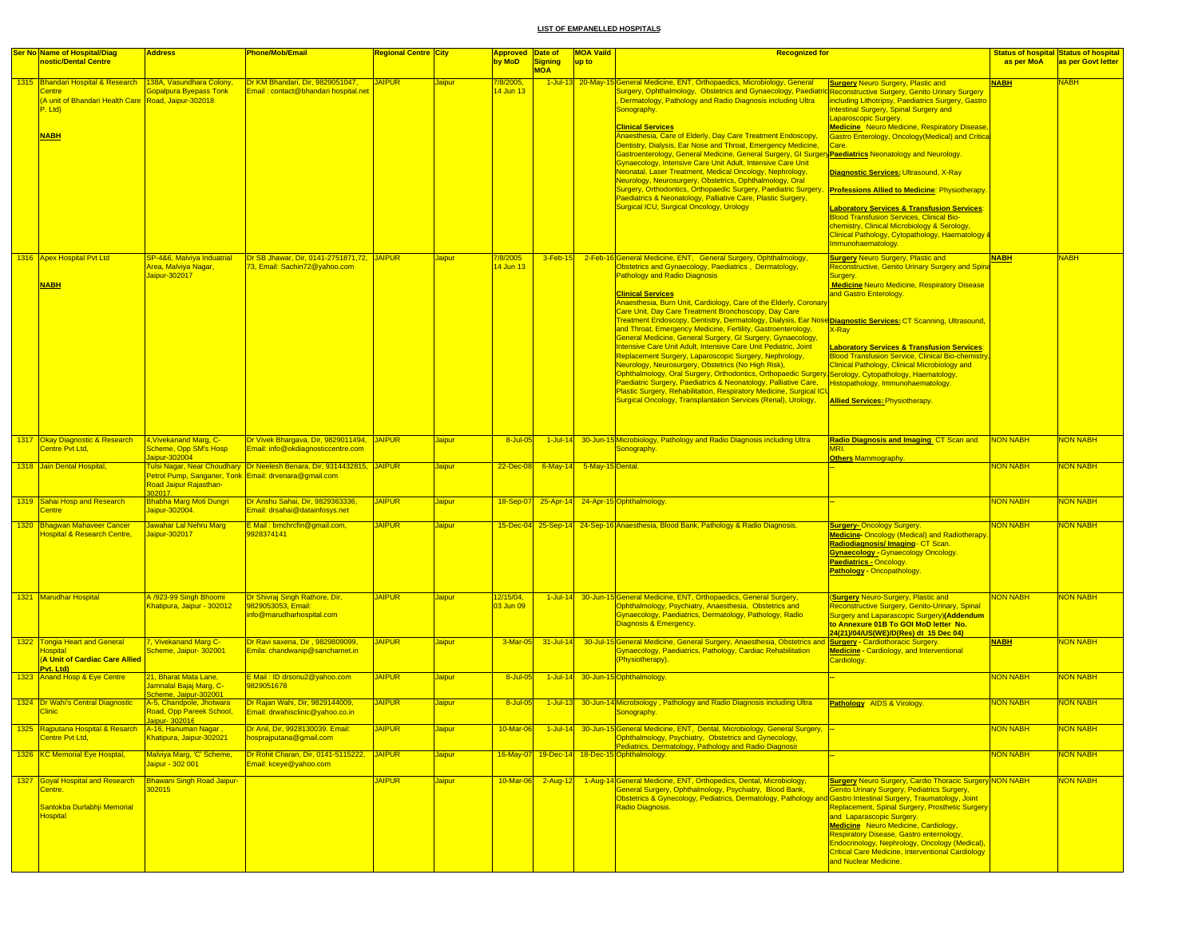| Centre<br>P. Ltd)<br><b>NABH</b><br>1316 Apex Hospital Pvt Ltd<br><b>NABH</b> | nostic/Dental Centre<br>1315 Bhandari Hospital & Research<br>(A unit of Bhandari Health Care Road, Jaipur-302018 | 138A, Vasundhara Colony,<br><b>Sopalpura Byepass Tonk</b>                                                             | Dr KM Bhandari, Dir, 9829051047,<br>Email: contact@bhandari hospital.net         | <b>JAIPUR</b> | <u>Jaipur</u> | by MoD<br>7/8/2005,         | <b>Signing</b><br><b>MOA</b>        | up to | 1-Jul-13 20-May-15 General Medicine, ENT, Orthopaedics, Microbiology, General                                                                                                                                                                                                           | <b>Surgery Neuro Surgery, Plastic and</b>                                                                                                                                                                                                      | as per MoA<br><b>NABH</b> | as per Govt letter<br><b>NABH</b> |
|-------------------------------------------------------------------------------|------------------------------------------------------------------------------------------------------------------|-----------------------------------------------------------------------------------------------------------------------|----------------------------------------------------------------------------------|---------------|---------------|-----------------------------|-------------------------------------|-------|-----------------------------------------------------------------------------------------------------------------------------------------------------------------------------------------------------------------------------------------------------------------------------------------|------------------------------------------------------------------------------------------------------------------------------------------------------------------------------------------------------------------------------------------------|---------------------------|-----------------------------------|
|                                                                               |                                                                                                                  |                                                                                                                       |                                                                                  |               |               |                             |                                     |       |                                                                                                                                                                                                                                                                                         |                                                                                                                                                                                                                                                |                           |                                   |
|                                                                               |                                                                                                                  |                                                                                                                       |                                                                                  |               |               | 4 Jun 13                    |                                     |       | Surgery, Ophthalmology, Obstetrics and Gynaecology, Paediatrio                                                                                                                                                                                                                          | Reconstructive Surgery, Genito Urinary Surgery                                                                                                                                                                                                 |                           |                                   |
|                                                                               |                                                                                                                  |                                                                                                                       |                                                                                  |               |               |                             |                                     |       | Dermatology, Pathology and Radio Diagnosis including Ultra<br>Sonography.                                                                                                                                                                                                               | ncluding Lithotripsy, Paediatrics Surgery, Gastro<br><b>ntestinal Surgery, Spinal Surgery and</b><br>aparoscopic Surgery.                                                                                                                      |                           |                                   |
|                                                                               |                                                                                                                  |                                                                                                                       |                                                                                  |               |               |                             |                                     |       | <b>Clinical Services</b><br>Anaesthesia, Care of Elderly, Day Care Treatment Endoscopy,<br>Dentistry, Dialysis, Ear Nose and Throat, Emergency Medicine,<br><u> Gastroenterology, General Medicine, General Surgery, GI Surgery<mark> Paediatrics</mark> Neonatology and Neurology.</u> | <b>Medicine</b> Neuro Medicine, Respiratory Disease<br><b>Bastro Enterology, Oncology (Medical) and Critica</b>                                                                                                                                |                           |                                   |
|                                                                               |                                                                                                                  |                                                                                                                       |                                                                                  |               |               |                             |                                     |       | <b>Gynaecology, Intensive Care Unit Adult, Intensive Care Unit</b><br>Neonatal, Laser Treatment, Medical Oncology, Nephrology,                                                                                                                                                          | Diagnostic Services: Ultrasound, X-Ray                                                                                                                                                                                                         |                           |                                   |
|                                                                               |                                                                                                                  |                                                                                                                       |                                                                                  |               |               |                             |                                     |       | Neurology, Neurosurgery, Obstetrics, Ophthalmology, Oral<br>Surgery, Orthodontics, Orthopaedic Surgery, Paediatric Surgery, Professions Allied to Medicine: Physiotherapy<br>Paediatrics & Neonatology, Palliative Care, Plastic Surgery,                                               |                                                                                                                                                                                                                                                |                           |                                   |
|                                                                               |                                                                                                                  |                                                                                                                       |                                                                                  |               |               |                             |                                     |       | Surgical ICU, Surgical Oncology, Urology                                                                                                                                                                                                                                                | <b>aboratory Services &amp; Transfusion Services:</b><br><b>Blood Transfusion Services, Clinical Bio-</b><br>chemistry, Clinical Microbiology & Serology,<br>Clinical Pathology, Cytopathology, Haematology &                                  |                           |                                   |
|                                                                               |                                                                                                                  |                                                                                                                       | Dr SB Jhawar, Dir, 0141-2751871,72, JAIPUR                                       |               |               |                             |                                     |       | 2-Feb-16 General Medicine, ENT, General Surgery, Ophthalmology,                                                                                                                                                                                                                         | mmunohaematology.                                                                                                                                                                                                                              |                           |                                   |
|                                                                               |                                                                                                                  | SP-4&6, Malviya Induatrial<br>Area, Malviya Nagar,<br>Jaipur-302017                                                   | 73, Email: Sachin72@yahoo.com                                                    |               | <b>Jaipur</b> | <u>/8/2005</u><br>14 Jun 13 | $3$ -Feb-15                         |       | Obstetrics and Gynaecology, Paediatrics, Dermatology,<br><b>Pathology and Radio Diagnosis</b>                                                                                                                                                                                           | <b>Surgery Neuro Surgery, Plastic and</b><br>Reconstructive, Genito Urinary Surgery and Spina<br><b>Medicine Neuro Medicine, Respiratory Disease</b>                                                                                           | <b>NABH</b>               | <b>NABH</b>                       |
|                                                                               |                                                                                                                  |                                                                                                                       |                                                                                  |               |               |                             |                                     |       | <b>Clinical Services</b><br>Anaesthesia, Burn Unit, Cardiology, Care of the Elderly, Coronary<br>Care Unit, Day Care Treatment Bronchoscopy, Day Care                                                                                                                                   | and Gastro Enterology.                                                                                                                                                                                                                         |                           |                                   |
|                                                                               |                                                                                                                  |                                                                                                                       |                                                                                  |               |               |                             |                                     |       | Treatment Endoscopy, Dentistry, Dermatology, Dialysis, Ear Nose Diagnostic Services: CT Scanning, Ultrasound,<br>and Throat, Emergency Medicine, Fertility, Gastroenterology,<br>General Medicine, General Surgery, GI Surgery, Gynaecology,                                            | X-Ray                                                                                                                                                                                                                                          |                           |                                   |
|                                                                               |                                                                                                                  |                                                                                                                       |                                                                                  |               |               |                             |                                     |       | Intensive Care Unit Adult, Intensive Care Unit Pediatric, Joint<br>Replacement Surgery, Laparoscopic Surgery, Nephrology,<br>Neurology, Neurosurgery, Obstetrics (No High Risk),                                                                                                        | <b>aboratory Services &amp; Transfusion Services:</b><br><b>Blood Transfusion Service, Clinical Bio-chemistry</b><br><b>Clinical Pathology, Clinical Microbiology and</b>                                                                      |                           |                                   |
|                                                                               |                                                                                                                  |                                                                                                                       |                                                                                  |               |               |                             |                                     |       | Ophthalmology, Oral Surgery, Orthodontics, Orthopaedic Surgery, Serology, Cytopathology, Haematology,<br>Paediatric Surgery, Paediatrics & Neonatology, Palliative Care, Histopathology, Immunohaematology.<br>Plastic Surgery, Rehabilitation, Respiratory Medicine, Surgical ICL      |                                                                                                                                                                                                                                                |                           |                                   |
|                                                                               |                                                                                                                  |                                                                                                                       |                                                                                  |               |               |                             |                                     |       | Surgical Oncology, Transplantation Services (Renal), Urology,                                                                                                                                                                                                                           | <b>Allied Services: Physiotherapy</b>                                                                                                                                                                                                          |                           |                                   |
|                                                                               | 1317 Okay Diagnostic & Research<br>Centre Pvt Ltd.                                                               | 4. Vivekanand Marg. C-<br>Scheme, Opp SM's Hosp<br>Jaipur-302004                                                      | Dr Vivek Bhargava, Dir, 9829011494, JAIPUR<br>Email: info@okdiagnosticcentre.com |               | <b>Jaipur</b> | 8-Jul-05                    |                                     |       | 1-Jul-14 30-Jun-15 Microbiology, Pathology and Radio Diagnosis including Ultra<br>Sonography                                                                                                                                                                                            | Radio Diagnosis and Imaging CT Scan and<br><b>Others Mammography</b>                                                                                                                                                                           | NON NABH                  | <mark>NON NABH</mark>             |
|                                                                               | 1318 Jain Dental Hospital.                                                                                       |                                                                                                                       | ulsi Nagar, Near Choudhary Dr Neelesh Benara, Dir, 9314432815, JAIPUR            |               | Jaipur        |                             | 22-Dec-08 6-May-14 5-May-15 Dental. |       |                                                                                                                                                                                                                                                                                         |                                                                                                                                                                                                                                                | NON NABH                  | <mark>NON NABH</mark>             |
|                                                                               | 1319 Sahai Hosp and Research                                                                                     | Petrol Pump, Sanganer, Tonk Email: drvenara@gmail.com<br>Road Jaipur Rajasthan-<br>302017.<br>Bhabha Marg Moti Dungri | Dr Anshu Sahai, Dir, 9829363336,                                                 | <b>JAIPUR</b> |               |                             |                                     |       | 18-Sep-07 25-Apr-14 24-Apr-15 Ophthalmology.                                                                                                                                                                                                                                            |                                                                                                                                                                                                                                                | NON NABH                  | <b>VON NABH</b>                   |
| <b>Centre</b>                                                                 |                                                                                                                  | Jaipur-302004.                                                                                                        | Email: drsahai@datainfosys.net                                                   |               | <b>Jaipur</b> |                             |                                     |       |                                                                                                                                                                                                                                                                                         |                                                                                                                                                                                                                                                |                           |                                   |
|                                                                               | 1320 Bhagwan Mahaveer Cancer<br><b>Hospital &amp; Research Centre,</b>                                           | Jawahar Lal Nehru Marg<br>aipur-302017                                                                                | E Mail: bmchrcfin@gmail.com,<br>9928374141                                       | <b>JAIPUR</b> | Jaipur        |                             |                                     |       | 15-Dec-04 25-Sep-14 24-Sep-16 Anaesthesia, Blood Bank, Pathology & Radio Diagnosis.                                                                                                                                                                                                     | <b>Surgery-Oncology Surgery.</b><br><b>Medicine- Oncology (Medical) and Radiotherapy</b><br>Radiodiagnosis/Imaging-CT Scan.<br><b>Gynaecology - Gynaecology Oncology</b><br><b>Paediatrics - Oncology.</b><br><b>Pathology - Oncopathology</b> | NON NABH                  | <b>NON NABH</b>                   |
|                                                                               | 1321 Marudhar Hospital                                                                                           | A /923-99 Singh Bhoomi<br>Khatipura, Jaipur - 302012                                                                  | Dr Shivraj Singh Rathore, Dir,<br>9829053053, Email:<br>nfo@marudharhospital.com | <b>JAIPUR</b> | <b>Jaipur</b> | 12/15/04,<br>03 Jun 09      | $1$ -Jul-14                         |       | 30-Jun-15 General Medicine, ENT, Orthopaedics, General Surgery,<br>Ophthalmology, Psychiatry, Anaesthesia, Obstetrics and<br>Gynaecology, Paediatrics, Dermatology, Pathology, Radio<br>Diagnosis & Emergency.                                                                          | Surgery Neuro-Surgery, Plastic and<br>Reconstructive Surgery, Genito-Urinary, Spinal<br>Surgery and Laparascopic Surgery)(Addendum<br>to Annexure 01B To GOI MoD letter No.<br>24(21)/04/US(WE)/D(Res) dt 15 Dec 04)                           | <b>NON NABH</b>           | <b>VON NABH</b>                   |
| 1322<br><b>lospital</b>                                                       | <b>Tongia Heart and General</b><br>(A Unit of Cardiac Care Allied<br>Pvt. Ltd)                                   | 7, Vivekanand Marg C-<br>Scheme, Jaipur- 302001                                                                       | Dr Ravi saxena, Dir , 9829809099.<br>Emila: chandwanip@sancharnet.in             | <b>JAIPUR</b> | <b>Jaipur</b> | 3-Mar-05                    | $31$ -Jul-14                        |       | 30-Jul-15 General Medicine, General Surgery, Anaesthesia, Obstetrics and Surgery - Cardiothoracic Surgery.<br>Gynaecology, Paediatrics, Pathology, Cardiac Rehabilitation<br>Physiotherapy).                                                                                            | Medicine - Cardiology, and Interventional<br>Cardiology.                                                                                                                                                                                       | <b>NABH</b>               | <b>VON NABH</b>                   |
|                                                                               | 1323 Anand Hosp & Eye Centre                                                                                     | 21, Bharat Mata Lane,<br>Jamnalal Bajaj Marg, C-                                                                      | E Mail: ID drsonu2@yahoo.com<br>9829051678                                       | <b>JAIPUR</b> | <b>Jaipur</b> | 8-Jul-05                    |                                     |       | 1-Jul-14 30-Jun-15 Ophthalmology.                                                                                                                                                                                                                                                       |                                                                                                                                                                                                                                                | NON NABH                  | NON NABH                          |
| <b>Clinic</b>                                                                 | 1324 Dr Wahi's Central Diagnostic                                                                                | cheme, Jaipur-302001<br>A-5, Chandpole, Jhotwara<br>Road, Opp Pareek School,<br>Jaipur- 302016                        | Dr Rajan Wahi, Dir, 9829144009,<br>Email: drwahisclinic@yahoo.co.in              | <b>JAIPUR</b> | <b>Jaipur</b> | $8 -$ Jul-05                |                                     |       | 1-Jul-13 30-Jun-14 Microbiology, Pathology and Radio Diagnosis including Ultra<br><mark>Sonography.</mark>                                                                                                                                                                              | <b>Pathology</b> AIDS & Virology.                                                                                                                                                                                                              | NON NABH                  | <b>VON NABH</b>                   |
|                                                                               | 1325 Rajputana Hospital & Resarch   A-16, Hanuman Nagar,<br>Centre Pvt Ltd,                                      | Khatipura, Jaipur-302021                                                                                              | Dr Anil, Dir, 9928130039. Email:<br>hosprajputana@gmail.com                      | <b>JAIPUR</b> | <b>Jaipur</b> | 10-Mar-06                   |                                     |       | 1-Jul-14 30-Jun-15 General Medicine, ENT, Dental, Microbiology, General Surgery,<br>Ophthalmology, Psychiatry, Obstetrics and Gynecology,                                                                                                                                               |                                                                                                                                                                                                                                                | NON NABH                  | <b>VON NABH</b>                   |
|                                                                               | 1326 KC Memorial Eye Hosptal,                                                                                    | Malviya Marg, 'C' Scheme,<br>Jaipur - 302 001                                                                         | Dr Rohit Charan, Dir, 0141-5115222, JAIPUR<br>Email: kceye@yahoo.com             |               | Jaipur        |                             |                                     |       | Pediatrics, Dermatology, Pathology and Radio Diagnosis<br>16-May-07 19-Dec-14 18-Dec-15 Ophthalmology.                                                                                                                                                                                  |                                                                                                                                                                                                                                                | <b>NON NABH</b>           | <b>NON NABH</b>                   |
| Centre.                                                                       | 1327 Goyal Hospital and Research                                                                                 | <b>Bhawani Singh Road Jaipur-</b><br>302015                                                                           |                                                                                  | <b>JAIPUR</b> | Jaipur        | $10$ -Mar-06                | $2 - Aug-12$                        |       | 1-Aug-14 General Medicine, ENT, Orthopedics, Dental, Microbiology,<br>General Surgery, Ophthalmology, Psychiatry, Blood Bank,                                                                                                                                                           | <b>Surgery Neuro Surgery, Cardio Thoracic Surgery NON NABH</b><br><b>Genito Urinary Surgery, Pediatrics Surgery,</b>                                                                                                                           |                           | <b>NON NABH</b>                   |
| <b>Hospital</b>                                                               | Santokba Durlabhji Memorial                                                                                      |                                                                                                                       |                                                                                  |               |               |                             |                                     |       | Obstetrics & Gynecology, Pediatrics, Dermatology, Pathology and Gastro Intestinal Surgery, Traumatology, Joint<br>Radio Diagnosis.                                                                                                                                                      | Replacement, Spinal Surgery, Prosthetic Surgery<br>and Laparascopic Surgery.                                                                                                                                                                   |                           |                                   |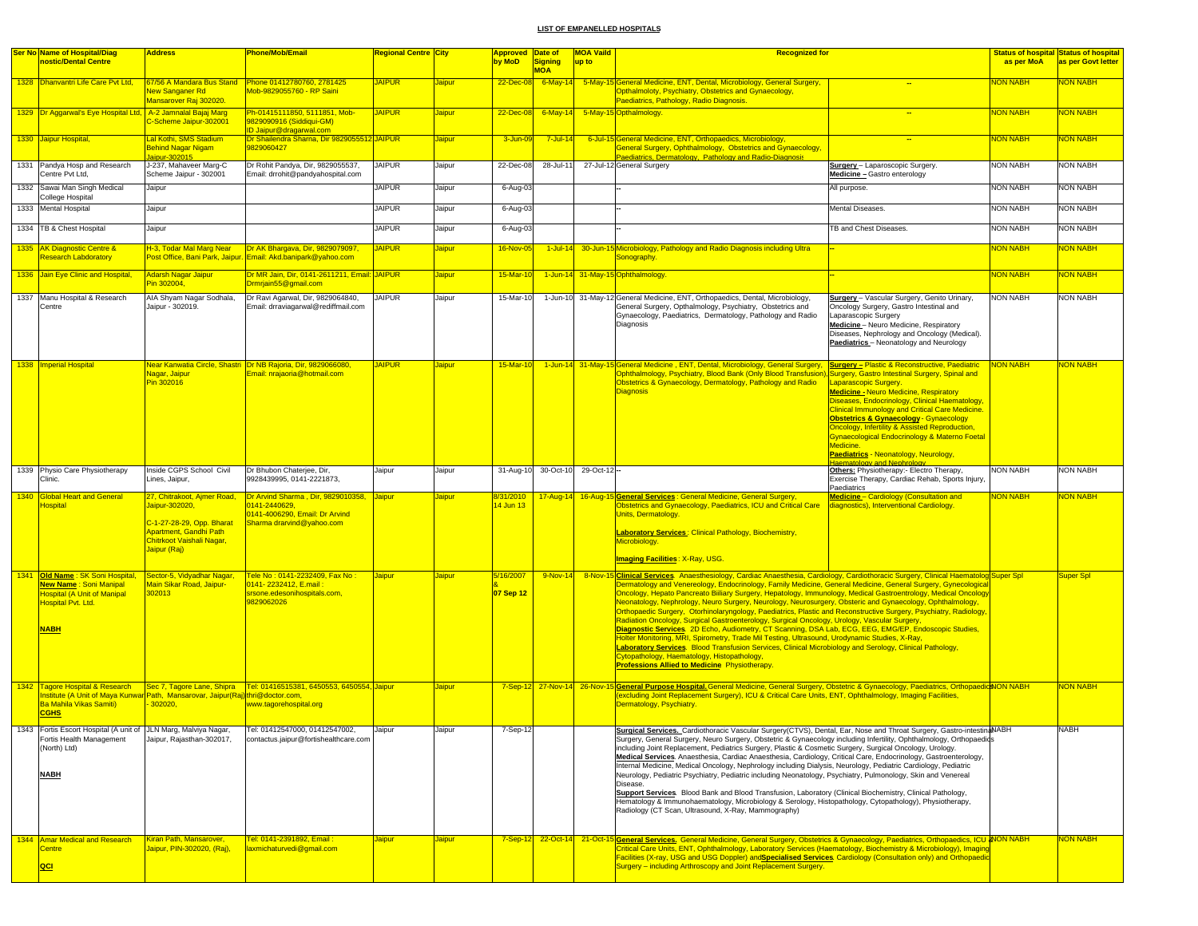|      | <b>Ser No Name of Hospital/Diag</b><br>nostic/Dental Centre                                                                                                        | <b>Address</b>                                                                                                                                    | Phone/Mob/Email                                                                                                   | <b>Regional Centre City</b> |               | <b>Approved Date of</b><br>by MoD | <b>Signing</b>              | <b>MOA Vaild</b><br>up to | <b>Recognized for</b>                                                                                                                                                                                                                                                                                                                                                                                                                                                                                                                                                                                                                                                                                                                                                                                                                                                                                                                                                                                                                                                                                                                |                                                                                                                                                                                                                                                                                                                                                                                                                                                  | as per MoA      | <b>Status of hospital Status of hospital</b><br>as per Govt letter |
|------|--------------------------------------------------------------------------------------------------------------------------------------------------------------------|---------------------------------------------------------------------------------------------------------------------------------------------------|-------------------------------------------------------------------------------------------------------------------|-----------------------------|---------------|-----------------------------------|-----------------------------|---------------------------|--------------------------------------------------------------------------------------------------------------------------------------------------------------------------------------------------------------------------------------------------------------------------------------------------------------------------------------------------------------------------------------------------------------------------------------------------------------------------------------------------------------------------------------------------------------------------------------------------------------------------------------------------------------------------------------------------------------------------------------------------------------------------------------------------------------------------------------------------------------------------------------------------------------------------------------------------------------------------------------------------------------------------------------------------------------------------------------------------------------------------------------|--------------------------------------------------------------------------------------------------------------------------------------------------------------------------------------------------------------------------------------------------------------------------------------------------------------------------------------------------------------------------------------------------------------------------------------------------|-----------------|--------------------------------------------------------------------|
|      | 1328 <b>Dhanvantri Life Care Pvt Ltd,</b>                                                                                                                          | <b>Vew Sanganer Rd</b><br>Mansarover Raj 302020.                                                                                                  | Mob-9829055760 - RP Saini                                                                                         | <b>JAIPUR</b>               | Jaipur        | $22$ -Dec-0                       | <b>MOA</b><br>$6$ -May-14   |                           | 5-May-15 General Medicine, ENT, Dental, Microbiology, General Surgery,<br>Opthalmoloty, Psychiatry, Obstetrics and Gynaecology,<br>Paediatrics, Pathology, Radio Diagnosis.                                                                                                                                                                                                                                                                                                                                                                                                                                                                                                                                                                                                                                                                                                                                                                                                                                                                                                                                                          |                                                                                                                                                                                                                                                                                                                                                                                                                                                  | NON NABH        | <b>VON NABH</b>                                                    |
|      | 1329 Dr Aggarwal's Eye Hospital Ltd,                                                                                                                               | A-2 Jamnalal Bajaj Marg<br>Scheme Jaipur-302001                                                                                                   | Ph-01415111850, 5111851, Mob-<br>9829090916 (Siddigui-GM)<br>ID Jaipur@dragarwal.com                              | <b>JAIPUR</b>               | <b>Jaipur</b> | 22-Dec-08                         |                             |                           | 6-May-14 5-May-15 Opthalmology.                                                                                                                                                                                                                                                                                                                                                                                                                                                                                                                                                                                                                                                                                                                                                                                                                                                                                                                                                                                                                                                                                                      |                                                                                                                                                                                                                                                                                                                                                                                                                                                  | <b>NON NABH</b> | <b>NON NABH</b>                                                    |
|      | 1330 Jaipur Hospital,                                                                                                                                              | Lal Kothi, SMS Stadium<br>Behind Nagar Nigam                                                                                                      | Dr Shailendra Sharna, Dir 9829055512 JAIPUR<br>9829060427                                                         |                             | <b>Jaipur</b> | 3-Jun-0                           | $7$ -Jul-14                 |                           | 6-Jul-15 General Medicine, ENT, Orthopaedics, Microbiology,<br>General Surgery, Ophthalmology, Obstetrics and Gynaecology,                                                                                                                                                                                                                                                                                                                                                                                                                                                                                                                                                                                                                                                                                                                                                                                                                                                                                                                                                                                                           |                                                                                                                                                                                                                                                                                                                                                                                                                                                  | <b>NON NABH</b> | <b>NON NABH</b>                                                    |
|      | 1331 Pandya Hosp and Research<br>Centre Pvt Ltd,                                                                                                                   | aipur-302015<br>J-237, Mahaveer Marg-C<br>Scheme Jaipur - 302001                                                                                  | Dr Rohit Pandya, Dir, 9829055537,<br>Email: drrohit@pandyahospital.com                                            | <b>JAIPUR</b>               | Jaipur        | 22-Dec-08                         | 28-Jul-11                   |                           | Paediatrics, Dermatology, Pathology and Radio-Diagnosis<br>27-Jul-12 General Surgery                                                                                                                                                                                                                                                                                                                                                                                                                                                                                                                                                                                                                                                                                                                                                                                                                                                                                                                                                                                                                                                 | Surgery - Laparoscopic Surgery.<br>Medicine - Gastro enterology                                                                                                                                                                                                                                                                                                                                                                                  | NON NABH        | <b>NON NABH</b>                                                    |
|      | 1332 Sawai Man Singh Medical<br>College Hospital                                                                                                                   | Jaipur                                                                                                                                            |                                                                                                                   | <b>JAIPUR</b>               | Jaipur        | 6-Aug-0                           |                             |                           |                                                                                                                                                                                                                                                                                                                                                                                                                                                                                                                                                                                                                                                                                                                                                                                                                                                                                                                                                                                                                                                                                                                                      | All purpose.                                                                                                                                                                                                                                                                                                                                                                                                                                     | <b>NON NABH</b> | <b>NON NABH</b>                                                    |
|      | 1333 Mental Hospital                                                                                                                                               | Jaipur                                                                                                                                            |                                                                                                                   | <b>JAIPUR</b>               | Jaipur        | 6-Aug-0                           |                             |                           |                                                                                                                                                                                                                                                                                                                                                                                                                                                                                                                                                                                                                                                                                                                                                                                                                                                                                                                                                                                                                                                                                                                                      | Mental Diseases.                                                                                                                                                                                                                                                                                                                                                                                                                                 | <b>NON NABH</b> | <b>NON NABH</b>                                                    |
|      | 1334   TB & Chest Hospital                                                                                                                                         | Jaipur                                                                                                                                            |                                                                                                                   | <b>JAIPUR</b>               | Jaipur        | 6-Aug-0                           |                             |                           |                                                                                                                                                                                                                                                                                                                                                                                                                                                                                                                                                                                                                                                                                                                                                                                                                                                                                                                                                                                                                                                                                                                                      | <b>TB and Chest Diseases.</b>                                                                                                                                                                                                                                                                                                                                                                                                                    | <b>NON NABH</b> | <b>NON NABH</b>                                                    |
|      | 1335 AK Diagnostic Centre &<br><b>Research Labdoratory</b>                                                                                                         | H-3, Todar Mal Marg Near<br>Post Office, Bani Park, Jaipur.                                                                                       | Dr AK Bhargava, Dir, 9829079097,<br>Email: Akd.banipark@yahoo.com                                                 | <b>JAIPUR</b>               | <b>Jaipur</b> | 16-Nov-0                          | $1$ -Jul-14                 |                           | 30-Jun-15 Microbiology, Pathology and Radio Diagnosis including Ultra<br>Sonography.                                                                                                                                                                                                                                                                                                                                                                                                                                                                                                                                                                                                                                                                                                                                                                                                                                                                                                                                                                                                                                                 |                                                                                                                                                                                                                                                                                                                                                                                                                                                  | <b>NON NABH</b> | NON NABH                                                           |
|      | 1336 Jain Eye Clinic and Hospital,                                                                                                                                 | Adarsh Nagar Jaipur<br>Pin 302004,                                                                                                                | Dr MR Jain, Dir, 0141-2611211, Email: JAIPUR<br>Drmrjain55@gmail.com                                              |                             | Jaipur        | 15-Mar-1                          |                             |                           | 1-Jun-14 31-May-15 Ophthalmology.                                                                                                                                                                                                                                                                                                                                                                                                                                                                                                                                                                                                                                                                                                                                                                                                                                                                                                                                                                                                                                                                                                    |                                                                                                                                                                                                                                                                                                                                                                                                                                                  | <b>NON NABH</b> | <mark>NON NABH</mark>                                              |
|      | 1337 Manu Hospital & Research<br>Centre                                                                                                                            | AIA Shyam Nagar Sodhala<br>Jaipur - 302019.                                                                                                       | Dr Ravi Agarwal, Dir, 9829064840,<br>Email: drraviagarwal@rediffmail.com                                          | <b>JAIPUR</b>               | Jaipur        | 15-Mar-10                         |                             |                           | 1-Jun-10 31-May-12 General Medicine, ENT, Orthopaedics, Dental, Microbiology,<br>General Surgery, Opthalmology, Psychiatry, Obstetrics and<br>Gynaecology, Paediatrics, Dermatology, Pathology and Radio<br>Diagnosis                                                                                                                                                                                                                                                                                                                                                                                                                                                                                                                                                                                                                                                                                                                                                                                                                                                                                                                | <b>Surgery</b> - Vascular Surgery, Genito Urinary,<br>Oncology Surgery, Gastro Intestinal and<br>Laparascopic Surgery<br>Medicine-Neuro Medicine, Respiratory<br>Diseases, Nephrology and Oncology (Medical).<br>Paediatrics - Neonatology and Neurology                                                                                                                                                                                         | <b>NON NABH</b> | <b>NON NABH</b>                                                    |
|      | 1338   Imperial Hospital                                                                                                                                           | Nagar, Jaipur<br>Pin 302016                                                                                                                       | Near Kanwatia Circle, Shastri Dr NB Raioria, Dir, 9829066080.<br>Email: nrajaoria@hotmail.com                     | <b>JAIPUR</b>               | Jaipur        | 15-Mar-10                         |                             |                           | 1-Jun-14 31-May-15 General Medicine, ENT, Dental, Microbiology, General Surgery, Surgery - Plastic & Reconstructive, Paediatric<br>Ophthalmology, Psychiatry, Blood Bank (Only Blood Transfusion), Surgery, Gastro Intestinal Surgery, Spinal and<br>Obstetrics & Gynaecology, Dermatology, Pathology and Radio<br><b>Diagnosis</b>                                                                                                                                                                                                                                                                                                                                                                                                                                                                                                                                                                                                                                                                                                                                                                                                  | Laparascopic Surgery.<br><b>Medicine - Neuro Medicine, Respiratory</b><br>Diseases, Endocrinology, Clinical Haematology,<br><b>Clinical Immunology and Critical Care Medicine.</b><br><b>Obstetrics &amp; Gynaecology - Gynaecology</b><br>Oncology, Infertility & Assisted Reproduction,<br><b>Synaecological Endocrinology &amp; Materno Foetal</b><br>Medicine.<br>Paediatrics - Neonatology, Neurology,<br><b>Haematology and Nephrology</b> | <b>NON NABH</b> | <b>VON NABH</b>                                                    |
| 1339 | Physio Care Physiotherapy<br>Clinic.                                                                                                                               | Inside CGPS School Civil<br>Lines, Jaipur,                                                                                                        | Dr Bhubon Chaterjee, Dir,<br>9928439995, 0141-2221873,                                                            | Jaipur                      | Jaipur        | 31-Aug-10                         | 30-Oct-10                   | 29-Oct-12-                |                                                                                                                                                                                                                                                                                                                                                                                                                                                                                                                                                                                                                                                                                                                                                                                                                                                                                                                                                                                                                                                                                                                                      | Others: Physiotherapy:- Electro Therapy,<br>Exercise Therapy, Cardiac Rehab, Sports Injury.<br>Paediatrics                                                                                                                                                                                                                                                                                                                                       | <b>NON NABH</b> | <b>NON NABH</b>                                                    |
|      | 1340 Global Heart and General<br><b>lospital</b>                                                                                                                   | 27, Chitrakoot, Ajmer Road,<br>Jaipur-302020,<br>C-1-27-28-29, Opp. Bharat<br>Apartment, Gandhi Path<br>Chitrkoot Vaishali Nagar,<br>Jaipur (Raj) | Dr Arvind Sharma, Dir, 9829010358,<br>0141-2440629<br>0141-4006290, Email: Dr Arvind<br>Sharma drarvind@yahoo.com | <b>Jaipur</b>               | Jaipur        | 3/31/2010<br>4 Jun 13             | 17-Aug-14                   | 16-Aug-1                  | 5 General Services : General Medicine, General Surgery,<br>Obstetrics and Gynaecology, Paediatrics, ICU and Critical Care<br>Units, Dermatology.<br><b>Laboratory Services: Clinical Pathology, Biochemistry,</b><br>Microbiology.<br><b>Imaging Facilities: X-Ray, USG.</b>                                                                                                                                                                                                                                                                                                                                                                                                                                                                                                                                                                                                                                                                                                                                                                                                                                                         | Medicine-Cardiology (Consultation and<br>diagnostics), Interventional Cardiology.                                                                                                                                                                                                                                                                                                                                                                | <b>NON NABH</b> | <mark>NON NABH</mark>                                              |
|      | 1341 Old Name: SK Soni Hospital,<br>New Name: Soni Manipal<br><b>Hospital (A Unit of Manipal</b><br>Hospital Pvt. Ltd.<br><b>NABH</b>                              | Sector-5, Vidyadhar Nagar<br><mark>lain Sikar Road, Jaipur-</mark><br>02013                                                                       | Tele No : 0141-2232409, Fax No :<br>0141-2232412, E.mail:<br>srsone.edesonihospitals.com,<br>9829062026           | Jaipur                      | <b>Jaipur</b> | 5/16/2007<br>07 Sep 12            | 9-Nov-14                    |                           | 8-Nov-15 Clinical Services. Anaesthesiology, Cardiac Anaesthesia, Cardiology, Cardiothoracic Surgery, Clinical Haematolog Super Spl<br>Dermatology and Venereology, Endocrinology, Family Medicine, General Medicine, General Surgery, Gynecological<br>Oncology, Hepato Pancreato Biiliary Surgery, Hepatology, Immunology, Medical Gastroentrology, Medical Oncology<br>Neonatology, Nephrology, Neuro Surgery, Neurology, Neurosurgery, Obsteric and Gynaecology, Ophthalmology,<br>Orthopaedic Surgery, Otorhinolaryngology, Paediatrics, Plastic and Reconstructive Surgery, Psychiatry, Radiology,<br>Radiation Oncology, Surgical Gastroenterology, Surgical Oncology, Urology, Vascular Surgery,<br>Diagnostic Services. 2D Echo, Audiometry, CT Scanning, DSA Lab, ECG, EEG, EMG/EP, Endoscopic Studies,<br>Holter Monitoring, MRI, Spirometry, Trade Mil Testing, Ultrasound, Urodynamic Studies, X-Ray,<br>Laboratory Services. Blood Transfusion Services, Clinical Microbiology and Serology, Clinical Pathology,<br>Cytopathology, Haematology, Histopathology,<br><b>Professions Allied to Medicine Physiotherapy</b> |                                                                                                                                                                                                                                                                                                                                                                                                                                                  |                 | <b>Super Spl</b>                                                   |
|      | 1342 Tagore Hospital & Research<br>nstitute (A Unit of Maya Kunwar Path, Mansarovar, Jaipur(Raj) thri@doctor.com,<br><b>Ba Mahila Vikas Samiti)</b><br><b>CGHS</b> | $-302020$ ,                                                                                                                                       | Sec 7, Tagore Lane, Shipra   Tel: 01416515381, 6450553, 6450554, Jaipur<br>www.tagorehospital.org                 |                             | <b>Jaipur</b> |                                   | 7-Sep-12 27-Nov-14 26-Nov-1 |                           | 5 General Purpose Hospital. General Medicine, General Surgery, Obstetric & Gynaecology, Paediatrics, Orthopaedic <sup>8</sup> NON NABH<br>(excluding Joint Replacement Surgery), ICU & Critical Care Units, ENT, Ophthalmology, Imaging Facilities,<br>Dermatology, Psychiatry.                                                                                                                                                                                                                                                                                                                                                                                                                                                                                                                                                                                                                                                                                                                                                                                                                                                      |                                                                                                                                                                                                                                                                                                                                                                                                                                                  |                 | <b>NON NABH</b>                                                    |
|      | 1343 Fortis Escort Hospital (A unit of JLN Marg, Malviya Nagar,<br>Fortis Health Management<br>(North) Ltd)<br><b>NABH</b>                                         | Jaipur, Rajasthan-302017,                                                                                                                         | Tel: 01412547000, 01412547002,<br>contactus.jaipur@fortishealthcare.com                                           | Jaipur                      | Jaipur        | 7-Sep-12                          |                             |                           | Surgical Services. Cardiothoracic Vascular Surgery(CTVS), Dental, Ear, Nose and Throat Surgery, Gastro-intestinaNABH<br>Surgery, General Surgery, Neuro Surgery, Obstetric & Gynaecology including Infertility, Ophthalmology, Orthopaedids<br>including Joint Replacement, Pediatrics Surgery, Plastic & Cosmetic Surgery, Surgical Oncology, Urology.<br>Medical Services. Anaesthesia, Cardiac Anaesthesia, Cardiology, Critical Care, Endocrinology, Gastroenterology,<br>Internal Medicine, Medical Oncology, Nephrology including Dialysis, Neurology, Pediatric Cardiology, Pediatric<br>Neurology, Pediatric Psychiatry, Pediatric including Neonatology, Psychiatry, Pulmonology, Skin and Venereal<br>Disease.<br>Support Services. Blood Bank and Blood Transfusion, Laboratory (Clinical Biochemistry, Clinical Pathology,<br>Hematology & Immunohaematology, Microbiology & Serology, Histopathology, Cytopathology), Physiotherapy,<br>Radiology (CT Scan, Ultrasound, X-Ray, Mammography)                                                                                                                             |                                                                                                                                                                                                                                                                                                                                                                                                                                                  |                 | NABH                                                               |
|      | 1344 Amar Medical and Research<br>Centre<br>QCI                                                                                                                    | Kiran Path, Mansarover,<br>Jaipur, PIN-302020, (Raj),                                                                                             | <u> Fel: 0141-2391892, Email :</u><br>laxmichaturvedi@gmail.com                                                   | <mark>Jaipur</mark>         | <b>Jaipur</b> | $7-Sep-12$                        | 22-Oct-14                   | 21-Oct-1                  | General Services. General Medicine, General Surgery, Obstetrics & Gynaecology, Paediatrics, Orthopaedics, ICU &NON NABH<br>Critical Care Units, ENT, Ophthalmology, Laboratory Services (Haematology, Biochemistry & Microbiology), Imaging<br>Facilities (X-ray, USG and USG Doppler) andSpecialised Services. Cardiology (Consultation only) and Orthopaedic<br>Surgery - including Arthroscopy and Joint Replacement Surgery.                                                                                                                                                                                                                                                                                                                                                                                                                                                                                                                                                                                                                                                                                                     |                                                                                                                                                                                                                                                                                                                                                                                                                                                  |                 | NON NABH                                                           |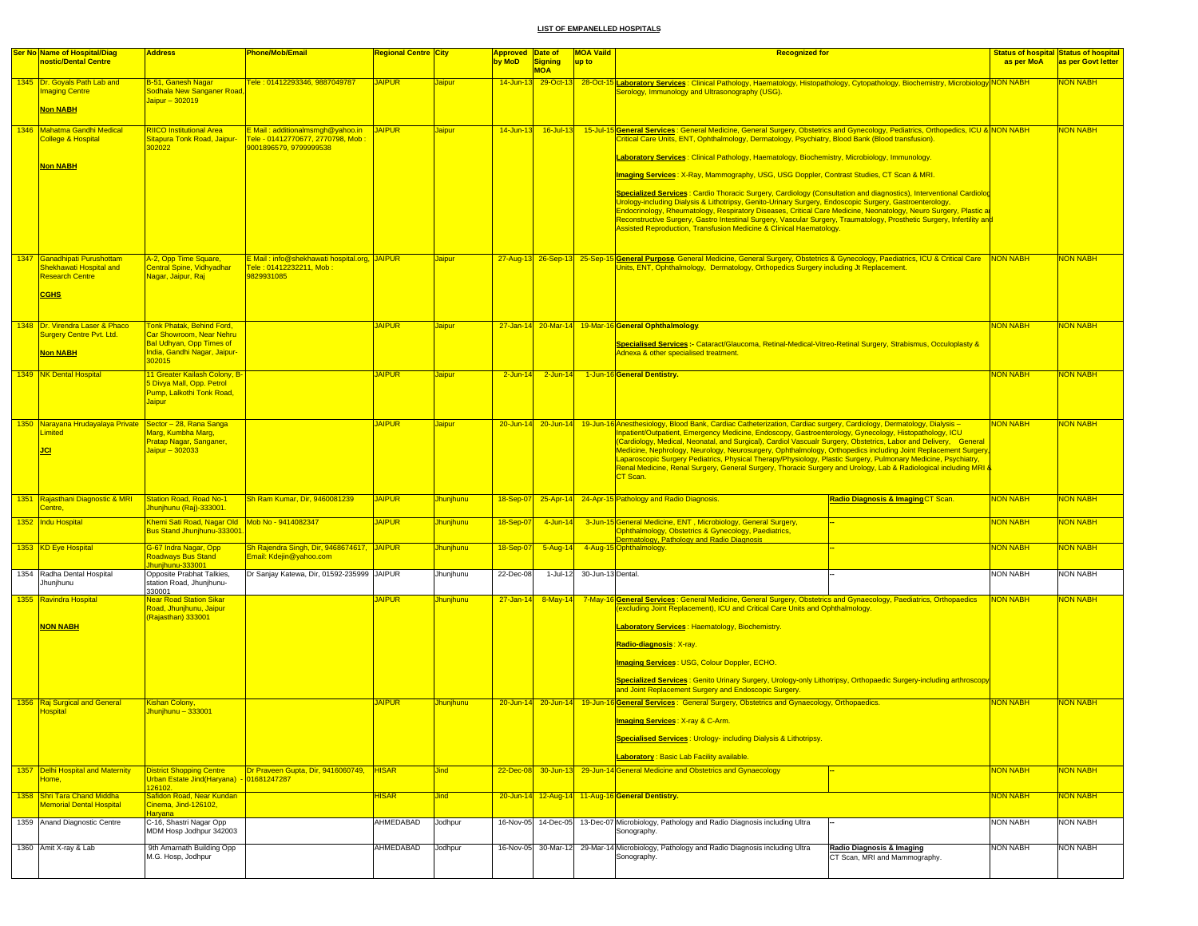| Ser No Name of Hospital/Diag<br>nostic/Dental Centre                 | <b>Address</b>                                                                                           | <b>Phone/Mob/Email</b>                                                                                | Regional Centre <mark>City</mark> |                  | <b>Approved Date of</b><br>by MoD | <b>Signing</b>      | <b>MOA Vaild</b>           | <b>Recognized for</b>                                                                                                                                                                                                                                                                                                                                                                                                                      |                                    |                 | Status of hospital Status of hospital |
|----------------------------------------------------------------------|----------------------------------------------------------------------------------------------------------|-------------------------------------------------------------------------------------------------------|-----------------------------------|------------------|-----------------------------------|---------------------|----------------------------|--------------------------------------------------------------------------------------------------------------------------------------------------------------------------------------------------------------------------------------------------------------------------------------------------------------------------------------------------------------------------------------------------------------------------------------------|------------------------------------|-----------------|---------------------------------------|
|                                                                      |                                                                                                          |                                                                                                       |                                   |                  |                                   | <b>MOA</b>          | up to                      |                                                                                                                                                                                                                                                                                                                                                                                                                                            |                                    | as per MoA      | as per Govt letter                    |
| 1345 Dr. Goyals Path Lab and<br>maging Centre                        | B-51, Ganesh Nagar<br>Sodhala New Sanganer Road                                                          | Fele: 01412293346, 9887049787                                                                         | <b>JAIPUR</b>                     | <b>Jaipur</b>    |                                   | 14-Jun-13 29-Oct-13 |                            | 28-Oct-15 Laboratory Services : Clinical Pathology, Haematology, Histopathology, Cytopathology, Biochemistry, Microbiology NON NABH<br>Serology, Immunology and Ultrasonography (USG).                                                                                                                                                                                                                                                     |                                    |                 | <b>NON NABH</b>                       |
|                                                                      | Jaipur - 302019                                                                                          |                                                                                                       |                                   |                  |                                   |                     |                            |                                                                                                                                                                                                                                                                                                                                                                                                                                            |                                    |                 |                                       |
| <b>Non NABH</b>                                                      |                                                                                                          |                                                                                                       |                                   |                  |                                   |                     |                            |                                                                                                                                                                                                                                                                                                                                                                                                                                            |                                    |                 |                                       |
| 1346 Mahatma Gandhi Medical<br><b>College &amp; Hospital</b>         | <b>RIICO Institutional Area</b><br>Sitapura Tonk Road, Jaipur-<br>302022                                 | E Mail: additionalmsmgh@yahoo.in JAIPUR<br>Tele - 01412770677, 2770798, Mob<br>9001896579, 9799999538 |                                   | <b>Jaipur</b>    |                                   | 14-Jun-13 16-Jul-13 |                            | 15-Jul-15 General Services : General Medicine, General Surgery, Obstetrics and Gynecology, Pediatrics, Orthopedics, ICU & NON NABH<br>Critical Care Units, ENT, Ophthalmology, Dermatology, Psychiatry, Blood Bank (Blood transfusion).                                                                                                                                                                                                    |                                    |                 | <b>NON NABH</b>                       |
| <b>Non NABH</b>                                                      |                                                                                                          |                                                                                                       |                                   |                  |                                   |                     |                            | Laboratory Services: Clinical Pathology, Haematology, Biochemistry, Microbiology, Immunology.                                                                                                                                                                                                                                                                                                                                              |                                    |                 |                                       |
|                                                                      |                                                                                                          |                                                                                                       |                                   |                  |                                   |                     |                            | Imaging Services: X-Ray, Mammography, USG, USG Doppler, Contrast Studies, CT Scan & MRI.                                                                                                                                                                                                                                                                                                                                                   |                                    |                 |                                       |
|                                                                      |                                                                                                          |                                                                                                       |                                   |                  |                                   |                     |                            | Specialized Services : Cardio Thoracic Surgery, Cardiology (Consultation and diagnostics), Interventional Cardiolog                                                                                                                                                                                                                                                                                                                        |                                    |                 |                                       |
|                                                                      |                                                                                                          |                                                                                                       |                                   |                  |                                   |                     |                            | Urology-including Dialysis & Lithotripsy, Genito-Urinary Surgery, Endoscopic Surgery, Gastroenterology<br>Endocrinology, Rheumatology, Respiratory Diseases, Critical Care Medicine, Neonatology, Neuro Surgery, Plastic ar<br>Reconstructive Surgery, Gastro Intestinal Surgery, Vascular Surgery, Traumatology, Prosthetic Surgery, Infertility an <mark>d</mark><br>Assisted Reproduction, Transfusion Medicine & Clinical Haematology. |                                    |                 |                                       |
| 1347 Ganadhipati Purushottam                                         | A-2, Opp Time Square,                                                                                    | E Mail: info@shekhawati hospital.org, JAIPUR                                                          |                                   | <b>Jaipur</b>    |                                   |                     |                            | 27-Aug-13 26-Sep-13 25-Sep-15 General Purpose General Medicine, General Surgery, Obstetrics & Gynecology, Paediatrics, ICU & Critical Care NON NABH                                                                                                                                                                                                                                                                                        |                                    |                 | <b>NON NABH</b>                       |
| Shekhawati Hospital and<br><b>Research Centre</b>                    | Central Spine, Vidhyadhar<br>Nagar, Jaipur, Raj                                                          | Tele : 01412232211, Mob :<br>9829931085                                                               |                                   |                  |                                   |                     |                            | Units, ENT, Ophthalmology, Dermatology, Orthopedics Surgery including Jt Replacement.                                                                                                                                                                                                                                                                                                                                                      |                                    |                 |                                       |
| <b>CGHS</b>                                                          |                                                                                                          |                                                                                                       |                                   |                  |                                   |                     |                            |                                                                                                                                                                                                                                                                                                                                                                                                                                            |                                    |                 |                                       |
|                                                                      |                                                                                                          |                                                                                                       |                                   |                  |                                   |                     |                            |                                                                                                                                                                                                                                                                                                                                                                                                                                            |                                    |                 |                                       |
| 1348 Dr. Virendra Laser & Phaco<br>Surgery Centre Pvt. Ltd.          | <b>Fonk Phatak, Behind Ford,</b><br><mark>Car Showroom, Near Nehru</mark>                                |                                                                                                       | <b>JAIPUR</b>                     | <b>Jaipur</b>    |                                   |                     |                            | 27-Jan-14 20-Mar-14 19-Mar-16 General Ophthalmology.                                                                                                                                                                                                                                                                                                                                                                                       |                                    | <b>NON NABH</b> | <b>NON NABH</b>                       |
|                                                                      | <b>Bal Udhyan, Opp Times of</b><br>India, Gandhi Nagar, Jaipur-                                          |                                                                                                       |                                   |                  |                                   |                     |                            | Specialised Services :- Cataract/Glaucoma, Retinal-Medical-Vitreo-Retinal Surgery, Strabismus, Occuloplasty &<br>Adnexa & other specialised treatment.                                                                                                                                                                                                                                                                                     |                                    |                 |                                       |
| <b>Non NABH</b>                                                      | 302015                                                                                                   |                                                                                                       |                                   |                  |                                   |                     |                            |                                                                                                                                                                                                                                                                                                                                                                                                                                            |                                    |                 |                                       |
| 1349 NK Dental Hospital                                              | 11 Greater Kailash Colony, B-<br>5 Divya Mall, Opp. Petrol<br>Pump, Lalkothi Tonk Road,<br><b>Jaipur</b> |                                                                                                       | <b>JAIPUR</b>                     | <b>Jaipur</b>    |                                   | 2-Jun-14 2-Jun-14   |                            | 1-Jun-16 General Dentistry.                                                                                                                                                                                                                                                                                                                                                                                                                |                                    | <b>NON NABH</b> | <b>NON NABH</b>                       |
|                                                                      |                                                                                                          |                                                                                                       |                                   |                  |                                   |                     |                            |                                                                                                                                                                                                                                                                                                                                                                                                                                            |                                    |                 |                                       |
| 1350 Narayana Hrudayalaya Private Sector - 28, Rana Sanga<br>Limited | <mark>Marg, Kumbha Marg,</mark>                                                                          |                                                                                                       | <b>JAIPUR</b>                     | <b>Jaipur</b>    |                                   |                     |                            | 20-Jun-14 20-Jun-14 19-Jun-16 Anesthesiology, Blood Bank, Cardiac Catheterization, Cardiac surgery, Cardiology, Dermatology, Dialysis -<br>Inpatient/Outpatient, Emergency Medicine, Endoscopy, Gastroenterology, Gynecology, Histopathology, ICU                                                                                                                                                                                          |                                    | <b>NON NABH</b> | <b>NON NABH</b>                       |
| <b>JCI</b>                                                           | Pratap Nagar, Sanganer,<br>Jaipur - 302033                                                               |                                                                                                       |                                   |                  |                                   |                     |                            | (Cardiology, Medical, Neonatal, and Surgical), Cardiol Vascualr Surgery, Obstetrics, Labor and Delivery, General<br>Medicine, Nephrology, Neurology, Neurosurgery, Ophthalmology, Orthopedics including Joint Replacement Surgery                                                                                                                                                                                                          |                                    |                 |                                       |
|                                                                      |                                                                                                          |                                                                                                       |                                   |                  |                                   |                     |                            | Laparoscopic Surgery Pediatrics, Physical Therapy/Physiology, Plastic Surgery, Pulmonary Medicine, Psychiatry,<br>Renal Medicine, Renal Surgery, General Surgery, Thoracic Surgery and Urology, Lab & Radiological including MRI &                                                                                                                                                                                                         |                                    |                 |                                       |
|                                                                      |                                                                                                          |                                                                                                       |                                   |                  |                                   |                     |                            | CT Scan.                                                                                                                                                                                                                                                                                                                                                                                                                                   |                                    |                 |                                       |
| 1351 Rajasthani Diagnostic & MRI                                     | <b>Station Road, Road No-1</b>                                                                           | Sh Ram Kumar, Dir, 9460081239                                                                         | <b>JAIPUR</b>                     | Jhunjhunu        | 18-Sep-07                         |                     |                            | 25-Apr-14 24-Apr-15 Pathology and Radio Diagnosis.                                                                                                                                                                                                                                                                                                                                                                                         | Radio Diagnosis & Imaging CT Scan. | <b>NON NABH</b> | <b>NON NABH</b>                       |
| Centre.                                                              | <mark>Jhunjhunu (Raj)-333001</mark> .                                                                    |                                                                                                       |                                   |                  |                                   |                     |                            |                                                                                                                                                                                                                                                                                                                                                                                                                                            |                                    |                 |                                       |
| 1352 Indu Hospital                                                   | Khemi Sati Road, Nagar Old Mob No - 9414082347<br>Bus Stand Jhunjhunu-333001                             |                                                                                                       | <b>JAIPUR</b>                     | <b>Jhunjhunu</b> | 18-Sep-07                         | 4-Jun-14            |                            | 3-Jun-15 General Medicine, ENT, Microbiology, General Surgery,<br>Ophthalmology, Obstetrics & Gynecology, Paediatrics,<br>Dermatology, Pathology and Radio Diagnosis                                                                                                                                                                                                                                                                       |                                    | <b>NON NABH</b> | <b>NON NABH</b>                       |
| 1353 KD Eye Hospital                                                 | G-67 Indra Nagar, Opp<br>Roadways Bus Stand                                                              | Sh Rajendra Singh, Dir, 9468674617, JAIPUR<br>Email: Kdejin@yahoo.com                                 |                                   | Jhunjhunu        | 18-Sep-07                         | $5 - Aug-14$        |                            | 4-Aug-15 Ophthalmology                                                                                                                                                                                                                                                                                                                                                                                                                     |                                    | <b>NON NABH</b> | <b>NON NABH</b>                       |
| 1354 Radha Dental Hospital                                           | hunjhunu-333001<br>Opposite Prabhat Talkies,                                                             | Dr Sanjay Katewa, Dir, 01592-235999 JAIPUR                                                            |                                   | Jhunjhunu        | 22-Dec-08                         |                     | 1-Jul-12 30-Jun-13 Dental. |                                                                                                                                                                                                                                                                                                                                                                                                                                            |                                    | <b>NON NABH</b> | NON NABH                              |
| Jhunjhunu                                                            | station Road, Jhunjhunu-<br>330001                                                                       |                                                                                                       |                                   |                  |                                   |                     |                            |                                                                                                                                                                                                                                                                                                                                                                                                                                            |                                    |                 |                                       |
| 1355 Ravindra Hospital                                               | <b>Near Road Station Sikar</b><br>Road, Jhunjhunu, Jaipur                                                |                                                                                                       | <b>JAIPUR</b>                     | Jhunjhunu        | $27 - Jan - 14$                   |                     |                            | 8-May-14 7-May-16 General Services: General Medicine, General Surgery, Obstetrics and Gynaecology, Paediatrics, Orthopaedics<br>(excluding Joint Replacement), ICU and Critical Care Units and Ophthalmology.                                                                                                                                                                                                                              |                                    | <b>NON NABH</b> | NON NABH                              |
| <b>NON NABH</b>                                                      | (Rajasthan) 333001                                                                                       |                                                                                                       |                                   |                  |                                   |                     |                            | <b>Laboratory Services: Haematology, Biochemistry.</b>                                                                                                                                                                                                                                                                                                                                                                                     |                                    |                 |                                       |
|                                                                      |                                                                                                          |                                                                                                       |                                   |                  |                                   |                     |                            | Radio-diagnosis: X-ray.                                                                                                                                                                                                                                                                                                                                                                                                                    |                                    |                 |                                       |
|                                                                      |                                                                                                          |                                                                                                       |                                   |                  |                                   |                     |                            | <b>Imaging Services: USG, Colour Doppler, ECHO.</b>                                                                                                                                                                                                                                                                                                                                                                                        |                                    |                 |                                       |
|                                                                      |                                                                                                          |                                                                                                       |                                   |                  |                                   |                     |                            | Specialized Services : Genito Urinary Surgery, Urology-only Lithotripsy, Orthopaedic Surgery-including arthroscop                                                                                                                                                                                                                                                                                                                          |                                    |                 |                                       |
|                                                                      |                                                                                                          |                                                                                                       |                                   |                  |                                   |                     |                            | and Joint Replacement Surgery and Endoscopic Surgery.                                                                                                                                                                                                                                                                                                                                                                                      |                                    |                 |                                       |
| 1356 Raj Surgical and General<br><b>Hospital</b>                     | <b>Kishan Colony,</b><br>Jhunjhunu - 333001                                                              |                                                                                                       | <b>JAIPUR</b>                     | Jhunjhunu        |                                   |                     |                            | 20-Jun-14 20-Jun-14 19-Jun-16 General Services: General Surgery, Obstetrics and Gynaecology, Orthopaedics.                                                                                                                                                                                                                                                                                                                                 |                                    | <b>NON NABH</b> | <b>NON NABH</b>                       |
|                                                                      |                                                                                                          |                                                                                                       |                                   |                  |                                   |                     |                            | <b>Imaging Services: X-ray &amp; C-Arm.</b>                                                                                                                                                                                                                                                                                                                                                                                                |                                    |                 |                                       |
|                                                                      |                                                                                                          |                                                                                                       |                                   |                  |                                   |                     |                            | <b>Specialised Services: Urology- including Dialysis &amp; Lithotripsy.</b>                                                                                                                                                                                                                                                                                                                                                                |                                    |                 |                                       |
|                                                                      |                                                                                                          |                                                                                                       |                                   |                  |                                   |                     |                            | <b>Laboratory: Basic Lab Facility available.</b>                                                                                                                                                                                                                                                                                                                                                                                           |                                    |                 |                                       |
| 1357 Delhi Hospital and Maternity<br>Home.                           | <b>District Shopping Centre</b><br><b>Jrban Estate Jind</b> (Haryana)                                    | Dr Praveen Gupta, Dir, 9416060749,<br>01681247287                                                     | <b>HISAR</b>                      | <b>Jind</b>      | $22$ -Dec-08                      | 30-Jun-13           |                            | 29-Jun-14 General Medicine and Obstetrics and Gynaecology                                                                                                                                                                                                                                                                                                                                                                                  |                                    | NON NABH        | <b>NON NABH</b>                       |
| 1358 Shri Tara Chand Middha                                          | 26102.<br>Safidon Road, Near Kundan                                                                      |                                                                                                       | <b>HISAR</b>                      | <b>Jind</b>      |                                   |                     |                            | 20-Jun-14 12-Aug-14 11-Aug-16 General Dentistry.                                                                                                                                                                                                                                                                                                                                                                                           |                                    | <b>NON NABH</b> | <b>NON NABH</b>                       |
| <b>Memorial Dental Hospital</b>                                      | Cinema, Jind-126102,                                                                                     |                                                                                                       |                                   |                  |                                   |                     |                            |                                                                                                                                                                                                                                                                                                                                                                                                                                            |                                    |                 |                                       |
| 1359 Anand Diagnostic Centre                                         | <b>Haryana</b><br>C-16, Shastri Nagar Opp<br>MDM Hosp Jodhpur 342003                                     |                                                                                                       | AHMEDABAD                         | Jodhpur          | 16-Nov-05                         | 14-Dec-05           |                            | 13-Dec-07 Microbiology, Pathology and Radio Diagnosis including Ultra<br>Sonography.                                                                                                                                                                                                                                                                                                                                                       |                                    | <b>NON NABH</b> | <b>NON NABH</b>                       |
| 1360 Amit X-ray & Lab                                                | 9th Amarnath Building Opp                                                                                |                                                                                                       | AHMEDABAD                         | Jodhpur          |                                   |                     |                            | 16-Nov-05 30-Mar-12 29-Mar-14 Microbiology, Pathology and Radio Diagnosis including Ultra                                                                                                                                                                                                                                                                                                                                                  | Radio Diagnosis & Imaging          | <b>NON NABH</b> | <b>NON NABH</b>                       |
|                                                                      | M.G. Hosp, Jodhpur                                                                                       |                                                                                                       |                                   |                  |                                   |                     |                            | Sonography.                                                                                                                                                                                                                                                                                                                                                                                                                                | CT Scan, MRI and Mammography.      |                 |                                       |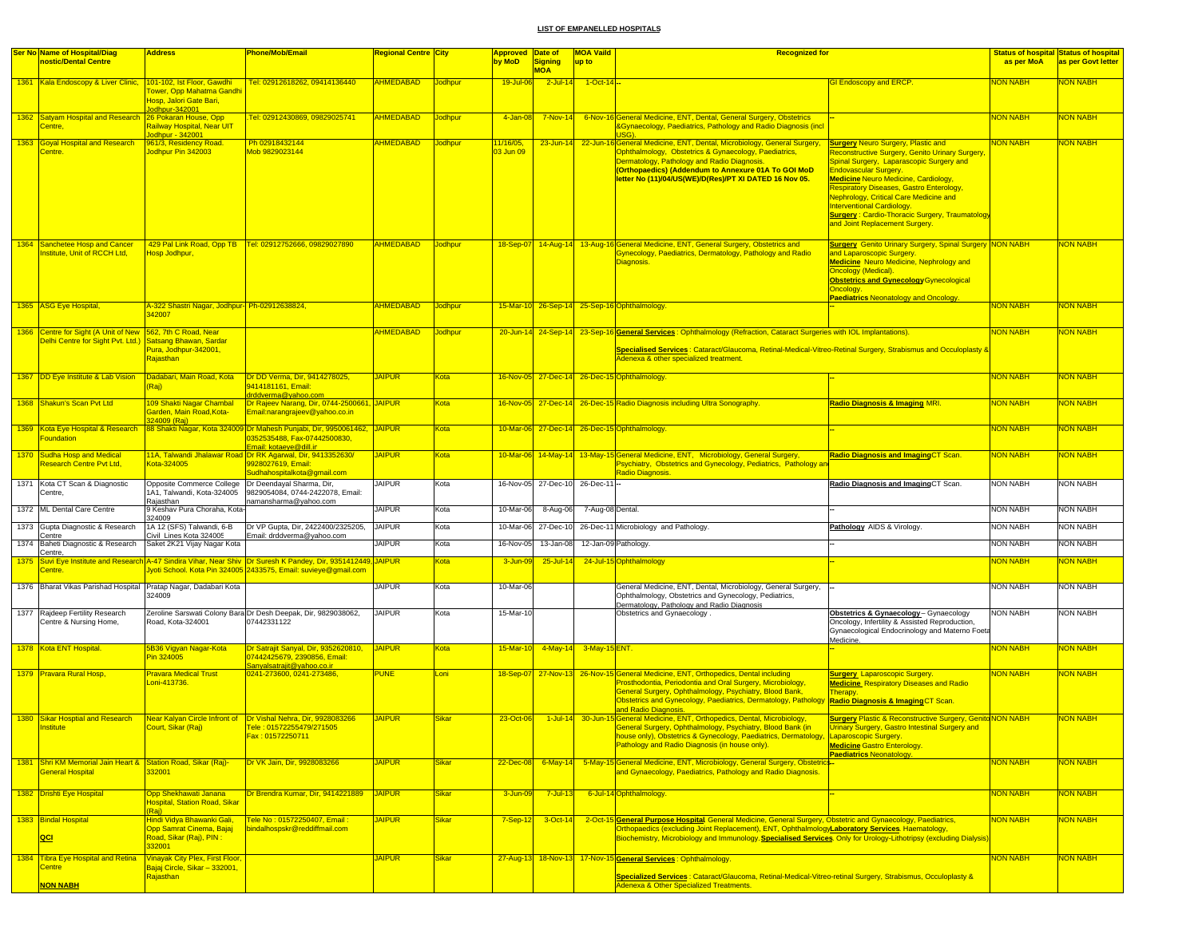| <b>Ser No Name of Hospital/Diag</b><br>nostic/Dental Centre                                     | <b>Address</b>                                                                             | Phone/Mob/Email                                                                                                                                                                   | Regional Centre City |                | Approved Date of<br>by MoD | <b>Signing</b>            | <b>MOA Vaild</b><br>up to | <b>Recognized for</b>                                                                                                                                                                                                                                                                                                                                    |                                                                                                                                                                                                                                            | as per MoA      | <b>Status of hospital Status of hospital</b><br>as per Govt letter |
|-------------------------------------------------------------------------------------------------|--------------------------------------------------------------------------------------------|-----------------------------------------------------------------------------------------------------------------------------------------------------------------------------------|----------------------|----------------|----------------------------|---------------------------|---------------------------|----------------------------------------------------------------------------------------------------------------------------------------------------------------------------------------------------------------------------------------------------------------------------------------------------------------------------------------------------------|--------------------------------------------------------------------------------------------------------------------------------------------------------------------------------------------------------------------------------------------|-----------------|--------------------------------------------------------------------|
| 1361 Kala Endoscopy & Liver Clinic, 101-102, Ist Floor, Gawdhi                                  |                                                                                            | Tel: 02912618262, 09414136440                                                                                                                                                     | <b>AHMEDABAD</b>     | <b>Jodhpur</b> | 19-Jul-06                  | <b>MOA</b><br>$2$ -Jul-14 | $1-Cct-14$                |                                                                                                                                                                                                                                                                                                                                                          | <b>GI Endoscopy and ERCP.</b>                                                                                                                                                                                                              | <b>NON NABH</b> | <b>NON NABH</b>                                                    |
|                                                                                                 | Tower, Opp Mahatma Gandhi<br>Hosp, Jalori Gate Bari,<br>odhpur-342001                      |                                                                                                                                                                                   |                      |                |                            |                           |                           |                                                                                                                                                                                                                                                                                                                                                          |                                                                                                                                                                                                                                            |                 |                                                                    |
| 1362 Satyam Hospital and Research<br>Centre.                                                    | 26 Pokaran House, Opp<br>Railway Hospital, Near UIT<br>odhpur - 342001                     | Tel: 02912430869, 09829025741                                                                                                                                                     | <b>AHMEDABAD</b>     | Jodhpur        | 4-Jan-08                   | $7-Nov-14$                |                           | 6-Nov-16 General Medicine, ENT, Dental, General Surgery, Obstetrics<br><b>&amp;Gynaecology, Paediatrics, Pathology and Radio Diagnosis (incl.</b>                                                                                                                                                                                                        |                                                                                                                                                                                                                                            | <b>NON NABH</b> | NON NABH                                                           |
| 1363 Goyal Hospital and Research                                                                | 961/3, Residency Road.                                                                     | Ph 02918432144                                                                                                                                                                    | <b>AHMEDABAD</b>     | Jodhpur        | 1/16/05,                   |                           |                           | 23-Jun-14 22-Jun-16 General Medicine, ENT, Dental, Microbiology, General Surgery,                                                                                                                                                                                                                                                                        | <b>Surgery Neuro Surgery, Plastic and</b>                                                                                                                                                                                                  | <b>NON NABH</b> | <b>VON NABH</b>                                                    |
| Centre.                                                                                         | Jodhpur Pin 342003                                                                         | Mob 9829023144                                                                                                                                                                    |                      |                | 03 Jun 09                  |                           |                           | Ophthalmology, Obstetrics & Gynaecology, Paediatrics,<br>Dermatology, Pathology and Radio Diagnosis.<br>(Orthopaedics) (Addendum to Annexure 01A To GOI MoD<br>letter No (11)/04/US(WE)/D(Res)/PT XI DATED 16 Nov 05.                                                                                                                                    | <b>Reconstructive Surgery, Genito Urinary Surgery</b><br>Spinal Surgery, Laparascopic Surgery and<br><b>Endovascular Surgery.</b><br><b>Medicine Neuro Medicine, Cardiology,</b><br><b>Respiratory Diseases, Gastro Enterology,</b>        |                 |                                                                    |
|                                                                                                 |                                                                                            |                                                                                                                                                                                   |                      |                |                            |                           |                           |                                                                                                                                                                                                                                                                                                                                                          | <b>Nephrology, Critical Care Medicine and</b><br><b>Interventional Cardiology.</b><br><b>Surgery: Cardio-Thoracic Surgery, Traumatology</b><br>and Joint Replacement Surgery.                                                              |                 |                                                                    |
| 1364 Sanchetee Hosp and Cancer<br>Institute, Unit of RCCH Ltd.                                  | Hosp Jodhpur,                                                                              | 429 Pal Link Road, Opp TB   Tel: 02912752666, 09829027890                                                                                                                         | AHMEDABAD            | Jodhpur        |                            |                           |                           | 18-Sep-07 14-Aug-14 13-Aug-16 General Medicine, ENT, General Surgery, Obstetrics and<br>Gynecology, Paediatrics, Dermatology, Pathology and Radio<br>Diagnosis.                                                                                                                                                                                          | <b>Surgery</b> Genito Urinary Surgery, Spinal Surgery NON NABH<br>and Laparoscopic Surgery.<br><b>Medicine Neuro Medicine, Nephrology and</b><br><b>Oncology (Medical).</b><br><b>Obstetrics and Gynecology Gynecological</b><br>Oncology. |                 | <mark>NON NABH</mark>                                              |
| 1365 ASG Eye Hospital,                                                                          | A-322 Shastri Nagar, Jodhpur- Ph-02912638824,<br>42007                                     |                                                                                                                                                                                   | <b>AHMEDABAD</b>     | Jodhpur        |                            |                           |                           | 15-Mar-10 26-Sep-14 25-Sep-16 Ophthalmology                                                                                                                                                                                                                                                                                                              | <b>Paediatrics Neonatology and Oncology.</b>                                                                                                                                                                                               | NON NABH        | <b>VON NABH</b>                                                    |
| 1366 Centre for Sight (A Unit of New 562, 7th C Road, Near<br>Delhi Centre for Sight Pvt. Ltd.) | Satsang Bhawan, Sardar                                                                     |                                                                                                                                                                                   | <b>AHMEDABAD</b>     | Jodhpur        |                            |                           |                           | 20-Jun-14 24-Sep-14 23-Sep-16 General Services: Ophthalmology (Refraction, Cataract Surgeries with IOL Implantations).                                                                                                                                                                                                                                   |                                                                                                                                                                                                                                            | <b>NON NABH</b> | <b>VON NABH</b>                                                    |
|                                                                                                 | Pura, Jodhpur-342001,<br>Rajasthan                                                         |                                                                                                                                                                                   |                      |                |                            |                           |                           | Specialised Services : Cataract/Glaucoma, Retinal-Medical-Vitreo-Retinal Surgery, Strabismus and Occuloplasty &<br>Adenexa & other specialized treatment.                                                                                                                                                                                                |                                                                                                                                                                                                                                            |                 |                                                                    |
| 1367 DD Eye Institute & Lab Vision                                                              | Dadabari, Main Road, Kota<br>Raj)                                                          | Dr DD Verma, Dir, 9414278025,<br>9414181161. Email:<br>drddverma@yahoo.com                                                                                                        | <b>JAIPUR</b>        | Kota           |                            |                           |                           | 16-Nov-05 27-Dec-14 26-Dec-15 Ophthalmology                                                                                                                                                                                                                                                                                                              |                                                                                                                                                                                                                                            | <b>NON NABH</b> | <b>VON NABH</b>                                                    |
| 1368 Shakun's Scan Pvt Ltd                                                                      | 109 Shakti Nagar Chambal<br>Garden, Main Road, Kota-<br>24009 (Raj)                        | Dr Rajeev Narang, Dir, 0744-2500661, JAIPUR<br>Email:narangrajeev@yahoo.co.in                                                                                                     |                      | Kota           |                            |                           |                           | 16-Nov-05 27-Dec-14 26-Dec-15 Radio Diagnosis including Ultra Sonography.                                                                                                                                                                                                                                                                                | Radio Diagnosis & Imaging MRI.                                                                                                                                                                                                             | <b>NON NABH</b> | <b>VON NABH</b>                                                    |
| 1369 Kota Eye Hospital & Research<br>oundation                                                  |                                                                                            | 88 Shakti Nagar, Kota 324009 Dr Mahesh Punjabi, Dir, 9950061462, JAIPUR<br>0352535488, Fax-07442500830,<br>Email: kotaeye@dill.in                                                 |                      | Kota           |                            |                           |                           | 10-Mar-06 27-Dec-14 26-Dec-15 Ophthalmology.                                                                                                                                                                                                                                                                                                             |                                                                                                                                                                                                                                            | <b>NON NABH</b> | <b>VON NABH</b>                                                    |
| 1370 Sudha Hosp and Medical<br>Research Centre Pvt Ltd,                                         | Kota-324005                                                                                | 11A, Talwandi Jhalawar Road Dr RK Agarwal, Dir, 9413352630/<br>9928027619, Email:<br>Sudhahospitalkota@gmail.com                                                                  | <b>JAIPUR</b>        | Kota           |                            |                           |                           | 10-Mar-06 14-May-14 13-May-15 General Medicine, ENT, Microbiology, General Surgery,<br>Psychiatry, Obstetrics and Gynecology, Pediatrics, Pathology an<br>Radio Diagnosis.                                                                                                                                                                               | <b>Radio Diagnosis and ImagingCT Scan.</b>                                                                                                                                                                                                 | <b>NON NABH</b> | <b>VON NABH</b>                                                    |
| 1371 Kota CT Scan & Diagnostic<br>Centre,                                                       | Opposite Commerce College<br>IA1, Talwandi, Kota-324005                                    | Dr Deendayal Sharma, Dir,<br>9829054084, 0744-2422078, Email:                                                                                                                     | <b>JAIPUR</b>        | Kota           |                            | 16-Nov-05 27-Dec-10       | 26-Dec-11 --              |                                                                                                                                                                                                                                                                                                                                                          | Radio Diagnosis and ImagingCT Scan                                                                                                                                                                                                         | <b>NON NABH</b> | NON NABH                                                           |
| 1372 ML Dental Care Centre                                                                      | Rajasthan<br>9 Keshav Pura Choraha, Kota-                                                  | namansharma@yahoo.com                                                                                                                                                             | JAIPUR               | Kota           | 10-Mar-06                  | 8-Aug-06                  | 7-Aug-08 Dental.          |                                                                                                                                                                                                                                                                                                                                                          |                                                                                                                                                                                                                                            | <b>NON NABH</b> | <b>NON NABH</b>                                                    |
| 1373 Gupta Diagnostic & Research<br>Centre                                                      | 24009<br>1A 12 (SFS) Talwandi, 6-B<br>Civil Lines Kota 324005                              | Dr VP Gupta, Dir, 2422400/2325205,<br>Email: drddverma@yahoo.com                                                                                                                  | <b>JAIPUR</b>        | Kota           | 10-Mar-06                  | 27-Dec-10                 |                           | 26-Dec-11 Microbiology and Pathology                                                                                                                                                                                                                                                                                                                     | Pathology AIDS & Virology.                                                                                                                                                                                                                 | <b>NON NABH</b> | <b>NON NABH</b>                                                    |
| 1374 Baheti Diagnostic & Research                                                               | Saket 2K21 Vijay Nagar Kota                                                                |                                                                                                                                                                                   | <b>JAIPUR</b>        | Kota           | 16-Nov-05                  | 13-Jan-08                 |                           | 12-Jan-09 Pathology                                                                                                                                                                                                                                                                                                                                      |                                                                                                                                                                                                                                            | <b>NON NABH</b> | <b>NON NABH</b>                                                    |
| Centre,<br>Centre.                                                                              |                                                                                            | 1375 Suvi Eye Institute and Research A-47 Sindira Vihar, Near Shiv Dr Suresh K Pandey, Dir, 9351412449, JAIPUR<br>lyoti School. Kota Pin 324005 2433575, Email: suvieye@gmail.com |                      | Kota           | 3-Jun-09                   | 25-Jul-14                 |                           | 24-Jul-15 Ophthalmology                                                                                                                                                                                                                                                                                                                                  |                                                                                                                                                                                                                                            | <b>NON NABH</b> | <b>VON NABH</b>                                                    |
| 1376 Bharat Vikas Parishad Hospital Pratap Nagar, Dadabari Kota                                 | 324009                                                                                     |                                                                                                                                                                                   | <b>JAIPUR</b>        | Kota           | 10-Mar-06                  |                           |                           | General Medicine, ENT, Dental, Microbiology, General Surgery,<br>Ophthalmology, Obstetrics and Gynecology, Pediatrics,<br>Dermatology, Pathology and Radio Diagnosis                                                                                                                                                                                     |                                                                                                                                                                                                                                            | <b>NON NABH</b> | <b>NON NABH</b>                                                    |
| 1377 Rajdeep Fertility Research<br>Centre & Nursing Home,                                       | Road, Kota-324001                                                                          | Zeroline Sarswati Colony Bara Dr Desh Deepak, Dir, 9829038062,<br>07442331122                                                                                                     | <b>JAIPUR</b>        | Kota           | 15-Mar-10                  |                           |                           | Obstetrics and Gynaecology                                                                                                                                                                                                                                                                                                                               | Obstetrics & Gynaecology-Gynaecology<br>Oncology, Infertility & Assisted Reproduction,<br>Gynaecological Endocrinology and Materno Foeta<br>Medicine.                                                                                      | <b>NON NABH</b> | NON NABH                                                           |
| 1378 Kota ENT Hospital.                                                                         | 5B36 Vigyan Nagar-Kota<br>Pin 324005                                                       | Dr Satrajit Sanyal, Dir, 9352620810,<br>07442425679, 2390856, Email:<br><u>Sanyalsatrajit@yahoo.co.ir</u>                                                                         | <b>JAIPUR</b>        | Kota           | $15$ -Mar-10               |                           | 4-May-14 3-May-15 ENT.    |                                                                                                                                                                                                                                                                                                                                                          |                                                                                                                                                                                                                                            | NON NABH        | <b>JON NABH</b>                                                    |
| 1379 Pravara Rural Hosp,                                                                        | <b>Pravara Medical Trust</b><br>oni-413736.                                                | 0241-273600, 0241-273486,                                                                                                                                                         | <b>PUNE</b>          | Loni           |                            |                           |                           | 18-Sep-07 27-Nov-13 26-Nov-15 General Medicine, ENT, Orthopedics, Dental including<br>Prosthodontia, Periodontia and Oral Surgery, Microbiology,<br>General Surgery, Ophthalmology, Psychiatry, Blood Bank,<br>Obstetrics and Gynecology, Paediatrics, Dermatology, Pathology <mark>Radio Diagnosis &amp; Imaging</mark> CT Scan<br>and Radio Diagnosis. | <b>Surgery</b> Laparoscopic Surgery.<br><b>Medicine</b> Respiratory Diseases and Radio<br>Therapy.                                                                                                                                         | <b>NON NABH</b> | <b>VON NABH</b>                                                    |
| 1380 Sikar Hosptial and Research                                                                | <u>σουπ, Sikar (Raj)</u>                                                                   | Near Kalyan Circle Infront of <b>Dr Vishal Nehra, Dir, 9928083266</b><br><u>: 01572255479/2</u><br>Fax: 01572250711                                                               | <b>JAIPUR</b>        | Sikar          | 23-Oct-06                  |                           |                           | 1-Jul-14 30-Jun-15 General Medicine, ENT, Orthopedics, Dental, Microbiology,<br>eneral Surgery, Ophthalmology, Psychiatry, Blood Bank (in<br>house only), Obstetrics & Gynecology, Paediatrics, Dermatology, Laparoscopic Surgery.<br>Pathology and Radio Diagnosis (in house only).                                                                     | <b>Surgery Plastic &amp; Reconstructive Surgery, Genito NON NABH</b><br><b>Urinary Surgery, Gastro Inte</b><br><b>Medicine Gastro Enterology.</b><br><b>Paediatrics Neonatology</b>                                                        |                 | <b>NON NABH</b>                                                    |
| 1381 Shri KM Memorial Jain Heart & Station Road, Sikar (Raj)-<br>General Hospital               | 32001                                                                                      | Dr VK Jain, Dir, 9928083266                                                                                                                                                       | <b>JAIPUR</b>        | <b>Sikar</b>   | 22-Dec-08                  | $6$ -May-14               |                           | 5-May-15 General Medicine, ENT, Microbiology, General Surgery, Obstetrics<br>and Gynaecology, Paediatrics, Pathology and Radio Diagnosis.                                                                                                                                                                                                                |                                                                                                                                                                                                                                            | <b>NON NABH</b> | <b>NON NABH</b>                                                    |
| 1382 Drishti Eye Hospital                                                                       | Opp Shekhawati Janana<br>Hospital, Station Road, Sikar                                     | Dr Brendra Kumar, Dir, 9414221889 JAIPUR                                                                                                                                          |                      | <b>Sikar</b>   | 3-Jun-09                   | $7 -$ Jul-13              |                           | 6-Jul-14 Ophthalmology.                                                                                                                                                                                                                                                                                                                                  |                                                                                                                                                                                                                                            | <b>NON NABH</b> | <b>VON NABH</b>                                                    |
| 1383 Bindal Hospital<br>QCI                                                                     | Raj)<br>Hindi Vidya Bhawanki Gali,<br>Opp Samrat Cinema, Bajaj<br>Road, Sikar (Raj), PIN : | Tele No : 01572250407, Email :<br>bindalhospskr@reddiffmail.com                                                                                                                   | <b>JAIPUR</b>        | <b>Sikar</b>   | $7-Sep-12$                 | $3-Oct-14$                |                           | 2-Oct-15 General Purpose Hospital General Medicine, General Surgery, Obstetric and Gynaecology, Paediatrics,<br>Orthopaedics (excluding Joint Replacement), ENT, OphthalmologyLaboratory Services. Haematology,<br>Biochemistry, Microbiology and Immunology. Specialised Services. Only for Urology-Lithotripsy (excluding Dialysis)                    |                                                                                                                                                                                                                                            | <b>NON NABH</b> | <b>NON NABH</b>                                                    |
| 1384 Tibra Eye Hospital and Retina                                                              | 332001<br>Vinayak City Plex, First Floor,                                                  |                                                                                                                                                                                   | <b>JAIPUR</b>        | <b>Sikar</b>   |                            |                           |                           | 27-Aug-13 18-Nov-13 17-Nov-15 General Services : Ophthalmology.                                                                                                                                                                                                                                                                                          |                                                                                                                                                                                                                                            | <b>NON NABH</b> | NON NABH                                                           |
| <b>Centre</b><br><b>NON NABH</b>                                                                | <mark>Bajaj Circle, Sikar – 332001,</mark><br><mark>Rajasthan</mark>                       |                                                                                                                                                                                   |                      |                |                            |                           |                           | Specialized Services : Cataract/Glaucoma, Retinal-Medical-Vitreo-retinal Surgery, Strabismus, Occuloplasty &<br>Adenexa & Other Specialized Treatments.                                                                                                                                                                                                  |                                                                                                                                                                                                                                            |                 |                                                                    |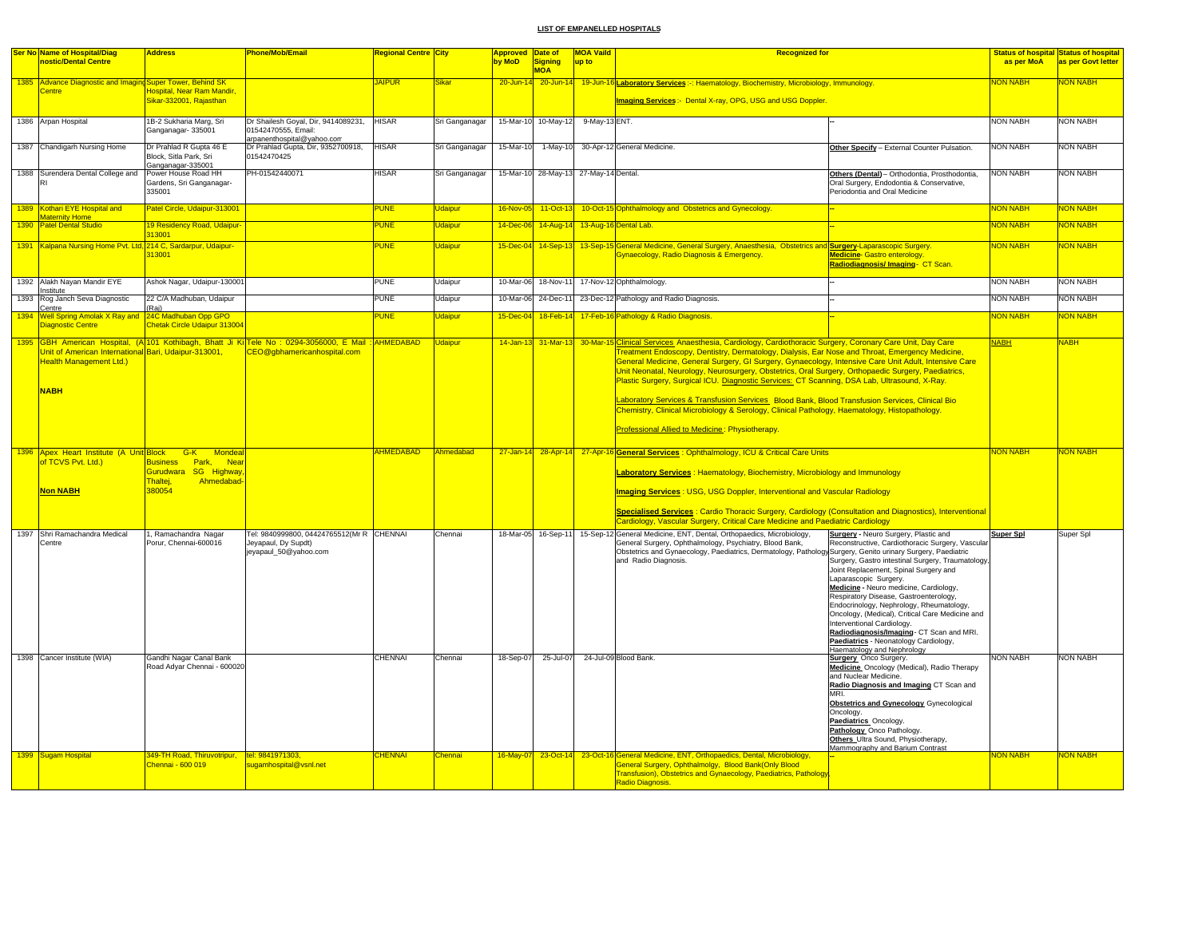|      | <b>Ser No Name of Hospital/Diag</b>                                                                   | <b>Address</b>                                                                        | <b>Phone/Mob/Email</b>                                                                                                              | <b>Regional Centre City</b>      |                    | <b>Approved Date of</b> |                                       | <b>MOA Vaild</b>                | <b>Recognized for</b>                                                                                                                                                                                                                                                                                                                                                                                                                                                                                                                                                                                                                                                                                                                                                                                                         |                                    | <b>Status of hospital Status of hospital</b> |
|------|-------------------------------------------------------------------------------------------------------|---------------------------------------------------------------------------------------|-------------------------------------------------------------------------------------------------------------------------------------|----------------------------------|--------------------|-------------------------|---------------------------------------|---------------------------------|-------------------------------------------------------------------------------------------------------------------------------------------------------------------------------------------------------------------------------------------------------------------------------------------------------------------------------------------------------------------------------------------------------------------------------------------------------------------------------------------------------------------------------------------------------------------------------------------------------------------------------------------------------------------------------------------------------------------------------------------------------------------------------------------------------------------------------|------------------------------------|----------------------------------------------|
|      | nostic/Dental Centre                                                                                  |                                                                                       |                                                                                                                                     |                                  |                    | by MoD                  | Signing<br><b>MOA</b>                 | up to                           |                                                                                                                                                                                                                                                                                                                                                                                                                                                                                                                                                                                                                                                                                                                                                                                                                               | as per MoA                         | as per Govt letter                           |
|      | 1385 Advance Diagnostic and Imaging Super Tower, Behind SK<br>Centre                                  | lospital, Near Ram Mandir.                                                            |                                                                                                                                     | <b>JAIPUR</b>                    | Sikar              | $20 - Jun-14$           |                                       |                                 | 20-Jun-14 19-Jun-16 Laboratory Services :-: Haematology, Biochemistry, Microbiology, Immunology                                                                                                                                                                                                                                                                                                                                                                                                                                                                                                                                                                                                                                                                                                                               | <b>NON NABH</b>                    | <b>NON NABH</b>                              |
|      |                                                                                                       | Sikar-332001, Rajasthan                                                               |                                                                                                                                     |                                  |                    |                         |                                       |                                 | Imaging Services: Dental X-ray, OPG, USG and USG Doppler.                                                                                                                                                                                                                                                                                                                                                                                                                                                                                                                                                                                                                                                                                                                                                                     |                                    |                                              |
|      | 1386 Arpan Hospital                                                                                   | 1B-2 Sukharia Marg, Sri<br>Ganganagar-335001                                          | Dr Shailesh Goyal, Dir, 9414089231,<br>01542470555, Email:                                                                          | <b>HISAR</b>                     | Sri Ganganagar     |                         | 15-Mar-10 10-May-12 9-May-13 ENT.     |                                 |                                                                                                                                                                                                                                                                                                                                                                                                                                                                                                                                                                                                                                                                                                                                                                                                                               | <b>NON NABH</b>                    | <b>NON NABH</b>                              |
|      | 1387 Chandigarh Nursing Home                                                                          | Dr Prahlad R Gupta 46 E<br>Block, Sitla Park, Sri                                     | arpanenthospital@yahoo.com<br>Dr Prahlad Gupta, Dir, 9352700918,<br>01542470425                                                     | <b>HISAR</b>                     | Sri Ganganagar     | 15-Mar-10               |                                       |                                 | 1-May-10 30-Apr-12 General Medicine.<br>Other Specify - External Counter Pulsation.                                                                                                                                                                                                                                                                                                                                                                                                                                                                                                                                                                                                                                                                                                                                           | <b>NON NABH</b>                    | <b>NON NABH</b>                              |
|      | 1388 Surendera Dental College and                                                                     | Ganganagar-335001<br>Power House Road HH<br>Gardens, Sri Ganganagar-<br>335001        | PH-01542440071                                                                                                                      | <b>HISAR</b>                     | Sri Ganganagar     |                         | 15-Mar-10 28-May-13 27-May-14 Dental. |                                 | Others (Dental) - Orthodontia, Prosthodontia,<br>Oral Surgery, Endodontia & Conservative,<br>Periodontia and Oral Medicine                                                                                                                                                                                                                                                                                                                                                                                                                                                                                                                                                                                                                                                                                                    | <b>NON NABH</b>                    | <b>NON NABH</b>                              |
|      | 1389 Kothari EYE Hospital and                                                                         | Patel Circle, Udaipur-313001                                                          |                                                                                                                                     | <b>PUNE</b>                      | Jdaipur            | 16-Nov-05               | $11-Oct-13$                           |                                 | 10-Oct-15 Ophthalmology and Obstetrics and Gynecology.                                                                                                                                                                                                                                                                                                                                                                                                                                                                                                                                                                                                                                                                                                                                                                        | NON NABH                           | <b>VON NABH</b>                              |
|      | <b>Maternity Home</b><br>1390 Patel Dental Studio                                                     | 19 Residency Road, Udaipur-<br>313001                                                 |                                                                                                                                     | <b>PUNE</b>                      | <b>Udaipur</b>     | 14-Dec-06               |                                       | 14-Aug-14 13-Aug-16 Dental Lab. |                                                                                                                                                                                                                                                                                                                                                                                                                                                                                                                                                                                                                                                                                                                                                                                                                               | <b>NON NABH</b>                    | <b>VON NABH</b>                              |
|      | 1391 Kalpana Nursing Home Pvt. Ltd, 214 C, Sardarpur, Udaipur-                                        | 313001                                                                                |                                                                                                                                     | PUNE                             | <b>Udaipur</b>     | 15-Dec-04               |                                       |                                 | 14-Sep-13 13-Sep-15 General Medicine, General Surgery, Anaesthesia, Obstetrics and <b>Surgery</b> -Laparascopic Surgery.<br>Gynaecology, Radio Diagnosis & Emergency.<br><b>Medicine</b> Gastro enterology.<br><mark>Radiodiagnosis/ Imaging- CT Scan.</mark>                                                                                                                                                                                                                                                                                                                                                                                                                                                                                                                                                                 | NON NABH                           | <b>VON NABH</b>                              |
|      | 1392 Alakh Nayan Mandir EYE<br>Institute                                                              | Ashok Nagar, Udaipur-130001                                                           |                                                                                                                                     | <b>PUNE</b>                      | Udaipur            | 10-Mar-06               | 18-Nov-11                             |                                 | 17-Nov-12 Ophthalmology.                                                                                                                                                                                                                                                                                                                                                                                                                                                                                                                                                                                                                                                                                                                                                                                                      | <b>NON NABH</b>                    | <b>NON NABH</b>                              |
|      | 1393 Rog Janch Seva Diagnostic<br>Centre                                                              | 22 C/A Madhuban, Udaipur<br>(Raj)                                                     |                                                                                                                                     | PUNE                             | Udaipur            | 10-Mar-06               | 24-Dec-11                             |                                 | 23-Dec-12 Pathology and Radio Diagnosis.                                                                                                                                                                                                                                                                                                                                                                                                                                                                                                                                                                                                                                                                                                                                                                                      | <b>NON NABH</b>                    | <b>NON NABH</b>                              |
| 1394 | Well Spring Amolak X Ray and 24C Madhuban Opp GPO<br>Diagnostic Centre                                | <b>Chetak Circle Udaipur 313004</b>                                                   |                                                                                                                                     | <b>PUNE</b>                      | Udaipur            | 15-Dec-04               |                                       |                                 | 18-Feb-14 17-Feb-16 Pathology & Radio Diagnosis.                                                                                                                                                                                                                                                                                                                                                                                                                                                                                                                                                                                                                                                                                                                                                                              | <b>NON NABH</b>                    | <b>NON NABH</b>                              |
|      | Unit of American International Bari, Udaipur-313001,<br><b>Health Management Ltd.)</b><br><b>NABH</b> |                                                                                       | 1395 GBH American Hospital, (A 101 Kothibagh, Bhatt Ji Ki Tele No : 0294-3056000, E Mail : AHMEDABAD<br>CEO@gbhamericanhospital.com |                                  | <b>Udaipur</b>     |                         |                                       |                                 | 14-Jan-13 31-Mar-13 30-Mar-15 Clinical Services Anaesthesia, Cardiology, Cardiothoracic Surgery, Coronary Care Unit, Day Care<br>Treatment Endoscopy, Dentistry, Dermatology, Dialysis, Ear Nose and Throat, Emergency Medicine,<br>General Medicine, General Surgery, GI Surgery, Gynaecology, Intensive Care Unit Adult, Intensive Care<br>Unit Neonatal, Neurology, Neurosurgery, Obstetrics, Oral Surgery, Orthopaedic Surgery, Paediatrics,<br>Plastic Surgery, Surgical ICU. Diagnostic Services: CT Scanning, DSA Lab, Ultrasound, X-Ray.<br>Laboratory Services & Transfusion Services Blood Bank, Blood Transfusion Services, Clinical Bio<br>Chemistry, Clinical Microbiology & Serology, Clinical Pathology, Haematology, Histopathology.<br>Professional Allied to Medicine: Physiotherapy.                       | <b>NABH</b>                        | <b>NABH</b>                                  |
|      | 1396 Apex Heart Institute (A Unit Block G-K Mondeal<br>of TCVS Pvt. Ltd.)<br><b>Non NABH</b>          | Business Park, Near<br>Gurudwara SG Highway<br>Thaltej,<br>Ahmedabad-<br>380054       |                                                                                                                                     | AHMEDABAD                        | Ahmedabad          |                         |                                       |                                 | 27-Jan-14 28-Apr-14 27-Apr-16 General Services : Ophthalmology, ICU & Critical Care Units<br>Laboratory Services: Haematology, Biochemistry, Microbiology and Immunology<br><b>Imaging Services: USG, USG Doppler, Interventional and Vascular Radiology</b><br>Specialised Services : Cardio Thoracic Surgery, Cardiology (Consultation and Diagnostics), Interventional<br>Cardiology, Vascular Surgery, Critical Care Medicine and Paediatric Cardiology                                                                                                                                                                                                                                                                                                                                                                   | <b>NON NABH</b>                    | <b>NON NABH</b>                              |
|      | 1397 Shri Ramachandra Medical<br>Centre                                                               | I, Ramachandra Nagar<br>Porur, Chennai-600016                                         | Tel: 9840999800, 04424765512(Mr R CHENNAI<br>Jeyapaul, Dy Supdt)<br>jeyapaul_50@yahoo.com                                           |                                  | Chennai            |                         | 18-Mar-05 16-Sep-11                   |                                 | 15-Sep-12 General Medicine, ENT, Dental, Orthopaedics, Microbiology,<br>Surgery - Neuro Surgery, Plastic and<br>General Surgery, Ophthalmology, Psychiatry, Blood Bank,<br>Reconstructive, Cardiothoracic Surgery, Vascular<br>Obstetrics and Gynaecology, Paediatrics, Dermatology, Pathology Surgery, Genito urinary Surgery, Paediatric<br>and Radio Diagnosis.<br>Surgery, Gastro intestinal Surgery, Traumatology,<br>Joint Replacement, Spinal Surgery and<br>Laparascopic Surgery.<br>Medicine - Neuro medicine, Cardiology,<br>Respiratory Disease, Gastroenterology,<br>Endocrinology, Nephrology, Rheumatology,<br>Oncology, (Medical), Critical Care Medicine and<br>Interventional Cardiology.<br>Radiodiagnosis/Imaging- CT Scan and MRI.<br>Paediatrics - Neonatology Cardiology,<br>Haematology and Nephrology | <b>Super Spl</b>                   | Super Spl                                    |
|      | 1398 Cancer Institute (WIA)<br>1399 Sugam Hospital                                                    | Gandhi Nagar Canal Bank<br>Road Adyar Chennai - 600020<br>349-TH Road, Thiruvotripur, | tel: 9841971303,                                                                                                                    | <b>CHENNAI</b><br><b>CHENNAI</b> | Chennai<br>Chennai | 18-Sep-07               | 25-Jul-07                             |                                 | 24-Jul-09 Blood Bank.<br><b>Surgery</b> Onco Surgery<br>Medicine Oncology (Medical), Radio Therapy<br>and Nuclear Medicine.<br>Radio Diagnosis and Imaging CT Scan and<br><b>MRI</b><br><b>Obstetrics and Gynecology</b> Gynecological<br>Oncology.<br>Paediatrics_Oncology.<br>Pathology_Onco Pathology.<br>Others_Ultra Sound, Physiotherapy,<br>Mammography and Barium Contrast<br>16-May-07 23-Oct-14 23-Oct-16 General Medicine, ENT, Orthopaedics, Dental, Microbiology,                                                                                                                                                                                                                                                                                                                                                | <b>NON NABH</b><br><b>VON NABH</b> | <b>NON NABH</b><br><b>VON NABH</b>           |
|      |                                                                                                       | Chennai - 600 019                                                                     | sugamhospital@ysnl.net                                                                                                              |                                  |                    |                         |                                       |                                 | General Surgery, Ophthalmolgy, Blood Bank(Only Blood<br>Transfusion), Obstetrics and Gynaecology, Paediatrics, Pathology<br>Radio Diagnosis.                                                                                                                                                                                                                                                                                                                                                                                                                                                                                                                                                                                                                                                                                  |                                    |                                              |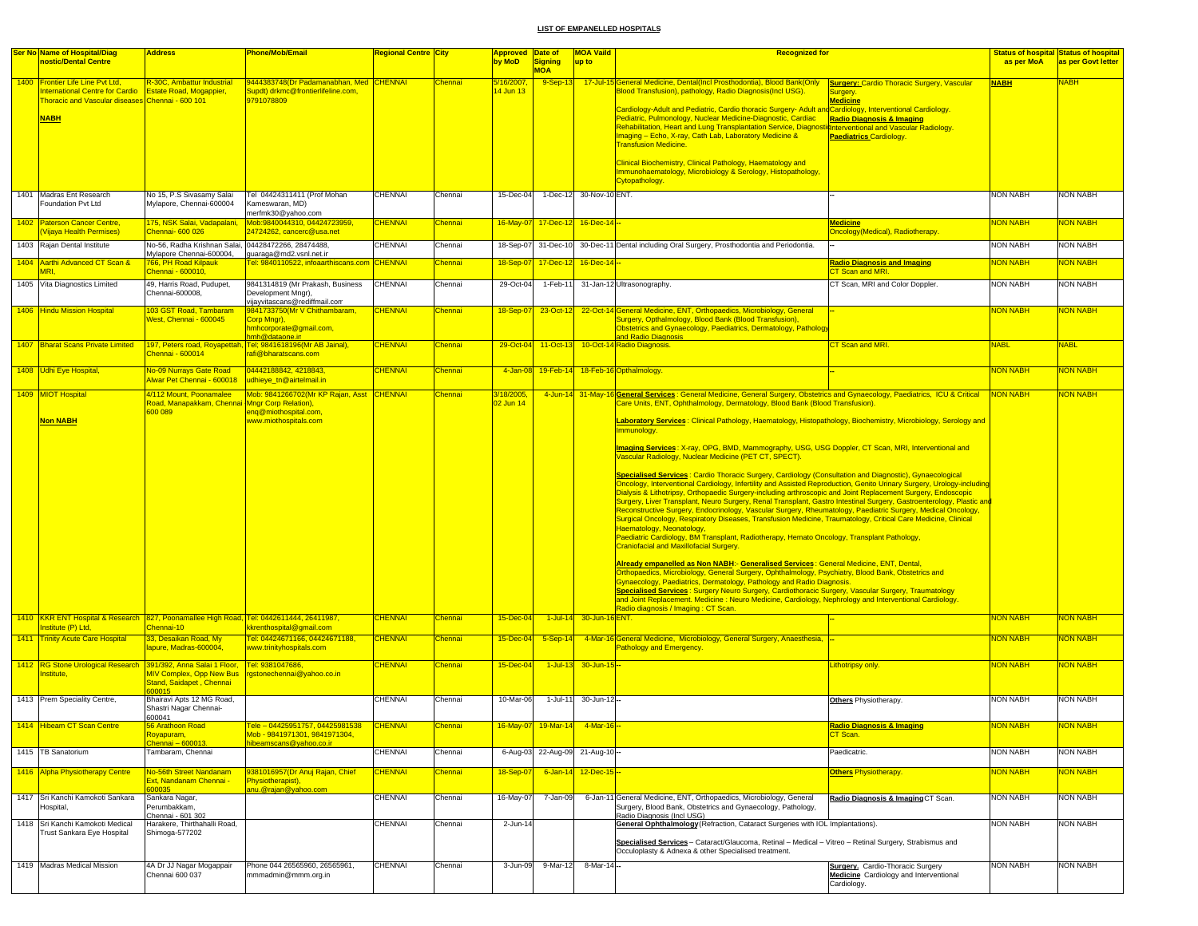| Ser No Name of Hospital/Diag<br>nostic/Dental Centre                                                                                             | <b>Address</b>                                                                       | Phone/Mob/Email                                                                                       | Regional Centre  City            |                           | <b>Approved Date of</b><br>by MoD | <b>Signing</b><br><b>MOA</b>    | <b>MOA Vaild</b><br>up to | <b>Recognized for</b>                                                                                                                                                                                                                                                                                                                                                                                                                                                                                                                                                                                                                                                                                                                                                                                                                                                                                                                                                                                                                                                                                                                                                                                                                                                                                                                                                                                                                                                                                                                                                                                                                                                                                                                                                                                                                                                                                                                  | as per MoA                                                                                    | <b>Status of hospital Status of hospital</b><br>as per Govt letter |
|--------------------------------------------------------------------------------------------------------------------------------------------------|--------------------------------------------------------------------------------------|-------------------------------------------------------------------------------------------------------|----------------------------------|---------------------------|-----------------------------------|---------------------------------|---------------------------|----------------------------------------------------------------------------------------------------------------------------------------------------------------------------------------------------------------------------------------------------------------------------------------------------------------------------------------------------------------------------------------------------------------------------------------------------------------------------------------------------------------------------------------------------------------------------------------------------------------------------------------------------------------------------------------------------------------------------------------------------------------------------------------------------------------------------------------------------------------------------------------------------------------------------------------------------------------------------------------------------------------------------------------------------------------------------------------------------------------------------------------------------------------------------------------------------------------------------------------------------------------------------------------------------------------------------------------------------------------------------------------------------------------------------------------------------------------------------------------------------------------------------------------------------------------------------------------------------------------------------------------------------------------------------------------------------------------------------------------------------------------------------------------------------------------------------------------------------------------------------------------------------------------------------------------|-----------------------------------------------------------------------------------------------|--------------------------------------------------------------------|
| 1400 Frontier Life Line Pvt Ltd,<br><b>nternational Centre for Cardio</b><br>Thoracic and Vascular diseases Chennai - 600 101<br><b>NABH</b>     | R-30C, Ambattur Industrial<br><b>Estate Road, Mogappier,</b>                         | 9444383748(Dr Padamanabhan, Med CHENNAI<br>Supdt) drkmc@frontierlifeline.com.<br>9791078809           |                                  | Chennai                   | 5/16/2007,<br>14 Jun 13           | $9-Sep-13$                      |                           | 17-Jul-15 General Medicine, Dental(Incl Prosthodontia), Blood Bank(Only<br>Blood Transfusion), pathology, Radio Diagnosis(Incl USG).<br>urgery.<br><u> Medicine</u><br>Cardiology-Adult and Pediatric, Cardio thoracic Surgery-Adult and Cardiology, Interventional Cardiology.<br>Pediatric, Pulmonology, Nuclear Medicine-Diagnostic, Cardiac<br>Rehabilitation, Heart and Lung Transplantation Service, Diagnostichterventional and Vascular Radiology.<br>Imaging - Echo, X-ray, Cath Lab, Laboratory Medicine &<br><b>Paediatrics Cardiology.</b><br><b>Transfusion Medicine.</b><br>Clinical Biochemistry, Clinical Pathology, Haematology and<br>Immunohaematology, Microbiology & Serology, Histopathology,<br>Cytopathology.                                                                                                                                                                                                                                                                                                                                                                                                                                                                                                                                                                                                                                                                                                                                                                                                                                                                                                                                                                                                                                                                                                                                                                                                  | <b>Surgery: Cardio Thoracic Surgery, Vascular</b><br><b>NABH</b><br>Radio Diagnosis & Imaging | <b>NABH</b>                                                        |
| 1401 Madras Ent Research<br>Foundation Pyt Ltd                                                                                                   | No 15, P.S Sivasamy Salai<br>Mylapore, Chennai-600004                                | Tel 04424311411 (Prof Mohan<br>Kameswaran, MD)<br>merfmk30@yahoo.com                                  | <b>CHENNAI</b>                   | Chennai                   | 15-Dec-04                         |                                 | 1-Dec-12 30-Nov-10 ENT.   |                                                                                                                                                                                                                                                                                                                                                                                                                                                                                                                                                                                                                                                                                                                                                                                                                                                                                                                                                                                                                                                                                                                                                                                                                                                                                                                                                                                                                                                                                                                                                                                                                                                                                                                                                                                                                                                                                                                                        | <b>NON NABH</b>                                                                               | <b>NON NABH</b>                                                    |
| 1402 Paterson Cancer Centre,<br>Vijaya Health Permises)                                                                                          | 75, NSK Salai, Vadapalani,<br>Chennai- 600 026                                       | Mob:9840044310, 04424723959.<br>24724262, cancerc@usa.net                                             | <b>CHENNAI</b>                   | Chennai                   |                                   | 16-May-07 17-Dec-12 16-Dec-14 - |                           | <u>Medicine</u>                                                                                                                                                                                                                                                                                                                                                                                                                                                                                                                                                                                                                                                                                                                                                                                                                                                                                                                                                                                                                                                                                                                                                                                                                                                                                                                                                                                                                                                                                                                                                                                                                                                                                                                                                                                                                                                                                                                        | NON NABH<br>Oncology(Medical), Radiotherapy.                                                  | <b>JON NABH</b>                                                    |
| 1403 Rajan Dental Institute                                                                                                                      | No-56, Radha Krishnan Salai.<br>Mylapore Chennai-600004,                             | 04428472266, 28474488,<br>guaraga@md2.vsnl.net.ir                                                     | <b>CHENNAI</b>                   | Chennai                   | 18-Sep-07                         | 31-Dec-10                       |                           | 30-Dec-11 Dental including Oral Surgery, Prosthodontia and Periodontia.                                                                                                                                                                                                                                                                                                                                                                                                                                                                                                                                                                                                                                                                                                                                                                                                                                                                                                                                                                                                                                                                                                                                                                                                                                                                                                                                                                                                                                                                                                                                                                                                                                                                                                                                                                                                                                                                | <b>NON NABH</b>                                                                               | <b>NON NABH</b>                                                    |
| 1404 Aarthi Advanced CT Scan &<br>MRI                                                                                                            | 766, PH Road Kilpaul<br>Chennai - 600010,                                            | Fel: 9840110522, infoaarthiscans.com                                                                  | CHENNAI                          | Chennai                   | 18-Sep-07                         | 17-Dec-12                       | 16-Dec-14 <sup>-</sup>    | CT Scan and MRI.                                                                                                                                                                                                                                                                                                                                                                                                                                                                                                                                                                                                                                                                                                                                                                                                                                                                                                                                                                                                                                                                                                                                                                                                                                                                                                                                                                                                                                                                                                                                                                                                                                                                                                                                                                                                                                                                                                                       | <b>Radio Diagnosis and Imaging</b><br>NON NABH                                                | <mark>NON NABH</mark>                                              |
| 1405 Vita Diagnostics Limited                                                                                                                    | 49, Harris Road, Pudupet,<br>Chennai-600008,                                         | 9841314819 (Mr Prakash, Business<br>Development Mngr),<br>vijayvitascans@rediffmail.com               | <b>CHENNAI</b>                   | Chennai                   | 29-Oct-04                         | 1-Feb-11                        |                           | 31-Jan-12 Ultrasonography.                                                                                                                                                                                                                                                                                                                                                                                                                                                                                                                                                                                                                                                                                                                                                                                                                                                                                                                                                                                                                                                                                                                                                                                                                                                                                                                                                                                                                                                                                                                                                                                                                                                                                                                                                                                                                                                                                                             | CT Scan, MRI and Color Doppler.<br><b>NON NABH</b>                                            | <b>NON NABH</b>                                                    |
| 1406 Hindu Mission Hospital                                                                                                                      | 03 GST Road, Tambaram<br>West, Chennai - 600045                                      | 9841733750(Mr V Chithambaram,<br>Corp Mngr),<br>nmhcorporate@gmail.com,                               | <b>CHENNAI</b>                   | Chennai                   | 18-Sep-07                         | 23-Oct-12                       |                           | 22-Oct-14 General Medicine, ENT, Orthopaedics, Microbiology, General<br>Surgery, Opthalmology, Blood Bank (Blood Transfusion),<br>Obstetrics and Gynaecology, Paediatrics, Dermatology, Patholog                                                                                                                                                                                                                                                                                                                                                                                                                                                                                                                                                                                                                                                                                                                                                                                                                                                                                                                                                                                                                                                                                                                                                                                                                                                                                                                                                                                                                                                                                                                                                                                                                                                                                                                                       | NON NABH                                                                                      | <b>VON NABH</b>                                                    |
| 1407 Bharat Scans Private Limited                                                                                                                | <b>Chennai - 600014</b>                                                              | nmh@dataone.in<br>197, Peters road, Royapettah, Tel; 9841618196(Mr AB Jainal),<br>afi@bharatscans.com | <b>CHENNAI</b>                   | Chennai                   | 29-Oct-04                         | 11-Oct-13                       |                           | and Radio Diagnosis<br>10-Oct-14 Radio Diagnosis.<br>CT Scan and MRI.                                                                                                                                                                                                                                                                                                                                                                                                                                                                                                                                                                                                                                                                                                                                                                                                                                                                                                                                                                                                                                                                                                                                                                                                                                                                                                                                                                                                                                                                                                                                                                                                                                                                                                                                                                                                                                                                  | <b>NABL</b>                                                                                   | <b>NABL</b>                                                        |
| 1408 Udhi Eye Hospital,                                                                                                                          | No-09 Nurrays Gate Road<br>Alwar Pet Chennai - 600018                                | 04442188842, 4218843,<br>udhieye tn@airtelmail.in                                                     | <b>CHENNAI</b>                   | Chennai                   | 4-Jan-08                          |                                 |                           | 19-Feb-14 18-Feb-16 Opthalmology                                                                                                                                                                                                                                                                                                                                                                                                                                                                                                                                                                                                                                                                                                                                                                                                                                                                                                                                                                                                                                                                                                                                                                                                                                                                                                                                                                                                                                                                                                                                                                                                                                                                                                                                                                                                                                                                                                       | <b>NON NABH</b>                                                                               | <b>NON NABH</b>                                                    |
| 1409 MIOT Hospital<br><b>Non NABH</b>                                                                                                            | 4/112 Mount, Poonamalee<br>Road, Manapakkam, Chennai Mnar Corp Relation).<br>600 089 | Mob: 9841266702(Mr KP Rajan, Asst CHENNAI<br>eng@miothospital.com,<br>www.miothospitals.com           |                                  | Chennai                   | 3/18/2005,<br>02 Jun 14           |                                 |                           | 4-Jun-14 31-May-16 General Services: General Medicine, General Surgery, Obstetrics and Gynaecology, Paediatrics, ICU & Critical<br>Care Units, ENT, Ophthalmology, Dermatology, Blood Bank (Blood Transfusion)<br>Laboratory Services: Clinical Pathology, Haematology, Histopathology, Biochemistry, Microbiology, Serology and<br>Immunology.<br>Imaging Services: X-ray, OPG, BMD, Mammography, USG, USG Doppler, CT Scan, MRI, Interventional and<br>Vascular Radiology, Nuclear Medicine (PET CT, SPECT).<br>Specialised Services : Cardio Thoracic Surgery, Cardiology (Consultation and Diagnostic), Gynaecological<br>Oncology, Interventional Cardiology, Infertility and Assisted Reproduction, Genito Urinary Surgery, Urology-including<br>Dialysis & Lithotripsy, Orthopaedic Surgery-including arthroscopic and Joint Replacement Surgery, Endoscopic<br>Surgery, Liver Transplant, Neuro Surgery, Renal Transplant, Gastro Intestinal Surgery, Gastroenterology, Plastic and<br>Reconstructive Surgery, Endocrinology, Vascular Surgery, Rheumatology, Paediatric Surgery, Medical Oncology,<br>Surgical Oncology, Respiratory Diseases, Transfusion Medicine, Traumatology, Critical Care Medicine, Clinical<br>Haematology, Neonatology,<br>Paediatric Cardiology, BM Transplant, Radiotherapy, Hemato Oncology, Transplant Pathology,<br>Craniofacial and Maxillofacial Surgery.<br>Already empanelled as Non NABH:- Generalised Services : General Medicine, ENT, Dental,<br>Orthopaedics, Microbiology, General Surgery, Ophthalmology, Psychiatry, Blood Bank, Obstetrics and<br>Gynaecology, Paediatrics, Dermatology, Pathology and Radio Diagnosis.<br>Specialised Services : Surgery Neuro Surgery, Cardiothoracic Surgery, Vascular Surgery, Traumatology<br>and Joint Replacement. Medicine : Neuro Medicine, Cardiology, Nephrology and Interventional Cardiology.<br>Radio diagnosis / Imaging : CT Scan. | <b>NON NABH</b>                                                                               | <b>VON NABH</b>                                                    |
| 1410 KKR ENT Hospital & Research 827, Poonamallee High Road, Tel: 0442611444, 26411987,<br>nstitute (P) Ltd,<br>1411 Trinity Acute Care Hospital | Chennai-10<br>33, Desaikan Road, My                                                  | kkrenthospital@gmail.com<br>Fel: 04424671166, 04424671188,                                            | <b>CHENNAI</b><br><b>CHENNAI</b> | <b>Chennai</b><br>Chennai | 15-Dec-04<br>15-Dec-04            | $1$ -Jul-14<br>$5-Sep-14$       | 30-Jun-1                  | SENT.<br>4-Mar-16 General Medicine, Microbiology, General Surgery, Anaesthesia,                                                                                                                                                                                                                                                                                                                                                                                                                                                                                                                                                                                                                                                                                                                                                                                                                                                                                                                                                                                                                                                                                                                                                                                                                                                                                                                                                                                                                                                                                                                                                                                                                                                                                                                                                                                                                                                        | NON NABH<br><b>NON NABH</b>                                                                   | <b>VON NABH</b><br><b>VON NABH</b>                                 |
|                                                                                                                                                  | lapure, Madras-600004,                                                               | www.trinityhospitals.com                                                                              |                                  |                           |                                   |                                 |                           | <b>Pathology and Emergency.</b>                                                                                                                                                                                                                                                                                                                                                                                                                                                                                                                                                                                                                                                                                                                                                                                                                                                                                                                                                                                                                                                                                                                                                                                                                                                                                                                                                                                                                                                                                                                                                                                                                                                                                                                                                                                                                                                                                                        |                                                                                               |                                                                    |
| 1412 RG Stone Urological Research 391/392, Anna Salai 1 Floor,<br>Institute.                                                                     | MIV Complex, Opp New Bus<br>Stand, Saidapet, Chennai<br>00015                        | Tel: 9381047686.<br>rgstonechennai@yahoo.co.in                                                        | <b>CHENNAI</b>                   | Chennai                   | 15-Dec-04                         | $1$ -Jul-13                     | 30-Jun-15-                | ithotripsy only                                                                                                                                                                                                                                                                                                                                                                                                                                                                                                                                                                                                                                                                                                                                                                                                                                                                                                                                                                                                                                                                                                                                                                                                                                                                                                                                                                                                                                                                                                                                                                                                                                                                                                                                                                                                                                                                                                                        | NON NABH                                                                                      | <b>VON NABH</b>                                                    |
| 1413 Prem Speciality Centre,                                                                                                                     | Bhairavi Apts 12 MG Road.<br>Shastri Nagar Chennai-<br>600041                        |                                                                                                       | CHENNAI                          | Chennai                   | 10-Mar-06                         | $1 -$ Jul-11                    | 30-Jun-12-                | Others Physiotherapy.                                                                                                                                                                                                                                                                                                                                                                                                                                                                                                                                                                                                                                                                                                                                                                                                                                                                                                                                                                                                                                                                                                                                                                                                                                                                                                                                                                                                                                                                                                                                                                                                                                                                                                                                                                                                                                                                                                                  | <b>NON NABH</b>                                                                               | <b>NON NABH</b>                                                    |
| 1414 Hibeam CT Scan Centre                                                                                                                       | Royapuram,<br>Chennai – 600013.                                                      | $\mathsf{P} = \mathsf{Q} \mathsf{Z}$<br>Mob - 9841971301, 9841971304,                                 |                                  |                           |                                   |                                 |                           | CT Scan.                                                                                                                                                                                                                                                                                                                                                                                                                                                                                                                                                                                                                                                                                                                                                                                                                                                                                                                                                                                                                                                                                                                                                                                                                                                                                                                                                                                                                                                                                                                                                                                                                                                                                                                                                                                                                                                                                                                               |                                                                                               |                                                                    |
| 1415 TB Sanatorium                                                                                                                               | Tambaram, Chennai                                                                    | hibeamscans@yahoo.co.ir                                                                               | <b>CHENNAI</b>                   | Chennai                   |                                   | 6-Aug-03 22-Aug-09 21-Aug-10-   |                           | Paedicatric.                                                                                                                                                                                                                                                                                                                                                                                                                                                                                                                                                                                                                                                                                                                                                                                                                                                                                                                                                                                                                                                                                                                                                                                                                                                                                                                                                                                                                                                                                                                                                                                                                                                                                                                                                                                                                                                                                                                           | NON NABH                                                                                      | <b>NON NABH</b>                                                    |
| 1416 Alpha Physiotherapy Centre                                                                                                                  | No-56th Street Nandanam<br>Ext, Nandanam Chennai -                                   | 9381016957(Dr Anuj Rajan, Chief<br>Physiotherapist),                                                  | <b>CHENNAI</b>                   | Chennai                   | 18-Sep-07                         |                                 | 6-Jan-14 12-Dec-15        | <b>Others Physiotherapy.</b>                                                                                                                                                                                                                                                                                                                                                                                                                                                                                                                                                                                                                                                                                                                                                                                                                                                                                                                                                                                                                                                                                                                                                                                                                                                                                                                                                                                                                                                                                                                                                                                                                                                                                                                                                                                                                                                                                                           | NON NABH                                                                                      | <b>NON NABH</b>                                                    |
| 1417 Sri Kanchi Kamokoti Sankara<br>Hospital,                                                                                                    | Sankara Nagar,<br>Perumbakkam.<br>Chennai - 601 302                                  | inu.@rajan@yahoo.com                                                                                  | <b>CHENNAI</b>                   | Chennai                   | 16-May-07                         | 7-Jan-09                        |                           | 6-Jan-11 General Medicine, ENT, Orthopaedics, Microbiology, General<br>Surgery, Blood Bank, Obstetrics and Gynaecology, Pathology,<br>Radio Diagnosis (Incl USG)                                                                                                                                                                                                                                                                                                                                                                                                                                                                                                                                                                                                                                                                                                                                                                                                                                                                                                                                                                                                                                                                                                                                                                                                                                                                                                                                                                                                                                                                                                                                                                                                                                                                                                                                                                       | Radio Diagnosis & Imaging CT Scan.<br><b>NON NABH</b>                                         | <b>NON NABH</b>                                                    |
| 1418 Sri Kanchi Kamokoti Medical<br>Trust Sankara Eye Hospital                                                                                   | Harakere, Thirthahalli Road,<br>Shimoga-577202                                       |                                                                                                       | <b>CHENNAI</b>                   | Chennai                   | 2-Jun-14                          |                                 |                           | General Ophthalmology (Refraction, Cataract Surgeries with IOL Implantations).<br>Specialised Services - Cataract/Glaucoma, Retinal - Medical - Vitreo - Retinal Surgery, Strabismus and<br>Occuloplasty & Adnexa & other Specialised treatment.                                                                                                                                                                                                                                                                                                                                                                                                                                                                                                                                                                                                                                                                                                                                                                                                                                                                                                                                                                                                                                                                                                                                                                                                                                                                                                                                                                                                                                                                                                                                                                                                                                                                                       | <b>NON NABH</b>                                                                               | <b>NON NABH</b>                                                    |
| 1419 Madras Medical Mission                                                                                                                      | 4A Dr JJ Nagar Mogappair<br>Chennai 600 037                                          | Phone 044 26565960, 26565961.<br>mmmadmin@mmm.org.in                                                  | CHENNAI                          | Chennai                   | 3-Jun-09                          | 9-Mar-12                        | 8-Mar-14 --               | Cardiology.                                                                                                                                                                                                                                                                                                                                                                                                                                                                                                                                                                                                                                                                                                                                                                                                                                                                                                                                                                                                                                                                                                                                                                                                                                                                                                                                                                                                                                                                                                                                                                                                                                                                                                                                                                                                                                                                                                                            | Surgery. Cardio-Thoracic Surgery<br>NON NABH<br>Medicine Cardiology and Interventional        | <b>NON NABH</b>                                                    |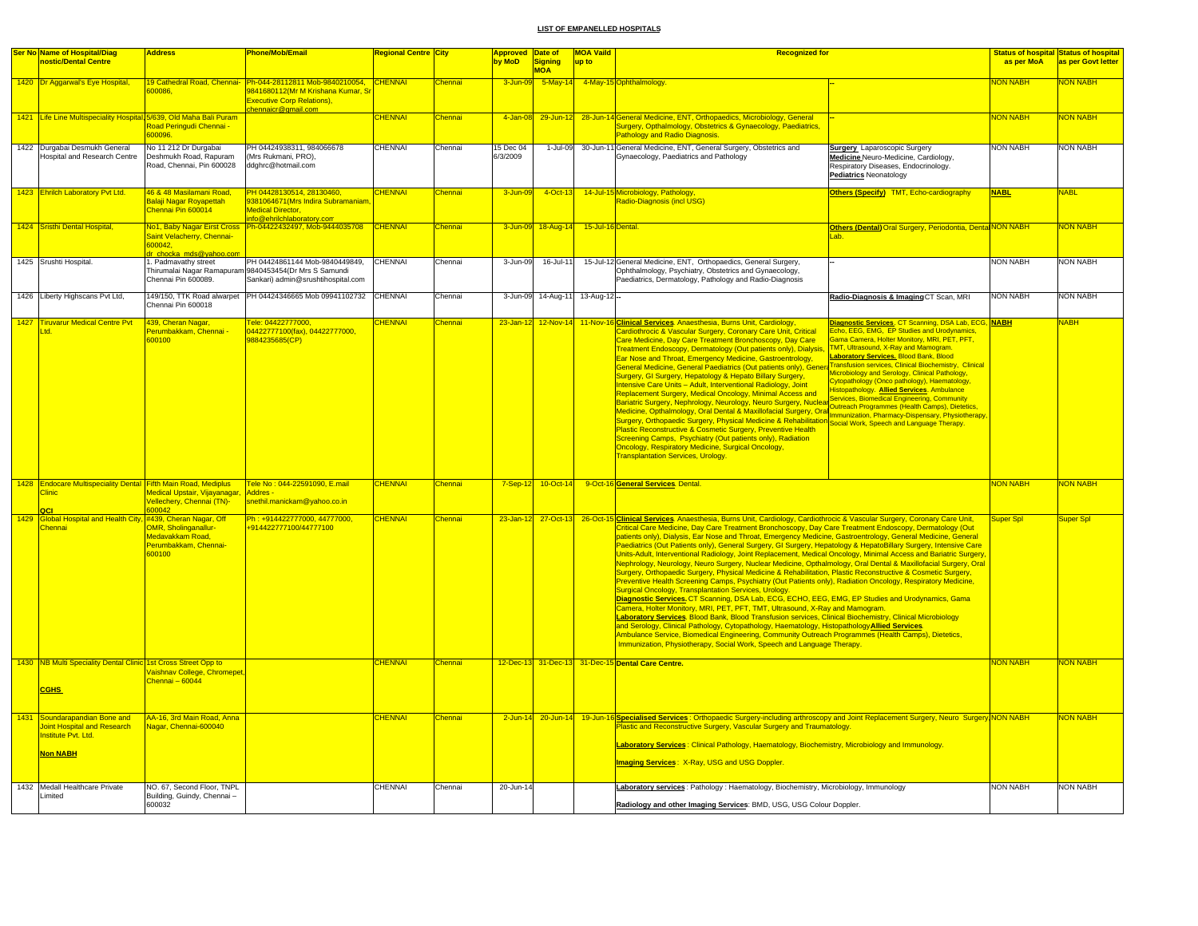|      | Ser No Name of Hospital/Diag                                                                               | <b>Address</b>                                                                     | <b>Phone/Mob/Email</b>                                                                                                                                               | <mark>Regional Centre City</mark> |                     | <mark>Approved Date of</mark> |                    | <b>MOA Vaild</b><br><b>Recognized for</b> |                                                                                                                                                                                                                                                                                                                                                                                                                                                                                                                                                                                                                                                                                                                                                                                                                                                                                                                                                                                                                                                                                                                                                                                                                                                                                                                                                                                                                                                                                                                                                                                                   |                                                                                                                                                                                                                                                                                                                                                                                                                                                                                                                                                                                                          |                 | <b>Status of hospital Status of hospital</b> |
|------|------------------------------------------------------------------------------------------------------------|------------------------------------------------------------------------------------|----------------------------------------------------------------------------------------------------------------------------------------------------------------------|-----------------------------------|---------------------|-------------------------------|--------------------|-------------------------------------------|---------------------------------------------------------------------------------------------------------------------------------------------------------------------------------------------------------------------------------------------------------------------------------------------------------------------------------------------------------------------------------------------------------------------------------------------------------------------------------------------------------------------------------------------------------------------------------------------------------------------------------------------------------------------------------------------------------------------------------------------------------------------------------------------------------------------------------------------------------------------------------------------------------------------------------------------------------------------------------------------------------------------------------------------------------------------------------------------------------------------------------------------------------------------------------------------------------------------------------------------------------------------------------------------------------------------------------------------------------------------------------------------------------------------------------------------------------------------------------------------------------------------------------------------------------------------------------------------------|----------------------------------------------------------------------------------------------------------------------------------------------------------------------------------------------------------------------------------------------------------------------------------------------------------------------------------------------------------------------------------------------------------------------------------------------------------------------------------------------------------------------------------------------------------------------------------------------------------|-----------------|----------------------------------------------|
|      | nostic/Dental Centre                                                                                       |                                                                                    |                                                                                                                                                                      |                                   |                     | by MoD                        | Signing            | up to                                     |                                                                                                                                                                                                                                                                                                                                                                                                                                                                                                                                                                                                                                                                                                                                                                                                                                                                                                                                                                                                                                                                                                                                                                                                                                                                                                                                                                                                                                                                                                                                                                                                   |                                                                                                                                                                                                                                                                                                                                                                                                                                                                                                                                                                                                          | as per MoA      | as per Govt letter                           |
|      |                                                                                                            |                                                                                    |                                                                                                                                                                      |                                   |                     |                               | <b>MOA</b>         |                                           |                                                                                                                                                                                                                                                                                                                                                                                                                                                                                                                                                                                                                                                                                                                                                                                                                                                                                                                                                                                                                                                                                                                                                                                                                                                                                                                                                                                                                                                                                                                                                                                                   |                                                                                                                                                                                                                                                                                                                                                                                                                                                                                                                                                                                                          |                 |                                              |
|      | 1420 Dr Aggarwal's Eye Hospital,                                                                           | 300086                                                                             | 19 Cathedral Road, Chennai- Ph-044-28112811 Mob-9840210054, CHENNAI<br>9841680112(Mr M Krishana Kumar, Sı<br><b>Executive Corp Relations),</b><br>hennaicr@gmail.com |                                   | Chennai             | 3-Jun-09                      |                    |                                           | 5-May-14 4-May-15 Ophthalmology.                                                                                                                                                                                                                                                                                                                                                                                                                                                                                                                                                                                                                                                                                                                                                                                                                                                                                                                                                                                                                                                                                                                                                                                                                                                                                                                                                                                                                                                                                                                                                                  |                                                                                                                                                                                                                                                                                                                                                                                                                                                                                                                                                                                                          | <b>NON NABH</b> | <b>NON NABH</b>                              |
|      | 1421 Life Line Multispeciality Hospital, 5/639, Old Maha Bali Puram                                        |                                                                                    |                                                                                                                                                                      | <b>CHENNAI</b>                    | hennai              | 4-Jan-08                      | 29-Jun-12          |                                           | 28-Jun-14 General Medicine, ENT, Orthopaedics, Microbiology, General                                                                                                                                                                                                                                                                                                                                                                                                                                                                                                                                                                                                                                                                                                                                                                                                                                                                                                                                                                                                                                                                                                                                                                                                                                                                                                                                                                                                                                                                                                                              |                                                                                                                                                                                                                                                                                                                                                                                                                                                                                                                                                                                                          | NON NABH        | NON NABH                                     |
|      |                                                                                                            | Road Peringudi Chennai -<br>600096.                                                |                                                                                                                                                                      |                                   |                     |                               |                    |                                           | Surgery, Opthalmology, Obstetrics & Gynaecology, Paediatrics,<br>Pathology and Radio Diagnosis.                                                                                                                                                                                                                                                                                                                                                                                                                                                                                                                                                                                                                                                                                                                                                                                                                                                                                                                                                                                                                                                                                                                                                                                                                                                                                                                                                                                                                                                                                                   |                                                                                                                                                                                                                                                                                                                                                                                                                                                                                                                                                                                                          |                 |                                              |
|      | 1422 Durgabai Desmukh General<br>lospital and Research Centre                                              | No 11 212 Dr Durgabai<br>Deshmukh Road, Rapuram<br>Road, Chennai, Pin 600028       | PH 04424938311, 984066678<br>(Mrs Rukmani, PRO).<br>ddghrc@hotmail.com                                                                                               | <b>CHENNAI</b>                    | Chennai             | 5 Dec 04<br>6/3/2009          | 1-Jul-09           |                                           | 30-Jun-11 General Medicine, ENT, General Surgery, Obstetrics and<br>Gynaecology, Paediatrics and Pathology                                                                                                                                                                                                                                                                                                                                                                                                                                                                                                                                                                                                                                                                                                                                                                                                                                                                                                                                                                                                                                                                                                                                                                                                                                                                                                                                                                                                                                                                                        | <b>Surgery</b> Laparoscopic Surgery<br>Medicine Neuro-Medicine, Cardiology,<br>Respiratory Diseases, Endocrinology.<br><b>Pediatrics Neonatology</b>                                                                                                                                                                                                                                                                                                                                                                                                                                                     | <b>NON NABH</b> | <b>NON NABH</b>                              |
|      | 1423 Ehrilch Laboratory Pvt Ltd.                                                                           | 46 & 48 Masilamani Road.<br>Balaji Nagar Royapettah<br>Chennai Pin 600014          | PH 04428130514, 28130460.<br>9381064671 (Mrs Indira Subramaniam<br><b>Medical Director.</b>                                                                          | <b>CHENNAI</b>                    | <b>Chennai</b>      | 3-Jun-09                      | 4-Oct-13           |                                           | 14-Jul-15 Microbiology, Pathology,<br>Radio-Diagnosis (incl USG)                                                                                                                                                                                                                                                                                                                                                                                                                                                                                                                                                                                                                                                                                                                                                                                                                                                                                                                                                                                                                                                                                                                                                                                                                                                                                                                                                                                                                                                                                                                                  | Others (Specify) TMT, Echo-cardiography                                                                                                                                                                                                                                                                                                                                                                                                                                                                                                                                                                  | <b>NABL</b>     | <b>NABL</b>                                  |
|      | 1424 Sristhi Dental Hospital,                                                                              | No1, Baby Nagar Eirst Cross                                                        | info@ehrilchlaboratory.com<br>Ph-04422432497, Mob-9444035708                                                                                                         | CHENNAI                           | Chennai             |                               | 3-Jun-09 18-Aug-14 | 15-Jul-16 Dental.                         |                                                                                                                                                                                                                                                                                                                                                                                                                                                                                                                                                                                                                                                                                                                                                                                                                                                                                                                                                                                                                                                                                                                                                                                                                                                                                                                                                                                                                                                                                                                                                                                                   | Others (Dental) Oral Surgery, Periodontia, Dental NON NABH                                                                                                                                                                                                                                                                                                                                                                                                                                                                                                                                               |                 | <b>NON NABH</b>                              |
|      |                                                                                                            | Saint Velacherry, Chennai-<br>600042,<br>dr chocka mds@yahoo.cor                   |                                                                                                                                                                      |                                   |                     |                               |                    |                                           |                                                                                                                                                                                                                                                                                                                                                                                                                                                                                                                                                                                                                                                                                                                                                                                                                                                                                                                                                                                                                                                                                                                                                                                                                                                                                                                                                                                                                                                                                                                                                                                                   | Lab.                                                                                                                                                                                                                                                                                                                                                                                                                                                                                                                                                                                                     |                 |                                              |
|      | 1425 Srushti Hospital.                                                                                     | 1. Padmavathy street<br>Thirumalai Nagar Ramapura<br>Chennai Pin 600089.           | PH 04424861144 Mob-9840449849,<br>9840453454(Dr Mrs S Samundi<br>Sankari) admin@srushtihospital.com                                                                  | <b>CHENNAI</b>                    | Chennai             | 3-Jun-09                      | 16-Jul-11          |                                           | 15-Jul-12 General Medicine, ENT, Orthopaedics, General Surgery,<br>Ophthalmology, Psychiatry, Obstetrics and Gynaecology,<br>Paediatrics, Dermatology, Pathology and Radio-Diagnosis                                                                                                                                                                                                                                                                                                                                                                                                                                                                                                                                                                                                                                                                                                                                                                                                                                                                                                                                                                                                                                                                                                                                                                                                                                                                                                                                                                                                              |                                                                                                                                                                                                                                                                                                                                                                                                                                                                                                                                                                                                          | <b>NON NABH</b> | <b>NON NABH</b>                              |
|      | 1426 Liberty Highscans Pvt Ltd,                                                                            | Chennai Pin 600018                                                                 | 149/150, TTK Road alwarpet PH 04424346665 Mob 09941102732                                                                                                            | <b>CHENNAL</b>                    | Chennai             |                               | 3-Jun-09 14-Aug-11 | 13-Aug-12 --                              |                                                                                                                                                                                                                                                                                                                                                                                                                                                                                                                                                                                                                                                                                                                                                                                                                                                                                                                                                                                                                                                                                                                                                                                                                                                                                                                                                                                                                                                                                                                                                                                                   | Radio-Diagnosis & Imaging CT Scan, MRI                                                                                                                                                                                                                                                                                                                                                                                                                                                                                                                                                                   | <b>NON NABH</b> | <b>NON NABH</b>                              |
| 1427 | <b>Tiruvarur Medical Centre Pvt</b><br>td.                                                                 | 439, Cheran Nagar,<br>Perumbakkam, Chennai -<br>600100                             | Tele: 04422777000,<br>04422777100(fax), 04422777000,<br>9884235685(CP)                                                                                               | <b>HENNAI</b>                     | hennai <sup>:</sup> | 23-Jan-12                     | $12-Nov-14$        |                                           | 11-Nov-16 Clinical Services. Anaesthesia, Burns Unit, Cardiology,<br>Cardiothrocic & Vascular Surgery, Coronary Care Unit, Critical<br>Care Medicine, Day Care Treatment Bronchoscopy, Day Care<br>Treatment Endoscopy, Dermatology (Out patients only), Dialysis,<br>Ear Nose and Throat, Emergency Medicine, Gastroentrology,<br>General Medicine, General Paediatrics (Out patients only), Genera<br>Surgery, GI Surgery, Hepatology & Hepato Billary Surgery,<br>Intensive Care Units - Adult, Interventional Radiology, Joint<br>Replacement Surgery, Medical Oncology, Minimal Access and<br>Bariatric Surgery, Nephrology, Neurology, Neuro Surgery, Nuclear<br>Danathy Outgory, Republic of Literature, Analytician Surgery, Oral Outgacity Engineering Themini Outgacity Open<br>Medicine, Opthalmology, Oral Dental & Maxillofacial Surgery, Oral Immunization, Pharmacy-Dispensary, Physiothe<br>Surgery, Orthopaedic Surgery, Physical Medicine & Rehabilitation<br>Plastic Reconstructive & Cosmetic Surgery, Preventive Health<br>Screening Camps, Psychiatry (Out patients only), Radiation<br>Oncology, Respiratory Medicine, Surgical Oncology,<br><b>Transplantation Services, Urology.</b>                                                                                                                                                                                                                                                                                                                                                                                     | <b>Diagnostic Services, CT Scanning, DSA Lab, ECG, NABH</b><br>Echo, EEG, EMG, EP Studies and Urodynamics.<br>Gama Camera, Holter Monitory, MRI, PET, PFT,<br>TMT, Ultrasound, X-Ray and Mamogram.<br>Laboratory Services. Blood Bank, Blood<br><b>Transfusion services, Clinical Biochemistry, Clinical</b><br>Microbiology and Serology, Clinical Pathology,<br>ytopathology (Onco pathology), Haematology<br>listopathology. Allied Services. Ambulance<br>Services, Biomedical Engineering, Community<br>Outreach Programmes (Health Camps), Dietetics,<br>Social Work, Speech and Language Therapy. |                 | <b>JABH</b>                                  |
|      | 1428 Endocare Multispeciality Dental Fifth Main Road, Mediplus<br><b>Clinic</b>                            | Medical Upstair, Vijayanagar, Addres -<br>Vellechery, Chennai (TN)-<br>600042      | Tele No: 044-22591090, E.mail<br>snethil.manickam@yahoo.co.in                                                                                                        | <b>CHENNAI</b>                    | Chennai             | 7-Sep-12                      | 10-Oct-14          |                                           | 9-Oct-16 General Services Dental.                                                                                                                                                                                                                                                                                                                                                                                                                                                                                                                                                                                                                                                                                                                                                                                                                                                                                                                                                                                                                                                                                                                                                                                                                                                                                                                                                                                                                                                                                                                                                                 |                                                                                                                                                                                                                                                                                                                                                                                                                                                                                                                                                                                                          | <b>NON NABH</b> | <b>NON NABH</b>                              |
|      | QCI<br>1429 Global Hospital and Health City, #439, Cheran Nagar, Off<br>Chennai                            | <b>OMR. Sholinganallur-</b><br>Medavakkam Road,<br>Perumbakkam, Chennai-<br>600100 | Ph: +914422777000, 44777000,<br>+914422777100/44777100                                                                                                               | <b>CHENNAI</b>                    | Chennai             | $23 - Jan - 12$               | 27-Oct-13          |                                           | 26-Oct-15 Clinical Services. Anaesthesia, Burns Unit, Cardiology, Cardiothrocic & Vascular Surgery, Coronary Care Unit,<br>Critical Care Medicine, Day Care Treatment Bronchoscopy, Day Care Treatment Endoscopy, Dermatology (Out<br>patients only), Dialysis, Ear Nose and Throat, Emergency Medicine, Gastroentrology, General Medicine, General<br>Paediatrics (Out Patients only), General Surgery, GI Surgery, Hepatology & HepatoBillary Surgery, Intensive Care<br>Units-Adult, Interventional Radiology, Joint Replacement, Medical Oncology, Minimal Access and Bariatric Surgery<br>Nephrology, Neurology, Neuro Surgery, Nuclear Medicine, Opthalmology, Oral Dental & Maxillofacial Surgery, Oral<br>Surgery, Orthopaedic Surgery, Physical Medicine & Rehabilitation, Plastic Reconstructive & Cosmetic Surgery,<br>Preventive Health Screening Camps, Psychiatry (Out Patients only), Radiation Oncology, Respiratory Medicine,<br><b>Surgical Oncology, Transplantation Services, Urology.</b><br>Diagnostic Services. CT Scanning, DSA Lab, ECG, ECHO, EEG, EMG, EP Studies and Urodynamics, Gama<br>Camera, Holter Monitory, MRI, PET, PFT, TMT, Ultrasound, X-Ray and Mamogram.<br>Laboratory Services. Blood Bank, Blood Transfusion services, Clinical Biochemistry, Clinical Microbiology<br>and Serology, Clinical Pathology, Cytopathology, Haematology, Histopathology Allied Services.<br>Ambulance Service, Biomedical Engineering, Community Outreach Programmes (Health Camps), Dietetics,<br>Immunization, Physiotherapy, Social Work, Speech and Language Therapy. |                                                                                                                                                                                                                                                                                                                                                                                                                                                                                                                                                                                                          | Super Spl       | Super Spl                                    |
|      | 1430 NB Multi Speciality Dental Clinic 1st Cross Street Opp to<br><b>CGHS</b>                              | Vaishnav College, Chromepet,<br>Chennai - 60044                                    |                                                                                                                                                                      | CHENNAL                           | Chennai             |                               |                    |                                           | 12-Dec-13 31-Dec-13 31-Dec-15 Dental Care Centre.                                                                                                                                                                                                                                                                                                                                                                                                                                                                                                                                                                                                                                                                                                                                                                                                                                                                                                                                                                                                                                                                                                                                                                                                                                                                                                                                                                                                                                                                                                                                                 |                                                                                                                                                                                                                                                                                                                                                                                                                                                                                                                                                                                                          | <b>NON NABH</b> | <b>NON NABH</b>                              |
|      | 1431 Soundarapandian Bone and<br>oint Hospital and Research<br>nstitute Pvt. Ltd.<br><mark>Non NABH</mark> | AA-16, 3rd Main Road, Anna<br>Vagar, Chennai-600040                                |                                                                                                                                                                      | <b>CHENNAI</b>                    | Chennai             |                               |                    |                                           | 2-Jun-14 20-Jun-14 19-Jun-16 Specialised Services: Orthopaedic Surgery-including arthroscopy and Joint Replacement Surgery, Neuro Surgery NON NABH<br>Plastic and Reconstructive Surgery, Vascular Surgery and Traumatology.<br>Laboratory Services : Clinical Pathology, Haematology, Biochemistry, Microbiology and Immunology.<br><b>Imaging Services: X-Ray, USG and USG Doppler.</b>                                                                                                                                                                                                                                                                                                                                                                                                                                                                                                                                                                                                                                                                                                                                                                                                                                                                                                                                                                                                                                                                                                                                                                                                         |                                                                                                                                                                                                                                                                                                                                                                                                                                                                                                                                                                                                          |                 | <b>NON NABH</b>                              |
|      | 1432 Medall Healthcare Private<br>Limited                                                                  | NO. 67, Second Floor, TNPL<br>Building, Guindy, Chennai-<br>600032                 |                                                                                                                                                                      | CHENNAI                           | Chennai             | 20-Jun-14                     |                    |                                           | Laboratory services: Pathology: Haematology, Biochemistry, Microbiology, Immunology<br>Radiology and other Imaging Services: BMD, USG, USG Colour Doppler.                                                                                                                                                                                                                                                                                                                                                                                                                                                                                                                                                                                                                                                                                                                                                                                                                                                                                                                                                                                                                                                                                                                                                                                                                                                                                                                                                                                                                                        |                                                                                                                                                                                                                                                                                                                                                                                                                                                                                                                                                                                                          | <b>NON NABH</b> | <b>NON NABH</b>                              |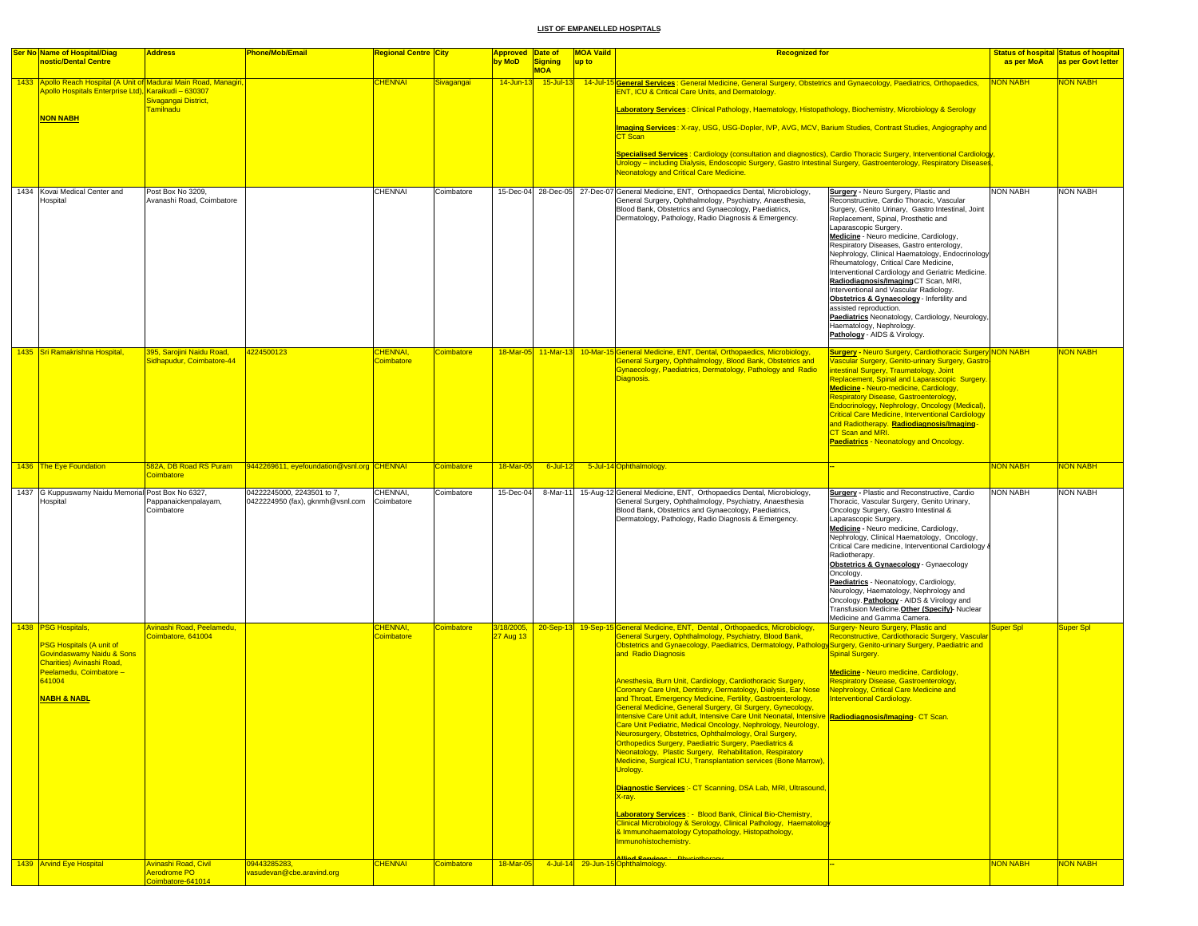| <b>Ser No Name of Hospital/Diag</b>                                                                                                                                                             | <b>Address</b>                                         | <b>Phone/Mob/Email</b>                                         | <b>Regional Centre City</b>  |                   | <b>Approved Date of</b> |                              | <b>MOA Vaild</b> | <b>Recognized for</b>                                                                                                                                                                                                                                                                                                                                                                                                                                                                                                                                                                                                                                                                                                                                                                                                                                                                                                                                                                                                                                                                                                                                                                                                          |                                                                                                                                                                                                                                                                                                                                                                                                                                                                                                                                                                                                                                                                                                                               |                       | <b>Status of hospital Status of hospital</b> |
|-------------------------------------------------------------------------------------------------------------------------------------------------------------------------------------------------|--------------------------------------------------------|----------------------------------------------------------------|------------------------------|-------------------|-------------------------|------------------------------|------------------|--------------------------------------------------------------------------------------------------------------------------------------------------------------------------------------------------------------------------------------------------------------------------------------------------------------------------------------------------------------------------------------------------------------------------------------------------------------------------------------------------------------------------------------------------------------------------------------------------------------------------------------------------------------------------------------------------------------------------------------------------------------------------------------------------------------------------------------------------------------------------------------------------------------------------------------------------------------------------------------------------------------------------------------------------------------------------------------------------------------------------------------------------------------------------------------------------------------------------------|-------------------------------------------------------------------------------------------------------------------------------------------------------------------------------------------------------------------------------------------------------------------------------------------------------------------------------------------------------------------------------------------------------------------------------------------------------------------------------------------------------------------------------------------------------------------------------------------------------------------------------------------------------------------------------------------------------------------------------|-----------------------|----------------------------------------------|
| nostic/Dental Centre                                                                                                                                                                            |                                                        |                                                                |                              |                   | by MoD                  | <b>Signing</b><br><b>MOA</b> | up to            |                                                                                                                                                                                                                                                                                                                                                                                                                                                                                                                                                                                                                                                                                                                                                                                                                                                                                                                                                                                                                                                                                                                                                                                                                                |                                                                                                                                                                                                                                                                                                                                                                                                                                                                                                                                                                                                                                                                                                                               | as per MoA            | as per Govt letter                           |
| 1433 Apollo Reach Hospital (A Unit of Madurai Main Road, Managiri<br>Apollo Hospitals Enterprise Ltd), Karaikudi – 630307<br><b>NON NABH</b>                                                    | Sivagangai District,<br><b>Familnadu</b>               |                                                                | <b>CHENNAI</b>               | Sivagangai        | $14 - Jun - 1$          | $15$ -Jul-13                 |                  | 14-Jul-15 General Services: General Medicine, General Surgery, Obstetrics and Gynaecology, Paediatrics, Orthopaedics,<br><b>ENT, ICU &amp; Critical Care Units, and Dermatology.</b><br>Laboratory Services: Clinical Pathology, Haematology, Histopathology, Biochemistry, Microbiology & Serology<br>Imaging Services: X-ray, USG, USG-Dopler, IVP, AVG, MCV, Barium Studies, Contrast Studies, Angiography and<br><b>CT Scan</b><br>Specialised Services: Cardiology (consultation and diagnostics), Cardio Thoracic Surgery, Interventional Cardiology<br>Urology – including Dialysis, Endoscopic Surgery, Gastro Intestinal Surgery, Gastroenterology, Respiratory Diseases<br><b>Neonatology and Critical Care Medicine.</b>                                                                                                                                                                                                                                                                                                                                                                                                                                                                                            |                                                                                                                                                                                                                                                                                                                                                                                                                                                                                                                                                                                                                                                                                                                               | <b>NON NABH</b>       | <b>JON NABH</b>                              |
|                                                                                                                                                                                                 |                                                        |                                                                |                              |                   |                         |                              |                  |                                                                                                                                                                                                                                                                                                                                                                                                                                                                                                                                                                                                                                                                                                                                                                                                                                                                                                                                                                                                                                                                                                                                                                                                                                |                                                                                                                                                                                                                                                                                                                                                                                                                                                                                                                                                                                                                                                                                                                               |                       |                                              |
| 1434 Kovai Medical Center and<br>Hospital                                                                                                                                                       | Post Box No 3209,<br>Avanashi Road, Coimbatore         |                                                                | CHENNAI                      | Coimbatore        |                         | 15-Dec-04 28-Dec-05          |                  | 27-Dec-07 General Medicine, ENT, Orthopaedics Dental, Microbiology,<br>General Surgery, Ophthalmology, Psychiatry, Anaesthesia,<br>Blood Bank, Obstetrics and Gynaecology, Paediatrics,<br>Dermatology, Pathology, Radio Diagnosis & Emergency.                                                                                                                                                                                                                                                                                                                                                                                                                                                                                                                                                                                                                                                                                                                                                                                                                                                                                                                                                                                | <b>Surgery - Neuro Surgery, Plastic and</b><br>Reconstructive, Cardio Thoracic, Vascular<br>Surgery, Genito Urinary, Gastro Intestinal, Joint<br>Replacement, Spinal, Prosthetic and<br>Laparascopic Surgery.<br>Medicine - Neuro medicine, Cardiology,<br>Respiratory Diseases, Gastro enterology,<br>Nephrology, Clinical Haematology, Endocrinology<br>Rheumatology, Critical Care Medicine,<br>Interventional Cardiology and Geriatric Medicine.<br>Radiodiagnosis/Imaging CT Scan, MRI,<br>Interventional and Vascular Radiology.<br>Obstetrics & Gynaecology - Infertility and<br>assisted reproduction.<br>Paediatrics Neonatology, Cardiology, Neurology,<br>Haematology, Nephrology.<br>Pathology - AIDS & Virology. | <b>NON NABH</b>       | NON NABH                                     |
| 1435 Sri Ramakrishna Hospital,                                                                                                                                                                  | 395, Sarojini Naidu Road,<br>Sidhapudur, Coimbatore-44 | 4224500123                                                     | CHENNAI,<br>Coimbatore       | <b>Coimbatore</b> | 18-Mar-05               |                              |                  | 11-Mar-13 10-Mar-15 General Medicine, ENT, Dental, Orthopaedics, Microbiology,<br>General Surgery, Ophthalmology, Blood Bank, Obstetrics and<br>Gynaecology, Paediatrics, Dermatology, Pathology and Radio<br>Diagnosis.                                                                                                                                                                                                                                                                                                                                                                                                                                                                                                                                                                                                                                                                                                                                                                                                                                                                                                                                                                                                       | <b>Surgery - Neuro Surgery, Cardiothoracic Surgery NON NABH</b><br><b>ascular Surgery, Genito-urinary Surgery, Gastro</b><br>htestinal Surgery, Traumatology, Joint<br>Replacement, Spinal and Laparascopic Surgery.<br>Medicine - Neuro-medicine, Cardiology,<br>Respiratory Disease, Gastroenterology,<br>Endocrinology, Nephrology, Oncology (Medical),<br><b>Critical Care Medicine, Interventional Cardiology</b><br>and Radiotherapy. Radiodiagnosis/Imaging-<br>CT Scan and MRI.<br>Paediatrics - Neonatology and Oncology.                                                                                                                                                                                            |                       | <b>JON NABH</b>                              |
| 1436 The Eye Foundation                                                                                                                                                                         | 582A, DB Road RS Puram<br><b>Coimbatore</b>            | 9442269611, eyefoundation@vsnl.org CHENNAI                     |                              | <b>Coimbatore</b> | 18-Mar-05               | 6-Jul-12                     |                  | 5-Jul-14 Ophthalmology.                                                                                                                                                                                                                                                                                                                                                                                                                                                                                                                                                                                                                                                                                                                                                                                                                                                                                                                                                                                                                                                                                                                                                                                                        |                                                                                                                                                                                                                                                                                                                                                                                                                                                                                                                                                                                                                                                                                                                               | <mark>NON NABH</mark> | <b>VON NABH</b>                              |
| 1437 G Kuppuswamy Naidu Memorial Post Box No 6327,<br>Hospital                                                                                                                                  | Pappanaickenpalayam,<br>Coimbatore                     | 04222245000, 2243501 to 7,<br>0422224950 (fax), gknmh@vsnl.com | CHENNAI,<br>Coimbatore       | Coimbatore        | 15-Dec-04               | 8-Mar-11                     |                  | 15-Aug-12 General Medicine, ENT, Orthopaedics Dental, Microbiology,<br>General Surgery, Ophthalmology, Psychiatry, Anaesthesia<br>Blood Bank, Obstetrics and Gynaecology, Paediatrics,<br>Dermatology, Pathology, Radio Diagnosis & Emergency.                                                                                                                                                                                                                                                                                                                                                                                                                                                                                                                                                                                                                                                                                                                                                                                                                                                                                                                                                                                 | <b>Surgery</b> - Plastic and Reconstructive, Cardio<br>Thoracic, Vascular Surgery, Genito Urinary,<br>Oncology Surgery, Gastro Intestinal &<br>Laparascopic Surgery.<br>Medicine - Neuro medicine, Cardiology,<br>Nephrology, Clinical Haematology, Oncology,<br>Critical Care medicine, Interventional Cardiology &<br>Radiotherapy.<br>Obstetrics & Gynaecology - Gynaecology<br>Oncology.<br>Paediatrics - Neonatology, Cardiology,<br>Neurology, Haematology, Nephrology and<br>Oncology. Pathology - AIDS & Virology and<br>Transfusion Medicine. Other (Specify)- Nuclear<br>Medicine and Gamma Camera.                                                                                                                 | <b>NON NABH</b>       | <b>NON NABH</b>                              |
| 1438 PSG Hospitals,                                                                                                                                                                             | Avinashi Road, Peelamedu,<br>Coimbatore, 641004        |                                                                | <b>CHENNAI</b><br>Coimbatore | <b>Coimbatore</b> | 3/18/2005,<br>27 Aug 13 | $20-Sep-13$                  |                  | 19-Sep-15 General Medicine, ENT, Dental, Orthopaedics, Microbiology,<br>General Surgery, Ophthalmology, Psychiatry, Blood Bank,                                                                                                                                                                                                                                                                                                                                                                                                                                                                                                                                                                                                                                                                                                                                                                                                                                                                                                                                                                                                                                                                                                | Surgery- Neuro Surgery, Plastic and<br>Reconstructive, Cardiothoracic Surgery, Vascular                                                                                                                                                                                                                                                                                                                                                                                                                                                                                                                                                                                                                                       | Super Spl             | <b>Super Spl</b>                             |
| <b>PSG Hospitals (A unit of</b><br><b>Govindaswamy Naidu &amp; Sons</b><br>Charities) Avinashi Road.<br>Peelamedu, Coimbatore -<br>641004<br><b>NABH &amp; NABL</b><br>1439 Arvind Eye Hospital | Avinashi Road, Civil                                   | 09443285283,                                                   | <b>CHENNAI</b>               | <b>Coimbatore</b> | 18-Mar-05               |                              |                  | Obstetrics and Gynaecology, Paediatrics, Dermatology, Pathology Surgery, Genito-urinary Surgery, Paediatric and<br>and Radio Diagnosis<br>Anesthesia, Burn Unit, Cardiology, Cardiothoracic Surgery,<br>Coronary Care Unit, Dentistry, Dermatology, Dialysis, Ear Nose<br>and Throat, Emergency Medicine, Fertility, Gastroenterology,<br>General Medicine, General Surgery, GI Surgery, Gynecology,<br>Intensive Care Unit adult, Intensive Care Unit Neonatal, Intensive Radiodiagnosis/Imaging- CT Scan.<br><u> Care Unit Pediatric, Medical Oncology, Nephrology, Neurology</u><br>Neurosurgery, Obstetrics, Ophthalmology, Oral Surgery,<br><b>Orthopedics Surgery, Paediatric Surgery, Paediatrics &amp;</b><br>Neonatology, Plastic Surgery, Rehabilitation, Respiratory<br>Medicine, Surgical ICU, Transplantation services (Bone Marrow).<br>Urology.<br>Diagnostic Services :- CT Scanning, DSA Lab, MRI, Ultrasound,<br>X-ray.<br><b>Laboratory Services: - Blood Bank, Clinical Bio-Chemistry,</b><br>Clinical Microbiology & Serology, Clinical Pathology, Haematology<br>& Immunohaematology Cytopathology, Histopathology,<br>Immunohistochemistry.<br><b>Highl Common</b><br>4-Jul-14 29-Jun-15 Ophthalmology. | <b>Spinal Surgery.</b><br>Medicine - Neuro medicine, Cardiology,<br>Respiratory Disease, Gastroenterology,<br>Nephrology, Critical Care Medicine and<br>Interventional Cardiology.                                                                                                                                                                                                                                                                                                                                                                                                                                                                                                                                            | <b>NON NABH</b>       | <b>NON NABH</b>                              |
|                                                                                                                                                                                                 | Aerodrome PO<br>Coimbatore-641014                      | vasudevan@cbe.aravind.org                                      |                              |                   |                         |                              |                  |                                                                                                                                                                                                                                                                                                                                                                                                                                                                                                                                                                                                                                                                                                                                                                                                                                                                                                                                                                                                                                                                                                                                                                                                                                |                                                                                                                                                                                                                                                                                                                                                                                                                                                                                                                                                                                                                                                                                                                               |                       |                                              |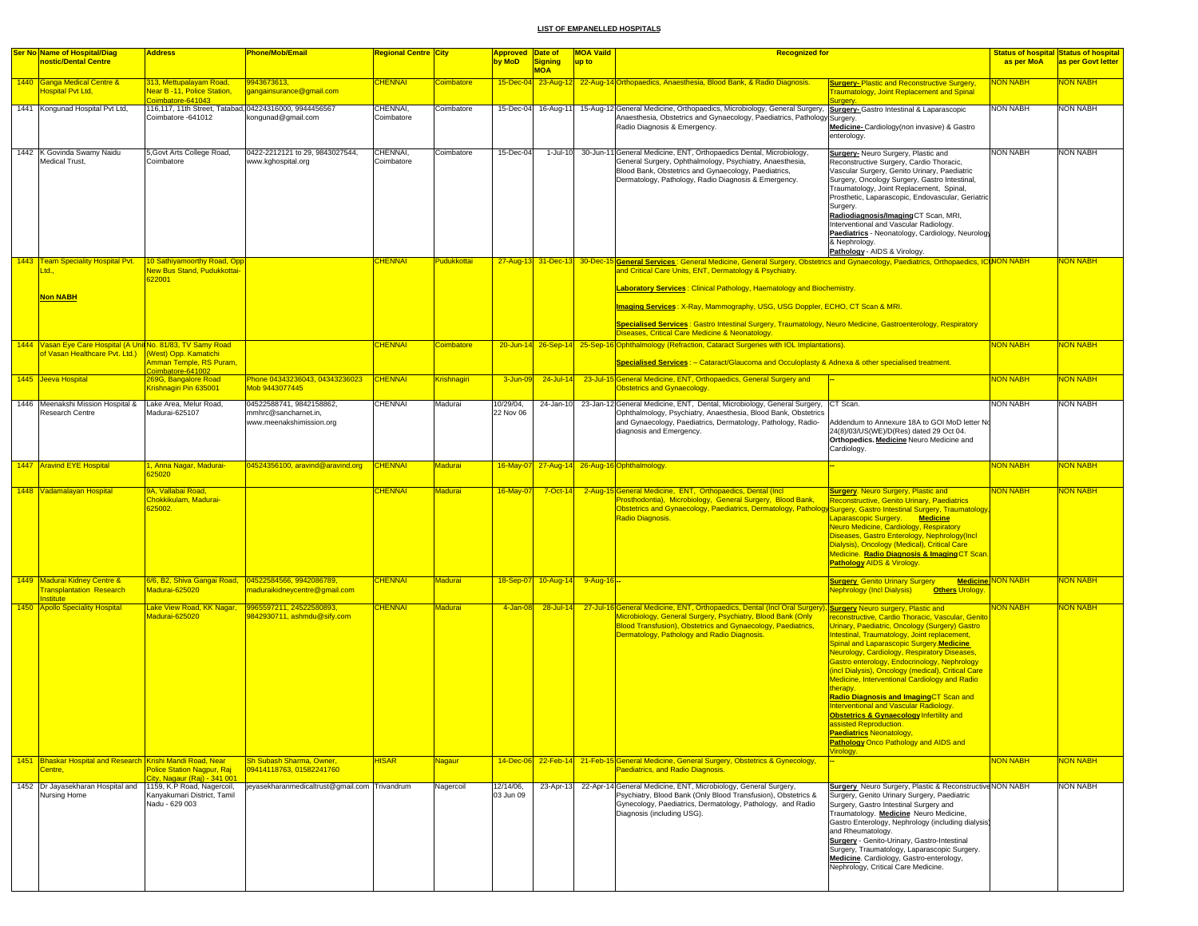| <b>Ser No Name of Hospital/Diag</b>                                                            | <b>Address</b>                                                               | Phone/Mob/Email                                                              | Regional Centre City   |                   | Approved Date of       |                       | <b>MOA Vaild</b> | <b>Recognized for</b>                                                                                                                                                                                                                                                                                                            |                                                                                                                                                                                                                                                                                                                                                                                                                                                                                                                                                                                                                                                                   |                          | <b>Status of hospital Status of hospital</b> |
|------------------------------------------------------------------------------------------------|------------------------------------------------------------------------------|------------------------------------------------------------------------------|------------------------|-------------------|------------------------|-----------------------|------------------|----------------------------------------------------------------------------------------------------------------------------------------------------------------------------------------------------------------------------------------------------------------------------------------------------------------------------------|-------------------------------------------------------------------------------------------------------------------------------------------------------------------------------------------------------------------------------------------------------------------------------------------------------------------------------------------------------------------------------------------------------------------------------------------------------------------------------------------------------------------------------------------------------------------------------------------------------------------------------------------------------------------|--------------------------|----------------------------------------------|
| nostic/Dental Centre                                                                           |                                                                              |                                                                              |                        |                   | by MoD                 | Signing<br><b>MOA</b> | up to            |                                                                                                                                                                                                                                                                                                                                  |                                                                                                                                                                                                                                                                                                                                                                                                                                                                                                                                                                                                                                                                   | as per MoA               | as per Govt letter                           |
| 1440 Ganga Medical Centre &<br>Hospital Pvt Ltd,                                               | 313, Mettupalayam Road,<br>Vear B -11, Police Station.<br>pimbatore-641043   | 943673613.<br>gangainsurance@gmail.com                                       | <b>CHENNAI</b>         | <b>Coimbatore</b> |                        |                       |                  | 15-Dec-04 23-Aug-12 22-Aug-14 Orthopaedics, Anaesthesia, Blood Bank, & Radio Diagnosis.                                                                                                                                                                                                                                          | <b>Surgery-Plastic and Reconstructive Surgery</b><br>raumatology, Joint Replacement and Spinal                                                                                                                                                                                                                                                                                                                                                                                                                                                                                                                                                                    | <b>JON NABH</b>          | <b>VON NABH</b>                              |
| 1441 Kongunad Hospital Pvt Ltd,                                                                | 116,117, 11th Street, Tatabad, 04224316000, 9944456567<br>Coimbatore -641012 | congunad@gmail.com                                                           | CHENNAI,<br>Coimbatore | Coimbatore        | 15-Dec-04              | 16-Aug-11             |                  | 15-Aug-12 General Medicine, Orthopaedics, Microbiology, General Surgery,<br>Anaesthesia, Obstetrics and Gynaecology, Paediatrics, Pathology Surgery.<br>Radio Diagnosis & Emergency.                                                                                                                                             | Surgery- Gastro Intestinal & Laparascopic<br>Medicine-Cardiology(non invasive) & Gastro<br>enterology.                                                                                                                                                                                                                                                                                                                                                                                                                                                                                                                                                            | <b>NON NABH</b>          | <b>NON NABH</b>                              |
| 1442 K Govinda Swamy Naidu<br>Medical Trust,                                                   | 5, Govt Arts College Road,<br>Coimbatore                                     | 0422-2212121 to 29, 9843027544.<br>www.kghospital.org                        | CHENNAI.<br>Coimbatore | Coimbatore        | 15-Dec-04              | 1-Jul-10              |                  | 30-Jun-11 General Medicine, ENT, Orthopaedics Dental, Microbiology,<br>General Surgery, Ophthalmology, Psychiatry, Anaesthesia,<br>Blood Bank, Obstetrics and Gynaecology, Paediatrics,<br>Dermatology, Pathology, Radio Diagnosis & Emergency.                                                                                  | <b>Surgery-</b> Neuro Surgery, Plastic and<br>Reconstructive Surgery, Cardio Thoracic,<br>Vascular Surgery, Genito Urinary, Paediatric<br>Surgery, Oncology Surgery, Gastro Intestinal,<br>Traumatology, Joint Replacement, Spinal,<br>Prosthetic, Laparascopic, Endovascular, Geriatric<br>Surgery.<br>Radiodiagnosis/Imaging CT Scan, MRI,<br>Interventional and Vascular Radiology.<br>Paediatrics - Neonatology, Cardiology, Neurology<br>& Nephrology.<br>Pathology - AIDS & Virology.                                                                                                                                                                       | <b>NON NABH</b>          | <b>NON NABH</b>                              |
| 1443 Team Speciality Hospital Pvt.<br>Ltd.,                                                    | 10 Sathiyamoorthy Road, Opp<br><b>Vew Bus Stand, Pudukkottai-</b><br>322001  |                                                                              | <b>HENNAI</b>          | Pudukkottai       |                        |                       |                  | 27-Aug-13 31-Dec-13 30-Dec-15 General Services: General Medicine, General Surgery, Obstetrics and Gynaecology, Paediatrics, Orthopaedics, ICINON NABH<br>and Critical Care Units, ENT, Dermatology & Psychiatry.                                                                                                                 |                                                                                                                                                                                                                                                                                                                                                                                                                                                                                                                                                                                                                                                                   |                          | NON NABH                                     |
| <b>Non NABH</b>                                                                                |                                                                              |                                                                              |                        |                   |                        |                       |                  | <b>Laboratory Services: Clinical Pathology, Haematology and Biochemistry.</b><br>Imaging Services: X-Ray, Mammography, USG, USG Doppler, ECHO, CT Scan & MRI.<br>Specialised Services: Gastro Intestinal Surgery, Traumatology, Neuro Medicine, Gastroenterology, Respiratory<br>Diseases, Critical Care Medicine & Neonatology. |                                                                                                                                                                                                                                                                                                                                                                                                                                                                                                                                                                                                                                                                   |                          |                                              |
| 1444 Vasan Eye Care Hospital (A Unit No. 81/83, TV Samy Road<br>of Vasan Healthcare Pyt, Ltd.) | West) Opp. Kamatichi<br>mman Temple, RS Puram,                               |                                                                              | <b>CHENNAI</b>         | Coimbatore        |                        |                       |                  | 20-Jun-14 26-Sep-14 25-Sep-16 Ophthalmology (Refraction, Cataract Surgeries with IOL Implantations).<br>Specialised Services : - Cataract/Glaucoma and Occuloplasty & Adnexa & other specialised treatment.                                                                                                                      |                                                                                                                                                                                                                                                                                                                                                                                                                                                                                                                                                                                                                                                                   | NON NABH                 | <b>NON NABH</b>                              |
| 1445 Jeeva Hospital                                                                            | oimbatore-641002<br>269G, Bangalore Road<br>Crishnagiri Pin 635001           | Phone 04343236043, 04343236023<br>Mob 9443077445                             | <b>CHENNAI</b>         | Krishnagiri       | 3-Jun-09               | 24-Jul-14             |                  | 23-Jul-15 General Medicine, ENT, Orthopaedics, General Surgery and<br><b>Obstetrics and Gynaecology.</b>                                                                                                                                                                                                                         |                                                                                                                                                                                                                                                                                                                                                                                                                                                                                                                                                                                                                                                                   | <b>NON NABH</b>          | <b>VON NABH</b>                              |
| 1446 Meenakshi Mission Hospital &<br>Research Centre                                           | Lake Area, Melur Road.<br>Madurai-625107                                     | 04522588741, 9842158862,<br>mmhrc@sancharnet.in,<br>www.meenakshimission.org | <b>CHENNAI</b>         | Madurai           | 10/29/04,<br>22 Nov 06 | 24-Jan-10             |                  | 23-Jan-12 General Medicine, ENT, Dental, Microbiology, General Surgery,<br>Ophthalmology, Psychiatry, Anaesthesia, Blood Bank, Obstetrics<br>and Gynaecology, Paediatrics, Dermatology, Pathology, Radio-<br>diagnosis and Emergency.                                                                                            | CT Scan.<br>Addendum to Annexure 18A to GOI MoD letter No<br>24(8)/03/US(WE)/D(Res) dated 29 Oct 04.<br>Orthopedics. Medicine Neuro Medicine and<br>Cardiology.                                                                                                                                                                                                                                                                                                                                                                                                                                                                                                   | <b>NON NABH</b>          | NON NABH                                     |
| 1447 Aravind EYE Hospital                                                                      | I, Anna Nagar, Madurai-<br>325020                                            | 04524356100, aravind@aravind.org                                             | <b>CHENNAI</b>         | Madurai           |                        |                       |                  | 16-May-07 27-Aug-14 26-Aug-16 Ophthalmology.                                                                                                                                                                                                                                                                                     |                                                                                                                                                                                                                                                                                                                                                                                                                                                                                                                                                                                                                                                                   | <b>NON NABH</b>          | <b>VON NABH</b>                              |
| 1448 Vadamalayan Hospital                                                                      | 9A, Vallabai Road,<br>Chokkikulam, Madurai-<br>25002.                        |                                                                              | <b>CHENNAI</b>         | Madurai           | $16$ -May-07           |                       |                  | 7-Oct-14 2-Aug-15 General Medicine, ENT, Orthopaedics, Dental (Incl<br>Prosthodontia), Microbiology, General Surgery, Blood Bank,<br>Obstetrics and Gynaecology, Paediatrics, Dermatology, Pathology Surgery, Gastro Intestinal Surgery, Traumatology<br>Radio Diagnosis.                                                        | <b>Surgery.</b> Neuro Surgery, Plastic and<br>Reconstructive, Genito Urinary, Paediatrics<br>Laparascopic Surgery. Medicine<br>Neuro Medicine, Cardiology, Respiratory<br>Diseases, Gastro Enterology, Nephrology(Incl<br>Dialysis), Oncology (Medical), Critical Care<br>Medicine. Radio Diagnosis & Imaging CT Scan<br>Pathology AIDS & Virology.                                                                                                                                                                                                                                                                                                               | <b>NON NABH</b>          | <b>VON NABH</b>                              |
| 1449 Madurai Kidney Centre &<br><b>Fransplantation Research</b><br>stitute                     | Madurai-625020                                                               | naduraikidneycentre@gmail.com                                                | <b>CHENNAI</b>         | Madurai           | 18-Sep-07              | 10-Aug-14             | $9-Aug-16$ -     |                                                                                                                                                                                                                                                                                                                                  | <b>Surgery</b> Genito Urinary Surgery<br><b>Nephrology (Incl Dialysis)</b><br><b>Others Urology.</b>                                                                                                                                                                                                                                                                                                                                                                                                                                                                                                                                                              | <b>Medicine NON NABH</b> | <b>NON NABH</b>                              |
| 1450 Apollo Speciality Hospital                                                                | ake View Road, KK Nagar,<br>Madurai-625020                                   | 9965597211, 24522580893,<br>842930711, ashmdu@sify.com                       | <b>CHENNAI</b>         | Madurai           | 4-Jan-08               | 28-Jul-14             |                  | 27-Jul-16 General Medicine, ENT, Orthopaedics, Dental (Incl Oral Surgery), Surgery Neuro surgery, Plastic and<br>Microbiology, General Surgery, Psychiatry, Blood Bank (Only<br>Blood Transfusion), Obstetrics and Gynaecology, Paediatrics,<br>Dermatology, Pathology and Radio Diagnosis.                                      | reconstructive, Cardio Thoracic, Vascular, Genito<br>Jrinary, Paediatric, Oncology (Surgery) Gastro<br>ntestinal, Traumatology, Joint replacement,<br>Spinal and Laparascopic Surgery.Medicine<br>Neurology, Cardiology, Respiratory Diseases,<br>Gastro enterology, Endocrinology, Nephrology<br>(incl Dialysis), Oncology (medical), Critical Care<br>Medicine, Interventional Cardiology and Radio<br>therapy.<br>Radio Diagnosis and ImagingCT Scan and<br>Interventional and Vascular Radiology.<br>Obstetrics & Gynaecology Infertility and<br>ssisted Reproduction<br><b>Paediatrics Neonatology,</b><br>Pathology Onco Pathology and AIDS and<br>irology. | <b>NON NABH</b>          | <b>VON NABH</b>                              |
| 1451 Bhaskar Hospital and Research Krishi Mandi Road, Near<br>Centre.                          | <b>Police Station Nagpur, Rai</b><br>ity, Nagaur (Rai) - 341 001             | Sh Subash Sharma, Owner,<br>09414118763, 01582241760                         | <b>HISAR</b>           | <b>Nagaur</b>     |                        |                       |                  | 14-Dec-06 22-Feb-14 21-Feb-15 General Medicine, General Surgery, Obstetrics & Gynecology,<br><b>Paediatrics, and Radio Diagnosis.</b>                                                                                                                                                                                            |                                                                                                                                                                                                                                                                                                                                                                                                                                                                                                                                                                                                                                                                   | <b>NON NABH</b>          | <b>NON NABH</b>                              |
| 1452 Dr Jayasekharan Hospital and<br>Nursing Home                                              | 1159, K.P Road, Nagercoil,<br>Kanyakumari District, Tamil<br>Nadu - 629 003  | jeyasekharanmedicaltrust@gmail.com Trivandrum                                |                        | Nagercoil         | 12/14/06,<br>03 Jun 09 |                       |                  | 23-Apr-13 22-Apr-14 General Medicine, ENT, Microbiology, General Surgery,<br>Psychiatry, Blood Bank (Only Blood Transfusion), Obstetrics &<br>Gynecology, Paediatrics, Dermatology, Pathology, and Radio<br>Diagnosis (including USG).                                                                                           | <b>Surgery</b> Neuro Surgery, Plastic & Reconstructive NON NABH<br>Surgery, Genito Urinary Surgery, Paediatric<br>Surgery, Gastro Intestinal Surgery and<br>Traumatology. Medicine Neuro Medicine,<br>Gastro Enterology, Nephrology (including dialysis)<br>and Rheumatology.<br>Surgery - Genito-Urinary, Gastro-Intestinal<br>Surgery, Traumatology, Laparascopic Surgery.<br>Medicine. Cardiology, Gastro-enterology,<br>Nephrology, Critical Care Medicine.                                                                                                                                                                                                   |                          | <b>NON NABH</b>                              |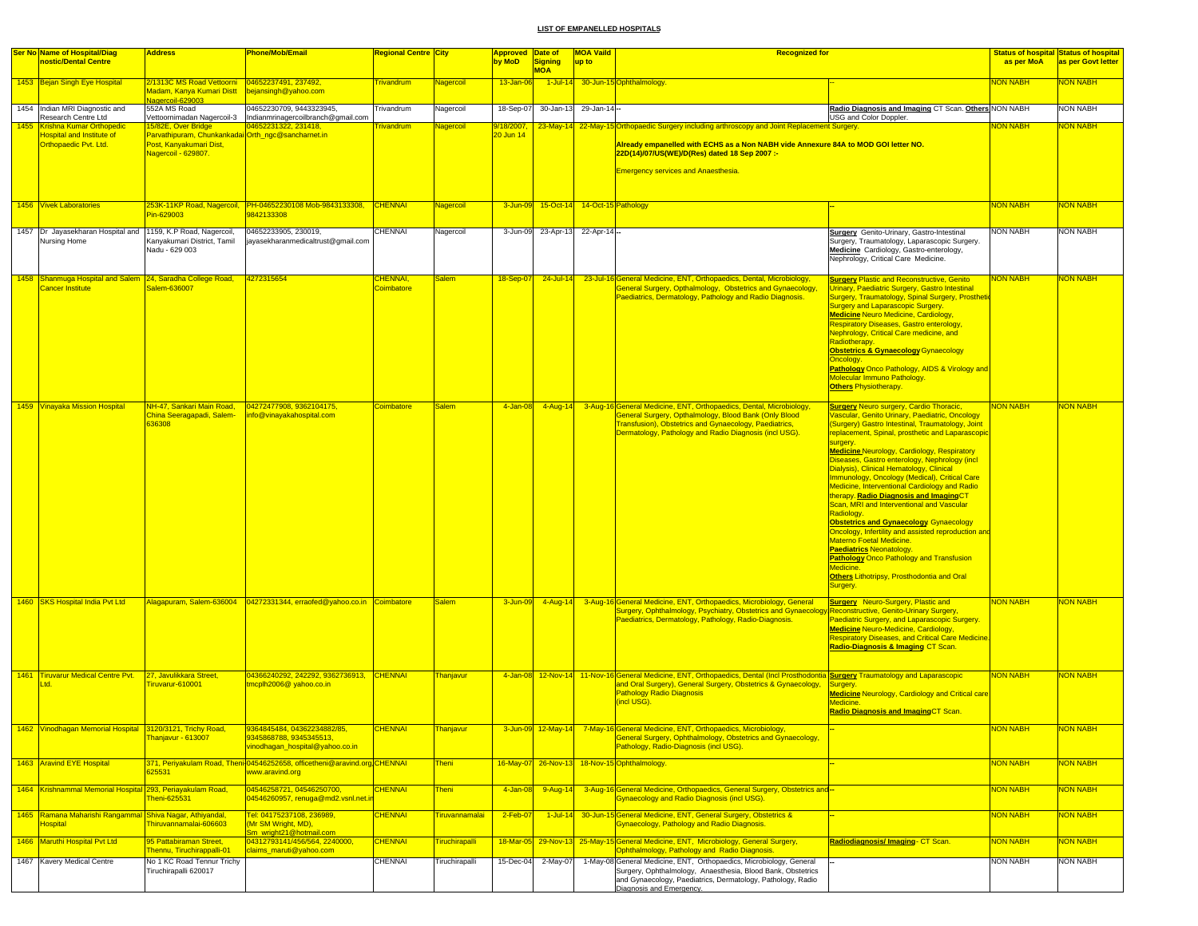| <b>Ser No Name of Hospital/Diag</b>                                                 | <b>Address</b>                                                                                                                   | <b>Phone/Mob/Email</b>                                                                                    | Regional Centre <mark>City</mark> |                       | Approved Date of           |                       | <b>MOA Vaild</b>                       | <b>Recognized for</b>                                                                                                                                                                                                                                                             |                                                                                                                                                                                                                                                                                                                                                                                                                                                                                                                                                                                                                                                                                                                                                                                                                                                                                  |                 | <b>Status of hospital Status of hospital</b> |
|-------------------------------------------------------------------------------------|----------------------------------------------------------------------------------------------------------------------------------|-----------------------------------------------------------------------------------------------------------|-----------------------------------|-----------------------|----------------------------|-----------------------|----------------------------------------|-----------------------------------------------------------------------------------------------------------------------------------------------------------------------------------------------------------------------------------------------------------------------------------|----------------------------------------------------------------------------------------------------------------------------------------------------------------------------------------------------------------------------------------------------------------------------------------------------------------------------------------------------------------------------------------------------------------------------------------------------------------------------------------------------------------------------------------------------------------------------------------------------------------------------------------------------------------------------------------------------------------------------------------------------------------------------------------------------------------------------------------------------------------------------------|-----------------|----------------------------------------------|
| nostic/Dental Centre                                                                |                                                                                                                                  |                                                                                                           |                                   |                       | by MoD                     | Signing<br><b>MOA</b> | up to                                  |                                                                                                                                                                                                                                                                                   |                                                                                                                                                                                                                                                                                                                                                                                                                                                                                                                                                                                                                                                                                                                                                                                                                                                                                  | as per MoA      | as per Govt letter                           |
| 1453 Bejan Singh Eye Hospital                                                       | 2/1313C MS Road Vettoorni   04652237491, 237492,<br>Madam, Kanya Kumari Distt   bejansingh@yahoo.com<br><u> Nagercoil-629003</u> |                                                                                                           | <b>Frivandrum</b>                 | Nagercoil             | 13-Jan-06                  |                       |                                        | 1-Jul-14 30-Jun-15 Ophthalmology.                                                                                                                                                                                                                                                 |                                                                                                                                                                                                                                                                                                                                                                                                                                                                                                                                                                                                                                                                                                                                                                                                                                                                                  | <b>NON NABH</b> | <b>VON NABH</b>                              |
| 1454 Indian MRI Diagnostic and<br>Research Centre Ltd                               | 552A MS Road<br>Vettoornimadan Nagercoil-3                                                                                       | 04652230709, 9443323945,<br>Indianmrinagercoilbranch@gmail.com                                            | Trivandrum                        | Nagercoil             | 18-Sep-07                  | 30-Jan-13             | 29-Jan-14-                             |                                                                                                                                                                                                                                                                                   | Radio Diagnosis and Imaging CT Scan. Others NON NABH<br>USG and Color Doppler.                                                                                                                                                                                                                                                                                                                                                                                                                                                                                                                                                                                                                                                                                                                                                                                                   |                 | <b>NON NABH</b>                              |
| 1455 Krishna Kumar Orthopedic<br>Hospital and Institute of<br>Orthopaedic Pvt. Ltd. | 5/82E, Over Bridge<br>Parvathipuram, Chunkankadai Orth_ngc@sancharnet.in<br>Post, Kanyakumari Dist,<br>Vagercoil - 629807.       | 04652231322, 231418,                                                                                      | <b>Frivandrum</b>                 | Nagercoil             | $3/18/2007$ ,<br>20 Jun 14 |                       |                                        | 23-May-14 22-May-15 Orthopaedic Surgery including arthroscopy and Joint Replacement Surgery.<br>Aiready empanelled with ECHS as a Non NABH vide Annexure 84A to MOD GOI letter NO.<br>22D(14)/07/US(WE)/D(Res) dated 18 Sep 2007 :-<br><b>Emergency services and Anaesthesia.</b> |                                                                                                                                                                                                                                                                                                                                                                                                                                                                                                                                                                                                                                                                                                                                                                                                                                                                                  | <b>VON NABH</b> | <b>NON NABH</b>                              |
| 1456 Vivek Laboratories                                                             | Pin-629003                                                                                                                       | 253K-11KP Road, Nagercoil, PH-04652230108 Mob-9843133308, CHENNAI<br>9842133308                           |                                   | Nagercoil             |                            |                       | 3-Jun-09 15-Oct-14 14-Oct-15 Pathology |                                                                                                                                                                                                                                                                                   |                                                                                                                                                                                                                                                                                                                                                                                                                                                                                                                                                                                                                                                                                                                                                                                                                                                                                  | <b>NON NABH</b> | <b>NON NABH</b>                              |
| 1457 Dr Jayasekharan Hospital and<br>Nursing Home                                   | 1159, K.P Road, Nagercoil,<br>Kanyakumari District, Tamil<br>Nadu - 629 003                                                      | 04652233905, 230019,<br>iavasekharanmedicaltrust@gmail.com                                                | CHENNAI                           | Nagercoil             | 3-Jun-09                   | 23-Apr-13             | 22-Apr-14-                             |                                                                                                                                                                                                                                                                                   | <b>Surgery</b> Genito-Urinary, Gastro-Intestinal<br>Surgery, Traumatology, Laparascopic Surgery.<br>Medicine Cardiology, Gastro-enterology,<br>Nephrology, Critical Care Medicine.                                                                                                                                                                                                                                                                                                                                                                                                                                                                                                                                                                                                                                                                                               | <b>NON NABH</b> | <b>NON NABH</b>                              |
| 1458 Shanmuga Hospital and Salem 24, Saradha College Road,<br>Cancer Institute      | alem-636007                                                                                                                      | 4272315654                                                                                                | CHENNAI,<br>Coimbatore            | <b>Salem</b>          | 18-Sep-07                  | $24$ -Jul-14          |                                        | 23-Jul-16 General Medicine, ENT, Orthopaedics, Dental, Microbiology,<br>General Surgery, Opthalmology, Obstetrics and Gynaecology<br>Paediatrics, Dermatology, Pathology and Radio Diagnosis.                                                                                     | <b>Surgery Plastic and Reconstructive, Genito</b><br>Urinary, Paediatric Surgery, Gastro Intestinal<br>Surgery, Traumatology, Spinal Surgery, Prosthetic<br>Surgery and Laparascopic Surgery.<br><b>Medicine Neuro Medicine, Cardiology,</b><br>Respiratory Diseases, Gastro enterology,<br>Nephrology, Critical Care medicine, and<br>Radiotherapy.<br><b>Obstetrics &amp; Gynaecology Gynaecology</b><br>Oncology.<br>Pathology Onco Pathology, AIDS & Virology and<br>Molecular Immuno Pathology.<br><b>Others Physiotherapy.</b>                                                                                                                                                                                                                                                                                                                                             | <b>NON NABH</b> | <mark>NON NABH</mark>                        |
| 1459 Vinayaka Mission Hospital                                                      | NH-47, Sankari Main Road,<br>China Seeragapadi, Salem-<br>36308                                                                  | 04272477908, 9362104175,<br>nfo@vinayakahospital.com                                                      | Coimbatore                        | <b>Salem</b>          | 4-Jan-08                   | $4 - Aug-14$          |                                        | 3-Aug-16 General Medicine, ENT, Orthopaedics, Dental, Microbiology,<br>General Surgery, Opthalmology, Blood Bank (Only Blood<br>Transfusion), Obstetrics and Gynaecology, Paediatrics,<br>Dermatology, Pathology and Radio Diagnosis (incl USG).                                  | <b>Surgery Neuro surgery, Cardio Thoracic,</b><br>Vascular, Genito Urinary, Paediatric, Oncology<br>(Surgery) Gastro Intestinal, Traumatology, Joint<br>replacement, Spinal, prosthetic and Laparascopic<br>surgery.<br><b>Medicine Neurology, Cardiology, Respiratory</b><br>Diseases, Gastro enterology, Nephrology (incl.<br>Dialysis), Clinical Hematology, Clinical<br>Immunology, Oncology (Medical), Critical Care<br>Medicine, Interventional Cardiology and Radio<br>therapy. Radio Diagnosis and ImagingCT<br>Scan, MRI and Interventional and Vascular<br>Radiology.<br><b>Obstetrics and Gynaecology Gynaecology</b><br>Oncology, Infertility and assisted reproduction and<br>Materno Foetal Medicine.<br><b>Paediatrics Neonatology.</b><br><b>Pathology Onco Pathology and Transfusion</b><br>Medicine.<br>Others Lithotripsy, Prosthodontia and Oral<br>Surgery. | <b>NON NABH</b> | <b>NON NABH</b>                              |
| 1460 SKS Hospital India Pvt Ltd                                                     |                                                                                                                                  |                                                                                                           |                                   | <b>Salem</b>          | 3-Jun-09                   |                       |                                        | 4-Aug-14 3-Aug-16 General Medicine, ENT, Orthopaedics, Microbiology, General<br>,Surgery, Ophthalmology, Psychiatry, Obstetrics and Gynaecology Reconstructive, Genito-Urinary Surgery<br>Paediatrics, Dermatology, Pathology, Radio-Diagnosis.                                   | <b>Surgery</b> Neuro-Surgery, Plastic and<br>Paediatric Surgery, and Laparascopic Surgery.<br><b>Medicine Neuro-Medicine, Cardiology,</b><br><b>Respiratory Diseases, and Critical Care Medicine.</b><br>Radio-Diagnosis & Imaging CT Scan.                                                                                                                                                                                                                                                                                                                                                                                                                                                                                                                                                                                                                                      | <b>NON NABH</b> | <b>NON NABH</b>                              |
| 1461 Tiruvarur Medical Centre Pvt.<br><sub>td</sub>                                 | 27, Javulikkara Street,<br>Firuvarur-610001                                                                                      | 04366240292, 242292, 9362736913, CHENNAI<br>tmcplh2006@ yahoo.co.in                                       |                                   | Thanjavur             |                            |                       |                                        | 4-Jan-08 12-Nov-14 11-Nov-16 General Medicine, ENT, Orthopaedics, Dental (Incl Prosthodontia Surgery Traumatology and Laparascopic<br>and Oral Surgery), General Surgery, Obstetrics & Gynaecology,<br><b>Pathology Radio Diagnosis</b><br>(incl USG).                            | Surgery<br><b>Medicine Neurology, Cardiology and Critical care</b><br>Medicine.<br>Radio Diagnosis and ImagingCT Scan.                                                                                                                                                                                                                                                                                                                                                                                                                                                                                                                                                                                                                                                                                                                                                           | <b>NON NABH</b> | <b>NON NABH</b>                              |
| 1462 Vinodhagan Memorial Hospital 3120/3121, Trichy Road,                           | Fhanjavur - 613007                                                                                                               | 9364845484, 04362234882/85,<br>9345868788, 9345345513,<br>vinodhagan_hospital@yahoo.co.in                 | <b>CHENNAI</b>                    | <u>Thanjavur</u>      |                            |                       |                                        | 3-Jun-09 12-May-14 7-May-16 General Medicine, ENT, Orthopaedics, Microbiology,<br>General Surgery, Ophthalmology, Obstetrics and Gynaecology,<br>Pathology, Radio-Diagnosis (incl USG).                                                                                           |                                                                                                                                                                                                                                                                                                                                                                                                                                                                                                                                                                                                                                                                                                                                                                                                                                                                                  | <b>VON NABH</b> | <b>VON NABH</b>                              |
| 1463 Aravind EYE Hospital                                                           | 325531                                                                                                                           | 371, Periyakulam Road, Theni <sup>1</sup> 04546252658, officetheni@aravind.org CHENNAI<br>www.aravind.org |                                   | <b>Theni</b>          |                            |                       |                                        | 16-May-07 26-Nov-13 18-Nov-15 Ophthalmology.                                                                                                                                                                                                                                      |                                                                                                                                                                                                                                                                                                                                                                                                                                                                                                                                                                                                                                                                                                                                                                                                                                                                                  | <b>NON NABH</b> | <b>NON NABH</b>                              |
| 1464 Krishnammal Memorial Hospital 293, Periayakulam Road,                          | heni-625531                                                                                                                      | 04546258721, 04546250700,<br>04546260957, renuga@md2.vsnl.net.i                                           | <b>CHENNAI</b>                    | <b>Theni</b>          | 4-Jan-08                   | 9-Aug-14              |                                        | 3-Aug-16 General Medicine, Orthopaedics, General Surgery, Obstetrics and-<br><b>Gynaecology and Radio Diagnosis (incl USG)</b>                                                                                                                                                    |                                                                                                                                                                                                                                                                                                                                                                                                                                                                                                                                                                                                                                                                                                                                                                                                                                                                                  | <b>NON NABH</b> | NON NABH                                     |
| 1465 Ramana Maharishi Rangammal Shiva Nagar, Athiyandal,<br>Hospital                | hiruvannamalai-606603                                                                                                            | Tel: 04175237108, 236989,<br>(Mr SM Wright, MD),<br><u>Sm_wright21@hotmail.com_</u>                       | <b>CHENNAI</b>                    | Tiruvannamalai        | 2-Feb-07                   |                       |                                        | 1-Jul-14 30-Jun-15 General Medicine, ENT, General Surgery, Obstetrics &<br>Gynaecology, Pathology and Radio Diagnosis.                                                                                                                                                            |                                                                                                                                                                                                                                                                                                                                                                                                                                                                                                                                                                                                                                                                                                                                                                                                                                                                                  | <b>NON NABH</b> | <b>NON NABH</b>                              |
| 1466 Maruthi Hospital Pvt Ltd                                                       | 95 Pattabiraman Street,<br>Thennu, Tiruchirappalli-01                                                                            | 04312793141/456/564, 2240000,<br>claims_maruti@yahoo.com                                                  | <b>CHENNAI</b>                    | <b>Tiruchirapalli</b> |                            |                       |                                        | 18-Mar-05 29-Nov-13 25-May-15 General Medicine, ENT, Microbiology, General Surgery,<br>Ophthalmology, Pathology and Radio Diagnosis.                                                                                                                                              | Radiodiagnosis/Imaging-CT Scan.                                                                                                                                                                                                                                                                                                                                                                                                                                                                                                                                                                                                                                                                                                                                                                                                                                                  | <b>NON NABH</b> | <b>NON NABH</b>                              |
| 1467 Kavery Medical Centre                                                          | No 1 KC Road Tennur Trichy<br>Tiruchirapalli 620017                                                                              |                                                                                                           | CHENNAI                           | Tiruchirapalli        | 15-Dec-04                  | 2-May-07              |                                        | 1-May-08 General Medicine, ENT, Orthopaedics, Microbiology, General<br>Surgery, Ophthalmology, Anaesthesia, Blood Bank, Obstetrics<br>and Gynaecology, Paediatrics, Dermatology, Pathology, Radio<br>Diagnosis and Emergency.                                                     |                                                                                                                                                                                                                                                                                                                                                                                                                                                                                                                                                                                                                                                                                                                                                                                                                                                                                  | NON NABH        | <b>NON NABH</b>                              |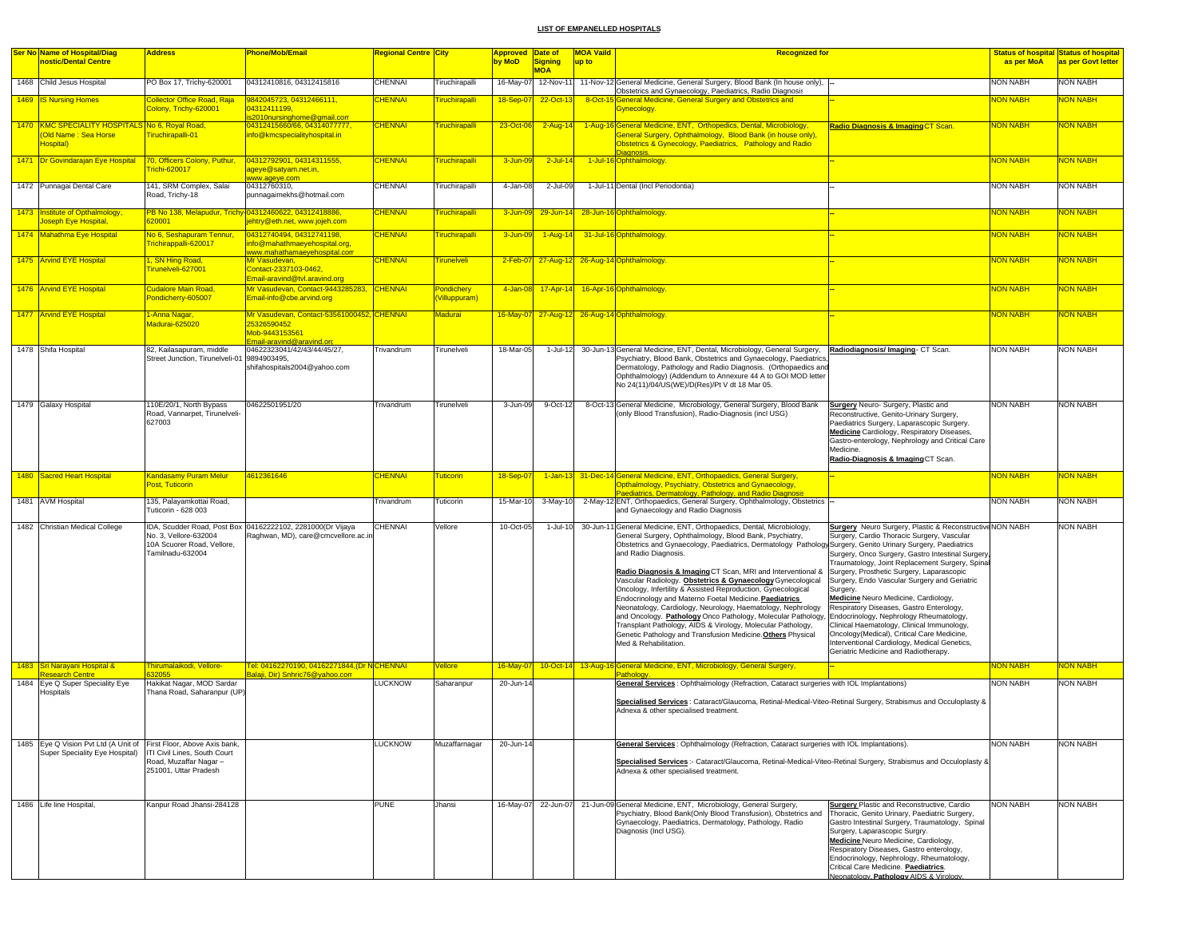| <b>Ser No Name of Hospital/Diag</b>                                                                  | <b>Address</b>                                                                  | <b>Phone/Mob/Email</b>                                                                           | Regional Centre <mark>City</mark> |                            | Approved Date of |                              | <b>MOA Vaild</b> | <b>Recognized for</b>                                                                                                                                                                                                                                                                                                                                                                                                                                                                                                                                                                                                                                                                                                                                                                                               |                                                                                                                                                                                                                                                                                                                                                                                                                                                                                                                                                                                                                                                   |                 | <b>Status of hospital Status of hospital</b> |
|------------------------------------------------------------------------------------------------------|---------------------------------------------------------------------------------|--------------------------------------------------------------------------------------------------|-----------------------------------|----------------------------|------------------|------------------------------|------------------|---------------------------------------------------------------------------------------------------------------------------------------------------------------------------------------------------------------------------------------------------------------------------------------------------------------------------------------------------------------------------------------------------------------------------------------------------------------------------------------------------------------------------------------------------------------------------------------------------------------------------------------------------------------------------------------------------------------------------------------------------------------------------------------------------------------------|---------------------------------------------------------------------------------------------------------------------------------------------------------------------------------------------------------------------------------------------------------------------------------------------------------------------------------------------------------------------------------------------------------------------------------------------------------------------------------------------------------------------------------------------------------------------------------------------------------------------------------------------------|-----------------|----------------------------------------------|
| nostic/Dental Centre                                                                                 |                                                                                 |                                                                                                  |                                   |                            | by MoD           | <b>Signing</b><br><b>MOA</b> | up to            |                                                                                                                                                                                                                                                                                                                                                                                                                                                                                                                                                                                                                                                                                                                                                                                                                     |                                                                                                                                                                                                                                                                                                                                                                                                                                                                                                                                                                                                                                                   | as per MoA      | as per Govt letter                           |
| 1468 Child Jesus Hospital                                                                            | PO Box 17, Trichy-620001                                                        | 04312410816, 04312415816                                                                         | <b>CHENNAI</b>                    | <b>Truchirapalli</b>       | 16-May-07        | 12-Nov-11                    |                  | 11-Nov-12 General Medicine, General Surgery, Blood Bank (In house only),                                                                                                                                                                                                                                                                                                                                                                                                                                                                                                                                                                                                                                                                                                                                            |                                                                                                                                                                                                                                                                                                                                                                                                                                                                                                                                                                                                                                                   | <b>NON NABH</b> | NON NABH                                     |
|                                                                                                      |                                                                                 |                                                                                                  |                                   |                            |                  |                              |                  | Obstetrics and Gynaecology, Paediatrics, Radio Diagnosis                                                                                                                                                                                                                                                                                                                                                                                                                                                                                                                                                                                                                                                                                                                                                            |                                                                                                                                                                                                                                                                                                                                                                                                                                                                                                                                                                                                                                                   |                 |                                              |
| 1469 IS Nursing Homes                                                                                | <b>Collector Office Road, Raja</b><br><b>Colony, Trichy-620001</b>              | 9842045723, 04312466111,<br>04312411199,<br>s2010nursinghome@gmail.com                           | <b>CHENNAI</b>                    | iruchirapalli              | 18-Sep-07        | 22-Oct-13                    |                  | 8-Oct-15 General Medicine, General Surgery and Obstetrics and<br>Gynecology.                                                                                                                                                                                                                                                                                                                                                                                                                                                                                                                                                                                                                                                                                                                                        |                                                                                                                                                                                                                                                                                                                                                                                                                                                                                                                                                                                                                                                   | <b>NON NABH</b> | NON NABH                                     |
| 1470 KMC SPECIALITY HOSPITALS No 6, Royal Road,<br>Old Name: Sea Horse<br>lospital)                  | Firuchirapalli-01                                                               | 04312415660/66, 04314077777,<br>info@kmcspecialityhospital.in                                    | <b>CHENNAI</b>                    | <b>Firuchirapalli</b>      | 23-Oct-06        | $2 - Aug-14$                 |                  | 1-Aug-16 General Medicine, ENT, Orthopedics, Dental, Microbiology,<br>General Surgery, Ophthalmology, Blood Bank (in house only)<br>Obstetrics & Gynecology, Paediatrics, Pathology and Radio                                                                                                                                                                                                                                                                                                                                                                                                                                                                                                                                                                                                                       | Radio Diagnosis & Imaging CT Scan.                                                                                                                                                                                                                                                                                                                                                                                                                                                                                                                                                                                                                | <b>NON NABH</b> | NON NABH                                     |
| 1471 Dr Govindarajan Eye Hospital 70, Officers Colony, Puthur,                                       | richi-620017                                                                    | 04312792901, 04314311555,<br>ageye@satyam.net.in,                                                | <b>CHENNAI</b>                    | iruchirapalli              | 3-Jun-09         | $2$ -Jul-14                  |                  | Diagnosis.<br>1-Jul-16 Ophthalmology.                                                                                                                                                                                                                                                                                                                                                                                                                                                                                                                                                                                                                                                                                                                                                                               |                                                                                                                                                                                                                                                                                                                                                                                                                                                                                                                                                                                                                                                   | <b>NON NABH</b> | <b>NON NABH</b>                              |
| 1472 Punnagai Dental Care                                                                            | 141, SRM Complex, Salai<br>Road, Trichy-18                                      | www.ageye.com<br>04312760310,<br>punnagaimekhs@hotmail.com                                       | <b>CHENNAI</b>                    | iruchirapalli              | 4-Jan-08         | $2$ -Jul-09                  |                  | 1-Jul-11 Dental (Incl Periodontia)                                                                                                                                                                                                                                                                                                                                                                                                                                                                                                                                                                                                                                                                                                                                                                                  |                                                                                                                                                                                                                                                                                                                                                                                                                                                                                                                                                                                                                                                   | <b>NON NABH</b> | NON NABH                                     |
| 1473 Institute of Opthalmology,<br>oseph Eye Hospital,                                               | 320001                                                                          | PB No 138, Melapudur, Trichy 04312460622, 04312418886,<br>jehtry@eth.net, www.jojeh.com          | <b>CHENNAI</b>                    | iruchirapalli              | $3 - Jun-09$     |                              |                  | 29-Jun-14 28-Jun-16 Ophthalmology.                                                                                                                                                                                                                                                                                                                                                                                                                                                                                                                                                                                                                                                                                                                                                                                  |                                                                                                                                                                                                                                                                                                                                                                                                                                                                                                                                                                                                                                                   | <b>NON NABH</b> | NON NABH                                     |
| 1474 Mahathma Eye Hospital                                                                           | No 6, Seshapuram Tennur,<br>Frichirappalli-620017                               | 04312740494, 04312741198,<br>info@mahathmaeyehospital.org<br>www.mahathamaevehospital.com        | <b>CHENNAI</b>                    | <b>Tiruchirapalli</b>      | 3-Jun-09         | $1-Aug-14$                   |                  | 31-Jul-16 Ophthalmology.                                                                                                                                                                                                                                                                                                                                                                                                                                                                                                                                                                                                                                                                                                                                                                                            |                                                                                                                                                                                                                                                                                                                                                                                                                                                                                                                                                                                                                                                   | <b>NON NABH</b> | NON NABH                                     |
| 1475 Arvind EYE Hospital                                                                             | 1, SN Hing Road,<br>irunelveli-627001                                           | Mr Vasudevan.<br>Contact-2337103-0462,<br>Email-aravind@tvl.aravind.org                          | <b>CHENNAI</b>                    | irunelveli                 |                  |                              |                  | 2-Feb-07 27-Aug-12 26-Aug-14 Ophthalmology.                                                                                                                                                                                                                                                                                                                                                                                                                                                                                                                                                                                                                                                                                                                                                                         |                                                                                                                                                                                                                                                                                                                                                                                                                                                                                                                                                                                                                                                   | <b>NON NABH</b> | <b>NON NABH</b>                              |
| 1476 Arvind EYE Hospital                                                                             | <b>Cudalore Main Road,</b><br>ondicherry-605007                                 | Mr Vasudevan, Contact-9443285283, CHENNAI<br>Email-info@cbe.arvind.org                           |                                   | Pondichery<br>Villuppuram) |                  |                              |                  | 4-Jan-08 17-Apr-14 16-Apr-16 Ophthalmology.                                                                                                                                                                                                                                                                                                                                                                                                                                                                                                                                                                                                                                                                                                                                                                         |                                                                                                                                                                                                                                                                                                                                                                                                                                                                                                                                                                                                                                                   | <b>NON NABH</b> | <b>NON NABH</b>                              |
| 1477 Arvind EYE Hospital                                                                             | <mark>1-Anna Nagar,</mark><br>Madurai-625020                                    | Mr Vasudevan, Contact-53561000452, CHENNAI<br>25326590452<br>Mob-9443153561                      |                                   | Madurai                    |                  |                              |                  | 16-May-07 27-Aug-12 26-Aug-14 Ophthalmology.                                                                                                                                                                                                                                                                                                                                                                                                                                                                                                                                                                                                                                                                                                                                                                        |                                                                                                                                                                                                                                                                                                                                                                                                                                                                                                                                                                                                                                                   | <b>NON NABH</b> | <b>NON NABH</b>                              |
| 1478 Shifa Hospital                                                                                  | 82, Kailasapuram, middle                                                        | <u> Email-aravind@aravind.org</u><br>04622323041/42/43/44/45/27,                                 | Trivandrum                        | <b>Firunelveli</b>         | 18-Mar-05        |                              |                  | 1-Jul-12 30-Jun-13 General Medicine, ENT, Dental, Microbiology, General Surgery, Radiodiagnosis/ Imaging- CT Scan.                                                                                                                                                                                                                                                                                                                                                                                                                                                                                                                                                                                                                                                                                                  |                                                                                                                                                                                                                                                                                                                                                                                                                                                                                                                                                                                                                                                   | <b>NON NABH</b> | <b>NON NABH</b>                              |
|                                                                                                      | Street Junction, Tirunelveli-01 9894903495.                                     | shifahospitals2004@yahoo.com                                                                     |                                   |                            |                  |                              |                  | Psychiatry, Blood Bank, Obstetrics and Gynaecology, Paediatrics,<br>Dermatology, Pathology and Radio Diagnosis. (Orthopaedics and<br>Ophthalmology) (Addendum to Annexure 44 A to GOI MOD letter<br>No 24(11)/04/US(WE)/D(Res)/Pt V dt 18 Mar 05.                                                                                                                                                                                                                                                                                                                                                                                                                                                                                                                                                                   |                                                                                                                                                                                                                                                                                                                                                                                                                                                                                                                                                                                                                                                   |                 |                                              |
| 1479 Galaxy Hospital                                                                                 | 110E/20/1, North Bypass<br>Road, Vannarpet, Tirunelveli-<br>627003              | 04622501951/20                                                                                   | Trivandrum                        | Tirunelveli                | 3-Jun-09         | 9-Oct-12                     |                  | 8-Oct-13 General Medicine, Microbiology, General Surgery, Blood Bank<br>(only Blood Transfusion), Radio-Diagnosis (incl USG)                                                                                                                                                                                                                                                                                                                                                                                                                                                                                                                                                                                                                                                                                        | <b>Surgery</b> Neuro- Surgery, Plastic and<br>Reconstructive, Genito-Urinary Surgery,<br>Paediatrics Surgery, Laparascopic Surgery.<br>Medicine Cardiology, Respiratory Diseases,<br>Gastro-enterology, Nephrology and Critical Care<br>Medicine.<br>Radio-Diagnosis & Imaging CT Scan.                                                                                                                                                                                                                                                                                                                                                           | <b>NON NABH</b> | <b>NON NABH</b>                              |
| 1480 Sacred Heart Hospital                                                                           | <b>Kandasamy Puram Melur</b><br>Post, Tuticorin                                 | 4612361646                                                                                       | <b>CHENNAI</b>                    | uticorin                   | $18-Sep-07$      |                              |                  | 1-Jan-13 31-Dec-14 General Medicine, ENT, Orthopaedics, General Surgery,<br>Opthalmology, Psychiatry, Obstetrics and Gynaecology,                                                                                                                                                                                                                                                                                                                                                                                                                                                                                                                                                                                                                                                                                   |                                                                                                                                                                                                                                                                                                                                                                                                                                                                                                                                                                                                                                                   | <b>NON NABH</b> | NON NABH                                     |
| 1481 AVM Hospital                                                                                    | 135, Palayamkottai Road,<br>Tuticorin - 628 003                                 |                                                                                                  | Trivandrum                        | <b>Tuticorin</b>           | 15-Mar-10        | $3-May-10$                   |                  | Paediatrics, Dermatology, Pathology, and Radio Diagnosis<br>2-May-12 ENT, Orthopaedics, General Surgery, Ophthalmology, Obstetrics -<br>and Gynaecology and Radio Diagnosis                                                                                                                                                                                                                                                                                                                                                                                                                                                                                                                                                                                                                                         |                                                                                                                                                                                                                                                                                                                                                                                                                                                                                                                                                                                                                                                   | <b>NON NABH</b> | <b>NON NABH</b>                              |
| 1482 Christian Medical College                                                                       | No. 3. Vellore-632004<br>10A Scuorer Road, Vellore,<br>Tamilnadu-632004         | IDA, Scudder Road, Post Box 04162222102, 2281000(Dr Vijaya<br>Raghwan, MD), care@cmcvellore.ac.i | CHENNAI                           | /ellore                    | 10-Oct-05        | 1-Jul-10                     |                  | 30-Jun-11 General Medicine, ENT, Orthopaedics, Dental, Microbiology,<br>General Surgery, Ophthalmology, Blood Bank, Psychiatry,<br>Obstetrics and Gynaecology, Paediatrics, Dermatology Pathology Surgery, Genito Urinary Surgery, Paediatrics<br>and Radio Diagnosis.<br>Radio Diagnosis & Imaging CT Scan, MRI and Interventional &<br>Vascular Radiology. Obstetrics & Gynaecology Gynecological<br>Oncology, Infertility & Assisted Reproduction, Gynecological<br>Endocrinology and Materno Foetal Medicine. Paediatrics<br>Neonatology, Cardiology, Neurology, Haematology, Nephrology<br>and Oncology. Pathology Onco Pathology, Molecular Pathology,<br>Transplant Pathology, AIDS & Virology, Molecular Pathology,<br>Genetic Pathology and Transfusion Medicine. Others Physical<br>Med & Rehabilitation. | <b>Surgery</b> Neuro Surgery, Plastic & Reconstructive NON NABH<br>Surgery, Cardio Thoracic Surgery, Vascular<br>Surgery, Onco Surgery, Gastro Intestinal Surgery,<br>Traumatology, Joint Replacement Surgery, Spinal<br>Surgery, Prosthetic Surgery, Laparascopic<br>Surgery, Endo Vascular Surgery and Geriatric<br>Surgery.<br>Medicine Neuro Medicine, Cardiology,<br>Respiratory Diseases, Gastro Enterology,<br>Endocrinology, Nephrology Rheumatology,<br>Clinical Haematology, Clinical Immunology,<br>Oncology(Medical), Critical Care Medicine,<br>Interventional Cardiology, Medical Genetics,<br>Geriatric Medicine and Radiotherapy. |                 | <b>NON NABH</b>                              |
| 1483 Sri Narayani Hospital &<br><b>lesearch Centre</b>                                               | hirumalaikodi, Vellore-<br>32055                                                | Tel: 04162270190, 04162271844, (Dr NCHENNAI<br>Balaji, Dir) Snhric76@yahoo.com                   |                                   | ellore                     | $16$ -May-07     |                              |                  | 10-Oct-14 13-Aug-16 General Medicine, ENT, Microbiology, General Surgery,<br>Pathology                                                                                                                                                                                                                                                                                                                                                                                                                                                                                                                                                                                                                                                                                                                              |                                                                                                                                                                                                                                                                                                                                                                                                                                                                                                                                                                                                                                                   | <b>NON NABH</b> | NON NABH                                     |
| 1484 Eye Q Super Speciality Eye                                                                      | Hakikat Nagar, MOD Sardar                                                       |                                                                                                  | LUCKNOW                           | Saharanpur                 | 20-Jun-14        |                              |                  | General Services: Ophthalmology (Refraction, Cataract surgeries with IOL Implantations)                                                                                                                                                                                                                                                                                                                                                                                                                                                                                                                                                                                                                                                                                                                             |                                                                                                                                                                                                                                                                                                                                                                                                                                                                                                                                                                                                                                                   | <b>NON NABH</b> | <b>NON NABH</b>                              |
| Hospitals                                                                                            | Thana Road, Saharanpur (UP)                                                     |                                                                                                  |                                   |                            |                  |                              |                  | Specialised Services : Cataract/Glaucoma, Retinal-Medical-Viteo-Retinal Surgery, Strabismus and Occuloplasty &<br>Adnexa & other specialised treatment.                                                                                                                                                                                                                                                                                                                                                                                                                                                                                                                                                                                                                                                             |                                                                                                                                                                                                                                                                                                                                                                                                                                                                                                                                                                                                                                                   |                 |                                              |
| 1485 Eve Q Vision Pyt Ltd (A Unit of First Floor, Above Axis bank.<br>Super Speciality Eye Hospital) | ITI Civil Lines, South Court<br>Road, Muzaffar Nagar -<br>251001, Uttar Pradesh |                                                                                                  | <b>LUCKNOW</b>                    | Muzaffarnagar              | 20-Jun-14        |                              |                  | General Services : Ophthalmology (Refraction, Cataract surgeries with IOL Implantations).<br>Specialised Services :- Cataract/Glaucoma, Retinal-Medical-Viteo-Retinal Surgery, Strabismus and Occuloplasty &<br>Adnexa & other specialised treatment.                                                                                                                                                                                                                                                                                                                                                                                                                                                                                                                                                               |                                                                                                                                                                                                                                                                                                                                                                                                                                                                                                                                                                                                                                                   | <b>NON NABH</b> | <b>NON NABH</b>                              |
| 1486 Life line Hospital,                                                                             | Kanpur Road Jhansi-284128                                                       |                                                                                                  | <b>PUNE</b>                       | Jhansi                     |                  | 16-May-07 22-Jun-07          |                  | 21-Jun-09 General Medicine, ENT, Microbiology, General Surgery,<br>Psychiatry, Blood Bank(Only Blood Transfusion), Obstetrics and<br>Gynaecology, Paediatrics, Dermatology, Pathology, Radio<br>Diagnosis (Incl USG).                                                                                                                                                                                                                                                                                                                                                                                                                                                                                                                                                                                               | <b>Surgery Plastic and Reconstructive, Cardio</b><br>Thoracic, Genito Urinary, Paediatric Surgery,<br>Gastro Intestinal Surgery, Traumatology, Spinal<br>Surgery, Laparascopic Surgry.<br>Medicine Neuro Medicine, Cardiology,<br>Respiratory Diseases, Gastro enterology,<br>Endocrinology, Nephrology, Rheumatology,<br>Critical Care Medicine. Paediatrics.<br>Neonatology. Pathology AIDS & Virology                                                                                                                                                                                                                                          | <b>NON NABH</b> | <b>NON NABH</b>                              |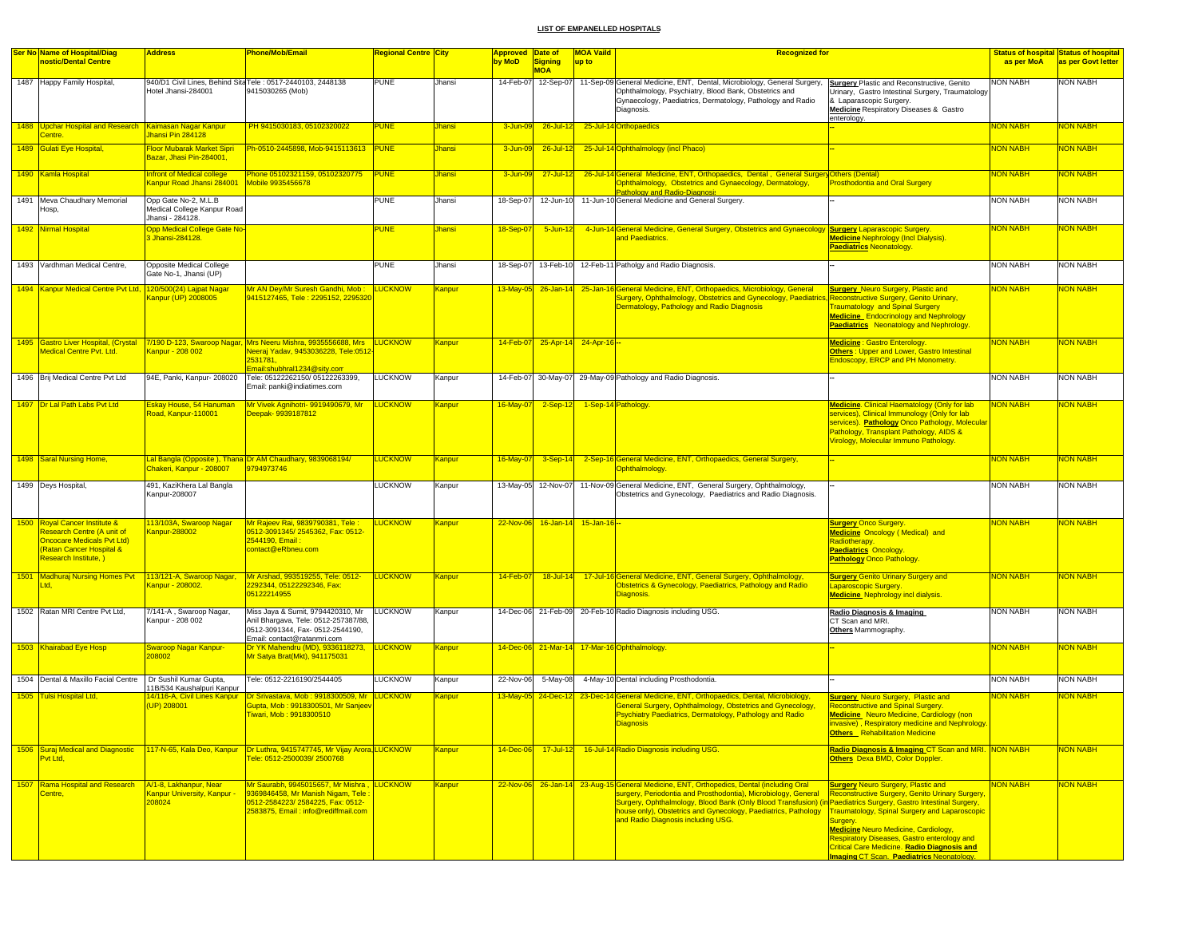| <b>Ser No Name of Hospital/Diag</b>                                                                                                                  | <b>Address</b>                                                              | Phone/Mob/Email                                                                                                                                                                              | Regional Centre <mark>City</mark> |               | Approved Date of |                                | <b>MOA Vaild</b><br><b>Recognized for</b>                                                                                                                                                                                                                                                                                                                                             |                                                                                                                                                                                                                                                                                                                                                                        |                 | Status of hospital Status of hospital |
|------------------------------------------------------------------------------------------------------------------------------------------------------|-----------------------------------------------------------------------------|----------------------------------------------------------------------------------------------------------------------------------------------------------------------------------------------|-----------------------------------|---------------|------------------|--------------------------------|---------------------------------------------------------------------------------------------------------------------------------------------------------------------------------------------------------------------------------------------------------------------------------------------------------------------------------------------------------------------------------------|------------------------------------------------------------------------------------------------------------------------------------------------------------------------------------------------------------------------------------------------------------------------------------------------------------------------------------------------------------------------|-----------------|---------------------------------------|
| nostic/Dental Centre                                                                                                                                 |                                                                             |                                                                                                                                                                                              |                                   |               | by MoD           | <b>Signing</b><br><b>MOA</b>   | up to                                                                                                                                                                                                                                                                                                                                                                                 |                                                                                                                                                                                                                                                                                                                                                                        | as per MoA      | as per Govt letter                    |
| 1487 Happy Family Hospital,                                                                                                                          | Hotel Jhansi-284001                                                         | 940/D1 Civil Lines, Behind Sita Tele: 0517-2440103, 2448138<br>9415030265 (Mob)                                                                                                              | PUNE                              | Jhansi        | 14-Feb-07        | 12-Sep-07                      | 11-Sep-09 General Medicine, ENT, Dental, Microbiology, General Surgery,<br>Ophthalmology, Psychiatry, Blood Bank, Obstetrics and<br>Gynaecology, Paediatrics, Dermatology, Pathology and Radio<br>Diagnosis.                                                                                                                                                                          | <b>Surgery Plastic and Reconstructive, Genito</b><br>Jrinary, Gastro Intestinal Surgery, Traumatology<br>& Laparascopic Surgery.<br>Medicine Respiratory Diseases & Gastro<br>enterology.                                                                                                                                                                              | <b>NON NABH</b> | <b>NON NABH</b>                       |
| 1488 Upchar Hospital and Research Kaimasan Nagar Kanpur<br>Centre.                                                                                   | Jhansi Pin 284128                                                           | PH 9415030183, 05102320022                                                                                                                                                                   | <b>PUNE</b>                       | Jhansi        | 3-Jun-09         | $26$ -Jul-12                   | 25-Jul-14 Orthopaedics                                                                                                                                                                                                                                                                                                                                                                |                                                                                                                                                                                                                                                                                                                                                                        | <b>NON NABH</b> | NON NABH                              |
| 1489 Gulati Eye Hospital,                                                                                                                            | Floor Mubarak Market Sipri<br>Bazar, Jhasi Pin-284001                       | Ph-0510-2445898, Mob-9415113613 PUNE                                                                                                                                                         |                                   | <b>Jhansi</b> | 3-Jun-09         | $26$ -Jul-12                   | 25-Jul-14 Ophthalmology (incl Phaco)                                                                                                                                                                                                                                                                                                                                                  |                                                                                                                                                                                                                                                                                                                                                                        | <b>NON NABH</b> | <b>NON NABH</b>                       |
| 1490 Kamla Hospital                                                                                                                                  | Infront of Medical college<br>Kanpur Road Jhansi 284001                     | Phone 05102321159, 05102320775 PUNE<br>Mobile 9935456678                                                                                                                                     |                                   | Jhansi        | $3 - Jun - 0$    | $27 -$ Jul-12                  | 26-Jul-14 General Medicine, ENT, Orthopaedics, Dental, General Surgery Others (Dental)<br>Ophthalmology, Obstetrics and Gynaecology, Dermatology,<br>Pathology and Radio-Diagnosis                                                                                                                                                                                                    | <b>Prosthodontia and Oral Surgery</b>                                                                                                                                                                                                                                                                                                                                  | <b>NON NABH</b> | NON NABH                              |
| 1491 Meva Chaudhary Memorial<br>Hosp,                                                                                                                | Opp Gate No-2, M.L.B<br>Medical College Kanpur Road<br>Jhansi - 284128.     |                                                                                                                                                                                              | <b>PUNE</b>                       | Jhansi        | 18-Sep-07        | 12-Jun-10                      | 11-Jun-10 General Medicine and General Surgery.                                                                                                                                                                                                                                                                                                                                       |                                                                                                                                                                                                                                                                                                                                                                        | <b>NON NABH</b> | <b>NON NABH</b>                       |
| 1492 Nirmal Hospital                                                                                                                                 | <b>Opp Medical College Gate No-</b><br>3 Jhansi-284128.                     |                                                                                                                                                                                              | <b>PUNE</b>                       | Jhansi        | 18-Sep-0         | $5 - Jun - 12$                 | 4-Jun-14 General Medicine, General Surgery, Obstetrics and Gynaecology Surgery Laparascopic Surgery.<br>and Paediatrics.                                                                                                                                                                                                                                                              | <b>Medicine Nephrology (Incl Dialysis).</b><br>Paediatrics Neonatology.                                                                                                                                                                                                                                                                                                | <b>NON NABH</b> | <b>VON NABH</b>                       |
| 1493 Vardhman Medical Centre,                                                                                                                        | Opposite Medical College<br>Gate No-1, Jhansi (UP)                          |                                                                                                                                                                                              | <b>PUNE</b>                       | Jhansi        | 18-Sep-07        | 13-Feb-10                      | 12-Feb-11 Patholgy and Radio Diagnosis.                                                                                                                                                                                                                                                                                                                                               |                                                                                                                                                                                                                                                                                                                                                                        | <b>NON NABH</b> | <b>NON NABH</b>                       |
| 1494 Kanpur Medical Centre Pvt Ltd, 120/500(24) Lajpat Nagar                                                                                         | Kanpur (UP) 2008005                                                         | Mr AN Dey/Mr Suresh Gandhi, Mob :<br>9415127465, Tele: 2295152, 229532                                                                                                                       | <b>LUCKNOW</b>                    | Kanpur        | $13$ -May-05     | $26 - Jan - 14$                | 25-Jan-16 General Medicine, ENT, Orthopaedics, Microbiology, General<br>Surgery, Ophthalmology, Obstetrics and Gynecology, Paediatrics, Reconstructive Surgery, Genito Urinary,<br>Dermatology, Pathology and Radio Diagnosis                                                                                                                                                         | <b>Surgery</b> Neuro Surgery, Plastic and<br><b>Traumatology and Spinal Surgery</b><br>Medicine Endocrinology and Nephrology<br><b>Paediatrics</b> Neonatology and Nephrology.                                                                                                                                                                                         | <b>NON NABH</b> | <mark>NON NABH</mark>                 |
| <b>Medical Centre Pvt. Ltd.</b>                                                                                                                      | Kanpur - 208 002                                                            | 1495 Gastro Liver Hospital, (Crystal 7/190 D-123, Swaroop Nagar, Mrs Neeru Mishra, 9935556688, Mrs LUCKNOW<br>Neeraj Yadav, 9453036228, Tele:0512<br>2531781,<br>Email:shubhral1234@sity.com |                                   | Kanpur        | 14-Feb-07        |                                | 25-Apr-14 24-Apr-16 --                                                                                                                                                                                                                                                                                                                                                                | Medicine : Gastro Enterology.<br>Others: Upper and Lower, Gastro Intestinal<br>Endoscopy, ERCP and PH Monometry.                                                                                                                                                                                                                                                       | <b>NON NABH</b> | NON NABH                              |
| 1496 Brij Medical Centre Pvt Ltd                                                                                                                     | 94E, Panki, Kanpur- 208020                                                  | Tele: 05122262150/ 05122263399,<br>Email: panki@indiatimes.com                                                                                                                               | <b>LUCKNOW</b>                    | Kanpur        | 14-Feb-07        | 30-May-07                      | 29-May-09 Pathology and Radio Diagnosis.                                                                                                                                                                                                                                                                                                                                              |                                                                                                                                                                                                                                                                                                                                                                        | <b>NON NABH</b> | <b>NON NABH</b>                       |
| 1497 Dr Lal Path Labs Pvt Ltd                                                                                                                        | Eskay House, 54 Hanuman<br>Road, Kanpur-110001                              | Mr Vivek Agnihotri- 9919490679, Mr<br>Deepak- 9939187812                                                                                                                                     | <b>LUCKNOW</b>                    | Kanpur        | 16-May-07        | $2-Sep-12$                     | 1-Sep-14 Pathology                                                                                                                                                                                                                                                                                                                                                                    | Medicine. Clinical Haematology (Only for lab<br>services), Clinical Immunology (Only for lab<br>services). Pathology Onco Pathology, Molecular<br>Pathology, Transplant Pathology, AIDS &<br>Virology, Molecular Immuno Pathology.                                                                                                                                     | <b>NON NABH</b> | <b>VON NABH</b>                       |
| 1498 Saral Nursing Home,                                                                                                                             | Chakeri, Kanpur - 208007                                                    | Lal Bangla (Opposite), Thana Dr AM Chaudhary, 9839068194/<br>9794973746                                                                                                                      | <b>LUCKNOW</b>                    | Kanpur        | $16$ -May-07     | $3-Sep-14$                     | 2-Sep-16 General Medicine, ENT, Orthopaedics, General Surgery,<br>Ophthalmology.                                                                                                                                                                                                                                                                                                      |                                                                                                                                                                                                                                                                                                                                                                        | <b>NON NABH</b> | <b>NON NABH</b>                       |
| 1499 Deys Hospital,                                                                                                                                  | 491, KaziKhera Lal Bangla<br>Kanpur-208007                                  |                                                                                                                                                                                              | LUCKNOW                           | Kanpur        |                  | 13-May-05 12-Nov-07            | 11-Nov-09 General Medicine, ENT, General Surgery, Ophthalmology,<br>Obstetrics and Gynecology, Paediatrics and Radio Diagnosis.                                                                                                                                                                                                                                                       |                                                                                                                                                                                                                                                                                                                                                                        | <b>NON NABH</b> | <b>NON NABH</b>                       |
| 1500 Royal Cancer Institute &<br>Research Centre (A unit of<br><b>Oncocare Medicals Pvt Ltd)</b><br>Ratan Cancer Hospital &<br>Research Institute, ) | 113/103A, Swaroop Nagar<br>Kanpur-288002                                    | Mr Rajeev Rai, 9839790381, Tele<br>0512-3091345/2545362, Fax: 0512-<br>2544190, Email<br>contact@eRbneu.com                                                                                  | <b>UCKNOW</b>                     | <u>Kanpur</u> |                  | 22-Nov-06 16-Jan-14 15-Jan-16- |                                                                                                                                                                                                                                                                                                                                                                                       | <b><u>Surgery Onco Surgery</u></b><br><b>Medicine Oncology (Medical) and</b><br>Radiotherapy.<br><b>Paediatrics Oncology.</b><br><b>Pathology Onco Pathology.</b>                                                                                                                                                                                                      | <b>NON NABH</b> | <mark>NON NABH</mark>                 |
| 1501 Madhuraj Nursing Homes Pvt<br>Ltd.                                                                                                              | 113/121-A, Swaroop Nagar,<br>Canpur - 208002                                | Mr Arshad, 993519255, Tele: 0512-<br>2292344, 05122292346, Fax:<br>05122214955                                                                                                               | <b>LUCKNOW</b>                    | Kanpur        | 14-Feb-07        | $18$ -Jul-14                   | 17-Jul-16 General Medicine, ENT, General Surgery, Ophthalmology,<br>Obstetrics & Gynecology, Paediatrics, Pathology and Radio<br>Diagnosis.                                                                                                                                                                                                                                           | <b>Surgery Genito Urinary Surgery and</b><br>aparoscopic Surgery<br><b>Medicine</b> Nephrology incl dialysis.                                                                                                                                                                                                                                                          | <b>NON NABH</b> | <mark>NON NABH</mark>                 |
| 1502 Ratan MRI Centre Pvt Ltd,                                                                                                                       | 7/141-A, Swaroop Nagar,<br>Kanpur - 208 002                                 | Miss Jaya & Sumit, 9794420310, Mr<br>Anil Bhargava, Tele: 0512-257387/88,<br>0512-3091344, Fax- 0512-2544190,<br>Email: contact@ratanmri.com                                                 | <b>LUCKNOW</b>                    | Kanpur        |                  |                                | 14-Dec-06 21-Feb-09 20-Feb-10 Radio Diagnosis including USG.                                                                                                                                                                                                                                                                                                                          | Radio Diagnosis & Imaging<br>CT Scan and MRI.<br>Others Mammography.                                                                                                                                                                                                                                                                                                   | <b>NON NABH</b> | <b>NON NABH</b>                       |
| 1503 Khairabad Eye Hosp                                                                                                                              | Swaroop Nagar Kanpur-<br>208002                                             | Dr YK Mahendru (MD), 9336118273, LUCKNOW<br>Mr Satya Brat(Mkt), 941175031                                                                                                                    |                                   | <b>Kanpur</b> |                  |                                | 14-Dec-06 21-Mar-14 17-Mar-16 Ophthalmology                                                                                                                                                                                                                                                                                                                                           |                                                                                                                                                                                                                                                                                                                                                                        | <b>NON NABH</b> | NON NABH                              |
| 1504 Dental & Maxillo Facial Centre                                                                                                                  | Dr Sushil Kumar Gupta,<br>11B/534 Kaushalpuri Kanpur                        | Tele: 0512-2216190/2544405                                                                                                                                                                   | <b>LUCKNOW</b>                    | Kanpur        | 22-Nov-06        | 5-May-08                       | 4-May-10 Dental including Prosthodontia.                                                                                                                                                                                                                                                                                                                                              |                                                                                                                                                                                                                                                                                                                                                                        | <b>NON NABH</b> | <b>NON NABH</b>                       |
| 1505 Tulsi Hospital Ltd,                                                                                                                             | 14/116-A. Civil Lines Kanpur<br>(UP) 208001                                 | Dr Srivastava, Mob : 9918300509, Mr<br>Gupta, Mob : 9918300501, Mr Sanieev<br>Tiwari, Mob: 9918300510                                                                                        | <b>LUCKNOW</b>                    | Kanpur        | 13-May-05        | 24-Dec-12                      | 23-Dec-14 General Medicine, ENT, Orthopaedics, Dental, Microbiology,<br>General Surgery, Ophthalmology, Obstetrics and Gynecology,<br>Psychiatry Paediatrics, Dermatology, Pathology and Radio                                                                                                                                                                                        | <b>Surgery</b> Neuro Surgery, Plastic and<br><b>Reconstructive and Spinal Surgery.</b><br>Medicine Neuro Medicine, Cardiology (non<br>invasive), Respiratory medicine and Nephrology<br><b>Others</b> Rehabilitation Medicine                                                                                                                                          | <b>NON NABH</b> | <mark>NON NABH</mark>                 |
| Pvt Ltd,                                                                                                                                             |                                                                             | 1506 Suraj Medical and Diagnostic   117-N-65, Kala Deo, Kanpur   Dr Luthra, 9415747745, Mr Vijay Arora LUCKNOW<br>Fele: 0512-2500039/2500768                                                 |                                   | Kanpur        | 14-Dec-06        | $17 -$ Jul-12                  | 16-Jul-14 Radio Diagnosis including USG.                                                                                                                                                                                                                                                                                                                                              | Radio Diagnosis & Imaging CT Scan and MRI. NON NABH<br>Others Dexa BMD, Color Doppler.                                                                                                                                                                                                                                                                                 |                 | <b>NON NABH</b>                       |
| 1507 Rama Hospital and Research<br>Centre,                                                                                                           | A/1-8, Lakhanpur, Near<br><mark>Kanpur University, Kanpur -</mark><br>08024 | Mr Saurabh, 9945015657, Mr Mishra, LUCKNOW<br>9369846458, Mr Manish Nigam, Tele<br>0512-2584223/2584225, Fax: 0512-<br>2583875, Email: info@rediffmail.com                                   |                                   | Kanpur        |                  |                                | 22-Nov-06 26-Jan-14 23-Aug-15 General Medicine, ENT, Orthopedics, Dental (including Oral<br>surgery, Periodontia and Prosthodontia), Microbiology, General<br>Surgery, Ophthalmology, Blood Bank (Only Blood Transfusion) (in Paediatrics Surgery, Gastro Intestinal Surgery,<br>house only), Obstetrics and Gynecology, Paediatrics, Pathology<br>and Radio Diagnosis including USG. | <b>Surgery Neuro Surgery, Plastic and</b><br><b>Reconstructive Surgery, Genito Urinary Surgery</b><br><b>Fraumatology, Spinal Surgery and Laparoscopic</b><br>Surgery.<br><b>Medicine Neuro Medicine, Cardiology,</b><br><b>Respiratory Diseases, Gastro enterology and</b><br><b>Critical Care Medicine. Radio Diagnosis and</b><br>maging CT Scan. Paediatrics Neona | <b>NON NABH</b> | <b>NON NABH</b>                       |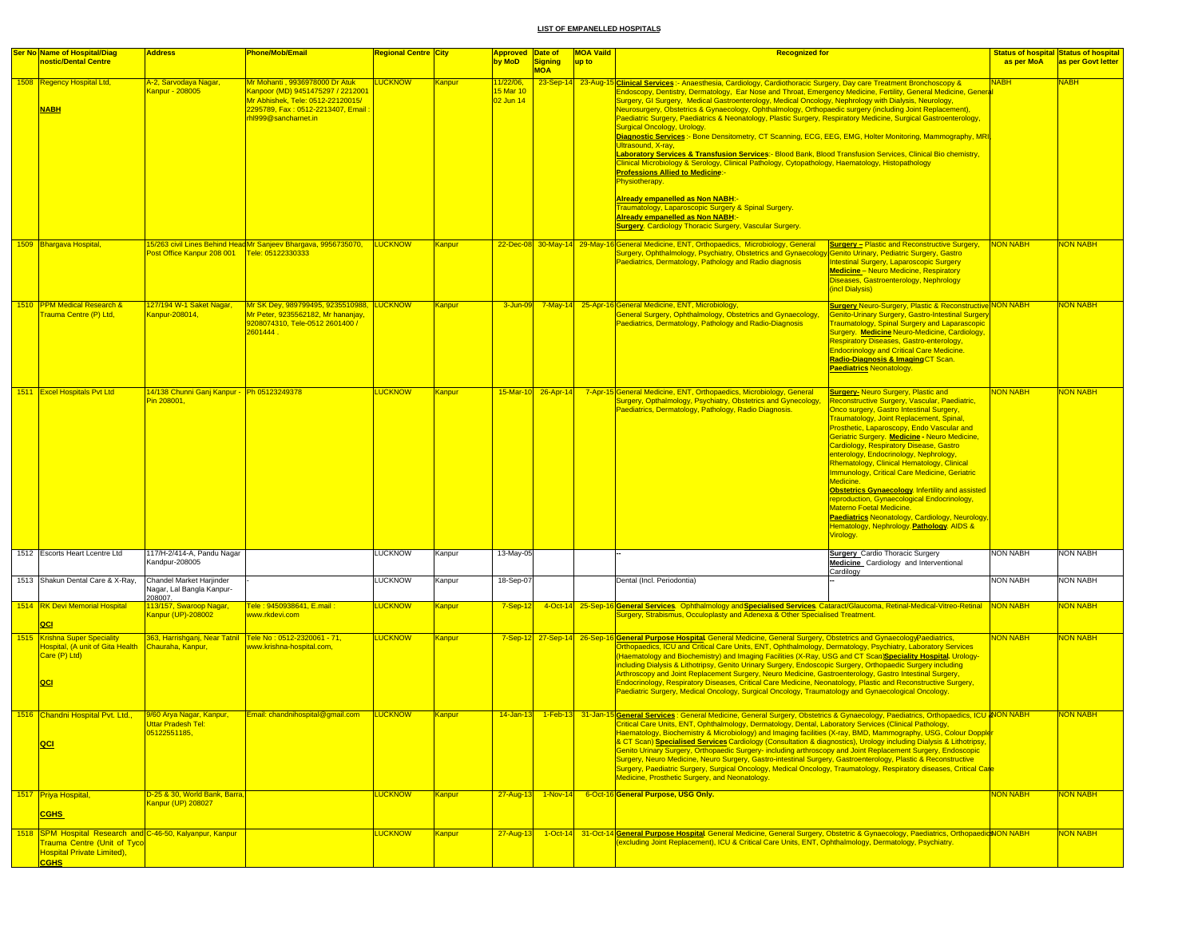| <b>Ser No Name of Hospital/Diag</b><br>nostic/Dental Centre                                                                                         | <b>Address</b>                                                   | Phone/Mob/Email                                                                                                                                                      | <mark>Regional Centre  City</mark> |               | <b>Approved Date of</b><br>by MoD          | Signing<br><b>MOA</b> | <b>MOA Vaild</b><br>up to | <b>Recognized for</b>                                                                                                                                                                                                                                                                                                                                                                                                                                                                                                                                                                                                                                                                                                                                                                                                                                                                                                                                                                                                                                                                                                                                                                                                                                               |                                                                                                                                                                                                                                                                                                                                                                                                                                                                                                                                                                                                                                                                                                                                       | as per MoA      | <b>Status of hospital Status of hospital</b><br>as per Govt letter |
|-----------------------------------------------------------------------------------------------------------------------------------------------------|------------------------------------------------------------------|----------------------------------------------------------------------------------------------------------------------------------------------------------------------|------------------------------------|---------------|--------------------------------------------|-----------------------|---------------------------|---------------------------------------------------------------------------------------------------------------------------------------------------------------------------------------------------------------------------------------------------------------------------------------------------------------------------------------------------------------------------------------------------------------------------------------------------------------------------------------------------------------------------------------------------------------------------------------------------------------------------------------------------------------------------------------------------------------------------------------------------------------------------------------------------------------------------------------------------------------------------------------------------------------------------------------------------------------------------------------------------------------------------------------------------------------------------------------------------------------------------------------------------------------------------------------------------------------------------------------------------------------------|---------------------------------------------------------------------------------------------------------------------------------------------------------------------------------------------------------------------------------------------------------------------------------------------------------------------------------------------------------------------------------------------------------------------------------------------------------------------------------------------------------------------------------------------------------------------------------------------------------------------------------------------------------------------------------------------------------------------------------------|-----------------|--------------------------------------------------------------------|
| 1508 Regency Hospital Ltd,<br><b>NABH</b>                                                                                                           | <mark>A-2, Sarvodaya Nagar,</mark><br>Kanpur - 208005            | Mr Mohanti , 9936978000 Dr Atuk<br>Kanpoor (MD) 9451475297 / 2212001<br>Mr Abhishek, Tele: 0512-22120015/<br>2295789, Fax: 0512-2213407, Email<br>hl999@sanchamet.in | <b>LUCKNOW</b>                     | Kanpur        | <u>11/22/06,</u><br>15 Mar 10<br>02 Jun 14 |                       |                           | 23-Sep-14 23-Aug-15 Clinical Services: - Anaesthesia, Cardiology, Cardiothoracic Surgery, Day care Treatment Bronchoscopy &<br>Endoscopy, Dentistry, Dermatology, Ear Nose and Throat, Emergency Medicine, Fertility, General Medicine, General<br>Surgery, GI Surgery, Medical Gastroenterology, Medical Oncology, Nephrology with Dialysis, Neurology,<br>Neurosurgery, Obstetrics & Gynaecology, Ophthalmology, Orthopaedic surgery (including Joint Replacement),<br>Paediatric Surgery, Paediatrics & Neonatology, Plastic Surgery, Respiratory Medicine, Surgical Gastroenterology,<br>Surgical Oncology, Urology.<br>Diagnostic Services :- Bone Densitometry, CT Scanning, ECG, EEG, EMG, Holter Monitoring, Mammography, MRI<br>Ultrasound, X-ray,<br>Laboratory Services & Transfusion Services:- Blood Bank, Blood Transfusion Services, Clinical Bio chemistry,<br>Clinical Microbiology & Serology, Clinical Pathology, Cytopathology, Haematology, Histopathology<br><u> Professions Allied to Medicine:-</u><br>Physiotherapy.<br><mark>Already empanelled as Non NABH</mark> :-<br>Traumatology, Laparoscopic Surgery & Spinal Surgery.<br><b>Aiready empanelled as Non NABH:</b><br><b>Surgery.</b> Cardiology Thoracic Surgery, Vascular Surgery. |                                                                                                                                                                                                                                                                                                                                                                                                                                                                                                                                                                                                                                                                                                                                       | <u>NABH</u>     | <b>NABH</b>                                                        |
| 1509 Bhargava Hospital,                                                                                                                             | Post Office Kanpur 208 001   Tele: 05122330333                   | 5/263 civil Lines Behind Head Mr Sanjeev Bhargava, 9956735070, LUCKNOW                                                                                               |                                    | <b>Kanpur</b> |                                            |                       |                           | 22-Dec-08 30-May-14 29-May-16 General Medicine, ENT, Orthopaedics, Microbiology, General<br>Surgery, Ophthalmology, Psychiatry, Obstetrics and Gynaecology Genito Urinary, Pediatric Surgery, Gastro<br>Paediatrics, Dermatology, Pathology and Radio diagnosis                                                                                                                                                                                                                                                                                                                                                                                                                                                                                                                                                                                                                                                                                                                                                                                                                                                                                                                                                                                                     | <b>Surgery - Plastic and Reconstructive Surgery,</b><br>Intestinal Surgery, Laparoscopic Surgery<br><b>Medicine</b> - Neuro Medicine, Respiratory<br>Diseases, Gastroenterology, Nephrology<br>(incl Dialysis)                                                                                                                                                                                                                                                                                                                                                                                                                                                                                                                        | NON NABH        | NON NABH                                                           |
| 1510 PPM Medical Research &<br>Trauma Centre (P) Ltd,                                                                                               | 127/194 W-1 Saket Nagar,<br>Kanpur-208014,                       | Mr SK Dey, 989799495, 9235510988, LUCKNOW<br>Mr Peter, 9235562182, Mr hananjay,<br>9208074310, Tele-0512 2601400 /<br>2601444                                        |                                    | Kanpur        |                                            |                       |                           | 3-Jun-09 7-May-14 25-Apr-16 General Medicine, ENT, Microbiology,<br>General Surgery, Ophthalmology, Obstetrics and Gynaecology<br>Paediatrics, Dermatology, Pathology and Radio-Diagnosis                                                                                                                                                                                                                                                                                                                                                                                                                                                                                                                                                                                                                                                                                                                                                                                                                                                                                                                                                                                                                                                                           | <b>Surgery Neuro-Surgery, Plastic &amp; Reconstructive NON NABH</b><br><b>Genito-Urinary Surgery, Gastro-Intestinal Surgery</b><br><b>Traumatology, Spinal Surgery and Laparascopic</b><br>Surgery. Medicine Neuro-Medicine, Cardiology,<br>Respiratory Diseases, Gastro-enterology,<br><b>Endocrinology and Critical Care Medicine.</b><br>Radio-Diagnosis & Imaging CT Scan.<br><b>Paediatrics Neonatology.</b>                                                                                                                                                                                                                                                                                                                     |                 | <b>NON NABH</b>                                                    |
| 1511 Excel Hospitals Pvt Ltd                                                                                                                        | 14/138 Chunni Gani Kanpur - Ph 05123249378<br>Pin 208001,        |                                                                                                                                                                      | <b>LUCKNOW</b>                     | Kanpur        | 15-Mar-10 26-Apr-14                        |                       |                           | 7-Apr-15 General Medicine, ENT, Orthopaedics, Microbiology, General<br>Surgery, Opthalmology, Psychiatry, Obstetrics and Gynecology,<br>Paediatrics, Dermatology, Pathology, Radio Diagnosis.                                                                                                                                                                                                                                                                                                                                                                                                                                                                                                                                                                                                                                                                                                                                                                                                                                                                                                                                                                                                                                                                       | <b>Surgery- Neuro Surgery, Plastic and</b><br>Reconstructive Surgery, Vascular, Paediatric,<br>Onco surgery, Gastro Intestinal Surgery.<br>Traumatology, Joint Replacement, Spinal,<br>Prosthetic, Laparoscopy, Endo Vascular and<br>Geriatric Surgery. Medicine - Neuro Medicine,<br>Cardiology, Respiratory Disease, Gastro<br>enterology, Endocrinology, Nephrology,<br>Rhematology, Clinical Hematology, Clinical<br><b>Immunology, Critical Care Medicine, Geriatric</b><br>Medicine.<br>Obstetrics Gynaecology. Infertility and assisted<br>reproduction, Gynaecological Endocrinology,<br>Materno Foetal Medicine.<br>Paediatrics Neonatology, Cardiology, Neurology<br>Hematology, Nephrology. Pathology. AIDS &<br>Virology. | <b>NON NABH</b> | NON NABH                                                           |
| 1512 Escorts Heart Lcentre Ltd                                                                                                                      | 117/H-2/414-A, Pandu Nagar<br>Kandpur-208005                     |                                                                                                                                                                      | <b>LUCKNOW</b>                     | Kanpur        | 13-May-05                                  |                       |                           |                                                                                                                                                                                                                                                                                                                                                                                                                                                                                                                                                                                                                                                                                                                                                                                                                                                                                                                                                                                                                                                                                                                                                                                                                                                                     | <b>Surgery</b> Cardio Thoracic Surgery<br>Medicine Cardiology and Interventional<br>Cardilogy                                                                                                                                                                                                                                                                                                                                                                                                                                                                                                                                                                                                                                         | <b>NON NABH</b> | NON NABH                                                           |
| 1513 Shakun Dental Care & X-Ray,                                                                                                                    | Chandel Market Harjinder<br>Nagar, Lal Bangla Kanpur-<br>208007. |                                                                                                                                                                      | <b>LUCKNOW</b>                     | Kanpur        | 18-Sep-07                                  |                       |                           | Dental (Incl. Periodontia)                                                                                                                                                                                                                                                                                                                                                                                                                                                                                                                                                                                                                                                                                                                                                                                                                                                                                                                                                                                                                                                                                                                                                                                                                                          |                                                                                                                                                                                                                                                                                                                                                                                                                                                                                                                                                                                                                                                                                                                                       | <b>NON NABH</b> | <b>NON NABH</b>                                                    |
| 1514 RK Devi Memorial Hospital<br>QCI                                                                                                               | 113/157, Swaroop Nagar,<br>Kanpur (UP)-208002                    | Tele: 9450938641, E.mail:<br>www.rkdevi.com                                                                                                                          | <b>LUCKNOW</b>                     | Kanpur        | $7-Sep-12$                                 |                       |                           | 4-Oct-14 25-Sep-16 General Services. Ophthalmology and Specialised Services. Cataract/Glaucoma, Retinal-Medical-Vitreo-Retinal NON NABH                                                                                                                                                                                                                                                                                                                                                                                                                                                                                                                                                                                                                                                                                                                                                                                                                                                                                                                                                                                                                                                                                                                             |                                                                                                                                                                                                                                                                                                                                                                                                                                                                                                                                                                                                                                                                                                                                       |                 | NON NABH                                                           |
| 1515 Krishna Super Speciality<br>Hospital, (A unit of Gita Health<br>Care (P) Ltd)<br>QCI                                                           | Chauraha, Kanpur,                                                | 363, Harrishganj, Near Tatnil Tele No : 0512-2320061 - 71,<br>www.krishna-hospital.com.                                                                              | <b>LUCKNOW</b>                     | Kanpur        |                                            |                       |                           | Surgery, Strabismus, Occuloplasty and Adenexa & Other Specialised Treatment.<br>7-Sep-12 27-Sep-14 26-Sep-16 General Purpose Hospital General Medicine, General Surgery, Obstetrics and GynaecologyPaediatrics,<br>Orthopaedics, ICU and Critical Care Units, ENT, Ophthalmology, Dermatology, Psychiatry, Laboratory Services<br>Haematology and Biochemistry) and Imaging Facilities (X-Ray, USG and CT Scan)Speciality Hospital. Urology-<br>including Dialysis & Lithotripsy, Genito Urinary Surgery, Endoscopic Surgery, Orthopaedic Surgery including<br>Arthroscopy and Joint Replacement Surgery, Neuro Medicine, Gastroenterology, Gastro Intestinal Surgery,<br>Endocrinology, Respiratory Diseases, Critical Care Medicine, Neonatology, Plastic and Reconstructive Surgery,<br>Paediatric Surgery, Medical Oncology, Surgical Oncology, Traumatology and Gynaecological Oncology.                                                                                                                                                                                                                                                                                                                                                                       |                                                                                                                                                                                                                                                                                                                                                                                                                                                                                                                                                                                                                                                                                                                                       | <b>NON NABH</b> | NON NABH                                                           |
| 1516 Chandni Hospital Pvt. Ltd.,<br>QCI                                                                                                             | 9/60 Arya Nagar, Kanpur,<br>05122551185,                         | Email: chandnihospital@gmail.com                                                                                                                                     | <b>LUCKNOW</b>                     | Kanpur        | $14$ -Jan-13                               |                       |                           | 1-Feb-13 31-Jan-15 General Services : General Medicine, General Surgery, Obstetrics & Gynaecology, Paediatrics, Orthopaedics, ICU & ION NABH<br><b>ENT, Ophthalmology, Dermato</b><br>pqy, Dental, Laboratory Service<br><b>Para Hnite</b><br>Haematology, Biochemistry & Microbiology) and Imaging facilities (X-ray, BMD, Mammography, USG, Colour Dopple <mark>r</mark><br>& CT Scan) Specialised Services Cardiology (Consultation & diagnostics), Urology including Dialysis & Lithotripsy,<br>Genito Urinary Surgery, Orthopaedic Surgery- including arthroscopy and Joint Replacement Surgery, Endoscopic<br>Surgery, Neuro Medicine, Neuro Surgery, Gastro-intestinal Surgery, Gastroenterology, Plastic & Reconstructive<br>Surgery, Paediatric Surgery, Surgical Oncology, Medical Oncology, Traumatology, Respiratory diseases, Critical Care<br>Medicine, Prosthetic Surgery, and Neonatology.                                                                                                                                                                                                                                                                                                                                                          |                                                                                                                                                                                                                                                                                                                                                                                                                                                                                                                                                                                                                                                                                                                                       |                 | <b>NON NABH</b>                                                    |
| 1517 Priya Hospital,<br><b>CGHS</b>                                                                                                                 | D-25 & 30, World Bank, Barra,<br>Kanpur (UP) 208027              |                                                                                                                                                                      | <b>LUCKNOW</b>                     | Kanpur        | 27-Aug-13 1-Nov-14                         |                       |                           | 6-Oct-16 General Purpose, USG Only.                                                                                                                                                                                                                                                                                                                                                                                                                                                                                                                                                                                                                                                                                                                                                                                                                                                                                                                                                                                                                                                                                                                                                                                                                                 |                                                                                                                                                                                                                                                                                                                                                                                                                                                                                                                                                                                                                                                                                                                                       | <b>NON NABH</b> | <b>NON NABH</b>                                                    |
| 1518 SPM Hospital Research and C-46-50, Kalyanpur, Kanpur<br><b>Trauma Centre (Unit of Tyco</b><br><b>Hospital Private Limited),</b><br><b>CGHS</b> |                                                                  |                                                                                                                                                                      | <b>LUCKNOW</b>                     | Kanpur        | $27 - Aug-13$                              |                       |                           | 1-Oct-14 31-Oct-14 General Purpose Hospital General Medicine, General Surgery, Obstetric & Gynaecology, Paediatrics, OrthopaedictNON NABH<br>(excluding Joint Replacement), ICU & Critical Care Units, ENT, Ophthalmology, Dermatology, Psychiatry.                                                                                                                                                                                                                                                                                                                                                                                                                                                                                                                                                                                                                                                                                                                                                                                                                                                                                                                                                                                                                 |                                                                                                                                                                                                                                                                                                                                                                                                                                                                                                                                                                                                                                                                                                                                       |                 | <b>NON NABH</b>                                                    |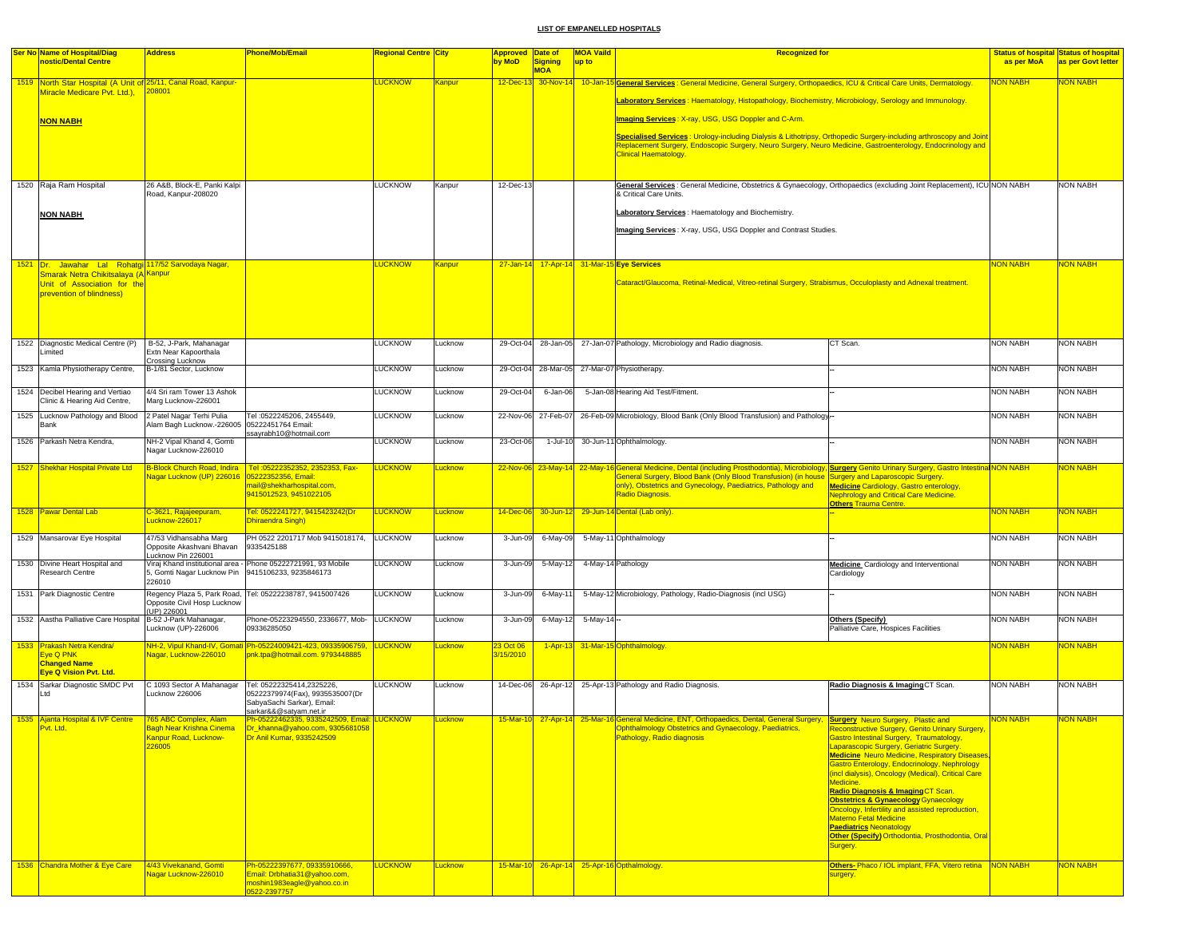|      | <b>Ser No Name of Hospital/Diag</b>                                         | <b>Address</b>                                      | Phone/Mob/Email                                                                                          | Regional Centre <mark> City</mark> |                     | <b>Approved Date of</b>      |                              | <b>MOA Vaild</b>   | <b>Recognized for</b>                                                                                                                                                                                                                                          |                                                                                                    |                 | <b>Status of hospital Status of hospital</b> |
|------|-----------------------------------------------------------------------------|-----------------------------------------------------|----------------------------------------------------------------------------------------------------------|------------------------------------|---------------------|------------------------------|------------------------------|--------------------|----------------------------------------------------------------------------------------------------------------------------------------------------------------------------------------------------------------------------------------------------------------|----------------------------------------------------------------------------------------------------|-----------------|----------------------------------------------|
|      | nostic/Dental Centre                                                        |                                                     |                                                                                                          |                                    |                     | by MoD                       | <b>Signing</b><br><b>MOA</b> | up to              |                                                                                                                                                                                                                                                                |                                                                                                    | as per MoA      | as per Govt letter                           |
|      | 1519 North Star Hospital (A Unit of 25/11, Canal Road, Kanpur-              |                                                     |                                                                                                          | <b>LUCKNOW</b>                     | Kanpur              |                              |                              |                    | 12-Dec-13 30-Nov-14 10-Jan-15 General Services: General Medicine, General Surgery, Orthopaedics, ICU & Critical Care Units, Dermatology.                                                                                                                       |                                                                                                    | <u> NABH</u>    | <b>JON NABH</b>                              |
|      | Miracle Medicare Pvt. Ltd.),                                                | 208001                                              |                                                                                                          |                                    |                     |                              |                              |                    | Laboratory Services : Haematology, Histopathology, Biochemistry, Microbiology, Serology and Immunology.                                                                                                                                                        |                                                                                                    |                 |                                              |
|      |                                                                             |                                                     |                                                                                                          |                                    |                     |                              |                              |                    |                                                                                                                                                                                                                                                                |                                                                                                    |                 |                                              |
|      | <b>NON NABH</b>                                                             |                                                     |                                                                                                          |                                    |                     |                              |                              |                    | Imaging Services: X-ray, USG, USG Doppler and C-Arm.                                                                                                                                                                                                           |                                                                                                    |                 |                                              |
|      |                                                                             |                                                     |                                                                                                          |                                    |                     |                              |                              |                    | Specialised Services : Urology-including Dialysis & Lithotripsy, Orthopedic Surgery-including arthroscopy and Joint<br>Replacement Surgery, Endoscopic Surgery, Neuro Surgery, Neuro Medicine, Gastroenterology, Endocrinology and                             |                                                                                                    |                 |                                              |
|      |                                                                             |                                                     |                                                                                                          |                                    |                     |                              |                              |                    | Clinical Haematology.                                                                                                                                                                                                                                          |                                                                                                    |                 |                                              |
|      |                                                                             |                                                     |                                                                                                          |                                    |                     |                              |                              |                    |                                                                                                                                                                                                                                                                |                                                                                                    |                 |                                              |
|      | 1520 Raja Ram Hospital                                                      | 26 A&B, Block-E, Panki Kalpi                        |                                                                                                          | <b>LUCKNOW</b>                     | Kanpur              | 12-Dec-13                    |                              |                    | General Services : General Medicine, Obstetrics & Gynaecology, Orthopaedics (excluding Joint Replacement), ICU NON NABH                                                                                                                                        |                                                                                                    |                 | NON NABH                                     |
|      |                                                                             | Road, Kanpur-208020                                 |                                                                                                          |                                    |                     |                              |                              |                    | & Critical Care Units.                                                                                                                                                                                                                                         |                                                                                                    |                 |                                              |
|      | <b>NON NABH</b>                                                             |                                                     |                                                                                                          |                                    |                     |                              |                              |                    | Laboratory Services: Haematology and Biochemistry.                                                                                                                                                                                                             |                                                                                                    |                 |                                              |
|      |                                                                             |                                                     |                                                                                                          |                                    |                     |                              |                              |                    | Imaging Services: X-ray, USG, USG Doppler and Contrast Studies.                                                                                                                                                                                                |                                                                                                    |                 |                                              |
|      |                                                                             |                                                     |                                                                                                          |                                    |                     |                              |                              |                    |                                                                                                                                                                                                                                                                |                                                                                                    |                 |                                              |
| 1521 | Dr. Jawahar Lal Rohatgi 117/52 Sarvodaya Nagar,                             |                                                     |                                                                                                          | <b>LUCKNOW</b>                     | <mark>Kanpur</mark> |                              |                              |                    | 27-Jan-14 17-Apr-14 31-Mar-15 Eye Services                                                                                                                                                                                                                     |                                                                                                    | <b>NON NABH</b> | <b>JON NABH</b>                              |
|      | Smarak Netra Chikitsalaya (A <sup> Kanpur</sup>                             |                                                     |                                                                                                          |                                    |                     |                              |                              |                    |                                                                                                                                                                                                                                                                |                                                                                                    |                 |                                              |
|      | Unit of Association for the<br>prevention of blindness)                     |                                                     |                                                                                                          |                                    |                     |                              |                              |                    | Cataract/Glaucoma, Retinal-Medical, Vitreo-retinal Surgery, Strabismus, Occuloplasty and Adnexal treatment.                                                                                                                                                    |                                                                                                    |                 |                                              |
|      |                                                                             |                                                     |                                                                                                          |                                    |                     |                              |                              |                    |                                                                                                                                                                                                                                                                |                                                                                                    |                 |                                              |
|      |                                                                             |                                                     |                                                                                                          |                                    |                     |                              |                              |                    |                                                                                                                                                                                                                                                                |                                                                                                    |                 |                                              |
|      |                                                                             |                                                     |                                                                                                          |                                    |                     |                              |                              |                    |                                                                                                                                                                                                                                                                |                                                                                                    |                 |                                              |
|      | 1522 Diagnostic Medical Centre (P)<br>imited                                | B-52, J-Park, Mahanagar<br>Extn Near Kapoorthala    |                                                                                                          | <b>LUCKNOW</b>                     | Lucknow             |                              |                              |                    | CT Scan.<br>29-Oct-04 28-Jan-05 27-Jan-07 Pathology, Microbiology and Radio diagnosis.                                                                                                                                                                         |                                                                                                    | <b>NON NABH</b> | NON NABH                                     |
|      | 1523 Kamla Physiotherapy Centre,                                            | Crossing Lucknow<br>B-1/81 Sector, Lucknow          |                                                                                                          | LUCKNOW                            | Lucknow             |                              |                              |                    | 29-Oct-04 28-Mar-05 27-Mar-07 Physiotherapy.                                                                                                                                                                                                                   |                                                                                                    | <b>NON NABH</b> | <b>NON NABH</b>                              |
|      |                                                                             |                                                     |                                                                                                          |                                    |                     |                              |                              |                    |                                                                                                                                                                                                                                                                |                                                                                                    |                 |                                              |
|      | 1524 Decibel Hearing and Vertiao<br>Clinic & Hearing Aid Centre,            | 4/4 Sri ram Tower 13 Ashok<br>Marg Lucknow-226001   |                                                                                                          | LUCKNOW                            | Lucknow             | 29-Oct-04                    | 6-Jan-06                     |                    | 5-Jan-08 Hearing Aid Test/Fitment.                                                                                                                                                                                                                             |                                                                                                    | <b>NON NABH</b> | NON NABH                                     |
|      | 1525 Lucknow Pathology and Blood 2 Patel Nagar Terhi Pulia                  |                                                     | Tel: 0522245206, 2455449,                                                                                | <b>LUCKNOW</b>                     | Lucknow             |                              |                              |                    | 22-Nov-06 27-Feb-07 26-Feb-09 Microbiology, Blood Bank (Only Blood Transfusion) and Pathology.                                                                                                                                                                 |                                                                                                    | <b>NON NABH</b> | <b>NON NABH</b>                              |
|      | Bank                                                                        | Nam Bagh Lucknow.-226005 05222451764 Email:         |                                                                                                          |                                    |                     |                              |                              |                    |                                                                                                                                                                                                                                                                |                                                                                                    |                 |                                              |
|      | 1526 Parkash Netra Kendra,                                                  | NH-2 Vipal Khand 4, Gomti                           | ssayrabh10@hotmail.com                                                                                   | <b>LUCKNOW</b>                     | Lucknow             | 23-Oct-06                    |                              |                    | 1-Jul-10 30-Jun-11 Ophthalmology                                                                                                                                                                                                                               |                                                                                                    | <b>NON NABH</b> | <b>NON NABH</b>                              |
|      |                                                                             | Nagar Lucknow-226010                                |                                                                                                          |                                    |                     |                              |                              |                    |                                                                                                                                                                                                                                                                |                                                                                                    |                 |                                              |
|      | 1527 Shekhar Hospital Private Ltd                                           | <b>B-Block Church Road, Indira</b>                  | Tel: 05222352352, 2352353, Fax-                                                                          | <u>LUCKNOW</u>                     | Lucknow             |                              |                              |                    | 22-Nov-06 23-May-14 22-May-16 General Medicine, Dental (including Prosthodontia), Microbiology, Surgery Genito Urinary Surgery, Gastro Intestinal NON NABH<br>General Surgery, Blood Bank (Only Blood Transfusion) (in house Surgery and Laparoscopic Surgery. |                                                                                                    |                 | <mark>NON NABH</mark>                        |
|      |                                                                             |                                                     | nail@shekharhospital.com,                                                                                |                                    |                     |                              |                              |                    | only), Obstetrics and Gynecology, Paediatrics, Pathology and<br><b>Medicine Cardiology, Gastro enterology,</b>                                                                                                                                                 |                                                                                                    |                 |                                              |
|      |                                                                             |                                                     | 9415012523, 9451022105                                                                                   |                                    |                     |                              |                              |                    | <b>Radio Diagnosis</b><br><b>Nephrology and Critical Care Medicine.</b><br><b>Others Trauma Centre</b>                                                                                                                                                         |                                                                                                    |                 |                                              |
|      | 1528 Pawar Dental Lab                                                       | C-3621, Rajajeepuram,<br>ucknow-226017              | Tel: 0522241727, 9415423242(Dr<br><b>Dhiraendra Singh)</b>                                               | LUCKNOW                            | <b>Lucknow</b>      |                              |                              |                    | 14-Dec-06 30-Jun-12 29-Jun-14 Dental (Lab only).                                                                                                                                                                                                               |                                                                                                    | <b>NON NABH</b> | NON NABH                                     |
|      |                                                                             |                                                     |                                                                                                          |                                    |                     |                              |                              |                    |                                                                                                                                                                                                                                                                |                                                                                                    | <b>NON NABH</b> |                                              |
|      | 1529 Mansarovar Eye Hospital                                                | 47/53 Vidhansabha Marg<br>Opposite Akashvani Bhavan | PH 0522 2201717 Mob 9415018174, LUCKNOW<br>9335425188                                                    |                                    | Lucknow             | 3-Jun-09                     | 6-May-09                     |                    | 5-May-11 Ophthalmology                                                                                                                                                                                                                                         |                                                                                                    |                 | NON NABH                                     |
|      | 1530 Divine Heart Hospital and                                              | ucknow Pin 226001                                   | Viraj Khand institutional area - Phone 05222721991, 93 Mobile                                            | <b>LUCKNOW</b>                     | Lucknow             | 3-Jun-09                     | 5-May-12                     |                    | 4-May-14 Pathology<br>Medicine Cardiology and Interventional                                                                                                                                                                                                   |                                                                                                    | <b>NON NABH</b> | NON NABH                                     |
|      | Research Centre                                                             | 5, Gomti Nagar Lucknow Pin<br>226010                | 9415106233, 9235846173                                                                                   |                                    |                     |                              |                              |                    | Cardiology                                                                                                                                                                                                                                                     |                                                                                                    |                 |                                              |
|      | 1531 Park Diagnostic Centre                                                 | Regency Plaza 5, Park Road,                         | Tel: 05222238787, 9415007426                                                                             | LUCKNOW                            | Lucknow             | 3-Jun-09                     | 6-May-11                     |                    | 5-May-12 Microbiology, Pathology, Radio-Diagnosis (incl USG)                                                                                                                                                                                                   |                                                                                                    | <b>NON NABH</b> | NON NABH                                     |
|      |                                                                             | Opposite Civil Hosp Lucknow<br>UP) 226001           |                                                                                                          |                                    |                     |                              |                              |                    |                                                                                                                                                                                                                                                                |                                                                                                    |                 |                                              |
|      | 1532 Aastha Palliative Care Hospital B-52 J-Park Mahanagar,                 |                                                     | Phone-05223294550, 2336677, Mob- LUCKNOW<br>09336285050                                                  |                                    | Lucknow             | 3-Jun-09                     |                              | 6-May-12 5-May-14- | Others (Specify)                                                                                                                                                                                                                                               |                                                                                                    | <b>NON NABH</b> | NON NABH                                     |
|      |                                                                             | Lucknow (UP)-226006                                 |                                                                                                          |                                    |                     |                              |                              |                    | Palliative Care, Hospices Facilities                                                                                                                                                                                                                           |                                                                                                    |                 |                                              |
|      | 1533 Prakash Netra Kendra/<br>Eye Q PNK                                     | Nagar, Lucknow-226010                               | NH-2, Vipul Khand-IV, Gomati Ph-05224009421-423, 09335906759, LUCKNOW<br>pnk.tpa@hotmail.com. 9793448885 |                                    | _ucknow             | <b>3 Oct 06</b><br>3/15/2010 |                              |                    | 1-Apr-13 31-Mar-15 Ophthalmology.                                                                                                                                                                                                                              |                                                                                                    | NON NABH        | <b>VON NABH</b>                              |
|      | <b>Changed Name</b>                                                         |                                                     |                                                                                                          |                                    |                     |                              |                              |                    |                                                                                                                                                                                                                                                                |                                                                                                    |                 |                                              |
|      | <b>Eye Q Vision Pvt. Ltd.</b><br>1534 Sarkar Diagnostic SMDC Pvt            | C 1093 Sector A Mahanagar                           | Tel: 05222325414,2325226,                                                                                | <b>LUCKNOW</b>                     | Lucknow             |                              |                              |                    | 14-Dec-06 26-Apr-12 25-Apr-13 Pathology and Radio Diagnosis.<br>Radio Diagnosis & Imaging CT Scan.                                                                                                                                                             |                                                                                                    | <b>NON NABH</b> | NON NABH                                     |
|      | Ltd                                                                         | Lucknow 226006                                      | 05222379974(Fax), 9935535007(Dr<br>SabyaSachi Sarkar), Email:                                            |                                    |                     |                              |                              |                    |                                                                                                                                                                                                                                                                |                                                                                                    |                 |                                              |
|      |                                                                             |                                                     | sarkar&&@satyam.net.in                                                                                   |                                    |                     |                              |                              |                    |                                                                                                                                                                                                                                                                |                                                                                                    |                 |                                              |
|      | 1535 Ajanta Hospital & IVF Centre 765 ABC Complex, Alam<br><u>Pvt. Ltd.</u> | <u>Bagh Near Krishna Cinema -</u>                   | Ph-05222462335, 9335242509, Email: LUCKNOW<br>Dr_khanna@yahoo.com, 9305681058                            |                                    | <b>Lucknow</b>      |                              |                              |                    | 15-Mar-10 27-Apr-14 25-Mar-16 General Medicine, ENT, Orthopaedics, Dental, General Surgery, Surgery, Neuro Surgery, Plastic and<br><b>Ophthalmology Obstetrics and Gynaecology, Paediatrics,</b>                                                               | <b>Reconstructive Surgery, Genito Urinary Surgery,</b>                                             | <b>NON NABH</b> | <b>NON NABH</b>                              |
|      |                                                                             | Kanpur Road, Lucknow-<br>226005                     | Dr Anil Kumar, 9335242509                                                                                |                                    |                     |                              |                              |                    | Pathology, Radio diagnosis<br>Gastro Intestinal Surgery, Traumatology,<br>Laparascopic Surgery, Geriatric Surgery.                                                                                                                                             |                                                                                                    |                 |                                              |
|      |                                                                             |                                                     |                                                                                                          |                                    |                     |                              |                              |                    |                                                                                                                                                                                                                                                                | <b>Medicine</b> Neuro Medicine, Respiratory Diseases,                                              |                 |                                              |
|      |                                                                             |                                                     |                                                                                                          |                                    |                     |                              |                              |                    |                                                                                                                                                                                                                                                                | Gastro Enterology, Endocrinology, Nephrology<br>(incl dialysis), Oncology (Medical), Critical Care |                 |                                              |
|      |                                                                             |                                                     |                                                                                                          |                                    |                     |                              |                              |                    | Medicine.                                                                                                                                                                                                                                                      |                                                                                                    |                 |                                              |
|      |                                                                             |                                                     |                                                                                                          |                                    |                     |                              |                              |                    | Radio Diagnosis & Imaging CT Scan.<br><b>Obstetrics &amp; Gynaecology Gynaecology</b>                                                                                                                                                                          |                                                                                                    |                 |                                              |
|      |                                                                             |                                                     |                                                                                                          |                                    |                     |                              |                              |                    | <b>Materno Fetal Medicine</b>                                                                                                                                                                                                                                  | Oncology, Infertility and assisted reproduction,                                                   |                 |                                              |
|      |                                                                             |                                                     |                                                                                                          |                                    |                     |                              |                              |                    | <b>Paediatrics Neonatology</b>                                                                                                                                                                                                                                 |                                                                                                    |                 |                                              |
|      |                                                                             |                                                     |                                                                                                          |                                    |                     |                              |                              |                    | Surgery.                                                                                                                                                                                                                                                       | Other (Specify) Orthodontia, Prosthodontia, Oral                                                   |                 |                                              |
|      |                                                                             |                                                     |                                                                                                          |                                    |                     |                              |                              |                    |                                                                                                                                                                                                                                                                |                                                                                                    |                 |                                              |
|      | 1536 Chandra Mother & Eye Care                                              | 4/43 Vivekanand, Gomti<br>Vagar Lucknow-226010      | Ph-05222397677, 09335910666,<br>Email: Drbhatia31@yahoo.com,                                             | <b>LUCKNOW</b>                     | Lucknow             |                              |                              |                    | 15-Mar-10 26-Apr-14 25-Apr-16 Opthalmology.<br>surgery.                                                                                                                                                                                                        | Others-Phaco / IOL implant, FFA, Vitero retina NON NABH                                            |                 | <b>NON NABH</b>                              |
|      |                                                                             |                                                     | moshin1983eagle@yahoo.co.in<br>1522-2397757                                                              |                                    |                     |                              |                              |                    |                                                                                                                                                                                                                                                                |                                                                                                    |                 |                                              |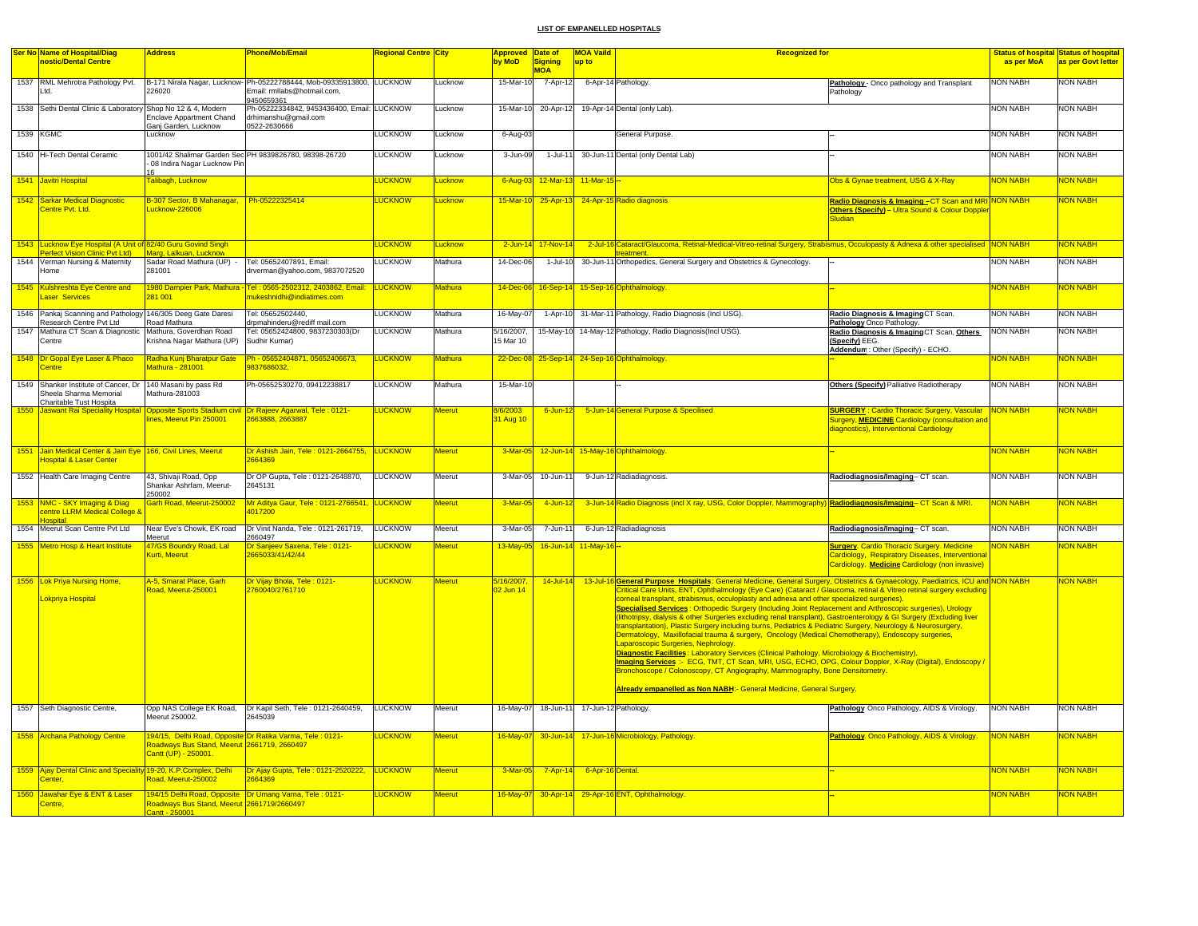|      | Ser No Name of Hospital/Diag                                                         | <b>Address</b>                              | <b>Phone/Mob/Email</b>                                                                          | <b>Regional Centre City</b> |                | Approved Date of |                | <b>MOA Vaild</b>       | <b>Recognized for</b>                                                                                                             |                                                                                                                                   |                 | <b>Status of hospital Status of hospital</b> |
|------|--------------------------------------------------------------------------------------|---------------------------------------------|-------------------------------------------------------------------------------------------------|-----------------------------|----------------|------------------|----------------|------------------------|-----------------------------------------------------------------------------------------------------------------------------------|-----------------------------------------------------------------------------------------------------------------------------------|-----------------|----------------------------------------------|
|      | nostic/Dental Centre                                                                 |                                             |                                                                                                 |                             |                | by MoD           | Sianina        | up to                  |                                                                                                                                   |                                                                                                                                   | as per MoA      | as per Govt letter                           |
|      |                                                                                      |                                             |                                                                                                 |                             |                |                  | <b>MOA</b>     |                        |                                                                                                                                   |                                                                                                                                   |                 |                                              |
|      | 1537 RML Mehrotra Pathology Pvt.                                                     |                                             | B-171 Nirala Nagar, Lucknow-Ph-05222788444, Mob-09335913800, LUCKNOW                            |                             | Lucknow        | 15-Mar-10        | $7 - Apr - 12$ |                        | 6-Apr-14 Pathology.                                                                                                               | Pathology - Onco pathology and Transplant                                                                                         | <b>NON NABH</b> | <b>NON NABH</b>                              |
|      | Ltd.                                                                                 | 226020                                      | Email: rmllabs@hotmail.com,                                                                     |                             |                |                  |                |                        |                                                                                                                                   | Pathology                                                                                                                         |                 |                                              |
|      |                                                                                      |                                             | 9450659361                                                                                      |                             |                |                  |                |                        |                                                                                                                                   |                                                                                                                                   |                 |                                              |
|      | 1538 Sethi Dental Clinic & Laboratory Shop No 12 & 4, Modern                         |                                             | Ph-05222334842, 9453436400, Email: LUCKNOW                                                      |                             | Lucknow        | 15-Mar-10        | 20-Apr-12      |                        | 19-Apr-14 Dental (only Lab).                                                                                                      |                                                                                                                                   | <b>NON NABH</b> | <b>NON NABH</b>                              |
|      |                                                                                      | <b>Enclave Appartment Chand</b>             | drhimanshu@gmail.com                                                                            |                             |                |                  |                |                        |                                                                                                                                   |                                                                                                                                   |                 |                                              |
|      |                                                                                      | Ganj Garden, Lucknow                        | 0522-2630666                                                                                    |                             |                |                  |                |                        |                                                                                                                                   |                                                                                                                                   |                 |                                              |
|      | 1539 KGMC                                                                            | Lucknow                                     |                                                                                                 | <b>LUCKNOW</b>              | Lucknow        | 6-Aug-03         |                |                        | General Purpose                                                                                                                   |                                                                                                                                   | <b>NON NABH</b> | <b>NON NABH</b>                              |
|      |                                                                                      |                                             |                                                                                                 |                             |                |                  |                |                        |                                                                                                                                   |                                                                                                                                   |                 |                                              |
|      | 1540 Hi-Tech Dental Ceramic                                                          |                                             | 1001/42 Shalimar Garden Sec PH 9839826780, 98398-26720                                          | <b>LUCKNOW</b>              | Lucknow        | $3 - Jun-09$     | 1-Jul-11       |                        | 30-Jun-11 Dental (only Dental Lab)                                                                                                |                                                                                                                                   | <b>NON NABH</b> | <b>NON NABH</b>                              |
|      |                                                                                      | 08 Indira Nagar Lucknow Pin                 |                                                                                                 |                             |                |                  |                |                        |                                                                                                                                   |                                                                                                                                   |                 |                                              |
|      | 1541 Javitri Hospital                                                                | Talibagh, Lucknow                           |                                                                                                 | <b>LUCKNOW</b>              | Lucknow        | 6-Aug-03         |                | 12-Mar-13 11-Mar-15 -- |                                                                                                                                   | Obs & Gynae treatment, USG & X-Ray                                                                                                | <b>NON NABH</b> | <mark>NON NABH</mark>                        |
|      |                                                                                      |                                             |                                                                                                 |                             |                |                  |                |                        |                                                                                                                                   |                                                                                                                                   |                 |                                              |
|      | 1542 Sarkar Medical Diagnostic                                                       | B-307 Sector, B Mahanagar, Ph-05222325414   |                                                                                                 | <b>LUCKNOW</b>              | Lucknow        | 15-Mar-10        |                |                        |                                                                                                                                   |                                                                                                                                   |                 | NON NABH                                     |
|      | Centre Pvt. Ltd.                                                                     | Lucknow-226006                              |                                                                                                 |                             |                |                  |                |                        | 25-Apr-13 24-Apr-15 Radio diagnosis                                                                                               | Radio Diagnosis & Imaging – CT Scan and MRI <mark>NON NABH .</mark><br><b>Others (Specify) - Ultra Sound &amp; Colour Doppler</b> |                 |                                              |
|      |                                                                                      |                                             |                                                                                                 |                             |                |                  |                |                        |                                                                                                                                   | <b>Sludian</b>                                                                                                                    |                 |                                              |
|      |                                                                                      |                                             |                                                                                                 |                             |                |                  |                |                        |                                                                                                                                   |                                                                                                                                   |                 |                                              |
|      |                                                                                      |                                             |                                                                                                 |                             |                |                  |                |                        |                                                                                                                                   |                                                                                                                                   |                 |                                              |
|      | 1543 Lucknow Eye Hospital (A Unit of 82/40 Guru Govind Singh                         |                                             |                                                                                                 | <b>LUCKNOW</b>              | Lucknow        | $2$ -Jun-14      | 17-Nov-14      |                        | 2-Jul-16 Cataract/Glaucoma, Retinal-Medical-Vitreo-retinal Surgery, Strabismus, Occulopasty & Adnexa & other specialised NON NABH |                                                                                                                                   |                 | <b>NON NABH</b>                              |
|      | Perfect Vision Clinic Pvt Ltd)                                                       | Marg, Lalkuan, Lucknow                      |                                                                                                 |                             |                |                  |                |                        | treatment.                                                                                                                        |                                                                                                                                   |                 |                                              |
|      | 1544 Verman Nursing & Maternity                                                      | Sadar Road Mathura (UP) -                   | Tel: 05652407891, Email:                                                                        | <b>LUCKNOW</b>              | Mathura        | 14-Dec-06        | 1-Jul-10       |                        | 30-Jun-11 Orthopedics, General Surgery and Obstetrics & Gynecology.                                                               |                                                                                                                                   | <b>NON NABH</b> | <b>NON NABH</b>                              |
|      | lome                                                                                 | 281001                                      | drverman@yahoo.com, 9837072520                                                                  |                             |                |                  |                |                        |                                                                                                                                   |                                                                                                                                   |                 |                                              |
|      | 1545 Kulshreshta Eye Centre and                                                      |                                             | 1980 Dampier Park, Mathura - Tel : 0565-2502312, 2403862, Email:                                | <b>LUCKNOW</b>              | Mathura        | 14-Dec-0         |                |                        |                                                                                                                                   |                                                                                                                                   | <b>NON NABH</b> | NON NABH                                     |
|      | aser Services                                                                        | 281 001                                     | nukeshnidhi@indiatimes.com                                                                      |                             |                |                  |                |                        | 16-Sep-14 15-Sep-16 Ophthalmology.                                                                                                |                                                                                                                                   |                 |                                              |
|      |                                                                                      |                                             |                                                                                                 |                             |                |                  |                |                        |                                                                                                                                   |                                                                                                                                   |                 |                                              |
|      | 1546 Pankaj Scanning and Pathology 146/305 Deeg Gate Daresi                          |                                             | Tel: 05652502440.                                                                               | <b>LUCKNOW</b>              | Mathura        | $16$ -May-07     |                |                        | 1-Apr-10 31-Mar-11 Pathology, Radio Diagnosis (Incl USG).                                                                         | Radio Diagnosis & Imaging CT Scan.                                                                                                | <b>NON NABH</b> | <b>NON NABH</b>                              |
|      | Research Centre Pvt Ltd                                                              | Road Mathura                                | drpmahinderu@rediff mail.com                                                                    |                             |                |                  |                |                        |                                                                                                                                   | Pathology Onco Pathology                                                                                                          |                 |                                              |
|      | 1547 Mathura CT Scan & Diagnostic Mathura, Goverdhan Road                            |                                             | Tel: 05652424800, 9837230303(Dr                                                                 | <b>LUCKNOW</b>              | Mathura        | 5/16/2007,       |                |                        | 15-May-10 14-May-12 Pathology, Radio Diagnosis(Incl USG).                                                                         | Radio Diagnosis & Imaging CT Scan, Others                                                                                         | <b>NON NABH</b> | <b>NON NABH</b>                              |
|      | Centre                                                                               | Krishna Nagar Mathura (UP)                  | Sudhir Kumar)                                                                                   |                             |                | 15 Mar 10        |                |                        |                                                                                                                                   | (Specify) EEG.                                                                                                                    |                 |                                              |
|      |                                                                                      |                                             |                                                                                                 |                             |                |                  |                |                        |                                                                                                                                   | Addendum: Other (Specify) - ECHO.                                                                                                 |                 |                                              |
|      | 1548 Dr Gopal Eye Laser & Phaco                                                      | Radha Kunj Bharatpur Gate                   | Ph - 05652404871, 05652406673,                                                                  | <b>LUCKNOW</b>              | <b>Mathura</b> | 22-Dec-08        |                |                        | 25-Sep-14 24-Sep-16 Ophthalmology                                                                                                 |                                                                                                                                   | <b>VON NABH</b> | <b>VON NABH</b>                              |
|      | entre                                                                                | Mathura - 281001                            | 9837686032,                                                                                     |                             |                |                  |                |                        |                                                                                                                                   |                                                                                                                                   |                 |                                              |
|      |                                                                                      |                                             |                                                                                                 | <b>LUCKNOW</b>              |                |                  |                |                        |                                                                                                                                   |                                                                                                                                   | <b>NON NABH</b> |                                              |
|      | 1549 Shanker Institute of Cancer, Dr 140 Masani by pass Rd<br>Sheela Sharma Memorial | Mathura-281003                              | Ph-05652530270, 09412238817                                                                     |                             | Mathura        | 15-Mar-10        |                |                        |                                                                                                                                   | Others (Specify) Palliative Radiotherapy                                                                                          |                 | <b>NON NABH</b>                              |
|      | Charitable Tust Hospita                                                              |                                             |                                                                                                 |                             |                |                  |                |                        |                                                                                                                                   |                                                                                                                                   |                 |                                              |
| 1550 |                                                                                      |                                             | Jaswant Rai Speciality Hospital  Opposite Sports Stadium civil  Dr Rajeev Agarwal, Tele : 0121- | <b>LUCKNOW</b>              | <b>Meerut</b>  | 8/6/2003         | $6$ -Jun-12    |                        | 5-Jun-14 General Purpose & Specilised                                                                                             | <b>SURGERY: Cardio Thoracic Surgery, Vascular</b>                                                                                 | NON NABH        | <mark>NON NABH</mark>                        |
|      |                                                                                      | ines, Meerut Pin 250001                     | 2663888, 2663887                                                                                |                             |                | 31 Aug 10        |                |                        |                                                                                                                                   | Surgery, <mark>MEDICINE</mark> Cardiology (consultation and                                                                       |                 |                                              |
|      |                                                                                      |                                             |                                                                                                 |                             |                |                  |                |                        |                                                                                                                                   | diagnostics), Interventional Cardiology                                                                                           |                 |                                              |
|      |                                                                                      |                                             |                                                                                                 |                             |                |                  |                |                        |                                                                                                                                   |                                                                                                                                   |                 |                                              |
|      |                                                                                      |                                             |                                                                                                 |                             |                | 3-Mar-05         |                |                        |                                                                                                                                   |                                                                                                                                   |                 |                                              |
| 1551 | Jain Medical Center & Jain Eye 166, Civil Lines, Meerut                              |                                             | Dr Ashish Jain, Tele: 0121-2664755,<br>2664369                                                  | <b>LUCKNOW</b>              | <b>Meerut</b>  |                  |                |                        | 12-Jun-14 15-May-16 Ophthalmology                                                                                                 |                                                                                                                                   | <b>NON NABH</b> | NON NABH                                     |
|      | lospital & Laser Center                                                              |                                             |                                                                                                 |                             |                |                  |                |                        |                                                                                                                                   |                                                                                                                                   |                 |                                              |
|      | 1552 Health Care Imaging Centre                                                      | 43, Shivaji Road, Opp                       | Dr OP Gupta, Tele: 0121-2648870,                                                                | <b>LUCKNOW</b>              | Meerut         | 3-Mar-05         | 10-Jun-11      |                        | 9-Jun-12 Radiadiagnosis.                                                                                                          | Radiodiagnosis/Imaging-CT scan.                                                                                                   | <b>NON NABH</b> | <b>NON NABH</b>                              |
|      |                                                                                      | Shankar Ashrfam, Meerut-                    | 2645131                                                                                         |                             |                |                  |                |                        |                                                                                                                                   |                                                                                                                                   |                 |                                              |
|      |                                                                                      | 250002                                      |                                                                                                 |                             |                |                  |                |                        |                                                                                                                                   |                                                                                                                                   |                 |                                              |
|      | 1553 NMC - SKY Imaging & Diag                                                        | Garh Road, Meerut-250002                    | Mr Aditya Gaur, Tele: 0121-2766541,                                                             | LUCKNOW                     | <b>Meerut</b>  | $3-Mar-0$        | $4$ -Jun-12    |                        | 3-Jun-14 Radio Diagnosis (incl X ray, USG, Color Doppler, Mammography) Radiodiagnosis/Imaging- CT Scan & MRI.                     |                                                                                                                                   | <b>NON NABH</b> | <mark>NON NABH</mark>                        |
|      | centre LLRM Medical College 8                                                        |                                             | 4017200                                                                                         |                             |                |                  |                |                        |                                                                                                                                   |                                                                                                                                   |                 |                                              |
|      |                                                                                      |                                             | Dr Vinit Nanda, Tele: 0121-261719.                                                              | <b>LUCKNOW</b>              |                | 3-Mar-05         |                |                        |                                                                                                                                   |                                                                                                                                   | <b>NON NABH</b> | <b>NON NABH</b>                              |
|      | 1554 Meerut Scan Centre Pvt Ltd                                                      | Near Eve's Chowk, EK road<br>Meerut         | 2660497                                                                                         |                             | Meerut         |                  | 7-Jun-11       |                        | 6-Jun-12 Radiadiagnosis                                                                                                           | Radiodiagnosis/Imaging-CT scan.                                                                                                   |                 |                                              |
|      | 1555 Metro Hosp & Heart Institute                                                    | 47/GS Boundry Road, Lal                     | Dr Sanjeev Saxena, Tele : 0121-                                                                 | <b>LUCKNOW</b>              | <b>Meerut</b>  | 13-May-05        |                | 16-Jun-14 11-May-16 -- |                                                                                                                                   | <b>Surgery. Cardio Thoracic Surgery. Medicine</b>                                                                                 | <b>NON NABH</b> | <mark>NON NABH</mark>                        |
|      |                                                                                      | Kurti Meerut                                | 2665033/41/42/44                                                                                |                             |                |                  |                |                        |                                                                                                                                   | Cardiology, Respiratory Diseases, Interventional                                                                                  |                 |                                              |
|      |                                                                                      |                                             |                                                                                                 |                             |                |                  |                |                        |                                                                                                                                   | Cardiology. Medicine Cardiology (non invasive)                                                                                    |                 |                                              |
|      |                                                                                      |                                             |                                                                                                 |                             |                |                  |                |                        |                                                                                                                                   |                                                                                                                                   |                 |                                              |
|      | 1556 Lok Priya Nursing Home,                                                         | A-5, Smarat Place, Garh                     | Dr Vijay Bhola, Tele: 0121-                                                                     | <b>LUCKNOW</b>              | <b>Meerut</b>  | 5/16/2007.       | $14$ -Jul-14   |                        | 13-Jul-16 General Purpose Hospitals: General Medicine, General Surgery, Obstetrics & Gynaecology, Paediatrics, ICU and NON NABH   |                                                                                                                                   |                 | <b>NON NABH</b>                              |
|      |                                                                                      | Road, Meerut-250001                         | 2760040/2761710                                                                                 |                             |                | 2 Jun 14         |                |                        | Critical Care Units, ENT, Ophthalmology (Eye Care) (Cataract / Glaucoma, retinal & Vitreo retinal surgery excluding               |                                                                                                                                   |                 |                                              |
|      | Lokpriya Hospital                                                                    |                                             |                                                                                                 |                             |                |                  |                |                        | corneal transplant, strabismus, occuloplasty and adnexa and other specialized surgeries).                                         |                                                                                                                                   |                 |                                              |
|      |                                                                                      |                                             |                                                                                                 |                             |                |                  |                |                        | Specialised Services: Orthopedic Surgery (Including Joint Replacement and Arthroscopic surgeries), Urology                        |                                                                                                                                   |                 |                                              |
|      |                                                                                      |                                             |                                                                                                 |                             |                |                  |                |                        | (lithotripsy, dialysis & other Surgeries excluding renal transplant), Gastroenterology & GI Surgery (Excluding liver              |                                                                                                                                   |                 |                                              |
|      |                                                                                      |                                             |                                                                                                 |                             |                |                  |                |                        | transplantation), Plastic Surgery including burns, Pediatrics & Pediatric Surgery, Neurology & Neurosurgery,                      |                                                                                                                                   |                 |                                              |
|      |                                                                                      |                                             |                                                                                                 |                             |                |                  |                |                        | Dermatology, Maxillofacial trauma & surgery, Oncology (Medical Chemotherapy), Endoscopy surgeries,                                |                                                                                                                                   |                 |                                              |
|      |                                                                                      |                                             |                                                                                                 |                             |                |                  |                |                        | Laparoscopic Surgeries, Nephrology.                                                                                               |                                                                                                                                   |                 |                                              |
|      |                                                                                      |                                             |                                                                                                 |                             |                |                  |                |                        | <b>Diagnostic Facilities: Laboratory Services (Clinical Pathology, Microbiology &amp; Biochemistry),</b>                          |                                                                                                                                   |                 |                                              |
|      |                                                                                      |                                             |                                                                                                 |                             |                |                  |                |                        | Imaging Services :- ECG, TMT, CT Scan, MRI, USG, ECHO, OPG, Colour Doppler, X-Ray (Digital), Endoscopy /                          |                                                                                                                                   |                 |                                              |
|      |                                                                                      |                                             |                                                                                                 |                             |                |                  |                |                        | Bronchoscope / Colonoscopy, CT Angiography, Mammography, Bone Densitometry.                                                       |                                                                                                                                   |                 |                                              |
|      |                                                                                      |                                             |                                                                                                 |                             |                |                  |                |                        | Already empanelled as Non NABH:- General Medicine, General Surgery.                                                               |                                                                                                                                   |                 |                                              |
|      |                                                                                      |                                             |                                                                                                 |                             |                |                  |                |                        |                                                                                                                                   |                                                                                                                                   |                 |                                              |
|      | 1557 Seth Diagnostic Centre,                                                         | Opp NAS College EK Road,                    | Dr Kapil Seth, Tele: 0121-2640459.                                                              | <b>LUCKNOW</b>              | Meerut         | 16-May-07        | 18-Jun-11      |                        | 17-Jun-12 Pathology.                                                                                                              | Pathology Onco Pathology, AIDS & Virology.                                                                                        | <b>NON NABH</b> | <b>NON NABH</b>                              |
|      |                                                                                      | Meerut 250002.                              | 2645039                                                                                         |                             |                |                  |                |                        |                                                                                                                                   |                                                                                                                                   |                 |                                              |
|      |                                                                                      |                                             |                                                                                                 |                             |                |                  |                |                        |                                                                                                                                   |                                                                                                                                   |                 |                                              |
|      | 1558 Archana Pathology Centre                                                        |                                             | 194/15, Delhi Road, Opposite Dr Ratika Varma, Tele : 0121-                                      | LUCKNOW                     | <b>Meerut</b>  | 16-May-07        |                |                        | 30-Jun-14 17-Jun-16 Microbiology, Pathology                                                                                       | Pathology. Onco Pathology, AIDS & Virology.                                                                                       | <b>NON NABH</b> | NON NABH                                     |
|      |                                                                                      | Roadways Bus Stand, Meerut 2661719, 2660497 |                                                                                                 |                             |                |                  |                |                        |                                                                                                                                   |                                                                                                                                   |                 |                                              |
|      |                                                                                      | Cantt (UP) - 250001.                        |                                                                                                 |                             |                |                  |                |                        |                                                                                                                                   |                                                                                                                                   |                 |                                              |
|      |                                                                                      |                                             |                                                                                                 |                             |                |                  |                |                        |                                                                                                                                   |                                                                                                                                   |                 |                                              |
|      | 1559 Ajay Dental Clinic and Speciality 19-20, K.P.Complex, Delhi                     |                                             | Dr Ajay Gupta, Tele: 0121-2520222, LUCKNOW<br>2664369                                           |                             | <b>Meerut</b>  | $3-Mar-0$        | $7 - Apr-14$   | 6-Apr-16 Dental.       |                                                                                                                                   |                                                                                                                                   | <b>NON NABH</b> | <b>NON NABH</b>                              |
|      | <b>Center</b> .                                                                      | Road, Meerut-250002                         |                                                                                                 |                             |                |                  |                |                        |                                                                                                                                   |                                                                                                                                   |                 |                                              |
| 1560 | Jawahar Eye & ENT & Laser                                                            |                                             | 194/15 Delhi Road, Opposite Dr Umang Varna, Tele : 0121-                                        | <b>LUCKNOW</b>              | <b>Meerut</b>  | 16-May-07        |                |                        | 30-Apr-14 29-Apr-16 ENT, Ophthalmology.                                                                                           |                                                                                                                                   | <b>VON NABH</b> | NON NABH                                     |
|      | Centre.                                                                              | Roadways Bus Stand, Meerut 2661719/2660497  |                                                                                                 |                             |                |                  |                |                        |                                                                                                                                   |                                                                                                                                   |                 |                                              |
|      |                                                                                      | 250001                                      |                                                                                                 |                             |                |                  |                |                        |                                                                                                                                   |                                                                                                                                   |                 |                                              |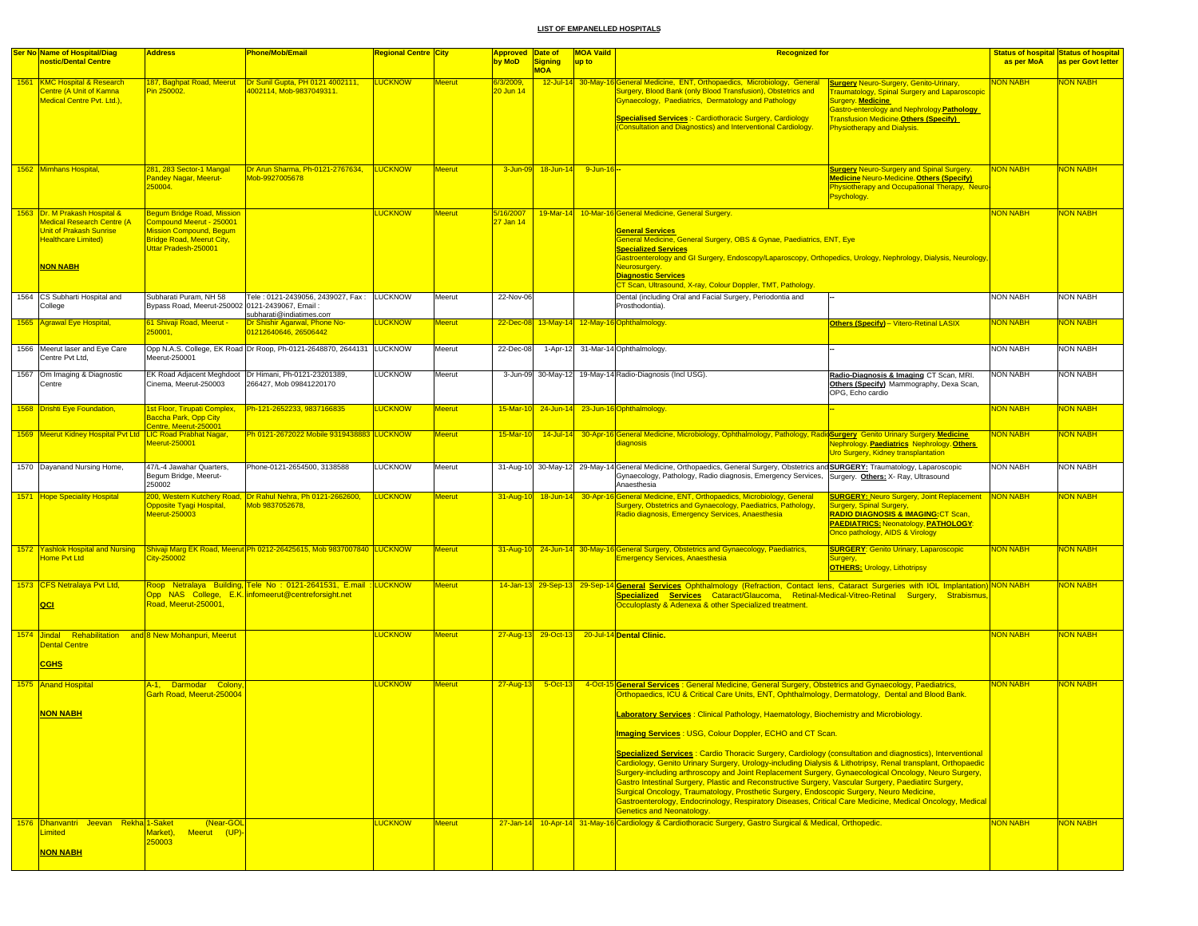| <b>Ser No Name of Hospital/Diag</b>                                                                                                            | <b>Address</b>                                                                                                                                              | <b>Phone/Mob/Email</b>                                                                                                 | Regional Centre City |               | <b>Approved Date of</b> |                              | <b>MOA Vaild</b> | <b>Recognized for</b>                                                                                                                                                                                                                                                                                                                                                                                                                                                                                                                                                                                                                                                                                                                                                                                                                                                                                                                                                                                                                                         |                                                                                                                                                                                                                                                                 |                 | <b>Status of hospital Status of hospital</b> |
|------------------------------------------------------------------------------------------------------------------------------------------------|-------------------------------------------------------------------------------------------------------------------------------------------------------------|------------------------------------------------------------------------------------------------------------------------|----------------------|---------------|-------------------------|------------------------------|------------------|---------------------------------------------------------------------------------------------------------------------------------------------------------------------------------------------------------------------------------------------------------------------------------------------------------------------------------------------------------------------------------------------------------------------------------------------------------------------------------------------------------------------------------------------------------------------------------------------------------------------------------------------------------------------------------------------------------------------------------------------------------------------------------------------------------------------------------------------------------------------------------------------------------------------------------------------------------------------------------------------------------------------------------------------------------------|-----------------------------------------------------------------------------------------------------------------------------------------------------------------------------------------------------------------------------------------------------------------|-----------------|----------------------------------------------|
| nostic/Dental Centre                                                                                                                           |                                                                                                                                                             |                                                                                                                        |                      |               | by MoD                  | <b>Signing</b><br><b>MOA</b> | up to            |                                                                                                                                                                                                                                                                                                                                                                                                                                                                                                                                                                                                                                                                                                                                                                                                                                                                                                                                                                                                                                                               |                                                                                                                                                                                                                                                                 | as per MoA      | as per Govt letter                           |
| 1561 KMC Hospital & Research<br>Centre (A Unit of Kamna<br>Medical Centre Pvt. Ltd.),                                                          | 187, Baghpat Road, Meerut<br>Pin 250002.                                                                                                                    | Dr Sunil Gupta, PH 0121 4002111,<br>4002114, Mob-9837049311.                                                           | <b>LUCKNOW</b>       | <b>Meerut</b> | 6/3/2009,<br>20 Jun 14  |                              |                  | 12-Jul-14 30-May-16 General Medicine, ENT, Orthopaedics, Microbiology, General<br>Surgery, Blood Bank (only Blood Transfusion), Obstetrics and<br>Gynaecology, Paediatrics, Dermatology and Pathology<br><b>Specialised Services :- Cardiothoracic Surgery, Cardiology</b><br><b>Consultation and Diagnostics) and Interventional Cardiology</b>                                                                                                                                                                                                                                                                                                                                                                                                                                                                                                                                                                                                                                                                                                              | <b>Surgery Neuro-Surgery, Genito-Urinary,</b><br><b>Traumatology, Spinal Surgery and Laparoscopic</b><br>Surgery. Medicine<br>Gastro-enterology and Nephrology. Pathology<br><b>Transfusion Medicine.Others (Specify)</b><br><b>Physiotherapy and Dialysis.</b> | NON NABH        | <b>NON NABH</b>                              |
| 1562 Mimhans Hospital                                                                                                                          | 281, 283 Sector-1 Mangal<br>Pandey Nagar, Meerut-<br>250004                                                                                                 | Dr Arun Sharma, Ph-0121-2767634, LUCKNOW<br>Mob-9927005678                                                             |                      | <b>Meerut</b> |                         | 3-Jun-09 18-Jun-14           | 9-Jun-16 --      |                                                                                                                                                                                                                                                                                                                                                                                                                                                                                                                                                                                                                                                                                                                                                                                                                                                                                                                                                                                                                                                               | <b>Surgery Neuro-Surgery and Spinal Surgery.</b><br><b>Medicine Neuro-Medicine. Others (Specify)</b><br>Physiotherapy and Occupational Therapy, Neuro<br>Psychology.                                                                                            | <b>NON NABH</b> | <mark>NON NABH</mark>                        |
| 1563 Dr. M Prakash Hospital &<br><b>Medical Research Centre (A</b><br><b>Unit of Prakash Sunrise</b><br>Healthcare Limited)<br><b>NON NABH</b> | <b>Begum Bridge Road, Mission</b><br>Compound Meerut - 250001<br><b>Mission Compound, Begum</b><br><b>Bridge Road, Meerut City,</b><br>Uttar Pradesh-250001 |                                                                                                                        | <b>LUCKNOW</b>       | <b>Meerut</b> | 5/16/2007<br>27 Jan 14  |                              |                  | 19-Mar-14 10-Mar-16 General Medicine, General Surgery.<br><b>General Services</b><br>General Medicine, General Surgery, OBS & Gynae, Paediatrics, ENT, Eye<br><b>Specialized Services</b><br>Gastroenterology and GI Surgery, Endoscopy/Laparoscopy, Orthopedics, Urology, Nephrology, Dialysis, Neurology,<br>Neurosurgery.<br><b>Diagnostic Services</b><br>CT Scan, Ultrasound, X-ray, Colour Doppler, TMT, Pathology.                                                                                                                                                                                                                                                                                                                                                                                                                                                                                                                                                                                                                                     |                                                                                                                                                                                                                                                                 | <b>NON NABH</b> | <b>NON NABH</b>                              |
| 1564 CS Subharti Hospital and<br>College                                                                                                       | Subharati Puram, NH 58<br>Bypass Road, Meerut-250002 0121-2439067, Email                                                                                    | Tele: 0121-2439056, 2439027, Fax: LUCKNOW<br>subharati@indiatimes.com                                                  |                      | Meerut        | 22-Nov-06               |                              |                  | Dental (including Oral and Facial Surgery, Periodontia and<br>Prosthodontia)                                                                                                                                                                                                                                                                                                                                                                                                                                                                                                                                                                                                                                                                                                                                                                                                                                                                                                                                                                                  |                                                                                                                                                                                                                                                                 | <b>NON NABH</b> | <b>NON NABH</b>                              |
| 1565 Agrawal Eye Hospital,                                                                                                                     | 61 Shivaji Road, Meerut -<br>250001,                                                                                                                        | Dr Shishir Agarwal, Phone No-<br>01212640646, 26506442                                                                 | <b>LUCKNOW</b>       | <b>Meerut</b> |                         |                              |                  | 22-Dec-08 13-May-14 12-May-16 Ophthalmology.                                                                                                                                                                                                                                                                                                                                                                                                                                                                                                                                                                                                                                                                                                                                                                                                                                                                                                                                                                                                                  | Others (Specify) - Vitero-Retinal LASIX                                                                                                                                                                                                                         | <b>NON NABH</b> | NON NABH                                     |
| 1566 Meerut laser and Eye Care<br>Centre Pvt Ltd,                                                                                              | Meerut-250001                                                                                                                                               | Opp N.A.S. College, EK Road Dr Roop, Ph-0121-2648870, 2644131 LUCKNOW                                                  |                      | Meerut        | 22-Dec-08               |                              |                  | 1-Apr-12 31-Mar-14 Ophthalmology.                                                                                                                                                                                                                                                                                                                                                                                                                                                                                                                                                                                                                                                                                                                                                                                                                                                                                                                                                                                                                             |                                                                                                                                                                                                                                                                 | <b>NON NABH</b> | <b>NON NABH</b>                              |
| 1567 Om Imaging & Diagnostic<br>Centre                                                                                                         | Cinema, Meerut-250003                                                                                                                                       | EK Road Adjacent Meghdoot   Dr Himani, Ph-0121-23201389,<br>266427. Mob 09841220170                                    | LUCKNOW              | Meerut        |                         |                              |                  | 3-Jun-09 30-May-12 19-May-14 Radio-Diagnosis (Incl USG).                                                                                                                                                                                                                                                                                                                                                                                                                                                                                                                                                                                                                                                                                                                                                                                                                                                                                                                                                                                                      | Radio-Diagnosis & Imaging CT Scan, MRI.<br>Others (Specify) Mammography, Dexa Scan,<br>OPG, Echo cardio                                                                                                                                                         | <b>NON NABH</b> | <b>NON NABH</b>                              |
| 1568 Drishti Eye Foundation,                                                                                                                   | Ist Floor, Tirupati Complex,<br>Baccha Park, Opp City<br><b>Centre, Meerut-250001</b>                                                                       | Ph-121-2652233, 9837166835                                                                                             | <b>LUCKNOW</b>       | Meerut        | 15-Mar-10               |                              |                  | 24-Jun-14 23-Jun-16 Ophthalmology.                                                                                                                                                                                                                                                                                                                                                                                                                                                                                                                                                                                                                                                                                                                                                                                                                                                                                                                                                                                                                            |                                                                                                                                                                                                                                                                 | <b>NON NABH</b> | <mark>NON NABH</mark>                        |
| 1569 Meerut Kidney Hospital Pvt Ltd   LIC Road Prabhat Nagar,                                                                                  | Meerut-250001                                                                                                                                               | Ph 0121-2672022 Mobile 9319438883 LUCKNOW                                                                              |                      | Meerut        | 15-Mar-10               |                              |                  | 14-Jul-14 30-Apr-16 General Medicine, Microbiology, Ophthalmology, Pathology, RadioSurgery Genito Urinary Surgery Medicine<br>diagnosis                                                                                                                                                                                                                                                                                                                                                                                                                                                                                                                                                                                                                                                                                                                                                                                                                                                                                                                       | Nephrology. Paediatrics Nephrology. Others<br><b>Uro Surgery, Kidney transplantation</b>                                                                                                                                                                        | <b>NON NABH</b> | <mark>NON NABH</mark>                        |
| 1570 Dayanand Nursing Home,                                                                                                                    | 47/L-4 Jawahar Quarters,<br>Begum Bridge, Meerut-<br>250002                                                                                                 | Phone-0121-2654500, 3138588                                                                                            | <b>LUCKNOW</b>       | Meerut        |                         |                              |                  | 31-Aug-10 30-May-12 29-May-14 General Medicine, Orthopaedics, General Surgery, Obstetrics and <b>SURGERY:</b> Traumatology, Laparoscopic<br>Gynaecology, Pathology, Radio diagnosis, Emergency Services, Surgery. Others: X- Ray, Ultrasound<br>Anaesthesia                                                                                                                                                                                                                                                                                                                                                                                                                                                                                                                                                                                                                                                                                                                                                                                                   |                                                                                                                                                                                                                                                                 | <b>NON NABH</b> | <b>NON NABH</b>                              |
| 1571 Hope Speciality Hospital                                                                                                                  | Opposite Tyagi Hospital,<br>Meerut-250003                                                                                                                   | 200, Western Kutchery Road, Dr Rahul Nehra, Ph 0121-2662600,<br>Mob 9837052678,                                        | LUCKNOW              | <b>Meerut</b> |                         |                              |                  | 31-Aug-10 18-Jun-14 30-Apr-16 General Medicine, ENT, Orthopaedics, Microbiology, General<br>Surgery, Obstetrics and Gynaecology, Paediatrics, Pathology,<br>Radio diagnosis, Emergency Services, Anaesthesia                                                                                                                                                                                                                                                                                                                                                                                                                                                                                                                                                                                                                                                                                                                                                                                                                                                  | <b>SURGERY: Neuro Surgery, Joint Replacement NON NABH</b><br>Surgery, Spinal Surgery,<br><b>RADIO DIAGNOSIS &amp; IMAGING: CT Scan,</b><br><b>PAEDIATRICS: Neonatology, PATHOLOGY:</b><br>Onco pathology, AIDS & Virology                                       |                 | <mark>NON NABH</mark>                        |
| 1572 Yashlok Hospital and Nursing<br>Home Pvt Ltd                                                                                              | City-250002                                                                                                                                                 | Shivaji Marg EK Road, Meerut Ph 0212-26425615, Mob 9837007840 LUCKNOW                                                  |                      | Meerut        |                         |                              |                  | 31-Aug-10 24-Jun-14 30-May-16 General Surgery, Obstetrics and Gynaecology, Paediatrics,<br><b>Emergency Services, Anaesthesia</b>                                                                                                                                                                                                                                                                                                                                                                                                                                                                                                                                                                                                                                                                                                                                                                                                                                                                                                                             | <b>SURGERY: Genito Urinary, Laparoscopic</b><br>Surgery,<br><b>OTHERS: Urology, Lithotripsy</b>                                                                                                                                                                 | <b>NON NABH</b> | NON NABH                                     |
| 1573 CFS Netralaya Pvt Ltd,<br><b>QCI</b>                                                                                                      | Road, Meerut-250001,                                                                                                                                        | Roop Netralaya Building, Tele No: 0121-2641531, E.mail: LUCKNOW<br>Opp NAS College, E.K. infomeerut@centreforsight.net |                      | <b>Meerut</b> |                         |                              |                  | 14-Jan-13 29-Sep-13 29-Sep-14 General Services Ophthalmology (Refraction, Contact lens, Cataract Surgeries with IOL Implantation) NON NABH<br>Specialized Services Cataract/Glaucoma, Retinal-Medical-Vitreo-Retinal Surgery, Strabismus<br>Occuloplasty & Adenexa & other Specialized treatment.                                                                                                                                                                                                                                                                                                                                                                                                                                                                                                                                                                                                                                                                                                                                                             |                                                                                                                                                                                                                                                                 |                 | <b>NON NABH</b>                              |
| 1574 Jindal Rehabilitation and 8 New Mohanpuri, Meerut<br><b>Dental Centre</b><br><b>CGHS</b>                                                  |                                                                                                                                                             |                                                                                                                        | <b>LUCKNOW</b>       | <b>Meerut</b> |                         | 27-Aug-13 29-Oct-13          |                  | 20-Jul-14 Dental Clinic.                                                                                                                                                                                                                                                                                                                                                                                                                                                                                                                                                                                                                                                                                                                                                                                                                                                                                                                                                                                                                                      |                                                                                                                                                                                                                                                                 | <b>NON NABH</b> | <b>NON NABH</b>                              |
| 1575 Anand Hospital<br><b>NON NABH</b>                                                                                                         | A-1, Darmodar Colony<br>Garh Road, Meerut-250004                                                                                                            |                                                                                                                        | <b>LUCKNOW</b>       | <b>Meerut</b> | 27-Aug-13               | 5-Oct-13                     |                  | 4-Oct-15 General Services : General Medicine, General Surgery, Obstetrics and Gynaecology, Paediatrics,<br>Orthopaedics, ICU & Critical Care Units, ENT, Ophthalmology, Dermatology, Dental and Blood Bank.<br>Laboratory Services: Clinical Pathology, Haematology, Biochemistry and Microbiology.<br>Imaging Services: USG, Colour Doppler, ECHO and CT Scan.<br><b>Specialized Services: Cardio Thoracic Surgery, Cardiology (consultation and diagnostics), Interventional</b><br>Cardiology, Genito Urinary Surgery, Urology-including Dialysis & Lithotripsy, Renal transplant, Orthopaedic<br>Surgery-including arthroscopy and Joint Replacement Surgery, Gynaecological Oncology, Neuro Surgery,<br>Gastro Intestinal Surgery, Plastic and Reconstructive Surgery, Vascular Surgery, Paediatirc Surgery,<br>Surgical Oncology, Traumatology, Prosthetic Surgery, Endoscopic Surgery, Neuro Medicine,<br>Gastroenterology, Endocrinology, Respiratory Diseases, Critical Care Medicine, Medical Oncology, Medical<br><b>Genetics and Neonatology.</b> |                                                                                                                                                                                                                                                                 | <b>NON NABH</b> | <b>NON NABH</b>                              |
| 1576 Dhanyantri Jeeyan Rekha 1-Saket<br>.imited<br><b>NON NABH</b>                                                                             | (Near-GOL<br>Market),<br>Meerut (UP)-<br>250003                                                                                                             |                                                                                                                        | <b>LUCKNOW</b>       | <b>Meerut</b> |                         |                              |                  | 27-Jan-14 10-Apr-14 31-May-16 Cardiology & Cardiothoracic Surgery, Gastro Surgical & Medical, Orthopedic.                                                                                                                                                                                                                                                                                                                                                                                                                                                                                                                                                                                                                                                                                                                                                                                                                                                                                                                                                     |                                                                                                                                                                                                                                                                 | <b>NON NABH</b> | <b>NON NABH</b>                              |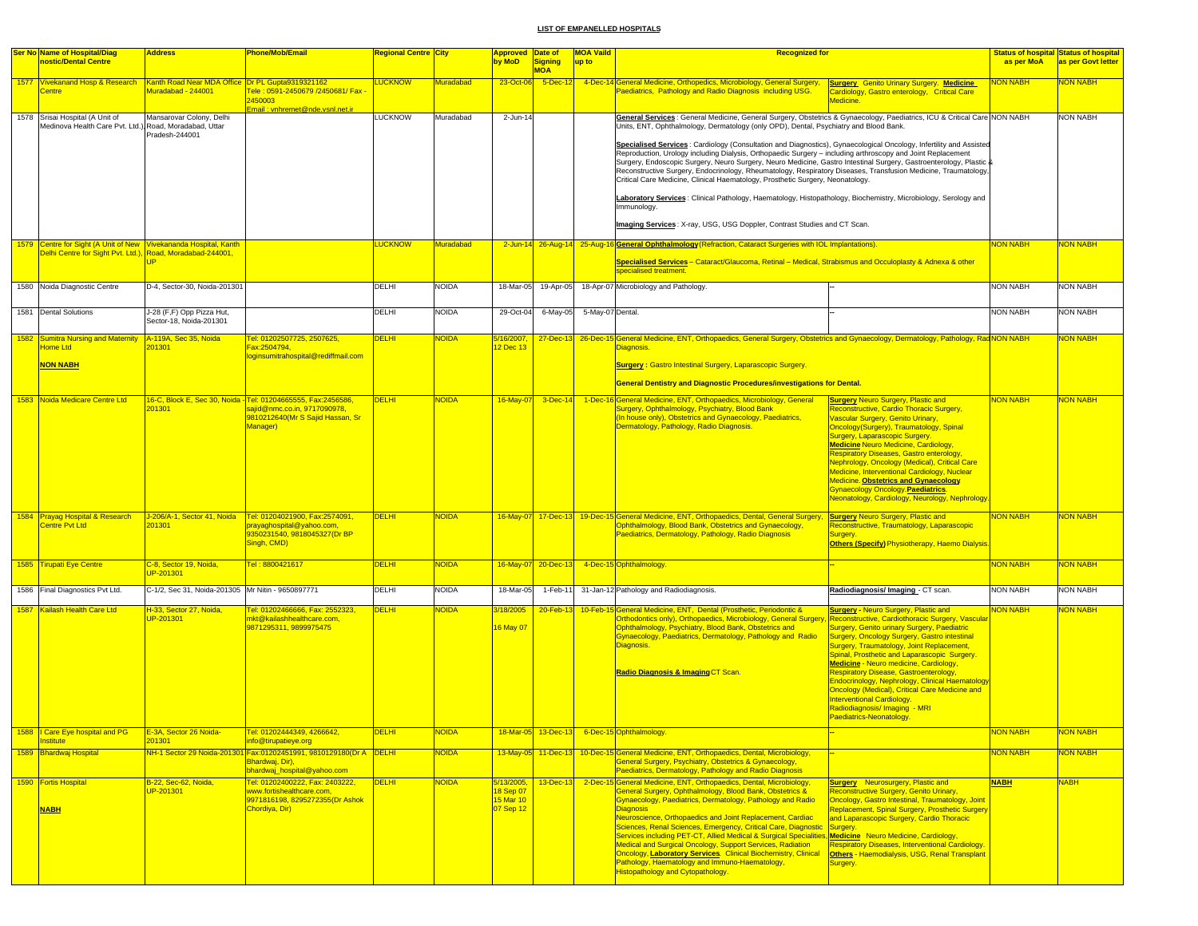| <b>Ser No Name of Hospital/Diag</b><br>nostic/Dental Centre                                                                    | <b>Address</b>                                       | Phone/Mob/Email                                                                                                                              | <mark>Regional Centre City</mark> |                  | Approved Date of<br>by MoD                        | Signing                   | <b>MOA Vaild</b><br>up to | <b>Recognized for</b>                                                                                                                                                                                                                                                                                                                                                                                                                                                                                                                                                                                                                                                                                                                                                                                                                                                                                                                                                                          |                                                                                                                                                                                                                                                                                                                                                                                                                                                                                                                                                                                                      | as per MoA      | <b>Status of hospital Status of hospital</b><br>as per Govt letter |
|--------------------------------------------------------------------------------------------------------------------------------|------------------------------------------------------|----------------------------------------------------------------------------------------------------------------------------------------------|-----------------------------------|------------------|---------------------------------------------------|---------------------------|---------------------------|------------------------------------------------------------------------------------------------------------------------------------------------------------------------------------------------------------------------------------------------------------------------------------------------------------------------------------------------------------------------------------------------------------------------------------------------------------------------------------------------------------------------------------------------------------------------------------------------------------------------------------------------------------------------------------------------------------------------------------------------------------------------------------------------------------------------------------------------------------------------------------------------------------------------------------------------------------------------------------------------|------------------------------------------------------------------------------------------------------------------------------------------------------------------------------------------------------------------------------------------------------------------------------------------------------------------------------------------------------------------------------------------------------------------------------------------------------------------------------------------------------------------------------------------------------------------------------------------------------|-----------------|--------------------------------------------------------------------|
| 1577 Vivekanand Hosp & Research   Kanth Road Near MDA Office   Dr PL Gupta9319321162<br>entre                                  | Muradabad - 244001                                   | <mark>Tele : 0591-2450679 /2450681/ Fax -</mark><br>2450003<br>Email : vnhremet@nde.vsnl.net.ir                                              | <b>LUCKNOW</b>                    | <b>Muradabad</b> | 23-Oct-06                                         | <b>MOA</b><br>$5$ -Dec-12 |                           | 4-Dec-14 General Medicine, Orthopedics, Microbiology, General Surgery, Surgery Genito Urinary Surgery. Medicine<br>Paediatrics, Pathology and Radio Diagnosis including USG.                                                                                                                                                                                                                                                                                                                                                                                                                                                                                                                                                                                                                                                                                                                                                                                                                   | Cardiology, Gastro enterology, Critical Care<br>Medicine                                                                                                                                                                                                                                                                                                                                                                                                                                                                                                                                             | <b>NON NABH</b> | <b>NON NABH</b>                                                    |
| 1578 Srisai Hospital (A Unit of<br>Medinova Health Care Pvt. Ltd.) Road, Moradabad, Uttar                                      | Mansarovar Colony, Delhi<br>Pradesh-244001           |                                                                                                                                              | <b>LUCKNOW</b>                    | Muradabad        | 2-Jun-14                                          |                           |                           | General Services : General Medicine, General Surgery, Obstetrics & Gynaecology, Paediatrics, ICU & Critical Care NON NABH<br>Units, ENT, Ophthalmology, Dermatology (only OPD), Dental, Psychiatry and Blood Bank.<br>Specialised Services: Cardiology (Consultation and Diagnostics), Gynaecological Oncology, Infertility and Assisted<br>Reproduction, Urology including Dialysis, Orthopaedic Surgery - including arthroscopy and Joint Replacement<br>Surgery, Endoscopic Surgery, Neuro Surgery, Neuro Medicine, Gastro Intestinal Surgery, Gastroenterology, Plastic &<br>Reconstructive Surgery, Endocrinology, Rheumatology, Respiratory Diseases, Transfusion Medicine, Traumatology,<br>Critical Care Medicine, Clinical Haematology, Prosthetic Surgery, Neonatology.<br>Laboratory Services: Clinical Pathology, Haematology, Histopathology, Biochemistry, Microbiology, Serology and<br>Immunology.<br>Imaging Services: X-ray, USG, USG Doppler, Contrast Studies and CT Scan. |                                                                                                                                                                                                                                                                                                                                                                                                                                                                                                                                                                                                      |                 | <b>NON NABH</b>                                                    |
| 1579 Centre for Sight (A Unit of New Vivekananda Hospital, Kanth<br>Delhi Centre for Sight Pyt. Ltd.). Road. Moradabad-244001. |                                                      |                                                                                                                                              | <b>LUCKNOW</b>                    | Muradabad        |                                                   |                           |                           | 2-Jun-14 26-Aug-14 25-Aug-16 General Ophthalmology (Refraction, Cataract Surgeries with IOL Implantations).                                                                                                                                                                                                                                                                                                                                                                                                                                                                                                                                                                                                                                                                                                                                                                                                                                                                                    |                                                                                                                                                                                                                                                                                                                                                                                                                                                                                                                                                                                                      | <b>NON NABH</b> | <b>VON NABH</b>                                                    |
|                                                                                                                                | <b>IP</b>                                            |                                                                                                                                              |                                   |                  |                                                   |                           |                           | Specialised Services - Cataract/Glaucoma, Retinal - Medical, Strabismus and Occuloplasty & Adnexa & other<br>specialised treatment.                                                                                                                                                                                                                                                                                                                                                                                                                                                                                                                                                                                                                                                                                                                                                                                                                                                            |                                                                                                                                                                                                                                                                                                                                                                                                                                                                                                                                                                                                      |                 |                                                                    |
| 1580 Noida Diagnostic Centre                                                                                                   | D-4, Sector-30, Noida-201301                         |                                                                                                                                              | DELHI                             | <b>NOIDA</b>     | 18-Mar-05                                         | 19-Apr-05                 |                           | 18-Apr-07 Microbiology and Pathology.                                                                                                                                                                                                                                                                                                                                                                                                                                                                                                                                                                                                                                                                                                                                                                                                                                                                                                                                                          |                                                                                                                                                                                                                                                                                                                                                                                                                                                                                                                                                                                                      | <b>NON NABH</b> | <b>NON NABH</b>                                                    |
| 1581 Dental Solutions                                                                                                          | J-28 (F,F) Opp Pizza Hut,<br>Sector-18, Noida-201301 |                                                                                                                                              | DELHI                             | <b>NOIDA</b>     | 29-Oct-04                                         | 6-May-05                  | 5-May-07 Dental.          |                                                                                                                                                                                                                                                                                                                                                                                                                                                                                                                                                                                                                                                                                                                                                                                                                                                                                                                                                                                                |                                                                                                                                                                                                                                                                                                                                                                                                                                                                                                                                                                                                      | <b>NON NABH</b> | <b>NON NABH</b>                                                    |
| 1582 Sumitra Nursing and Maternity A-119A, Sec 35, Noida<br><b>Home Ltd</b>                                                    | 201301                                               | Tel: 01202507725, 2507625,<br>Fax:2504794,                                                                                                   | <b>DELHI</b>                      | NOIDA            | 5/16/2007,<br>2 Dec 13                            |                           |                           | 27-Dec-13 26-Dec-15 General Medicine, ENT, Orthopaedics, General Surgery, Obstetrics and Gynaecology, Dermatology, Pathology, RadNON NABH<br>Diagnosis.                                                                                                                                                                                                                                                                                                                                                                                                                                                                                                                                                                                                                                                                                                                                                                                                                                        |                                                                                                                                                                                                                                                                                                                                                                                                                                                                                                                                                                                                      |                 | <b>VON NABH</b>                                                    |
| <b>NON NABH</b>                                                                                                                |                                                      | oginsumitrahospital@rediffmail.com                                                                                                           |                                   |                  |                                                   |                           |                           | <b>Surgery: Gastro Intestinal Surgery, Laparascopic Surgery.</b>                                                                                                                                                                                                                                                                                                                                                                                                                                                                                                                                                                                                                                                                                                                                                                                                                                                                                                                               |                                                                                                                                                                                                                                                                                                                                                                                                                                                                                                                                                                                                      |                 |                                                                    |
|                                                                                                                                |                                                      |                                                                                                                                              |                                   |                  |                                                   |                           |                           | <b>General Dentistry and Diagnostic Procedures/investigations for Dental.</b>                                                                                                                                                                                                                                                                                                                                                                                                                                                                                                                                                                                                                                                                                                                                                                                                                                                                                                                  |                                                                                                                                                                                                                                                                                                                                                                                                                                                                                                                                                                                                      |                 |                                                                    |
| 1583 Noida Medicare Centre Ltd                                                                                                 | 01301                                                | 16-C, Block E, Sec 30, Noida - Tel: 01204665555, Fax:2456586,<br>ajid@nmc.co.in, 9717090978,<br>9810212640(Mr S Sajid Hassan, Sr<br>Manager) | <b>DELHI</b>                      | <b>NOIDA</b>     | 16-May-07                                         | $3$ -Dec-14               |                           | 1-Dec-16 General Medicine, ENT, Orthopaedics, Microbiology, General<br>Surgery, Ophthalmology, Psychiatry, Blood Bank<br>(In house only), Obstetrics and Gynaecology, Paediatrics,<br>Dermatology, Pathology, Radio Diagnosis.                                                                                                                                                                                                                                                                                                                                                                                                                                                                                                                                                                                                                                                                                                                                                                 | <b>Surgery Neuro Surgery, Plastic and</b><br>Reconstructive, Cardio Thoracic Surgery,<br>Vascular Surgery, Genito Urinary,<br>Oncology(Surgery), Traumatology, Spinal<br>Surgery, Laparascopic Surgery.<br><b>Medicine Neuro Medicine, Cardiology,</b><br>Respiratory Diseases, Gastro enterology,<br>Nephrology, Oncology (Medical), Critical Care<br>Medicine, Interventional Cardiology, Nuclear<br>Medicine. Obstetrics and Gynaecology.<br>Gynaecology Oncology. Paediatrics.<br>Neonatology, Cardiology, Neurology, Nephrology                                                                 | <b>NON NABH</b> | <b>NON NABH</b>                                                    |
| 1584 Prayag Hospital & Research<br>Centre Pvt Ltd                                                                              | J-206/A-1, Sector 41, Noida<br>201301                | Tel: 01204021900, Fax:2574091,<br>prayaghospital@yahoo.com,<br>9350231540, 9818045327(Dr BP<br>Singh, CMD)                                   | <b>DELHI</b>                      | <b>NOIDA</b>     |                                                   | 16-May-07 17-Dec-13       |                           | 19-Dec-15 General Medicine, ENT, Orthopaedics, Dental, General Surgery,<br>Ophthalmology, Blood Bank, Obstetrics and Gynaecology,<br>Paediatrics, Dermatology, Pathology, Radio Diagnosis                                                                                                                                                                                                                                                                                                                                                                                                                                                                                                                                                                                                                                                                                                                                                                                                      | <b>Surgery Neuro Surgery, Plastic and</b><br>Reconstructive, Traumatology, Laparascopic<br>Surgery.<br><b>Others (Specify) Physiotherapy, Haemo Dialysis.</b>                                                                                                                                                                                                                                                                                                                                                                                                                                        | <b>NON NABH</b> | <b>VON NABH</b>                                                    |
| 1585 Tirupati Eye Centre                                                                                                       | C-8, Sector 19, Noida,<br>JP-201301                  | Tel: 8800421617                                                                                                                              | <b>DELHI</b>                      | NOIDA            |                                                   | 16-May-07 20-Dec-13       |                           | 4-Dec-15 Ophthalmology.                                                                                                                                                                                                                                                                                                                                                                                                                                                                                                                                                                                                                                                                                                                                                                                                                                                                                                                                                                        |                                                                                                                                                                                                                                                                                                                                                                                                                                                                                                                                                                                                      | <b>NON NABH</b> | <b>VON NABH</b>                                                    |
| 1586 Final Diagnostics Pvt Ltd.                                                                                                | C-1/2, Sec 31, Noida-201305 Mr Nitin - 9650897771    |                                                                                                                                              | <b>DELHI</b>                      | <b>NOIDA</b>     | 18-Mar-05                                         | $1-Feb-11$                |                           | 31-Jan-12 Pathology and Radiodiagnosis.                                                                                                                                                                                                                                                                                                                                                                                                                                                                                                                                                                                                                                                                                                                                                                                                                                                                                                                                                        | Radiodiagnosis/Imaging - CT scan.                                                                                                                                                                                                                                                                                                                                                                                                                                                                                                                                                                    | <b>NON NABH</b> | <b>NON NABH</b>                                                    |
| 1587 Kailash Health Care Ltd                                                                                                   | H-33, Sector 27, Noida,<br>JP-201301                 | Tel: 01202466666, Fax: 2552323,<br>nkt@kailashhealthcare.com.<br>9871295311, 9899975475                                                      | <b>DELHI</b>                      | NOIDA            | V <sub>18</sub> /2005<br>16 May 07                | $20$ -Feb-13              |                           | 10-Feb-15 General Medicine, ENT, Dental (Prosthetic, Periodontic &<br>Orthodontics only), Orthopaedics, Microbiology, General Surgen<br>Ophthalmology, Psychiatry, Blood Bank, Obstetrics and<br>Gynaecology, Paediatrics, Dermatology, Pathology and Radio<br>Diagnosis.<br>Radio Diagnosis & Imaging CT Scan                                                                                                                                                                                                                                                                                                                                                                                                                                                                                                                                                                                                                                                                                 | <b>Surgery - Neuro Surgery, Plastic and</b><br>Reconstructive, Cardiothoracic Surgery, Vascular<br><b>Surgery, Genito urinary Surgery, Paediatric</b><br>Surgery, Oncology Surgery, Gastro intestinal<br><b>Surgery, Traumatology, Joint Replacement,</b><br>Spinal, Prosthetic and Laparascopic Surgery.<br>Medicine - Neuro medicine, Cardiology,<br>Respiratory Disease, Gastroenterology,<br>Endocrinology, Nephrology, Clinical Haematology<br>Oncology (Medical), Critical Care Medicine and<br><b>Interventional Cardiology.</b><br>Radiodiagnosis/ Imaging - MRI<br>Paediatrics-Neonatology. | <b>NON NABH</b> | <b>JON NABH</b>                                                    |
| 1588   Care Eye hospital and PG<br>Institute                                                                                   | E-3A, Sector 26 Noida<br>201301                      | Tel: 01202444349, 4266642,<br>info@tirupatieye.org                                                                                           | <b>ELHI</b>                       | NOIDA            |                                                   |                           |                           | 18-Mar-05 13-Dec-13 6-Dec-15 Ophthalmology.                                                                                                                                                                                                                                                                                                                                                                                                                                                                                                                                                                                                                                                                                                                                                                                                                                                                                                                                                    |                                                                                                                                                                                                                                                                                                                                                                                                                                                                                                                                                                                                      | <b>NON NABH</b> | <b>VON NABH</b>                                                    |
| 1589 Bhardwaj Hospital                                                                                                         |                                                      | NH-1 Sector 29 Noida-201301 Fax:01202451991, 9810129180(Dr A DELHI<br>Bhardwaj, Dir),<br>bhardwaj_hospital@yahoo.com                         |                                   | <b>NOIDA</b>     |                                                   | 13-May-05 11-Dec-13       |                           | 10-Dec-15 General Medicine, ENT, Orthopaedics, Dental, Microbiology,<br>General Surgery, Psychiatry, Obstetrics & Gynaecology,<br>Paediatrics, Dermatology, Pathology and Radio Diagnosis                                                                                                                                                                                                                                                                                                                                                                                                                                                                                                                                                                                                                                                                                                                                                                                                      |                                                                                                                                                                                                                                                                                                                                                                                                                                                                                                                                                                                                      | NON NABH        | <b>NON NABH</b>                                                    |
| 1590 Fortis Hospital<br><b>NABH</b>                                                                                            | B-22, Sec-62, Noida,<br>UP-201301                    | Tel: 01202400222, Fax: 2403222,<br>www.fortishealthcare.com,<br>9971816198, 8295272355(Dr Ashok<br>Chordiya, Dir)                            | <b>DELHI</b>                      | <b>NOIDA</b>     | 5/13/2005,<br>18 Sep 07<br>15 Mar 10<br>07 Sep 12 | 13-Dec-13                 |                           | 2-Dec-15 General Medicine, ENT, Orthopaedics, Dental, Microbiology,<br>General Surgery, Ophthalmology, Blood Bank, Obstetrics &<br>Gynaecology, Paediatrics, Dermatology, Pathology and Radio<br><b>Diagnosis</b><br>Neuroscience, Orthopaedics and Joint Replacement, Cardiac<br>Sciences, Renal Sciences, Emergency, Critical Care, Diagnostic<br>Services including PET-CT, Allied Medical & Surgical Specialities, Medicine Neuro Medicine, Cardiology,<br><b>Medical and Surgical Oncology, Support Services, Radiation</b><br>Oncology, Laboratory Services. Clinical Biochemistry, Clinical<br>Pathology, Haematology and Immuno-Haematology,<br><b>Histopathology and Cytopathology.</b>                                                                                                                                                                                                                                                                                               | <b>Surgery</b> Neurosurgery, Plastic and<br>Reconstructive Surgery, Genito Urinary,<br>Oncology, Gastro Intestinal, Traumatology, Joint<br>Replacement, Spinal Surgery, Prosthetic Surgery<br>and Laparascopic Surgery, Cardio Thoracic<br>Surgery.<br>Respiratory Diseases, Interventional Cardiology.<br>Others - Haemodialysis, USG, Renal Transplant<br>Surgery.                                                                                                                                                                                                                                 | <b>NABH</b>     | <b>NABH</b>                                                        |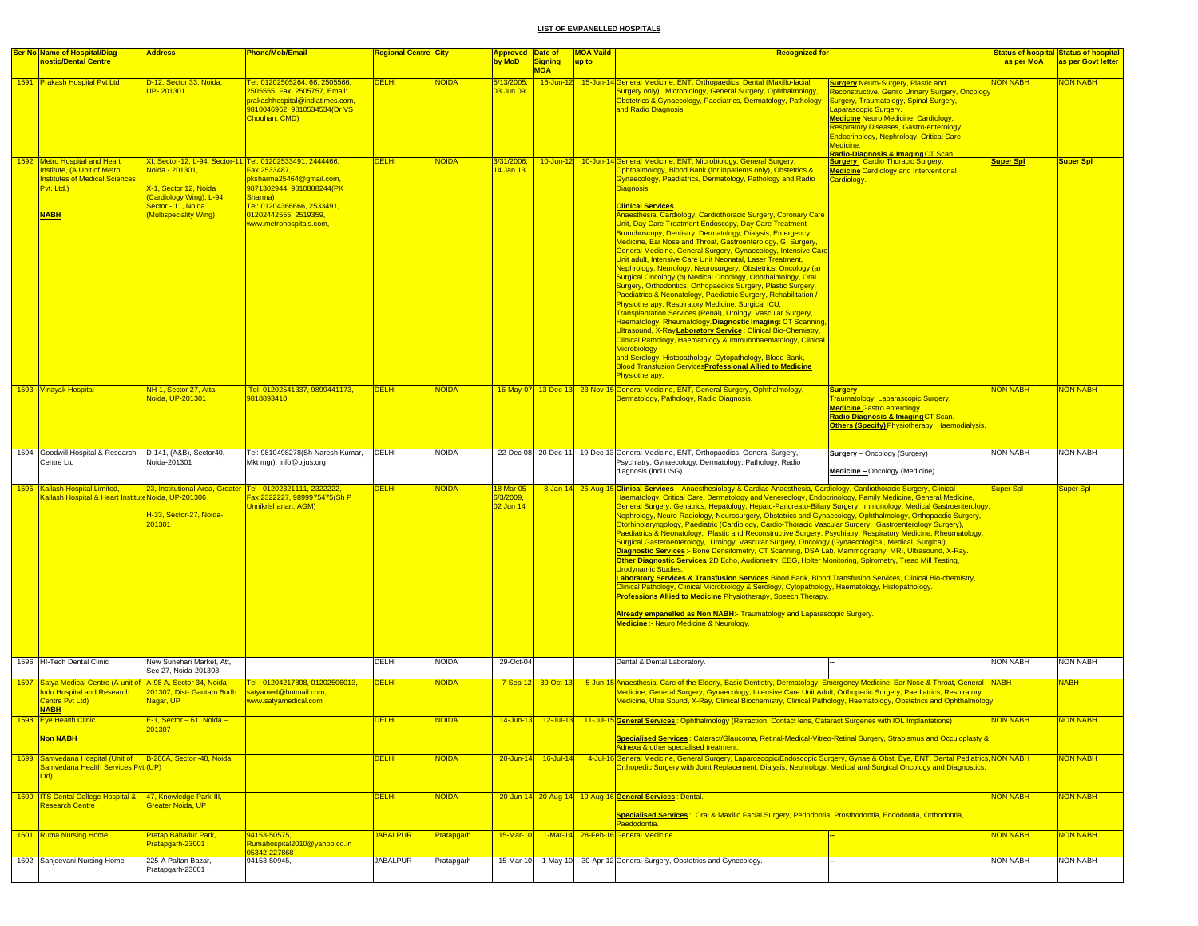|      | <b>Ser No Name of Hospital/Diag</b><br><b>nostic/Dental Centre</b>                                                        | <b>Address</b>                                                                                                                          | Phone/Mob/Email                                                                                                                                                                                                                          | <mark>Regional Centre City</mark> |              | <b>Approved Date of</b><br>by MoD         | <b>Signing</b>     | <b>MOA Vaild</b><br>up to | <b>Recognized for</b>                                                                                                                                                                                                                                                                                                                                                                                                                                                                                                                                                                                                                                                                                                                                                                                                                                                                                                                                                                                                                                                                                                                                                                                                                                                                                                                                                                                      |                                                                                                                                                                                                                                                                                                                                                                                                                                                                                                                                                                                                                                                                                                                                                                                                                                                                                                                                                                                                                                                                                                                                                                                                                                                                                                                                       | as per MoA       | <b>Status of hospital Status of hospital</b><br>as per Govt letter |
|------|---------------------------------------------------------------------------------------------------------------------------|-----------------------------------------------------------------------------------------------------------------------------------------|------------------------------------------------------------------------------------------------------------------------------------------------------------------------------------------------------------------------------------------|-----------------------------------|--------------|-------------------------------------------|--------------------|---------------------------|------------------------------------------------------------------------------------------------------------------------------------------------------------------------------------------------------------------------------------------------------------------------------------------------------------------------------------------------------------------------------------------------------------------------------------------------------------------------------------------------------------------------------------------------------------------------------------------------------------------------------------------------------------------------------------------------------------------------------------------------------------------------------------------------------------------------------------------------------------------------------------------------------------------------------------------------------------------------------------------------------------------------------------------------------------------------------------------------------------------------------------------------------------------------------------------------------------------------------------------------------------------------------------------------------------------------------------------------------------------------------------------------------------|---------------------------------------------------------------------------------------------------------------------------------------------------------------------------------------------------------------------------------------------------------------------------------------------------------------------------------------------------------------------------------------------------------------------------------------------------------------------------------------------------------------------------------------------------------------------------------------------------------------------------------------------------------------------------------------------------------------------------------------------------------------------------------------------------------------------------------------------------------------------------------------------------------------------------------------------------------------------------------------------------------------------------------------------------------------------------------------------------------------------------------------------------------------------------------------------------------------------------------------------------------------------------------------------------------------------------------------|------------------|--------------------------------------------------------------------|
|      | 1591 Prakash Hospital Pvt Ltd                                                                                             | D-12, Sector 33, Noida,<br>JP-201301                                                                                                    | Tel: 01202505264, 66, 2505566<br>2505555, Fax: 2505757, Email:<br>prakashhospital@indiatimes.com,<br>9810046962, 9810534534(Dr VS<br>Chouhan, CMD)                                                                                       | <b>DELHI</b>                      | <b>JOIDA</b> | 5/13/2005,<br>03 Jun 09                   | <b>MOA</b>         |                           | 16-Jun-12 15-Jun-14 General Medicine, ENT, Orthopaedics, Dental (Maxillo-facial<br>Surgery only), Microbiology, General Surgery, Ophthalmology,<br>Obstetrics & Gynaecology, Paediatrics, Dermatology, Pathology<br>and Radio Diagnosis                                                                                                                                                                                                                                                                                                                                                                                                                                                                                                                                                                                                                                                                                                                                                                                                                                                                                                                                                                                                                                                                                                                                                                    | <b>Surgery Neuro-Surgery, Plastic and</b><br>Reconstructive, Genito Urinary Surgery, Oncology<br>Surgery, Traumatology, Spinal Surgery,<br>aparascopic Surgery.<br><b>Medicine Neuro Medicine, Cardiology,</b><br><b>Respiratory Diseases, Gastro-enterology,</b><br>Endocrinology, Nephrology, Critical Care<br>Medicine.<br><u> Radio-Diagnosis &amp; Imaging CT Scan</u>                                                                                                                                                                                                                                                                                                                                                                                                                                                                                                                                                                                                                                                                                                                                                                                                                                                                                                                                                           | NON NABH         | <b>VON NABH</b>                                                    |
|      | 1592 Metro Hospital and Heart<br>nstitute, (A Unit of Metro<br>nstitutes of Medical Sciences<br>Pvt. Ltd.)<br><b>NABH</b> | <mark>loida - 201301,</mark><br>K-1, Sector 12, Noida<br>(Cardiology Wing), L-94,<br>Sector - 11, Noida<br><b>Multispeciality Wing)</b> | <u>XI, Sector-12, L-94, Sector-11, Tel: 01202533491, 2444466, </u><br>Fax:2533487,<br>pksharma25464@gmail.com,<br>9871302944, 9810888244(PK<br>Sharma)<br>Tel: 01204366666, 2533491,<br>01202442555, 2519359,<br>www.metrohospitals.com, | <b>DELHI</b>                      | <b>NOIDA</b> | 3/31/2006,<br>4 Jan 13                    |                    |                           | 10-Jun-12 10-Jun-14 General Medicine, ENT, Microbiology, General Surgery,<br>Ophthalmology, Blood Bank (for inpatients only), Obstetrics &<br>Gynaecology, Paediatrics, Dermatology, Pathology and Radio<br>Diagnosis.<br><b>Clinical Services</b><br>Anaesthesia, Cardiology, Cardiothoracic Surgery, Coronary Care<br>Unit, Day Care Treatment Endoscopy, Day Care Treatment<br>Bronchoscopy, Dentistry, Dermatology, Dialysis, Emergency<br>Medicine, Ear Nose and Throat, Gastroenterology, GI Surgery,<br>General Medicine, General Surgery, Gynaecology, Intensive Care<br>Unit adult, Intensive Care Unit Neonatal, Laser Treatment,<br>Nephrology, Neurology, Neurosurgery, Obstetrics, Oncology (a)<br>Surgical Oncology (b) Medical Oncology, Ophthalmology, Oral<br>Surgery, Orthodontics, Orthopaedics Surgery, Plastic Surgery,<br>Paediatrics & Neonatology, Paediatric Surgery, Rehabilitation /<br>Physiotherapy, Respiratory Medicine, Surgical ICU,<br>Transplantation Services (Renal), Urology, Vascular Surgery,<br>Haematology, Rheumatology. Diagnostic Imaging: CT Scanning,<br>Ultrasound, X-Ray Laboratory Service : Clinical Bio-Chemistry,<br>Clinical Pathology, Haematology & Immunohaematology, Clinical<br>Microbiology<br>and Serology, Histopathology, Cytopathology, Blood Bank,<br><b>Blood Transfusion Services Professional Allied to Medicine</b><br>Physiotherapy. | <b>Surgery</b> Cardio Thoracic Surgery.<br><b>Redicine Cardiology and Interventional</b><br>ardiology.                                                                                                                                                                                                                                                                                                                                                                                                                                                                                                                                                                                                                                                                                                                                                                                                                                                                                                                                                                                                                                                                                                                                                                                                                                | <b>Super Spl</b> | <b>Super Spl</b>                                                   |
|      | 1593 Vinayak Hospital                                                                                                     | NH 1, Sector 27, Atta,<br>Noida, UP-201301                                                                                              | Tel: 01202541337, 9899441173,<br>9818893410                                                                                                                                                                                              | <b>DELHI</b>                      | <b>NOIDA</b> |                                           |                    |                           | 16-May-07 13-Dec-13 23-Nov-15 General Medicine, ENT, General Surgery, Ophthalmology,<br>Dermatology, Pathology, Radio Diagnosis.                                                                                                                                                                                                                                                                                                                                                                                                                                                                                                                                                                                                                                                                                                                                                                                                                                                                                                                                                                                                                                                                                                                                                                                                                                                                           | <b>Surgery</b><br>Traumatology, Laparascopic Surgery.<br><b>Redicine Gastro enterology.</b><br><mark>Radio Diagnosis &amp; Imaging</mark> CT Scan.<br><b>Others (Specify) Physiotherapy, Haemodialysis.</b>                                                                                                                                                                                                                                                                                                                                                                                                                                                                                                                                                                                                                                                                                                                                                                                                                                                                                                                                                                                                                                                                                                                           | <b>NON NABH</b>  | NON NABH                                                           |
|      | 1594 Goodwill Hospital & Research<br>Centre Ltd                                                                           | D-141, (A&B), Sector40,<br>Noida-201301                                                                                                 | Tel: 9810498278(Sh Naresh Kumar,<br>Mkt mgr), info@ojjus.org                                                                                                                                                                             | <b>DELHI</b>                      | <b>NOIDA</b> |                                           |                    |                           | 22-Dec-08 20-Dec-11 19-Dec-13 General Medicine, ENT, Orthopaedics, General Surgery,<br>Psychiatry, Gynaecology, Dermatology, Pathology, Radio<br>diagnosis (incl USG)                                                                                                                                                                                                                                                                                                                                                                                                                                                                                                                                                                                                                                                                                                                                                                                                                                                                                                                                                                                                                                                                                                                                                                                                                                      | <b>Surgery</b> - Oncology (Surgery)<br>Medicine - Oncology (Medicine)                                                                                                                                                                                                                                                                                                                                                                                                                                                                                                                                                                                                                                                                                                                                                                                                                                                                                                                                                                                                                                                                                                                                                                                                                                                                 | <b>NON NABH</b>  | <b>NON NABH</b>                                                    |
|      | 1595 Kailash Hospital Limited,<br>Cailash Hospital & Heart Institute Noida, UP-201306                                     | H-33, Sector-27, Noida-<br>01301                                                                                                        | 23, Institutional Area, Greater Tel: 01202321111, 23222222,<br><u> Fax:2322227, 9899975475(Sh P</u><br>Unnikrishanan, AGM)                                                                                                               | <b>DELHI</b>                      | <b>IOIDA</b> | <b>8 Mar 05</b><br>3/3/2009,<br>02 Jun 14 |                    |                           | Urodvnamic Studies.<br>Professions Allied to Medicine Physiotherapy, Speech Therapy.<br>Medicine :- Neuro Medicine & Neurology.                                                                                                                                                                                                                                                                                                                                                                                                                                                                                                                                                                                                                                                                                                                                                                                                                                                                                                                                                                                                                                                                                                                                                                                                                                                                            | 8-Jan-14 26-Aug-15 Clinical Services :- Anaesthesiology & Cardiac Anaesthesia, Cardiology, Cardiothoracic Surgery, Clinical<br>Haematology, Critical Care, Dermatology and Venereology, Endocrinology, Family Medicine, General Medicine,<br>General Surgery, Genatrics, Hepatology, Hepato-Pancreato-Biliary Surgery, Immunology, Medical Gastroenterology<br>Nephrology, Neuro-Radiology, Neurosurgery, Obstetrics and Gynaecology, Ophthalmology, Orthopaedic Surgery,<br>Otorhinolaryngology, Paediatric (Cardiology, Cardio-Thoracic Vascular Surgery, Gastroenterology Surgery),<br>Paediatrics & Neonatology, Plastic and Reconstructive Surgery, Psychiatry, Respiratory Medicine, Rheumatology,<br>Surgical Gasteroenterology, Urology, Vascular Surgery, Oncology (Gynaecological, Medical, Surgical).<br>Diagnostic Services:- Bone Densitometry, CT Scanning, DSA Lab, Mammography, MRI, Ultrasound, X-Ray.<br>Other Diagnostic Services 2D Echo, Audiometry, EEG, Holter Monitoring, Spirometry, Tread Mill Testing,<br>Laboratory Services & Transfusion Services Blood Bank, Blood Transfusion Services, Clinical Bio-chemistry,<br>Clinical Pathology, Clinical Microbiology & Serology, Cytopathology, Haematology, Histopathology.<br><b>Already empanelled as Non NABH:- Traumatology and Laparascopic Surgery</b> |                  | Super Spl                                                          |
|      | 1596 HI-Tech Dental Clinic                                                                                                | New Sunehari Market, Att,<br>Sec-27, Noida-201303                                                                                       |                                                                                                                                                                                                                                          | DELHI                             | NOIDA        | 29-Oct-04                                 |                    |                           | Dental & Dental Laboratory.                                                                                                                                                                                                                                                                                                                                                                                                                                                                                                                                                                                                                                                                                                                                                                                                                                                                                                                                                                                                                                                                                                                                                                                                                                                                                                                                                                                |                                                                                                                                                                                                                                                                                                                                                                                                                                                                                                                                                                                                                                                                                                                                                                                                                                                                                                                                                                                                                                                                                                                                                                                                                                                                                                                                       | <b>NON NABH</b>  | <b>NON NABH</b>                                                    |
| 1597 | Satya Medical Centre (A unit of A-98 A, Sector 34, Noida-<br>ndu Hospital and Research<br>Centre Pvt Ltd)<br><b>NABH</b>  | 201307, Dist- Gautam Budh<br>Nagar, UP                                                                                                  | Tel: 01204217808, 01202506013,<br>satyamed@hotmail.com,<br>www.satyamedical.com                                                                                                                                                          | <b>DELHI</b>                      | <b>JOIDA</b> |                                           | 7-Sep-12 30-Oct-13 |                           | 5-Jun-15 Anaesthesia, Care of the Elderly, Basic Dentistry, Dermatology, Emergency Medicine, Ear Nose & Throat, General NABH<br>Medicine, General Surgery, Gynaecology, Intensive Care Unit Adult, Orthopedic Surgery, Paediatrics, Respiratory<br>Medicine, Ultra Sound, X-Ray, Clinical Biochemistry, Clinical Pathology, Haematology, Obstetrics and Ophthalmology                                                                                                                                                                                                                                                                                                                                                                                                                                                                                                                                                                                                                                                                                                                                                                                                                                                                                                                                                                                                                                      |                                                                                                                                                                                                                                                                                                                                                                                                                                                                                                                                                                                                                                                                                                                                                                                                                                                                                                                                                                                                                                                                                                                                                                                                                                                                                                                                       |                  | <b>NABH</b>                                                        |
|      | 1598 Eye Health Clinic<br>Non NABH                                                                                        | $E-1$ , Sector – 61, Noida –<br>201307                                                                                                  |                                                                                                                                                                                                                                          | <b>DELHI</b>                      | <b>NOIDA</b> |                                           |                    |                           | 14-Jun-13 12-Jul-13 11-Jul-15 General Services : Ophthalmology (Refraction, Contact lens, Cataract Surgeries with IOL Implantations)<br>Specialised Services: Cataract/Glaucoma, Retinal-Medical-Vitreo-Retinal Surgery, Strabismus and Occuloplasty &<br>Adnexa & other specialised treatment.                                                                                                                                                                                                                                                                                                                                                                                                                                                                                                                                                                                                                                                                                                                                                                                                                                                                                                                                                                                                                                                                                                            |                                                                                                                                                                                                                                                                                                                                                                                                                                                                                                                                                                                                                                                                                                                                                                                                                                                                                                                                                                                                                                                                                                                                                                                                                                                                                                                                       | NON NABH         | <b>NON NABH</b>                                                    |
|      | 1599 Samvedana Hospital (Unit of B-206A, Sector -48, Noida<br>Samvedana Health Services Pvt (UP)<br>Ltd)                  |                                                                                                                                         |                                                                                                                                                                                                                                          | <b>DELHI</b>                      | <b>NOIDA</b> | $20 - Jun-14$                             | $16$ -Jul-14       |                           | 4-Jul-16 General Medicine, General Surgery, Laparoscopic/Endoscopic Surgery, Gynae & Obst, Eye, ENT, Dental Pediatrics, NON NABH<br>Orthopedic Surgery with Joint Replacement, Dialysis, Nephrology, Medical and Surgical Oncology and Diagnostics                                                                                                                                                                                                                                                                                                                                                                                                                                                                                                                                                                                                                                                                                                                                                                                                                                                                                                                                                                                                                                                                                                                                                         |                                                                                                                                                                                                                                                                                                                                                                                                                                                                                                                                                                                                                                                                                                                                                                                                                                                                                                                                                                                                                                                                                                                                                                                                                                                                                                                                       |                  | <b>NON NABH</b>                                                    |
|      | 1600   ITS Dental College Hospital &   47, Knowledge Park-III,<br><b>Research Centre</b>                                  | <b>Greater Noida, UP</b>                                                                                                                |                                                                                                                                                                                                                                          | <b>DELHI</b>                      | <b>NOIDA</b> |                                           |                    |                           | 20-Jun-14 20-Aug-14 19-Aug-16 General Services : Dental.<br>Specialised Services: Oral & Maxillo Facial Surgery, Periodontia, Prosthodontia, Endodontia, Orthodontia,<br>Paedodontia.                                                                                                                                                                                                                                                                                                                                                                                                                                                                                                                                                                                                                                                                                                                                                                                                                                                                                                                                                                                                                                                                                                                                                                                                                      |                                                                                                                                                                                                                                                                                                                                                                                                                                                                                                                                                                                                                                                                                                                                                                                                                                                                                                                                                                                                                                                                                                                                                                                                                                                                                                                                       | <b>NON NABH</b>  | <b>NON NABH</b>                                                    |
|      | 1601 Ruma Nursing Home                                                                                                    | Pratap Bahadur Park,<br>Pratapgarh-23001                                                                                                | 94153-50575,<br>Rumahospital2010@yahoo.co.in<br>05342-227868                                                                                                                                                                             | <b>JABALPUR</b>                   | Pratapgarh   | $15$ -Mar-10                              |                    |                           | 1-Mar-14 28-Feb-16 General Medicine.                                                                                                                                                                                                                                                                                                                                                                                                                                                                                                                                                                                                                                                                                                                                                                                                                                                                                                                                                                                                                                                                                                                                                                                                                                                                                                                                                                       |                                                                                                                                                                                                                                                                                                                                                                                                                                                                                                                                                                                                                                                                                                                                                                                                                                                                                                                                                                                                                                                                                                                                                                                                                                                                                                                                       | <b>NON NABH</b>  | <b>NON NABH</b>                                                    |
|      | 1602 Sanjeevani Nursing Home                                                                                              | 225-A Paltan Bazar,<br>Pratapgarh-23001                                                                                                 | 94153-50945,                                                                                                                                                                                                                             | <b>JABALPUR</b>                   | Pratapgarh   | 15-Mar-10                                 | 1-May-10           |                           | 30-Apr-12 General Surgery, Obstetrics and Gynecology.                                                                                                                                                                                                                                                                                                                                                                                                                                                                                                                                                                                                                                                                                                                                                                                                                                                                                                                                                                                                                                                                                                                                                                                                                                                                                                                                                      |                                                                                                                                                                                                                                                                                                                                                                                                                                                                                                                                                                                                                                                                                                                                                                                                                                                                                                                                                                                                                                                                                                                                                                                                                                                                                                                                       | <b>NON NABH</b>  | NON NABH                                                           |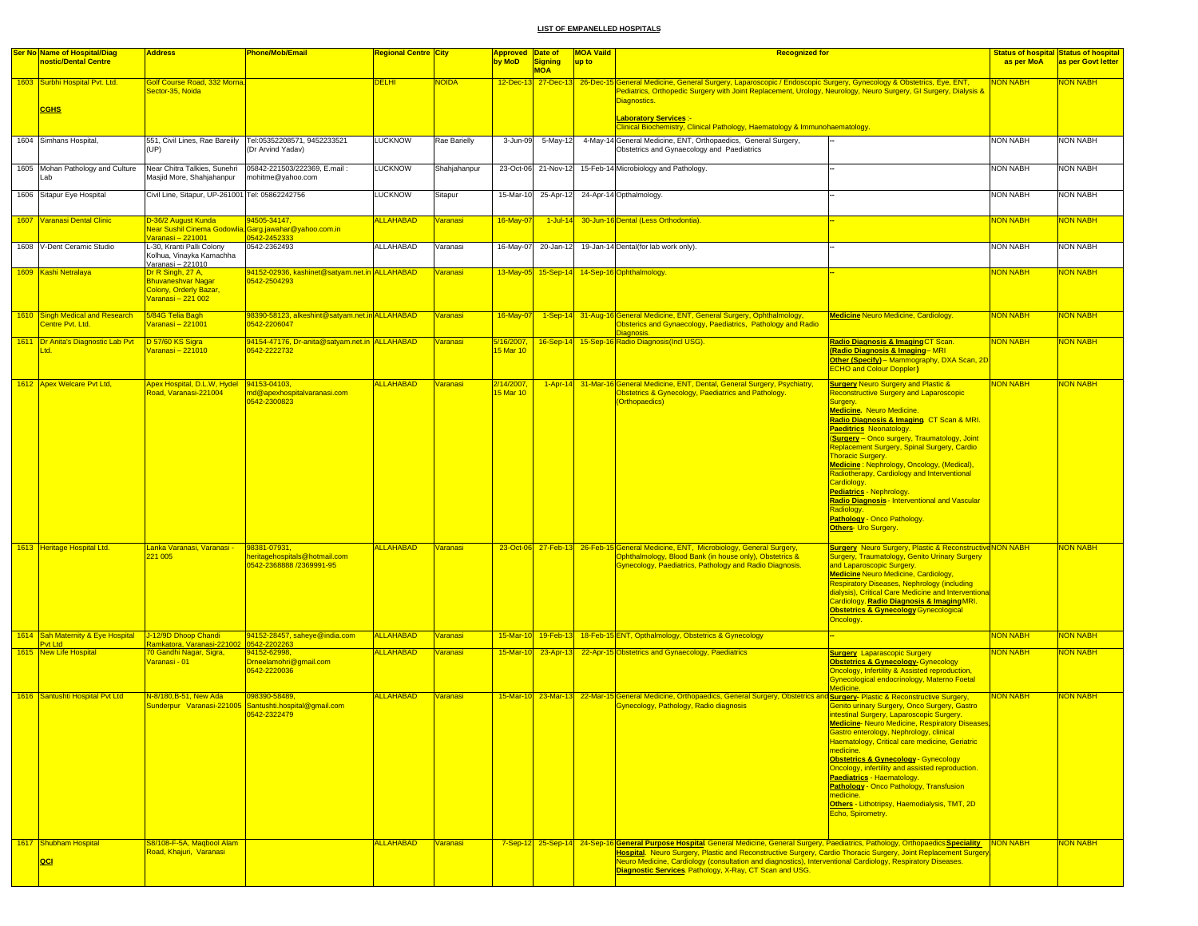| <b>Ser No Name of Hospital/Diag</b><br>nostic/Dental Centre | <b>Address</b>                                                                                             | <b>Phone/Mob/Email</b>                                                                       | <mark>Regional Centre  City</mark>   |                       | <b>Approved Date of</b><br>by MoD | <b>Signing</b>      | <b>MOA Vaild</b><br>up to | <b>Recognized for</b>                                                                                                                                                                                                                                                                                                                                                                                                                         |                                                                                                                                                                                                                                                                                                                                                                                                                                                                                                                                                                                                                                                                                                                                     | as per MoA      | <b>Status of hospital Status of hospital</b><br>as per Govt letter |
|-------------------------------------------------------------|------------------------------------------------------------------------------------------------------------|----------------------------------------------------------------------------------------------|--------------------------------------|-----------------------|-----------------------------------|---------------------|---------------------------|-----------------------------------------------------------------------------------------------------------------------------------------------------------------------------------------------------------------------------------------------------------------------------------------------------------------------------------------------------------------------------------------------------------------------------------------------|-------------------------------------------------------------------------------------------------------------------------------------------------------------------------------------------------------------------------------------------------------------------------------------------------------------------------------------------------------------------------------------------------------------------------------------------------------------------------------------------------------------------------------------------------------------------------------------------------------------------------------------------------------------------------------------------------------------------------------------|-----------------|--------------------------------------------------------------------|
|                                                             |                                                                                                            |                                                                                              |                                      |                       |                                   | <b>MOA</b>          |                           |                                                                                                                                                                                                                                                                                                                                                                                                                                               |                                                                                                                                                                                                                                                                                                                                                                                                                                                                                                                                                                                                                                                                                                                                     |                 |                                                                    |
| 1603 Surbhi Hospital Pvt. Ltd.                              | Golf Course Road, 332 Morna,<br>ector-35, Noida                                                            |                                                                                              | <b>DELHI</b>                         | NOIDA                 |                                   |                     |                           | 12-Dec-13 27-Dec-13 26-Dec-15 General Medicine, General Surgery, Laparoscopic / Endoscopic Surgery, Gynecology & Obstetrics, Eye, ENT,<br>Pediatrics, Orthopedic Surgery with Joint Replacement, Urology, Neurology, Neuro Surgery, GI Surgery, Dialysis &<br>Diagnostics.                                                                                                                                                                    |                                                                                                                                                                                                                                                                                                                                                                                                                                                                                                                                                                                                                                                                                                                                     | <b>NON NABH</b> | NON NABH                                                           |
| <b>CGHS</b>                                                 |                                                                                                            |                                                                                              |                                      |                       |                                   |                     |                           | <b>Laboratory Services:-</b><br>Clinical Biochemistry, Clinical Pathology, Haematology & Immunohaematology.                                                                                                                                                                                                                                                                                                                                   |                                                                                                                                                                                                                                                                                                                                                                                                                                                                                                                                                                                                                                                                                                                                     |                 |                                                                    |
| 1604 Simhans Hospital,                                      | 551, Civil Lines, Rae Bareiily<br>(UP)                                                                     | Tel:05352208571, 9452233521<br>(Dr Arvind Yadav)                                             | <b>LUCKNOW</b>                       | Rae Barielly          | 3-Jun-09                          | 5-May-12            |                           | 4-May-14 General Medicine, ENT, Orthopaedics, General Surgery,<br>Obstetrics and Gynaecology and Paediatrics                                                                                                                                                                                                                                                                                                                                  |                                                                                                                                                                                                                                                                                                                                                                                                                                                                                                                                                                                                                                                                                                                                     | <b>NON NABH</b> | NON NABH                                                           |
| 1605 Mohan Pathology and Culture<br>Lab                     | Near Chitra Talkies, Sunehri<br>Masjid More, Shahjahanpur                                                  | 05842-221503/222369, E.mail:<br>mohitme@yahoo.com                                            | <b>LUCKNOW</b>                       | Shahjahanpur          |                                   | 23-Oct-06 21-Nov-12 |                           | 15-Feb-14 Microbiology and Pathology.                                                                                                                                                                                                                                                                                                                                                                                                         |                                                                                                                                                                                                                                                                                                                                                                                                                                                                                                                                                                                                                                                                                                                                     | <b>NON NABH</b> | <b>NON NABH</b>                                                    |
| 1606 Sitapur Eye Hospital                                   | Civil Line, Sitapur, UP-261001 Tel: 05862242756                                                            |                                                                                              | <b>LUCKNOW</b>                       | Sitapur               | 15-Mar-10                         | 25-Apr-12           |                           | 24-Apr-14 Opthalmology.                                                                                                                                                                                                                                                                                                                                                                                                                       |                                                                                                                                                                                                                                                                                                                                                                                                                                                                                                                                                                                                                                                                                                                                     | <b>NON NABH</b> | <b>NON NABH</b>                                                    |
| 1607 Varanasi Dental Clinic                                 | D-36/2 August Kunda                                                                                        | 94505-34147,<br>Near Sushil Cinema Godowlia, Garg.jawahar@yahoo.com.in                       | <b>ALLAHABAD</b>                     | Varanasi              | 16-May-07                         | $1$ -Jul-14         |                           | 30-Jun-16 Dental (Less Orthodontia)                                                                                                                                                                                                                                                                                                                                                                                                           |                                                                                                                                                                                                                                                                                                                                                                                                                                                                                                                                                                                                                                                                                                                                     | <b>NON NABH</b> | <mark>NON NABH</mark>                                              |
| 1608 V-Dent Ceramic Studio                                  | Varanasi - 221001<br>L-30, Kranti Palli Colony<br>Kolhua, Vinayka Kamachha<br>Varanasi - 221010            | 0542-2362493                                                                                 | ALLAHABAD                            | Varanasi              | 16-May-07                         | 20-Jan-12           |                           | 19-Jan-14 Dental(for lab work only).                                                                                                                                                                                                                                                                                                                                                                                                          |                                                                                                                                                                                                                                                                                                                                                                                                                                                                                                                                                                                                                                                                                                                                     | <b>NON NABH</b> | <b>NON NABH</b>                                                    |
| 1609 Kashi Netralaya                                        | <u>Dr R Singh, 27 A, </u><br><b>Bhuvaneshvar Nagar</b><br>Colony, Orderly Bazar,                           | 94152-02936, kashinet@satyam.net.in ALLAHABAD<br>0542-2504293                                |                                      | <b>Varanasi</b>       |                                   |                     |                           | 13-May-05 15-Sep-14 14-Sep-16 Ophthalmology.                                                                                                                                                                                                                                                                                                                                                                                                  |                                                                                                                                                                                                                                                                                                                                                                                                                                                                                                                                                                                                                                                                                                                                     | <b>NON NABH</b> | <b>NON NABH</b>                                                    |
| 1610 Singh Medical and Research                             | Varanasi – 221 002<br>5/84G Telia Bagh                                                                     | 98390-58123, alkeshint@satyam.net.in ALLAHABAD                                               |                                      | <mark>Varanasi</mark> | 16-May-07                         |                     |                           | 1-Sep-14 31-Aug-16 General Medicine, ENT, General Surgery, Ophthalmology,                                                                                                                                                                                                                                                                                                                                                                     | <b>Medicine Neuro Medicine, Cardiology.</b>                                                                                                                                                                                                                                                                                                                                                                                                                                                                                                                                                                                                                                                                                         | <b>NON NABH</b> | <b>NON NABH</b>                                                    |
| Centre Pvt. Ltd.<br>1611 Dr Anita's Diagnostic Lab Pvt      | <mark>/aranasi – 221001</mark><br>D 57/60 KS Sigra                                                         | 0542-2206047<br>94154-47176, Dr-anita@satyam.net.in ALLAHABAD                                |                                      | Varanasi              | 5/16/2007.                        |                     |                           | Obsterics and Gynaecology, Paediatrics, Pathology and Radio<br>16-Sep-14 15-Sep-16 Radio Diagnosis (Incl USG).                                                                                                                                                                                                                                                                                                                                | Radio Diagnosis & Imaging CT Scan.                                                                                                                                                                                                                                                                                                                                                                                                                                                                                                                                                                                                                                                                                                  | <b>NON NABH</b> | <b>NON NABH</b>                                                    |
| Ltd.                                                        | Varanasi - 221010                                                                                          | 0542-2222732                                                                                 |                                      |                       | 15 Mar 10                         |                     |                           |                                                                                                                                                                                                                                                                                                                                                                                                                                               | (Radio Diagnosis & Imaging-MRI<br>Other (Specify) - Mammography, DXA Scan, 2D<br><b>ECHO and Colour Doppler)</b>                                                                                                                                                                                                                                                                                                                                                                                                                                                                                                                                                                                                                    |                 |                                                                    |
| 1612 Apex Welcare Pvt Ltd,<br>1613 Heritage Hospital Ltd.   | Apex Hospital, D.L.W, Hydel 94153-04103,<br>20ad, Varanasi-221004<br>Lanka Varanasi, Varanasi -<br>221 005 | md@apexhospitalvaranasi.com<br>0542-2300823<br>98381-07931,<br>neritagehospitals@hotmail.com | <b>ALLAHABAD</b><br><b>ALLAHABAD</b> | Varanasi<br>Varanasi  | 2/14/2007,<br>5 Mar 10            |                     |                           | 1-Apr-14 31-Mar-16 General Medicine, ENT, Dental, General Surgery, Psychiatry,<br>Obstetrics & Gynecology, Paediatrics and Pathology.<br>(Orthopaedics)<br>23-Oct-06 27-Feb-13 26-Feb-15 General Medicine, ENT, Microbiology, General Surgery,<br>Ophthalmology, Blood Bank (in house only), Obstetrics &                                                                                                                                     | <b>Surgery Neuro Surgery and Plastic &amp;</b><br><b>Reconstructive Surgery and Laparoscopic</b><br>Surgery.<br>Medicine. Neuro Medicine.<br>Radio Diagnosis & Imaging CT Scan & MRI.<br><b>Paeditrics Neonatology.</b><br>Surgery - Onco surgery, Traumatology, Joint<br>Replacement Surgery, Spinal Surgery, Cardio<br><b>Thoracic Surgery.</b><br>Medicine: Nephrology, Oncology, (Medical),<br>Radiotherapy, Cardiology and Interventional<br>Cardiology.<br>Pediatrics - Nephrology.<br>Radio Diagnosis - Interventional and Vascular<br>Radiology.<br>Pathology - Onco Pathology.<br>Others- Uro Surgery.<br><b>Surgery</b> Neuro Surgery, Plastic & Reconstructive NON NABH<br>Surgery, Traumatology, Genito Urinary Surgery | <b>NON NABH</b> | NON NABH<br><b>NON NABH</b>                                        |
|                                                             |                                                                                                            | 0542-2368888 /2369991-95                                                                     |                                      |                       |                                   |                     |                           | <b>Synecology, Paediatrics, Pathology and Radio Diagnosis.</b>                                                                                                                                                                                                                                                                                                                                                                                | and Laparoscopic Surgery.<br><b>Medicine Neuro Medicine, Cardiology,</b><br><b>Respiratory Diseases, Nephrology (including</b><br>dialysis), Critical Care Medicine and Interventiona<br>Cardiology. Radio Diagnosis & Imaging MRI.<br><b>Obstetrics &amp; Gynecology Gynecological</b><br>Oncology.                                                                                                                                                                                                                                                                                                                                                                                                                                |                 |                                                                    |
| 1614 Sah Maternity & Eye Hospital<br><b>Pvt Ltd</b>         | J-12/9D Dhoop Chandi<br><mark>amkatora, Varanasi-22100:</mark>                                             | 94152-28457, saheye@india.com<br>0542-2202263                                                | ALLAHABAD                            | <mark>Varanasi</mark> | 15-Mar-10                         | 19-Feb-1            |                           | 18-Feb-15 ENT, Opthalmology, Obstetrics & Gynecology                                                                                                                                                                                                                                                                                                                                                                                          |                                                                                                                                                                                                                                                                                                                                                                                                                                                                                                                                                                                                                                                                                                                                     | <b>NON NABH</b> | NON NABH                                                           |
| 1615 New Life Hospital                                      | 70 Gandhi Nagar, Sigra,<br>Varanasi - 01                                                                   | 94152-62998,<br>Drneelamohri@gmail.com<br>0542-2220036                                       | <b>ALLAHABAD</b>                     | Varanasi              | 15-Mar-10                         | 23-Apr-1            |                           | 22-Apr-15 Obstetrics and Gynaecology, Paediatrics                                                                                                                                                                                                                                                                                                                                                                                             | <b>Surgery</b> Laparascopic Surgery<br><b>Obstetrics &amp; Gynecology-Gynecology</b><br>Oncology, Infertility & Assisted reproduction,<br>Gynecological endocrinology, Materno Foetal<br>Medicine.                                                                                                                                                                                                                                                                                                                                                                                                                                                                                                                                  | <b>NON NABH</b> | NON NABH                                                           |
| 1616 Santushti Hospital Pvt Ltd                             | N-8/180, B-51, New Ada                                                                                     | 098390-58489,<br>Sunderpur Varanasi-221005 Santushti.hospital@gmail.com<br>0542-2322479      | <b>ALLAHABAD</b>                     | <b>Varanasi</b>       |                                   |                     |                           | 15-Mar-10 23-Mar-13 22-Mar-15 General Medicine, Orthopaedics, General Surgery, Obstetrics and Surgery- Plastic & Reconstructive Surgery,<br>Gynecology, Pathology, Radio diagnosis                                                                                                                                                                                                                                                            | Genito urinary Surgery, Onco Surgery, Gastro<br>intestinal Surgery, Laparoscopic Surgery.<br><b>Medicine</b> Neuro Medicine, Respiratory Diseases<br>Gastro enterology, Nephrology, clinical<br>Haematology, Critical care medicine, Geriatric<br>medicine.<br><b>Obstetrics &amp; Gynecology - Gynecology</b><br>Oncology, infertility and assisted reproduction.<br>Paediatrics - Haematology.<br>Pathology - Onco Pathology, Transfusion<br>medicine.<br>Others - Lithotripsy, Haemodialysis, TMT, 2D<br>Echo, Spirometry.                                                                                                                                                                                                       | <b>NON NABH</b> | <b>NON NABH</b>                                                    |
| 1617 Shubham Hospital<br>QCI                                | S8/108-F-5A, Magbool Alam<br><mark>Road, Khajuri, Varanasi</mark>                                          |                                                                                              | <b>ALLAHABAD</b>                     | Varanasi              |                                   |                     |                           | 7-Sep-12 25-Sep-14 24-Sep-16 General Purpose Hospital General Medicine, General Surgery, Paediatrics, Pathology, Orthopaedics Speciality NON NABH<br>Hospital. Neuro Surgery, Plastic and Reconstructive Surgery, Cardio Thoracic Surgery, Joint Replacement Surger<br>Neuro Medicine, Cardiology (consultation and diagnostics), Interventional Cardiology, Respiratory Diseases.<br>Diagnostic Services. Pathology, X-Ray, CT Scan and USG. |                                                                                                                                                                                                                                                                                                                                                                                                                                                                                                                                                                                                                                                                                                                                     |                 | <b>NON NABH</b>                                                    |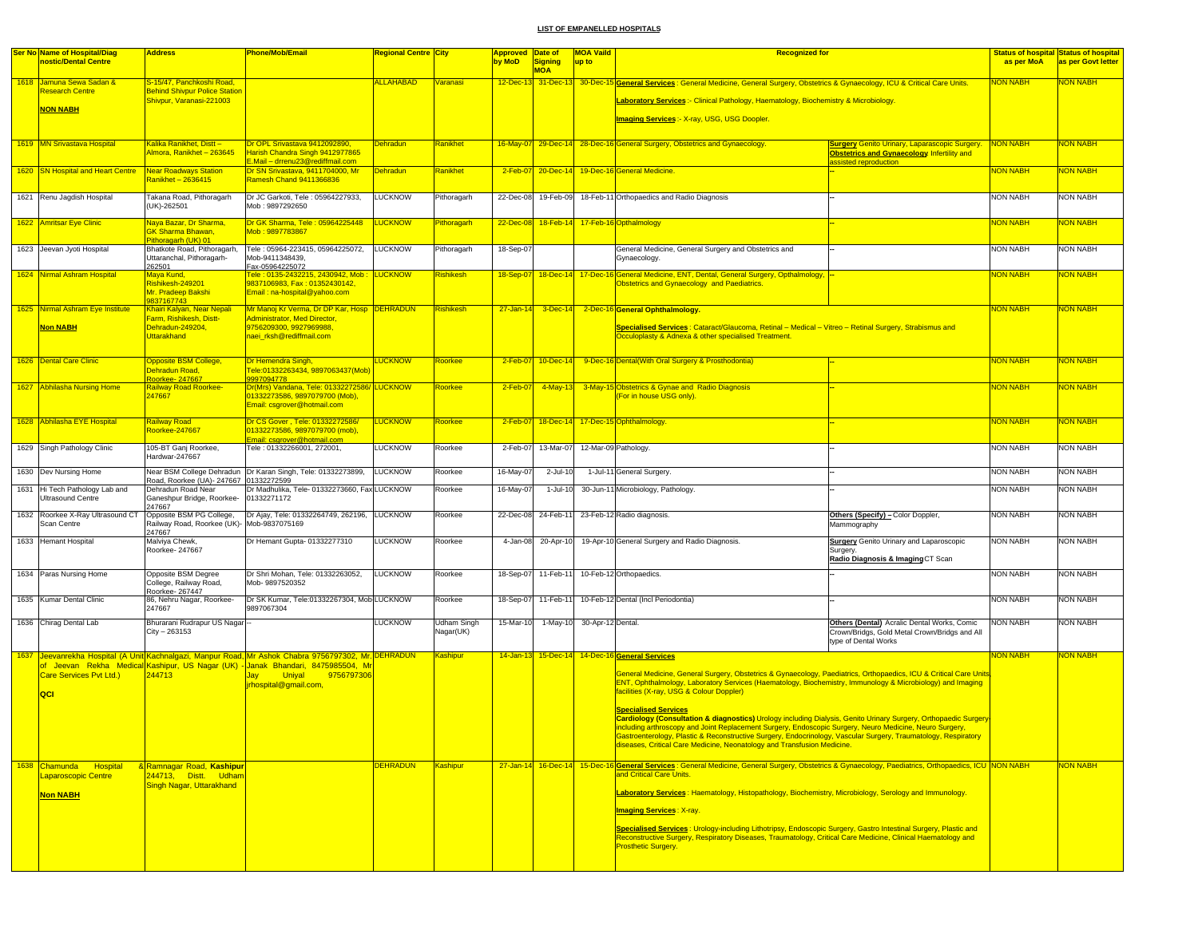| <b>Ser No Name of Hospital/Diag</b><br><b>Regional Centre City</b><br><b>Signing</b><br>nostic/Dental Centre<br>by MoD<br>up to<br><b>MOA</b><br><b>ALLAHABAD</b><br>1618 Jamuna Sewa Sadan &<br>S-15/47, Panchkoshi Road,<br><b>Varanasi</b><br><b>Research Centre</b><br><b>Behind Shivpur Police Station</b><br>Shivpur, Varanasi-221003<br>Laboratory Services:- Clinical Pathology, Haematology, Biochemistry & Microbiology,<br><b>NON NABH</b><br><b>Imaging Services:- X-ray, USG, USG Doopler.</b><br>Kalika Ranikhet, Distt-<br>Dr OPL Srivastava 9412092890,<br><b>Dehradun</b><br>Ranikhet<br>1619 MN Srivastava Hospital<br>16-May-07 29-Dec-14 28-Dec-16 General Surgery, Obstetrics and Gynaecology.<br>Almora, Ranikhet - 263645<br>Harish Chandra Singh 9412977865<br>E.Mail - drrenu23@rediffmail.com<br>Dr SN Srivastava, 9411704000, Mr<br><b>Dehradun</b><br>1620 SN Hospital and Heart Centre<br><b>Near Roadways Station</b><br>Ranikhet<br>2-Feb-07<br>$20$ -Dec-14<br>19-Dec-16 General Medicine.<br>Ramesh Chand 9411366836<br>2anikhet – 2636415<br><b>LUCKNOW</b><br>1621 Renu Jagdish Hospital<br>Takana Road, Pithoragarh<br>Dr JC Garkoti, Tele: 05964227933,<br>Pithoragarh<br>22-Dec-08<br>19-Feb-09<br>18-Feb-11 Orthopaedics and Radio Diagnosis<br>(UK)-262501<br>Mob: 9897292650<br>Dr GK Sharma, Tele: 05964225448<br>1622 Amritsar Eye Clinic<br>Naya Bazar, Dr Sharma,<br><u>LUCKNOW</u><br>Pithoragarh<br>22-Dec-08<br>18-Feb-14<br>17-Feb-16 Opthalmology<br><b>GK Sharma Bhawan,</b><br>Mob: 9897783867<br>Pithoragarh (UK) 01<br>Bhatkote Road, Pithoragarh,<br>Tele: 05964-223415, 05964225072,<br><b>LUCKNOW</b><br>Pithoragarh<br>18-Sep-07<br>General Medicine, General Surgery and Obstetrics and<br>1623 Jeevan Jyoti Hospital<br>Uttaranchal, Pithoragarh-<br>Mob-9411348439,<br>Gynaecology.<br>262501<br>Fax-05964225072<br><mark>Tele : 0135-2432215, 2430942, Mob :</mark><br>LUCKNOW<br>18-Sep-07 18-Dec-14 17-Dec-16 General Medicine, ENT, Dental, General Surgery, Opthalmology,<br>1624 Nirmal Ashram Hospital<br><b>Rishikesh</b><br>Maya Kund,<br>9837106983, Fax: 01352430142,<br>Rishikesh-249201<br>Obstetrics and Gynaecology and Paediatrics.<br>Mr. Pradeep Bakshi<br>Email: na-hospital@yahoo.com<br>9837167743<br>Mr Manoj Kr Verma, Dr DP Kar, Hosp DEHRADUN<br>1625 Nirmal Ashram Eye Institute<br>Khairi Kalyan, Near Nepali<br><b>Rishikesh</b><br>$27 - Jan - 14$ 3-Dec-14<br>2-Dec-16 General Ophthalmology.<br>Farm, Rishikesh, Distt-<br><b>Administrator, Med Director,</b><br>Specialised Services : Cataract/Glaucoma, Retinal - Medical - Vitreo - Retinal Surgery, Strabismus and<br>Non NABH<br>Dehradun-249204,<br>9756209300, 9927969988,<br><b>Uttarakhand</b><br>naei_rksh@rediffmail.com<br>Occuloplasty & Adnexa & other specialised Treatment.<br>1626 Dental Care Clinic<br>Opposite BSM College,<br>Dr Hemendra Singh,<br><b>LUCKNOW</b><br>Roorkee<br>2-Feb-07<br>10-Dec-14<br>9-Dec-16 Dental(With Oral Surgery & Prosthodontia)<br><b>Dehradun Road.</b><br><u> Tele:01332263434, 9897063437(Mob)</u><br>Roorkee- 247667<br>9997094778 |                                                                                                                                          | as per MoA<br><b>NON NABH</b> | as per Govt letter    |
|----------------------------------------------------------------------------------------------------------------------------------------------------------------------------------------------------------------------------------------------------------------------------------------------------------------------------------------------------------------------------------------------------------------------------------------------------------------------------------------------------------------------------------------------------------------------------------------------------------------------------------------------------------------------------------------------------------------------------------------------------------------------------------------------------------------------------------------------------------------------------------------------------------------------------------------------------------------------------------------------------------------------------------------------------------------------------------------------------------------------------------------------------------------------------------------------------------------------------------------------------------------------------------------------------------------------------------------------------------------------------------------------------------------------------------------------------------------------------------------------------------------------------------------------------------------------------------------------------------------------------------------------------------------------------------------------------------------------------------------------------------------------------------------------------------------------------------------------------------------------------------------------------------------------------------------------------------------------------------------------------------------------------------------------------------------------------------------------------------------------------------------------------------------------------------------------------------------------------------------------------------------------------------------------------------------------------------------------------------------------------------------------------------------------------------------------------------------------------------------------------------------------------------------------------------------------------------------------------------------------------------------------------------------------------------------------------------------------------------------------------------------------------------------------------------------------------------------------------------------------------------------------------------------------------------------------------------------------------------------------------------------------------------------------------------------------------------------------------------------------------------------|------------------------------------------------------------------------------------------------------------------------------------------|-------------------------------|-----------------------|
|                                                                                                                                                                                                                                                                                                                                                                                                                                                                                                                                                                                                                                                                                                                                                                                                                                                                                                                                                                                                                                                                                                                                                                                                                                                                                                                                                                                                                                                                                                                                                                                                                                                                                                                                                                                                                                                                                                                                                                                                                                                                                                                                                                                                                                                                                                                                                                                                                                                                                                                                                                                                                                                                                                                                                                                                                                                                                                                                                                                                                                                                                                                                        |                                                                                                                                          |                               |                       |
|                                                                                                                                                                                                                                                                                                                                                                                                                                                                                                                                                                                                                                                                                                                                                                                                                                                                                                                                                                                                                                                                                                                                                                                                                                                                                                                                                                                                                                                                                                                                                                                                                                                                                                                                                                                                                                                                                                                                                                                                                                                                                                                                                                                                                                                                                                                                                                                                                                                                                                                                                                                                                                                                                                                                                                                                                                                                                                                                                                                                                                                                                                                                        | 12-Dec-13 31-Dec-13 30-Dec-15 General Services : General Medicine, General Surgery, Obstetrics & Gynaecology, ICU & Critical Care Units. |                               | <b>NON NABH</b>       |
|                                                                                                                                                                                                                                                                                                                                                                                                                                                                                                                                                                                                                                                                                                                                                                                                                                                                                                                                                                                                                                                                                                                                                                                                                                                                                                                                                                                                                                                                                                                                                                                                                                                                                                                                                                                                                                                                                                                                                                                                                                                                                                                                                                                                                                                                                                                                                                                                                                                                                                                                                                                                                                                                                                                                                                                                                                                                                                                                                                                                                                                                                                                                        |                                                                                                                                          |                               |                       |
|                                                                                                                                                                                                                                                                                                                                                                                                                                                                                                                                                                                                                                                                                                                                                                                                                                                                                                                                                                                                                                                                                                                                                                                                                                                                                                                                                                                                                                                                                                                                                                                                                                                                                                                                                                                                                                                                                                                                                                                                                                                                                                                                                                                                                                                                                                                                                                                                                                                                                                                                                                                                                                                                                                                                                                                                                                                                                                                                                                                                                                                                                                                                        |                                                                                                                                          |                               |                       |
|                                                                                                                                                                                                                                                                                                                                                                                                                                                                                                                                                                                                                                                                                                                                                                                                                                                                                                                                                                                                                                                                                                                                                                                                                                                                                                                                                                                                                                                                                                                                                                                                                                                                                                                                                                                                                                                                                                                                                                                                                                                                                                                                                                                                                                                                                                                                                                                                                                                                                                                                                                                                                                                                                                                                                                                                                                                                                                                                                                                                                                                                                                                                        | <b>Surgery Genito Urinary, Laparascopic Surgery.</b><br><b>Obstetrics and Gynaecology Infertility and</b><br>ssisted reproduction        | NON NABH                      | <b>NON NABH</b>       |
|                                                                                                                                                                                                                                                                                                                                                                                                                                                                                                                                                                                                                                                                                                                                                                                                                                                                                                                                                                                                                                                                                                                                                                                                                                                                                                                                                                                                                                                                                                                                                                                                                                                                                                                                                                                                                                                                                                                                                                                                                                                                                                                                                                                                                                                                                                                                                                                                                                                                                                                                                                                                                                                                                                                                                                                                                                                                                                                                                                                                                                                                                                                                        |                                                                                                                                          | <b>NON NABH</b>               | <b>NON NABH</b>       |
|                                                                                                                                                                                                                                                                                                                                                                                                                                                                                                                                                                                                                                                                                                                                                                                                                                                                                                                                                                                                                                                                                                                                                                                                                                                                                                                                                                                                                                                                                                                                                                                                                                                                                                                                                                                                                                                                                                                                                                                                                                                                                                                                                                                                                                                                                                                                                                                                                                                                                                                                                                                                                                                                                                                                                                                                                                                                                                                                                                                                                                                                                                                                        |                                                                                                                                          | <b>NON NABH</b>               | <b>NON NABH</b>       |
|                                                                                                                                                                                                                                                                                                                                                                                                                                                                                                                                                                                                                                                                                                                                                                                                                                                                                                                                                                                                                                                                                                                                                                                                                                                                                                                                                                                                                                                                                                                                                                                                                                                                                                                                                                                                                                                                                                                                                                                                                                                                                                                                                                                                                                                                                                                                                                                                                                                                                                                                                                                                                                                                                                                                                                                                                                                                                                                                                                                                                                                                                                                                        |                                                                                                                                          | <b>NON NABH</b>               | <mark>NON NABH</mark> |
|                                                                                                                                                                                                                                                                                                                                                                                                                                                                                                                                                                                                                                                                                                                                                                                                                                                                                                                                                                                                                                                                                                                                                                                                                                                                                                                                                                                                                                                                                                                                                                                                                                                                                                                                                                                                                                                                                                                                                                                                                                                                                                                                                                                                                                                                                                                                                                                                                                                                                                                                                                                                                                                                                                                                                                                                                                                                                                                                                                                                                                                                                                                                        |                                                                                                                                          | <b>NON NABH</b>               | <b>NON NABH</b>       |
|                                                                                                                                                                                                                                                                                                                                                                                                                                                                                                                                                                                                                                                                                                                                                                                                                                                                                                                                                                                                                                                                                                                                                                                                                                                                                                                                                                                                                                                                                                                                                                                                                                                                                                                                                                                                                                                                                                                                                                                                                                                                                                                                                                                                                                                                                                                                                                                                                                                                                                                                                                                                                                                                                                                                                                                                                                                                                                                                                                                                                                                                                                                                        |                                                                                                                                          | <b>NON NABH</b>               | NON NABH              |
|                                                                                                                                                                                                                                                                                                                                                                                                                                                                                                                                                                                                                                                                                                                                                                                                                                                                                                                                                                                                                                                                                                                                                                                                                                                                                                                                                                                                                                                                                                                                                                                                                                                                                                                                                                                                                                                                                                                                                                                                                                                                                                                                                                                                                                                                                                                                                                                                                                                                                                                                                                                                                                                                                                                                                                                                                                                                                                                                                                                                                                                                                                                                        |                                                                                                                                          |                               |                       |
|                                                                                                                                                                                                                                                                                                                                                                                                                                                                                                                                                                                                                                                                                                                                                                                                                                                                                                                                                                                                                                                                                                                                                                                                                                                                                                                                                                                                                                                                                                                                                                                                                                                                                                                                                                                                                                                                                                                                                                                                                                                                                                                                                                                                                                                                                                                                                                                                                                                                                                                                                                                                                                                                                                                                                                                                                                                                                                                                                                                                                                                                                                                                        |                                                                                                                                          | <b>NON NABH</b>               | <b>NON NABH</b>       |
|                                                                                                                                                                                                                                                                                                                                                                                                                                                                                                                                                                                                                                                                                                                                                                                                                                                                                                                                                                                                                                                                                                                                                                                                                                                                                                                                                                                                                                                                                                                                                                                                                                                                                                                                                                                                                                                                                                                                                                                                                                                                                                                                                                                                                                                                                                                                                                                                                                                                                                                                                                                                                                                                                                                                                                                                                                                                                                                                                                                                                                                                                                                                        |                                                                                                                                          |                               |                       |
|                                                                                                                                                                                                                                                                                                                                                                                                                                                                                                                                                                                                                                                                                                                                                                                                                                                                                                                                                                                                                                                                                                                                                                                                                                                                                                                                                                                                                                                                                                                                                                                                                                                                                                                                                                                                                                                                                                                                                                                                                                                                                                                                                                                                                                                                                                                                                                                                                                                                                                                                                                                                                                                                                                                                                                                                                                                                                                                                                                                                                                                                                                                                        |                                                                                                                                          | <b>NON NABH</b>               | <b>NON NABH</b>       |
| Railway Road Roorkee-<br>Dr(Mrs) Vandana, Tele: 01332272586/<br>LUCKNOW<br>Roorkee<br>4-May-1<br>3-May-15 Obstetrics & Gynae and Radio Diagnosis<br>1627 Abhilasha Nursing Home<br>2-Feb-07<br>247667<br>01332273586, 9897079700 (Mob),<br>For in house USG only).<br>Email: csgrover@hotmail.com                                                                                                                                                                                                                                                                                                                                                                                                                                                                                                                                                                                                                                                                                                                                                                                                                                                                                                                                                                                                                                                                                                                                                                                                                                                                                                                                                                                                                                                                                                                                                                                                                                                                                                                                                                                                                                                                                                                                                                                                                                                                                                                                                                                                                                                                                                                                                                                                                                                                                                                                                                                                                                                                                                                                                                                                                                      |                                                                                                                                          | <b>NON NABH</b>               | NON NABH              |
| 1628 Abhilasha EYE Hospital<br><b>Railway Road</b><br>Dr CS Gover, Tele: 01332272586/<br><b>LUCKNOW</b><br>$18 - Dec - 14$<br>17-Dec-15 Ophthalmology.<br>2-Feb-07<br>Roorkee<br>Roorkee-247667<br>01332273586, 9897079700 (mob),<br>mail: csgrover@hotmail.com                                                                                                                                                                                                                                                                                                                                                                                                                                                                                                                                                                                                                                                                                                                                                                                                                                                                                                                                                                                                                                                                                                                                                                                                                                                                                                                                                                                                                                                                                                                                                                                                                                                                                                                                                                                                                                                                                                                                                                                                                                                                                                                                                                                                                                                                                                                                                                                                                                                                                                                                                                                                                                                                                                                                                                                                                                                                        |                                                                                                                                          | <b>NON NABH</b>               | <b>NON NABH</b>       |
| 1629 Singh Pathology Clinic<br>105-BT Ganj Roorkee,<br>Tele: 01332266001. 272001.<br><b>LUCKNOW</b><br>2-Feb-07<br>13-Mar-07<br>12-Mar-09 Pathology<br>Roorkee<br>Hardwar-247667                                                                                                                                                                                                                                                                                                                                                                                                                                                                                                                                                                                                                                                                                                                                                                                                                                                                                                                                                                                                                                                                                                                                                                                                                                                                                                                                                                                                                                                                                                                                                                                                                                                                                                                                                                                                                                                                                                                                                                                                                                                                                                                                                                                                                                                                                                                                                                                                                                                                                                                                                                                                                                                                                                                                                                                                                                                                                                                                                       |                                                                                                                                          | <b>NON NABH</b>               | <b>NON NABH</b>       |
| Near BSM College Dehradun   Dr Karan Singh, Tele: 01332273899,<br><b>LUCKNOW</b><br>1630 Dev Nursing Home<br>16-May-07<br>Roorkee<br>2-Jul-10<br>1-Jul-11 General Surgery.<br>Road, Roorkee (UA)- 247667 01332272599                                                                                                                                                                                                                                                                                                                                                                                                                                                                                                                                                                                                                                                                                                                                                                                                                                                                                                                                                                                                                                                                                                                                                                                                                                                                                                                                                                                                                                                                                                                                                                                                                                                                                                                                                                                                                                                                                                                                                                                                                                                                                                                                                                                                                                                                                                                                                                                                                                                                                                                                                                                                                                                                                                                                                                                                                                                                                                                   |                                                                                                                                          | <b>NON NABH</b>               | <b>NON NABH</b>       |
| Dr Madhulika, Tele- 01332273660, Fax LUCKNOW<br>1631 Hi Tech Pathology Lab and<br>Dehradun Road Near<br>16-May-07<br>1-Jul-10<br>30-Jun-11 Microbiology, Pathology<br>Roorkee<br><b>Ultrasound Centre</b><br>Ganeshpur Bridge, Roorkee-<br>01332271172<br>247667                                                                                                                                                                                                                                                                                                                                                                                                                                                                                                                                                                                                                                                                                                                                                                                                                                                                                                                                                                                                                                                                                                                                                                                                                                                                                                                                                                                                                                                                                                                                                                                                                                                                                                                                                                                                                                                                                                                                                                                                                                                                                                                                                                                                                                                                                                                                                                                                                                                                                                                                                                                                                                                                                                                                                                                                                                                                       |                                                                                                                                          | <b>NON NABH</b>               | <b>NON NABH</b>       |
| <b>LUCKNOW</b><br>1632 Roorkee X-Ray Ultrasound CT<br>Opposite BSM PG College,<br>Dr Ajay, Tele: 01332264749, 262196,<br>22-Dec-08<br>24-Feb-11<br>23-Feb-12 Radio diagnosis.<br>Roorkee<br>Railway Road, Roorkee (UK)- Mob-9837075169<br>Scan Centre<br>247667                                                                                                                                                                                                                                                                                                                                                                                                                                                                                                                                                                                                                                                                                                                                                                                                                                                                                                                                                                                                                                                                                                                                                                                                                                                                                                                                                                                                                                                                                                                                                                                                                                                                                                                                                                                                                                                                                                                                                                                                                                                                                                                                                                                                                                                                                                                                                                                                                                                                                                                                                                                                                                                                                                                                                                                                                                                                        | Others (Specify) - Color Doppler,<br>Mammography                                                                                         | <b>NON NABH</b>               | <b>NON NABH</b>       |
| Dr Hemant Gupta- 01332277310<br><b>LUCKNOW</b><br>$20 - Apr - 10$<br>19-Apr-10 General Surgery and Radio Diagnosis.<br>1633 Hemant Hospital<br>Malviya Chewk,<br>Roorkee<br>4-Jan-08<br>Roorkee- 247667                                                                                                                                                                                                                                                                                                                                                                                                                                                                                                                                                                                                                                                                                                                                                                                                                                                                                                                                                                                                                                                                                                                                                                                                                                                                                                                                                                                                                                                                                                                                                                                                                                                                                                                                                                                                                                                                                                                                                                                                                                                                                                                                                                                                                                                                                                                                                                                                                                                                                                                                                                                                                                                                                                                                                                                                                                                                                                                                | <b>Surgery</b> Genito Urinary and Laparoscopic<br>Surgery.<br>Radio Diagnosis & Imaging CT Scan                                          | <b>NON NABH</b>               | <b>NON NABH</b>       |
| <b>LUCKNOW</b><br>1634 Paras Nursing Home<br>Dr Shri Mohan, Tele: 01332263052,<br>18-Sep-07<br>11-Feb-1<br>10-Feb-12 Orthopaedics.<br>Opposite BSM Degree<br>Roorkee<br>College, Railway Road,<br>Mob-9897520352                                                                                                                                                                                                                                                                                                                                                                                                                                                                                                                                                                                                                                                                                                                                                                                                                                                                                                                                                                                                                                                                                                                                                                                                                                                                                                                                                                                                                                                                                                                                                                                                                                                                                                                                                                                                                                                                                                                                                                                                                                                                                                                                                                                                                                                                                                                                                                                                                                                                                                                                                                                                                                                                                                                                                                                                                                                                                                                       |                                                                                                                                          | NON NABH                      | <b>NON NABH</b>       |
| Roorkee- 267447<br>1635 Kumar Dental Clinic<br>86, Nehru Nagar, Roorkee-<br>Dr SK Kumar, Tele:01332267304, Mob LUCKNOW<br>18-Sep-07<br>11-Feb-11<br>10-Feb-12 Dental (Incl Periodontia)<br>Roorkee<br>247667<br>9897067304                                                                                                                                                                                                                                                                                                                                                                                                                                                                                                                                                                                                                                                                                                                                                                                                                                                                                                                                                                                                                                                                                                                                                                                                                                                                                                                                                                                                                                                                                                                                                                                                                                                                                                                                                                                                                                                                                                                                                                                                                                                                                                                                                                                                                                                                                                                                                                                                                                                                                                                                                                                                                                                                                                                                                                                                                                                                                                             |                                                                                                                                          | NON NABH                      | <b>NON NABH</b>       |
| 1636 Chirag Dental Lab<br>Bhurarani Rudrapur US Nagar<br><b>LUCKNOW</b><br><b>Udham Singh</b><br>15-Mar-10<br>1-May-10<br>30-Apr-12 Dental.                                                                                                                                                                                                                                                                                                                                                                                                                                                                                                                                                                                                                                                                                                                                                                                                                                                                                                                                                                                                                                                                                                                                                                                                                                                                                                                                                                                                                                                                                                                                                                                                                                                                                                                                                                                                                                                                                                                                                                                                                                                                                                                                                                                                                                                                                                                                                                                                                                                                                                                                                                                                                                                                                                                                                                                                                                                                                                                                                                                            | Others (Dental) Acralic Dental Works, Comic                                                                                              | <b>NON NABH</b>               | <b>NON NABH</b>       |
| $City - 263153$<br>Nagar(UK)                                                                                                                                                                                                                                                                                                                                                                                                                                                                                                                                                                                                                                                                                                                                                                                                                                                                                                                                                                                                                                                                                                                                                                                                                                                                                                                                                                                                                                                                                                                                                                                                                                                                                                                                                                                                                                                                                                                                                                                                                                                                                                                                                                                                                                                                                                                                                                                                                                                                                                                                                                                                                                                                                                                                                                                                                                                                                                                                                                                                                                                                                                           | Crown/Bridgs, Gold Metal Crown/Bridgs and All<br>type of Dental Works                                                                    |                               |                       |
| 1637 Jeevanrekha Hospital (A Unit Kachnalgazi, Manpur Road, Mr Ashok Chabra 9756797302, Mr. DEHRADUN<br><b>Kashipur</b><br>14-Jan-13 15-Dec-14<br>14-Dec-16 General Services<br>of Jeevan Rekha Medical Kashipur, US-Nagar-(UK) - Janak Bhandari, 8475985504, Mi                                                                                                                                                                                                                                                                                                                                                                                                                                                                                                                                                                                                                                                                                                                                                                                                                                                                                                                                                                                                                                                                                                                                                                                                                                                                                                                                                                                                                                                                                                                                                                                                                                                                                                                                                                                                                                                                                                                                                                                                                                                                                                                                                                                                                                                                                                                                                                                                                                                                                                                                                                                                                                                                                                                                                                                                                                                                       |                                                                                                                                          | <b>NON NABH</b>               | NON NABH              |
| General Medicine, General Surgery, Obstetrics & Gynaecology, Paediatrics, Orthopaedics, ICU & Critical Care Units<br>244713<br>Care Services Pvt Ltd.)<br><b>Jay</b><br><b>Uniyal</b><br>9756797306<br>ENT, Ophthalmology, Laboratory Services (Haematology, Biochemistry, Immunology & Microbiology) and Imaging<br>jrhospital@gmail.com,<br>facilities (X-ray, USG & Colour Doppler)<br><b>QCI</b>                                                                                                                                                                                                                                                                                                                                                                                                                                                                                                                                                                                                                                                                                                                                                                                                                                                                                                                                                                                                                                                                                                                                                                                                                                                                                                                                                                                                                                                                                                                                                                                                                                                                                                                                                                                                                                                                                                                                                                                                                                                                                                                                                                                                                                                                                                                                                                                                                                                                                                                                                                                                                                                                                                                                   |                                                                                                                                          |                               |                       |
| <b>Specialised Services</b><br>Cardiology (Consultation & diagnostics) Urology including Dialysis, Genito Urinary Surgery, Orthopaedic Surgery<br>including arthroscopy and Joint Replacement Surgery, Endoscopic Surgery, Neuro Medicine, Neuro Surgery,<br>Gastroenterology, Plastic & Reconstructive Surgery, Endocrinology, Vascular Surgery, Traumatology, Respiratory<br>diseases, Critical Care Medicine, Neonatology and Transfusion Medicine.                                                                                                                                                                                                                                                                                                                                                                                                                                                                                                                                                                                                                                                                                                                                                                                                                                                                                                                                                                                                                                                                                                                                                                                                                                                                                                                                                                                                                                                                                                                                                                                                                                                                                                                                                                                                                                                                                                                                                                                                                                                                                                                                                                                                                                                                                                                                                                                                                                                                                                                                                                                                                                                                                 |                                                                                                                                          |                               |                       |
| <b>DEHRADUN</b><br>27-Jan-14 16-Dec-14 15-Dec-16 General Services: General Medicine, General Surgery, Obstetrics & Gynaecology, Paediatrics, Orthopaedics, ICU NON NABH<br>1638 Chamunda<br>Hospital<br><b>&amp; Ramnagar Road, Kashipur</b><br>Kashipur                                                                                                                                                                                                                                                                                                                                                                                                                                                                                                                                                                                                                                                                                                                                                                                                                                                                                                                                                                                                                                                                                                                                                                                                                                                                                                                                                                                                                                                                                                                                                                                                                                                                                                                                                                                                                                                                                                                                                                                                                                                                                                                                                                                                                                                                                                                                                                                                                                                                                                                                                                                                                                                                                                                                                                                                                                                                               |                                                                                                                                          |                               | <b>NON NABH</b>       |
| and Critical Care Units.<br>Laparoscopic Centre<br>244713, Distt. Udham<br>Singh Nagar, Uttarakhand                                                                                                                                                                                                                                                                                                                                                                                                                                                                                                                                                                                                                                                                                                                                                                                                                                                                                                                                                                                                                                                                                                                                                                                                                                                                                                                                                                                                                                                                                                                                                                                                                                                                                                                                                                                                                                                                                                                                                                                                                                                                                                                                                                                                                                                                                                                                                                                                                                                                                                                                                                                                                                                                                                                                                                                                                                                                                                                                                                                                                                    |                                                                                                                                          |                               |                       |
| Laboratory Services: Haematology, Histopathology, Biochemistry, Microbiology, Serology and Immunology.<br><b>Non NABH</b><br><b>Imaging Services: X-ray.</b>                                                                                                                                                                                                                                                                                                                                                                                                                                                                                                                                                                                                                                                                                                                                                                                                                                                                                                                                                                                                                                                                                                                                                                                                                                                                                                                                                                                                                                                                                                                                                                                                                                                                                                                                                                                                                                                                                                                                                                                                                                                                                                                                                                                                                                                                                                                                                                                                                                                                                                                                                                                                                                                                                                                                                                                                                                                                                                                                                                           |                                                                                                                                          |                               |                       |
| Specialised Services : Urology-including Lithotripsy, Endoscopic Surgery, Gastro Intestinal Surgery, Plastic and                                                                                                                                                                                                                                                                                                                                                                                                                                                                                                                                                                                                                                                                                                                                                                                                                                                                                                                                                                                                                                                                                                                                                                                                                                                                                                                                                                                                                                                                                                                                                                                                                                                                                                                                                                                                                                                                                                                                                                                                                                                                                                                                                                                                                                                                                                                                                                                                                                                                                                                                                                                                                                                                                                                                                                                                                                                                                                                                                                                                                       |                                                                                                                                          |                               |                       |
| Reconstructive Surgery, Respiratory Diseases, Traumatology, Critical Care Medicine, Clinical Haematology and<br><b>Prosthetic Surgery.</b>                                                                                                                                                                                                                                                                                                                                                                                                                                                                                                                                                                                                                                                                                                                                                                                                                                                                                                                                                                                                                                                                                                                                                                                                                                                                                                                                                                                                                                                                                                                                                                                                                                                                                                                                                                                                                                                                                                                                                                                                                                                                                                                                                                                                                                                                                                                                                                                                                                                                                                                                                                                                                                                                                                                                                                                                                                                                                                                                                                                             |                                                                                                                                          |                               |                       |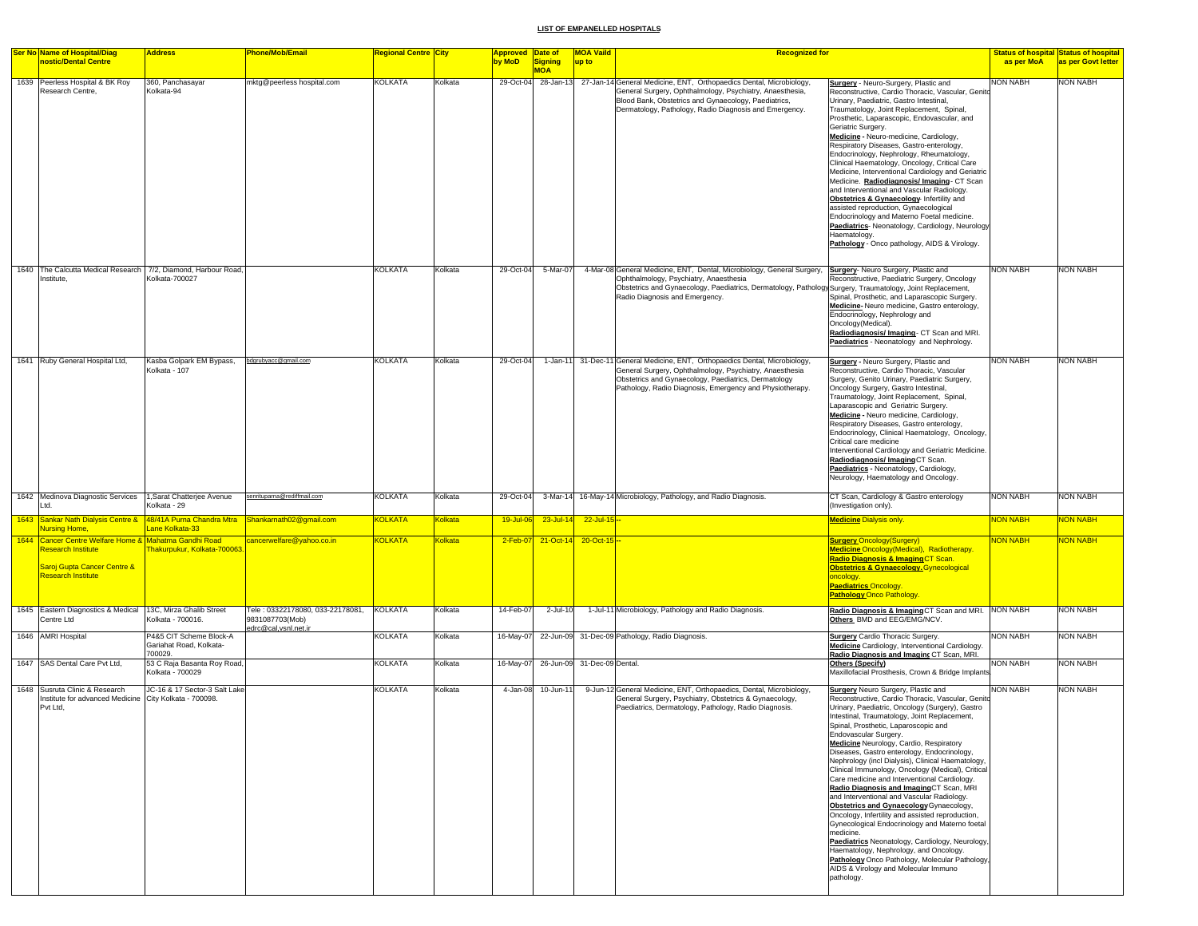| <b>Ser No Name of Hospital/Diag</b>                                                                                                     | <b>Address</b>                                                | <b>Phone/Mob/Email</b>                              | <b>Regional Centre City</b> |                | Approved Date of |                       | <b>MOA Vaild</b>            | <b>Recognized for</b>                                                                                                                                                                                                                                                                               |                                                                                                                                                                                                                                                                                                                                                                                                                                                                                                                                                                                                                                                                                                                                                                                                                                                                                                                                                                                            |                 | <b>Status of hospital Status of hospital</b> |
|-----------------------------------------------------------------------------------------------------------------------------------------|---------------------------------------------------------------|-----------------------------------------------------|-----------------------------|----------------|------------------|-----------------------|-----------------------------|-----------------------------------------------------------------------------------------------------------------------------------------------------------------------------------------------------------------------------------------------------------------------------------------------------|--------------------------------------------------------------------------------------------------------------------------------------------------------------------------------------------------------------------------------------------------------------------------------------------------------------------------------------------------------------------------------------------------------------------------------------------------------------------------------------------------------------------------------------------------------------------------------------------------------------------------------------------------------------------------------------------------------------------------------------------------------------------------------------------------------------------------------------------------------------------------------------------------------------------------------------------------------------------------------------------|-----------------|----------------------------------------------|
| nostic/Dental Centre                                                                                                                    |                                                               |                                                     |                             |                | by MoD           | Signing<br><b>MOA</b> | up to                       |                                                                                                                                                                                                                                                                                                     |                                                                                                                                                                                                                                                                                                                                                                                                                                                                                                                                                                                                                                                                                                                                                                                                                                                                                                                                                                                            | as per MoA      | as per Govt letter                           |
| 1639 Peerless Hospital & BK Roy<br>Research Centre,                                                                                     | 360, Panchasayar<br>Kolkata-94                                | nktg@peerless hospital.com                          | <b>KOLKATA</b>              | Kolkata        | 29-Oct-04        | 28-Jan-13             |                             | 27-Jan-14 General Medicine, ENT, Orthopaedics Dental, Microbiology,<br>General Surgery, Ophthalmology, Psychiatry, Anaesthesia,<br>Blood Bank, Obstetrics and Gynaecology, Paediatrics,<br>Dermatology, Pathology, Radio Diagnosis and Emergency.                                                   | <b>Surgery</b> - Neuro-Surgery, Plastic and<br>Reconstructive, Cardio Thoracic, Vascular, Genito<br>Urinary, Paediatric, Gastro Intestinal,<br>Traumatology, Joint Replacement, Spinal,<br>Prosthetic, Laparascopic, Endovascular, and<br>Geriatric Surgery.<br>Medicine - Neuro-medicine, Cardiology,<br>Respiratory Diseases, Gastro-enterology,<br>Endocrinology, Nephrology, Rheumatology,<br>Clinical Haematology, Oncology, Critical Care<br>Medicine, Interventional Cardiology and Geriatric<br>Medicine. Radiodiagnosis/ Imaging- CT Scan<br>and Interventional and Vascular Radiology.<br>Obstetrics & Gynaecology- Infertility and<br>assisted reproduction, Gynaecological<br>Endocrinology and Materno Foetal medicine.<br>Paediatrics- Neonatology, Cardiology, Neurology<br>Haematology<br>Pathology - Onco pathology, AIDS & Virology.                                                                                                                                     | <b>NON NABH</b> | <b>NON NABH</b>                              |
| 1640 The Calcutta Medical Research 7/2, Diamond, Harbour Road,<br>Institute,                                                            | Kolkata-700027                                                |                                                     | <b>KOLKATA</b>              | Kolkata        | 29-Oct-04        | 5-Mar-07              |                             | 4-Mar-08 General Medicine, ENT, Dental, Microbiology, General Surgery, Surgery- Neuro Surgery, Plastic and<br>Ophthalmology, Psychiatry, Anaesthesia<br>Obstetrics and Gynaecology, Paediatrics, Dermatology, Pathology Surgery, Traumatology, Joint Replacement,<br>Radio Diagnosis and Emergency. | Reconstructive, Paediatric Surgery, Oncology<br>Spinal, Prosthetic, and Laparascopic Surgery.<br>Medicine-Neuro medicine, Gastro enterology,<br>Endocrinology, Nephrology and<br>Oncology(Medical).<br>Radiodiagnosis/Imaging-CT Scan and MRI.<br>Paediatrics - Neonatology and Nephrology.                                                                                                                                                                                                                                                                                                                                                                                                                                                                                                                                                                                                                                                                                                | <b>NON NABH</b> | <b>NON NABH</b>                              |
| 1641 Ruby General Hospital Ltd,                                                                                                         | Kasba Golpark EM Bypass,<br>Kolkata - 107                     | bdgrubyacc@gmail.com                                | <b>KOLKATA</b>              | Kolkata        | 29-Oct-04        | 1-Jan-11              |                             | 31-Dec-11 General Medicine, ENT, Orthopaedics Dental, Microbiology,<br>General Surgery, Ophthalmology, Psychiatry, Anaesthesia<br>Obstetrics and Gynaecology, Paediatrics, Dermatology<br>Pathology, Radio Diagnosis, Emergency and Physiotherapy.                                                  | <b>Surgery</b> - Neuro Surgery, Plastic and<br>Reconstructive, Cardio Thoracic, Vascular<br>Surgery, Genito Urinary, Paediatric Surgery,<br>Oncology Surgery, Gastro Intestinal,<br>Traumatology, Joint Replacement, Spinal,<br>Laparascopic and Geriatric Surgery.<br>Medicine - Neuro medicine, Cardiology,<br>Respiratory Diseases, Gastro enterology,<br>Endocrinology, Clinical Haematology, Oncology,<br>Critical care medicine<br>Interventional Cardiology and Geriatric Medicine.<br>Radiodiagnosis/ImagingCT Scan.<br>Paediatrics - Neonatology, Cardiology,<br>Neurology, Haematology and Oncology.                                                                                                                                                                                                                                                                                                                                                                             | <b>NON NABH</b> | <b>NON NABH</b>                              |
| 1642 Medinova Diagnostic Services<br>I td                                                                                               | 1, Sarat Chatterjee Avenue<br>Kolkata - 29                    | senrituparna@rediffmail.com                         | <b>KOLKATA</b>              | Kolkata        | 29-Oct-04        | 3-Mar-14              |                             | 16-May-14 Microbiology, Pathology, and Radio Diagnosis.                                                                                                                                                                                                                                             | CT Scan, Cardiology & Gastro enterology<br>Investigation only).                                                                                                                                                                                                                                                                                                                                                                                                                                                                                                                                                                                                                                                                                                                                                                                                                                                                                                                            | <b>NON NABH</b> | <b>NON NABH</b>                              |
| 1643 Sankar Nath Dialysis Centre &<br><b>Nursing Home,</b>                                                                              | 48/41A Purna Chandra Mtra<br>Lane Kolkata-33                  | Shankarnath02@gmail.com                             | <b>KOLKATA</b>              | <b>Kolkata</b> | 19-Jul-0         | 23-Jul-14             | $22 -$ Jul-15 $-$           |                                                                                                                                                                                                                                                                                                     | <b>Medicine Dialysis only.</b>                                                                                                                                                                                                                                                                                                                                                                                                                                                                                                                                                                                                                                                                                                                                                                                                                                                                                                                                                             | NON NABH        | NON NABH                                     |
| 1644 Cancer Centre Welfare Home & Mahatma Gandhi Road<br>Research Institute<br>Saroj Gupta Cancer Centre &<br><b>Research Institute</b> | Fhakurpukur, Kolkata-700063                                   | cancerwelfare@yahoo.co.in                           | <b>KOLKATA</b>              | Kolkata        | $2-Feb-0$        | 21-Oct-14             | 20-Oct-15                   |                                                                                                                                                                                                                                                                                                     | <b>Surgery Oncology (Surgery)</b><br>Medicine Oncology (Medical), Radiotherapy.<br>Radio Diagnosis & Imaging CT Scan.<br><b>Obstetrics &amp; Gynaecology.</b> Gynecological<br>oncology.<br><b>Paediatrics Oncology</b><br><b>Pathology Onco Pathology.</b>                                                                                                                                                                                                                                                                                                                                                                                                                                                                                                                                                                                                                                                                                                                                | <b>NON NABH</b> | NON NABH                                     |
| 1645 Eastern Diagnostics & Medical<br>Centre Ltd                                                                                        | 13C, Mirza Ghalib Street<br>Kolkata - 700016.                 | Tele: 03322178080, 033-22178081,<br>9831087703(Mob) | <b>KOLKATA</b>              | Kolkata        | 14-Feb-07        | 2-Jul-10              |                             | 1-Jul-11 Microbiology, Pathology and Radio Diagnosis.                                                                                                                                                                                                                                               | Radio Diagnosis & Imaging CT Scan and MRI. NON NABH<br>Others. BMD and EEG/EMG/NCV.                                                                                                                                                                                                                                                                                                                                                                                                                                                                                                                                                                                                                                                                                                                                                                                                                                                                                                        |                 | <b>NON NABH</b>                              |
| 1646 AMRI Hospital                                                                                                                      | P4&5 CIT Scheme Block-A<br>Gariahat Road, Kolkata-<br>700029. | edrc@cal,vsnl.net.ir                                | <b>KOLKATA</b>              | Kolkata        | 16-May-07        |                       |                             | 22-Jun-09 31-Dec-09 Pathology, Radio Diagnosis.                                                                                                                                                                                                                                                     | <b>Surgery</b> Cardio Thoracic Surgery.<br>Medicine Cardiology, Interventional Cardiology.<br>Radio Diagnosis and Imaging CT Scan, MRI.                                                                                                                                                                                                                                                                                                                                                                                                                                                                                                                                                                                                                                                                                                                                                                                                                                                    | <b>NON NABH</b> | <b>NON NABH</b>                              |
| 1647 SAS Dental Care Pvt Ltd,                                                                                                           | 53 C Raja Basanta Roy Road,<br>Kolkata - 700029               |                                                     | <b>KOLKATA</b>              | Kolkata        | 16-May-07        |                       | 26-Jun-09 31-Dec-09 Dental. |                                                                                                                                                                                                                                                                                                     | Others (Specify)<br>Maxillofacial Prosthesis, Crown & Bridge Implants                                                                                                                                                                                                                                                                                                                                                                                                                                                                                                                                                                                                                                                                                                                                                                                                                                                                                                                      | <b>NON NABH</b> | <b>NON NABH</b>                              |
| 1648 Susruta Clinic & Research<br>Institute for advanced Medicine<br>Pvt Ltd,                                                           | JC-16 & 17 Sector-3 Salt Lake<br>City Kolkata - 700098.       |                                                     | <b>KOLKATA</b>              | Kolkata        | 4-Jan-08         | 10-Jun-11             |                             | 9-Jun-12 General Medicine, ENT, Orthopaedics, Dental, Microbiology,<br>General Surgery, Psychiatry, Obstetrics & Gynaecology,<br>Paediatrics, Dermatology, Pathology, Radio Diagnosis.                                                                                                              | <b>Surgery</b> Neuro Surgery, Plastic and<br>Reconstructive, Cardio Thoracic, Vascular, Genito<br>Urinary, Paediatric, Oncology (Surgery), Gastro<br>Intestinal, Traumatology, Joint Replacement,<br>Spinal, Prosthetic, Laparoscopic and<br>Endovascular Surgery.<br><b>Medicine</b> Neurology, Cardio, Respiratory<br>Diseases, Gastro enterology, Endocrinology,<br>Nephrology (incl Dialysis), Clinical Haematology,<br>Clinical Immunology, Oncology (Medical), Critical<br>Care medicine and Interventional Cardiology.<br>Radio Diagnosis and Imaging CT Scan, MRI<br>and Interventional and Vascular Radiology.<br>Obstetrics and Gynaecology Gynaecology,<br>Oncology, Infertility and assisted reproduction,<br>Gynecological Endocrinology and Materno foetal<br>medicine.<br>Paediatrics Neonatology, Cardiology, Neurology,<br>Haematology, Nephrology, and Oncology.<br>Pathology Onco Pathology, Molecular Pathology,<br>AIDS & Virology and Molecular Immuno<br>pathology. | NON NABH        | <b>NON NABH</b>                              |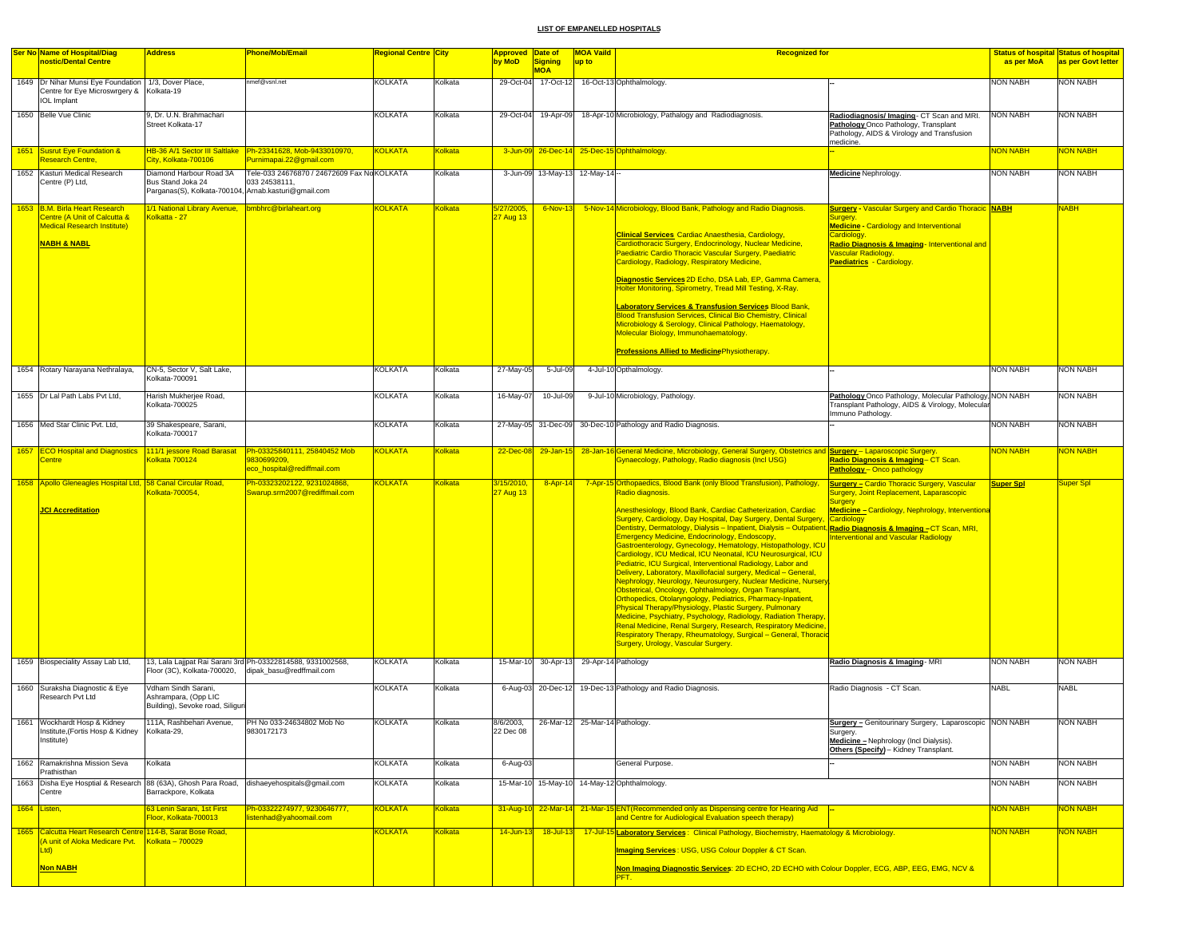| <b>Ser No Name of Hospital/Diag</b>                                                                                       | <b>Address</b>                                                                  | <b>Phone/Mob/Email</b>                                                                  | <b>Regional Centre City</b> |                 | Approved Date of        |                                          | <b>MOA Vaild</b> | <b>Recognized for</b>                                                                                                                                                                                                                                                                                                                                                                                                                                                                                                                                                                                                                                                                                                                                                                                                                                                                                                                                                                                                                                                                                                         |                                                                                                                                                               |                  | <b>Status of hospital Status of hospital</b> |
|---------------------------------------------------------------------------------------------------------------------------|---------------------------------------------------------------------------------|-----------------------------------------------------------------------------------------|-----------------------------|-----------------|-------------------------|------------------------------------------|------------------|-------------------------------------------------------------------------------------------------------------------------------------------------------------------------------------------------------------------------------------------------------------------------------------------------------------------------------------------------------------------------------------------------------------------------------------------------------------------------------------------------------------------------------------------------------------------------------------------------------------------------------------------------------------------------------------------------------------------------------------------------------------------------------------------------------------------------------------------------------------------------------------------------------------------------------------------------------------------------------------------------------------------------------------------------------------------------------------------------------------------------------|---------------------------------------------------------------------------------------------------------------------------------------------------------------|------------------|----------------------------------------------|
| nostic/Dental Centre                                                                                                      |                                                                                 |                                                                                         |                             |                 | by MoD                  | Signing<br><b>MOA</b>                    | up to            |                                                                                                                                                                                                                                                                                                                                                                                                                                                                                                                                                                                                                                                                                                                                                                                                                                                                                                                                                                                                                                                                                                                               |                                                                                                                                                               | as per MoA       | as per Govt letter                           |
| 1649  Dr Nihar Munsi Eye Foundation   1/3, Dover Place,<br>Centre for Eye Microswrgery & Kolkata-19<br><b>IOL</b> Implant |                                                                                 | nmef@vsnl.net                                                                           | <b>KOLKATA</b>              | Kolkata         |                         |                                          |                  | 29-Oct-04 17-Oct-12 16-Oct-13 Ophthalmology.                                                                                                                                                                                                                                                                                                                                                                                                                                                                                                                                                                                                                                                                                                                                                                                                                                                                                                                                                                                                                                                                                  |                                                                                                                                                               | <b>NON NABH</b>  | <b>NON NABH</b>                              |
| 1650 Belle Vue Clinic                                                                                                     | 9, Dr. U.N. Brahmachari<br>Street Kolkata-17                                    |                                                                                         | <b>KOLKATA</b>              | Kolkata         |                         | 29-Oct-04 19-Apr-09                      |                  | 18-Apr-10 Microbiology, Pathalogy and Radiodiagnosis.                                                                                                                                                                                                                                                                                                                                                                                                                                                                                                                                                                                                                                                                                                                                                                                                                                                                                                                                                                                                                                                                         | Radiodiagnosis/ Imaging- CT Scan and MRI.<br>Pathology Onco Pathology, Transplant<br>Pathology, AIDS & Virology and Transfusion<br>medicine.                  | <b>NON NABH</b>  | <b>NON NABH</b>                              |
| 1651 Susrut Eye Foundation &<br>Research Centre,                                                                          | <u>HB-36 A/1 Sector III Saltlake</u><br>City, Kolkata-700106                    | Ph-23341628, Mob-9433010970,<br>Purnimapai.22@gmail.com                                 | <b>KOLKATA</b>              | <u> Kolkata</u> |                         |                                          |                  | 3-Jun-09 26-Dec-14 25-Dec-15 Ophthalmology                                                                                                                                                                                                                                                                                                                                                                                                                                                                                                                                                                                                                                                                                                                                                                                                                                                                                                                                                                                                                                                                                    |                                                                                                                                                               | <b>NON NABH</b>  | <mark>NON NABH</mark>                        |
| 1652 Kasturi Medical Research<br>Centre (P) Ltd,                                                                          | Diamond Harbour Road 3A<br>Bus Stand Joka 24                                    | Tele-033 24676870 / 24672609 Fax No KOLKATA<br>033 24538111,                            |                             | Kolkata         |                         | 3-Jun-09 13-May-13 12-May-14 --          |                  |                                                                                                                                                                                                                                                                                                                                                                                                                                                                                                                                                                                                                                                                                                                                                                                                                                                                                                                                                                                                                                                                                                                               | <b>Medicine Nephrology.</b>                                                                                                                                   | <b>NON NABH</b>  | <b>NON NABH</b>                              |
|                                                                                                                           | Parganas(S), Kolkata-700104, Arnab.kasturi@gmail.com                            |                                                                                         |                             |                 |                         |                                          |                  |                                                                                                                                                                                                                                                                                                                                                                                                                                                                                                                                                                                                                                                                                                                                                                                                                                                                                                                                                                                                                                                                                                                               |                                                                                                                                                               |                  |                                              |
| 1653 B.M. Birla Heart Research<br>Centre (A Unit of Calcutta &                                                            | 1/1 National Library Avenue, bmbhrc@birlaheart.org<br>Colkatta - 27             |                                                                                         | <b>KOLKATA</b>              | <b>Kolkata</b>  | 5/27/2005,<br>27 Aug 13 | $6$ -Nov-13                              |                  | 5-Nov-14 Microbiology, Blood Bank, Pathology and Radio Diagnosis.                                                                                                                                                                                                                                                                                                                                                                                                                                                                                                                                                                                                                                                                                                                                                                                                                                                                                                                                                                                                                                                             | <b><u>Surgery - Vascular Surgery and Cardio Thoracic NABH</u></b><br>Suraerv                                                                                  |                  | <b>NABH</b>                                  |
| <b>Medical Research Institute)</b>                                                                                        |                                                                                 |                                                                                         |                             |                 |                         |                                          |                  | <b>Clinical Services Cardiac Anaesthesia, Cardiology,</b>                                                                                                                                                                                                                                                                                                                                                                                                                                                                                                                                                                                                                                                                                                                                                                                                                                                                                                                                                                                                                                                                     | <b>Medicine - Cardiology and Interventional</b><br>Cardiology.                                                                                                |                  |                                              |
| <mark>NABH &amp; NABL</mark>                                                                                              |                                                                                 |                                                                                         |                             |                 |                         |                                          |                  | Cardiothoracic Surgery, Endocrinology, Nuclear Medicine,<br>Paediatric Cardio Thoracic Vascular Surgery, Paediatric                                                                                                                                                                                                                                                                                                                                                                                                                                                                                                                                                                                                                                                                                                                                                                                                                                                                                                                                                                                                           | Radio Diagnosis & Imaging- Interventional and<br><b>Jascular Radiology.</b>                                                                                   |                  |                                              |
|                                                                                                                           |                                                                                 |                                                                                         |                             |                 |                         |                                          |                  | Cardiology, Radiology, Respiratory Medicine,                                                                                                                                                                                                                                                                                                                                                                                                                                                                                                                                                                                                                                                                                                                                                                                                                                                                                                                                                                                                                                                                                  | <b>Paediatrics - Cardiology</b>                                                                                                                               |                  |                                              |
|                                                                                                                           |                                                                                 |                                                                                         |                             |                 |                         |                                          |                  | Diagnostic Services 2D Echo, DSA Lab, EP, Gamma Camera,<br>Holter Monitoring, Spirometry, Tread Mill Testing, X-Ray.                                                                                                                                                                                                                                                                                                                                                                                                                                                                                                                                                                                                                                                                                                                                                                                                                                                                                                                                                                                                          |                                                                                                                                                               |                  |                                              |
|                                                                                                                           |                                                                                 |                                                                                         |                             |                 |                         |                                          |                  | <b>Laboratory Services &amp; Transfusion Services Blood Bank,</b>                                                                                                                                                                                                                                                                                                                                                                                                                                                                                                                                                                                                                                                                                                                                                                                                                                                                                                                                                                                                                                                             |                                                                                                                                                               |                  |                                              |
|                                                                                                                           |                                                                                 |                                                                                         |                             |                 |                         |                                          |                  | <b>Blood Transfusion Services, Clinical Bio Chemistry, Clinical</b><br>Microbiology & Serology, Clinical Pathology, Haematology,                                                                                                                                                                                                                                                                                                                                                                                                                                                                                                                                                                                                                                                                                                                                                                                                                                                                                                                                                                                              |                                                                                                                                                               |                  |                                              |
|                                                                                                                           |                                                                                 |                                                                                         |                             |                 |                         |                                          |                  | Molecular Biology, Immunohaematology.                                                                                                                                                                                                                                                                                                                                                                                                                                                                                                                                                                                                                                                                                                                                                                                                                                                                                                                                                                                                                                                                                         |                                                                                                                                                               |                  |                                              |
|                                                                                                                           |                                                                                 |                                                                                         |                             |                 |                         |                                          |                  | <b>Professions Allied to Medicine Physiotherapy.</b>                                                                                                                                                                                                                                                                                                                                                                                                                                                                                                                                                                                                                                                                                                                                                                                                                                                                                                                                                                                                                                                                          |                                                                                                                                                               |                  |                                              |
| 1654 Rotary Narayana Nethralaya,                                                                                          | CN-5, Sector V, Salt Lake.<br>Kolkata-700091                                    |                                                                                         | KOLKATA                     | Kolkata         | 27-May-05               | 5-Jul-09                                 |                  | 4-Jul-10 Opthalmology.                                                                                                                                                                                                                                                                                                                                                                                                                                                                                                                                                                                                                                                                                                                                                                                                                                                                                                                                                                                                                                                                                                        |                                                                                                                                                               | <b>NON NABH</b>  | <b>NON NABH</b>                              |
| 1655 Dr Lal Path Labs Pvt Ltd.                                                                                            | Harish Mukherjee Road,<br>Kolkata-700025                                        |                                                                                         | KOLKATA                     | Kolkata         | 16-May-07               | 10-Jul-09                                |                  | 9-Jul-10 Microbiology, Pathology                                                                                                                                                                                                                                                                                                                                                                                                                                                                                                                                                                                                                                                                                                                                                                                                                                                                                                                                                                                                                                                                                              | Pathology Onco Pathology, Molecular Pathology, NON NABH<br>Transplant Pathology, AIDS & Virology, Molecular<br>Immuno Pathology.                              |                  | <b>NON NABH</b>                              |
| 1656 Med Star Clinic Pvt. Ltd,                                                                                            | 39 Shakespeare, Sarani,<br>Kolkata-700017                                       |                                                                                         | <b>KOLKATA</b>              | Kolkata         |                         |                                          |                  | 27-May-05 31-Dec-09 30-Dec-10 Pathology and Radio Diagnosis.                                                                                                                                                                                                                                                                                                                                                                                                                                                                                                                                                                                                                                                                                                                                                                                                                                                                                                                                                                                                                                                                  |                                                                                                                                                               | <b>NON NABH</b>  | <b>NON NABH</b>                              |
| 1657 ECO Hospital and Diagnostics 111/1 jessore Road Barasat<br>Centre                                                    | Colkata 700124                                                                  | Ph-03325840111, 25840452 Mob<br>9830699209.                                             | <b>KOLKATA</b>              | <b>Kolkata</b>  | $22$ -Dec-08            | $29 - Jan - 15$                          |                  | 28-Jan-16 General Medicine, Microbiology, General Surgery, Obstetrics and <b>Surgery</b> - Laparoscopic Surgery.<br>Gynaecology, Pathology, Radio diagnosis (Incl USG)                                                                                                                                                                                                                                                                                                                                                                                                                                                                                                                                                                                                                                                                                                                                                                                                                                                                                                                                                        | Radio Diagnosis & Imaging- CT Scan.                                                                                                                           | <b>NON NABH</b>  | <mark>NON NABH</mark>                        |
| 1658 Apollo Gleneagles Hospital Ltd, 58 Canal Circular Road,                                                              |                                                                                 | eco_hospital@rediffmail.com<br>Ph-03323202122, 9231024868.                              | <b>KOLKATA</b>              | Kolkata         | 3/15/2010,              | $8 -$ Apr-14                             |                  | 7-Apr-15 Orthopaedics, Blood Bank (only Blood Transfusion), Pathology,                                                                                                                                                                                                                                                                                                                                                                                                                                                                                                                                                                                                                                                                                                                                                                                                                                                                                                                                                                                                                                                        | <b>Pathology - Onco pathology</b><br><b><u> Surgery – Cardio Thoracic Surgery, Vascular</u></b>                                                               | <b>Super Spl</b> | Super Spl                                    |
| <b>JCI Accreditation</b>                                                                                                  | Colkata-700054                                                                  | Swarup.srm2007@rediffmail.com                                                           |                             |                 | 27 Aug 13               |                                          |                  | Radio diagnosis.<br>Anesthesiology, Blood Bank, Cardiac Catheterization, Cardiac<br>Surgery, Cardiology, Day Hospital, Day Surgery, Dental Surgery, Cardiology<br>Dentistry, Dermatology, Dialysis – Inpatient, Dialysis – Outpatient, <mark>Radio Diagnosis &amp; Imaging –</mark> CT Scan, MRI,<br>Emergency Medicine, Endocrinology, Endoscopy,<br>Gastroenterology, Gynecology, Hematology, Histopathology, ICU<br>Cardiology, ICU Medical, ICU Neonatal, ICU Neurosurgical, ICU<br>Pediatric, ICU Surgical, Interventional Radiology, Labor and<br>Delivery, Laboratory, Maxillofacial surgery, Medical - General,<br>Nephrology, Neurology, Neurosurgery, Nuclear Medicine, Nursery<br>Obstetrical, Oncology, Ophthalmology, Organ Transplant,<br>Orthopedics, Otolaryngology, Pediatrics, Pharmacy-Inpatient,<br>Physical Therapy/Physiology, Plastic Surgery, Pulmonary<br>Medicine, Psychiatry, Psychology, Radiology, Radiation Therapy<br>Renal Medicine, Renal Surgery, Research, Respiratory Medicine,<br>Respiratory Therapy, Rheumatology, Surgical - General, Thoracio<br>Surgery, Urology, Vascular Surgery. | <b>Surgery, Joint Replacement, Laparascopic</b><br><b>Surgery</b><br>Medicine – Cardiology, Nephrology, Interventiona<br>nterventional and Vascular Radiology |                  |                                              |
| 1659 Biospeciality Assay Lab Ltd,                                                                                         | Floor (3C), Kolkata-700020,                                                     | 13, Lala Lajjpat Rai Sarani 3rd Ph-03322814588, 9331002568,<br>dipak basu@redffmail.com | <b>KOLKATA</b>              | Kolkata         |                         | 15-Mar-10 30-Apr-13 29-Apr-14 Pathology  |                  |                                                                                                                                                                                                                                                                                                                                                                                                                                                                                                                                                                                                                                                                                                                                                                                                                                                                                                                                                                                                                                                                                                                               | Radio Diagnosis & Imaging - MRI                                                                                                                               | <b>NON NABH</b>  | <b>NON NABH</b>                              |
| 1660 Suraksha Diagnostic & Eye<br>Research Pvt Ltd                                                                        | Vdham Sindh Sarani,<br>Ashrampara, (Opp LIC<br>Building), Sevoke road, Siliguri |                                                                                         | <b>KOLKATA</b>              | Kolkata         |                         |                                          |                  | 6-Aug-03 20-Dec-12 19-Dec-13 Pathology and Radio Diagnosis.                                                                                                                                                                                                                                                                                                                                                                                                                                                                                                                                                                                                                                                                                                                                                                                                                                                                                                                                                                                                                                                                   | Radio Diagnosis - CT Scan.                                                                                                                                    | <b>NABL</b>      | <b>NABL</b>                                  |
| 1661 Wockhardt Hosp & Kidney                                                                                              |                                                                                 | 111A, Rashbehari Avenue, PH No 033-24634802 Mob No                                      | <b>KOLKATA</b>              | Kolkata         |                         | 8/6/2003, 26-Mar-12 25-Mar-14 Pathology. |                  |                                                                                                                                                                                                                                                                                                                                                                                                                                                                                                                                                                                                                                                                                                                                                                                                                                                                                                                                                                                                                                                                                                                               | <b>Surgery - Genitourinary Surgery, Laparoscopic NON NABH</b>                                                                                                 |                  | NON NABH                                     |
| Institute,(Fortis Hosp & Kidney<br>Institute)                                                                             | Kolkata-29,                                                                     | 9830172173                                                                              |                             |                 | 22 Dec 08               |                                          |                  |                                                                                                                                                                                                                                                                                                                                                                                                                                                                                                                                                                                                                                                                                                                                                                                                                                                                                                                                                                                                                                                                                                                               | Surgery.<br>Medicine - Nephrology (Incl Dialysis).<br>Others (Specify) - Kidney Transplant.                                                                   |                  |                                              |
| 1662 Ramakrishna Mission Seva<br>Prathisthan                                                                              | Kolkata                                                                         |                                                                                         | KOLKATA                     | Kolkata         | 6-Aug-03                |                                          |                  | General Purpose.                                                                                                                                                                                                                                                                                                                                                                                                                                                                                                                                                                                                                                                                                                                                                                                                                                                                                                                                                                                                                                                                                                              |                                                                                                                                                               | <b>NON NABH</b>  | <b>NON NABH</b>                              |
| 1663 Disha Eye Hosptial & Research 88 (63A), Ghosh Para Road, dishaeyehospitals@gmail.com<br>Centre                       | Barrackpore, Kolkata                                                            |                                                                                         | <b>KOLKATA</b>              | Kolkata         |                         |                                          |                  | 15-Mar-10 15-May-10 14-May-12 Ophthalmology.                                                                                                                                                                                                                                                                                                                                                                                                                                                                                                                                                                                                                                                                                                                                                                                                                                                                                                                                                                                                                                                                                  |                                                                                                                                                               | <b>NON NABH</b>  | <b>NON NABH</b>                              |
| 1664 Listen,                                                                                                              | 63 Lenin Sarani, 1st First<br>Floor, Kolkata-700013                             | Ph-03322274977, 9230646777.<br>listenhad@yahoomail.com                                  | <b>KOLKATA</b>              | <b>Colkata</b>  | 31-Aug-10               |                                          |                  | 22-Mar-14 21-Mar-15 ENT(Recommended only as Dispensing centre for Hearing Aid<br>and Centre for Audiological Evaluation speech therapy)                                                                                                                                                                                                                                                                                                                                                                                                                                                                                                                                                                                                                                                                                                                                                                                                                                                                                                                                                                                       |                                                                                                                                                               | <b>NON NABH</b>  | NON NABH                                     |
| 1665 Calcutta Heart Research Centre 114-B, Sarat Bose Road,<br>(A unit of Aloka Medicare Pvt.<br>td)                      | Kolkata - 700029                                                                |                                                                                         | <b>KOLKATA</b>              | Kolkata         | 14-Jun-13               | $18 -$ Jul-13                            |                  | 17-Jul-15 Laboratory Services: Clinical Pathology, Biochemistry, Haematology & Microbiology<br>Imaging Services: USG, USG Colour Doppler & CT Scan.                                                                                                                                                                                                                                                                                                                                                                                                                                                                                                                                                                                                                                                                                                                                                                                                                                                                                                                                                                           |                                                                                                                                                               | <b>NON NABH</b>  | <b>NON NABH</b>                              |
| <b>Non NABH</b>                                                                                                           |                                                                                 |                                                                                         |                             |                 |                         |                                          |                  | Non Imaging Diagnostic Services: 2D ECHO, 2D ECHO with Colour Doppler, ECG, ABP, EEG, EMG, NCV &                                                                                                                                                                                                                                                                                                                                                                                                                                                                                                                                                                                                                                                                                                                                                                                                                                                                                                                                                                                                                              |                                                                                                                                                               |                  |                                              |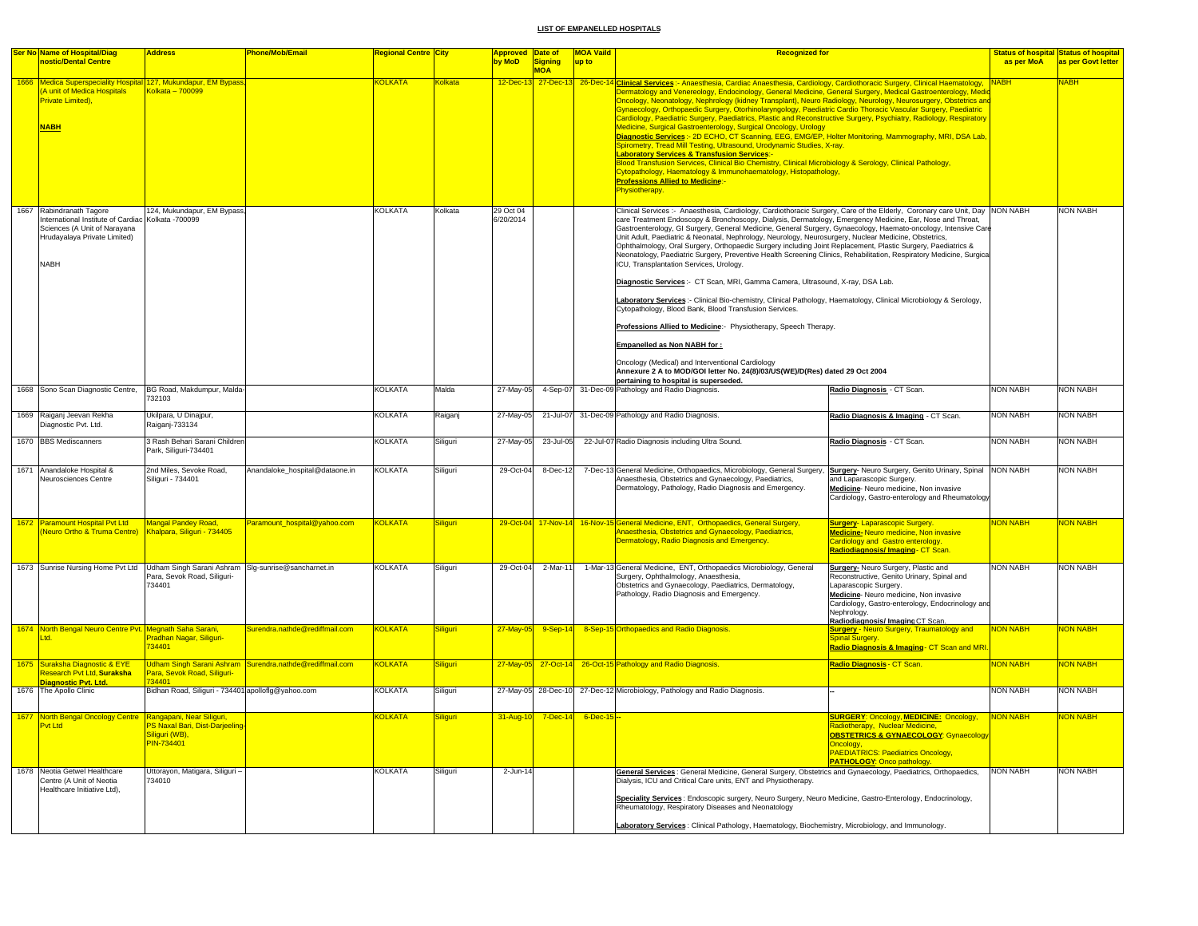|      | Ser No Name of Hospital/Diag<br>nostic/Dental Centre                                                                                         | <b>Address</b>                                                                                                          | <b>Phone/Mob/Email</b>                                   | <mark>Regional Centre │City</mark> |                             | <b>Approved Date of</b><br>by MoD |                               | <b>MOA Vaild</b><br>up to | <b>Recognized for</b>                                                                                                                                                                                                                                                                                                                                                                                                                                                                                                                                                                                                                                                                                                                                                                                                                                                                                                                                                                                                                                                                                                                                                                                                                                       |                                                                                                                                                                                                                                                           | as per MoA                  | <b>Status of hospital Status of hospital</b> |
|------|----------------------------------------------------------------------------------------------------------------------------------------------|-------------------------------------------------------------------------------------------------------------------------|----------------------------------------------------------|------------------------------------|-----------------------------|-----------------------------------|-------------------------------|---------------------------|-------------------------------------------------------------------------------------------------------------------------------------------------------------------------------------------------------------------------------------------------------------------------------------------------------------------------------------------------------------------------------------------------------------------------------------------------------------------------------------------------------------------------------------------------------------------------------------------------------------------------------------------------------------------------------------------------------------------------------------------------------------------------------------------------------------------------------------------------------------------------------------------------------------------------------------------------------------------------------------------------------------------------------------------------------------------------------------------------------------------------------------------------------------------------------------------------------------------------------------------------------------|-----------------------------------------------------------------------------------------------------------------------------------------------------------------------------------------------------------------------------------------------------------|-----------------------------|----------------------------------------------|
|      |                                                                                                                                              |                                                                                                                         |                                                          |                                    |                             |                                   | Signing<br><b>MOA</b>         |                           |                                                                                                                                                                                                                                                                                                                                                                                                                                                                                                                                                                                                                                                                                                                                                                                                                                                                                                                                                                                                                                                                                                                                                                                                                                                             |                                                                                                                                                                                                                                                           |                             | as per Govt letter                           |
| 1666 | Medica Superspeciality Hospital 127, Mukundapur, EM Bypass,<br>A unit of Medica Hospitals<br><b>Private Limited)</b> ,<br><b>NABH</b>        | Kolkata - 700099                                                                                                        |                                                          | <b>KOLKATA</b>                     | olkata                      |                                   | 12-Dec-13 27-Dec-13 26-Dec-14 |                           | Clinical Services :- Anaesthesia, Cardiac Anaesthesia, Cardiology, Cardiothoracic Surgery, Clinical Haematology, NABH<br>Dermatology and Venereology, Endocinology, General Medicine, General Surgery, Medical Gastroenterology, Medic<br>Oncology, Neonatology, Nephrology (kidney Transplant), Neuro Radiology, Neurology, Neurosurgery, Obstetrics and<br>Gynaecology, Orthopaedic Surgery, Otorhinolaryngology, Paediatric Cardio Thoracic Vascular Surgery, Paediatric<br>Cardiology, Paediatric Surgery, Paediatrics, Plastic and Reconstructive Surgery, Psychiatry, Radiology, Respiratory<br>Medicine, Surgical Gastroenterology, Surgical Oncology, Urology<br>Diagnostic Services :- 2D ECHO, CT Scanning, EEG, EMG/EP, Holter Monitoring, Mammography, MRI, DSA Lab,<br>Spirometry, Tread Mill Testing, Ultrasound, Urodynamic Studies, X-ray.<br><b>Laboratory Services &amp; Transfusion Services:-</b><br>Blood Transfusion Services, Clinical Bio Chemistry, Clinical Microbiology & Serology, Clinical Pathology,<br>Cytopathology, Haematology & Immunohaematology, Histopathology,<br><b>Professions Allied to Medicine:-</b><br>Physiotherapy.                                                                                          |                                                                                                                                                                                                                                                           |                             | <b>JABH</b>                                  |
|      | 1667 Rabindranath Tagore<br>nternational Institute of Cardiac<br>Sciences (A Unit of Narayana<br>Hrudayalaya Private Limited)<br><b>NABH</b> | 124, Mukundapur, EM Bypass,<br>Kolkata - 700099                                                                         |                                                          | KOLKATA                            | Kolkata                     | 29 Oct 04<br>6/20/2014            |                               |                           | Clinical Services :- Anaesthesia, Cardiology, Cardiothoracic Surgery, Care of the Elderly, Coronary care Unit, Day NON NABH<br>care Treatment Endoscopy & Bronchoscopy, Dialysis, Dermatology, Emergency Medicine, Ear, Nose and Throat,<br>Gastroenterology, GI Surgery, General Medicine, General Surgery, Gynaecology, Haemato-oncology, Intensive Care<br>Unit Adult, Paediatric & Neonatal, Nephrology, Neurology, Neurosurgery, Nuclear Medicine, Obstetrics,<br>Ophthalmology, Oral Surgery, Orthopaedic Surgery including Joint Replacement, Plastic Surgery, Paediatrics &<br>Neonatology, Paediatric Surgery, Preventive Health Screening Clinics, Rehabilitation, Respiratory Medicine, Surgical<br>ICU, Transplantation Services, Urology.<br>Diagnostic Services :- CT Scan, MRI, Gamma Camera, Ultrasound, X-ray, DSA Lab.<br>Laboratory Services:- Clinical Bio-chemistry, Clinical Pathology, Haematology, Clinical Microbiology & Serology,<br>Cytopathology, Blood Bank, Blood Transfusion Services.<br>Professions Allied to Medicine:- Physiotherapy, Speech Therapy.<br>Empanelled as Non NABH for:<br>Oncology (Medical) and Interventional Cardiology<br>Annexure 2 A to MOD/GOI letter No. 24(8)/03/US(WE)/D(Res) dated 29 Oct 2004 |                                                                                                                                                                                                                                                           |                             | <b>NON NABH</b>                              |
|      | 1668 Sono Scan Diagnostic Centre,                                                                                                            | BG Road, Makdumpur, Malda-                                                                                              |                                                          | <b>KOLKATA</b>                     | Malda                       | 27-May-05                         |                               |                           | pertaining to hospital is superseded.<br>4-Sep-07 31-Dec-09 Pathology and Radio Diagnosis.                                                                                                                                                                                                                                                                                                                                                                                                                                                                                                                                                                                                                                                                                                                                                                                                                                                                                                                                                                                                                                                                                                                                                                  | Radio Diagnosis - CT Scan.                                                                                                                                                                                                                                | <b>NON NABH</b>             | <b>NON NABH</b>                              |
|      |                                                                                                                                              | 732103                                                                                                                  |                                                          |                                    |                             |                                   |                               |                           |                                                                                                                                                                                                                                                                                                                                                                                                                                                                                                                                                                                                                                                                                                                                                                                                                                                                                                                                                                                                                                                                                                                                                                                                                                                             |                                                                                                                                                                                                                                                           |                             |                                              |
|      | 1669 Raiganj Jeevan Rekha<br>Diagnostic Pvt. Ltd.                                                                                            | Ukilpara, U Dinajpur,<br>Raiganj-733134                                                                                 |                                                          | <b>KOLKATA</b>                     | Raiganj                     | 27-May-05                         |                               |                           | 21-Jul-07 31-Dec-09 Pathology and Radio Diagnosis.                                                                                                                                                                                                                                                                                                                                                                                                                                                                                                                                                                                                                                                                                                                                                                                                                                                                                                                                                                                                                                                                                                                                                                                                          | Radio Diagnosis & Imaging - CT Scan.                                                                                                                                                                                                                      | <b>NON NABH</b>             | <b>NON NABH</b>                              |
|      | 1670 BBS Mediscanners                                                                                                                        | 3 Rash Behari Sarani Childrer<br>Park, Siliguri-734401                                                                  |                                                          | KOLKATA                            | Siliguri                    | 27-May-05                         | 23-Jul-05                     |                           | 22-Jul-07 Radio Diagnosis including Ultra Sound.                                                                                                                                                                                                                                                                                                                                                                                                                                                                                                                                                                                                                                                                                                                                                                                                                                                                                                                                                                                                                                                                                                                                                                                                            | Radio Diagnosis - CT Scan.                                                                                                                                                                                                                                | <b>NON NABH</b>             | <b>NON NABH</b>                              |
|      | 1671 Anandaloke Hospital &<br>Neurosciences Centre                                                                                           | 2nd Miles, Sevoke Road,<br>Siliguri - 734401                                                                            | Anandaloke_hospital@dataone.in                           | <b>KOLKATA</b>                     | Siliguri                    | 29-Oct-04                         | 8-Dec-12                      |                           | 7-Dec-13 General Medicine, Orthopaedics, Microbiology, General Surgery, Surgery-Neuro Surgery, Genito Urinary, Spinal NON NABH<br>Anaesthesia, Obstetrics and Gynaecology, Paediatrics,<br>Dermatology, Pathology, Radio Diagnosis and Emergency.                                                                                                                                                                                                                                                                                                                                                                                                                                                                                                                                                                                                                                                                                                                                                                                                                                                                                                                                                                                                           | and Laparascopic Surgery.<br>Medicine-Neuro medicine, Non invasive<br>Cardiology, Gastro-enterology and Rheumatology                                                                                                                                      |                             | <b>NON NABH</b>                              |
|      | 1672 Paramount Hospital Pvt Ltd<br>Neuro Ortho & Truma Centre)                                                                               | Mangal Pandey Road,<br>Khalpara, Siliguri - 734405                                                                      | Paramount_hospital@yahoo.com                             | <b>KOLKATA</b>                     | <b>Siliauri</b>             |                                   |                               |                           | 29-Oct-04 17-Nov-14 16-Nov-15 General Medicine, ENT, Orthopaedics, General Surgery,<br>Anaesthesia, Obstetrics and Gynaecology, Paediatrics,<br>Dermatology, Radio Diagnosis and Emergency.                                                                                                                                                                                                                                                                                                                                                                                                                                                                                                                                                                                                                                                                                                                                                                                                                                                                                                                                                                                                                                                                 | <b>Surgery-Laparascopic Surgery.</b><br>Medicine-Neuro medicine, Non invasive<br>Cardiology and Gastro enterology.<br><mark>Radiodiagnosis/ Imaging- CT Scan.</mark>                                                                                      | <b>NON NABH</b>             | <mark>NON NABH</mark>                        |
|      | 1673 Sunrise Nursing Home Pvt Ltd Udham Singh Sarani Ashram SIg-sunrise@sancharnet.in                                                        | Para, Sevok Road, Siliguri-<br>734401                                                                                   |                                                          | <b>KOLKATA</b>                     | Siliguri                    |                                   | 29-Oct-04 2-Mar-11            |                           | 1-Mar-13 General Medicine, ENT, Orthopaedics Microbiology, General<br>Surgery, Ophthalmology, Anaesthesia,<br>Obstetrics and Gynaecology, Paediatrics, Dermatology,<br>Pathology, Radio Diagnosis and Emergency.                                                                                                                                                                                                                                                                                                                                                                                                                                                                                                                                                                                                                                                                                                                                                                                                                                                                                                                                                                                                                                            | Surgery- Neuro Surgery, Plastic and<br>Reconstructive, Genito Urinary, Spinal and<br>Laparascopic Surgery<br>Medicine-Neuro medicine, Non invasive<br>Cardiology, Gastro-enterology, Endocrinology and<br>Nephrology.<br>Radiodiagnosis/ Imaging CT Scan. | <b>NON NABH</b>             | <b>NON NABH</b>                              |
|      | 1674 North Bengal Neuro Centre Pvt. Megnath Saha Sarani,<br>Ltd.                                                                             | Pradhan Nagar, Siliguri-<br>34401                                                                                       | Surendra.nathde@rediffmail.com                           | KOLKATA                            | <b>Siliguri</b>             | $27 - May - 05$                   | $9-Sep-14$                    |                           | 8-Sep-15 Orthopaedics and Radio Diagnosis.                                                                                                                                                                                                                                                                                                                                                                                                                                                                                                                                                                                                                                                                                                                                                                                                                                                                                                                                                                                                                                                                                                                                                                                                                  | Surgery - Neuro Surgery, Traumatology and<br>Spinal Surgery<br>Radio Diagnosis & Imaging- CT Scan and MRI                                                                                                                                                 | <b>NON NABH</b>             | NON NABH                                     |
|      | 1675 Suraksha Diagnostic & EYE<br>Research Pvt Ltd, Suraksha                                                                                 | Para, Sevok Road, Siliguri-<br>34401                                                                                    | Udham Singh Sarani Ashram Surendra.nathde@rediffmail.com | <b>KOLKATA</b>                     | <b>Siliguri</b>             |                                   |                               |                           | 27-May-05 27-Oct-14 26-Oct-15 Pathology and Radio Diagnosis.                                                                                                                                                                                                                                                                                                                                                                                                                                                                                                                                                                                                                                                                                                                                                                                                                                                                                                                                                                                                                                                                                                                                                                                                | Radio Diagnosis - CT Scan.                                                                                                                                                                                                                                | <b>NON NABH</b>             | NON NABH                                     |
|      | Diagnostic Pvt. Ltd.<br>1676 The Apollo Clinic                                                                                               | Bidhan Road, Siliguri - 734401 apolloflg@yahoo.com                                                                      |                                                          | <b>KOLKATA</b>                     | Siliguri                    |                                   |                               |                           | 27-May-05 28-Dec-10 27-Dec-12 Microbiology, Pathology and Radio Diagnosis.                                                                                                                                                                                                                                                                                                                                                                                                                                                                                                                                                                                                                                                                                                                                                                                                                                                                                                                                                                                                                                                                                                                                                                                  |                                                                                                                                                                                                                                                           | <b>NON NABH</b>             | NON NABH                                     |
|      | 1677 North Bengal Oncology Centre Rangapani, Near Siliguri,<br>Pvt Ltd<br>1678 Neotia Getwel Healthcare<br>Centre (A Unit of Neotia          | <sup>2</sup> S Naxal Bari, Dist-Darjeeling<br>Siliguri (WB),<br>PIN-734401<br>Uttorayon, Matigara, Siliguri -<br>734010 |                                                          | <b>COLKATA</b><br><b>KOLKATA</b>   | <b>Siliguri</b><br>Siliguri | $31 - Aug-10$<br>2-Jun-14         | $7$ -Dec-14                   | 6-Dec-15                  | General Services: General Medicine, General Surgery, Obstetrics and Gynaecology, Paediatrics, Orthopaedics,<br>Dialysis, ICU and Critical Care units, ENT and Physiotherapy.                                                                                                                                                                                                                                                                                                                                                                                                                                                                                                                                                                                                                                                                                                                                                                                                                                                                                                                                                                                                                                                                                | <b>SURGERY: Oncology, MEDICINE: Oncology,</b><br>Radiotherapy, Nuclear Medicine,<br><b>OBSTETRICS &amp; GYNAECOLOGY: Gynaecology</b><br>Oncology.<br>PAEDIATRICS: Paediatrics Oncology,<br><b>PATHOLOGY: Onco pathology.</b>                              | NON NABH<br><b>NON NABH</b> | NON NABH<br><b>NON NABH</b>                  |
|      | Healthcare Initiative Ltd),                                                                                                                  |                                                                                                                         |                                                          |                                    |                             |                                   |                               |                           | Speciality Services : Endoscopic surgery, Neuro Surgery, Neuro Medicine, Gastro-Enterology, Endocrinology,<br>Rheumatology, Respiratory Diseases and Neonatology<br>Laboratory Services: Clinical Pathology, Haematology, Biochemistry, Microbiology, and Immunology.                                                                                                                                                                                                                                                                                                                                                                                                                                                                                                                                                                                                                                                                                                                                                                                                                                                                                                                                                                                       |                                                                                                                                                                                                                                                           |                             |                                              |